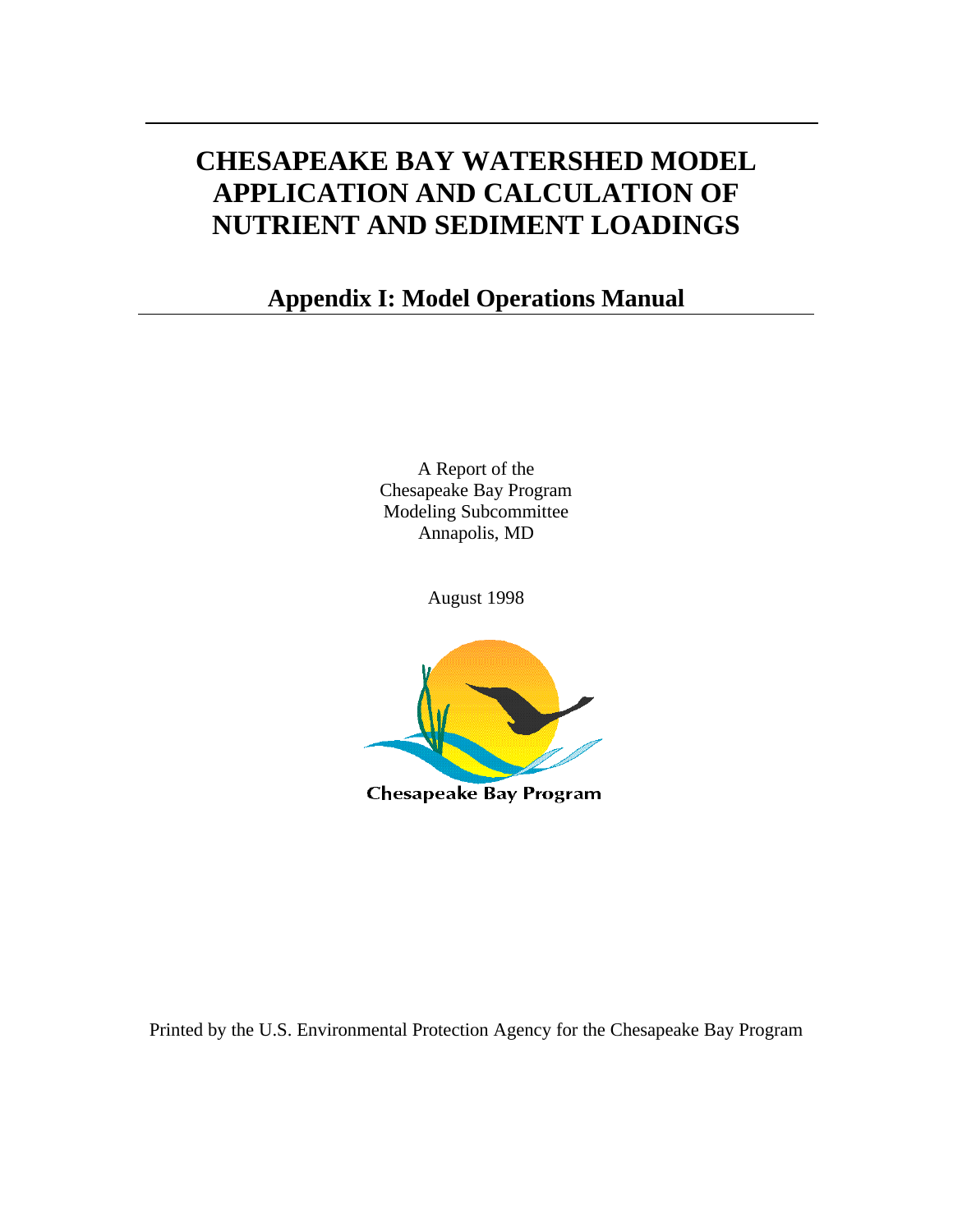# **CHESAPEAKE BAY WATERSHED MODEL APPLICATION AND CALCULATION OF NUTRIENT AND SEDIMENT LOADINGS**

# **Appendix I: Model Operations Manual**

A Report of the Chesapeake Bay Program Modeling Subcommittee Annapolis, MD

August 1998



Printed by the U.S. Environmental Protection Agency for the Chesapeake Bay Program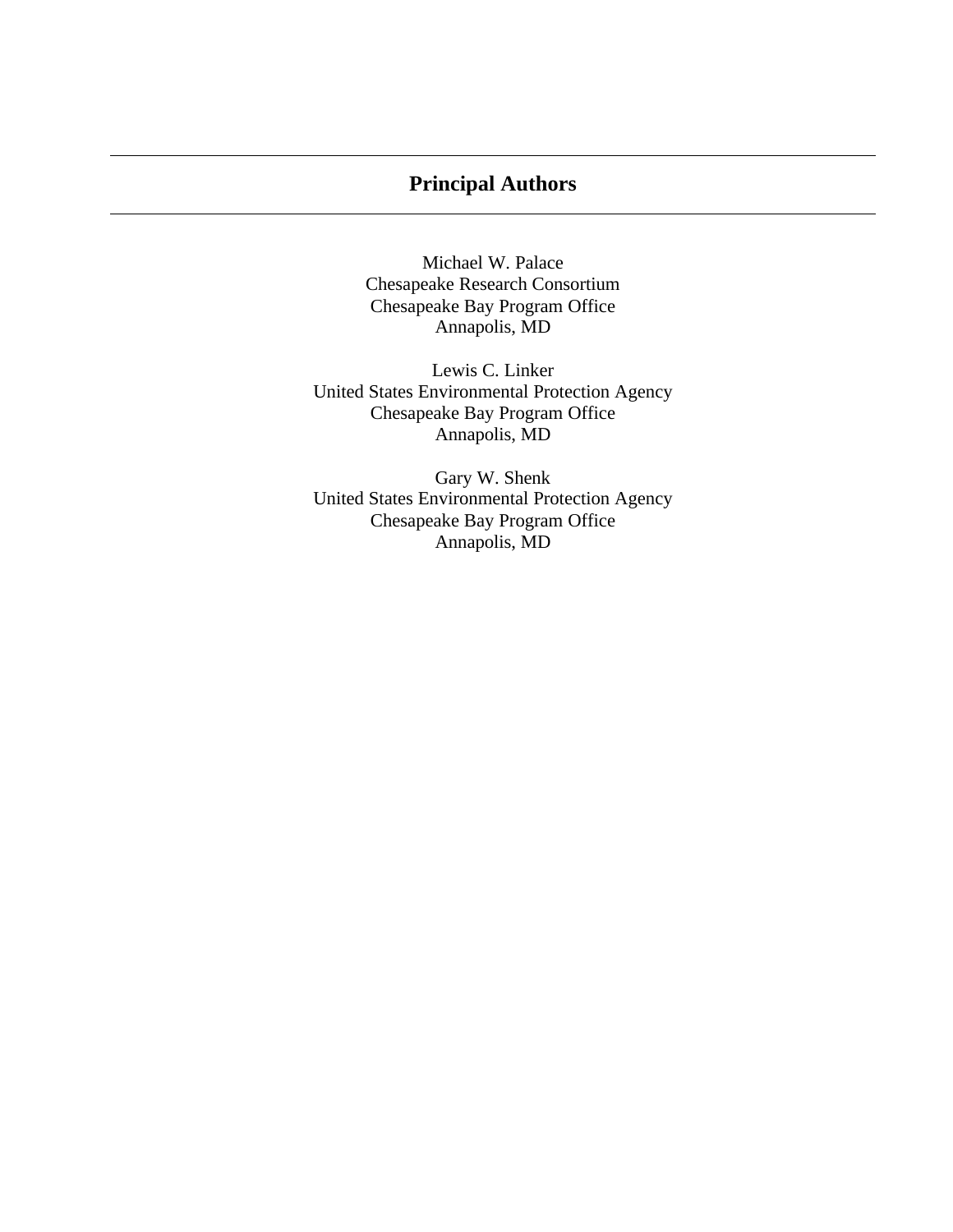# **Principal Authors**

Michael W. Palace Chesapeake Research Consortium Chesapeake Bay Program Office Annapolis, MD

Lewis C. Linker United States Environmental Protection Agency Chesapeake Bay Program Office Annapolis, MD

Gary W. Shenk United States Environmental Protection Agency Chesapeake Bay Program Office Annapolis, MD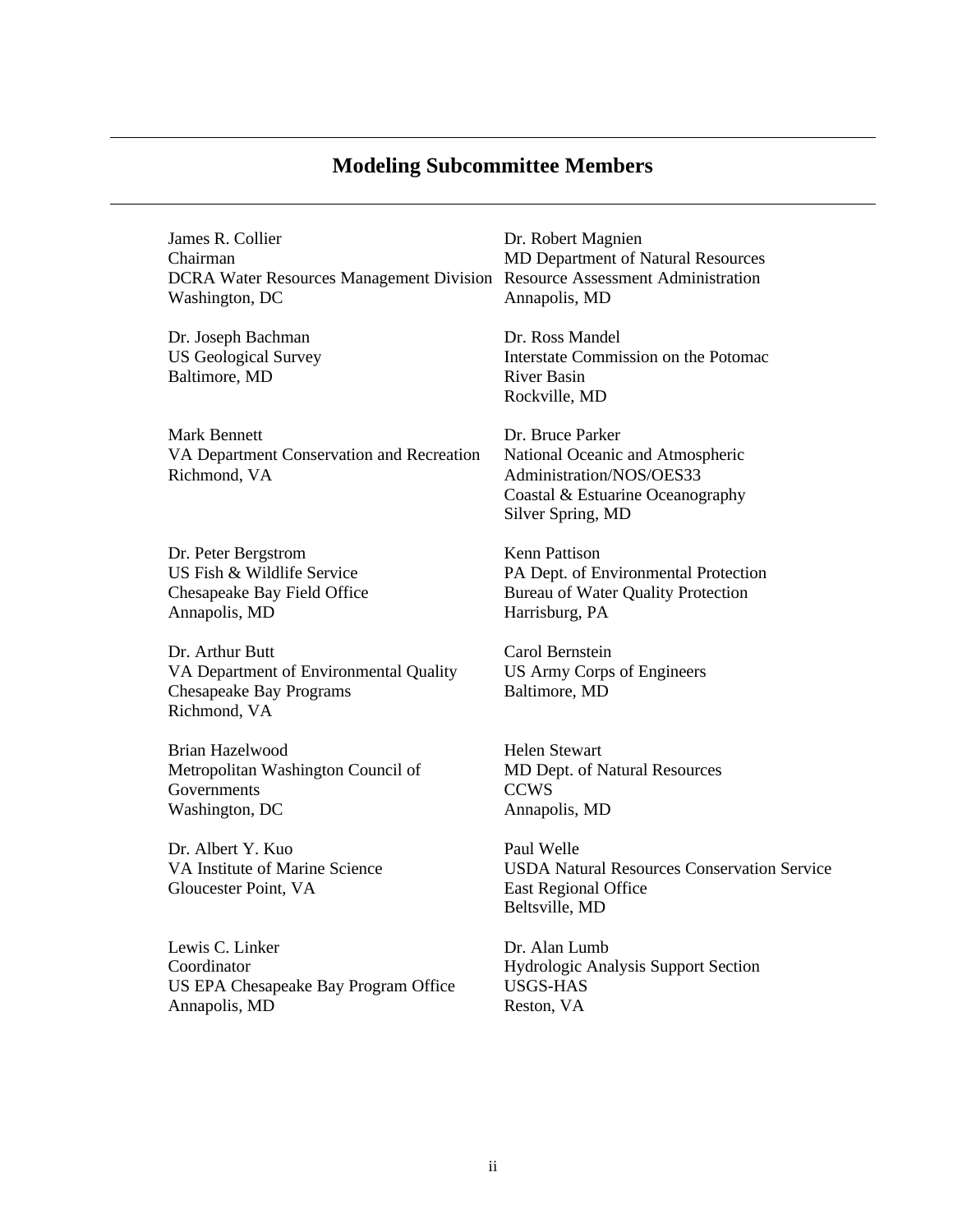# **Modeling Subcommittee Members**

James R. Collier Dr. Robert Magnien Chairman MD Department of Natural Resources DCRA Water Resources Management Division Resource Assessment Administration Washington, DC Annapolis, MD

Dr. Joseph Bachman Dr. Ross Mandel Baltimore, MD River Basin

Mark Bennett Dr. Bruce Parker VA Department Conservation and Recreation National Oceanic and Atmospheric Richmond, VA Administration/NOS/OES33

Dr. Peter Bergstrom Kenn Pattison Annapolis, MD Harrisburg, PA

Dr. Arthur Butt Carol Bernstein VA Department of Environmental Quality US Army Corps of Engineers Chesapeake Bay Programs Baltimore, MD Richmond, VA

Brian Hazelwood Helen Stewart Metropolitan Washington Council of MD Dept. of Natural Resources Governments CCWS Washington, DC Annapolis, MD

Dr. Albert Y. Kuo Paul Welle Gloucester Point, VA East Regional Office

Lewis C. Linker Dr. Alan Lumb Coordinator Hydrologic Analysis Support Section US EPA Chesapeake Bay Program Office USGS-HAS Annapolis, MD Reston, VA

US Geological Survey **Interstate Commission on the Potomac** Rockville, MD

> Coastal & Estuarine Oceanography Silver Spring, MD

US Fish & Wildlife Service **PA Dept. of Environmental Protection** Chesapeake Bay Field Office Bureau of Water Quality Protection

VA Institute of Marine Science USDA Natural Resources Conservation Service Beltsville, MD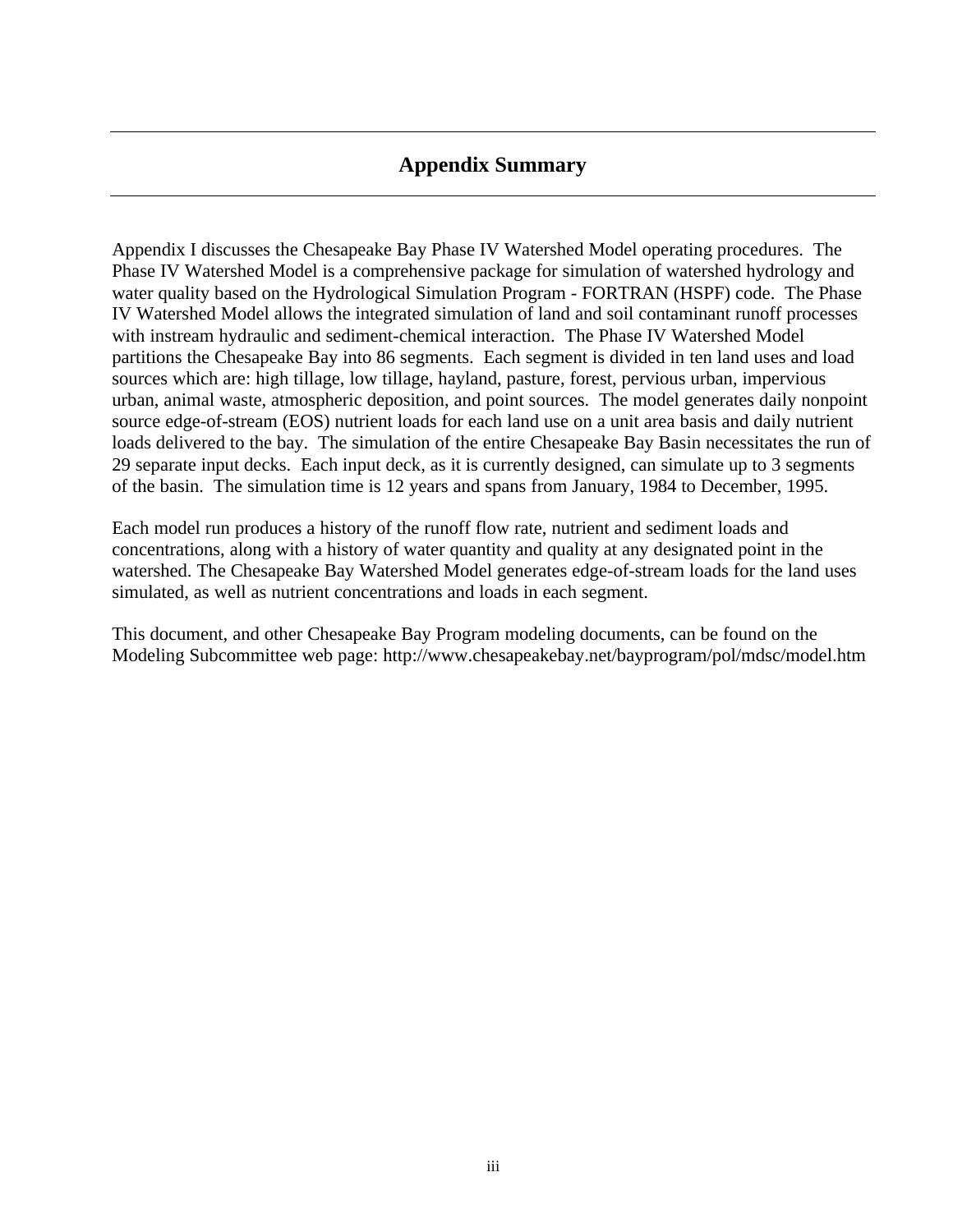# **Appendix Summary**

Appendix I discusses the Chesapeake Bay Phase IV Watershed Model operating procedures. The Phase IV Watershed Model is a comprehensive package for simulation of watershed hydrology and water quality based on the Hydrological Simulation Program - FORTRAN (HSPF) code. The Phase IV Watershed Model allows the integrated simulation of land and soil contaminant runoff processes with instream hydraulic and sediment-chemical interaction. The Phase IV Watershed Model partitions the Chesapeake Bay into 86 segments. Each segment is divided in ten land uses and load sources which are: high tillage, low tillage, hayland, pasture, forest, pervious urban, impervious urban, animal waste, atmospheric deposition, and point sources. The model generates daily nonpoint source edge-of-stream (EOS) nutrient loads for each land use on a unit area basis and daily nutrient loads delivered to the bay. The simulation of the entire Chesapeake Bay Basin necessitates the run of 29 separate input decks. Each input deck, as it is currently designed, can simulate up to 3 segments of the basin. The simulation time is 12 years and spans from January, 1984 to December, 1995.

Each model run produces a history of the runoff flow rate, nutrient and sediment loads and concentrations, along with a history of water quantity and quality at any designated point in the watershed. The Chesapeake Bay Watershed Model generates edge-of-stream loads for the land uses simulated, as well as nutrient concentrations and loads in each segment.

This document, and other Chesapeake Bay Program modeling documents, can be found on the Modeling Subcommittee web page: http://www.chesapeakebay.net/bayprogram/pol/mdsc/model.htm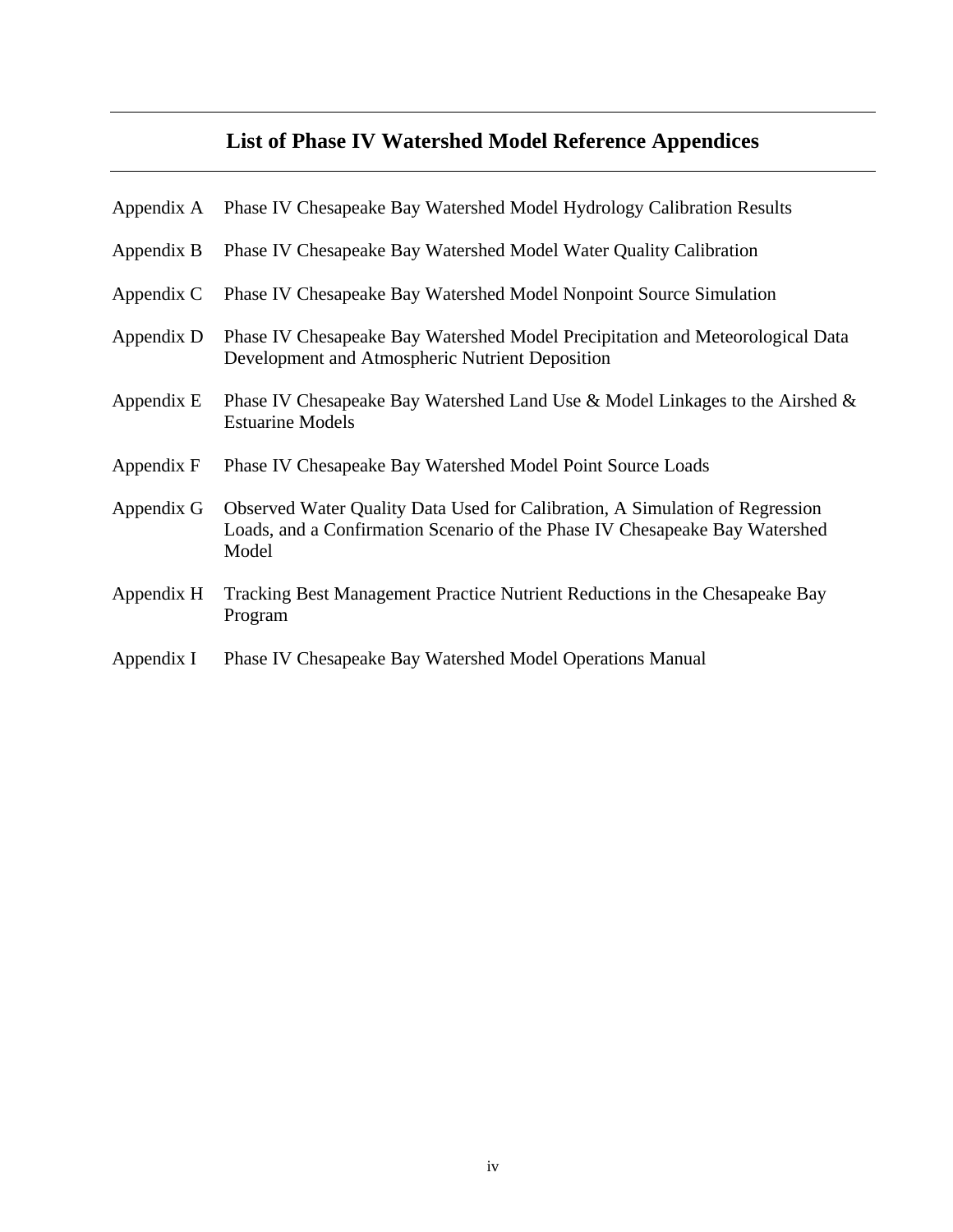# **List of Phase IV Watershed Model Reference Appendices**

|            | Appendix A Phase IV Chesapeake Bay Watershed Model Hydrology Calibration Results                                                                                     |
|------------|----------------------------------------------------------------------------------------------------------------------------------------------------------------------|
| Appendix B | Phase IV Chesapeake Bay Watershed Model Water Quality Calibration                                                                                                    |
| Appendix C | Phase IV Chesapeake Bay Watershed Model Nonpoint Source Simulation                                                                                                   |
| Appendix D | Phase IV Chesapeake Bay Watershed Model Precipitation and Meteorological Data<br>Development and Atmospheric Nutrient Deposition                                     |
| Appendix E | Phase IV Chesapeake Bay Watershed Land Use & Model Linkages to the Airshed &<br><b>Estuarine Models</b>                                                              |
| Appendix F | Phase IV Chesapeake Bay Watershed Model Point Source Loads                                                                                                           |
| Appendix G | Observed Water Quality Data Used for Calibration, A Simulation of Regression<br>Loads, and a Confirmation Scenario of the Phase IV Chesapeake Bay Watershed<br>Model |
| Appendix H | Tracking Best Management Practice Nutrient Reductions in the Chesapeake Bay<br>Program                                                                               |
| Appendix I | Phase IV Chesapeake Bay Watershed Model Operations Manual                                                                                                            |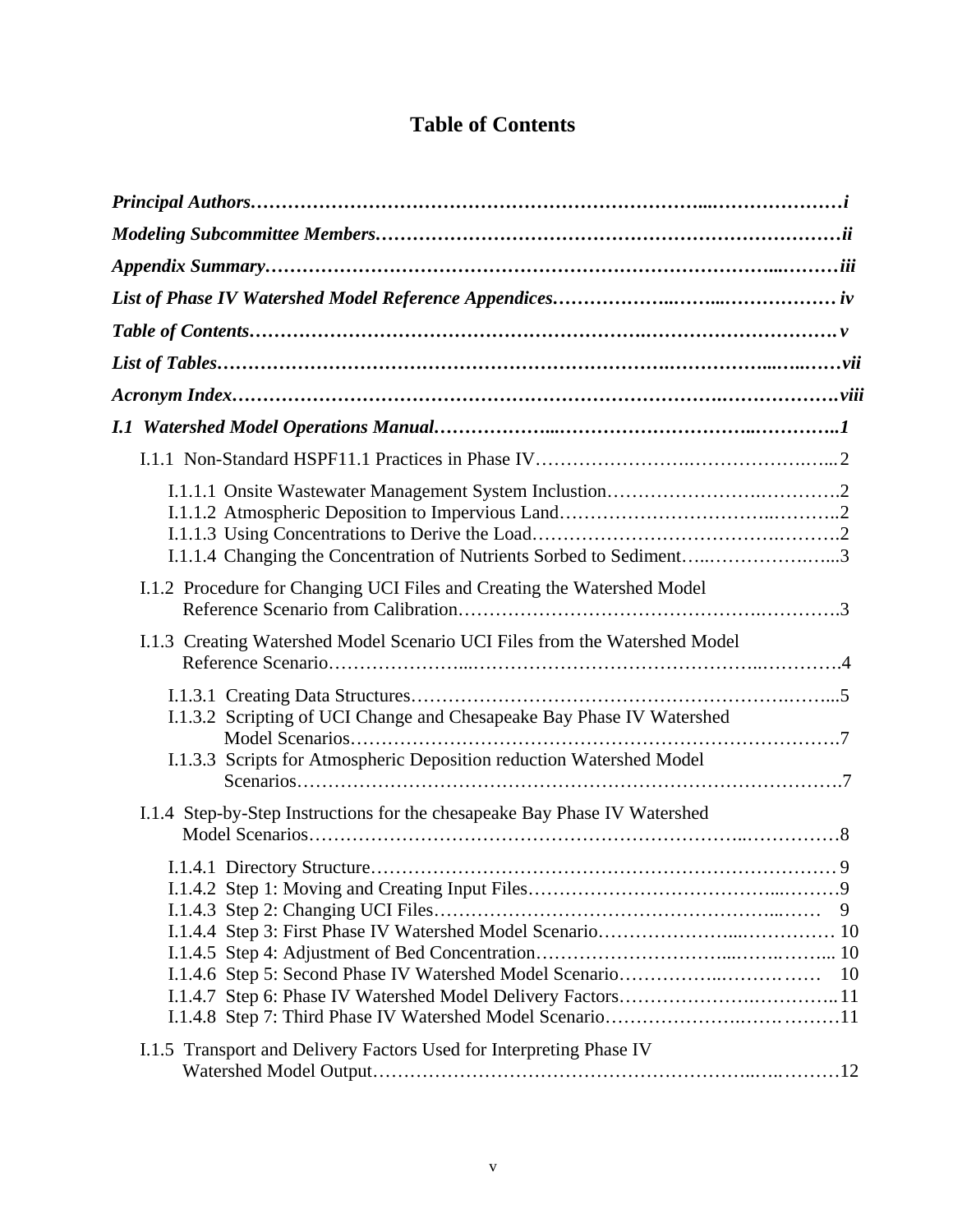# **Table of Contents**

| I.1.1.4 Changing the Concentration of Nutrients Sorbed to Sediment3                                                                           |   |
|-----------------------------------------------------------------------------------------------------------------------------------------------|---|
| I.1.2 Procedure for Changing UCI Files and Creating the Watershed Model                                                                       |   |
| I.1.3 Creating Watershed Model Scenario UCI Files from the Watershed Model                                                                    |   |
| I.1.3.2 Scripting of UCI Change and Chesapeake Bay Phase IV Watershed<br>I.1.3.3 Scripts for Atmospheric Deposition reduction Watershed Model |   |
| I.1.4 Step-by-Step Instructions for the chesapeake Bay Phase IV Watershed                                                                     |   |
|                                                                                                                                               | 9 |
| I.1.5 Transport and Delivery Factors Used for Interpreting Phase IV                                                                           |   |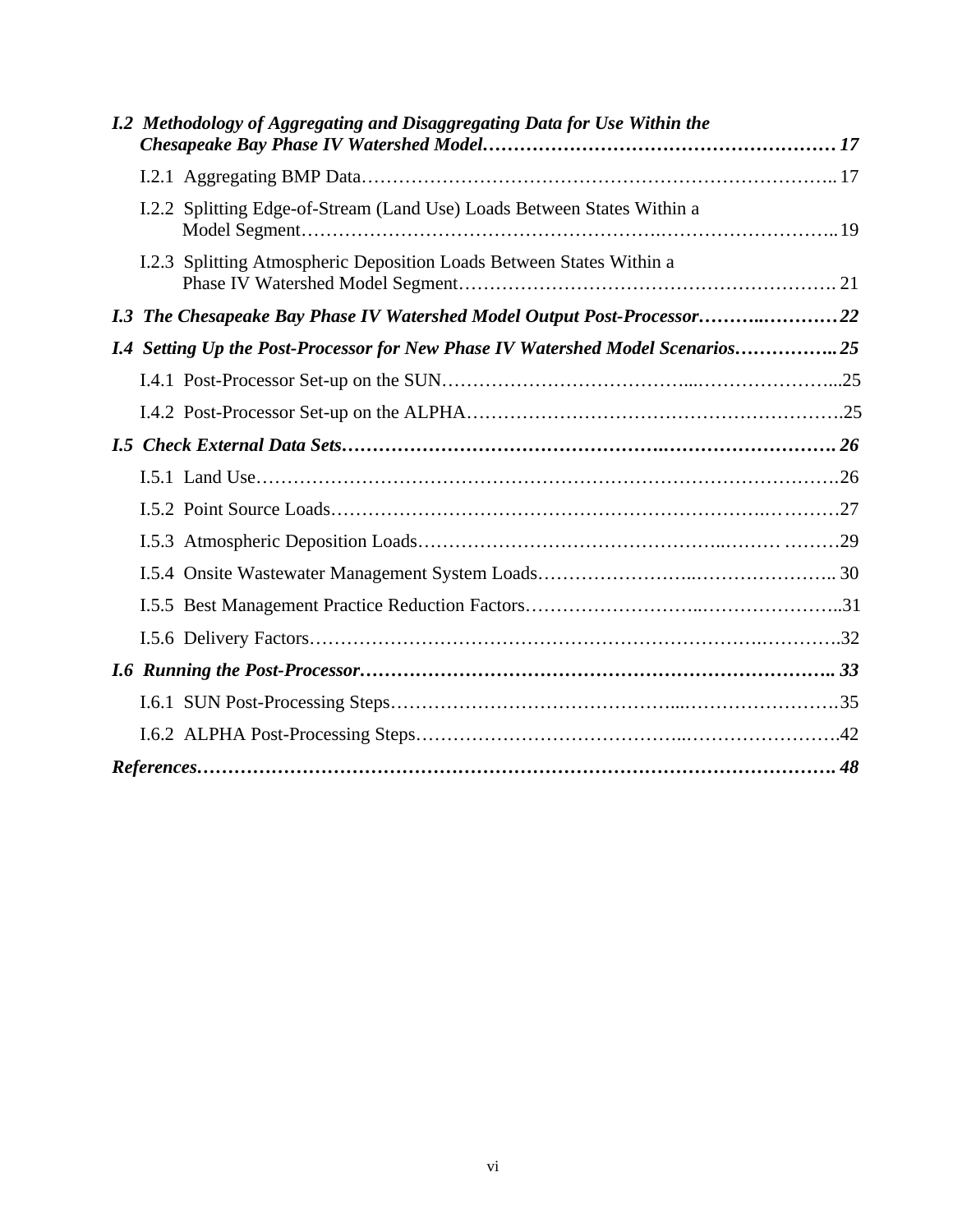|  | I.2 Methodology of Aggregating and Disaggregating Data for Use Within the       |  |
|--|---------------------------------------------------------------------------------|--|
|  |                                                                                 |  |
|  | I.2.2 Splitting Edge-of-Stream (Land Use) Loads Between States Within a         |  |
|  | I.2.3 Splitting Atmospheric Deposition Loads Between States Within a            |  |
|  | 1.3 The Chesapeake Bay Phase IV Watershed Model Output Post-Processor22         |  |
|  | 1.4 Setting Up the Post-Processor for New Phase IV Watershed Model Scenarios 25 |  |
|  |                                                                                 |  |
|  |                                                                                 |  |
|  |                                                                                 |  |
|  |                                                                                 |  |
|  |                                                                                 |  |
|  |                                                                                 |  |
|  |                                                                                 |  |
|  |                                                                                 |  |
|  |                                                                                 |  |
|  |                                                                                 |  |
|  |                                                                                 |  |
|  |                                                                                 |  |
|  | $References \dots 18$                                                           |  |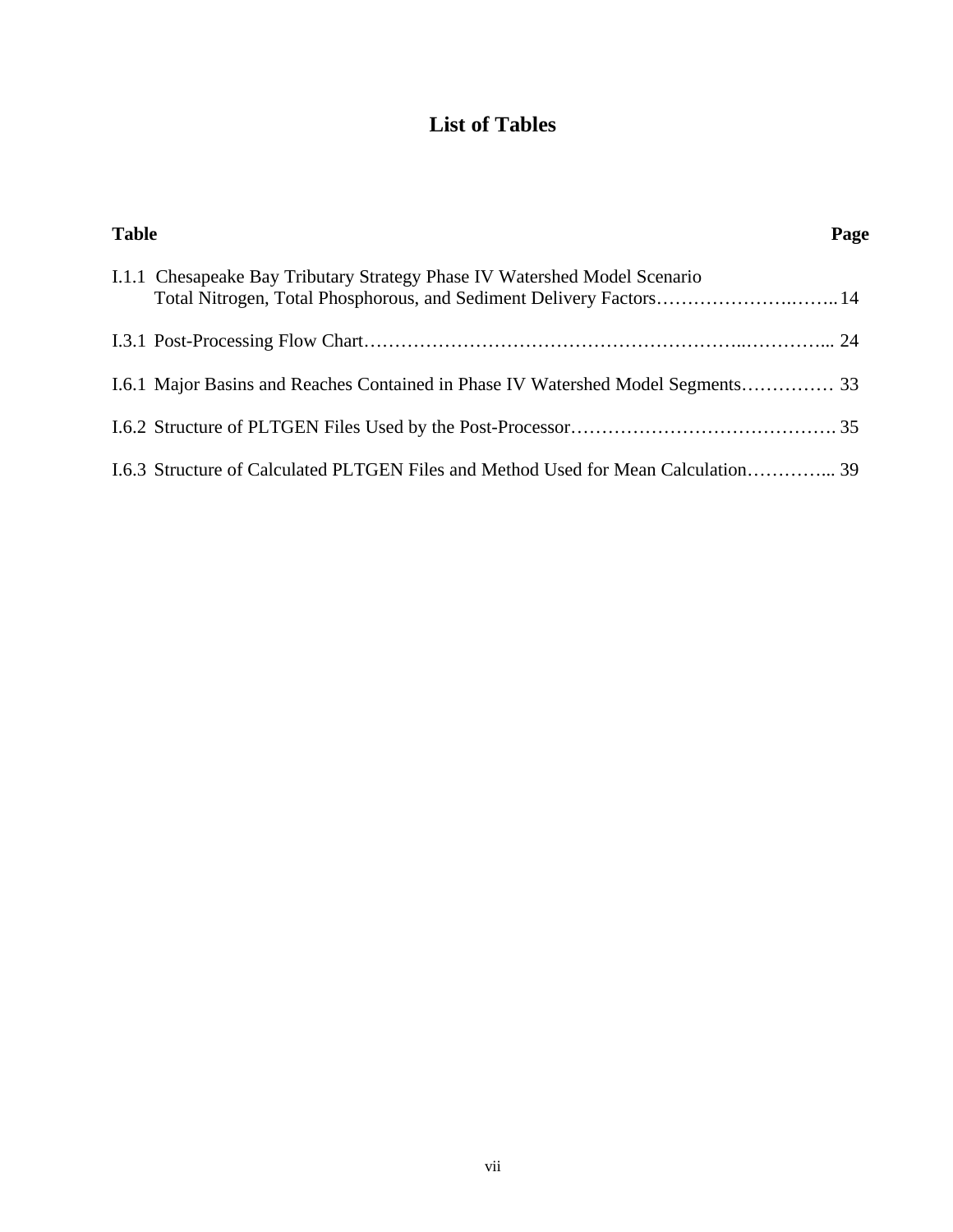# **List of Tables**

| <b>Table</b> |                                                                                                                                                  | Page |
|--------------|--------------------------------------------------------------------------------------------------------------------------------------------------|------|
|              | I.1.1 Chesapeake Bay Tributary Strategy Phase IV Watershed Model Scenario<br>Total Nitrogen, Total Phosphorous, and Sediment Delivery Factors 14 |      |
|              |                                                                                                                                                  |      |
|              |                                                                                                                                                  |      |
|              |                                                                                                                                                  |      |
|              | 1.6.3 Structure of Calculated PLTGEN Files and Method Used for Mean Calculation 39                                                               |      |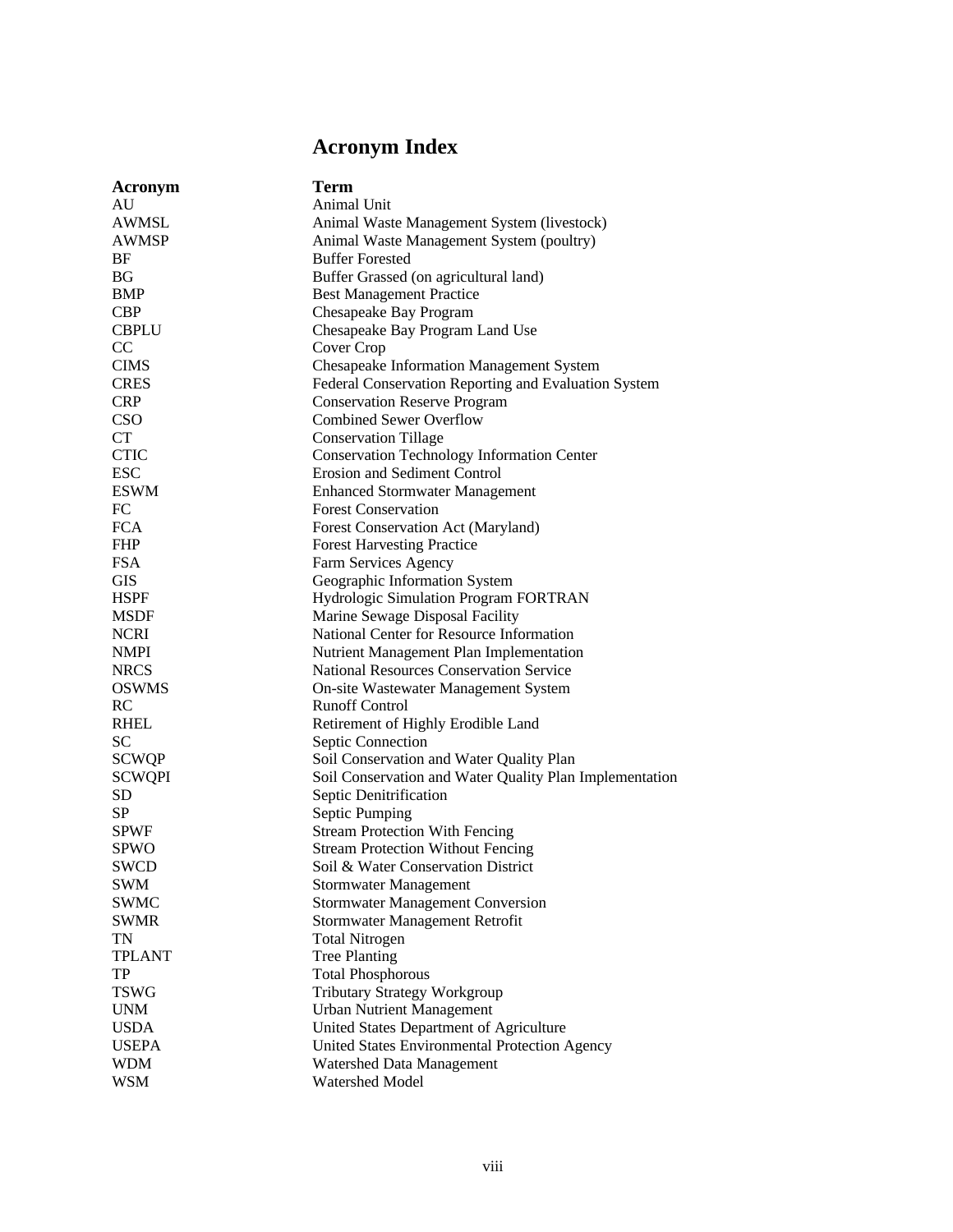# **Acronym Index**

| Acronym                   | Term                                                    |
|---------------------------|---------------------------------------------------------|
| AU                        | Animal Unit                                             |
| <b>AWMSL</b>              | Animal Waste Management System (livestock)              |
| <b>AWMSP</b>              | Animal Waste Management System (poultry)                |
| BF                        | <b>Buffer Forested</b>                                  |
| BG                        | Buffer Grassed (on agricultural land)                   |
| <b>BMP</b>                | <b>Best Management Practice</b>                         |
| <b>CBP</b>                | Chesapeake Bay Program                                  |
| <b>CBPLU</b>              | Chesapeake Bay Program Land Use                         |
| CC                        | Cover Crop                                              |
| <b>CIMS</b>               | <b>Chesapeake Information Management System</b>         |
| <b>CRES</b>               | Federal Conservation Reporting and Evaluation System    |
| <b>CRP</b>                | <b>Conservation Reserve Program</b>                     |
| <b>CSO</b>                | <b>Combined Sewer Overflow</b>                          |
| <b>CT</b>                 | <b>Conservation Tillage</b>                             |
| <b>CTIC</b>               | <b>Conservation Technology Information Center</b>       |
| <b>ESC</b>                | Erosion and Sediment Control                            |
| <b>ESWM</b>               | <b>Enhanced Stormwater Management</b>                   |
| FC                        | <b>Forest Conservation</b>                              |
| <b>FCA</b>                | Forest Conservation Act (Maryland)                      |
| <b>FHP</b>                | <b>Forest Harvesting Practice</b>                       |
| <b>FSA</b>                | Farm Services Agency                                    |
| GIS                       | Geographic Information System                           |
| <b>HSPF</b>               | Hydrologic Simulation Program FORTRAN                   |
| <b>MSDF</b>               | Marine Sewage Disposal Facility                         |
| <b>NCRI</b>               | National Center for Resource Information                |
| <b>NMPI</b>               | Nutrient Management Plan Implementation                 |
| <b>NRCS</b>               | National Resources Conservation Service                 |
| <b>OSWMS</b>              | On-site Wastewater Management System                    |
| RC                        | <b>Runoff Control</b>                                   |
| <b>RHEL</b>               | Retirement of Highly Erodible Land                      |
| <b>SC</b>                 | Septic Connection                                       |
| <b>SCWQP</b>              | Soil Conservation and Water Quality Plan                |
| <b>SCWQPI</b>             | Soil Conservation and Water Quality Plan Implementation |
| SD                        | Septic Denitrification                                  |
| SP                        | Septic Pumping                                          |
| <b>SPWF</b>               | <b>Stream Protection With Fencing</b>                   |
| <b>SPWO</b>               | <b>Stream Protection Without Fencing</b>                |
| <b>SWCD</b>               | Soil & Water Conservation District                      |
| <b>SWM</b>                | <b>Stormwater Management</b>                            |
| <b>SWMC</b>               | <b>Stormwater Management Conversion</b>                 |
| <b>SWMR</b>               | Stormwater Management Retrofit                          |
| TN                        | <b>Total Nitrogen</b>                                   |
| TPLANT                    | <b>Tree Planting</b>                                    |
| TP                        | <b>Total Phosphorous</b>                                |
| <b>TSWG</b>               | Tributary Strategy Workgroup                            |
|                           |                                                         |
| <b>UNM</b><br><b>USDA</b> | <b>Urban Nutrient Management</b>                        |
| <b>USEPA</b>              | United States Department of Agriculture                 |
|                           | United States Environmental Protection Agency           |
| <b>WDM</b>                | Watershed Data Management                               |
| <b>WSM</b>                | Watershed Model                                         |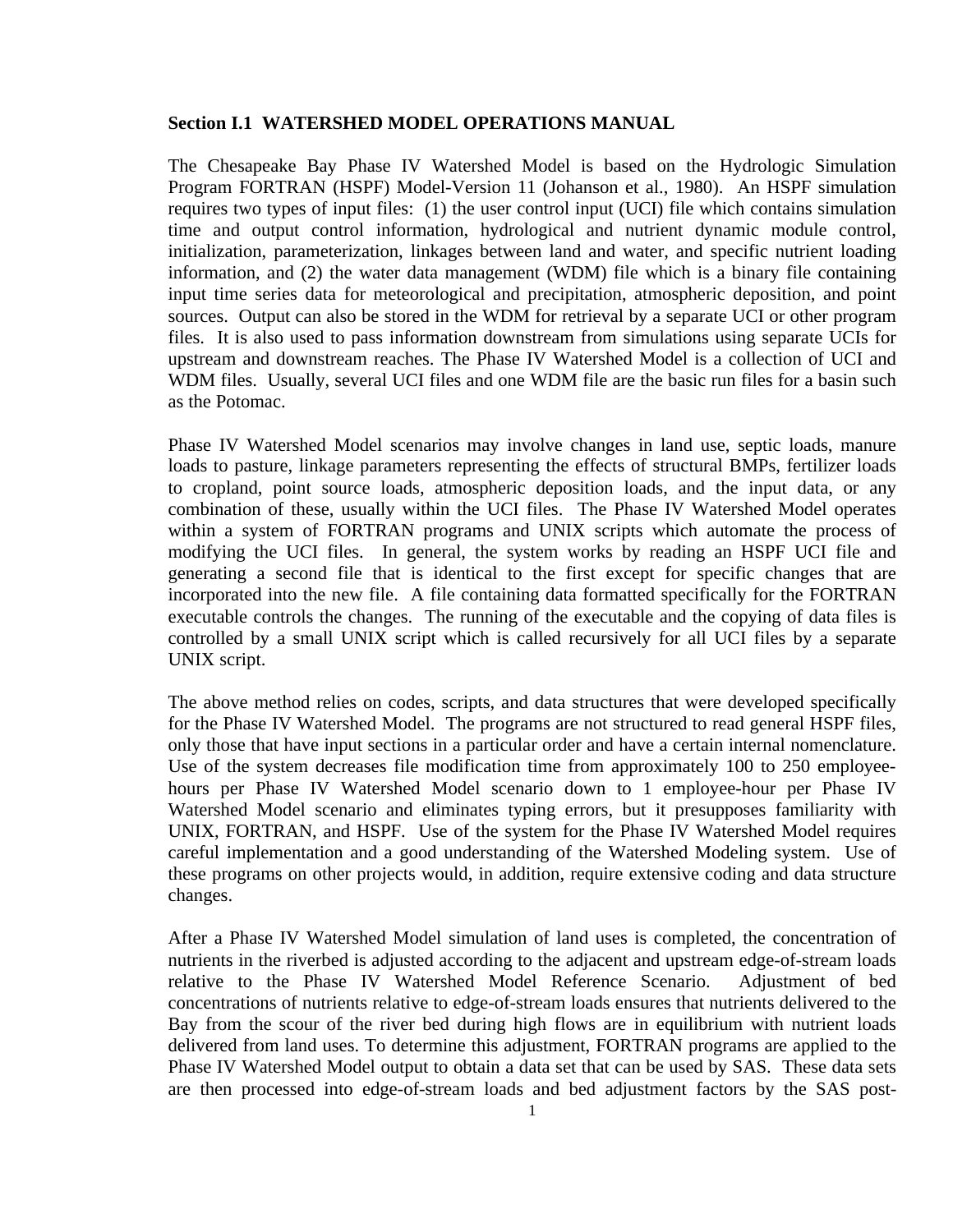### **Section I.1 WATERSHED MODEL OPERATIONS MANUAL**

The Chesapeake Bay Phase IV Watershed Model is based on the Hydrologic Simulation Program FORTRAN (HSPF) Model-Version 11 (Johanson et al., 1980). An HSPF simulation requires two types of input files: (1) the user control input (UCI) file which contains simulation time and output control information, hydrological and nutrient dynamic module control, initialization, parameterization, linkages between land and water, and specific nutrient loading information, and (2) the water data management (WDM) file which is a binary file containing input time series data for meteorological and precipitation, atmospheric deposition, and point sources. Output can also be stored in the WDM for retrieval by a separate UCI or other program files. It is also used to pass information downstream from simulations using separate UCIs for upstream and downstream reaches. The Phase IV Watershed Model is a collection of UCI and WDM files. Usually, several UCI files and one WDM file are the basic run files for a basin such as the Potomac.

Phase IV Watershed Model scenarios may involve changes in land use, septic loads, manure loads to pasture, linkage parameters representing the effects of structural BMPs, fertilizer loads to cropland, point source loads, atmospheric deposition loads, and the input data, or any combination of these, usually within the UCI files. The Phase IV Watershed Model operates within a system of FORTRAN programs and UNIX scripts which automate the process of modifying the UCI files. In general, the system works by reading an HSPF UCI file and generating a second file that is identical to the first except for specific changes that are incorporated into the new file. A file containing data formatted specifically for the FORTRAN executable controls the changes. The running of the executable and the copying of data files is controlled by a small UNIX script which is called recursively for all UCI files by a separate UNIX script.

The above method relies on codes, scripts, and data structures that were developed specifically for the Phase IV Watershed Model. The programs are not structured to read general HSPF files, only those that have input sections in a particular order and have a certain internal nomenclature. Use of the system decreases file modification time from approximately 100 to 250 employeehours per Phase IV Watershed Model scenario down to 1 employee-hour per Phase IV Watershed Model scenario and eliminates typing errors, but it presupposes familiarity with UNIX, FORTRAN, and HSPF. Use of the system for the Phase IV Watershed Model requires careful implementation and a good understanding of the Watershed Modeling system. Use of these programs on other projects would, in addition, require extensive coding and data structure changes.

After a Phase IV Watershed Model simulation of land uses is completed, the concentration of nutrients in the riverbed is adjusted according to the adjacent and upstream edge-of-stream loads relative to the Phase IV Watershed Model Reference Scenario. Adjustment of bed concentrations of nutrients relative to edge-of-stream loads ensures that nutrients delivered to the Bay from the scour of the river bed during high flows are in equilibrium with nutrient loads delivered from land uses. To determine this adjustment, FORTRAN programs are applied to the Phase IV Watershed Model output to obtain a data set that can be used by SAS. These data sets are then processed into edge-of-stream loads and bed adjustment factors by the SAS post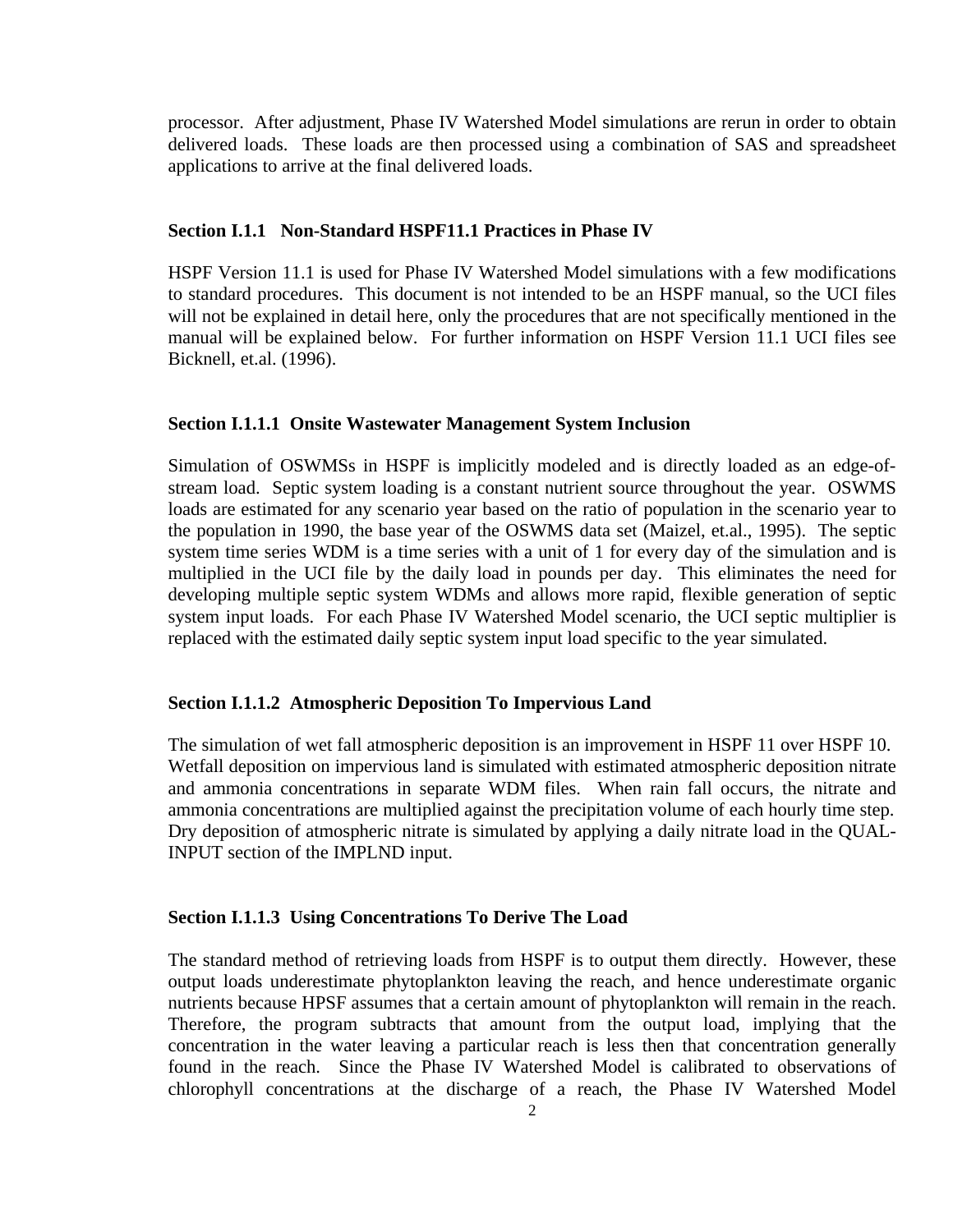processor. After adjustment, Phase IV Watershed Model simulations are rerun in order to obtain delivered loads. These loads are then processed using a combination of SAS and spreadsheet applications to arrive at the final delivered loads.

#### **Section I.1.1 Non-Standard HSPF11.1 Practices in Phase IV**

HSPF Version 11.1 is used for Phase IV Watershed Model simulations with a few modifications to standard procedures. This document is not intended to be an HSPF manual, so the UCI files will not be explained in detail here, only the procedures that are not specifically mentioned in the manual will be explained below. For further information on HSPF Version 11.1 UCI files see Bicknell, et.al. (1996).

#### **Section I.1.1.1 Onsite Wastewater Management System Inclusion**

Simulation of OSWMSs in HSPF is implicitly modeled and is directly loaded as an edge-ofstream load. Septic system loading is a constant nutrient source throughout the year. OSWMS loads are estimated for any scenario year based on the ratio of population in the scenario year to the population in 1990, the base year of the OSWMS data set (Maizel, et.al., 1995). The septic system time series WDM is a time series with a unit of 1 for every day of the simulation and is multiplied in the UCI file by the daily load in pounds per day. This eliminates the need for developing multiple septic system WDMs and allows more rapid, flexible generation of septic system input loads. For each Phase IV Watershed Model scenario, the UCI septic multiplier is replaced with the estimated daily septic system input load specific to the year simulated.

#### **Section I.1.1.2 Atmospheric Deposition To Impervious Land**

The simulation of wet fall atmospheric deposition is an improvement in HSPF 11 over HSPF 10. Wetfall deposition on impervious land is simulated with estimated atmospheric deposition nitrate and ammonia concentrations in separate WDM files. When rain fall occurs, the nitrate and ammonia concentrations are multiplied against the precipitation volume of each hourly time step. Dry deposition of atmospheric nitrate is simulated by applying a daily nitrate load in the QUAL-INPUT section of the IMPLND input.

#### **Section I.1.1.3 Using Concentrations To Derive The Load**

The standard method of retrieving loads from HSPF is to output them directly. However, these output loads underestimate phytoplankton leaving the reach, and hence underestimate organic nutrients because HPSF assumes that a certain amount of phytoplankton will remain in the reach. Therefore, the program subtracts that amount from the output load, implying that the concentration in the water leaving a particular reach is less then that concentration generally found in the reach. Since the Phase IV Watershed Model is calibrated to observations of chlorophyll concentrations at the discharge of a reach, the Phase IV Watershed Model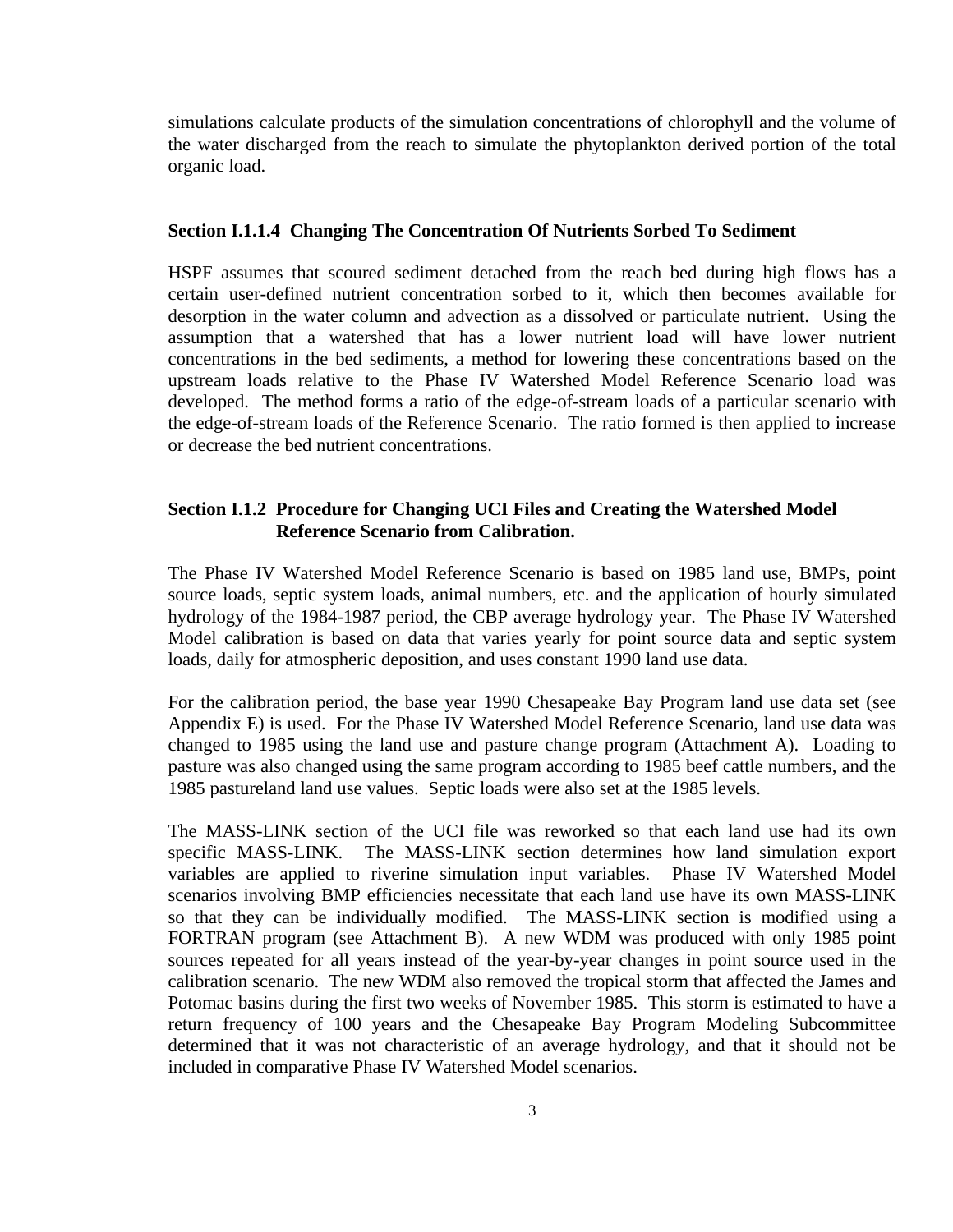simulations calculate products of the simulation concentrations of chlorophyll and the volume of the water discharged from the reach to simulate the phytoplankton derived portion of the total organic load.

#### **Section I.1.1.4 Changing The Concentration Of Nutrients Sorbed To Sediment**

HSPF assumes that scoured sediment detached from the reach bed during high flows has a certain user-defined nutrient concentration sorbed to it, which then becomes available for desorption in the water column and advection as a dissolved or particulate nutrient. Using the assumption that a watershed that has a lower nutrient load will have lower nutrient concentrations in the bed sediments, a method for lowering these concentrations based on the upstream loads relative to the Phase IV Watershed Model Reference Scenario load was developed. The method forms a ratio of the edge-of-stream loads of a particular scenario with the edge-of-stream loads of the Reference Scenario. The ratio formed is then applied to increase or decrease the bed nutrient concentrations.

## **Section I.1.2 Procedure for Changing UCI Files and Creating the Watershed Model Reference Scenario from Calibration.**

The Phase IV Watershed Model Reference Scenario is based on 1985 land use, BMPs, point source loads, septic system loads, animal numbers, etc. and the application of hourly simulated hydrology of the 1984-1987 period, the CBP average hydrology year. The Phase IV Watershed Model calibration is based on data that varies yearly for point source data and septic system loads, daily for atmospheric deposition, and uses constant 1990 land use data.

For the calibration period, the base year 1990 Chesapeake Bay Program land use data set (see Appendix E) is used. For the Phase IV Watershed Model Reference Scenario, land use data was changed to 1985 using the land use and pasture change program (Attachment A). Loading to pasture was also changed using the same program according to 1985 beef cattle numbers, and the 1985 pastureland land use values. Septic loads were also set at the 1985 levels.

The MASS-LINK section of the UCI file was reworked so that each land use had its own specific MASS-LINK. The MASS-LINK section determines how land simulation export variables are applied to riverine simulation input variables. Phase IV Watershed Model scenarios involving BMP efficiencies necessitate that each land use have its own MASS-LINK so that they can be individually modified. The MASS-LINK section is modified using a FORTRAN program (see Attachment B). A new WDM was produced with only 1985 point sources repeated for all years instead of the year-by-year changes in point source used in the calibration scenario. The new WDM also removed the tropical storm that affected the James and Potomac basins during the first two weeks of November 1985. This storm is estimated to have a return frequency of 100 years and the Chesapeake Bay Program Modeling Subcommittee determined that it was not characteristic of an average hydrology, and that it should not be included in comparative Phase IV Watershed Model scenarios.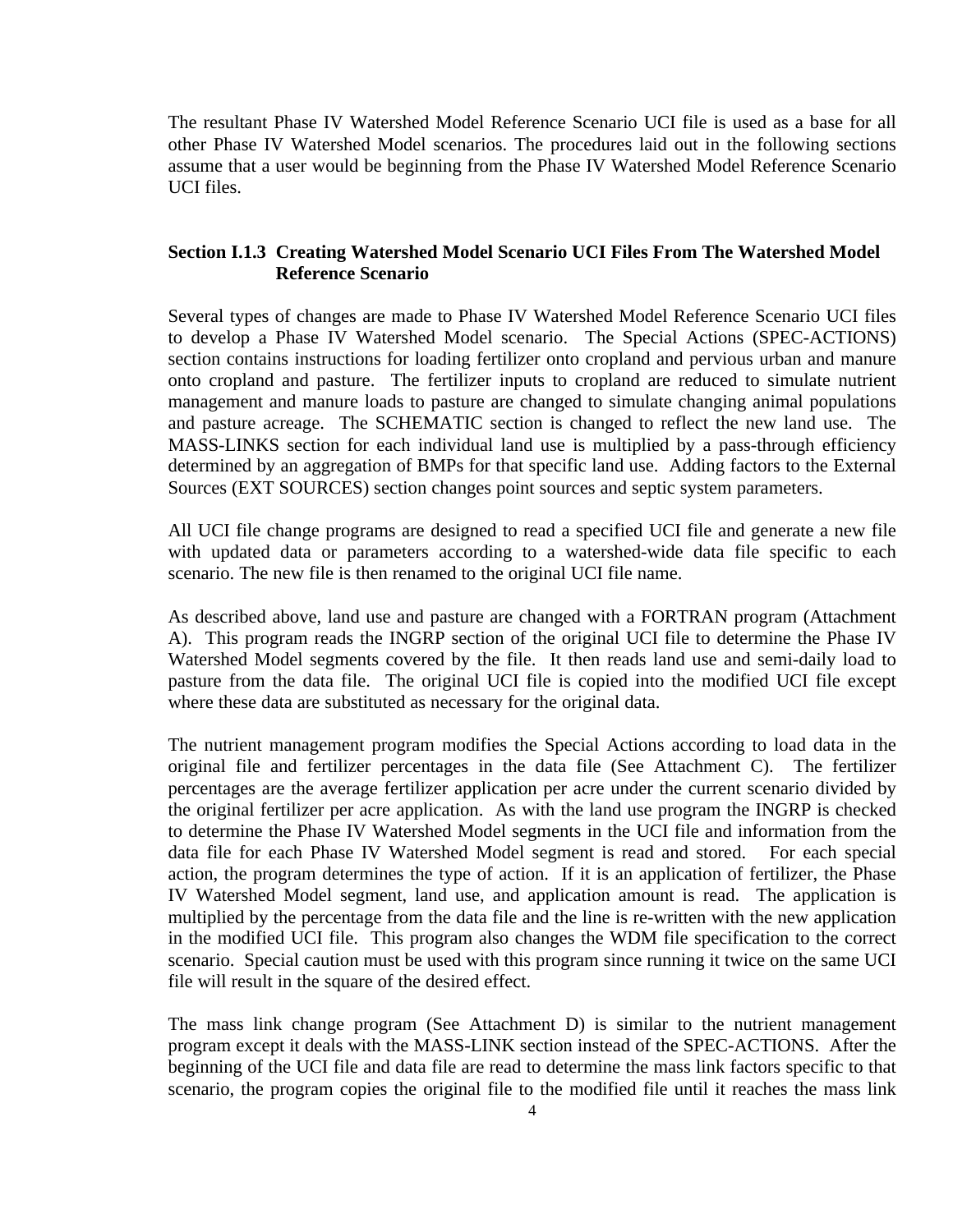The resultant Phase IV Watershed Model Reference Scenario UCI file is used as a base for all other Phase IV Watershed Model scenarios. The procedures laid out in the following sections assume that a user would be beginning from the Phase IV Watershed Model Reference Scenario UCI files.

# **Section I.1.3 Creating Watershed Model Scenario UCI Files From The Watershed Model Reference Scenario**

Several types of changes are made to Phase IV Watershed Model Reference Scenario UCI files to develop a Phase IV Watershed Model scenario. The Special Actions (SPEC-ACTIONS) section contains instructions for loading fertilizer onto cropland and pervious urban and manure onto cropland and pasture. The fertilizer inputs to cropland are reduced to simulate nutrient management and manure loads to pasture are changed to simulate changing animal populations and pasture acreage. The SCHEMATIC section is changed to reflect the new land use. The MASS-LINKS section for each individual land use is multiplied by a pass-through efficiency determined by an aggregation of BMPs for that specific land use. Adding factors to the External Sources (EXT SOURCES) section changes point sources and septic system parameters.

All UCI file change programs are designed to read a specified UCI file and generate a new file with updated data or parameters according to a watershed-wide data file specific to each scenario. The new file is then renamed to the original UCI file name.

As described above, land use and pasture are changed with a FORTRAN program (Attachment A). This program reads the INGRP section of the original UCI file to determine the Phase IV Watershed Model segments covered by the file. It then reads land use and semi-daily load to pasture from the data file. The original UCI file is copied into the modified UCI file except where these data are substituted as necessary for the original data.

The nutrient management program modifies the Special Actions according to load data in the original file and fertilizer percentages in the data file (See Attachment C). The fertilizer percentages are the average fertilizer application per acre under the current scenario divided by the original fertilizer per acre application. As with the land use program the INGRP is checked to determine the Phase IV Watershed Model segments in the UCI file and information from the data file for each Phase IV Watershed Model segment is read and stored. For each special action, the program determines the type of action. If it is an application of fertilizer, the Phase IV Watershed Model segment, land use, and application amount is read. The application is multiplied by the percentage from the data file and the line is re-written with the new application in the modified UCI file. This program also changes the WDM file specification to the correct scenario. Special caution must be used with this program since running it twice on the same UCI file will result in the square of the desired effect.

The mass link change program (See Attachment D) is similar to the nutrient management program except it deals with the MASS-LINK section instead of the SPEC-ACTIONS. After the beginning of the UCI file and data file are read to determine the mass link factors specific to that scenario, the program copies the original file to the modified file until it reaches the mass link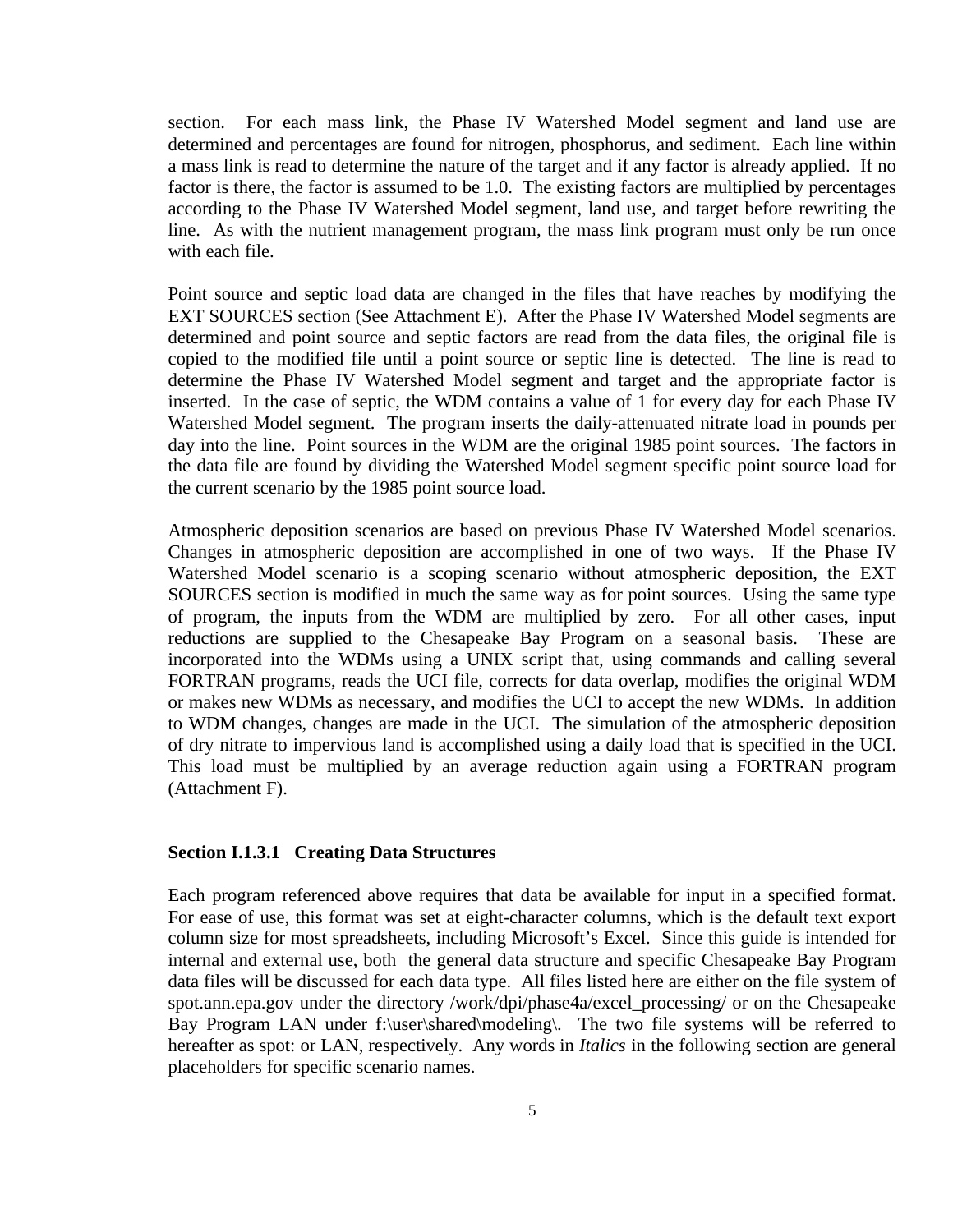section. For each mass link, the Phase IV Watershed Model segment and land use are determined and percentages are found for nitrogen, phosphorus, and sediment. Each line within a mass link is read to determine the nature of the target and if any factor is already applied. If no factor is there, the factor is assumed to be 1.0. The existing factors are multiplied by percentages according to the Phase IV Watershed Model segment, land use, and target before rewriting the line. As with the nutrient management program, the mass link program must only be run once with each file.

Point source and septic load data are changed in the files that have reaches by modifying the EXT SOURCES section (See Attachment E). After the Phase IV Watershed Model segments are determined and point source and septic factors are read from the data files, the original file is copied to the modified file until a point source or septic line is detected. The line is read to determine the Phase IV Watershed Model segment and target and the appropriate factor is inserted. In the case of septic, the WDM contains a value of 1 for every day for each Phase IV Watershed Model segment. The program inserts the daily-attenuated nitrate load in pounds per day into the line. Point sources in the WDM are the original 1985 point sources. The factors in the data file are found by dividing the Watershed Model segment specific point source load for the current scenario by the 1985 point source load.

Atmospheric deposition scenarios are based on previous Phase IV Watershed Model scenarios. Changes in atmospheric deposition are accomplished in one of two ways. If the Phase IV Watershed Model scenario is a scoping scenario without atmospheric deposition, the EXT SOURCES section is modified in much the same way as for point sources. Using the same type of program, the inputs from the WDM are multiplied by zero. For all other cases, input reductions are supplied to the Chesapeake Bay Program on a seasonal basis. These are incorporated into the WDMs using a UNIX script that, using commands and calling several FORTRAN programs, reads the UCI file, corrects for data overlap, modifies the original WDM or makes new WDMs as necessary, and modifies the UCI to accept the new WDMs. In addition to WDM changes, changes are made in the UCI. The simulation of the atmospheric deposition of dry nitrate to impervious land is accomplished using a daily load that is specified in the UCI. This load must be multiplied by an average reduction again using a FORTRAN program (Attachment F).

#### **Section I.1.3.1 Creating Data Structures**

Each program referenced above requires that data be available for input in a specified format. For ease of use, this format was set at eight-character columns, which is the default text export column size for most spreadsheets, including Microsoft's Excel. Since this guide is intended for internal and external use, both the general data structure and specific Chesapeake Bay Program data files will be discussed for each data type. All files listed here are either on the file system of spot.ann.epa.gov under the directory /work/dpi/phase4a/excel\_processing/ or on the Chesapeake Bay Program LAN under f:\user\shared\modeling\. The two file systems will be referred to hereafter as spot: or LAN, respectively. Any words in *Italics* in the following section are general placeholders for specific scenario names.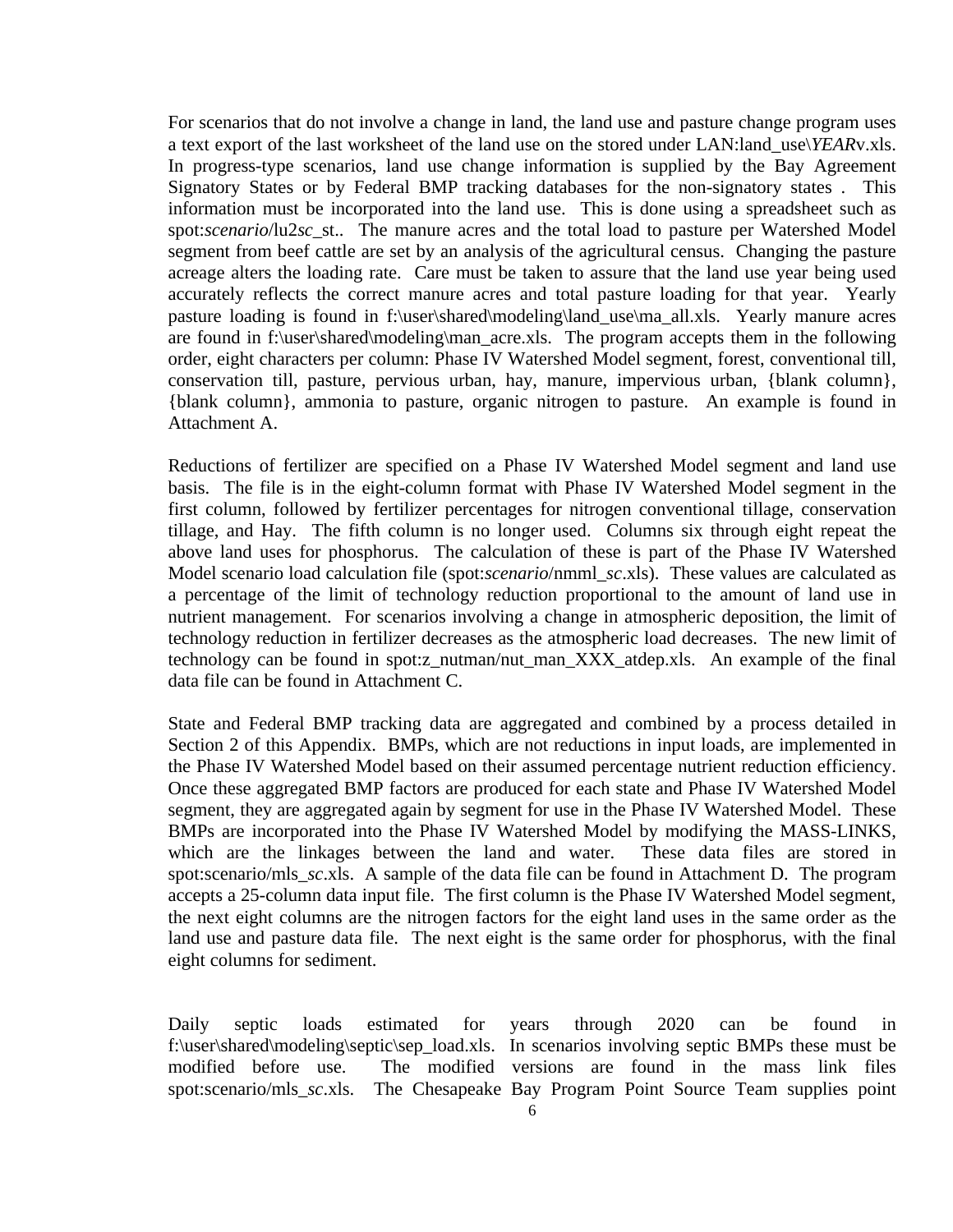For scenarios that do not involve a change in land, the land use and pasture change program uses a text export of the last worksheet of the land use on the stored under LAN:land\_use\*YEAR*v.xls. In progress-type scenarios, land use change information is supplied by the Bay Agreement Signatory States or by Federal BMP tracking databases for the non-signatory states . This information must be incorporated into the land use. This is done using a spreadsheet such as spot:*scenario*/lu2*sc*\_st.. The manure acres and the total load to pasture per Watershed Model segment from beef cattle are set by an analysis of the agricultural census. Changing the pasture acreage alters the loading rate. Care must be taken to assure that the land use year being used accurately reflects the correct manure acres and total pasture loading for that year. Yearly pasture loading is found in f:\user\shared\modeling\land\_use\ma\_all.xls. Yearly manure acres are found in f:\user\shared\modeling\man\_acre.xls. The program accepts them in the following order, eight characters per column: Phase IV Watershed Model segment, forest, conventional till, conservation till, pasture, pervious urban, hay, manure, impervious urban, {blank column}, {blank column}, ammonia to pasture, organic nitrogen to pasture. An example is found in Attachment A.

Reductions of fertilizer are specified on a Phase IV Watershed Model segment and land use basis. The file is in the eight-column format with Phase IV Watershed Model segment in the first column, followed by fertilizer percentages for nitrogen conventional tillage, conservation tillage, and Hay. The fifth column is no longer used. Columns six through eight repeat the above land uses for phosphorus. The calculation of these is part of the Phase IV Watershed Model scenario load calculation file (spot:*scenario*/nmml\_*sc*.xls). These values are calculated as a percentage of the limit of technology reduction proportional to the amount of land use in nutrient management. For scenarios involving a change in atmospheric deposition, the limit of technology reduction in fertilizer decreases as the atmospheric load decreases. The new limit of technology can be found in spot:z\_nutman/nut\_man\_XXX\_atdep.xls. An example of the final data file can be found in Attachment C.

State and Federal BMP tracking data are aggregated and combined by a process detailed in Section 2 of this Appendix. BMPs, which are not reductions in input loads, are implemented in the Phase IV Watershed Model based on their assumed percentage nutrient reduction efficiency. Once these aggregated BMP factors are produced for each state and Phase IV Watershed Model segment, they are aggregated again by segment for use in the Phase IV Watershed Model. These BMPs are incorporated into the Phase IV Watershed Model by modifying the MASS-LINKS, which are the linkages between the land and water. These data files are stored in spot:scenario/mls\_*sc*.xls. A sample of the data file can be found in Attachment D. The program accepts a 25-column data input file. The first column is the Phase IV Watershed Model segment, the next eight columns are the nitrogen factors for the eight land uses in the same order as the land use and pasture data file. The next eight is the same order for phosphorus, with the final eight columns for sediment.

Daily septic loads estimated for years through 2020 can be found in f:\user\shared\modeling\septic\sep\_load.xls. In scenarios involving septic BMPs these must be modified before use. The modified versions are found in the mass link files spot:scenario/mls\_*sc*.xls. The Chesapeake Bay Program Point Source Team supplies point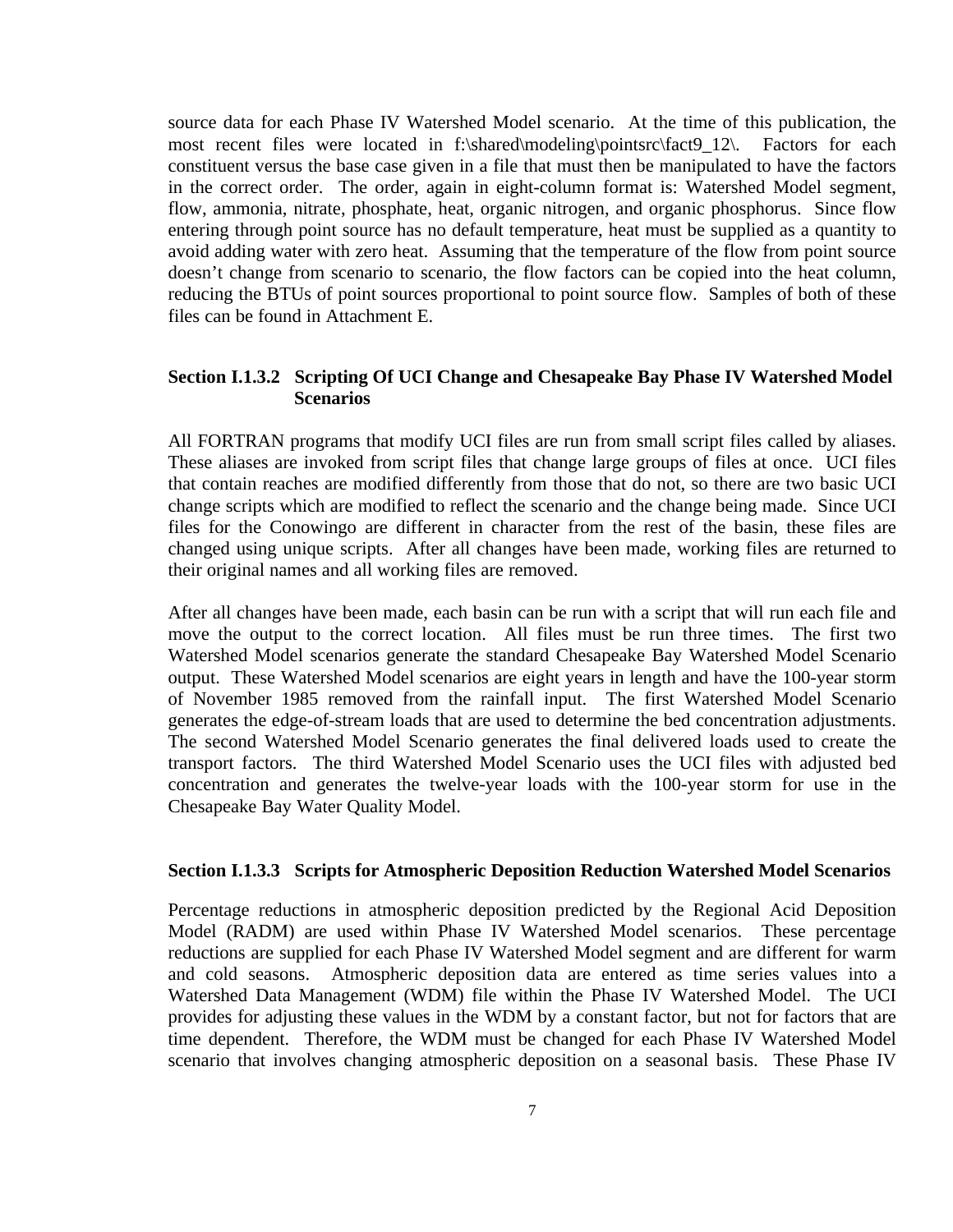source data for each Phase IV Watershed Model scenario. At the time of this publication, the most recent files were located in f:\shared\modeling\pointsrc\fact9\_12\. Factors for each constituent versus the base case given in a file that must then be manipulated to have the factors in the correct order. The order, again in eight-column format is: Watershed Model segment, flow, ammonia, nitrate, phosphate, heat, organic nitrogen, and organic phosphorus. Since flow entering through point source has no default temperature, heat must be supplied as a quantity to avoid adding water with zero heat. Assuming that the temperature of the flow from point source doesn't change from scenario to scenario, the flow factors can be copied into the heat column, reducing the BTUs of point sources proportional to point source flow. Samples of both of these files can be found in Attachment E.

### **Section I.1.3.2 Scripting Of UCI Change and Chesapeake Bay Phase IV Watershed Model Scenarios**

All FORTRAN programs that modify UCI files are run from small script files called by aliases. These aliases are invoked from script files that change large groups of files at once. UCI files that contain reaches are modified differently from those that do not, so there are two basic UCI change scripts which are modified to reflect the scenario and the change being made. Since UCI files for the Conowingo are different in character from the rest of the basin, these files are changed using unique scripts. After all changes have been made, working files are returned to their original names and all working files are removed.

After all changes have been made, each basin can be run with a script that will run each file and move the output to the correct location. All files must be run three times. The first two Watershed Model scenarios generate the standard Chesapeake Bay Watershed Model Scenario output. These Watershed Model scenarios are eight years in length and have the 100-year storm of November 1985 removed from the rainfall input. The first Watershed Model Scenario generates the edge-of-stream loads that are used to determine the bed concentration adjustments. The second Watershed Model Scenario generates the final delivered loads used to create the transport factors. The third Watershed Model Scenario uses the UCI files with adjusted bed concentration and generates the twelve-year loads with the 100-year storm for use in the Chesapeake Bay Water Quality Model.

#### **Section I.1.3.3 Scripts for Atmospheric Deposition Reduction Watershed Model Scenarios**

Percentage reductions in atmospheric deposition predicted by the Regional Acid Deposition Model (RADM) are used within Phase IV Watershed Model scenarios. These percentage reductions are supplied for each Phase IV Watershed Model segment and are different for warm and cold seasons. Atmospheric deposition data are entered as time series values into a Watershed Data Management (WDM) file within the Phase IV Watershed Model. The UCI provides for adjusting these values in the WDM by a constant factor, but not for factors that are time dependent. Therefore, the WDM must be changed for each Phase IV Watershed Model scenario that involves changing atmospheric deposition on a seasonal basis. These Phase IV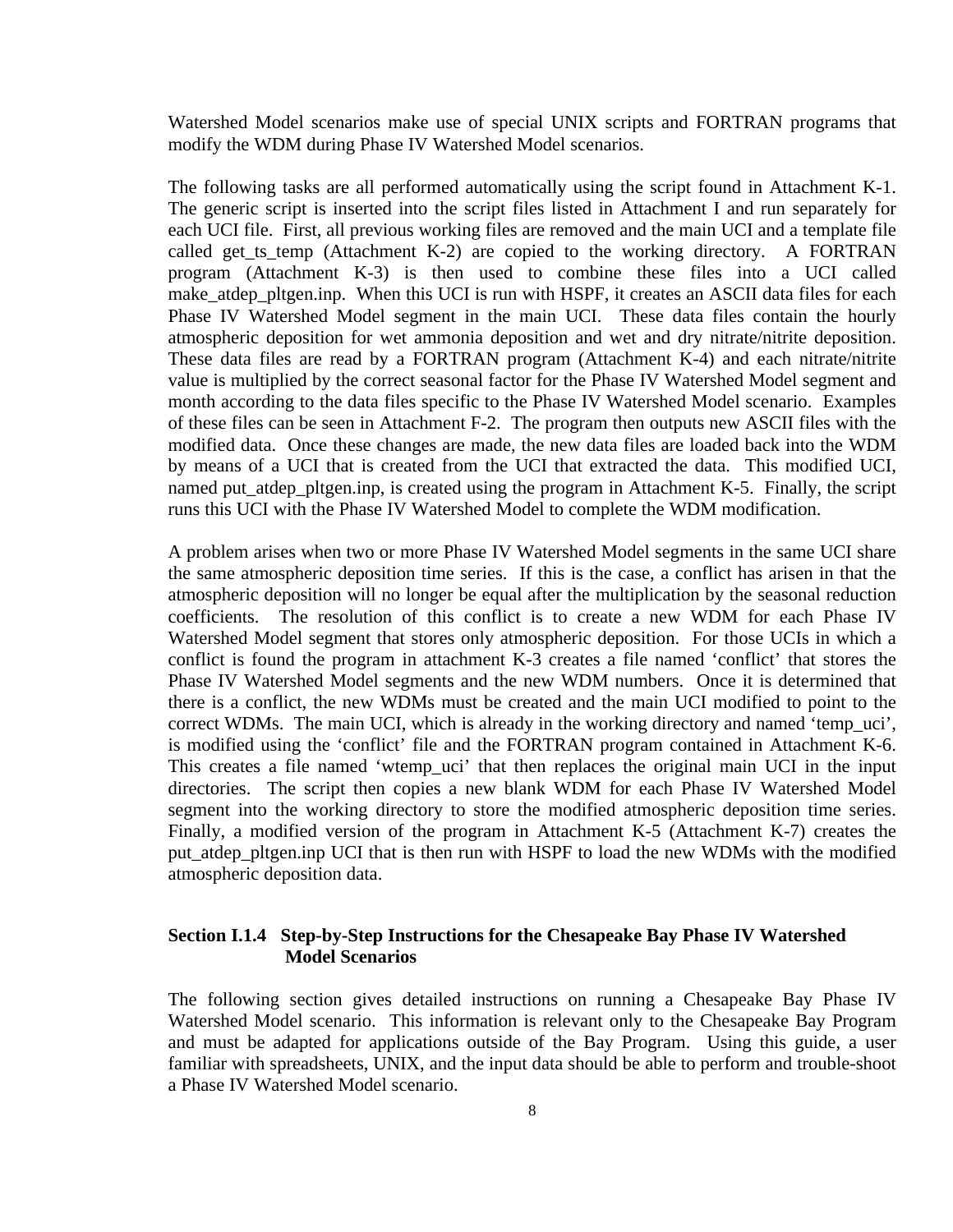Watershed Model scenarios make use of special UNIX scripts and FORTRAN programs that modify the WDM during Phase IV Watershed Model scenarios.

The following tasks are all performed automatically using the script found in Attachment K-1. The generic script is inserted into the script files listed in Attachment I and run separately for each UCI file. First, all previous working files are removed and the main UCI and a template file called get ts temp (Attachment K-2) are copied to the working directory. A FORTRAN program (Attachment K-3) is then used to combine these files into a UCI called make\_atdep\_pltgen.inp. When this UCI is run with HSPF, it creates an ASCII data files for each Phase IV Watershed Model segment in the main UCI. These data files contain the hourly atmospheric deposition for wet ammonia deposition and wet and dry nitrate/nitrite deposition. These data files are read by a FORTRAN program (Attachment K-4) and each nitrate/nitrite value is multiplied by the correct seasonal factor for the Phase IV Watershed Model segment and month according to the data files specific to the Phase IV Watershed Model scenario. Examples of these files can be seen in Attachment F-2. The program then outputs new ASCII files with the modified data. Once these changes are made, the new data files are loaded back into the WDM by means of a UCI that is created from the UCI that extracted the data. This modified UCI, named put\_atdep\_pltgen.inp, is created using the program in Attachment K-5. Finally, the script runs this UCI with the Phase IV Watershed Model to complete the WDM modification.

A problem arises when two or more Phase IV Watershed Model segments in the same UCI share the same atmospheric deposition time series. If this is the case, a conflict has arisen in that the atmospheric deposition will no longer be equal after the multiplication by the seasonal reduction coefficients. The resolution of this conflict is to create a new WDM for each Phase IV Watershed Model segment that stores only atmospheric deposition. For those UCIs in which a conflict is found the program in attachment K-3 creates a file named 'conflict' that stores the Phase IV Watershed Model segments and the new WDM numbers. Once it is determined that there is a conflict, the new WDMs must be created and the main UCI modified to point to the correct WDMs. The main UCI, which is already in the working directory and named 'temp\_uci', is modified using the 'conflict' file and the FORTRAN program contained in Attachment K-6. This creates a file named 'wtemp\_uci' that then replaces the original main UCI in the input directories. The script then copies a new blank WDM for each Phase IV Watershed Model segment into the working directory to store the modified atmospheric deposition time series. Finally, a modified version of the program in Attachment K-5 (Attachment K-7) creates the put\_atdep\_pltgen.inp UCI that is then run with HSPF to load the new WDMs with the modified atmospheric deposition data.

## **Section I.1.4 Step-by-Step Instructions for the Chesapeake Bay Phase IV Watershed Model Scenarios**

The following section gives detailed instructions on running a Chesapeake Bay Phase IV Watershed Model scenario. This information is relevant only to the Chesapeake Bay Program and must be adapted for applications outside of the Bay Program. Using this guide, a user familiar with spreadsheets, UNIX, and the input data should be able to perform and trouble-shoot a Phase IV Watershed Model scenario.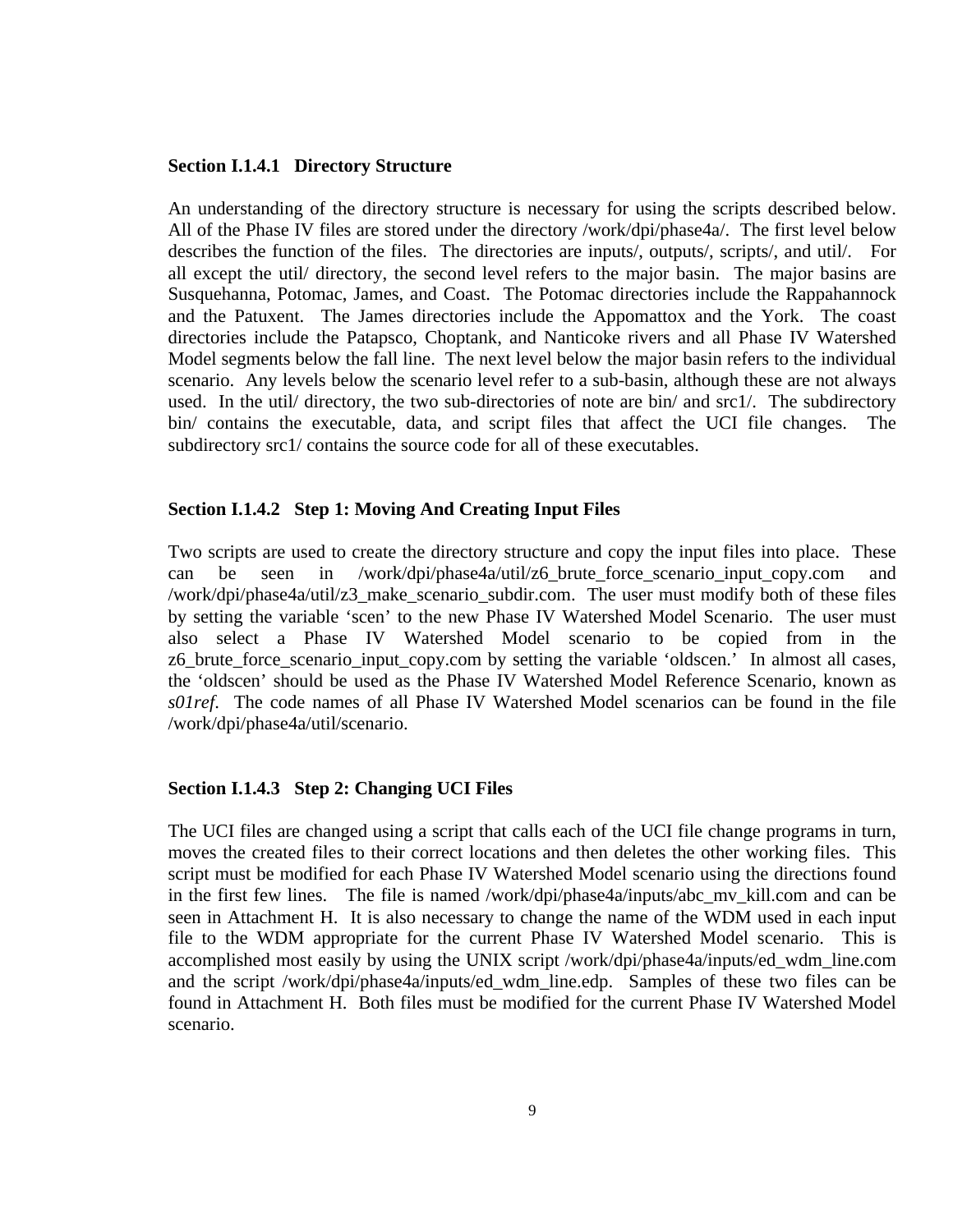#### **Section I.1.4.1 Directory Structure**

An understanding of the directory structure is necessary for using the scripts described below. All of the Phase IV files are stored under the directory /work/dpi/phase4a/. The first level below describes the function of the files. The directories are inputs/, outputs/, scripts/, and util/. For all except the util/ directory, the second level refers to the major basin. The major basins are Susquehanna, Potomac, James, and Coast. The Potomac directories include the Rappahannock and the Patuxent. The James directories include the Appomattox and the York. The coast directories include the Patapsco, Choptank, and Nanticoke rivers and all Phase IV Watershed Model segments below the fall line. The next level below the major basin refers to the individual scenario. Any levels below the scenario level refer to a sub-basin, although these are not always used. In the util/ directory, the two sub-directories of note are bin/ and src1/. The subdirectory bin/ contains the executable, data, and script files that affect the UCI file changes. The subdirectory src1/ contains the source code for all of these executables.

#### **Section I.1.4.2 Step 1: Moving And Creating Input Files**

Two scripts are used to create the directory structure and copy the input files into place. These can be seen in /work/dpi/phase4a/util/z6 brute force scenario input copy.com and /work/dpi/phase4a/util/z3\_make\_scenario\_subdir.com. The user must modify both of these files by setting the variable 'scen' to the new Phase IV Watershed Model Scenario. The user must also select a Phase IV Watershed Model scenario to be copied from in the z6\_brute\_force\_scenario\_input\_copy.com by setting the variable 'oldscen.' In almost all cases, the 'oldscen' should be used as the Phase IV Watershed Model Reference Scenario, known as *s01ref*. The code names of all Phase IV Watershed Model scenarios can be found in the file /work/dpi/phase4a/util/scenario.

#### **Section I.1.4.3 Step 2: Changing UCI Files**

The UCI files are changed using a script that calls each of the UCI file change programs in turn, moves the created files to their correct locations and then deletes the other working files. This script must be modified for each Phase IV Watershed Model scenario using the directions found in the first few lines. The file is named /work/dpi/phase4a/inputs/abc\_mv\_kill.com and can be seen in Attachment H. It is also necessary to change the name of the WDM used in each input file to the WDM appropriate for the current Phase IV Watershed Model scenario. This is accomplished most easily by using the UNIX script /work/dpi/phase4a/inputs/ed\_wdm\_line.com and the script /work/dpi/phase4a/inputs/ed\_wdm\_line.edp. Samples of these two files can be found in Attachment H. Both files must be modified for the current Phase IV Watershed Model scenario.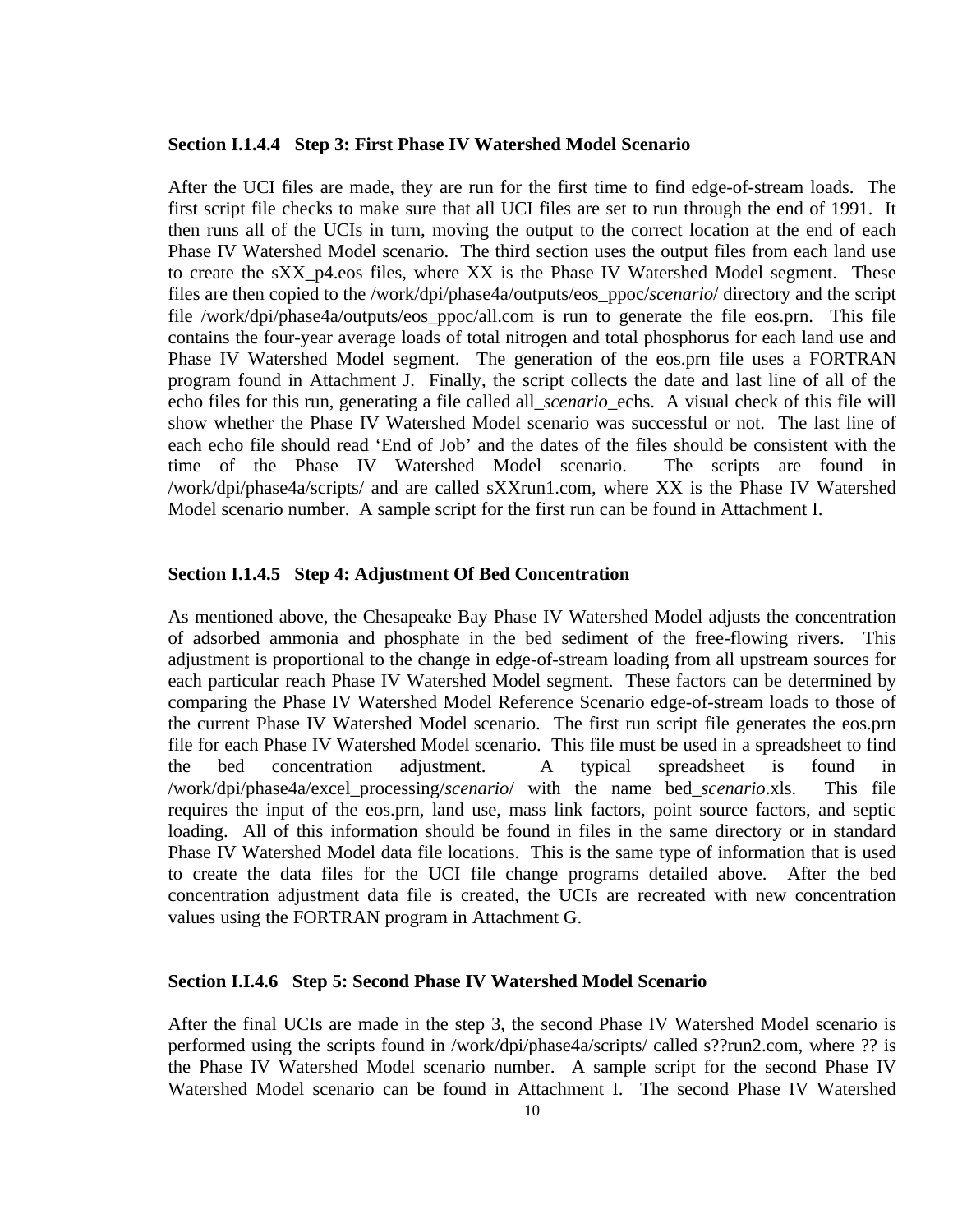#### **Section I.1.4.4 Step 3: First Phase IV Watershed Model Scenario**

After the UCI files are made, they are run for the first time to find edge-of-stream loads. The first script file checks to make sure that all UCI files are set to run through the end of 1991. It then runs all of the UCIs in turn, moving the output to the correct location at the end of each Phase IV Watershed Model scenario. The third section uses the output files from each land use to create the sXX\_p4.eos files, where XX is the Phase IV Watershed Model segment. These files are then copied to the /work/dpi/phase4a/outputs/eos\_ppoc/*scenario*/ directory and the script file /work/dpi/phase4a/outputs/eos\_ppoc/all.com is run to generate the file eos.prn. This file contains the four-year average loads of total nitrogen and total phosphorus for each land use and Phase IV Watershed Model segment. The generation of the eos.prn file uses a FORTRAN program found in Attachment J. Finally, the script collects the date and last line of all of the echo files for this run, generating a file called all\_*scenario*\_echs. A visual check of this file will show whether the Phase IV Watershed Model scenario was successful or not. The last line of each echo file should read 'End of Job' and the dates of the files should be consistent with the time of the Phase IV Watershed Model scenario. The scripts are found in /work/dpi/phase4a/scripts/ and are called sXXrun1.com, where XX is the Phase IV Watershed Model scenario number. A sample script for the first run can be found in Attachment I.

#### **Section I.1.4.5 Step 4: Adjustment Of Bed Concentration**

As mentioned above, the Chesapeake Bay Phase IV Watershed Model adjusts the concentration of adsorbed ammonia and phosphate in the bed sediment of the free-flowing rivers. This adjustment is proportional to the change in edge-of-stream loading from all upstream sources for each particular reach Phase IV Watershed Model segment. These factors can be determined by comparing the Phase IV Watershed Model Reference Scenario edge-of-stream loads to those of the current Phase IV Watershed Model scenario. The first run script file generates the eos.prn file for each Phase IV Watershed Model scenario. This file must be used in a spreadsheet to find the bed concentration adjustment. A typical spreadsheet is found in /work/dpi/phase4a/excel\_processing/*scenario*/ with the name bed\_*scenario*.xls. This file requires the input of the eos.prn, land use, mass link factors, point source factors, and septic loading. All of this information should be found in files in the same directory or in standard Phase IV Watershed Model data file locations. This is the same type of information that is used to create the data files for the UCI file change programs detailed above. After the bed concentration adjustment data file is created, the UCIs are recreated with new concentration values using the FORTRAN program in Attachment G.

#### **Section I.I.4.6 Step 5: Second Phase IV Watershed Model Scenario**

After the final UCIs are made in the step 3, the second Phase IV Watershed Model scenario is performed using the scripts found in /work/dpi/phase4a/scripts/ called s??run2.com, where ?? is the Phase IV Watershed Model scenario number. A sample script for the second Phase IV Watershed Model scenario can be found in Attachment I. The second Phase IV Watershed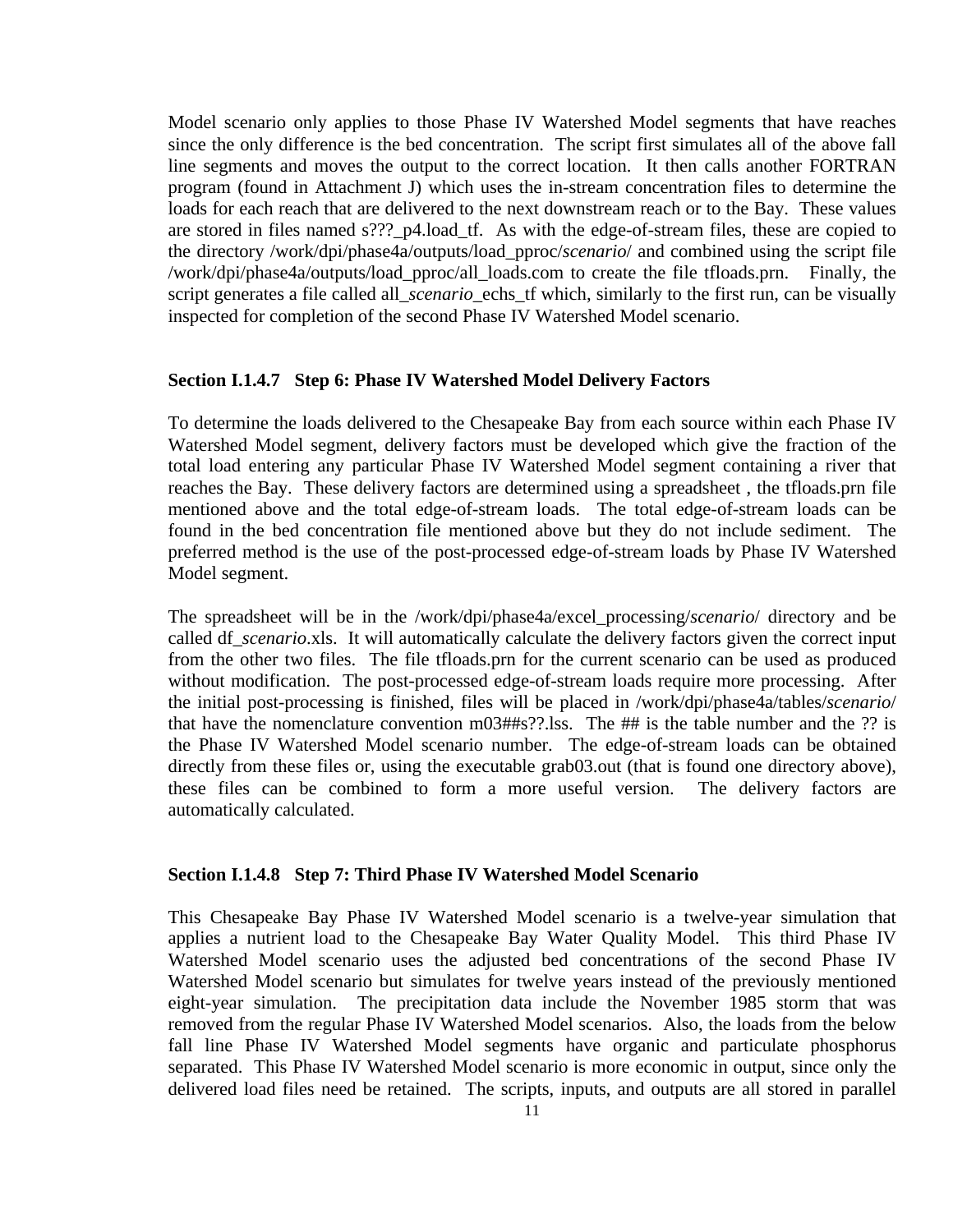Model scenario only applies to those Phase IV Watershed Model segments that have reaches since the only difference is the bed concentration. The script first simulates all of the above fall line segments and moves the output to the correct location. It then calls another FORTRAN program (found in Attachment J) which uses the in-stream concentration files to determine the loads for each reach that are delivered to the next downstream reach or to the Bay. These values are stored in files named s???\_p4.load\_tf. As with the edge-of-stream files, these are copied to the directory /work/dpi/phase4a/outputs/load\_pproc/*scenario*/ and combined using the script file /work/dpi/phase4a/outputs/load\_pproc/all\_loads.com to create the file tfloads.prn. Finally, the script generates a file called all\_*scenario*\_echs\_tf which, similarly to the first run, can be visually inspected for completion of the second Phase IV Watershed Model scenario.

#### **Section I.1.4.7 Step 6: Phase IV Watershed Model Delivery Factors**

To determine the loads delivered to the Chesapeake Bay from each source within each Phase IV Watershed Model segment, delivery factors must be developed which give the fraction of the total load entering any particular Phase IV Watershed Model segment containing a river that reaches the Bay. These delivery factors are determined using a spreadsheet , the tfloads.prn file mentioned above and the total edge-of-stream loads. The total edge-of-stream loads can be found in the bed concentration file mentioned above but they do not include sediment. The preferred method is the use of the post-processed edge-of-stream loads by Phase IV Watershed Model segment.

The spreadsheet will be in the /work/dpi/phase4a/excel\_processing/*scenario*/ directory and be called df\_*scenario*.xls. It will automatically calculate the delivery factors given the correct input from the other two files. The file tfloads.prn for the current scenario can be used as produced without modification. The post-processed edge-of-stream loads require more processing. After the initial post-processing is finished, files will be placed in /work/dpi/phase4a/tables/*scenario*/ that have the nomenclature convention m03##s??.lss. The ## is the table number and the ?? is the Phase IV Watershed Model scenario number. The edge-of-stream loads can be obtained directly from these files or, using the executable grab03.out (that is found one directory above), these files can be combined to form a more useful version. The delivery factors are automatically calculated.

#### **Section I.1.4.8 Step 7: Third Phase IV Watershed Model Scenario**

This Chesapeake Bay Phase IV Watershed Model scenario is a twelve-year simulation that applies a nutrient load to the Chesapeake Bay Water Quality Model. This third Phase IV Watershed Model scenario uses the adjusted bed concentrations of the second Phase IV Watershed Model scenario but simulates for twelve years instead of the previously mentioned eight-year simulation. The precipitation data include the November 1985 storm that was removed from the regular Phase IV Watershed Model scenarios. Also, the loads from the below fall line Phase IV Watershed Model segments have organic and particulate phosphorus separated. This Phase IV Watershed Model scenario is more economic in output, since only the delivered load files need be retained. The scripts, inputs, and outputs are all stored in parallel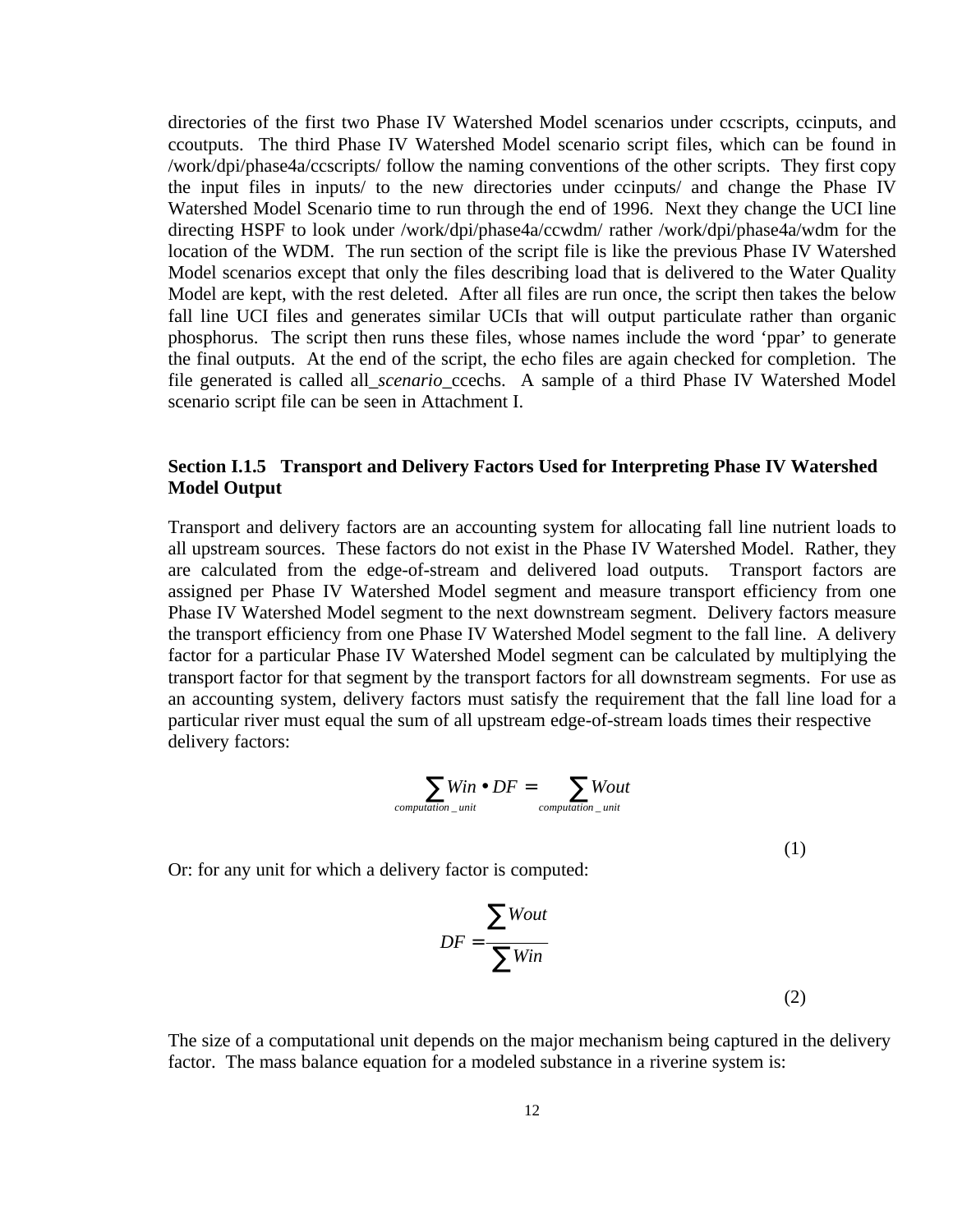directories of the first two Phase IV Watershed Model scenarios under ccscripts, ccinputs, and ccoutputs. The third Phase IV Watershed Model scenario script files, which can be found in /work/dpi/phase4a/ccscripts/ follow the naming conventions of the other scripts. They first copy the input files in inputs/ to the new directories under ccinputs/ and change the Phase IV Watershed Model Scenario time to run through the end of 1996. Next they change the UCI line directing HSPF to look under /work/dpi/phase4a/ccwdm/ rather /work/dpi/phase4a/wdm for the location of the WDM. The run section of the script file is like the previous Phase IV Watershed Model scenarios except that only the files describing load that is delivered to the Water Quality Model are kept, with the rest deleted. After all files are run once, the script then takes the below fall line UCI files and generates similar UCIs that will output particulate rather than organic phosphorus. The script then runs these files, whose names include the word 'ppar' to generate the final outputs. At the end of the script, the echo files are again checked for completion. The file generated is called all\_*scenario*\_ccechs. A sample of a third Phase IV Watershed Model scenario script file can be seen in Attachment I.

# **Section I.1.5 Transport and Delivery Factors Used for Interpreting Phase IV Watershed Model Output**

Transport and delivery factors are an accounting system for allocating fall line nutrient loads to all upstream sources. These factors do not exist in the Phase IV Watershed Model. Rather, they are calculated from the edge-of-stream and delivered load outputs. Transport factors are assigned per Phase IV Watershed Model segment and measure transport efficiency from one Phase IV Watershed Model segment to the next downstream segment. Delivery factors measure the transport efficiency from one Phase IV Watershed Model segment to the fall line. A delivery factor for a particular Phase IV Watershed Model segment can be calculated by multiplying the transport factor for that segment by the transport factors for all downstream segments. For use as an accounting system, delivery factors must satisfy the requirement that the fall line load for a particular river must equal the sum of all upstream edge-of-stream loads times their respective delivery factors:

$$
\sum_{\text{computation\_unit}} Win \bullet DF = \sum_{\text{computation\_unit}} Wout
$$

(1)

Or: for any unit for which a delivery factor is computed:

$$
DF = \frac{\sum Wout}{\sum Win}
$$
 (2)

The size of a computational unit depends on the major mechanism being captured in the delivery factor. The mass balance equation for a modeled substance in a riverine system is: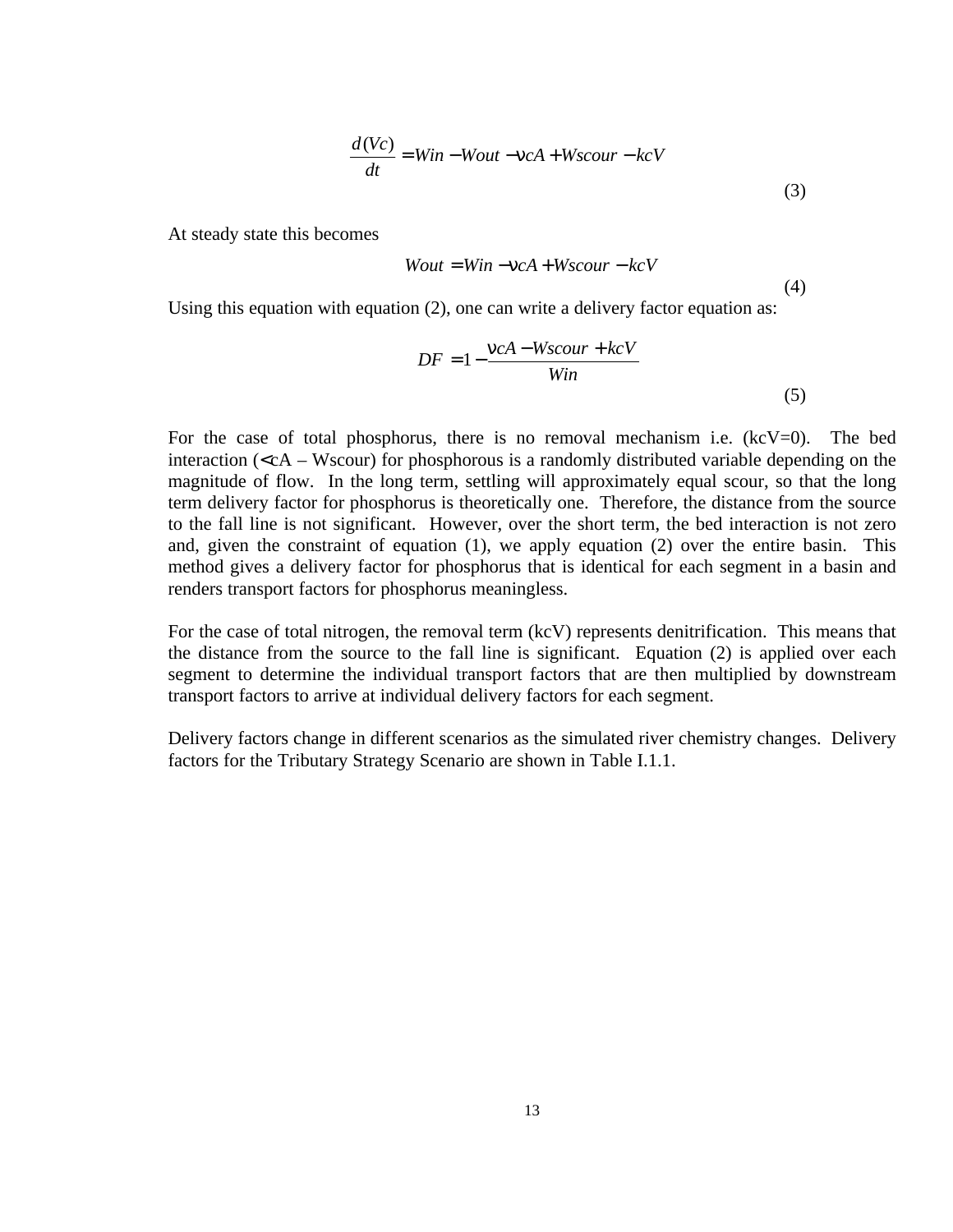$$
\frac{d(Vc)}{dt} = Win - Wout - nca + Wscourt - kcV
$$
\n(3)

At steady state this becomes

$$
Wout = Win - nca + Ws cour - kcV
$$

(4)

Using this equation with equation (2), one can write a delivery factor equation as:

$$
DF = 1 - \frac{ncA - Wscourt + kcV}{Win}
$$
\n(5)

For the case of total phosphorus, there is no removal mechanism i.e.  $(kcV=0)$ . The bed interaction ( $\langle cA - Ws\text{cour} \rangle$ ) for phosphorous is a randomly distributed variable depending on the magnitude of flow. In the long term, settling will approximately equal scour, so that the long term delivery factor for phosphorus is theoretically one. Therefore, the distance from the source to the fall line is not significant. However, over the short term, the bed interaction is not zero and, given the constraint of equation (1), we apply equation (2) over the entire basin. This method gives a delivery factor for phosphorus that is identical for each segment in a basin and renders transport factors for phosphorus meaningless.

For the case of total nitrogen, the removal term (kcV) represents denitrification. This means that the distance from the source to the fall line is significant. Equation (2) is applied over each segment to determine the individual transport factors that are then multiplied by downstream transport factors to arrive at individual delivery factors for each segment.

Delivery factors change in different scenarios as the simulated river chemistry changes. Delivery factors for the Tributary Strategy Scenario are shown in Table I.1.1.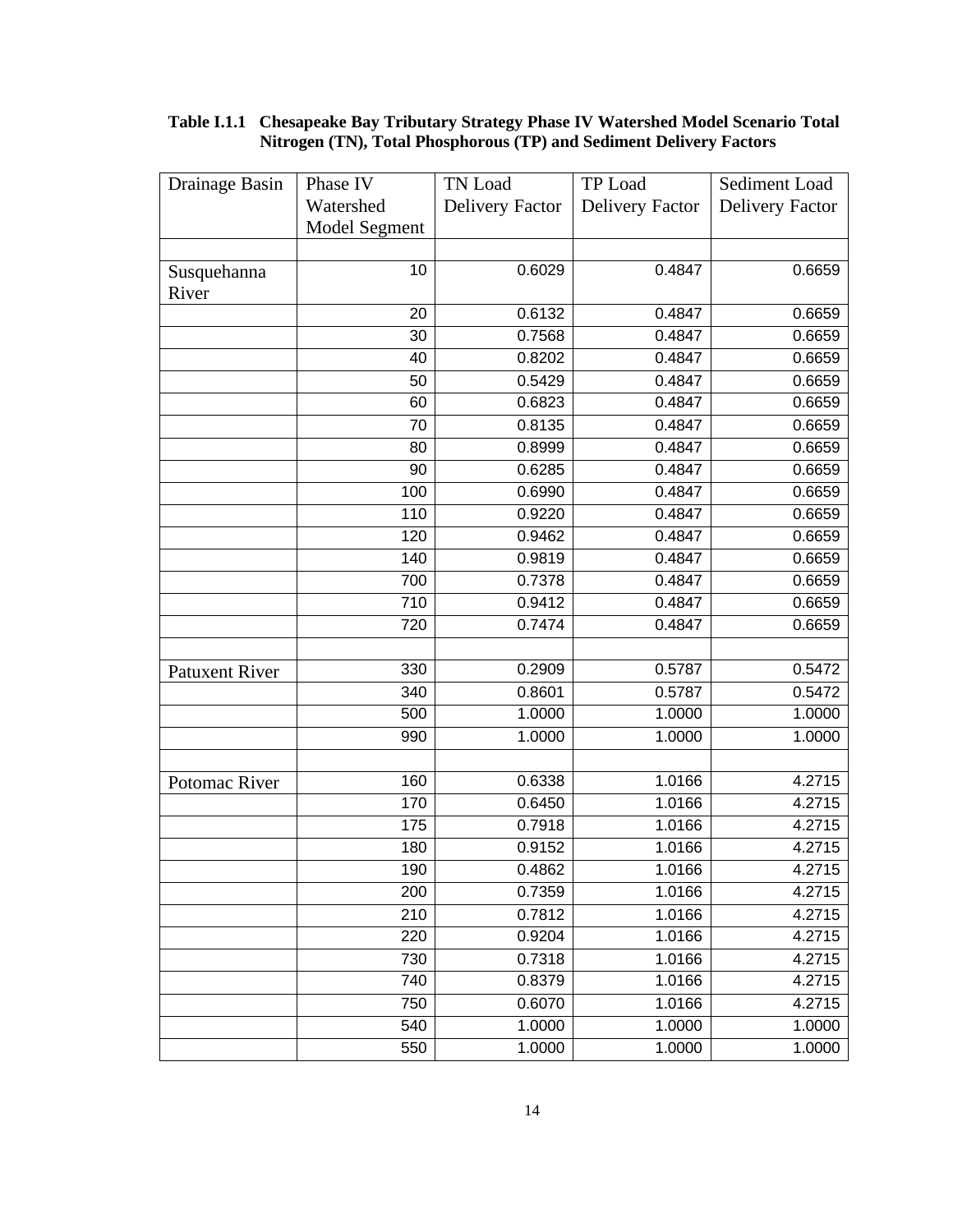| Drainage Basin        | Phase IV      | TN Load                | TP Load                | Sediment Load          |
|-----------------------|---------------|------------------------|------------------------|------------------------|
|                       | Watershed     | <b>Delivery Factor</b> | <b>Delivery Factor</b> | <b>Delivery Factor</b> |
|                       | Model Segment |                        |                        |                        |
|                       |               |                        |                        |                        |
| Susquehanna           | 10            | 0.6029                 | 0.4847                 | 0.6659                 |
| River                 |               |                        |                        |                        |
|                       | 20            | 0.6132                 | 0.4847                 | 0.6659                 |
|                       | 30            | 0.7568                 | 0.4847                 | 0.6659                 |
|                       | 40            | 0.8202                 | 0.4847                 | 0.6659                 |
|                       | 50            | 0.5429                 | 0.4847                 | 0.6659                 |
|                       | 60            | 0.6823                 | 0.4847                 | 0.6659                 |
|                       | 70            | 0.8135                 | 0.4847                 | 0.6659                 |
|                       | 80            | 0.8999                 | 0.4847                 | 0.6659                 |
|                       | 90            | 0.6285                 | 0.4847                 | 0.6659                 |
|                       | 100           | 0.6990                 | 0.4847                 | 0.6659                 |
|                       | 110           | 0.9220                 | 0.4847                 | 0.6659                 |
|                       | 120           | 0.9462                 | 0.4847                 | 0.6659                 |
|                       | 140           | 0.9819                 | 0.4847                 | 0.6659                 |
|                       | 700           | 0.7378                 | 0.4847                 | 0.6659                 |
|                       | 710           | 0.9412                 | 0.4847                 | 0.6659                 |
|                       | 720           | 0.7474                 | 0.4847                 | 0.6659                 |
|                       |               |                        |                        |                        |
| <b>Patuxent River</b> | 330           | 0.2909                 | 0.5787                 | 0.5472                 |
|                       | 340           | 0.8601                 | 0.5787                 | 0.5472                 |
|                       | 500           | 1.0000                 | 1.0000                 | 1.0000                 |
|                       | 990           | 1.0000                 | 1.0000                 | 1.0000                 |
|                       |               |                        |                        |                        |
| Potomac River         | 160           | 0.6338                 | 1.0166                 | 4.2715                 |
|                       | 170           | 0.6450                 | 1.0166                 | 4.2715                 |
|                       | 175           | 0.7918                 | 1.0166                 | 4.2715                 |
|                       | 180           | 0.9152                 | 1.0166                 | 4.2715                 |
|                       | 190           | 0.4862                 | 1.0166                 | 4.2715                 |
|                       | 200           | 0.7359                 | 1.0166                 | 4.2715                 |
|                       | 210           | 0.7812                 | 1.0166                 | 4.2715                 |
|                       | 220           | 0.9204                 | 1.0166                 | 4.2715                 |
|                       | 730           | 0.7318                 | 1.0166                 | 4.2715                 |
|                       | 740           | 0.8379                 | 1.0166                 | 4.2715                 |
|                       | 750           | 0.6070                 | 1.0166                 | 4.2715                 |
|                       | 540           | 1.0000                 | 1.0000                 | 1.0000                 |
|                       | 550           | 1.0000                 | 1.0000                 | 1.0000                 |

#### **Table I.1.1 Chesapeake Bay Tributary Strategy Phase IV Watershed Model Scenario Total Nitrogen (TN), Total Phosphorous (TP) and Sediment Delivery Factors**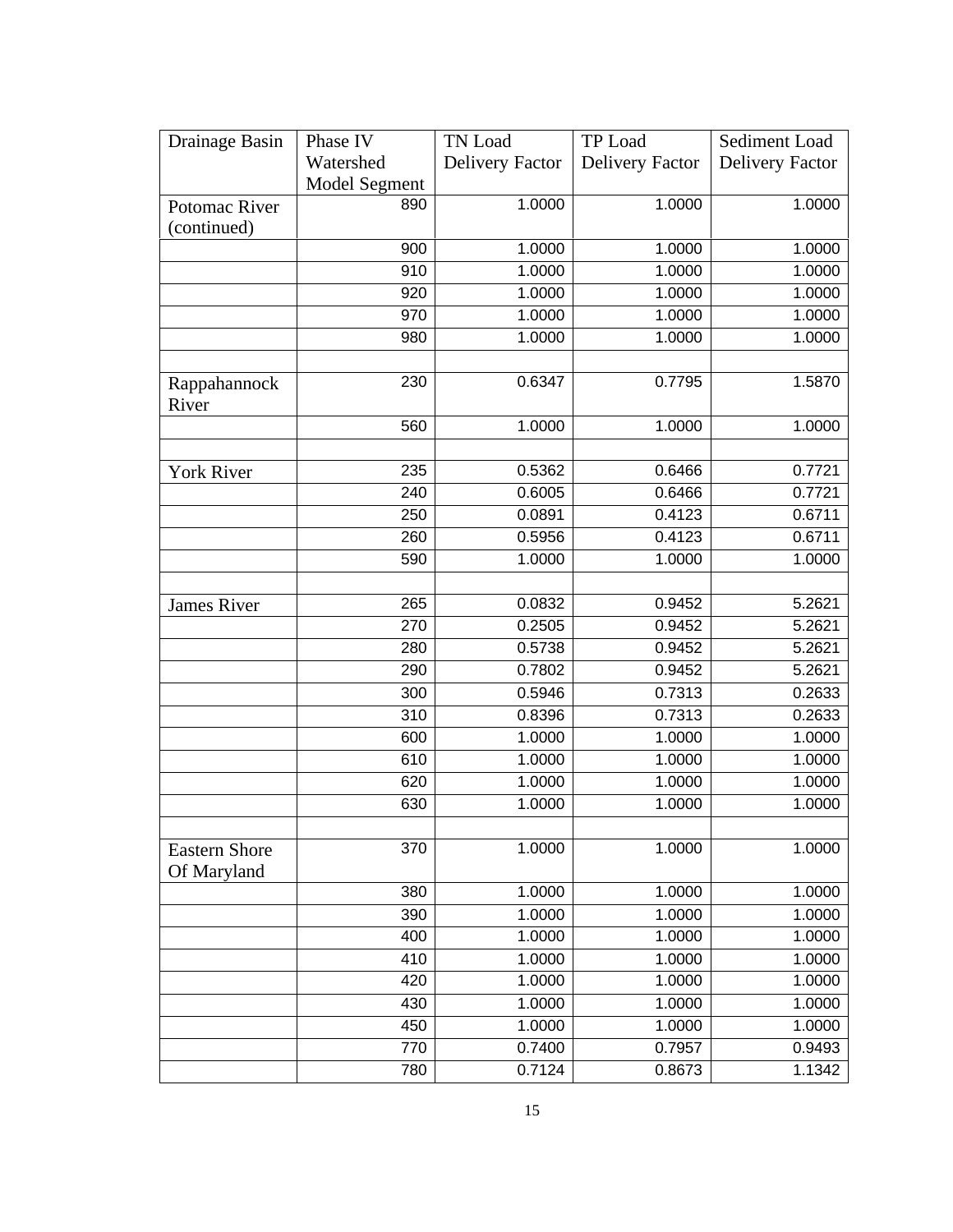| Drainage Basin       | Phase IV         | TN Load                | TP Load                | Sediment Load          |
|----------------------|------------------|------------------------|------------------------|------------------------|
|                      | Watershed        | <b>Delivery Factor</b> | <b>Delivery Factor</b> | <b>Delivery Factor</b> |
|                      | Model Segment    |                        |                        |                        |
| Potomac River        | 890              | 1.0000                 | 1.0000                 | 1.0000                 |
| (continued)          |                  |                        |                        |                        |
|                      | 900              | 1.0000                 | 1.0000                 | 1.0000                 |
|                      | 910              | 1.0000                 | 1.0000                 | 1.0000                 |
|                      | 920              | 1.0000                 | 1.0000                 | 1.0000                 |
|                      | 970              | 1.0000                 | 1.0000                 | 1.0000                 |
|                      | 980              | 1.0000                 | 1.0000                 | 1.0000                 |
|                      |                  |                        |                        |                        |
| Rappahannock         | 230              | 0.6347                 | 0.7795                 | 1.5870                 |
| River                |                  |                        |                        |                        |
|                      | 560              | 1.0000                 | 1.0000                 | 1.0000                 |
|                      |                  |                        |                        |                        |
| <b>York River</b>    | 235              | 0.5362                 | 0.6466                 | 0.7721                 |
|                      | 240              | 0.6005                 | 0.6466                 | 0.7721                 |
|                      | 250              | 0.0891                 | 0.4123                 | 0.6711                 |
|                      | 260              | 0.5956                 | 0.4123                 | 0.6711                 |
|                      | 590              | 1.0000                 | 1.0000                 | 1.0000                 |
|                      |                  |                        |                        |                        |
| <b>James River</b>   | 265              | 0.0832                 | 0.9452                 | 5.2621                 |
|                      | 270              | 0.2505                 | 0.9452                 | 5.2621                 |
|                      | 280              | 0.5738                 | 0.9452                 | 5.2621                 |
|                      | 290              | 0.7802                 | 0.9452                 | $\overline{5.2621}$    |
|                      | 300              | 0.5946                 | 0.7313                 | 0.2633                 |
|                      | $\overline{310}$ | 0.8396                 | 0.7313                 | 0.2633                 |
|                      | 600              | 1.0000                 | 1.0000                 | 1.0000                 |
|                      | 610              | 1.0000                 | 1.0000                 | 1.0000                 |
|                      | 620              | 1.0000                 | 1.0000                 | 1.0000                 |
|                      | 630              | 1.0000                 | 1.0000                 | 1.0000                 |
|                      |                  |                        |                        |                        |
| <b>Eastern Shore</b> | 370              | 1.0000                 | 1.0000                 | 1.0000                 |
| Of Maryland          |                  |                        |                        |                        |
|                      | 380              | 1.0000                 | 1.0000                 | 1.0000                 |
|                      | 390              | 1.0000                 | 1.0000                 | 1.0000                 |
|                      | 400              | 1.0000                 | 1.0000                 | 1.0000                 |
|                      | 410              | 1.0000                 | 1.0000                 | 1.0000                 |
|                      | 420              | 1.0000                 | 1.0000                 | 1.0000                 |
|                      | 430              | 1.0000                 | 1.0000                 | 1.0000                 |
|                      | 450              | 1.0000                 | 1.0000                 | 1.0000                 |
|                      | 770              | 0.7400                 | 0.7957                 | 0.9493                 |
|                      | 780              | 0.7124                 | 0.8673                 | 1.1342                 |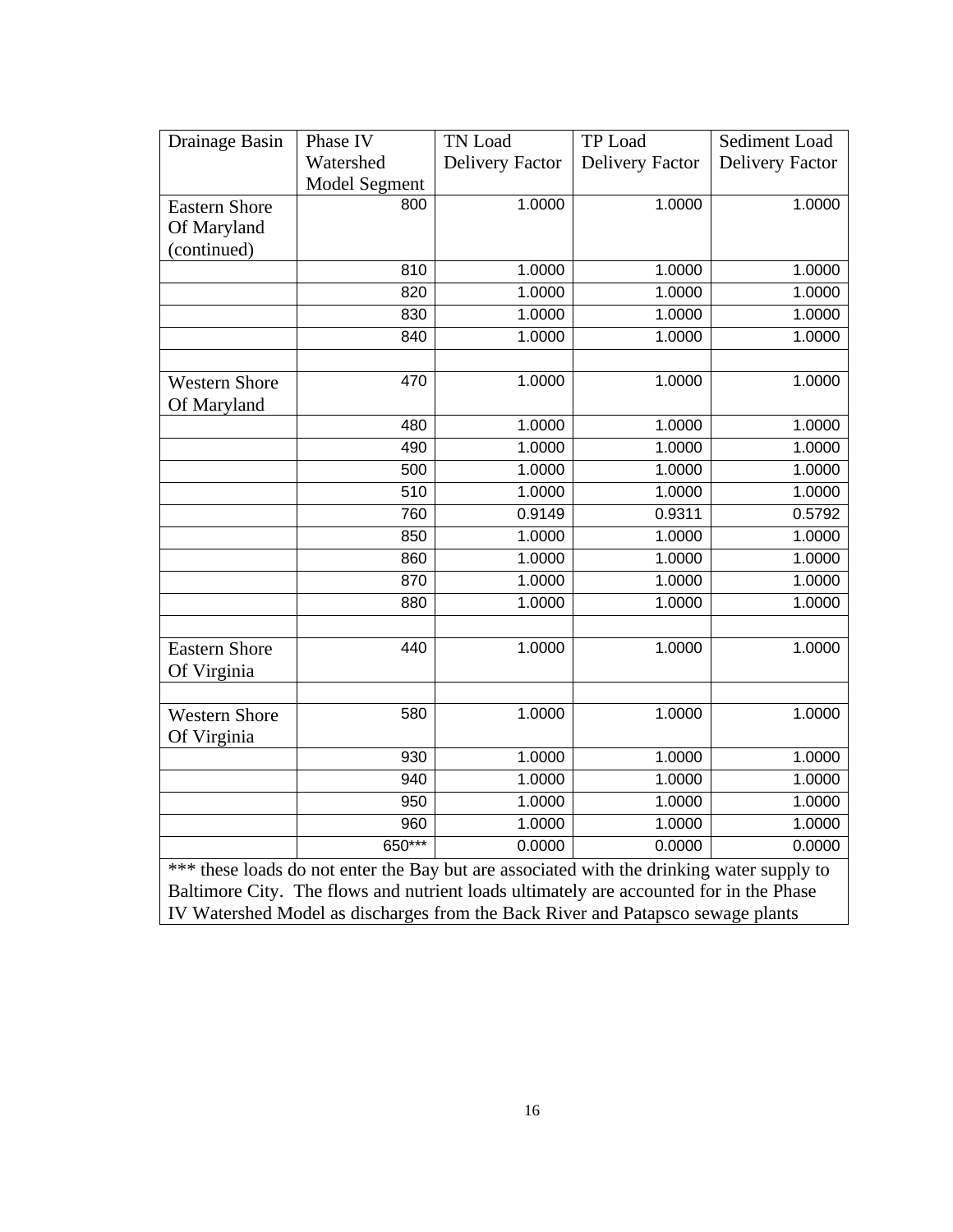| Drainage Basin       | Phase IV                                                                                  | TN Load                | TP Load                | Sediment Load          |
|----------------------|-------------------------------------------------------------------------------------------|------------------------|------------------------|------------------------|
|                      | Watershed                                                                                 | <b>Delivery Factor</b> | <b>Delivery Factor</b> | <b>Delivery Factor</b> |
|                      | <b>Model Segment</b>                                                                      |                        |                        |                        |
| <b>Eastern Shore</b> | 800                                                                                       | 1.0000                 | 1.0000                 | 1.0000                 |
| Of Maryland          |                                                                                           |                        |                        |                        |
| (continued)          |                                                                                           |                        |                        |                        |
|                      | 810                                                                                       | 1.0000                 | 1.0000                 | 1.0000                 |
|                      | 820                                                                                       | 1.0000                 | 1.0000                 | 1.0000                 |
|                      | 830                                                                                       | 1.0000                 | 1.0000                 | 1.0000                 |
|                      | 840                                                                                       | 1.0000                 | 1.0000                 | 1.0000                 |
|                      |                                                                                           |                        |                        |                        |
| <b>Western Shore</b> | 470                                                                                       | 1.0000                 | 1.0000                 | 1.0000                 |
| Of Maryland          |                                                                                           |                        |                        |                        |
|                      | 480                                                                                       | 1.0000                 | 1.0000                 | 1.0000                 |
|                      | 490                                                                                       | 1.0000                 | 1.0000                 | 1.0000                 |
|                      | 500                                                                                       | 1.0000                 | 1.0000                 | 1.0000                 |
|                      | 510                                                                                       | 1.0000                 | 1.0000                 | 1.0000                 |
|                      | 760                                                                                       | 0.9149                 | 0.9311                 | 0.5792                 |
|                      | 850                                                                                       | 1.0000                 | 1.0000                 | 1.0000                 |
|                      | 860                                                                                       | 1.0000                 | 1.0000                 | 1.0000                 |
|                      | 870                                                                                       | 1.0000                 | 1.0000                 | 1.0000                 |
|                      | 880                                                                                       | 1.0000                 | 1.0000                 | 1.0000                 |
|                      |                                                                                           |                        |                        |                        |
| <b>Eastern Shore</b> | 440                                                                                       | 1.0000                 | 1.0000                 | 1.0000                 |
| Of Virginia          |                                                                                           |                        |                        |                        |
|                      |                                                                                           |                        |                        |                        |
| <b>Western Shore</b> | 580                                                                                       | 1.0000                 | 1.0000                 | 1.0000                 |
| Of Virginia          |                                                                                           |                        |                        |                        |
|                      | 930                                                                                       | 1.0000                 | 1.0000                 | 1.0000                 |
|                      | 940                                                                                       | 1.0000                 | 1.0000                 | 1.0000                 |
|                      | 950                                                                                       | 1.0000                 | 1.0000                 | 1.0000                 |
|                      | 960                                                                                       | 1.0000                 | 1.0000                 | 1.0000                 |
|                      | 650***                                                                                    | 0.0000                 | 0.0000                 | 0.0000                 |
|                      | *** these loads do not enter the Bay but are associated with the drinking water supply to |                        |                        |                        |
|                      | Baltimore City. The flows and nutrient loads ultimately are accounted for in the Phase    |                        |                        |                        |
|                      | IV Watershed Model as discharges from the Back River and Patapsco sewage plants           |                        |                        |                        |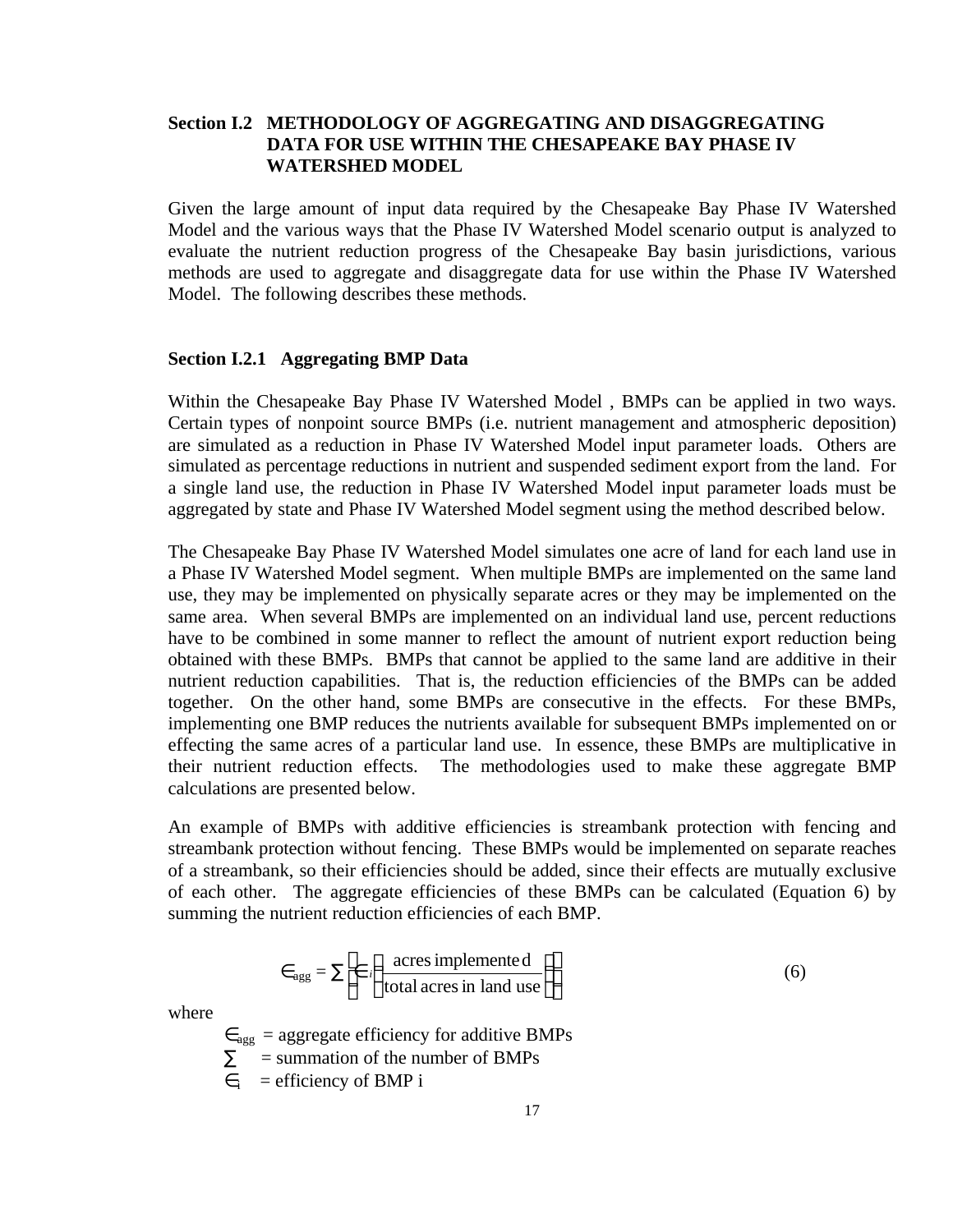# **Section I.2 METHODOLOGY OF AGGREGATING AND DISAGGREGATING DATA FOR USE WITHIN THE CHESAPEAKE BAY PHASE IV WATERSHED MODEL**

Given the large amount of input data required by the Chesapeake Bay Phase IV Watershed Model and the various ways that the Phase IV Watershed Model scenario output is analyzed to evaluate the nutrient reduction progress of the Chesapeake Bay basin jurisdictions, various methods are used to aggregate and disaggregate data for use within the Phase IV Watershed Model. The following describes these methods.

#### **Section I.2.1 Aggregating BMP Data**

Within the Chesapeake Bay Phase IV Watershed Model , BMPs can be applied in two ways. Certain types of nonpoint source BMPs (i.e. nutrient management and atmospheric deposition) are simulated as a reduction in Phase IV Watershed Model input parameter loads. Others are simulated as percentage reductions in nutrient and suspended sediment export from the land. For a single land use, the reduction in Phase IV Watershed Model input parameter loads must be aggregated by state and Phase IV Watershed Model segment using the method described below.

The Chesapeake Bay Phase IV Watershed Model simulates one acre of land for each land use in a Phase IV Watershed Model segment. When multiple BMPs are implemented on the same land use, they may be implemented on physically separate acres or they may be implemented on the same area. When several BMPs are implemented on an individual land use, percent reductions have to be combined in some manner to reflect the amount of nutrient export reduction being obtained with these BMPs. BMPs that cannot be applied to the same land are additive in their nutrient reduction capabilities. That is, the reduction efficiencies of the BMPs can be added together. On the other hand, some BMPs are consecutive in the effects. For these BMPs, implementing one BMP reduces the nutrients available for subsequent BMPs implemented on or effecting the same acres of a particular land use. In essence, these BMPs are multiplicative in their nutrient reduction effects. The methodologies used to make these aggregate BMP calculations are presented below.

An example of BMPs with additive efficiencies is streambank protection with fencing and streambank protection without fencing. These BMPs would be implemented on separate reaches of a streambank, so their efficiencies should be added, since their effects are mutually exclusive of each other. The aggregate efficiencies of these BMPs can be calculated (Equation 6) by summing the nutrient reduction efficiencies of each BMP.

$$
\epsilon_{\text{agg}} = \Sigma \left[ \epsilon \left( \frac{\text{acres implemented}}{\text{total acres in land use}} \right) \right]
$$
 (6)

where

 $\epsilon_{\text{agg}}$  = aggregate efficiency for additive BMPs

 $\Sigma$  = summation of the number of BMPs

 $\epsilon_i$  = efficiency of BMP i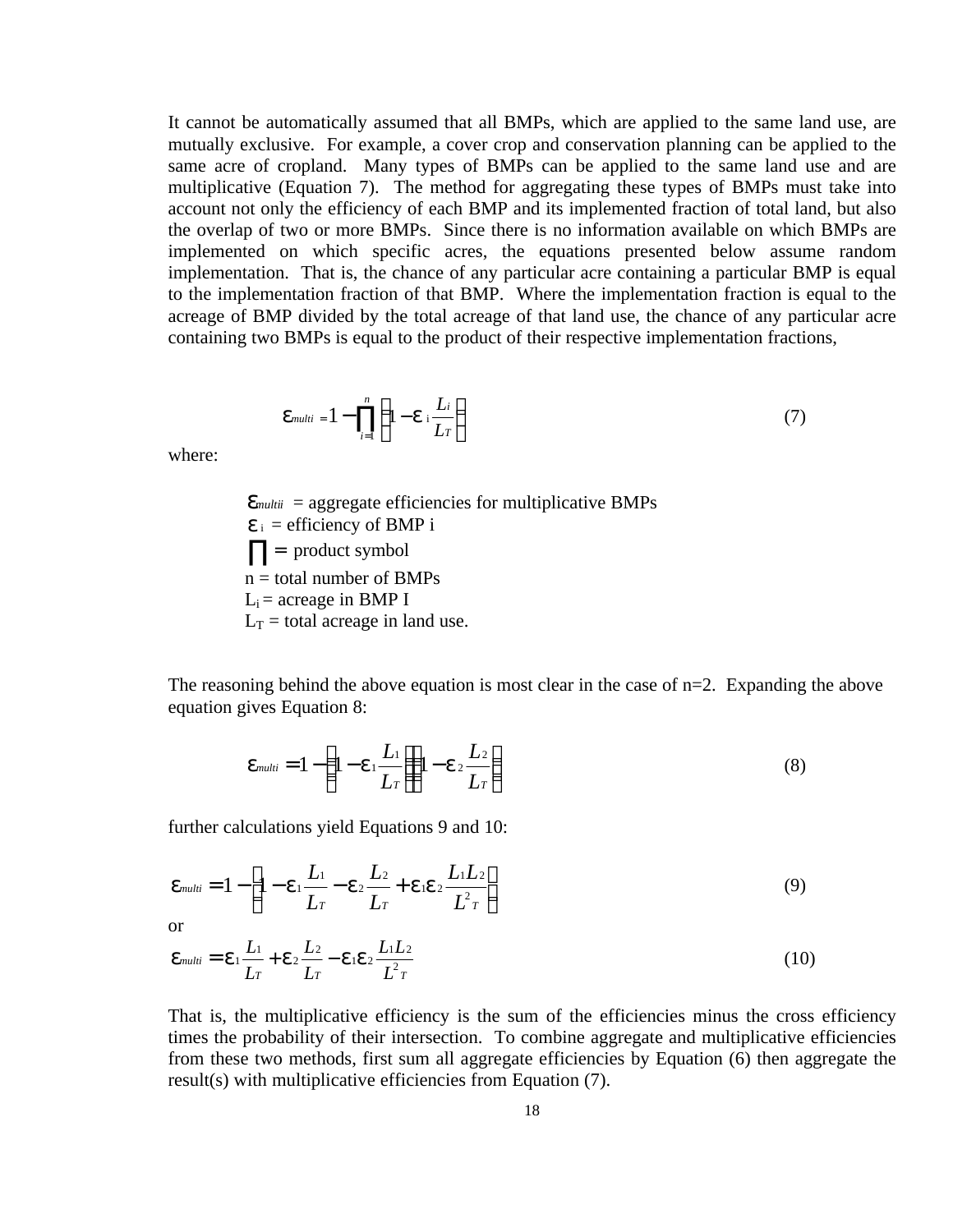It cannot be automatically assumed that all BMPs, which are applied to the same land use, are mutually exclusive. For example, a cover crop and conservation planning can be applied to the same acre of cropland. Many types of BMPs can be applied to the same land use and are multiplicative (Equation 7). The method for aggregating these types of BMPs must take into account not only the efficiency of each BMP and its implemented fraction of total land, but also the overlap of two or more BMPs. Since there is no information available on which BMPs are implemented on which specific acres, the equations presented below assume random implementation. That is, the chance of any particular acre containing a particular BMP is equal to the implementation fraction of that BMP. Where the implementation fraction is equal to the acreage of BMP divided by the total acreage of that land use, the chance of any particular acre containing two BMPs is equal to the product of their respective implementation fractions,

$$
\mathbf{e}_{multi} = 1 - \prod_{i=1}^{n} \left( 1 - \mathbf{e} \cdot \frac{L_i}{L_T} \right) \tag{7}
$$

where:

 *emultii* = aggregate efficiencies for multiplicative BMPs  $e_i$  = efficiency of BMP i  $\prod$  = product symbol n = total number of BMPs  $L_i$  = acreage in BMP I  $L_T$  = total acreage in land use.

The reasoning behind the above equation is most clear in the case of  $n=2$ . Expanding the above equation gives Equation 8:

$$
e_{multi} = 1 - \left(1 - e_1 \frac{L_1}{L_T}\right) \left(1 - e_2 \frac{L_2}{L_T}\right) \tag{8}
$$

further calculations yield Equations 9 and 10:

$$
e_{multi} = 1 - \left[1 - e_1 \frac{L_1}{L_T} - e_2 \frac{L_2}{L_T} + e_1 e_2 \frac{L_1 L_2}{L_T}\right]
$$
(9)

or

$$
e_{multi} = e_1 \frac{L_1}{L_T} + e_2 \frac{L_2}{L_T} - e_1 e_2 \frac{L_1 L_2}{L^2_T}
$$
\n(10)

That is, the multiplicative efficiency is the sum of the efficiencies minus the cross efficiency times the probability of their intersection. To combine aggregate and multiplicative efficiencies from these two methods, first sum all aggregate efficiencies by Equation (6) then aggregate the result(s) with multiplicative efficiencies from Equation (7).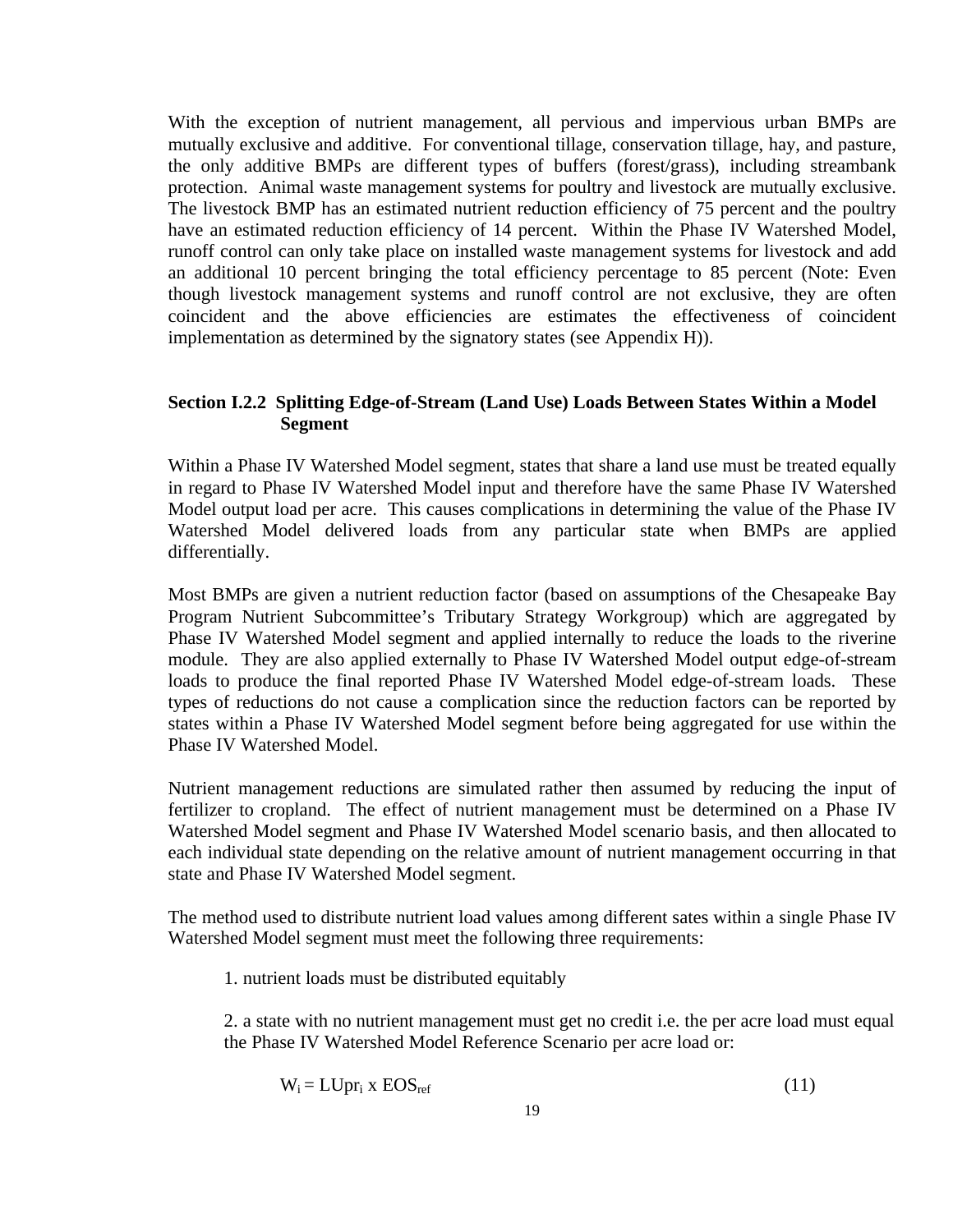With the exception of nutrient management, all pervious and impervious urban BMPs are mutually exclusive and additive. For conventional tillage, conservation tillage, hay, and pasture, the only additive BMPs are different types of buffers (forest/grass), including streambank protection. Animal waste management systems for poultry and livestock are mutually exclusive. The livestock BMP has an estimated nutrient reduction efficiency of 75 percent and the poultry have an estimated reduction efficiency of 14 percent. Within the Phase IV Watershed Model, runoff control can only take place on installed waste management systems for livestock and add an additional 10 percent bringing the total efficiency percentage to 85 percent (Note: Even though livestock management systems and runoff control are not exclusive, they are often coincident and the above efficiencies are estimates the effectiveness of coincident implementation as determined by the signatory states (see Appendix H)).

### **Section I.2.2 Splitting Edge-of-Stream (Land Use) Loads Between States Within a Model Segment**

Within a Phase IV Watershed Model segment, states that share a land use must be treated equally in regard to Phase IV Watershed Model input and therefore have the same Phase IV Watershed Model output load per acre. This causes complications in determining the value of the Phase IV Watershed Model delivered loads from any particular state when BMPs are applied differentially.

Most BMPs are given a nutrient reduction factor (based on assumptions of the Chesapeake Bay Program Nutrient Subcommittee's Tributary Strategy Workgroup) which are aggregated by Phase IV Watershed Model segment and applied internally to reduce the loads to the riverine module. They are also applied externally to Phase IV Watershed Model output edge-of-stream loads to produce the final reported Phase IV Watershed Model edge-of-stream loads. These types of reductions do not cause a complication since the reduction factors can be reported by states within a Phase IV Watershed Model segment before being aggregated for use within the Phase IV Watershed Model.

Nutrient management reductions are simulated rather then assumed by reducing the input of fertilizer to cropland. The effect of nutrient management must be determined on a Phase IV Watershed Model segment and Phase IV Watershed Model scenario basis, and then allocated to each individual state depending on the relative amount of nutrient management occurring in that state and Phase IV Watershed Model segment.

The method used to distribute nutrient load values among different sates within a single Phase IV Watershed Model segment must meet the following three requirements:

1. nutrient loads must be distributed equitably

2. a state with no nutrient management must get no credit i.e. the per acre load must equal the Phase IV Watershed Model Reference Scenario per acre load or:

$$
W_i = LUpr_i \times EOS_{ref}
$$
 (11)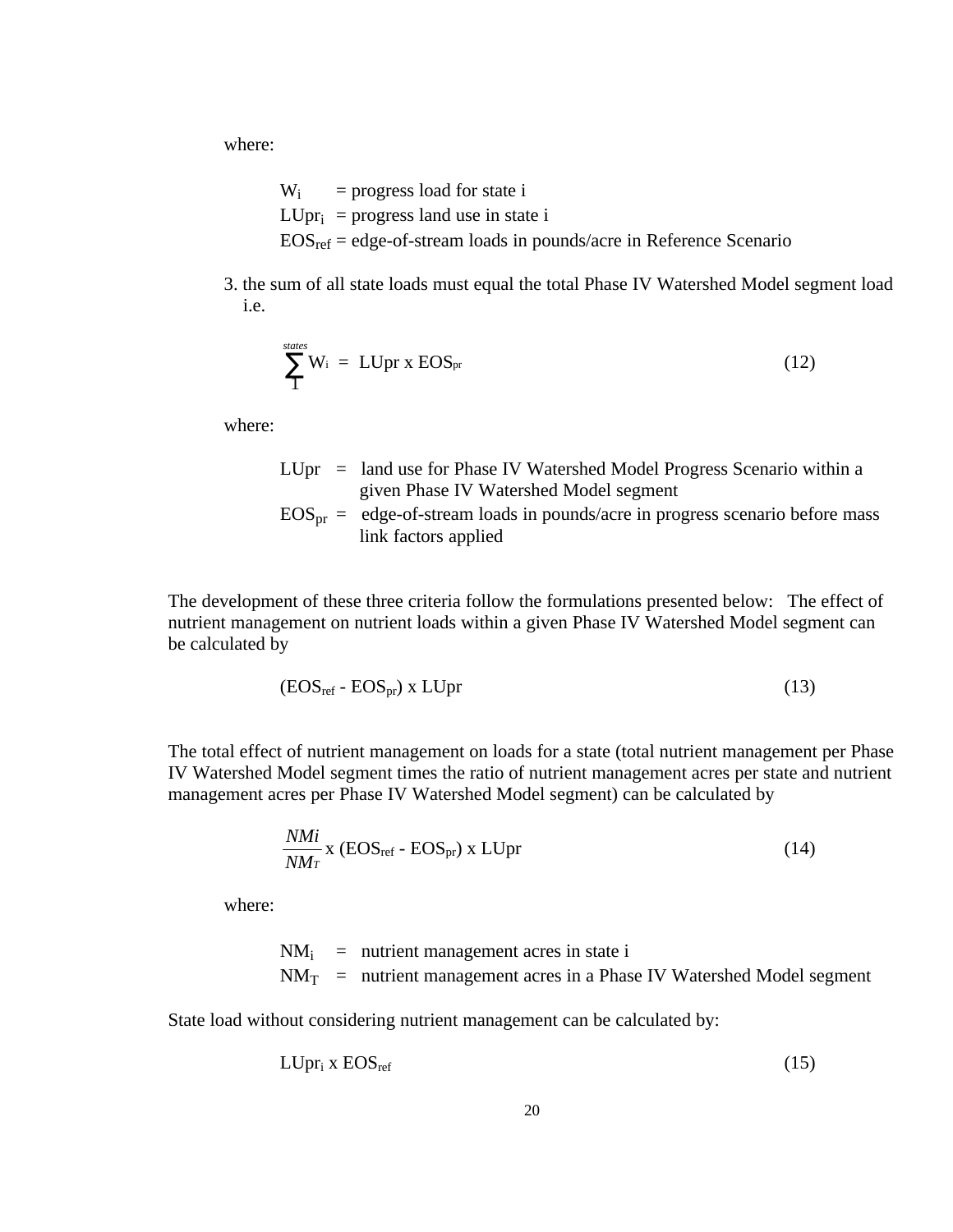where:

 $W_i$  = progress load for state i  $LUpr_i$  = progress land use in state i  $EOS_{ref} = edge-of-stream$  loads in pounds/acre in Reference Scenario

3. the sum of all state loads must equal the total Phase IV Watershed Model segment load i.e.

$$
\sum_{1}^{states} W_i = LUpr \times EOS_{pr}
$$
 (12)

where:

LUpr = land use for Phase IV Watershed Model Progress Scenario within a given Phase IV Watershed Model segment  $EOS<sub>pr</sub> =$  edge-of-stream loads in pounds/acre in progress scenario before mass link factors applied

The development of these three criteria follow the formulations presented below: The effect of nutrient management on nutrient loads within a given Phase IV Watershed Model segment can be calculated by

$$
(EOSref - EOSpr) x LUpr
$$
 (13)

The total effect of nutrient management on loads for a state (total nutrient management per Phase IV Watershed Model segment times the ratio of nutrient management acres per state and nutrient management acres per Phase IV Watershed Model segment) can be calculated by

$$
\frac{NMi}{NMr} \ge (\text{EOS}_{\text{ref}} - \text{EOS}_{\text{pr}}) \ge \text{LUpr}
$$
\n(14)

where:

$$
NM_i =
$$
 nutrient management acres in state i  

$$
NM_T =
$$
 nutrient management acres in a Phase IV Watershed Model segment

State load without considering nutrient management can be calculated by:

$$
LUpr_i X EOS_{ref} \t\t(15)
$$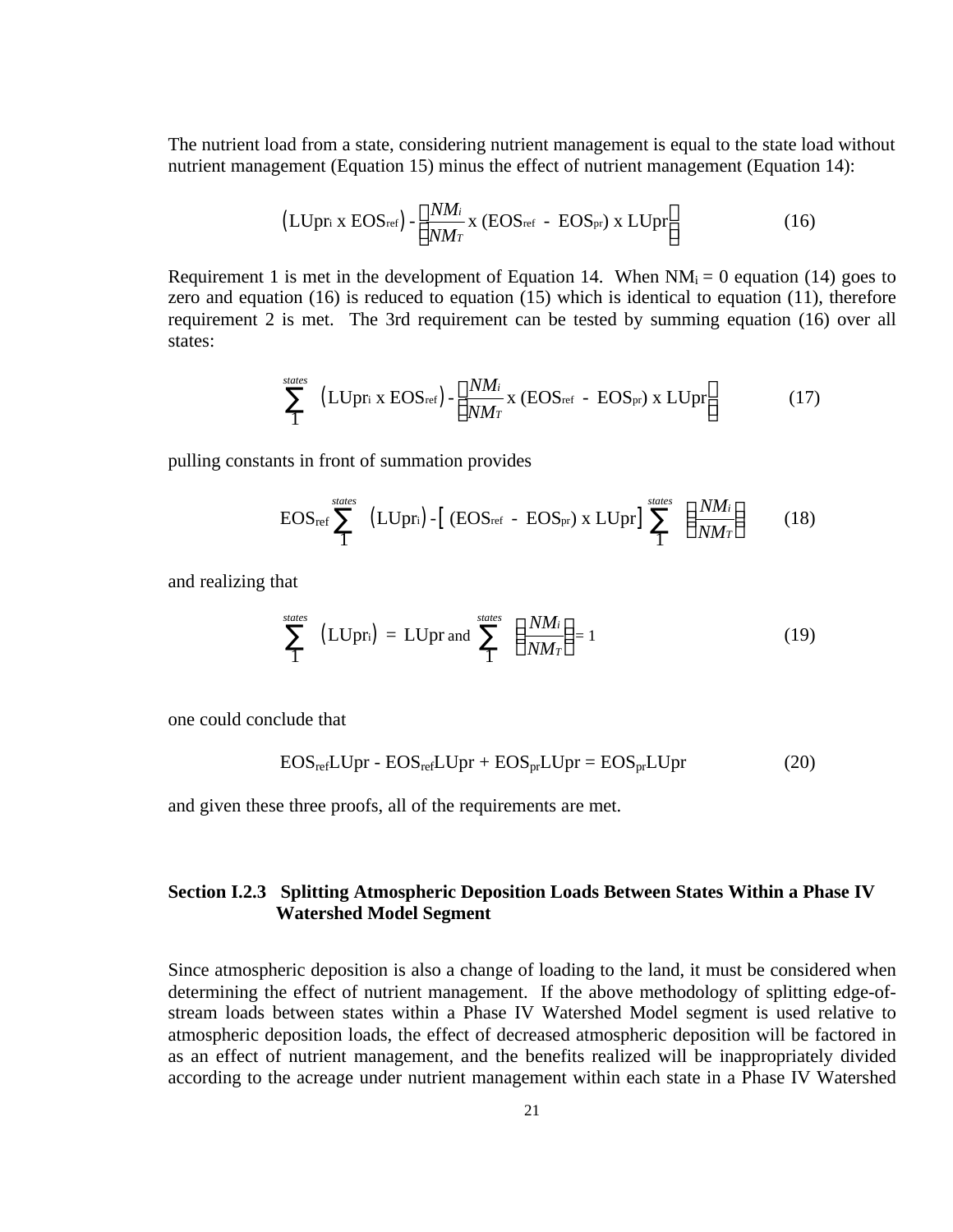The nutrient load from a state, considering nutrient management is equal to the state load without nutrient management (Equation 15) minus the effect of nutrient management (Equation 14):

$$
\left(\text{LUpr}_i \times \text{EOS}_{\text{ref}}\right) - \left[\frac{NM_i}{NM_T} \times \left(\text{EOS}_{\text{ref}} - \text{EOS}_{\text{pr}}\right) \times \text{LUpr}\right] \tag{16}
$$

Requirement 1 is met in the development of Equation 14. When  $NM_i = 0$  equation (14) goes to zero and equation (16) is reduced to equation (15) which is identical to equation (11), therefore requirement 2 is met. The 3rd requirement can be tested by summing equation (16) over all states:

$$
\sum_{1}^{\text{states}} (LU \text{pr}_{i} \times \text{EOS}_{\text{ref}}) - \left[ \frac{N M_{i}}{N M_{T}} \times (\text{EOS}_{\text{ref}} - \text{EOS}_{\text{pr}}) \times LU \text{pr} \right] \tag{17}
$$

pulling constants in front of summation provides

$$
EOS_{\text{ref}} \sum_{1}^{\text{states}} \text{ (LUpr_i)} - \text{[ (EOS_{\text{ref}} - EOS_{\text{pr}}) x LUpr]} \sum_{1}^{\text{states}} \text{ } \left(\frac{NM_i}{NM_T}\right) \qquad (18)
$$

and realizing that

$$
\sum_{1}^{\text{states}} \text{ (LUpr_i)} = \text{LUpr and } \sum_{1}^{\text{states}} \left(\frac{NM_i}{NM_T}\right) = 1 \tag{19}
$$

one could conclude that

$$
EOS_{ref} LUpr - EOS_{ref} LUpr + EOS_{pr} LUpr = EOS_{pr} LUpr \qquad (20)
$$

and given these three proofs, all of the requirements are met.

# **Section I.2.3 Splitting Atmospheric Deposition Loads Between States Within a Phase IV Watershed Model Segment**

Since atmospheric deposition is also a change of loading to the land, it must be considered when determining the effect of nutrient management. If the above methodology of splitting edge-ofstream loads between states within a Phase IV Watershed Model segment is used relative to atmospheric deposition loads, the effect of decreased atmospheric deposition will be factored in as an effect of nutrient management, and the benefits realized will be inappropriately divided according to the acreage under nutrient management within each state in a Phase IV Watershed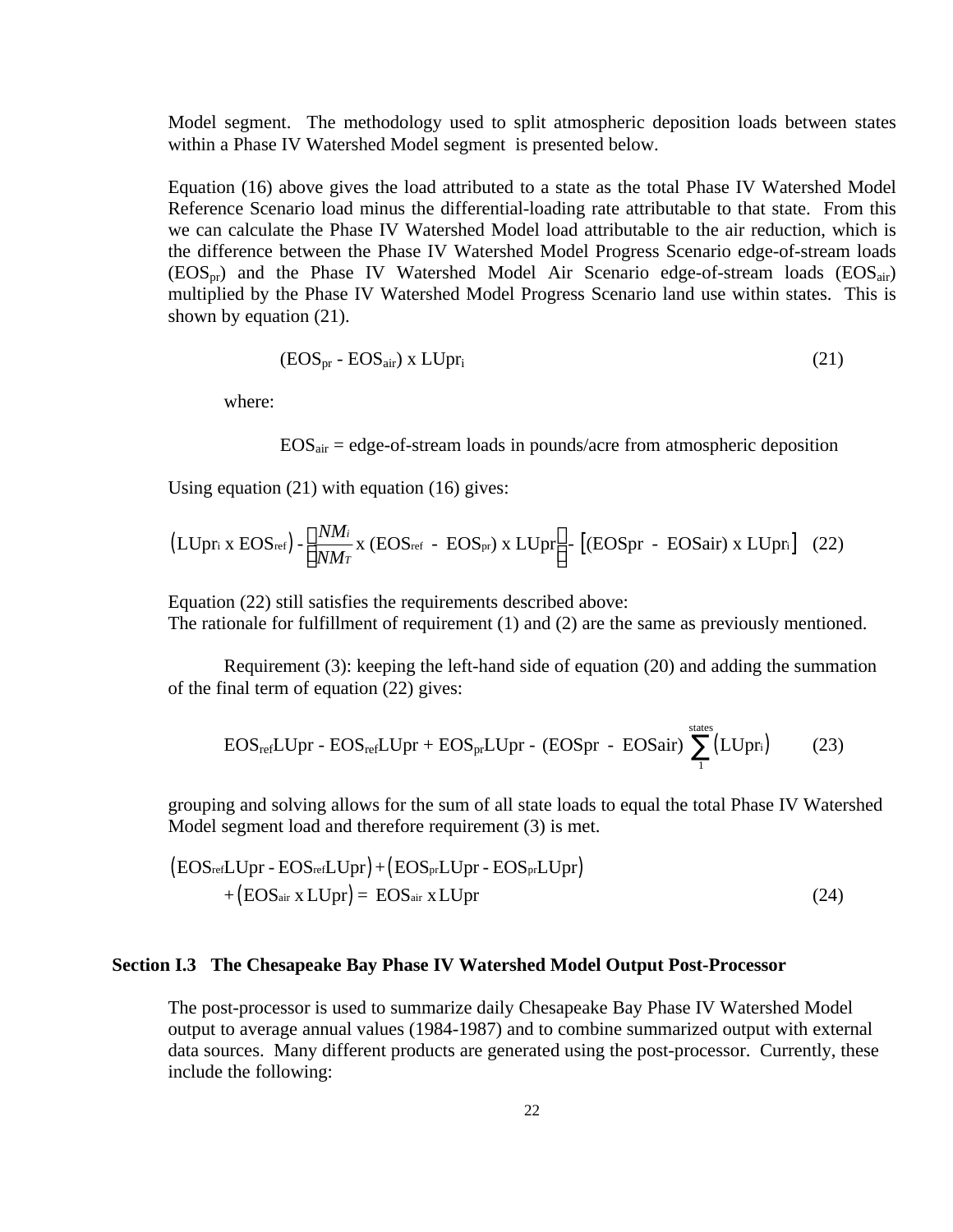Model segment. The methodology used to split atmospheric deposition loads between states within a Phase IV Watershed Model segment is presented below.

Equation (16) above gives the load attributed to a state as the total Phase IV Watershed Model Reference Scenario load minus the differential-loading rate attributable to that state. From this we can calculate the Phase IV Watershed Model load attributable to the air reduction, which is the difference between the Phase IV Watershed Model Progress Scenario edge-of-stream loads  $(EOS_{\text{pr}})$  and the Phase IV Watershed Model Air Scenario edge-of-stream loads  $(EOS_{\text{air}})$ multiplied by the Phase IV Watershed Model Progress Scenario land use within states. This is shown by equation (21).

$$
(EOS_{pr} - EOS_{air}) \times LUpr_i \tag{21}
$$

where:

 $EOS<sub>air</sub> = edge-of-stream loads in pounds/acre from atmospheric deposition$ 

Using equation (21) with equation (16) gives:

$$
\left(\text{LUpr}_{i} \times \text{EOS}_{\text{ref}}\right) - \left[\frac{NM_{i}}{NM_{T}} \times \left(\text{EOS}_{\text{ref}} - \text{EOS}_{\text{pr}}\right) \times \text{LUpr}\right] - \left[\left(\text{EOS}_{\text{pr}} - \text{EOS}_{\text{air}}\right) \times \text{LUpr}_{i}\right] \quad (22)
$$

Equation (22) still satisfies the requirements described above: The rationale for fulfillment of requirement (1) and (2) are the same as previously mentioned.

Requirement (3): keeping the left-hand side of equation (20) and adding the summation of the final term of equation (22) gives:

$$
EOS_{refLUpr} - EOS_{refLUpr} + EOS_{pr}LUpr - (EOSpr - EOSair) \sum_{1}^{states} (LUpr_{i})
$$
 (23)

states

grouping and solving allows for the sum of all state loads to equal the total Phase IV Watershed Model segment load and therefore requirement (3) is met.

$$
(EOSref LUpr - EOSref LUpr) + (EOSpr LUpr - EOSpr LUpr) + (EOSair x LUpr) = EOSair x LUpr
$$
\n(24)

#### **Section I.3 The Chesapeake Bay Phase IV Watershed Model Output Post-Processor**

The post-processor is used to summarize daily Chesapeake Bay Phase IV Watershed Model output to average annual values (1984-1987) and to combine summarized output with external data sources. Many different products are generated using the post-processor. Currently, these include the following: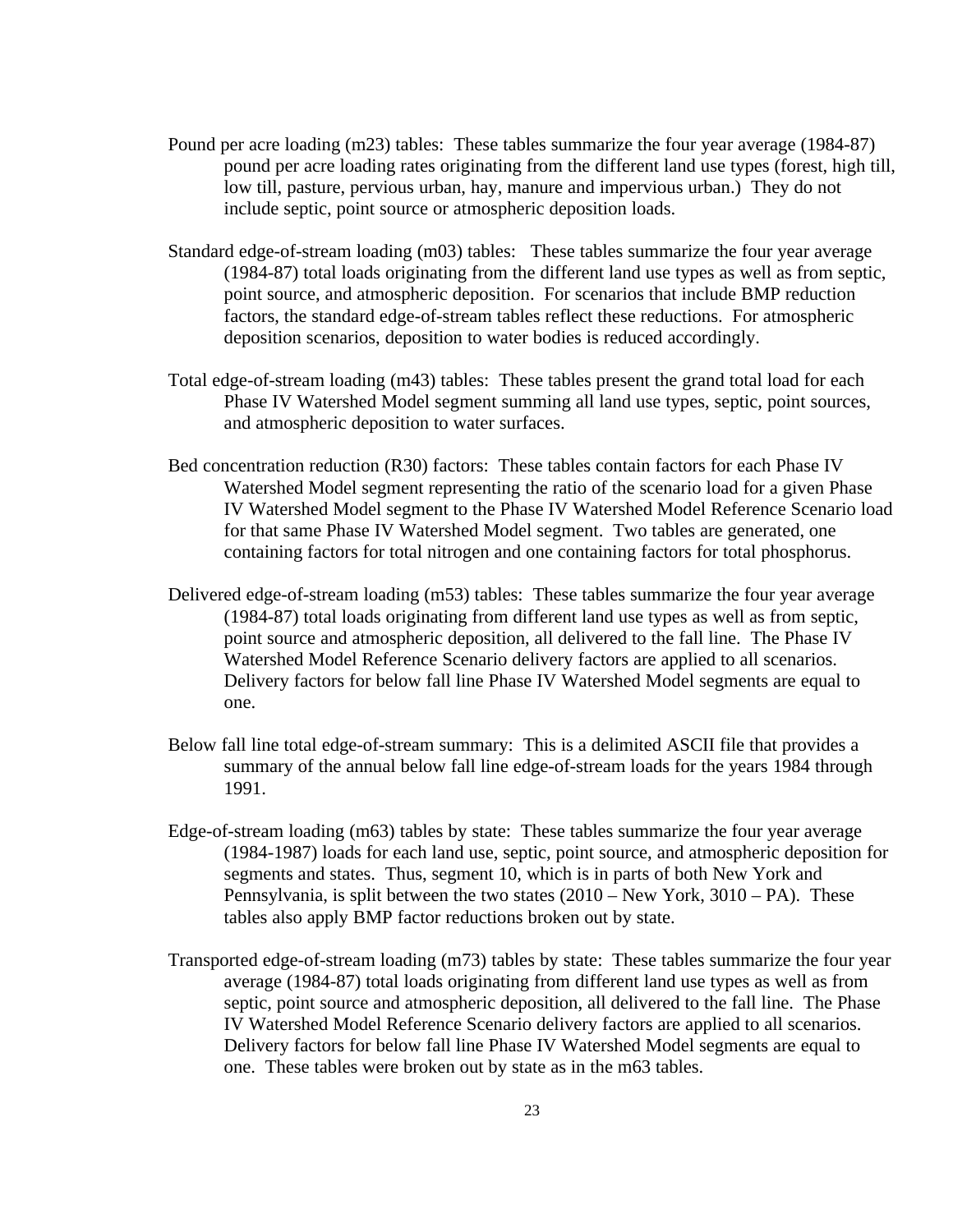- Pound per acre loading (m23) tables: These tables summarize the four year average (1984-87) pound per acre loading rates originating from the different land use types (forest, high till, low till, pasture, pervious urban, hay, manure and impervious urban.) They do not include septic, point source or atmospheric deposition loads.
- Standard edge-of-stream loading (m03) tables: These tables summarize the four year average (1984-87) total loads originating from the different land use types as well as from septic, point source, and atmospheric deposition. For scenarios that include BMP reduction factors, the standard edge-of-stream tables reflect these reductions. For atmospheric deposition scenarios, deposition to water bodies is reduced accordingly.
- Total edge-of-stream loading (m43) tables: These tables present the grand total load for each Phase IV Watershed Model segment summing all land use types, septic, point sources, and atmospheric deposition to water surfaces.
- Bed concentration reduction (R30) factors: These tables contain factors for each Phase IV Watershed Model segment representing the ratio of the scenario load for a given Phase IV Watershed Model segment to the Phase IV Watershed Model Reference Scenario load for that same Phase IV Watershed Model segment. Two tables are generated, one containing factors for total nitrogen and one containing factors for total phosphorus.
- Delivered edge-of-stream loading (m53) tables: These tables summarize the four year average (1984-87) total loads originating from different land use types as well as from septic, point source and atmospheric deposition, all delivered to the fall line. The Phase IV Watershed Model Reference Scenario delivery factors are applied to all scenarios. Delivery factors for below fall line Phase IV Watershed Model segments are equal to one.
- Below fall line total edge-of-stream summary: This is a delimited ASCII file that provides a summary of the annual below fall line edge-of-stream loads for the years 1984 through 1991.
- Edge-of-stream loading (m63) tables by state: These tables summarize the four year average (1984-1987) loads for each land use, septic, point source, and atmospheric deposition for segments and states. Thus, segment 10, which is in parts of both New York and Pennsylvania, is split between the two states (2010 – New York, 3010 – PA). These tables also apply BMP factor reductions broken out by state.
- Transported edge-of-stream loading (m73) tables by state: These tables summarize the four year average (1984-87) total loads originating from different land use types as well as from septic, point source and atmospheric deposition, all delivered to the fall line. The Phase IV Watershed Model Reference Scenario delivery factors are applied to all scenarios. Delivery factors for below fall line Phase IV Watershed Model segments are equal to one. These tables were broken out by state as in the m63 tables.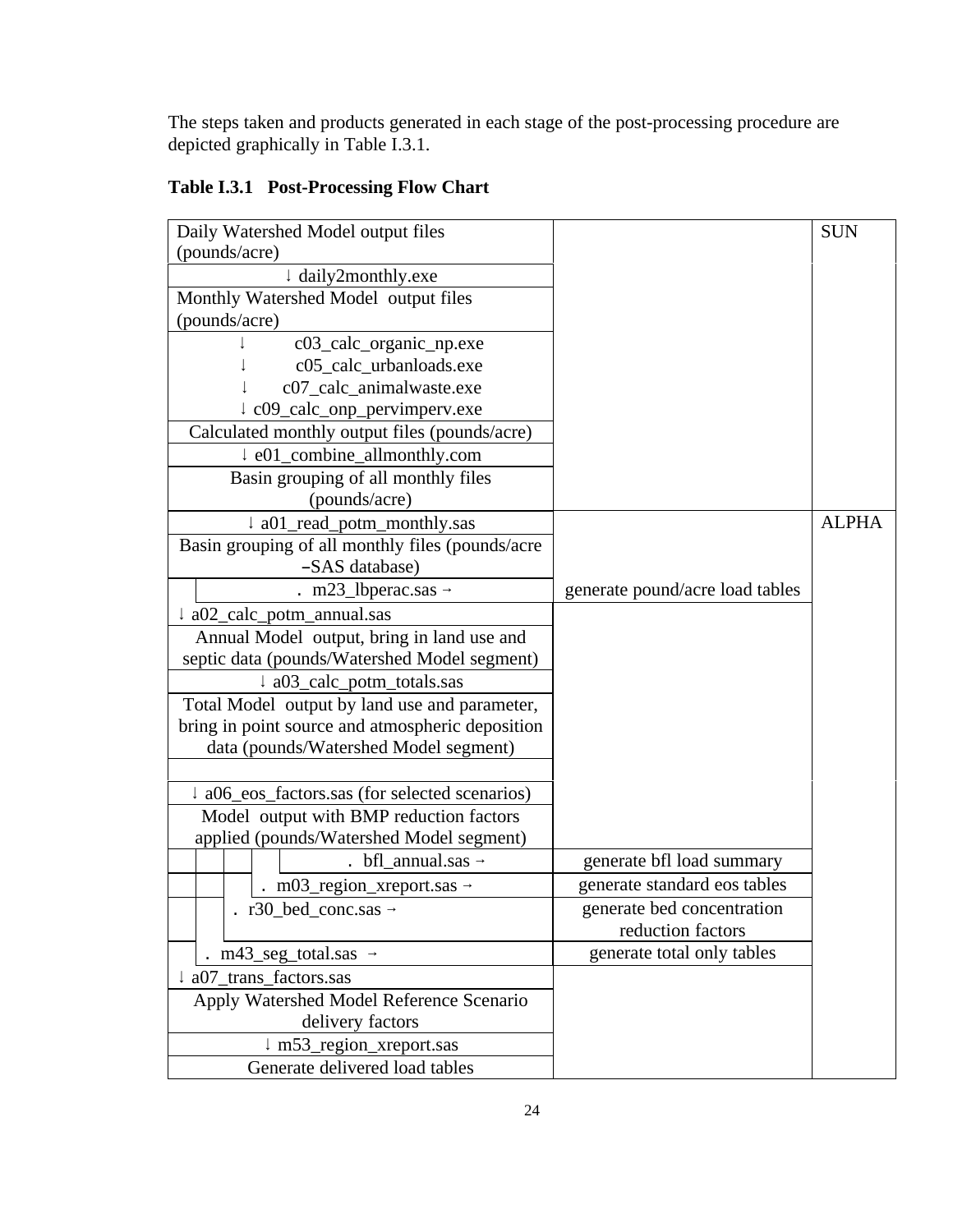The steps taken and products generated in each stage of the post-processing procedure are depicted graphically in Table I.3.1.

|  | Table I.3.1 Post-Processing Flow Chart |
|--|----------------------------------------|
|--|----------------------------------------|

|                                                     |                                 | <b>SUN</b>   |
|-----------------------------------------------------|---------------------------------|--------------|
| Daily Watershed Model output files<br>(pounds/acre) |                                 |              |
| ↓ daily2monthly.exe                                 |                                 |              |
| Monthly Watershed Model output files                |                                 |              |
| (pounds/acre)                                       |                                 |              |
| c03_calc_organic_np.exe                             |                                 |              |
| c05_calc_urbanloads.exe                             |                                 |              |
| c07_calc_animalwaste.exe                            |                                 |              |
| ↓ c09_calc_onp_pervimperv.exe                       |                                 |              |
| Calculated monthly output files (pounds/acre)       |                                 |              |
| ↓ e01_combine_allmonthly.com                        |                                 |              |
| Basin grouping of all monthly files                 |                                 |              |
| (pounds/acre)                                       |                                 |              |
| ↓ a01_read_potm_monthly.sas                         |                                 | <b>ALPHA</b> |
| Basin grouping of all monthly files (pounds/acre    |                                 |              |
| -SAS database)                                      |                                 |              |
| $.$ m23_lbperac.sas $\rightarrow$                   | generate pound/acre load tables |              |
| ↓ a02_calc_potm_annual.sas                          |                                 |              |
| Annual Model output, bring in land use and          |                                 |              |
| septic data (pounds/Watershed Model segment)        |                                 |              |
| ↓ a03_calc_potm_totals.sas                          |                                 |              |
| Total Model output by land use and parameter,       |                                 |              |
| bring in point source and atmospheric deposition    |                                 |              |
| data (pounds/Watershed Model segment)               |                                 |              |
|                                                     |                                 |              |
| ↓ a06_eos_factors.sas (for selected scenarios)      |                                 |              |
| Model output with BMP reduction factors             |                                 |              |
| applied (pounds/Watershed Model segment)            |                                 |              |
| $\cdot$ bfl_annual.sas $\rightarrow$                | generate bfl load summary       |              |
| $\ldots$ m03_region_xreport.sas $\rightarrow$       | generate standard eos tables    |              |
| r30_bed_conc.sas $\rightarrow$                      | generate bed concentration      |              |
|                                                     | reduction factors               |              |
| $. m43$ _seg_total.sas $\rightarrow$                | generate total only tables      |              |
| a07 trans factors.sas                               |                                 |              |
| Apply Watershed Model Reference Scenario            |                                 |              |
| delivery factors                                    |                                 |              |
| ↓ m53_region_xreport.sas                            |                                 |              |
| Generate delivered load tables                      |                                 |              |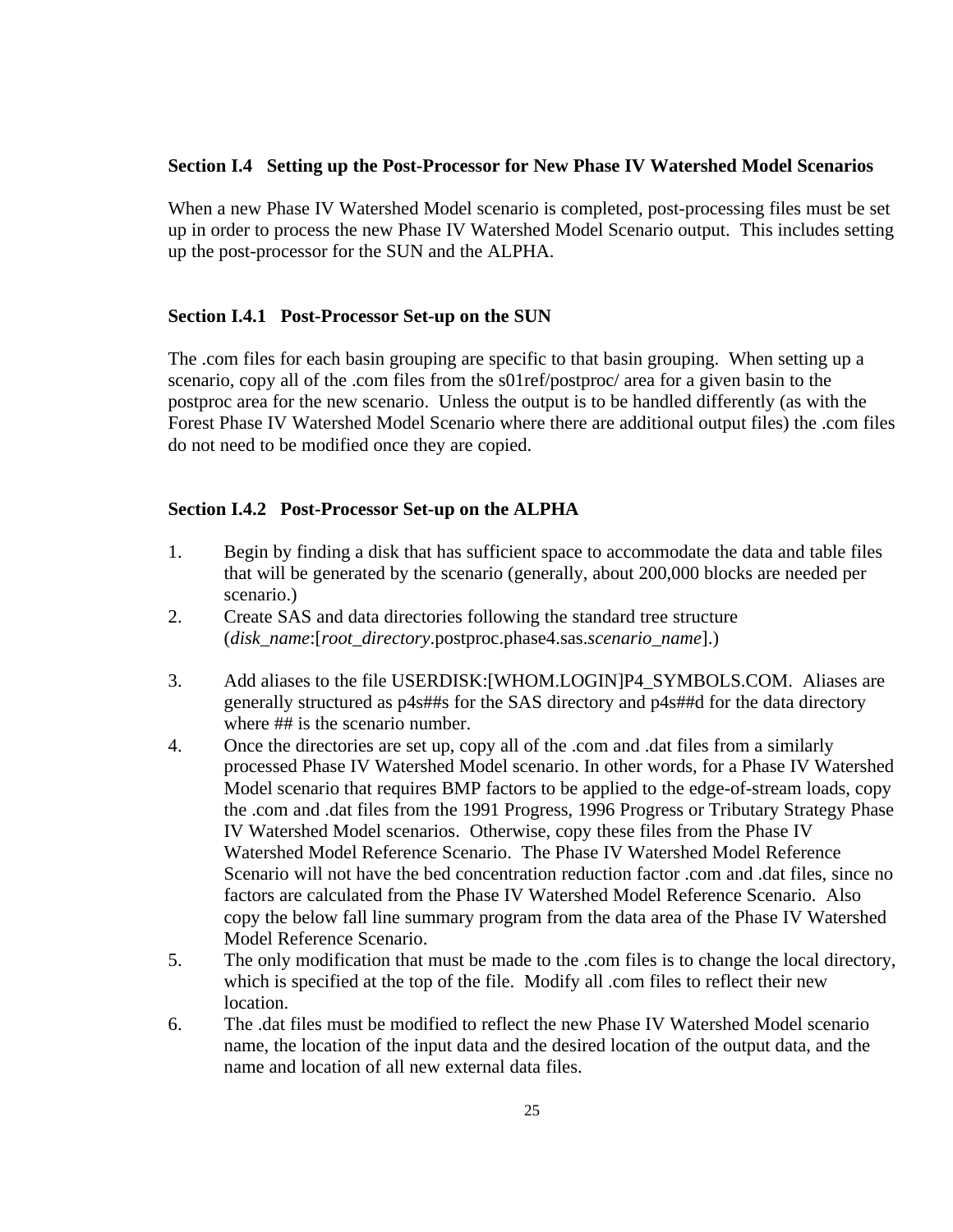### **Section I.4 Setting up the Post-Processor for New Phase IV Watershed Model Scenarios**

When a new Phase IV Watershed Model scenario is completed, post-processing files must be set up in order to process the new Phase IV Watershed Model Scenario output. This includes setting up the post-processor for the SUN and the ALPHA.

## **Section I.4.1 Post-Processor Set-up on the SUN**

The .com files for each basin grouping are specific to that basin grouping. When setting up a scenario, copy all of the .com files from the s01ref/postproc/ area for a given basin to the postproc area for the new scenario. Unless the output is to be handled differently (as with the Forest Phase IV Watershed Model Scenario where there are additional output files) the .com files do not need to be modified once they are copied.

# **Section I.4.2 Post-Processor Set-up on the ALPHA**

- 1. Begin by finding a disk that has sufficient space to accommodate the data and table files that will be generated by the scenario (generally, about 200,000 blocks are needed per scenario.)
- 2. Create SAS and data directories following the standard tree structure (*disk\_name*:[*root\_directory*.postproc.phase4.sas.*scenario\_name*].)
- 3. Add aliases to the file USERDISK:[WHOM.LOGIN]P4\_SYMBOLS.COM. Aliases are generally structured as p4s##s for the SAS directory and p4s##d for the data directory where ## is the scenario number.
- 4. Once the directories are set up, copy all of the .com and .dat files from a similarly processed Phase IV Watershed Model scenario. In other words, for a Phase IV Watershed Model scenario that requires BMP factors to be applied to the edge-of-stream loads, copy the .com and .dat files from the 1991 Progress, 1996 Progress or Tributary Strategy Phase IV Watershed Model scenarios. Otherwise, copy these files from the Phase IV Watershed Model Reference Scenario. The Phase IV Watershed Model Reference Scenario will not have the bed concentration reduction factor .com and .dat files, since no factors are calculated from the Phase IV Watershed Model Reference Scenario. Also copy the below fall line summary program from the data area of the Phase IV Watershed Model Reference Scenario.
- 5. The only modification that must be made to the .com files is to change the local directory, which is specified at the top of the file. Modify all .com files to reflect their new location.
- 6. The .dat files must be modified to reflect the new Phase IV Watershed Model scenario name, the location of the input data and the desired location of the output data, and the name and location of all new external data files.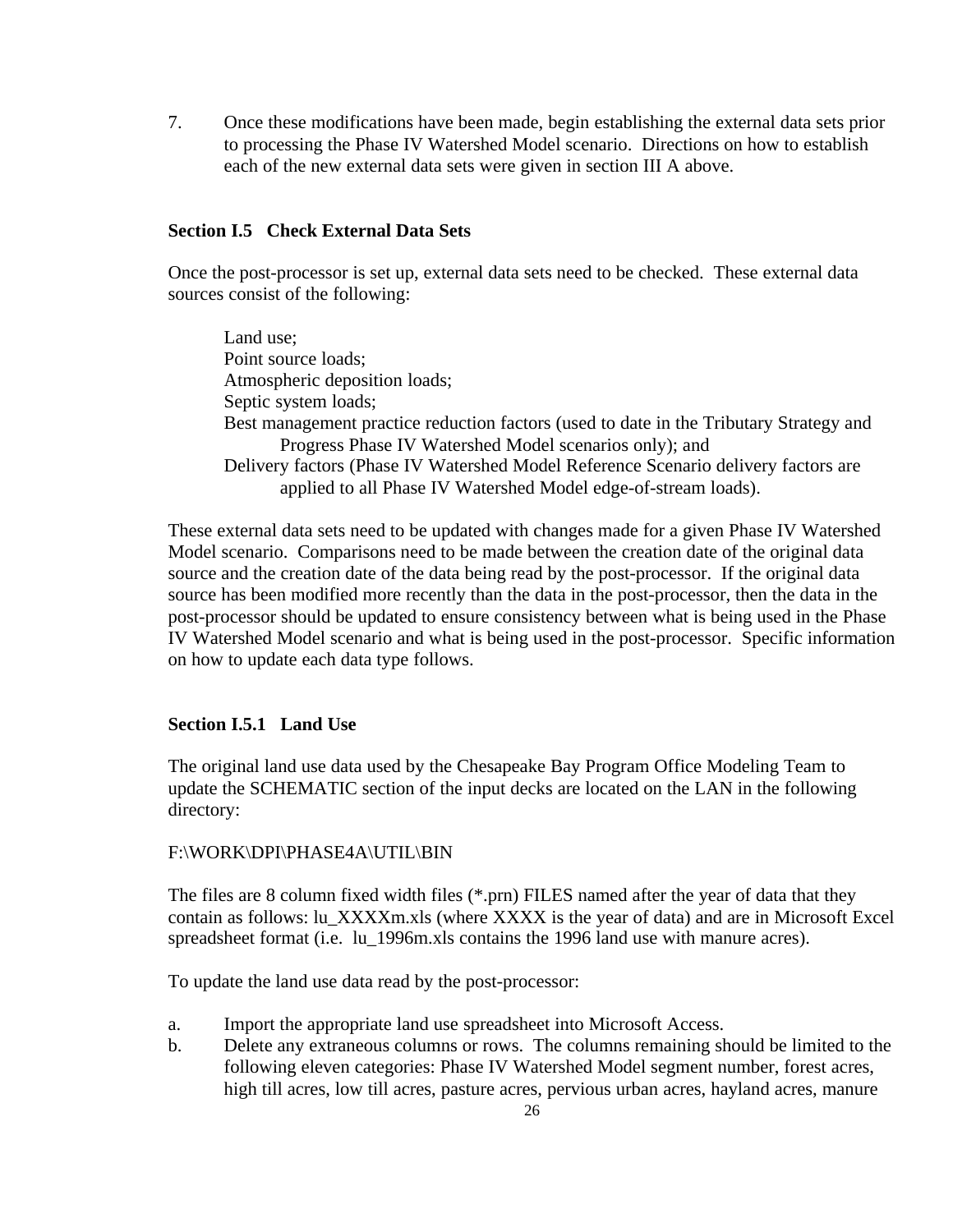7. Once these modifications have been made, begin establishing the external data sets prior to processing the Phase IV Watershed Model scenario. Directions on how to establish each of the new external data sets were given in section III A above.

# **Section I.5 Check External Data Sets**

Once the post-processor is set up, external data sets need to be checked. These external data sources consist of the following:

Land use; Point source loads; Atmospheric deposition loads; Septic system loads; Best management practice reduction factors (used to date in the Tributary Strategy and Progress Phase IV Watershed Model scenarios only); and Delivery factors (Phase IV Watershed Model Reference Scenario delivery factors are applied to all Phase IV Watershed Model edge-of-stream loads).

These external data sets need to be updated with changes made for a given Phase IV Watershed Model scenario. Comparisons need to be made between the creation date of the original data source and the creation date of the data being read by the post-processor. If the original data source has been modified more recently than the data in the post-processor, then the data in the post-processor should be updated to ensure consistency between what is being used in the Phase IV Watershed Model scenario and what is being used in the post-processor. Specific information on how to update each data type follows.

# **Section I.5.1 Land Use**

The original land use data used by the Chesapeake Bay Program Office Modeling Team to update the SCHEMATIC section of the input decks are located on the LAN in the following directory:

# F:\WORK\DPI\PHASE4A\UTIL\BIN

The files are 8 column fixed width files (\*.prn) FILES named after the year of data that they contain as follows: lu\_XXXXm.xls (where XXXX is the year of data) and are in Microsoft Excel spreadsheet format (i.e. lu\_1996m.xls contains the 1996 land use with manure acres).

To update the land use data read by the post-processor:

- a. Import the appropriate land use spreadsheet into Microsoft Access.
- b. Delete any extraneous columns or rows. The columns remaining should be limited to the following eleven categories: Phase IV Watershed Model segment number, forest acres, high till acres, low till acres, pasture acres, pervious urban acres, hayland acres, manure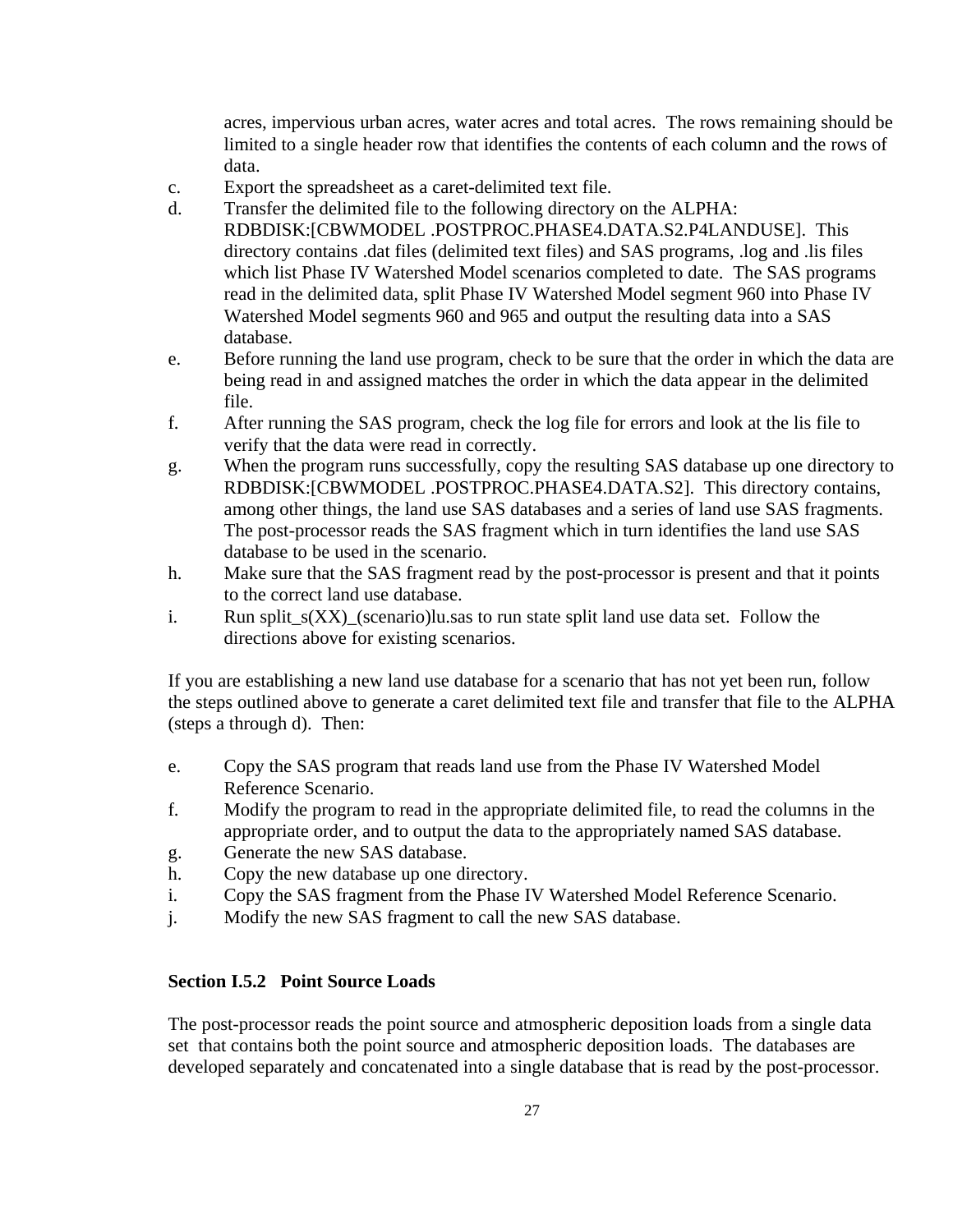acres, impervious urban acres, water acres and total acres. The rows remaining should be limited to a single header row that identifies the contents of each column and the rows of data.

- c. Export the spreadsheet as a caret-delimited text file.
- d. Transfer the delimited file to the following directory on the ALPHA: RDBDISK:[CBWMODEL .POSTPROC.PHASE4.DATA.S2.P4LANDUSE]. This directory contains .dat files (delimited text files) and SAS programs, .log and .lis files which list Phase IV Watershed Model scenarios completed to date. The SAS programs read in the delimited data, split Phase IV Watershed Model segment 960 into Phase IV Watershed Model segments 960 and 965 and output the resulting data into a SAS database.
- e. Before running the land use program, check to be sure that the order in which the data are being read in and assigned matches the order in which the data appear in the delimited file.
- f. After running the SAS program, check the log file for errors and look at the lis file to verify that the data were read in correctly.
- g. When the program runs successfully, copy the resulting SAS database up one directory to RDBDISK:[CBWMODEL .POSTPROC.PHASE4.DATA.S2]. This directory contains, among other things, the land use SAS databases and a series of land use SAS fragments. The post-processor reads the SAS fragment which in turn identifies the land use SAS database to be used in the scenario.
- h. Make sure that the SAS fragment read by the post-processor is present and that it points to the correct land use database.
- i. Run split  $s(XX)$  (scenario)lu.sas to run state split land use data set. Follow the directions above for existing scenarios.

If you are establishing a new land use database for a scenario that has not yet been run, follow the steps outlined above to generate a caret delimited text file and transfer that file to the ALPHA (steps a through d). Then:

- e. Copy the SAS program that reads land use from the Phase IV Watershed Model Reference Scenario.
- f. Modify the program to read in the appropriate delimited file, to read the columns in the appropriate order, and to output the data to the appropriately named SAS database.
- g. Generate the new SAS database.
- h. Copy the new database up one directory.
- i. Copy the SAS fragment from the Phase IV Watershed Model Reference Scenario.
- j. Modify the new SAS fragment to call the new SAS database.

# **Section I.5.2 Point Source Loads**

The post-processor reads the point source and atmospheric deposition loads from a single data set that contains both the point source and atmospheric deposition loads. The databases are developed separately and concatenated into a single database that is read by the post-processor.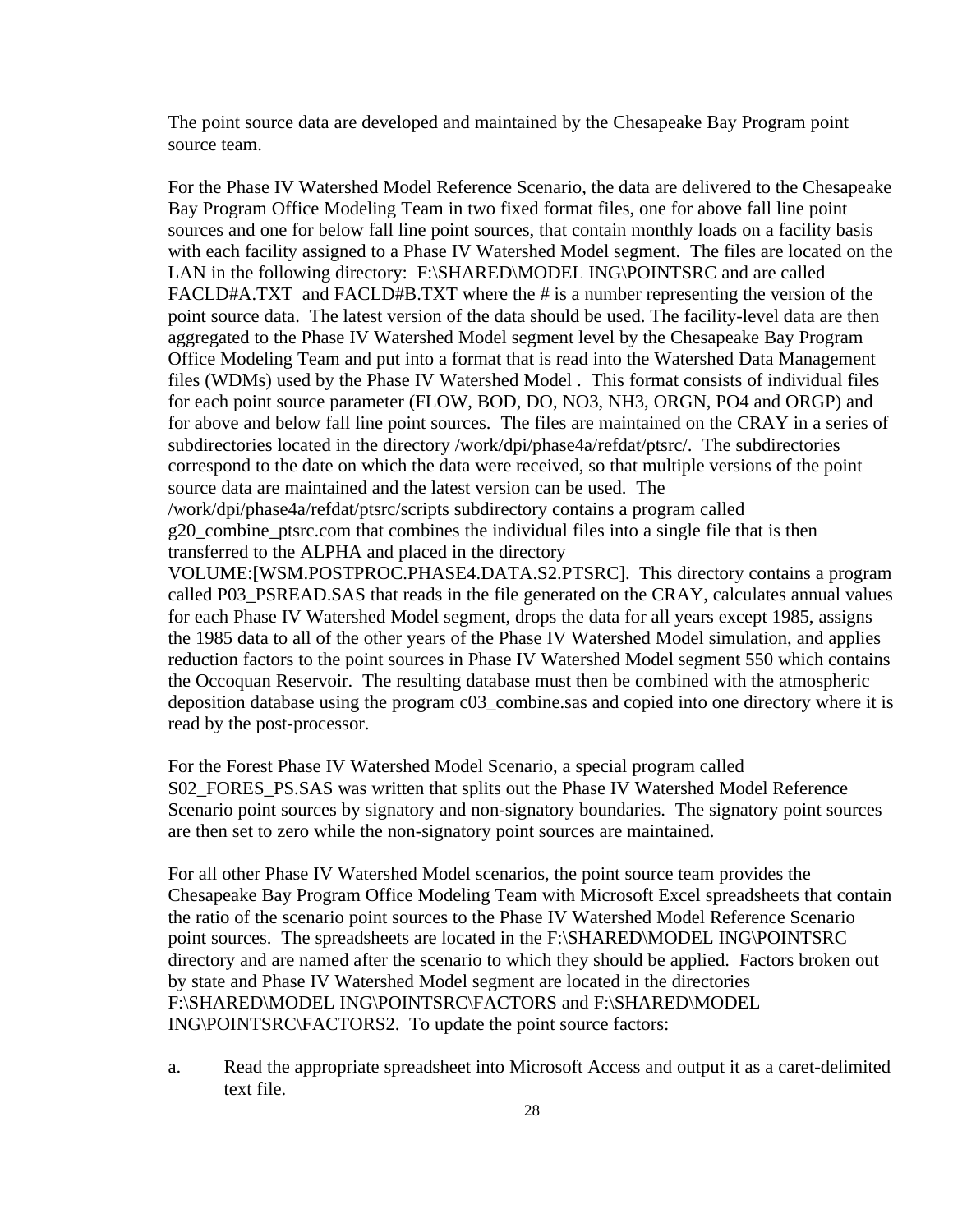The point source data are developed and maintained by the Chesapeake Bay Program point source team.

For the Phase IV Watershed Model Reference Scenario, the data are delivered to the Chesapeake Bay Program Office Modeling Team in two fixed format files, one for above fall line point sources and one for below fall line point sources, that contain monthly loads on a facility basis with each facility assigned to a Phase IV Watershed Model segment. The files are located on the LAN in the following directory: F:\SHARED\MODEL ING\POINTSRC and are called FACLD#A.TXT and FACLD#B.TXT where the # is a number representing the version of the point source data. The latest version of the data should be used. The facility-level data are then aggregated to the Phase IV Watershed Model segment level by the Chesapeake Bay Program Office Modeling Team and put into a format that is read into the Watershed Data Management files (WDMs) used by the Phase IV Watershed Model . This format consists of individual files for each point source parameter (FLOW, BOD, DO, NO3, NH3, ORGN, PO4 and ORGP) and for above and below fall line point sources. The files are maintained on the CRAY in a series of subdirectories located in the directory /work/dpi/phase4a/refdat/ptsrc/. The subdirectories correspond to the date on which the data were received, so that multiple versions of the point source data are maintained and the latest version can be used. The /work/dpi/phase4a/refdat/ptsrc/scripts subdirectory contains a program called

g20\_combine\_ptsrc.com that combines the individual files into a single file that is then transferred to the ALPHA and placed in the directory

VOLUME:[WSM.POSTPROC.PHASE4.DATA.S2.PTSRC]. This directory contains a program called P03\_PSREAD.SAS that reads in the file generated on the CRAY, calculates annual values for each Phase IV Watershed Model segment, drops the data for all years except 1985, assigns the 1985 data to all of the other years of the Phase IV Watershed Model simulation, and applies reduction factors to the point sources in Phase IV Watershed Model segment 550 which contains the Occoquan Reservoir. The resulting database must then be combined with the atmospheric deposition database using the program c03\_combine.sas and copied into one directory where it is read by the post-processor.

For the Forest Phase IV Watershed Model Scenario, a special program called S02 FORES PS.SAS was written that splits out the Phase IV Watershed Model Reference Scenario point sources by signatory and non-signatory boundaries. The signatory point sources are then set to zero while the non-signatory point sources are maintained.

For all other Phase IV Watershed Model scenarios, the point source team provides the Chesapeake Bay Program Office Modeling Team with Microsoft Excel spreadsheets that contain the ratio of the scenario point sources to the Phase IV Watershed Model Reference Scenario point sources. The spreadsheets are located in the F:\SHARED\MODEL ING\POINTSRC directory and are named after the scenario to which they should be applied. Factors broken out by state and Phase IV Watershed Model segment are located in the directories F:\SHARED\MODEL ING\POINTSRC\FACTORS and F:\SHARED\MODEL ING\POINTSRC\FACTORS2. To update the point source factors:

a. Read the appropriate spreadsheet into Microsoft Access and output it as a caret-delimited text file.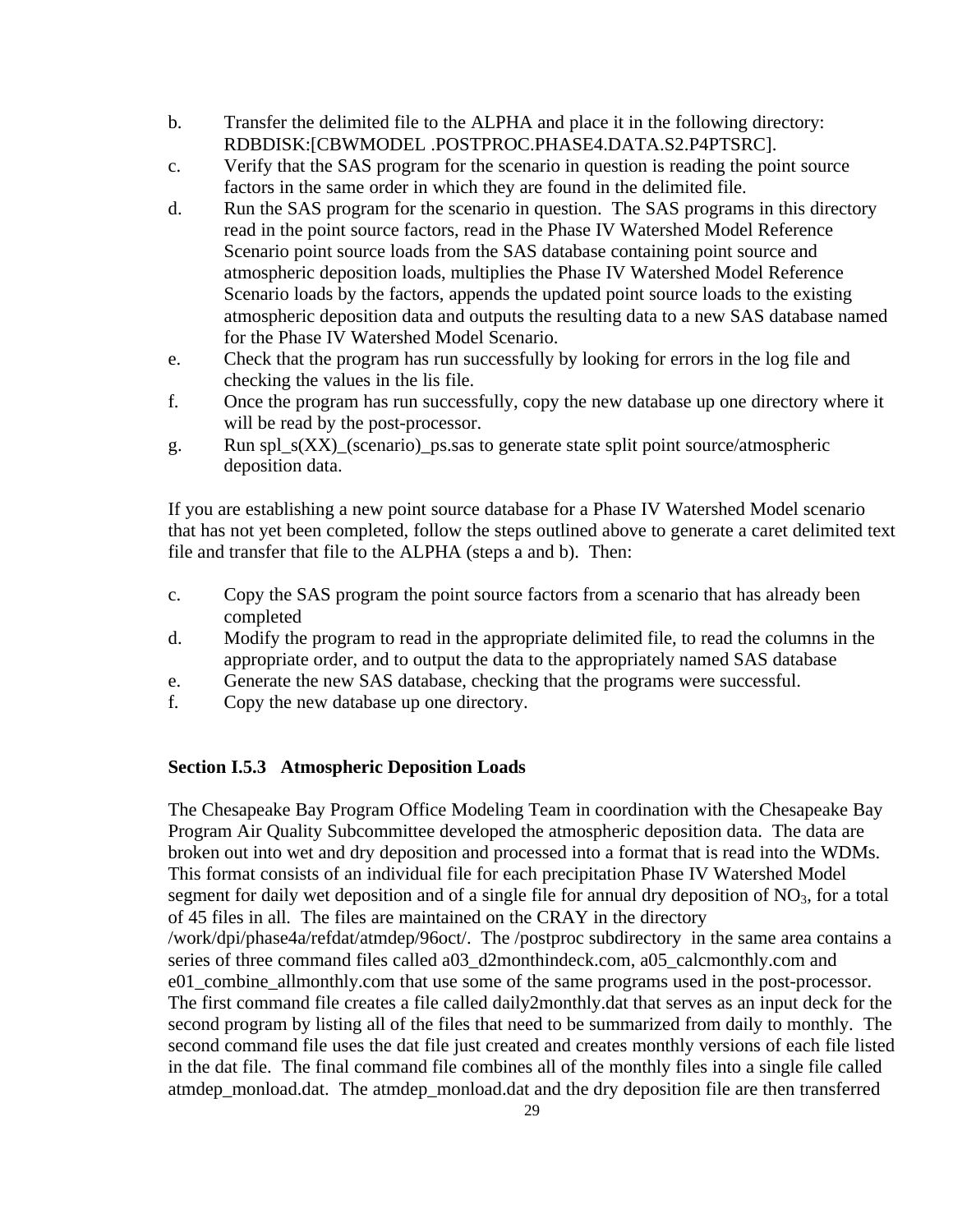- b. Transfer the delimited file to the ALPHA and place it in the following directory: RDBDISK:[CBWMODEL .POSTPROC.PHASE4.DATA.S2.P4PTSRC].
- c. Verify that the SAS program for the scenario in question is reading the point source factors in the same order in which they are found in the delimited file.
- d. Run the SAS program for the scenario in question. The SAS programs in this directory read in the point source factors, read in the Phase IV Watershed Model Reference Scenario point source loads from the SAS database containing point source and atmospheric deposition loads, multiplies the Phase IV Watershed Model Reference Scenario loads by the factors, appends the updated point source loads to the existing atmospheric deposition data and outputs the resulting data to a new SAS database named for the Phase IV Watershed Model Scenario.
- e. Check that the program has run successfully by looking for errors in the log file and checking the values in the lis file.
- f. Once the program has run successfully, copy the new database up one directory where it will be read by the post-processor.
- g. Run spl\_s(XX)\_(scenario)\_ps.sas to generate state split point source/atmospheric deposition data.

If you are establishing a new point source database for a Phase IV Watershed Model scenario that has not yet been completed, follow the steps outlined above to generate a caret delimited text file and transfer that file to the ALPHA (steps a and b). Then:

- c. Copy the SAS program the point source factors from a scenario that has already been completed
- d. Modify the program to read in the appropriate delimited file, to read the columns in the appropriate order, and to output the data to the appropriately named SAS database
- e. Generate the new SAS database, checking that the programs were successful.
- f. Copy the new database up one directory.

# **Section I.5.3 Atmospheric Deposition Loads**

The Chesapeake Bay Program Office Modeling Team in coordination with the Chesapeake Bay Program Air Quality Subcommittee developed the atmospheric deposition data. The data are broken out into wet and dry deposition and processed into a format that is read into the WDMs. This format consists of an individual file for each precipitation Phase IV Watershed Model segment for daily wet deposition and of a single file for annual dry deposition of NO<sub>3</sub>, for a total of 45 files in all. The files are maintained on the CRAY in the directory /work/dpi/phase4a/refdat/atmdep/96oct/. The /postproc subdirectory in the same area contains a series of three command files called a03\_d2monthindeck.com, a05\_calcmonthly.com and e01\_combine\_allmonthly.com that use some of the same programs used in the post-processor. The first command file creates a file called daily2monthly.dat that serves as an input deck for the second program by listing all of the files that need to be summarized from daily to monthly. The second command file uses the dat file just created and creates monthly versions of each file listed in the dat file. The final command file combines all of the monthly files into a single file called atmdep\_monload.dat. The atmdep\_monload.dat and the dry deposition file are then transferred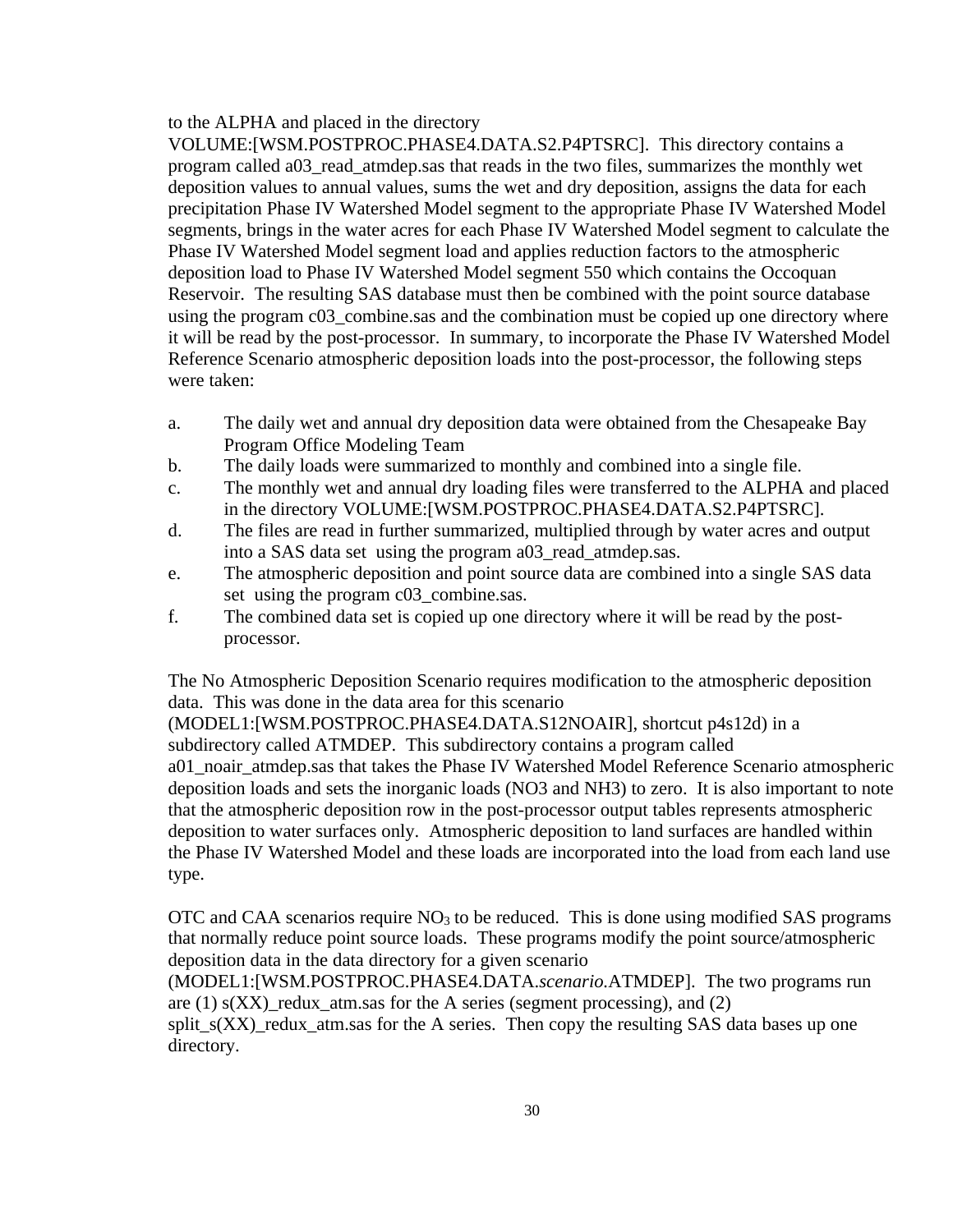#### to the ALPHA and placed in the directory

VOLUME:[WSM.POSTPROC.PHASE4.DATA.S2.P4PTSRC]. This directory contains a program called a03\_read\_atmdep.sas that reads in the two files, summarizes the monthly wet deposition values to annual values, sums the wet and dry deposition, assigns the data for each precipitation Phase IV Watershed Model segment to the appropriate Phase IV Watershed Model segments, brings in the water acres for each Phase IV Watershed Model segment to calculate the Phase IV Watershed Model segment load and applies reduction factors to the atmospheric deposition load to Phase IV Watershed Model segment 550 which contains the Occoquan Reservoir. The resulting SAS database must then be combined with the point source database using the program c03\_combine.sas and the combination must be copied up one directory where it will be read by the post-processor. In summary, to incorporate the Phase IV Watershed Model Reference Scenario atmospheric deposition loads into the post-processor, the following steps were taken:

- a. The daily wet and annual dry deposition data were obtained from the Chesapeake Bay Program Office Modeling Team
- b. The daily loads were summarized to monthly and combined into a single file.
- c. The monthly wet and annual dry loading files were transferred to the ALPHA and placed in the directory VOLUME:[WSM.POSTPROC.PHASE4.DATA.S2.P4PTSRC].
- d. The files are read in further summarized, multiplied through by water acres and output into a SAS data set using the program a03\_read\_atmdep.sas.
- e. The atmospheric deposition and point source data are combined into a single SAS data set using the program c03\_combine.sas.
- f. The combined data set is copied up one directory where it will be read by the postprocessor.

The No Atmospheric Deposition Scenario requires modification to the atmospheric deposition data. This was done in the data area for this scenario

(MODEL1:[WSM.POSTPROC.PHASE4.DATA.S12NOAIR], shortcut p4s12d) in a subdirectory called ATMDEP. This subdirectory contains a program called a01\_noair\_atmdep.sas that takes the Phase IV Watershed Model Reference Scenario atmospheric deposition loads and sets the inorganic loads (NO3 and NH3) to zero. It is also important to note that the atmospheric deposition row in the post-processor output tables represents atmospheric deposition to water surfaces only. Atmospheric deposition to land surfaces are handled within the Phase IV Watershed Model and these loads are incorporated into the load from each land use type.

OTC and CAA scenarios require  $NO<sub>3</sub>$  to be reduced. This is done using modified SAS programs that normally reduce point source loads. These programs modify the point source/atmospheric deposition data in the data directory for a given scenario

(MODEL1:[WSM.POSTPROC.PHASE4.DATA.*scenario.*ATMDEP]. The two programs run are (1)  $s(XX)$  redux atm.sas for the A series (segment processing), and (2)

split\_ $s(XX)$ \_redux\_atm.sas for the A series. Then copy the resulting SAS data bases up one directory.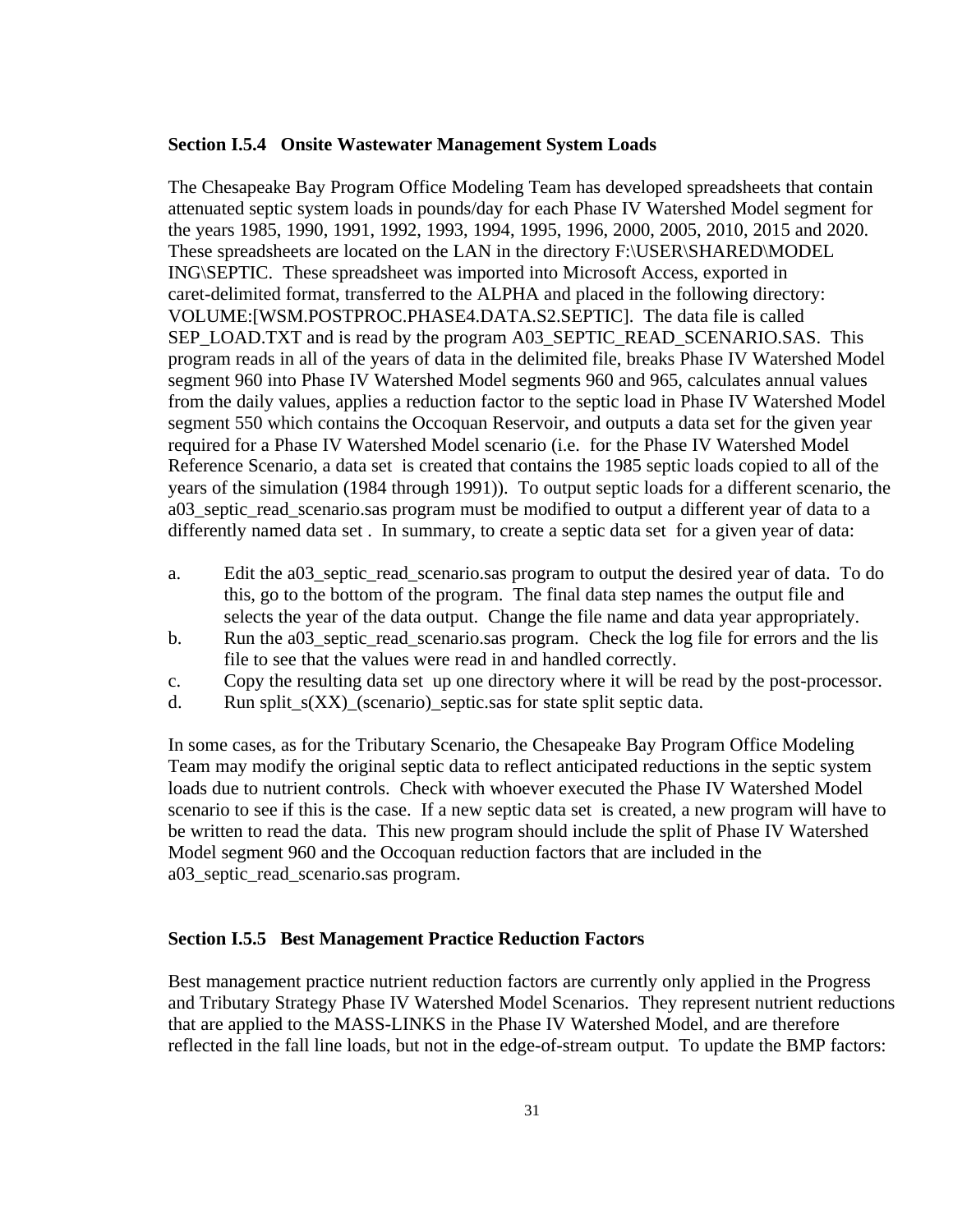#### **Section I.5.4 Onsite Wastewater Management System Loads**

The Chesapeake Bay Program Office Modeling Team has developed spreadsheets that contain attenuated septic system loads in pounds/day for each Phase IV Watershed Model segment for the years 1985, 1990, 1991, 1992, 1993, 1994, 1995, 1996, 2000, 2005, 2010, 2015 and 2020. These spreadsheets are located on the LAN in the directory F:\USER\SHARED\MODEL ING\SEPTIC. These spreadsheet was imported into Microsoft Access, exported in caret-delimited format, transferred to the ALPHA and placed in the following directory: VOLUME:[WSM.POSTPROC.PHASE4.DATA.S2.SEPTIC]. The data file is called SEP\_LOAD.TXT and is read by the program A03\_SEPTIC\_READ\_SCENARIO.SAS. This program reads in all of the years of data in the delimited file, breaks Phase IV Watershed Model segment 960 into Phase IV Watershed Model segments 960 and 965, calculates annual values from the daily values, applies a reduction factor to the septic load in Phase IV Watershed Model segment 550 which contains the Occoquan Reservoir, and outputs a data set for the given year required for a Phase IV Watershed Model scenario (i.e. for the Phase IV Watershed Model Reference Scenario, a data set is created that contains the 1985 septic loads copied to all of the years of the simulation (1984 through 1991)). To output septic loads for a different scenario, the a03\_septic\_read\_scenario.sas program must be modified to output a different year of data to a differently named data set . In summary, to create a septic data set for a given year of data:

- a. Edit the a03 septic read scenario.sas program to output the desired year of data. To do this, go to the bottom of the program. The final data step names the output file and selects the year of the data output. Change the file name and data year appropriately.
- b. Run the a03\_septic\_read\_scenario.sas program. Check the log file for errors and the lis file to see that the values were read in and handled correctly.
- c. Copy the resulting data set up one directory where it will be read by the post-processor.
- d. Run split\_s(XX)\_(scenario)\_septic.sas for state split septic data.

In some cases, as for the Tributary Scenario, the Chesapeake Bay Program Office Modeling Team may modify the original septic data to reflect anticipated reductions in the septic system loads due to nutrient controls. Check with whoever executed the Phase IV Watershed Model scenario to see if this is the case. If a new septic data set is created, a new program will have to be written to read the data. This new program should include the split of Phase IV Watershed Model segment 960 and the Occoquan reduction factors that are included in the a03\_septic\_read\_scenario.sas program.

# **Section I.5.5 Best Management Practice Reduction Factors**

Best management practice nutrient reduction factors are currently only applied in the Progress and Tributary Strategy Phase IV Watershed Model Scenarios. They represent nutrient reductions that are applied to the MASS-LINKS in the Phase IV Watershed Model, and are therefore reflected in the fall line loads, but not in the edge-of-stream output. To update the BMP factors: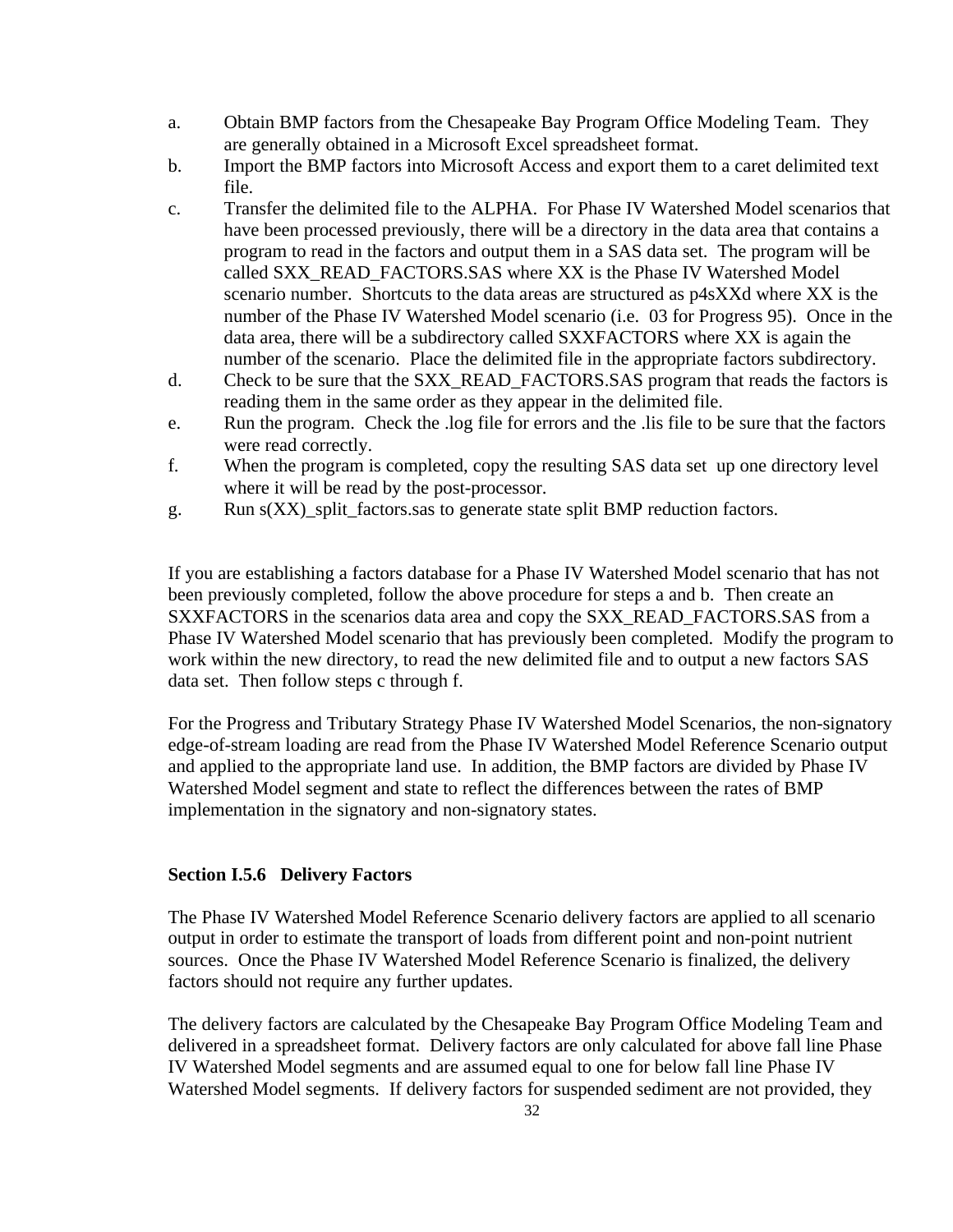- a. Obtain BMP factors from the Chesapeake Bay Program Office Modeling Team. They are generally obtained in a Microsoft Excel spreadsheet format.
- b. Import the BMP factors into Microsoft Access and export them to a caret delimited text file.
- c. Transfer the delimited file to the ALPHA. For Phase IV Watershed Model scenarios that have been processed previously, there will be a directory in the data area that contains a program to read in the factors and output them in a SAS data set. The program will be called SXX\_READ\_FACTORS.SAS where XX is the Phase IV Watershed Model scenario number. Shortcuts to the data areas are structured as p4sXXd where XX is the number of the Phase IV Watershed Model scenario (i.e. 03 for Progress 95). Once in the data area, there will be a subdirectory called SXXFACTORS where XX is again the number of the scenario. Place the delimited file in the appropriate factors subdirectory.
- d. Check to be sure that the SXX\_READ\_FACTORS.SAS program that reads the factors is reading them in the same order as they appear in the delimited file.
- e. Run the program. Check the .log file for errors and the .lis file to be sure that the factors were read correctly.
- f. When the program is completed, copy the resulting SAS data set up one directory level where it will be read by the post-processor.
- g. Run s(XX)\_split\_factors.sas to generate state split BMP reduction factors.

If you are establishing a factors database for a Phase IV Watershed Model scenario that has not been previously completed, follow the above procedure for steps a and b. Then create an SXXFACTORS in the scenarios data area and copy the SXX\_READ\_FACTORS.SAS from a Phase IV Watershed Model scenario that has previously been completed. Modify the program to work within the new directory, to read the new delimited file and to output a new factors SAS data set. Then follow steps c through f.

For the Progress and Tributary Strategy Phase IV Watershed Model Scenarios, the non-signatory edge-of-stream loading are read from the Phase IV Watershed Model Reference Scenario output and applied to the appropriate land use. In addition, the BMP factors are divided by Phase IV Watershed Model segment and state to reflect the differences between the rates of BMP implementation in the signatory and non-signatory states.

# **Section I.5.6 Delivery Factors**

The Phase IV Watershed Model Reference Scenario delivery factors are applied to all scenario output in order to estimate the transport of loads from different point and non-point nutrient sources. Once the Phase IV Watershed Model Reference Scenario is finalized, the delivery factors should not require any further updates.

The delivery factors are calculated by the Chesapeake Bay Program Office Modeling Team and delivered in a spreadsheet format. Delivery factors are only calculated for above fall line Phase IV Watershed Model segments and are assumed equal to one for below fall line Phase IV Watershed Model segments. If delivery factors for suspended sediment are not provided, they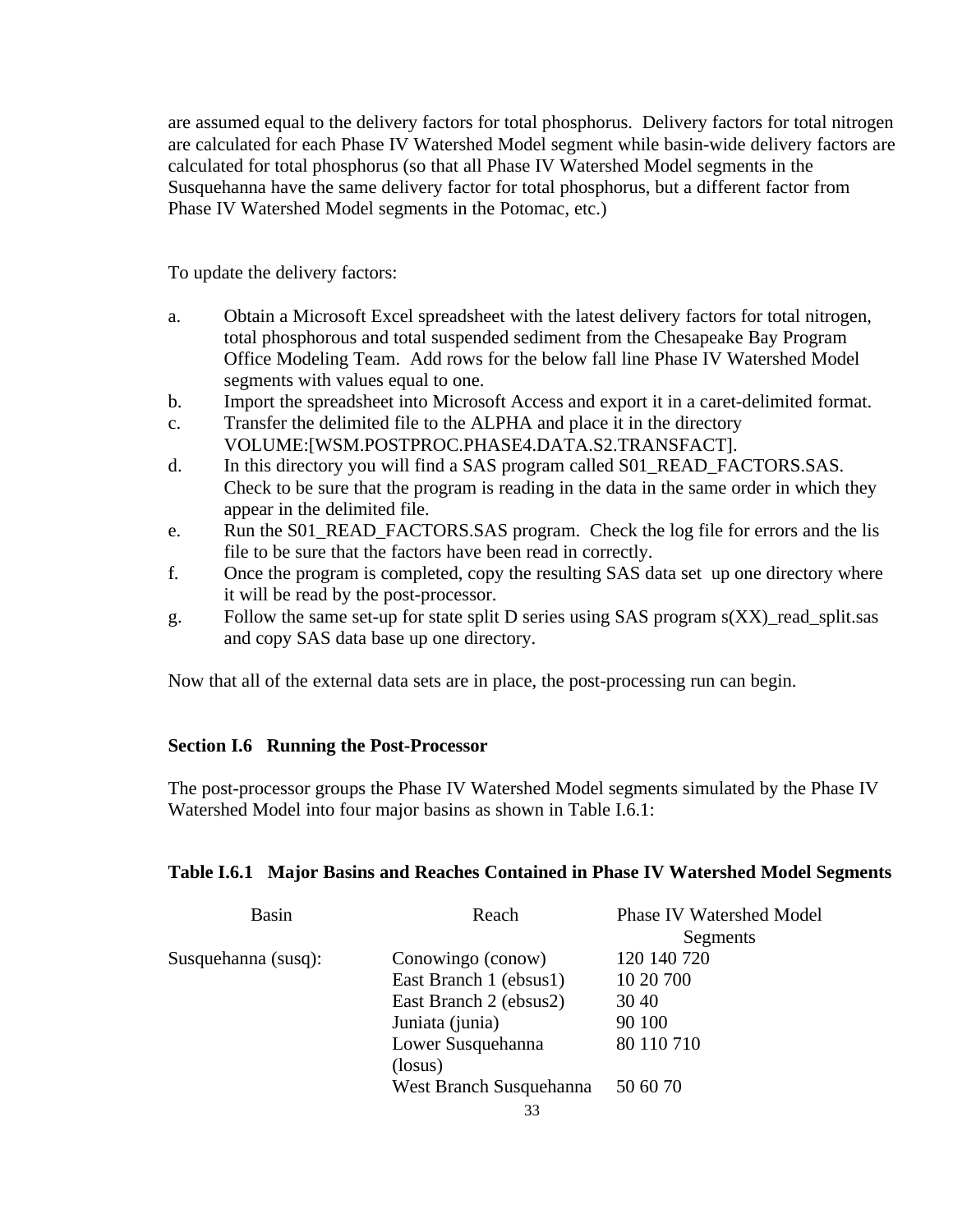are assumed equal to the delivery factors for total phosphorus. Delivery factors for total nitrogen are calculated for each Phase IV Watershed Model segment while basin-wide delivery factors are calculated for total phosphorus (so that all Phase IV Watershed Model segments in the Susquehanna have the same delivery factor for total phosphorus, but a different factor from Phase IV Watershed Model segments in the Potomac, etc.)

To update the delivery factors:

- a. Obtain a Microsoft Excel spreadsheet with the latest delivery factors for total nitrogen, total phosphorous and total suspended sediment from the Chesapeake Bay Program Office Modeling Team. Add rows for the below fall line Phase IV Watershed Model segments with values equal to one.
- b. Import the spreadsheet into Microsoft Access and export it in a caret-delimited format.
- c. Transfer the delimited file to the ALPHA and place it in the directory VOLUME:[WSM.POSTPROC.PHASE4.DATA.S2.TRANSFACT].
- d. In this directory you will find a SAS program called S01 READ FACTORS.SAS. Check to be sure that the program is reading in the data in the same order in which they appear in the delimited file.
- e. Run the S01\_READ\_FACTORS.SAS program. Check the log file for errors and the lis file to be sure that the factors have been read in correctly.
- f. Once the program is completed, copy the resulting SAS data set up one directory where it will be read by the post-processor.
- g. Follow the same set-up for state split D series using SAS program s(XX)\_read\_split.sas and copy SAS data base up one directory.

Now that all of the external data sets are in place, the post-processing run can begin.

# **Section I.6 Running the Post-Processor**

The post-processor groups the Phase IV Watershed Model segments simulated by the Phase IV Watershed Model into four major basins as shown in Table I.6.1:

#### **Table I.6.1 Major Basins and Reaches Contained in Phase IV Watershed Model Segments**

| <b>Basin</b>        | Reach                   | <b>Phase IV Watershed Model</b> |  |  |
|---------------------|-------------------------|---------------------------------|--|--|
|                     |                         | Segments                        |  |  |
| Susquehanna (susq): | Conowingo (conow)       | 120 140 720                     |  |  |
|                     | East Branch 1 (ebsus1)  | 10 20 700                       |  |  |
|                     | East Branch 2 (ebsus2)  | 30 40                           |  |  |
|                     | Juniata (junia)         | 90 100                          |  |  |
|                     | Lower Susquehanna       | 80 110 710                      |  |  |
|                     | (loss)                  |                                 |  |  |
|                     | West Branch Susquehanna | 50 60 70                        |  |  |
|                     | 33                      |                                 |  |  |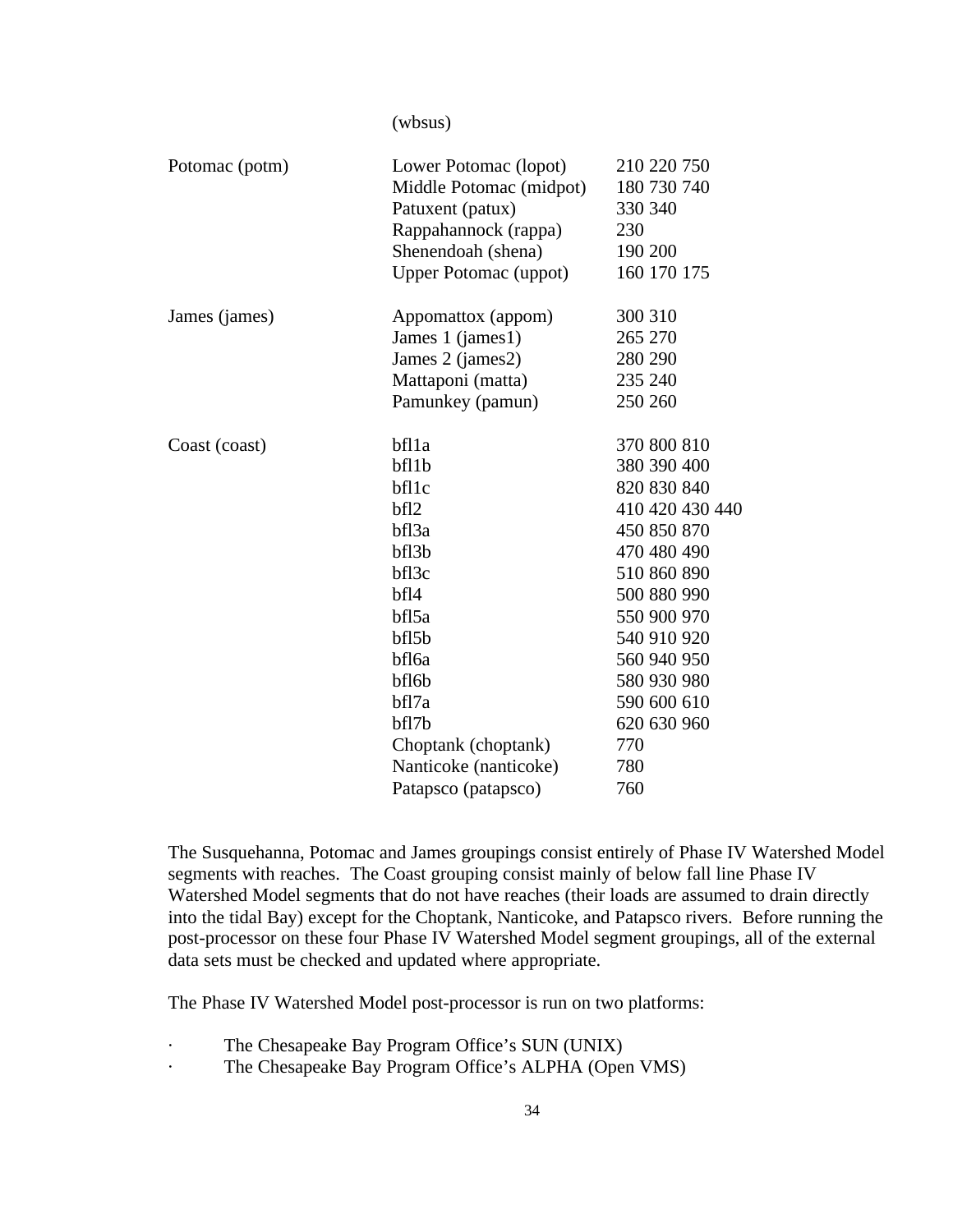(wbsus)

| Potomac (potm) | Lower Potomac (lopot)        | 210 220 750     |
|----------------|------------------------------|-----------------|
|                | Middle Potomac (midpot)      | 180 730 740     |
|                | Patuxent (patux)             | 330 340         |
|                | Rappahannock (rappa)         | 230             |
|                | Shenendoah (shena)           | 190 200         |
|                | <b>Upper Potomac (uppot)</b> | 160 170 175     |
| James (james)  | Appomattox (appom)           | 300 310         |
|                | James 1 (james1)             | 265 270         |
|                | James 2 (james2)             | 280 290         |
|                | Mattaponi (matta)            | 235 240         |
|                | Pamunkey (pamun)             | 250 260         |
| Coast (coast)  | bfl1a                        | 370 800 810     |
|                | bf11b                        | 380 390 400     |
|                | bf11c                        | 820 830 840     |
|                | bfl2                         | 410 420 430 440 |
|                | bfl3a                        | 450 850 870     |
|                | bf13b                        | 470 480 490     |
|                | bfl3c                        | 510 860 890     |
|                | bfl4                         | 500 880 990     |
|                | bfl5a                        | 550 900 970     |
|                | bf15b                        | 540 910 920     |
|                | bfl6a                        | 560 940 950     |
|                | bfl6b                        | 580 930 980     |
|                | bfl7a                        | 590 600 610     |
|                | bf17b                        | 620 630 960     |
|                | Choptank (choptank)          | 770             |
|                | Nanticoke (nanticoke)        | 780             |
|                | Patapsco (patapsco)          | 760             |

The Susquehanna, Potomac and James groupings consist entirely of Phase IV Watershed Model segments with reaches. The Coast grouping consist mainly of below fall line Phase IV Watershed Model segments that do not have reaches (their loads are assumed to drain directly into the tidal Bay) except for the Choptank, Nanticoke, and Patapsco rivers. Before running the post-processor on these four Phase IV Watershed Model segment groupings, all of the external data sets must be checked and updated where appropriate.

The Phase IV Watershed Model post-processor is run on two platforms:

- · The Chesapeake Bay Program Office's SUN (UNIX)
- · The Chesapeake Bay Program Office's ALPHA (Open VMS)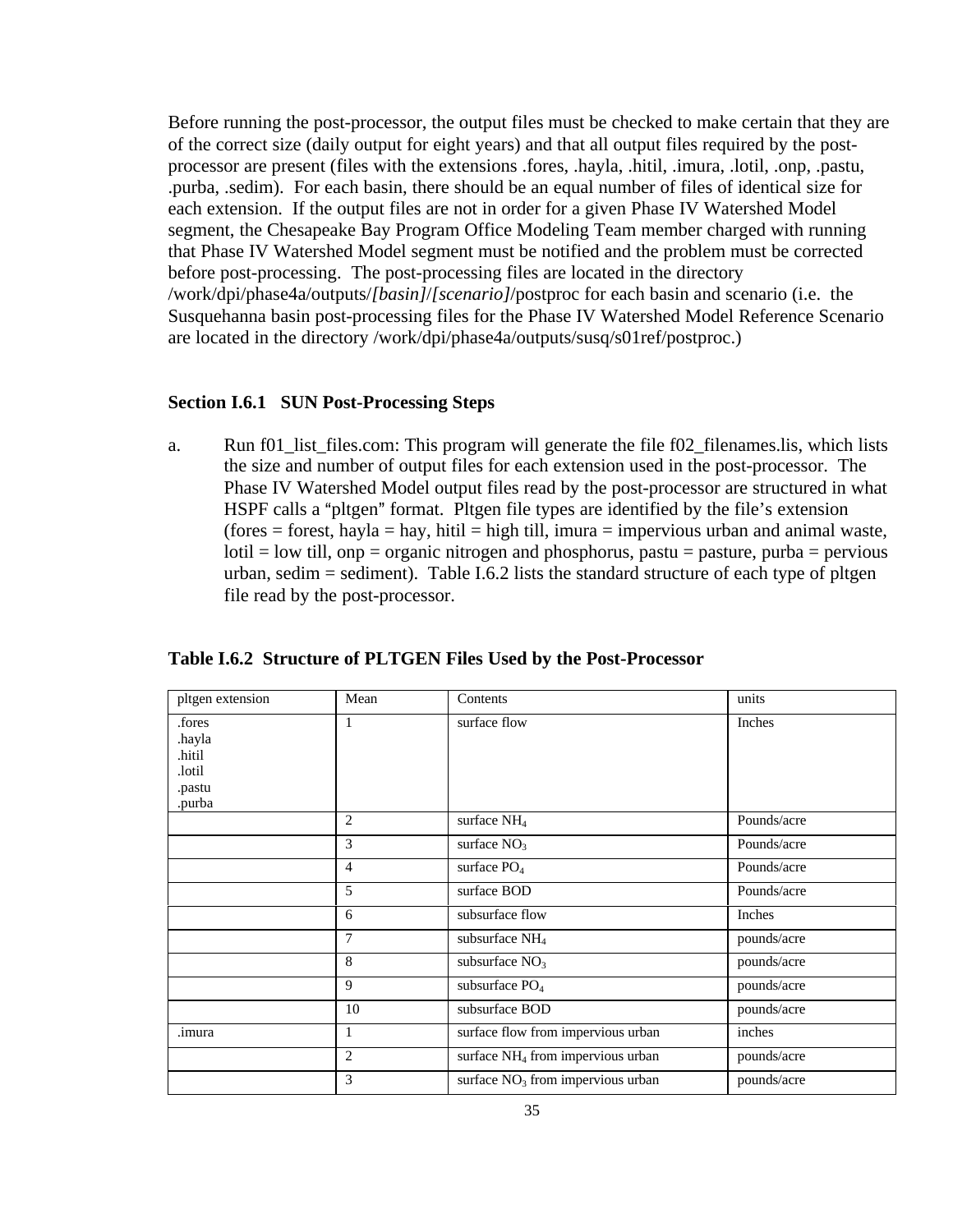Before running the post-processor, the output files must be checked to make certain that they are of the correct size (daily output for eight years) and that all output files required by the postprocessor are present (files with the extensions .fores, .hayla, .hitil, .imura, .lotil, .onp, .pastu, .purba, .sedim). For each basin, there should be an equal number of files of identical size for each extension. If the output files are not in order for a given Phase IV Watershed Model segment, the Chesapeake Bay Program Office Modeling Team member charged with running that Phase IV Watershed Model segment must be notified and the problem must be corrected before post-processing. The post-processing files are located in the directory /work/dpi/phase4a/outputs/*[basin]*/*[scenario]*/postproc for each basin and scenario (i.e. the Susquehanna basin post-processing files for the Phase IV Watershed Model Reference Scenario are located in the directory /work/dpi/phase4a/outputs/susq/s01ref/postproc.)

#### **Section I.6.1 SUN Post-Processing Steps**

a. Run f01\_list\_files.com: This program will generate the file f02\_filenames.lis, which lists the size and number of output files for each extension used in the post-processor. The Phase IV Watershed Model output files read by the post-processor are structured in what HSPF calls a "pltgen" format. Pltgen file types are identified by the file's extension  $(fores = forest, hayla = hay, hitil = high till, imura = impervious urban and animal waste,$  $\text{Iotil} = \text{low till}, \text{onp} = \text{organic nitrogen}$  and phosphorus, pastu = pasture, purba = pervious urban, sedim  $=$  sediment). Table I.6.2 lists the standard structure of each type of pltgen file read by the post-processor.

| pltgen extension                                         | Mean            | Contents                                      | units       |
|----------------------------------------------------------|-----------------|-----------------------------------------------|-------------|
| .fores<br>.hayla<br>.hitil<br>.lotil<br>.pastu<br>.purba | 1               | surface flow                                  | Inches      |
|                                                          | $\overline{c}$  | surface NH <sub>4</sub>                       | Pounds/acre |
|                                                          | 3               | surface $NO3$                                 | Pounds/acre |
|                                                          | $\overline{4}$  | surface PO <sub>4</sub>                       | Pounds/acre |
|                                                          | 5               | surface BOD                                   | Pounds/acre |
|                                                          | 6               | subsurface flow                               | Inches      |
|                                                          | $7\phantom{.0}$ | subsurface NH <sub>4</sub>                    | pounds/acre |
|                                                          | 8               | subsurface $NO3$                              | pounds/acre |
|                                                          | $\mathbf{Q}$    | subsurface PO <sub>4</sub>                    | pounds/acre |
|                                                          | 10              | subsurface BOD                                | pounds/acre |
| .imura                                                   | 1               | surface flow from impervious urban            | inches      |
|                                                          | $\overline{2}$  | surface NH <sub>4</sub> from impervious urban | pounds/acre |
|                                                          | 3               | surface $NO3$ from impervious urban           | pounds/acre |

**Table I.6.2 Structure of PLTGEN Files Used by the Post-Processor**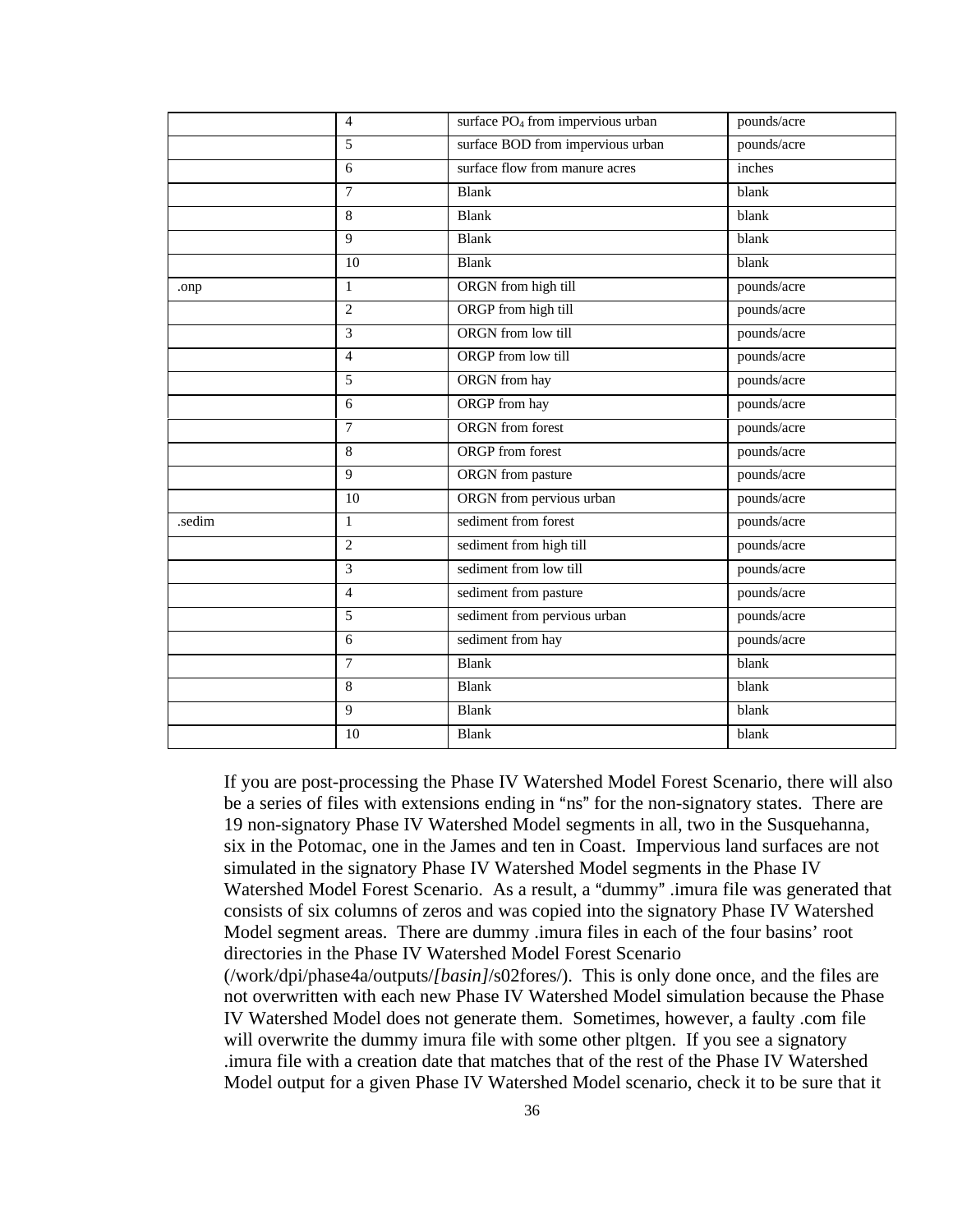|        | $\overline{4}$ | surface PO <sub>4</sub> from impervious urban | pounds/acre |
|--------|----------------|-----------------------------------------------|-------------|
|        | 5              | surface BOD from impervious urban             | pounds/acre |
|        | 6              | surface flow from manure acres                | inches      |
|        | $\tau$         | <b>Blank</b>                                  | blank       |
|        | 8              | Blank                                         | blank       |
|        | 9              | <b>Blank</b>                                  | blank       |
|        | 10             | <b>Blank</b>                                  | blank       |
| .onp   | $\mathbf{1}$   | ORGN from high till                           | pounds/acre |
|        | $\overline{2}$ | ORGP from high till                           | pounds/acre |
|        | $\overline{3}$ | ORGN from low till                            | pounds/acre |
|        | $\overline{4}$ | ORGP from low till                            | pounds/acre |
|        | 5              | ORGN from hay                                 | pounds/acre |
|        | 6              | ORGP from hay                                 | pounds/acre |
|        | $\overline{7}$ | ORGN from forest                              | pounds/acre |
|        | 8              | <b>ORGP</b> from forest                       | pounds/acre |
|        | 9              | ORGN from pasture                             | pounds/acre |
|        | 10             | ORGN from pervious urban                      | pounds/acre |
| .sedim | $\mathbf{1}$   | sediment from forest                          | pounds/acre |
|        | $\overline{c}$ | sediment from high till                       | pounds/acre |
|        | 3              | sediment from low till                        | pounds/acre |
|        | $\overline{4}$ | sediment from pasture                         | pounds/acre |
|        | 5              | sediment from pervious urban                  | pounds/acre |
|        | $\overline{6}$ | sediment from hay                             | pounds/acre |
|        | $\overline{7}$ | <b>Blank</b>                                  | blank       |
|        | 8              | <b>Blank</b>                                  | blank       |
|        | $\overline{9}$ | <b>Blank</b>                                  | blank       |
|        | 10             | <b>Blank</b>                                  | blank       |
|        |                |                                               |             |

If you are post-processing the Phase IV Watershed Model Forest Scenario, there will also be a series of files with extensions ending in "ns" for the non-signatory states. There are 19 non-signatory Phase IV Watershed Model segments in all, two in the Susquehanna, six in the Potomac, one in the James and ten in Coast. Impervious land surfaces are not simulated in the signatory Phase IV Watershed Model segments in the Phase IV Watershed Model Forest Scenario. As a result, a "dummy" .imura file was generated that consists of six columns of zeros and was copied into the signatory Phase IV Watershed Model segment areas. There are dummy .imura files in each of the four basins' root directories in the Phase IV Watershed Model Forest Scenario (/work/dpi/phase4a/outputs/*[basin]*/s02fores/). This is only done once, and the files are not overwritten with each new Phase IV Watershed Model simulation because the Phase IV Watershed Model does not generate them. Sometimes, however, a faulty .com file will overwrite the dummy imura file with some other pltgen. If you see a signatory

.imura file with a creation date that matches that of the rest of the Phase IV Watershed Model output for a given Phase IV Watershed Model scenario, check it to be sure that it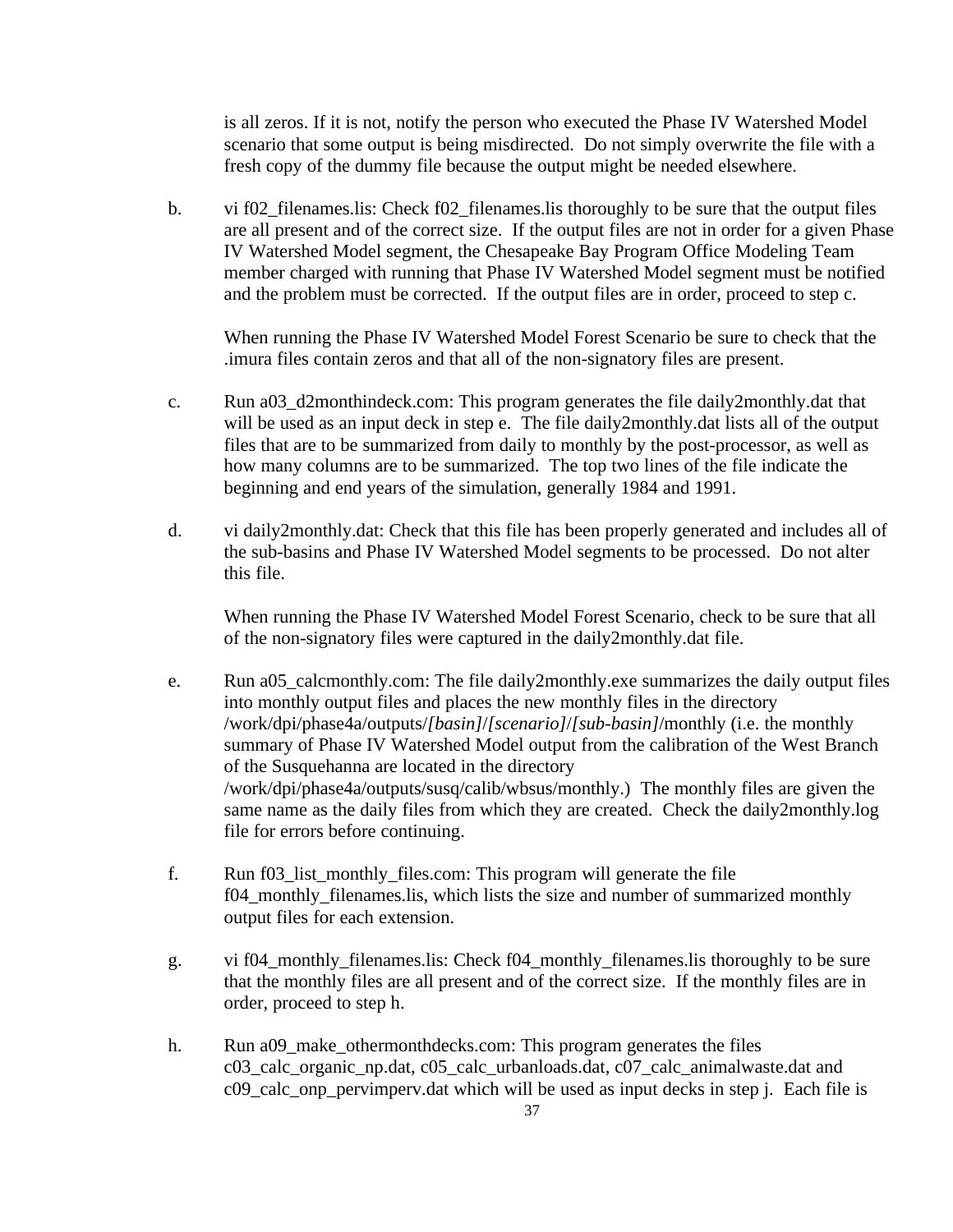is all zeros. If it is not, notify the person who executed the Phase IV Watershed Model scenario that some output is being misdirected. Do not simply overwrite the file with a fresh copy of the dummy file because the output might be needed elsewhere.

b. vi f02 filenames.lis: Check f02 filenames.lis thoroughly to be sure that the output files are all present and of the correct size. If the output files are not in order for a given Phase IV Watershed Model segment, the Chesapeake Bay Program Office Modeling Team member charged with running that Phase IV Watershed Model segment must be notified and the problem must be corrected. If the output files are in order, proceed to step c.

When running the Phase IV Watershed Model Forest Scenario be sure to check that the .imura files contain zeros and that all of the non-signatory files are present.

- c. Run a03\_d2monthindeck.com: This program generates the file daily2monthly.dat that will be used as an input deck in step e. The file daily2monthly.dat lists all of the output files that are to be summarized from daily to monthly by the post-processor, as well as how many columns are to be summarized. The top two lines of the file indicate the beginning and end years of the simulation, generally 1984 and 1991.
- d. vi daily2monthly.dat: Check that this file has been properly generated and includes all of the sub-basins and Phase IV Watershed Model segments to be processed. Do not alter this file.

When running the Phase IV Watershed Model Forest Scenario, check to be sure that all of the non-signatory files were captured in the daily2monthly.dat file.

- e. Run a05 calcmonthly.com: The file daily2monthly.exe summarizes the daily output files into monthly output files and places the new monthly files in the directory /work/dpi/phase4a/outputs/*[basin]*/*[scenario]*/*[sub-basin]*/monthly (i.e. the monthly summary of Phase IV Watershed Model output from the calibration of the West Branch of the Susquehanna are located in the directory /work/dpi/phase4a/outputs/susq/calib/wbsus/monthly.) The monthly files are given the same name as the daily files from which they are created. Check the daily2monthly.log file for errors before continuing.
- f. Run f03\_list\_monthly\_files.com: This program will generate the file f04\_monthly\_filenames.lis, which lists the size and number of summarized monthly output files for each extension.
- g. vi f04\_monthly\_filenames.lis: Check f04\_monthly\_filenames.lis thoroughly to be sure that the monthly files are all present and of the correct size. If the monthly files are in order, proceed to step h.
- h. Run a09 make othermonthdecks.com: This program generates the files c03\_calc\_organic\_np.dat, c05\_calc\_urbanloads.dat, c07\_calc\_animalwaste.dat and c09\_calc\_onp\_pervimperv.dat which will be used as input decks in step j. Each file is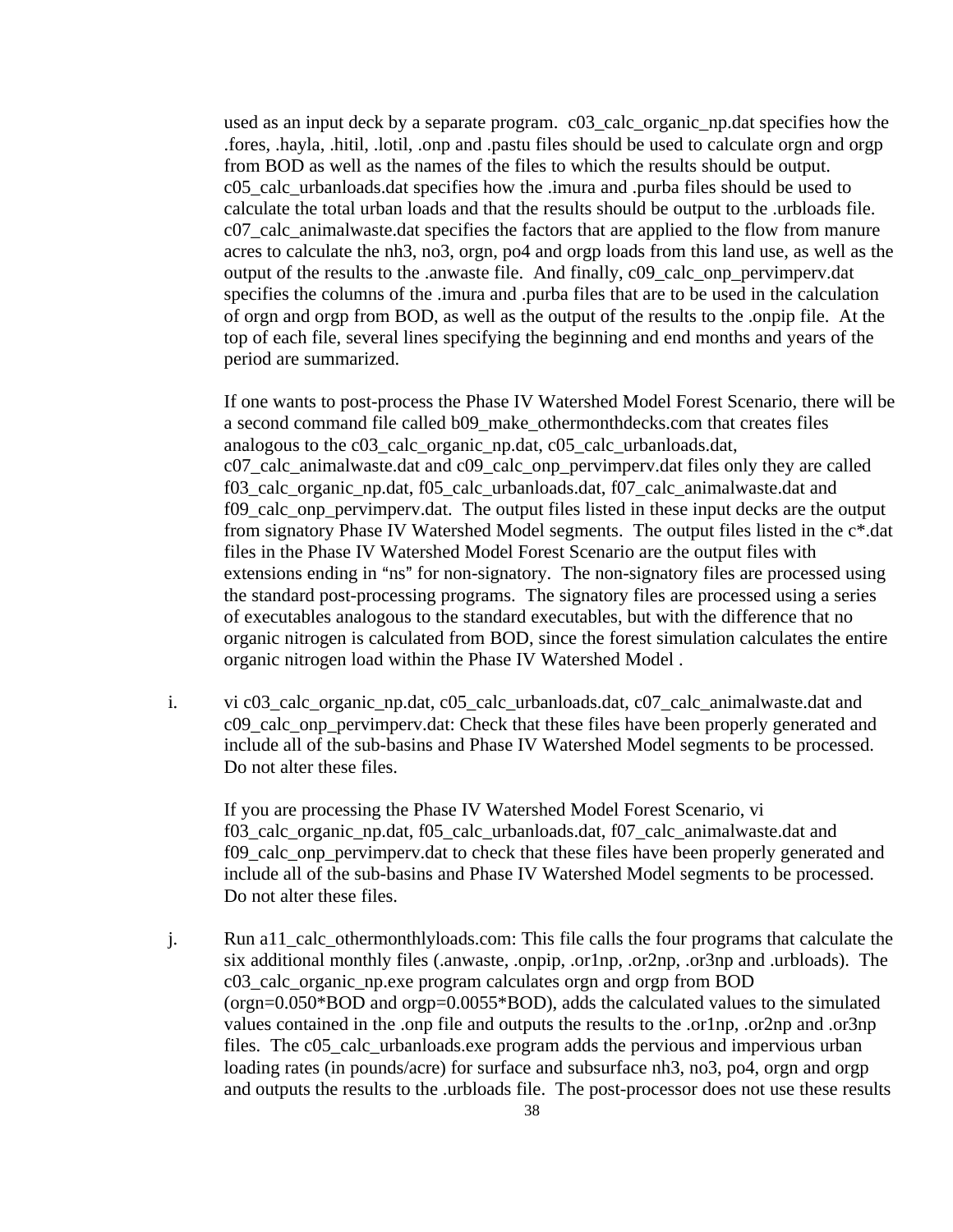used as an input deck by a separate program. c03\_calc\_organic\_np.dat specifies how the .fores, .hayla, .hitil, .lotil, .onp and .pastu files should be used to calculate orgn and orgp from BOD as well as the names of the files to which the results should be output. c05\_calc\_urbanloads.dat specifies how the .imura and .purba files should be used to calculate the total urban loads and that the results should be output to the .urbloads file. c07\_calc\_animalwaste.dat specifies the factors that are applied to the flow from manure acres to calculate the nh3, no3, orgn, po4 and orgp loads from this land use, as well as the output of the results to the .anwaste file. And finally, c09\_calc\_onp\_pervimperv.dat specifies the columns of the .imura and .purba files that are to be used in the calculation of orgn and orgp from BOD, as well as the output of the results to the .onpip file. At the top of each file, several lines specifying the beginning and end months and years of the period are summarized.

If one wants to post-process the Phase IV Watershed Model Forest Scenario, there will be a second command file called b09\_make\_othermonthdecks.com that creates files analogous to the c03\_calc\_organic\_np.dat, c05\_calc\_urbanloads.dat, c07\_calc\_animalwaste.dat and c09\_calc\_onp\_pervimperv.dat files only they are called f03\_calc\_organic\_np.dat, f05\_calc\_urbanloads.dat, f07\_calc\_animalwaste.dat and f09\_calc\_onp\_pervimperv.dat. The output files listed in these input decks are the output from signatory Phase IV Watershed Model segments. The output files listed in the c\*.dat files in the Phase IV Watershed Model Forest Scenario are the output files with extensions ending in "ns" for non-signatory. The non-signatory files are processed using the standard post-processing programs. The signatory files are processed using a series of executables analogous to the standard executables, but with the difference that no organic nitrogen is calculated from BOD, since the forest simulation calculates the entire organic nitrogen load within the Phase IV Watershed Model .

i. vi c03\_calc\_organic\_np.dat, c05\_calc\_urbanloads.dat, c07\_calc\_animalwaste.dat and c09 calc onp pervimperv.dat: Check that these files have been properly generated and include all of the sub-basins and Phase IV Watershed Model segments to be processed. Do not alter these files.

If you are processing the Phase IV Watershed Model Forest Scenario, vi f03\_calc\_organic\_np.dat, f05\_calc\_urbanloads.dat, f07\_calc\_animalwaste.dat and f09\_calc\_onp\_pervimperv.dat to check that these files have been properly generated and include all of the sub-basins and Phase IV Watershed Model segments to be processed. Do not alter these files.

j. Run a11\_calc\_othermonthlyloads.com: This file calls the four programs that calculate the six additional monthly files (.anwaste, .onpip, .or1np, .or2np, .or3np and .urbloads). The c03\_calc\_organic\_np.exe program calculates orgn and orgp from BOD (orgn=0.050\*BOD and orgp=0.0055\*BOD), adds the calculated values to the simulated values contained in the .onp file and outputs the results to the .or1np, .or2np and .or3np files. The c05 calc urbanloads.exe program adds the pervious and impervious urban loading rates (in pounds/acre) for surface and subsurface nh3, no3, po4, orgn and orgp and outputs the results to the .urbloads file. The post-processor does not use these results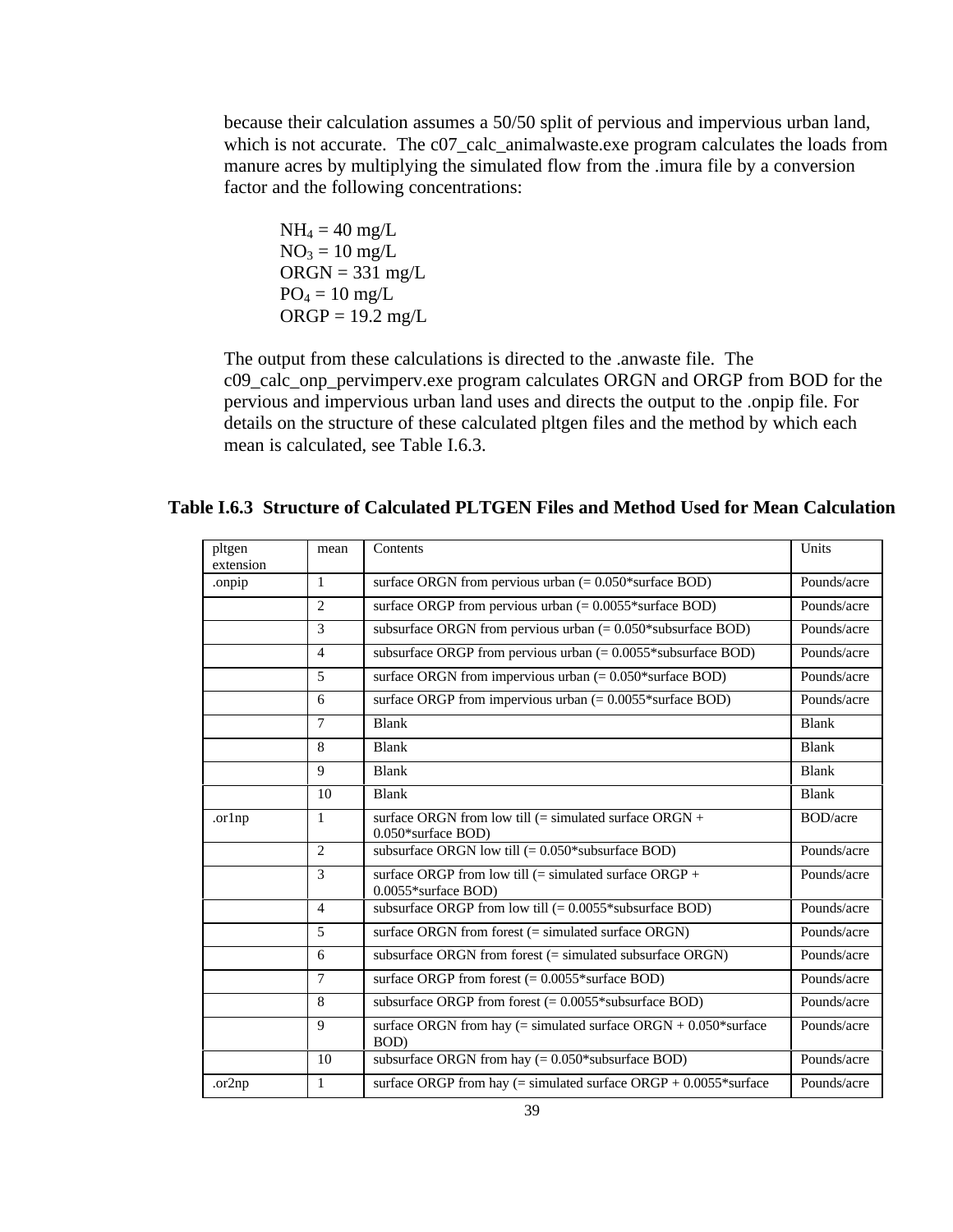because their calculation assumes a 50/50 split of pervious and impervious urban land, which is not accurate. The c07\_calc\_animalwaste.exe program calculates the loads from manure acres by multiplying the simulated flow from the .imura file by a conversion factor and the following concentrations:

 $NH_4 = 40$  mg/L  $NO<sub>3</sub> = 10$  mg/L  $ORGN = 331$  mg/L  $PO_4 = 10$  mg/L  $ORGP = 19.2$  mg/L

The output from these calculations is directed to the .anwaste file. The c09\_calc\_onp\_pervimperv.exe program calculates ORGN and ORGP from BOD for the pervious and impervious urban land uses and directs the output to the .onpip file. For details on the structure of these calculated pltgen files and the method by which each mean is calculated, see Table I.6.3.

| pltgen<br>extension | mean           | Contents                                                                        | Units            |
|---------------------|----------------|---------------------------------------------------------------------------------|------------------|
| .onpip              | 1              | surface ORGN from pervious urban $(= 0.050*$ surface BOD)                       | Pounds/acre      |
|                     | $\overline{2}$ | surface ORGP from pervious urban $(= 0.0055*$ surface BOD)                      | Pounds/acre      |
|                     | 3              | subsurface ORGN from pervious urban $(= 0.050*$ subsurface BOD)                 | Pounds/acre      |
|                     | $\overline{4}$ | subsurface ORGP from pervious urban $(= 0.0055*$ subsurface BOD)                | Pounds/acre      |
|                     | 5              | surface ORGN from impervious urban $(= 0.050*$ surface BOD)                     | Pounds/acre      |
|                     | 6              | surface ORGP from impervious urban $(= 0.0055)$ *surface BOD)                   | Pounds/acre      |
|                     | $\overline{7}$ | <b>Blank</b>                                                                    | <b>Blank</b>     |
|                     | 8              | <b>Blank</b>                                                                    | <b>Blank</b>     |
|                     | 9              | <b>Blank</b>                                                                    | <b>Blank</b>     |
|                     | 10             | <b>Blank</b>                                                                    | <b>Blank</b>     |
| .orlnp              | 1              | surface ORGN from low till $(=$ simulated surface ORGN +<br>0.050*surface BOD)  | <b>BOD</b> /acre |
|                     | $\overline{c}$ | subsurface ORGN low till $(= 0.050*$ subsurface BOD)                            | Pounds/acre      |
|                     | 3              | surface ORGP from low till $(=$ simulated surface ORGP +<br>0.0055*surface BOD) | Pounds/acre      |
|                     | $\overline{4}$ | subsurface ORGP from low till $(= 0.0055*$ subsurface BOD)                      | Pounds/acre      |
|                     | 5              | surface ORGN from forest (= simulated surface ORGN)                             | Pounds/acre      |
|                     | 6              | subsurface ORGN from forest $(=$ simulated subsurface ORGN)                     | Pounds/acre      |
|                     | 7              | surface ORGP from forest $(= 0.0055*$ surface BOD)                              | Pounds/acre      |
|                     | 8              | subsurface ORGP from forest $(= 0.0055*$ subsurface BOD)                        | Pounds/acre      |
|                     | $\mathbf Q$    | surface ORGN from hay (= simulated surface ORGN + $0.050*$ surface<br>BOD)      | Pounds/acre      |
|                     | 10             | subsurface ORGN from hay $(= 0.050*$ subsurface BOD)                            | Pounds/acre      |
| .or2np              | 1              | surface ORGP from hay $(=$ simulated surface ORGP + $0.0055$ *surface           | Pounds/acre      |

# **Table I.6.3 Structure of Calculated PLTGEN Files and Method Used for Mean Calculation**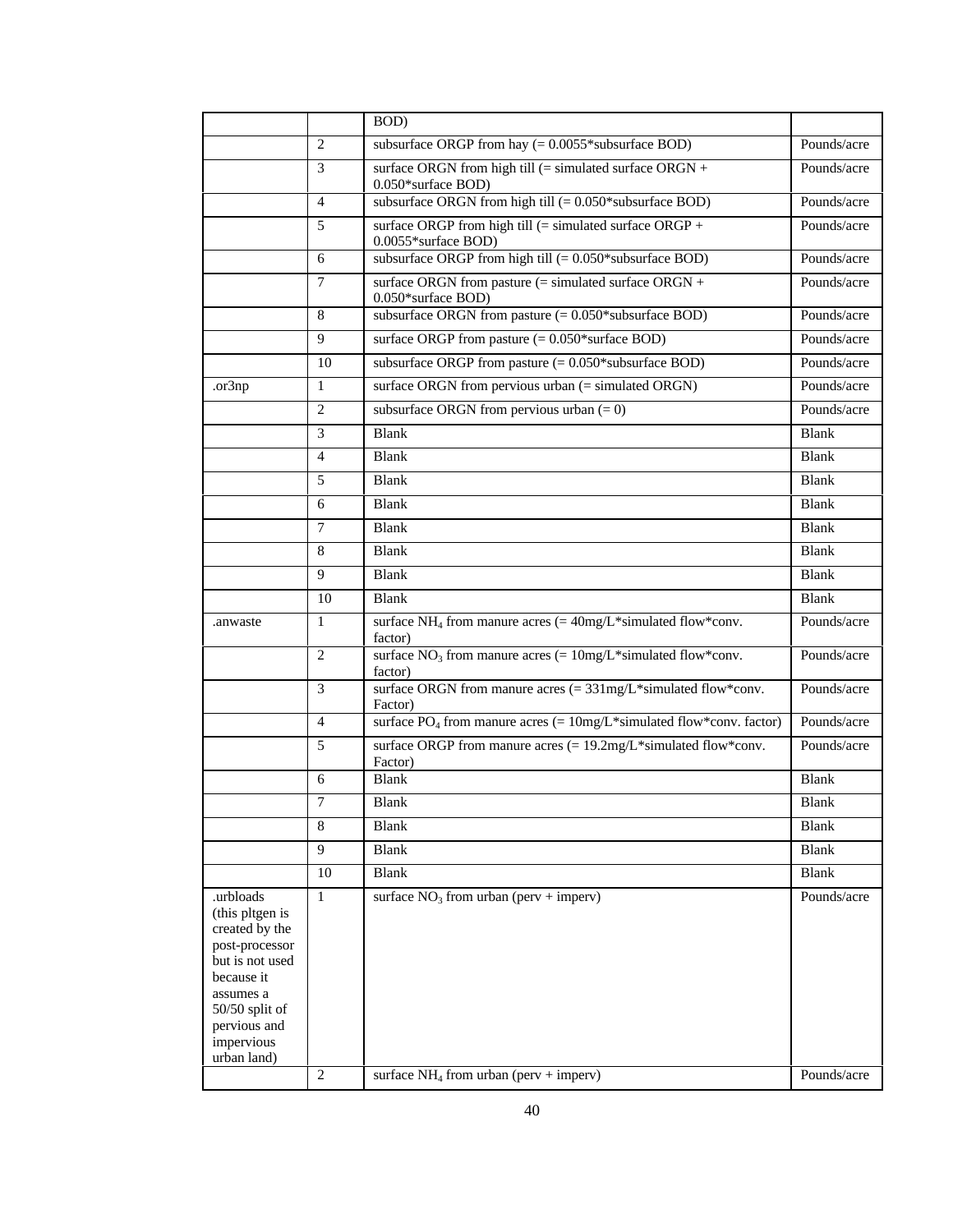|                                                                                                                                                                                 |                | BOD)                                                                                                    |              |
|---------------------------------------------------------------------------------------------------------------------------------------------------------------------------------|----------------|---------------------------------------------------------------------------------------------------------|--------------|
|                                                                                                                                                                                 | 2              | subsurface ORGP from hay $(= 0.0055*$ subsurface BOD)                                                   | Pounds/acre  |
|                                                                                                                                                                                 | 3              | surface ORGN from high till (= simulated surface $\overline{ORGN}$ +<br>0.050*surface BOD)              | Pounds/acre  |
|                                                                                                                                                                                 | $\overline{4}$ | subsurface ORGN from high till $(= 0.050*$ subsurface BOD)                                              | Pounds/acre  |
|                                                                                                                                                                                 | 5              | surface ORGP from high till (= simulated surface ORGP +<br>0.0055*surface BOD)                          | Pounds/acre  |
|                                                                                                                                                                                 | 6              | subsurface ORGP from high till $(= 0.050*$ subsurface BOD)                                              | Pounds/acre  |
|                                                                                                                                                                                 | $\tau$         | surface ORGN from pasture (= simulated surface ORGN +<br>0.050*surface BOD)                             | Pounds/acre  |
|                                                                                                                                                                                 | 8              | subsurface ORGN from pasture $(= 0.050*$ subsurface BOD)                                                | Pounds/acre  |
|                                                                                                                                                                                 | 9              | surface ORGP from pasture $(= 0.050*$ surface BOD)                                                      | Pounds/acre  |
|                                                                                                                                                                                 | 10             | subsurface ORGP from pasture $(= 0.050*$ subsurface BOD)                                                | Pounds/acre  |
| .or3np                                                                                                                                                                          | $\mathbf{1}$   | surface ORGN from pervious urban (= simulated ORGN)                                                     | Pounds/acre  |
|                                                                                                                                                                                 | $\overline{2}$ | subsurface ORGN from pervious urban $(= 0)$                                                             | Pounds/acre  |
|                                                                                                                                                                                 | 3              | <b>Blank</b>                                                                                            | <b>Blank</b> |
|                                                                                                                                                                                 | $\overline{4}$ | <b>Blank</b>                                                                                            | Blank        |
|                                                                                                                                                                                 | 5              | Blank                                                                                                   | <b>Blank</b> |
|                                                                                                                                                                                 | 6              | <b>Blank</b>                                                                                            | <b>Blank</b> |
|                                                                                                                                                                                 | 7              | <b>Blank</b>                                                                                            | <b>Blank</b> |
|                                                                                                                                                                                 | 8              | Blank                                                                                                   | <b>Blank</b> |
|                                                                                                                                                                                 | 9              | <b>Blank</b>                                                                                            | <b>Blank</b> |
|                                                                                                                                                                                 | 10             | <b>Blank</b>                                                                                            | <b>Blank</b> |
| .anwaste                                                                                                                                                                        | $\mathbf{1}$   | surface NH <sub>4</sub> from manure acres (= $40mg/L*$ simulated flow*conv.<br>factor)                  | Pounds/acre  |
|                                                                                                                                                                                 | $\overline{c}$ | surface $NO_3$ from manure acres (= $10mg/L*$ simulated flow*conv.<br>factor)                           | Pounds/acre  |
|                                                                                                                                                                                 | 3              | surface ORGN from manure acres $(= 331mg/L*$ simulated flow*conv.<br>Factor)                            | Pounds/acre  |
|                                                                                                                                                                                 | 4              | surface PO <sub>4</sub> from manure acres (= $10mg/L*$ simulated flow*conv. factor)                     | Pounds/acre  |
|                                                                                                                                                                                 | 5              | surface ORGP from manure acres $(= 19.2 \text{mg/L}^* \text{simulated flow}^* \text{conv.})$<br>Factor) | Pounds/acre  |
|                                                                                                                                                                                 | 6              | <b>Blank</b>                                                                                            | <b>Blank</b> |
|                                                                                                                                                                                 | $\overline{7}$ | <b>Blank</b>                                                                                            | <b>Blank</b> |
|                                                                                                                                                                                 | 8              | Blank                                                                                                   | Blank        |
|                                                                                                                                                                                 | 9              | <b>Blank</b>                                                                                            | <b>Blank</b> |
|                                                                                                                                                                                 | 10             | <b>Blank</b>                                                                                            | Blank        |
| .urbloads<br>(this pltgen is<br>created by the<br>post-processor<br>but is not used<br>because it<br>assumes a<br>$50/50$ split of<br>pervious and<br>impervious<br>urban land) | $\mathbf{1}$   | surface $NO_3$ from urban (perv + imperv)                                                               | Pounds/acre  |
|                                                                                                                                                                                 | $\mathfrak{2}$ | surface $NH_4$ from urban (perv + imperv)                                                               | Pounds/acre  |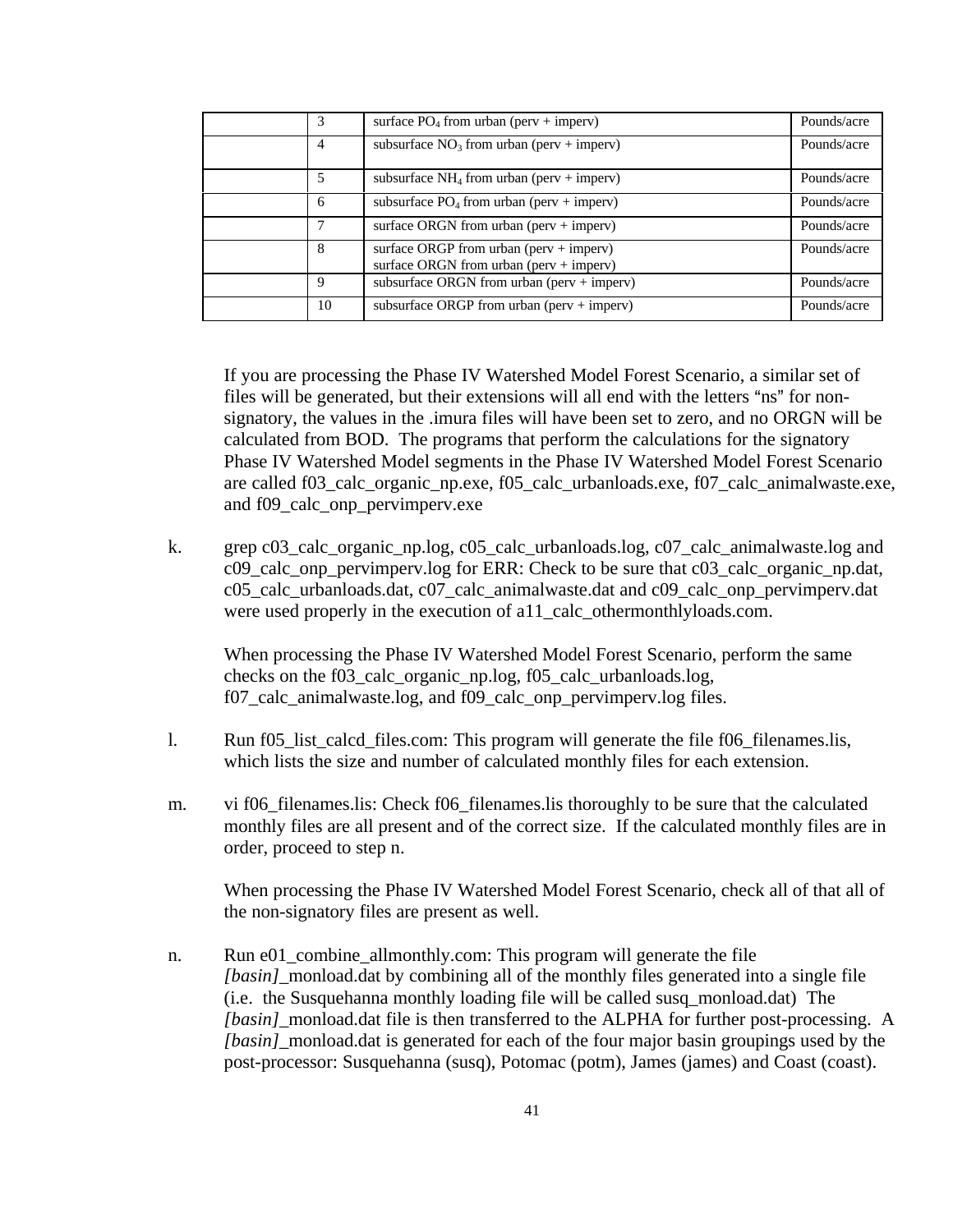| 3           | surface $PO_4$ from urban (perv + imperv)                                          | Pounds/acre |
|-------------|------------------------------------------------------------------------------------|-------------|
| 4           | subsurface $NO_3$ from urban (perv + imperv)                                       | Pounds/acre |
| 5           | subsurface $NH_4$ from urban (perv + imperv)                                       | Pounds/acre |
| 6           | subsurface $PO_4$ from urban (perv + imperv)                                       | Pounds/acre |
|             | surface ORGN from urban (perv + imperv)                                            | Pounds/acre |
| 8           | surface ORGP from urban (perv + imperv)<br>surface ORGN from urban (perv + imperv) | Pounds/acre |
| $\mathbf Q$ | subsurface ORGN from urban (perv + imperv)                                         | Pounds/acre |
| 10          | subsurface ORGP from urban (perv $+$ imperv)                                       | Pounds/acre |

If you are processing the Phase IV Watershed Model Forest Scenario, a similar set of files will be generated, but their extensions will all end with the letters "ns" for nonsignatory, the values in the .imura files will have been set to zero, and no ORGN will be calculated from BOD. The programs that perform the calculations for the signatory Phase IV Watershed Model segments in the Phase IV Watershed Model Forest Scenario are called f03 calc organic np.exe, f05 calc urbanloads.exe, f07 calc animalwaste.exe, and f09\_calc\_onp\_pervimperv.exe

k. grep c03\_calc\_organic\_np.log, c05\_calc\_urbanloads.log, c07\_calc\_animalwaste.log and c09\_calc\_onp\_pervimperv.log for ERR: Check to be sure that c03\_calc\_organic\_np.dat, c05\_calc\_urbanloads.dat, c07\_calc\_animalwaste.dat and c09\_calc\_onp\_pervimperv.dat were used properly in the execution of a11\_calc\_othermonthlyloads.com.

When processing the Phase IV Watershed Model Forest Scenario, perform the same checks on the f03\_calc\_organic\_np.log, f05\_calc\_urbanloads.log, f07 calc animalwaste.log, and f09 calc onp pervimperv.log files.

- l. Run f05\_list\_calcd\_files.com: This program will generate the file f06\_filenames.lis, which lists the size and number of calculated monthly files for each extension.
- m. vi f06\_filenames.lis: Check f06\_filenames.lis thoroughly to be sure that the calculated monthly files are all present and of the correct size. If the calculated monthly files are in order, proceed to step n.

When processing the Phase IV Watershed Model Forest Scenario, check all of that all of the non-signatory files are present as well.

n. Run e01\_combine\_allmonthly.com: This program will generate the file *[basin]* monload.dat by combining all of the monthly files generated into a single file (i.e. the Susquehanna monthly loading file will be called susq\_monload.dat) The *[basin]*\_monload.dat file is then transferred to the ALPHA for further post-processing. A *[basin]*\_monload.dat is generated for each of the four major basin groupings used by the post-processor: Susquehanna (susq), Potomac (potm), James (james) and Coast (coast).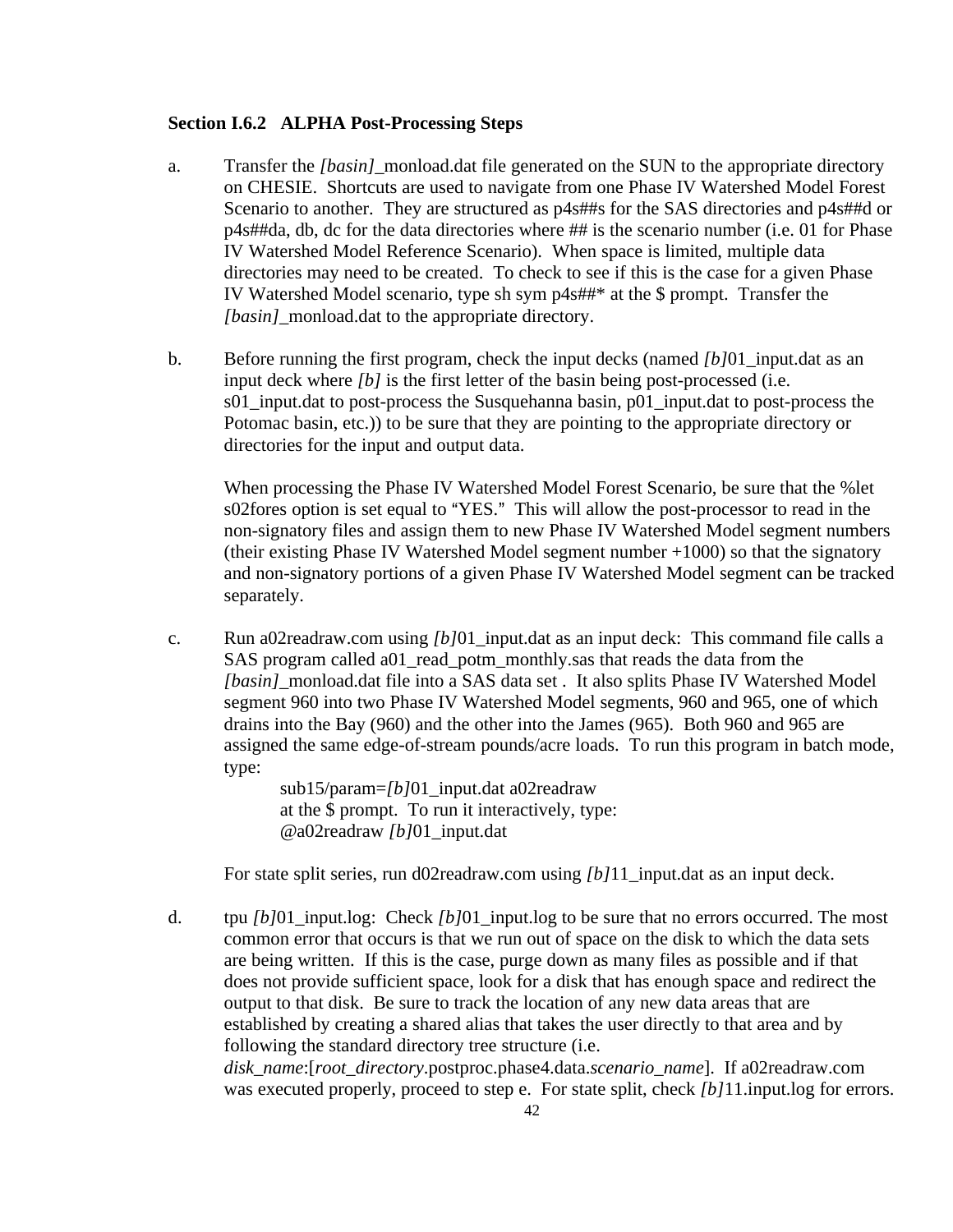#### **Section I.6.2 ALPHA Post-Processing Steps**

- a. Transfer the *[basin]*\_monload.dat file generated on the SUN to the appropriate directory on CHESIE. Shortcuts are used to navigate from one Phase IV Watershed Model Forest Scenario to another. They are structured as  $p4s$  and SAS directories and  $p4s$  and or p4s##da, db, dc for the data directories where ## is the scenario number (i.e. 01 for Phase IV Watershed Model Reference Scenario). When space is limited, multiple data directories may need to be created. To check to see if this is the case for a given Phase IV Watershed Model scenario, type sh sym p4s##\* at the \$ prompt. Transfer the *[basin]*\_monload.dat to the appropriate directory.
- b. Before running the first program, check the input decks (named *[b]*01\_input.dat as an input deck where *[b]* is the first letter of the basin being post-processed (i.e. s01 input.dat to post-process the Susquehanna basin, p01 input.dat to post-process the Potomac basin, etc.)) to be sure that they are pointing to the appropriate directory or directories for the input and output data.

When processing the Phase IV Watershed Model Forest Scenario, be sure that the %let s02fores option is set equal to "YES." This will allow the post-processor to read in the non-signatory files and assign them to new Phase IV Watershed Model segment numbers (their existing Phase IV Watershed Model segment number +1000) so that the signatory and non-signatory portions of a given Phase IV Watershed Model segment can be tracked separately.

c. Run a02readraw.com using *[b]*01\_input.dat as an input deck: This command file calls a SAS program called a01\_read\_potm\_monthly.sas that reads the data from the *[basin]* monload.dat file into a SAS data set . It also splits Phase IV Watershed Model segment 960 into two Phase IV Watershed Model segments, 960 and 965, one of which drains into the Bay (960) and the other into the James (965). Both 960 and 965 are assigned the same edge-of-stream pounds/acre loads. To run this program in batch mode, type:

> sub15/param=*[b]*01\_input.dat a02readraw at the \$ prompt. To run it interactively, type: @a02readraw *[b]*01\_input.dat

For state split series, run d02readraw.com using *[b]*11\_input.dat as an input deck.

d. tpu *[b]*01\_input.log: Check *[b]*01\_input.log to be sure that no errors occurred. The most common error that occurs is that we run out of space on the disk to which the data sets are being written. If this is the case, purge down as many files as possible and if that does not provide sufficient space, look for a disk that has enough space and redirect the output to that disk. Be sure to track the location of any new data areas that are established by creating a shared alias that takes the user directly to that area and by following the standard directory tree structure (i.e. *disk\_name*:[*root\_directory*.postproc.phase4.data.*scenario\_name*]. If a02readraw.com was executed properly, proceed to step e. For state split, check *[b]*11.input.log for errors.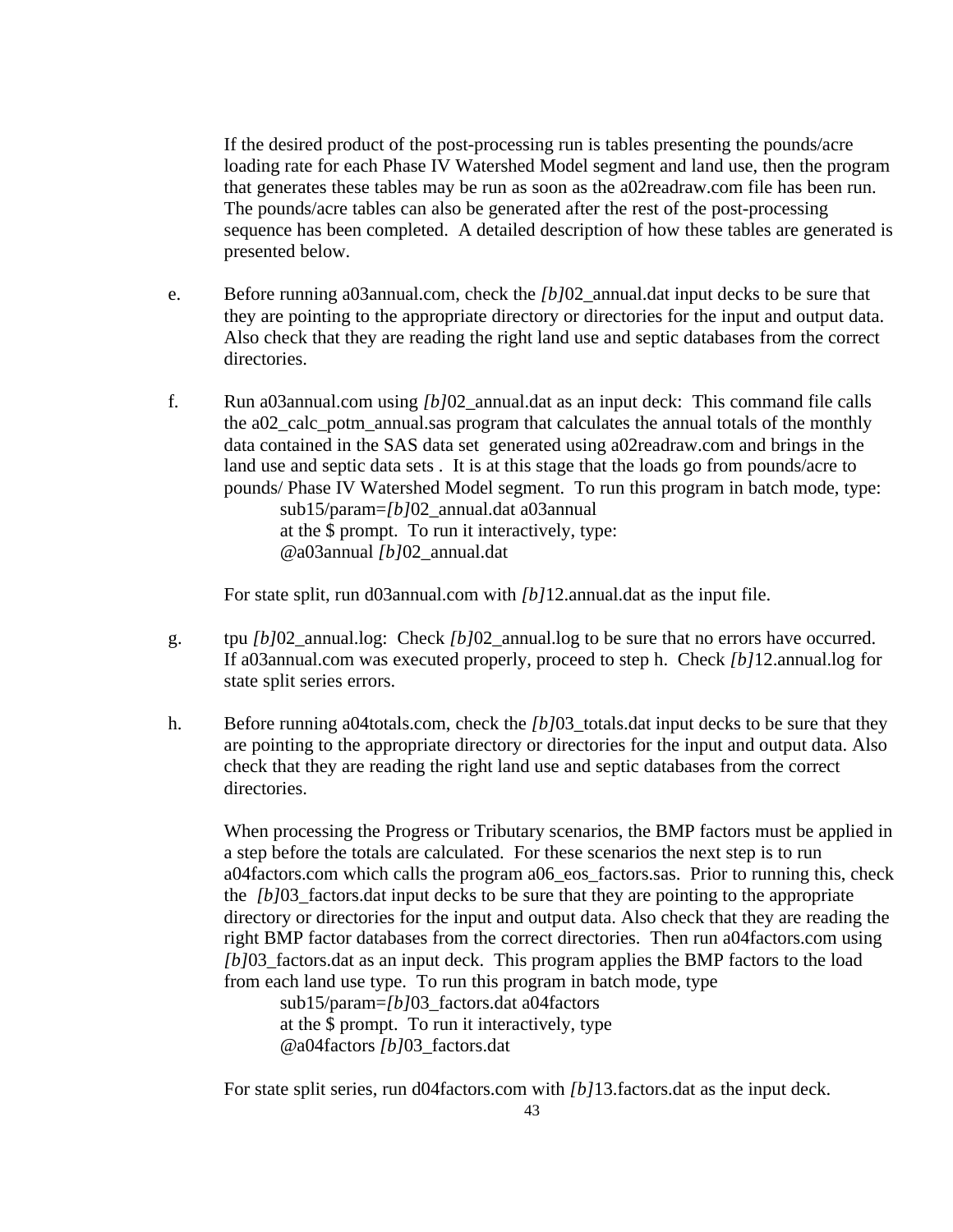If the desired product of the post-processing run is tables presenting the pounds/acre loading rate for each Phase IV Watershed Model segment and land use, then the program that generates these tables may be run as soon as the a02readraw.com file has been run. The pounds/acre tables can also be generated after the rest of the post-processing sequence has been completed. A detailed description of how these tables are generated is presented below.

- e. Before running a03annual.com, check the *[b]*02\_annual.dat input decks to be sure that they are pointing to the appropriate directory or directories for the input and output data. Also check that they are reading the right land use and septic databases from the correct directories.
- f. Run a03annual.com using *[b]*02\_annual.dat as an input deck: This command file calls the a02\_calc\_potm\_annual.sas program that calculates the annual totals of the monthly data contained in the SAS data set generated using a02readraw.com and brings in the land use and septic data sets . It is at this stage that the loads go from pounds/acre to pounds/ Phase IV Watershed Model segment. To run this program in batch mode, type: sub15/param=*[b]*02\_annual.dat a03annual at the \$ prompt. To run it interactively, type:

@a03annual *[b]*02\_annual.dat

For state split, run d03annual.com with *[b]*12.annual.dat as the input file.

- g. tpu *[b]*02\_annual.log: Check *[b]*02\_annual.log to be sure that no errors have occurred. If a03annual.com was executed properly, proceed to step h. Check *[b]*12.annual.log for state split series errors.
- h. Before running a04totals.com, check the *[b]*03\_totals.dat input decks to be sure that they are pointing to the appropriate directory or directories for the input and output data. Also check that they are reading the right land use and septic databases from the correct directories.

When processing the Progress or Tributary scenarios, the BMP factors must be applied in a step before the totals are calculated. For these scenarios the next step is to run a04factors.com which calls the program a06\_eos\_factors.sas. Prior to running this, check the *[b]*03\_factors.dat input decks to be sure that they are pointing to the appropriate directory or directories for the input and output data. Also check that they are reading the right BMP factor databases from the correct directories. Then run a04factors.com using *[b]*03 factors.dat as an input deck. This program applies the BMP factors to the load from each land use type. To run this program in batch mode, type

sub15/param=*[b]*03 factors.dat a04factors at the \$ prompt. To run it interactively, type @a04factors *[b]*03\_factors.dat

For state split series, run d04factors.com with *[b]*13.factors.dat as the input deck.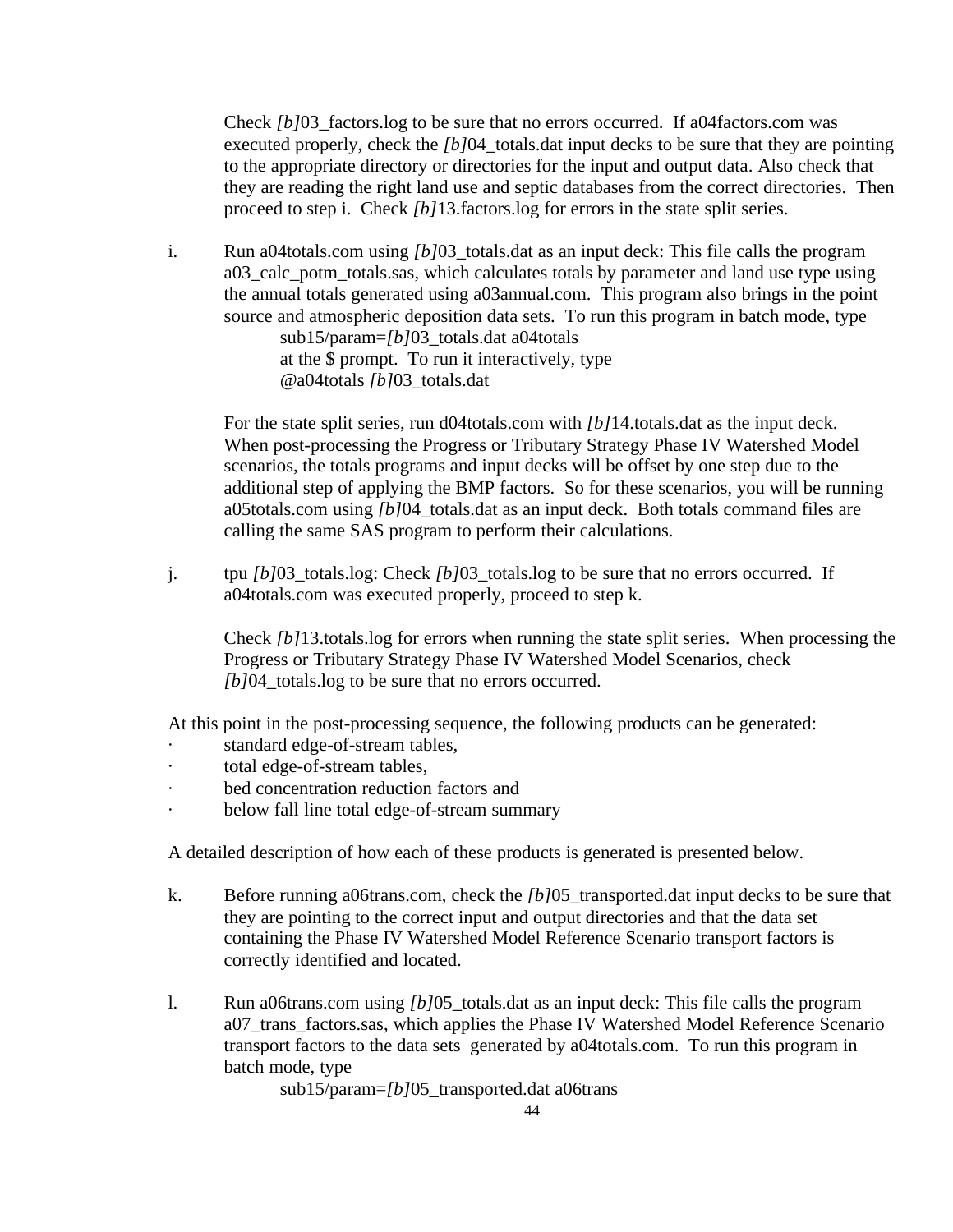Check *[b]*03\_factors.log to be sure that no errors occurred. If a04factors.com was executed properly, check the *[b]*04\_totals.dat input decks to be sure that they are pointing to the appropriate directory or directories for the input and output data. Also check that they are reading the right land use and septic databases from the correct directories. Then proceed to step i. Check *[b]*13.factors.log for errors in the state split series.

i. Run a04totals.com using *[b]*03\_totals.dat as an input deck: This file calls the program a03\_calc\_potm\_totals.sas, which calculates totals by parameter and land use type using the annual totals generated using a03annual.com. This program also brings in the point source and atmospheric deposition data sets. To run this program in batch mode, type sub15/param=*[b]*03\_totals.dat a04totals at the \$ prompt. To run it interactively, type @a04totals *[b]*03\_totals.dat

For the state split series, run d04totals.com with *[b]*14.totals.dat as the input deck. When post-processing the Progress or Tributary Strategy Phase IV Watershed Model scenarios, the totals programs and input decks will be offset by one step due to the additional step of applying the BMP factors. So for these scenarios, you will be running a05totals.com using *[b]*04\_totals.dat as an input deck. Both totals command files are calling the same SAS program to perform their calculations.

j. tpu *[b]*03\_totals.log: Check *[b]*03\_totals.log to be sure that no errors occurred. If a04totals.com was executed properly, proceed to step k.

Check *[b]*13.totals.log for errors when running the state split series. When processing the Progress or Tributary Strategy Phase IV Watershed Model Scenarios, check *[b]*04 totals.log to be sure that no errors occurred.

At this point in the post-processing sequence, the following products can be generated:

- standard edge-of-stream tables,
- · total edge-of-stream tables,
- bed concentration reduction factors and
- below fall line total edge-of-stream summary

A detailed description of how each of these products is generated is presented below.

- k. Before running a06trans.com, check the *[b]*05\_transported.dat input decks to be sure that they are pointing to the correct input and output directories and that the data set containing the Phase IV Watershed Model Reference Scenario transport factors is correctly identified and located.
- l. Run a06trans.com using *[b]*05\_totals.dat as an input deck: This file calls the program a07\_trans\_factors.sas, which applies the Phase IV Watershed Model Reference Scenario transport factors to the data sets generated by a04totals.com. To run this program in batch mode, type

sub15/param=*[b]*05\_transported.dat a06trans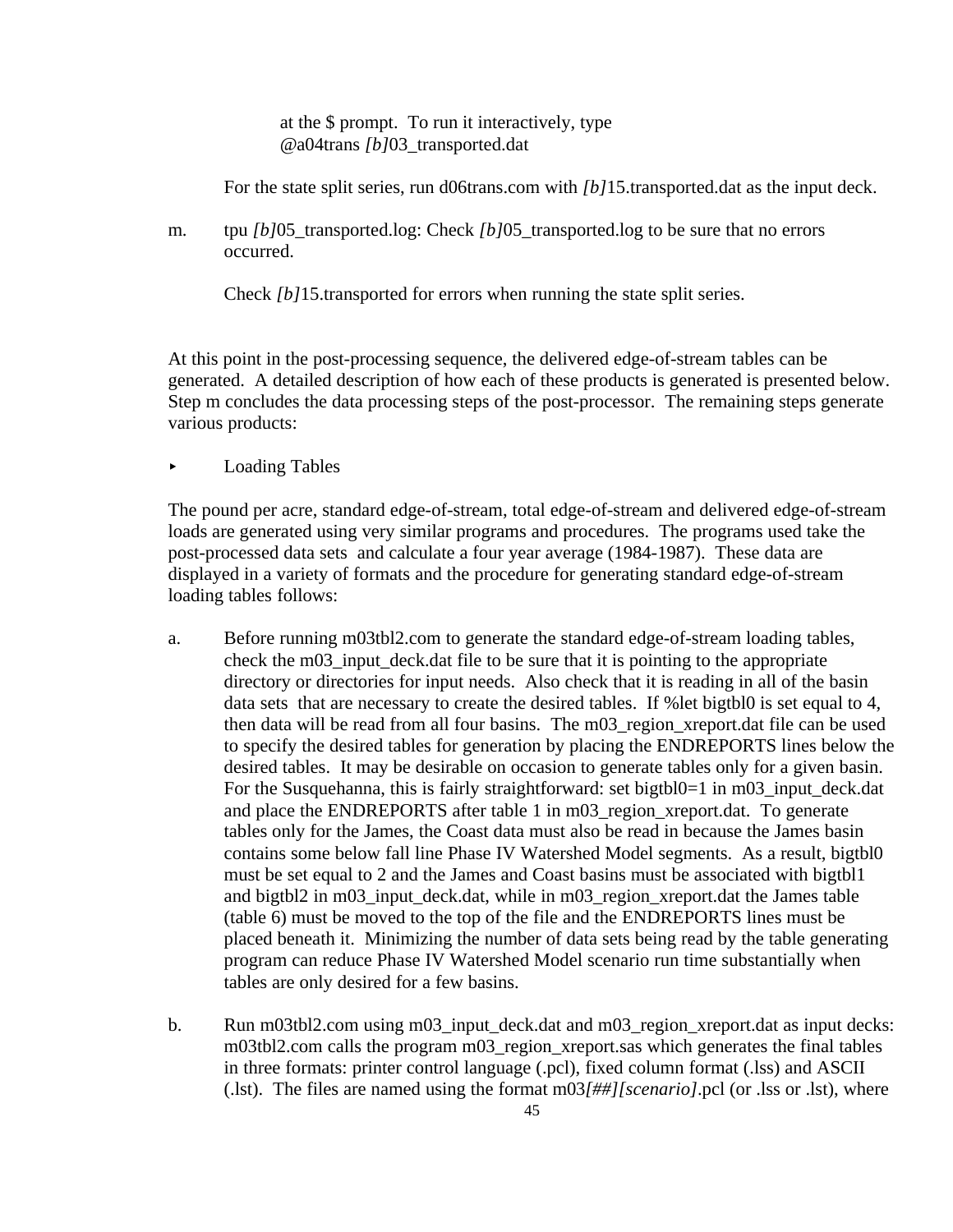at the \$ prompt. To run it interactively, type @a04trans *[b]*03\_transported.dat

For the state split series, run d06trans.com with *[b]*15.transported.dat as the input deck.

m. tpu *[b]*05\_transported.log: Check *[b]*05\_transported.log to be sure that no errors occurred.

Check *[b]*15.transported for errors when running the state split series.

At this point in the post-processing sequence, the delivered edge-of-stream tables can be generated. A detailed description of how each of these products is generated is presented below. Step m concludes the data processing steps of the post-processor. The remaining steps generate various products:

< Loading Tables

The pound per acre, standard edge-of-stream, total edge-of-stream and delivered edge-of-stream loads are generated using very similar programs and procedures. The programs used take the post-processed data sets and calculate a four year average (1984-1987). These data are displayed in a variety of formats and the procedure for generating standard edge-of-stream loading tables follows:

- a. Before running m03tbl2.com to generate the standard edge-of-stream loading tables, check the m03 input deck.dat file to be sure that it is pointing to the appropriate directory or directories for input needs. Also check that it is reading in all of the basin data sets that are necessary to create the desired tables. If %let bigtbl0 is set equal to 4, then data will be read from all four basins. The m03\_region\_xreport.dat file can be used to specify the desired tables for generation by placing the ENDREPORTS lines below the desired tables. It may be desirable on occasion to generate tables only for a given basin. For the Susquehanna, this is fairly straightforward: set bigtbl0=1 in m03\_input\_deck.dat and place the ENDREPORTS after table 1 in m03 region xreport.dat. To generate tables only for the James, the Coast data must also be read in because the James basin contains some below fall line Phase IV Watershed Model segments. As a result, bigtbl0 must be set equal to 2 and the James and Coast basins must be associated with bigtbl1 and bigtbl2 in m03\_input\_deck.dat, while in m03\_region\_xreport.dat the James table (table 6) must be moved to the top of the file and the ENDREPORTS lines must be placed beneath it. Minimizing the number of data sets being read by the table generating program can reduce Phase IV Watershed Model scenario run time substantially when tables are only desired for a few basins.
- b. Run m03tbl2.com using m03\_input\_deck.dat and m03\_region\_xreport.dat as input decks: m03tbl2.com calls the program m03\_region\_xreport.sas which generates the final tables in three formats: printer control language (.pcl), fixed column format (.lss) and ASCII (.lst). The files are named using the format m03*[##][scenario]*.pcl (or .lss or .lst), where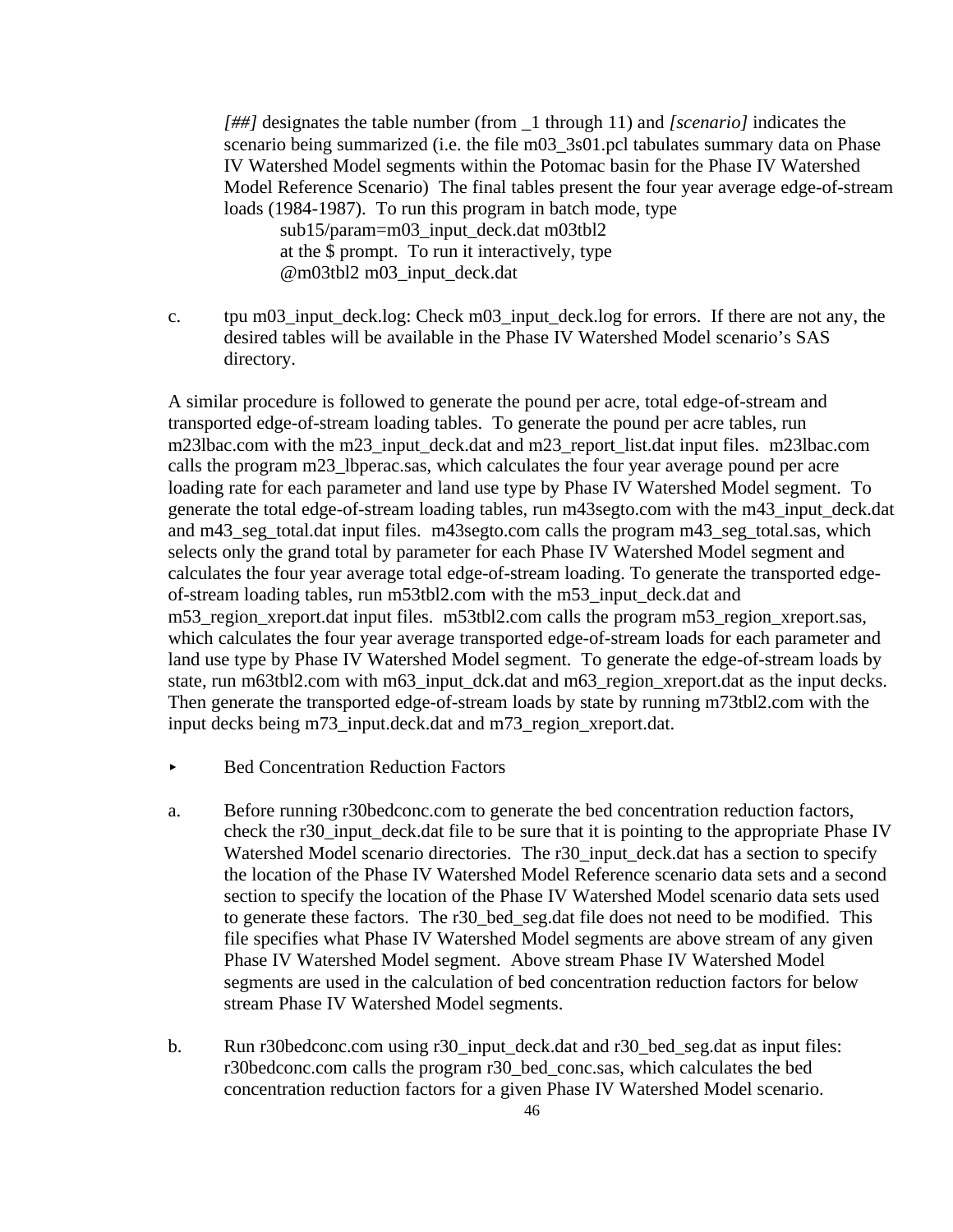*[##]* designates the table number (from \_1 through 11) and *[scenario]* indicates the scenario being summarized (i.e. the file m03\_3s01.pcl tabulates summary data on Phase IV Watershed Model segments within the Potomac basin for the Phase IV Watershed Model Reference Scenario) The final tables present the four year average edge-of-stream loads (1984-1987). To run this program in batch mode, type sub15/param=m03\_input\_deck.dat m03tbl2

at the \$ prompt. To run it interactively, type @m03tbl2 m03\_input\_deck.dat

c. tpu m03\_input\_deck.log: Check m03\_input\_deck.log for errors. If there are not any, the desired tables will be available in the Phase IV Watershed Model scenario's SAS directory.

A similar procedure is followed to generate the pound per acre, total edge-of-stream and transported edge-of-stream loading tables. To generate the pound per acre tables, run m23lbac.com with the m23\_input\_deck.dat and m23\_report\_list.dat input files. m23lbac.com calls the program m23\_lbperac.sas, which calculates the four year average pound per acre loading rate for each parameter and land use type by Phase IV Watershed Model segment. To generate the total edge-of-stream loading tables, run m43segto.com with the m43\_input\_deck.dat and m43\_seg\_total.dat input files. m43segto.com calls the program m43\_seg\_total.sas, which selects only the grand total by parameter for each Phase IV Watershed Model segment and calculates the four year average total edge-of-stream loading. To generate the transported edgeof-stream loading tables, run m53tbl2.com with the m53\_input\_deck.dat and m53 region xreport.dat input files. m53tbl2.com calls the program m53 region xreport.sas, which calculates the four year average transported edge-of-stream loads for each parameter and land use type by Phase IV Watershed Model segment. To generate the edge-of-stream loads by state, run m63tbl2.com with m63 input dck.dat and m63 region xreport.dat as the input decks. Then generate the transported edge-of-stream loads by state by running m73tbl2.com with the input decks being m73\_input.deck.dat and m73\_region\_xreport.dat.

- ▶ Bed Concentration Reduction Factors
- a. Before running r30bedconc.com to generate the bed concentration reduction factors, check the r30\_input\_deck.dat file to be sure that it is pointing to the appropriate Phase IV Watershed Model scenario directories. The r30\_input\_deck.dat has a section to specify the location of the Phase IV Watershed Model Reference scenario data sets and a second section to specify the location of the Phase IV Watershed Model scenario data sets used to generate these factors. The r30\_bed\_seg.dat file does not need to be modified. This file specifies what Phase IV Watershed Model segments are above stream of any given Phase IV Watershed Model segment. Above stream Phase IV Watershed Model segments are used in the calculation of bed concentration reduction factors for below stream Phase IV Watershed Model segments.
- b. Run r30bedconc.com using r30\_input\_deck.dat and r30\_bed\_seg.dat as input files: r30bedconc.com calls the program r30\_bed\_conc.sas, which calculates the bed concentration reduction factors for a given Phase IV Watershed Model scenario.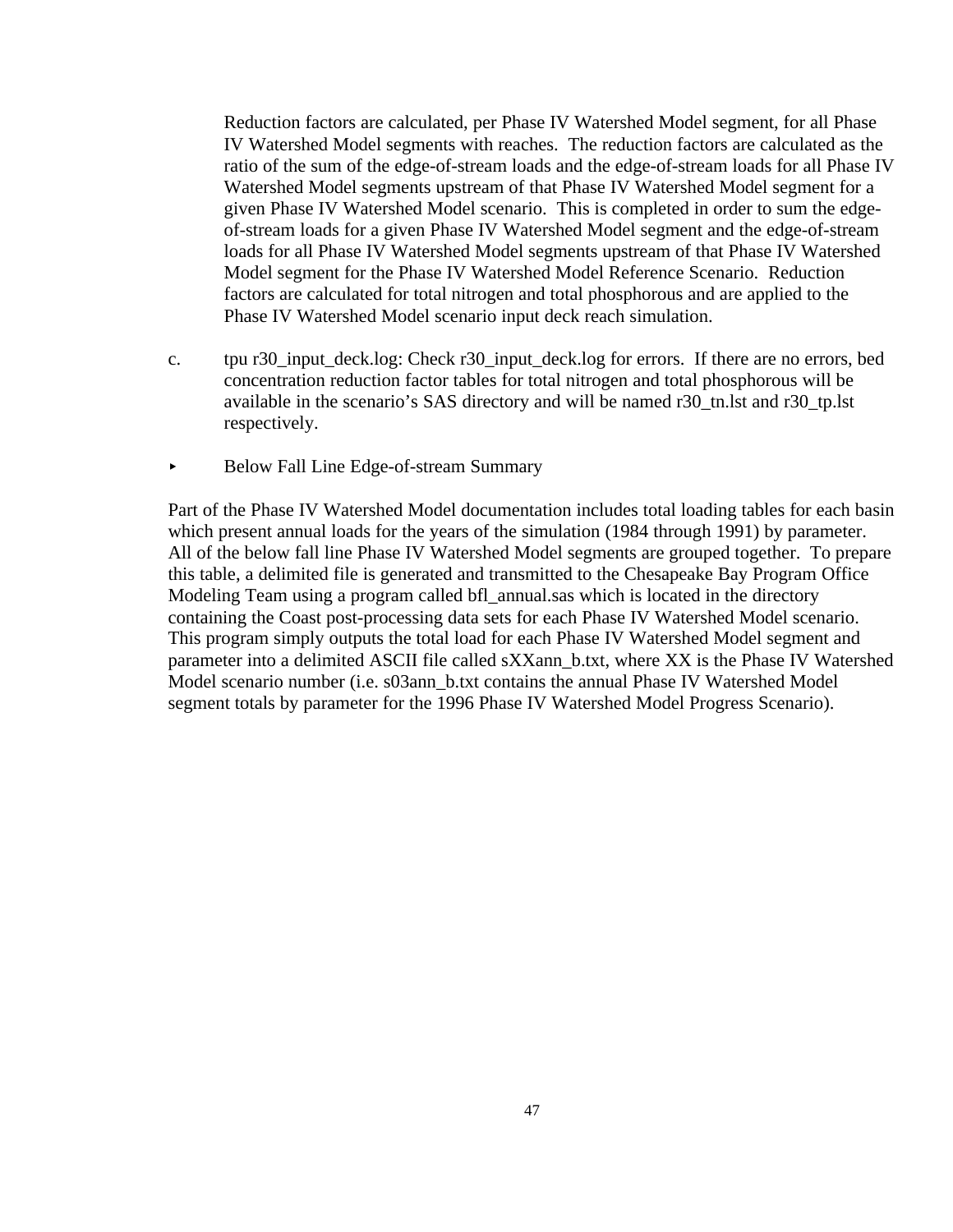Reduction factors are calculated, per Phase IV Watershed Model segment, for all Phase IV Watershed Model segments with reaches. The reduction factors are calculated as the ratio of the sum of the edge-of-stream loads and the edge-of-stream loads for all Phase IV Watershed Model segments upstream of that Phase IV Watershed Model segment for a given Phase IV Watershed Model scenario. This is completed in order to sum the edgeof-stream loads for a given Phase IV Watershed Model segment and the edge-of-stream loads for all Phase IV Watershed Model segments upstream of that Phase IV Watershed Model segment for the Phase IV Watershed Model Reference Scenario. Reduction factors are calculated for total nitrogen and total phosphorous and are applied to the Phase IV Watershed Model scenario input deck reach simulation.

- c. tpu r30\_input\_deck.log: Check r30\_input\_deck.log for errors. If there are no errors, bed concentration reduction factor tables for total nitrogen and total phosphorous will be available in the scenario's SAS directory and will be named r30\_tn.lst and r30\_tp.lst respectively.
- < Below Fall Line Edge-of-stream Summary

Part of the Phase IV Watershed Model documentation includes total loading tables for each basin which present annual loads for the years of the simulation (1984 through 1991) by parameter. All of the below fall line Phase IV Watershed Model segments are grouped together. To prepare this table, a delimited file is generated and transmitted to the Chesapeake Bay Program Office Modeling Team using a program called bfl\_annual.sas which is located in the directory containing the Coast post-processing data sets for each Phase IV Watershed Model scenario. This program simply outputs the total load for each Phase IV Watershed Model segment and parameter into a delimited ASCII file called sXXann b.txt, where XX is the Phase IV Watershed Model scenario number (i.e. s03ann\_b.txt contains the annual Phase IV Watershed Model segment totals by parameter for the 1996 Phase IV Watershed Model Progress Scenario).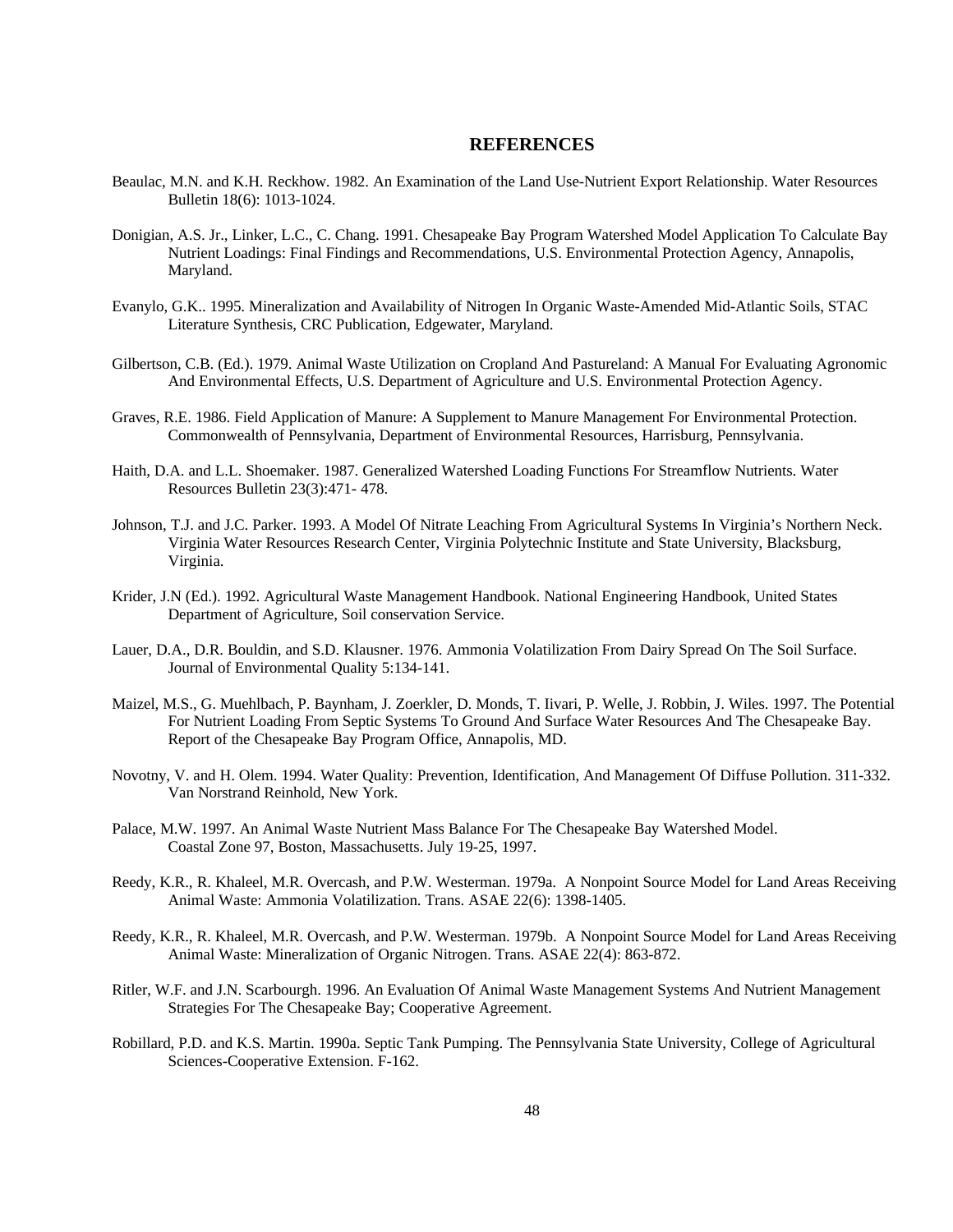#### **REFERENCES**

- Beaulac, M.N. and K.H. Reckhow. 1982. An Examination of the Land Use-Nutrient Export Relationship. Water Resources Bulletin 18(6): 1013-1024.
- Donigian, A.S. Jr., Linker, L.C., C. Chang. 1991. Chesapeake Bay Program Watershed Model Application To Calculate Bay Nutrient Loadings: Final Findings and Recommendations, U.S. Environmental Protection Agency, Annapolis, Maryland.
- Evanylo, G.K.. 1995. Mineralization and Availability of Nitrogen In Organic Waste-Amended Mid-Atlantic Soils, STAC Literature Synthesis, CRC Publication, Edgewater, Maryland.
- Gilbertson, C.B. (Ed.). 1979. Animal Waste Utilization on Cropland And Pastureland: A Manual For Evaluating Agronomic And Environmental Effects, U.S. Department of Agriculture and U.S. Environmental Protection Agency.
- Graves, R.E. 1986. Field Application of Manure: A Supplement to Manure Management For Environmental Protection. Commonwealth of Pennsylvania, Department of Environmental Resources, Harrisburg, Pennsylvania.
- Haith, D.A. and L.L. Shoemaker. 1987. Generalized Watershed Loading Functions For Streamflow Nutrients. Water Resources Bulletin 23(3):471- 478.
- Johnson, T.J. and J.C. Parker. 1993. A Model Of Nitrate Leaching From Agricultural Systems In Virginia's Northern Neck. Virginia Water Resources Research Center, Virginia Polytechnic Institute and State University, Blacksburg, Virginia.
- Krider, J.N (Ed.). 1992. Agricultural Waste Management Handbook. National Engineering Handbook, United States Department of Agriculture, Soil conservation Service.
- Lauer, D.A., D.R. Bouldin, and S.D. Klausner. 1976. Ammonia Volatilization From Dairy Spread On The Soil Surface. Journal of Environmental Quality 5:134-141.
- Maizel, M.S., G. Muehlbach, P. Baynham, J. Zoerkler, D. Monds, T. Iivari, P. Welle, J. Robbin, J. Wiles. 1997. The Potential For Nutrient Loading From Septic Systems To Ground And Surface Water Resources And The Chesapeake Bay. Report of the Chesapeake Bay Program Office, Annapolis, MD.
- Novotny, V. and H. Olem. 1994. Water Quality: Prevention, Identification, And Management Of Diffuse Pollution. 311-332. Van Norstrand Reinhold, New York.
- Palace, M.W. 1997. An Animal Waste Nutrient Mass Balance For The Chesapeake Bay Watershed Model. Coastal Zone 97, Boston, Massachusetts. July 19-25, 1997.
- Reedy, K.R., R. Khaleel, M.R. Overcash, and P.W. Westerman. 1979a. A Nonpoint Source Model for Land Areas Receiving Animal Waste: Ammonia Volatilization. Trans. ASAE 22(6): 1398-1405.
- Reedy, K.R., R. Khaleel, M.R. Overcash, and P.W. Westerman. 1979b. A Nonpoint Source Model for Land Areas Receiving Animal Waste: Mineralization of Organic Nitrogen. Trans. ASAE 22(4): 863-872.
- Ritler, W.F. and J.N. Scarbourgh. 1996. An Evaluation Of Animal Waste Management Systems And Nutrient Management Strategies For The Chesapeake Bay; Cooperative Agreement.
- Robillard, P.D. and K.S. Martin. 1990a. Septic Tank Pumping. The Pennsylvania State University, College of Agricultural Sciences-Cooperative Extension. F-162.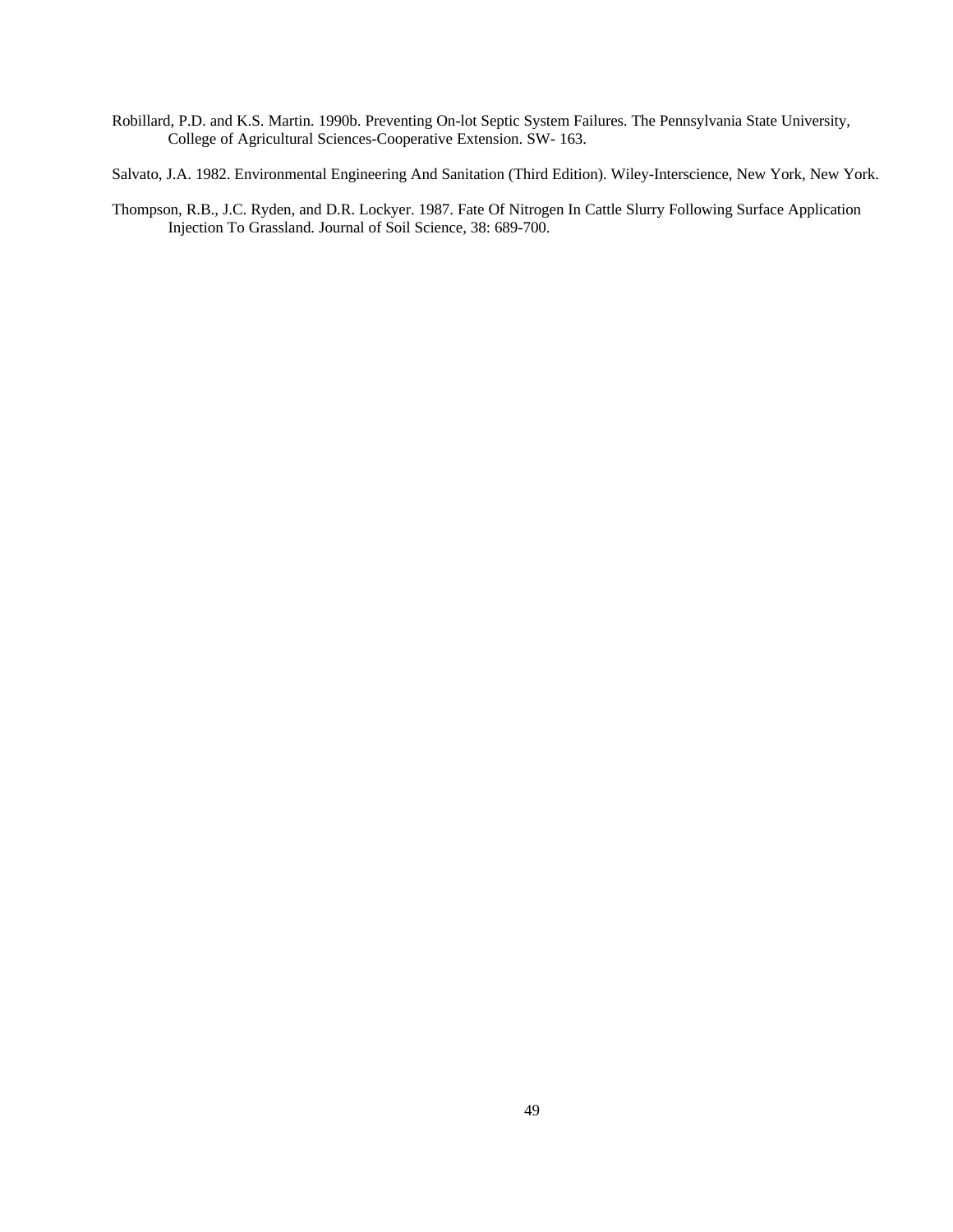Robillard, P.D. and K.S. Martin. 1990b. Preventing On-lot Septic System Failures. The Pennsylvania State University, College of Agricultural Sciences-Cooperative Extension. SW- 163.

Salvato, J.A. 1982. Environmental Engineering And Sanitation (Third Edition). Wiley-Interscience, New York, New York.

Thompson, R.B., J.C. Ryden, and D.R. Lockyer. 1987. Fate Of Nitrogen In Cattle Slurry Following Surface Application Injection To Grassland. Journal of Soil Science, 38: 689-700.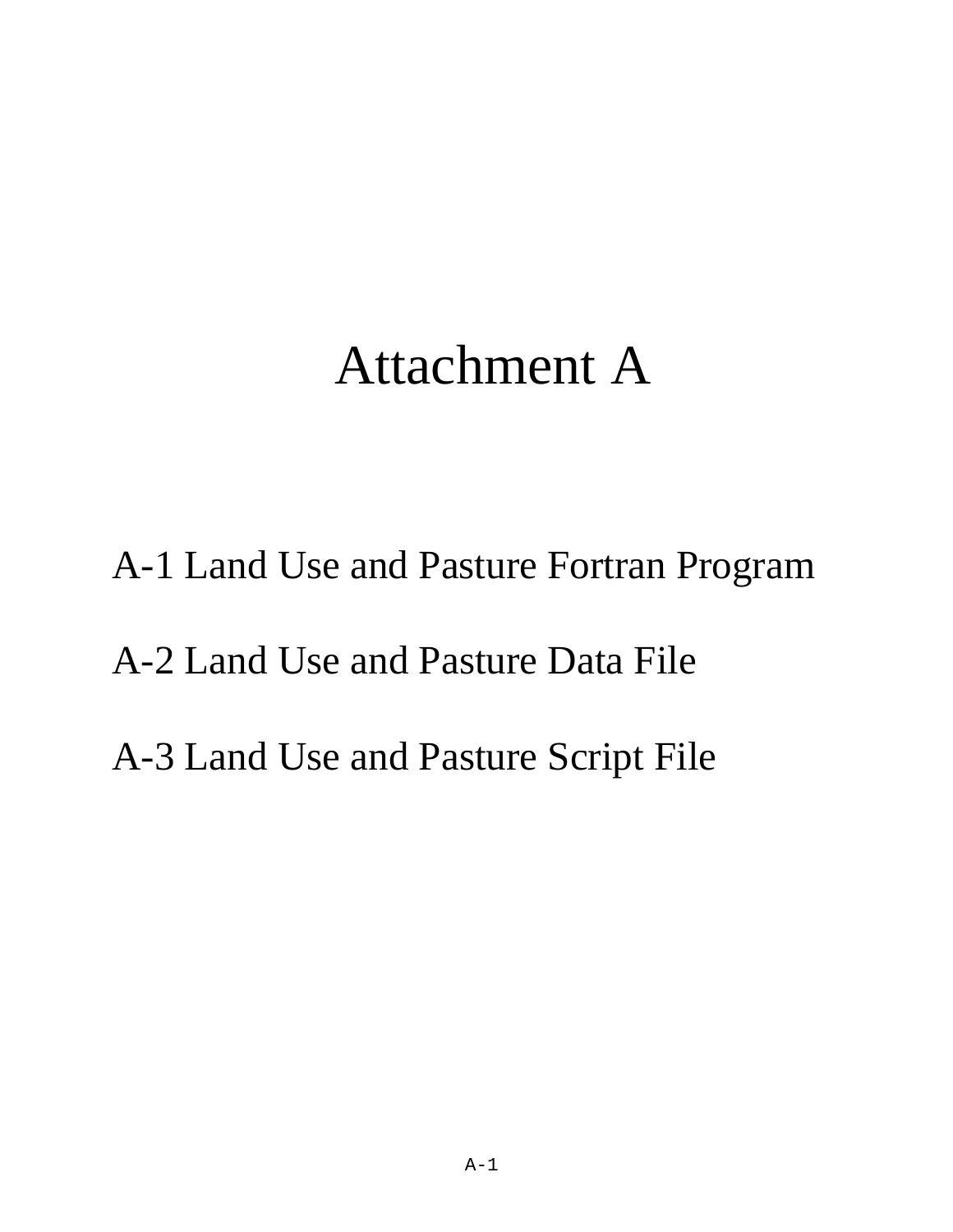# Attachment A

A-1 Land Use and Pasture Fortran Program A-2 Land Use and Pasture Data File A-3 Land Use and Pasture Script File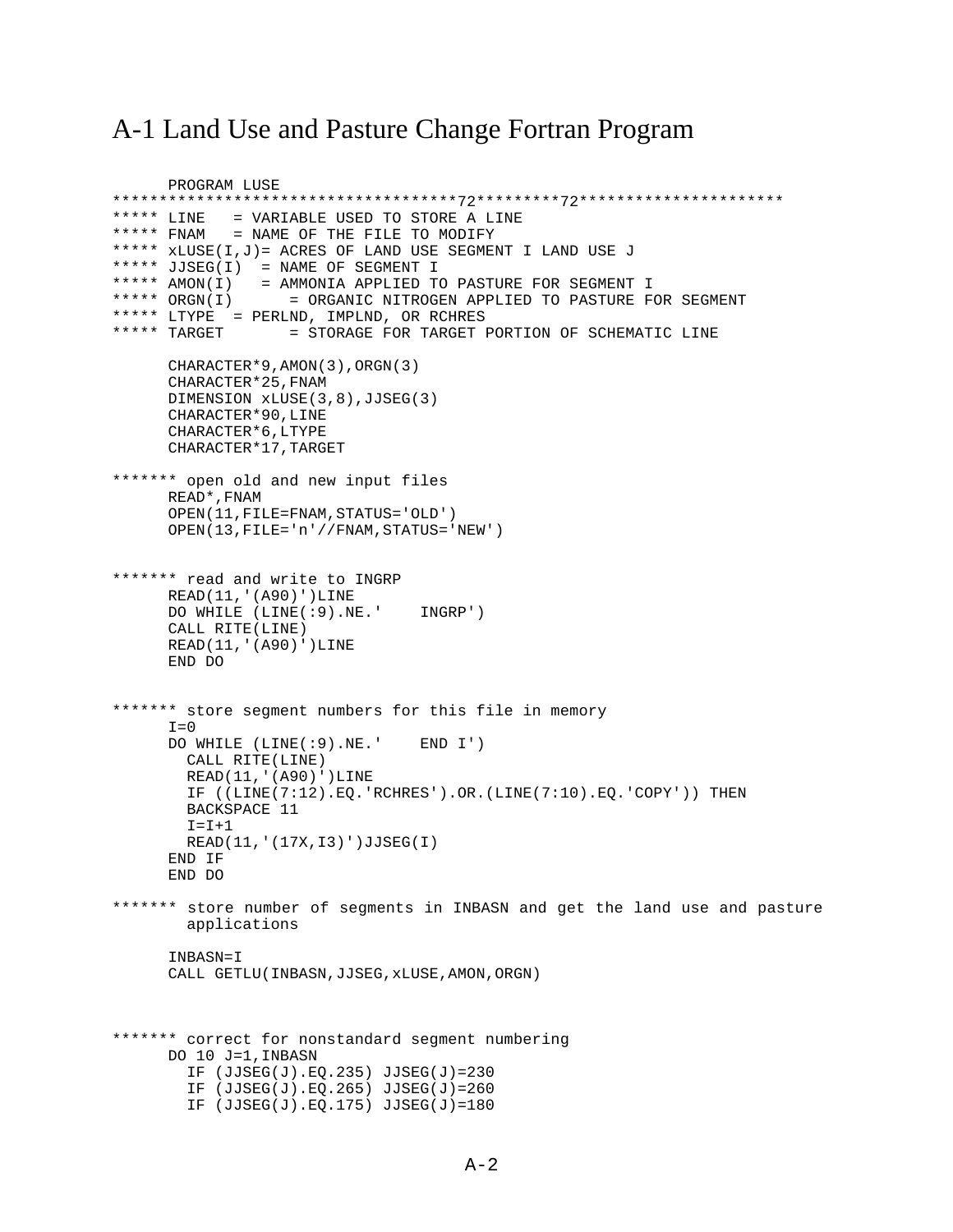# A-1 Land Use and Pasture Change Fortran Program

```
 PROGRAM LUSE
*************************************72*********72**********************
***** LINE = VARIABLE USED TO STORE A LINE
***** FNAM = NAME OF THE FILE TO MODIFY
***** xLUSE(I,J)= ACRES OF LAND USE SEGMENT I LAND USE J
***** JJSEG(I) = NAME OF SEGMENT I
***** AMON(I) = AMMONIA APPLIED TO PASTURE FOR SEGMENT I
***** ORGN(I) = ORGANIC NITROGEN APPLIED TO PASTURE FOR SEGMENT
***** LTYPE = PERLND, IMPLND, OR RCHRES
***** TARGET = STORAGE FOR TARGET PORTION OF SCHEMATIC LINE
      CHARACTER*9,AMON(3),ORGN(3)
      CHARACTER*25,FNAM 
      DIMENSION xLUSE(3,8),JJSEG(3)
      CHARACTER*90,LINE
      CHARACTER*6,LTYPE
      CHARACTER*17,TARGET
******* open old and new input files
      READ*,FNAM
      OPEN(11,FILE=FNAM,STATUS='OLD')
      OPEN(13,FILE='n'//FNAM,STATUS='NEW')
******* read and write to INGRP
      READ(11,'(A90)')LINE
      DO WHILE (LINE(:9).NE.' INGRP')
     CALL RITE(LINE)
     READ(11,'(A90)')LINE
      END DO
******* store segment numbers for this file in memory
     I=0 DO WHILE (LINE(:9).NE.' END I')
        CALL RITE(LINE)
        READ(11,'(A90)')LINE
        IF ((LINE(7:12).EQ.'RCHRES').OR.(LINE(7:10).EQ.'COPY')) THEN
        BACKSPACE 11
       I = I + 1 READ(11,'(17X,I3)')JJSEG(I)
      END IF
      END DO
******* store number of segments in INBASN and get the land use and pasture 
         applications
     INBASN=I
       CALL GETLU(INBASN,JJSEG,xLUSE,AMON,ORGN)
******* correct for nonstandard segment numbering
      DO 10 J=1,INBASN
        IF (JJSEG(J).EQ.235) JJSEG(J)=230
        IF (JJSEG(J).EQ.265) JJSEG(J)=260
         IF (JJSEG(J).EQ.175) JJSEG(J)=180
```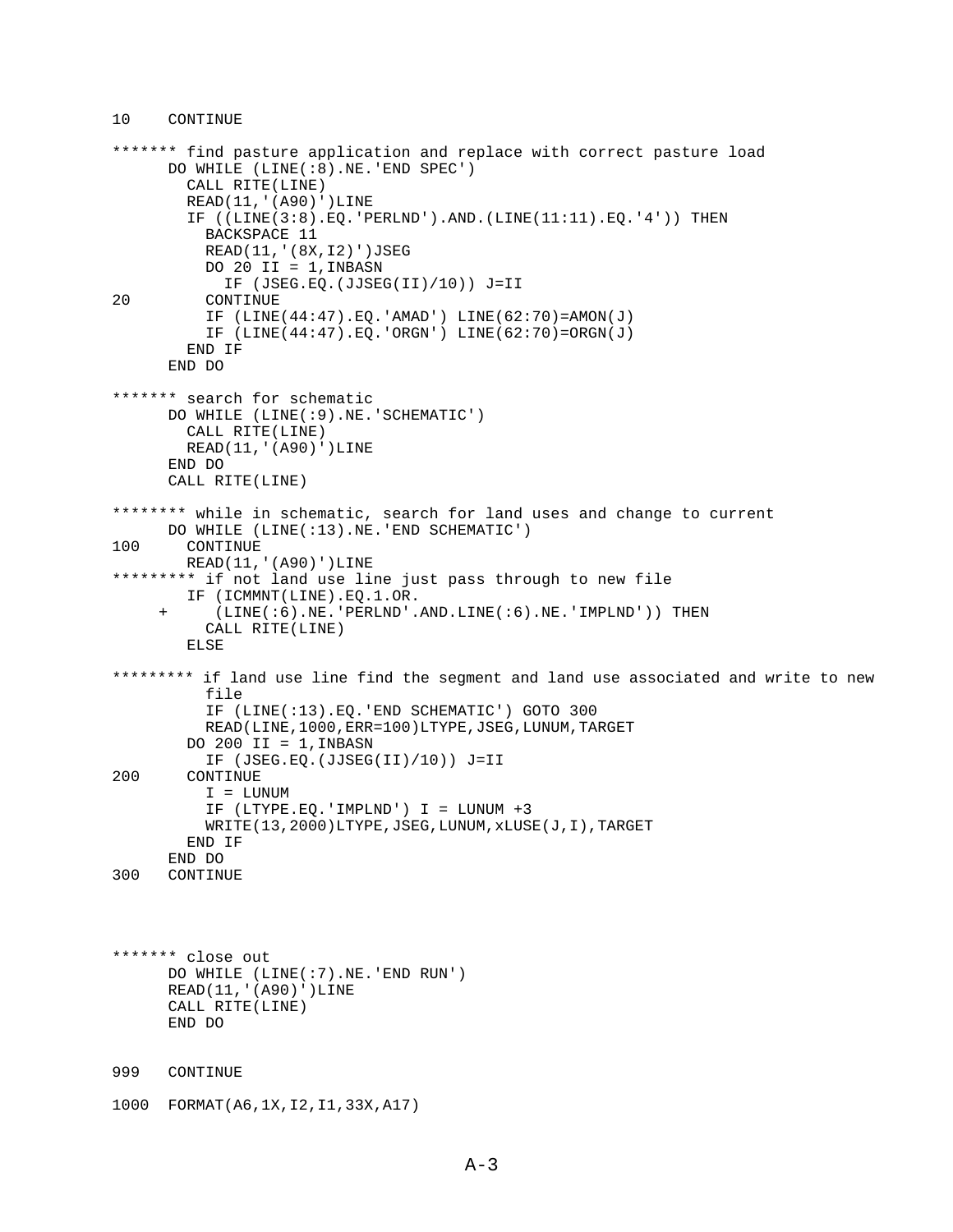#### 10 CONTINUE

```
******* find pasture application and replace with correct pasture load
       DO WHILE (LINE(:8).NE.'END SPEC')
         CALL RITE(LINE)
         READ(11,'(A90)')LINE
        IF ((\text{LINE}(3:8), \text{EO. 'PERLND'}).AND.(\text{LINE}(11:11), \text{EO. '4'})) THEN
           BACKSPACE 11
           READ(11,'(8X,I2)')JSEG
          DO 20 II = 1, INBASN
 IF (JSEG.EQ.(JJSEG(II)/10)) J=II
          CONTINUE
           IF (LINE(44:47).EQ.'AMAD') LINE(62:70)=AMON(J)
          IF (LINE(44:47).EQ.'ORGN') LINE(62:70)=ORGN(J)
         END IF
       END DO
******* search for schematic
       DO WHILE (LINE(:9).NE.'SCHEMATIC')
         CALL RITE(LINE)
         READ(11,'(A90)')LINE
       END DO
       CALL RITE(LINE)
******** while in schematic, search for land uses and change to current
       DO WHILE (LINE(:13).NE.'END SCHEMATIC')
100 CONTINUE
        READ(11,'(A90)')LINE
********* if not land use line just pass through to new file
         IF (ICMMNT(LINE).EQ.1.OR.
      + (LINE(:6).NE.'PERLND'.AND.LINE(:6).NE.'IMPLND')) THEN
           CALL RITE(LINE)
         ELSE
********* if land use line find the segment and land use associated and write to new
           file
           IF (LINE(:13).EQ.'END SCHEMATIC') GOTO 300
           READ(LINE,1000,ERR=100)LTYPE,JSEG,LUNUM,TARGET
        DO 200 II = 1, INBASN
           IF (JSEG.EQ.(JJSEG(II)/10)) J=II
200 CONTINUE
           I = LUNUM
           IF (LTYPE.EQ.'IMPLND') I = LUNUM +3
           WRITE(13,2000)LTYPE,JSEG,LUNUM,xLUSE(J,I),TARGET
         END IF
END DO<br>300 CONTIN
      CONTINUE
******* close out
       DO WHILE (LINE(:7).NE.'END RUN')
      READ(11,'(A90)')LINE
      CALL RITE(LINE)
       END DO
999 CONTINUE 
1000 FORMAT(A6,1X,I2,I1,33X,A17)
```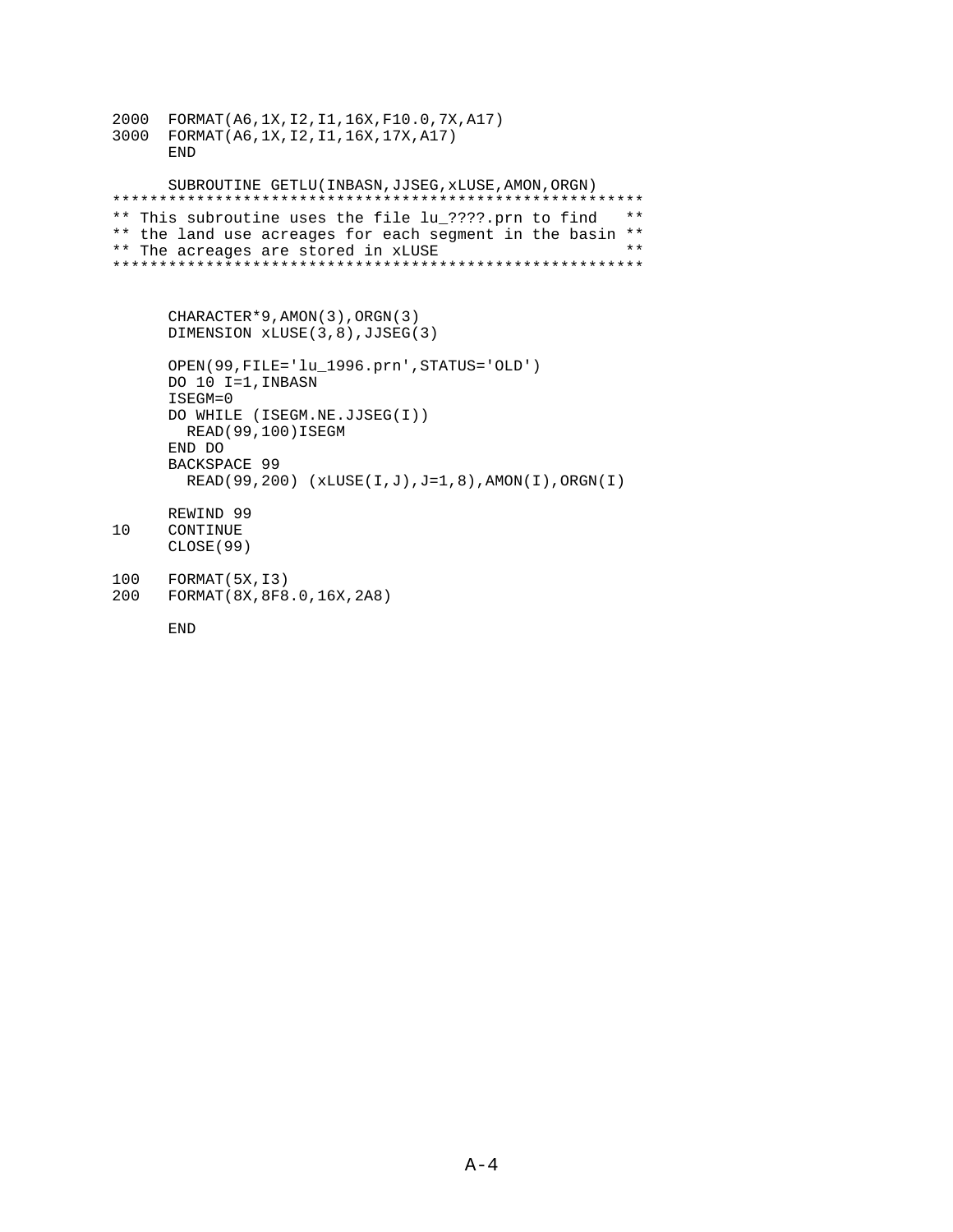```
2000 FORMAT(A6,1X,I2,I1,16X,F10.0,7X,A17)
3000 FORMAT(A6,1X,I2,I1,16X,17X,A17)
       END
       SUBROUTINE GETLU(INBASN,JJSEG,xLUSE,AMON,ORGN)
*********************************************************
** This subroutine uses the file lu_????.prn to find **
** the land use acreages for each segment in the basin **<br>** The acreages are stored in yUISF
** The acreages are stored in xLUSE **
*********************************************************
       CHARACTER*9,AMON(3),ORGN(3)
       DIMENSION xLUSE(3,8),JJSEG(3)
       OPEN(99,FILE='lu_1996.prn',STATUS='OLD')
       DO 10 I=1,INBASN
      ISEGM=0
      DO WHILE (ISEGM.NE.JJSEG(I))
         READ(99,100)ISEGM
      END DO
      BACKSPACE 99
         READ(99,200) (xLUSE(I,J),J=1,8),AMON(I),ORGN(I)
      REWIND 99
10 CONTINUE
       CLOSE(99)
100 FORMAT(5X,I3)
200 FORMAT(8X,8F8.0,16X,2A8)
```
END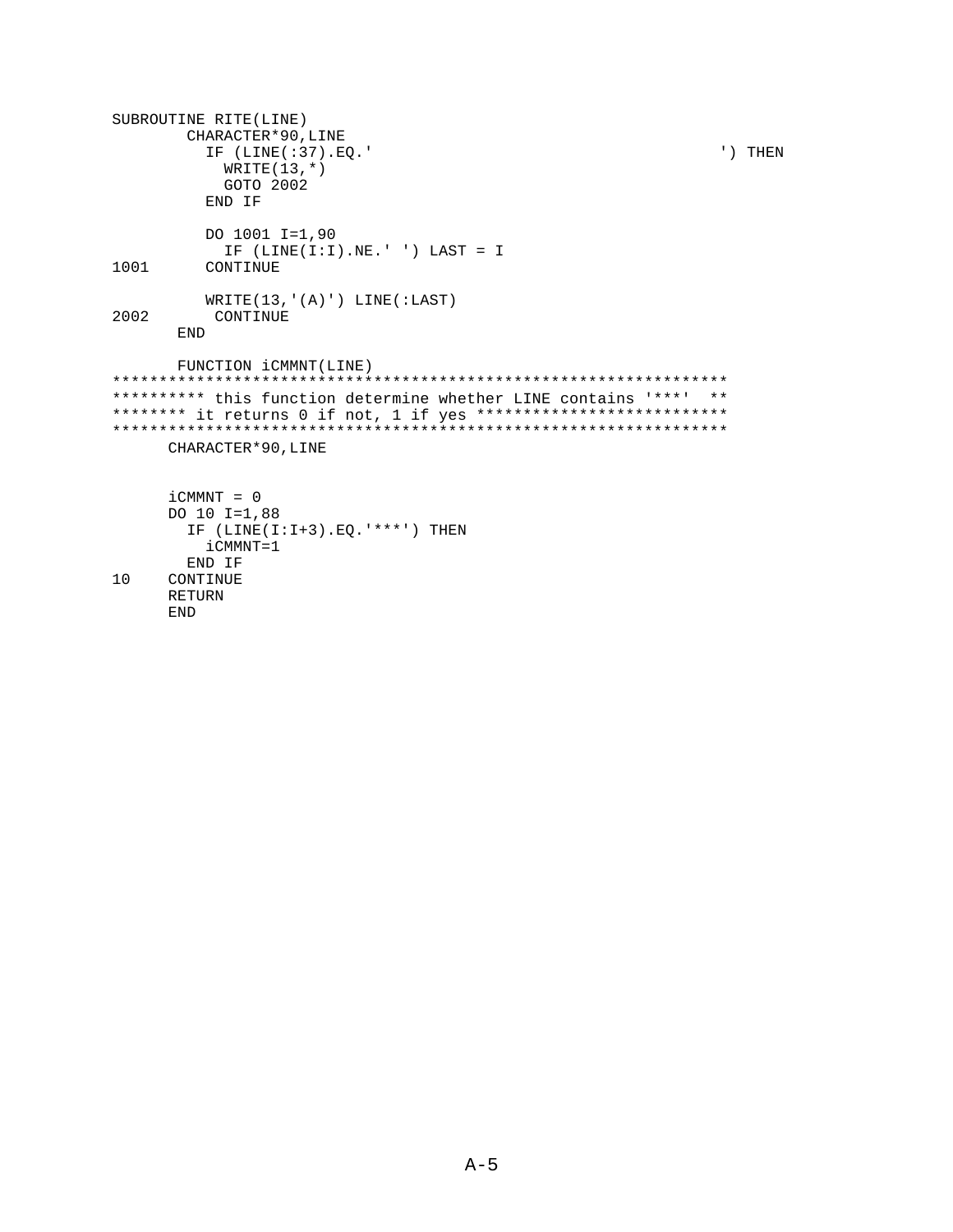```
SUBROUTINE RITE(LINE)
        CHARACTER*90,LINE
          IF (LINE(:37).EQ.' ') THEN
           WRITE(13,*) GOTO 2002
          END IF
          DO 1001 I=1,90
 IF (LINE(I:I).NE.' ') LAST = I
         CONTINUE
WRITE(13, '(A)') LINE(:LAST)<br>2002 CONTINUE
          CONTINUE
       END
       FUNCTION iCMMNT(LINE)
******************************************************************
********** this function determine whether LINE contains '***' **
******** it returns 0 if not, 1 if yes **************************
******************************************************************
      CHARACTER*90,LINE
      iCMMNT = 0
      DO 10 I=1,88
        IF (LINE(I:I+3).EQ.'***') THEN
          iCMMNT=1
        END IF
10 CONTINUE
      RETURN
      END
```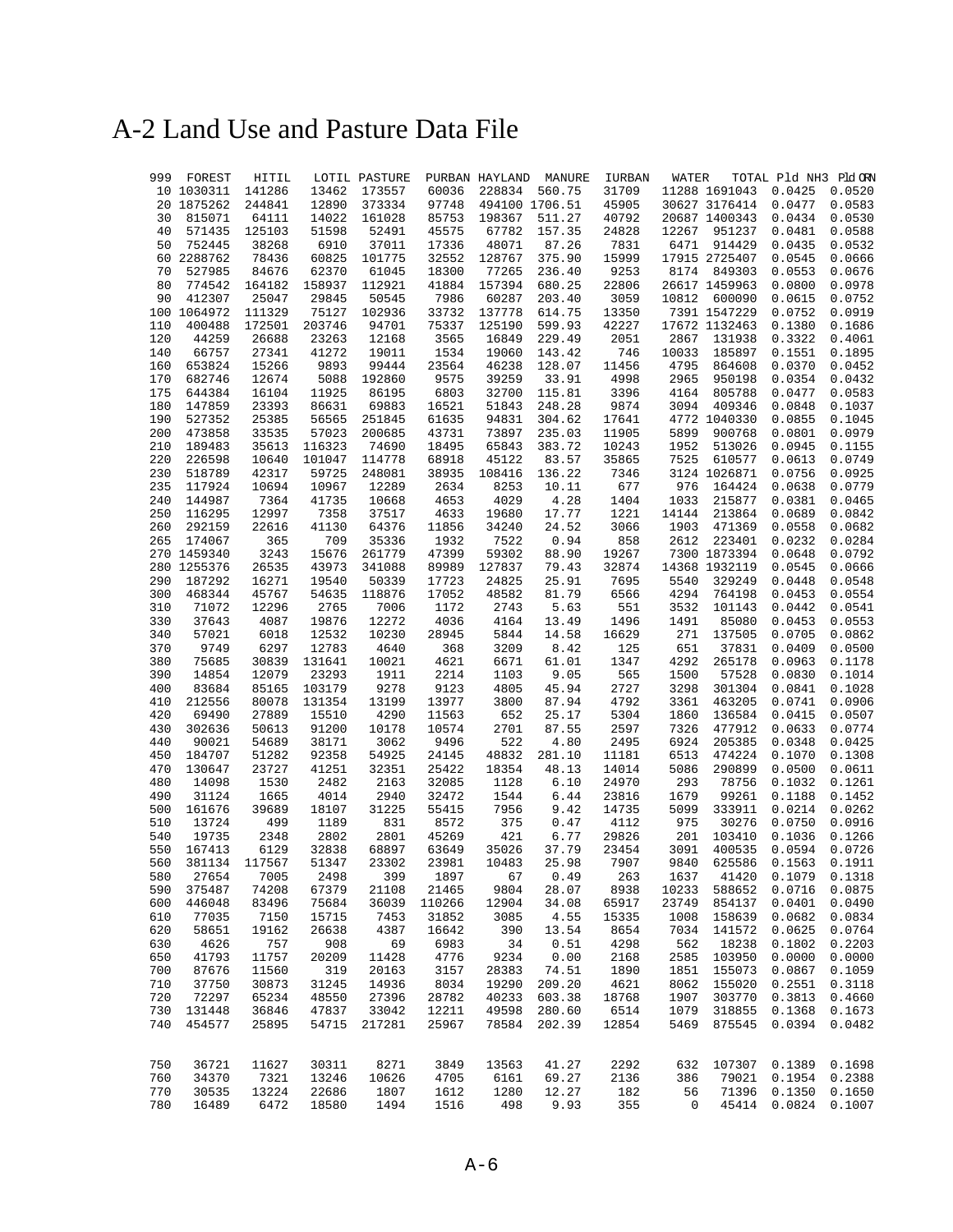# A-2 Land Use and Pasture Data File

|     | 999 FOREST  | HITIL  |        | LOTIL PASTURE |        | PURBAN HAYLAND | MANURE         | IURBAN | WATER |                      | TOTAL Pld NH3 Pld ORN |        |
|-----|-------------|--------|--------|---------------|--------|----------------|----------------|--------|-------|----------------------|-----------------------|--------|
|     | 10 1030311  | 141286 | 13462  | 173557        | 60036  | 228834         | 560.75         | 31709  |       | 11288 1691043        | 0.0425                | 0.0520 |
|     | 20 1875262  | 244841 | 12890  | 373334        | 97748  |                | 494100 1706.51 | 45905  |       | 30627 3176414 0.0477 |                       | 0.0583 |
| 30  | 815071      | 64111  | 14022  | 161028        | 85753  | 198367         | 511.27         | 40792  |       | 20687 1400343        | 0.0434                | 0.0530 |
| 40  | 571435      | 125103 | 51598  | 52491         | 45575  | 67782          | 157.35         | 24828  | 12267 | 951237               | 0.0481                | 0.0588 |
| 50  | 752445      | 38268  | 6910   | 37011         | 17336  | 48071          | 87.26          | 7831   | 6471  | 914429               | 0.0435                | 0.0532 |
|     | 60 2288762  | 78436  | 60825  | 101775        | 32552  | 128767         | 375.90         | 15999  |       | 17915 2725407        | 0.0545                | 0.0666 |
| 70  | 527985      | 84676  | 62370  | 61045         | 18300  | 77265          | 236.40         | 9253   | 8174  | 849303               | 0.0553                | 0.0676 |
| 80  | 774542      | 164182 | 158937 | 112921        | 41884  | 157394         | 680.25         | 22806  |       | 26617 1459963        | 0.0800                | 0.0978 |
|     |             |        |        |               |        |                |                |        |       |                      |                       |        |
| 90  | 412307      | 25047  | 29845  | 50545         | 7986   | 60287          | 203.40         | 3059   |       | 10812 600090         | 0.0615                | 0.0752 |
|     | 100 1064972 | 111329 | 75127  | 102936        | 33732  | 137778         | 614.75         | 13350  |       | 7391 1547229         | 0.0752                | 0.0919 |
| 110 | 400488      | 172501 | 203746 | 94701         | 75337  | 125190         | 599.93         | 42227  |       | 17672 1132463        | 0.1380                | 0.1686 |
| 120 | 44259       | 26688  | 23263  | 12168         | 3565   | 16849          | 229.49         | 2051   | 2867  | 131938               | 0.3322                | 0.4061 |
| 140 | 66757       | 27341  | 41272  | 19011         | 1534   | 19060          | 143.42         | 746    | 10033 | 185897               | 0.1551                | 0.1895 |
| 160 | 653824      | 15266  | 9893   | 99444         | 23564  | 46238          | 128.07         | 11456  | 4795  | 864608               | 0.0370                | 0.0452 |
| 170 | 682746      | 12674  | 5088   | 192860        | 9575   | 39259          | 33.91          | 4998   | 2965  | 950198               | 0.0354                | 0.0432 |
| 175 | 644384      | 16104  | 11925  | 86195         | 6803   | 32700          | 115.81         | 3396   | 4164  | 805788               | 0.0477                | 0.0583 |
| 180 | 147859      | 23393  | 86631  | 69883         | 16521  | 51843          | 248.28         | 9874   | 3094  | 409346               | 0.0848                | 0.1037 |
| 190 | 527352      | 25385  | 56565  | 251845        | 61635  | 94831          | 304.62         | 17641  |       | 4772 1040330         | 0.0855                | 0.1045 |
| 200 | 473858      | 33535  | 57023  | 200685        | 43731  | 73897          | 235.03         | 11905  | 5899  | 900768               | 0.0801                | 0.0979 |
| 210 | 189483      | 35613  | 116323 | 74690         | 18495  | 65843          | 383.72         | 10243  | 1952  | 513026               | 0.0945                | 0.1155 |
| 220 | 226598      | 10640  | 101047 | 114778        | 68918  | 45122          | 83.57          | 35865  | 7525  | 610577               | 0.0613                | 0.0749 |
| 230 | 518789      | 42317  | 59725  | 248081        | 38935  | 108416         | 136.22         | 7346   |       | 3124 1026871         | 0.0756                | 0.0925 |
| 235 | 117924      | 10694  | 10967  | 12289         | 2634   | 8253           | 10.11          | 677    | 976   | 164424               | 0.0638                | 0.0779 |
|     |             |        |        |               |        |                |                |        |       |                      |                       |        |
| 240 | 144987      | 7364   | 41735  | 10668         | 4653   | 4029           | 4.28           | 1404   | 1033  | 215877               | 0.0381                | 0.0465 |
| 250 | 116295      | 12997  | 7358   | 37517         | 4633   | 19680          | 17.77          | 1221   | 14144 | 213864               | 0.0689                | 0.0842 |
| 260 | 292159      | 22616  | 41130  | 64376         | 11856  | 34240          | 24.52          | 3066   | 1903  | 471369               | 0.0558                | 0.0682 |
| 265 | 174067      | 365    | 709    | 35336         | 1932   | 7522           | 0.94           | 858    | 2612  | 223401               | 0.0232                | 0.0284 |
|     | 270 1459340 | 3243   | 15676  | 261779        | 47399  | 59302          | 88.90          | 19267  |       | 7300 1873394         | 0.0648                | 0.0792 |
|     | 280 1255376 | 26535  | 43973  | 341088        | 89989  | 127837         | 79.43          | 32874  |       | 14368 1932119        | 0.0545                | 0.0666 |
| 290 | 187292      | 16271  | 19540  | 50339         | 17723  | 24825          | 25.91          | 7695   | 5540  | 329249               | 0.0448                | 0.0548 |
| 300 | 468344      | 45767  | 54635  | 118876        | 17052  | 48582          | 81.79          | 6566   | 4294  | 764198               | 0.0453                | 0.0554 |
| 310 | 71072       | 12296  | 2765   | 7006          | 1172   | 2743           | 5.63           | 551    | 3532  | 101143               | 0.0442                | 0.0541 |
| 330 | 37643       | 4087   | 19876  | 12272         | 4036   | 4164           | 13.49          | 1496   | 1491  | 85080                | 0.0453                | 0.0553 |
| 340 | 57021       | 6018   | 12532  | 10230         | 28945  | 5844           | 14.58          | 16629  | 271   | 137505               | 0.0705                | 0.0862 |
| 370 | 9749        | 6297   | 12783  | 4640          | 368    | 3209           | 8.42           | 125    | 651   | 37831                | 0.0409                | 0.0500 |
| 380 | 75685       | 30839  | 131641 | 10021         | 4621   | 6671           | 61.01          | 1347   | 4292  | 265178               | 0.0963                | 0.1178 |
| 390 | 14854       | 12079  | 23293  | 1911          | 2214   | 1103           | 9.05           | 565    | 1500  | 57528                | 0.0830                | 0.1014 |
| 400 | 83684       | 85165  | 103179 | 9278          | 9123   | 4805           | 45.94          | 2727   | 3298  | 301304               | 0.0841                | 0.1028 |
| 410 | 212556      | 80078  | 131354 | 13199         | 13977  | 3800           | 87.94          | 4792   | 3361  | 463205               | 0.0741                | 0.0906 |
| 420 | 69490       | 27889  | 15510  | 4290          | 11563  | 652            | 25.17          | 5304   | 1860  | 136584               | 0.0415                | 0.0507 |
|     |             |        |        |               |        |                |                |        | 7326  |                      |                       | 0.0774 |
| 430 | 302636      | 50613  | 91200  | 10178         | 10574  | 2701           | 87.55          | 2597   |       | 477912               | 0.0633                |        |
| 440 | 90021       | 54689  | 38171  | 3062          | 9496   | 522            | 4.80           | 2495   | 6924  | 205385               | 0.0348                | 0.0425 |
| 450 | 184707      | 51282  | 92358  | 54925         | 24145  | 48832          | 281.10         | 11181  | 6513  | 474224               | 0.1070                | 0.1308 |
| 470 | 130647      | 23727  | 41251  | 32351         | 25422  | 18354          | 48.13          | 14014  | 5086  | 290899               | 0.0500                | 0.0611 |
| 480 | 14098       | 1530   | 2482   | 2163          | 32085  | 1128           | 6.10           | 24970  | 293   | 78756                | 0.1032                | 0.1261 |
| 490 | 31124       | 1665   | 4014   | 2940          | 32472  | 1544           | 6.44           | 23816  | 1679  | 99261                | 0.1188                | 0.1452 |
| 500 | 161676      | 39689  | 18107  | 31225         | 55415  | 7956           | 9.42           | 14735  | 5099  | 333911               | 0.0214                | 0.0262 |
| 510 | 13724       | 499    | 1189   | 831           | 8572   | 375            | 0.47           | 4112   | 975   | 30276                | 0.0750                | 0.0916 |
| 540 | 19735       | 2348   | 2802   | 2801          | 45269  | 421            | 6.77           | 29826  | 201   | 103410               | 0.1036                | 0.1266 |
| 550 | 167413      | 6129   | 32838  | 68897         | 63649  | 35026          | 37.79          | 23454  | 3091  | 400535               | 0.0594                | 0.0726 |
| 560 | 381134      | 117567 | 51347  | 23302         | 23981  | 10483          | 25.98          | 7907   | 9840  | 625586               | 0.1563                | 0.1911 |
| 580 | 27654       | 7005   | 2498   | 399           | 1897   | 67             | 0.49           | 263    | 1637  | 41420                | 0.1079                | 0.1318 |
| 590 | 375487      | 74208  | 67379  | 21108         | 21465  | 9804           | 28.07          | 8938   | 10233 | 588652               | 0.0716                | 0.0875 |
| 600 | 446048      | 83496  | 75684  | 36039         | 110266 | 12904          | 34.08          | 65917  | 23749 | 854137               | 0.0401                | 0.0490 |
| 610 | 77035       | 7150   | 15715  | 7453          | 31852  | 3085           | 4.55           | 15335  | 1008  | 158639               | 0.0682                | 0.0834 |
| 620 | 58651       | 19162  | 26638  | 4387          | 16642  | 390            | 13.54          | 8654   | 7034  | 141572               | 0.0625                | 0.0764 |
| 630 | 4626        | 757    | 908    | 69            | 6983   | 34             | 0.51           | 4298   | 562   | 18238                | 0.1802                | 0.2203 |
|     |             |        |        |               |        |                |                |        | 2585  |                      |                       | 0.0000 |
| 650 | 41793       | 11757  | 20209  | 11428         | 4776   | 9234           | 0.00<br>74.51  | 2168   |       | 103950               | 0.0000                |        |
| 700 | 87676       | 11560  | 319    | 20163         | 3157   | 28383          |                | 1890   | 1851  | 155073               | 0.0867                | 0.1059 |
| 710 | 37750       | 30873  | 31245  | 14936         | 8034   | 19290          | 209.20         | 4621   | 8062  | 155020               | 0.2551                | 0.3118 |
| 720 | 72297       | 65234  | 48550  | 27396         | 28782  | 40233          | 603.38         | 18768  | 1907  | 303770               | 0.3813                | 0.4660 |
| 730 | 131448      | 36846  | 47837  | 33042         | 12211  | 49598          | 280.60         | 6514   | 1079  | 318855               | 0.1368                | 0.1673 |
| 740 | 454577      | 25895  | 54715  | 217281        | 25967  | 78584          | 202.39         | 12854  | 5469  | 875545               | 0.0394                | 0.0482 |
| 750 | 36721       | 11627  | 30311  | 8271          | 3849   | 13563          | 41.27          | 2292   | 632   | 107307 0.1389        |                       | 0.1698 |
| 760 | 34370       | 7321   | 13246  | 10626         | 4705   | 6161           | 69.27          | 2136   | 386   | 79021                | 0.1954                | 0.2388 |
| 770 | 30535       | 13224  | 22686  | 1807          | 1612   | 1280           | 12.27          | 182    | 56    | 71396                | 0.1350                | 0.1650 |
| 780 | 16489       | 6472   | 18580  | 1494          | 1516   | 498            | 9.93           | 355    | 0     | 45414                | 0.0824                | 0.1007 |
|     |             |        |        |               |        |                |                |        |       |                      |                       |        |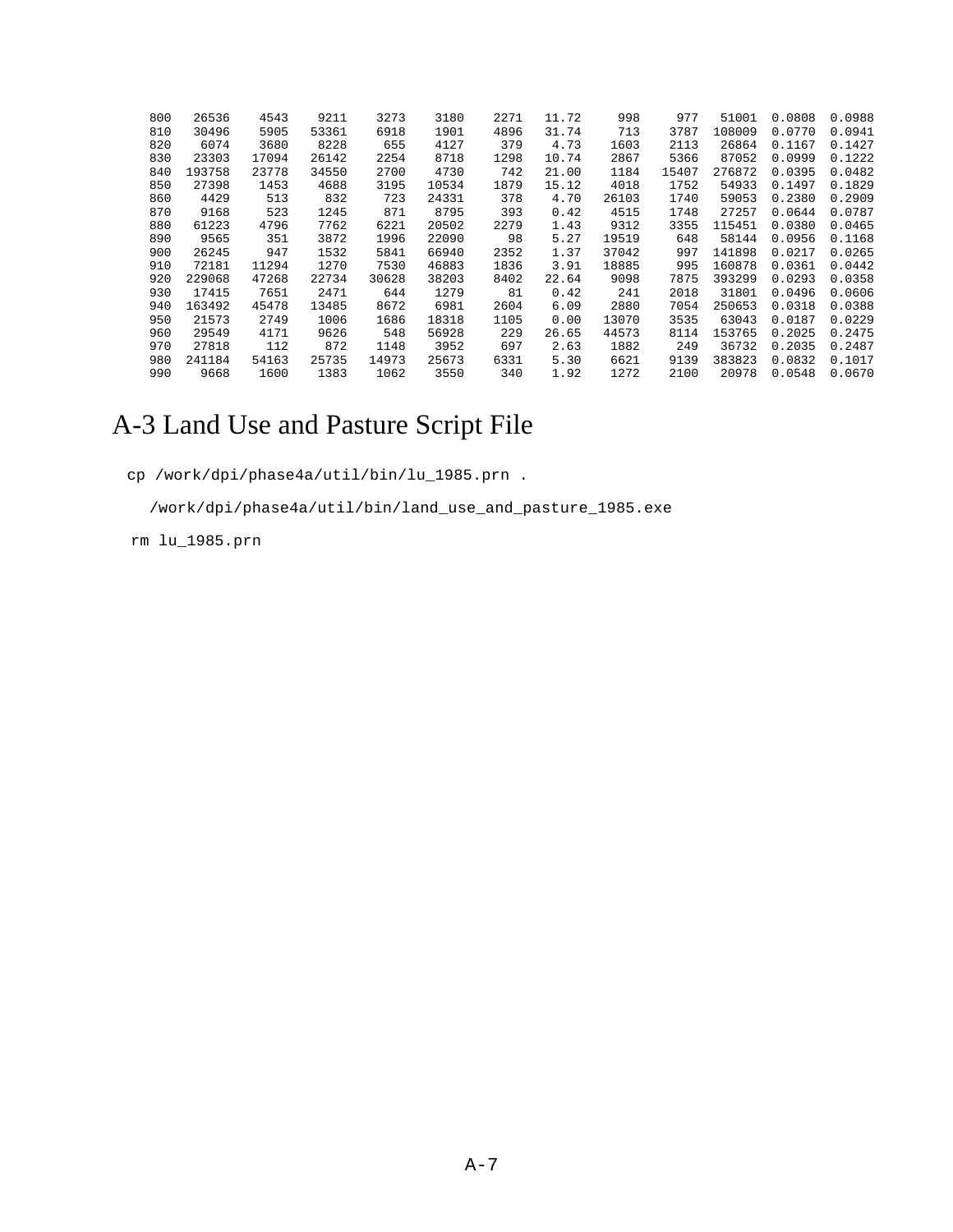| 800 | 26536  | 4543  | 9211  | 3273  | 3180  | 2271 | 11.72 | 998   | 977   | 51001  | 0.0808 | 0.0988 |
|-----|--------|-------|-------|-------|-------|------|-------|-------|-------|--------|--------|--------|
| 810 | 30496  | 5905  | 53361 | 6918  | 1901  | 4896 | 31.74 | 713   | 3787  | 108009 | 0.0770 | 0.0941 |
| 820 | 6074   | 3680  | 8228  | 655   | 4127  | 379  | 4.73  | 1603  | 2113  | 26864  | 0.1167 | 0.1427 |
| 830 | 23303  | 17094 | 26142 | 2254  | 8718  | 1298 | 10.74 | 2867  | 5366  | 87052  | 0.0999 | 0.1222 |
| 840 | 193758 | 23778 | 34550 | 2700  | 4730  | 742  | 21.00 | 1184  | 15407 | 276872 | 0.0395 | 0.0482 |
| 850 | 27398  | 1453  | 4688  | 3195  | 10534 | 1879 | 15.12 | 4018  | 1752  | 54933  | 0.1497 | 0.1829 |
| 860 | 4429   | 513   | 832   | 723   | 24331 | 378  | 4.70  | 26103 | 1740  | 59053  | 0.2380 | 0.2909 |
| 870 | 9168   | 523   | 1245  | 871   | 8795  | 393  | 0.42  | 4515  | 1748  | 27257  | 0.0644 | 0.0787 |
| 880 | 61223  | 4796  | 7762  | 6221  | 20502 | 2279 | 1.43  | 9312  | 3355  | 115451 | 0.0380 | 0.0465 |
| 890 | 9565   | 351   | 3872  | 1996  | 22090 | 98   | 5.27  | 19519 | 648   | 58144  | 0.0956 | 0.1168 |
| 900 | 26245  | 947   | 1532  | 5841  | 66940 | 2352 | 1.37  | 37042 | 997   | 141898 | 0.0217 | 0.0265 |
| 910 | 72181  | 11294 | 1270  | 7530  | 46883 | 1836 | 3.91  | 18885 | 995   | 160878 | 0.0361 | 0.0442 |
| 920 | 229068 | 47268 | 22734 | 30628 | 38203 | 8402 | 22.64 | 9098  | 7875  | 393299 | 0.0293 | 0.0358 |
| 930 | 17415  | 7651  | 2471  | 644   | 1279  | 81   | 0.42  | 241   | 2018  | 31801  | 0.0496 | 0.0606 |
| 940 | 163492 | 45478 | 13485 | 8672  | 6981  | 2604 | 6.09  | 2880  | 7054  | 250653 | 0.0318 | 0.0388 |
| 950 | 21573  | 2749  | 1006  | 1686  | 18318 | 1105 | 0.00  | 13070 | 3535  | 63043  | 0.0187 | 0.0229 |
| 960 | 29549  | 4171  | 9626  | 548   | 56928 | 229  | 26.65 | 44573 | 8114  | 153765 | 0.2025 | 0.2475 |
| 970 | 27818  | 112   | 872   | 1148  | 3952  | 697  | 2.63  | 1882  | 249   | 36732  | 0.2035 | 0.2487 |
| 980 | 241184 | 54163 | 25735 | 14973 | 25673 | 6331 | 5.30  | 6621  | 9139  | 383823 | 0.0832 | 0.1017 |
| 990 | 9668   | 1600  | 1383  | 1062  | 3550  | 340  | 1.92  | 1272  | 2100  | 20978  | 0.0548 | 0.0670 |

# A-3 Land Use and Pasture Script File

cp /work/dpi/phase4a/util/bin/lu\_1985.prn .

/work/dpi/phase4a/util/bin/land\_use\_and\_pasture\_1985.exe

rm lu\_1985.prn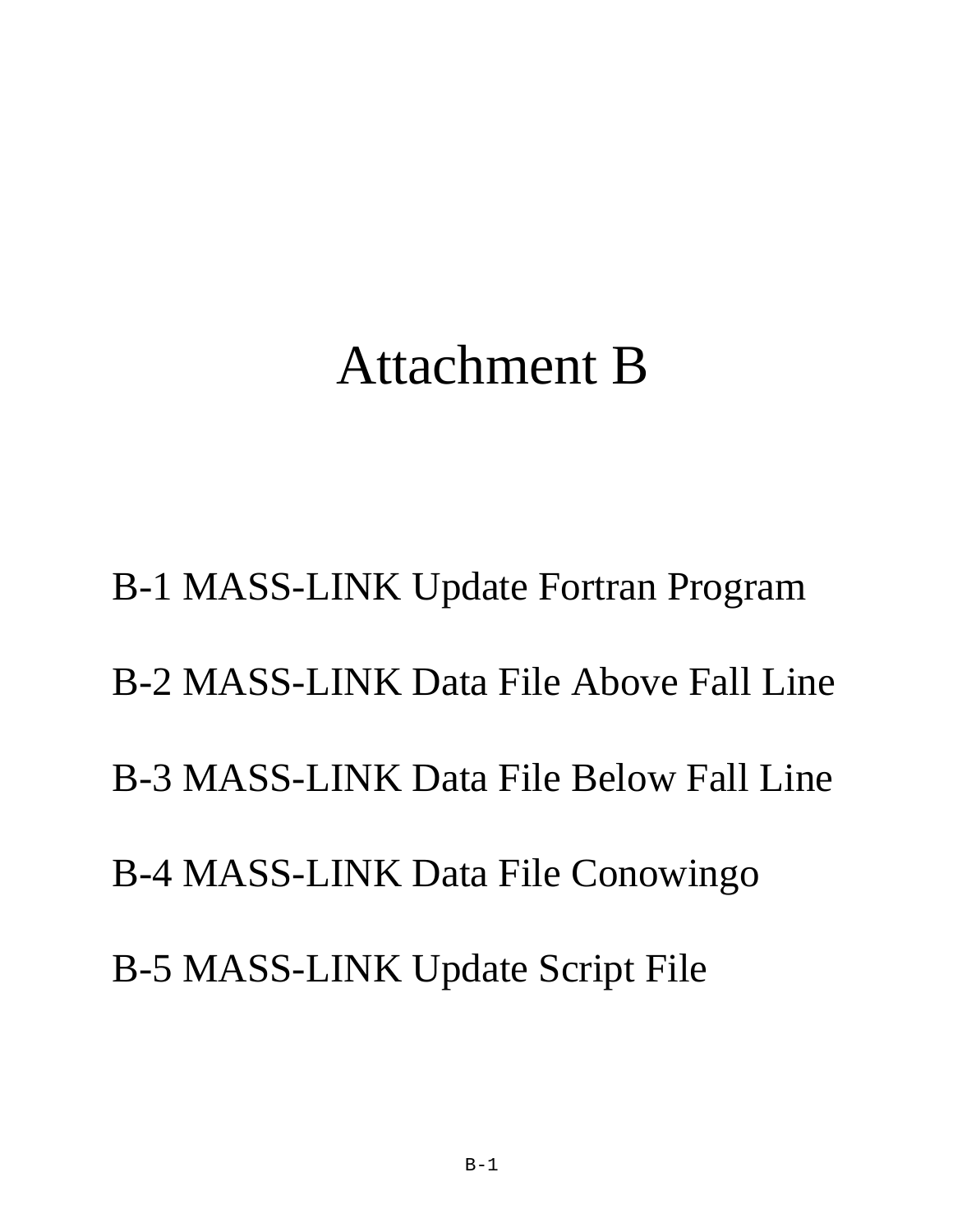# Attachment B

B-1 MASS-LINK Update Fortran Program B-2 MASS-LINK Data File Above Fall Line B-3 MASS-LINK Data File Below Fall Line B-4 MASS-LINK Data File Conowingo B-5 MASS-LINK Update Script File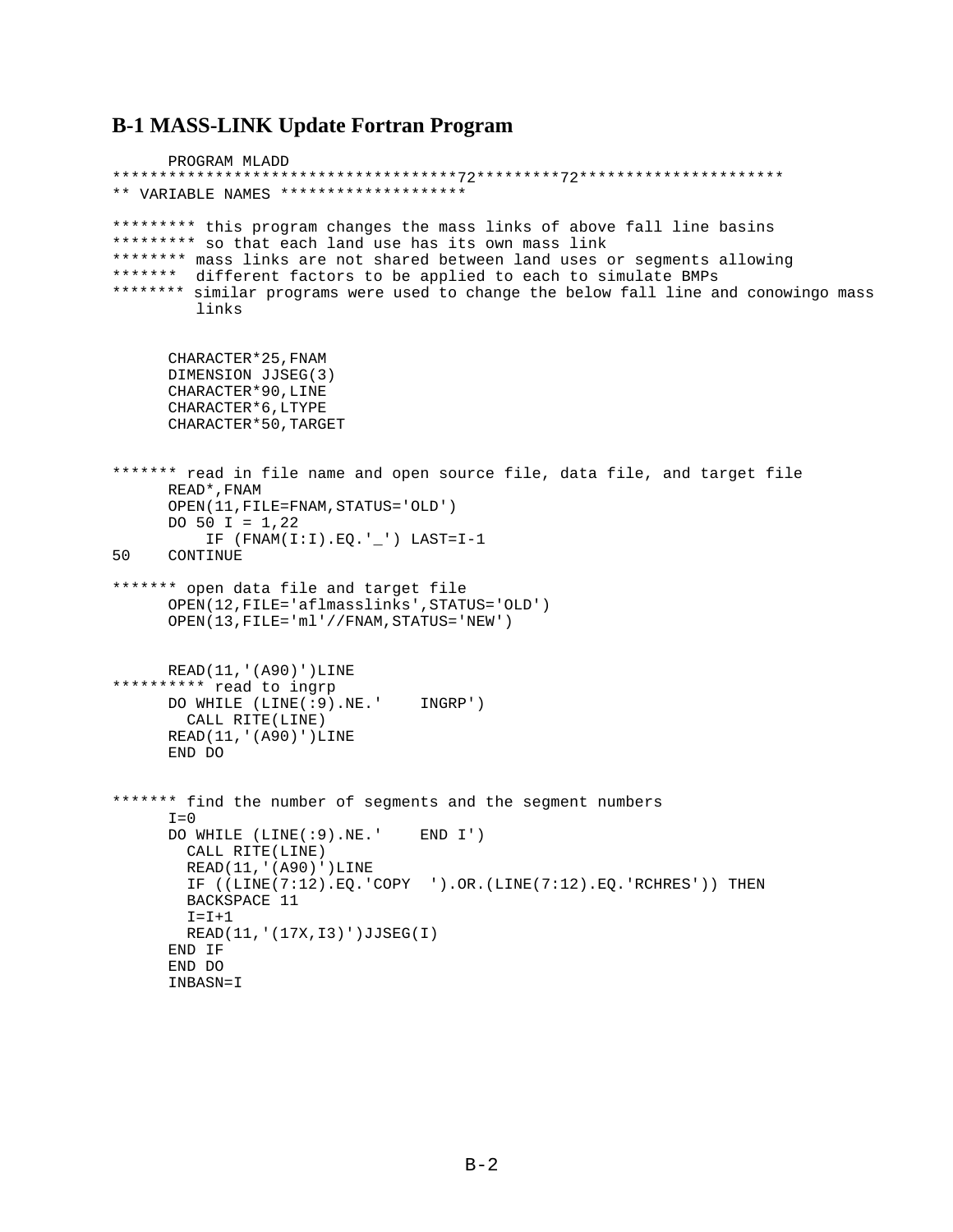# **B-1 MASS-LINK Update Fortran Program**

PROGRAM MLADD \*\*\*\*\*\*\*\*\*\*\*\*\*\*\*\*\*\*\*\*\*\*\*\*\*\*\*\*\*\*\*\*\*\*\*\*\*72\*\*\*\*\*\*\*\*\*72\*\*\*\*\*\*\*\*\*\*\*\*\*\*\*\*\*\*\*\*\*\* \*\* VARIABLE NAMES \*\*\*\*\*\*\*\*\*\*\*\*\*\*\*\*\*\*\*\* \*\*\*\*\*\*\*\*\* this program changes the mass links of above fall line basins \*\*\*\*\*\*\*\*\* so that each land use has its own mass link \*\*\*\*\*\*\*\* mass links are not shared between land uses or segments allowing \*\*\*\*\*\*\* different factors to be applied to each to simulate BMPs \*\*\*\*\*\*\*\* similar programs were used to change the below fall line and conowingo mass links CHARACTER\*25,FNAM DIMENSION JJSEG(3) CHARACTER\*90,LINE CHARACTER\*6,LTYPE CHARACTER\*50,TARGET \*\*\*\*\*\*\* read in file name and open source file, data file, and target file READ\*,FNAM OPEN(11,FILE=FNAM,STATUS='OLD') DO 50 I =  $1,22$  IF (FNAM(I:I).EQ.'\_') LAST=I-1 50 CONTINUE \*\*\*\*\*\*\* open data file and target file OPEN(12,FILE='aflmasslinks',STATUS='OLD') OPEN(13,FILE='ml'//FNAM,STATUS='NEW') READ(11,'(A90)')LINE \*\*\*\*\*\*\*\*\*\* read to ingrp DO WHILE (LINE(:9).NE.' INGRP') CALL RITE(LINE) READ(11,'(A90)')LINE END DO \*\*\*\*\*\*\* find the number of segments and the segment numbers  $T = 0$  DO WHILE (LINE(:9).NE.' END I') CALL RITE(LINE) READ(11,'(A90)')LINE IF ((LINE(7:12).EQ.'COPY ').OR.(LINE(7:12).EQ.'RCHRES')) THEN BACKSPACE 11  $T = T + 1$  READ(11,'(17X,I3)')JJSEG(I) END IF END DO INBASN=I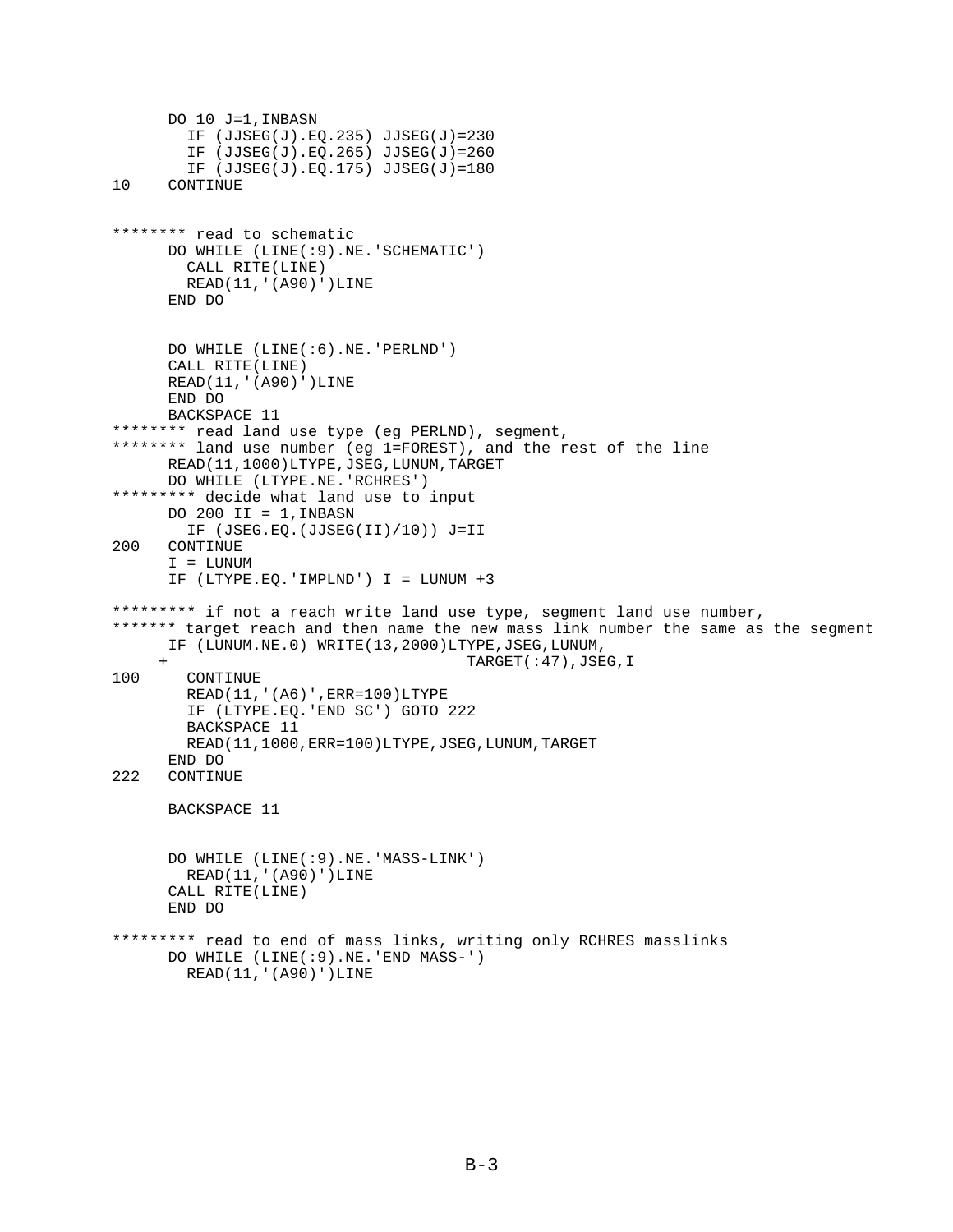```
DO 10 J=1,INBASN
         IF (JJSEG(J).EQ.235) JJSEG(J)=230
        IF (JJSEG(J).EQ.265) JJSEG(J)=260
         IF (JJSEG(J).EQ.175) JJSEG(J)=180
10 CONTINUE
******** read to schematic
      DO WHILE (LINE(:9).NE.'SCHEMATIC')
        CALL RITE(LINE)
        READ(11,'(A90)')LINE
       END DO
      DO WHILE (LINE(:6).NE.'PERLND')
     CALL RITE(LINE)
     READ(11,'(A90)')LINE
      END DO
      BACKSPACE 11
******** read land use type (eg PERLND), segment,
******** land use number (eg 1=FOREST), and the rest of the line
      READ(11,1000)LTYPE,JSEG,LUNUM,TARGET
      DO WHILE (LTYPE.NE.'RCHRES')
********* decide what land use to input
     DO 200 II = 1, INBASN
        IF (JSEG.EQ.(JJSEG(II)/10)) J=II
200 CONTINUE
      I = LUNUM
      IF (LTYPE.EQ.'IMPLND') I = LUNUM +3
********* if not a reach write land use type, segment land use number,
******* target reach and then name the new mass link number the same as the segment
     IF (LUNUM.NE.0) WRITE(13,2000)LTYPE,JSEG,LUNUM,
 + TARGET(:47),JSEG,I
       CONTINUE
        READ(11,'(A6)',ERR=100)LTYPE
        IF (LTYPE.EQ.'END SC') GOTO 222
        BACKSPACE 11
        READ(11,1000,ERR=100)LTYPE,JSEG,LUNUM,TARGET
      END DO
222 CONTINUE
      BACKSPACE 11
       DO WHILE (LINE(:9).NE.'MASS-LINK')
        READ(11,'(A90)')LINE
      CALL RITE(LINE)
       END DO
********* read to end of mass links, writing only RCHRES masslinks
      DO WHILE (LINE(:9).NE.'END MASS-')
        READ(11,'(A90)')LINE
```

```
B-3
```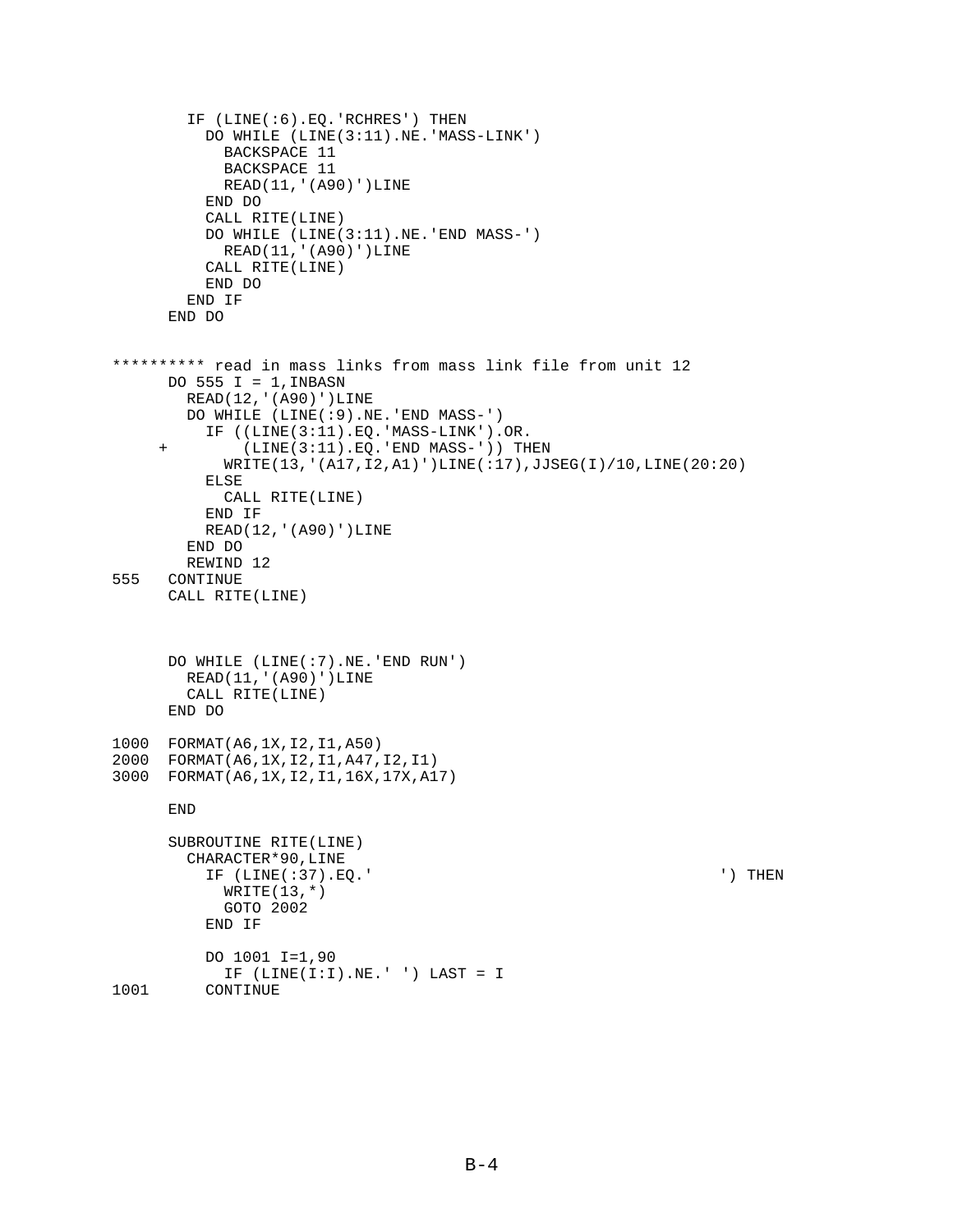```
 IF (LINE(:6).EQ.'RCHRES') THEN
           DO WHILE (LINE(3:11).NE.'MASS-LINK')
             BACKSPACE 11
            BACKSPACE 11
            READ(11,'(A90)')LINE
           END DO
           CALL RITE(LINE)
           DO WHILE (LINE(3:11).NE.'END MASS-')
            READ(11,'(A90)')LINE
           CALL RITE(LINE)
          END DO
         END IF
       END DO
********** read in mass links from mass link file from unit 12
     DO 555 I = 1, INBASN
         READ(12,'(A90)')LINE
         DO WHILE (LINE(:9).NE.'END MASS-')
           IF ((LINE(3:11).EQ.'MASS-LINK').OR.
      + (LINE(3:11).EQ.'END MASS-')) THEN
             WRITE(13,'(A17,I2,A1)')LINE(:17),JJSEG(I)/10,LINE(20:20)
           ELSE
             CALL RITE(LINE)
           END IF
          READ(12,'(A90)')LINE
         END DO
        REWIND 12
555 CONTINUE
      CALL RITE(LINE)
       DO WHILE (LINE(:7).NE.'END RUN')
        READ(11,'(A90)')LINE
        CALL RITE(LINE)
       END DO
1000 FORMAT(A6,1X,I2,I1,A50)
2000 FORMAT(A6,1X,I2,I1,A47,I2,I1)
3000 FORMAT(A6,1X,I2,I1,16X,17X,A17)
       END
       SUBROUTINE RITE(LINE)
         CHARACTER*90,LINE
           IF (LINE(:37).EQ.' ') THEN
            WRITE(13, * ) GOTO 2002
          END IF
           DO 1001 I=1,90
            IF (LINE(I:I).NE.' ') LAST = I
1001 CONTINUE
```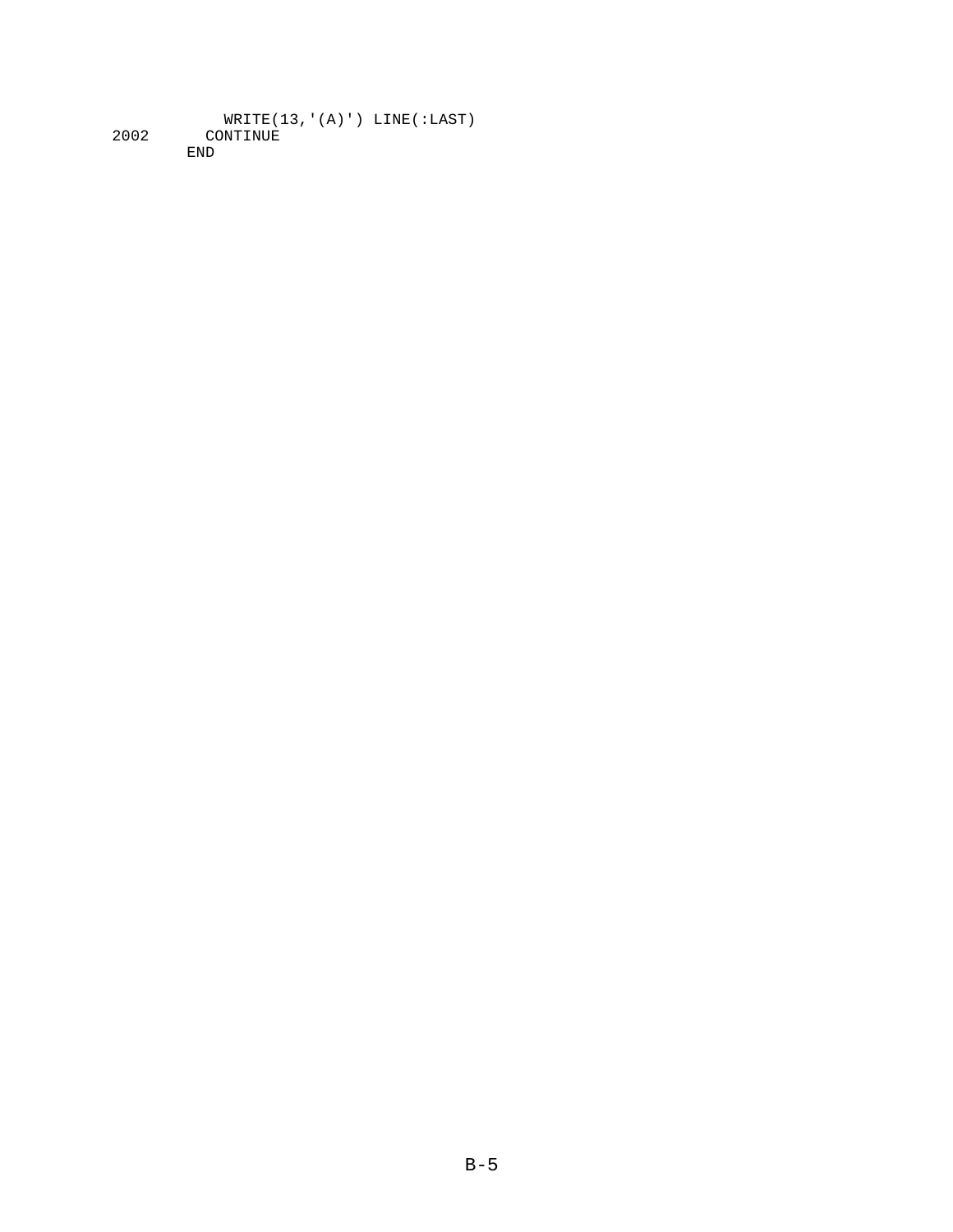WRITE(13,'(A)') LINE(:LAST) 2002 CONTINUE END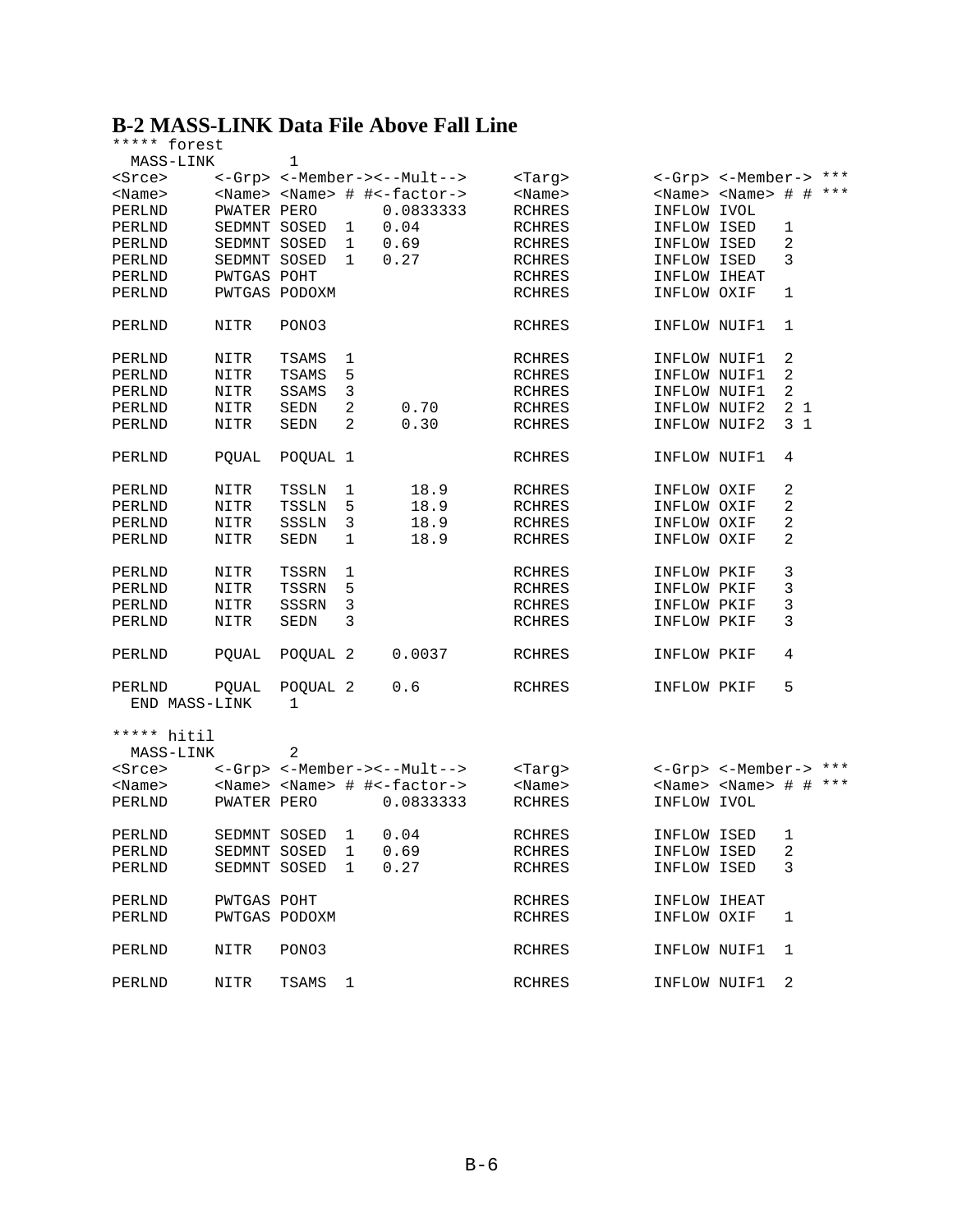# **B-2 MASS-LINK Data File Above Fall Line**

| ***** forest            |               |                     |              |                                                 |               |              |                                     |                |  |
|-------------------------|---------------|---------------------|--------------|-------------------------------------------------|---------------|--------------|-------------------------------------|----------------|--|
| MASS-LINK               |               | 1                   |              |                                                 |               |              |                                     |                |  |
| <srce></srce>           |               |                     |              | <-Grp> <-Member-><--Mult-->                     | <targ></targ> |              | <-Grp> <-Member-> ***               |                |  |
| <name></name>           |               |                     |              | <name> <name> # #&lt;-factor-&gt;</name></name> | $<$ Name $>$  |              | <name> <name> # # ***</name></name> |                |  |
| PERLND                  | PWATER PERO   |                     |              | 0.0833333                                       | <b>RCHRES</b> | INFLOW IVOL  |                                     |                |  |
| PERLND                  |               | SEDMNT SOSED        | 1            | 0.04                                            | RCHRES        | INFLOW ISED  |                                     | $\mathbf{1}$   |  |
| PERLND                  | SEDMNT SOSED  |                     | 1            | 0.69                                            | RCHRES        | INFLOW ISED  |                                     | 2              |  |
| PERLND                  | SEDMNT SOSED  |                     | $\mathbf{1}$ | 0.27                                            | <b>RCHRES</b> | INFLOW ISED  |                                     | 3              |  |
| PERLND                  | PWTGAS POHT   |                     |              |                                                 | <b>RCHRES</b> | INFLOW IHEAT |                                     |                |  |
| PERLND                  | PWTGAS PODOXM |                     |              |                                                 | <b>RCHRES</b> | INFLOW OXIF  |                                     | 1              |  |
|                         |               |                     |              |                                                 |               |              |                                     |                |  |
| PERLND                  | <b>NITR</b>   | PONO3               |              |                                                 | <b>RCHRES</b> | INFLOW NUIF1 |                                     | 1              |  |
| PERLND                  | NITR          | TSAMS               | 1            |                                                 | RCHRES        | INFLOW NUIF1 |                                     | 2              |  |
| PERLND                  | NITR          | TSAMS               | 5            |                                                 | RCHRES        | INFLOW NUIF1 |                                     | 2              |  |
| PERLND                  | NITR          | SSAMS               | 3            |                                                 | <b>RCHRES</b> | INFLOW NUIF1 |                                     | 2              |  |
| PERLND                  | NITR          | SEDN                | 2            | 0.70                                            | <b>RCHRES</b> | INFLOW NUIF2 |                                     | 2 <sub>1</sub> |  |
| PERLND                  | NITR          | SEDN                | 2            | 0.30                                            | <b>RCHRES</b> | INFLOW NUIF2 |                                     | 3 <sub>1</sub> |  |
|                         |               |                     |              |                                                 |               |              |                                     |                |  |
| PERLND                  | POUAL         | POOUAL 1            |              |                                                 | <b>RCHRES</b> | INFLOW NUIF1 |                                     | 4              |  |
| PERLND                  | NITR          | TSSLN               | 1            | 18.9                                            | RCHRES        | INFLOW OXIF  |                                     | 2              |  |
| PERLND                  | NITR          | <b>TSSLN</b>        | 5            | 18.9                                            | <b>RCHRES</b> | INFLOW OXIF  |                                     | 2              |  |
| PERLND                  | NITR          | SSSLN               | 3            | 18.9                                            | <b>RCHRES</b> | INFLOW OXIF  |                                     | 2              |  |
| PERLND                  | NITR          | SEDN                | 1            | 18.9                                            | <b>RCHRES</b> | INFLOW OXIF  |                                     | 2              |  |
|                         |               |                     |              |                                                 |               |              |                                     |                |  |
| PERLND                  | NITR          | TSSRN               | 1            |                                                 | RCHRES        | INFLOW PKIF  |                                     | 3              |  |
| PERLND                  | NITR          | TSSRN               | 5            |                                                 | RCHRES        | INFLOW PKIF  |                                     | 3              |  |
| PERLND                  | NITR          | SSSRN               | 3            |                                                 | <b>RCHRES</b> | INFLOW PKIF  |                                     | 3              |  |
| PERLND                  | NITR          | SEDN                | 3            |                                                 | <b>RCHRES</b> | INFLOW PKIF  |                                     | 3              |  |
|                         |               |                     |              |                                                 |               |              |                                     |                |  |
| PERLND                  | PQUAL         | POQUAL 2            |              | 0.0037                                          | RCHRES        | INFLOW PKIF  |                                     | 4              |  |
| PERLND<br>END MASS-LINK | PQUAL         | POQUAL 2<br>1       |              | 0.6                                             | RCHRES        | INFLOW PKIF  |                                     | 5              |  |
| ***** hitil             |               |                     |              |                                                 |               |              |                                     |                |  |
| MASS-LINK               |               | 2                   |              |                                                 |               |              |                                     |                |  |
| <srce></srce>           |               |                     |              | <-Grp> <-Member-><--Mult-->                     | <targ></targ> |              | <-Grp> <-Member-> ***               |                |  |
|                         |               |                     |              |                                                 |               |              | <name> <name> # # ***</name></name> |                |  |
| $<$ Name $>$            |               |                     |              | <name> <name> # #&lt;-factor-&gt;</name></name> | $<$ Name $>$  |              |                                     |                |  |
| PERLND                  | PWATER PERO   |                     |              | 0.0833333                                       | <b>RCHRES</b> | INFLOW IVOL  |                                     |                |  |
| PERLND                  |               | SEDMNT SOSED 1      |              | 0.04                                            | <b>RCHRES</b> | INFLOW ISED  |                                     | $\mathbf{1}$   |  |
| PERLND                  |               | SEDMNT SOSED 1 0.69 |              |                                                 | RCHRES        | INFLOW ISED  |                                     | 2              |  |
| PERLND                  |               | SEDMNT SOSED 1      |              | 0.27                                            | RCHRES        | INFLOW ISED  |                                     | 3              |  |
|                         |               |                     |              |                                                 |               |              |                                     |                |  |
| PERLND                  | PWTGAS POHT   |                     |              |                                                 | RCHRES        | INFLOW IHEAT |                                     |                |  |
| PERLND                  | PWTGAS PODOXM |                     |              |                                                 | <b>RCHRES</b> | INFLOW OXIF  |                                     | 1              |  |
|                         |               |                     |              |                                                 |               |              |                                     |                |  |
| PERLND                  | NITR          | PONO3               |              |                                                 | RCHRES        | INFLOW NUIF1 |                                     | 1              |  |
|                         |               |                     |              |                                                 |               |              |                                     |                |  |
| PERLND                  | NITR          | TSAMS               | 1            |                                                 | RCHRES        | INFLOW NUIF1 |                                     | 2              |  |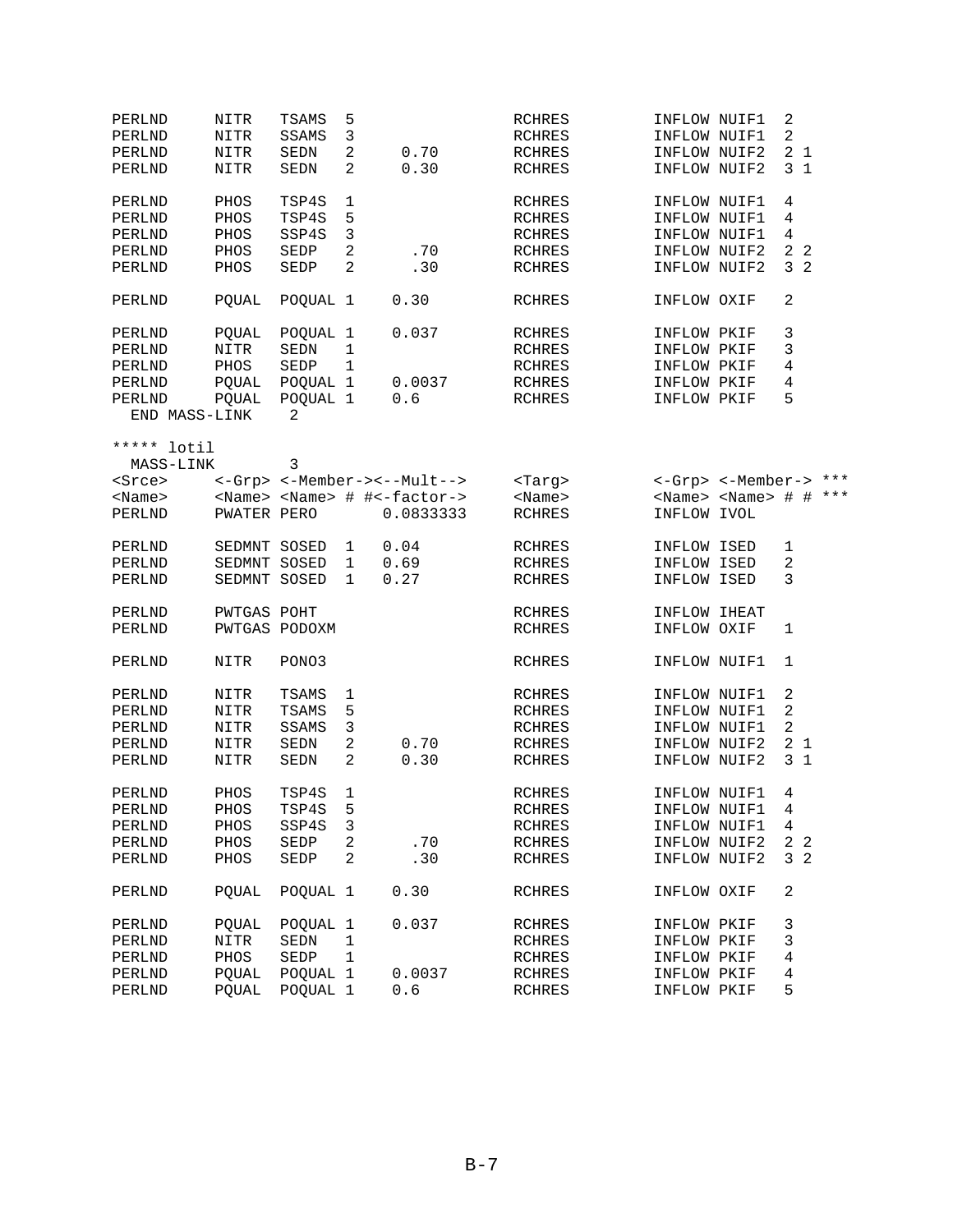| PERLND         | NITR         | <b>TSAMS</b>  | 5              |                                                 | <b>RCHRES</b> | INFLOW NUIF1                    | 2              |    |       |
|----------------|--------------|---------------|----------------|-------------------------------------------------|---------------|---------------------------------|----------------|----|-------|
| PERLND         | NITR         | SSAMS         | 3              |                                                 | <b>RCHRES</b> | INFLOW NUIF1                    | $\overline{a}$ |    |       |
| PERLND         | NITR         | <b>SEDN</b>   | 2              | 0.70                                            | RCHRES        | INFLOW NUIF2                    | 2 <sub>1</sub> |    |       |
| PERLND         | <b>NITR</b>  | <b>SEDN</b>   | 2              | 0.30                                            | <b>RCHRES</b> | INFLOW NUIF2                    | 3 <sub>1</sub> |    |       |
| PERLND         | PHOS         | TSP4S         | 1              |                                                 | <b>RCHRES</b> | INFLOW NUIF1                    | 4              |    |       |
| PERLND         | PHOS         | TSP4S         | 5              |                                                 | <b>RCHRES</b> | INFLOW NUIF1                    | 4              |    |       |
| PERLND         | PHOS         | SSP4S         | 3              |                                                 | <b>RCHRES</b> | INFLOW NUIF1                    | 4              |    |       |
| PERLND         | PHOS         | SEDP          | 2              | .70                                             | <b>RCHRES</b> | INFLOW NUIF2                    | 2 <sub>2</sub> |    |       |
| PERLND         | PHOS         | SEDP          | $\overline{2}$ | .30                                             | <b>RCHRES</b> | INFLOW NUIF2                    | 3              | -2 |       |
|                |              |               |                |                                                 |               |                                 |                |    |       |
| PERLND         | POUAL        | POQUAL 1      |                | 0.30                                            | <b>RCHRES</b> | INFLOW OXIF                     | 2              |    |       |
| PERLND         | POUAL        | POQUAL 1      |                | 0.037                                           | RCHRES        | INFLOW PKIF                     | 3              |    |       |
| PERLND         | NITR         | SEDN          | 1              |                                                 | <b>RCHRES</b> | INFLOW PKIF                     | 3              |    |       |
| PERLND         | PHOS         | SEDP          | $\mathbf{1}$   |                                                 | RCHRES        | INFLOW PKIF                     | 4              |    |       |
| PERLND         | PQUAL        | POQUAL 1      |                | 0.0037                                          | <b>RCHRES</b> | INFLOW PKIF                     | 4              |    |       |
| PERLND         | POUAL        | POQUAL 1      |                | 0.6                                             | RCHRES        | INFLOW PKIF                     | 5              |    |       |
| END MASS-LINK  |              | 2             |                |                                                 |               |                                 |                |    |       |
| *****<br>lotil |              |               |                |                                                 |               |                                 |                |    |       |
| MASS-LINK      |              | 3             |                |                                                 |               |                                 |                |    |       |
| <srce></srce>  |              |               |                | <-Grp> <-Member-><--Mult-->                     | <tarq></tarq> | <-Grp> <-Member-> ***           |                |    |       |
| $<$ Name $>$   |              |               |                | <name> <name> # #&lt;-factor-&gt;</name></name> | $<$ Name $>$  | <name> <name> # #</name></name> |                |    | $***$ |
| PERLND         | PWATER PERO  |               |                | 0.0833333                                       | <b>RCHRES</b> | INFLOW IVOL                     |                |    |       |
|                |              |               |                |                                                 |               |                                 |                |    |       |
| PERLND         | SEDMNT SOSED |               | 1              | 0.04                                            | <b>RCHRES</b> | INFLOW ISED                     | $\mathbf{1}$   |    |       |
| PERLND         | SEDMNT SOSED |               | $\mathbf 1$    | 0.69                                            | <b>RCHRES</b> | INFLOW ISED                     | 2              |    |       |
| PERLND         | SEDMNT SOSED |               | 1              | 0.27                                            | <b>RCHRES</b> | INFLOW ISED                     | 3              |    |       |
| PERLND         | PWTGAS POHT  |               |                |                                                 | <b>RCHRES</b> | INFLOW IHEAT                    |                |    |       |
| PERLND         |              | PWTGAS PODOXM |                |                                                 | <b>RCHRES</b> | INFLOW OXIF                     | 1              |    |       |
|                |              |               |                |                                                 |               |                                 |                |    |       |
| PERLND         | NITR         | PONO3         |                |                                                 | <b>RCHRES</b> | INFLOW NUIF1                    | 1              |    |       |
| PERLND         | NITR         | TSAMS         | 1              |                                                 | RCHRES        | INFLOW NUIF1                    | 2              |    |       |
| PERLND         | NITR         | TSAMS         | 5              |                                                 | <b>RCHRES</b> | INFLOW NUIF1                    | $\sqrt{2}$     |    |       |
| PERLND         | NITR         | SSAMS         | 3              |                                                 | RCHRES        | INFLOW NUIF1                    | $\sqrt{2}$     |    |       |
| PERLND         | NITR         | SEDN          | $\sqrt{2}$     | 0.70                                            | <b>RCHRES</b> | INFLOW NUIF2                    | 21             |    |       |
| PERLND         | NITR         | SEDN          | 2              | 0.30                                            | <b>RCHRES</b> | INFLOW NUIF2                    | 3 <sub>1</sub> |    |       |
| PERLND         | PHOS         | TSP4S         | 1              |                                                 | RCHRES        | INFLOW NUIF1                    | 4              |    |       |
| PERLND         | PHOS         | TSP4S         | 5              |                                                 | <b>RCHRES</b> | INFLOW NUIF1                    | $\,4$          |    |       |
| PERLND         | PHOS         | SSP4S         | 3              |                                                 | <b>RCHRES</b> | INFLOW NUIF1                    | 4              |    |       |
| PERLND         | PHOS         | SEDP          | $\overline{2}$ | .70                                             | RCHRES        | INFLOW NUIF2                    | 2 <sub>2</sub> |    |       |
| PERLND         | PHOS         | SEDP          | 2              | .30                                             | RCHRES        | INFLOW NUIF2                    | 3 <sub>2</sub> |    |       |
|                |              |               |                |                                                 |               |                                 |                |    |       |
| PERLND         | POUAL        | POQUAL 1      |                | 0.30                                            | RCHRES        | INFLOW OXIF                     | 2              |    |       |
| PERLND         | <b>POUAL</b> | POQUAL 1      |                | 0.037                                           | RCHRES        | INFLOW PKIF                     | 3              |    |       |
| PERLND         | NITR         | SEDN          | 1              |                                                 | RCHRES        | INFLOW PKIF                     | 3              |    |       |
| PERLND         | PHOS         | SEDP          | $\mathbf{1}$   |                                                 | <b>RCHRES</b> | INFLOW PKIF                     | 4              |    |       |
| PERLND         | POUAL        | POQUAL 1      |                | 0.0037                                          | RCHRES        | INFLOW PKIF                     | 4              |    |       |
| PERLND         | <b>POUAL</b> | POQUAL 1      |                | 0.6                                             | <b>RCHRES</b> | INFLOW PKIF                     | 5              |    |       |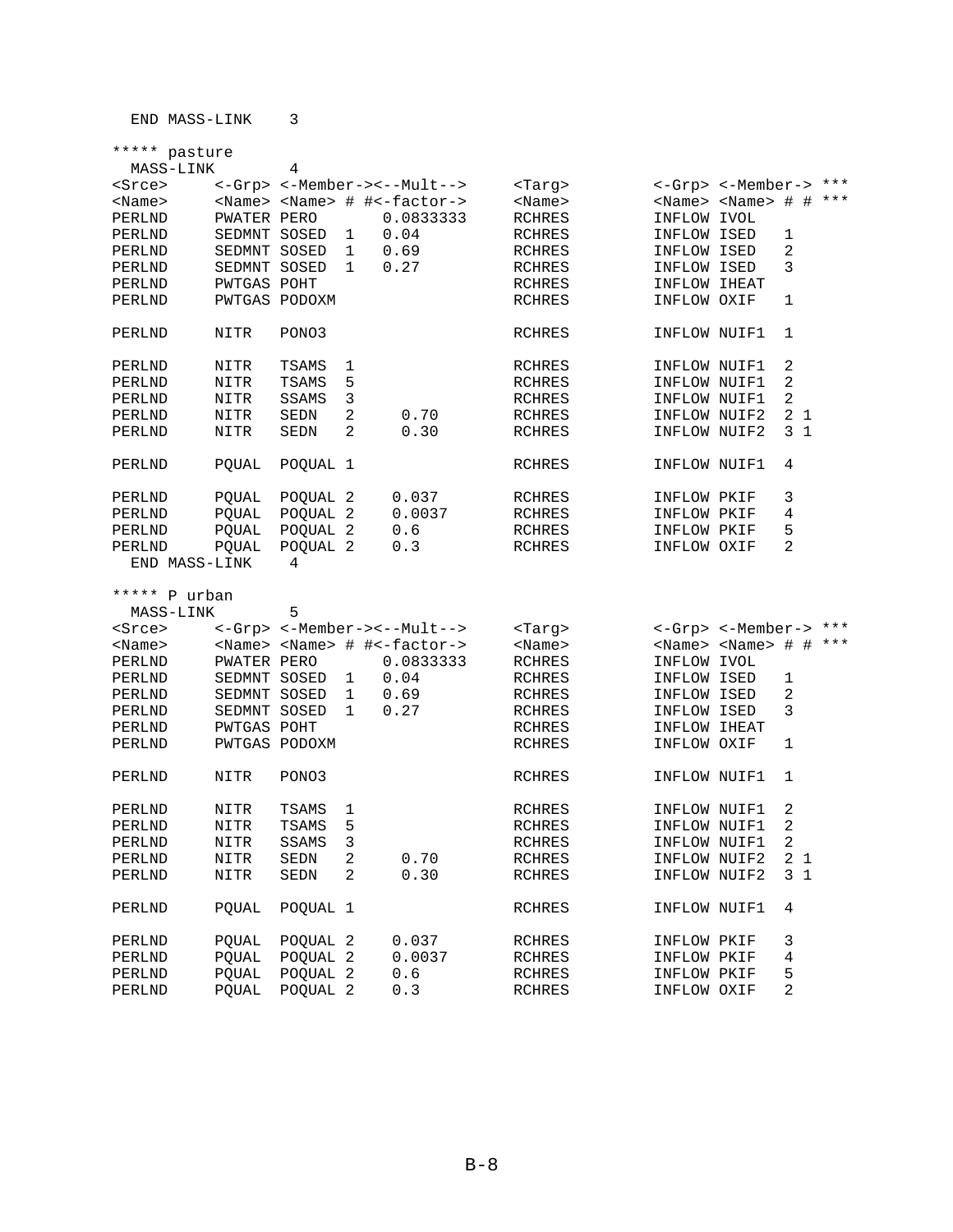|                         | ***** pasture                |                     |              |                                                 |                                |                             |                                     |                |       |
|-------------------------|------------------------------|---------------------|--------------|-------------------------------------------------|--------------------------------|-----------------------------|-------------------------------------|----------------|-------|
| MASS-LINK               |                              | 4                   |              |                                                 |                                |                             |                                     |                |       |
| <srce></srce>           |                              |                     |              | <-Grp> <-Member-><--Mult-->                     | <targ></targ>                  |                             | <-Grp> <-Member-> ***               |                |       |
| $<$ Name $>$            |                              |                     |              | <name> <name> # #&lt;-factor-&gt;</name></name> | $<$ Name $>$                   |                             | <name> <name> # # ***</name></name> |                |       |
| PERLND                  | PWATER PERO                  |                     |              | 0.0833333                                       | <b>RCHRES</b>                  | INFLOW IVOL                 |                                     |                |       |
| PERLND                  | SEDMNT SOSED                 |                     | 1            | 0.04                                            | RCHRES                         | INFLOW ISED                 |                                     | 1              |       |
| PERLND                  | SEDMNT SOSED                 |                     | 1            | 0.69                                            | RCHRES                         | INFLOW ISED                 |                                     | 2              |       |
| PERLND                  | SEDMNT SOSED                 |                     | $\mathbf{1}$ | 0.27                                            | <b>RCHRES</b>                  | INFLOW ISED                 |                                     | 3              |       |
| PERLND                  | PWTGAS POHT                  |                     |              |                                                 | <b>RCHRES</b>                  | INFLOW IHEAT                |                                     |                |       |
| PERLND                  | PWTGAS PODOXM                |                     |              |                                                 | <b>RCHRES</b>                  | INFLOW OXIF                 |                                     | 1              |       |
| PERLND                  | NITR                         | PONO3               |              |                                                 | <b>RCHRES</b>                  | INFLOW NUIF1                |                                     | 1              |       |
| PERLND                  | NITR                         | TSAMS               | 1            |                                                 | RCHRES                         | INFLOW NUIF1                |                                     | 2              |       |
| PERLND                  | NITR                         | TSAMS               | 5            |                                                 | <b>RCHRES</b>                  | INFLOW NUIF1                |                                     | 2              |       |
| PERLND                  | NITR                         | SSAMS               | 3            |                                                 | <b>RCHRES</b>                  | INFLOW NUIF1                |                                     | 2              |       |
| PERLND                  | NITR                         | SEDN                | 2            | 0.70                                            | RCHRES                         | INFLOW NUIF2                |                                     | 21             |       |
| PERLND                  | NITR                         | SEDN                | 2            | 0.30                                            | <b>RCHRES</b>                  | INFLOW NUIF2                |                                     | 3 <sub>1</sub> |       |
| PERLND                  | POUAL                        | POQUAL 1            |              |                                                 | <b>RCHRES</b>                  | INFLOW NUIF1                |                                     | 4              |       |
| PERLND                  | PQUAL                        | POQUAL 2            |              | 0.037                                           | RCHRES                         | INFLOW PKIF                 |                                     | 3              |       |
| PERLND                  | POUAL                        | POQUAL 2            |              | 0.0037                                          | RCHRES                         | INFLOW PKIF                 |                                     | 4              |       |
| PERLND                  | PQUAL                        | POQUAL 2            |              | 0.6                                             | RCHRES                         | INFLOW PKIF                 |                                     | 5              |       |
| PERLND<br>END MASS-LINK | POUAL                        | POQUAL 2<br>4       |              | 0.3                                             | <b>RCHRES</b>                  | INFLOW OXIF                 |                                     | 2              |       |
|                         |                              |                     |              |                                                 |                                |                             |                                     |                |       |
|                         |                              |                     |              |                                                 |                                |                             |                                     |                |       |
| ***** P urban           |                              |                     |              |                                                 |                                |                             |                                     |                |       |
| MASS-LINK               |                              | 5                   |              |                                                 |                                |                             |                                     |                | $***$ |
| <srce></srce>           |                              |                     |              | <-Grp> <-Member-><--Mult-->                     | <tarq></tarq>                  |                             | <-Grp> <-Member->                   |                |       |
| <name></name>           |                              |                     |              | <name> <name> # #&lt;-factor-&gt;</name></name> | $<$ Name $>$                   |                             | <name> <name> # # ***</name></name> |                |       |
| PERLND                  | PWATER PERO                  |                     |              | 0.0833333                                       | <b>RCHRES</b>                  | INFLOW IVOL                 |                                     |                |       |
| PERLND                  | SEDMNT SOSED                 |                     | 1            | 0.04                                            | <b>RCHRES</b>                  | INFLOW ISED                 |                                     | 1              |       |
| PERLND                  | SEDMNT SOSED                 |                     | 1            | 0.69                                            | <b>RCHRES</b>                  | INFLOW ISED                 |                                     | 2              |       |
| PERLND                  | SEDMNT SOSED                 |                     | 1            | 0.27                                            | <b>RCHRES</b>                  | INFLOW ISED                 |                                     | 3              |       |
| PERLND<br>PERLND        | PWTGAS POHT<br>PWTGAS PODOXM |                     |              |                                                 | <b>RCHRES</b><br><b>RCHRES</b> | INFLOW IHEAT<br>INFLOW OXIF |                                     | 1              |       |
| PERLND                  | NITR                         | PONO3               |              |                                                 | <b>RCHRES</b>                  | INFLOW NUIF1                |                                     | 1              |       |
| PERLND                  | NITR                         | TSAMS               | ı            |                                                 | RCHRES                         | INFLOW NUIF1                |                                     | 2              |       |
| PERLND                  | NITR                         | TSAMS               | 5            |                                                 | <b>RCHRES</b>                  | INFLOW NUIF1                |                                     | 2              |       |
| PERLND                  | NITR                         | SSAMS               | 3            |                                                 | RCHRES                         | INFLOW NUIF1                |                                     | 2              |       |
| PERLND                  | NITR                         | SEDN                | 2            | 0.70                                            | <b>RCHRES</b>                  | INFLOW NUIF2                |                                     | 21             |       |
| PERLND                  | NITR                         | SEDN                | 2            | 0.30                                            | <b>RCHRES</b>                  | INFLOW NUIF2                |                                     | 3 <sub>1</sub> |       |
| PERLND                  | POUAL                        | POQUAL 1            |              |                                                 | <b>RCHRES</b>                  | INFLOW NUIF1                |                                     | 4              |       |
| PERLND                  | POUAL                        | POOUAL <sub>2</sub> |              | 0.037                                           | <b>RCHRES</b>                  | INFLOW PKIF                 |                                     | 3              |       |
| PERLND                  | <b>POUAL</b>                 | POQUAL 2            |              | 0.0037                                          | <b>RCHRES</b>                  | INFLOW PKIF                 |                                     | 4              |       |
| PERLND                  | POUAL                        | POQUAL 2            |              | 0.6                                             | <b>RCHRES</b>                  | INFLOW PKIF                 |                                     | 5              |       |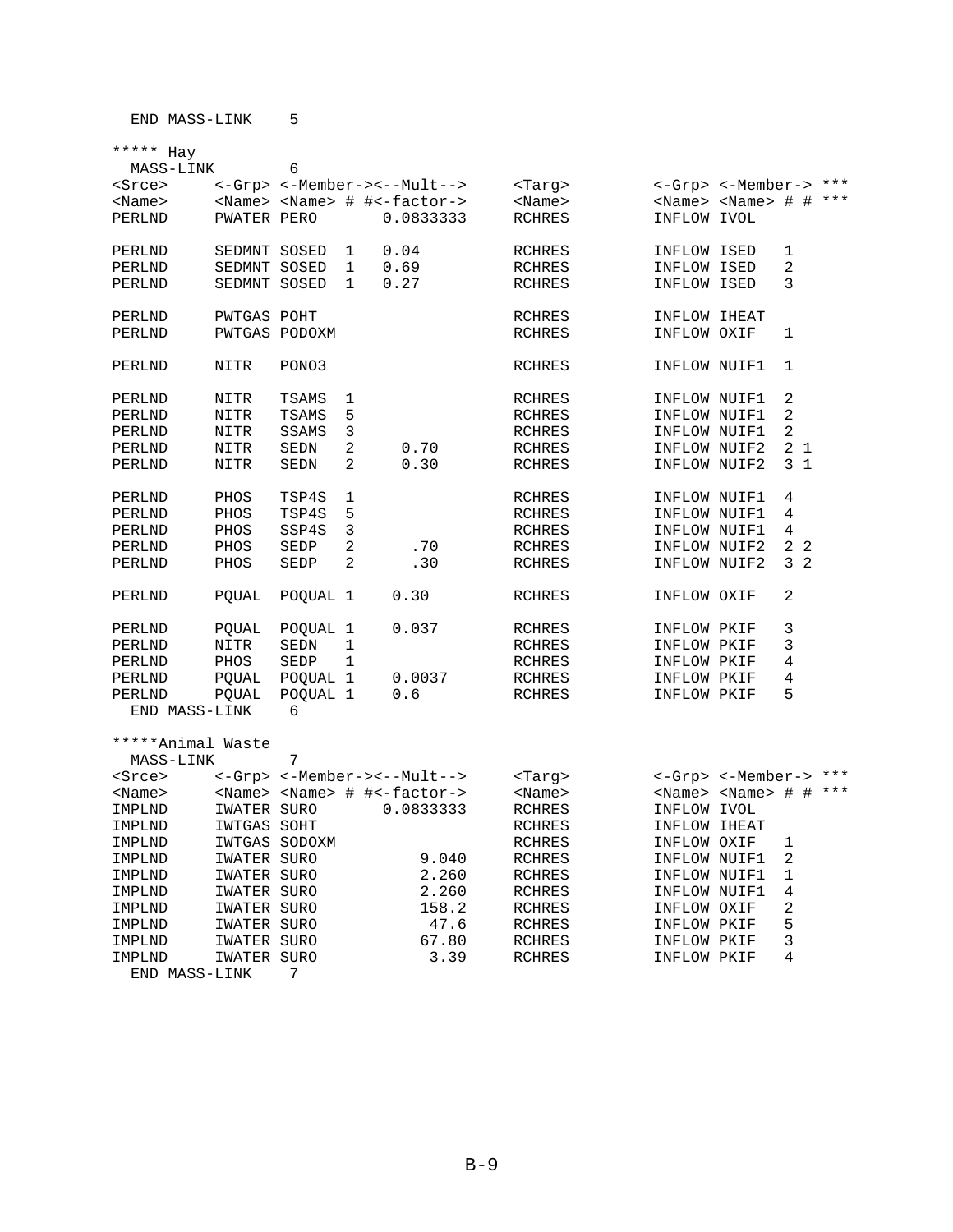END MASS-LINK 7

| MASS-LINK         |              | 6                   |                |                                                 |               |              |                                     |                |  |
|-------------------|--------------|---------------------|----------------|-------------------------------------------------|---------------|--------------|-------------------------------------|----------------|--|
| <srce></srce>     |              |                     |                | <-Grp> <-Member-><--Mult-->                     | <targ></targ> |              | <-Grp> <-Member-> ***               |                |  |
| $<$ Name $>$      |              |                     |                | <name> <name> # #&lt;-factor-&gt;</name></name> | <name></name> |              | <name> <name> # # ***</name></name> |                |  |
| PERLND            | PWATER PERO  |                     |                | 0.0833333                                       | <b>RCHRES</b> | INFLOW IVOL  |                                     |                |  |
|                   |              |                     |                |                                                 |               |              |                                     |                |  |
| PERLND            | SEDMNT SOSED |                     | 1              | 0.04                                            | <b>RCHRES</b> | INFLOW ISED  |                                     | 1              |  |
| PERLND            | SEDMNT SOSED |                     | $\mathbf{1}$   | 0.69                                            | RCHRES        | INFLOW ISED  |                                     | 2              |  |
| PERLND            | SEDMNT SOSED |                     | $\mathbf{1}$   | 0.27                                            | RCHRES        | INFLOW ISED  |                                     | 3              |  |
|                   |              |                     |                |                                                 |               |              |                                     |                |  |
| PERLND            | PWTGAS POHT  |                     |                |                                                 | RCHRES        | INFLOW IHEAT |                                     |                |  |
| PERLND            |              | PWTGAS PODOXM       |                |                                                 | <b>RCHRES</b> | INFLOW OXIF  |                                     | 1              |  |
|                   |              |                     |                |                                                 |               |              |                                     |                |  |
|                   |              |                     |                |                                                 |               |              |                                     |                |  |
| PERLND            | NITR         | PONO3               |                |                                                 | <b>RCHRES</b> | INFLOW NUIF1 |                                     | 1              |  |
|                   |              |                     |                |                                                 |               |              |                                     |                |  |
| PERLND            | NITR         | TSAMS               | 1              |                                                 | <b>RCHRES</b> | INFLOW NUIF1 |                                     | 2              |  |
| PERLND            | NITR         | TSAMS               | 5              |                                                 | RCHRES        | INFLOW NUIF1 |                                     | 2              |  |
| PERLND            | NITR         | SSAMS               | 3              |                                                 | RCHRES        | INFLOW NUIF1 |                                     | 2              |  |
| PERLND            | <b>NITR</b>  | <b>SEDN</b>         | 2              | 0.70                                            | <b>RCHRES</b> | INFLOW NUIF2 |                                     | 2 <sub>1</sub> |  |
| PERLND            | NITR         | SEDN                | 2              | 0.30                                            | RCHRES        | INFLOW NUIF2 |                                     | 3 <sub>1</sub> |  |
|                   |              |                     |                |                                                 |               |              |                                     |                |  |
| PERLND            | PHOS         | TSP4S               | 1              |                                                 | RCHRES        | INFLOW NUIF1 |                                     | 4              |  |
| PERLND            | PHOS         | TSP4S               | 5              |                                                 | RCHRES        | INFLOW NUIF1 |                                     | 4              |  |
| PERLND            | PHOS         | SSP4S               | 3              |                                                 | RCHRES        | INFLOW NUIF1 |                                     | 4              |  |
| PERLND            | PHOS         | SEDP                | $\overline{2}$ | .70                                             | RCHRES        | INFLOW NUIF2 |                                     | 2 <sub>2</sub> |  |
| PERLND            | PHOS         | SEDP                | 2              | .30                                             | <b>RCHRES</b> | INFLOW NUIF2 |                                     | 32             |  |
|                   |              |                     |                |                                                 |               |              |                                     |                |  |
| PERLND            | PQUAL        | POQUAL 1            |                | 0.30                                            | <b>RCHRES</b> | INFLOW OXIF  |                                     | 2              |  |
|                   |              |                     |                |                                                 |               |              |                                     |                |  |
| PERLND            | PQUAL        | POQUAL 1            |                | 0.037                                           | RCHRES        | INFLOW PKIF  |                                     | 3              |  |
| PERLND            | NITR         | SEDN                | 1              |                                                 | RCHRES        | INFLOW PKIF  |                                     | 3              |  |
| PERLND            | PHOS         | SEDP                | 1              |                                                 | RCHRES        | INFLOW PKIF  |                                     | 4              |  |
| PERLND            | PQUAL        | POQUAL 1            |                | 0.0037                                          | RCHRES        | INFLOW PKIF  |                                     | 4              |  |
| PERLND            | PQUAL        | POOUAL <sub>1</sub> |                | 0.6                                             | RCHRES        | INFLOW PKIF  |                                     | 5              |  |
| END MASS-LINK     |              | 6                   |                |                                                 |               |              |                                     |                |  |
|                   |              |                     |                |                                                 |               |              |                                     |                |  |
|                   |              |                     |                |                                                 |               |              |                                     |                |  |
| *****Animal Waste |              |                     |                |                                                 |               |              |                                     |                |  |
| MASS-LINK         |              | 7                   |                |                                                 |               |              |                                     |                |  |
| <srce></srce>     |              |                     |                | <-Grp> <-Member-><--Mult-->                     | <tarq></tarq> |              | <-Grp> <-Member-> ***               |                |  |
| <name></name>     |              |                     |                | <name> <name> # #&lt;-factor-&gt;</name></name> | <name></name> |              | <name> <name> # # ***</name></name> |                |  |
| IMPLND            | IWATER SURO  |                     |                | 0.0833333                                       | RCHRES        | INFLOW IVOL  |                                     |                |  |
| IMPLND            | IWTGAS SOHT  |                     |                |                                                 | RCHRES        | INFLOW IHEAT |                                     |                |  |
| IMPLND            |              | IWTGAS SODOXM       |                |                                                 | RCHRES        | INFLOW OXIF  |                                     | 1              |  |
| IMPLND            | IWATER SURO  |                     |                | 9.040                                           | <b>RCHRES</b> | INFLOW NUIF1 |                                     | 2              |  |
| IMPLND            | IWATER SURO  |                     |                | 2.260                                           | RCHRES        | INFLOW NUIF1 |                                     | $\mathbf 1$    |  |
| IMPLND            | IWATER SURO  |                     |                | 2.260                                           | RCHRES        | INFLOW NUIF1 |                                     | 4              |  |
| IMPLND            | IWATER SURO  |                     |                | 158.2                                           | RCHRES        | INFLOW OXIF  |                                     | 2              |  |
| IMPLND            | IWATER SURO  |                     |                | 47.6                                            | <b>RCHRES</b> | INFLOW PKIF  |                                     | 5              |  |
| IMPLND            | IWATER SURO  |                     |                | 67.80                                           | <b>RCHRES</b> | INFLOW PKIF  |                                     | 3              |  |

IMPLND IWATER SURO 3.39 RCHRES INFLOW PKIF 4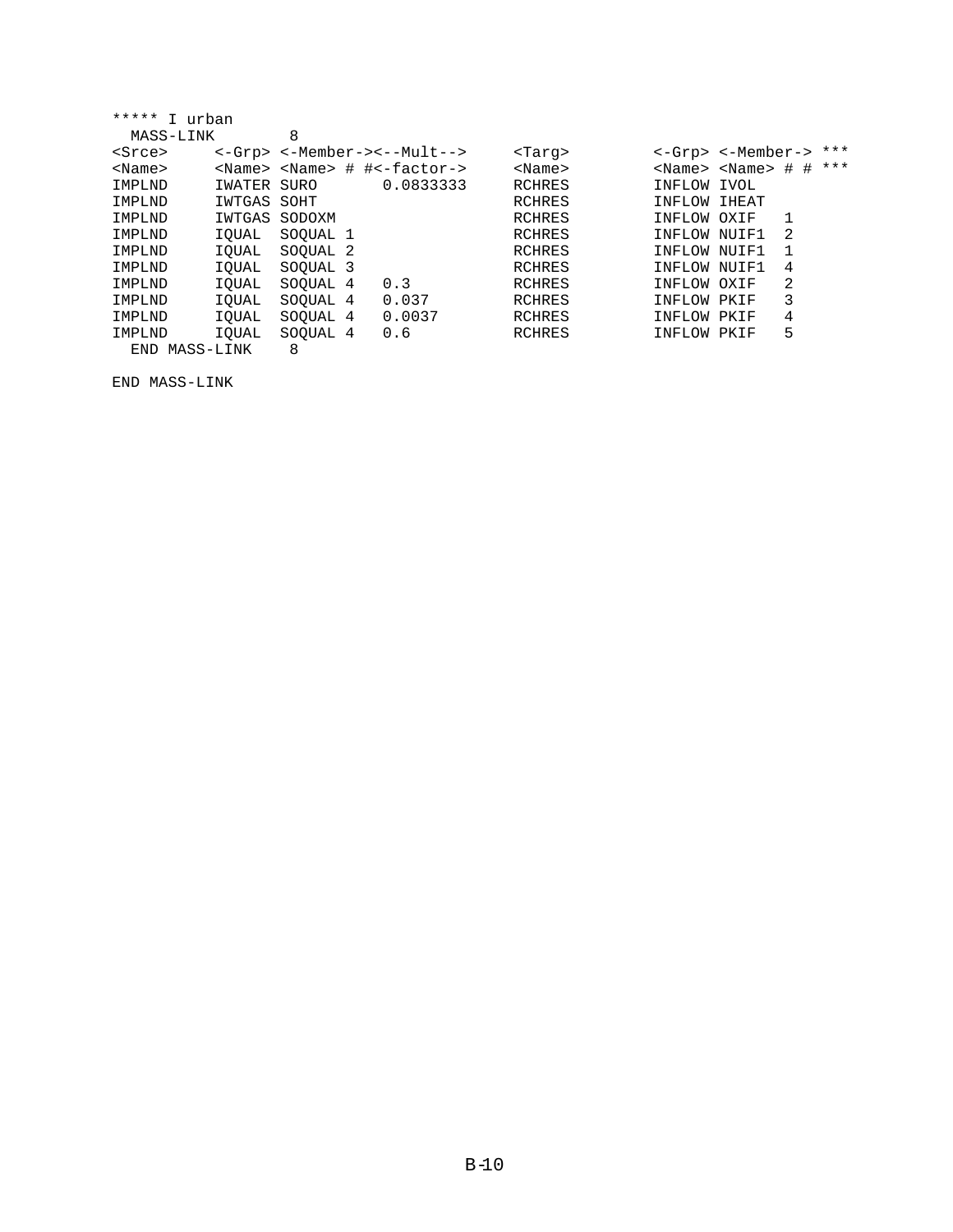| *****<br>T<br>urban |               |                     |                                   |               |               |                   |        |     |
|---------------------|---------------|---------------------|-----------------------------------|---------------|---------------|-------------------|--------|-----|
| MASS-LINK           |               | 8                   |                                   |               |               |                   |        |     |
| <srce></srce>       |               |                     | <-Grp> <-Member-><--Mult-->       | <targ></targ> |               | <-Grp> <-Member-> |        | *** |
| $<$ Name $>$        | <name></name> |                     | $<$ Name> $\#$ $\#$ < $factor$ -> | $<$ Name $>$  | <name></name> | <name></name>     | #<br># | *** |
| IMPLND              | IWATER        | SURO                | 0.0833333                         | <b>RCHRES</b> | INFLOW        | IVOL              |        |     |
| IMPLND              | IWTGAS        | SOHT                |                                   | <b>RCHRES</b> | INFLOW IHEAT  |                   |        |     |
| IMPLND              | IWTGAS        | SODOXM              |                                   | <b>RCHRES</b> | INFLOW OXIF   |                   |        |     |
| IMPLND              | IOUAL         | SOOUAL 1            |                                   | <b>RCHRES</b> | INFLOW NUIF1  |                   | 2      |     |
| IMPLND              | IOUAL         | SOOUAL <sub>2</sub> |                                   | RCHRES        | INFLOW NUIF1  |                   |        |     |
| IMPLND              | IOUAL         | SOOUAL 3            |                                   | <b>RCHRES</b> | INFLOW        | NUTF1             | 4      |     |
| IMPLND              | IOUAL         | SOOUAL 4            | 0.3                               | <b>RCHRES</b> | INFLOW OXIF   |                   | 2      |     |
| IMPLND              | IOUAL         | SOOUAL 4            | 0.037                             | <b>RCHRES</b> | INFLOW PKIF   |                   | 3      |     |
| IMPLND              | IOUAL         | SOOUAL 4            | 0.0037                            | <b>RCHRES</b> | INFLOW PKIF   |                   | 4      |     |
| IMPLND              | IOUAL         | SOOUAL 4            | 0.6                               | <b>RCHRES</b> | INFLOW        | PKIF              | 5      |     |

END MASS-LINK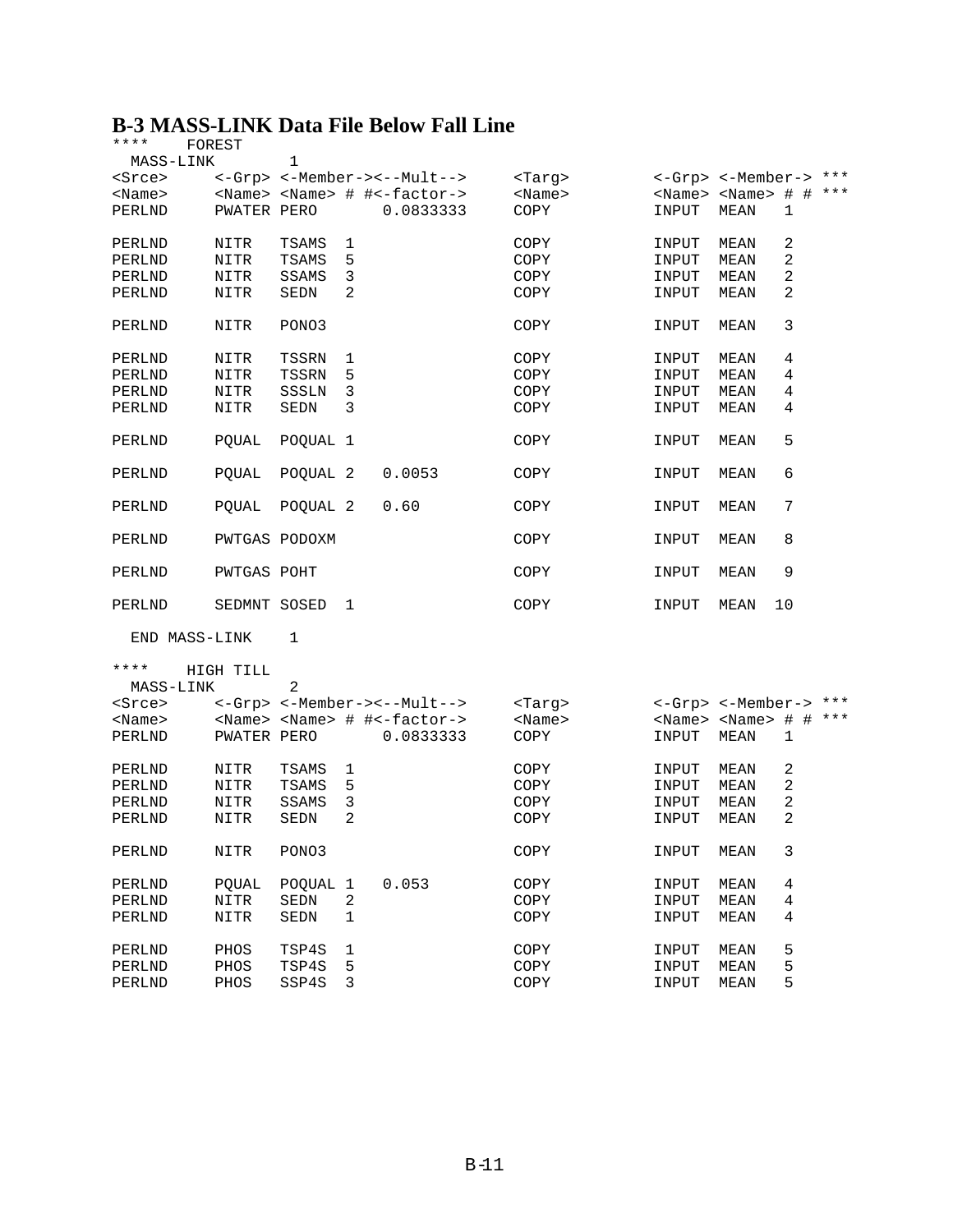#### **B-3 MASS-LINK Data File Below Fall Line**

| ****          | FOREST       |               |              |                                                 |               |                                     |             |              |       |
|---------------|--------------|---------------|--------------|-------------------------------------------------|---------------|-------------------------------------|-------------|--------------|-------|
| MASS-LINK     |              | 1             |              |                                                 |               |                                     |             |              |       |
| <srce></srce> |              |               |              | <-Grp> <-Member-><--Mult-->                     | <targ></targ> | <-Grp> <-Member-> ***               |             |              |       |
| $<$ Name $>$  |              |               |              | <name> <name> # #&lt;-factor-&gt;</name></name> | $<$ Name $>$  | <name> <name> #</name></name>       |             |              | # *** |
| PERLND        | PWATER PERO  |               |              | 0.0833333                                       | COPY          | INPUT                               | MEAN        | $\mathbf{1}$ |       |
| PERLND        | NITR         | TSAMS         | 1            |                                                 | COPY          | INPUT                               | MEAN        | 2            |       |
| PERLND        | NITR         | TSAMS         | 5            |                                                 | COPY          | INPUT                               | MEAN        | 2            |       |
| PERLND        | NITR         | SSAMS         | 3            |                                                 | COPY          | INPUT                               | MEAN        | 2            |       |
| PERLND        | NITR         | SEDN          | 2            |                                                 | COPY          | INPUT                               | <b>MEAN</b> | 2            |       |
| PERLND        | NITR         | PONO3         |              |                                                 | COPY          | INPUT                               | MEAN        | 3            |       |
| PERLND        | NITR         | TSSRN         | 1            |                                                 | COPY          | INPUT                               | MEAN        | 4            |       |
| PERLND        | NITR         | TSSRN         | 5            |                                                 | COPY          | INPUT                               | MEAN        | 4            |       |
| PERLND        | NITR         | SSSLN         | 3            |                                                 | COPY          | INPUT                               | MEAN        | 4            |       |
| PERLND        | NITR         | SEDN          | 3            |                                                 | COPY          | INPUT                               | MEAN        | 4            |       |
| PERLND        | POUAL        | POQUAL 1      |              |                                                 | COPY          | INPUT                               | MEAN        | 5            |       |
| PERLND        | POUAL        | POQUAL 2      |              | 0.0053                                          | COPY          | INPUT                               | MEAN        | 6            |       |
| PERLND        | POUAL        | POQUAL 2      |              | 0.60                                            | COPY          | INPUT                               | MEAN        | 7            |       |
| PERLND        |              | PWTGAS PODOXM |              |                                                 | COPY          | INPUT                               | MEAN        | 8            |       |
| PERLND        | PWTGAS POHT  |               |              |                                                 | COPY          | INPUT                               | MEAN        | 9            |       |
| PERLND        | SEDMNT SOSED |               | 1            |                                                 | COPY          | INPUT                               | MEAN        | 10           |       |
| END MASS-LINK |              | 1             |              |                                                 |               |                                     |             |              |       |
| ****          | HIGH TILL    |               |              |                                                 |               |                                     |             |              |       |
| MASS-LINK     |              | 2             |              |                                                 |               |                                     |             |              |       |
| <srce></srce> |              |               |              | <-Grp> <-Member-><--Mult-->                     | <tarq></tarq> | <-Grp> <-Member-> ***               |             |              |       |
| $<$ Name $>$  |              |               |              | <name> <name> # #&lt;-factor-&gt;</name></name> | $<$ Name $>$  | <name> <name> # # ***</name></name> |             |              |       |
| PERLND        | PWATER PERO  |               |              | 0.0833333                                       | COPY          | INPUT                               | MEAN        | 1            |       |
| PERLND        | NITR         | TSAMS         | 1            |                                                 | COPY          | INPUT                               | MEAN        | 2            |       |
| PERLND        | NITR         | <b>TSAMS</b>  | 5            |                                                 | COPY          | INPUT                               | MEAN        | 2            |       |
| PERLND        | NITR         | SSAMS         | 3            |                                                 | COPY          | INPUT                               | MEAN        | 2            |       |
| PERLND        | NITR         | <b>SEDN</b>   | 2            |                                                 | COPY          | INPUT                               | MEAN        | 2            |       |
| PERLND        | NITR         | PONO3         |              |                                                 | COPY          | INPUT                               | MEAN        | 3            |       |
| PERLND        | PQUAL        | POQUAL        | $\mathbf{1}$ | 0.053                                           | COPY          | INPUT                               | MEAN        | 4            |       |
| PERLND        | <b>NITR</b>  | SEDN          | $\sqrt{2}$   |                                                 | COPY          | INPUT                               | MEAN        | 4            |       |
| PERLND        | NITR         | SEDN          | $\mathbf 1$  |                                                 | COPY          | INPUT                               | MEAN        | 4            |       |
| PERLND        | PHOS         | TSP4S         | 1            |                                                 | COPY          | INPUT                               | MEAN        | 5            |       |
| PERLND        | PHOS         | TSP4S         | 5            |                                                 | COPY          | INPUT                               | MEAN        | 5            |       |
| PERLND        | PHOS         | SSP4S         | 3            |                                                 | COPY          | INPUT                               | MEAN        | 5            |       |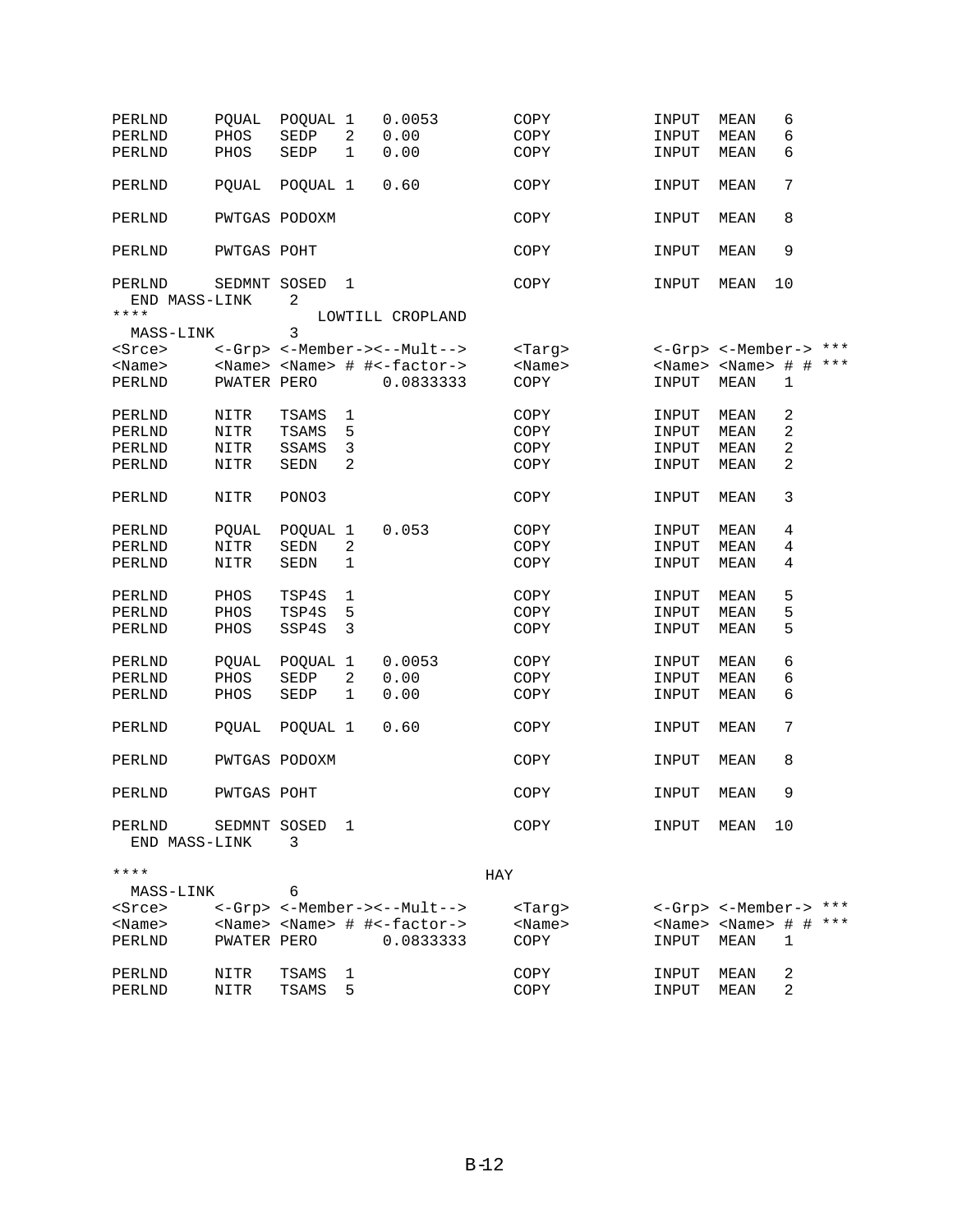| PERLND<br>PERLND<br>PERLND           | <b>POUAL</b><br>PHOS<br>PHOS | POQUAL 1<br>SEDP<br>SEDP | 2<br>$\mathbf 1$ | 0.0053<br>0.00<br>0.00                          | COPY<br>COPY<br>COPY |               | INPUT<br>INPUT<br>INPUT             | MEAN<br>MEAN<br>MEAN | 6<br>6<br>6 |  |
|--------------------------------------|------------------------------|--------------------------|------------------|-------------------------------------------------|----------------------|---------------|-------------------------------------|----------------------|-------------|--|
| PERLND                               | POUAL                        | POQUAL 1                 |                  | 0.60                                            | COPY                 |               | INPUT                               | MEAN                 | 7           |  |
| PERLND                               | PWTGAS PODOXM                |                          |                  |                                                 | COPY                 |               | INPUT                               | MEAN                 | 8           |  |
| PERLND                               | PWTGAS POHT                  |                          |                  |                                                 | COPY                 |               | INPUT                               | MEAN                 | 9           |  |
| PERLND<br>END MASS-LINK<br>$***$ * * | SEDMNT SOSED                 | 2                        | 1                | LOWTILL CROPLAND                                | COPY                 |               | INPUT                               | MEAN                 | 10          |  |
| MASS-LINK                            |                              | 3                        |                  |                                                 |                      |               |                                     |                      |             |  |
| <srce></srce>                        |                              |                          |                  | <-Grp> <-Member-><--Mult-->                     |                      | <targ></targ> | <-Grp> <-Member-> ***               |                      |             |  |
| $<$ Name $>$                         |                              |                          |                  | <name> <name> # #&lt;-factor-&gt;</name></name> |                      | $<$ Name $>$  | <name> <name> # # ***</name></name> |                      |             |  |
| PERLND                               | PWATER PERO                  |                          |                  | 0.0833333                                       | COPY                 |               | INPUT                               | MEAN                 | 1           |  |
| PERLND                               | NITR                         | TSAMS                    | $\mathbf{1}$     |                                                 | COPY                 |               | INPUT                               | MEAN                 | $\sqrt{2}$  |  |
| PERLND                               | <b>NITR</b>                  | TSAMS                    | 5                |                                                 | COPY                 |               | INPUT                               | MEAN                 | 2           |  |
| PERLND                               | NITR                         | SSAMS                    | 3                |                                                 | COPY                 |               | INPUT                               | MEAN                 | 2           |  |
| PERLND                               | NITR                         | SEDN                     | 2                |                                                 | COPY                 |               | INPUT                               | MEAN                 | 2           |  |
| PERLND                               | NITR                         | PONO3                    |                  |                                                 | COPY                 |               | INPUT                               | MEAN                 | 3           |  |
| PERLND                               | PQUAL                        | POQUAL 1                 |                  | 0.053                                           | COPY                 |               | INPUT                               | MEAN                 | 4           |  |
| PERLND                               | NITR                         | SEDN                     | 2                |                                                 | COPY                 |               | INPUT                               | MEAN                 | 4           |  |
| PERLND                               | NITR                         | SEDN                     | $\mathbf 1$      |                                                 | COPY                 |               | INPUT                               | MEAN                 | 4           |  |
| PERLND                               | PHOS                         | TSP4S                    | 1                |                                                 | COPY                 |               | INPUT                               | MEAN                 | 5           |  |
| PERLND                               | $PHOS$                       | TSP4S                    | 5                |                                                 | COPY                 |               | INPUT                               | MEAN                 | 5           |  |
| PERLND                               | PHOS                         | SSP4S                    | 3                |                                                 | COPY                 |               | INPUT                               | MEAN                 | 5           |  |
| PERLND                               | POUAL                        | POQUAL                   | $\mathbf{1}$     | 0.0053                                          | COPY                 |               | INPUT                               | MEAN                 | 6           |  |
| PERLND                               | PHOS                         | SEDP                     | $\sqrt{2}$       | 0.00                                            | COPY                 |               | INPUT                               | MEAN                 | 6           |  |
| PERLND                               | PHOS                         | SEDP                     | 1                | 0.00                                            | COPY                 |               | INPUT                               | MEAN                 | 6           |  |
| PERLND                               | POUAL                        | POQUAL 1                 |                  | 0.60                                            | COPY                 |               | INPUT                               | MEAN                 | 7           |  |
| PERLND                               | PWTGAS PODOXM                |                          |                  |                                                 | COPY                 |               | INPUT                               | <b>MEAN</b>          | 8           |  |
| PERLND                               | PWTGAS POHT                  |                          |                  |                                                 | COPY                 |               | INPUT                               | MEAN                 | 9           |  |
| PERLND<br>END MASS-LINK              | SEDMNT SOSED                 | 3                        | 1                |                                                 | COPY                 |               | INPUT                               | MEAN                 | 10          |  |
| ****                                 |                              |                          |                  |                                                 | HAY                  |               |                                     |                      |             |  |
| MASS-LINK                            |                              | 6                        |                  |                                                 |                      |               |                                     |                      |             |  |
| $s$ rce $>$                          |                              |                          |                  | <-Grp> <-Member-><--Mult-->                     |                      | <tarq></tarq> | <-Grp> <-Member-> ***               |                      |             |  |
| $<$ Name $>$                         |                              |                          |                  | <name> <name> # #&lt;-factor-&gt;</name></name> |                      | <name></name> | <name> <name> # # ***</name></name> |                      |             |  |
| PERLND                               | PWATER PERO                  |                          |                  | 0.0833333                                       | COPY                 |               | INPUT                               | MEAN                 | 1           |  |
| PERLND                               | NITR                         | TSAMS                    | 1                |                                                 | COPY                 |               | INPUT                               | MEAN                 | 2           |  |

PERLND NITR TSAMS 5 COPY INPUT MEAN 2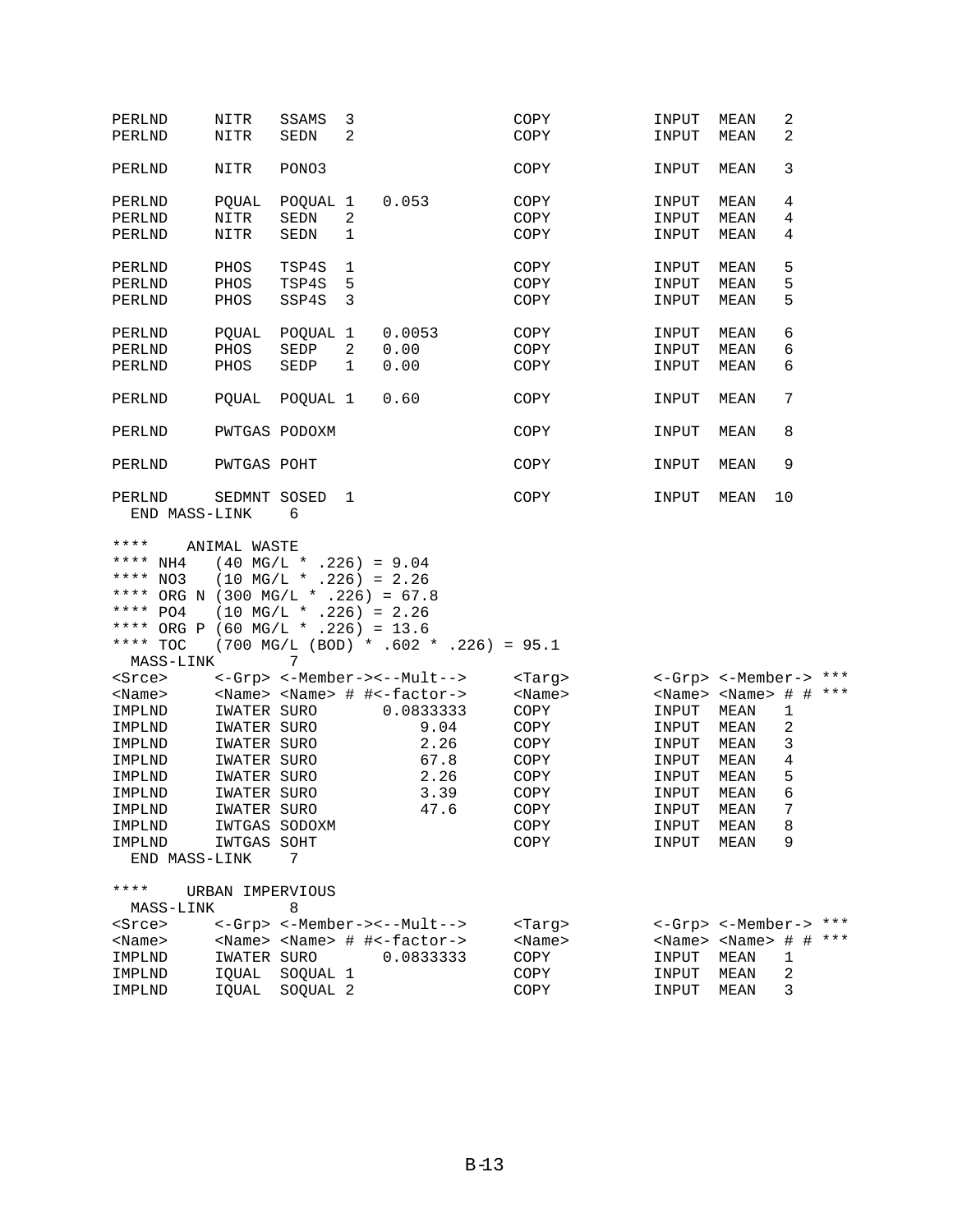| PERLND                                                                                                                                           | NITR             | SSAMS                                                                                                            | 3              |                                                 | COPY          | INPUT                               | MEAN | 2          |  |
|--------------------------------------------------------------------------------------------------------------------------------------------------|------------------|------------------------------------------------------------------------------------------------------------------|----------------|-------------------------------------------------|---------------|-------------------------------------|------|------------|--|
| PERLND                                                                                                                                           | NITR             | <b>SEDN</b>                                                                                                      | $\overline{2}$ |                                                 | COPY          | INPUT                               | MEAN | 2          |  |
| PERLND                                                                                                                                           | NITR             | PONO3                                                                                                            |                |                                                 | COPY          | INPUT                               | MEAN | 3          |  |
| PERLND                                                                                                                                           | POUAL            | POOUAL 1                                                                                                         |                | 0.053                                           | COPY          | INPUT                               | MEAN | 4          |  |
| PERLND                                                                                                                                           | NITR             | SEDN                                                                                                             | 2              |                                                 | COPY          | INPUT                               | MEAN | 4          |  |
| PERLND                                                                                                                                           | NITR             | SEDN                                                                                                             | 1              |                                                 | COPY          | INPUT                               | MEAN | 4          |  |
| PERLND                                                                                                                                           | PHOS             | TSP4S                                                                                                            | 1              |                                                 | COPY          | INPUT                               | MEAN | 5          |  |
| PERLND                                                                                                                                           | PHOS             | TSP4S                                                                                                            | 5              |                                                 | COPY          | INPUT                               | MEAN | 5          |  |
| PERLND                                                                                                                                           | PHOS             | SSP4S                                                                                                            | 3              |                                                 | COPY          | INPUT                               | MEAN | 5          |  |
|                                                                                                                                                  |                  |                                                                                                                  |                |                                                 |               |                                     |      |            |  |
| PERLND                                                                                                                                           | POUAL            | POQUAL 1                                                                                                         |                | 0.0053                                          | COPY          | INPUT                               | MEAN | 6          |  |
| PERLND                                                                                                                                           | PHOS             | SEDP                                                                                                             | 2              | 0.00                                            | COPY          | INPUT                               | MEAN | 6          |  |
| PERLND                                                                                                                                           | PHOS             | SEDP                                                                                                             | 1              | 0.00                                            | COPY          | INPUT                               | MEAN | 6          |  |
| PERLND                                                                                                                                           | <b>POUAL</b>     | POQUAL 1                                                                                                         |                | 0.60                                            | COPY          | INPUT                               | MEAN | 7          |  |
| PERLND                                                                                                                                           |                  | PWTGAS PODOXM                                                                                                    |                |                                                 | COPY          | INPUT                               | MEAN | 8          |  |
| PERLND                                                                                                                                           | PWTGAS POHT      |                                                                                                                  |                |                                                 | COPY          | INPUT                               | MEAN | 9          |  |
| PERLND<br>END MASS-LINK                                                                                                                          | SEDMNT SOSED     | 6                                                                                                                | 1              |                                                 | COPY          | INPUT                               | MEAN | 10         |  |
| ****<br>**** NH4<br>**** NO3<br>**** ORG N (300 MG/L * .226) = 67.8<br>**** $PO4$<br>**** ORG P (60 MG/L * .226) = 13.6<br>**** TOC<br>MASS-LINK | ANIMAL WASTE     | $(40 \text{ MG/L} * .226) = 9.04$<br>$(10 \text{ MG/L} * .226) = 2.26$<br>$(10 \text{ MG/L} * .226) = 2.26$<br>7 |                | $(700 \text{ MG/L} (BOD) * .602 * .226) = 95.1$ |               |                                     |      |            |  |
| <srce></srce>                                                                                                                                    |                  |                                                                                                                  |                | <-Grp> <-Member-><--Mult-->                     | <targ></targ> | <-Grp> <-Member-> ***               |      |            |  |
| $<$ Name $>$                                                                                                                                     |                  |                                                                                                                  |                | <name> <name> # #&lt;-factor-&gt;</name></name> | $<$ Name $>$  | <name> <name> # # ***</name></name> |      |            |  |
| IMPLND                                                                                                                                           | IWATER SURO      |                                                                                                                  |                | 0.0833333                                       | COPY          | INPUT                               | MEAN | 1          |  |
| IMPLND                                                                                                                                           | IWATER SURO      |                                                                                                                  |                | 9.04                                            | COPY          | INPUT                               | MEAN | $\sqrt{2}$ |  |
| IMPLND                                                                                                                                           | IWATER SURO      |                                                                                                                  |                | 2.26                                            | COPY          | INPUT                               | MEAN | 3          |  |
| IMPLND                                                                                                                                           | IWATER SURO      |                                                                                                                  |                | 67.8                                            | COPY          | INPUT                               | MEAN | 4          |  |
| IMPLND                                                                                                                                           | IWATER SURO      |                                                                                                                  |                | 2.26                                            | COPY          | INPUT                               | MEAN | 5          |  |
| IMPLND                                                                                                                                           | IWATER SURO      |                                                                                                                  |                | 3.39                                            | COPY          | INPUT                               | MEAN | 6          |  |
|                                                                                                                                                  |                  |                                                                                                                  |                |                                                 |               |                                     |      | 7          |  |
| IMPLND                                                                                                                                           | IWATER SURO      |                                                                                                                  |                | 47.6                                            | COPY          | INPUT                               | MEAN |            |  |
| IMPLND                                                                                                                                           |                  | IWTGAS SODOXM                                                                                                    |                |                                                 | COPY          | INPUT                               | MEAN | 8          |  |
| IMPLND<br>END MASS-LINK                                                                                                                          | IWTGAS SOHT      | 7                                                                                                                |                |                                                 | COPY          | INPUT                               | MEAN | 9          |  |
|                                                                                                                                                  |                  |                                                                                                                  |                |                                                 |               |                                     |      |            |  |
| ****                                                                                                                                             | URBAN IMPERVIOUS |                                                                                                                  |                |                                                 |               |                                     |      |            |  |
| MASS-LINK                                                                                                                                        |                  | 8                                                                                                                |                |                                                 |               |                                     |      |            |  |
| <srce></srce>                                                                                                                                    |                  |                                                                                                                  |                | <-Grp> <-Member-><--Mult-->                     | <targ></targ> | <-Grp> <-Member-> ***               |      |            |  |
| <name></name>                                                                                                                                    |                  |                                                                                                                  |                | <name> <name> # #&lt;-factor-&gt;</name></name> | $<$ Name $>$  | <name> <name> # # ***</name></name> |      |            |  |
| IMPLND                                                                                                                                           | IWATER SURO      |                                                                                                                  |                | 0.0833333                                       | COPY          | INPUT                               | MEAN | 1          |  |
| IMPLND                                                                                                                                           | IQUAL            | SOQUAL 1                                                                                                         |                |                                                 | COPY          | INPUT                               | MEAN | 2          |  |
| IMPLND                                                                                                                                           | IQUAL            | SOQUAL 2                                                                                                         |                |                                                 | COPY          | INPUT                               | MEAN | 3          |  |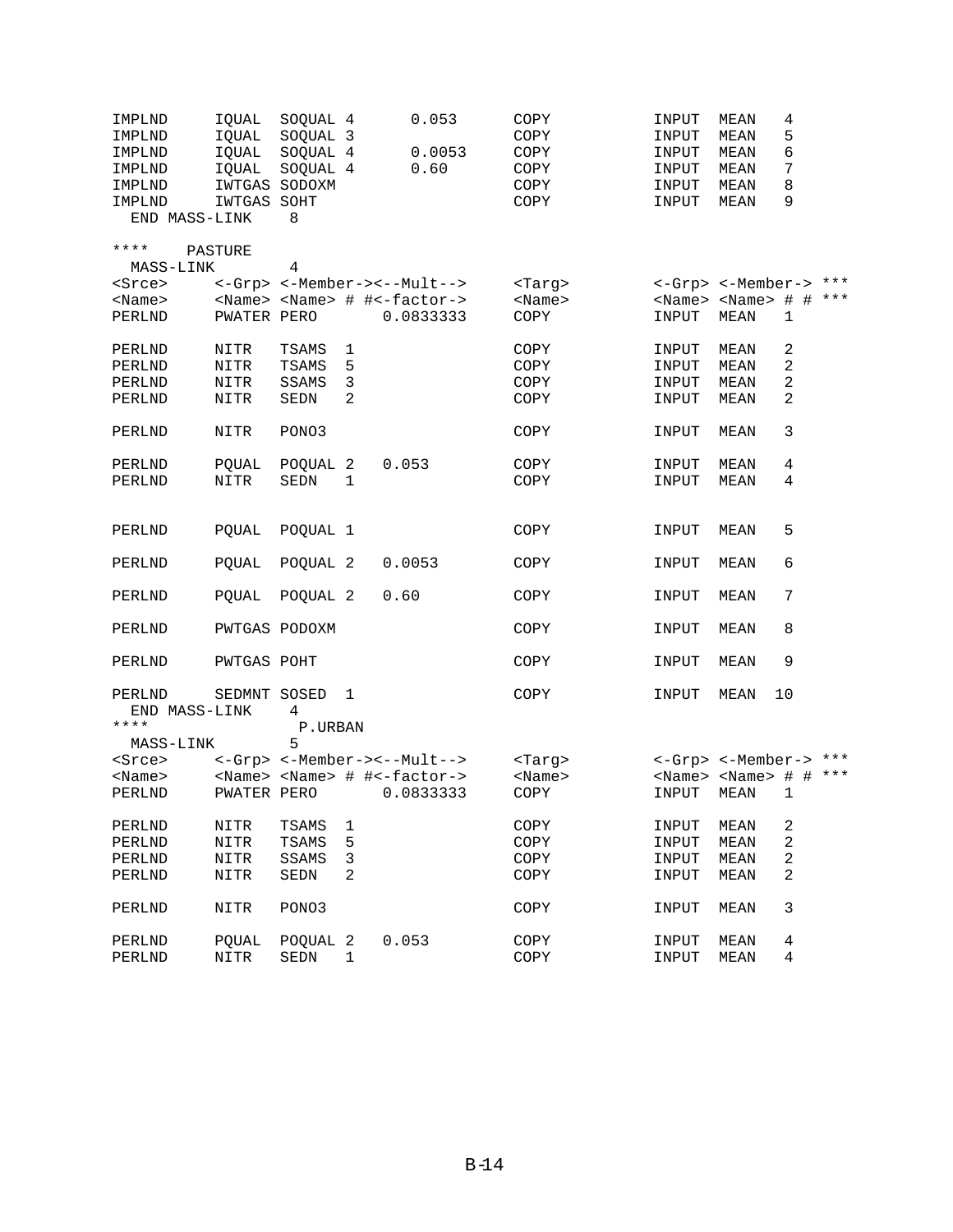| IMPLND                  | IQUAL         | SOQUAL 4    |                | 0.053                                           | COPY          | INPUT | MEAN                                | 4            |  |
|-------------------------|---------------|-------------|----------------|-------------------------------------------------|---------------|-------|-------------------------------------|--------------|--|
| IMPLND                  | IQUAL         | SOQUAL 3    |                |                                                 | COPY          | INPUT | <b>MEAN</b>                         | 5            |  |
| IMPLND                  | IQUAL         | SOQUAL 4    |                | 0.0053                                          | COPY          | INPUT | MEAN                                | б            |  |
| IMPLND                  | IOUAL         | SOQUAL 4    |                | 0.60                                            | COPY          | INPUT | MEAN                                | 7            |  |
| IMPLND                  | IWTGAS SODOXM |             |                |                                                 | COPY          | INPUT | MEAN                                | 8            |  |
| IMPLND                  | IWTGAS SOHT   |             |                |                                                 | COPY          | INPUT | MEAN                                | 9            |  |
| END MASS-LINK           |               | 8           |                |                                                 |               |       |                                     |              |  |
| ****                    | PASTURE       |             |                |                                                 |               |       |                                     |              |  |
| MASS-LINK               |               | 4           |                |                                                 |               |       |                                     |              |  |
| <srce></srce>           |               |             |                | <-Grp> <-Member-><--Mult-->                     | <tarq></tarq> |       | <-Grp> <-Member-> ***               |              |  |
| $<$ Name $>$            |               |             |                | <name> <name> # #&lt;-factor-&gt;</name></name> | $<$ Name $>$  |       | <name> <name> # # ***</name></name> |              |  |
| PERLND                  | PWATER PERO   |             |                | 0.0833333                                       | COPY          | INPUT | MEAN                                | $\mathbf 1$  |  |
| PERLND                  | NITR          | TSAMS       | 1              |                                                 | COPY          | INPUT | MEAN                                | 2            |  |
| PERLND                  | NITR          | TSAMS       | 5              |                                                 | COPY          | INPUT | MEAN                                | 2            |  |
| PERLND                  | NITR          | SSAMS       | 3              |                                                 | COPY          | INPUT | MEAN                                | 2            |  |
| PERLND                  | NITR          | SEDN        | $\overline{2}$ |                                                 | COPY          | INPUT | MEAN                                | $\sqrt{2}$   |  |
| PERLND                  | NITR          | PONO3       |                |                                                 | COPY          | INPUT | MEAN                                | 3            |  |
| PERLND                  | PQUAL         | POQUAL 2    |                | 0.053                                           | COPY          | INPUT | MEAN                                | 4            |  |
| PERLND                  | NITR          | SEDN        | 1              |                                                 | COPY          | INPUT | MEAN                                | 4            |  |
|                         |               |             |                |                                                 |               |       |                                     |              |  |
| PERLND                  | POUAL         | POQUAL 1    |                |                                                 | COPY          | INPUT | MEAN                                | 5            |  |
| PERLND                  | POUAL         | POQUAL 2    |                | 0.0053                                          | COPY          | INPUT | MEAN                                | 6            |  |
| PERLND                  | POUAL         | POQUAL 2    |                | 0.60                                            | COPY          | INPUT | MEAN                                | 7            |  |
| PERLND                  | PWTGAS PODOXM |             |                |                                                 | COPY          | INPUT | MEAN                                | 8            |  |
| PERLND                  | PWTGAS POHT   |             |                |                                                 | COPY          | INPUT | MEAN                                | 9            |  |
| PERLND<br>END MASS-LINK | SEDMNT SOSED  | 4           | 1              |                                                 | COPY          | INPUT | MEAN                                | 10           |  |
| ****                    |               | P.URBAN     |                |                                                 |               |       |                                     |              |  |
| MASS-LINK               |               | 5           |                |                                                 |               |       |                                     |              |  |
| <srce></srce>           |               |             |                | <-Grp> <-Member-><--Mult-->                     | <targ></targ> |       | <-Grp> <-Member-> ***               |              |  |
| $<$ Name $>$            |               |             |                | <name> <name> # #&lt;-factor-&gt;</name></name> | $<$ Name $>$  |       | <name> <name> # # ***</name></name> |              |  |
| PERLND                  | PWATER PERO   |             |                | 0.0833333                                       | COPY          | INPUT | <b>MEAN</b>                         | $\mathbf{1}$ |  |
| PERLND                  | NITR          | TSAMS       | 1              |                                                 | COPY          | INPUT | MEAN                                | 2            |  |
| PERLND                  | NITR          | TSAMS       | 5              |                                                 | COPY          | INPUT | MEAN                                | $\sqrt{2}$   |  |
| PERLND                  | NITR          | SSAMS       | 3              |                                                 | COPY          | INPUT | <b>MEAN</b>                         | $\sqrt{2}$   |  |
| PERLND                  | NITR          | <b>SEDN</b> | 2              |                                                 | COPY          | INPUT | MEAN                                | 2            |  |
| PERLND                  | NITR          | PONO3       |                |                                                 | COPY          | INPUT | MEAN                                | 3            |  |
| PERLND                  | PQUAL         | POQUAL 2    |                | 0.053                                           | COPY          | INPUT | MEAN                                | 4            |  |
| PERLND                  | NITR          | SEDN        | $\mathbf 1$    |                                                 | COPY          | INPUT | MEAN                                | 4            |  |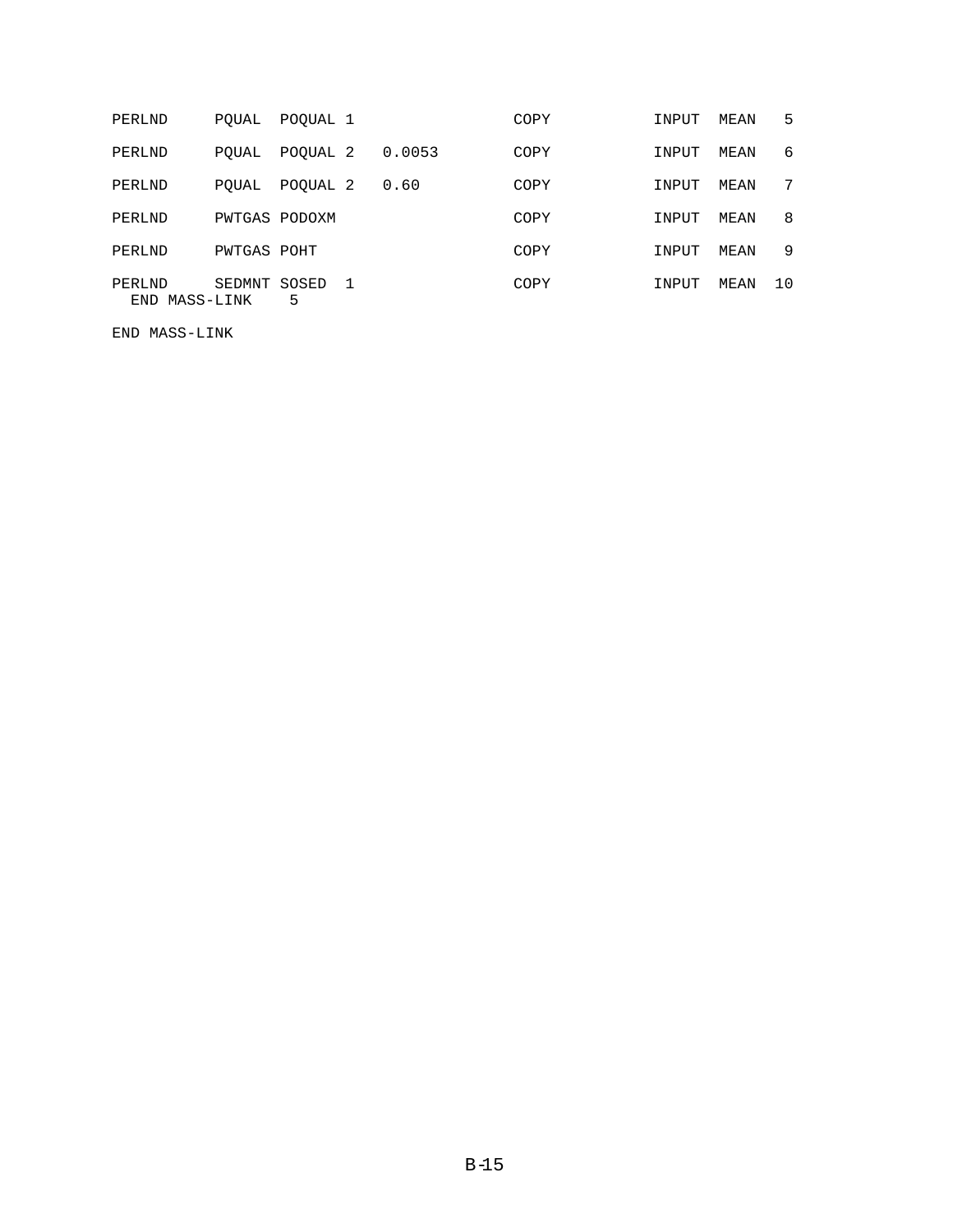| PERLND |               | PQUAL         | POQUAL 1   |    |        | COPY | INPUT | MEAN | 5  |
|--------|---------------|---------------|------------|----|--------|------|-------|------|----|
| PERLND |               | POUAL         | POQUAL 2   |    | 0.0053 | COPY | INPUT | MEAN | 6  |
| PERLND |               | POUAL         | POQUAL 2   |    | 0.60   | COPY | INPUT | MEAN | 7  |
| PERLND |               | PWTGAS PODOXM |            |    |        | COPY | INPUT | MEAN | 8  |
| PERLND |               | PWTGAS POHT   |            |    |        | COPY | INPUT | MEAN | 9  |
| PERLND | END MASS-LINK | SEDMNT        | SOSED<br>5 | -1 |        | COPY | INPUT | MEAN | 10 |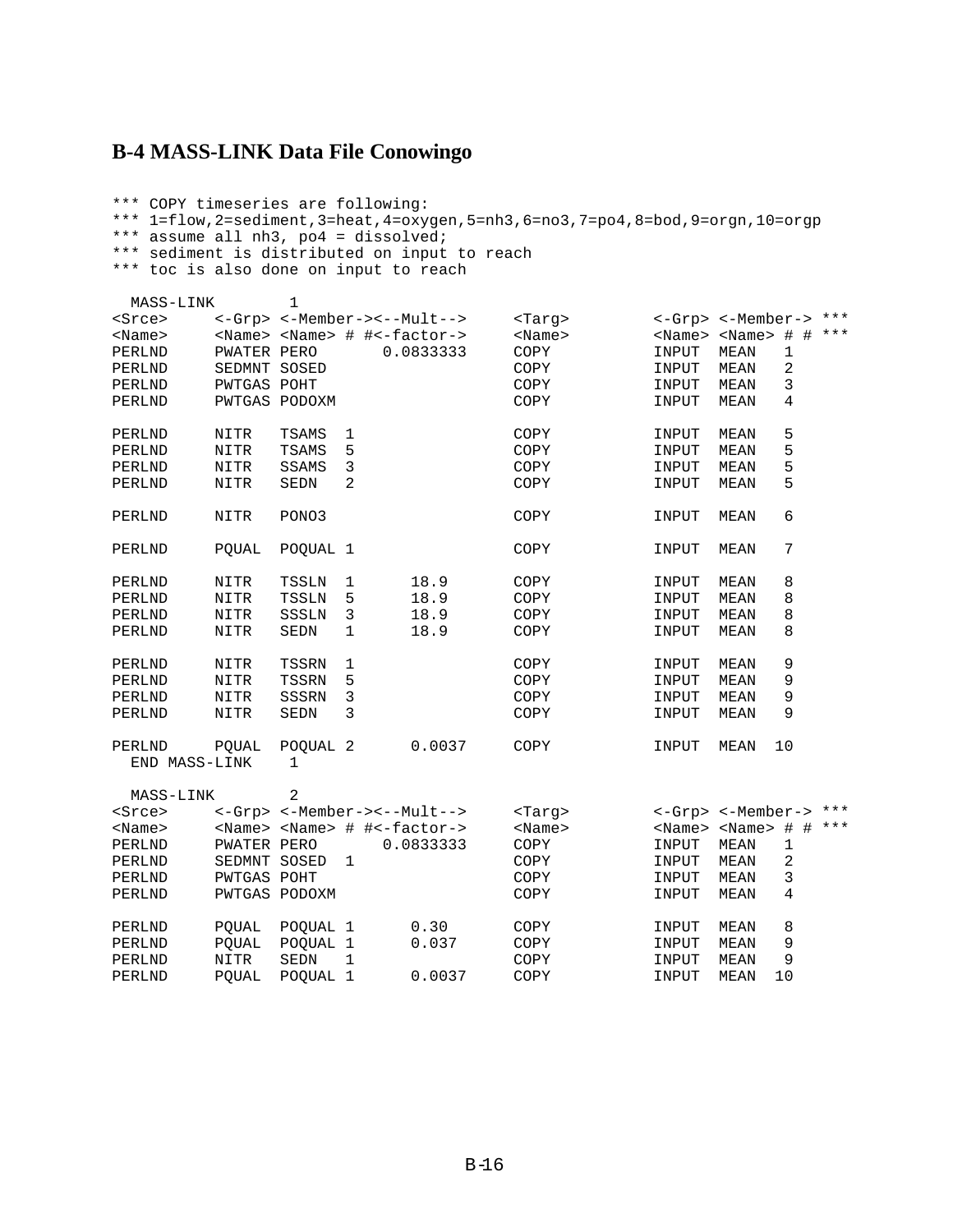#### **B-4 MASS-LINK Data File Conowingo**

END MASS-LINK 1

```
*** COPY timeseries are following:
*** 1=flow,2=sediment,3=heat,4=oxygen,5=nh3,6=no3,7=po4,8=bod,9=orgn,10=orgp
*** assume all nh3, po4 = dissolved;
*** sediment is distributed on input to reach
*** toc is also done on input to reach
 MASS-LINK 1
<Srce> <-Grp> <-Member-><--Mult--> <Targ> <-Grp> <-Member-> ***<br>
<Name> <Name> <Name> <Name> + #<-factor-> <Name> <Name> <Name> + # ***
<Name> <Name> <Name> # #<-factor-> <Name> <Name> <Name> # # ***
PERLND PWATER PERO 0.0833333 COPY INPUT MEAN 1
PERLND SEDMNT SOSED COPY INPUT MEAN 2
PERLND PWTGAS POHT COPY INPUT MEAN 3
PERLND PWTGAS PODOXM COPY TINPUT MEAN 4
PERLND NITR TSAMS 1 COPY TINPUT MEAN 5<br>PERLND NITR TSAMS 5 COPY TINPUT MEAN 5
\begin{tabular}{lcccccc} PERLND & NITR & TSAMS & 1 & & & \text{COPY} & & & \text{input} & MEAN & 5 \\ \text{PERLND} & NITR & TSAMS & 5 & & & \text{COPY} & & & \text{input} & MEAN & 5 \\ \text{PERLND} & NITR & SSAMS & 3 & & & \text{COPY} & & & \text{input} & MEAN & 5 \\ \end{tabular}PERLND NITR SSAMS 3 COPY INPUT MEAN 5<br>PERLND NITR SEDN 2 COPY INPUT MEAN 5
                                                         INPUT MEAN 5
PERLND NITR PONO3 COPY INPUT MEAN 6
PERLND PQUAL POQUAL 1 COPY INPUT MEAN 7
PERLND NITR TSSLN 1 18.9 COPY INPUT MEAN 8<br>PERLND NITR TSSLN 5 18.9 COPY INPUT MEAN 8
PERLND NITR TSSLN 5 18.9 COPY INPUT MEAN 8<br>PERLND NITR SSSLN 3 18.9 COPY INPUT MEAN 8
PERLND NITR SSSLN 3 18.9 COPY INPUT MEAN 8<br>PERLND NITR SEDN 1 18.9 COPY INPUT MEAN 8
PERLND NITR SEDN 1 18.9 COPY INPUT MEAN 8
PERLND NITR TSSRN 1 COPY INPUT MEAN 9
PERLND NITR TSSRN 5 COPY INPUT MEAN 9
PERLND NITR SSSRN 3 COPY INPUT MEAN 9<br>PERLND NITR SEDN 3 COPY INPUT MEAN 9
                                                        INPUT MEAN
PERLND PQUAL POQUAL 2 0.0037 COPY INPUT MEAN 10
```

| MASS-LINK     |               | 2                   |                             |           |               |                   |              |        |     |
|---------------|---------------|---------------------|-----------------------------|-----------|---------------|-------------------|--------------|--------|-----|
| <srce></srce> | <-Grp>        |                     | <-Member-><--Mult-->        |           | <tarq></tarq> | $\texttt{<-Grp>}$ | <-Member->   |        | *** |
| $<$ Name $>$  | $<$ Name $>$  |                     | $<$ Name> # # < - factor -> |           | $<$ Name $>$  | $<$ Name $>$      | $<$ Name $>$ | #<br># | *** |
| PERLND        | PWATER        | PERO                |                             | 0.0833333 | COPY          | INPUT             | MEAN         | 1      |     |
| PERLND        | SEDMNT        | SOSED               |                             |           | COPY          | INPUT             | MEAN         | 2      |     |
| PERLND        | PWTGAS POHT   |                     |                             |           | COPY          | INPUT             | MEAN         | 3      |     |
| PERLND        | PWTGAS PODOXM |                     |                             |           | COPY          | INPUT             | MEAN         | 4      |     |
|               |               |                     |                             |           |               |                   |              |        |     |
| PERLND        | POUAL         | POOUAL <sub>1</sub> |                             | 0.30      | COPY          | INPUT             | MEAN         | 8      |     |
| PERLND        | POUAL         | POOUAL <sub>1</sub> |                             | 0.037     | COPY          | INPUT             | MEAN         | 9      |     |
| PERLND        | NITR          | <b>SEDN</b>         |                             |           | COPY          | INPUT             | MEAN         | 9      |     |
| PERLND        | POUAL         | POOUAL 1            |                             | 0.0037    | COPY          | INPUT             | MEAN         | 10     |     |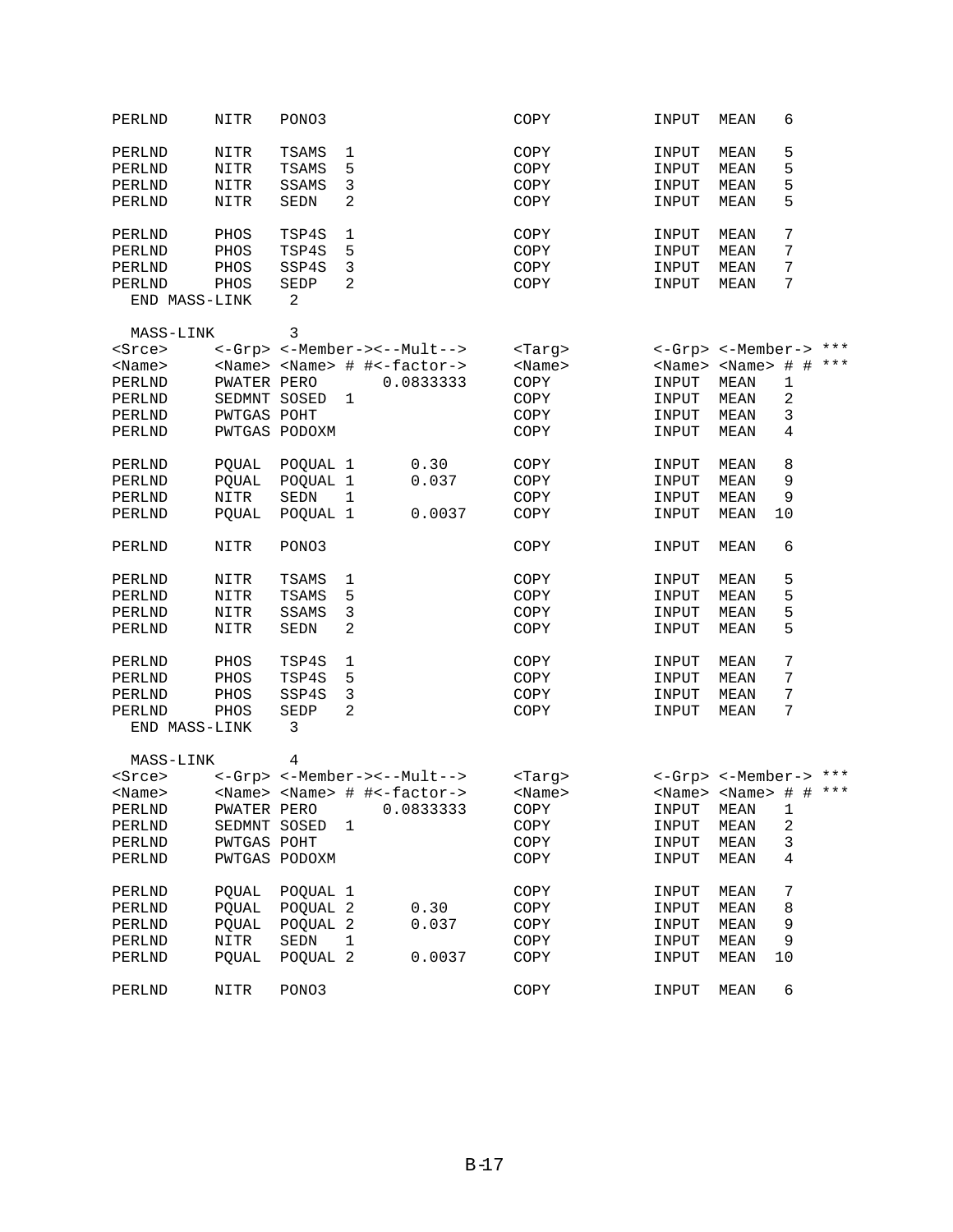| PERLND        | NITR          | PONO3          |                                                 | COPY          | INPUT | 6<br>MEAN                           |  |
|---------------|---------------|----------------|-------------------------------------------------|---------------|-------|-------------------------------------|--|
| PERLND        | NITR          | TSAMS          | 1                                               | COPY          | INPUT | 5<br>MEAN                           |  |
| PERLND        | NITR          | TSAMS          | 5                                               | COPY          | INPUT | 5<br>MEAN                           |  |
| PERLND        | NITR          | SSAMS          | 3                                               | COPY          | INPUT | 5<br>MEAN                           |  |
| PERLND        | NITR          | SEDN           | 2                                               | COPY          | INPUT | 5<br>MEAN                           |  |
|               |               |                |                                                 |               |       |                                     |  |
| PERLND        | PHOS          | TSP4S          | 1                                               | COPY          | INPUT | 7<br>MEAN                           |  |
| PERLND        | PHOS          | TSP4S          | 5                                               | COPY          | INPUT | 7<br>MEAN                           |  |
| PERLND        | PHOS          | SSP4S          | 3                                               | COPY          | INPUT | 7<br>MEAN                           |  |
| PERLND        | PHOS          | <b>SEDP</b>    | 2                                               | COPY          | INPUT | 7<br>MEAN                           |  |
| END MASS-LINK |               | 2              |                                                 |               |       |                                     |  |
| MASS-LINK     |               | 3              |                                                 |               |       |                                     |  |
|               |               |                | <-Grp> <-Member-><--Mult-->                     |               |       | <-Grp> <-Member-> ***               |  |
| <srce></srce> |               |                |                                                 | <targ></targ> |       |                                     |  |
| $<$ Name $>$  |               |                | <name> <name> # #&lt;-factor-&gt;</name></name> | $<$ Name $>$  |       | <name> <name> # # ***</name></name> |  |
| PERLND        | PWATER PERO   |                | 0.0833333                                       | COPY          | INPUT | MEAN<br>$\mathbf 1$                 |  |
| PERLND        | SEDMNT SOSED  |                | 1                                               | COPY          | INPUT | 2<br>MEAN                           |  |
| PERLND        | PWTGAS POHT   |                |                                                 | COPY          | INPUT | 3<br>MEAN                           |  |
| PERLND        | PWTGAS PODOXM |                |                                                 | COPY          | INPUT | MEAN<br>4                           |  |
| PERLND        | PQUAL         | POQUAL 1       | 0.30                                            | COPY          | INPUT | 8<br>MEAN                           |  |
|               |               |                |                                                 |               |       |                                     |  |
| PERLND        | PQUAL         | POQUAL 1       | 0.037                                           | COPY          | INPUT | 9<br>MEAN                           |  |
| PERLND        | <b>NITR</b>   | <b>SEDN</b>    | 1                                               | COPY          | INPUT | MEAN<br>9                           |  |
| PERLND        | PQUAL         | POQUAL 1       | 0.0037                                          | COPY          | INPUT | MEAN<br>10                          |  |
| PERLND        | NITR          | PONO3          |                                                 | COPY          | INPUT | 6<br>MEAN                           |  |
| PERLND        | NITR          | TSAMS          | 1                                               | COPY          | INPUT | 5<br>MEAN                           |  |
| PERLND        | NITR          | TSAMS          | 5                                               | COPY          | INPUT | 5<br>MEAN                           |  |
| PERLND        | NITR          | SSAMS          | 3                                               | COPY          | INPUT | 5<br>MEAN                           |  |
|               |               |                | 2                                               |               |       | 5                                   |  |
| PERLND        | NITR          | SEDN           |                                                 | COPY          | INPUT | MEAN                                |  |
| PERLND        | PHOS          | TSP4S          | $\mathbf 1$                                     | COPY          | INPUT | 7<br>MEAN                           |  |
| PERLND        | PHOS          | TSP4S          | 5                                               | COPY          | INPUT | 7<br>MEAN                           |  |
| PERLND        | PHOS          | SSP4S          | 3                                               | COPY          | INPUT | 7<br>MEAN                           |  |
| PERLND        | PHOS          | SEDP           | 2                                               | COPY          | INPUT | 7<br>MEAN                           |  |
| END MASS-LINK |               | 3              |                                                 |               |       |                                     |  |
| MASS-LINK     |               | 4              |                                                 |               |       |                                     |  |
| <srce></srce> |               |                | <-Grp> <-Member-><--Mult-->                     | <targ></targ> |       | <-Grp> <-Member-> ***               |  |
|               |               |                |                                                 |               |       |                                     |  |
| $<$ Name $>$  |               |                | <name> <name> # #&lt;-factor-&gt;</name></name> | $<$ Name $>$  |       | <name> <name> # # ***</name></name> |  |
| PERLND        |               |                | PWATER PERO 0.0833333                           | COPY          |       | INPUT MEAN 1                        |  |
| PERLND        |               | SEDMNT SOSED 1 |                                                 | COPY          | INPUT | 2<br>MEAN                           |  |
| PERLND        | PWTGAS POHT   |                |                                                 | COPY          | INPUT | MEAN<br>3                           |  |
| PERLND        | PWTGAS PODOXM |                |                                                 | COPY          | INPUT | MEAN<br>4                           |  |
| PERLND        |               | POUAL POQUAL 1 |                                                 | COPY          | INPUT | 7<br>MEAN                           |  |
|               |               | PQUAL POQUAL 2 |                                                 |               |       | 8                                   |  |
| PERLND        |               |                | 0.30                                            | COPY          | INPUT | MEAN                                |  |
| PERLND        |               | PQUAL POQUAL 2 | 0.037                                           | COPY          | INPUT | 9<br>MEAN                           |  |
| PERLND        | NITR          | SEDN           | 1                                               | COPY          | INPUT | 9<br>MEAN                           |  |
| PERLND        | POUAL         | POQUAL 2       | 0.0037                                          | COPY          | INPUT | MEAN<br>10                          |  |
| PERLND        | NITR          | PONO3          |                                                 | COPY          | INPUT | 6<br>MEAN                           |  |
|               |               |                |                                                 |               |       |                                     |  |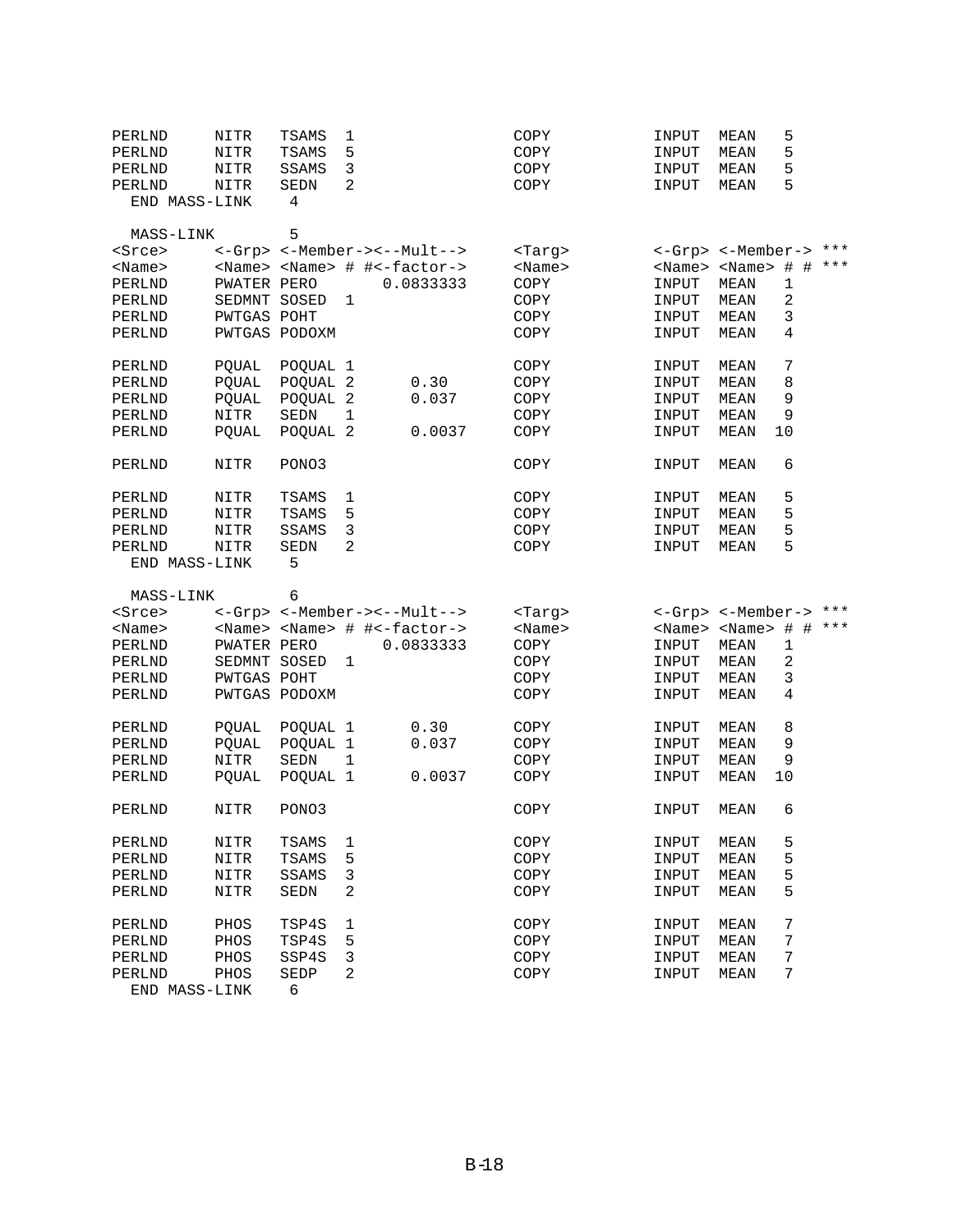| PERLND        | NITR         | TSAMS         | 1                                               | COPY          | INPUT | 5<br><b>MEAN</b>                    |   |
|---------------|--------------|---------------|-------------------------------------------------|---------------|-------|-------------------------------------|---|
| PERLND        | NITR         | TSAMS         | 5                                               | COPY          | INPUT | 5<br>MEAN                           |   |
| PERLND        | NITR         | SSAMS         | 3                                               | COPY          | INPUT | 5<br>MEAN                           |   |
| PERLND        | NITR         | SEDN          | 2                                               | COPY          | INPUT | 5<br>MEAN                           |   |
| END MASS-LINK |              | 4             |                                                 |               |       |                                     |   |
| MASS-LINK     |              | 5             |                                                 |               |       |                                     |   |
| <srce></srce> |              |               | <-Grp> <-Member-><--Mult-->                     | <targ></targ> |       | <-Grp> <-Member-> ***               |   |
| $<$ Name $>$  |              |               | <name> <name> # #&lt;-factor-&gt;</name></name> | $<$ Name $>$  |       | <name> <name> # # ***</name></name> |   |
| PERLND        | PWATER PERO  |               | 0.0833333                                       | COPY          | INPUT | <b>MEAN</b><br>$\mathbf{1}$         |   |
| PERLND        | SEDMNT SOSED |               | $\mathbf{1}$                                    | COPY          | INPUT | 2<br>MEAN                           |   |
| PERLND        | PWTGAS POHT  |               |                                                 | COPY          | INPUT | $\mathsf 3$<br>MEAN                 |   |
| PERLND        |              | PWTGAS PODOXM |                                                 | COPY          | INPUT | 4<br>MEAN                           |   |
| PERLND        | POUAL        | POQUAL 1      |                                                 | COPY          | INPUT | 7<br>MEAN                           |   |
| PERLND        | PQUAL        | POQUAL 2      | 0.30                                            | COPY          | INPUT | 8<br>MEAN                           |   |
| PERLND        | PQUAL        | POQUAL 2      | 0.037                                           | COPY          | INPUT | 9<br>MEAN                           |   |
| PERLND        | NITR         | <b>SEDN</b>   | $\mathbf{1}$                                    | COPY          | INPUT | 9<br>MEAN                           |   |
| PERLND        | POUAL        | POQUAL 2      | 0.0037                                          | COPY          | INPUT | 10<br>MEAN                          |   |
| PERLND        | NITR         | PONO3         |                                                 | COPY          | INPUT | 6<br>MEAN                           |   |
| PERLND        | NITR         | TSAMS         | 1                                               | COPY          | INPUT | 5<br>MEAN                           |   |
| PERLND        | <b>NITR</b>  | TSAMS         | 5                                               | COPY          | INPUT | 5<br>MEAN                           |   |
| PERLND        | NITR         | SSAMS         | 3                                               | COPY          | INPUT | 5<br>MEAN                           |   |
| PERLND        | NITR         | SEDN          | 2                                               | COPY          | INPUT | 5<br>MEAN                           |   |
| END MASS-LINK |              | 5             |                                                 |               |       |                                     |   |
| MASS-LINK     |              | 6             |                                                 |               |       |                                     |   |
| <srce></srce> |              |               | <-Grp> <-Member-><--Mult-->                     | <targ></targ> |       | <-Grp> <-Member-> ***               |   |
| $<$ Name $>$  |              |               | <name> <name> # #&lt;-factor-&gt;</name></name> | $<$ Name $>$  |       | <name> <name> # # ***</name></name> |   |
| PERLND        | PWATER PERO  |               | 0.0833333                                       | COPY          | INPUT | MEAN                                | 1 |
| PERLND        | SEDMNT SOSED |               | 1                                               | COPY          | INPUT | 2<br>MEAN                           |   |
| PERLND        | PWTGAS POHT  |               |                                                 | COPY          | INPUT | 3<br>MEAN                           |   |
| PERLND        |              | PWTGAS PODOXM |                                                 | COPY          | INPUT | 4<br>MEAN                           |   |
| PERLND        | POUAL        | POQUAL 1      | 0.30                                            | COPY          | INPUT | 8<br>MEAN                           |   |
| PERLND        | PQUAL        | POQUAL 1      | 0.037                                           |               |       | MEAN                                | 9 |
| PERLND        |              |               |                                                 | COPY          | INPUT |                                     |   |
| PERLND        | NITR         | SEDN          | $\mathbf{1}$                                    | COPY          | INPUT | 9<br>MEAN                           |   |
|               | <b>POUAL</b> | POQUAL 1      | 0.0037                                          | COPY          | INPUT | 10<br>MEAN                          |   |
| PERLND        | NITR         | PONO3         |                                                 | COPY          | INPUT | 6<br>MEAN                           |   |
| PERLND        | NITR         | TSAMS         | 1                                               | COPY          | INPUT | 5<br>MEAN                           |   |
| PERLND        | NITR         | TSAMS         | 5                                               | COPY          | INPUT | 5<br><b>MEAN</b>                    |   |
| PERLND        | NITR         | SSAMS         | 3                                               | COPY          | INPUT | 5<br>MEAN                           |   |
| PERLND        | <b>NITR</b>  | SEDN          | 2                                               | COPY          | INPUT | 5<br>MEAN                           |   |
| PERLND        | PHOS         | TSP4S         | 1                                               | COPY          | INPUT | 7<br>MEAN                           |   |
| PERLND        | PHOS         | TSP4S         | 5                                               | COPY          | INPUT | 7<br>MEAN                           |   |
| PERLND        | PHOS         | SSP4S         | 3                                               | COPY          | INPUT | 7<br>MEAN                           |   |
| PERLND        | PHOS         | SEDP<br>6     | 2                                               | COPY          | INPUT | 7<br>MEAN                           |   |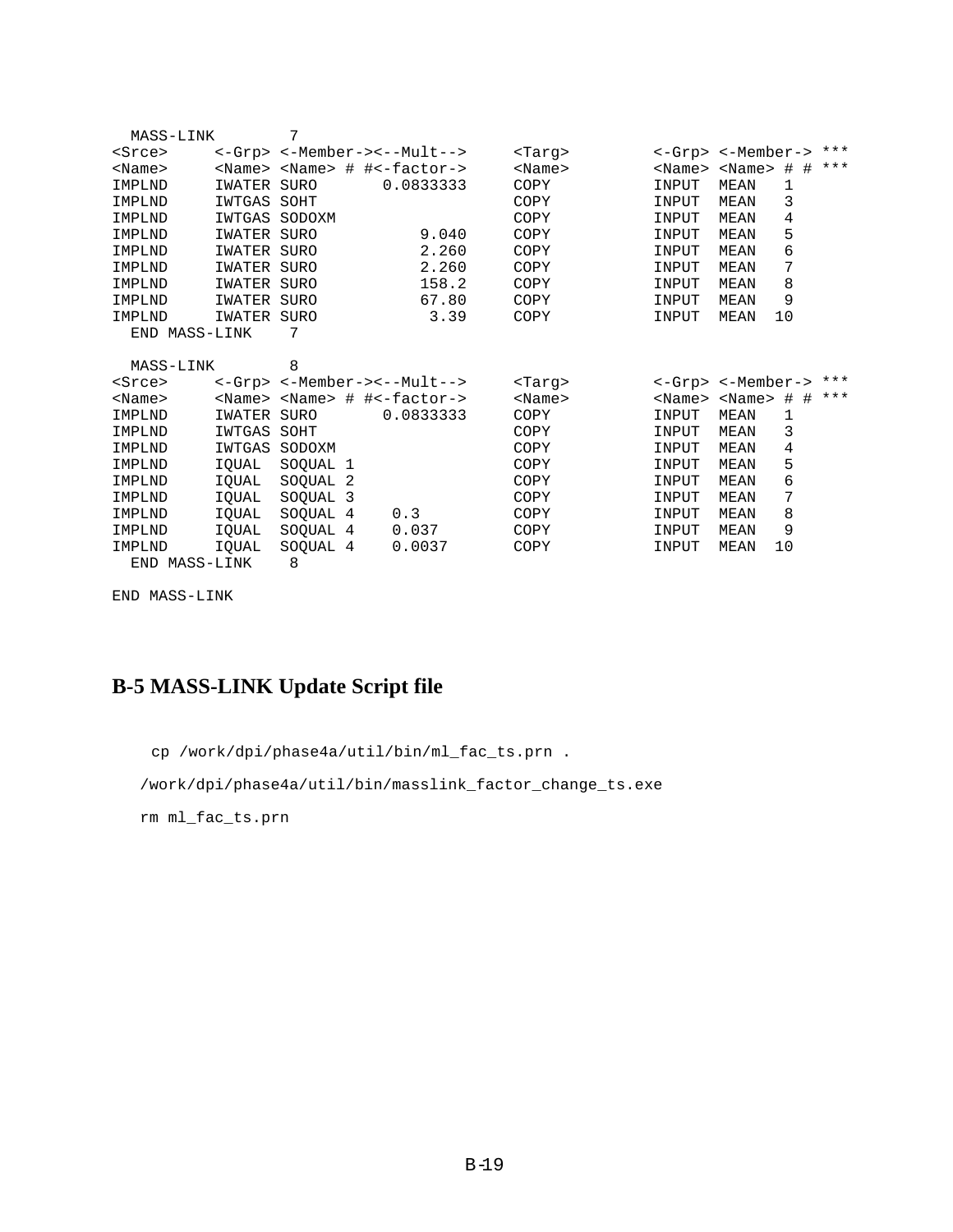| MASS-LINK     |             | 7           |                                                 |               |                             |             |       |       |
|---------------|-------------|-------------|-------------------------------------------------|---------------|-----------------------------|-------------|-------|-------|
| $s$ rce $>$   |             |             | <-Grp> <-Member-><--Mult-->                     | <tarq></tarq> | <-Grp> <-Member->           |             |       | $***$ |
| $<$ Name $>$  |             |             | <name> <name> # #&lt;-factor-&gt;</name></name> | $<$ Name $>$  | <name> <name></name></name> |             | $#$ # | $***$ |
| IMPLND        | IWATER SURO |             | 0.0833333                                       | COPY          | INPUT                       | <b>MEAN</b> | 1     |       |
| IMPLND        | IWTGAS SOHT |             |                                                 | COPY          | INPUT                       | MEAN        | 3     |       |
| IMPLND        | IWTGAS      | SODOXM      |                                                 | COPY          | INPUT                       | MEAN        | 4     |       |
| IMPLND        | IWATER      | SURO        | 9.040                                           | COPY          | INPUT                       | MEAN        | 5     |       |
| IMPLND        | IWATER SURO |             | 2.260                                           | COPY          | INPUT                       | <b>MEAN</b> | 6     |       |
| IMPLND        | IWATER SURO |             | 2.260                                           | COPY          | INPUT                       | MEAN        | 7     |       |
| IMPLND        | IWATER      | <b>SURO</b> | 158.2                                           | COPY          | INPUT                       | <b>MEAN</b> | 8     |       |
| IMPLND        | IWATER      | SURO        | 67.80                                           | COPY          | INPUT                       | MEAN        | 9     |       |
| IMPLND        | IWATER      | <b>SURO</b> | 3.39                                            | COPY          | INPUT                       | <b>MEAN</b> | 10    |       |
| END MASS-LINK |             | 7           |                                                 |               |                             |             |       |       |
| MASS-LINK     |             | 8           |                                                 |               |                             |             |       |       |
| $s$ rce $>$   |             |             | <-Grp> <-Member-><--Mult-->                     | <tarq></tarq> | <-Grp> <-Member->           |             |       | $***$ |
| $<$ Name $>$  |             |             | <name> <name> # #&lt;-factor-&gt;</name></name> | $<$ Name $>$  | <name> <name></name></name> |             | $#$ # | $***$ |
| IMPLND        | IWATER      | SURO        | 0.0833333                                       | COPY          | INPUT                       | MEAN        | 1     |       |
| IMPLND        | IWTGAS      | SOHT        |                                                 | COPY          | INPUT                       | MEAN        | 3     |       |
| IMPLND        | IWTGAS      | SODOXM      |                                                 | COPY          | INPUT                       | <b>MEAN</b> | 4     |       |
| IMPLND        | IOUAL       | SOOUAL 1    |                                                 | COPY          | INPUT                       | MEAN        | 5     |       |
| IMPLND        | IQUAL       | SOQUAL 2    |                                                 | COPY          | INPUT                       | MEAN        | 6     |       |
| IMPLND        | IQUAL       | SOQUAL 3    |                                                 | COPY          | INPUT                       | <b>MEAN</b> | 7     |       |
| IMPLND        | IQUAL       | SOQUAL 4    | 0.3                                             | COPY          | INPUT                       | <b>MEAN</b> | 8     |       |
| IMPLND        | IQUAL       | SOQUAL 4    | 0.037                                           | COPY          | INPUT                       | MEAN        | 9     |       |
| IMPLND        | IOUAL       | SOQUAL 4    | 0.0037                                          | COPY          | INPUT                       | <b>MEAN</b> | 10    |       |
| END MASS-LINK |             | 8           |                                                 |               |                             |             |       |       |

### **B-5 MASS-LINK Update Script file**

cp /work/dpi/phase4a/util/bin/ml\_fac\_ts.prn .

/work/dpi/phase4a/util/bin/masslink\_factor\_change\_ts.exe

rm ml\_fac\_ts.prn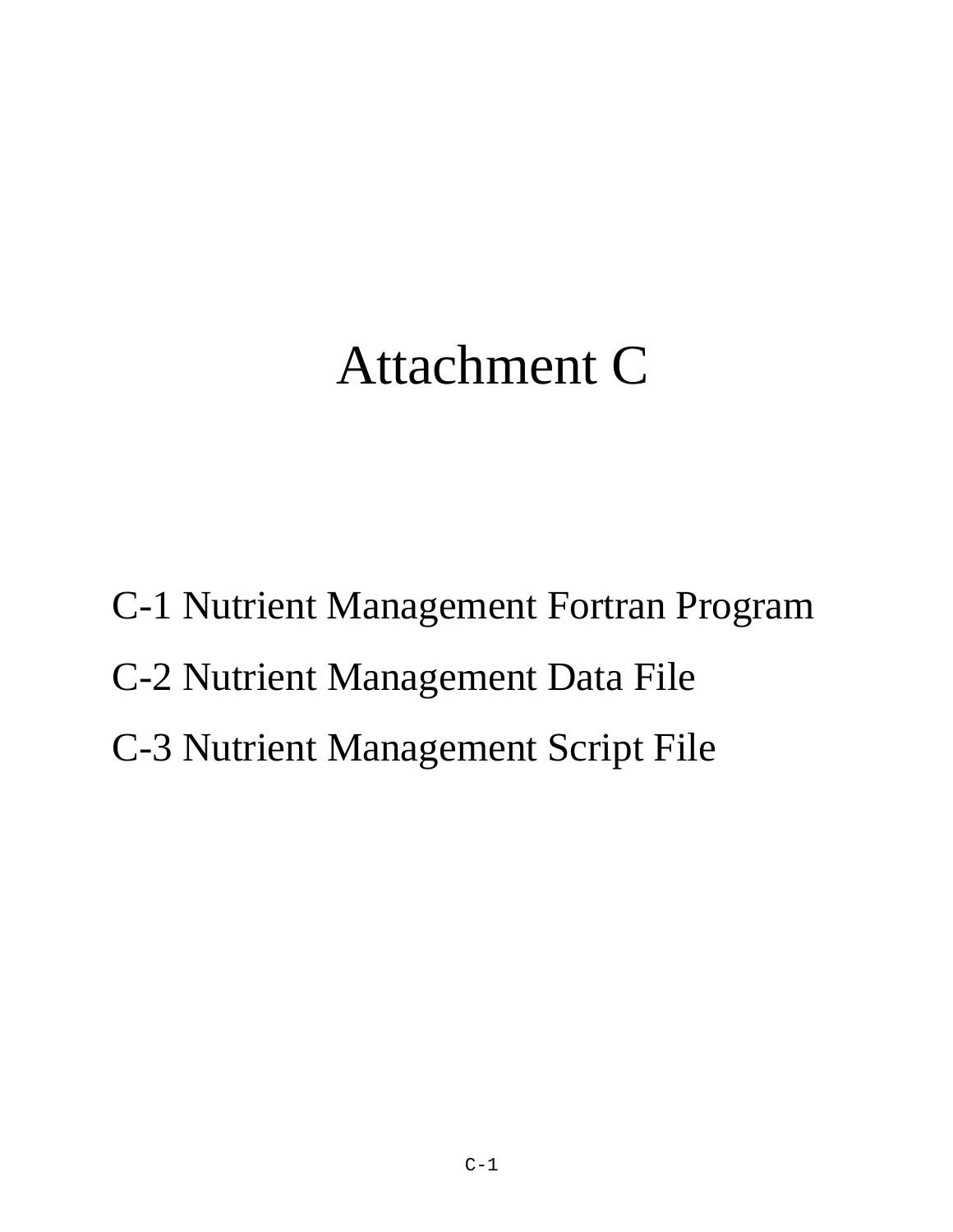# Attachment C

C-1 Nutrient Management Fortran Program C-2 Nutrient Management Data File C-3 Nutrient Management Script File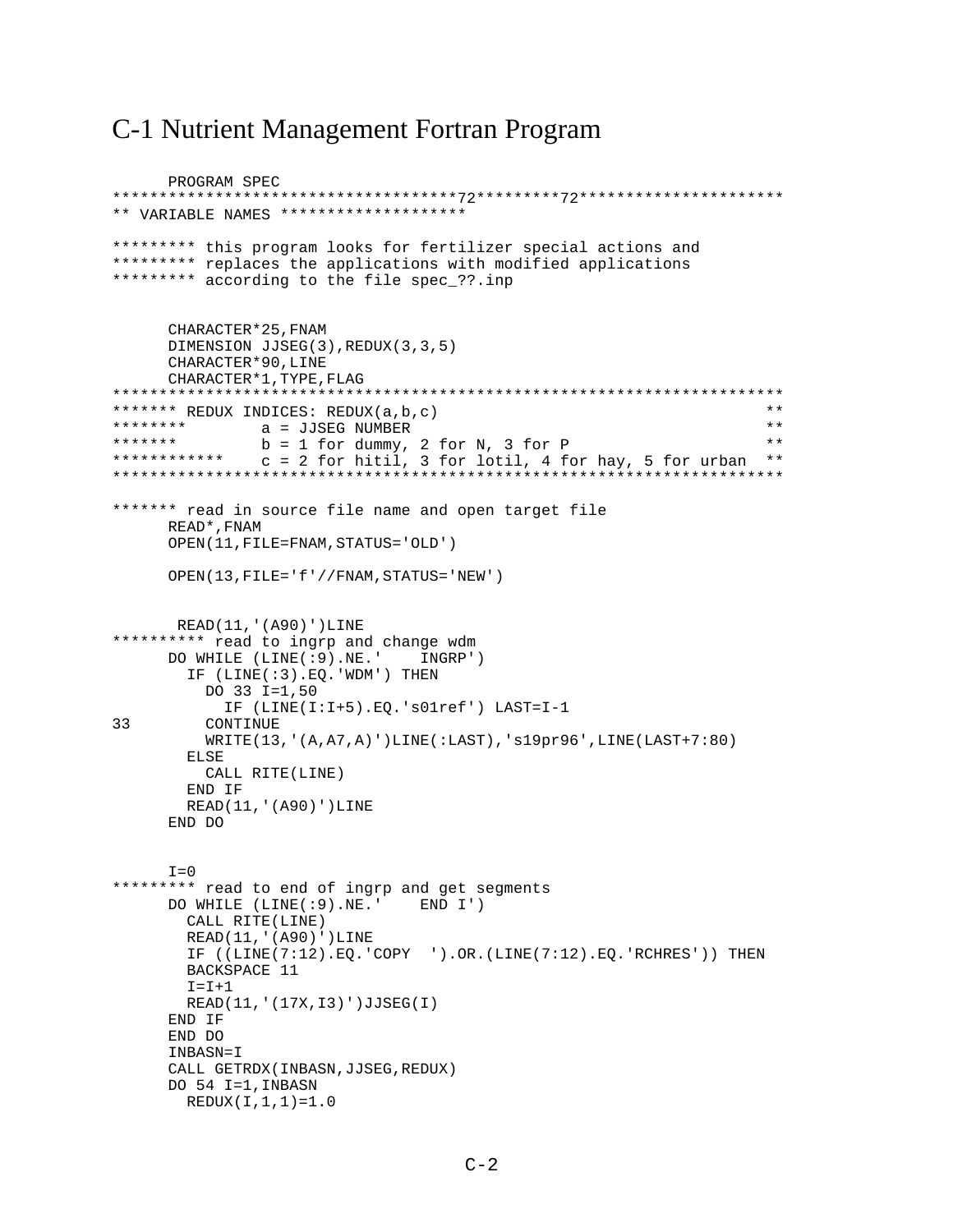### C-1 Nutrient Management Fortran Program

```
PROGRAM SPEC
*************************************72*********72**********************
** VARIABLE NAMES ********************
********* this program looks for fertilizer special actions and
********* replaces the applications with modified applications
********* according to the file spec_??.inp
      CHARACTER*25,FNAM 
      DIMENSION JJSEG(3),REDUX(3,3,5)
      CHARACTER*90,LINE
      CHARACTER*1,TYPE,FLAG
************************************************************************
******* REDUX INDICES: REDUX(a,b,c) ******** REDUX 1NDICES: REDUX(a,b,c) ***
******** a = JJSEG NUMBER **
******* b = 1 for dummy, 2 for N, 3 for P **
************ c = 2 for hitil, 3 for lotil, 4 for hay, 5 for urban **
************************************************************************
******* read in source file name and open target file
      READ*,FNAM
      OPEN(11,FILE=FNAM,STATUS='OLD')
      OPEN(13,FILE='f'//FNAM,STATUS='NEW')
       READ(11,'(A90)')LINE
********** read to ingrp and change wdm
      DO WHILE (LINE(:9).NE.' INGRP')
        IF (LINE(:3).EQ.'WDM') THEN
          DO 33 I=1,50
            IF (LINE(I:I+5).EQ.'s01ref') LAST=I-1
33 CONTINUE
          WRITE(13,'(A,A7,A)')LINE(:LAST),'s19pr96',LINE(LAST+7:80)
        ELSE
          CALL RITE(LINE)
        END IF
        READ(11,'(A90)')LINE
      END DO
     I=0********* read to end of ingrp and get segments
      DO WHILE (LINE(:9).NE.' END I')
        CALL RITE(LINE)
        READ(11,'(A90)')LINE
        IF ((LINE(7:12).EQ.'COPY ').OR.(LINE(7:12).EQ.'RCHRES')) THEN
        BACKSPACE 11
       T = T + 1 READ(11,'(17X,I3)')JJSEG(I)
     END IF
      END DO
      INBASN=I
      CALL GETRDX(INBASN,JJSEG,REDUX)
      DO 54 I=1,INBASN
        REDUX(I,1,1)=1.0
```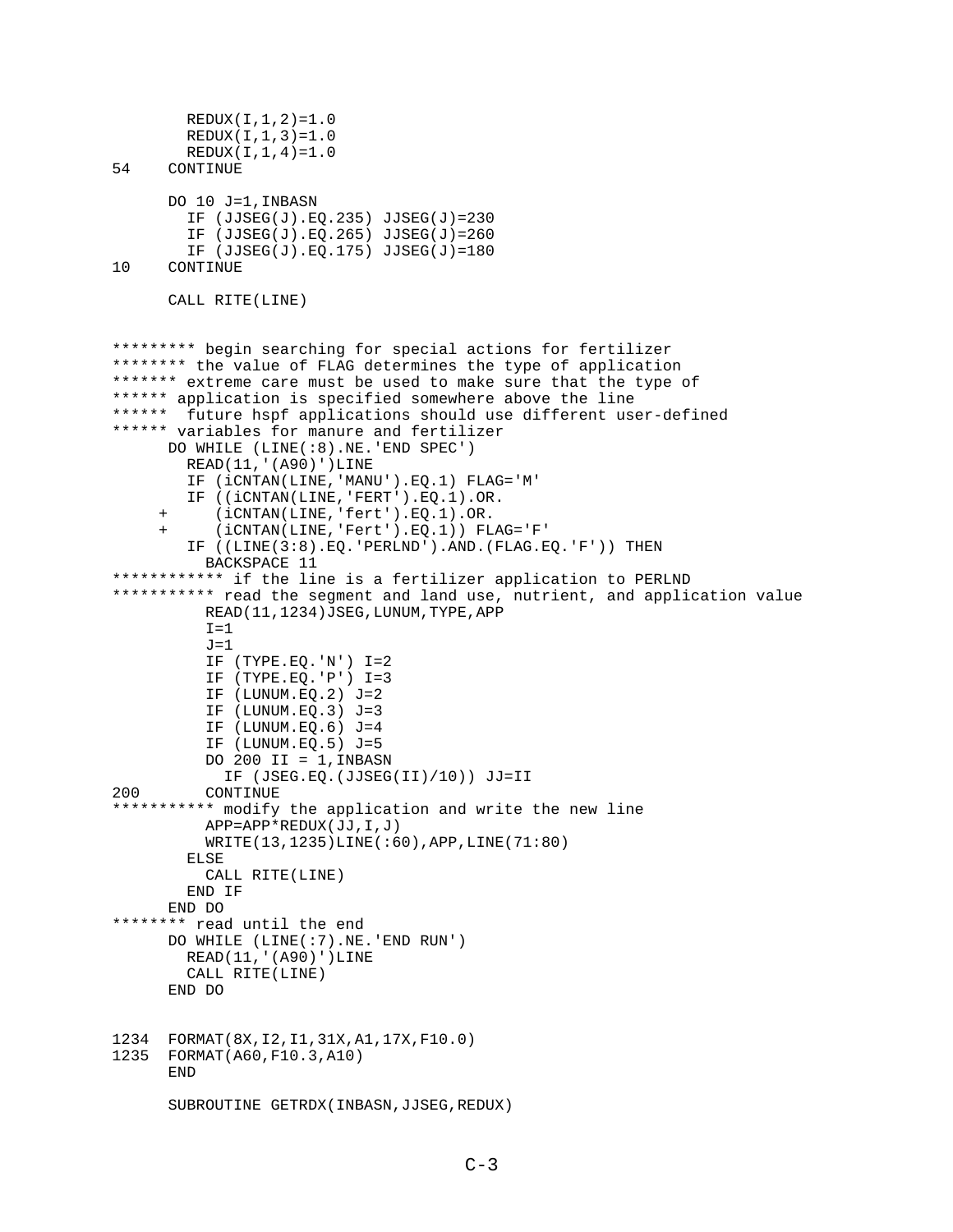```
REDUX(I,1,2)=1.0REDUX(I,1,3)=1.0 REDUX(I,1,4)=1.0
54 CONTINUE
       DO 10 J=1,INBASN
         IF (JJSEG(J).EQ.235) JJSEG(J)=230
         IF (JJSEG(J).EQ.265) JJSEG(J)=260
IF (JJSEG(J).EQ.175) JJSEG(J)=180<br>10 CONTINUE
      CONTINUE
       CALL RITE(LINE)
********* begin searching for special actions for fertilizer
******** the value of FLAG determines the type of application
******* extreme care must be used to make sure that the type of
****** application is specified somewhere above the line
****** future hspf applications should use different user-defined
****** variables for manure and fertilizer
       DO WHILE (LINE(:8).NE.'END SPEC')
         READ(11,'(A90)')LINE
         IF (iCNTAN(LINE,'MANU').EQ.1) FLAG='M'
         IF ((iCNTAN(LINE,'FERT').EQ.1).OR.
      + (iCNTAN(LINE,'fert').EQ.1).OR.
            + (iCNTAN(LINE,'Fert').EQ.1)) FLAG='F'
         IF ((LINE(3:8).EQ.'PERLND').AND.(FLAG.EQ.'F')) THEN
           BACKSPACE 11
************ if the line is a fertilizer application to PERLND
*********** read the segment and land use, nutrient, and application value
           READ(11,1234)JSEG,LUNUM,TYPE,APP
          I=1J=1 IF (TYPE.EQ.'N') I=2
           IF (TYPE.EQ.'P') I=3
           IF (LUNUM.EQ.2) J=2
           IF (LUNUM.EQ.3) J=3
           IF (LUNUM.EQ.6) J=4
           IF (LUNUM.EQ.5) J=5
          DO 200 II = 1, INBASN
             IF (JSEG.EQ.(JJSEG(II)/10)) JJ=II
200 CONTINUE
*********** modify the application and write the new line
           APP=APP*REDUX(JJ,I,J)
           WRITE(13,1235)LINE(:60),APP,LINE(71:80)
         ELSE
           CALL RITE(LINE)
         END IF
      END DO
******** read until the end
       DO WHILE (LINE(:7).NE.'END RUN')
         READ(11,'(A90)')LINE
         CALL RITE(LINE)
       END DO
1234 FORMAT(8X,I2,I1,31X,A1,17X,F10.0)
1235 FORMAT(A60,F10.3,A10)
       END
      SUBROUTINE GETRDX (INBASN, JJSEG, REDUX)
```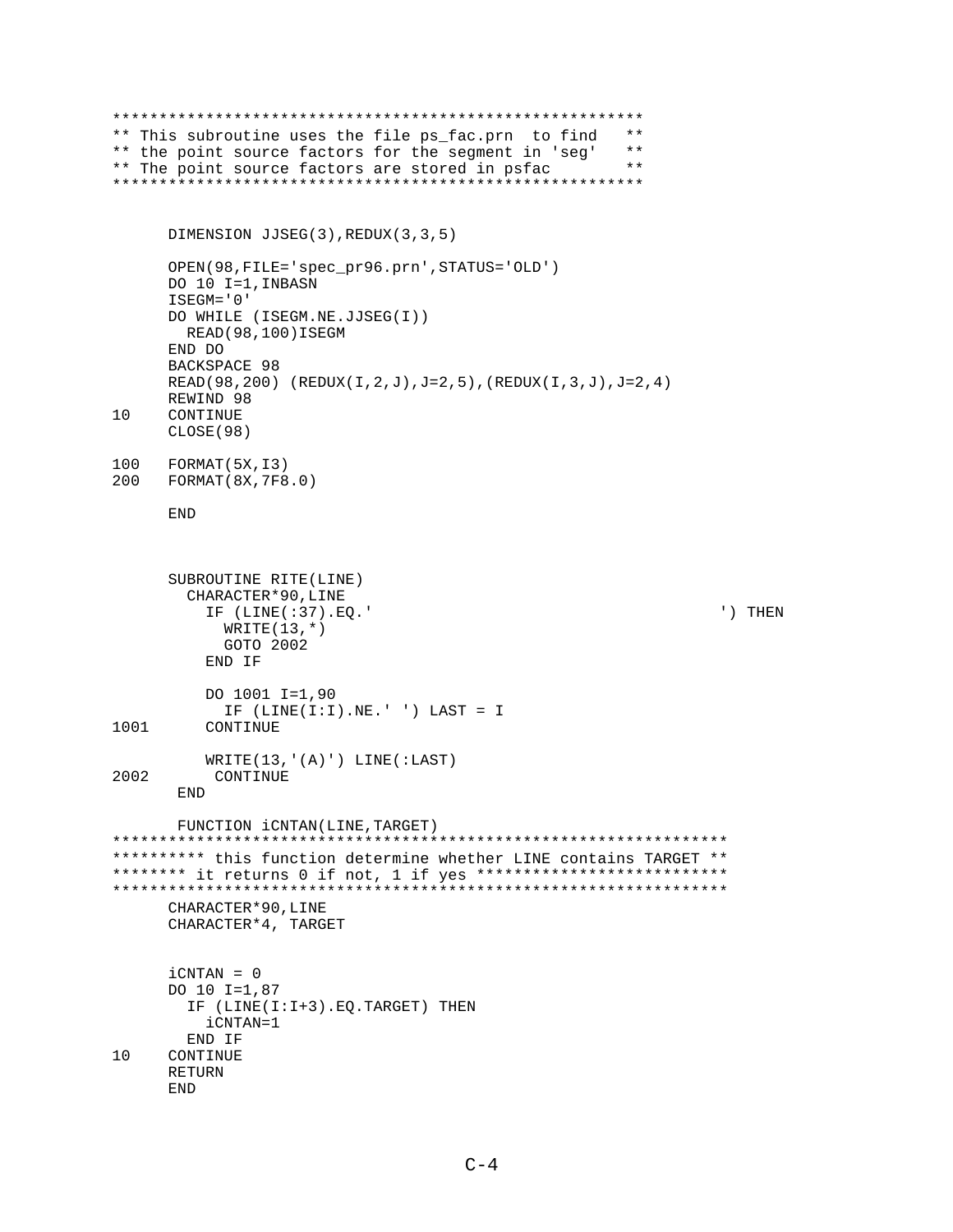```
*********************************************************
** This subroutine uses the file ps_fac.prn to find **<br>** the point source factors for the seqment in 'seq' **
** the point source factors for the segment in 'seg' **<br>** The point source factors are stored in psfac **
** The point source factors are stored in psfac
*********************************************************
       DIMENSION JJSEG(3),REDUX(3,3,5)
       OPEN(98,FILE='spec_pr96.prn',STATUS='OLD')
       DO 10 I=1,INBASN
      ISEGM='0'
      DO WHILE (ISEGM.NE.JJSEG(I))
         READ(98,100)ISEGM
      END DO
      BACKSPACE 98
      READ(98,200) (REDUX(I,2,J),J=2,5),(REDUX(I,3,J),J=2,4)
      REWIND 98
10 CONTINUE
       CLOSE(98)
100 FORMAT(5X, 13)<br>200 FORMAT(8X, 7F8
    200 FORMAT(8X,7F8.0)
       END
       SUBROUTINE RITE(LINE)
         CHARACTER*90,LINE
            IF (LINE(:37).EQ.' ') THEN
             WRITE(13,*) GOTO 2002
           END IF
            DO 1001 I=1,90
 IF (LINE(I:I).NE.' ') LAST = I
          CONTINUE
            WRITE(13,'(A)') LINE(:LAST)
2002 CONTINUE
        END
        FUNCTION iCNTAN(LINE,TARGET)
******************************************************************
********** this function determine whether LINE contains TARGET **
******** it returns 0 if not, 1 if yes ***************************
******************************************************************
       CHARACTER*90,LINE
       CHARACTER*4, TARGET
       iCNTAN = 0
       DO 10 I=1,87
         IF (LINE(I:I+3).EQ.TARGET) THEN
            iCNTAN=1
END IF<br>10 CONTINUE
      CONTINUE
       RETURN
       END
```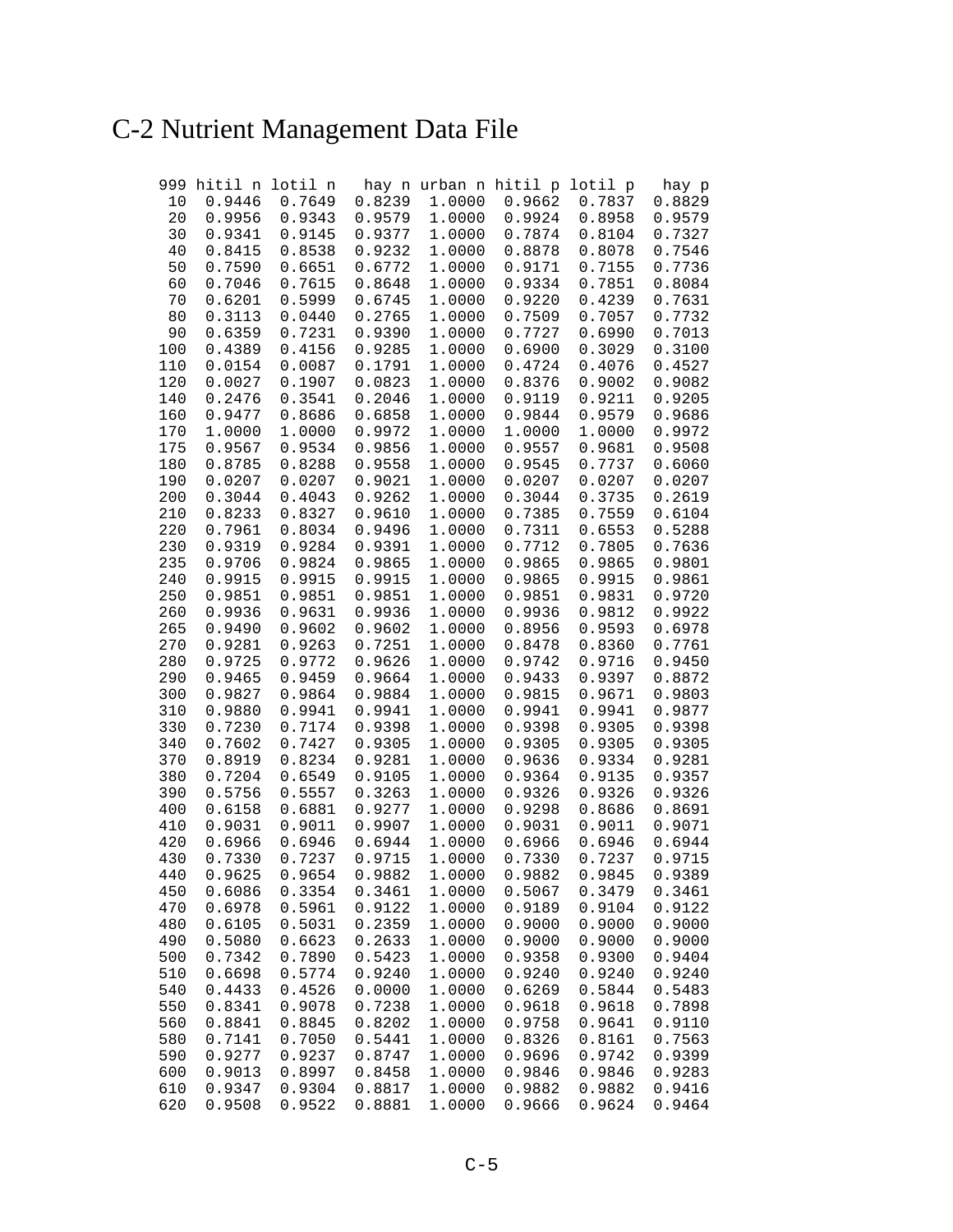## C-2 Nutrient Management Data File

| 999        |        | hitil n lotil n |                 |        | hay n urban n hitil p lotil p |        | hay p  |
|------------|--------|-----------------|-----------------|--------|-------------------------------|--------|--------|
| 10         | 0.9446 | 0.7649          | 0.8239          | 1.0000 | 0.9662                        | 0.7837 | 0.8829 |
| 20         | 0.9956 | 0.9343          | 0.9579          | 1.0000 | 0.9924                        | 0.8958 | 0.9579 |
| 30         | 0.9341 | 0.9145          | 0.9377          | 1.0000 | 0.7874                        | 0.8104 | 0.7327 |
| 40         | 0.8415 | 0.8538          | 0.9232          | 1.0000 | 0.8878                        | 0.8078 | 0.7546 |
| 50         | 0.7590 | 0.6651          | 0.6772          | 1.0000 | 0.9171                        | 0.7155 | 0.7736 |
| 60         | 0.7046 | 0.7615          | 0.8648          | 1.0000 | 0.9334                        | 0.7851 | 0.8084 |
| 70         | 0.6201 | 0.5999          | 0.6745          | 1.0000 | 0.9220                        | 0.4239 | 0.7631 |
| 80         | 0.3113 | 0.0440          | 0.2765          | 1.0000 | 0.7509                        | 0.7057 | 0.7732 |
| 90         | 0.6359 | 0.7231          | 0.9390          | 1.0000 | 0.7727                        | 0.6990 | 0.7013 |
| 100        | 0.4389 | 0.4156          | 0.9285          | 1.0000 | 0.6900                        | 0.3029 | 0.3100 |
| 110        | 0.0154 | 0.0087          | 0.1791          | 1.0000 | 0.4724                        | 0.4076 | 0.4527 |
| 120        | 0.0027 | 0.1907          | 0.0823          | 1.0000 | 0.8376                        | 0.9002 | 0.9082 |
| 140        | 0.2476 | 0.3541          | 0.2046          | 1.0000 | 0.9119                        | 0.9211 | 0.9205 |
| 160        | 0.9477 | 0.8686          | 0.6858          | 1.0000 | 0.9844                        | 0.9579 | 0.9686 |
| 170        | 1.0000 | 1.0000          | 0.9972          | 1.0000 | 1.0000                        | 1.0000 | 0.9972 |
| 175        | 0.9567 | 0.9534          | 0.9856          | 1.0000 | 0.9557                        | 0.9681 | 0.9508 |
| 180        | 0.8785 | 0.8288          | 0.9558          | 1.0000 | 0.9545                        | 0.7737 | 0.6060 |
| 190        | 0.0207 | 0.0207          | 0.9021          | 1.0000 | 0.0207                        | 0.0207 | 0.0207 |
| 200        | 0.3044 | 0.4043          | 0.9262          | 1.0000 | 0.3044                        | 0.3735 | 0.2619 |
| 210        | 0.8233 | 0.8327          | 0.9610          | 1.0000 | 0.7385                        | 0.7559 | 0.6104 |
|            |        |                 | 0.9496          | 1.0000 | 0.7311                        | 0.6553 | 0.5288 |
| 220<br>230 | 0.7961 | 0.8034          |                 | 1.0000 |                               |        | 0.7636 |
|            | 0.9319 | 0.9284          | 0.9391          |        | 0.7712                        | 0.7805 |        |
| 235        | 0.9706 | 0.9824          | 0.9865          | 1.0000 | 0.9865                        | 0.9865 | 0.9801 |
| 240        | 0.9915 | 0.9915          | 0.9915          | 1.0000 | 0.9865                        | 0.9915 | 0.9861 |
| 250        | 0.9851 | 0.9851          | 0.9851          | 1.0000 | 0.9851                        | 0.9831 | 0.9720 |
| 260        | 0.9936 | 0.9631          | 0.9936          | 1.0000 | 0.9936                        | 0.9812 | 0.9922 |
| 265        | 0.9490 | 0.9602          | 0.9602          | 1.0000 | 0.8956                        | 0.9593 | 0.6978 |
| 270        | 0.9281 | 0.9263          | 0.7251          | 1.0000 | 0.8478                        | 0.8360 | 0.7761 |
| 280        | 0.9725 | 0.9772          | 0.9626          | 1.0000 | 0.9742                        | 0.9716 | 0.9450 |
| 290        | 0.9465 | 0.9459          | 0.9664          | 1.0000 | 0.9433                        | 0.9397 | 0.8872 |
| 300        | 0.9827 | 0.9864          | 0.9884          | 1.0000 | 0.9815                        | 0.9671 | 0.9803 |
| 310        | 0.9880 | 0.9941          | 0.9941          | 1.0000 | 0.9941                        | 0.9941 | 0.9877 |
| 330        | 0.7230 | 0.7174          | 0.9398          | 1.0000 | 0.9398                        | 0.9305 | 0.9398 |
| 340        | 0.7602 | 0.7427          | 0.9305          | 1.0000 | 0.9305                        | 0.9305 | 0.9305 |
| 370        | 0.8919 | 0.8234          | 0.9281          | 1.0000 | 0.9636                        | 0.9334 | 0.9281 |
| 380        | 0.7204 | 0.6549          | 0.9105          | 1.0000 | 0.9364                        | 0.9135 | 0.9357 |
| 390        | 0.5756 | 0.5557          | 0.3263          | 1.0000 | 0.9326                        | 0.9326 | 0.9326 |
| 400        | 0.6158 | 0.6881          | 0.9277          | 1.0000 | 0.9298                        | 0.8686 | 0.8691 |
| 410        | 0.9031 | 0.9011          | 0.9907          | 1.0000 | 0.9031                        | 0.9011 | 0.9071 |
| 420        | 0.6966 | 0.6946          | 0.6944          | 1.0000 | 0.6966                        | 0.6946 | 0.6944 |
| 430        | 0.7330 | 0.7237          | 0.9715          | 1.0000 | 0.7330                        | 0.7237 | 0.9715 |
| 440        | 0.9625 |                 | $0.9654$ 0.9882 |        | 1.0000 0.9882                 | 0.9845 | 0.9389 |
| 450        | 0.6086 | 0.3354          | 0.3461          | 1.0000 | 0.5067                        | 0.3479 | 0.3461 |
| 470        | 0.6978 | 0.5961          | 0.9122          | 1.0000 | 0.9189                        | 0.9104 | 0.9122 |
| 480        | 0.6105 | 0.5031          | 0.2359          | 1.0000 | 0.9000                        | 0.9000 | 0.9000 |
| 490        | 0.5080 | 0.6623          | 0.2633          | 1.0000 | 0.9000                        | 0.9000 | 0.9000 |
| 500        | 0.7342 | 0.7890          | 0.5423          | 1.0000 | 0.9358                        | 0.9300 | 0.9404 |
| 510        | 0.6698 | 0.5774          | 0.9240          | 1.0000 | 0.9240                        | 0.9240 | 0.9240 |
| 540        | 0.4433 | 0.4526          | 0.0000          | 1.0000 | 0.6269                        | 0.5844 | 0.5483 |
| 550        | 0.8341 | 0.9078          | 0.7238          | 1.0000 | 0.9618                        | 0.9618 | 0.7898 |
| 560        | 0.8841 | 0.8845          | 0.8202          | 1.0000 | 0.9758                        | 0.9641 | 0.9110 |
| 580        | 0.7141 | 0.7050          | 0.5441          | 1.0000 | 0.8326                        | 0.8161 | 0.7563 |
| 590        | 0.9277 | 0.9237          | 0.8747          | 1.0000 | 0.9696                        | 0.9742 | 0.9399 |
| 600        | 0.9013 | 0.8997          | 0.8458          | 1.0000 | 0.9846                        | 0.9846 | 0.9283 |
| 610        | 0.9347 | 0.9304          | 0.8817          | 1.0000 | 0.9882                        | 0.9882 | 0.9416 |
| 620        | 0.9508 | 0.9522          | 0.8881          | 1.0000 | 0.9666                        | 0.9624 | 0.9464 |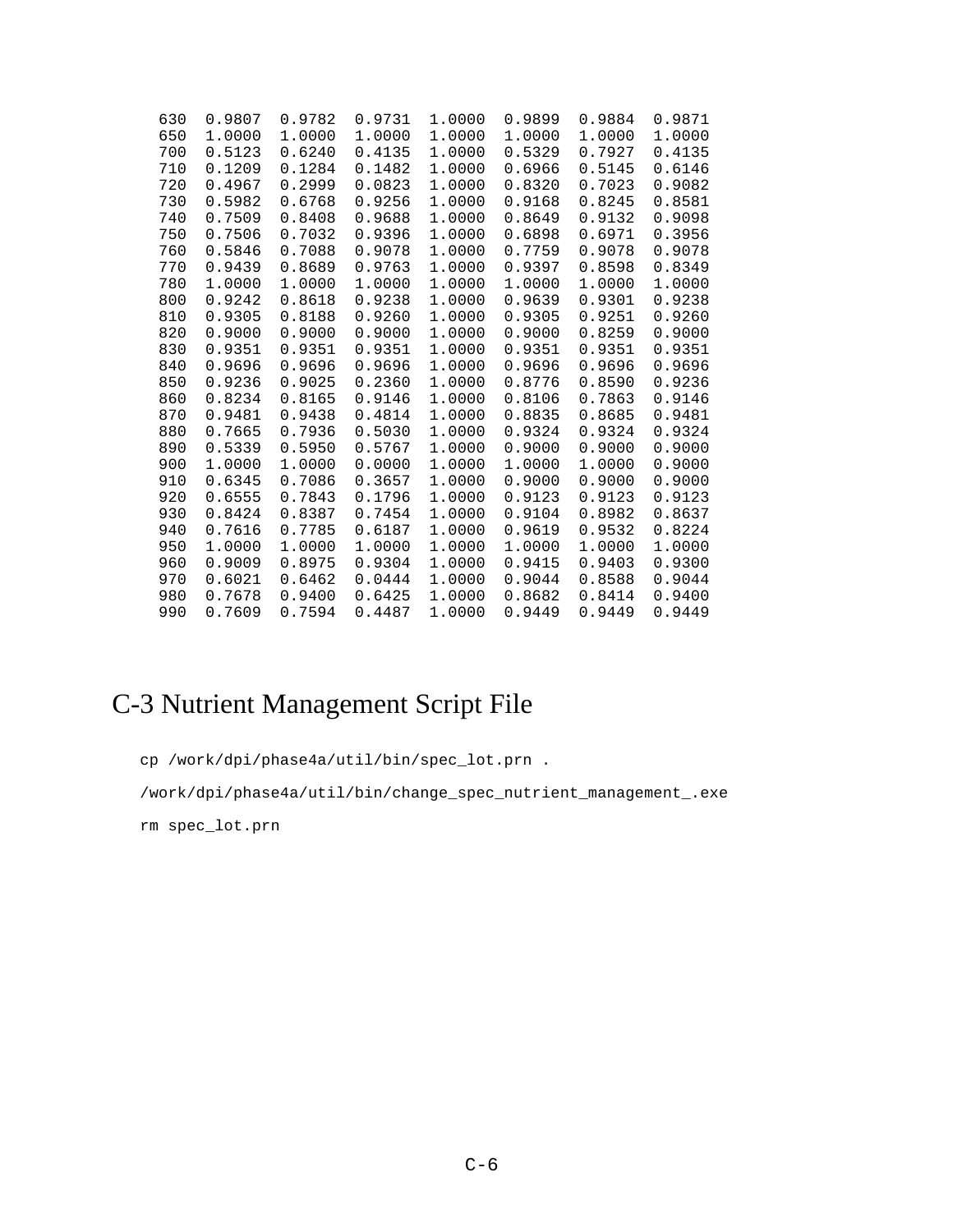| 630 | 0.9807 | 0.9782 | 0.9731 | 1.0000 | 0.9899 | 0.9884 | 0.9871 |
|-----|--------|--------|--------|--------|--------|--------|--------|
| 650 | 1.0000 | 1.0000 | 1.0000 | 1.0000 | 1.0000 | 1.0000 | 1.0000 |
| 700 | 0.5123 | 0.6240 | 0.4135 | 1.0000 | 0.5329 | 0.7927 | 0.4135 |
| 710 | 0.1209 | 0.1284 | 0.1482 | 1.0000 | 0.6966 | 0.5145 | 0.6146 |
| 720 | 0.4967 | 0.2999 | 0.0823 | 1.0000 | 0.8320 | 0.7023 | 0.9082 |
| 730 | 0.5982 | 0.6768 | 0.9256 | 1.0000 | 0.9168 | 0.8245 | 0.8581 |
| 740 | 0.7509 | 0.8408 | 0.9688 | 1.0000 | 0.8649 | 0.9132 | 0.9098 |
| 750 | 0.7506 | 0.7032 | 0.9396 | 1.0000 | 0.6898 | 0.6971 | 0.3956 |
| 760 | 0.5846 | 0.7088 | 0.9078 | 1.0000 | 0.7759 | 0.9078 | 0.9078 |
| 770 | 0.9439 | 0.8689 | 0.9763 | 1.0000 | 0.9397 | 0.8598 | 0.8349 |
| 780 | 1.0000 | 1.0000 | 1.0000 | 1.0000 | 1.0000 | 1.0000 | 1.0000 |
| 800 | 0.9242 | 0.8618 | 0.9238 | 1.0000 | 0.9639 | 0.9301 | 0.9238 |
| 810 | 0.9305 | 0.8188 | 0.9260 | 1.0000 | 0.9305 | 0.9251 | 0.9260 |
| 820 | 0.9000 | 0.9000 | 0.9000 | 1.0000 | 0.9000 | 0.8259 | 0.9000 |
| 830 | 0.9351 | 0.9351 | 0.9351 | 1.0000 | 0.9351 | 0.9351 | 0.9351 |
| 840 | 0.9696 | 0.9696 | 0.9696 | 1.0000 | 0.9696 | 0.9696 | 0.9696 |
| 850 | 0.9236 | 0.9025 | 0.2360 | 1.0000 | 0.8776 | 0.8590 | 0.9236 |
| 860 | 0.8234 | 0.8165 | 0.9146 | 1.0000 | 0.8106 | 0.7863 | 0.9146 |
| 870 | 0.9481 | 0.9438 | 0.4814 | 1.0000 | 0.8835 | 0.8685 | 0.9481 |
| 880 | 0.7665 | 0.7936 | 0.5030 | 1.0000 | 0.9324 | 0.9324 | 0.9324 |
| 890 | 0.5339 | 0.5950 | 0.5767 | 1.0000 | 0.9000 | 0.9000 | 0.9000 |
| 900 | 1.0000 | 1.0000 | 0.0000 | 1.0000 | 1.0000 | 1.0000 | 0.9000 |
| 910 | 0.6345 | 0.7086 | 0.3657 | 1.0000 | 0.9000 | 0.9000 | 0.9000 |
| 920 | 0.6555 | 0.7843 | 0.1796 | 1.0000 | 0.9123 | 0.9123 | 0.9123 |
| 930 | 0.8424 | 0.8387 | 0.7454 | 1.0000 | 0.9104 | 0.8982 | 0.8637 |
| 940 | 0.7616 | 0.7785 | 0.6187 | 1.0000 | 0.9619 | 0.9532 | 0.8224 |
| 950 | 1.0000 | 1.0000 | 1.0000 | 1.0000 | 1.0000 | 1.0000 | 1.0000 |
| 960 | 0.9009 | 0.8975 | 0.9304 | 1.0000 | 0.9415 | 0.9403 | 0.9300 |
| 970 | 0.6021 | 0.6462 | 0.0444 | 1.0000 | 0.9044 | 0.8588 | 0.9044 |
| 980 | 0.7678 | 0.9400 | 0.6425 | 1.0000 | 0.8682 | 0.8414 | 0.9400 |
| 990 | 0.7609 | 0.7594 | 0.4487 | 1.0000 | 0.9449 | 0.9449 | 0.9449 |

## C-3 Nutrient Management Script File

cp /work/dpi/phase4a/util/bin/spec\_lot.prn .

/work/dpi/phase4a/util/bin/change\_spec\_nutrient\_management\_.exe

rm spec\_lot.prn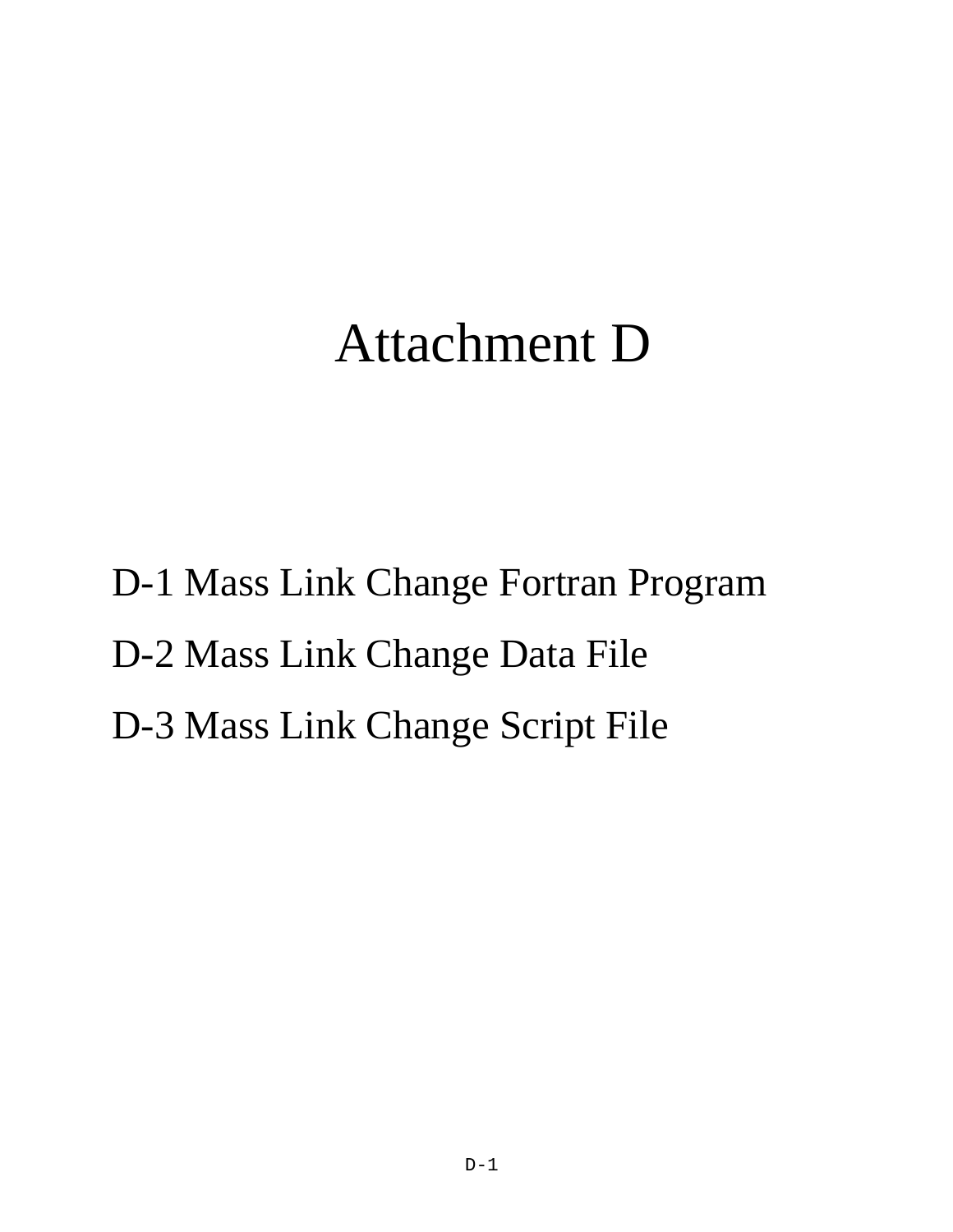# Attachment D

D-1 Mass Link Change Fortran Program D-2 Mass Link Change Data File D-3 Mass Link Change Script File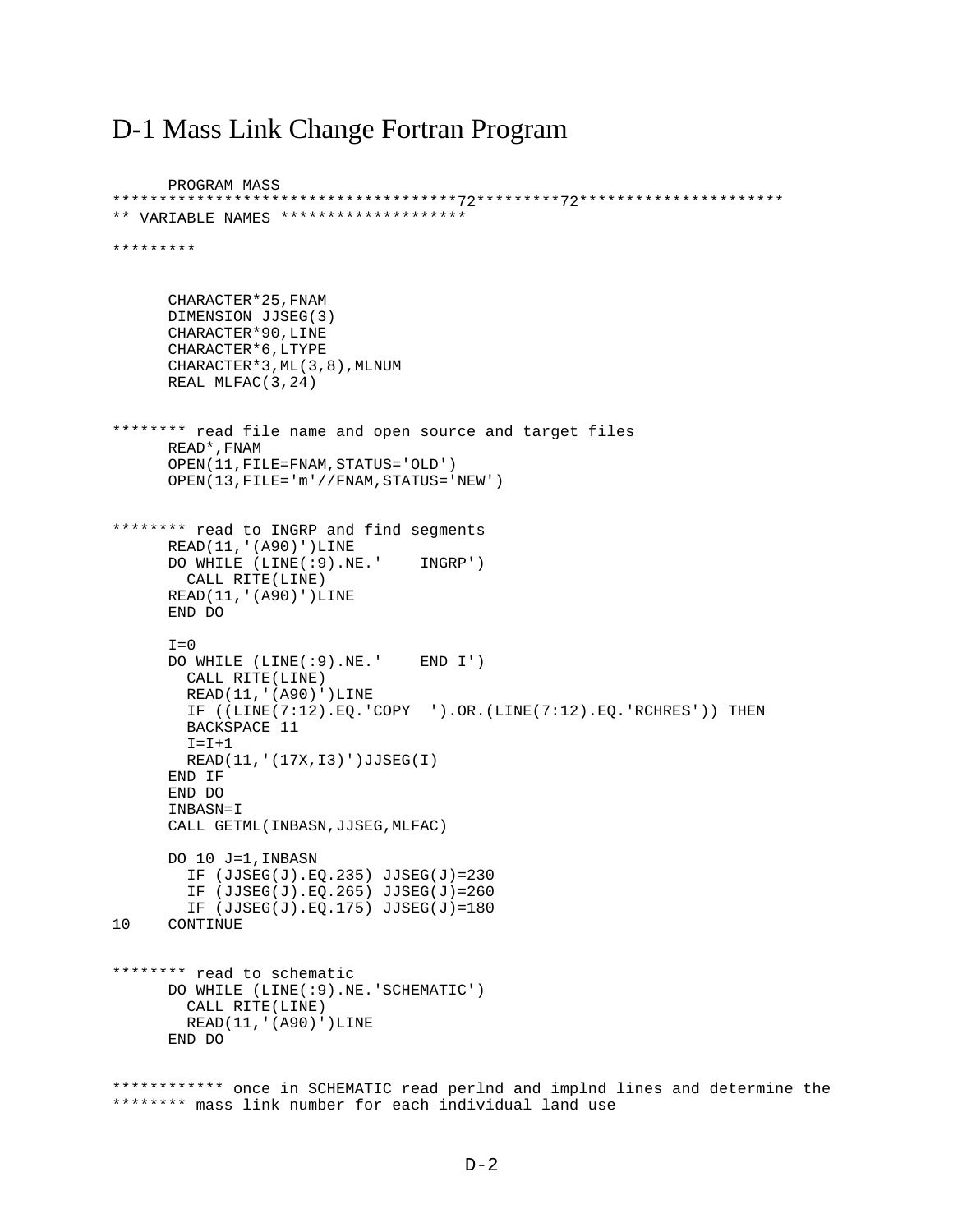### D-1 Mass Link Change Fortran Program

PROGRAM MASS \*\*\*\*\*\*\*\*\*\*\*\*\*\*\*\*\*\*\*\*\*\*\*\*\*\*\*\*\*\*\*\*\*\*\*\*\*72\*\*\*\*\*\*\*\*\*72\*\*\*\*\*\*\*\*\*\*\*\*\*\*\*\*\*\*\*\*\*\* \*\* VARIABLE NAMES \*\*\*\*\*\*\*\*\*\*\*\*\*\*\*\*\*\*\*\* \*\*\*\*\*\*\*\*\* CHARACTER\*25,FNAM DIMENSION JJSEG(3) CHARACTER\*90,LINE CHARACTER\*6,LTYPE CHARACTER\*3,ML(3,8),MLNUM REAL MLFAC(3,24) \*\*\*\*\*\*\*\* read file name and open source and target files READ\*,FNAM OPEN(11,FILE=FNAM,STATUS='OLD') OPEN(13,FILE='m'//FNAM,STATUS='NEW') \*\*\*\*\*\*\*\* read to INGRP and find segments READ(11,'(A90)')LINE DO WHILE (LINE(:9).NE.' INGRP') CALL RITE(LINE) READ(11,'(A90)')LINE END DO  $T=0$  DO WHILE (LINE(:9).NE.' END I') CALL RITE(LINE) READ(11,'(A90)')LINE IF ((LINE(7:12).EQ.'COPY ').OR.(LINE(7:12).EQ.'RCHRES')) THEN BACKSPACE 11  $I = I + 1$  READ(11,'(17X,I3)')JJSEG(I) END IF END DO INBASN=I CALL GETML(INBASN,JJSEG,MLFAC) DO 10 J=1,INBASN IF (JJSEG(J).EQ.235) JJSEG(J)=230 IF (JJSEG(J).EQ.265) JJSEG(J)=260 IF (JJSEG(J).EQ.175) JJSEG(J)=180<br>10 CONTINUE **CONTINUE** \*\*\*\*\*\*\*\* read to schematic DO WHILE (LINE(:9).NE.'SCHEMATIC') CALL RITE(LINE) READ(11,'(A90)')LINE END DO \*\*\*\*\*\*\*\*\*\*\*\* once in SCHEMATIC read perlnd and implnd lines and determine the \*\*\*\*\*\*\*\* mass link number for each individual land use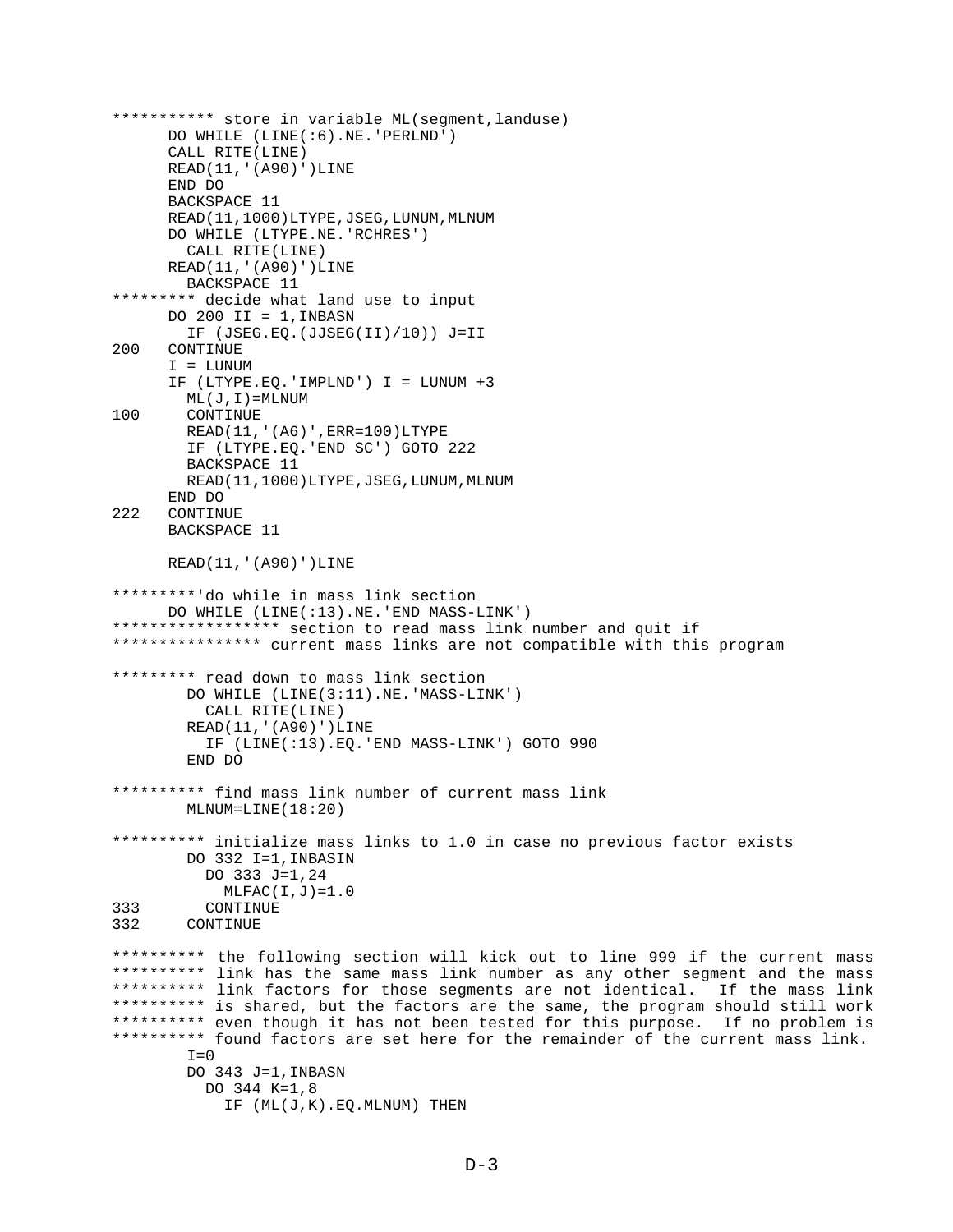```
*********** store in variable ML(segment,landuse)
      DO WHILE (LINE(:6).NE.'PERLND')
      CALL RITE(LINE)
     READ(11,'(A90)')LINE
      END DO
      BACKSPACE 11
     READ(11,1000)LTYPE, JSEG, LUNUM, MLNUM
       DO WHILE (LTYPE.NE.'RCHRES')
        CALL RITE(LINE)
     READ(11,'(A90)')LINE
        BACKSPACE 11
********* decide what land use to input
     DO 200 II = 1, INBASN
        IF (JSEG.EQ.(JJSEG(II)/10)) J=II
200 CONTINUE
      I = LUNUM
      IF (LTYPE.EQ.'IMPLND') I = LUNUM +3
        ML(J,I)=MLNUM
100 CONTINUE
        READ(11,'(A6)',ERR=100)LTYPE
        IF (LTYPE.EQ.'END SC') GOTO 222
         BACKSPACE 11
        READ(11,1000)LTYPE, JSEG, LUNUM, MLNUM
END DO<br>222 CONTIN
     CONTINUE
      BACKSPACE 11
      READ(11,'(A90)')LINE
*********'do while in mass link section
      DO WHILE (LINE(:13).NE.'END MASS-LINK')
****************** section to read mass link number and quit if
**************** current mass links are not compatible with this program
********* read down to mass link section
         DO WHILE (LINE(3:11).NE.'MASS-LINK')
           CALL RITE(LINE)
         READ(11,'(A90)')LINE
           IF (LINE(:13).EQ.'END MASS-LINK') GOTO 990
         END DO
********** find mass link number of current mass link
         MLNUM=LINE(18:20)
********** initialize mass links to 1.0 in case no previous factor exists
         DO 332 I=1,INBASIN
           DO 333 J=1,24
MLFAC(I,J)=1.0<br>333 CONTINUE
          CONTINUE
332 CONTINUE
********** the following section will kick out to line 999 if the current mass
********** link has the same mass link number as any other segment and the mass
********** link factors for those segments are not identical. If the mass link
********** is shared, but the factors are the same, the program should still work
********** even though it has not been tested for this purpose. If no problem is
********** found factors are set here for the remainder of the current mass link.
        T=0 DO 343 J=1,INBASN
           DO 344 K=1,8
             IF (ML(J,K).EQ.MLNUM) THEN
```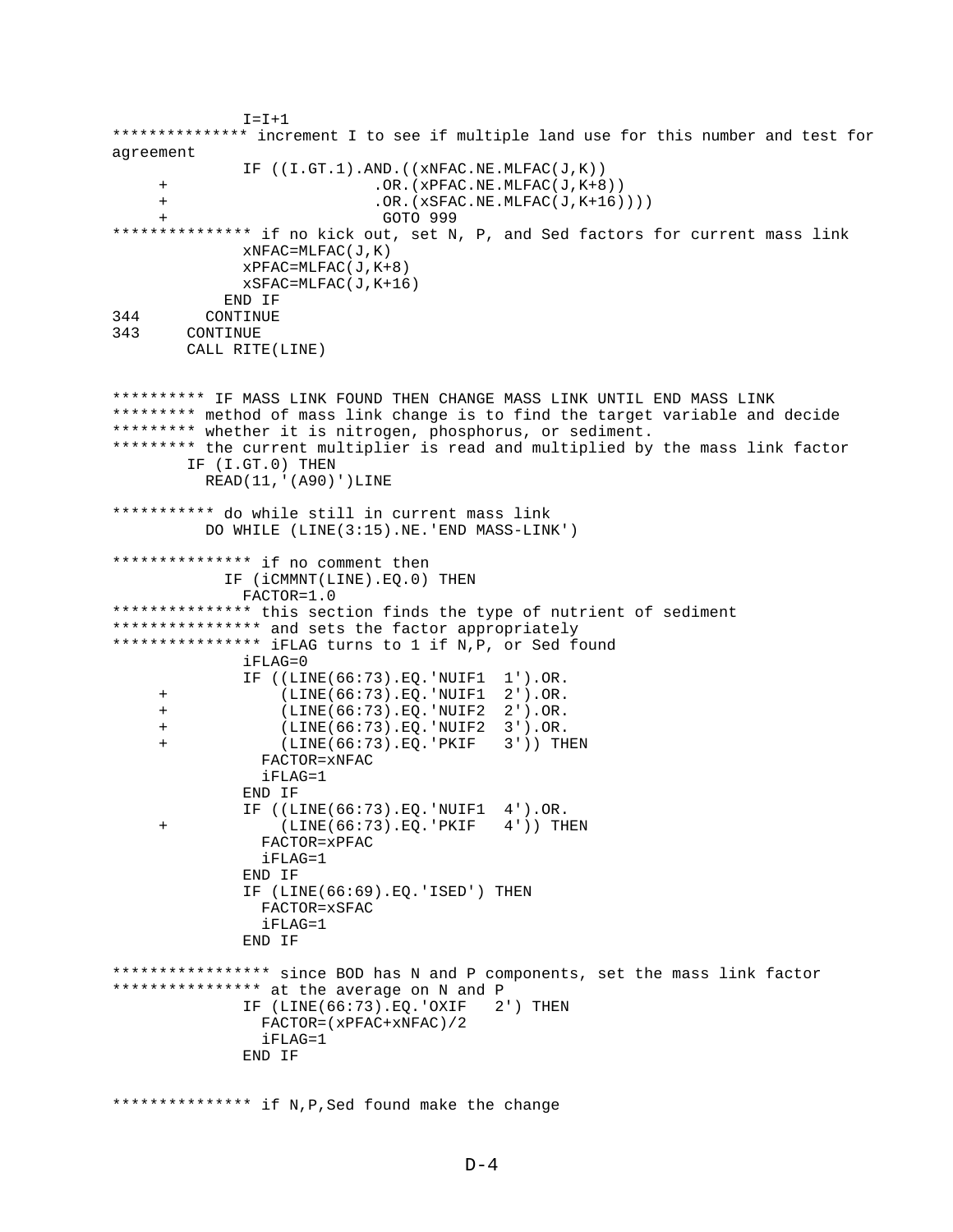```
I = I + 1*************** increment I to see if multiple land use for this number and test for
agreement
              IF ((I.GT.1).AND.((xNFAC.NE.MLFAC(J,K))
     + .OR.(xPFAC.NE.MLFAC(J,K+8))
     + .OR.(xSFAC.NE.MLFAC(J,K+16))))
     + GOTO 999
*************** if no kick out, set N, P, and Sed factors for current mass link
              xNFAC=MLFAC(J,K)
             XPFAC=MLFAC(J,K+8) xSFAC=MLFAC(J,K+16)
            END IF
344 CONTINUE
343 CONTINUE
        CALL RITE(LINE)
********** IF MASS LINK FOUND THEN CHANGE MASS LINK UNTIL END MASS LINK
********* method of mass link change is to find the target variable and decide
********* whether it is nitrogen, phosphorus, or sediment.
********* the current multiplier is read and multiplied by the mass link factor
        IF (I.GT.0) THEN
          READ(11,'(A90)')LINE
*********** do while still in current mass link
          DO WHILE (LINE(3:15).NE.'END MASS-LINK')
*************** if no comment then
            IF (iCMMNT(LINE).EQ.0) THEN
              FACTOR=1.0
*************** this section finds the type of nutrient of sediment
**************** and sets the factor appropriately
**************** iFLAG turns to 1 if N,P, or Sed found
              iFLAG=0
              IF ((LINE(66:73).EQ.'NUIF1 1').OR.
     + (LINE(66:73).EQ.'NUIF1 2').OR.
     + (LINE(66:73).EQ.'NUIF2 2').OR.
     + (LINE(66:73).EQ.'NUIF2 3').OR.
     + (LINE(66:73).EQ.'PKIF 3')) THEN
                FACTOR=xNFAC
                iFLAG=1
              END IF
              IF ((LINE(66:73).EQ.'NUIF1 4').OR.
     + (LINE(66:73).EQ.'PKIF 4')) THEN
                FACTOR=xPFAC
                iFLAG=1
              END IF
              IF (LINE(66:69).EQ.'ISED') THEN
                FACTOR=xSFAC
                iFLAG=1
              END IF
***************** since BOD has N and P components, set the mass link factor
**************** at the average on N and P
              IF (LINE(66:73).EQ.'OXIF 2') THEN
               FACTOR=(xPFAC+xNFAC)/2
                iFLAG=1
              END IF
*************** if N,P,Sed found make the change
```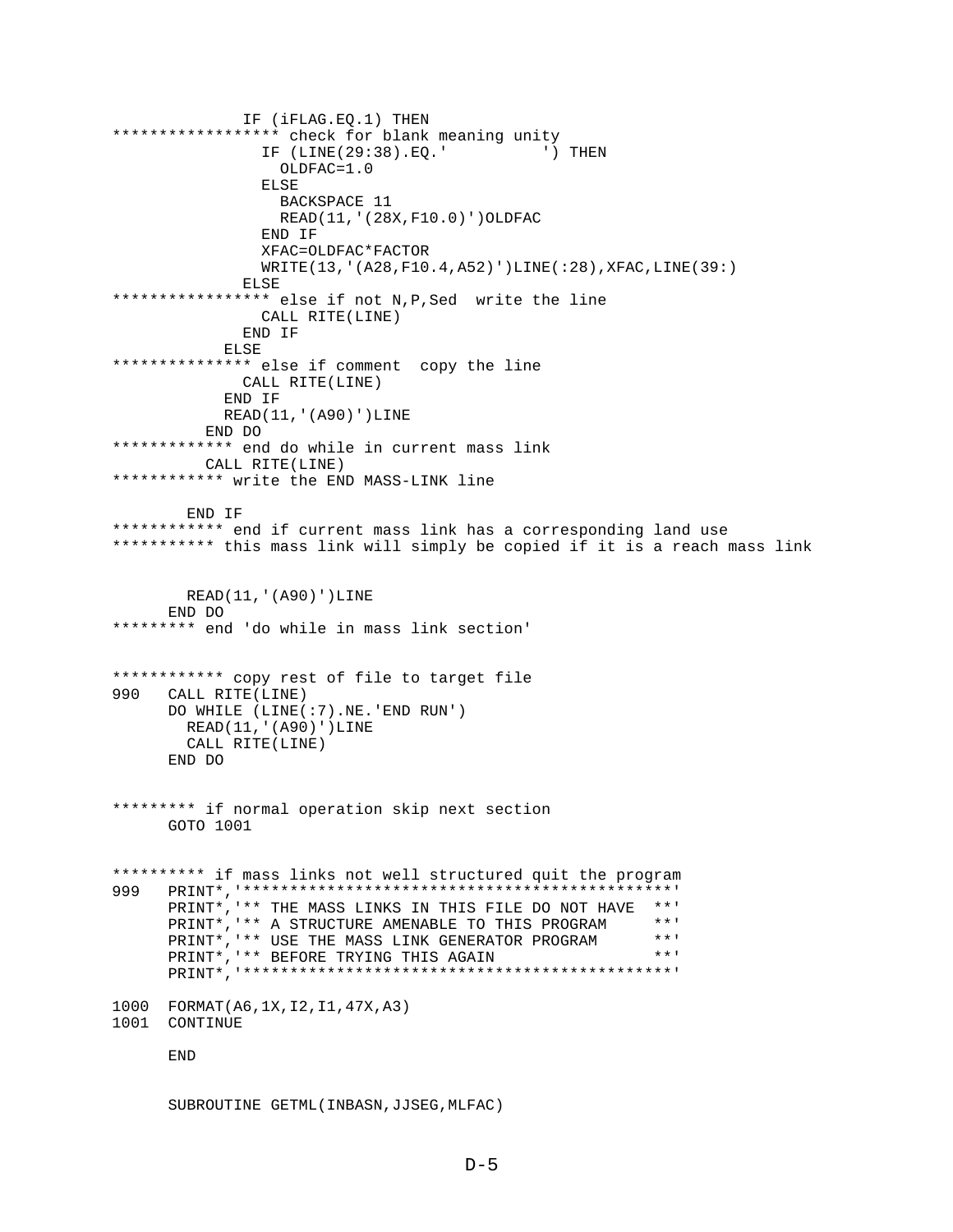IF (iFLAG.EQ.1) THEN \*\*\*\*\*\*\*\*\*\*\*\*\*\*\*\*\*\* check for blank meaning unity IF (LINE(29:38).EQ.' ') THEN OLDFAC=1.0 ELSE BACKSPACE 11 READ(11,'(28X,F10.0)')OLDFAC END IF XFAC=OLDFAC\*FACTOR WRITE(13,'(A28,F10.4,A52)')LINE(:28),XFAC,LINE(39:) **ELSE** \*\*\*\*\*\*\*\*\*\*\*\*\*\*\*\*\* else if not N,P,Sed write the line CALL RITE(LINE) END IF ELSE \*\*\*\*\*\*\*\*\*\*\*\*\*\*\* else if comment copy the line CALL RITE(LINE) END IF READ(11,'(A90)')LINE END DO \*\*\*\*\*\*\*\*\*\*\*\*\* end do while in current mass link CALL RITE(LINE) \*\*\*\*\*\*\*\*\*\*\*\* write the END MASS-LINK line END IF \*\*\*\*\*\*\*\*\*\*\*\* end if current mass link has a corresponding land use \*\*\*\*\*\*\*\*\*\*\* this mass link will simply be copied if it is a reach mass link READ(11,'(A90)')LINE END DO \*\*\*\*\*\*\*\*\* end 'do while in mass link section' \*\*\*\*\*\*\*\*\*\*\*\* copy rest of file to target file 990 CALL RITE(LINE) DO WHILE (LINE(:7).NE.'END RUN') READ(11,'(A90)')LINE CALL RITE(LINE) END DO \*\*\*\*\*\*\*\*\* if normal operation skip next section GOTO 1001 \*\*\*\*\*\*\*\*\*\* if mass links not well structured quit the program 999 PRINT\*,'\*\*\*\*\*\*\*\*\*\*\*\*\*\*\*\*\*\*\*\*\*\*\*\*\*\*\*\*\*\*\*\*\*\*\*\*\*\*\*\*\*\*\*\*\*\*' PRINT\*, '\*\* THE MASS LINKS IN THIS FILE DO NOT HAVE \*\*' PRINT\*,'\*\* A STRUCTURE AMENABLE TO THIS PROGRAM \*\*' PRINT\*,'\*\* USE THE MASS LINK GENERATOR PROGRAM \*\*'<br>PRINT\*.'\*\* BEFORE TRYING THIS AGAIN PRINT\*, '\*\* BEFORE TRYING THIS AGAIN PRINT\*,'\*\*\*\*\*\*\*\*\*\*\*\*\*\*\*\*\*\*\*\*\*\*\*\*\*\*\*\*\*\*\*\*\*\*\*\*\*\*\*\*\*\*\*\*\*\*' 1000 FORMAT(A6,1X,I2,I1,47X,A3) 1001 CONTINUE END

SUBROUTINE GETML(INBASN,JJSEG,MLFAC)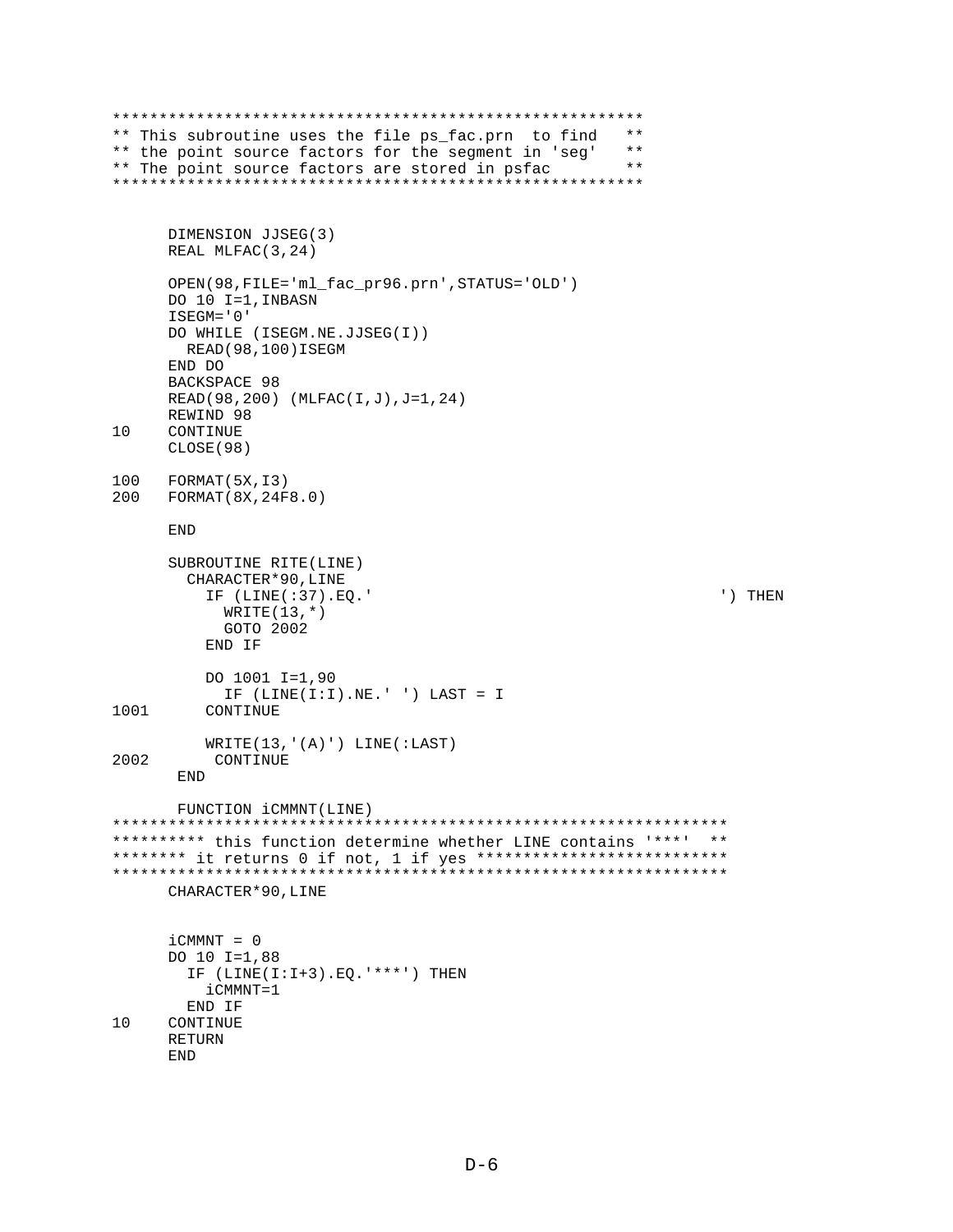```
*********************************************************
** This subroutine uses the file ps_fac.prn to find **<br>** the point source factors for the sequent in 'seq' **
** the point source factors for the segment in 'seg' **<br>** The point source factors are stored in psfac **
** The point source factors are stored in psfac
*********************************************************
       DIMENSION JJSEG(3)
       REAL MLFAC(3,24)
       OPEN(98,FILE='ml_fac_pr96.prn',STATUS='OLD')
       DO 10 I=1,INBASN
      ISEGM='0'
      DO WHILE (ISEGM.NE.JJSEG(I))
         READ(98,100)ISEGM
      END DO
      BACKSPACE 98
      READ(98,200) (MLFAC(I,J),J=1,24)
      REWIND 98
10 CONTINUE
       CLOSE(98)
100 FORMAT(5X,13)<br>200 FORMAT(8X,24F
    200 FORMAT(8X,24F8.0)
       END
       SUBROUTINE RITE(LINE)
         CHARACTER*90,LINE
           IF (LINE(:37).EQ.' ') THEN
             WRITE(13, * ) GOTO 2002
           END IF
           DO 1001 I=1,90
 IF (LINE(I:I).NE.' ') LAST = I
           CONTINUE
WRITE(13, '(A)') LINE(:LAST)<br>2002 CONTINUE
           CONTINUE
        END
        FUNCTION iCMMNT(LINE)
******************************************************************
********** this function determine whether LINE contains '***' **
******** it returns 0 if not, 1 if yes ***************************
******************************************************************
       CHARACTER*90,LINE
      iCMMNT = 0 DO 10 I=1,88
        IF (LINE(I:I+3).EQ.'***') THEN
           iCMMNT=1
         END IF
10 CONTINUE
       RETURN
```

```
D-6
```
END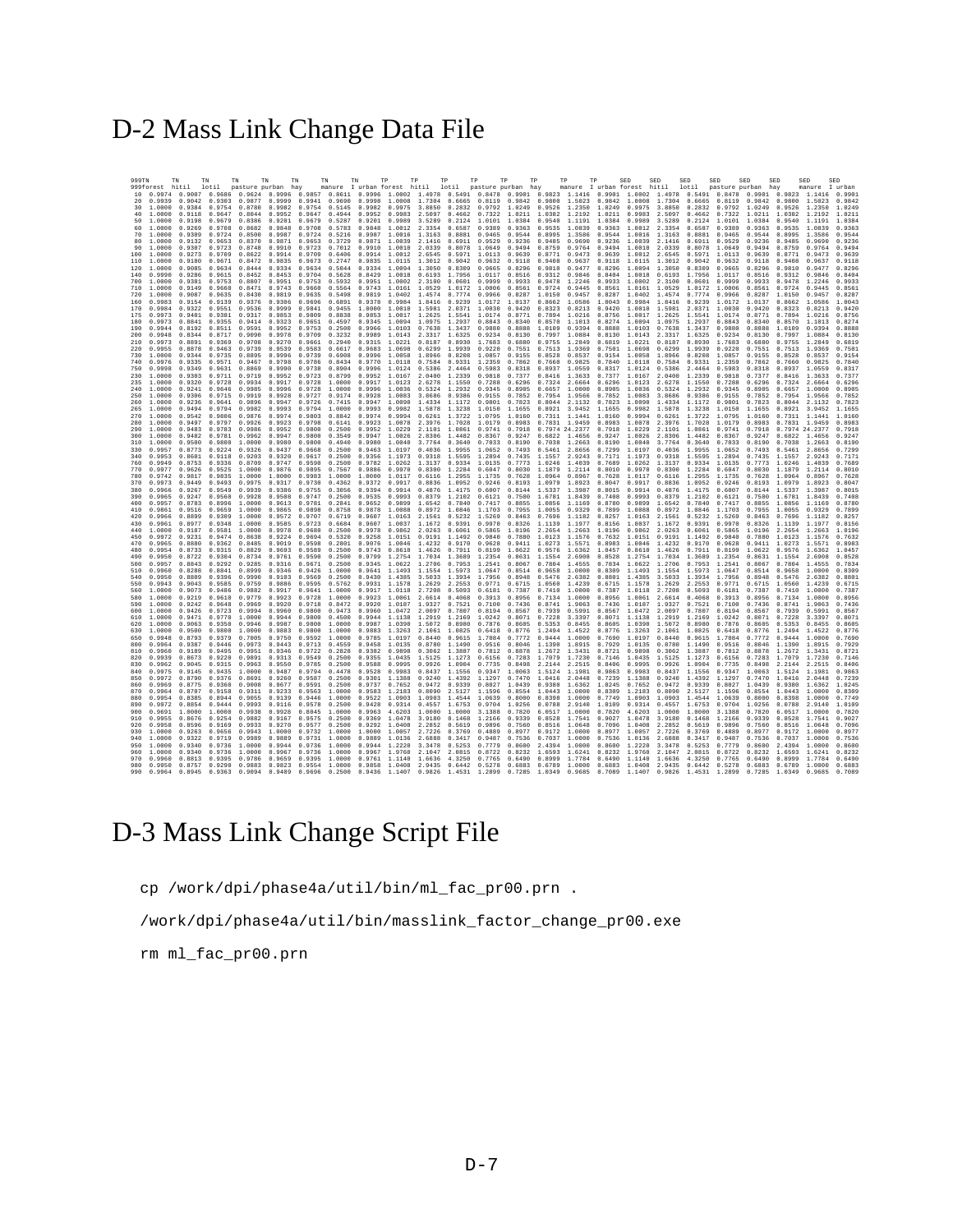## D-2 Mass Link Change Data File

| 999TN      | 999forest hitil      | TN                      | TN                      | TN               | TN                                                                              | TN                      | TN                             | TN<br>manure I urban forest hitil lotil pasture purban hay                                                             | TP<br>TP                              |               | TP     | TP                   | TP                   | TP                                                                                                                               | TP               | TP                             | SED                                | SED                                   | SED                            | SED                                                                                                                                                                                                                                                                                                                                                                             | SED<br>SED |                                | SED              | SED                            |
|------------|----------------------|-------------------------|-------------------------|------------------|---------------------------------------------------------------------------------|-------------------------|--------------------------------|------------------------------------------------------------------------------------------------------------------------|---------------------------------------|---------------|--------|----------------------|----------------------|----------------------------------------------------------------------------------------------------------------------------------|------------------|--------------------------------|------------------------------------|---------------------------------------|--------------------------------|---------------------------------------------------------------------------------------------------------------------------------------------------------------------------------------------------------------------------------------------------------------------------------------------------------------------------------------------------------------------------------|------------|--------------------------------|------------------|--------------------------------|
|            |                      |                         | lotil                   |                  | pasture purban hay                                                              |                         |                                |                                                                                                                        |                                       |               |        |                      |                      |                                                                                                                                  |                  | manure I urban forest hitil    |                                    |                                       | lotil                          | pasture purban hay<br>10 0.9974 0.9007 0.9686 0.9624 0.9996 0.9657 0.8611 0.9996 1.0002 1.4978 0.5491 0.8478 0.9901 0.9823 1.1416 0.9901 1.0002 1.4978 0.5491 0.8478 0.9901 0.9823 1.1416                                                                                                                                                                                       |            |                                | manure           | I urban<br>0.9901              |
| 20         | 0.9939               |                         |                         |                  |                                                                                 |                         |                                | 0.9042 0.9303 0.9877 0.9999 0.9941 0.9690 0.9998 1.0008                                                                |                                       |               |        |                      |                      | 1.7304 0.6665 0.8119 0.9842 0.9800 1.5023 0.9842 1.0008                                                                          |                  |                                |                                    |                                       |                                | 1.7304 0.6665 0.8119 0.9842 0.9800 1.5023                                                                                                                                                                                                                                                                                                                                       |            |                                |                  | 0.9842                         |
| 30         | 1.0000<br>1.0000     | 0.9118                  |                         |                  |                                                                                 |                         |                                |                                                                                                                        |                                       |               |        |                      |                      |                                                                                                                                  |                  |                                |                                    |                                       |                                | 0.9384 0.9754 0.8780 0.9982 0.9754 0.5145 0.9982 0.9975 3.8850 0.2832 0.9792 1.0249 0.9526 1.2350 1.0249 0.9975 3.8850 0.2832 0.9792 1.0249 0.9526 1.2350<br>0.9647 0.8044 0.9952 0.9647 0.4944 0.9952 0.9983 2.5097 0.4662 0.7322 1.0211 1.0382 1.2192 1.0211 0.9983 2.5097 0.4662 0.7322 1.0211 1.0382 1.2192                                                                 |            |                                |                  | 1.0249<br>1.0211               |
| 50         | 1.0000               | 0.9198                  | 0.9679                  |                  |                                                                                 |                         |                                | 0.8386 0.9201 0.9679 0.5287 0.9201 0.9989                                                                              |                                       |               |        |                      |                      | 3.5289 0.2124 1.0101 1.0384 0.9540 1.1191 1.0384 0.9989                                                                          |                  |                                |                                    |                                       |                                | 3.5289 0.2124 1.0101 1.0384 0.9540 1.1191                                                                                                                                                                                                                                                                                                                                       |            |                                |                  | 1.0384                         |
| 60         | 1.0000               | 0.9269                  | 0.9708                  | 0.8682           | 0.9848                                                                          | 0.9708                  | 0.5783                         | 0.9848                                                                                                                 | 1.0012 2.3354 0.6587 0.9389           |               |        |                      |                      | 0.9363 0.9535 1.0839                                                                                                             |                  | 0.9363 1.0012                  |                                    |                                       | 2.3354 0.6587                  | 0.9389 0.9363                                                                                                                                                                                                                                                                                                                                                                   |            | 0.9535                         | 1.0839           | 0.9363                         |
| 70<br>80   | 1.0000<br>1.0000     | 0.9309<br>0.9132        | 0.9724<br>0 9653 0 8370 | 0.8500           | 0.9987                                                                          | 0 9871 0 9653 0 3729    | $0.9724$ 0.5216                |                                                                                                                        | 0.9987 1.0016<br>0.9871 1.0039        |               |        | 2.1416 0.6911 0.9529 | 0.9236               | 1.3163 0.8881 0.9465 0.9544 0.8995<br>0.9485                                                                                     | 1.3586<br>0.9690 |                                | 0.9544 1.0016<br>0.9236 1.0039     |                                       |                                | 1.3163 0.8881 0.9465 0.9544<br>2 1416 0 6911 0 9529 0 9236                                                                                                                                                                                                                                                                                                                      |            | 0.8995<br>0.9485               | 1.3586<br>0.9690 | 0.9544<br>0 9236               |
| 90         | 1.0000               | 0.9307                  | 0.9723                  | 0.8748           | 0.9910                                                                          | 0.9723                  | 0.7012                         | 0.9910                                                                                                                 | 1.0010                                | 2.0339        | 0.8078 | 1.0649               | 0.9494               | 0.8759                                                                                                                           | 0.9764           | 0.9494                         | 1.0010                             | 2.0339                                | 0.8078                         | 1.0649                                                                                                                                                                                                                                                                                                                                                                          | 0.9494     | 0.8759                         | 0.9764           | 0.9494                         |
| 100        | 1.0000               | 0.9273                  | 0.9709                  | 0.8622           | 0.9914                                                                          |                         | 0.9709 0.6406                  |                                                                                                                        |                                       |               |        |                      |                      | 0.9914 1.0012 2.6545 0.5971 1.0113 0.9639 0.8771 0.9473                                                                          |                  |                                |                                    |                                       |                                | 0.9639 1.0012 2.6545 0.5971 1.0113 0.9639                                                                                                                                                                                                                                                                                                                                       |            | 0.8771                         | 0 9473           | 0.9639                         |
| 110<br>120 | 1.0000<br>1,0000     | 0.9180<br>0.9085        | 0.9634                  | 0.8444           | 0 9671 0 8472 0 9835<br>0.9334                                                  |                         | 0.9673 0.2747<br>0.9634 0.5044 |                                                                                                                        | 0.9334 1.0094                         | 1.3050        | 0.8309 | 0.9665               |                      | 0.8296 0.9810                                                                                                                    | 0.9477           | 0.8296                         | 1.0094                             | 1.3050                                | 0.8309                         | 0.9835 1.0115 1.3012 0.9042 0.9632 0.9118 0.9408 0.9637 0.9118 1.0115 1.3012 0.9042 0.9632 0.9118<br>0.9665 0.8296                                                                                                                                                                                                                                                              |            | 0.9408<br>0.9810               | 0.9637<br>0.9477 | 0.9118<br>0.8296               |
| 140        | 0.9990               |                         |                         |                  | 0.9286 0.9615 0.8452 0.8453 0.9704 0.5628                                       |                         |                                |                                                                                                                        |                                       |               |        |                      |                      |                                                                                                                                  |                  |                                |                                    |                                       |                                | 0.8429 1.0018 0.6193 1.7956 1.0117 0.8516 0.9312 0.9846 0.8404 1.0018 0.6193 1.7956 1.0117 0.8516 0.9312 0.9846                                                                                                                                                                                                                                                                 |            |                                |                  | 0.8404                         |
| 700        | 1,0000               |                         |                         |                  |                                                                                 |                         |                                |                                                                                                                        |                                       |               |        |                      |                      |                                                                                                                                  |                  |                                |                                    |                                       |                                | 0.9381 0.9753 0.8807 0.9951 0.9753 0.5932 0.9951 1.0002 2.3100 0.0601 0.9999 0.9933 0.9478 1.2246 0.9933 1.0002 2.3100 0.0601 0.9999 0.9933                                                                                                                                                                                                                                     |            | 0.9478                         | 1.2246           | 0.9933                         |
| 710<br>720 | 1,0000<br>1,0000     | 0.9149<br>0.9087        | 0.9660<br>0.9635        | 0.8471           | 0.9743<br>0.8430 0.9819                                                         | 0.9660                  | 0.5564<br>0.9635 0.5498        | 0.9743                                                                                                                 | 1.0161                                | 1.0529        |        |                      | 1.0172 1.0006 0.8561 | 0.9724 0.9445                                                                                                                    |                  |                                | $0.8561$ 1.0161                    |                                       | 1.0529 1.0172                  | 1.0006 0.8561<br>0.9819 1.0402 1.4574 0.7774 0.9966 0.8287 1.0150 0.9457 0.8287 1.0402 1.4574 0.7774 0.9966 0.8287                                                                                                                                                                                                                                                              |            | 0.9724 0.9445                  |                  | 0.8561<br>1.0150 0.9457 0.8287 |
| 160        | 0.9983               |                         |                         |                  |                                                                                 |                         |                                |                                                                                                                        |                                       |               |        |                      |                      |                                                                                                                                  |                  |                                |                                    |                                       |                                | 0.9154 0.9139 0.9376 0.9306 0.9696 0.6891 0.9378 0.9984 1.8416 0.9239 1.0172 1.0137 0.8662 1.0586 1.0043 0.9984 1.8416 0.9239 1.0172 1.0137 0.8662 1.0586                                                                                                                                                                                                                       |            |                                |                  | 1,0043                         |
| 170        | 0.9984               | 0.9322                  | 0.9551                  | 0.9536           | 0.9999                                                                          | 0.9841                  | 0.9455                         | 1.0000                                                                                                                 | 1.0010                                |               |        | 1.5981 2.0371 1.0030 | 0.9420               |                                                                                                                                  |                  | 0.8323 0.8213 0.9420 1.0010    |                                    |                                       | 1.5981 2.0371                  | 1.0030 0.9420                                                                                                                                                                                                                                                                                                                                                                   |            | 0.8323 0.8213                  |                  | 0.9420                         |
| 175<br>180 | 0.9973<br>0.9973     |                         |                         |                  |                                                                                 |                         |                                |                                                                                                                        |                                       |               |        |                      |                      |                                                                                                                                  |                  |                                |                                    |                                       |                                | 0.9401 0.9381 0.9317 0.9853 0.9809 0.8838 0.9853 1.0017 1.2625 1.5541 1.0174 0.8771 0.7894 1.0216 0.8756 1.0017 1.2625 1.5541 1.0174 0.8771 0.7894 1.0216 0.8756<br>0.8841 0.9355 0.9414 0.9323 0.9651 0.4597 0.9345 1.0094 1.0975 1.2937 0.8843 0.8340 0.8570 1.1013 0.8274 1.0094 1.0975 1.2937 0.8843 0.8340                                                                 |            |                                |                  | 0.8570 1.1013 0.8274           |
| 190        | 0 9944               | 0.8192                  | 0.8511                  |                  | 0.9591 0.9952                                                                   | 0.9753                  | 0.2500                         | 0.9966                                                                                                                 | 1.0103                                | 0.7638        | 1.3437 | 0.9880               | 0.8888               | 1.0109                                                                                                                           |                  | 0.9394 0.8888 1.0103           |                                    |                                       | 0.7638 1.3437                  | 0.9880 0.8888                                                                                                                                                                                                                                                                                                                                                                   |            | 1.0109 0.9394                  |                  | 0.8888                         |
| 200<br>210 | 0.9948               | 0.8344 0.8717           |                         | 0.9090           | 0.9978                                                                          | 0.9709                  | 0.3232                         |                                                                                                                        |                                       |               |        |                      |                      |                                                                                                                                  |                  |                                |                                    |                                       |                                | 0.9989 1.0143 2.3317 1.6325 0.9234 0.8130 0.7997 1.0884 0.8130 1.0143 2.3317 1.6325 0.9234 0.8130                                                                                                                                                                                                                                                                               |            | 0.7997 1.0884                  |                  | 0.8130                         |
| 220        | 0.9973<br>0.9955     | 0.8891<br>0.8878        | 0.9369<br>0.9463        | 0.9708<br>0.9739 | 0.9270<br>0.9539                                                                |                         | 0.9661 0.2940<br>0.9583 0.6617 |                                                                                                                        | 0.9683 1.0698                         | 0.6299        | 1.9939 | 0.9220               |                      | 0.9315 1.0221 0.8187 0.8930 1.7683 0.6880 0.9755 1.2849<br>0.7551 0.7513 1.9369                                                  |                  |                                | 0.7501 1.0698                      | 0.6819 1.0221 0.8187 0.8930           | 0.6299 1.9939                  | 1.7683 0.6880<br>0.9220 0.7551 0.7513                                                                                                                                                                                                                                                                                                                                           |            | 0.9755                         | 1.2849<br>1.9369 | 0.6819<br>0.7501               |
| 730        | 1.0000               | 0.9344                  | 0.9735                  | 0.8895           | 0.9996                                                                          | 0.9739                  | 0.6908                         | 0.9996                                                                                                                 | 1.0058                                | 1.8966 0.8208 |        |                      | 1.0857 0.9155        | 0.8528                                                                                                                           | 0.8537           |                                | 0.9154 1.0058                      |                                       | 1.8966 0.8208                  | 1.0857 0.9155                                                                                                                                                                                                                                                                                                                                                                   |            | 0.8528                         | 0.8537           | 0.9154                         |
| 740<br>750 | 0.9976<br>0.9998     | 0.9335<br>0.9349        | 0.9571                  | 0 9467           | 0.9798<br>0.9631 0.8869 0.9990                                                  |                         | 0.9786 0.8434<br>0.9738 0.8904 | 0.9770<br>0.9996                                                                                                       | 1.0118<br>1 0124 0 5386 2 4464 0 5983 |               |        |                      | 0 8318               | 0.7584 0.9331 1.2359 0.7862 0.7660 0.9825                                                                                        | 0.8937 1.0559    |                                | 0.7840 1.0118<br>$0.8317$ $1.0124$ |                                       | 0.7584 0.9331                  | 1.2359 0.7862<br>0.5386 2.4464 0.5983 0.8318                                                                                                                                                                                                                                                                                                                                    |            | 0.7660 0.9825<br>0.8937 1.0559 |                  | 0.7840<br>0.8317               |
| 230        | 1.0000               | 0.9303                  | 0.9711                  | 0.9719           | 0.9952                                                                          |                         | 0.9723 0.8799                  | 0.9952                                                                                                                 | 1.0167                                | 2.0400        | 1.2339 | 0.9818               | 0.7377               | 0.8416 1.3633                                                                                                                    |                  | 0.7377                         | 1.0167                             | 2.0400                                | 1.2339                         | 0.9818 0.7377                                                                                                                                                                                                                                                                                                                                                                   |            | 0.8416                         | 1.3633           | 0.7377                         |
| 235        | 1,0000               | 0.9320                  | 0.9728                  |                  | 0.9934 0.9917                                                                   | 0.9728                  | 1,0000                         |                                                                                                                        |                                       |               |        |                      |                      | 0.9917 1.0123 2.6278 1.1550 0.7288 0.6296 0.7324 2.6664 0.6296 1.0123                                                            |                  |                                |                                    |                                       | 2.6278 1.1550                  | 0.7288 0.6296                                                                                                                                                                                                                                                                                                                                                                   |            | 0.7324 2.6664                  |                  | 0.6296                         |
| 240<br>250 | 1.0000<br>1.0000     | 0.9241 0.9646<br>0.9306 | 0.9715                  | 0.9985<br>0.9919 | 0.9928                                                                          | 0.9996 0.9728<br>0.9727 | 1,0000<br>0.9174               | 0.9928                                                                                                                 | 1.0083                                | 3.8686 0.9386 |        |                      |                      | 0.9996 1.0036 0.5324 1.2932 0.9345 0.8905 0.6657 1.0000<br>0.9155 0.7852 0.7954                                                  | 1.9566           | 0.8905 1.0036<br>0.7852        | 1.0083                             |                                       | 3.8686 0.9386                  | 0.5324 1.2932 0.9345 0.8905<br>0.9155 0.7852                                                                                                                                                                                                                                                                                                                                    |            | $0.6657$ 1.0000<br>0.7954      |                  | 0.8905<br>0.7852               |
| 260        | 1,0000               |                         |                         |                  |                                                                                 |                         |                                |                                                                                                                        |                                       |               |        |                      |                      |                                                                                                                                  |                  |                                |                                    |                                       |                                | 0.9236 0.9641 0.9896 0.9947 0.9726 0.7415 0.9947 1.0090 1.4334 1.1172 0.9801 0.7823 0.8044 2.1132 0.7823 1.0090 1.4334 1.1172 0.9801 0.7823 0.8044 2.1132 0.7823                                                                                                                                                                                                                |            |                                | 1.9566           |                                |
| 265        | 1.0000               |                         |                         |                  | 0.9494 0.9794 0.9982 0.9993 0.9794 1.0000                                       |                         |                                |                                                                                                                        |                                       |               |        |                      |                      |                                                                                                                                  |                  |                                |                                    |                                       |                                | 0.9993 0.9982 1.5878 1.3238 1.0150 1.1655 0.8921 3.9452 1.1655 0.9982 1.5878 1.3238 1.0150 1.1655 0.8921 3.9452 1.1655                                                                                                                                                                                                                                                          |            |                                |                  |                                |
| 270<br>280 | 1,0000<br>1.0000     | 0.9542<br>0.9497        | 0.9806<br>0.9797        | 0.9876           | 0.9974<br>0.9926 0.9923 0.9798                                                  | 0.9803                  | 0.8842<br>0.6141               | 0.9974                                                                                                                 |                                       |               |        |                      |                      | 0.9994 0.6261 1.3722 1.0795 1.0160 0.7311 1.1441 1.0160                                                                          |                  |                                | 0.9994                             |                                       | 0.6261 1.3722                  | 1.0795 1.0160<br>0.9923 1.0078 2.3976 1.7028 1.0179 0.8983 0.7831 1.9459 0.8983 1.0078 2.3976 1.7028 1.0179 0.8983 0.7831 1.9459 0.8983                                                                                                                                                                                                                                         |            | $0.7311$ $1.1441$              |                  | 1.0160                         |
| 290        | 1.0000               |                         |                         |                  | 0.9483 0.9783 0.9986 0.9952 0.9800 0.2500                                       |                         |                                |                                                                                                                        |                                       |               |        |                      |                      | 0.9952 1.0229 2.1101 1.0861 0.9741 0.7918 0.7974 24.2377 0.7918 1.0229                                                           |                  |                                |                                    |                                       |                                | 2.1101 1.0861 0.9741 0.7918                                                                                                                                                                                                                                                                                                                                                     |            |                                |                  | 0.7974 24.2377 0.7918          |
| 300        | 1,0000               | 0.9482                  | 0.9781                  | 0.9962           | 0.9947                                                                          | 0.9800                  | 0.3549                         | 0.9947                                                                                                                 | 1.0026                                | 2.8306        | 1.4482 | 0.8367               | 0.9247               | 0.6822 1.4656                                                                                                                    |                  | 0.9247                         | 1.0026                             | 2.8306                                | 1.4482                         | 0.8367 0.9247                                                                                                                                                                                                                                                                                                                                                                   |            | 0.6822 1.4656                  |                  | 0.9247                         |
| 310<br>330 | 1.0000<br>0.9957     | 0.9500<br>0.8773        | 0.9800                  |                  | 1.0000 0.9980<br>0.9224 0.9326 0.9437                                           |                         | 0.9800 0.4940<br>0.9668 0.2500 | 0.9980 1.0040                                                                                                          |                                       |               |        |                      |                      | 3.7764 0.3640 0.7033 0.8190 0.7038 1.2663 0.8190 1.0040                                                                          |                  |                                |                                    |                                       |                                | 3.7764 0.3640 0.7033 0.8190 0.7038 1.2663 0.8190<br>0.9463 1.0197 0.4036 1.9955 1.0652 0.7493 0.5461 2.8656 0.7299 1.0197 0.4036 1.9955 1.0652 0.7493 0.5461 2.8656                                                                                                                                                                                                             |            |                                |                  | 0.7299                         |
| 340        | 0.9953               | 0.8601                  | 0.9118                  | 0.9203           | 0.9320                                                                          | 0.9617                  | 0.2500                         | 0.9356                                                                                                                 | 1.1973                                | 0.9318        | 1.5595 | 1.2894               |                      | 0.7435 1.1557 2.9243                                                                                                             |                  |                                | 0.7171 1.1973                      |                                       | 0.9318 1.5595                  | 1.2894 0.7435                                                                                                                                                                                                                                                                                                                                                                   |            | 1.1557                         | 2.9243           | 0.7171                         |
| 760        | 0.9949               | 0.8753                  | 0 9336                  | 0.8709           |                                                                                 | 0.9747 0.9590           | 0.2500                         | 0.9782                                                                                                                 | 1 0262                                |               |        |                      |                      | 1.3137 0.9334 1.0135 0.7773 1.0246 1.4039                                                                                        |                  | 0.7689                         | 1 0262                             |                                       |                                | 1 3137 0 9334 1 0135 0 7773                                                                                                                                                                                                                                                                                                                                                     |            | 1 0 2 4 6                      | 1 4039           | 0.7689                         |
| 770<br>780 | 0.9977<br>0 9742     | 0.9626<br>0.9817        | 0 9525<br>0 9835        | 1.0000           | 1.0000 0.9876 0.9895 0.7567<br>1.0000                                           | 0.9983                  | 1.0000                         | 1.0000                                                                                                                 | 0.9886 0.9970<br>1.0117               | 0.6116        | 1.2955 | 1.1735               | 0.7628               | 0.8300 1.2284 0.6047 0.8030 1.1879 1.2114 0.8010 0.9970                                                                          | 1.0964 0.8967    |                                | 0.7628 1.0117                      |                                       | 0.6116 1.2955                  | 0.8300 1.2284 0.6047 0.8030<br>1.1735 0.7628                                                                                                                                                                                                                                                                                                                                    |            | 1.1879<br>1.0964 0.8967        | 1.2114           | 0.8010<br>0.7628               |
|            | 370 0.9973           | 0.9449                  | 0.9493                  |                  | 0.9975 0.9317                                                                   |                         |                                |                                                                                                                        |                                       |               |        |                      |                      |                                                                                                                                  |                  |                                |                                    |                                       |                                | 0.9730 0.4362 0.9372 0.9917 0.8836 1.0952 0.9246 0.8193 1.0979 1.8923 0.8047 0.9917 0.8836 1.0952 0.9246 0.8193                                                                                                                                                                                                                                                                 |            | 1.0979 1.8923                  |                  | 0.8047                         |
| 380        | 0.9966               | 0 9267                  | 0 9549                  | 0 9939           | 0 9386                                                                          | 0.9755                  | 0.3056                         |                                                                                                                        | 0.9394 0.9914 0.4876 1.4175           |               |        |                      |                      | 0.6007 0.8144 1.5337 1.3987                                                                                                      |                  |                                |                                    |                                       |                                | 0.8015 0.9914 0.4876 1.4175 0.6007 0.8144                                                                                                                                                                                                                                                                                                                                       |            | 1 5337 1 3987                  |                  | 0.8015                         |
| 390<br>400 | 0.9965<br>0.9957     | 0.9247<br>0.8783        | 0.9560<br>0.8996        | 0.9928<br>1.0000 | 0.9508<br>0.9613                                                                |                         | 0.9747 0.2500                  | 0.9535<br>0.9781 0.2841 0.9652 0.9899                                                                                  | 0.9993                                | 0.8379        | 1.2102 |                      |                      | 0.6121 0.7500 1.6781 1.8439<br>1.6542 0.7840 0.7417 0.8855 1.0856                                                                | 1.1169           | 0.7408<br>0.8780               | 0.9993<br>0.9899                   |                                       | 1.6542 0.7840                  | 0.8379 1.2102 0.6121 0.7500<br>0.7417 0.8855                                                                                                                                                                                                                                                                                                                                    |            | 1.6781<br>1.0856               | 1.8439<br>1.1169 | 0.7408<br>0.8780               |
| 410        | 0.9861               | 0.9516                  | 0.9659                  | 1,0000           | 0.9865                                                                          | 0.9898                  | 0.8758                         | 0.9878                                                                                                                 |                                       |               |        |                      |                      | 1.0088 0.8972 1.0846 1.1703 0.7955 1.0055 0.9329                                                                                 |                  | 0.7899 1.0088                  |                                    |                                       | 0.8972 1.0846                  | 1.1703 0.7955                                                                                                                                                                                                                                                                                                                                                                   |            | 1.0055 0.9329                  |                  | 0.7899                         |
| 420        | 0.9966               | 0.8899                  | 0 9309                  | 1,0000           |                                                                                 | 0.9572 0.9707 0.6719    |                                |                                                                                                                        |                                       |               |        |                      |                      | 0.9607 1.0163 2.1561 0.5232 1.5269 0.8463 0.7696 1.1182                                                                          |                  |                                |                                    |                                       |                                | 0.8257 1.0163 2.1561 0.5232 1.5269 0.8463 0.7696 1.1182                                                                                                                                                                                                                                                                                                                         |            |                                |                  | 0.8257                         |
| 430<br>440 | 0.9961<br>1.0000     | 0.8977<br>0.9187        | 0.9348<br>0 9581        | 1,0000           | 0.9585<br>1.0000 0.9978                                                         | 0.9723                  | 0.6684<br>0.9680 0.2500        | 0.9607                                                                                                                 | 1.0037 1.1672 0.9391                  |               |        |                      |                      | 0.9970 0.8326 1.1139                                                                                                             | 1.1977           | 0.8156                         | 1.0037                             |                                       | 1.1672 0.9391                  | 0.9970 0.8326<br>0.9978 0.9862 2.0263 0.6061 0.5865 1.0196 2.2654 1.2663 1.0196 0.9862 2.0263 0.6061 0.5865 1.0196                                                                                                                                                                                                                                                              |            | 1.1139<br>2.2654 1.2663        | 1.1977           | 0.8156<br>1.0196               |
| 450        | 0.9972               |                         |                         |                  |                                                                                 |                         |                                | 0.9231 0.9474 0.8638 0.9224 0.9694 0.5320 0.9258 1.0151 0.9191 1.1492 0.9840 0.7880 1.0123 1.1576                      |                                       |               |        |                      |                      |                                                                                                                                  |                  |                                |                                    |                                       |                                | 0.7632 1.0151 0.9191 1.1492 0.9840 0.7880                                                                                                                                                                                                                                                                                                                                       |            | 1.0123 1.1576                  |                  | 0.7632                         |
| 470<br>480 | 0.9965<br>0.9954     | 0.8880<br>0.8733        | 0.9362<br>0 9315        | 0.8485<br>0.8829 | 0.9019<br>0.9693                                                                | 0.9598<br>0.9589        | 0.2801<br>0.2500               | 0.9076                                                                                                                 | 1.0046                                | 1.4232 0.9170 |        | 0.9628               |                      | $0.9411$ 1.0273                                                                                                                  | 1.5571           | 0.8983                         | 1.0046                             |                                       | 1.4232 0.9170                  | 0.9628 0.9411<br>0.9743 0.8610 1.4626 0.7911 0.8199 1.0622 0.9576 1.6362 1.0457 0.8610 1.4626 0.7911 0.8199 1.0622 0.9576                                                                                                                                                                                                                                                       |            | 1.0273                         | 1.5571<br>1.6362 | 0.8983<br>1.0457               |
|            | 490 0.9950           | 0.8722                  |                         |                  | 0.9304 0.8734 0.9761 0.9590 0.2500                                              |                         |                                |                                                                                                                        |                                       |               |        |                      |                      | 0.9799 1.2754 1.7034 1.3689 1.2354 0.8631 1.1554 2.6908                                                                          |                  |                                |                                    | 0.8528 1.2754 1.7034 1.3689           |                                | 1.2354 0.8631 1.1554 2.6908                                                                                                                                                                                                                                                                                                                                                     |            |                                |                  | 0.8528                         |
| 500        | 0.9957               | 0.8843                  | 0.9292                  | 0.9285           | 0.9316                                                                          | 0.9671                  | 0.2500                         | 0.9345                                                                                                                 | 1.0622                                | 1.2706        | 0.7953 | 1.2541               | 0.8067               | 0.7804                                                                                                                           | 1.4555           | 0.7834                         | 1.0622                             |                                       | 1.2706 0.7953                  | 1.2541 0.8067                                                                                                                                                                                                                                                                                                                                                                   |            | 0.7804                         | 1.4555           | 0.7834                         |
| 540        | 510 0.9960<br>0.9950 | 0.8288<br>0.8809        |                         |                  | 0.8841 0.8999 0.9346<br>0.9396 0.9990 0.9103                                    | 0.9426<br>0.9569        | 1.0000<br>0.2500               |                                                                                                                        |                                       |               |        |                      |                      | 0.9641 1.1493 1.1554 1.5973 1.0647 0.8514 0.9658 1.0000<br>0.9430 1.4385 3.5033 1.3934 1.7956 0.8948 0.5476 2.6382 0.8801 1.4385 |                  |                                |                                    |                                       | 3.5033 1.3934                  | 0.8309 1.1493 1.1554 1.5973 1.0647 0.8514 0.9658 1.0000<br>1.7956 0.8948                                                                                                                                                                                                                                                                                                        |            | 0.5476 2.6382                  |                  | 0.8309<br>0.8801               |
| 550        | 0.9943               | 0.9043                  | 0.9585                  | 0 9759           | 0.9886                                                                          | 0.9595                  | 0.5762                         | 0.9931                                                                                                                 | 1.1578                                | 1.2629        | 2.2553 |                      | 0.9771 0.6715        | 1.0560                                                                                                                           | 1.4239           |                                | 0.6715 1.1578                      | 1.2629                                | 2.2553                         | 0.9771 0.6715                                                                                                                                                                                                                                                                                                                                                                   |            | 1.0560                         | 1.4239           | 0.6715                         |
| 560        | 1.0000               | 0.9073                  | 0 9486                  |                  | 0 9882 0 9917                                                                   | 0 9641                  | 1.0000                         |                                                                                                                        | 0.9917 1.0118                         |               |        |                      |                      | 2 7208 0 5093 0 6181 0 7387 0 7410 1 0000                                                                                        |                  |                                | 0.7387 1.0118                      |                                       | 2 7208 0 5093                  | 0.6181 0.7387                                                                                                                                                                                                                                                                                                                                                                   |            | 0.7410                         | 1.0000           | 0.7387                         |
| 580<br>590 | 1.0000<br>1,0000     | 0.9219<br>0.9242        | 0.9610<br>0.9648        | 0.9779<br>0.9969 | 0.9923<br>0.9920                                                                | 0.9728<br>0.9718        | 1.0000<br>0.8472               | 0.9920                                                                                                                 | 0.9923 1.0061 2.6614 0.4068<br>1.0187 | 1.9327        | 0.7521 | 0.7100               | 0.7436               | 0.3913 0.8956 0.7134 1.0000<br>0.8741                                                                                            | 1.9063           | 0.7436                         | 1.0187                             | 0.8956 1.0061 2.6614 0.4068<br>1.9327 | 0.7521                         | 0.3913 0.8956<br>0.7100                                                                                                                                                                                                                                                                                                                                                         | 0.7436     | 0.7134<br>0.8741               | 1.0000<br>1.9063 | 0.8956<br>0.7436               |
| 600        | 1.0000               | 0 9426                  | 0 9723                  |                  | 0.9994 0.9960                                                                   |                         | 0.9800 0.9473                  |                                                                                                                        |                                       |               |        |                      |                      | 0.9960 1.0472 2.0097 0.7807 0.8194 0.8567 0.7939 0.5991 0.8567 1.0472 2.0097 0.7807                                              |                  |                                |                                    |                                       |                                | 0.8194 0.8567                                                                                                                                                                                                                                                                                                                                                                   |            | 0.7939 0.5991                  |                  | 0.8567                         |
| 610        | 1,0000               | 0.9471 0.9770           |                         |                  | 1.0000 0.9944                                                                   |                         | 0.9800 0.4500                  |                                                                                                                        |                                       |               |        |                      |                      | 0.9944 1.1138 1.2919 1.2169 1.0242 0.8071 0.7228 3.3397 0.8071 1.1138                                                            |                  |                                |                                    |                                       | 1.2919 1.2169                  | 1.0242 0.8071 0.7228                                                                                                                                                                                                                                                                                                                                                            |            |                                | 3.3397           | 0.8071                         |
| 620<br>630 | 1,0000<br>1.0000     | 0.9063<br>0.9500        | 0.9350<br>0.9800        | 0.9946<br>1,0000 | 0.9987                                                                          | 0.9800<br>0.9883 0.9800 | 1,0000<br>1,0000               | 0.9987                                                                                                                 | 1.0390                                | 1.5072 0.8980 |        | 0.7876               |                      | 0.8605 0.5353 0.8455<br>0.9883 1.3263 2.1061 1.0825 0.6418 0.8776 1.2494 1.4522                                                  |                  | 0.8776 1.3263                  | 0.8605 1.0390                      |                                       | 1,5072 0.8980<br>2.1061 1.0825 | 0.7876 0.8605<br>0.6418 0.8776                                                                                                                                                                                                                                                                                                                                                  |            | 0.5353 0.8455<br>1.2494 1.4522 |                  | 0.8605<br>0.8776               |
| 650        | 0.9948               | 0.8793                  | 0.9379                  | 0.7005           | 0.9750                                                                          | 0.9592                  | 1.0000                         |                                                                                                                        |                                       |               |        |                      |                      | 0.9785 1.0197 0.8440 0.9615 1.7084 0.7772 0.9444 1.0000 0.7690 1.0197 0.8440 0.9615                                              |                  |                                |                                    |                                       |                                | 1.7084 0.7772                                                                                                                                                                                                                                                                                                                                                                   |            | 0.9444 1.0000                  |                  | 0.7690                         |
| 800<br>810 | 0.9964<br>0.9960     | 0.9387                  | 0.9446                  |                  | 0.9973 0.9443                                                                   |                         | 0.9713 0.4559                  | 0.9458                                                                                                                 | 1.0135                                | 0.8780 1.1490 |        | 0.9516               |                      | 0.8046 1.1390 1.8915 0.7929                                                                                                      |                  |                                | 1.0135                             |                                       | 0.8780 1.1490                  | 0.9516 0.8046                                                                                                                                                                                                                                                                                                                                                                   |            |                                |                  | 1.1390 1.8915 0.7929           |
| 820        | 0.9939               | 0.9189                  |                         |                  | 0.9495 0.9951 0.9346 0.9722 0.2828<br>0.8673 0.9220 0.9891 0.9313 0.9549 0.2500 |                         |                                |                                                                                                                        |                                       |               |        |                      |                      | $0.9382 \quad 0.9898 \quad 0.3062 \quad 1.3887 \quad 0.7812 \quad 0.8878 \quad 1.2672 \quad 1.3431 \quad 0.8721 \quad 0.9898$    |                  |                                |                                    |                                       |                                | 0.3062 1.3887 0.7812 0.8878<br>0.9355 1.0435 1.5125 1.1273 0.6156 0.7283 1.7079 1.7230 0.7146 1.0435 1.5125 1.1273 0.6156 0.7283                                                                                                                                                                                                                                                |            | 1.7079 1.7230                  |                  | 1.2672 1.3431 0.8721<br>0.7146 |
| 830        | 0.9962               | 0.9045                  |                         |                  | 0.9315 0.9963 0.9550 0.9785 0.2500                                              |                         |                                |                                                                                                                        |                                       |               |        |                      |                      | 0.9588 0.9995 0.9926 1.0904 0.7735 0.8498 2.2144 2.2515 0.8406 0.9995                                                            |                  |                                |                                    |                                       |                                | 0.9926 1.0904 0.7735 0.8498                                                                                                                                                                                                                                                                                                                                                     |            | 2.2144 2.2515                  |                  | 0.8406                         |
| 840<br>850 | 0.9975<br>0.9972     | 0.9145<br>0.8790        | 0.9435<br>0 9376        | 1.0000           | 0.9487<br>$0.8691$ $0.9260$                                                     |                         | 0.9794 0.4478<br>0.9587 0.2500 | 0.9528                                                                                                                 | 0.9983 0.8437 1.1556 0.9347           |               |        |                      |                      | 1.0063 1.5124 1.1981<br>0.9301 1.1388 0.9240 1.4392 1.1297 0.7470 1.0416 2.0448                                                  |                  | 0.9863 0.9983<br>0.7239 1.1388 |                                    |                                       | 0.8437 1.1556                  | 0.9347<br>0.9240 1.4392 1.1297 0.7470                                                                                                                                                                                                                                                                                                                                           | 1.0063     | 1.5124 1.1981<br>1.0416 2.0448 |                  | 0.9863<br>0.7239               |
| 860        | 0.9969               | 0.8775                  | 0.9360                  |                  |                                                                                 |                         |                                |                                                                                                                        |                                       |               |        |                      |                      |                                                                                                                                  |                  |                                |                                    |                                       |                                | 0.9008 0.9677 0.9591 0.2500 0.9737 0.7652 0.9472 0.9339 0.8027 1.0439 0.9380 1.6362 1.0245 0.7652 0.9472 0.9339 0.8027 1.0439 0.9380 1.6362 1.0245                                                                                                                                                                                                                              |            |                                |                  |                                |
| 870        | 0.9964               | 0.8707                  | 0.9158                  | 0.9311           | 0.9233                                                                          | 0.9563                  | 1,0000                         | 0.9583                                                                                                                 | 1.2183                                | 0.8090        | 2.5127 | 1.1596               | 0.8554               | 1.0443                                                                                                                           | 1.0000           | 0.8309                         | 1.2183                             | 0.8090                                | 2.5127                         | 1.1596                                                                                                                                                                                                                                                                                                                                                                          | 0.8554     | 1.0443                         | 1,0000           | 0.8309                         |
| 880<br>890 | 0 9954<br>0.9972     | 0.8385<br>0.8854        |                         |                  | 0 8944 0 9055 0 9139<br>0.9444 0.9993 0.9116 0.9578                             | 0.9446                  |                                |                                                                                                                        |                                       |               |        |                      |                      |                                                                                                                                  |                  |                                |                                    |                                       |                                | $1.0000 \quad 0.9522 \quad 1.0903 \quad 1.0903 \quad 1.4544 \quad 1.0639 \quad 0.8000 \quad 0.8398 \quad 1.0000 \quad 0.7749 \quad 1.0903 \quad 1.0903 \quad 1.4544 \quad 1.0639 \quad 0.8000 \quad 0.8398 \quad 1.00000 \quad 0.00000 \quad 0.00000 \quad 0.00010$<br>0.2500 0.9428 0.9314 0.4557 1.6753 0.9704 1.0256 0.0788 2.9140 1.0109 0.9314 0.4557 1.6753 0.9704 1.0256 |            | 0.0788 2.9140                  |                  | 0.7749<br>1.0109               |
| 900        | 0.9691               | 1.0000                  | 1.0000                  | 0 9938           | 0 9928                                                                          | 0.8045                  | 1.0000                         | 0.9963                                                                                                                 | 4.6203                                | 1.0000        | 1.0000 | 3.1388               | 0.7820               | 6.0517                                                                                                                           | 1.0000           | 0.7820                         | 4.6203                             | 1.0000                                | 1.0000                         | 3.1388                                                                                                                                                                                                                                                                                                                                                                          | 0.7820     | 6.0517                         | 1.0000           | 0.7820                         |
| 910        | 0.9955               | 0.8676                  | 0.9254                  |                  | 0.9882 0.9167 0.9575 0.2500                                                     |                         |                                | 0.9369                                                                                                                 | 1.0478                                | 3.9180 0.1468 |        |                      |                      | 1.2166 0.9339 0.8528 1.7541 0.9027 1.0478                                                                                        |                  |                                |                                    |                                       | 3.9180 0.1468                  | 1.2166 0.9339                                                                                                                                                                                                                                                                                                                                                                   |            | 0.8528                         | 1.7541           | 0.9027                         |
| 920<br>930 | 0.9958<br>1.0000     | 0.8596<br>0.9263        | 0 9169<br>0.9656        | 0.9933<br>0.9943 | 0.9270<br>1.0000                                                                | 0.9732                  | 0.9577 0.2500<br>1,0000        | 1,0000                                                                                                                 | 1.0057                                | 2.7226        | 0.3769 | 0.4889               | 0.8977               | 0.9292 1.0408 2.2852 0.5619 0.9896 0.7560 0.8516 1.0648<br>0.9172                                                                | 1.0000           | 0.8977                         | 0.7096 1.0408<br>1.0057            |                                       | 2.7226 0.3769                  | 2.2852 0.5619 0.9896 0.7560<br>0.4889                                                                                                                                                                                                                                                                                                                                           | 0.8977     | 0.8516 1.0648<br>0.9172        | 1,0000           | 0.7096<br>0.8977               |
| 940        | 1.0000               | 0.9322                  | 0.9719                  | 0.9989           | 0.9889                                                                          | 0.9731                  | 1,0000                         | 0.9889                                                                                                                 | 1.0136                                |               |        |                      |                      | 2.6888 0.3417 0.9487 0.7536 0.7037 1.0000                                                                                        |                  | 0.7536 1.0136                  |                                    |                                       |                                | 2.6888 0.3417 0.9487 0.7536                                                                                                                                                                                                                                                                                                                                                     |            | 0.7037 1.0000                  |                  | 0.7536                         |
| 950        | 1,0000               | 0.9340                  | 0.9736                  | 1,0000           | 0.9944                                                                          | 0.9736                  | 1.0000                         |                                                                                                                        |                                       |               |        |                      |                      | 0.9944 1.2220 3.3478 0.5253 0.7779 0.8600 2.4394 1.0000                                                                          |                  | 0.8600 1.2220                  |                                    |                                       |                                | 3.3478 0.5253 0.7779 0.8600                                                                                                                                                                                                                                                                                                                                                     |            | 2.4394 1.0000                  |                  | 0.8600                         |
| 960<br>970 | 1,0000<br>0.9960     | 0.9340<br>0.8813        | 0.9736<br>0 9395        | 1.0000<br>0.9786 | 0.9967<br>0.9659                                                                | 0.9736<br>0.9395        | 1.0000<br>1.0000               | 0.9967                                                                                                                 | 1.9760                                | 2.1047 2.0815 |        |                      |                      | 0.8722 0.8232 1.6593<br>0.9761 1.1140 1.6636 4.3250 0.7765 0.6490 0.8999 1.7784 0.6490 1.1140                                    |                  | 1.6241 0.8232 1.9760           |                                    |                                       |                                | 2.1047 2.0815 0.8722 0.8232<br>1.6636 4.3250 0.7765 0.6490                                                                                                                                                                                                                                                                                                                      |            | 1.6593<br>0.8999               | 1.6241<br>1.7784 | 0.8232<br>0.6490               |
| 980        |                      |                         |                         |                  |                                                                                 |                         |                                | 0.9950 0.8757 0.9290 0.9883 0.9823 0.9554 1.0000 0.9858 1.0408 2.9435 0.6442 0.5278 0.6883 0.6789 1.0000 0.6883 1.0408 |                                       |               |        |                      |                      |                                                                                                                                  |                  |                                |                                    |                                       |                                | 2.9435 0.6442 0.5278 0.6883 0.6789 1.0000 0.6883                                                                                                                                                                                                                                                                                                                                |            |                                |                  |                                |
| 990        | 0.9964               | 0.8945                  | 0.9363                  | 0.9094           | 0.9409                                                                          | 0.9696                  | 0.2500                         | 0.9436                                                                                                                 | 1.1407                                |               |        | 0.9826 1.4531 1.2899 | 0.7285               | 1.0349                                                                                                                           |                  | 0.9685 0.7089                  | 1.1407                             |                                       | 0.9826 1.4531                  | 1.2899 0.7285                                                                                                                                                                                                                                                                                                                                                                   |            | 1.0349                         | 0.9685           | 0.7089                         |

## D-3 Mass Link Change Script File

cp /work/dpi/phase4a/util/bin/ml\_fac\_pr00.prn .

/work/dpi/phase4a/util/bin/masslink\_factor\_change\_pr00.exe

rm ml\_fac\_pr00.prn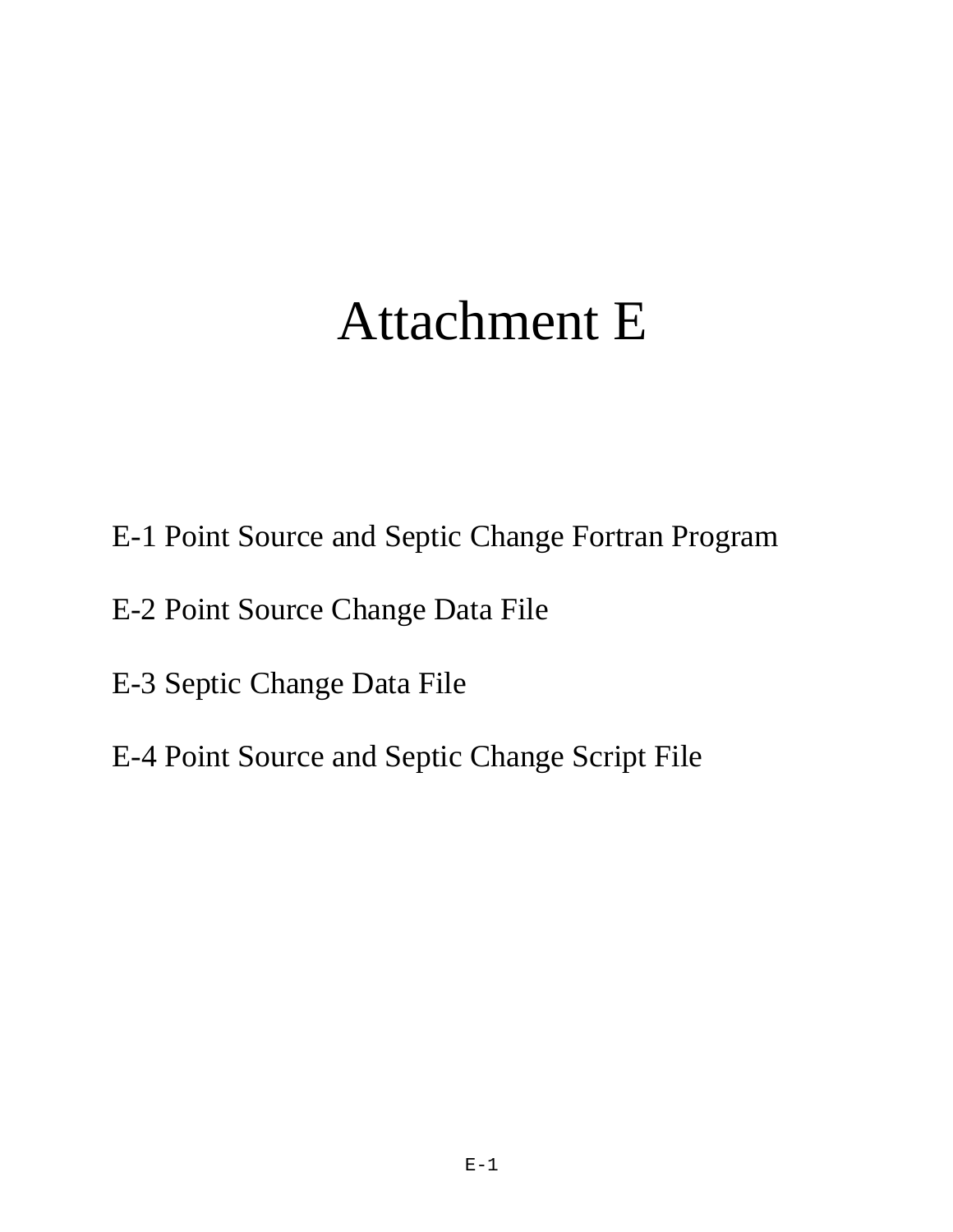# Attachment E

- E-1 Point Source and Septic Change Fortran Program
- E-2 Point Source Change Data File
- E-3 Septic Change Data File
- E-4 Point Source and Septic Change Script File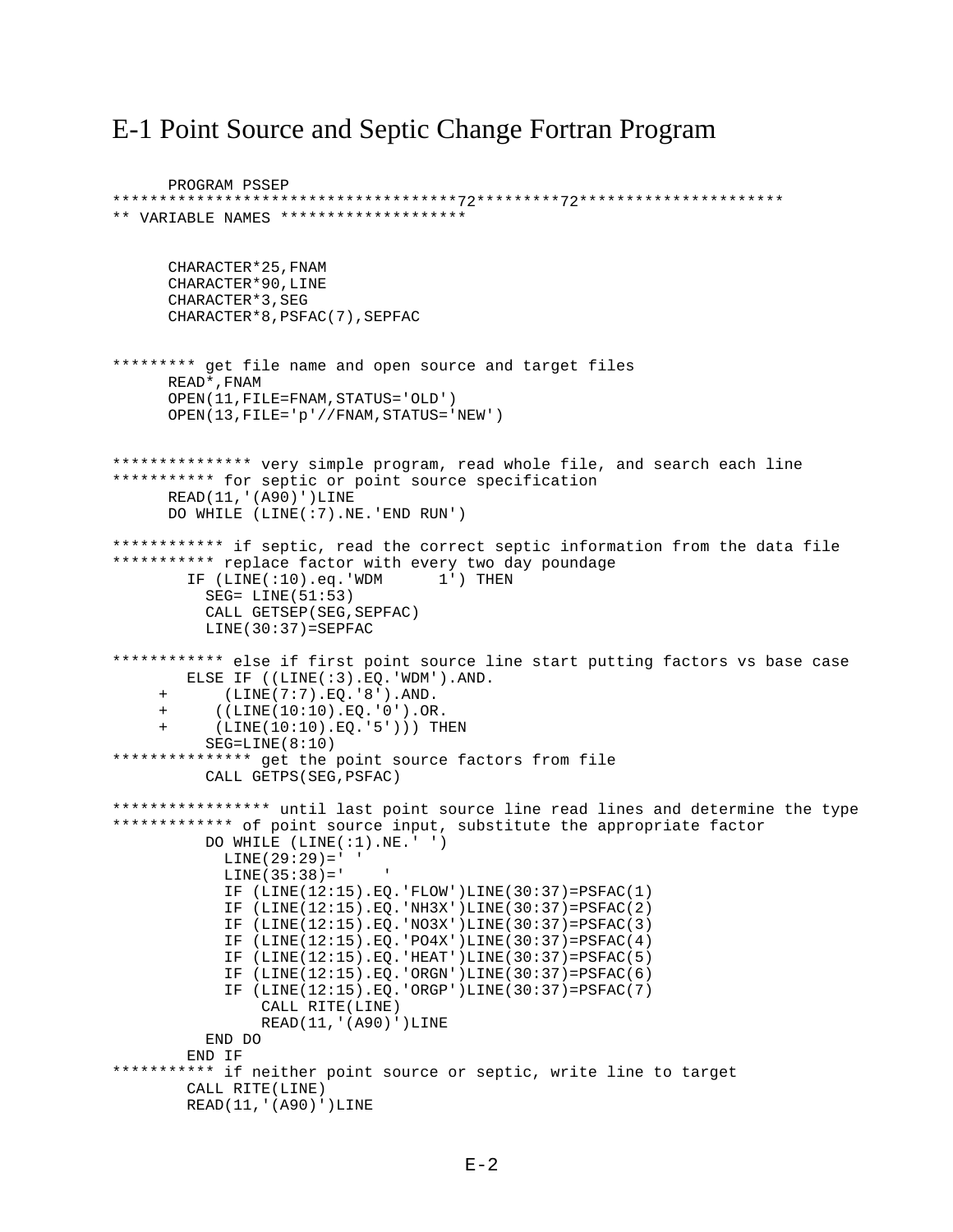### E-1 Point Source and Septic Change Fortran Program

```
PROGRAM PSSEP
*************************************72*********72**********************
** VARIABLE NAMES ********************
       CHARACTER*25,FNAM 
       CHARACTER*90,LINE
       CHARACTER*3,SEG
       CHARACTER*8,PSFAC(7),SEPFAC
********* get file name and open source and target files
      READ*,FNAM
       OPEN(11,FILE=FNAM,STATUS='OLD')
       OPEN(13,FILE='p'//FNAM,STATUS='NEW')
*************** very simple program, read whole file, and search each line
*********** for septic or point source specification
      READ(11,'(A90)')LINE
       DO WHILE (LINE(:7).NE.'END RUN')
************* if septic, read the correct septic information from the data file
*********** replace factor with every two day poundage
         IF (LINE(:10).eq.'WDM 1') THEN
           SEG= LINE(51:53)
           CALL GETSEP(SEG,SEPFAC)
          LINE(30:37)=SEPFAC************ else if first point source line start putting factors vs base case
        ELSE IF ((LINE(:3).EQ.'WDM').AND.
      + (LINE(7:7).EQ.'8').AND.
           + ((LINE(10:10).EQ.'0').OR.
      + (LINE(10:10).EQ.'5'))) THEN
          SEG=LINE(8:10)
*************** get the point source factors from file
           CALL GETPS(SEG,PSFAC)
***************** until last point source line read lines and determine the type
************* of point source input, substitute the appropriate factor
           DO WHILE (LINE(:1).NE.' ')
            LINE(29:29) = ' 'LINE(35:38) = ' IF (LINE(12:15).EQ.'FLOW')LINE(30:37)=PSFAC(1)
             IF (LINE(12:15).EQ.'NH3X')LINE(30:37)=PSFAC(2)
             IF (LINE(12:15).EQ.'NO3X')LINE(30:37)=PSFAC(3)
             IF (LINE(12:15).EQ.'PO4X')LINE(30:37)=PSFAC(4)
             IF (LINE(12:15).EQ.'HEAT')LINE(30:37)=PSFAC(5)
             IF (LINE(12:15).EQ.'ORGN')LINE(30:37)=PSFAC(6)
             IF (LINE(12:15).EQ.'ORGP')LINE(30:37)=PSFAC(7)
                 CALL RITE(LINE)
                 READ(11,'(A90)')LINE
           END DO
        END IF
*********** if neither point source or septic, write line to target
         CALL RITE(LINE)
         READ(11,'(A90)')LINE
```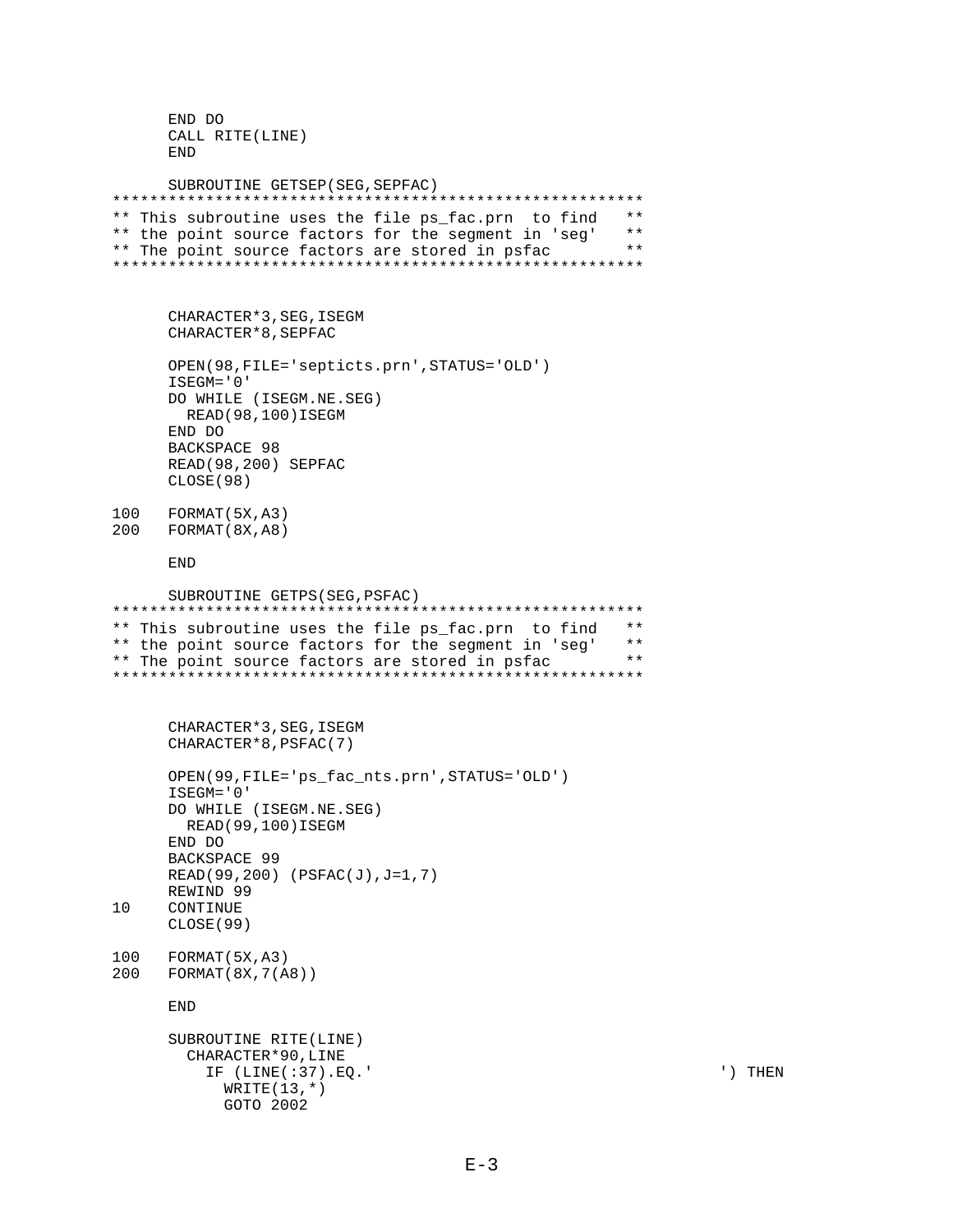```
 END DO
       CALL RITE(LINE)
       END
       SUBROUTINE GETSEP(SEG,SEPFAC)
*********************************************************
** This subroutine uses the file ps_fac.prn to find **
** the point source factors for the segment in 'seg' **<br>** The point source factors are stored in psfac **
** The point source factors are stored in psfac
*********************************************************
       CHARACTER*3,SEG,ISEGM
       CHARACTER*8,SEPFAC
       OPEN(98,FILE='septicts.prn',STATUS='OLD')
      ISEGM='0'
      DO WHILE (ISEGM.NE.SEG)
        READ(98,100)ISEGM
      END DO
      BACKSPACE 98
      READ(98,200) SEPFAC
       CLOSE(98)
100 FORMAT(5X,A3)
200 FORMAT(8X,A8)
       END
      SUBROUTINE GETPS(SEG,PSFAC)
*********************************************************
** This subroutine uses the file ps_fac.prn to find **
** the point source factors for the segment in 'seg' **<br>** The point source factors are stored in psfac **
** The point source factors are stored in psfac
*********************************************************
       CHARACTER*3,SEG,ISEGM
       CHARACTER*8,PSFAC(7)
       OPEN(99,FILE='ps_fac_nts.prn',STATUS='OLD')
      ISEGM='0'
      DO WHILE (ISEGM.NE.SEG)
        READ(99,100)ISEGM
      END DO
      BACKSPACE 99
     READ(99,200) (PSFAC(J),J=1,7)
     REWIND 99
10 CONTINUE
      CLOSE(99)
100 FORMAT(5X,A3)
200 FORMAT(8X,7(A8))
       END
       SUBROUTINE RITE(LINE)
         CHARACTER*90,LINE
           IF (LINE(:37).EQ.' ') THEN
            WRITE(13, * ) GOTO 2002
```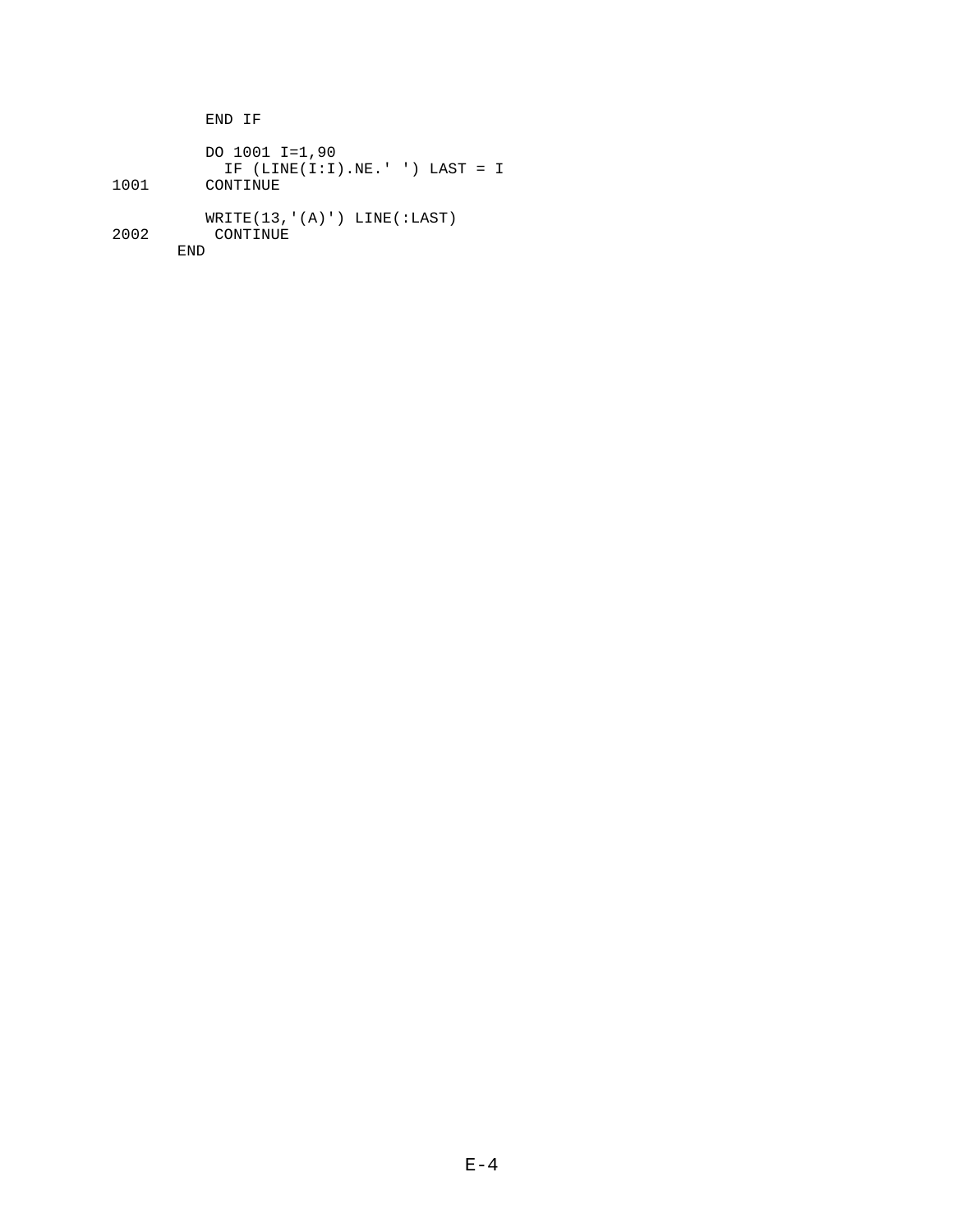END IF DO 1001 I=1,90 IF (LINE(I:I).NE.' ') LAST = I CONTINUE WRITE(13, '(A)') LINE(:LAST)<br>2002 CONTINUE **CONTINUE** END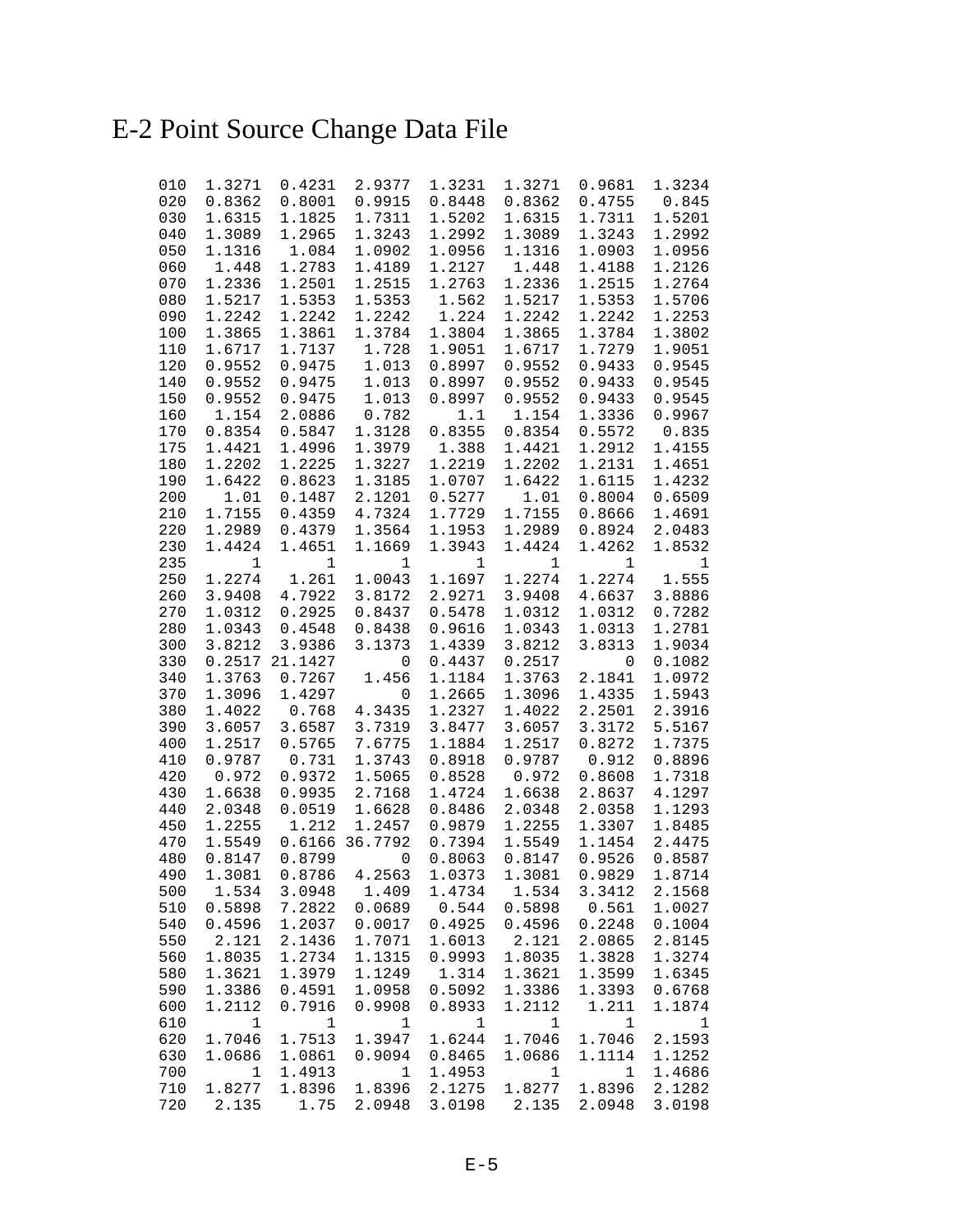## E-2 Point Source Change Data File

| 010        | 1.3271           | 0.4231           | 2.9377           | 1.3231           | 1.3271           | 0.9681                      | 1.3234           |
|------------|------------------|------------------|------------------|------------------|------------------|-----------------------------|------------------|
| 020        | 0.8362           | 0.8001           | 0.9915           | 0.8448           | 0.8362           | 0.4755                      | 0.845            |
| 030        | 1.6315           | 1.1825           | 1.7311           | 1.5202           | 1.6315           | 1.7311                      | 1.5201           |
| 040        | 1.3089           | 1.2965           | 1.3243           | 1.2992           | 1.3089           | 1.3243                      | 1.2992           |
| 050        | 1.1316           | 1.084            | 1.0902           | 1.0956           | 1.1316           | 1.0903                      | 1.0956           |
| 060        | 1.448            | 1.2783           | 1.4189           | 1.2127           | 1.448            | 1.4188                      | 1.2126           |
| 070        | 1.2336           | 1.2501           | 1.2515           | 1.2763           | 1.2336           | 1.2515                      | 1.2764           |
| 080        | 1.5217           | 1.5353           | 1.5353           | 1.562            | 1.5217           | 1.5353                      | 1.5706           |
| 090        | 1.2242           | 1.2242           | 1.2242           | 1.224            | 1.2242           | 1.2242                      | 1.2253<br>1.3802 |
| 100<br>110 | 1.3865<br>1.6717 | 1.3861<br>1.7137 | 1.3784<br>1.728  | 1.3804<br>1.9051 | 1.3865<br>1.6717 | 1.3784<br>1.7279            | 1.9051           |
| 120        | 0.9552           | 0.9475           | 1.013            | 0.8997           | 0.9552           | 0.9433                      | 0.9545           |
| 140        | 0.9552           | 0.9475           | 1.013            | 0.8997           | 0.9552           | 0.9433                      | 0.9545           |
| 150        | 0.9552           | 0.9475           | 1.013            | 0.8997           | 0.9552           | 0.9433                      | 0.9545           |
| 160        | 1.154            | 2.0886           | 0.782            | 1.1              | 1.154            | 1.3336                      | 0.9967           |
| 170        | 0.8354           | 0.5847           | 1.3128           | 0.8355           | 0.8354           | 0.5572                      | 0.835            |
| 175        | 1.4421           | 1.4996           | 1.3979           | 1.388            | 1.4421           | 1.2912                      | 1.4155           |
| 180        | 1.2202           | 1.2225           | 1.3227           | 1.2219           | 1.2202           | 1.2131                      | 1.4651           |
| 190        | 1.6422           | 0.8623           | 1.3185           | 1.0707           | 1.6422           | 1.6115                      | 1.4232           |
| 200        | 1.01             | 0.1487           | 2.1201           | 0.5277           | 1.01             | 0.8004                      | 0.6509           |
| 210        | 1.7155           | 0.4359           | 4.7324           | 1.7729           | 1.7155           | 0.8666                      | 1.4691           |
| 220        | 1.2989           | 0.4379           | 1.3564           | 1.1953           | 1.2989           | 0.8924                      | 2.0483           |
| 230        | 1.4424           | 1.4651           | 1.1669           | 1.3943           | 1.4424           | 1.4262                      | 1.8532           |
| 235        | 1                | $\mathbf 1$      | 1                | $\mathbf{1}$     | $\mathbf 1$      | 1                           | 1                |
| 250        | 1.2274           | 1.261            | 1.0043           | 1.1697           | 1.2274           | 1.2274                      | 1.555            |
| 260        | 3.9408           | 4.7922           | 3.8172           | 2.9271           | 3.9408           | 4.6637                      | 3.8886           |
| 270        | 1.0312           | 0.2925           | 0.8437           | 0.5478           | 1.0312           | 1.0312                      | 0.7282           |
| 280        | 1.0343           | 0.4548           | 0.8438           | 0.9616           | 1.0343           | 1.0313                      | 1.2781           |
| 300        | 3.8212           | 3.9386           | 3.1373           | 1.4339           | 3.8212           | 3.8313                      | 1.9034           |
| 330        |                  | 0.2517 21.1427   | 0                | 0.4437           | 0.2517           | 0                           | 0.1082           |
| 340        | 1.3763           | 0.7267           | 1.456            | 1.1184           | 1.3763           | 2.1841                      | 1.0972           |
| 370        | 1.3096           | 1.4297           | 0                | 1.2665           | 1.3096           | 1.4335                      | 1.5943           |
| 380        | 1.4022           | 0.768            | 4.3435           | 1.2327           | 1.4022           | 2.2501                      | 2.3916           |
| 390        | 3.6057           | 3.6587           | 3.7319           | 3.8477           | 3.6057           | 3.3172                      | 5.5167           |
| 400        | 1.2517           | 0.5765           | 7.6775           | 1.1884           | 1.2517           | 0.8272                      | 1.7375           |
| 410        | 0.9787           | 0.731            | 1.3743           | 0.8918           | 0.9787           | 0.912                       | 0.8896           |
| 420        | 0.972            | 0.9372           | 1.5065           | 0.8528           | 0.972            | 0.8608                      | 1.7318           |
| 430        | 1.6638           | 0.9935           | 2.7168           | 1.4724           | 1.6638           | 2.8637                      | 4.1297           |
| 440<br>450 | 2.0348<br>1.2255 | 0.0519<br>1.212  | 1.6628<br>1.2457 | 0.8486<br>0.9879 | 2.0348<br>1.2255 | 2.0358<br>1.3307            | 1.1293<br>1.8485 |
| 470        | 1.5549           | 0.6166           | 36.7792          | 0.7394           | 1.5549           | 1.1454                      | 2.4475           |
| 480        | 0.8147           | 0.8799           | $\mathbf 0$      | 0.8063           | 0.8147           | 0.9526                      | 0.8587           |
| 490        | 1.3081           | 0.8786           | 4.2563           |                  |                  | 1.0373 1.3081 0.9829 1.8714 |                  |
| 500        | 1.534            | 3.0948           | 1.409            | 1.4734           | 1.534            | 3.3412                      | 2.1568           |
| 510        | 0.5898           | 7.2822           | 0.0689           | 0.544            | 0.5898           | 0.561                       | 1.0027           |
| 540        | 0.4596           | 1.2037           | 0.0017           | 0.4925           | 0.4596           | 0.2248                      | 0.1004           |
| 550        | 2.121            | 2.1436           | 1.7071           | 1.6013           | 2.121            | 2.0865                      | 2.8145           |
| 560        | 1.8035           | 1.2734           | 1.1315           | 0.9993           | 1.8035           | 1.3828                      | 1.3274           |
| 580        | 1.3621           | 1.3979           | 1.1249           | 1.314            | 1.3621           | 1.3599                      | 1.6345           |
| 590        | 1.3386           | 0.4591           | 1.0958           | 0.5092           | 1.3386           | 1.3393                      | 0.6768           |
| 600        | 1.2112           | 0.7916           | 0.9908           | 0.8933           | 1.2112           | 1.211                       | 1.1874           |
| 610        | 1                | 1                | 1                | 1                | 1                | 1                           | 1                |
| 620        | 1.7046           | 1.7513           | 1.3947           | 1.6244           | 1.7046           | 1.7046                      | 2.1593           |
| 630        | 1.0686           | 1.0861           | 0.9094           | 0.8465           | 1.0686           | 1.1114                      | 1.1252           |
| 700        | $\mathbf{1}$     | 1.4913           | $\mathbf{1}$     | 1.4953           | $\mathbf{1}$     | 1                           | 1.4686           |
| 710        | 1.8277           | 1.8396           | 1.8396           | 2.1275           | 1.8277           | 1.8396                      | 2.1282           |
| 720        | 2.135            | 1.75             | 2.0948           | 3.0198           | 2.135            | 2.0948                      | 3.0198           |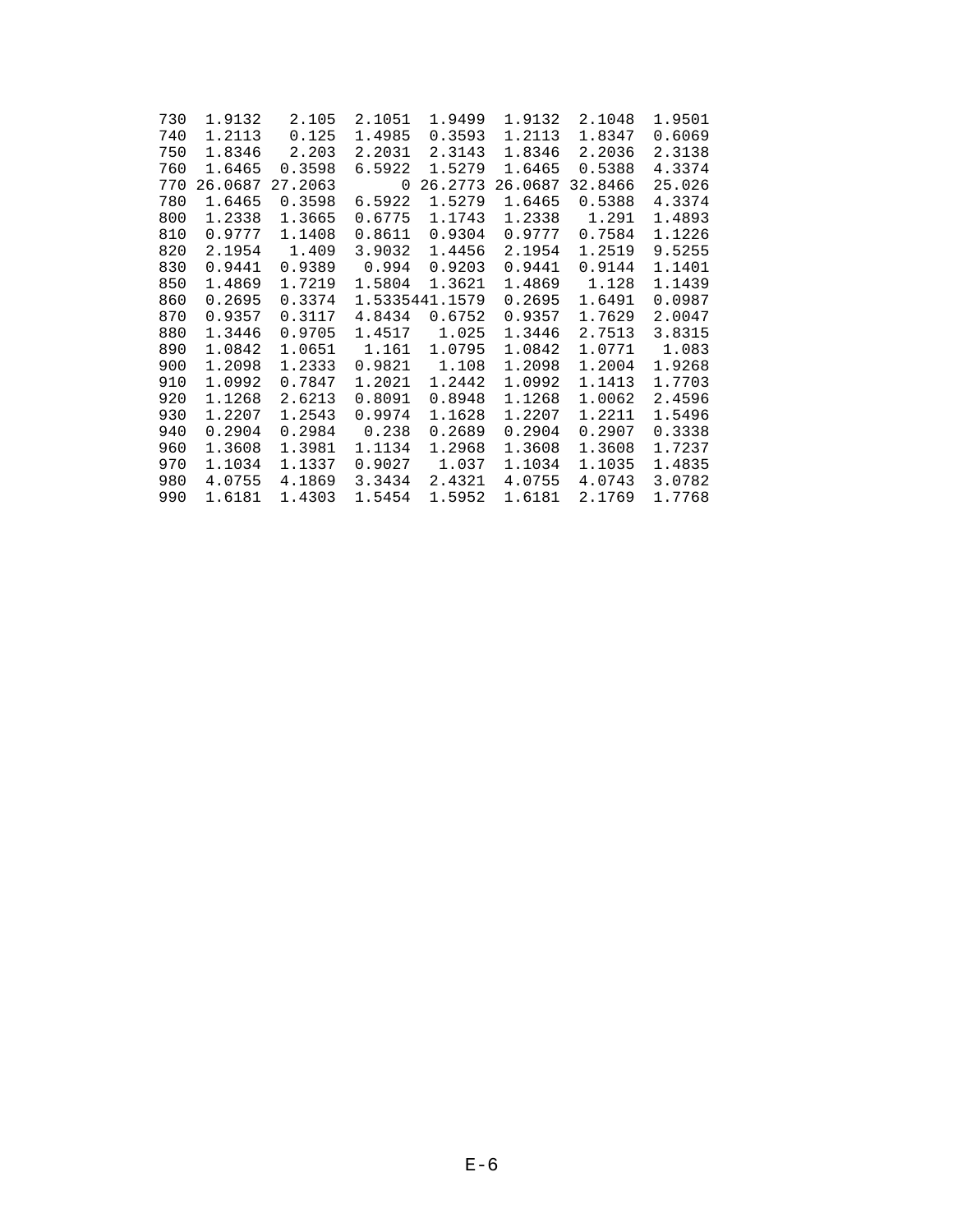| 730 | 1.9132  | 2.105   | 2.1051 | 1.9499         | 1.9132  | 2.1048  | 1.9501 |
|-----|---------|---------|--------|----------------|---------|---------|--------|
| 740 | 1.2113  | 0.125   | 1.4985 | 0.3593         | 1.2113  | 1.8347  | 0.6069 |
| 750 | 1.8346  | 2.203   | 2.2031 | 2.3143         | 1.8346  | 2.2036  | 2.3138 |
| 760 | 1.6465  | 0.3598  | 6.5922 | 1.5279         | 1.6465  | 0.5388  | 4.3374 |
| 770 | 26.0687 | 27.2063 | 0      | 26.2773        | 26.0687 | 32.8466 | 25.026 |
| 780 | 1.6465  | 0.3598  | 6.5922 | 1.5279         | 1.6465  | 0.5388  | 4.3374 |
| 800 | 1.2338  | 1.3665  | 0.6775 | 1.1743         | 1.2338  | 1.291   | 1.4893 |
| 810 | 0.9777  | 1.1408  | 0.8611 | 0.9304         | 0.9777  | 0.7584  | 1.1226 |
| 820 | 2.1954  | 1.409   | 3.9032 | 1.4456         | 2.1954  | 1.2519  | 9.5255 |
| 830 | 0.9441  | 0.9389  | 0.994  | 0.9203         | 0.9441  | 0.9144  | 1.1401 |
| 850 | 1.4869  | 1.7219  | 1.5804 | 1.3621         | 1.4869  | 1.128   | 1.1439 |
| 860 | 0.2695  | 0.3374  |        | 1.5335441.1579 | 0.2695  | 1.6491  | 0.0987 |
| 870 | 0.9357  | 0.3117  | 4.8434 | 0.6752         | 0.9357  | 1.7629  | 2.0047 |
| 880 | 1.3446  | 0.9705  | 1.4517 | 1.025          | 1.3446  | 2.7513  | 3.8315 |
| 890 | 1.0842  | 1.0651  | 1.161  | 1.0795         | 1.0842  | 1.0771  | 1.083  |
| 900 | 1.2098  | 1.2333  | 0.9821 | 1.108          | 1.2098  | 1.2004  | 1.9268 |
| 910 | 1.0992  | 0.7847  | 1.2021 | 1.2442         | 1.0992  | 1.1413  | 1.7703 |
| 920 | 1.1268  | 2.6213  | 0.8091 | 0.8948         | 1.1268  | 1.0062  | 2.4596 |
| 930 | 1.2207  | 1.2543  | 0.9974 | 1.1628         | 1.2207  | 1.2211  | 1.5496 |
| 940 | 0.2904  | 0.2984  | 0.238  | 0.2689         | 0.2904  | 0.2907  | 0.3338 |
| 960 | 1.3608  | 1.3981  | 1.1134 | 1.2968         | 1.3608  | 1.3608  | 1.7237 |
| 970 | 1.1034  | 1.1337  | 0.9027 | 1.037          | 1.1034  | 1.1035  | 1.4835 |
| 980 | 4.0755  | 4.1869  | 3.3434 | 2.4321         | 4.0755  | 4.0743  | 3.0782 |
| 990 | 1.6181  | 1.4303  | 1.5454 | 1.5952         | 1.6181  | 2.1769  | 1.7768 |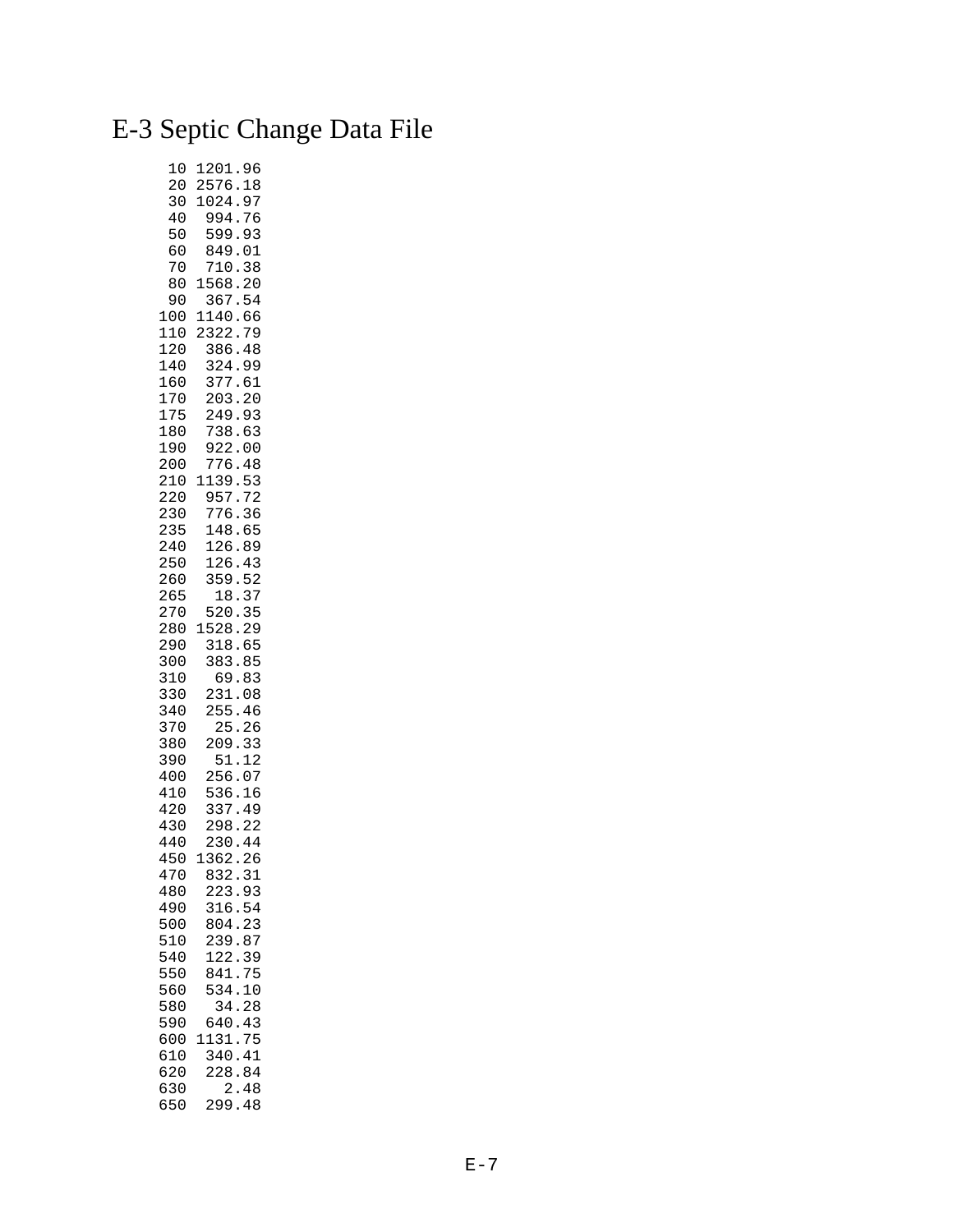## E-3 Septic Change Data File

| 10<br>20          | 96<br>1201<br>2576<br>18                                                |
|-------------------|-------------------------------------------------------------------------|
| 30<br>40<br>50    | 1024<br>97<br>994<br>76<br>$\ddot{\cdot}$<br>599<br>93                  |
| 60<br>70          | 849<br>01<br>710<br>38                                                  |
| 80<br>90          | 20<br>1568<br>367<br>54                                                 |
| 100<br>110<br>120 | 66<br>1140<br>2322<br>$\ddot{\phantom{0}}$<br>79<br>386<br>48           |
| 140<br>160        | 324<br>99<br>$\ddot{\phantom{0}}$<br>377<br>61                          |
| 170<br>175        | 20<br>203<br>249<br>93                                                  |
| 180<br>190<br>200 | 738<br>63<br>$\ddot{\phantom{0}}$<br>922<br>0 <sub>0</sub><br>776<br>48 |
| 210<br>220        | 1139<br>53<br>$\ddot{\phantom{0}}$<br>957<br>72                         |
| 230<br>235        | $\ddot{\cdot}$<br>776<br>36<br>148<br>$\ddot{\phantom{0}}$<br>65        |
| 240<br>250<br>260 | 126<br>$\ddot{\phantom{0}}$<br>89<br>126<br>43<br>359<br>52             |
| 265<br>270        | 37<br>18<br>35<br>$\ddot{\phantom{0}}$<br>520                           |
| 280<br>290        | 29<br>1528<br>$\ddot{\phantom{0}}$<br>318<br>65<br>383<br>85            |
| 300<br>310<br>330 | 83<br>69<br>231<br>08                                                   |
| 340<br>370<br>380 | 255<br>46<br>25<br>26                                                   |
| 390<br>400        | 33<br>209<br>12<br>51<br>256<br>07                                      |
| 410<br>420        | ---<br>536<br>337<br>298<br>16<br>49                                    |
| 430<br>440        | 22<br>230<br>44                                                         |
| 450<br>470<br>480 | 1362<br>26<br>832.31<br>223.93                                          |
| 490<br>500        | 316.54<br>804.23                                                        |
| 510<br>540        | 239.87<br>122.39                                                        |
| 550<br>560<br>580 | 841.75<br>10<br>534.<br>34.28                                           |
| 590<br>600        | 640.43<br>1131.75                                                       |
| 610<br>620<br>630 | 340.41<br>228.84<br>2.48                                                |
| 650               | 299.48                                                                  |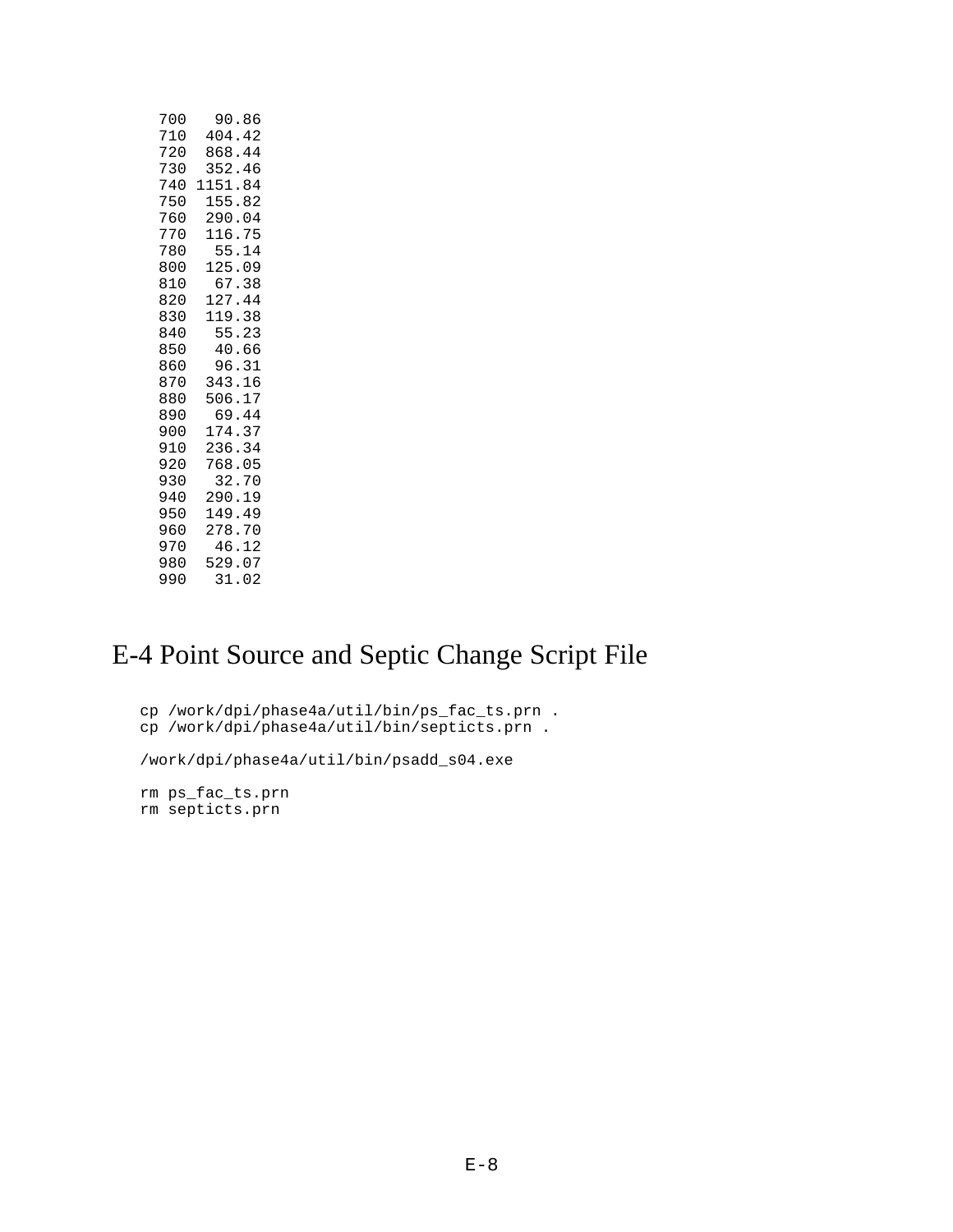| 700 | 90.86   |
|-----|---------|
| 710 | 404.42  |
| 720 | 868.44  |
| 730 | 352.46  |
| 740 | 1151.84 |
| 750 | 155.82  |
| 760 | 290.04  |
| 770 | 116.75  |
| 780 | 55.14   |
| 800 | 125.09  |
| 810 | 67.38   |
| 820 | 127.44  |
| 830 | 119.38  |
| 840 | 55.23   |
| 850 | 40.66   |
| 860 | 96.31   |
| 870 | 343.16  |
| 880 | 506.17  |
| 890 | 69.44   |
| 900 | 174.37  |
| 910 | 236.34  |
| 920 | 768.05  |
| 930 | 32.70   |
| 940 | 290.19  |
| 950 | 149.49  |
| 960 | 278.70  |
| 970 | 46.12   |
| 980 | 529.07  |
| 990 | 31.02   |

## E-4 Point Source and Septic Change Script File

```
 cp /work/dpi/phase4a/util/bin/ps_fac_ts.prn .
 cp /work/dpi/phase4a/util/bin/septicts.prn .
```
/work/dpi/phase4a/util/bin/psadd\_s04.exe

 rm ps\_fac\_ts.prn rm septicts.prn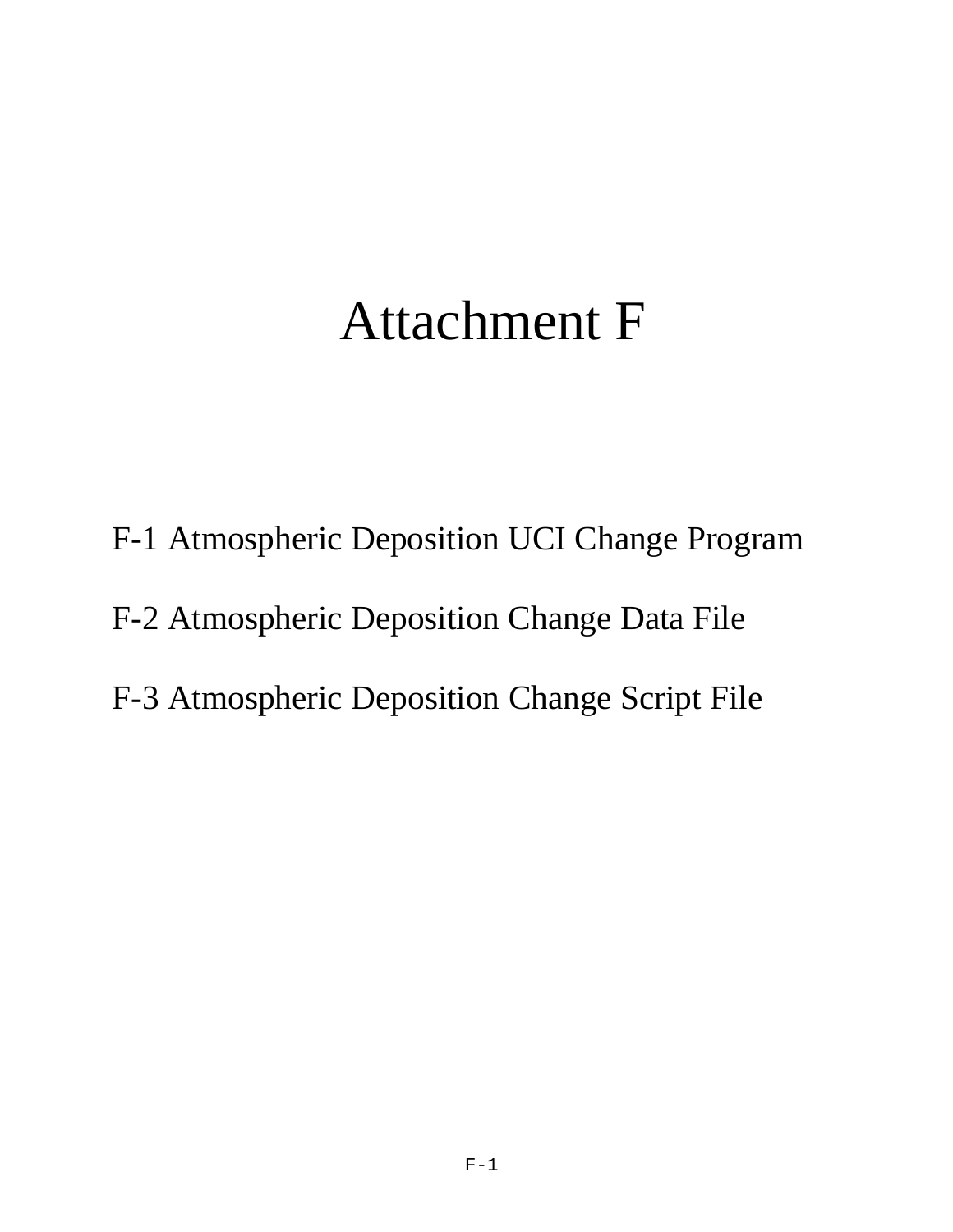# Attachment F

- F-1 Atmospheric Deposition UCI Change Program
- F-2 Atmospheric Deposition Change Data File
- F-3 Atmospheric Deposition Change Script File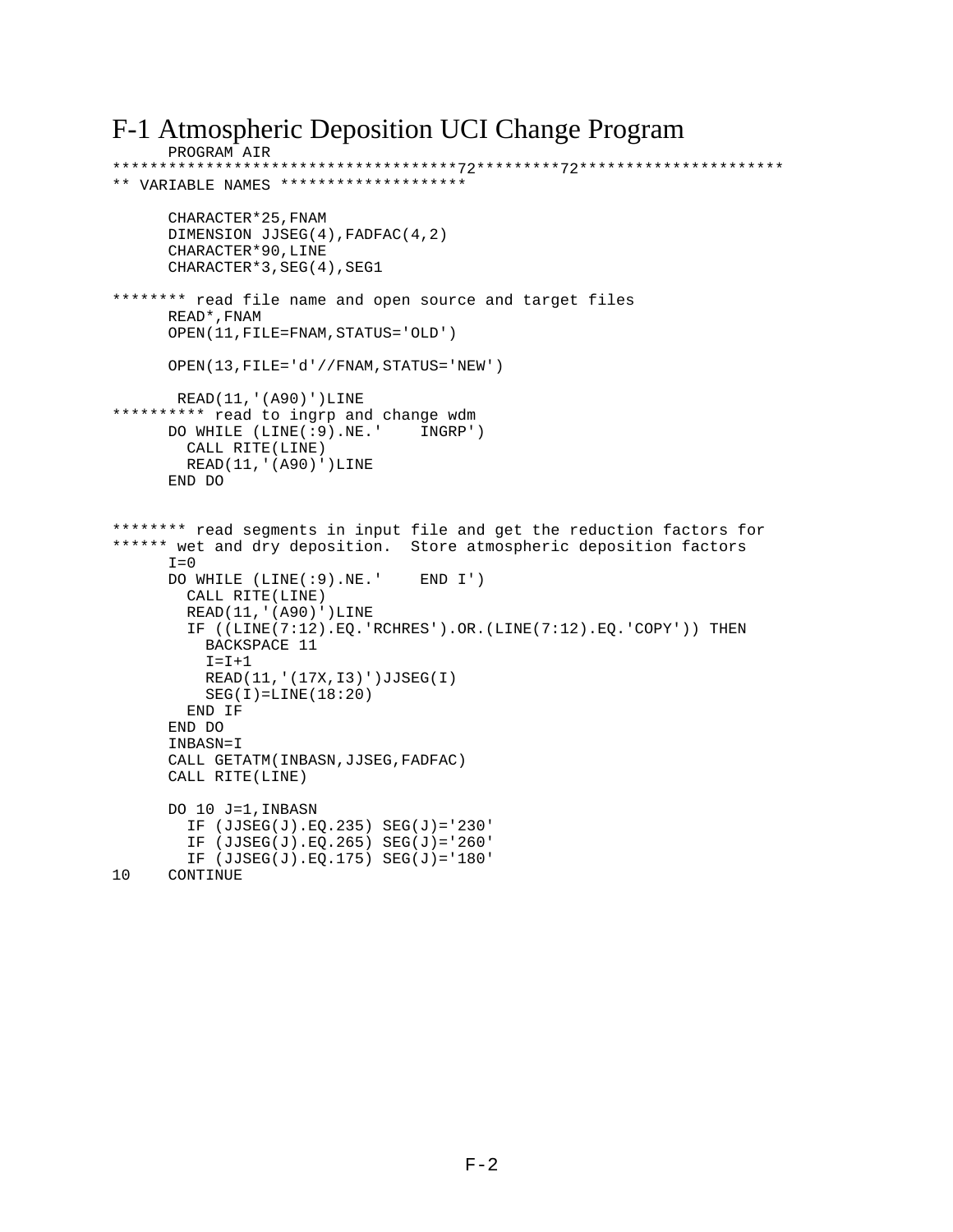### F-1 Atmospheric Deposition UCI Change Program

```
PROGRAM AIR 
*************************************72*********72**********************
** VARIABLE NAMES ********************
       CHARACTER*25,FNAM 
      DIMENSION JJSEG(4),FADFAC(4,2)
      CHARACTER*90,LINE
      CHARACTER*3,SEG(4),SEG1
******** read file name and open source and target files
      READ*,FNAM
      OPEN(11,FILE=FNAM,STATUS='OLD')
      OPEN(13,FILE='d'//FNAM,STATUS='NEW')
       READ(11,'(A90)')LINE
********** read to ingrp and change wdm
      DO WHILE (LINE(:9).NE.' INGRP')
        CALL RITE(LINE)
        READ(11,'(A90)')LINE
       END DO
******** read segments in input file and get the reduction factors for
****** wet and dry deposition. Store atmospheric deposition factors
      I=0 DO WHILE (LINE(:9).NE.' END I')
        CALL RITE(LINE)
         READ(11,'(A90)')LINE
         IF ((LINE(7:12).EQ.'RCHRES').OR.(LINE(7:12).EQ.'COPY')) THEN
           BACKSPACE 11
         I = I + 1 READ(11,'(17X,I3)')JJSEG(I)
         SEG(I)=LINE(18:20) END IF
       END DO
      INBASN=I
      CALL GETATM(INBASN,JJSEG,FADFAC)
      CALL RITE(LINE)
      DO 10 J=1,INBASN
         IF (JJSEG(J).EQ.235) SEG(J)='230'
         IF (JJSEG(J).EQ.265) SEG(J)='260'
IF (JJSEG(J).EQ.175) SEG(J)='180'<br>10 CONTINUE
     CONTINUE
```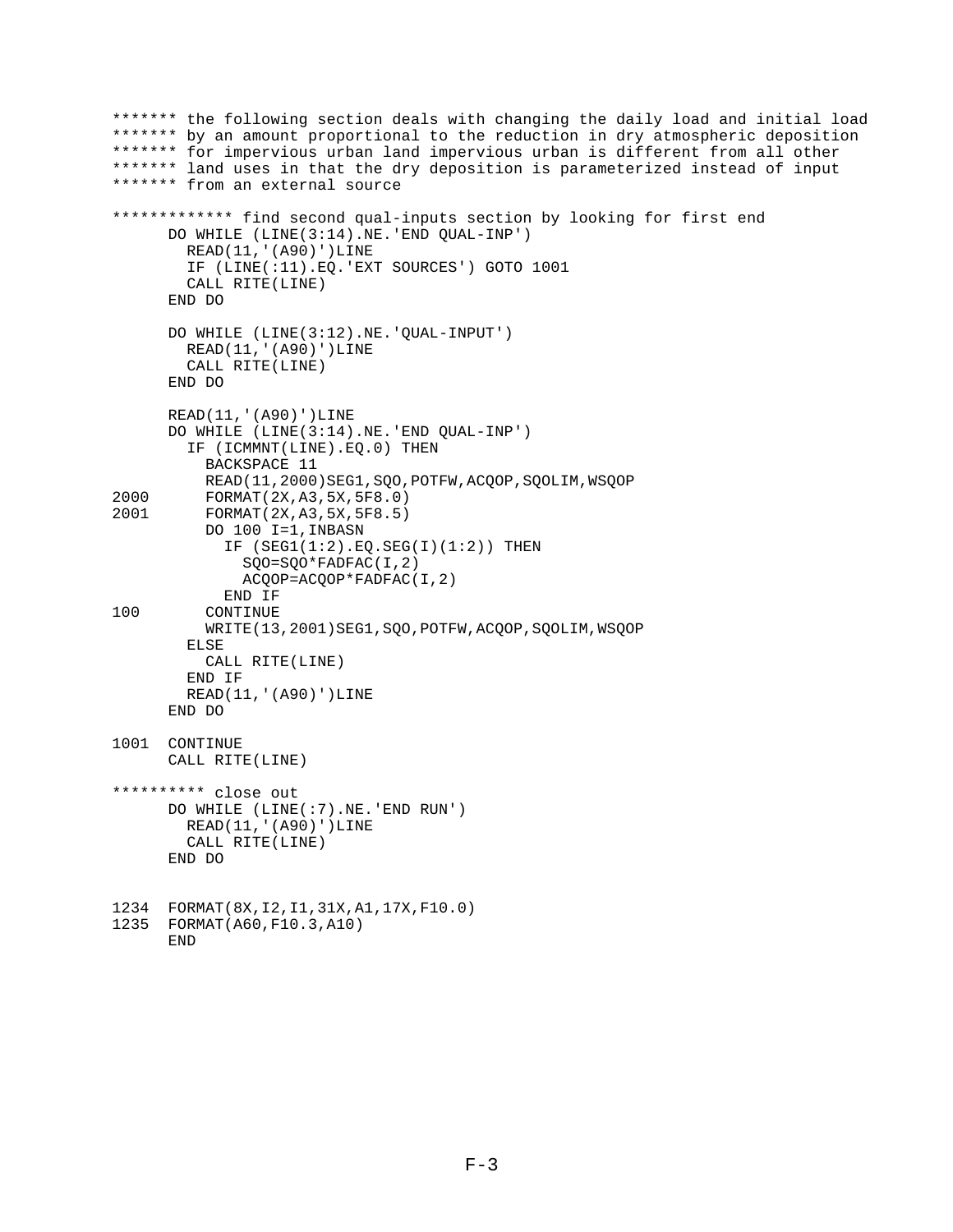```
******* the following section deals with changing the daily load and initial load
******* by an amount proportional to the reduction in dry atmospheric deposition
******* for impervious urban land impervious urban is different from all other
******* land uses in that the dry deposition is parameterized instead of input
******* from an external source
************* find second qual-inputs section by looking for first end
       DO WHILE (LINE(3:14).NE.'END QUAL-INP')
         READ(11,'(A90)')LINE
         IF (LINE(:11).EQ.'EXT SOURCES') GOTO 1001
         CALL RITE(LINE)
       END DO
       DO WHILE (LINE(3:12).NE.'QUAL-INPUT')
         READ(11,'(A90)')LINE
         CALL RITE(LINE)
       END DO
       READ(11,'(A90)')LINE
       DO WHILE (LINE(3:14).NE.'END QUAL-INP')
         IF (ICMMNT(LINE).EQ.0) THEN
           BACKSPACE 11
READ(11,2000)SEG1, SQO, POTFW, ACQOP, SQOLIM, WSQOP<br>2000 PORMAT(2X.A3.5X.5F8.0)
2000 FORMAT(2X,A3,5X,5F8.0)
          2001 FORMAT(2X,A3,5X,5F8.5)
           DO 100 I=1,INBASN
            IF (SEG1(1:2).EQ.SEG(I)(1:2)) THEN
               SQO=SQO*FADFAC(I,2)
               ACQOP=ACQOP*FADFAC(I,2)
             END IF
100 CONTINUE
           WRITE(13,2001)SEG1,SQO,POTFW,ACQOP,SQOLIM,WSQOP
         ELSE
           CALL RITE(LINE)
         END IF
         READ(11,'(A90)')LINE
       END DO
1001 CONTINUE
       CALL RITE(LINE)
********** close out
       DO WHILE (LINE(:7).NE.'END RUN')
         READ(11,'(A90)')LINE
         CALL RITE(LINE)
       END DO
1234 FORMAT(8X,I2,I1,31X,A1,17X,F10.0)
1235 FORMAT(A60,F10.3,A10)
```
END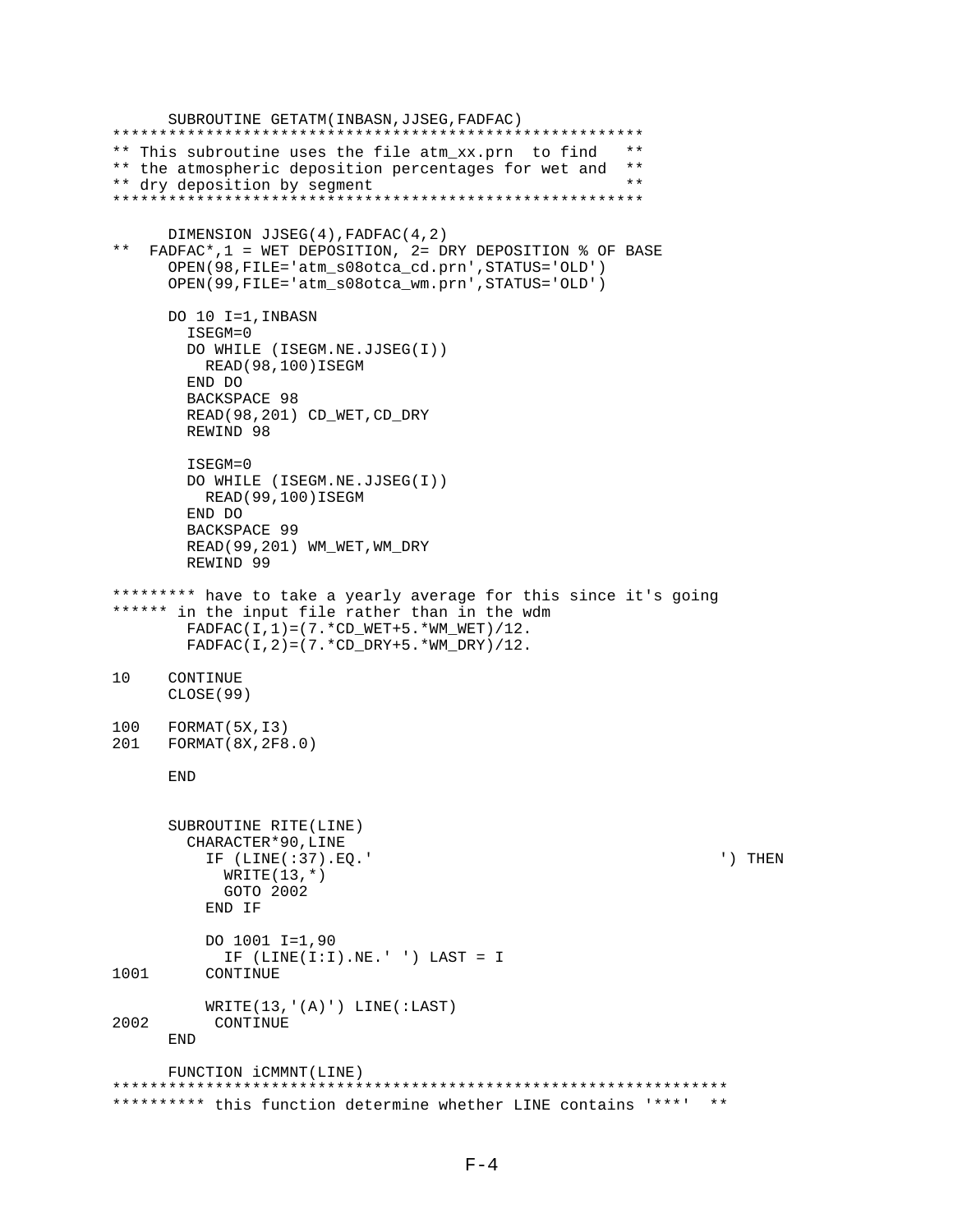```
 SUBROUTINE GETATM(INBASN,JJSEG,FADFAC)
*********************************************************
** This subroutine uses the file atm_xx.prn to find **
** the atmospheric deposition percentages for wet and **<br>** dry deposition by segment
** dry deposition by segment **
*********************************************************
DIMENSION JJSEG(4), FADFAC(4,2)
   FADFAC*, 1 = WET DEPOSITION, 2 = DRY DEPOSITION & OF BASE
       OPEN(98,FILE='atm_s08otca_cd.prn',STATUS='OLD')
       OPEN(99,FILE='atm_s08otca_wm.prn',STATUS='OLD')
       DO 10 I=1,INBASN
         ISEGM=0
         DO WHILE (ISEGM.NE.JJSEG(I))
          READ(98,100)ISEGM
         END DO
         BACKSPACE 98
         READ(98,201) CD_WET,CD_DRY 
        REWIND 98
         ISEGM=0
         DO WHILE (ISEGM.NE.JJSEG(I))
          READ(99,100)ISEGM
         END DO
         BACKSPACE 99
         READ(99,201) WM_WET,WM_DRY
         REWIND 99
********* have to take a yearly average for this since it's going
****** in the input file rather than in the wdm
        FADFAC(I, 1) = (7.*CDWET+5.*WMWET)/12.
       FADFAC(I, 2) = (7.*CD DRY+5.*WM DRY)/12.
10 CONTINUE
      CLOSE(99)
100 FORMAT(5X,I3)
201 FORMAT(8X,2F8.0)
       END
       SUBROUTINE RITE(LINE)
         CHARACTER*90,LINE
           IF (LINE(:37).EQ.' ') THEN
            WRITE(13,*) GOTO 2002
           END IF
           DO 1001 I=1,90
            IF (LINE(I:I).NE.' ' ) LAST = I1001 CONTINUE
          WRITE(13,'(A)') LINE(:LAST)
2002 CONTINUE
       END
      FUNCTION iCMMNT(LINE)
******************************************************************
********** this function determine whether LINE contains '***' **
```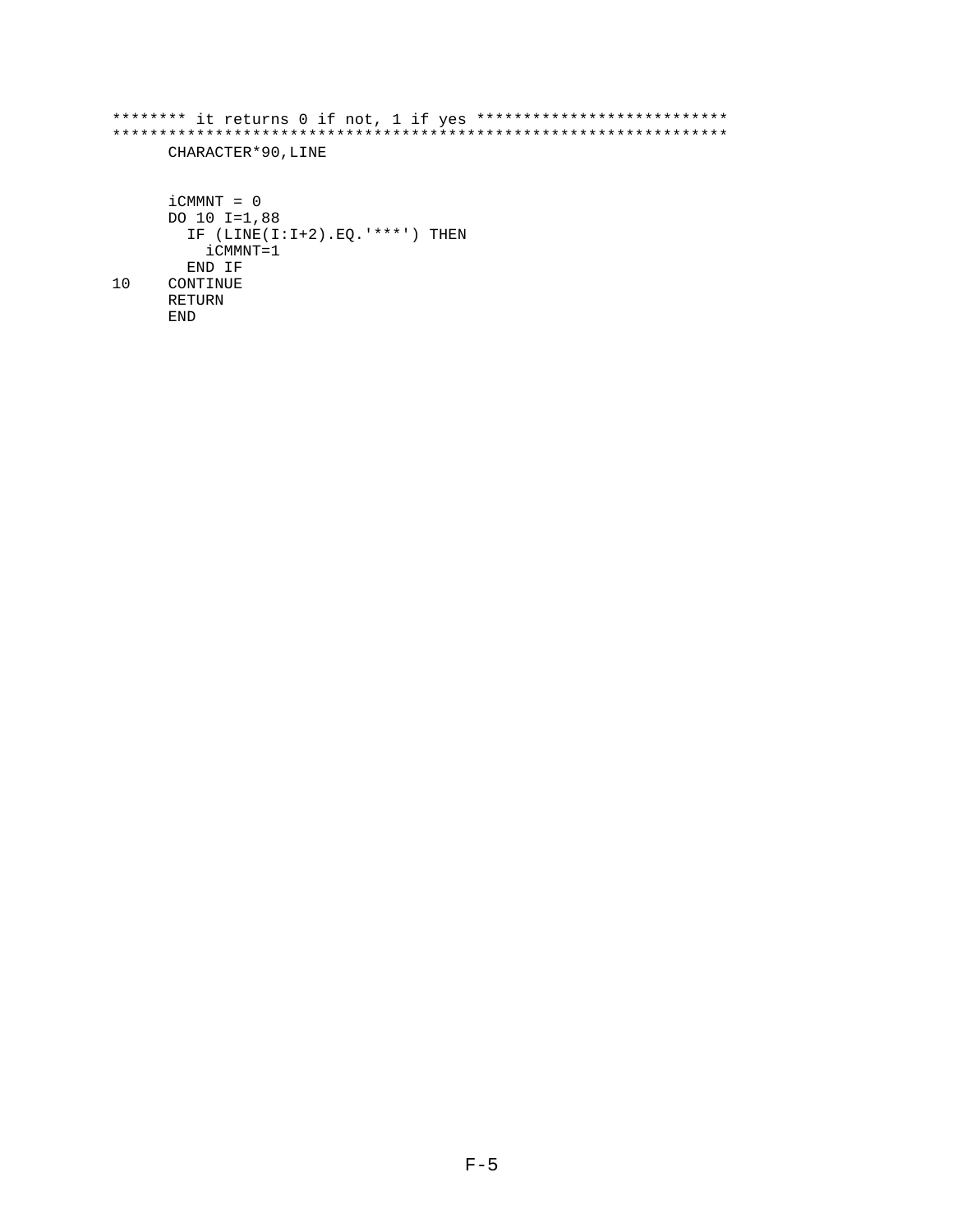```
******** it returns 0 if not, 1 if yes ***************************
CHARACTER*90, LINE
    iCMMNT = 0DO 10 I=1,88
     IF (LINE(I:I+2).EQ.****') THEN
       iCMMNT=1
     END IF
10CONTINUE
    RETURN
    END
```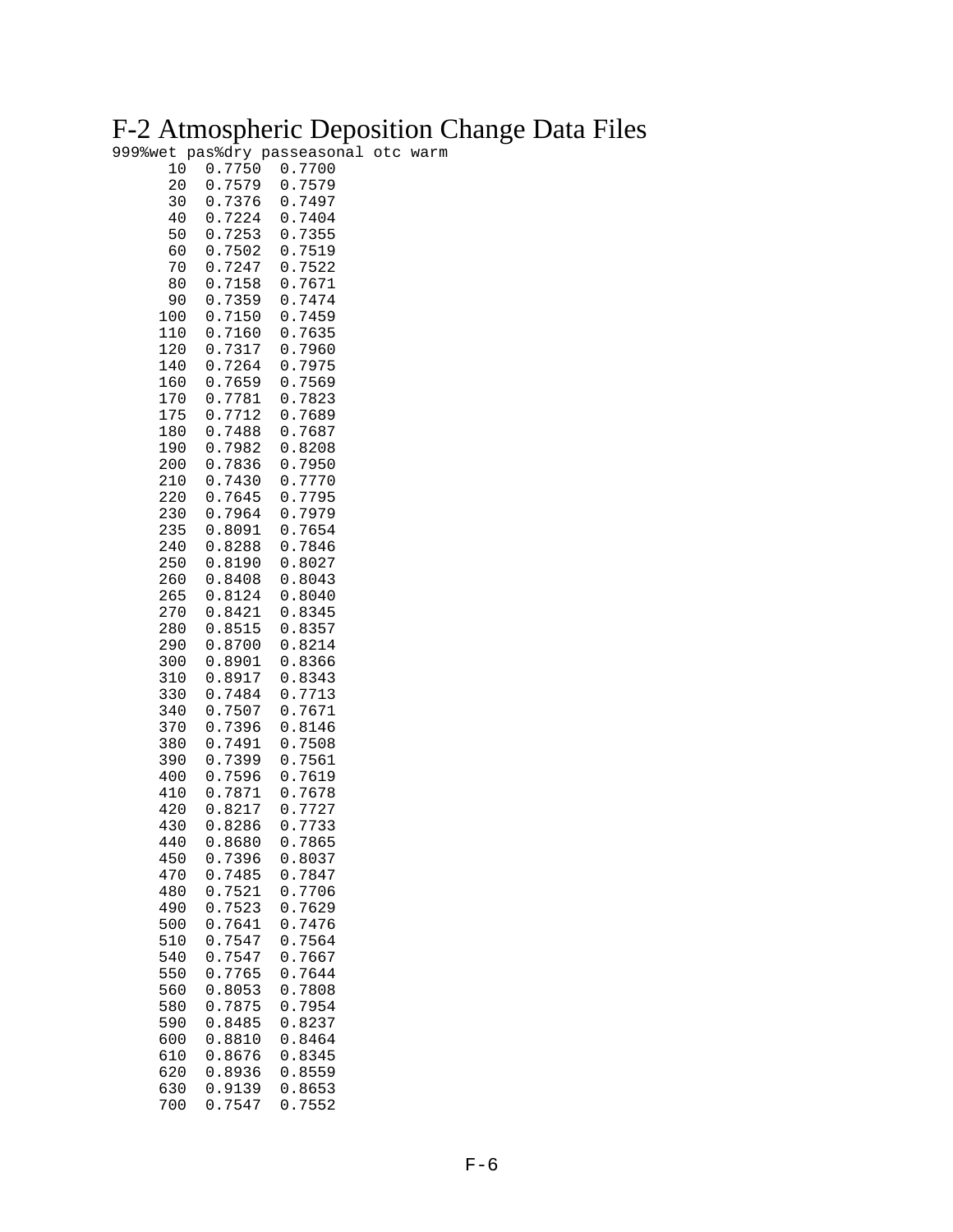### F-2 Atmospheric Deposition Change Data Files

999%wet pas%dry passeasonal otc warm

| 10<br>20<br>30<br>40<br>50<br>60<br>70<br>80<br>90<br>100<br>110<br>120<br>140<br>160<br>170<br>175<br>180<br>190<br>200<br>210<br>220<br>230<br>235<br>240<br>250<br>260<br>265<br>270<br>280<br>290<br>300<br>310<br>330<br>340<br>370<br>380<br>390<br>400<br>410<br>420<br>430<br>440<br>450<br>470<br>480<br>490<br>500<br>510<br>540<br>550<br>560<br>580<br>590<br>600 | 7750<br>0<br>7579<br>0<br>7376<br>0<br>$\ddot{\phantom{0}}$<br>0<br>7224<br>$\ddot{\phantom{0}}$<br>7253<br>0<br>$\ddot{\phantom{a}}$<br>7502<br>0<br>7247<br>$\ddot{\phantom{0}}$<br>0<br>7158<br>0<br>$\ddot{\phantom{0}}$<br>0<br>7359<br>$\ddot{\phantom{0}}$<br>7150<br>0<br>$\ddot{\phantom{0}}$<br>7160<br>0<br>$\ddot{\phantom{0}}$<br>7317<br>0<br>$\ddot{\phantom{0}}$<br>0<br>7264<br>7659<br>0<br>$\ddot{\phantom{0}}$<br>0<br>$\ddot{\phantom{0}}$<br>7781<br>0<br>7712<br>$\ddot{\phantom{0}}$<br>0<br>7488<br>$\ddot{\phantom{0}}$<br>7982<br>0<br>$\ddot{\phantom{0}}$<br>7836<br>0<br>7430<br>0<br>$\ddot{\phantom{0}}$<br>0<br>7645<br>7964<br>0<br>.8091<br>0<br>0<br>.8288<br>0<br>.8190<br>.8408<br>0<br>.8124<br>0<br>0<br>.8421<br>0<br>.8515<br>.8700<br>0<br>.8901<br>0<br>.8917<br>0<br>7484<br>0<br>$\ddot{\phantom{0}}$<br>0<br>7507<br>7396<br>0<br>$\ddot{\phantom{0}}$<br>7491<br>0<br>$\ddot{\phantom{0}}$<br>7399<br>0<br>0<br>7596<br>7871<br>0<br>$\ddot{\phantom{a}}$<br>8217<br>0<br>0<br>.8286<br>0<br>.8680<br>7396<br>$\boldsymbol{0}$ .<br>0.7485<br>0.7521<br>0.7523<br>7641<br>$\boldsymbol{0}$ .<br>$\overline{0}$ .<br>7547<br>0.7547<br>0.7765<br>0.8053<br>0.7875<br>0.8485<br>0.8810 | 7700<br>0<br>7579<br>0<br>7497<br>0<br>$\ddot{\phantom{0}}$<br>0<br>7404<br>$\ddot{\phantom{0}}$<br>7355<br>0<br>$\ddot{\phantom{0}}$<br>$0$ .<br>7519<br>0<br>$\ddot{\phantom{0}}$<br>7522<br>0<br>7671<br>$\ddot{\phantom{0}}$<br>0<br>7474<br>$\ddot{\phantom{0}}$<br>7459<br>0<br>$\ddot{\phantom{a}}$<br>0<br>$\ddot{\phantom{0}}$<br>7635<br>7960<br>0<br>$\ddot{\phantom{0}}$<br>0<br>7975<br>$\ddot{\phantom{0}}$<br>0<br>7569<br>$\ddot{\phantom{a}}$<br>0<br>7823<br>0<br>7689<br>$\ddot{\phantom{0}}$<br>0.7687<br>8208<br>0<br>$\ddot{\phantom{0}}$<br>$\ddot{\phantom{0}}$<br>0<br>7950<br>$\ddot{\phantom{0}}$<br>7770<br>0<br>0<br>7795<br>$\ddot{\phantom{0}}$<br>7979<br>0<br>$\ddot{\phantom{0}}$<br>0<br>$\ddot{\phantom{a}}$<br>7654<br>7846<br>0<br>$\ddot{\phantom{0}}$<br>0<br>.8027<br>0<br>.8043<br>0.8040<br>0<br>.8345<br>0.8357<br>0.8214<br>0.8366<br>0<br>$\ddot{\phantom{a}}$<br>8343<br>0<br>7713<br>$\ddot{\phantom{0}}$<br>0<br>7671<br>$\ddot{\phantom{0}}$<br>8146<br>0<br>$\ddot{\phantom{0}}$<br>0<br>$\ddot{\phantom{0}}$<br>7508<br>7561<br>0<br>$\ddot{\phantom{0}}$<br>0<br>7619<br>$\ddot{\phantom{0}}$<br>7678<br>0<br>0<br>$\ddot{\phantom{0}}$<br>7727<br>7733<br>0<br>$\ddot{\phantom{0}}$<br>0<br>7865<br>0.8037<br>0.7847<br>0.7706<br>0.7629<br>7476<br>$\boldsymbol{0}$ .<br>$\overline{0}$ .<br>7564<br>0.7667<br>0.7644<br>0.7808<br>0.7954<br>0.8237<br>0.8464 |
|-------------------------------------------------------------------------------------------------------------------------------------------------------------------------------------------------------------------------------------------------------------------------------------------------------------------------------------------------------------------------------|--------------------------------------------------------------------------------------------------------------------------------------------------------------------------------------------------------------------------------------------------------------------------------------------------------------------------------------------------------------------------------------------------------------------------------------------------------------------------------------------------------------------------------------------------------------------------------------------------------------------------------------------------------------------------------------------------------------------------------------------------------------------------------------------------------------------------------------------------------------------------------------------------------------------------------------------------------------------------------------------------------------------------------------------------------------------------------------------------------------------------------------------------------------------------------------------------------------------------------------|----------------------------------------------------------------------------------------------------------------------------------------------------------------------------------------------------------------------------------------------------------------------------------------------------------------------------------------------------------------------------------------------------------------------------------------------------------------------------------------------------------------------------------------------------------------------------------------------------------------------------------------------------------------------------------------------------------------------------------------------------------------------------------------------------------------------------------------------------------------------------------------------------------------------------------------------------------------------------------------------------------------------------------------------------------------------------------------------------------------------------------------------------------------------------------------------------------------------------------------------------------------------------------------------------------------------------------------------------------------------------------------------------------------------|
| 610                                                                                                                                                                                                                                                                                                                                                                           | 0.8676                                                                                                                                                                                                                                                                                                                                                                                                                                                                                                                                                                                                                                                                                                                                                                                                                                                                                                                                                                                                                                                                                                                                                                                                                               | 0.8345                                                                                                                                                                                                                                                                                                                                                                                                                                                                                                                                                                                                                                                                                                                                                                                                                                                                                                                                                                                                                                                                                                                                                                                                                                                                                                                                                                                                               |
| 620                                                                                                                                                                                                                                                                                                                                                                           | 0.8936                                                                                                                                                                                                                                                                                                                                                                                                                                                                                                                                                                                                                                                                                                                                                                                                                                                                                                                                                                                                                                                                                                                                                                                                                               | 0.8559                                                                                                                                                                                                                                                                                                                                                                                                                                                                                                                                                                                                                                                                                                                                                                                                                                                                                                                                                                                                                                                                                                                                                                                                                                                                                                                                                                                                               |
| 630                                                                                                                                                                                                                                                                                                                                                                           | 0.9139                                                                                                                                                                                                                                                                                                                                                                                                                                                                                                                                                                                                                                                                                                                                                                                                                                                                                                                                                                                                                                                                                                                                                                                                                               | 0.8653                                                                                                                                                                                                                                                                                                                                                                                                                                                                                                                                                                                                                                                                                                                                                                                                                                                                                                                                                                                                                                                                                                                                                                                                                                                                                                                                                                                                               |
| 700                                                                                                                                                                                                                                                                                                                                                                           | 0.7547                                                                                                                                                                                                                                                                                                                                                                                                                                                                                                                                                                                                                                                                                                                                                                                                                                                                                                                                                                                                                                                                                                                                                                                                                               | 0.7552                                                                                                                                                                                                                                                                                                                                                                                                                                                                                                                                                                                                                                                                                                                                                                                                                                                                                                                                                                                                                                                                                                                                                                                                                                                                                                                                                                                                               |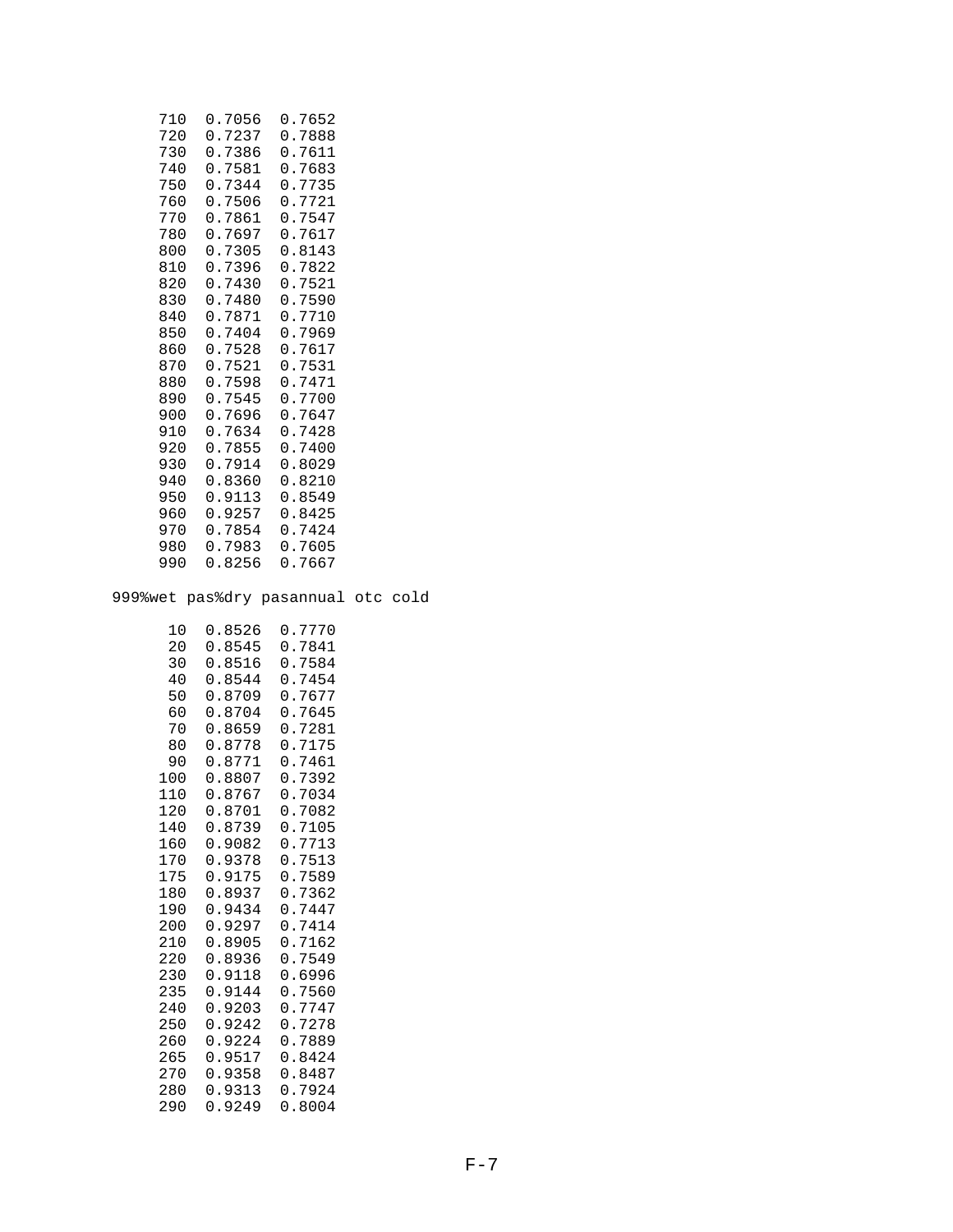| 710 | 0.7056 | 0.7652 |
|-----|--------|--------|
| 720 | 0.7237 | 0.7888 |
| 730 | 0.7386 | 0.7611 |
| 740 | 0.7581 | 0.7683 |
| 750 | 0.7344 | 0.7735 |
| 760 | 0.7506 | 0.7721 |
| 770 | 0.7861 | 0.7547 |
| 780 | 0.7697 | 0.7617 |
| 800 | 0.7305 | 0.8143 |
| 810 | 0.7396 | 0.7822 |
| 820 | 0.7430 | 0.7521 |
| 830 | 0.7480 | 0.7590 |
| 840 | 0.7871 | 0.7710 |
| 850 | 0.7404 | 0.7969 |
| 860 | 0.7528 | 0.7617 |
| 870 | 0.7521 | 0.7531 |
| 880 | 0.7598 | 0.7471 |
| 890 | 0.7545 | 0.7700 |
| 900 | 0.7696 | 0.7647 |
| 910 | 0.7634 | 0.7428 |
| 920 | 0.7855 | 0.7400 |
| 930 | 0.7914 | 0.8029 |
| 940 | 0.8360 | 0.8210 |
| 950 | 0.9113 | 0.8549 |
| 960 | 0.9257 | 0.8425 |
| 970 | 0.7854 | 0.7424 |
| 980 | 0.7983 | 0.7605 |
| 990 | 0.8256 | 0.7667 |

999%wet pas%dry pasannual otc cold

| 10  | 0.8526     | 0.7770 |
|-----|------------|--------|
| 20  | 0.8545     | 0.7841 |
| 30  | 0.8516     | 0.7584 |
| 40  | 0.8544     | 0.7454 |
| 50  | 0.8709     | 0.7677 |
| 60  | 0.8704     | 0.7645 |
| 70  | 0.8659     | 0.7281 |
| 80  | 0.8778     | 0.7175 |
| 90  | 0.8771     | 0.7461 |
| 100 | 0.8807     | 0.7392 |
| 110 | 0.8767     | 0.7034 |
| 120 | 0.8701     | 0.7082 |
| 140 | 0.8739     | 0.7105 |
| 160 | 0.9082     | 0.7713 |
| 170 | 0.9378     | 0.7513 |
| 175 | 0.9175     | 0.7589 |
| 180 | 0.8937     | 0.7362 |
| 190 | 0.9434     | 0.7447 |
| 200 | 0.9297     | 0.7414 |
| 210 | 0.8905     | 0.7162 |
| 220 | 0.8936     | 0.7549 |
| 230 | 0.9118     | 0.6996 |
| 235 | 0.9144     | 0.7560 |
| 240 | 0.9203     | 0.7747 |
| 250 | 0.9242     | 0.7278 |
| 260 | 0.9224     | 0.7889 |
| 265 | 0.9517     | 0.8424 |
| 270 | 0.9358     | 0.8487 |
| 280 | .9313<br>0 | 0.7924 |
| 290 | .9249<br>0 | 0.8004 |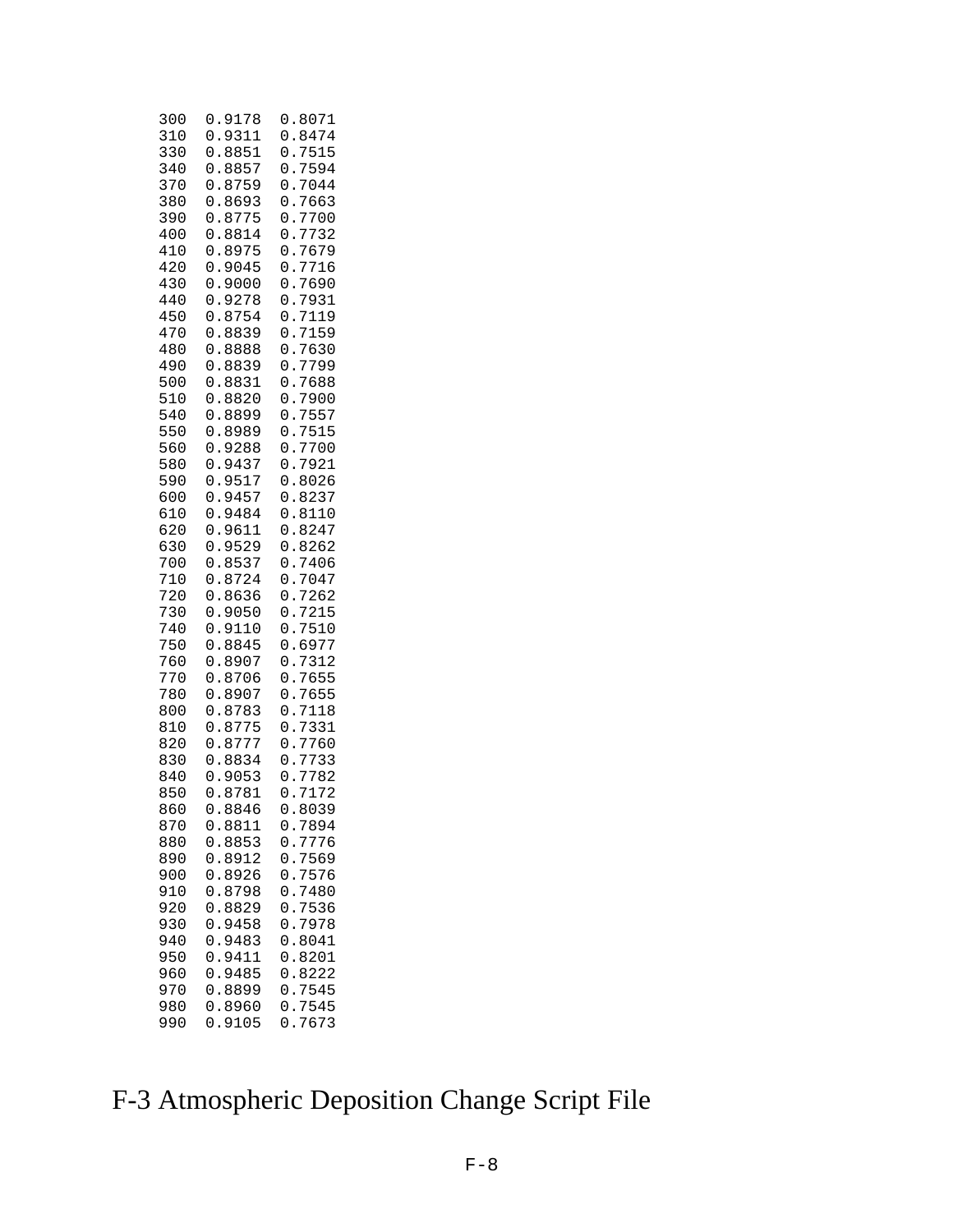| 300<br>310<br>330<br>340<br>370<br>380<br>390        | 0<br>9178<br>0<br>9311<br>$\ddot{\phantom{0}}$<br>0<br>8851<br>8857<br>0<br>8759<br>$\ddot{\phantom{a}}$<br>0<br>8693<br>0<br>$\ddot{\phantom{0}}$<br>0<br>8775<br>$\ddot{\phantom{0}}$                                                              | 0<br>.8071<br>0<br>8474<br>$\ddot{\phantom{0}}$<br>0<br>7515<br>7594<br>0<br>7044<br>0<br>0<br>7663<br>$\ddot{\phantom{0}}$<br>0<br>7700<br>$\ddot{\phantom{0}}$                                                                                                             |
|------------------------------------------------------|------------------------------------------------------------------------------------------------------------------------------------------------------------------------------------------------------------------------------------------------------|------------------------------------------------------------------------------------------------------------------------------------------------------------------------------------------------------------------------------------------------------------------------------|
| 400<br>410<br>420<br>430<br>440<br>450<br>470<br>480 | 8814<br>0<br>8975<br>$\ddot{\phantom{0}}$<br>0<br>0<br>$\ddot{\phantom{0}}$<br>9045<br>0<br>9000<br>$\ddot{\phantom{0}}$<br>9278<br>0<br>8754<br>0<br>$\ddot{\phantom{a}}$<br>8839<br>0<br>$\ddot{\phantom{0}}$<br>0<br>8888<br>$\ddot{\phantom{0}}$ | 7732<br>0<br>0<br>7679<br>7716<br>0<br>7690<br>0<br>7931<br>0<br>7119<br>0<br>$\ddot{\phantom{0}}$<br>7159<br>0<br>$\ddot{\phantom{0}}$<br>0<br>7630<br>$\ddot{\phantom{0}}$                                                                                                 |
| 490<br>500<br>510<br>540<br>550<br>560<br>580        | 0<br>8839<br>8831<br>0<br>$\ddot{\phantom{a}}$<br>0<br>$\ddot{\phantom{0}}$<br>8820<br>.8899<br>0<br>8989<br>0<br>$\ddot{\phantom{0}}$<br>0<br>$\ddot{\phantom{a}}$<br>9288<br>$\ddot{\phantom{0}}$<br>9437<br>0                                     | 7799<br>0<br>7688<br>0<br>$\ddot{\phantom{0}}$<br>7900<br>0<br>7557<br>0<br>$\ddot{\phantom{0}}$<br>7515<br>0<br>7700<br>0<br>$\ddot{\phantom{0}}$<br>7921<br>0                                                                                                              |
| 590<br>600<br>610<br>620<br>630<br>700<br>710<br>720 | .9517<br>0<br>0<br>9457<br>$\ddot{\phantom{0}}$<br>9484<br>0<br>$\ddot{\phantom{0}}$<br>9611<br>0<br>9529<br>0<br>$\ddot{\phantom{0}}$<br>.8537<br>0<br>8724<br>0<br>8636<br>$\ddot{\phantom{0}}$<br>0                                               | 8026<br>0<br>$\ddot{\phantom{a}}$<br>8237<br>0<br>$\ddot{\phantom{0}}$<br>8110<br>0<br>$\ddot{\phantom{a}}$<br>8247<br>0<br>$\ddot{\phantom{0}}$<br>8262<br>0<br>$\ddot{\phantom{0}}$<br>0<br>7406<br>$\ddot{\phantom{0}}$<br>7047<br>0<br>7262<br>$\ddot{\phantom{a}}$<br>0 |
| 730<br>740<br>750<br>760<br>770<br>780<br>800        | 9050<br>0<br>$\ddot{\phantom{0}}$<br>0<br>.9110<br>8845<br>0<br>8907<br>$\ddot{\phantom{0}}$<br>0<br>0<br>$\ddot{\phantom{0}}$<br>8706<br>0<br>8907<br>$\ddot{\phantom{0}}$<br>8783<br>0                                                             | 7215<br>0<br>$\ddot{\phantom{0}}$<br>0<br>7510<br>$\ddot{\phantom{0}}$<br>6977<br>0<br>$\ddot{\phantom{a}}$<br>7312<br>0<br>7655<br>0<br>$\ddot{\phantom{0}}$<br>7655<br>0<br>7118<br>0                                                                                      |
| 810<br>820<br>830<br>840<br>850<br>860<br>870        | 8775<br>0<br>$\ddot{\phantom{0}}$<br>8777<br>0<br>$\ddot{\phantom{0}}$<br>8834<br>0<br>$\ddot{\phantom{0}}$<br>9053<br>0<br>8781<br>0<br>8846<br>0<br>0.8811                                                                                         | 7331<br>0<br>7760<br>0<br>7733<br>0<br>7782<br>0<br>7172<br>0<br>8039<br>0<br>0.7894                                                                                                                                                                                         |
| 880<br>890<br>900<br>910<br>920<br>930<br>940        | 0.8853<br>0.8912<br>0.8926<br>0.8798<br>0.8829<br>0.9458<br>0.9483                                                                                                                                                                                   | $\boldsymbol{0}$ .<br>7776<br>0.7569<br>0.7576<br>0.7480<br>0.7536<br>0.7978<br>0.8041                                                                                                                                                                                       |
| 950<br>960<br>970<br>980<br>990                      | 0.9411<br>0.9485<br>0.8899<br>0.8960<br>0.9105                                                                                                                                                                                                       | 0.8201<br>0.8222<br>0.7545<br>$\boldsymbol{0}$ .<br>7545<br>0.7673                                                                                                                                                                                                           |

### F-3 Atmospheric Deposition Change Script File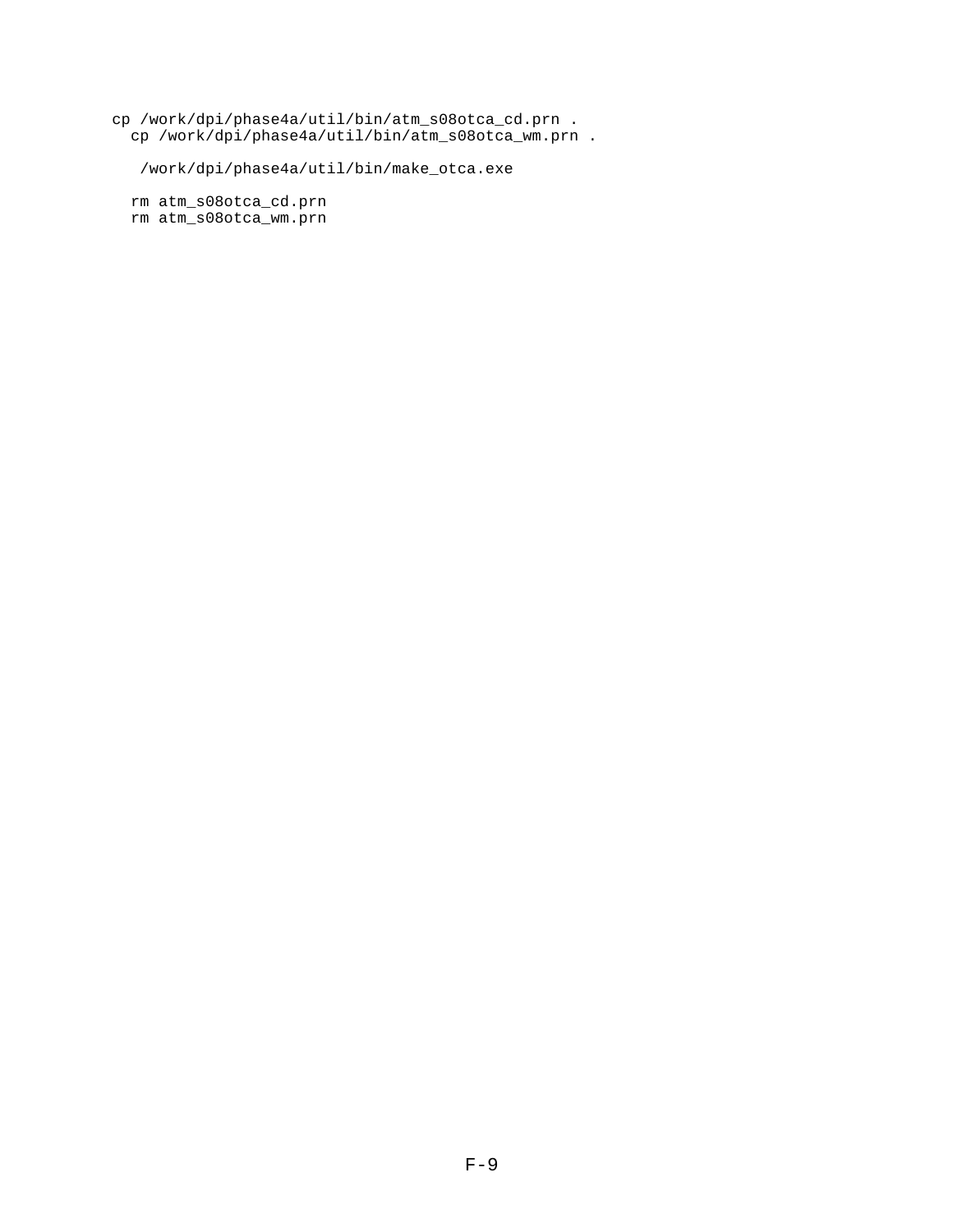cp /work/dpi/phase4a/util/bin/atm\_s08otca\_cd.prn . cp /work/dpi/phase4a/util/bin/atm\_s08otca\_wm.prn .

/work/dpi/phase4a/util/bin/make\_otca.exe

 rm atm\_s08otca\_cd.prn rm atm\_s08otca\_wm.prn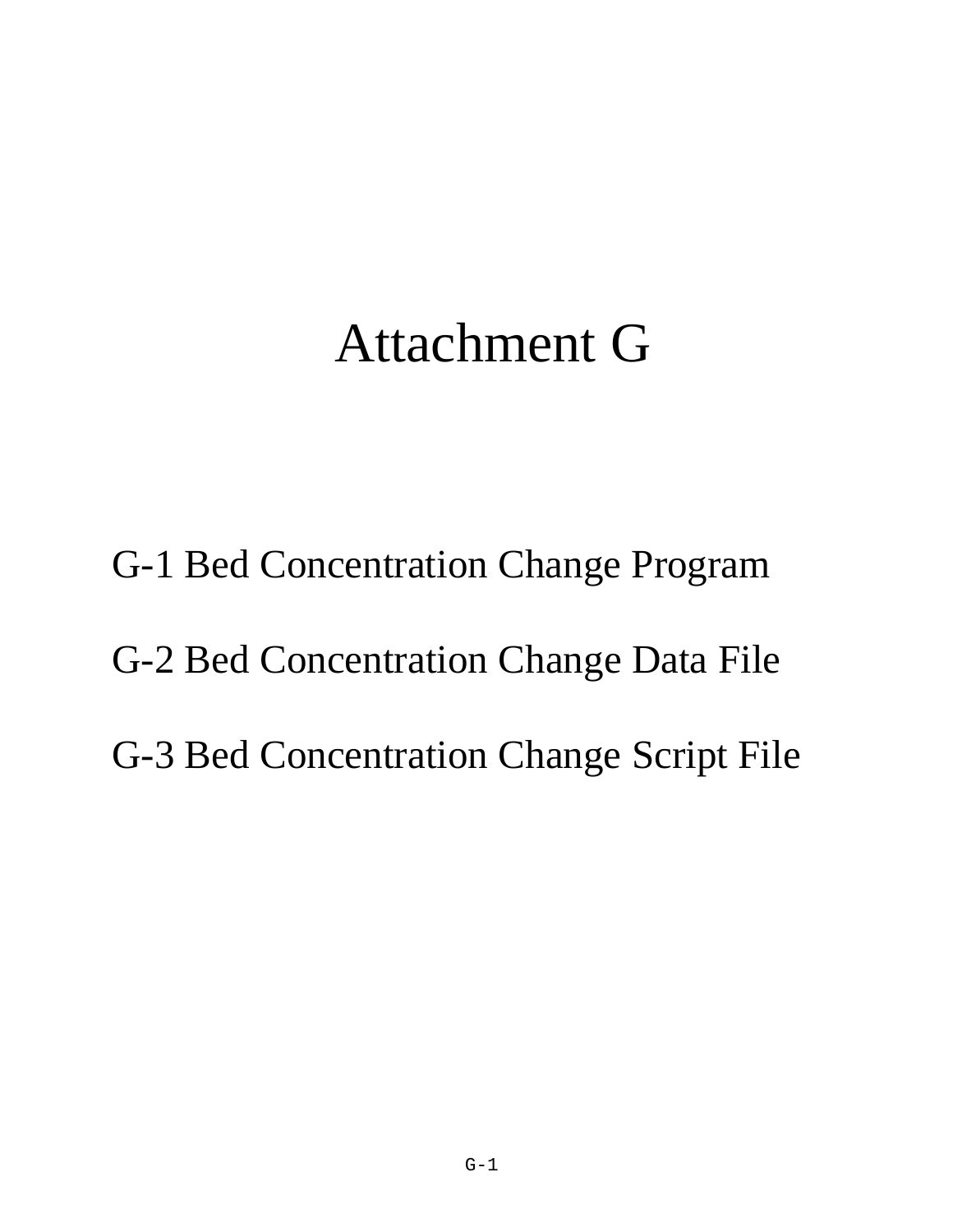# Attachment G

G-1 Bed Concentration Change Program G-2 Bed Concentration Change Data File G-3 Bed Concentration Change Script File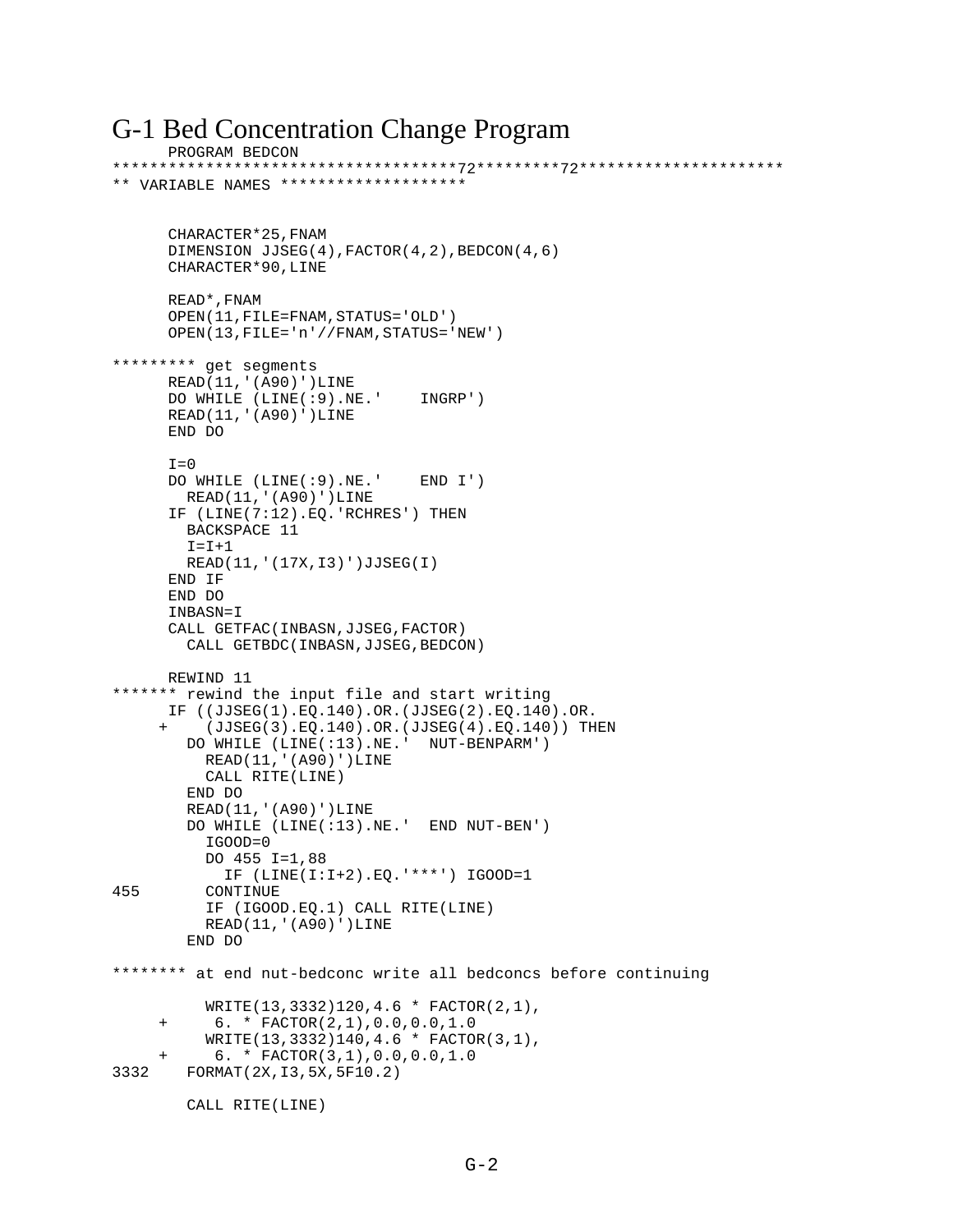#### G-1 Bed Concentration Change Program PROGRAM BEDCON

```
*************************************72*********72**********************
** VARIABLE NAMES ********************
       CHARACTER*25,FNAM 
      DIMENSION JJSEG(4),FACTOR(4,2),BEDCON(4,6)
      CHARACTER*90,LINE
      READ*,FNAM
      OPEN(11,FILE=FNAM,STATUS='OLD')
       OPEN(13,FILE='n'//FNAM,STATUS='NEW')
********* get segments
     READ(11,'(A90)')LINE
      DO WHILE (LINE(:9).NE.' INGRP')
     READ(11,'(A90)')LINE
      END DO
     T=0 DO WHILE (LINE(:9).NE.' END I')
        READ(11,'(A90)')LINE
      IF (LINE(7:12).EQ.'RCHRES') THEN
        BACKSPACE 11
       I = I + 1 READ(11,'(17X,I3)')JJSEG(I)
     END IF
      END DO
      INBASN=I
     CALL GETFAC(INBASN,JJSEG,FACTOR)
         CALL GETBDC(INBASN,JJSEG,BEDCON)
      REWIND 11
******* rewind the input file and start writing
      IF ((JJSEG(1).EQ.140).OR.(JJSEG(2).EQ.140).OR.
      + (JJSEG(3).EQ.140).OR.(JJSEG(4).EQ.140)) THEN 
         DO WHILE (LINE(:13).NE.' NUT-BENPARM')
          READ(11,'(A90)')LINE
           CALL RITE(LINE)
         END DO
         READ(11,'(A90)')LINE
         DO WHILE (LINE(:13).NE.' END NUT-BEN')
           IGOOD=0
           DO 455 I=1,88
 IF (LINE(I:I+2).EQ.'***') IGOOD=1
          CONTINUE
           IF (IGOOD.EQ.1) CALL RITE(LINE)
           READ(11,'(A90)')LINE
         END DO
******** at end nut-bedconc write all bedconcs before continuing
           WRITE(13,3332)120,4.6 * FACTOR(2,1),
      + 6. * FACTOR(2,1),0.0,0.0,1.0
           WRITE(13,3332)140,4.6 * FACTOR(3,1),
            + 6. * FACTOR(3,1),0.0,0.0,1.0
3332 FORMAT(2X,I3,5X,5F10.2)
         CALL RITE(LINE)
```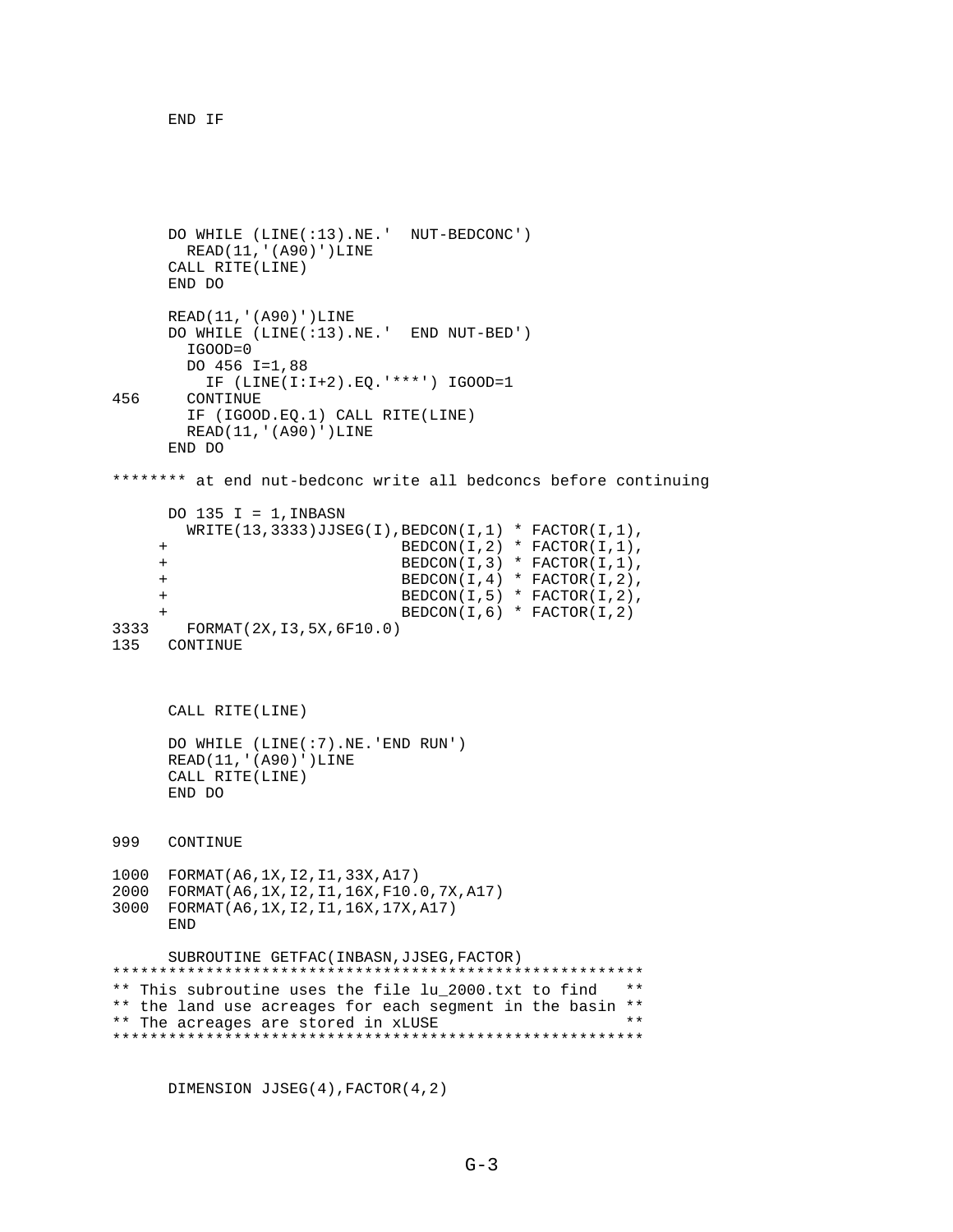END IF

```
 DO WHILE (LINE(:13).NE.' NUT-BEDCONC')
        READ(11,'(A90)')LINE
     CALL RITE(LINE)
      END DO
      READ(11,'(A90)')LINE
      DO WHILE (LINE(:13).NE.' END NUT-BED')
        IGOOD=0
        DO 456 I=1,88
          IF (LINE(I:I+2).EQ.'***') IGOOD=1
456 CONTINUE
        IF (IGOOD.EQ.1) CALL RITE(LINE)
        READ(11,'(A90)')LINE
       END DO
******** at end nut-bedconc write all bedconcs before continuing
     DO 135 I = 1, INBASN
       WRITE(13,3333)JJSEG(I),BEDCON(I,1) * FACTOR(I,1), + BEDCON(I,2) * FACTOR(I,1),
      + BEDCON(I,3) * FACTOR(I,1),
      + BEDCON(I,4) * FACTOR(I,2),
      + BEDCON(I,5) * FACTOR(I,2),
                               BEDCON(I,6) * FACTOR(I,2)3333 FORMAT(2X,I3,5X,6F10.0)
    CONTINUE
      CALL RITE(LINE)
      DO WHILE (LINE(:7).NE.'END RUN')
     READ(11,'(A90)')LINE
     CALL RITE(LINE)
      END DO
999 CONTINUE 
1000 FORMAT(A6,1X,I2,I1,33X,A17)
2000 FORMAT(A6,1X,I2,I1,16X,F10.0,7X,A17)
3000 FORMAT(A6,1X,I2,I1,16X,17X,A17)
      END
 SUBROUTINE GETFAC(INBASN,JJSEG,FACTOR)
                                            *********************************************************
** This subroutine uses the file lu_2000.txt to find **
** the land use acreages for each segment in the basin **<br>** The acreages are stored in yUISE
** The acreages are stored in xLUSE **
*********************************************************
```
DIMENSION JJSEG(4),FACTOR(4,2)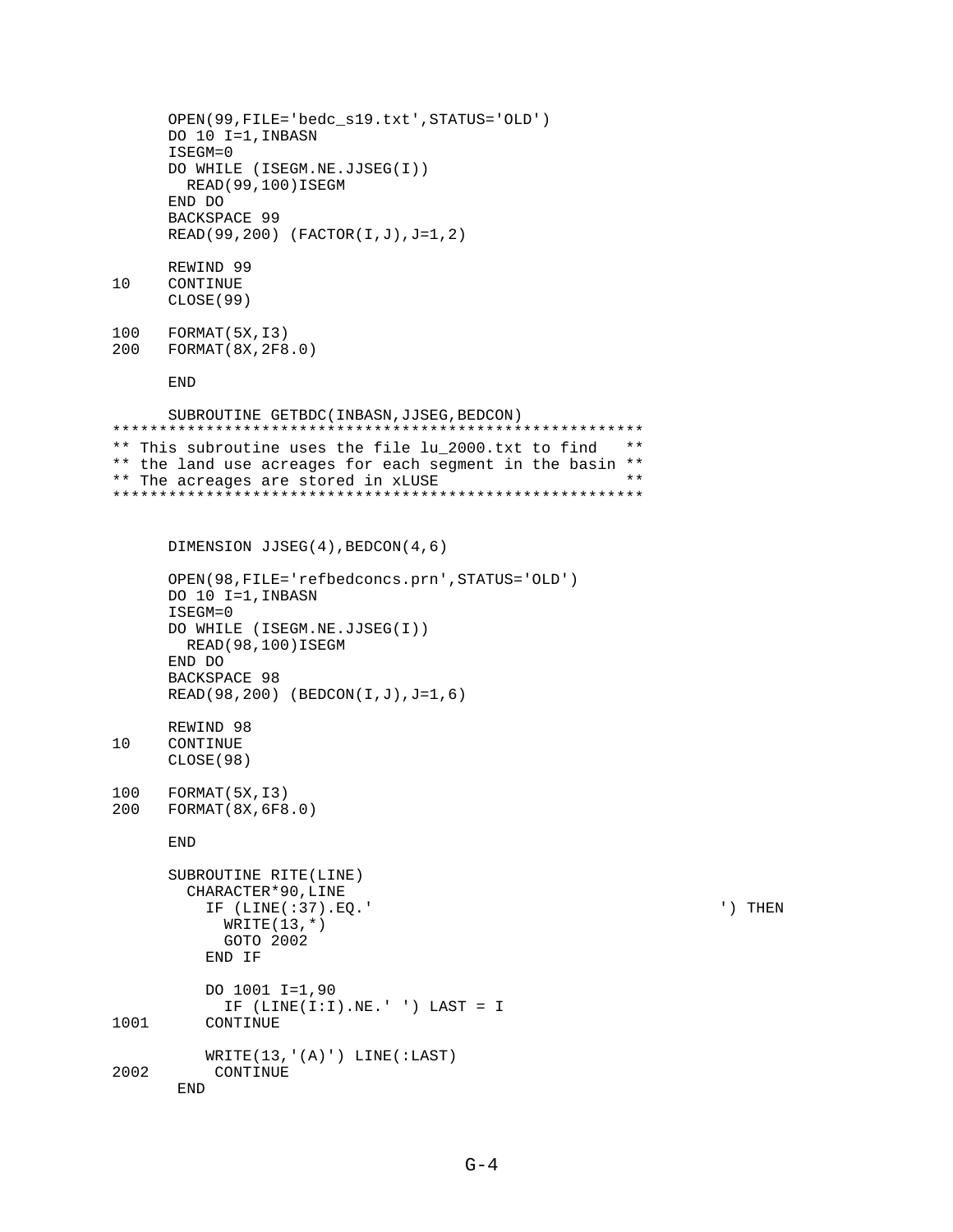```
OPEN(99, FILE='bedc_s19.txt', STATUS='OLD')
     DO 10 I=1, INBASN
     ISEGM=0
     DO WHILE (ISEGM.NE.JJSEG(I))
       READ (99,100) ISEGM
     END DO
     BACKSPACE 99
     READ(99,200) (FACTOR(I,J), J=1,2)
     REWIND 99
10CONTINUE
     CLOSE (99)
100
     FORMAT(5X, I3)200
    FORMAT (8X, 2F8.0)
     END
     SUBROUTINE GETBDC (INBASN, JJSEG, BEDCON)
** This subroutine uses the file lu 2000.txt to find **
** the land use acreages for each segment in the basin **
                                                   + +** The acreages are stored in xLUSE
DIMENSION JJSEG(4), BEDCON(4,6)
     OPEN(98, FILE='refbedconcs.prn', STATUS='OLD')
     DO 10 I=1, INBASN
     ISEGM=0
     DO WHILE (ISEGM.NE.JJSEG(I))
       READ (98,100) ISEGM
     END DO
     BACKSPACE 98
     READ(98,200) (BEDCON(I,J), J=1,6)
     REWIND 98
10CONTINUE
     CLOSE (98)
100
    FORMAT (5X, I3)
200
    FORMAT(8X, 6F8.0)END
     SUBROUTINE RITE(LINE)
       CHARACTER*90, LINE
         IF (LINE(:37).EO.'
                                                             ') THEN
           WRITE(13,*)GOTO 2002
         END IF
         DO 1001 I=1,90
           IF (LINE(I:I).NE.'') LAST = I1001
         CONTINUE
         WRITE(13,' (A)') LINE(iLAST)2002
          CONTINUE
      \ensuremath{\mathrm{END}}
```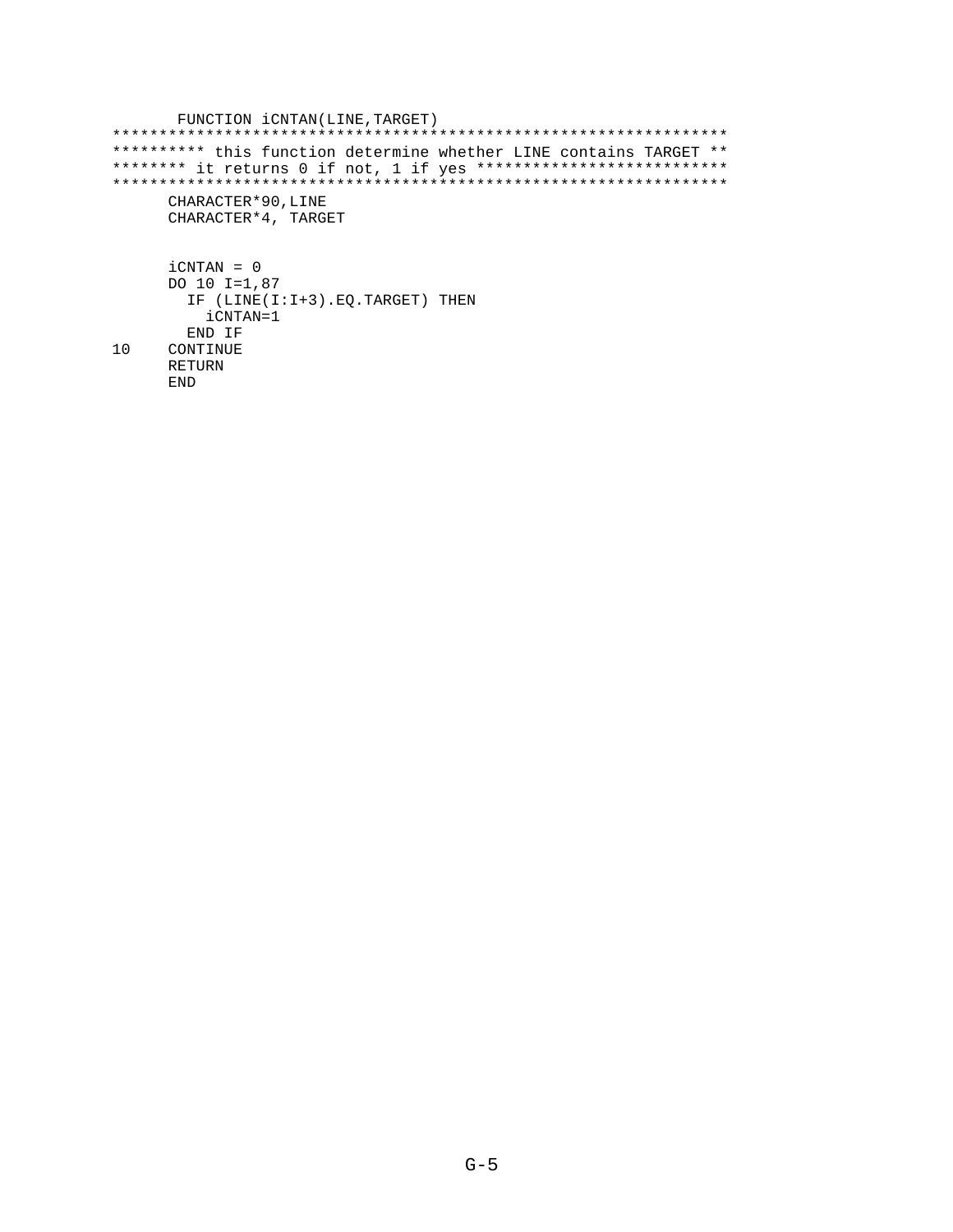```
FUNCTION iCNTAN(LINE, TARGET)
********** this function determine whether LINE contains TARGET **
******** it returns 0 if not, 1 if yes ****************************
CHARACTER*90, LINE
    CHARACTER*4, TARGET
    iCNTAN = 0
    DO 10 I=1,87
     IF (LINE(I:I+3). EQ. TARGET) THEN
       iCNTAN=1
     END IF
10CONTINUE
    RETURN
    \mathop{\rm END}
```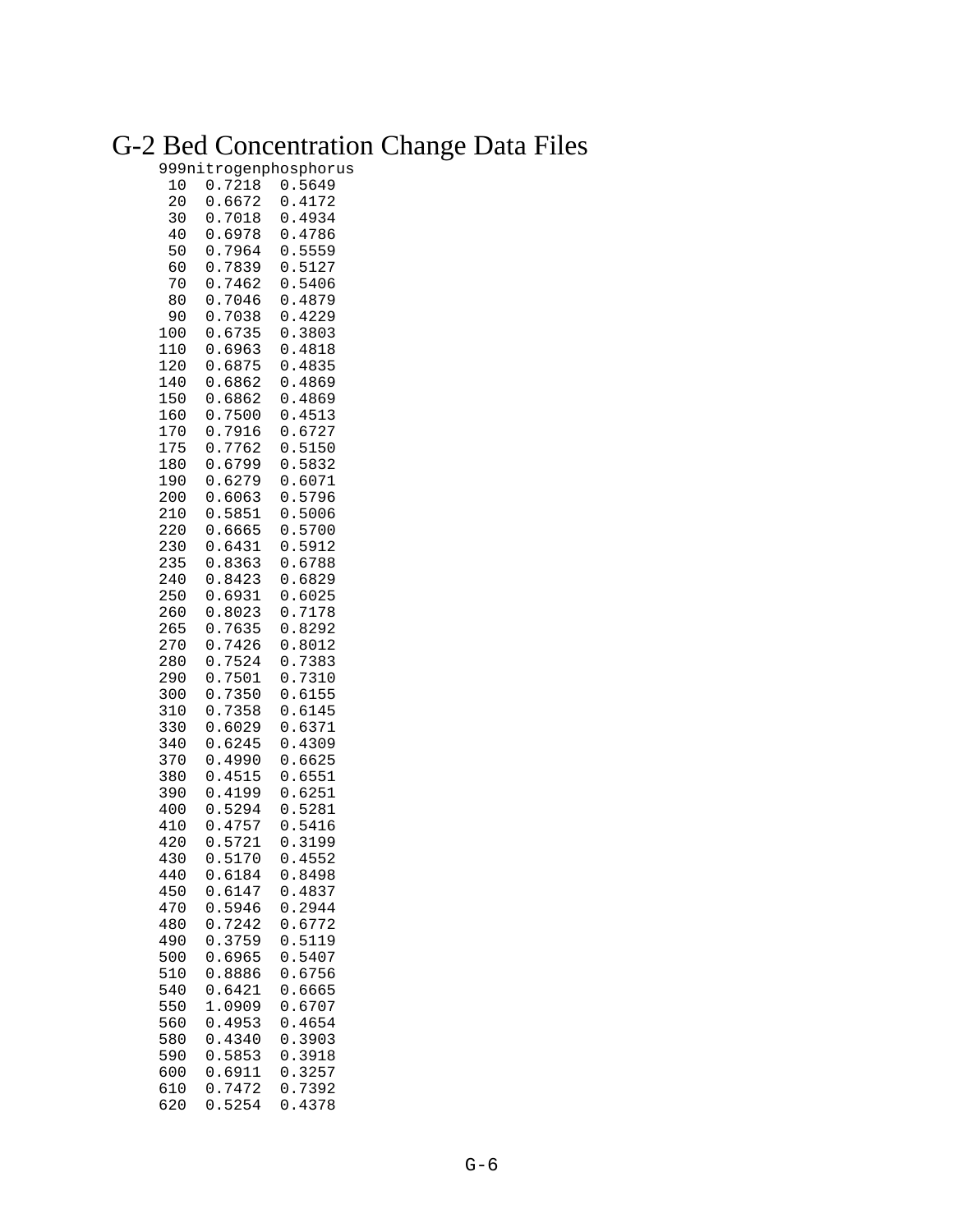### G-2 Bed Concentration Change Data Files

#### 999nitrogenphosphorus

| 10<br>20<br>30<br>40<br>50<br>60<br>70<br>80<br>90<br>100<br>110<br>120<br>140<br>150<br>160                        | 7218<br>0<br>6672<br>0<br>$\ddot{\phantom{0}}$<br>0<br>7018<br>$\ddot{\phantom{0}}$<br>6978<br>0<br>0<br>7964<br>$\ddot{\phantom{0}}$<br>7839<br>0<br>0<br>7462<br>7046<br>0<br>7038<br>0<br>0<br>6735<br>$\ddot{\phantom{0}}$<br>6963<br>0<br>$\ddot{\phantom{0}}$<br>0<br>6875<br>$\ddot{\phantom{0}}$<br>6862<br>0<br>$\ddot{\phantom{0}}$<br>$\ddot{\phantom{0}}$<br>6862<br>0<br>7500<br>0<br>$\ddot{\phantom{0}}$                                                                                                   | 5649<br>0<br>0<br>$\ddot{\phantom{0}}$<br>4172<br>0<br>4934<br>$\ddot{\phantom{0}}$<br>4786<br>0<br>$\ddot{\phantom{a}}$<br>5559<br>0<br>$\ddot{\phantom{a}}$<br>5127<br>0<br>5406<br>0<br>$\ddot{\phantom{0}}$<br>4879<br>0<br>$\ddot{\phantom{0}}$<br>4229<br>0<br>$\ddot{\phantom{a}}$<br>0<br>3803<br>4818<br>0<br>$\ddot{\phantom{0}}$<br>4835<br>0<br>$\ddot{\phantom{0}}$<br>4869<br>0<br>.4869<br>0<br>.4513<br>0                                                                                                     |
|---------------------------------------------------------------------------------------------------------------------|---------------------------------------------------------------------------------------------------------------------------------------------------------------------------------------------------------------------------------------------------------------------------------------------------------------------------------------------------------------------------------------------------------------------------------------------------------------------------------------------------------------------------|-------------------------------------------------------------------------------------------------------------------------------------------------------------------------------------------------------------------------------------------------------------------------------------------------------------------------------------------------------------------------------------------------------------------------------------------------------------------------------------------------------------------------------|
| 170<br>175<br>180<br>190<br>200<br>210<br>220<br>230<br>235<br>240<br>250<br>260<br>265<br>270<br>280<br>290<br>300 | 0<br>7916<br>$\ddot{\phantom{0}}$<br>7762<br>0<br>$\ddot{\phantom{0}}$<br>6799<br>0<br>6279<br>0<br>$\ddot{\phantom{0}}$<br>0<br>6063<br>$\ddot{\phantom{0}}$<br>5851<br>0<br>$\ddot{\phantom{0}}$<br>$\ddot{\phantom{0}}$<br>6665<br>0<br>6431<br>0<br>$\ddot{\phantom{0}}$<br>0<br>8363<br>$\ddot{\phantom{0}}$<br>8423<br>0<br>6931<br>0<br>$\ddot{\phantom{a}}$<br>$\ddot{\phantom{0}}$<br>8023<br>0<br>0<br>7635<br>$\ddot{\phantom{0}}$<br>7426<br>0<br>7524<br>0<br>7501<br>$\ddot{\phantom{0}}$<br>0<br>7350<br>0 | 0<br>.6727<br>5150<br>0<br>$\ddot{\phantom{0}}$<br>5832<br>0<br>$\ddot{\phantom{0}}$<br>6071<br>0<br>$\overline{0}$<br>5796<br>5006<br>0<br>$\ddot{\phantom{a}}$<br>5700<br>0<br>5912<br>$\ddot{\phantom{0}}$<br>0<br>0<br>6788<br>$\ddot{\phantom{0}}$<br>6829<br>0<br>$\ddot{\phantom{0}}$<br>$\ddot{\phantom{a}}$<br>0<br>6025<br>$\ddot{\phantom{0}}$<br>0<br>7178<br>$\overline{0}$<br>8292<br>$\ddot{\phantom{0}}$<br>0<br>8012<br>$\ddot{\phantom{a}}$<br>7383<br>0<br>$\ddot{\phantom{0}}$<br>7310<br>0<br>.6155<br>0 |
| 310<br>330<br>340<br>370<br>380<br>390<br>400<br>410<br>420<br>430<br>440<br>450<br>470<br>480<br>490               | 0<br>7358<br>6029<br>0<br>0<br>6245<br>$\ddot{\phantom{0}}$<br>4990<br>0<br>$\ddot{\phantom{0}}$<br>.4515<br>0<br>4199<br>0<br>$\ddot{\phantom{0}}$<br>5294<br>0<br>4757<br>0<br>$\ddot{\phantom{0}}$<br>5721<br>0<br>5170<br>0<br>6184<br>0.6147<br>0.5946<br>7242<br>$\boldsymbol{0}$ .<br>0.3759                                                                                                                                                                                                                       | 0<br>6145<br>$\ddot{\phantom{0}}$<br>6371<br>0<br>$\ddot{\phantom{0}}$<br>4309<br>0<br>$\ddot{\phantom{0}}$<br>6625<br>0<br>$\ddot{\phantom{0}}$<br>6551<br>0<br>$\ddot{\phantom{0}}$<br>6251<br>0<br>$\ddot{\phantom{a}}$<br>5281<br>0<br>$\ddot{\phantom{0}}$<br>5416<br>0<br>3199<br>0<br>$\ddot{\phantom{0}}$<br>4552<br>0<br>0.8498<br>0.4837<br>0.2944<br>0.6772<br>0.5119                                                                                                                                              |
| 500<br>510<br>540<br>550<br>560<br>580<br>590<br>600<br>610<br>620                                                  | 0.6965<br>0.8886<br>0.6421<br>1.0909<br>0.4953<br>0.4340<br>0.5853<br>0.6911<br>0.7472<br>0.5254                                                                                                                                                                                                                                                                                                                                                                                                                          | 0.5407<br>0.6756<br>0.6665<br>0.6707<br>0.4654<br>0.3903<br>0.3918<br>0.3257<br>0.7392<br>0.4378                                                                                                                                                                                                                                                                                                                                                                                                                              |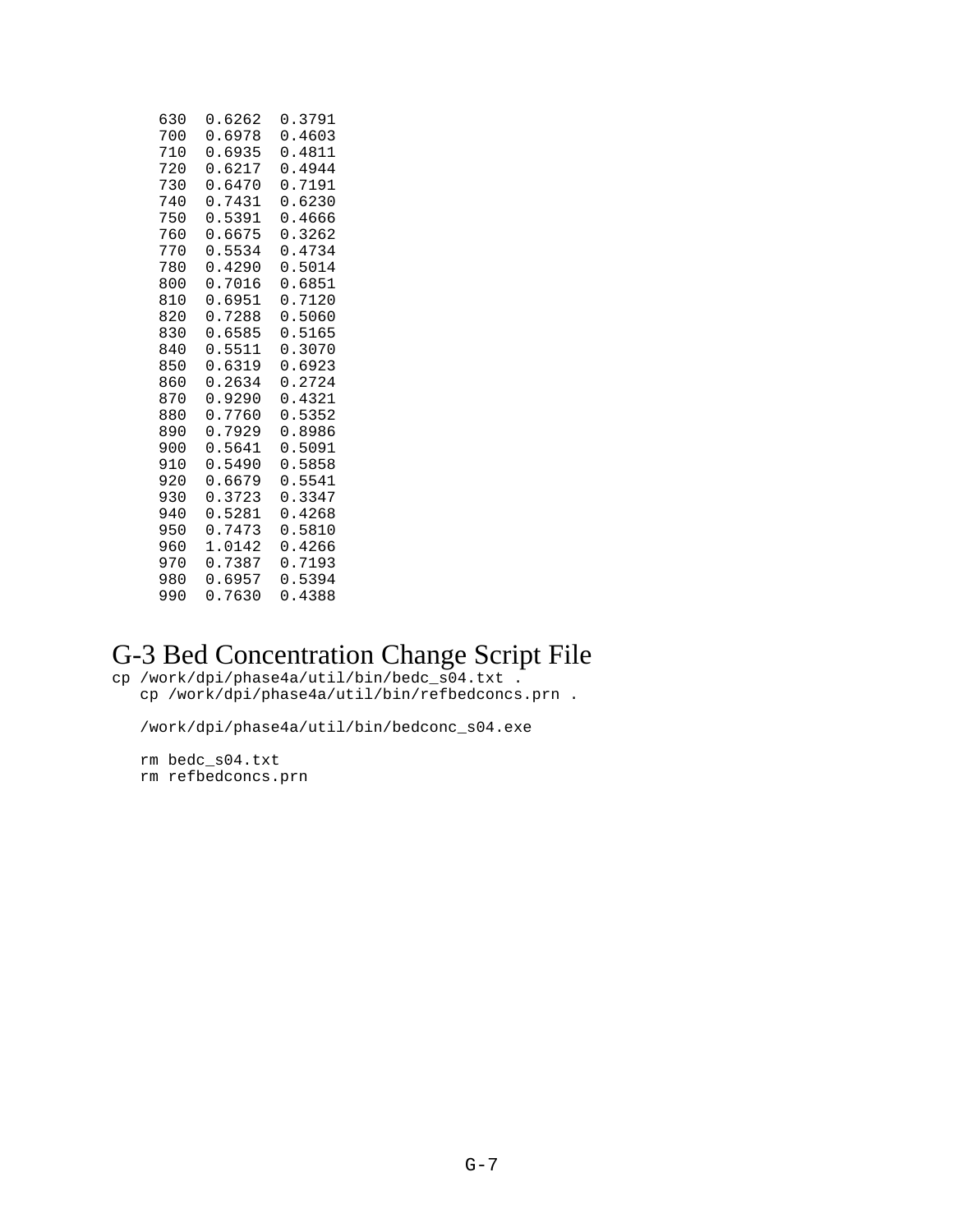| 630 | 0.6262 | 0.3791 |
|-----|--------|--------|
| 700 | 0.6978 | 0.4603 |
| 710 | 0.6935 | 0.4811 |
| 720 | 0.6217 | 0.4944 |
| 730 | 0.6470 | 0.7191 |
| 740 | 0.7431 | 0.6230 |
| 750 | 0.5391 | 0.4666 |
| 760 | 0.6675 | 0.3262 |
| 770 | 0.5534 | 0.4734 |
| 780 | 0.4290 | 0.5014 |
| 800 | 0.7016 | 0.6851 |
| 810 | 0.6951 | 0.7120 |
| 820 | 0.7288 | 0.5060 |
| 830 | 0.6585 | 0.5165 |
| 840 | 0.5511 | 0.3070 |
| 850 | 0.6319 | 0.6923 |
| 860 | 0.2634 | 0.2724 |
| 870 | 0.9290 | 0.4321 |
| 880 | 0.7760 | 0.5352 |
| 890 | 0.7929 | 0.8986 |
| 900 | 0.5641 | 0.5091 |
| 910 | 0.5490 | 0.5858 |
| 920 | 0.6679 | 0.5541 |
| 930 | 0.3723 | 0.3347 |
| 940 | 0.5281 | 0.4268 |
| 950 | 0.7473 | 0.5810 |
| 960 | 1.0142 | 0.4266 |
| 970 | 0.7387 | 0.7193 |
| 980 | 0.6957 | 0.5394 |
| 990 | 0.7630 | 0.4388 |
|     |        |        |

### G-3 Bed Concentration Change Script File

cp /work/dpi/phase4a/util/bin/bedc\_s04.txt . cp /work/dpi/phase4a/util/bin/refbedconcs.prn .

/work/dpi/phase4a/util/bin/bedconc\_s04.exe

 rm bedc\_s04.txt rm refbedconcs.prn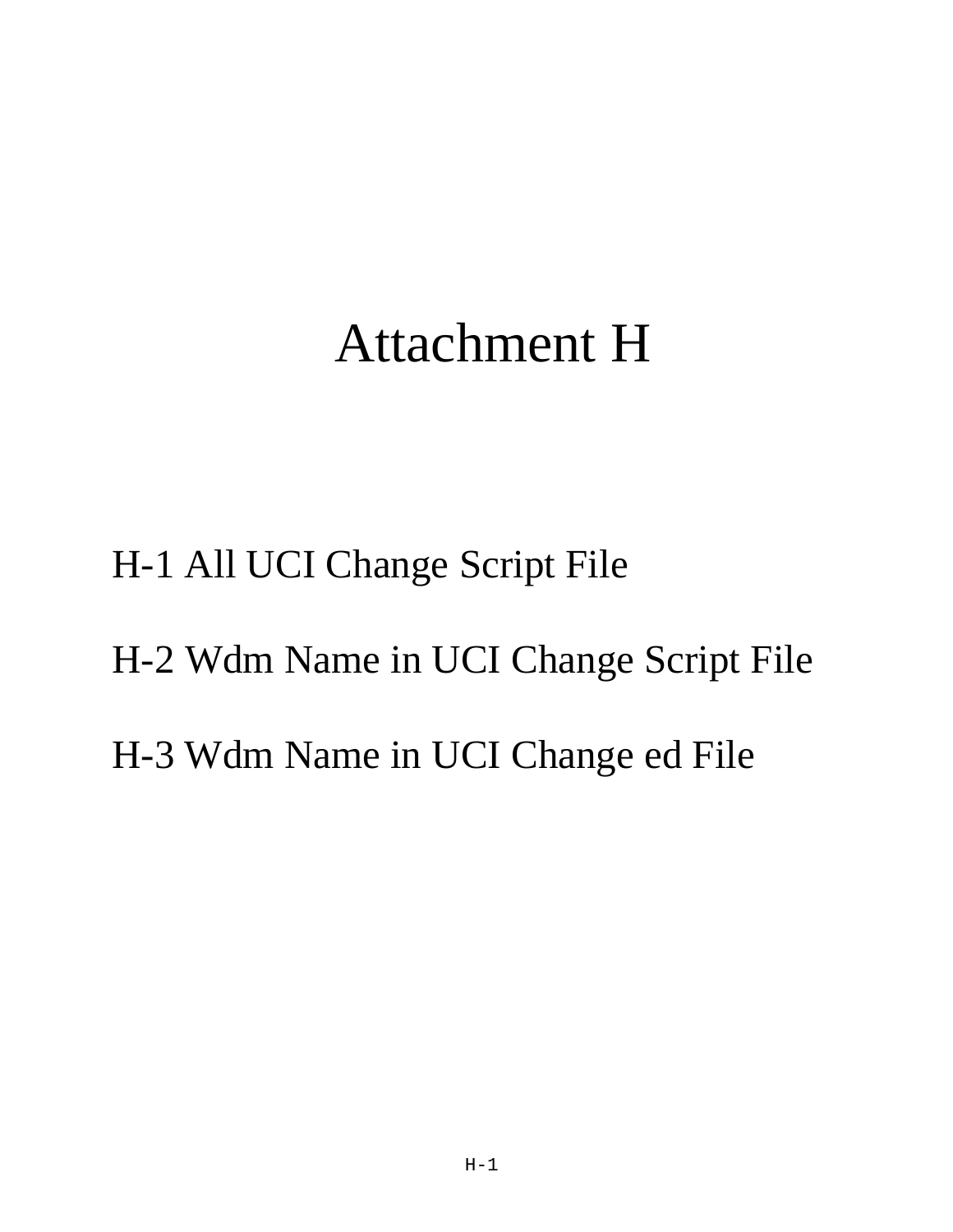## Attachment H

H-1 All UCI Change Script File H-2 Wdm Name in UCI Change Script File H-3 Wdm Name in UCI Change ed File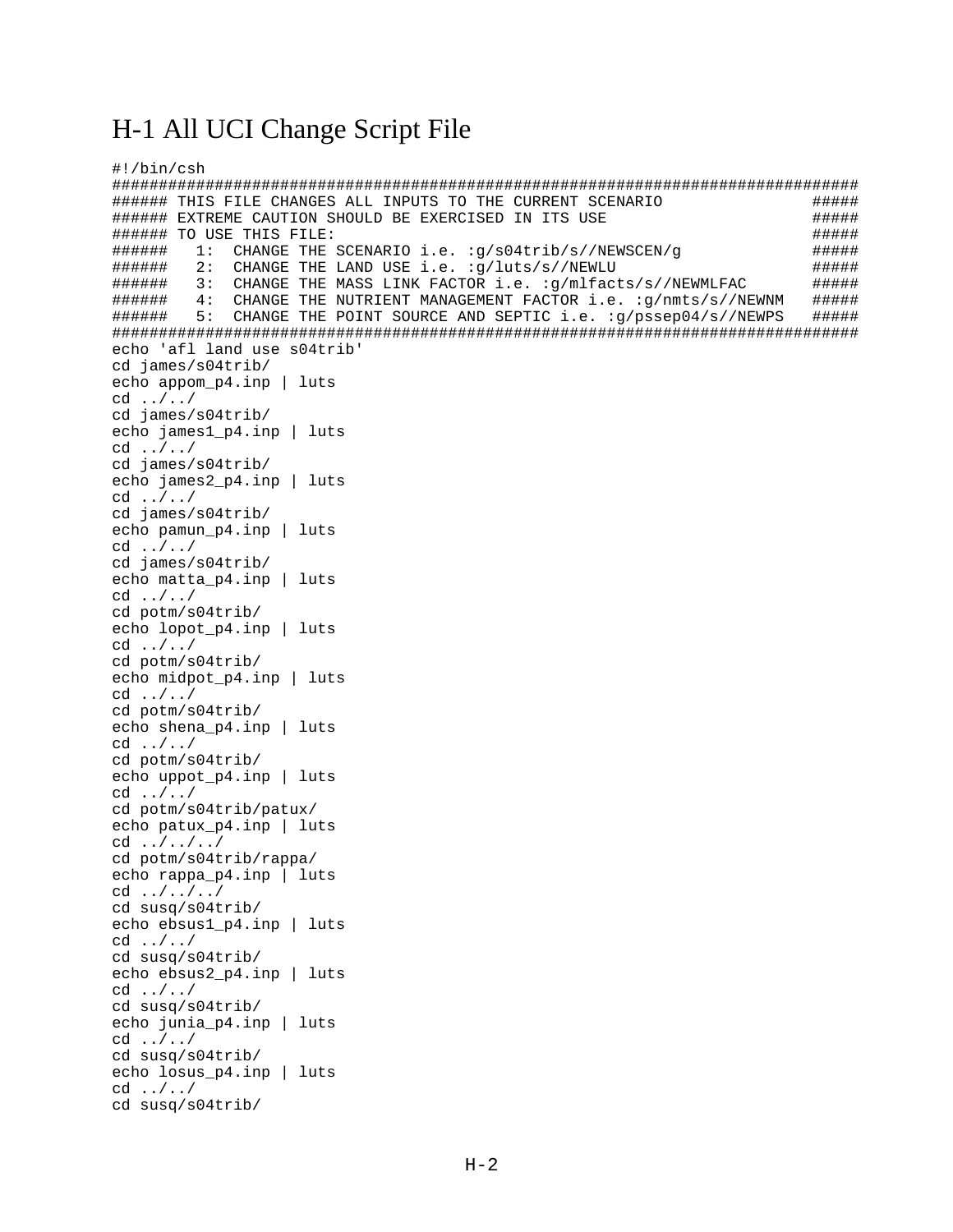### H-1 All UCI Change Script File

```
#!/bin/csh
####### THIS FILE CHANGES ALL INPUTS TO THE CURRENT SCENARIO
                                                                        #####
####### EXTREME CAUTION SHOULD BE EXERCISED IN ITS USE
                                                                        #####
####### TO USE THIS FILE:
                                                                        #####
      1: CHANGE THE SCENARIO i.e. : q/s04trib/s//NEWSCEN/q
######
                                                                        #####
####### 2: CHANGE THE LAND USE i.e. :q/luts/s//NEWLU
                                                                        #####
###### 3: CHANGE THE MASS LINK FACTOR i.e. :q/mlfacts/s//NEWMLFAC
                                                                        #####
###### 4: CHANGE THE NUTRIENT MANAGEMENT FACTOR i.e. :q/nmts/s//NEWNM
                                                                        #####
###### 5: CHANGE THE POINT SOURCE AND SEPTIC i.e. :g/pssep04/s//NEWPS
                                                                        #####
echo 'afl land use s04trib'
cd james/s04trib/
echo appom_p4.inp | luts
cd \ldots / acd james/s04trib/
echo james1 p4.inp | luts
cd \ldots / acd james/s04trib/
echo james2_p4.inp | luts
cd \ldots / acd james/s04trib/
echo pamun_p4.inp | luts
cd \ldots / acd james/s04trib/
echo matta_p4.inp | luts
cd \ldots / \ldots /cd potm/s04trib/
echo lopot_p4.inp | luts
cd \ldots / acd potm/s04trib/
echo midpot_p4.inp | luts
cd \ldots / acd potm/s04trib/
echo shena_p4.inp | luts
cd \ldots / \ldots /cd potm/s04trib/
echo uppot_p4.inp | luts
cd \ldots / \ldots /cd potm/s04trib/patux/
echo patux p4.inp | luts
cd \ldots / a \ldots /cd potm/s04trib/rappa/
echo rappa p4.inp | luts
cd \ldots / \ldots /cd susq/s04trib/
echo ebsus1 p4.inp | luts
cd \ldots / acd susq/s04trib/
echo ebsus2_p4.inp | luts
cd \ldots / \ldots /cd susq/s04trib/
echo junia p4.inp | luts
cd \ldots / acd susg/s04trib/
echo losus_p4.inp | luts
cd \ldots /cd susq/s04trib/
```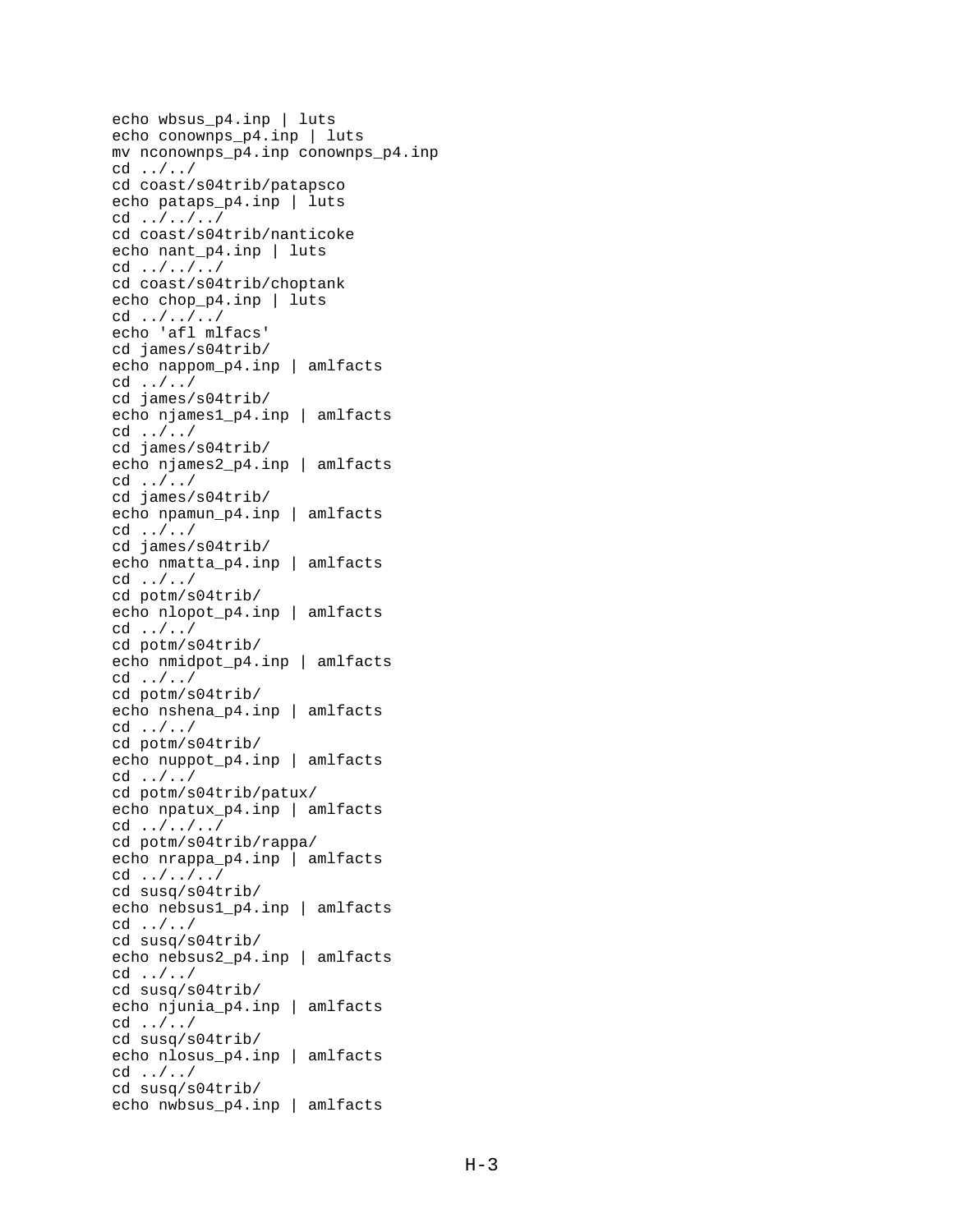```
echo wbsus_p4.inp | luts
echo conownps_p4.inp | luts
mv nconownps_p4.inp conownps_p4.inp
cd ../../
cd coast/s04trib/patapsco
echo pataps_p4.inp | luts
cd ../../../
cd coast/s04trib/nanticoke
echo nant p4.inp | luts
cd ../../../
cd coast/s04trib/choptank
echo chop_p4.inp | luts
cd ../../../
echo 'afl mlfacs'
cd james/s04trib/
echo nappom_p4.inp | amlfacts
cd ../../
cd james/s04trib/
echo njames1_p4.inp | amlfacts
cd \ldots / acd james/s04trib/
echo njames2_p4.inp | amlfacts
cd \ldots / acd james/s04trib/
echo npamun_p4.inp | amlfacts
cd ../../
cd james/s04trib/
echo nmatta_p4.inp | amlfacts
cd ../../
cd potm/s04trib/
echo nlopot_p4.inp | amlfacts
cd \ldots / acd potm/s04trib/
echo nmidpot_p4.inp | amlfacts
cd \ldots / acd potm/s04trib/
echo nshena_p4.inp | amlfacts
cd ../../
cd potm/s04trib/
echo nuppot_p4.inp | amlfacts
cd ../../
cd potm/s04trib/patux/
echo npatux_p4.inp | amlfacts
cd ../../../
cd potm/s04trib/rappa/
echo nrappa_p4.inp | amlfacts
cd ../../../
cd susq/s04trib/
echo nebsus1_p4.inp | amlfacts
cd \ldots / acd susq/s04trib/
echo nebsus2_p4.inp | amlfacts
cd ../../
cd susq/s04trib/
echo njunia_p4.inp | amlfacts
cd \ldots / acd susq/s04trib/
echo nlosus_p4.inp | amlfacts
cd \ldots / acd susq/s04trib/
echo nwbsus_p4.inp | amlfacts
```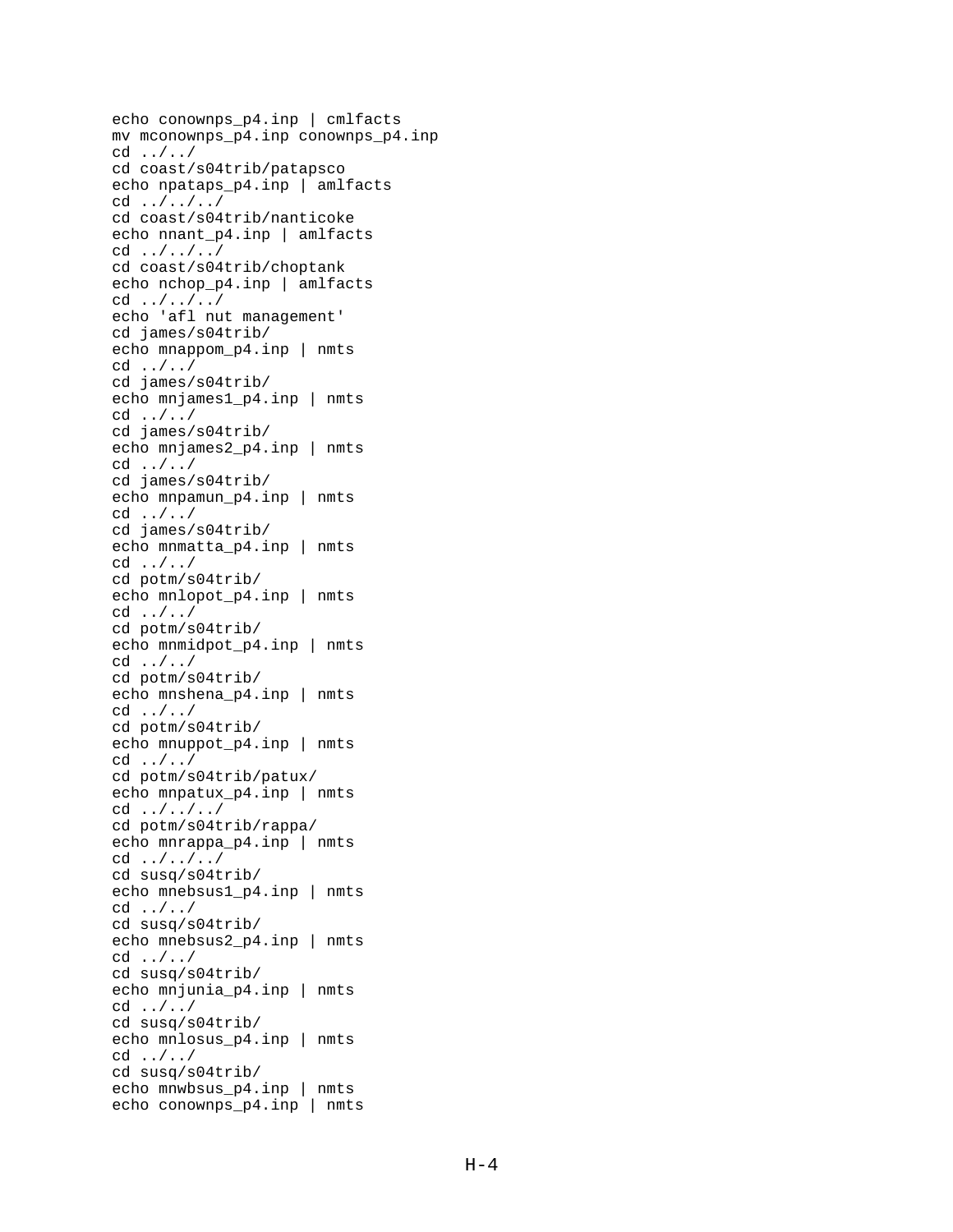```
echo conownps_p4.inp | cmlfacts
mv mconownps_p4.inp conownps_p4.inp
cd ../../
cd coast/s04trib/patapsco
echo npataps_p4.inp | amlfacts
cd ../../../
cd coast/s04trib/nanticoke
echo nnant_p4.inp | amlfacts
cd ../../../
cd coast/s04trib/choptank
echo nchop_p4.inp | amlfacts
cd ../../../
echo 'afl nut management'
cd james/s04trib/
echo mnappom_p4.inp | nmts
cd ../../
cd james/s04trib/
echo mnjames1_p4.inp | nmts
cd \ldots / acd james/s04trib/
echo mnjames2_p4.inp | nmts
cd \ldots / acd james/s04trib/
echo mnpamun_p4.inp | nmts
cd ../../
cd james/s04trib/
echo mnmatta_p4.inp | nmts
cd ../../
cd potm/s04trib/
echo mnlopot_p4.inp | nmts
cd ../../
cd potm/s04trib/
echo mnmidpot_p4.inp | nmts
cd \ldots / acd potm/s04trib/
echo mnshena_p4.inp | nmts
cd ../../
cd potm/s04trib/
echo mnuppot_p4.inp | nmts
cd ../../
cd potm/s04trib/patux/
echo mnpatux_p4.inp | nmts
cd ../../../
cd potm/s04trib/rappa/
echo mnrappa_p4.inp | nmts
cd \ldots / \ldots /cd susq/s04trib/
echo mnebsus1_p4.inp | nmts
cd \ldots / acd susq/s04trib/
echo mnebsus2_p4.inp | nmts
cd ../../
cd susq/s04trib/
echo mnjunia_p4.inp | nmts
cd ../../
cd susq/s04trib/
echo mnlosus_p4.inp | nmts
cd \ldots / acd susq/s04trib/
echo mnwbsus_p4.inp | nmts
echo conownps_p4.inp | nmts
```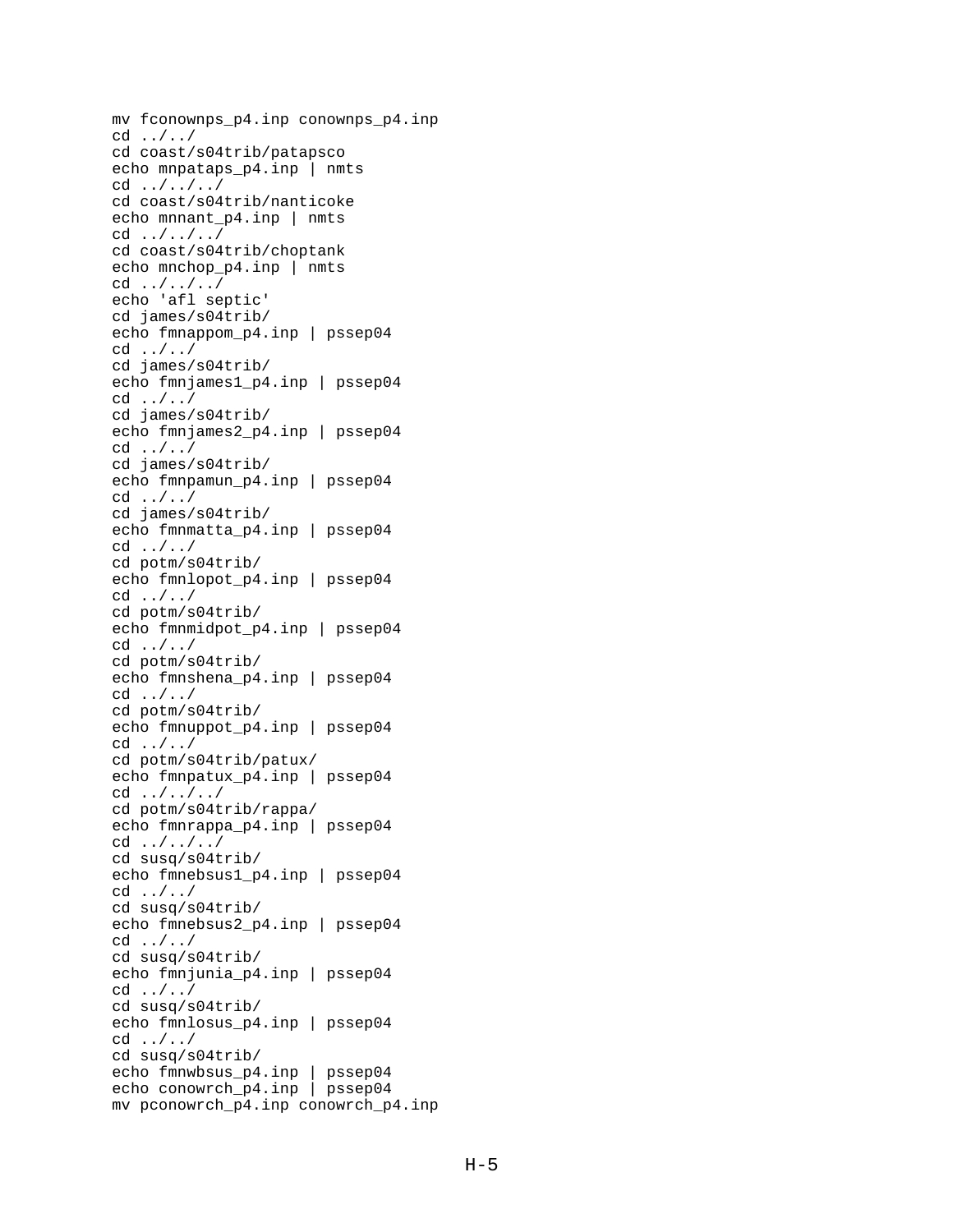```
mv fconownps_p4.inp conownps_p4.inp
cd ../../
cd coast/s04trib/patapsco
echo mnpataps_p4.inp | nmts
cd ../../../
cd coast/s04trib/nanticoke
echo mnnant p4.inp | nmts
cd ../../../
cd coast/s04trib/choptank
echo mnchop p4.inp | nmts
cd ../../../
echo 'afl septic'
cd james/s04trib/
echo fmnappom_p4.inp | pssep04
cd ../../
cd james/s04trib/
echo fmnjames1_p4.inp | pssep04
cd ../../
cd james/s04trib/
echo fmnjames2_p4.inp | pssep04
cd \ldots / acd james/s04trib/
echo fmnpamun_p4.inp | pssep04
cd ../../
cd james/s04trib/
echo fmnmatta_p4.inp | pssep04
cd ../../
cd potm/s04trib/
echo fmnlopot_p4.inp | pssep04
cd \ldots / acd potm/s04trib/
echo fmnmidpot_p4.inp | pssep04
cd \ldots / acd potm/s04trib/
echo fmnshena_p4.inp | pssep04
cd \ldots / acd potm/s04trib/
echo fmnuppot_p4.inp | pssep04
cd ../../
cd potm/s04trib/patux/
echo fmnpatux_p4.inp | pssep04
cd ../../../
cd potm/s04trib/rappa/
echo fmnrappa_p4.inp | pssep04
cd \ldots / \ldots /cd susq/s04trib/
echo fmnebsus1_p4.inp | pssep04
cd ../../
cd susq/s04trib/
echo fmnebsus2_p4.inp | pssep04
cd ../../
cd susq/s04trib/
echo fmnjunia_p4.inp | pssep04
cd ../../
cd susq/s04trib/
echo fmnlosus_p4.inp | pssep04
cd \ldots / acd susq/s04trib/
echo fmnwbsus_p4.inp | pssep04
echo conowrch p4.inp | pssep04
mv pconowrch_p4.inp conowrch_p4.inp
```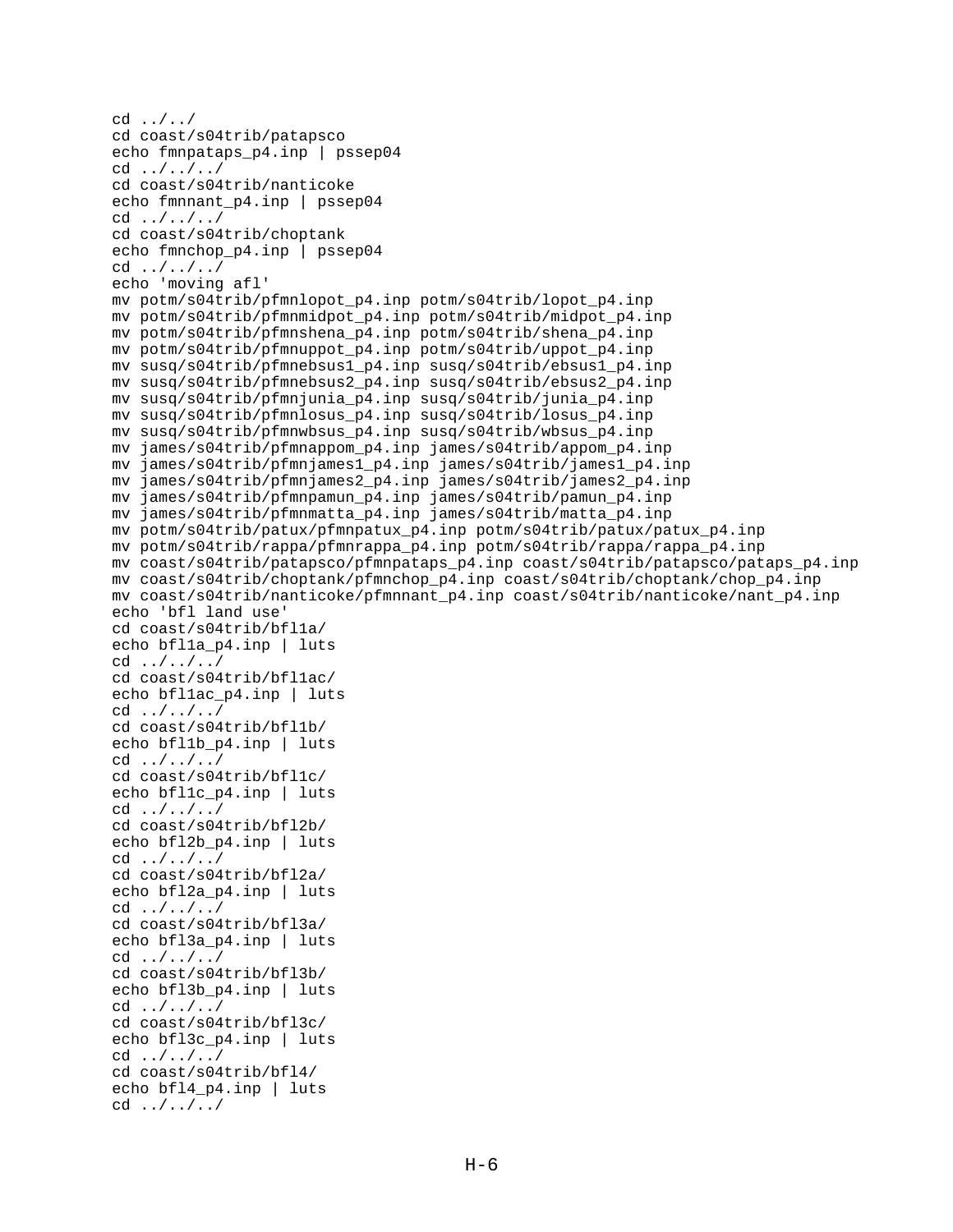```
cd ../../
cd coast/s04trib/patapsco
echo fmnpataps_p4.inp | pssep04
cd ../../../
cd coast/s04trib/nanticoke
echo fmnnant p4.inp | pssep04
cd ../../../
cd coast/s04trib/choptank
echo fmnchop p4.inp | pssep04
cd ../../../
echo 'moving afl'
mv potm/s04trib/pfmnlopot_p4.inp potm/s04trib/lopot_p4.inp
mv potm/s04trib/pfmnmidpot_p4.inp potm/s04trib/midpot_p4.inp
mv potm/s04trib/pfmnshena_p4.inp potm/s04trib/shena_p4.inp
mv potm/s04trib/pfmnuppot_p4.inp potm/s04trib/uppot_p4.inp
mv susq/s04trib/pfmnebsus1_p4.inp susq/s04trib/ebsus1_p4.inp
mv susq/s04trib/pfmnebsus2_p4.inp susq/s04trib/ebsus2_p4.inp
mv susq/s04trib/pfmnjunia_p4.inp susq/s04trib/junia_p4.inp
mv susq/s04trib/pfmnlosus_p4.inp susq/s04trib/losus_p4.inp
mv susq/s04trib/pfmnwbsus_p4.inp susq/s04trib/wbsus_p4.inp
mv james/s04trib/pfmnappom_p4.inp james/s04trib/appom_p4.inp
mv james/s04trib/pfmnjames1_p4.inp james/s04trib/james1_p4.inp
mv james/s04trib/pfmnjames2_p4.inp james/s04trib/james2_p4.inp
mv james/s04trib/pfmnpamun_p4.inp james/s04trib/pamun_p4.inp
mv james/s04trib/pfmnmatta_p4.inp james/s04trib/matta_p4.inp
mv potm/s04trib/patux/pfmnpatux_p4.inp potm/s04trib/patux/patux_p4.inp
mv potm/s04trib/rappa/pfmnrappa_p4.inp potm/s04trib/rappa/rappa_p4.inp
mv coast/s04trib/patapsco/pfmnpataps_p4.inp coast/s04trib/patapsco/pataps_p4.inp
mv coast/s04trib/choptank/pfmnchop_p4.inp coast/s04trib/choptank/chop_p4.inp
mv coast/s04trib/nanticoke/pfmnnant_p4.inp coast/s04trib/nanticoke/nant_p4.inp
echo 'bfl land use'
cd coast/s04trib/bfl1a/
echo bfl1a p4.inp | luts
cd ../../../
cd coast/s04trib/bfl1ac/
echo bfllac p4.inp | luts
cd ../../../
cd coast/s04trib/bfl1b/
echo bfl1b_p4.inp | luts
cd ../../../
cd coast/s04trib/bfl1c/
echo bfl1c p4.inp | luts
cd \ldots / a \ldots /cd coast/s04trib/bfl2b/
echo bfl2b p4.inp | luts
cd ../../../
cd coast/s04trib/bfl2a/
echo bfl2a p4.inp | luts
cd ../../../
cd coast/s04trib/bfl3a/
echo bfl3a_p4.inp | luts
cd ../../../
cd coast/s04trib/bfl3b/
echo bfl3b p4.inp | luts
cd ../../../
cd coast/s04trib/bfl3c/
echo bfl3c p4.inp | luts
cd \ldots / a \ldots /cd coast/s04trib/bfl4/
echo bfl4 p4.inp | luts
cd ../../../
```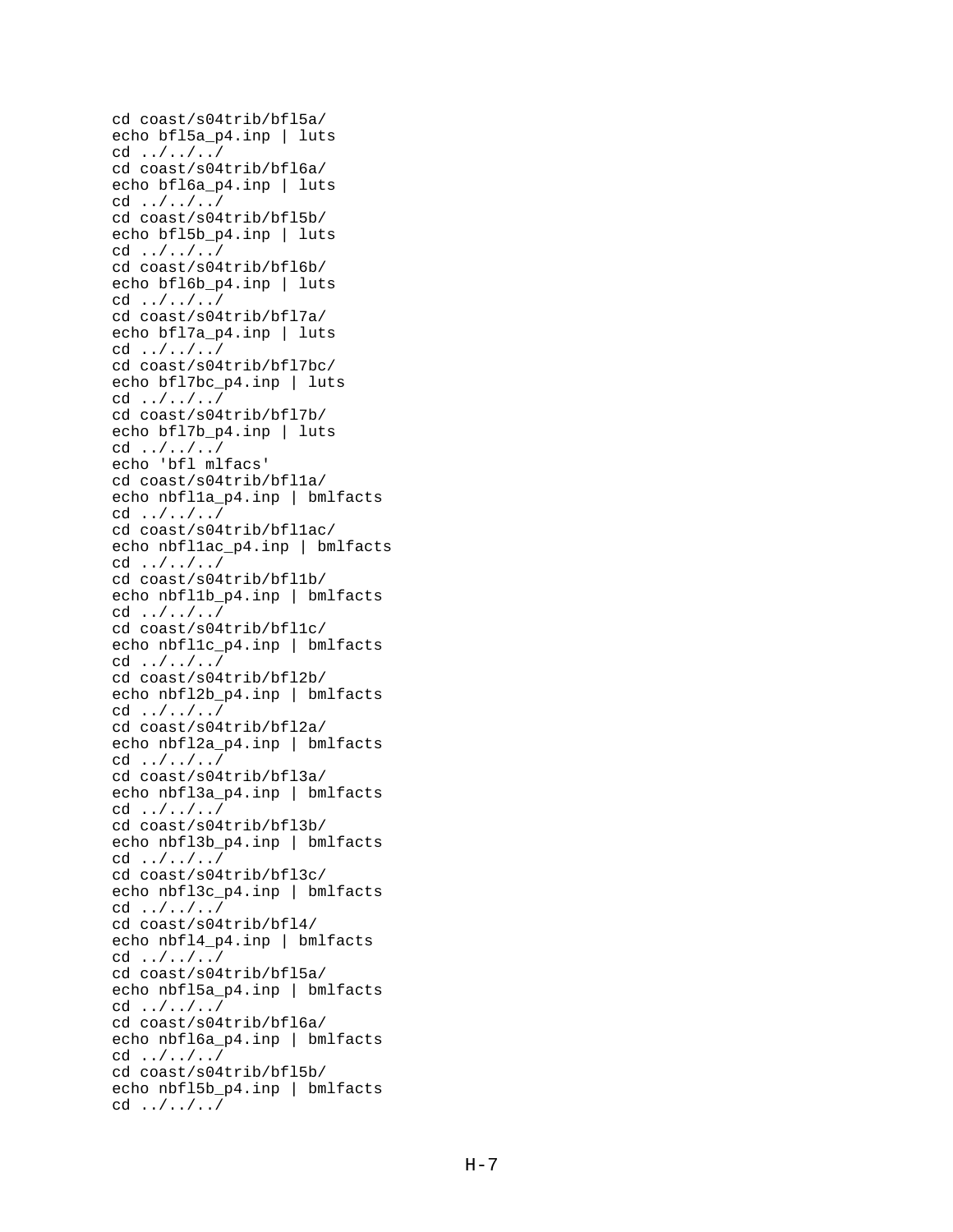```
cd coast/s04trib/bfl5a/
echo bfl5a_p4.inp | luts
cd ../../../
cd coast/s04trib/bfl6a/
echo bfl6a_p4.inp | luts
cd ../../../
cd coast/s04trib/bfl5b/
echo bfl5b_p4.inp | luts
cd ../../../
cd coast/s04trib/bfl6b/
echo bfl6b_p4.inp | luts
cd ../../../
cd coast/s04trib/bfl7a/
echo bfl7a_p4.inp | luts
cd ../../../
cd coast/s04trib/bfl7bc/
echo bfl7bc_p4.inp | luts
cd ../../../
cd coast/s04trib/bfl7b/
echo bfl7b_p4.inp | luts
cd ../../../
echo 'bfl mlfacs'
cd coast/s04trib/bfl1a/
echo nbfl1a_p4.inp | bmlfacts
cd ../../../
cd coast/s04trib/bfl1ac/
echo nbfl1ac_p4.inp | bmlfacts
cd ../../../
cd coast/s04trib/bfl1b/
echo nbfl1b_p4.inp | bmlfacts
cd ../../../
cd coast/s04trib/bfl1c/
echo nbfl1c_p4.inp | bmlfacts
cd ../../../
cd coast/s04trib/bfl2b/
echo nbfl2b_p4.inp | bmlfacts
cd ../../../
cd coast/s04trib/bfl2a/
echo nbfl2a_p4.inp | bmlfacts
cd ../../../
cd coast/s04trib/bfl3a/
echo nbfl3a_p4.inp | bmlfacts
cd ../../../
cd coast/s04trib/bfl3b/
echo nbfl3b_p4.inp | bmlfacts
cd ../../../
cd coast/s04trib/bfl3c/
echo nbfl3c_p4.inp | bmlfacts
cd ../../../
cd coast/s04trib/bfl4/
echo nbfl4_p4.inp | bmlfacts
cd ../../../
cd coast/s04trib/bfl5a/
echo nbfl5a_p4.inp | bmlfacts
cd ../../../
cd coast/s04trib/bfl6a/
echo nbfl6a_p4.inp | bmlfacts
cd ../../../
cd coast/s04trib/bfl5b/
echo nbfl5b p4.inp | bmlfacts
cd ../../../
```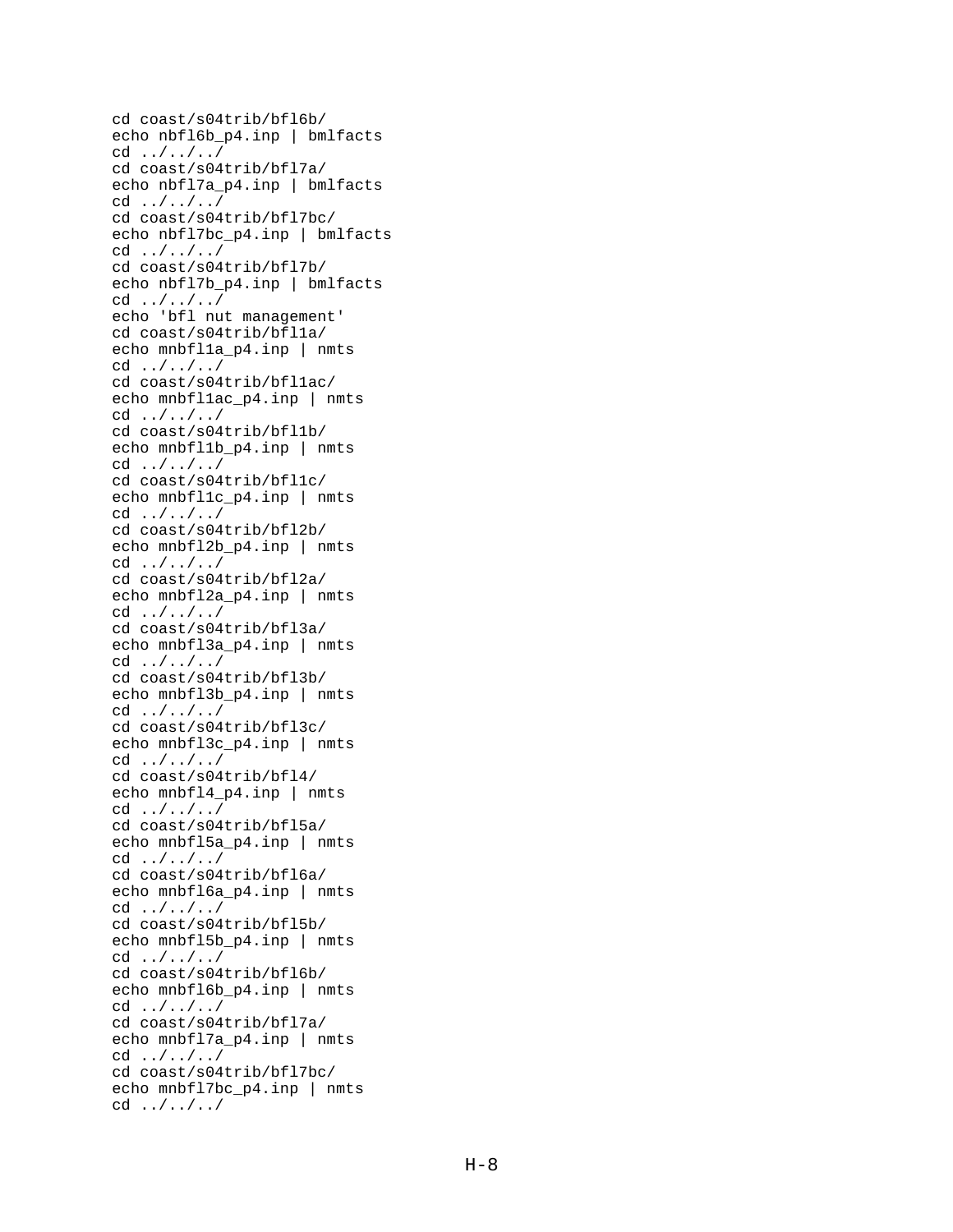```
cd coast/s04trib/bfl6b/
echo nbfl6b_p4.inp | bmlfacts
cd ../../../
cd coast/s04trib/bfl7a/
echo nbfl7a_p4.inp | bmlfacts
cd ../../../
cd coast/s04trib/bfl7bc/
echo nbfl7bc_p4.inp | bmlfacts
cd ../../../
cd coast/s04trib/bfl7b/
echo nbfl7b_p4.inp | bmlfacts
cd ../../../
echo 'bfl nut management'
cd coast/s04trib/bfl1a/
echo mnbfl1a_p4.inp | nmts
cd ../../../
cd coast/s04trib/bfl1ac/
echo mnbfl1ac_p4.inp | nmts
cd ../../../
cd coast/s04trib/bfl1b/
echo mnbfl1b p4.inp | nmts
cd ../../../
cd coast/s04trib/bfl1c/
echo mnbfl1c_p4.inp | nmts
cd ../../../
cd coast/s04trib/bfl2b/
echo mnbfl2b_p4.inp | nmts
cd ../../../
cd coast/s04trib/bfl2a/
echo mnbfl2a_p4.inp | nmts
cd ../../../
cd coast/s04trib/bfl3a/
echo mnbfl3a_p4.inp | nmts
cd ../../../
cd coast/s04trib/bfl3b/
echo mnbfl3b_p4.inp | nmts
cd ../../../
cd coast/s04trib/bfl3c/
echo mnbfl3c_p4.inp | nmts
cd ../../../
cd coast/s04trib/bfl4/
echo mnbfl4_p4.inp | nmts
cd ../../../
cd coast/s04trib/bfl5a/
echo mnbfl5a_p4.inp | nmts
cd ../../../
cd coast/s04trib/bfl6a/
echo mnbfl6a_p4.inp | nmts
cd ../../../
cd coast/s04trib/bfl5b/
echo mnbfl5b_p4.inp | nmts
cd ../../../
cd coast/s04trib/bfl6b/
echo mnbfl6b_p4.inp | nmts
cd ../../../
cd coast/s04trib/bfl7a/
echo mnbfl7a_p4.inp | nmts
cd ../../../
cd coast/s04trib/bfl7bc/
echo mnbfl7bc p4.inp | nmts
cd ../../../
```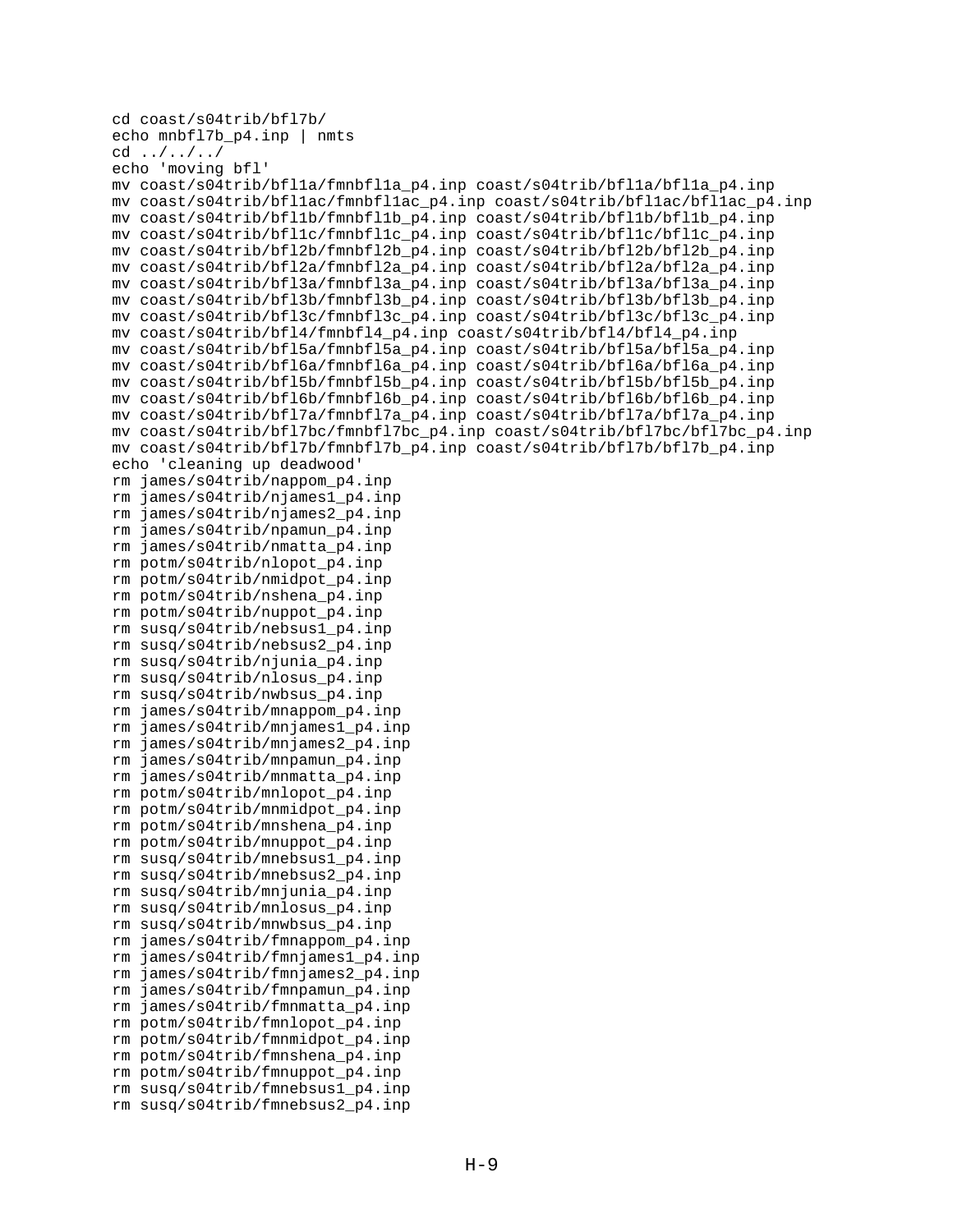```
cd coast/s04trib/bfl7b/
echo mnbfl7b_p4.inp | nmts
cd ../../../
echo 'moving bfl'
mv coast/s04trib/bfl1a/fmnbfl1a_p4.inp coast/s04trib/bfl1a/bfl1a_p4.inp
mv coast/s04trib/bfl1ac/fmnbfl1ac_p4.inp coast/s04trib/bfl1ac/bfl1ac_p4.inp
mv coast/s04trib/bfl1b/fmnbfl1b_p4.inp coast/s04trib/bfl1b/bfl1b_p4.inp
mv coast/s04trib/bfl1c/fmnbfl1c_p4.inp coast/s04trib/bfl1c/bfl1c_p4.inp
mv coast/s04trib/bfl2b/fmnbfl2b_p4.inp coast/s04trib/bfl2b/bfl2b_p4.inp
mv coast/s04trib/bfl2a/fmnbfl2a_p4.inp coast/s04trib/bfl2a/bfl2a_p4.inp
mv coast/s04trib/bfl3a/fmnbfl3a_p4.inp coast/s04trib/bfl3a/bfl3a_p4.inp
mv coast/s04trib/bfl3b/fmnbfl3b_p4.inp coast/s04trib/bfl3b/bfl3b_p4.inp
mv coast/s04trib/bfl3c/fmnbfl3c_p4.inp coast/s04trib/bfl3c/bfl3c_p4.inp
mv coast/s04trib/bfl4/fmnbfl4_p4.inp coast/s04trib/bfl4/bfl4_p4.inp
mv coast/s04trib/bfl5a/fmnbfl5a_p4.inp coast/s04trib/bfl5a/bfl5a_p4.inp
mv coast/s04trib/bfl6a/fmnbfl6a_p4.inp coast/s04trib/bfl6a/bfl6a_p4.inp
mv coast/s04trib/bfl5b/fmnbfl5b_p4.inp coast/s04trib/bfl5b/bfl5b_p4.inp
mv coast/s04trib/bfl6b/fmnbfl6b_p4.inp coast/s04trib/bfl6b/bfl6b_p4.inp
mv coast/s04trib/bfl7a/fmnbfl7a_p4.inp coast/s04trib/bfl7a/bfl7a_p4.inp
mv coast/s04trib/bfl7bc/fmnbfl7bc_p4.inp coast/s04trib/bfl7bc/bfl7bc_p4.inp
mv coast/s04trib/bfl7b/fmnbfl7b_p4.inp coast/s04trib/bfl7b/bfl7b_p4.inp
echo 'cleaning up deadwood'
rm james/s04trib/nappom_p4.inp
rm james/s04trib/njames1_p4.inp
rm james/s04trib/njames2_p4.inp
rm james/s04trib/npamun_p4.inp
rm james/s04trib/nmatta_p4.inp
rm potm/s04trib/nlopot_p4.inp
rm potm/s04trib/nmidpot_p4.inp
rm potm/s04trib/nshena_p4.inp
rm potm/s04trib/nuppot_p4.inp
rm susq/s04trib/nebsus1_p4.inp
rm susq/s04trib/nebsus2_p4.inp
rm susq/s04trib/njunia_p4.inp
rm susq/s04trib/nlosus_p4.inp
rm susq/s04trib/nwbsus_p4.inp
rm james/s04trib/mnappom_p4.inp
rm james/s04trib/mnjames1_p4.inp
rm james/s04trib/mnjames2_p4.inp
rm james/s04trib/mnpamun_p4.inp
rm james/s04trib/mnmatta_p4.inp
rm potm/s04trib/mnlopot_p4.inp
rm potm/s04trib/mnmidpot_p4.inp
rm potm/s04trib/mnshena_p4.inp
rm potm/s04trib/mnuppot_p4.inp
rm susq/s04trib/mnebsus1_p4.inp
rm susq/s04trib/mnebsus2_p4.inp
rm susq/s04trib/mnjunia_p4.inp
rm susq/s04trib/mnlosus_p4.inp
rm susq/s04trib/mnwbsus_p4.inp
rm james/s04trib/fmnappom_p4.inp
rm james/s04trib/fmnjames1_p4.inp
rm james/s04trib/fmnjames2_p4.inp
rm james/s04trib/fmnpamun_p4.inp
rm james/s04trib/fmnmatta_p4.inp
rm potm/s04trib/fmnlopot_p4.inp
rm potm/s04trib/fmnmidpot_p4.inp
rm potm/s04trib/fmnshena_p4.inp
rm potm/s04trib/fmnuppot_p4.inp
rm susq/s04trib/fmnebsus1_p4.inp
rm susq/s04trib/fmnebsus2_p4.inp
```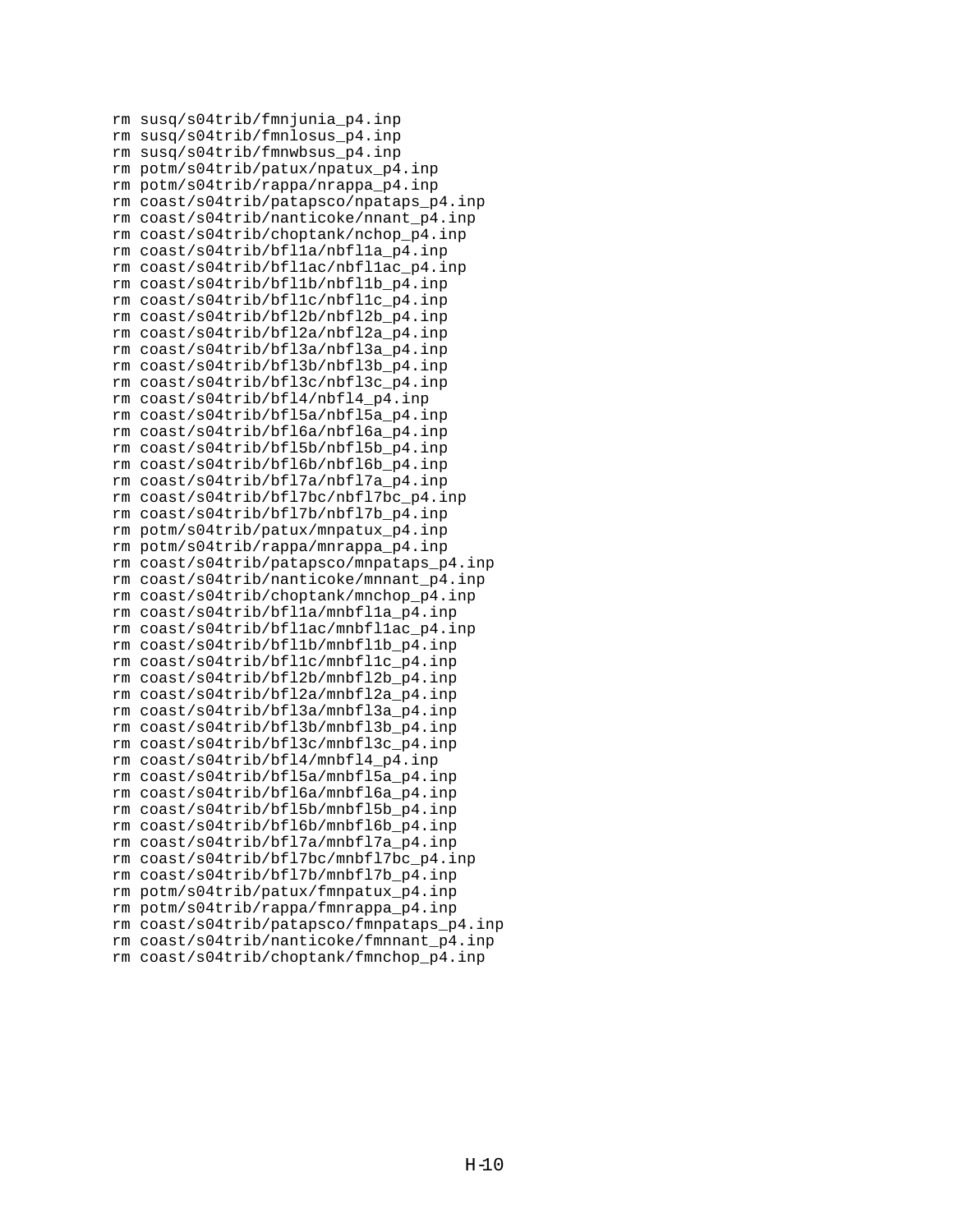rm susq/s04trib/fmnjunia\_p4.inp rm susq/s04trib/fmnlosus\_p4.inp rm susq/s04trib/fmnwbsus\_p4.inp rm potm/s04trib/patux/npatux\_p4.inp rm potm/s04trib/rappa/nrappa\_p4.inp rm coast/s04trib/patapsco/npataps\_p4.inp rm coast/s04trib/nanticoke/nnant\_p4.inp rm coast/s04trib/choptank/nchop\_p4.inp rm coast/s04trib/bfl1a/nbfl1a\_p4.inp rm coast/s04trib/bfl1ac/nbfl1ac\_p4.inp rm coast/s04trib/bfl1b/nbfl1b\_p4.inp rm coast/s04trib/bfl1c/nbfl1c\_p4.inp rm coast/s04trib/bfl2b/nbfl2b\_p4.inp rm coast/s04trib/bfl2a/nbfl2a\_p4.inp rm coast/s04trib/bfl3a/nbfl3a\_p4.inp rm coast/s04trib/bfl3b/nbfl3b\_p4.inp rm coast/s04trib/bfl3c/nbfl3c\_p4.inp rm coast/s04trib/bfl4/nbfl4\_p4.inp rm coast/s04trib/bfl5a/nbfl5a\_p4.inp rm coast/s04trib/bfl6a/nbfl6a\_p4.inp rm coast/s04trib/bfl5b/nbfl5b\_p4.inp rm coast/s04trib/bfl6b/nbfl6b\_p4.inp rm coast/s04trib/bfl7a/nbfl7a\_p4.inp rm coast/s04trib/bfl7bc/nbfl7bc\_p4.inp rm coast/s04trib/bfl7b/nbfl7b\_p4.inp rm potm/s04trib/patux/mnpatux\_p4.inp rm potm/s04trib/rappa/mnrappa\_p4.inp rm coast/s04trib/patapsco/mnpataps\_p4.inp rm coast/s04trib/nanticoke/mnnant\_p4.inp rm coast/s04trib/choptank/mnchop\_p4.inp rm coast/s04trib/bfl1a/mnbfl1a\_p4.inp rm coast/s04trib/bfl1ac/mnbfl1ac\_p4.inp rm coast/s04trib/bfl1b/mnbfl1b\_p4.inp rm coast/s04trib/bfl1c/mnbfl1c\_p4.inp rm coast/s04trib/bfl2b/mnbfl2b\_p4.inp rm coast/s04trib/bfl2a/mnbfl2a\_p4.inp rm coast/s04trib/bfl3a/mnbfl3a\_p4.inp rm coast/s04trib/bfl3b/mnbfl3b\_p4.inp rm coast/s04trib/bfl3c/mnbfl3c\_p4.inp rm coast/s04trib/bfl4/mnbfl4\_p4.inp rm coast/s04trib/bfl5a/mnbfl5a\_p4.inp rm coast/s04trib/bfl6a/mnbfl6a\_p4.inp rm coast/s04trib/bfl5b/mnbfl5b\_p4.inp rm coast/s04trib/bfl6b/mnbfl6b\_p4.inp rm coast/s04trib/bfl7a/mnbfl7a\_p4.inp rm coast/s04trib/bfl7bc/mnbfl7bc\_p4.inp rm coast/s04trib/bfl7b/mnbfl7b\_p4.inp rm potm/s04trib/patux/fmnpatux\_p4.inp rm potm/s04trib/rappa/fmnrappa\_p4.inp rm coast/s04trib/patapsco/fmnpataps\_p4.inp rm coast/s04trib/nanticoke/fmnnant\_p4.inp rm coast/s04trib/choptank/fmnchop\_p4.inp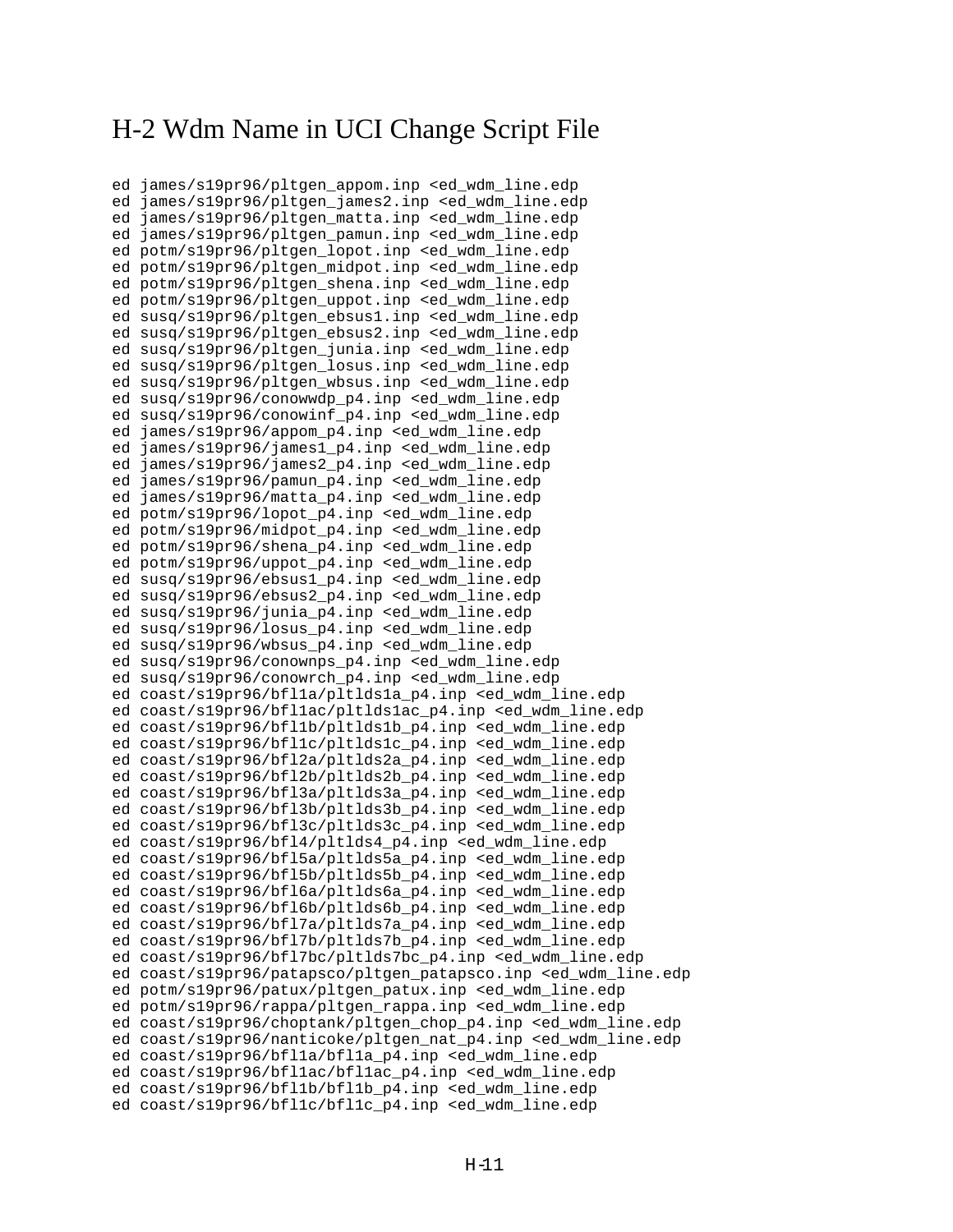#### H-2 Wdm Name in UCI Change Script File

ed james/s19pr96/pltgen\_appom.inp <ed\_wdm\_line.edp ed james/s19pr96/pltgen\_james2.inp <ed\_wdm\_line.edp ed james/s19pr96/pltgen\_matta.inp <ed\_wdm\_line.edp ed james/s19pr96/pltgen\_pamun.inp <ed\_wdm\_line.edp ed potm/s19pr96/pltgen\_lopot.inp <ed\_wdm\_line.edp ed potm/s19pr96/pltgen\_midpot.inp <ed\_wdm\_line.edp ed potm/s19pr96/pltgen\_shena.inp <ed\_wdm\_line.edp ed potm/s19pr96/pltgen\_uppot.inp <ed\_wdm\_line.edp ed susq/s19pr96/pltgen\_ebsus1.inp <ed\_wdm\_line.edp ed susq/s19pr96/pltgen\_ebsus2.inp <ed\_wdm\_line.edp ed susq/s19pr96/pltgen\_junia.inp <ed\_wdm\_line.edp ed susq/s19pr96/pltgen\_losus.inp <ed\_wdm\_line.edp ed susq/s19pr96/pltgen\_wbsus.inp <ed\_wdm\_line.edp ed susq/s19pr96/conowwdp\_p4.inp <ed\_wdm\_line.edp ed susq/s19pr96/conowinf\_p4.inp <ed\_wdm\_line.edp ed james/s19pr96/appom\_p4.inp <ed\_wdm\_line.edp ed james/s19pr96/james1\_p4.inp <ed\_wdm\_line.edp ed james/s19pr96/james2\_p4.inp <ed\_wdm\_line.edp ed james/s19pr96/pamun\_p4.inp <ed\_wdm\_line.edp ed james/s19pr96/matta\_p4.inp <ed\_wdm\_line.edp ed potm/s19pr96/lopot\_p4.inp <ed\_wdm\_line.edp ed potm/s19pr96/midpot\_p4.inp <ed\_wdm\_line.edp ed potm/s19pr96/shena\_p4.inp <ed\_wdm\_line.edp ed potm/s19pr96/uppot\_p4.inp <ed\_wdm\_line.edp ed susq/s19pr96/ebsus1\_p4.inp <ed\_wdm\_line.edp ed susq/s19pr96/ebsus2\_p4.inp <ed\_wdm\_line.edp ed susq/s19pr96/junia\_p4.inp <ed\_wdm\_line.edp ed susq/s19pr96/losus\_p4.inp <ed\_wdm\_line.edp ed susq/s19pr96/wbsus\_p4.inp <ed\_wdm\_line.edp ed susq/s19pr96/conownps\_p4.inp <ed\_wdm\_line.edp ed susq/s19pr96/conowrch\_p4.inp <ed\_wdm\_line.edp ed coast/s19pr96/bfl1a/pltlds1a\_p4.inp <ed\_wdm\_line.edp ed coast/s19pr96/bfl1ac/pltlds1ac\_p4.inp <ed\_wdm\_line.edp ed coast/s19pr96/bfl1b/pltlds1b\_p4.inp <ed\_wdm\_line.edp ed coast/s19pr96/bfl1c/pltlds1c\_p4.inp <ed\_wdm\_line.edp ed coast/s19pr96/bfl2a/pltlds2a\_p4.inp <ed\_wdm\_line.edp ed coast/s19pr96/bfl2b/pltlds2b\_p4.inp <ed\_wdm\_line.edp ed coast/s19pr96/bfl3a/pltlds3a\_p4.inp <ed\_wdm\_line.edp ed coast/s19pr96/bfl3b/pltlds3b\_p4.inp <ed\_wdm\_line.edp ed coast/s19pr96/bfl3c/pltlds3c\_p4.inp <ed\_wdm\_line.edp ed coast/s19pr96/bfl4/pltlds4\_p4.inp <ed\_wdm\_line.edp ed coast/s19pr96/bfl5a/pltlds5a\_p4.inp <ed\_wdm\_line.edp ed coast/s19pr96/bfl5b/pltlds5b\_p4.inp <ed\_wdm\_line.edp ed coast/s19pr96/bfl6a/pltlds6a\_p4.inp <ed\_wdm\_line.edp ed coast/s19pr96/bfl6b/pltlds6b\_p4.inp <ed\_wdm\_line.edp ed coast/s19pr96/bfl7a/pltlds7a\_p4.inp <ed\_wdm\_line.edp ed coast/s19pr96/bfl7b/pltlds7b\_p4.inp <ed\_wdm\_line.edp ed coast/s19pr96/bfl7bc/pltlds7bc\_p4.inp <ed\_wdm\_line.edp ed coast/s19pr96/patapsco/pltgen\_patapsco.inp <ed\_wdm\_line.edp ed potm/s19pr96/patux/pltgen\_patux.inp <ed\_wdm\_line.edp ed potm/s19pr96/rappa/pltgen\_rappa.inp <ed\_wdm\_line.edp ed coast/s19pr96/choptank/pltgen\_chop\_p4.inp <ed\_wdm\_line.edp ed coast/s19pr96/nanticoke/pltgen\_nat\_p4.inp <ed\_wdm\_line.edp ed coast/s19pr96/bfl1a/bfl1a\_p4.inp <ed\_wdm\_line.edp ed coast/s19pr96/bfllac/bfllac p4.inp <ed wdm line.edp ed coast/s19pr96/bfl1b/bfl1b\_p4.inp <ed\_wdm\_line.edp ed coast/s19pr96/bfl1c/bfl1c\_p4.inp <ed\_wdm\_line.edp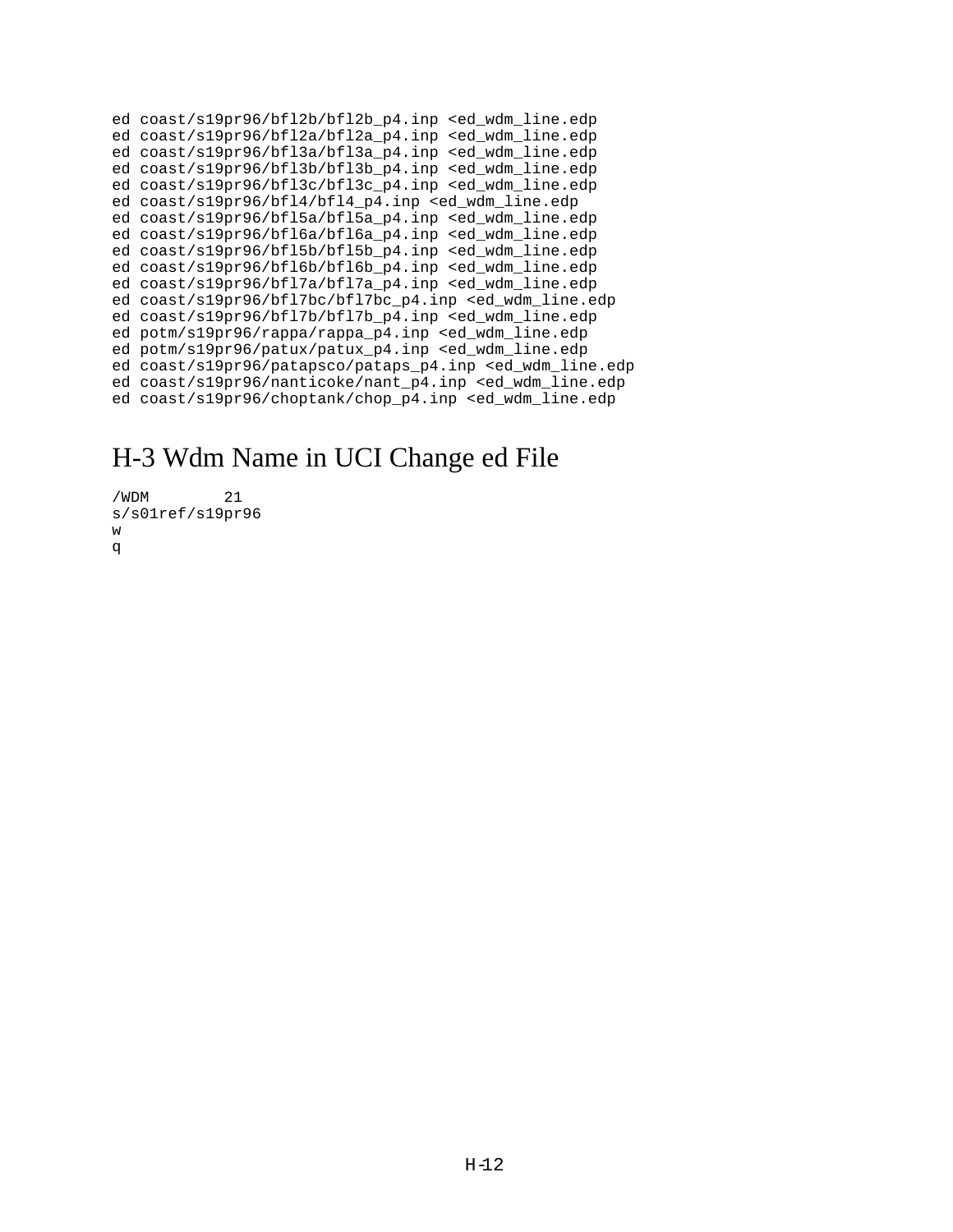ed coast/s19pr96/bfl2b/bfl2b\_p4.inp <ed\_wdm\_line.edp ed coast/s19pr96/bfl2a/bfl2a\_p4.inp <ed\_wdm\_line.edp ed coast/s19pr96/bfl3a/bfl3a\_p4.inp <ed\_wdm\_line.edp ed coast/s19pr96/bfl3b/bfl3b\_p4.inp <ed\_wdm\_line.edp ed coast/s19pr96/bfl3c/bfl3c\_p4.inp <ed\_wdm\_line.edp ed coast/s19pr96/bfl4/bfl4\_p4.inp <ed\_wdm\_line.edp ed coast/s19pr96/bfl5a/bfl5a\_p4.inp <ed\_wdm\_line.edp ed coast/s19pr96/bfl6a/bfl6a p4.inp <ed wdm line.edp ed coast/s19pr96/bfl5b/bfl5b\_p4.inp <ed\_wdm\_line.edp ed coast/s19pr96/bfl6b/bfl6b p4.inp <ed wdm line.edp ed coast/s19pr96/bfl7a/bfl7a\_p4.inp <ed\_wdm\_line.edp ed coast/s19pr96/bfl7bc/bfl7bc\_p4.inp <ed\_wdm\_line.edp ed coast/s19pr96/bfl7b/bfl7b\_p4.inp <ed\_wdm\_line.edp ed potm/s19pr96/rappa/rappa\_p4.inp <ed\_wdm\_line.edp ed potm/s19pr96/patux/patux\_p4.inp <ed\_wdm\_line.edp ed coast/s19pr96/patapsco/pataps\_p4.inp <ed\_wdm\_line.edp ed coast/s19pr96/nanticoke/nant\_p4.inp <ed\_wdm\_line.edp ed coast/s19pr96/choptank/chop\_p4.inp <ed\_wdm\_line.edp

### H-3 Wdm Name in UCI Change ed File

```
/WDM 21
s/s01ref/s19pr96
w
q
```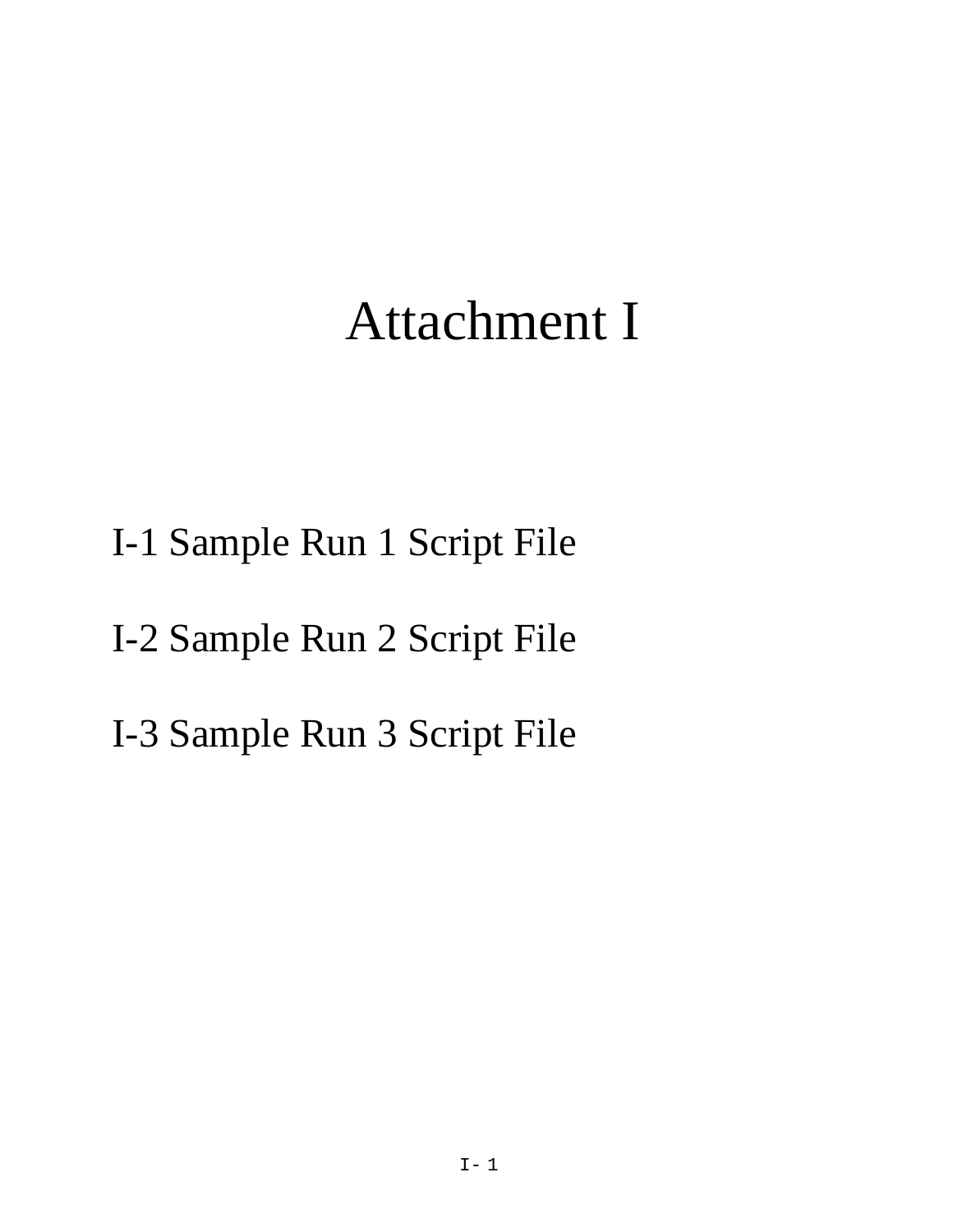# Attachment I

- I-1 Sample Run 1 Script File
- I-2 Sample Run 2 Script File
- I-3 Sample Run 3 Script File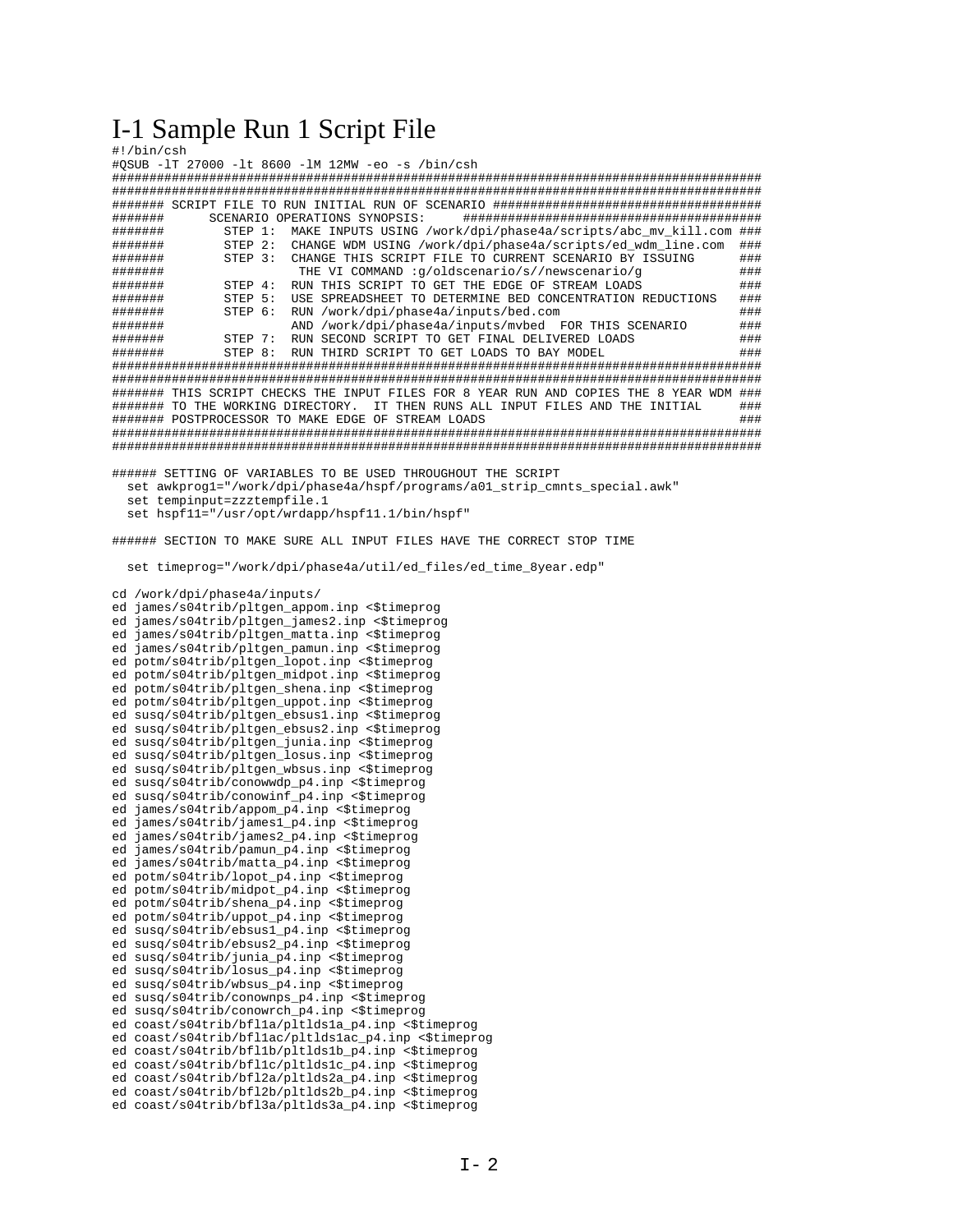### I-1 Sample Run 1 Script File

| #!/bin/csh<br>#QSUB -lT 27000 -lt 8600 -lM 12MW -eo -s /bin/csh                           |
|-------------------------------------------------------------------------------------------|
|                                                                                           |
|                                                                                           |
|                                                                                           |
| #######<br>SCENARIO OPERATIONS SYNOPSIS:                                                  |
| #######<br>STEP 1:<br>MAKE INPUTS USING /work/dpi/phase4a/scripts/abc mv kill.com ###     |
| CHANGE WDM USING /work/dpi/phase4a/scripts/ed_wdm_line.com<br>#######<br>STEP 2:<br>###   |
| CHANGE THIS SCRIPT FILE TO CURRENT SCENARIO BY ISSUING<br>STEP 3:<br>###<br>######        |
| THE VI COMMAND :g/oldscenario/s//newscenario/g<br>###<br>#######                          |
| RUN THIS SCRIPT TO GET THE EDGE OF STREAM LOADS<br>#######<br>###<br>STEP 4:              |
| USE SPREADSHEET TO DETERMINE BED CONCENTRATION REDUCTIONS<br>###<br>#######<br>STEP 5:    |
| RUN /work/dpi/phase4a/inputs/bed.com<br>#######<br>STEP 6:<br>###                         |
| AND /work/dpi/phase4a/inputs/mvbed FOR THIS SCENARIO<br>###<br>#######                    |
| RUN SECOND SCRIPT TO GET FINAL DELIVERED LOADS<br>#######<br>STEP 7:<br>###               |
| #######<br>STEP 8:<br>RUN THIRD SCRIPT TO GET LOADS TO BAY MODEL<br>###                   |
|                                                                                           |
|                                                                                           |
| ####### THIS SCRIPT CHECKS THE INPUT FILES FOR 8 YEAR RUN AND COPIES THE 8 YEAR WDM ###   |
| IT THEN RUNS ALL INPUT FILES AND THE INITIAL<br>######## TO THE WORKING DIRECTORY.<br>### |
| ######## POSTPROCESSOR TO MAKE EDGE OF STREAM LOADS<br>###                                |
|                                                                                           |
|                                                                                           |
|                                                                                           |
|                                                                                           |
| ###### SETTING OF VARIABLES TO BE USED THROUGHOUT THE SCRIPT                              |
| set awkprogl="/work/dpi/phase4a/hspf/programs/a01_strip_cmnts_special.awk"                |
| set tempinput=zzztempfile.1                                                               |
| set hspf11="/usr/opt/wrdapp/hspf11.1/bin/hspf"                                            |
|                                                                                           |
| ###### SECTION TO MAKE SURE ALL INPUT FILES HAVE THE CORRECT STOP TIME                    |
|                                                                                           |
| set timeprog="/work/dpi/phase4a/util/ed_files/ed_time_8year.edp"                          |
|                                                                                           |
| cd /work/dpi/phase4a/inputs/                                                              |
| ed james/s04trib/pltgen_appom.inp <\$timeprog                                             |
| ed james/s04trib/pltgen_james2.inp <\$timeprog                                            |
| ed james/s04trib/pltgen_matta.inp <\$timeprog                                             |
|                                                                                           |
| ed james/s04trib/pltgen_pamun.inp <\$timeprog                                             |
| ed potm/s04trib/pltgen_lopot.inp <\$timeprog                                              |
| ed potm/s04trib/pltgen_midpot.inp <\$timeprog                                             |
| ed potm/s04trib/pltgen_shena.inp <\$timeprog                                              |
| ed potm/s04trib/pltgen_uppot.inp <\$timeprog                                              |
| ed susq/s04trib/pltgen_ebsus1.inp <\$timeprog                                             |
| ed susq/s04trib/pltgen_ebsus2.inp <\$timeprog                                             |
| ed susq/s04trib/pltgen_junia.inp <\$timeprog                                              |
| ed susq/s04trib/pltgen_losus.inp <\$timeprog                                              |
| ed susq/s04trib/pltgen_wbsus.inp <\$timeprog                                              |
| ed susq/s04trib/conowwdp_p4.inp <\$timeprog                                               |
| ed susq/s04trib/conowinf_p4.inp <\$timeprog                                               |
| ed james/s04trib/appom_p4.inp <\$timeprog                                                 |
| ed james/s04trib/james1_p4.inp <\$timeprog                                                |
| ed james/s04trib/james2_p4.inp <\$timeprog                                                |
| ed james/s04trib/pamun_p4.inp <\$timeprog                                                 |
| ed james/s04trib/matta_p4.inp <\$timeprog                                                 |
| ed potm/s04trib/lopot_p4.inp <\$timeprog                                                  |
| ed potm/s04trib/midpot_p4.inp <\$timeprog                                                 |
| ed potm/s04trib/shena_p4.inp <\$timeprog                                                  |
| ed potm/s04trib/uppot_p4.inp <\$timeprog                                                  |
| ed susq/s04trib/ebsus1_p4.inp <\$timeprog                                                 |
| ed susq/s04trib/ebsus2_p4.inp <\$timeprog                                                 |
| ed susq/s04trib/junia_p4.inp <\$timeprog                                                  |
| ed susq/s04trib/losus_p4.inp <\$timeprog                                                  |
| ed susq/s04trib/wbsus_p4.inp <\$timeprog                                                  |
| ed susq/s04trib/conownps_p4.inp <\$timeprog                                               |
| ed susq/s04trib/conowrch_p4.inp <\$timeprog                                               |
| ed coast/s04trib/bflla/pltldsla_p4.inp <\$timeprog                                        |
| ed coast/s04trib/bfllac/pltldslac_p4.inp <\$timeprog                                      |
| ed coast/s04trib/bfl1b/pltlds1b_p4.inp <\$timeprog                                        |
| ed coast/s04trib/bfl1c/pltlds1c_p4.inp <\$timeprog                                        |
| ed coast/s04trib/bfl2a/pltlds2a_p4.inp <\$timeprog                                        |
| ed coast/s04trib/bfl2b/pltlds2b_p4.inp <\$timeprog                                        |
| ed coast/s04trib/bfl3a/pltlds3a_p4.inp <\$timeprog                                        |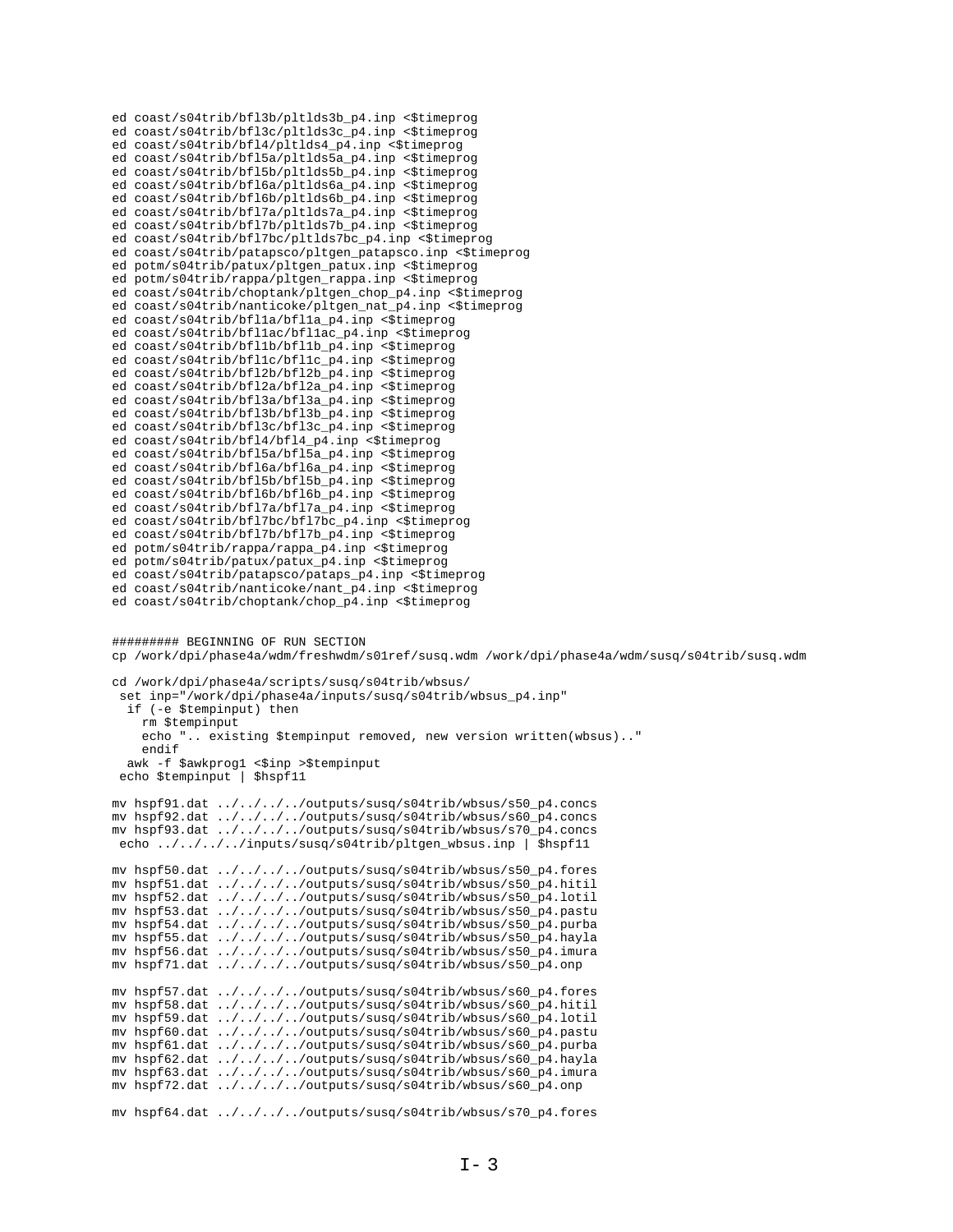```
ed coast/s04trib/bfl3b/pltlds3b_p4.inp <$timeprog
ed coast/s04trib/bfl3c/pltlds3c_p4.inp <$timeprog
ed coast/s04trib/bfl4/pltlds4_p4.inp <$timeprog
ed coast/s04trib/bfl5a/pltlds5a_p4.inp <$timeprog
ed coast/s04trib/bfl5b/pltlds5b_p4.inp <$timeprog
ed coast/s04trib/bfl6a/pltlds6a_p4.inp <$timeprog
ed coast/s04trib/bfl6b/pltlds6b_p4.inp <$timeprog
ed coast/s04trib/bfl7a/pltlds7a_p4.inp <$timeprog
ed coast/s04trib/bfl7b/pltlds7b_p4.inp <$timeprog
ed coast/s04trib/bfl7bc/pltlds7bc_p4.inp <$timeprog
ed coast/s04trib/patapsco/pltgen_patapsco.inp <$timeprog
ed potm/s04trib/patux/pltgen_patux.inp <$timeprog
ed potm/s04trib/rappa/pltgen_rappa.inp <$timeprog
ed coast/s04trib/choptank/pltgen_chop_p4.inp <$timeprog
ed coast/s04trib/nanticoke/pltgen_nat_p4.inp <$timeprog
ed coast/s04trib/bfl1a/bfl1a_p4.inp <$timeprog
ed coast/s04trib/bfl1ac/bfl1ac_p4.inp <$timeprog
ed coast/s04trib/bfl1b/bfl1b_p4.inp <$timeprog
ed coast/s04trib/bfl1c/bfl1c_p4.inp <$timeprog
ed coast/s04trib/bfl2b/bfl2b_p4.inp <$timeprog
ed coast/s04trib/bfl2a/bfl2a_p4.inp <$timeprog
ed coast/s04trib/bfl3a/bfl3a_p4.inp <$timeprog
ed coast/s04trib/bfl3b/bfl3b_p4.inp <$timeprog
ed coast/s04trib/bfl3c/bfl3c_p4.inp <$timeprog
ed coast/s04trib/bfl4/bfl4_p4.inp <$timeprog
ed coast/s04trib/bfl5a/bfl5a_p4.inp <$timeprog
ed coast/s04trib/bfl6a/bfl6a_p4.inp <$timeprog
ed coast/s04trib/bfl5b/bfl5b_p4.inp <$timeprog
ed coast/s04trib/bfl6b/bfl6b_p4.inp <$timeprog
ed coast/s04trib/bfl7a/bfl7a_p4.inp <$timeprog
ed coast/s04trib/bfl7bc/bfl7bc_p4.inp <$timeprog
ed coast/s04trib/bfl7b/bfl7b_p4.inp <$timeprog
ed potm/s04trib/rappa/rappa_p4.inp <$timeprog
ed potm/s04trib/patux/patux_p4.inp <$timeprog
ed coast/s04trib/patapsco/pataps_p4.inp <$timeprog
ed coast/s04trib/nanticoke/nant_p4.inp <$timeprog
ed coast/s04trib/choptank/chop_p4.inp <$timeprog
######### BEGINNING OF RUN SECTION
cp /work/dpi/phase4a/wdm/freshwdm/s01ref/susq.wdm /work/dpi/phase4a/wdm/susq/s04trib/susq.wdm
cd /work/dpi/phase4a/scripts/susq/s04trib/wbsus/
  set inp="/work/dpi/phase4a/inputs/susq/s04trib/wbsus_p4.inp"
   if (-e $tempinput) then
     rm $tempinput
     echo ".. existing $tempinput removed, new version written(wbsus).."
     endif
  awk -f $awkprog1 <$inp >$tempinput
  echo $tempinput | $hspf11
mv hspf91.dat ../../../../outputs/susq/s04trib/wbsus/s50_p4.concs
mv hspf92.dat ../../../../outputs/susq/s04trib/wbsus/s60_p4.concs
mv hspf93.dat ../../../../outputs/susq/s04trib/wbsus/s70_p4.concs
echo ../../../../inputs/susq/s04trib/pltgen_wbsus.inp | $hspf11
mv hspf50.dat ../../../../outputs/susq/s04trib/wbsus/s50_p4.fores
mv hspf51.dat ../../../../outputs/susq/s04trib/wbsus/s50_p4.hitil
mv hspf52.dat ../../../../outputs/susq/s04trib/wbsus/s50_p4.lotil
mv hspf53.dat ../../../../outputs/susq/s04trib/wbsus/s50_p4.pastu
mv hspf54.dat ../../../../outputs/susq/s04trib/wbsus/s50_p4.purba
mv hspf55.dat ../../../../outputs/susq/s04trib/wbsus/s50_p4.hayla
mv hspf56.dat ../../../../outputs/susq/s04trib/wbsus/s50_p4.imura
mv hspf71.dat ../../../../outputs/susq/s04trib/wbsus/s50_p4.onp
mv hspf57.dat ../../../../outputs/susq/s04trib/wbsus/s60_p4.fores
mv hspf58.dat ../../../../outputs/susq/s04trib/wbsus/s60_p4.hitil
mv hspf59.dat ../../../../outputs/susq/s04trib/wbsus/s60_p4.lotil
mv hspf60.dat ../../../../outputs/susq/s04trib/wbsus/s60_p4.pastu
mv hspf61.dat ../../../../outputs/susq/s04trib/wbsus/s60_p4.purba
mv hspf62.dat ../../../../outputs/susq/s04trib/wbsus/s60_p4.hayla
mv hspf63.dat ../../../../outputs/susq/s04trib/wbsus/s60_p4.imura
mv hspf72.dat ../../../../outputs/susq/s04trib/wbsus/s60_p4.onp
mv hspf64.dat ../../../../outputs/susq/s04trib/wbsus/s70_p4.fores
```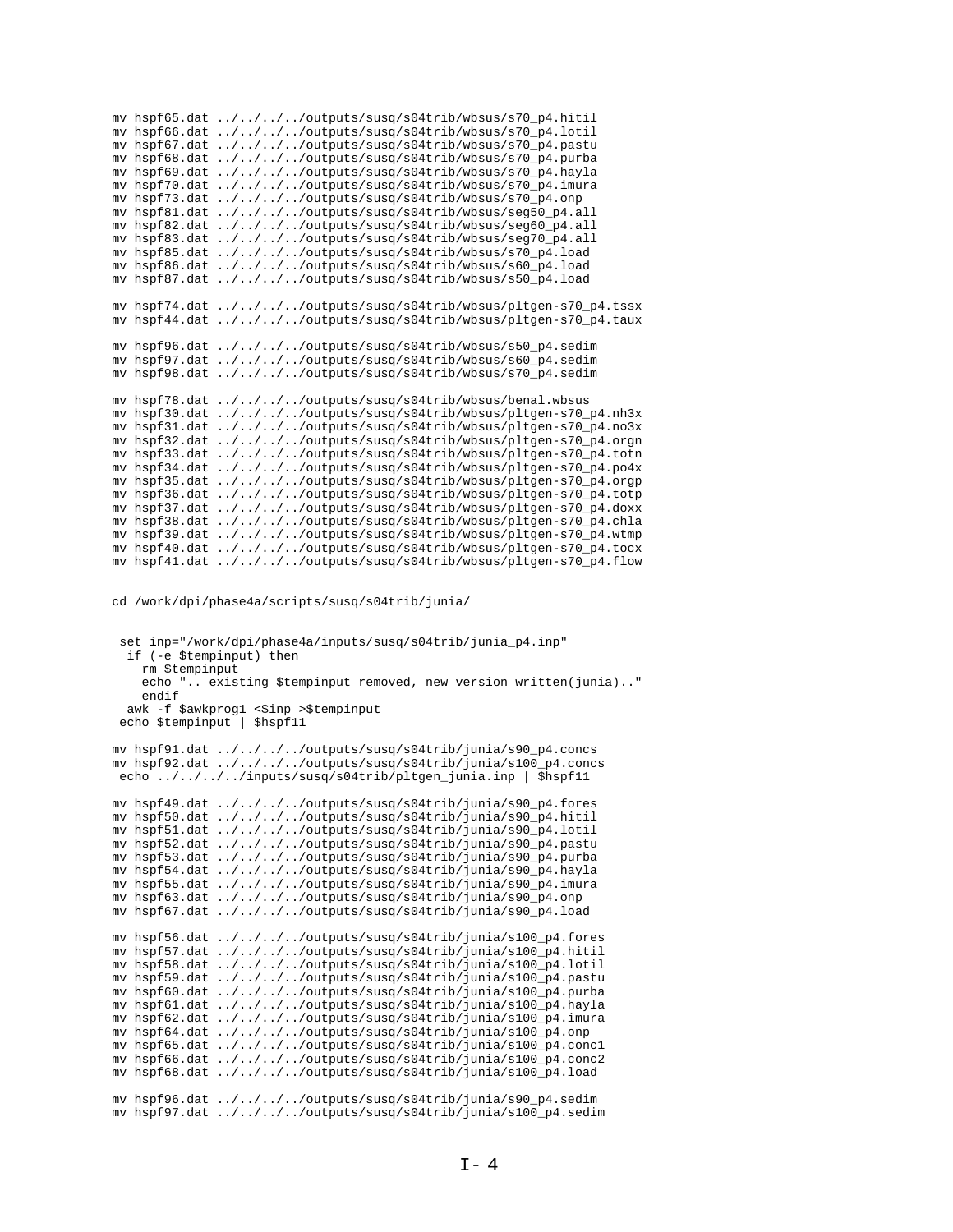| mv hspf70.dat<br>mv hspf73.dat<br>mv hspf81.dat<br>mv hspf82.dat | mv hspf65.dat ////outputs/susq/s04trib/wbsus/s70_p4.hitil<br>mv hspf66.dat ////outputs/susq/s04trib/wbsus/s70_p4.lotil<br>mv hspf67.dat ////outputs/susq/s04trib/wbsus/s70_p4.pastu<br>mv hspf68.dat ////outputs/susq/s04trib/wbsus/s70_p4.purba<br>mv hspf69.dat ////outputs/susq/s04trib/wbsus/s70_p4.hayla<br>$\ldots/\ldots/\ldots$ /outputs/susq/s04trib/wbsus/s70_p4.imura<br>$\ldots/\ldots/\ldots$ /outputs/susq/s04trib/wbsus/s70_p4.onp<br>$\ldots/\ldots/\ldots$ /outputs/susq/s04trib/wbsus/seg50_p4.all<br>$\ldots/\ldots/\ldots$ /outputs/susq/s04trib/wbsus/seg60_p4.all<br>mv hspf83.dat ////outputs/susq/s04trib/wbsus/seg70_p4.all<br>mv hspf85.dat ////outputs/susq/s04trib/wbsus/s70_p4.load<br>mv hspf86.dat ////outputs/susq/s04trib/wbsus/s60_p4.load<br>mv hspf87.dat ////outputs/susq/s04trib/wbsus/s50_p4.load                                                                             |
|------------------------------------------------------------------|----------------------------------------------------------------------------------------------------------------------------------------------------------------------------------------------------------------------------------------------------------------------------------------------------------------------------------------------------------------------------------------------------------------------------------------------------------------------------------------------------------------------------------------------------------------------------------------------------------------------------------------------------------------------------------------------------------------------------------------------------------------------------------------------------------------------------------------------------------------------------------------------------------------------|
|                                                                  | mv hspf74.dat ////outputs/susq/s04trib/wbsus/pltgen-s70_p4.tssx<br>mv hspf44.dat ////outputs/susq/s04trib/wbsus/pltgen-s70_p4.taux                                                                                                                                                                                                                                                                                                                                                                                                                                                                                                                                                                                                                                                                                                                                                                                   |
|                                                                  | mv hspf96.dat ////outputs/susq/s04trib/wbsus/s50_p4.sedim<br>mv hspf97.dat ////outputs/susq/s04trib/wbsus/s60_p4.sedim<br>mv hspf98.dat ////outputs/susq/s04trib/wbsus/s70_p4.sedim                                                                                                                                                                                                                                                                                                                                                                                                                                                                                                                                                                                                                                                                                                                                  |
| my hspf30.dat<br>mv hspf31.dat<br>mv hspf32.dat<br>mv hspf35.dat | mv hspf78.dat ////outputs/susq/s04trib/wbsus/benal.wbsus<br>$\ldots/\ldots/\ldots$ /outputs/susq/s04trib/wbsus/pltgen-s70_p4.nh3x<br>$\ldots/\ldots/\ldots$ /outputs/susq/s04trib/wbsus/pltgen-s70_p4.no3x<br>$\ldots/\ldots/\ldots$ /outputs/susq/s04trib/wbsus/pltgen-s70_p4.orgn<br>mv hspf33.dat ////outputs/susq/s04trib/wbsus/pltgen-s70_p4.totn<br>mv hspf34.dat ////outputs/susq/s04trib/wbsus/pltgen-s70_p4.po4x<br>$\ldots/\ldots/\ldots$ /outputs/susq/s04trib/wbsus/pltgen-s70_p4.orgp<br>mv hspf36.dat ////outputs/susq/s04trib/wbsus/pltgen-s70_p4.totp<br>mv hspf37.dat ////outputs/susq/s04trib/wbsus/pltgen-s70_p4.doxx<br>mv hspf38.dat ////outputs/susq/s04trib/wbsus/pltgen-s70_p4.chla<br>mv hspf39.dat ////outputs/susq/s04trib/wbsus/pltgen-s70_p4.wtmp<br>mv hspf40.dat ////outputs/susq/s04trib/wbsus/pltgen-s70_p4.tocx<br>mv hspf41.dat ////outputs/susq/s04trib/wbsus/pltgen-s70_p4.flow |
| rm \$tempinput<br>endif                                          | cd /work/dpi/phase4a/scripts/susq/s04trib/junia/<br>set inp="/work/dpi/phase4a/inputs/susq/s04trib/junia_p4.inp"<br>if (-e \$tempinput) then<br>echo " existing \$tempinput removed, new version written(junia)"<br>awk -f \$awkprog1 <\$inp >\$tempinput<br>echo \$tempinput   \$hspf11                                                                                                                                                                                                                                                                                                                                                                                                                                                                                                                                                                                                                             |
|                                                                  | mv hspf91.dat ////outputs/susq/s04trib/junia/s90_p4.concs<br>mv hspf92.dat ////outputs/susq/s04trib/junia/s100_p4.concs<br>echo ////inputs/susq/s04trib/pltgen_junia.inp $\frac{1}{2}$ \$hspf11                                                                                                                                                                                                                                                                                                                                                                                                                                                                                                                                                                                                                                                                                                                      |
|                                                                  | mv hspf49.dat ////outputs/susq/s04trib/junia/s90_p4.fores<br>mv hspf50.dat ////outputs/susq/s04trib/junia/s90_p4.hitil<br>mv hspf51.dat ////outputs/susq/s04trib/junia/s90_p4.lotil<br>mv hspf52.dat ////outputs/susq/s04trib/junia/s90_p4.pastu<br>mv hspf53.dat ////outputs/susq/s04trib/junia/s90_p4.purba<br>mv hspf54.dat ////outputs/susq/s04trib/junia/s90_p4.hayla<br>mv hspf55.dat ////outputs/susq/s04trib/junia/s90_p4.imura<br>mv hspf63.dat ////outputs/susq/s04trib/junia/s90_p4.onp<br>mv hspf67.dat ////outputs/susq/s04trib/junia/s90_p4.load                                                                                                                                                                                                                                                                                                                                                       |
|                                                                  | mv hspf56.dat ////outputs/susq/s04trib/junia/s100_p4.fores<br>mv hspf57.dat ////outputs/susq/s04trib/junia/s100_p4.hitil<br>mv hspf58.dat ////outputs/susq/s04trib/junia/s100_p4.lotil<br>mv hspf59.dat ////outputs/susq/s04trib/junia/s100_p4.pastu<br>mv hspf60.dat ////outputs/susq/s04trib/junia/s100_p4.purba<br>mv hspf61.dat ////outputs/susq/s04trib/junia/s100_p4.hayla<br>mv hspf62.dat ////outputs/susq/s04trib/junia/s100_p4.imura<br>mv hspf64.dat ////outputs/susq/s04trib/junia/s100_p4.onp<br>mv hspf65.dat ////outputs/susq/s04trib/junia/s100_p4.concl<br>mv hspf66.dat ////outputs/susq/s04trib/junia/s100_p4.conc2<br>mv hspf68.dat ////outputs/susq/s04trib/junia/s100_p4.load                                                                                                                                                                                                                  |
|                                                                  | mv hspf96.dat ////outputs/susq/s04trib/junia/s90_p4.sedim<br>mv hspf97.dat ////outputs/susq/s04trib/junia/s100_p4.sedim                                                                                                                                                                                                                                                                                                                                                                                                                                                                                                                                                                                                                                                                                                                                                                                              |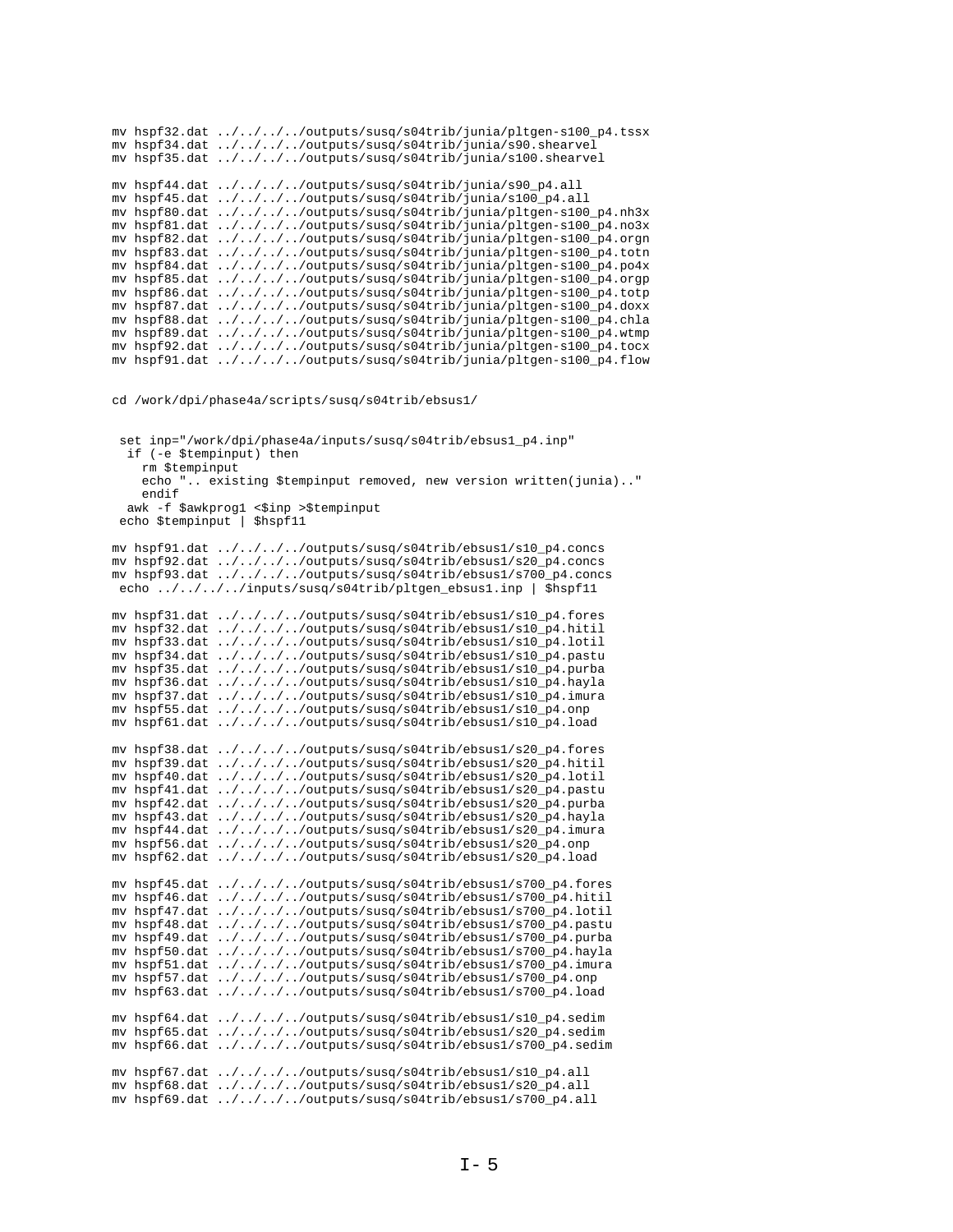mv hspf32.dat ../../../../outputs/susq/s04trib/junia/pltgen-s100\_p4.tssx mv hspf34.dat ../../../../outputs/susq/s04trib/junia/s90.shearvel mv hspf35.dat ../../../../outputs/susq/s04trib/junia/s100.shearvel mv hspf44.dat ../../../../outputs/susq/s04trib/junia/s90\_p4.all mv hspf45.dat ../../../../outputs/susq/s04trib/junia/s100\_p4.all mv hspf80.dat ../../../../outputs/susq/s04trib/junia/pltgen-s100\_p4.nh3x mv hspf81.dat ../../../../outputs/susq/s04trib/junia/pltgen-s100\_p4.no3x mv hspf82.dat ../../../../outputs/susq/s04trib/junia/pltgen-s100\_p4.orgn mv hspf83.dat ../../../../outputs/susq/s04trib/junia/pltgen-s100\_p4.totn mv hspf84.dat ../../../../outputs/susq/s04trib/junia/pltgen-s100\_p4.po4x mv hspf85.dat ../../../../outputs/susq/s04trib/junia/pltgen-s100\_p4.orgp mv hspf86.dat ../../../../outputs/susq/s04trib/junia/pltgen-s100\_p4.totp mv hspf87.dat ../../../../outputs/susq/s04trib/junia/pltgen-s100\_p4.doxx mv hspf88.dat ../../../../outputs/susq/s04trib/junia/pltgen-s100\_p4.chla mv hspf89.dat ../../../../outputs/susq/s04trib/junia/pltgen-s100\_p4.wtmp mv hspf92.dat ../../../../outputs/susq/s04trib/junia/pltgen-s100\_p4.tocx mv hspf91.dat ../../../../outputs/susq/s04trib/junia/pltgen-s100\_p4.flow

cd /work/dpi/phase4a/scripts/susq/s04trib/ebsus1/

```
 set inp="/work/dpi/phase4a/inputs/susq/s04trib/ebsus1_p4.inp"
   if (-e $tempinput) then
     rm $tempinput
     echo ".. existing $tempinput removed, new version written(junia).."
     endif
  awk -f $awkprog1 <$inp >$tempinput
  echo $tempinput | $hspf11
mv hspf91.dat ../../../../outputs/susq/s04trib/ebsus1/s10_p4.concs
mv hspf92.dat ../../../../outputs/susq/s04trib/ebsus1/s20_p4.concs
mv hspf93.dat ../../../../outputs/susq/s04trib/ebsus1/s700_p4.concs
 echo ../../../../inputs/susq/s04trib/pltgen_ebsus1.inp | $hspf11
mv hspf31.dat ../../../../outputs/susq/s04trib/ebsus1/s10_p4.fores
mv hspf32.dat ../../../../outputs/susq/s04trib/ebsus1/s10_p4.hitil
mv hspf33.dat ../../../../outputs/susq/s04trib/ebsus1/s10_p4.lotil
mv hspf34.dat ../../../../outputs/susq/s04trib/ebsus1/s10_p4.pastu
mv hspf35.dat ../../../../outputs/susq/s04trib/ebsus1/s10_p4.purba
mv hspf36.dat ../../../../outputs/susq/s04trib/ebsus1/s10_p4.hayla
mv hspf37.dat ../../../../outputs/susq/s04trib/ebsus1/s10_p4.imura
mv hspf55.dat ../../../../outputs/susq/s04trib/ebsus1/s10_p4.onp
mv hspf61.dat ../../../../outputs/susq/s04trib/ebsus1/s10_p4.load
mv hspf38.dat ../../../../outputs/susq/s04trib/ebsus1/s20_p4.fores
mv hspf39.dat ../../../../outputs/susq/s04trib/ebsus1/s20_p4.hitil
mv hspf40.dat ../../../../outputs/susq/s04trib/ebsus1/s20_p4.lotil
mv hspf41.dat ../../../../outputs/susq/s04trib/ebsus1/s20_p4.pastu
mv hspf42.dat ../../../../outputs/susq/s04trib/ebsus1/s20_p4.purba
mv hspf43.dat ../../../../outputs/susq/s04trib/ebsus1/s20_p4.hayla
mv hspf44.dat ../../../../outputs/susq/s04trib/ebsus1/s20_p4.imura
mv hspf56.dat ../../../../outputs/susq/s04trib/ebsus1/s20_p4.onp
mv hspf62.dat ../../../../outputs/susq/s04trib/ebsus1/s20_p4.load
mv hspf45.dat ../../../../outputs/susq/s04trib/ebsus1/s700_p4.fores
mv hspf46.dat ../../../../outputs/susq/s04trib/ebsus1/s700_p4.hitil
mv hspf47.dat \ldots/\ldots/\ldots/outputs/susq/s04trib/ebsus1/s700_p4.lotil
mv hspf48.dat ../../../../outputs/susq/s04trib/ebsus1/s700_p4.pastu
mv hspf49.dat ../../../../outputs/susq/s04trib/ebsus1/s700_p4.purba
mv hspf50.dat ../../../../outputs/susq/s04trib/ebsus1/s700_p4.hayla
mv hspf51.dat ../../../../outputs/susq/s04trib/ebsus1/s700_p4.imura
mv hspf57.dat ../../../../outputs/susq/s04trib/ebsus1/s700_p4.onp
mv hspf63.dat ../../../../outputs/susq/s04trib/ebsus1/s700_p4.load
mv hspf64.dat ../../../../outputs/susq/s04trib/ebsus1/s10_p4.sedim
mv hspf65.dat ../../../../outputs/susq/s04trib/ebsus1/s20_p4.sedim
mv hspf66.dat ../../../../outputs/susq/s04trib/ebsus1/s700_p4.sedim
mv hspf67.dat ../../../../outputs/susq/s04trib/ebsus1/s10_p4.all
mv hspf68.dat ../../../../outputs/susq/s04trib/ebsus1/s20_p4.all
mv hspf69.dat ../../../../outputs/susq/s04trib/ebsus1/s700_p4.all
```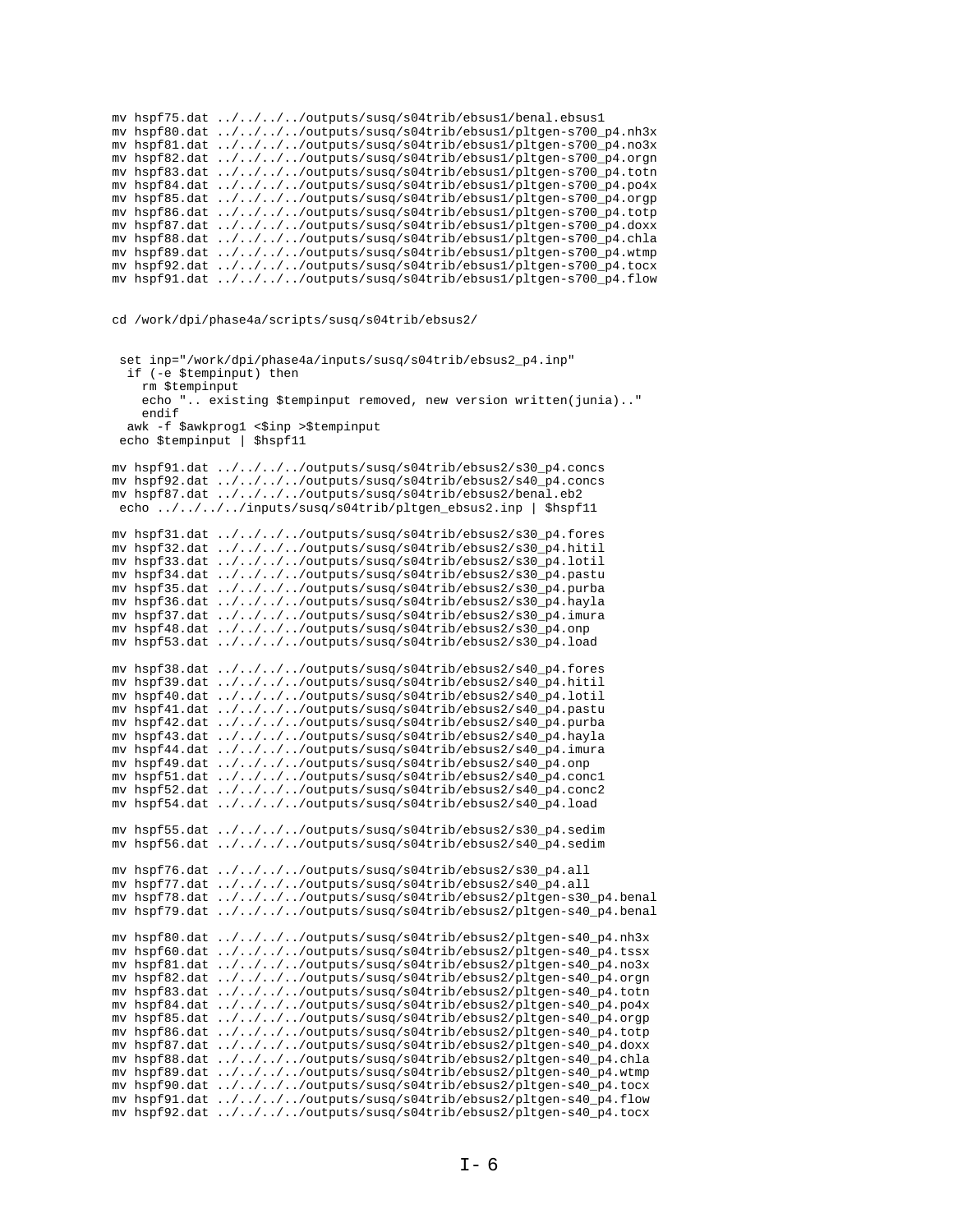```
mv hspf75.dat ../../../../outputs/susq/s04trib/ebsus1/benal.ebsus1
mv hspf80.dat ../../../../outputs/susq/s04trib/ebsus1/pltgen-s700_p4.nh3x
mv hspf81.dat ../../../../outputs/susq/s04trib/ebsus1/pltgen-s700_p4.no3x
mv hspf82.dat ../../../../outputs/susq/s04trib/ebsus1/pltgen-s700_p4.orgn
mv hspf83.dat ../../../../outputs/susq/s04trib/ebsus1/pltgen-s700_p4.totn
mv hspf84.dat ../../../../outputs/susq/s04trib/ebsus1/pltgen-s700_p4.po4x
mv hspf85.dat ../../../../outputs/susq/s04trib/ebsus1/pltgen-s700_p4.orgp
mv hspf86.dat ../../../../outputs/susq/s04trib/ebsus1/pltgen-s700_p4.totp
mv hspf87.dat ../../../../outputs/susq/s04trib/ebsus1/pltgen-s700_p4.doxx
mv hspf88.dat ../../../../outputs/susq/s04trib/ebsus1/pltgen-s700_p4.chla
mv hspf89.dat ../../../../outputs/susq/s04trib/ebsus1/pltgen-s700_p4.wtmp
mv hspf92.dat ../../../../outputs/susq/s04trib/ebsus1/pltgen-s700_p4.tocx
mv hspf91.dat ../../../../outputs/susq/s04trib/ebsus1/pltgen-s700_p4.flow
```
cd /work/dpi/phase4a/scripts/susq/s04trib/ebsus2/

```
 set inp="/work/dpi/phase4a/inputs/susq/s04trib/ebsus2_p4.inp"
  if (-e $tempinput) then
     rm $tempinput
     echo ".. existing $tempinput removed, new version written(junia).."
     endif
 awk -f $awkprog1 <$inp >$tempinput
 echo $tempinput | $hspf11
mv hspf91.dat ../../../../outputs/susq/s04trib/ebsus2/s30_p4.concs
mv hspf92.dat ../../../../outputs/susq/s04trib/ebsus2/s40_p4.concs
mv hspf87.dat ../../../../outputs/susq/s04trib/ebsus2/benal.eb2
  echo ../../../../inputs/susq/s04trib/pltgen_ebsus2.inp | $hspf11
mv hspf31.dat ../../../../outputs/susq/s04trib/ebsus2/s30_p4.fores
mv hspf32.dat ../../../../outputs/susq/s04trib/ebsus2/s30_p4.hitil
mv hspf33.dat ../../../../outputs/susq/s04trib/ebsus2/s30_p4.lotil
mv hspf34.dat ../../../../outputs/susq/s04trib/ebsus2/s30_p4.pastu
mv hspf35.dat ../../../../outputs/susq/s04trib/ebsus2/s30_p4.purba
mv hspf36.dat ../../../../outputs/susq/s04trib/ebsus2/s30_p4.hayla
mv hspf37.dat ../../../../outputs/susq/s04trib/ebsus2/s30_p4.imura
mv hspf48.dat ../../../../outputs/susq/s04trib/ebsus2/s30_p4.onp
mv hspf53.dat ../../../../outputs/susq/s04trib/ebsus2/s30_p4.load
mv hspf38.dat ../../../../outputs/susq/s04trib/ebsus2/s40_p4.fores
mv hspf39.dat ../../../../outputs/susq/s04trib/ebsus2/s40_p4.hitil
mv hspf40.dat ../../../../outputs/susq/s04trib/ebsus2/s40_p4.lotil
mv hspf41.dat ../../../../outputs/susq/s04trib/ebsus2/s40_p4.pastu
mv hspf42.dat ../../../../outputs/susq/s04trib/ebsus2/s40_p4.purba
mv hspf43.dat ../../../../outputs/susq/s04trib/ebsus2/s40_p4.hayla
mv hspf44.dat ../../../../outputs/susq/s04trib/ebsus2/s40_p4.imura
mv hspf49.dat ../../../../outputs/susq/s04trib/ebsus2/s40_p4.onp
mv hspf51.dat ../../../../outputs/susq/s04trib/ebsus2/s40_p4.conc1
mv hspf52.dat ../../../../outputs/susq/s04trib/ebsus2/s40_p4.conc2
mv hspf54.dat ../../../../outputs/susq/s04trib/ebsus2/s40_p4.load
mv hspf55.dat ../../../../outputs/susq/s04trib/ebsus2/s30_p4.sedim
mv hspf56.dat ../../../../outputs/susq/s04trib/ebsus2/s40_p4.sedim
mv hspf76.dat ../../../../outputs/susq/s04trib/ebsus2/s30_p4.all
mv hspf77.dat \ldots/\ldots/\ldots/outputs/susq/s04trib/ebsus2/s40_p4.all
mv hspf78.dat ../../../../outputs/susq/s04trib/ebsus2/pltgen-s30_p4.benal
mv hspf79.dat ../../../../outputs/susq/s04trib/ebsus2/pltgen-s40_p4.benal
mv hspf80.dat ../../../../outputs/susq/s04trib/ebsus2/pltgen-s40_p4.nh3x
mv hspf60.dat ../../../../outputs/susq/s04trib/ebsus2/pltgen-s40_p4.tssx
mv hspf81.dat ../../../../outputs/susq/s04trib/ebsus2/pltgen-s40_p4.no3x
mv hspf82.dat ../../../../outputs/susq/s04trib/ebsus2/pltgen-s40_p4.orgn
mv hspf83.dat ../../../../outputs/susq/s04trib/ebsus2/pltgen-s40_p4.totn
mv hspf84.dat ../../../../outputs/susq/s04trib/ebsus2/pltgen-s40_p4.po4x
mv hspf85.dat ../../../../outputs/susq/s04trib/ebsus2/pltgen-s40_p4.orgp
mv hspf86.dat ../../../../outputs/susq/s04trib/ebsus2/pltgen-s40_p4.totp
mv hspf87.dat ../../../../outputs/susq/s04trib/ebsus2/pltgen-s40_p4.doxx
mv hspf88.dat ../../../../outputs/susq/s04trib/ebsus2/pltgen-s40_p4.chla
mv hspf89.dat ../../../../outputs/susq/s04trib/ebsus2/pltgen-s40_p4.wtmp
mv hspf90.dat ../../../../outputs/susq/s04trib/ebsus2/pltgen-s40_p4.tocx
mv hspf91.dat ../../../../outputs/susq/s04trib/ebsus2/pltgen-s40_p4.flow
mv hspf92.dat ../../../../outputs/susq/s04trib/ebsus2/pltgen-s40_p4.tocx
```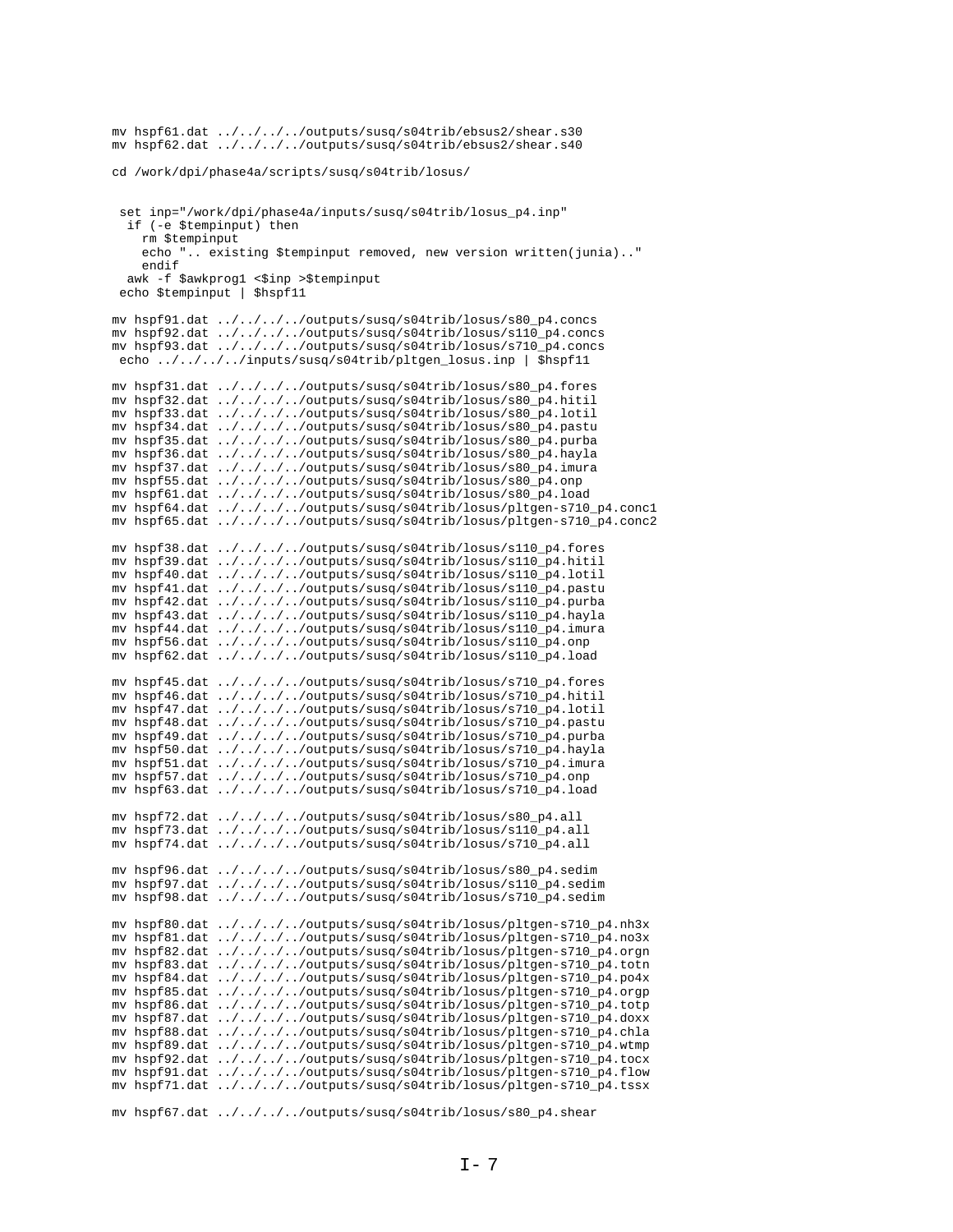```
mv hspf61.dat ../../../../outputs/susq/s04trib/ebsus2/shear.s30
mv hspf62.dat ../../../../outputs/susq/s04trib/ebsus2/shear.s40
cd /work/dpi/phase4a/scripts/susq/s04trib/losus/
 set inp="/work/dpi/phase4a/inputs/susq/s04trib/losus_p4.inp"
  if (-e $tempinput) then
    rm $tempinput
    echo ".. existing $tempinput removed, new version written(junia).."
    endif
  awk -f $awkprog1 <$inp >$tempinput
 echo $tempinput | $hspf11
my hspf91.dat ../../../../outputs/susq/s04trib/losus/s80 p4.concs
mv hspf92.dat ../../../../outputs/susq/s04trib/losus/s110_p4.concs
mv hspf93.dat ../../../../outputs/susq/s04trib/losus/s710_p4.concs
 echo ../../../../inputs/susq/s04trib/pltgen_losus.inp | $hspf11
mv hspf31.dat ../../../../outputs/susq/s04trib/losus/s80_p4.fores
mv hspf32.dat ../../../../outputs/susq/s04trib/losus/s80_p4.hitil
mv hspf33.dat ../../../../outputs/susq/s04trib/losus/s80_p4.lotil
mv hspf34.dat ../../../../outputs/susq/s04trib/losus/s80_p4.pastu mv hspf35.dat ../../../outputs/susq/s04trib/losus/s80_p4.purba
mv hspf36.dat ../../../../outputs/susq/s04trib/losus/s80_p4.hayla
mv hspf37.dat ../../../../outputs/susq/s04trib/losus/s80_p4.imura
mv hspf55.dat ../../../../outputs/susq/s04trib/losus/s80_p4.onp
mv hspf61.dat ../../../../outputs/susq/s04trib/losus/s80_p4.load
mv hspf64.dat ../../../../outputs/susq/s04trib/losus/pltgen-s710_p4.concl
mv hspf65.dat ../../../../outputs/susq/s04trib/losus/pltgen-s710_p4.conc2
mv hspf38.dat ../../../../outputs/susq/s04trib/losus/s110_p4.fores
mv hspf39.dat ../../../../outputs/susq/s04trib/losus/s110_p4.hitil
mv hspf40.dat ../../../../outputs/susq/s04trib/losus/s110_p4.lotil
mv hspf41.dat ../../../../outputs/susq/s04trib/losus/s110_p4.pastu
mv hspf42.dat ../../../../outputs/susq/s04trib/losus/s110_p4.purba
mv hspf43.dat ../../../../outputs/susq/s04trib/losus/s110_p4.hayla
my hspf44.dat \ldots/\ldots/\ldots/outputs/susq/s04trib/losus/s110 p4.imura
mv hspf56.dat ../../../../outputs/susq/s04trib/losus/s110_p4.onp
mv hspf62.dat ../../../../outputs/susq/s04trib/losus/s110_p4.load
mv hspf45.dat ../../../../outputs/susq/s04trib/losus/s710_p4.fores
my hspf46.dat ../../../../outputs/susq/s04trib/losus/s710_p4.hitil
mv hspf47.dat ../../../../outputs/susq/s04trib/losus/s710_p4.lotil
mv hspf48.dat ../../../../outputs/susq/s04trib/losus/s710_p4.pastu
mv hspf49.dat ../../../../outputs/susq/s04trib/losus/s710_p4.purba
mv hspf50.dat ../../../../outputs/susq/s04trib/losus/s710_p4.hayla
mv hspf51.dat ../../../../outputs/susq/s04trib/losus/s710_p4.imura
mv hspf57.dat ../../../../outputs/susq/s04trib/losus/s710_p4.onp
mv hspf63.dat ../../../../outputs/susq/s04trib/losus/s710_p4.load
mv hspf72.dat ../../../../outputs/susq/s04trib/losus/s80_p4.all
mv hspf73.dat ../../../../outputs/susq/s04trib/losus/s110_p4.all<br>mv hspf73.dat ../../../../outputs/susq/s04trib/losus/s110_p4.all
mv hspf96.dat ../../../../outputs/susq/s04trib/losus/s80_p4.sedim<br>mv hspf97.dat ../../../../outputs/susq/s04trib/losus/s110_p4.sedim
mv hspf98.dat ../../../../outputs/susq/s04trib/losus/s710_p4.sedim
mv hspf80.dat ../../../../outputs/susq/s04trib/losus/pltgen-s710_p4.nh3x
mv hspf81.dat ../../../../outputs/susq/s04trib/losus/pltgen-s710_p4.no3x
mv hspf82.dat ../../../../outputs/susq/s04trib/losus/pltgen-s710_p4.orgn
mv hspf83.dat ../../../../outputs/susq/s04trib/losus/pltgen-s710_p4.totn
mv hspf84.dat ../../../../outputs/susq/s04trib/losus/pltgen-s710_p4.po4x
mv hspf85.dat ../../../../outputs/susq/s04trib/losus/pltgen-s710_p4.orgp
mv hspf86.dat ../../../../outputs/susq/s04trib/losus/pltgen-s710_p4.totp
mv hspf87.dat ../../../../outputs/susq/s04trib/losus/pltgen-s710_p4.doxx
mv hspf88.dat ../../../../outputs/susq/s04trib/losus/pltgen-s710_p4.chla
mv hspf89.dat ../../../../outputs/susq/s04trib/losus/pltgen-s710_p4.wtmp
mv hspf92.dat ../../../../outputs/susq/s04trib/losus/pltgen-s710_p4.tocx
mv hspf91.dat ../../../../outputs/susq/s04trib/losus/pltgen-s710_p4.flow
mv hspf71.dat ../../../../outputs/susq/s04trib/losus/pltgen-s710_p4.tssx
```
mv hspf67.dat ../../../../outputs/susq/s04trib/losus/s80\_p4.shear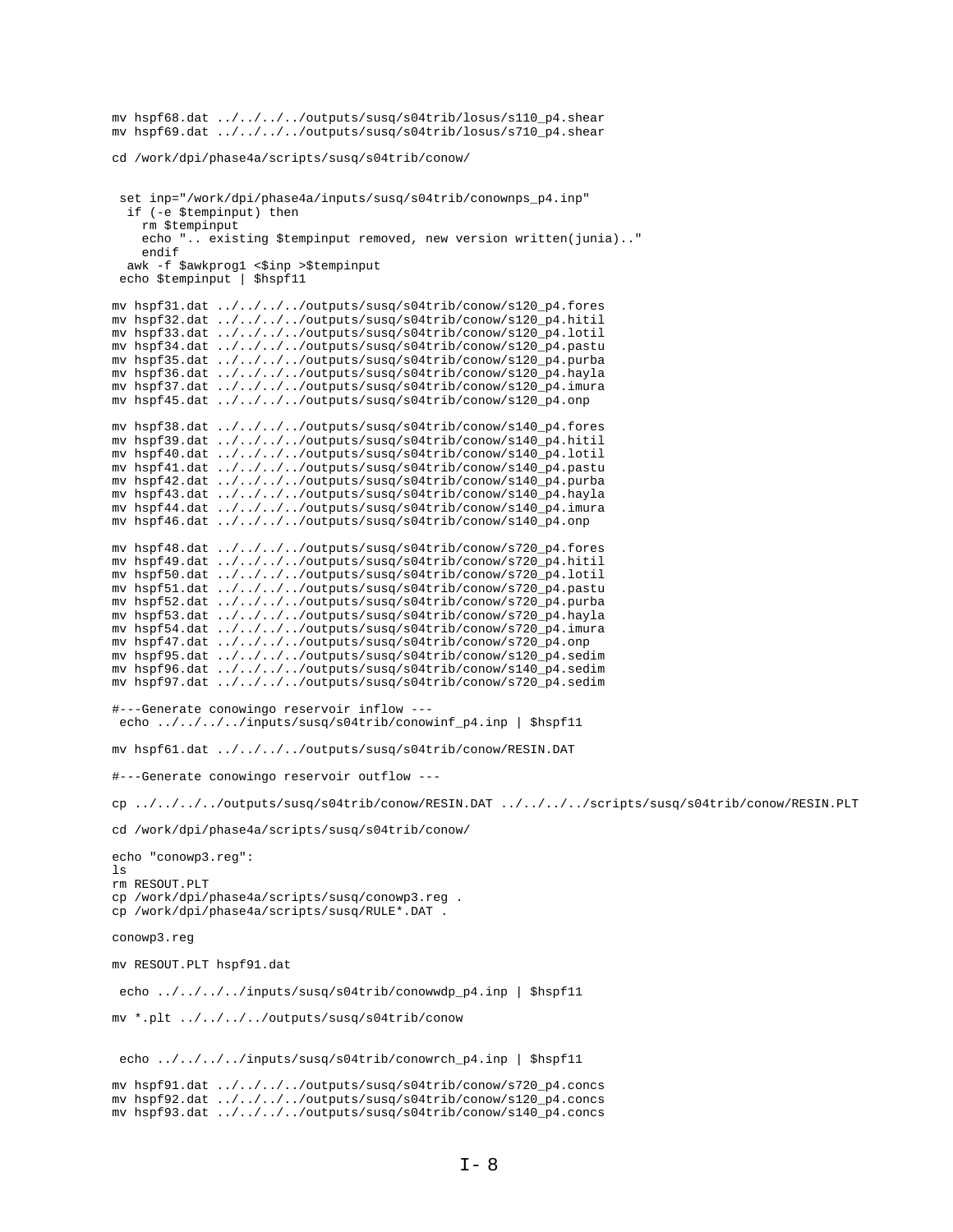```
mv hspf68.dat ../../../../outputs/susq/s04trib/losus/s110_p4.shear
mv hspf69.dat ../../../../outputs/susq/s04trib/losus/s710_p4.shear
cd /work/dpi/phase4a/scripts/susq/s04trib/conow/
 set inp="/work/dpi/phase4a/inputs/susq/s04trib/conownps_p4.inp"
  if (-e $tempinput) then
    rm $tempinput
    echo ". existing $tempinput removed, new version written(junia).."
    endif
  awk -f $awkprog1 <$inp >$tempinput
 echo $tempinput | $hspf11
mv hspf31.dat \ldots/\ldots/\ldots/outputs/susq/s04trib/conow/s120_p4.fores
mv hspf32.dat ../../../../outputs/susq/s04trib/conow/s120_p4.hitil
mv hspf33.dat ../../../../outputs/susq/s04trib/conow/s120_p4.lotil
mv hspf34.dat ../../../../outputs/susq/s04trib/conow/s120_p4.pastu
mv hspf35.dat ../../../../outputs/susq/s04trib/conow/s120_p4.purba
mv hspf36.dat ../../../../outputs/susq/s04trib/conow/s120_p4.hayla
mv hspf37.dat ../../../../outputs/susq/s04trib/conow/s120_p4.imura
mv hspf45.dat ../../../../outputs/susq/s04trib/conow/s120_p4.onp
mv hspf38.dat ../../../../outputs/susq/s04trib/conow/s140_p4.fores<br>mv hspf39.dat ../../../../outputs/susq/s04trib/conow/s140_p4.hitil
\verb|mv hspf40.dat | .. / .. / .. / .. / outputs/susq/s04trib/conv/s140_p4.lotilmv hspf41.dat ../../../../outputs/susq/s04trib/conow/s140_p4.pastu
mv hspf42.dat ../../../../outputs/susq/s04trib/conow/s140_p4.purba
mv hspf43.dat ../../../../outputs/susq/s04trib/conow/s140_p4.hayla
mv hspf44.dat ../../../../outputs/susq/s04trib/conow/s140_p4.imura
mv hspf46.dat ../../../../outputs/susq/s04trib/conow/s140_p4.onp
mv hspf48.dat ../../../../outputs/susq/s04trib/conow/s720_p4.fores
mv hspf49.dat ../../../../outputs/susq/s04trib/conow/s720_p4.hitil
mv hspf50.dat ../../../../outputs/susq/s04trib/conow/s720_p4.lotil
mv hspf51.dat ../../../../outputs/susq/s04trib/conow/s720_p4.pastu
mv hspf52.dat ../../../../outputs/susq/s04trib/conow/s720_p4.purba
mv hspf53.dat ../../../../outputs/susq/s04trib/conow/s720_p4.hayla
mv hspf54.dat ../../../../outputs/susq/s04trib/conow/s720_p4.imura
mv hspf47.dat ../../../../outputs/susq/s04trib/conow/s720_p4.onp
mv hspf95.dat ../../../../outputs/susq/s04trib/conow/s120_p4.sedim
mv hspf96.dat ../../../../outputs/susq/s04trib/conow/s140_p4.sedim
my hspf97.dat ../../../../outputs/susg/s04trib/conow/s720 p4.sedim
#---Generate conowingo reservoir inflow ---
 echo ../../../../inputs/susq/s04trib/conowinf_p4.inp | $hspf11
mv hspf61.dat ../../../../outputs/susq/s04trib/conow/RESIN.DAT
#---Generate conowingo reservoir outflow ---
cp../../../../outputs/susq/s04trib/conow/RESIN.DAT ../../../../scripts/susq/s04trib/conow/RESIN.PLT
cd /work/dpi/phase4a/scripts/susq/s04trib/conow/
echo "conowp3.reg":
\overline{1} s
rm RESOUT.PLT
cp /work/dpi/phase4a/scripts/susq/conowp3.reg .
cp /work/dpi/phase4a/scripts/susq/RULE*.DAT
conowp3.reg
mv RESOUT.PLT hspf91.dat
 echo ../../../../inputs/susq/s04trib/conowwdp_p4.inp | $hspf11
mv *.plt ../../../../outputs/susq/s04trib/conow
 echo ../../../../inputs/susq/s04trib/conowrch_p4.inp | $hspf11
mv hspf91.dat ../../../../outputs/susq/s04trib/conow/s720_p4.concs
mv hspf92.dat ../../../../outputs/susq/s04trib/conow/s120_p4.concs
```

```
I - 8
```
mv hspf93.dat ../../../../outputs/susq/s04trib/conow/s140\_p4.concs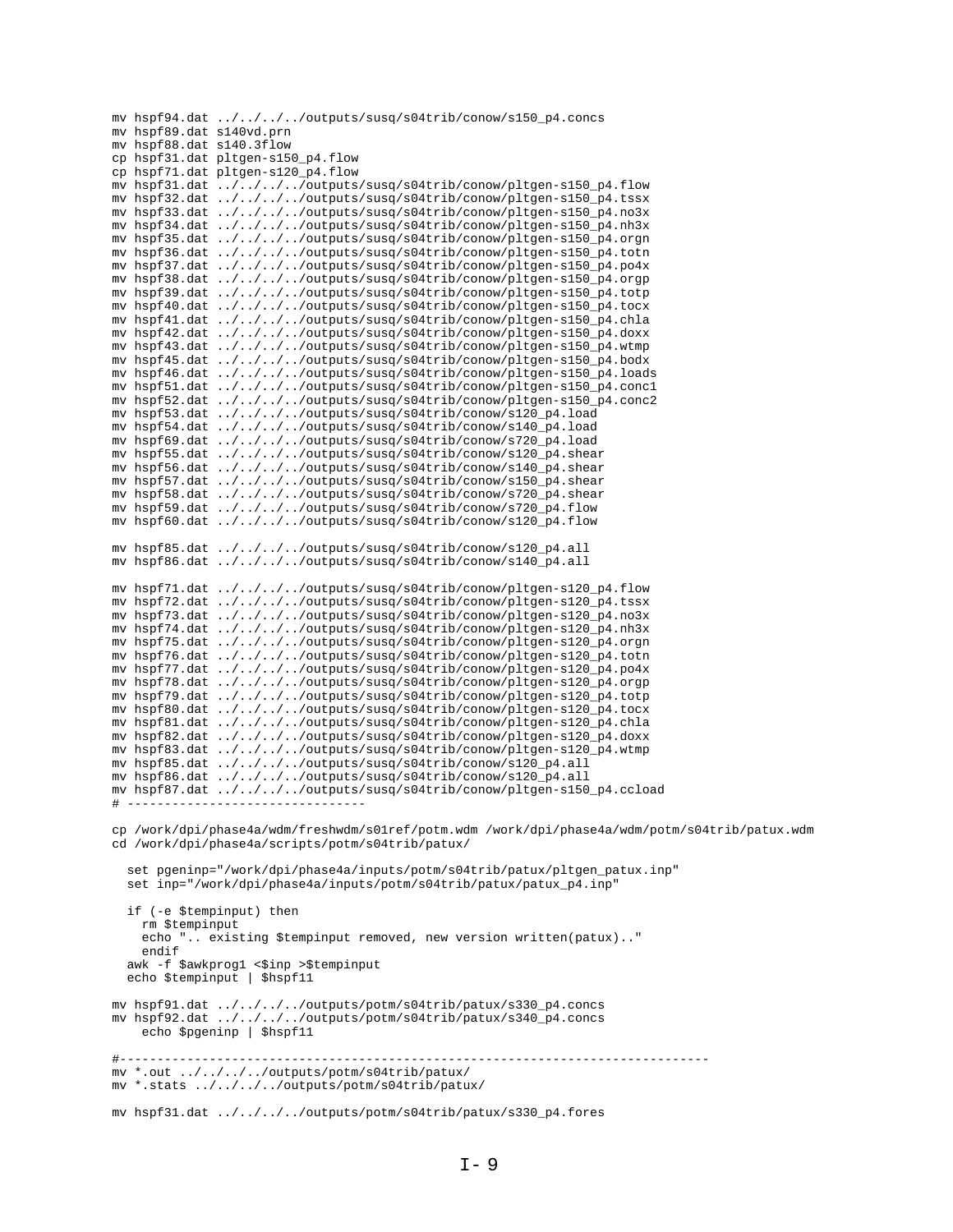|                          | mv hspf94.dat ////outputs/susq/s04trib/conow/s150_p4.concs                                     |
|--------------------------|------------------------------------------------------------------------------------------------|
| mv hspf89.dat s140vd.prn |                                                                                                |
| mv hspf88.dat s140.3flow |                                                                                                |
|                          | cp hspf31.dat pltgen-s150_p4.flow                                                              |
|                          | cp hspf71.dat pltgen-s120_p4.flow                                                              |
|                          | mv hspf31.dat ////outputs/susq/s04trib/conow/pltgen-s150_p4.flow                               |
|                          | mv hspf32.dat ////outputs/susq/s04trib/conow/pltgen-s150_p4.tssx                               |
|                          |                                                                                                |
|                          | mv hspf33.dat ////outputs/susq/s04trib/conow/pltgen-s150_p4.no3x                               |
|                          | mv hspf34.dat ////outputs/susq/s04trib/conow/pltgen-s150_p4.nh3x                               |
|                          | mv hspf35.dat ////outputs/susq/s04trib/conow/pltgen-s150_p4.orgn                               |
|                          | mv hspf36.dat ////outputs/susq/s04trib/conow/pltgen-s150_p4.totn                               |
|                          | mv hspf37.dat ////outputs/susq/s04trib/conow/pltgen-s150_p4.po4x                               |
|                          | mv hspf38.dat ////outputs/susq/s04trib/conow/pltgen-s150_p4.orgp                               |
|                          | mv hspf39.dat ////outputs/susq/s04trib/conow/pltgen-s150_p4.totp                               |
|                          | mv hspf40.dat ////outputs/susq/s04trib/conow/pltgen-s150_p4.tocx                               |
|                          | mv hspf41.dat ////outputs/susq/s04trib/conow/pltgen-s150_p4.chla                               |
|                          |                                                                                                |
|                          | mv hspf42.dat ////outputs/susq/s04trib/conow/pltgen-s150_p4.doxx                               |
|                          | mv hspf43.dat ////outputs/susq/s04trib/conow/pltgen-s150_p4.wtmp                               |
|                          | mv hspf45.dat ////outputs/susq/s04trib/conow/pltgen-s150_p4.bodx                               |
|                          | mv hspf46.dat ////outputs/susq/s04trib/conow/pltgen-s150_p4.loads                              |
|                          | mv hspf51.dat ////outputs/susq/s04trib/conow/pltgen-s150_p4.concl                              |
|                          | mv hspf52.dat ////outputs/susq/s04trib/conow/pltgen-s150_p4.conc2                              |
|                          | mv hspf53.dat ////outputs/susq/s04trib/conow/s120_p4.load                                      |
|                          | mv hspf54.dat ////outputs/susq/s04trib/conow/s140_p4.load                                      |
|                          | mv hspf69.dat ////outputs/susq/s04trib/conow/s720_p4.load                                      |
|                          |                                                                                                |
|                          | mv hspf55.dat ////outputs/susq/s04trib/conow/s120_p4.shear                                     |
|                          | mv hspf56.dat ////outputs/susq/s04trib/conow/s140_p4.shear                                     |
|                          | mv hspf57.dat ////outputs/susq/s04trib/conow/s150_p4.shear                                     |
|                          | mv hspf58.dat ////outputs/susq/s04trib/conow/s720_p4.shear                                     |
|                          | mv hspf59.dat ////outputs/susq/s04trib/conow/s720_p4.flow                                      |
|                          | mv hspf60.dat ////outputs/susq/s04trib/conow/s120_p4.flow                                      |
|                          |                                                                                                |
|                          | $mv$ hspf85.dat ////outputs/susq/s04trib/conow/s120_p4.all                                     |
|                          |                                                                                                |
|                          | mv hspf86.dat ////outputs/susq/s04trib/conow/s140_p4.all                                       |
|                          |                                                                                                |
|                          | mv hspf71.dat ////outputs/susq/s04trib/conow/pltgen-s120_p4.flow                               |
|                          | mv hspf72.dat ////outputs/susq/s04trib/conow/pltgen-s120_p4.tssx                               |
|                          | mv hspf73.dat ////outputs/susq/s04trib/conow/pltgen-s120_p4.no3x                               |
|                          | mv hspf74.dat ////outputs/susq/s04trib/conow/pltgen-s120_p4.nh3x                               |
|                          | mv hspf75.dat ////outputs/susq/s04trib/conow/pltgen-s120_p4.orgn                               |
|                          |                                                                                                |
|                          | mv hspf76.dat ////outputs/susq/s04trib/conow/pltgen-s120_p4.totn                               |
|                          | mv hspf77.dat ////outputs/susq/s04trib/conow/pltgen-s120_p4.po4x                               |
|                          | mv hspf78.dat ////outputs/susq/s04trib/conow/pltgen-s120_p4.orgp                               |
|                          | mv hspf79.dat ////outputs/susq/s04trib/conow/pltgen-s120_p4.totp                               |
|                          | mv hspf80.dat ////outputs/susq/s04trib/conow/pltgen-s120_p4.tocx                               |
|                          | mv hspf81.dat ////outputs/susq/s04trib/conow/pltgen-s120_p4.chla                               |
|                          | mv hspf82.dat ////outputs/susq/s04trib/conow/pltgen-s120_p4.doxx                               |
|                          | mv hspf83.dat ////outputs/susq/s04trib/conow/pltgen-s120_p4.wtmp                               |
|                          |                                                                                                |
|                          | mv hspf85.dat ////outputs/susq/s04trib/conow/s120_p4.all                                       |
|                          | mv hspf86.dat ////outputs/susq/s04trib/conow/s120_p4.all                                       |
|                          | mv hspf87.dat ////outputs/susq/s04trib/conow/pltgen-s150_p4.ccload                             |
|                          | ---------------------------------                                                              |
|                          |                                                                                                |
|                          | cp /work/dpi/phase4a/wdm/freshwdm/s01ref/potm.wdm /work/dpi/phase4a/wdm/potm/s04trib/patux.wdm |
|                          | cd /work/dpi/phase4a/scripts/potm/s04trib/patux/                                               |
|                          |                                                                                                |
|                          |                                                                                                |
|                          | set pgeninp="/work/dpi/phase4a/inputs/potm/s04trib/patux/pltgen_patux.inp"                     |
|                          | set inp="/work/dpi/phase4a/inputs/potm/s04trib/patux/patux_p4.inp"                             |
|                          |                                                                                                |
|                          | if (-e \$tempinput) then                                                                       |
| rm \$tempinput           |                                                                                                |
|                          | echo " existing \$tempinput removed, new version written(patux)"                               |
| endif                    |                                                                                                |
|                          | awk -f \$awkprog1 <\$inp >\$tempinput                                                          |
|                          | echo \$tempinput   \$hspf11                                                                    |
|                          |                                                                                                |
|                          |                                                                                                |
|                          | mv hspf91.dat ////outputs/potm/s04trib/patux/s330_p4.concs                                     |
|                          | mv hspf92.dat ////outputs/potm/s04trib/patux/s340_p4.concs                                     |
|                          | echo \$pgeninp   \$hspf11                                                                      |
|                          |                                                                                                |
|                          |                                                                                                |
|                          | mv *.out ////outputs/potm/s04trib/patux/                                                       |
|                          | mv *.stats ////outputs/potm/s04trib/patux/                                                     |
|                          |                                                                                                |
|                          |                                                                                                |
|                          | mv hspf31.dat ////outputs/potm/s04trib/patux/s330_p4.fores                                     |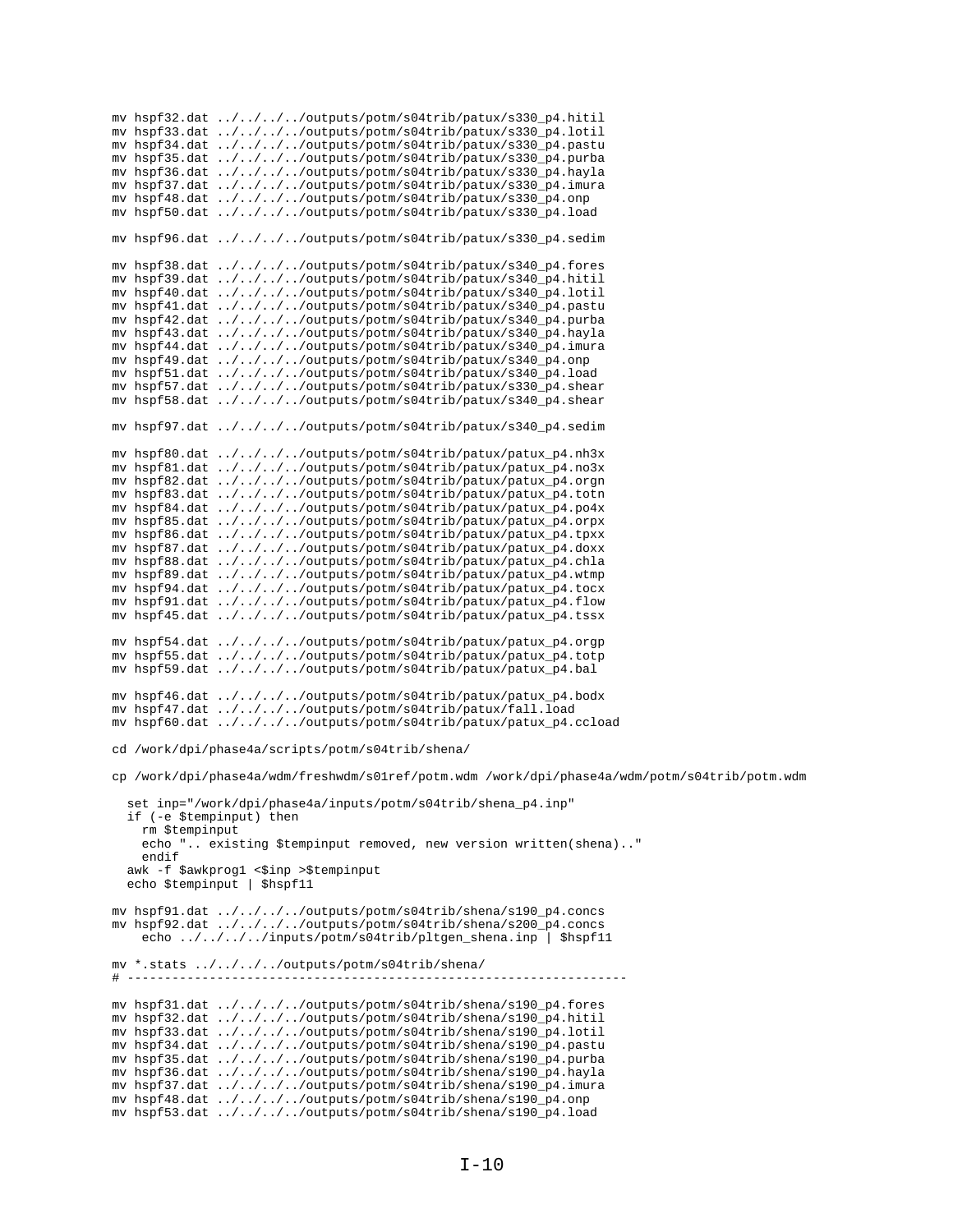mv hspf32.dat ../../../../outputs/potm/s04trib/patux/s330\_p4.hitil mv hspf33.dat ../../../../outputs/potm/s04trib/patux/s330\_p4.lotil mv hspf34.dat ../../../../outputs/potm/s04trib/patux/s330\_p4.pastu mv hspf35.dat ../../../../outputs/potm/s04trib/patux/s330\_p4.purba mv hspf36.dat ../../../../outputs/potm/s04trib/patux/s330\_p4.hayla mv hspf37.dat ../../../../outputs/potm/s04trib/patux/s330\_p4.imura mv hspf48.dat ../../../../outputs/potm/s04trib/patux/s330\_p4.onp mv hspf50.dat ../../../../outputs/potm/s04trib/patux/s330\_p4.load my hspf96.dat ../../../../outputs/potm/s04trib/patux/s330 p4.sedim mv hspf38.dat ../../../../outputs/potm/s04trib/patux/s340\_p4.fores mv hspf39.dat ../../../../outputs/potm/s04trib/patux/s340\_p4.hitil<br>mv hspf40.dat ../../../../outputs/potm/s04trib/patux/s340\_p4.hitil mv hspf41.dat ../../../../outputs/potm/s04trib/patux/s340\_p4.pastu my hspf42.dat ../../../../outputs/potm/s04trib/patux/s340 p4.purba mv hspf43.dat ../../../../outputs/potm/s04trib/patux/s340\_p4.hayla mv hspf44.dat ../../../../outputs/potm/s04trib/patux/s340\_p4.imura mv hspf49.dat ../../../../outputs/potm/s04trib/patux/s340\_p4.onp mv hspf51.dat ../../../../outputs/potm/s04trib/patux/s340\_p4.load mv hspf57.dat ../../../../outputs/potm/s04trib/patux/s330\_p4.shear mv hspf58.dat ../../../../outputs/potm/s04trib/patux/s340\_p4.shear mv hspf97.dat ../../../../outputs/potm/s04trib/patux/s340\_p4.sedim mv hspf80.dat ../../../../outputs/potm/s04trib/patux/patux\_p4.nh3x mv hspf81.dat ../../../../outputs/potm/s04trib/patux/patux\_p4.no3x mv hspf82.dat ../../../../outputs/potm/s04trib/patux/patux\_p4.orgn mv hspf83.dat ../../../../outputs/potm/s04trib/patux/patux\_p4.totn mv hspf84.dat ../../../../outputs/potm/s04trib/patux/patux\_p4.po4x mv hspf85.dat ../../../../outputs/potm/s04trib/patux/patux\_p4.orpx mv hspf86.dat ../../../../outputs/potm/s04trib/patux/patux\_p4.tpxx mv hspf87.dat ../../../../outputs/potm/s04trib/patux/patux\_p4.doxx mv hspf88.dat ../../../../outputs/potm/s04trib/patux/patux\_p4.chla mv hspf89.dat ../../../../outputs/potm/s04trib/patux/patux\_p4.wtmp mv hspf94.dat ../../../../outputs/potm/s04trib/patux/patux\_p4.tocx mv hspf91.dat ../../../../outputs/potm/s04trib/patux/patux\_p4.flow mv hspf45.dat ../../../../outputs/potm/s04trib/patux/patux\_p4.tssx mv hspf54.dat ../../../../outputs/potm/s04trib/patux/patux\_p4.orgp mv hspf55.dat ../../../../outputs/potm/s04trib/patux/patux\_p4.totp mv hspf59.dat ../../../../outputs/potm/s04trib/patux/patux\_p4.bal mv hspf46.dat ../../../../outputs/potm/s04trib/patux/patux\_p4.bodx mv hspf47.dat ../../../../outputs/potm/s04trib/patux/fall.load mv hspf60.dat ../../../../outputs/potm/s04trib/patux/patux\_p4.ccload cd /work/dpi/phase4a/scripts/potm/s04trib/shena/ cp /work/dpi/phase4a/wdm/freshwdm/s01ref/potm.wdm /work/dpi/phase4a/wdm/potm/s04trib/potm.wdm set inp="/work/dpi/phase4a/inputs/potm/s04trib/shena\_p4.inp" if (-e \$tempinput) then rm \$tempinput echo ".. existing \$tempinput removed, new version written(shena).." endif awk -f \$awkprog1 <\$inp >\$tempinput echo \$tempinput | \$hspf11 mv hspf91.dat ../../../../outputs/potm/s04trib/shena/s190\_p4.concs mv hspf92.dat ../../../../outputs/potm/s04trib/shena/s200\_p4.concs<br>echo ../../.../.../outputs/potm/s04trib/shena/s200\_p4.concs<br>echo ../../.../.inputs/potm/s04trib/pltgen\_shena.inp | \$hspf11 mv \*.stats ../../../../outputs/potm/s04trib/shena/  $\#$  ----mv hspf31.dat ../../../../outputs/potm/s04trib/shena/s190\_p4.fores mv hspf32.dat ../../../../outputs/potm/s04trib/shena/s190\_p4.hitil mv hspf33.dat ../../../../outputs/potm/s04trib/shena/s190\_p4.lotil mv hspf34.dat ../../../../outputs/potm/s04trib/shena/s190\_p4.pastu mv hspf35.dat ../../../../outputs/potm/s04trib/shena/s190\_p4.purba mv hspf36.dat ../../../../outputs/potm/s04trib/shena/s190\_p4.hayla mv hspf37.dat ../../../../outputs/potm/s04trib/shena/s190\_p4.imura mv hspf48.dat ../../../../outputs/potm/s04trib/shena/s190\_p4.onp mv hspf53.dat ../../../../outputs/potm/s04trib/shena/s190\_p4.load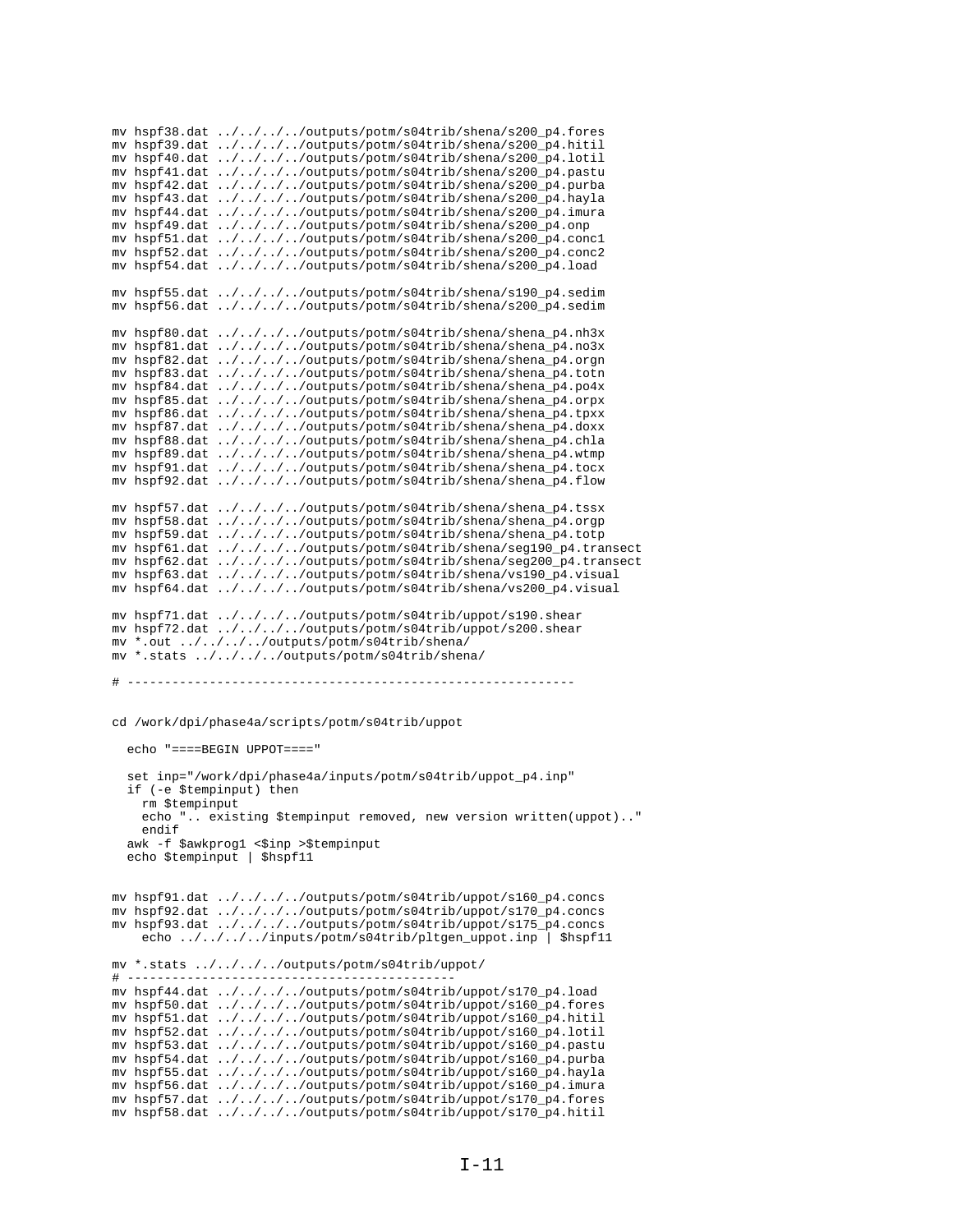```
mv hspf38.dat ../../../../outputs/potm/s04trib/shena/s200_p4.fores
mv hspf39.dat ../../../../outputs/potm/s04trib/shena/s200_p4.hitil
mv hspf40.dat ../../../../outputs/potm/s04trib/shena/s200_p4.lotil
mv hspf41.dat ../../../../outputs/potm/s04trib/shena/s200_p4.pastu
mv hspf42.dat ../../../../outputs/potm/s04trib/shena/s200_p4.purba
mv hspf43.dat ../../../../outputs/potm/s04trib/shena/s200_p4.hayla
mv hspf44.dat ../../../../outputs/potm/s04trib/shena/s200_p4.imura
mv hspf49.dat ../../../../outputs/potm/s04trib/shena/s200_p4.onp
mv hspf51.dat ../../../../outputs/potm/s04trib/shena/s200_p4.conc1
mv hspf52.dat ../../../../outputs/potm/s04trib/shena/s200_p4.conc2
mv hspf54.dat ../../../../outputs/potm/s04trib/shena/s200_p4.load
mv hspf55.dat ../../../../outputs/potm/s04trib/shena/s190_p4.sedim
mv hspf56.dat ../../../../outputs/potm/s04trib/shena/s200_p4.sedim
mv hspf80.dat ../../../../outputs/potm/s04trib/shena/shena_p4.nh3x
mv hspf81.dat ../../../../outputs/potm/s04trib/shena/shena_p4.no3x
mv hspf82.dat ../../../../outputs/potm/s04trib/shena/shena_p4.orgn
mv hspf83.dat ../../../../outputs/potm/s04trib/shena/shena_p4.totn
mv hspf84.dat ../../../../outputs/potm/s04trib/shena/shena_p4.po4x
mv hspf85.dat ../../../../outputs/potm/s04trib/shena/shena_p4.orpx
mv hspf86.dat ../../../../outputs/potm/s04trib/shena/shena_p4.tpxx
mv hspf87.dat ../../../../outputs/potm/s04trib/shena/shena_p4.doxx
mv hspf88.dat ../../../../outputs/potm/s04trib/shena/shena_p4.chla
mv hspf89.dat ../../../../outputs/potm/s04trib/shena/shena_p4.wtmp
mv hspf91.dat ../../../../outputs/potm/s04trib/shena/shena_p4.tocx
mv hspf92.dat ../../../../outputs/potm/s04trib/shena/shena_p4.flow
mv hspf57.dat ../../../../outputs/potm/s04trib/shena/shena_p4.tssx
mv hspf58.dat ../../../../outputs/potm/s04trib/shena/shena_p4.orgp
mv hspf59.dat ../../../../outputs/potm/s04trib/shena/shena_p4.totp
mv hspf61.dat ../../../../outputs/potm/s04trib/shena/seg190_p4.transect
mv hspf62.dat ../../../../outputs/potm/s04trib/shena/seg200_p4.transect
mv hspf63.dat ../../../../outputs/potm/s04trib/shena/vs190_p4.visual
mv hspf64.dat ../../../../outputs/potm/s04trib/shena/vs200_p4.visual
mv hspf71.dat ../../../../outputs/potm/s04trib/uppot/s190.shear
mv hspf72.dat ../../../../outputs/potm/s04trib/uppot/s200.shear
mv *.out ../../../../outputs/potm/s04trib/shena/
mv *.stats ../../../../outputs/potm/s04trib/shena/
# ------------------------------------------------------------
cd /work/dpi/phase4a/scripts/potm/s04trib/uppot
   echo "====BEGIN UPPOT===="
   set inp="/work/dpi/phase4a/inputs/potm/s04trib/uppot_p4.inp"
   if (-e $tempinput) then
    rm $tempinput
     echo ".. existing $tempinput removed, new version written(uppot).."
     endif
  awk -f $awkprog1 <$inp >$tempinput
   echo $tempinput | $hspf11
mv hspf91.dat ../../../../outputs/potm/s04trib/uppot/s160_p4.concs
mv hspf92.dat ../../../../outputs/potm/s04trib/uppot/s170_p4.concs
mv hspf93.dat ../../../../outputs/potm/s04trib/uppot/s175_p4.concs
    echo ../../../../inputs/potm/s04trib/pltgen_uppot.inp | $hspf11
mv *.stats ../../../../outputs/potm/s04trib/uppot/
\# -----------
mv hspf44.dat ../../../../outputs/potm/s04trib/uppot/s170_p4.load
mv hspf50.dat ../../../../outputs/potm/s04trib/uppot/s160_p4.fores
mv hspf51.dat ../../../../outputs/potm/s04trib/uppot/s160_p4.hitil
mv hspf52.dat ../../../../outputs/potm/s04trib/uppot/s160_p4.lotil
mv hspf53.dat ../../../../outputs/potm/s04trib/uppot/s160_p4.pastu
mv hspf54.dat ../../../../outputs/potm/s04trib/uppot/s160_p4.purba
mv hspf55.dat ../../../../outputs/potm/s04trib/uppot/s160_p4.hayla
mv hspf56.dat ../../../../outputs/potm/s04trib/uppot/s160_p4.imura
mv hspf57.dat ../../../../outputs/potm/s04trib/uppot/s170_p4.fores
mv hspf58.dat ../../../../outputs/potm/s04trib/uppot/s170_p4.hitil
```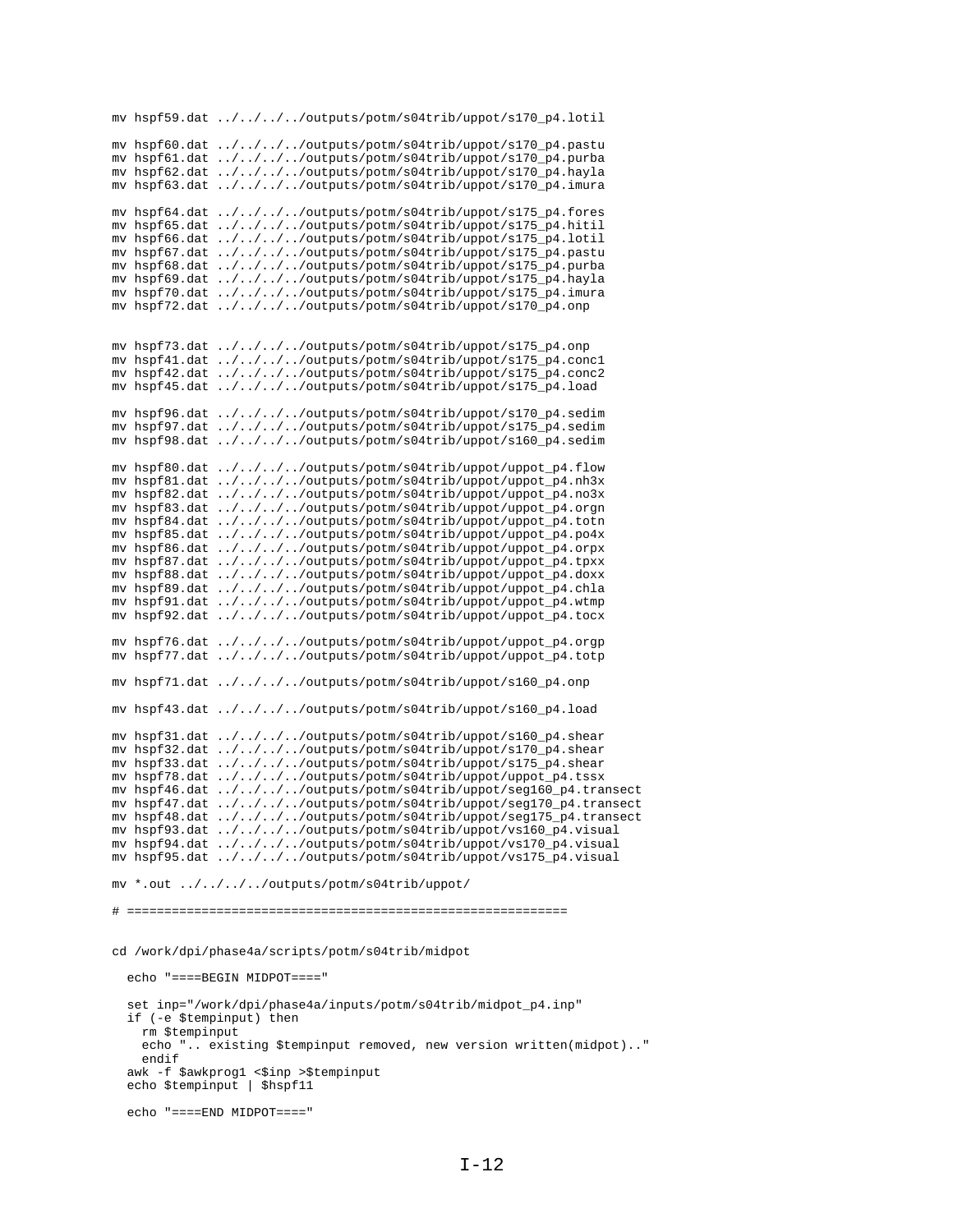```
mv hspf59.dat ../../../../outputs/potm/s04trib/uppot/s170_p4.lotil
mv hspf60.dat ../../../../outputs/potm/s04trib/uppot/s170_p4.pastu
mv hspf61.dat ../../../../outputs/potm/s04trib/uppot/s170_p4.purba
mv hspf62.dat ../../../../outputs/potm/s04trib/uppot/s170_p4.hayla
mv hspf63.dat ../../../../outputs/potm/s04trib/uppot/s170_p4.imura
mv hspf64.dat ../../../../outputs/potm/s04trib/uppot/s175_p4.fores
mv hspf65.dat ../../../../outputs/potm/s04trib/uppot/s175_p4.hitil
mv hspf66.dat ../../../../outputs/potm/s04trib/uppot/s175_p4.lotil
mv hspf67.dat ../../../../outputs/potm/s04trib/uppot/s175_p4.pastu
mv hspf68.dat ../../../../outputs/potm/s04trib/uppot/s175_p4.purba
mv hspf69.dat ../../../../outputs/potm/s04trib/uppot/s175_p4.hayla
mv hspf70.dat ../../../../outputs/potm/s04trib/uppot/s175_p4.imura
mv hspf72.dat ../../../../outputs/potm/s04trib/uppot/s170_p4.onp
mv hspf73.dat ../../../../outputs/potm/s04trib/uppot/s175_p4.onp
mv hspf41.dat ../../../../outputs/potm/s04trib/uppot/s175_p4.conc1
mv hspf42.dat ../../../../outputs/potm/s04trib/uppot/s175_p4.conc2
mv hspf45.dat ../../../../outputs/potm/s04trib/uppot/s175_p4.load
mv hspf96.dat ../../../../outputs/potm/s04trib/uppot/s170_p4.sedim
mv hspf97.dat ../../../../outputs/potm/s04trib/uppot/s175_p4.sedim
mv hspf98.dat ../../../../outputs/potm/s04trib/uppot/s160_p4.sedim
mv hspf80.dat ../../../../outputs/potm/s04trib/uppot/uppot_p4.flow
mv hspf81.dat ../../../../outputs/potm/s04trib/uppot/uppot_p4.nh3x
mv hspf82.dat ../../../../outputs/potm/s04trib/uppot/uppot_p4.no3x
mv hspf83.dat ../../../../outputs/potm/s04trib/uppot/uppot_p4.orgn
mv hspf84.dat ../../../../outputs/potm/s04trib/uppot/uppot_p4.totn
mv hspf85.dat ../../../../outputs/potm/s04trib/uppot/uppot_p4.po4x
mv hspf86.dat ../../../../outputs/potm/s04trib/uppot/uppot_p4.orpx
mv hspf87.dat ../../../../outputs/potm/s04trib/uppot/uppot_p4.tpxx
mv hspf88.dat ../../../../outputs/potm/s04trib/uppot/uppot_p4.doxx
mv hspf89.dat ../../../../outputs/potm/s04trib/uppot/uppot_p4.chla
mv hspf91.dat ../../../../outputs/potm/s04trib/uppot/uppot_p4.wtmp
mv hspf92.dat ../../../../outputs/potm/s04trib/uppot/uppot_p4.tocx
mv hspf76.dat ../../../../outputs/potm/s04trib/uppot/uppot_p4.orgp
mv hspf77.dat ../../../../outputs/potm/s04trib/uppot/uppot_p4.totp
mv hspf71.dat ../../../../outputs/potm/s04trib/uppot/s160_p4.onp
mv hspf43.dat ../../../../outputs/potm/s04trib/uppot/s160_p4.load
mv hspf31.dat ../../../../outputs/potm/s04trib/uppot/s160_p4.shear
mv hspf32.dat ../../../../outputs/potm/s04trib/uppot/s170_p4.shear
mv hspf33.dat ../../../../outputs/potm/s04trib/uppot/s175_p4.shear
mv hspf78.dat ../../../../outputs/potm/s04trib/uppot/uppot_p4.tssx
mv hspf46.dat ../../../../outputs/potm/s04trib/uppot/seg160_p4.transect
mv hspf47.dat ../../../../outputs/potm/s04trib/uppot/seg170_p4.transect
mv hspf48.dat ../../../../outputs/potm/s04trib/uppot/seg175_p4.transect
mv hspf93.dat ../../../../outputs/potm/s04trib/uppot/vs160_p4.visual
mv hspf94.dat ../../../../outputs/potm/s04trib/uppot/vs170_p4.visual
mv hspf95.dat ../../../../outputs/potm/s04trib/uppot/vs175_p4.visual
mv *.out ../../../../outputs/potm/s04trib/uppot/
# ===========================================================
cd /work/dpi/phase4a/scripts/potm/s04trib/midpot
   echo "====BEGIN MIDPOT===="
   set inp="/work/dpi/phase4a/inputs/potm/s04trib/midpot_p4.inp"
   if (-e $tempinput) then
    rm $tempinput
     echo ".. existing $tempinput removed, new version written(midpot).."
     endif
   awk -f $awkprog1 <$inp >$tempinput
   echo $tempinput | $hspf11
   echo "====END MIDPOT===="
```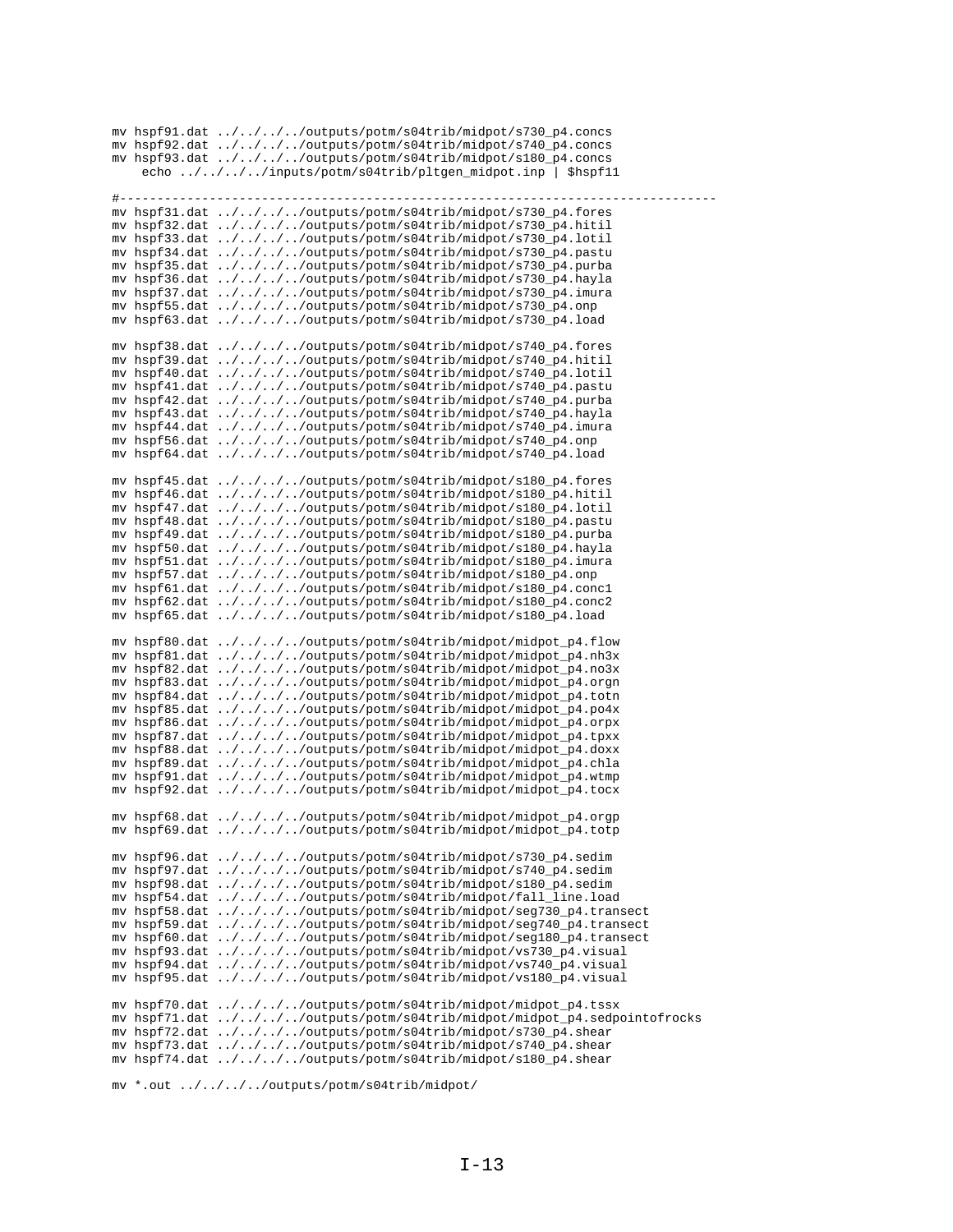|   | mv hspf91.dat ////outputs/potm/s04trib/midpot/s730_p4.concs                                                                             |
|---|-----------------------------------------------------------------------------------------------------------------------------------------|
|   | mv hspf92.dat ////outputs/potm/s04trib/midpot/s740_p4.concs                                                                             |
|   | mv hspf93.dat ////outputs/potm/s04trib/midpot/s180_p4.concs<br>echo ////inputs/potm/s04trib/pltgen_midpot.inp   \$hspf11                |
|   |                                                                                                                                         |
| # |                                                                                                                                         |
|   | mv hspf31.dat ////outputs/potm/s04trib/midpot/s730_p4.fores                                                                             |
|   | mv hspf32.dat ////outputs/potm/s04trib/midpot/s730_p4.hitil                                                                             |
|   | mv hspf33.dat ////outputs/potm/s04trib/midpot/s730_p4.lotil                                                                             |
|   | mv hspf34.dat ////outputs/potm/s04trib/midpot/s730_p4.pastu                                                                             |
|   | mv hspf35.dat ////outputs/potm/s04trib/midpot/s730_p4.purba                                                                             |
|   | mv hspf36.dat ////outputs/potm/s04trib/midpot/s730_p4.hayla                                                                             |
|   | mv hspf37.dat ////outputs/potm/s04trib/midpot/s730_p4.imura<br>mv hspf55.dat ////outputs/potm/s04trib/midpot/s730_p4.onp                |
|   | mv hspf63.dat ////outputs/potm/s04trib/midpot/s730_p4.load                                                                              |
|   |                                                                                                                                         |
|   | mv hspf38.dat ////outputs/potm/s04trib/midpot/s740_p4.fores                                                                             |
|   | mv hspf39.dat ////outputs/potm/s04trib/midpot/s740_p4.hitil                                                                             |
|   | mv hspf40.dat ////outputs/potm/s04trib/midpot/s740_p4.lotil                                                                             |
|   | mv hspf41.dat ////outputs/potm/s04trib/midpot/s740_p4.pastu                                                                             |
|   | mv hspf42.dat ////outputs/potm/s04trib/midpot/s740_p4.purba                                                                             |
|   | mv hspf43.dat ////outputs/potm/s04trib/midpot/s740_p4.hayla<br>mv hspf44.dat ////outputs/potm/s04trib/midpot/s740_p4.imura              |
|   | mv hspf56.dat ////outputs/potm/s04trib/midpot/s740_p4.onp                                                                               |
|   | mv hspf64.dat ////outputs/potm/s04trib/midpot/s740_p4.load                                                                              |
|   |                                                                                                                                         |
|   | mv hspf45.dat ////outputs/potm/s04trib/midpot/s180_p4.fores                                                                             |
|   | mv hspf46.dat ////outputs/potm/s04trib/midpot/s180_p4.hitil                                                                             |
|   | mv hspf47.dat ////outputs/potm/s04trib/midpot/s180_p4.lotil                                                                             |
|   | mv hspf48.dat ////outputs/potm/s04trib/midpot/s180_p4.pastu<br>mv hspf49.dat ////outputs/potm/s04trib/midpot/s180_p4.purba              |
|   | mv hspf50.dat ////outputs/potm/s04trib/midpot/s180_p4.hayla                                                                             |
|   | mv hspf51.dat ////outputs/potm/s04trib/midpot/s180_p4.imura                                                                             |
|   | mv hspf57.dat ////outputs/potm/s04trib/midpot/s180_p4.onp                                                                               |
|   | mv hspf61.dat ////outputs/potm/s04trib/midpot/s180_p4.concl                                                                             |
|   | mv hspf62.dat ////outputs/potm/s04trib/midpot/s180_p4.conc2                                                                             |
|   | mv hspf65.dat ////outputs/potm/s04trib/midpot/s180_p4.load                                                                              |
|   |                                                                                                                                         |
|   | mv hspf80.dat ////outputs/potm/s04trib/midpot/midpot_p4.flow<br>mv hspf81.dat ////outputs/potm/s04trib/midpot/midpot_p4.nh3x            |
|   | mv hspf82.dat ////outputs/potm/s04trib/midpot/midpot_p4.no3x                                                                            |
|   | mv hspf83.dat ////outputs/potm/s04trib/midpot/midpot_p4.orgn                                                                            |
|   | mv hspf84.dat ////outputs/potm/s04trib/midpot/midpot_p4.totn                                                                            |
|   | mv hspf85.dat ////outputs/potm/s04trib/midpot/midpot_p4.po4x                                                                            |
|   | mv hspf86.dat ////outputs/potm/s04trib/midpot/midpot_p4.orpx                                                                            |
|   | mv hspf87.dat ////outputs/potm/s04trib/midpot/midpot_p4.tpxx                                                                            |
|   | mv hspf88.dat ////outputs/potm/s04trib/midpot/midpot_p4.doxx                                                                            |
|   | mv hspf89.dat ////outputs/potm/s04trib/midpot/midpot_p4.chla<br>mv hspf91.dat ////outputs/potm/s04trib/midpot/midpot_p4.wtmp            |
|   | mv hspf92.dat ////outputs/potm/s04trib/midpot/midpot_p4.tocx                                                                            |
|   |                                                                                                                                         |
|   | mv hspf68.dat ////outputs/potm/s04trib/midpot/midpot_p4.orgp                                                                            |
|   | mv hspf69.dat ////outputs/potm/s04trib/midpot/midpot_p4.totp                                                                            |
|   |                                                                                                                                         |
|   | mv hspf96.dat ////outputs/potm/s04trib/midpot/s730_p4.sedim                                                                             |
|   | mv hspf97.dat ////outputs/potm/s04trib/midpot/s740_p4.sedim                                                                             |
|   | mv hspf98.dat ////outputs/potm/s04trib/midpot/s180_p4.sedim<br>mv hspf54.dat ////outputs/potm/s04trib/midpot/fall_line.load             |
|   | mv hspf58.dat ////outputs/potm/s04trib/midpot/seg730_p4.transect                                                                        |
|   | mv hspf59.dat ////outputs/potm/s04trib/midpot/seg740_p4.transect                                                                        |
|   | mv hspf60.dat ////outputs/potm/s04trib/midpot/seg180_p4.transect                                                                        |
|   | mv hspf93.dat ////outputs/potm/s04trib/midpot/vs730_p4.visual                                                                           |
|   | mv hspf94.dat ////outputs/potm/s04trib/midpot/vs740_p4.visual                                                                           |
|   | mv hspf95.dat ////outputs/potm/s04trib/midpot/vs180_p4.visual                                                                           |
|   |                                                                                                                                         |
|   | mv hspf70.dat ////outputs/potm/s04trib/midpot/midpot_p4.tssx<br>mv hspf71.dat ////outputs/potm/s04trib/midpot/midpot_p4.sedpointofrocks |
|   | mv hspf72.dat ////outputs/potm/s04trib/midpot/s730_p4.shear                                                                             |
|   | mv hspf73.dat ////outputs/potm/s04trib/midpot/s740_p4.shear                                                                             |
|   | mv hspf74.dat ////outputs/potm/s04trib/midpot/s180_p4.shear                                                                             |
|   |                                                                                                                                         |

 $\label{eq:1} \begin{aligned} &\text{mv} \text{ *.out } \dots / \dots / \dots / \text{ outputs}/\text{potm/s04trib/midpot/} \end{aligned}$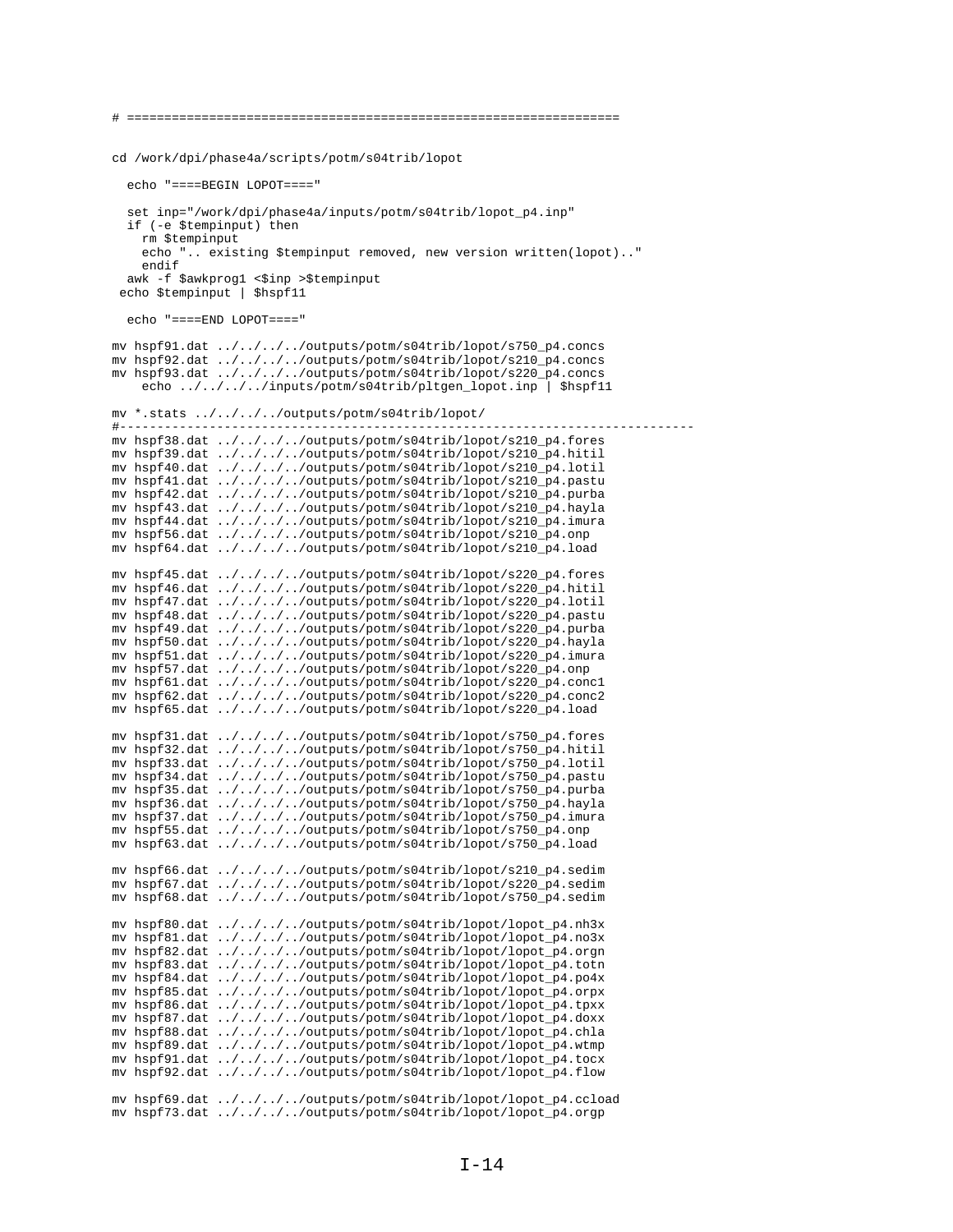# ================================================================== cd /work/dpi/phase4a/scripts/potm/s04trib/lopot echo "====BEGIN LOPOT====" set inp="/work/dpi/phase4a/inputs/potm/s04trib/lopot\_p4.inp" if (-e \$tempinput) then rm \$tempinput echo ".. existing \$tempinput removed, new version written(lopot).." endif awk -f \$awkprog1 <\$inp >\$tempinput echo \$tempinput | \$hspf11 echo "====END LOPOT====" mv hspf91.dat ../../../../outputs/potm/s04trib/lopot/s750\_p4.concs mv hspf92.dat ../../../../outputs/potm/s04trib/lopot/s210\_p4.concs mv hspf93.dat ../../../../outputs/potm/s04trib/lopot/s220\_p4.concs echo ../../../../inputs/potm/s04trib/pltgen\_lopot.inp | \$hspf11 mv \*.stats ../../../../outputs/potm/s04trib/lopot/ #---------------------------------------------------------------------------- mv hspf38.dat ../../../../outputs/potm/s04trib/lopot/s210\_p4.fores mv hspf39.dat ../../../../outputs/potm/s04trib/lopot/s210\_p4.hitil mv hspf40.dat ../../../../outputs/potm/s04trib/lopot/s210\_p4.lotil mv hspf41.dat ../../../../outputs/potm/s04trib/lopot/s210\_p4.pastu mv hspf42.dat ../../../../outputs/potm/s04trib/lopot/s210\_p4.purba mv hspf43.dat ../../../../outputs/potm/s04trib/lopot/s210\_p4.hayla mv hspf44.dat ../../../../outputs/potm/s04trib/lopot/s210\_p4.imura mv hspf56.dat ../../../../outputs/potm/s04trib/lopot/s210\_p4.onp mv hspf64.dat ../../../../outputs/potm/s04trib/lopot/s210\_p4.load mv hspf45.dat ../../../../outputs/potm/s04trib/lopot/s220\_p4.fores mv hspf46.dat ../../../../outputs/potm/s04trib/lopot/s220\_p4.hitil mv hspf47.dat ../../../../outputs/potm/s04trib/lopot/s220\_p4.lotil mv hspf48.dat ../../../../outputs/potm/s04trib/lopot/s220\_p4.pastu mv hspf49.dat ../../../../outputs/potm/s04trib/lopot/s220\_p4.purba mv hspf50.dat ../../../../outputs/potm/s04trib/lopot/s220\_p4.hayla mv hspf51.dat ../../../../outputs/potm/s04trib/lopot/s220\_p4.imura mv hspf57.dat ../../../../outputs/potm/s04trib/lopot/s220\_p4.onp mv hspf61.dat ../../../../outputs/potm/s04trib/lopot/s220\_p4.conc1 mv hspf62.dat ../../../../outputs/potm/s04trib/lopot/s220\_p4.conc2 mv hspf65.dat ../../../../outputs/potm/s04trib/lopot/s220\_p4.load mv hspf31.dat ../../../../outputs/potm/s04trib/lopot/s750\_p4.fores mv hspf32.dat ../../../../outputs/potm/s04trib/lopot/s750\_p4.hitil mv hspf33.dat ../../../../outputs/potm/s04trib/lopot/s750\_p4.lotil mv hspf34.dat ../../../../outputs/potm/s04trib/lopot/s750\_p4.pastu mv hspf35.dat ../../../../outputs/potm/s04trib/lopot/s750\_p4.purba mv hspf36.dat ../../../../outputs/potm/s04trib/lopot/s750\_p4.hayla mv hspf37.dat ../../../../outputs/potm/s04trib/lopot/s750\_p4.imura mv hspf55.dat ../../../../outputs/potm/s04trib/lopot/s750\_p4.onp mv hspf63.dat ../../../../outputs/potm/s04trib/lopot/s750\_p4.load mv hspf66.dat ../../../../outputs/potm/s04trib/lopot/s210\_p4.sedim mv hspf67.dat ../../../../outputs/potm/s04trib/lopot/s220\_p4.sedim mv hspf68.dat ../../../../outputs/potm/s04trib/lopot/s750\_p4.sedim mv hspf80.dat ../../../../outputs/potm/s04trib/lopot/lopot\_p4.nh3x mv hspf81.dat ../../../../outputs/potm/s04trib/lopot/lopot\_p4.no3x mv hspf82.dat ../../../../outputs/potm/s04trib/lopot/lopot\_p4.orgn mv hspf83.dat ../../../../outputs/potm/s04trib/lopot/lopot\_p4.totn mv hspf84.dat ../../../../outputs/potm/s04trib/lopot/lopot\_p4.po4x mv hspf85.dat ../../../../outputs/potm/s04trib/lopot/lopot\_p4.orpx mv hspf86.dat ../../../../outputs/potm/s04trib/lopot/lopot\_p4.tpxx mv hspf87.dat ../../../../outputs/potm/s04trib/lopot/lopot\_p4.doxx mv hspf88.dat ../../../../outputs/potm/s04trib/lopot/lopot\_p4.chla mv hspf89.dat ../../../../outputs/potm/s04trib/lopot/lopot\_p4.wtmp mv hspf91.dat ../../../../outputs/potm/s04trib/lopot/lopot\_p4.tocx mv hspf92.dat ../../../../outputs/potm/s04trib/lopot/lopot\_p4.flow mv hspf69.dat ../../../../outputs/potm/s04trib/lopot/lopot\_p4.ccload mv hspf73.dat ../../../../outputs/potm/s04trib/lopot/lopot\_p4.orgp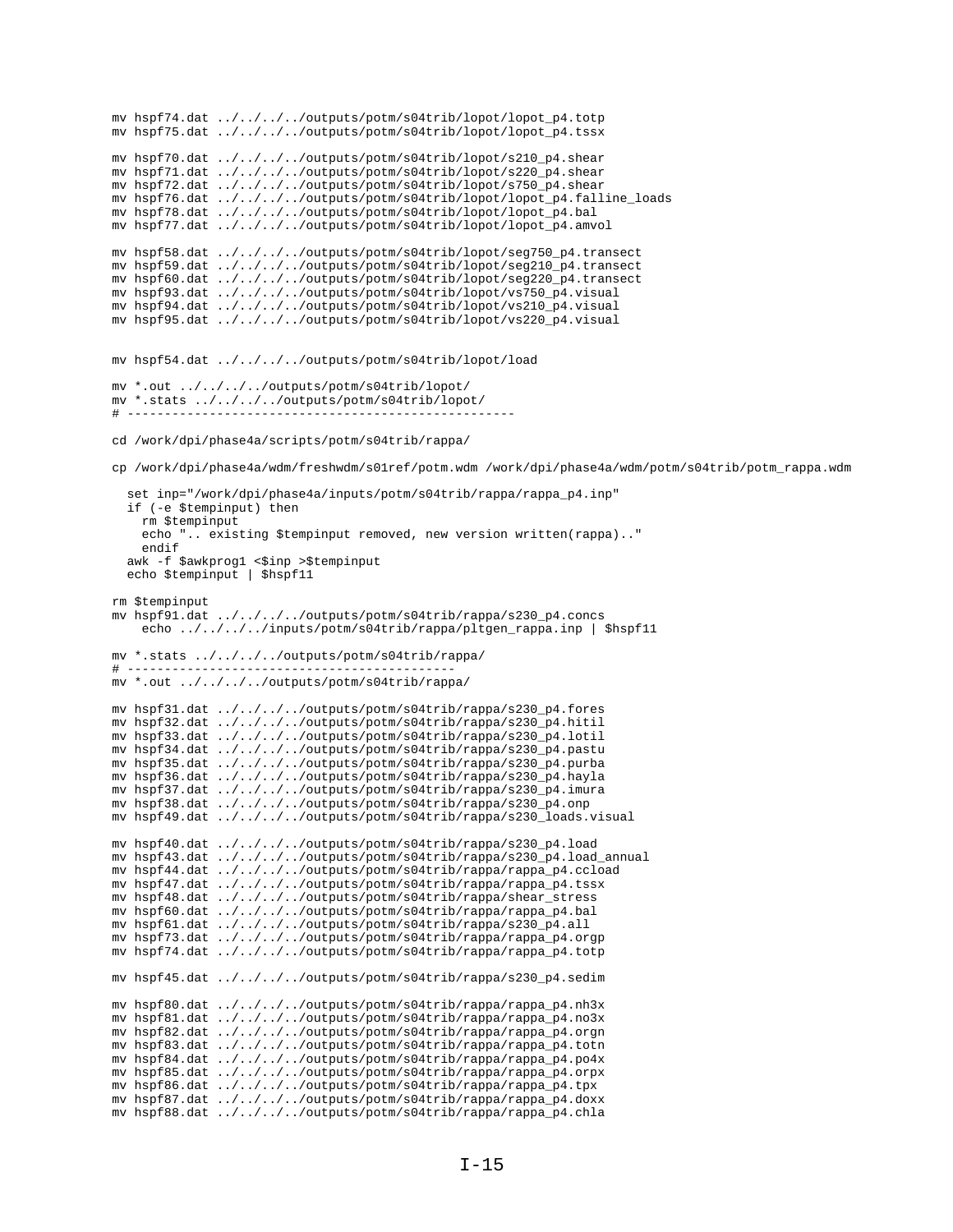```
mv hspf74.dat ../../../../outputs/potm/s04trib/lopot/lopot_p4.totp
mv hspf75.dat ../../../../outputs/potm/s04trib/lopot/lopot_p4.tssx
mv hspf70.dat ../../../../outputs/potm/s04trib/lopot/s210_p4.shear
mv hspf71.dat ../../../../outputs/potm/s04trib/lopot/s220_p4.shear
mv hspf72.dat ../../../../outputs/potm/s04trib/lopot/s750_p4.shear
mv hspf76.dat ../../../../outputs/potm/s04trib/lopot/lopot_p4.falline_loads
mv hspf78.dat ../../../../outputs/potm/s04trib/lopot/lopot_p4.bal
mv hspf77.dat ../../../../outputs/potm/s04trib/lopot/lopot_p4.amvol
mv hspf58.dat ../../../../outputs/potm/s04trib/lopot/seg750_p4.transect
mv hspf59.dat ../../../../outputs/potm/s04trib/lopot/seg210_p4.transect
mv hspf60.dat ../../../../outputs/potm/s04trib/lopot/seg220_p4.transect
mv hspf93.dat ../../../../outputs/potm/s04trib/lopot/vs750_p4.visual
mv hspf94.dat ../../../../outputs/potm/s04trib/lopot/vs210_p4.visual
mv hspf95.dat ../../../../outputs/potm/s04trib/lopot/vs220_p4.visual
mv hspf54.dat ../../../../outputs/potm/s04trib/lopot/load
mv *.out ../../../../outputs/potm/s04trib/lopot/
mv *.stats ../../../../outputs/potm/s04trib/lopot/
\# ------
cd /work/dpi/phase4a/scripts/potm/s04trib/rappa/
cp /work/dpi/phase4a/wdm/freshwdm/s01ref/potm.wdm /work/dpi/phase4a/wdm/potm/s04trib/potm_rappa.wdm
   set inp="/work/dpi/phase4a/inputs/potm/s04trib/rappa/rappa_p4.inp"
   if (-e $tempinput) then
    rm $tempinput
     echo ".. existing $tempinput removed, new version written(rappa).."
    endif
   awk -f $awkprog1 <$inp >$tempinput
  echo $tempinput | $hspf11
rm $tempinput
mv hspf91.dat ../../../../outputs/potm/s04trib/rappa/s230_p4.concs
     echo ../../../../inputs/potm/s04trib/rappa/pltgen_rappa.inp | $hspf11
mv *.stats ../../../../outputs/potm/s04trib/rappa/
# --------------------------------------------
mv *.out ../../../../outputs/potm/s04trib/rappa/
mv hspf31.dat ../../../../outputs/potm/s04trib/rappa/s230_p4.fores
mv hspf32.dat ../../../../outputs/potm/s04trib/rappa/s230_p4.hitil
mv hspf33.dat ../../../../outputs/potm/s04trib/rappa/s230_p4.lotil
mv hspf34.dat ../../../../outputs/potm/s04trib/rappa/s230_p4.pastu
mv hspf35.dat ../../../../outputs/potm/s04trib/rappa/s230_p4.purba
mv hspf36.dat ../../../../outputs/potm/s04trib/rappa/s230_p4.hayla
mv hspf37.dat ../../../../outputs/potm/s04trib/rappa/s230_p4.imura
mv hspf38.dat ../../../../outputs/potm/s04trib/rappa/s230_p4.onp
mv hspf49.dat ../../../../outputs/potm/s04trib/rappa/s230_loads.visual
mv hspf40.dat ../../../../outputs/potm/s04trib/rappa/s230_p4.load 
mv hspf43.dat ../../../../outputs/potm/s04trib/rappa/s230_p4.load_annual
mv hspf44.dat ../../../../outputs/potm/s04trib/rappa/rappa_p4.ccload
mv hspf47.dat ../../../../outputs/potm/s04trib/rappa/rappa_p4.tssx
mv hspf48.dat ../../../../outputs/potm/s04trib/rappa/shear_stress
mv hspf60.dat ../../../../outputs/potm/s04trib/rappa/rappa_p4.bal
mv hspf61.dat ../../../../outputs/potm/s04trib/rappa/s230_p4.all
mv hspf73.dat ../../../../outputs/potm/s04trib/rappa/rappa_p4.orgp
mv hspf74.dat ../../../../outputs/potm/s04trib/rappa/rappa_p4.totp
mv hspf45.dat ../../../../outputs/potm/s04trib/rappa/s230_p4.sedim
mv hspf80.dat ../../../../outputs/potm/s04trib/rappa/rappa_p4.nh3x
mv hspf81.dat ../../../../outputs/potm/s04trib/rappa/rappa_p4.no3x
mv hspf82.dat ../../../../outputs/potm/s04trib/rappa/rappa_p4.orgn
mv hspf83.dat ../../../../outputs/potm/s04trib/rappa/rappa_p4.totn
mv hspf84.dat ../../../../outputs/potm/s04trib/rappa/rappa_p4.po4x
mv hspf85.dat ../../../../outputs/potm/s04trib/rappa/rappa_p4.orpx
mv hspf86.dat ../../../../outputs/potm/s04trib/rappa/rappa_p4.tpx
mv hspf87.dat ../../../../outputs/potm/s04trib/rappa/rappa_p4.doxx
mv hspf88.dat ../../../../outputs/potm/s04trib/rappa/rappa_p4.chla
```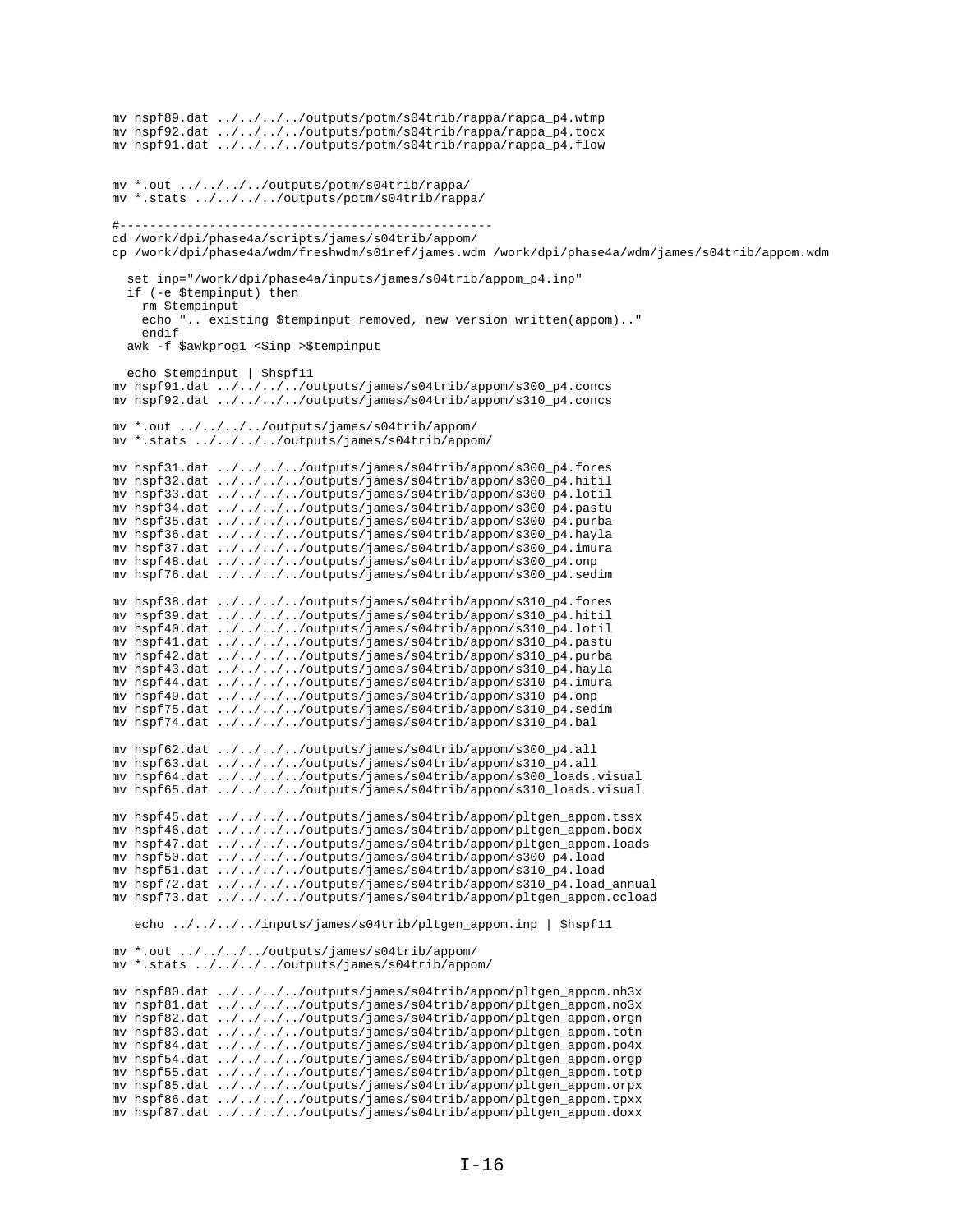```
mv hspf89.dat ../../../../outputs/potm/s04trib/rappa/rappa_p4.wtmp
mv hspf92.dat ../../../../outputs/potm/s04trib/rappa/rappa_p4.tocx
mv hspf91.dat ../../../../outputs/potm/s04trib/rappa/rappa_p4.flow
mv *.out ../../../../outputs/potm/s04trib/rappa/
mv *.stats ../../../../outputs/potm/s04trib/rappa/
#--------------------------------------------------
cd /work/dpi/phase4a/scripts/james/s04trib/appom/
cp /work/dpi/phase4a/wdm/freshwdm/s01ref/james.wdm /work/dpi/phase4a/wdm/james/s04trib/appom.wdm
   set inp="/work/dpi/phase4a/inputs/james/s04trib/appom_p4.inp"
   if (-e $tempinput) then
     rm $tempinput
     echo ".. existing $tempinput removed, new version written(appom).."
     endif
  awk -f $awkprog1 <$inp >$tempinput
  echo $tempinput | $hspf11
mv hspf91.dat ../../../../outputs/james/s04trib/appom/s300_p4.concs
mv hspf92.dat ../../../../outputs/james/s04trib/appom/s310_p4.concs
mv *.out ../../../../outputs/james/s04trib/appom/
mv *.stats ../../../../outputs/james/s04trib/appom/
mv hspf31.dat ../../../../outputs/james/s04trib/appom/s300_p4.fores
mv hspf32.dat ../../../../outputs/james/s04trib/appom/s300_p4.hitil
mv hspf33.dat ../../../../outputs/james/s04trib/appom/s300_p4.lotil
mv hspf34.dat ../../../../outputs/james/s04trib/appom/s300_p4.pastu
mv hspf35.dat ../../../../outputs/james/s04trib/appom/s300_p4.purba
mv hspf36.dat ../../../../outputs/james/s04trib/appom/s300_p4.hayla
mv hspf37.dat ../../../../outputs/james/s04trib/appom/s300_p4.imura
mv hspf48.dat ../../../../outputs/james/s04trib/appom/s300_p4.onp
mv hspf76.dat ../../../../outputs/james/s04trib/appom/s300_p4.sedim
mv hspf38.dat ../../../../outputs/james/s04trib/appom/s310_p4.fores
mv hspf39.dat ../../../../outputs/james/s04trib/appom/s310_p4.hitil
mv hspf40.dat \ldots/\ldots/\ldots/outputs/james/s04trib/appom/s310_p4.lotil
mv hspf41.dat ../../../../outputs/james/s04trib/appom/s310_p4.pastu
mv hspf42.dat ../../../../outputs/james/s04trib/appom/s310_p4.purba
mv hspf43.dat ../../../../outputs/james/s04trib/appom/s310_p4.hayla
mv hspf44.dat ../../../../outputs/james/s04trib/appom/s310_p4.imura
mv hspf49.dat ../../../../outputs/james/s04trib/appom/s310_p4.onp
mv hspf75.dat ../../../../outputs/james/s04trib/appom/s310_p4.sedim
mv hspf74.dat ../../../../outputs/james/s04trib/appom/s310_p4.bal
mv hspf62.dat ../../../../outputs/james/s04trib/appom/s300_p4.all
mv hspf63.dat ../../../../outputs/james/s04trib/appom/s310_p4.all
mv hspf64.dat ../../../../outputs/james/s04trib/appom/s300_loads.visual
mv hspf65.dat ../../../../outputs/james/s04trib/appom/s310_loads.visual
mv hspf45.dat ../../../../outputs/james/s04trib/appom/pltgen_appom.tssx
mv hspf46.dat ../../../../outputs/james/s04trib/appom/pltgen_appom.bodx
mv hspf47.dat ../../../../outputs/james/s04trib/appom/pltgen_appom.loads
mv hspf50.dat ../../../../outputs/james/s04trib/appom/s300_p4.load
mv hspf51.dat ../../../../outputs/james/s04trib/appom/s310_p4.load
mv hspf72.dat ../../../../outputs/james/s04trib/appom/s310_p4.load_annual
mv hspf73.dat ../../../../outputs/james/s04trib/appom/pltgen_appom.ccload
    echo ../../../../inputs/james/s04trib/pltgen_appom.inp | $hspf11
mv *.out ../../../../outputs/james/s04trib/appom/
mv *.stats ../../../../outputs/james/s04trib/appom/
mv hspf80.dat ../../../../outputs/james/s04trib/appom/pltgen_appom.nh3x
mv hspf81.dat ../../../../outputs/james/s04trib/appom/pltgen_appom.no3x
mv hspf82.dat ../../../../outputs/james/s04trib/appom/pltgen_appom.orgn
mv hspf83.dat ../../../../outputs/james/s04trib/appom/pltgen_appom.totn
mv hspf84.dat ../../../../outputs/james/s04trib/appom/pltgen_appom.po4x
mv hspf54.dat ../../../../outputs/james/s04trib/appom/pltgen_appom.orgp
mv hspf55.dat ../../../../outputs/james/s04trib/appom/pltgen_appom.totp
mv hspf85.dat ../../../../outputs/james/s04trib/appom/pltgen_appom.orpx
mv hspf86.dat ../../../../outputs/james/s04trib/appom/pltgen_appom.tpxx
mv hspf87.dat ../../../../outputs/james/s04trib/appom/pltgen_appom.doxx
```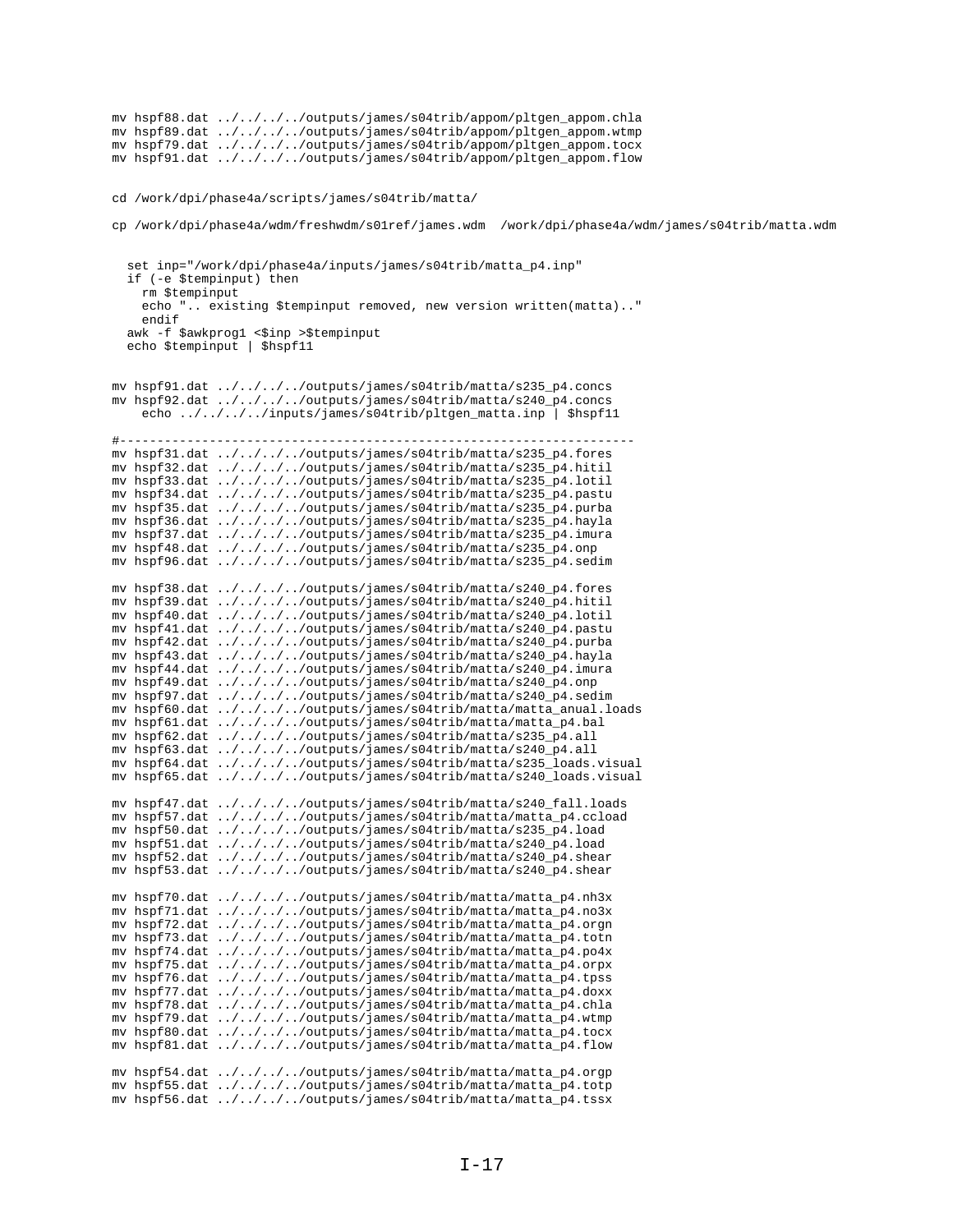```
mv hspf88.dat ../../../../outputs/james/s04trib/appom/pltgen_appom.chla
mv hspf89.dat ../../../../outputs/james/s04trib/appom/pltgen_appom.wtmp
mv hspf79.dat ../../../../outputs/james/s04trib/appom/pltgen_appom.tocx
mv hspf91.dat ../../../../outputs/james/s04trib/appom/pltgen_appom.flow
cd /work/dpi/phase4a/scripts/james/s04trib/matta/
cp /work/dpi/phase4a/wdm/freshwdm/s01ref/james.wdm /work/dpi/phase4a/wdm/james/s04trib/matta.wdm
   set inp="/work/dpi/phase4a/inputs/james/s04trib/matta_p4.inp"
   if (-e $tempinput) then
    rm $tempinput
     echo ".. existing $tempinput removed, new version written(matta).."
     endif
  awk -f $awkprog1 <$inp >$tempinput
   echo $tempinput | $hspf11
mv hspf91.dat ../../../../outputs/james/s04trib/matta/s235_p4.concs
mv hspf92.dat ../../../../outputs/james/s04trib/matta/s240_p4.concs
     echo ../../../../inputs/james/s04trib/pltgen_matta.inp | $hspf11
#---------------------------------------------------------------------
mv hspf31.dat ../../../../outputs/james/s04trib/matta/s235_p4.fores
mv hspf32.dat ../../../../outputs/james/s04trib/matta/s235_p4.hitil
mv hspf33.dat ../../../../outputs/james/s04trib/matta/s235_p4.lotil
mv hspf34.dat ../../../../outputs/james/s04trib/matta/s235_p4.pastu
mv hspf35.dat ../../../../outputs/james/s04trib/matta/s235_p4.purba
mv hspf36.dat ../../../../outputs/james/s04trib/matta/s235_p4.hayla
mv hspf37.dat ../../../../outputs/james/s04trib/matta/s235_p4.imura
mv hspf48.dat ../../../../outputs/james/s04trib/matta/s235_p4.onp
mv hspf96.dat ../../../../outputs/james/s04trib/matta/s235_p4.sedim
mv hspf38.dat ../../../../outputs/james/s04trib/matta/s240_p4.fores
mv hspf39.dat ../../../../outputs/james/s04trib/matta/s240_p4.hitil
mv hspf40.dat ../../../../outputs/james/s04trib/matta/s240_p4.lotil
mv hspf41.dat \ldots/\ldots/\ldots/outputs/james/s04trib/matta/s240_p4.pastu
mv hspf42.dat ../../../../outputs/james/s04trib/matta/s240_p4.purba
mv hspf43.dat ../../../../outputs/james/s04trib/matta/s240_p4.hayla
mv hspf44.dat ../../../../outputs/james/s04trib/matta/s240_p4.imura
mv hspf49.dat ../../../../outputs/james/s04trib/matta/s240_p4.onp
mv hspf97.dat ../../../../outputs/james/s04trib/matta/s240_p4.sedim
mv hspf60.dat ../../../../outputs/james/s04trib/matta/matta_anual.loads
mv hspf61.dat ../../../../outputs/james/s04trib/matta/matta_p4.bal
mv hspf62.dat ../../../../outputs/james/s04trib/matta/s235_p4.all
mv hspf63.dat ../../../../outputs/james/s04trib/matta/s240_p4.all
mv hspf64.dat ../../../../outputs/james/s04trib/matta/s235_loads.visual
mv hspf65.dat ../../../../outputs/james/s04trib/matta/s240_loads.visual
mv hspf47.dat ../../../../outputs/james/s04trib/matta/s240_fall.loads
mv hspf57.dat ../../../../outputs/james/s04trib/matta/matta_p4.ccload
mv hspf50.dat ../../../../outputs/james/s04trib/matta/s235_p4.load
mv hspf51.dat ../../../../outputs/james/s04trib/matta/s240_p4.load
mv hspf52.dat ../../../../outputs/james/s04trib/matta/s240_p4.shear
mv hspf53.dat ../../../../outputs/james/s04trib/matta/s240_p4.shear
mv hspf70.dat ../../../../outputs/james/s04trib/matta/matta_p4.nh3x
mv hspf71.dat ../../../../outputs/james/s04trib/matta/matta_p4.no3x
mv hspf72.dat ../../../../outputs/james/s04trib/matta/matta_p4.orgn
mv hspf73.dat ../../../../outputs/james/s04trib/matta/matta_p4.totn
mv hspf74.dat ../../../../outputs/james/s04trib/matta/matta_p4.po4x
mv hspf75.dat ../../../../outputs/james/s04trib/matta/matta_p4.orpx
mv hspf76.dat ../../../../outputs/james/s04trib/matta/matta_p4.tpss
mv hspf77.dat ../../../../outputs/james/s04trib/matta/matta_p4.doxx
mv hspf78.dat ../../../../outputs/james/s04trib/matta/matta_p4.chla
mv hspf79.dat ../../../../outputs/james/s04trib/matta/matta_p4.wtmp
mv hspf80.dat ../../../../outputs/james/s04trib/matta/matta_p4.tocx
mv hspf81.dat ../../../../outputs/james/s04trib/matta/matta_p4.flow
mv hspf54.dat ../../../../outputs/james/s04trib/matta/matta_p4.orgp
mv hspf55.dat ../../../../outputs/james/s04trib/matta/matta_p4.totp
mv hspf56.dat ../../../../outputs/james/s04trib/matta/matta_p4.tssx
```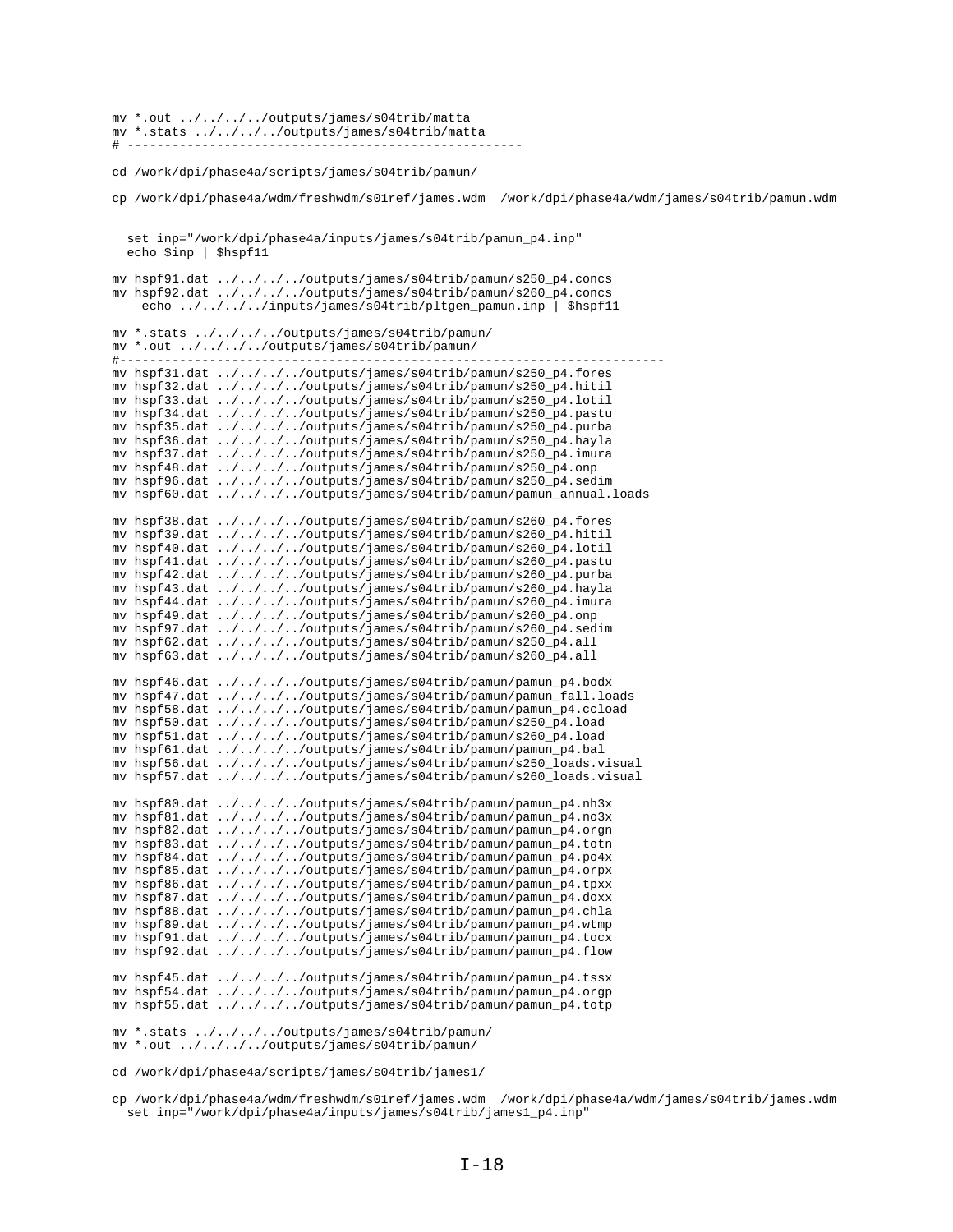mv \*.out ../../../../outputs/james/s04trib/matta mv \*.stats ../../../../outputs/james/s04trib/matta # -----------------------------------------------------

cd /work/dpi/phase4a/scripts/james/s04trib/pamun/

cp /work/dpi/phase4a/wdm/freshwdm/s01ref/james.wdm /work/dpi/phase4a/wdm/james/s04trib/pamun.wdm set inp="/work/dpi/phase4a/inputs/james/s04trib/pamun\_p4.inp" echo \$inp | \$hspf11 mv hspf91.dat ../../../../outputs/james/s04trib/pamun/s250\_p4.concs mv hspf92.dat ../../../../outputs/james/s04trib/pamun/s260\_p4.concs echo ../../../../inputs/james/s04trib/pltgen\_pamun.inp | \$hspf11 mv \*.stats ../../../../outputs/james/s04trib/pamun/ mv \*.out ../../../../outputs/james/s04trib/pamun/ #------------------------------------------------------------------------ mv hspf31.dat ../../../../outputs/james/s04trib/pamun/s250\_p4.fores mv hspf32.dat ../../../../outputs/james/s04trib/pamun/s250\_p4.hitil mv hspf33.dat ../../../../outputs/james/s04trib/pamun/s250\_p4.lotil mv hspf34.dat ../../../../outputs/james/s04trib/pamun/s250\_p4.pastu mv hspf35.dat ../../../../outputs/james/s04trib/pamun/s250\_p4.purba mv hspf36.dat ../../../../outputs/james/s04trib/pamun/s250\_p4.hayla mv hspf37.dat ../../../../outputs/james/s04trib/pamun/s250\_p4.imura mv hspf48.dat ../../../../outputs/james/s04trib/pamun/s250\_p4.onp mv hspf96.dat ../../../../outputs/james/s04trib/pamun/s250\_p4.sedim mv hspf60.dat ../../../../outputs/james/s04trib/pamun/pamun\_annual.loads mv hspf38.dat ../../../../outputs/james/s04trib/pamun/s260\_p4.fores mv hspf39.dat ../../../../outputs/james/s04trib/pamun/s260\_p4.hitil mv hspf40.dat ../../../../outputs/james/s04trib/pamun/s260\_p4.lotil mv hspf41.dat ../../../../outputs/james/s04trib/pamun/s260\_p4.pastu mv hspf42.dat ../../../../outputs/james/s04trib/pamun/s260\_p4.purba mv hspf43.dat ../../../../outputs/james/s04trib/pamun/s260\_p4.hayla mv hspf44.dat ../../../../outputs/james/s04trib/pamun/s260\_p4.imura mv hspf49.dat ../../../../outputs/james/s04trib/pamun/s260\_p4.onp mv hspf97.dat ../../../../outputs/james/s04trib/pamun/s260\_p4.sedim mv hspf62.dat ../../../../outputs/james/s04trib/pamun/s250\_p4.all mv hspf63.dat ../../../../outputs/james/s04trib/pamun/s260\_p4.all mv hspf46.dat ../../../../outputs/james/s04trib/pamun/pamun\_p4.bodx mv hspf47.dat ../../../../outputs/james/s04trib/pamun/pamun\_fall.loads mv hspf58.dat ../../../../outputs/james/s04trib/pamun/pamun\_p4.ccload mv hspf50.dat ../../../../outputs/james/s04trib/pamun/s250\_p4.load mv hspf51.dat ../../../../outputs/james/s04trib/pamun/s260\_p4.load mv hspf61.dat ../../../../outputs/james/s04trib/pamun/pamun\_p4.bal mv hspf56.dat ../../../../outputs/james/s04trib/pamun/s250\_loads.visual mv hspf57.dat ../../../../outputs/james/s04trib/pamun/s260\_loads.visual mv hspf80.dat ../../../../outputs/james/s04trib/pamun/pamun\_p4.nh3x mv hspf81.dat ../../../../outputs/james/s04trib/pamun/pamun\_p4.no3x mv hspf82.dat ../../../../outputs/james/s04trib/pamun/pamun\_p4.orgn mv hspf83.dat ../../../../outputs/james/s04trib/pamun/pamun\_p4.totn mv hspf84.dat ../../../../outputs/james/s04trib/pamun/pamun\_p4.po4x mv hspf85.dat ../../../../outputs/james/s04trib/pamun/pamun\_p4.orpx mv hspf86.dat ../../../../outputs/james/s04trib/pamun/pamun\_p4.tpxx mv hspf87.dat ../../../../outputs/james/s04trib/pamun/pamun\_p4.doxx mv hspf88.dat ../../../../outputs/james/s04trib/pamun/pamun\_p4.chla mv hspf89.dat ../../../../outputs/james/s04trib/pamun/pamun\_p4.wtmp mv hspf91.dat ../../../../outputs/james/s04trib/pamun/pamun\_p4.tocx mv hspf92.dat ../../../../outputs/james/s04trib/pamun/pamun\_p4.flow mv hspf45.dat ../../../../outputs/james/s04trib/pamun/pamun\_p4.tssx mv hspf54.dat ../../../../outputs/james/s04trib/pamun/pamun\_p4.orgp mv hspf55.dat ../../../../outputs/james/s04trib/pamun/pamun\_p4.totp mv \*.stats ../../../../outputs/james/s04trib/pamun/ mv \*.out ../../../../outputs/james/s04trib/pamun/

cd /work/dpi/phase4a/scripts/james/s04trib/james1/

cp /work/dpi/phase4a/wdm/freshwdm/s01ref/james.wdm /work/dpi/phase4a/wdm/james/s04trib/james.wdm set inp="/work/dpi/phase4a/inputs/james/s04trib/james1\_p4.inp"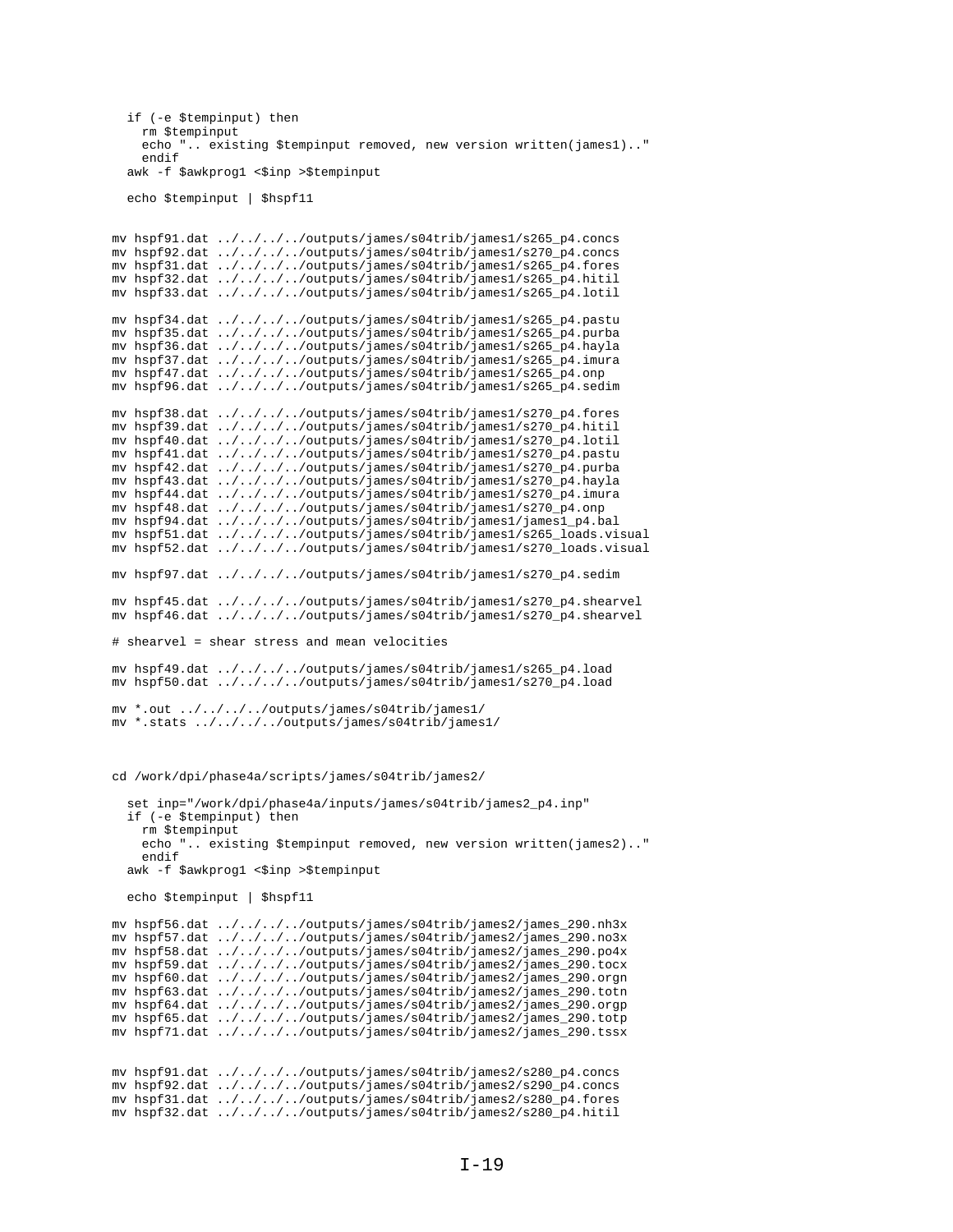```
 if (-e $tempinput) then
     rm $tempinput
     echo ".. existing $tempinput removed, new version written(james1).."
     endif
  awk -f $awkprog1 <$inp >$tempinput
   echo $tempinput | $hspf11
mv hspf91.dat ../../../../outputs/james/s04trib/james1/s265_p4.concs
mv hspf92.dat ../../../../outputs/james/s04trib/james1/s270_p4.concs
mv hspf31.dat ../../../../outputs/james/s04trib/james1/s265_p4.fores
mv hspf32.dat ../../../../outputs/james/s04trib/james1/s265_p4.hitil
mv hspf33.dat ../../../../outputs/james/s04trib/james1/s265_p4.lotil
mv hspf34.dat ../../../../outputs/james/s04trib/james1/s265_p4.pastu
mv hspf35.dat ../../../../outputs/james/s04trib/james1/s265_p4.purba
mv hspf36.dat ../../../../outputs/james/s04trib/james1/s265_p4.hayla
mv hspf37.dat ../../../../outputs/james/s04trib/james1/s265_p4.imura
mv hspf47.dat ../../../../outputs/james/s04trib/james1/s265_p4.onp
mv hspf96.dat ../../../../outputs/james/s04trib/james1/s265_p4.sedim
mv hspf38.dat ../../../../outputs/james/s04trib/james1/s270_p4.fores
mv hspf39.dat ../../../../outputs/james/s04trib/james1/s270_p4.hitil
mv hspf40.dat ../../../../outputs/james/s04trib/james1/s270_p4.lotil
mv hspf41.dat ../../../../outputs/james/s04trib/james1/s270_p4.pastu
mv hspf42.dat ../../../../outputs/james/s04trib/james1/s270_p4.purba
mv hspf43.dat ../../../../outputs/james/s04trib/james1/s270_p4.hayla
mv hspf44.dat ../../../../outputs/james/s04trib/james1/s270_p4.imura
mv hspf48.dat ../../../../outputs/james/s04trib/james1/s270_p4.onp
mv hspf94.dat ../../../../outputs/james/s04trib/james1/james1_p4.bal
mv hspf51.dat ../../../../outputs/james/s04trib/james1/s265_loads.visual
mv hspf52.dat ../../../../outputs/james/s04trib/james1/s270_loads.visual
mv hspf97.dat ../../../../outputs/james/s04trib/james1/s270_p4.sedim
mv hspf45.dat ../../../../outputs/james/s04trib/james1/s270_p4.shearvel
mv hspf46.dat ../../../../outputs/james/s04trib/james1/s270_p4.shearvel
# shearvel = shear stress and mean velocities
mv hspf49.dat ../../../../outputs/james/s04trib/james1/s265_p4.load
mv hspf50.dat ../../../../outputs/james/s04trib/james1/s270_p4.load
mv *.out ../../../../outputs/james/s04trib/james1/
mv *.stats ../../../../outputs/james/s04trib/james1/
cd /work/dpi/phase4a/scripts/james/s04trib/james2/
   set inp="/work/dpi/phase4a/inputs/james/s04trib/james2_p4.inp"
   if (-e $tempinput) then
     rm $tempinput
     echo ".. existing $tempinput removed, new version written(james2).."
     endif
  awk -f $awkprog1 <$inp >$tempinput
   echo $tempinput | $hspf11
mv hspf56.dat ../../../../outputs/james/s04trib/james2/james_290.nh3x
mv hspf57.dat ../../../../outputs/james/s04trib/james2/james_290.no3x
mv hspf58.dat ../../../../outputs/james/s04trib/james2/james_290.po4x
mv hspf59.dat ../../../../outputs/james/s04trib/james2/james_290.tocx
mv hspf60.dat ../../../../outputs/james/s04trib/james2/james_290.orgn
mv hspf63.dat ../../../../outputs/james/s04trib/james2/james_290.totn
mv hspf64.dat ../../../../outputs/james/s04trib/james2/james_290.orgp
mv hspf65.dat ../../../../outputs/james/s04trib/james2/james_290.totp
mv hspf71.dat ../../../../outputs/james/s04trib/james2/james_290.tssx
mv hspf91.dat ../../../../outputs/james/s04trib/james2/s280_p4.concs
mv hspf92.dat ../../../../outputs/james/s04trib/james2/s290_p4.concs
mv hspf31.dat ../../../../outputs/james/s04trib/james2/s280_p4.fores
mv hspf32.dat ../../../../outputs/james/s04trib/james2/s280_p4.hitil
```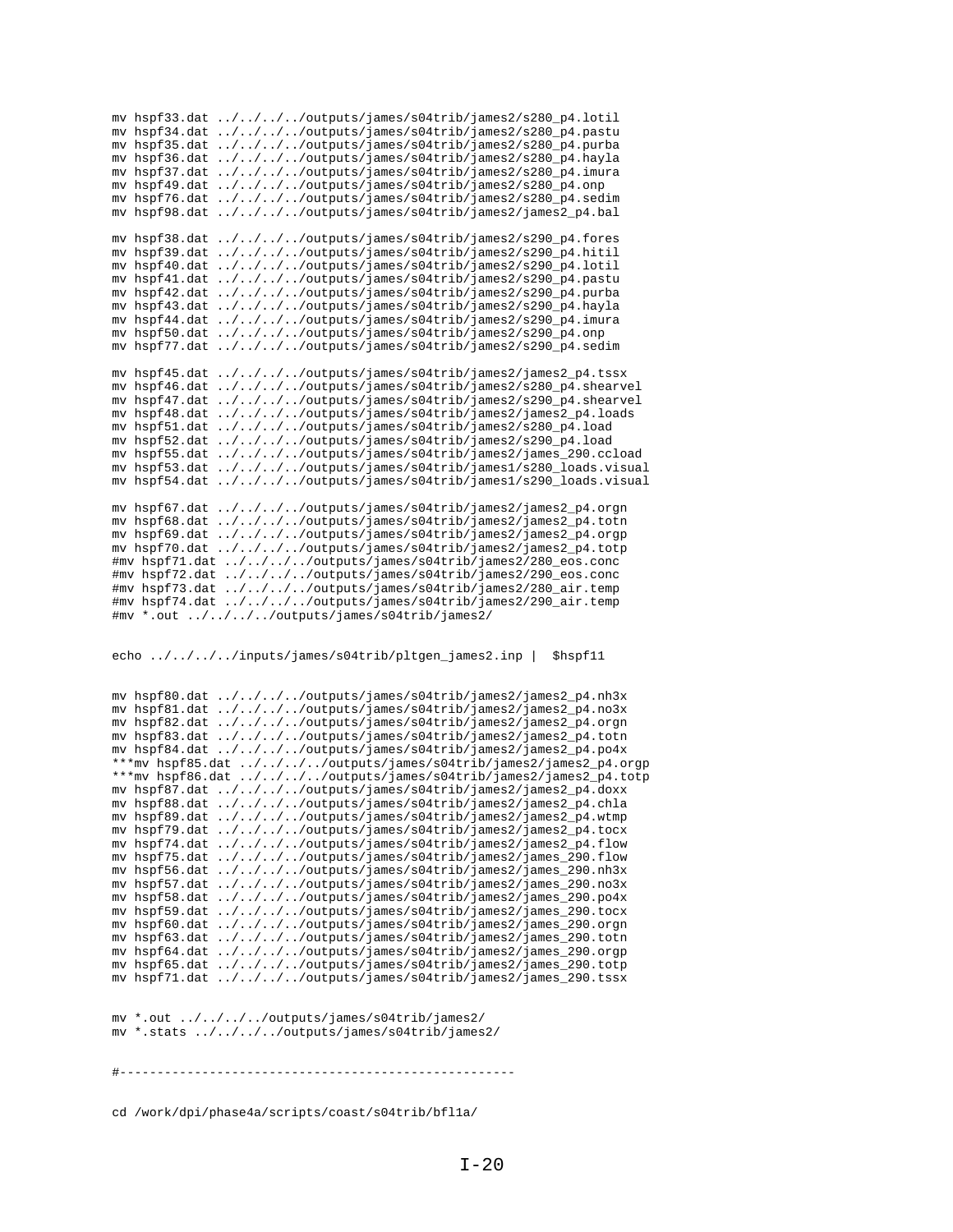mv hspf33.dat ../../../../outputs/james/s04trib/james2/s280\_p4.lotil mv hspf34.dat ../../../../outputs/james/s04trib/james2/s280\_p4.pastu mv hspf35.dat ../../../../outputs/james/s04trib/james2/s280\_p4.purba mv hspf36.dat ../../../../outputs/james/s04trib/james2/s280\_p4.hayla mv hspf37.dat ../../../../outputs/james/s04trib/james2/s280\_p4.imura mv hspf49.dat ../../../../outputs/james/s04trib/james2/s280\_p4.onp mv hspf76.dat ../../../../outputs/james/s04trib/james2/s280\_p4.sedim mv hspf98.dat ../../../../outputs/james/s04trib/james2/james2\_p4.bal mv hspf38.dat ../../../../outputs/james/s04trib/james2/s290\_p4.fores mv hspf39.dat ../../../../outputs/james/s04trib/james2/s290\_p4.hitil mv hspf40.dat ../../../../outputs/james/s04trib/james2/s290\_p4.lotil mv hspf41.dat ../../../../outputs/james/s04trib/james2/s290\_p4.pastu mv hspf42.dat ../../../../outputs/james/s04trib/james2/s290\_p4.purba mv hspf43.dat ../../../../outputs/james/s04trib/james2/s290\_p4.hayla mv hspf44.dat ../../../../outputs/james/s04trib/james2/s290\_p4.imura mv hspf50.dat ../../../../outputs/james/s04trib/james2/s290\_p4.onp mv hspf77.dat  $\ldots/\ldots/\ldots$ /outputs/james/s04trib/james2/s290\_p4.sedim mv hspf45.dat ../../../../outputs/james/s04trib/james2/james2\_p4.tssx mv hspf46.dat ../../../../outputs/james/s04trib/james2/s280\_p4.shearvel mv hspf47.dat ../../../../outputs/james/s04trib/james2/s290\_p4.shearvel mv hspf48.dat ../../../../outputs/james/s04trib/james2/james2\_p4.loads mv hspf51.dat ../../../../outputs/james/s04trib/james2/s280\_p4.load mv hspf52.dat ../../../../outputs/james/s04trib/james2/s290\_p4.load mv hspf55.dat ../../../../outputs/james/s04trib/james2/james\_290.ccload mv hspf53.dat ../../../../outputs/james/s04trib/james1/s280\_loads.visual mv hspf54.dat ../../../../outputs/james/s04trib/james1/s290\_loads.visual mv hspf67.dat ../../../../outputs/james/s04trib/james2/james2\_p4.orgn mv hspf68.dat ../../../../outputs/james/s04trib/james2/james2\_p4.totn mv hspf69.dat ../../../../outputs/james/s04trib/james2/james2\_p4.orgp mv hspf70.dat ../../../../outputs/james/s04trib/james2/james2\_p4.totp #mv hspf71.dat ../../../../outputs/james/s04trib/james2/280\_eos.conc #mv hspf72.dat ../../../../outputs/james/s04trib/james2/290\_eos.conc #mv hspf73.dat ../../../../outputs/james/s04trib/james2/280\_air.temp #mv hspf74.dat ../../../../outputs/james/s04trib/james2/290\_air.temp #mv \*.out ../../../../outputs/james/s04trib/james2/

echo ../../../../inputs/james/s04trib/pltgen\_james2.inp | \$hspf11

mv hspf80.dat ../../../../outputs/james/s04trib/james2/james2\_p4.nh3x mv hspf81.dat ../../../../outputs/james/s04trib/james2/james2\_p4.no3x mv hspf82.dat ../../../../outputs/james/s04trib/james2/james2\_p4.orgn mv hspf83.dat ../../../../outputs/james/s04trib/james2/james2\_p4.totn mv hspf84.dat ../../../../outputs/james/s04trib/james2/james2\_p4.po4x \*\*\*mv hspf85.dat ../../../../outputs/james/s04trib/james2/james2\_p4.orgp \*\*\*mv hspf86.dat ../../../../outputs/james/s04trib/james2/james2\_p4.totp mv hspf87.dat ../../../../outputs/james/s04trib/james2/james2\_p4.doxx mv hspf88.dat ../../../../outputs/james/s04trib/james2/james2\_p4.chla mv hspf89.dat ../../../../outputs/james/s04trib/james2/james2\_p4.wtmp mv hspf79.dat ../../../../outputs/james/s04trib/james2/james2\_p4.tocx mv hspf74.dat ../../../../outputs/james/s04trib/james2/james2\_p4.flow mv hspf75.dat ../../../../outputs/james/s04trib/james2/james\_290.flow mv hspf56.dat ../../../../outputs/james/s04trib/james2/james\_290.nh3x mv hspf57.dat ../../../../outputs/james/s04trib/james2/james\_290.no3x mv hspf58.dat ../../../../outputs/james/s04trib/james2/james\_290.po4x mv hspf59.dat  $\ldots/\ldots/\ldots$ /outputs/james/s04trib/james2/james\_290.tocx mv hspf60.dat ../../../../outputs/james/s04trib/james2/james\_290.orgn mv hspf63.dat ../../../../outputs/james/s04trib/james2/james\_290.totn mv hspf64.dat ../../../../outputs/james/s04trib/james2/james\_290.orgp mv hspf65.dat ../../../../outputs/james/s04trib/james2/james\_290.totp mv hspf71.dat  $\ldots/\ldots/\ldots$ /outputs/james/s04trib/james2/james\_290.tssx

mv \*.out ../../../../outputs/james/s04trib/james2/ mv \*.stats ../../../../outputs/james/s04trib/james2/

#-----------------------------------------------------

cd /work/dpi/phase4a/scripts/coast/s04trib/bfl1a/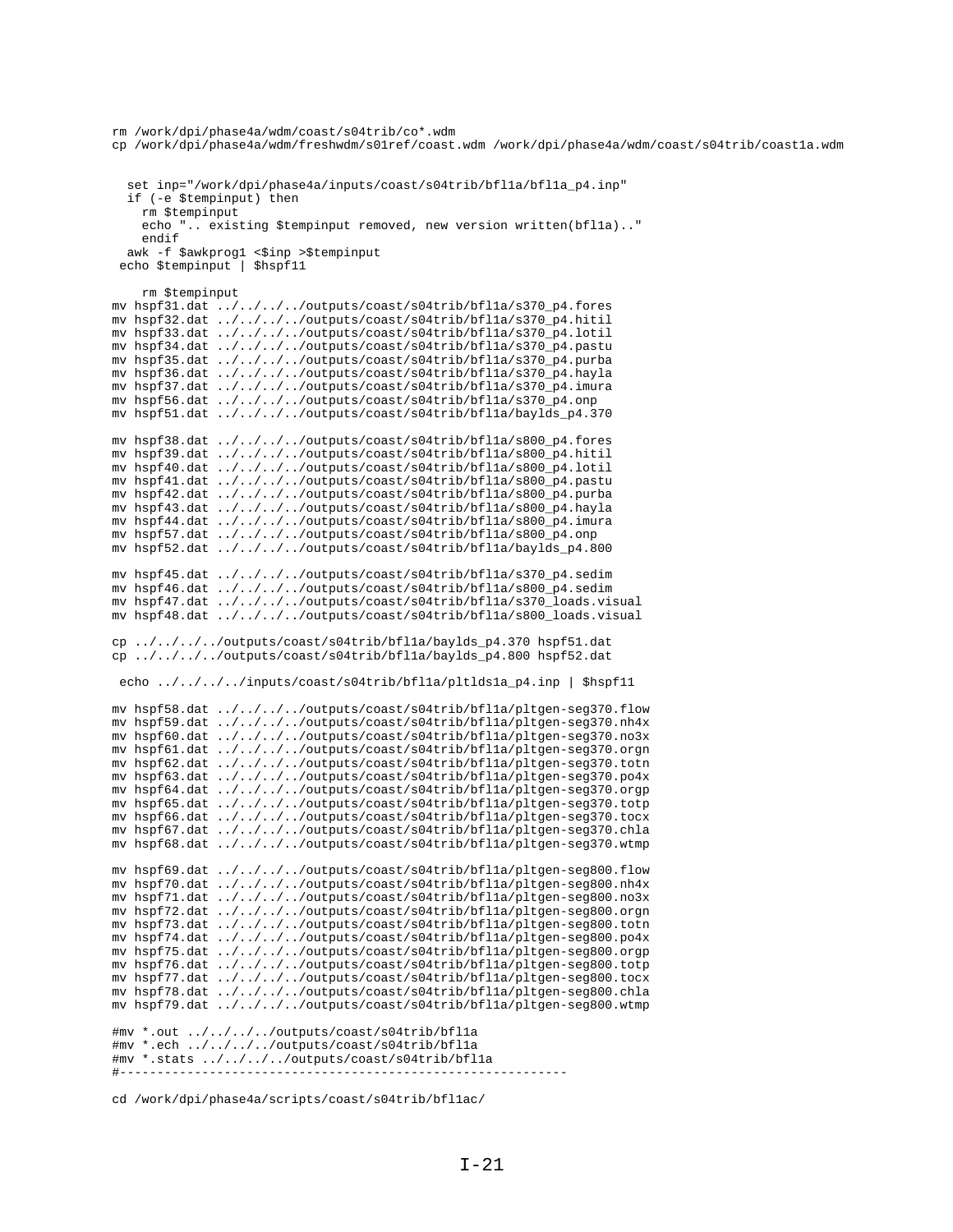```
cp /work/dpi/phase4a/wdm/freshwdm/s01ref/coast.wdm /work/dpi/phase4a/wdm/coast/s04trib/coast1a.wdm
  set inp="/work/dpi/phase4a/inputs/coast/s04trib/bflla/bflla_p4.inp"
  if (-e $tempinput) then
    rm $tempinput
    echo ".. existing $tempinput removed, new version written(bflla).."
    endifawk -f $awkprog1 <$inp >$tempinput
 echo $tempinput | $hspf11
    rm Stempinput
mv hspf31.dat ../../../../outputs/coast/s04trib/bfl1a/s370_p4.fores
my hspf32.dat ../../../../outputs/coast/s04trib/bflla/s370 p4.hitil
mv hspf33.dat ../../../../outputs/coast/s04trib/bflla/s370_p4.lotil
mv hspf34.dat ../../../../outputs/coast/s04trib/bflla/s370_p4.pastu
mv hspf35.dat ../../../../outputs/coast/s04trib/bflla/s370_p4.purba
mv hspf36.dat ../../../../outputs/coast/s04trib/bflla/s370_p4.hayla
mv hspf37.dat ../../../../outputs/coast/s04trib/bflla/s370_p4.imura
mv hspf56.dat ../../../../outputs/coast/s04trib/bflla/s370_p4.onp
mv hspf51.dat ../../../../outputs/coast/s04trib/bflla/baylds_p4.370
mv hspf38.dat ../../../../outputs/coast/s04trib/bflla/s800_p4.fores
mv hspf39.dat ../../../../outputs/coast/s04trib/bfl1a/s800_p4.hitil
mv hspf40.dat ../../../../outputs/coast/s04trib/bflla/s800_p4.lotil
mv hspf41.dat ../../../../outputs/coast/s04trib/bf11a/s800_p4.pastu
mv hspf42.dat ../../../../outputs/coast/s04trib/bfl1a/s800_p4.purba
mv hspf43.dat ../../../../outputs/coast/s04trib/bflla/s800_p4.hayla
mv hspf44.dat ../../../../outputs/coast/s04trib/bflla/s800_p4.imura
mv hspf57.dat ../../../../outputs/coast/s04trib/bfl1a/s800_p4.onp<br>mv hspf52.dat ../../../../outputs/coast/s04trib/bfl1a/baylds_p4.800
mv hspf45.dat ../../../../outputs/coast/s04trib/bflla/s370_p4.sedim
mv hspf46.dat ../../../../outputs/coast/s04trib/bfl1a/s800_p4.sedim
mv hspf47.dat ../../../../outputs/coast/s04trib/bflla/s370_loads.visual
mv hspf48.dat ../../../../outputs/coast/s04trib/bflla/s800_loads.visual
cp ../../../../outputs/coast/s04trib/bflla/baylds_p4.370 hspf51.dat
cp ../../../../outputs/coast/s04trib/bflla/baylds_p4.800 hspf52.dat
echo ../../../../inputs/coast/s04trib/bfl1a/plt1ds1a p4.inp | $hspf11
mv hspf58.dat ../../../../outputs/coast/s04trib/bflla/pltgen-seg370.flow
mv hspf59.dat ../../../../outputs/coast/s04trib/bfl1a/pltgen-seg370.nh4x
mv hspf60.dat ../../../../outputs/coast/s04trib/bflla/pltgen-seg370.no3x
mv hspf61.dat ../../../../outputs/coast/s04trib/bfl1a/pltgen-seg370.orgn
mv hspf62.dat ../../../../outputs/coast/s04trib/bfl1a/pltgen-seg370.totn
mv hspf63.dat ../../../../outputs/coast/s04trib/bfl1a/pltgen-seg370.po4x
mv hspf64.dat ../../../../outputs/coast/s04trib/bflla/pltgen-seg370.orgp
mv hspf65.dat ../../../../outputs/coast/s04trib/bfl1a/pltgen-seg370.totp
mv hspf66.dat ../../../../outputs/coast/s04trib/bfl1a/pltgen-seg370.tocx
mv hspf67.dat \ldots/.../../outputs/coast/s04trib/bflla/pltgen-seg370.chla<br>mv hspf68.dat \ldots/.../.../outputs/coast/s04trib/bflla/pltgen-seg370.chla
mv hspf69.dat ../../../../outputs/coast/s04trib/bflla/pltgen-seg800.flow<br>mv hspf70.dat ../../../../outputs/coast/s04trib/bflla/pltgen-seg800.nh4x
mv hspf71.dat ../../../../outputs/coast/s04trib/bfl1a/pltgen-seg800.no3x
mv hspf72.dat ../../../../outputs/coast/s04trib/bfl1a/pltgen-seg800.orgn
mv hspf73.dat ../../../../outputs/coast/s04trib/bfl1a/pltgen-seg800.totn
mv hspf74.dat ../../../../outputs/coast/s04trib/bflla/pltgen-seq800.po4x
mv hspf75.dat ../../../../outputs/coast/s04trib/bflla/pltgen-seg800.orgp
mv hspf76.dat ../../../../outputs/coast/s04trib/bflla/pltgen-seg800.totp
mv hspf77.dat ../../../../outputs/coast/s04trib/bflla/pltgen-seg800.tocx
mv hspf78.dat ../../../../outputs/coast/s04trib/bflla/pltgen-seq800.chla
mv hspf79.dat ../../../../outputs/coast/s04trib/bflla/pltgen-seg800.wtmp
#mv *.out ../../../../outputs/coast/s04trib/bflla
#mv *.ech ../../../../outputs/coast/s04trib/bflla
#mv *.stats ../../../../outputs/coast/s04trib/bflla
```

```
cd /work/dpi/phase4a/scripts/coast/s04trib/bfllac/
```
rm /work/dpi/phase4a/wdm/coast/s04trib/co\*.wdm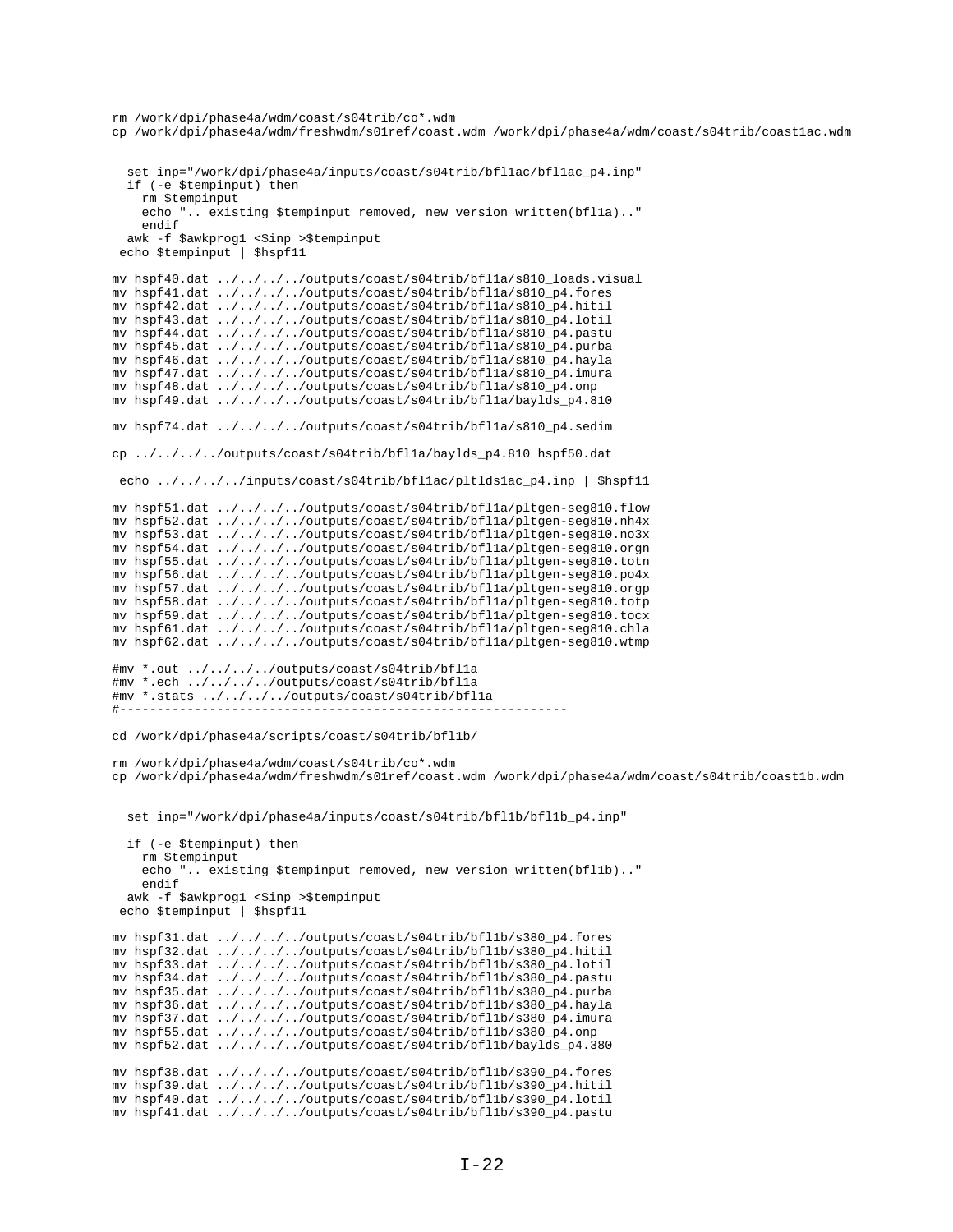```
rm /work/dpi/phase4a/wdm/coast/s04trib/co*.wdm
cp /work/dpi/phase4a/wdm/freshwdm/s01ref/coast.wdm /work/dpi/phase4a/wdm/coast/s04trib/coast1ac.wdm
   set inp="/work/dpi/phase4a/inputs/coast/s04trib/bfl1ac/bfl1ac_p4.inp"
   if (-e $tempinput) then
     rm $tempinput
    echo ".. existing $tempinput removed, new version written(bflla).."
     endif
  awk -f $awkprog1 <$inp >$tempinput
  echo $tempinput | $hspf11
mv hspf40.dat ../../../../outputs/coast/s04trib/bfl1a/s810_loads.visual
mv hspf41.dat ../../../../outputs/coast/s04trib/bfl1a/s810_p4.fores
mv hspf42.dat ../../../../outputs/coast/s04trib/bfl1a/s810_p4.hitil
mv hspf43.dat ../../../../outputs/coast/s04trib/bfl1a/s810_p4.lotil
mv hspf44.dat ../../../../outputs/coast/s04trib/bfl1a/s810_p4.pastu
mv hspf45.dat ../../../../outputs/coast/s04trib/bfl1a/s810_p4.purba
mv hspf46.dat ../../../../outputs/coast/s04trib/bfl1a/s810_p4.hayla
mv hspf47.dat ../../../../outputs/coast/s04trib/bfl1a/s810_p4.imura
mv hspf48.dat ../../../../outputs/coast/s04trib/bfl1a/s810_p4.onp
mv hspf49.dat ../../../../outputs/coast/s04trib/bfl1a/baylds_p4.810
mv hspf74.dat ../../../../outputs/coast/s04trib/bfl1a/s810_p4.sedim
cp ../../../../outputs/coast/s04trib/bfl1a/baylds_p4.810 hspf50.dat
 echo ../../../../inputs/coast/s04trib/bfl1ac/pltlds1ac_p4.inp | $hspf11
mv hspf51.dat ../../../../outputs/coast/s04trib/bfl1a/pltgen-seg810.flow
mv hspf52.dat ../../../../outputs/coast/s04trib/bfl1a/pltgen-seg810.nh4x
mv hspf53.dat ../../../../outputs/coast/s04trib/bfl1a/pltgen-seg810.no3x
mv hspf54.dat ../../../../outputs/coast/s04trib/bfl1a/pltgen-seg810.orgn
mv hspf55.dat ../../../../outputs/coast/s04trib/bfl1a/pltgen-seg810.totn
mv hspf56.dat ../../../../outputs/coast/s04trib/bfl1a/pltgen-seg810.po4x
mv hspf57.dat ../../../../outputs/coast/s04trib/bfl1a/pltgen-seg810.orgp
mv hspf58.dat ../../../../outputs/coast/s04trib/bfl1a/pltgen-seg810.totp
mv hspf59.dat ../../../../outputs/coast/s04trib/bfl1a/pltgen-seg810.tocx
mv hspf61.dat ../../../../outputs/coast/s04trib/bfl1a/pltgen-seg810.chla
mv hspf62.dat ../../../../outputs/coast/s04trib/bfl1a/pltgen-seg810.wtmp
#mv *.out ../../../../outputs/coast/s04trib/bfl1a
#mv *.ech ../../../../outputs/coast/s04trib/bfl1a
#mv *.stats ../../../../outputs/coast/s04trib/bfl1a
#------------------------------------------------------------
cd /work/dpi/phase4a/scripts/coast/s04trib/bfl1b/
rm /work/dpi/phase4a/wdm/coast/s04trib/co*.wdm
cp /work/dpi/phase4a/wdm/freshwdm/s01ref/coast.wdm /work/dpi/phase4a/wdm/coast/s04trib/coast1b.wdm
   set inp="/work/dpi/phase4a/inputs/coast/s04trib/bfl1b/bfl1b_p4.inp"
   if (-e $tempinput) then
     rm $tempinput
     echo ".. existing $tempinput removed, new version written(bfl1b).."
     endif
  awk -f $awkprog1 <$inp >$tempinput
  echo $tempinput | $hspf11
mv hspf31.dat ../../../../outputs/coast/s04trib/bfl1b/s380_p4.fores
mv hspf32.dat ../../../../outputs/coast/s04trib/bfl1b/s380_p4.hitil
mv hspf33.dat ../../../../outputs/coast/s04trib/bfl1b/s380_p4.lotil
mv hspf34.dat ../../../../outputs/coast/s04trib/bfl1b/s380_p4.pastu
mv hspf35.dat ../../../../outputs/coast/s04trib/bfl1b/s380_p4.purba
mv hspf36.dat ../../../../outputs/coast/s04trib/bfl1b/s380_p4.hayla
mv hspf37.dat ../../../../outputs/coast/s04trib/bfl1b/s380_p4.imura
mv hspf55.dat ../../../../outputs/coast/s04trib/bfl1b/s380_p4.onp
mv hspf52.dat ../../../../outputs/coast/s04trib/bfl1b/baylds_p4.380
mv hspf38.dat ../../../../outputs/coast/s04trib/bfl1b/s390_p4.fores
mv hspf39.dat ../../../../outputs/coast/s04trib/bfl1b/s390_p4.hitil
mv hspf40.dat ../../../../outputs/coast/s04trib/bfl1b/s390_p4.lotil
mv hspf41.dat ../../../../outputs/coast/s04trib/bfl1b/s390_p4.pastu
```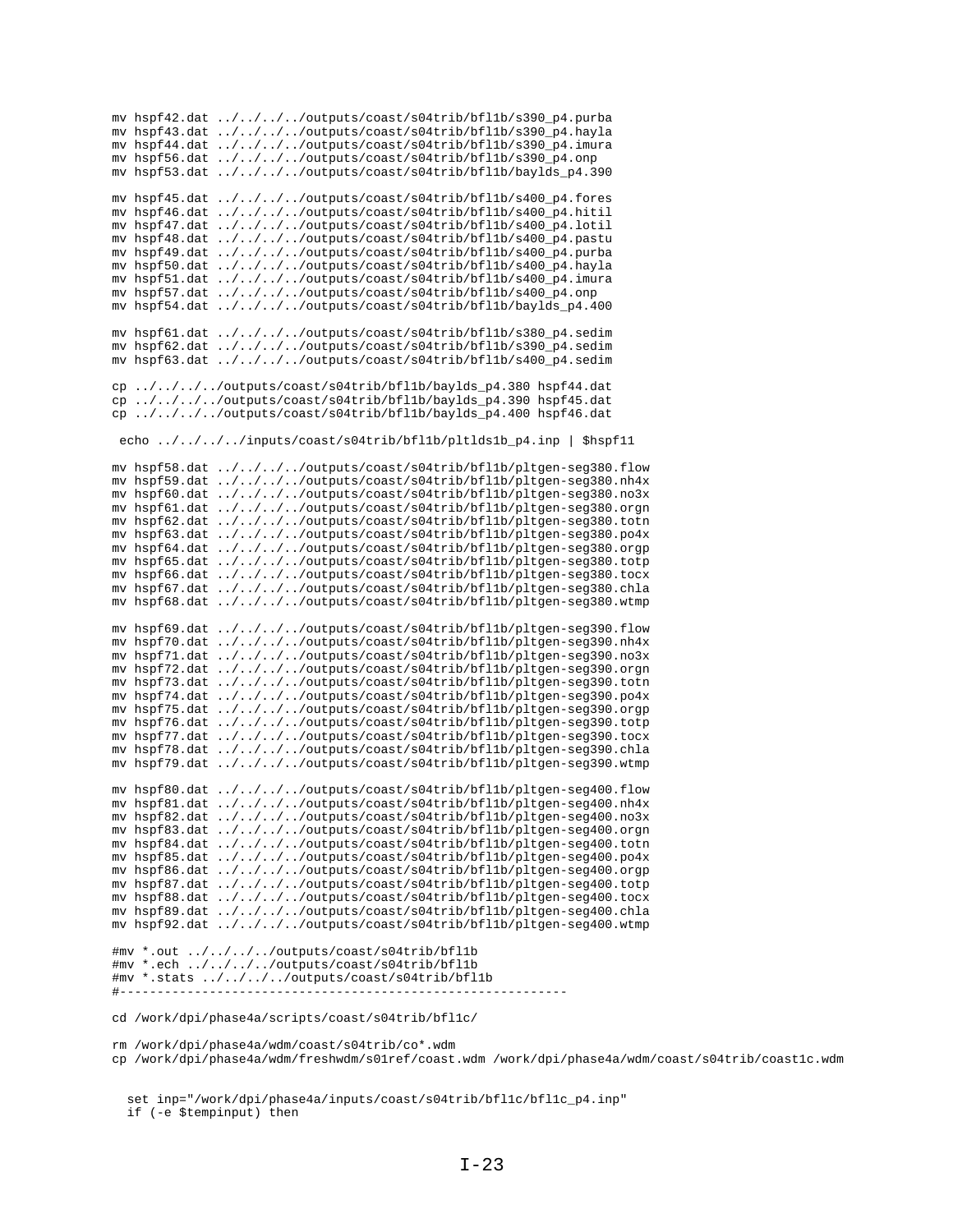mv hspf42.dat ../../../../outputs/coast/s04trib/bfl1b/s390\_p4.purba mv hspf43.dat ../../../../outputs/coast/s04trib/bfl1b/s390\_p4.hayla mv hspf44.dat ../../../../outputs/coast/s04trib/bfl1b/s390\_p4.imura mv hspf56.dat ../../../../outputs/coast/s04trib/bfl1b/s390\_p4.onp mv hspf53.dat ../../../../outputs/coast/s04trib/bfl1b/baylds\_p4.390 mv hspf45.dat ../../../../outputs/coast/s04trib/bfl1b/s400\_p4.fores mv hspf46.dat ../../../../outputs/coast/s04trib/bfl1b/s400\_p4.hitil mv hspf47.dat ../../../../outputs/coast/s04trib/bfl1b/s400\_p4.lotil mv hspf48.dat ../../../../outputs/coast/s04trib/bfl1b/s400\_p4.pastu mv hspf49.dat ../../../../outputs/coast/s04trib/bfl1b/s400\_p4.purba mv hspf50.dat ../../../../outputs/coast/s04trib/bfl1b/s400\_p4.hayla mv hspf51.dat ../../../../outputs/coast/s04trib/bfl1b/s400\_p4.imura mv hspf57.dat ../../../../outputs/coast/s04trib/bfl1b/s400\_p4.onp mv hspf54.dat ../../../../outputs/coast/s04trib/bfl1b/baylds\_p4.400 mv hspf61.dat ../../../../outputs/coast/s04trib/bfl1b/s380\_p4.sedim mv hspf62.dat ../../../../outputs/coast/s04trib/bfl1b/s390\_p4.sedim mv hspf63.dat ../../../../outputs/coast/s04trib/bfl1b/s400\_p4.sedim cp ../../../../outputs/coast/s04trib/bfl1b/baylds\_p4.380 hspf44.dat cp ../../../../outputs/coast/s04trib/bfl1b/baylds\_p4.390 hspf45.dat cp ../../../../outputs/coast/s04trib/bfl1b/baylds\_p4.400 hspf46.dat echo ../../../../inputs/coast/s04trib/bfl1b/pltlds1b\_p4.inp | \$hspf11 mv hspf58.dat ../../../../outputs/coast/s04trib/bfl1b/pltgen-seg380.flow mv hspf59.dat ../../../../outputs/coast/s04trib/bfl1b/pltgen-seg380.nh4x mv hspf60.dat ../../../../outputs/coast/s04trib/bfl1b/pltgen-seg380.no3x mv hspf61.dat ../../../../outputs/coast/s04trib/bfl1b/pltgen-seg380.orgn mv hspf62.dat ../../../../outputs/coast/s04trib/bfl1b/pltgen-seg380.totn mv hspf63.dat ../../../../outputs/coast/s04trib/bfl1b/pltgen-seg380.po4x mv hspf64.dat ../../../../outputs/coast/s04trib/bfl1b/pltgen-seg380.orgp mv hspf65.dat ../../../../outputs/coast/s04trib/bfl1b/pltgen-seg380.totp mv hspf66.dat ../../../../outputs/coast/s04trib/bfl1b/pltgen-seg380.tocx mv hspf67.dat ../../../../outputs/coast/s04trib/bfl1b/pltgen-seg380.chla mv hspf68.dat ../../../../outputs/coast/s04trib/bfl1b/pltgen-seg380.wtmp mv hspf69.dat ../../../../outputs/coast/s04trib/bfl1b/pltgen-seg390.flow mv hspf70.dat ../../../../outputs/coast/s04trib/bfl1b/pltgen-seg390.nh4x mv hspf71.dat ../../../../outputs/coast/s04trib/bfl1b/pltgen-seg390.no3x mv hspf72.dat ../../../../outputs/coast/s04trib/bfl1b/pltgen-seg390.orgn mv hspf73.dat ../../../../outputs/coast/s04trib/bfl1b/pltgen-seg390.totn mv hspf74.dat ../../../../outputs/coast/s04trib/bfl1b/pltgen-seg390.po4x mv hspf75.dat ../../../../outputs/coast/s04trib/bfl1b/pltgen-seg390.orgp mv hspf76.dat ../../../../outputs/coast/s04trib/bfl1b/pltgen-seg390.totp mv hspf77.dat ../../../../outputs/coast/s04trib/bfl1b/pltgen-seg390.tocx mv hspf78.dat ../../../../outputs/coast/s04trib/bfl1b/pltgen-seg390.chla mv hspf79.dat ../../../../outputs/coast/s04trib/bfl1b/pltgen-seg390.wtmp mv hspf80.dat ../../../../outputs/coast/s04trib/bfl1b/pltgen-seg400.flow mv hspf81.dat ../../../../outputs/coast/s04trib/bfl1b/pltgen-seg400.nh4x mv hspf82.dat ../../../../outputs/coast/s04trib/bfl1b/pltgen-seg400.no3x mv hspf83.dat ../../../../outputs/coast/s04trib/bfl1b/pltgen-seg400.orgn mv hspf84.dat ../../../../outputs/coast/s04trib/bfl1b/pltgen-seg400.totn mv hspf85.dat ../../../../outputs/coast/s04trib/bfl1b/pltgen-seg400.po4x mv hspf86.dat ../../../../outputs/coast/s04trib/bfl1b/pltgen-seg400.orgp mv hspf87.dat ../../../../outputs/coast/s04trib/bfl1b/pltgen-seg400.totp mv hspf88.dat ../../../../outputs/coast/s04trib/bfl1b/pltgen-seg400.tocx mv hspf89.dat ../../../../outputs/coast/s04trib/bfl1b/pltgen-seg400.chla mv hspf92.dat ../../../../outputs/coast/s04trib/bfl1b/pltgen-seg400.wtmp #mv \*.out ../../../../outputs/coast/s04trib/bfl1b #mv \*.ech ../../../../outputs/coast/s04trib/bfl1b #mv \*.stats ../../../../outputs/coast/s04trib/bfl1b #----------------------------------------------------------- cd /work/dpi/phase4a/scripts/coast/s04trib/bfl1c/ rm /work/dpi/phase4a/wdm/coast/s04trib/co\*.wdm cp /work/dpi/phase4a/wdm/freshwdm/s01ref/coast.wdm /work/dpi/phase4a/wdm/coast/s04trib/coast1c.wdm

 set inp="/work/dpi/phase4a/inputs/coast/s04trib/bfl1c/bfl1c\_p4.inp" if (-e \$tempinput) then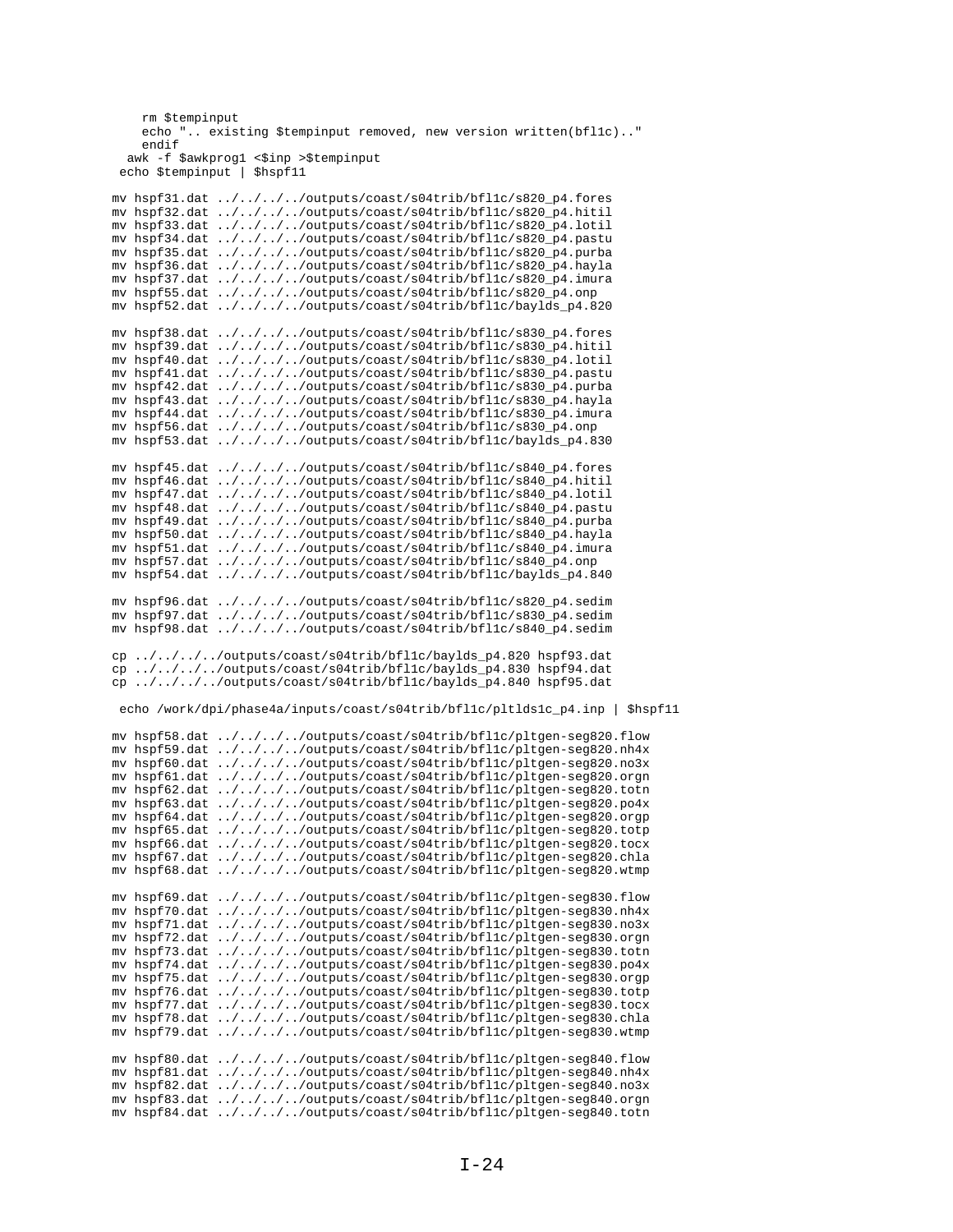```
rm $tempinput
    echo ".. existing $tempinput removed, new version written(bfllc).."
    endif
  awk -f $awkprog1 <$inp >$tempinput
 echo $tempinput | $hspf11
mv hspf31.dat ../../../../outputs/coast/s04trib/bfllc/s820_p4.fores
mv hspf32.dat ../../../../outputs/coast/s04trib/bfl1c/s820_p4.hitil
mv hspf33.dat ../../../../outputs/coast/s04trib/bfllc/s820_p4.lotil
mv hspf34.dat ../../../../outputs/coast/s04trib/bfllc/s820_p4.pastu
mv hspf35.dat ../../../../outputs/coast/s04trib/bfllc/s820_p4.purba
mv hspf36.dat ../../../../outputs/coast/s04trib/bfl1c/s820_p4.hayla
mv hspf37.dat ../../../../outputs/coast/s04trib/bfl1c/s820_p4.imura
mv hspf55.dat ../../../../outputs/coast/s04trib/bfl1c/s820_p4.onp
mv hspf52.dat ../../../../outputs/coast/s04trib/bfllc/baylds_p4.820
mv hspf38.dat ../../../../outputs/coast/s04trib/bfl1c/s830_p4.fores
mv hspf39.dat ../../../../outputs/coast/s04trib/bfl1c/s830_p4.hitil
mv hspf40.dat ../../../../outputs/coast/s04trib/bfllc/s830_p4.lotil
mv hspf41.dat ../../../../outputs/coast/s04trib/bfllc/s830_p4.pastu
mv hspf42.dat ../../../../outputs/coast/s04trib/bfllc/s830_p4.purba
mv hspf43.dat ../../../../outputs/coast/s04trib/bfllc/s830_p4.hayla
mv hspf44.dat ../../../../outputs/coast/s04trib/bfllc/s830_p4.imura
mv hspf56.dat ../../../../outputs/coast/s04trib/bfl1c/s830_p4.onp<br>mv hspf53.dat ../../../../outputs/coast/s04trib/bfl1c/baylds_p4.830
mv hspf45.dat ../../../../outputs/coast/s04trib/bfllc/s840_p4.fores
mv hspf46.dat ../../../../outputs/coast/s04trib/bfl1c/s840_p4.hitil
mv hspf47.dat ../../../../outputs/coast/s04trib/bfllc/s840_p4.lotil
mv hspf48.dat ../../../../outputs/coast/s04trib/bfllc/s840_p4.pastu
mv hspf49.dat ../../../../outputs/coast/s04trib/bfllc/s840_p4.purba
mv hspf50.dat ../../../../outputs/coast/s04trib/bfl1c/s840_p4.hayla<br>mv hspf51.dat ../../../../outputs/coast/s04trib/bfl1c/s840_p4.hayla
mv hspf57.dat ../../../../outputs/coast/s04trib/bfl1c/s840_p4.onp
mv hspf54.dat ../../../../outputs/coast/s04trib/bfl1c/baylds_p4.840
mv hspf96.dat ../../../../outputs/coast/s04trib/bfllc/s820_p4.sedim
mv hspf97.dat ../../../../outputs/coast/s04trib/bfl1c/s830_p4.sedim<br>mv hspf97.dat ../../../../outputs/coast/s04trib/bfl1c/s830_p4.sedim<br>mv hspf98.dat ../../../../outputs/coast/s04trib/bfl1c/s840_p4.sedim
cp.../.../.../outputs/coast/s04trib/bfllc/baylds_p4.820 hspf93.dat
cp ../../../../outputs/coast/s04trib/bfllc/baylds_p4.830 hspf94.dat
\overline{cp} ../../../../outputs/coast/s04trib/bfl1c/baylds p4.840 hspf95.dat
 echo /work/dpi/phase4a/inputs/coast/s04trib/bfl1c/pltlds1c_p4.inp | $hspf11
mv hspf58.dat ../../../../outputs/coast/s04trib/bfl1c/pltgen-seg820.flow
mv hspf59.dat ../../../../outputs/coast/s04trib/bfllc/pltgen-seg820.nh4x
mv hspf60.dat ../../../../outputs/coast/s04trib/bfl1c/pltgen-seg820.no3x
mv hspf61.dat ../../../../outputs/coast/s04trib/bfl1c/pltgen-seg820.orgn
mv hspf62.dat ../../../../outputs/coast/s04trib/bfl1c/pltgen-seg820.totn
mv hspf63.dat ../../../../outputs/coast/s04trib/bfl1c/pltgen-seg820.po4x
mv hspf64.dat ../../../../outputs/coast/s04trib/bfl1c/pltgen-seg820.orgp
mv hspf65.dat ../../../../outputs/coast/s04trib/bfl1c/pltgen-seg820.totp
mv hspf66.dat ../../../../outputs/coast/s04trib/bfllc/pltgen-seg820.tocx
mv hspf67.dat ../../../../outputs/coast/s04trib/bfl1c/pltgen-seg820.chla
mv hspf68.dat ../../../../outputs/coast/s04trib/bfllc/pltgen-seg820.wtmp
mv hspf69.dat ../../../../outputs/coast/s04trib/bfl1c/pltgen-seg830.flow
mv hspf70.dat ../../../../outputs/coast/s04trib/bfl1c/pltgen-seg830.nh4x
mv hspf71.dat ../../../../outputs/coast/s04trib/bfl1c/pltgen-seg830.no3x
mv hspf72.dat ../../../../outputs/coast/s04trib/bfl1c/pltgen-seq830.orgn
mv hspf73.dat ../../../../outputs/coast/s04trib/bfl1c/pltgen-seg830.totn
mv hspf74.dat ../../../../outputs/coast/s04trib/bfllc/pltgen-seg830.po4x
mv hspf75.dat ../../../../outputs/coast/s04trib/bfllc/pltgen-seg830.orgp
mv hspf76.dat ../../../../outputs/coast/s04trib/bfl1c/pltgen-seg830.totp
mv hspf77.dat ../../../../outputs/coast/s04trib/bfl1c/pltgen-seg830.tocx
mv hspf78.dat ../../../../outputs/coast/s04trib/bfllc/pltgen-seg830.chla
mv hspf79.dat ../../../../outputs/coast/s04trib/bfllc/pltgen-seg830.wtmp
mv hspf80.dat ../../../../outputs/coast/s04trib/bfl1c/pltgen-seg840.flow
mv hspf81.dat ../../../../outputs/coast/s04trib/bfl1c/pltgen-seg840.nh4x
mv hspf82.dat ../../../../outputs/coast/s04trib/bfl1c/pltgen-seg840.no3x
mv hspf83.dat ../../../../outputs/coast/s04trib/bfl1c/pltgen-seg840.orgn
mv hspf84.dat ../../../../outputs/coast/s04trib/bfllc/pltgen-seg840.totn
```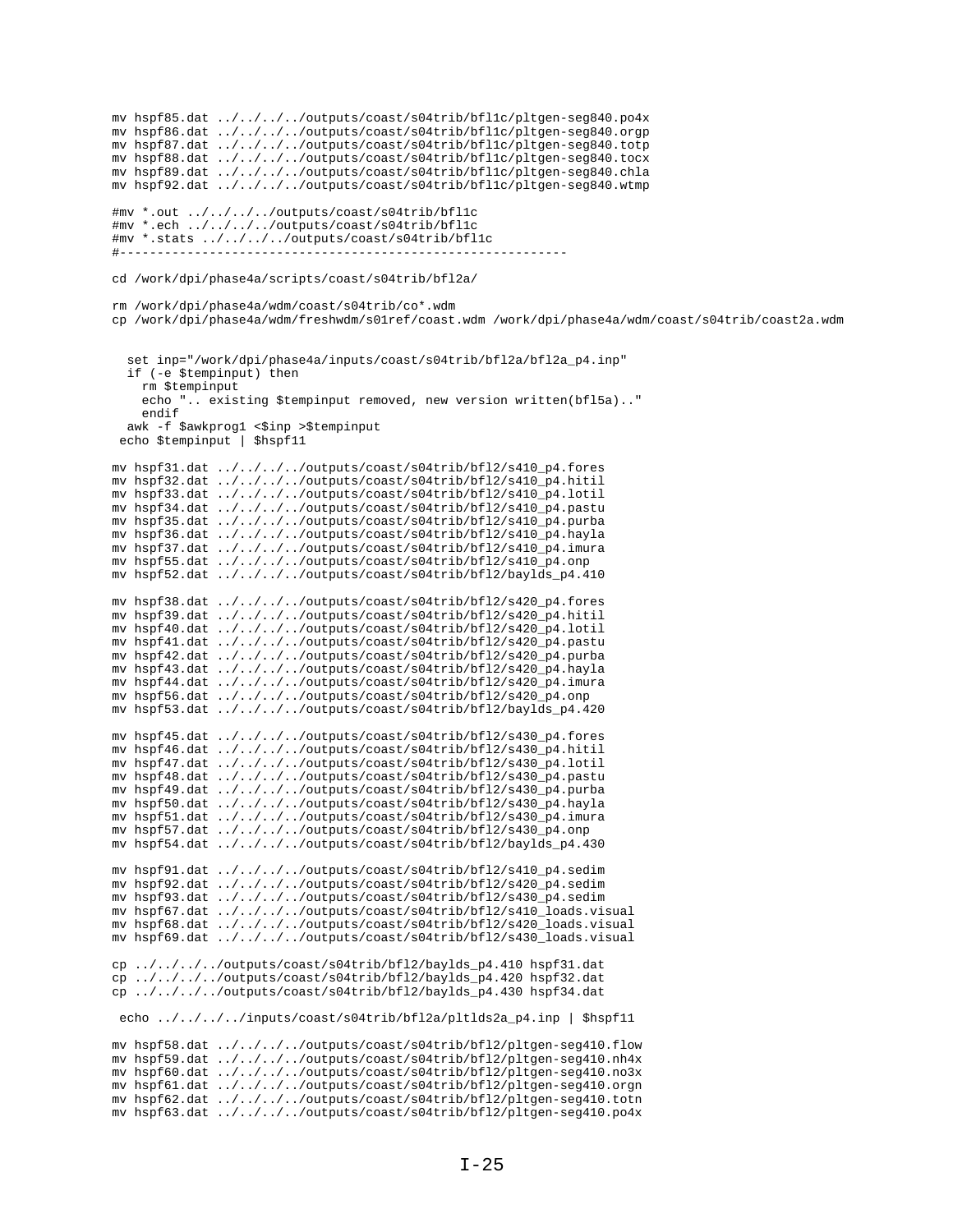```
mv hspf85.dat ../../../../outputs/coast/s04trib/bfl1c/pltgen-seg840.po4x
mv hspf86.dat ../../../../outputs/coast/s04trib/bfl1c/pltgen-seg840.orgp
mv hspf87.dat ../../../../outputs/coast/s04trib/bfl1c/pltgen-seg840.totp
mv hspf88.dat ../../../../outputs/coast/s04trib/bfl1c/pltgen-seg840.tocx
mv hspf89.dat ../../../../outputs/coast/s04trib/bfl1c/pltgen-seg840.chla
mv hspf92.dat ../../../../outputs/coast/s04trib/bfl1c/pltgen-seg840.wtmp
#mv *.out ../../../../outputs/coast/s04trib/bfl1c
#mv *.ech ../../../../outputs/coast/s04trib/bfl1c
#mv *.stats ../../../../outputs/coast/s04trib/bfl1c
#------------------------------------------------------------
cd /work/dpi/phase4a/scripts/coast/s04trib/bfl2a/
rm /work/dpi/phase4a/wdm/coast/s04trib/co*.wdm
cp /work/dpi/phase4a/wdm/freshwdm/s01ref/coast.wdm /work/dpi/phase4a/wdm/coast/s04trib/coast2a.wdm
   set inp="/work/dpi/phase4a/inputs/coast/s04trib/bfl2a/bfl2a_p4.inp"
   if (-e $tempinput) then
     rm $tempinput
     echo ".. existing $tempinput removed, new version written(bfl5a).."
     endif
 awk -f $awkprog1 <$inp >$tempinput
 echo $tempinput | $hspf11
mv hspf31.dat ../../../../outputs/coast/s04trib/bfl2/s410_p4.fores
mv hspf32.dat ../../../../outputs/coast/s04trib/bfl2/s410_p4.hitil
mv hspf33.dat ../../../../outputs/coast/s04trib/bfl2/s410_p4.lotil
mv hspf34.dat ../../../../outputs/coast/s04trib/bfl2/s410_p4.pastu
mv hspf35.dat ../../../../outputs/coast/s04trib/bfl2/s410_p4.purba
mv hspf36.dat ../../../../outputs/coast/s04trib/bfl2/s410_p4.hayla
mv hspf37.dat ../../../../outputs/coast/s04trib/bfl2/s410_p4.imura
mv hspf55.dat ../../../../outputs/coast/s04trib/bfl2/s410_p4.onp
mv hspf52.dat ../../../../outputs/coast/s04trib/bfl2/baylds_p4.410
mv hspf38.dat ../../../../outputs/coast/s04trib/bfl2/s420_p4.fores
mv hspf39.dat ../../../../outputs/coast/s04trib/bfl2/s420_p4.hitil
mv hspf40.dat \ldots/\ldots/\ldots/outputs/coast/s04trib/bfl2/s420_p4.lotil
mv hspf41.dat ../../../../outputs/coast/s04trib/bfl2/s420_p4.pastu
mv hspf42.dat ../../../../outputs/coast/s04trib/bfl2/s420_p4.purba
mv hspf43.dat ../../../../outputs/coast/s04trib/bfl2/s420_p4.hayla
mv hspf44.dat ../../../../outputs/coast/s04trib/bfl2/s420_p4.imura
mv hspf56.dat ../../../../outputs/coast/s04trib/bfl2/s420_p4.onp
mv hspf53.dat ../../../../outputs/coast/s04trib/bfl2/baylds_p4.420
mv hspf45.dat ../../../../outputs/coast/s04trib/bfl2/s430_p4.fores
mv hspf46.dat ../../../../outputs/coast/s04trib/bfl2/s430_p4.hitil
mv hspf47.dat ../../../../outputs/coast/s04trib/bfl2/s430_p4.lotil
mv hspf48.dat ../../../../outputs/coast/s04trib/bfl2/s430_p4.pastu
mv hspf49.dat ../../../../outputs/coast/s04trib/bfl2/s430_p4.purba
mv hspf50.dat ../../../../outputs/coast/s04trib/bfl2/s430_p4.hayla
mv hspf51.dat ../../../../outputs/coast/s04trib/bfl2/s430_p4.imura
mv hspf57.dat ../../../../outputs/coast/s04trib/bfl2/s430_p4.onp
mv hspf54.dat ../../../../outputs/coast/s04trib/bfl2/baylds_p4.430
mv hspf91.dat ../../../../outputs/coast/s04trib/bfl2/s410_p4.sedim
mv hspf92.dat ../../../../outputs/coast/s04trib/bfl2/s420_p4.sedim
mv hspf93.dat ../../../../outputs/coast/s04trib/bfl2/s430_p4.sedim
mv hspf67.dat ../../../../outputs/coast/s04trib/bfl2/s410_loads.visual
mv hspf68.dat ../../../../outputs/coast/s04trib/bfl2/s420_loads.visual
mv hspf69.dat ../../../../outputs/coast/s04trib/bfl2/s430_loads.visual
cp ../../../../outputs/coast/s04trib/bfl2/baylds_p4.410 hspf31.dat
cp ../../../../outputs/coast/s04trib/bfl2/baylds_p4.420 hspf32.dat
cp ../../../../outputs/coast/s04trib/bfl2/baylds_p4.430 hspf34.dat 
 echo ../../../../inputs/coast/s04trib/bfl2a/pltlds2a_p4.inp | $hspf11
mv hspf58.dat ../../../../outputs/coast/s04trib/bfl2/pltgen-seg410.flow
mv hspf59.dat ../../../../outputs/coast/s04trib/bfl2/pltgen-seg410.nh4x
mv hspf60.dat ../../../../outputs/coast/s04trib/bfl2/pltgen-seg410.no3x
mv hspf61.dat ../../../../outputs/coast/s04trib/bfl2/pltgen-seg410.orgn
mv hspf62.dat ../../../../outputs/coast/s04trib/bfl2/pltgen-seg410.totn
mv hspf63.dat ../../../../outputs/coast/s04trib/bfl2/pltgen-seg410.po4x
```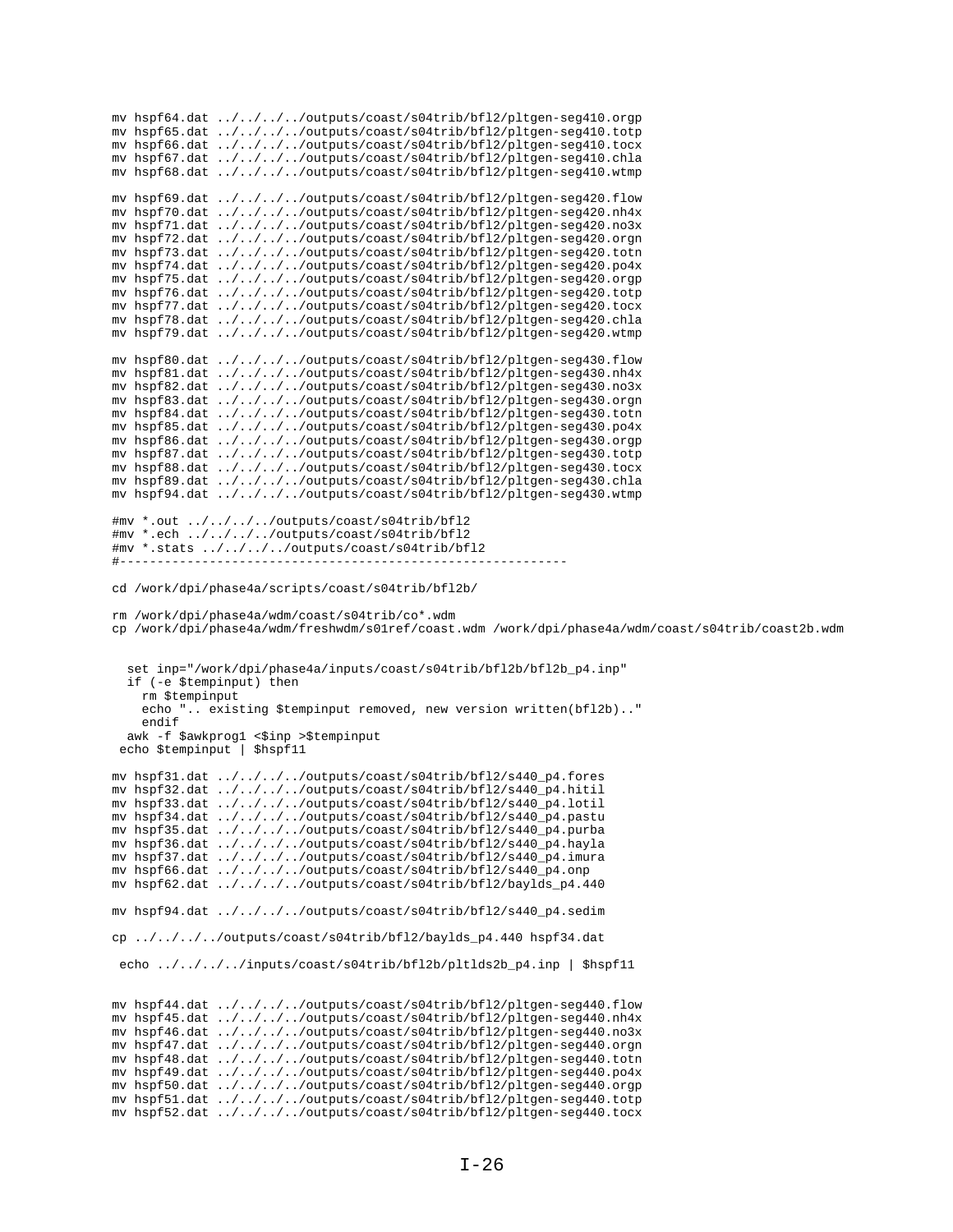```
mv hspf64.dat ../../../../outputs/coast/s04trib/bfl2/pltgen-seg410.orgp
mv hspf65.dat ../../../../outputs/coast/s04trib/bfl2/pltgen-seg410.totp
mv hspf66.dat ../../../../outputs/coast/s04trib/bfl2/pltgen-seg410.tocx
mv hspf67.dat ../../../../outputs/coast/s04trib/bfl2/pltgen-seg410.chla
mv hspf68.dat ../../../../outputs/coast/s04trib/bfl2/pltgen-seg410.wtmp
mv hspf69.dat ../../../../outputs/coast/s04trib/bfl2/pltgen-seg420.flow
mv hspf70.dat ../../../../outputs/coast/s04trib/bfl2/pltgen-seg420.nh4x
mv hspf71.dat ../../../../outputs/coast/s04trib/bfl2/pltgen-seg420.no3x
mv hspf72.dat ../../../../outputs/coast/s04trib/bfl2/pltgen-seg420.orgn
mv hspf73.dat ../../../../outputs/coast/s04trib/bfl2/pltgen-seg420.totn
mv hspf74.dat ../../../../outputs/coast/s04trib/bfl2/pltgen-seg420.po4x
mv hspf75.dat ../../../../outputs/coast/s04trib/bfl2/pltgen-seg420.orgp
mv hspf76.dat ../../../../outputs/coast/s04trib/bfl2/pltgen-seg420.totp
mv hspf77.dat ../../../../outputs/coast/s04trib/bfl2/pltgen-seg420.tocx
mv hspf78.dat ../../../../outputs/coast/s04trib/bfl2/pltgen-seg420.chla
mv hspf79.dat ../../../../outputs/coast/s04trib/bfl2/pltgen-seg420.wtmp
mv hspf80.dat ../../../../outputs/coast/s04trib/bfl2/pltgen-seg430.flow
mv hspf81.dat ../../../../outputs/coast/s04trib/bfl2/pltgen-seg430.nh4x
mv hspf82.dat ../../../../outputs/coast/s04trib/bfl2/pltgen-seg430.no3x
mv hspf83.dat ../../../../outputs/coast/s04trib/bfl2/pltgen-seg430.orgn
mv hspf84.dat ../../../../outputs/coast/s04trib/bfl2/pltgen-seg430.totn
mv hspf85.dat ../../../../outputs/coast/s04trib/bfl2/pltgen-seg430.po4x
mv hspf86.dat ../../../../outputs/coast/s04trib/bfl2/pltgen-seg430.orgp
mv hspf87.dat ../../../../outputs/coast/s04trib/bfl2/pltgen-seg430.totp
mv hspf88.dat ../../../../outputs/coast/s04trib/bfl2/pltgen-seg430.tocx
mv hspf89.dat ../../../../outputs/coast/s04trib/bfl2/pltgen-seg430.chla
mv hspf94.dat ../../../../outputs/coast/s04trib/bfl2/pltgen-seg430.wtmp
#mv *.out ../../../../outputs/coast/s04trib/bfl2
#mv *.ech ../../../../outputs/coast/s04trib/bfl2
#mv *.stats ../../../../outputs/coast/s04trib/bfl2
#------------------------------------------------------------
cd /work/dpi/phase4a/scripts/coast/s04trib/bfl2b/
rm /work/dpi/phase4a/wdm/coast/s04trib/co*.wdm
cp /work/dpi/phase4a/wdm/freshwdm/s01ref/coast.wdm /work/dpi/phase4a/wdm/coast/s04trib/coast2b.wdm
   set inp="/work/dpi/phase4a/inputs/coast/s04trib/bfl2b/bfl2b_p4.inp"
   if (-e $tempinput) then
    rm $tempinput
     echo ".. existing $tempinput removed, new version written(bfl2b).."
     endif
  awk -f $awkprog1 <$inp >$tempinput
 echo $tempinput | $hspf11
mv hspf31.dat ../../../../outputs/coast/s04trib/bfl2/s440_p4.fores
mv hspf32.dat ../../../../outputs/coast/s04trib/bfl2/s440_p4.hitil
mv hspf33.dat ../../../../outputs/coast/s04trib/bfl2/s440_p4.lotil
mv hspf34.dat ../../../../outputs/coast/s04trib/bfl2/s440_p4.pastu
mv hspf35.dat ../../../../outputs/coast/s04trib/bfl2/s440_p4.purba
mv hspf36.dat ../../../../outputs/coast/s04trib/bfl2/s440_p4.hayla
mv hspf37.dat ../../../../outputs/coast/s04trib/bfl2/s440_p4.imura
mv hspf66.dat ../../../../outputs/coast/s04trib/bfl2/s440_p4.onp
mv hspf62.dat ../../../../outputs/coast/s04trib/bfl2/baylds_p4.440
mv hspf94.dat ../../../../outputs/coast/s04trib/bfl2/s440_p4.sedim
cp ../../../../outputs/coast/s04trib/bfl2/baylds_p4.440 hspf34.dat
 echo ../../../../inputs/coast/s04trib/bfl2b/pltlds2b_p4.inp | $hspf11 
mv hspf44.dat ../../../../outputs/coast/s04trib/bfl2/pltgen-seg440.flow
mv hspf45.dat ../../../../outputs/coast/s04trib/bfl2/pltgen-seg440.nh4x
mv hspf46.dat ../../../../outputs/coast/s04trib/bfl2/pltgen-seg440.no3x
mv hspf47.dat ../../../../outputs/coast/s04trib/bfl2/pltgen-seg440.orgn
mv hspf48.dat ../../../../outputs/coast/s04trib/bfl2/pltgen-seg440.totn
mv hspf49.dat ../../../../outputs/coast/s04trib/bfl2/pltgen-seg440.po4x
mv hspf50.dat ../../../../outputs/coast/s04trib/bfl2/pltgen-seg440.orgp
```
mv hspf51.dat ../../../../outputs/coast/s04trib/bfl2/pltgen-seg440.totp mv hspf52.dat ../../../../outputs/coast/s04trib/bfl2/pltgen-seg440.tocx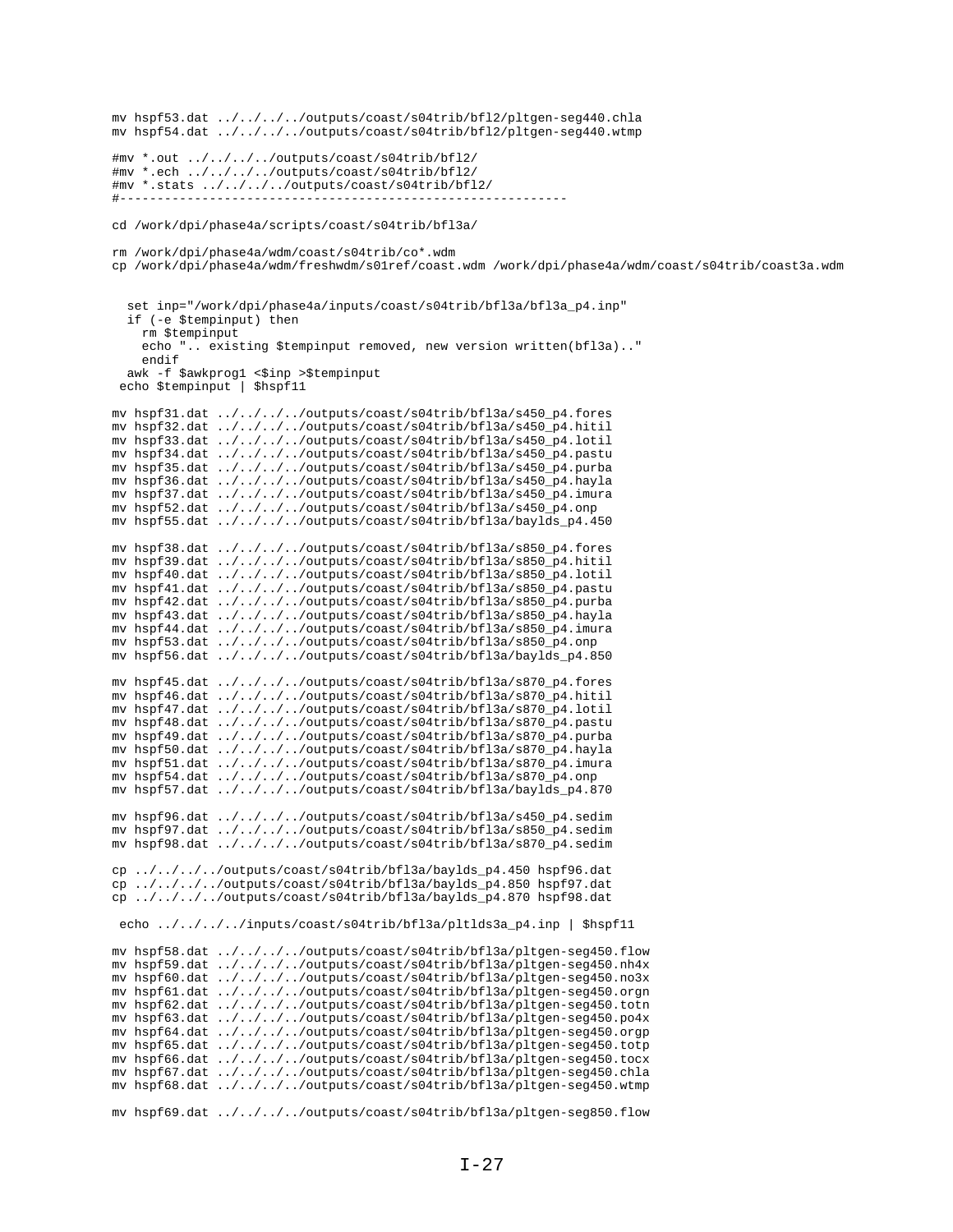```
mv hspf53.dat ../../../../outputs/coast/s04trib/bfl2/pltgen-seg440.chla
mv hspf54.dat ../../../../outputs/coast/s04trib/bf12/pltgen-seg440.wtmp
#mv *.out ../../../../outputs/coast/s04trib/bfl2/
#mv *.ech ../../../../outputs/coast/s04trib/bf12/
#mv *.stats ../../../../outputs/coast/s04trib/bfl2/
cd /work/dpi/phase4a/scripts/coast/s04trib/bfl3a/
rm /work/dpi/phase4a/wdm/coast/s04trib/co*.wdm
cp /work/dpi/phase4a/wdm/freshwdm/s01ref/coast.wdm /work/dpi/phase4a/wdm/coast/s04trib/coast3a.wdm
  set inp="/work/dpi/phase4a/inputs/coast/s04trib/bfl3a/bfl3a_p4.inp"
  if (-e $tempinput) then
    rm $tempinput
    echo ". existing $tempinput removed, new version written(bfl3a).."
    endifawk -f $awkprog1 <$inp >$tempinput
 echo $tempinput | $hspf11
mv hspf31.dat ../../../../outputs/coast/s04trib/bfl3a/s450_p4.fores
mv hspf32.dat ../../../../outputs/coast/s04trib/bfl3a/s450_p4.hitil mv hspf33.dat ../../../outputs/coast/s04trib/bfl3a/s450_p4.hitil
mv hspf34.dat ../../../../outputs/coast/s04trib/bfl3a/s450_p4.pastu
mv hspf35.dat ../../../../outputs/coast/s04trib/bfl3a/s450_p4.purba
mv hspf36.dat ../../../../outputs/coast/s04trib/bfl3a/s450_p4.hayla
mv hspf37.dat ../../../../outputs/coast/s04trib/bfl3a/s450_p4.imura
mv hspf52.dat ../../../../outputs/coast/s04trib/bfl3a/s450_p4.onp
mv hspf55.dat ../../../../outputs/coast/s04trib/bf13a/baylds_p4.450
mv hspf38.dat ../../../../outputs/coast/s04trib/bfl3a/s850_p4.fores
mv hspf39.dat ../../../../outputs/coast/s04trib/bfl3a/s850_p4.hitil
mv hspf40.dat ../../../../outputs/coast/s04trib/bfl3a/s850_p4.lotil
mv hspf41.dat ../../../../outputs/coast/s04trib/bf13a/s850_p4.pastu
mv hspf42.dat ../../../../outputs/coast/s04trib/bfl3a/s850_p4.purba
mv hspf43.dat ../../../../outputs/coast/s04trib/bf13a/s850_p4.hayla
mv hspf44.dat ../../../../outputs/coast/s04trib/bf13a/s850_p4.imura
mv hspf53.dat ../../../../outputs/coast/s04trib/bfl3a/s850_p4.onp
mv hspf56.dat ../../../../outputs/coast/s04trib/bfl3a/baylds_p4.850
mv hspf45.dat ../../../../outputs/coast/s04trib/bfl3a/s870_p4.fores
mv hspf46.dat ../../../../outputs/coast/s04trib/bf13a/s870_p4.hitil
mv hspf47.dat ../../../../outputs/coast/s04trib/bfl3a/s870_p4.lotil
mv hspf48.dat ../../../../outputs/coast/s04trib/bfl3a/s870_p4.pastu
mv hspf49.dat ../../../../outputs/coast/s04trib/bfl3a/s870_p4.purba
mv hspf50.dat ../../../../outputs/coast/s04trib/bfl3a/s870_p4.hayla
mv hspf51.dat ../../../../outputs/coast/s04trib/bf13a/s870_p4.imura
mv hspf54.dat ../../../../outputs/coast/s04trib/bfl3a/s870_p4.onp
mv hspf57.dat ../../../../outputs/coast/s04trib/bfl3a/baylds_p4.870
mv hspf96.dat ../../../../outputs/coast/s04trib/bfl3a/s450_p4.sedim
mv hspf97.dat ../../../../outputs/coast/s04trib/bf13a/s850_p4.sedim<br>mv hspf98.dat ../../../../outputs/coast/s04trib/bf13a/s850_p4.sedim<br>mv hspf98.dat ../../../../outputs/coast/s04trib/bf13a/s870_p4.sedim
cp ../../../../outputs/coast/s04trib/bfl3a/baylds_p4.450 hspf96.dat
\frac{1}{2} \frac{1}{2} \frac{1}{2} \frac{1}{2} \frac{1}{2} \frac{1}{2} \frac{1}{2} \frac{1}{2} \frac{1}{2} \frac{1}{2} \frac{1}{2} \frac{1}{2} \frac{1}{2} \frac{1}{2} \frac{1}{2} \frac{1}{2} \frac{1}{2} \frac{1}{2} \frac{1}{2} \frac{1}{2} \frac{1}{2} \frac{1}{2} cp ../../../../outputs/coast/s04trib/bfl3a/baylds_p4.870 hspf98.dat
 echo ../../../../inputs/coast/s04trib/bfl3a/pltlds3a_p4.inp | $hspf11
mv hspf58.dat ../../../../outputs/coast/s04trib/bfl3a/pltgen-seg450.flow
mv hspf59.dat ../../../../outputs/coast/s04trib/bfl3a/pltgen-seg450.nh4x
mv hspf60.dat ../../../../outputs/coast/s04trib/bfl3a/pltgen-seg450.no3x
mv hspf61.dat ../../../../outputs/coast/s04trib/bfl3a/pltgen-seg450.orgn
mv hspf62.dat ../../../../outputs/coast/s04trib/bfl3a/pltgen-seg450.totn
mv hspf63.dat ../../../../outputs/coast/s04trib/bfl3a/pltgen-seg450.po4x
mv hspf64.dat ../../../../outputs/coast/s04trib/bfl3a/pltgen-seg450.orgp
mv hspf65.dat ../../../../outputs/coast/s04trib/bfl3a/pltgen-seg450.totp
mv hspf66.dat ../../../../outputs/coast/s04trib/bfl3a/pltgen-seg450.tocx
mv hspf67.dat ../../../../outputs/coast/s04trib/bfl3a/pltgen-seg450.chla
mv hspf68.dat ../../../../outputs/coast/s04trib/bfl3a/pltgen-seg450.wtmp
mv hspf69.dat ../../../../outputs/coast/s04trib/bfl3a/pltgen-seg850.flow
```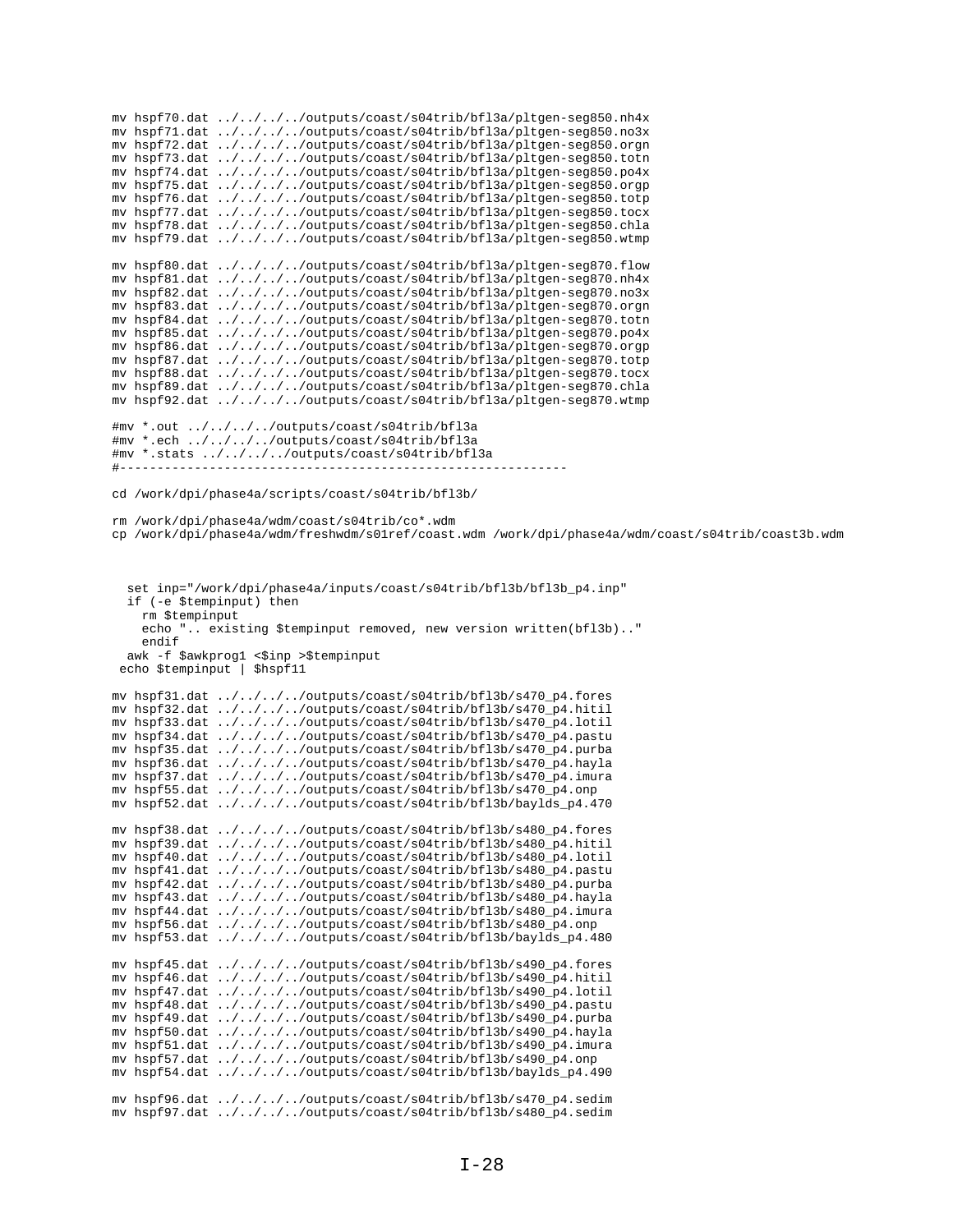mv hspf70.dat ../../../../outputs/coast/s04trib/bfl3a/pltgen-seg850.nh4x mv hspf71.dat ../../../../outputs/coast/s04trib/bfl3a/pltgen-seg850.no3x mv hspf72.dat ../../../../outputs/coast/s04trib/bfl3a/pltgen-seg850.orgn mv hspf73.dat ../../../../outputs/coast/s04trib/bfl3a/pltgen-seg850.totn mv hspf74.dat ../../../../outputs/coast/s04trib/bfl3a/pltgen-seg850.po4x mv hspf75.dat ../../../../outputs/coast/s04trib/bfl3a/pltgen-seg850.orgp mv hspf76.dat ../../../../outputs/coast/s04trib/bfl3a/pltgen-seg850.totp mv hspf77.dat ../../../../outputs/coast/s04trib/bfl3a/pltgen-seg850.tocx mv hspf78.dat ../../../../outputs/coast/s04trib/bfl3a/pltgen-seg850.chla mv hspf79.dat ../../../../outputs/coast/s04trib/bfl3a/pltgen-seg850.wtmp mv hspf80.dat ../../../../outputs/coast/s04trib/bfl3a/pltgen-seg870.flow mv hspf81.dat ../../../../outputs/coast/s04trib/bfl3a/pltgen-seg870.nh4x mv hspf82.dat ../../../../outputs/coast/s04trib/bfl3a/pltgen-seg870.no3x mv hspf83.dat ../../../../outputs/coast/s04trib/bfl3a/pltgen-seg870.orgn mv hspf84.dat ../../../../outputs/coast/s04trib/bfl3a/pltgen-seg870.totn mv hspf85.dat ../../../../outputs/coast/s04trib/bfl3a/pltgen-seg870.po4x mv hspf86.dat ../../../../outputs/coast/s04trib/bfl3a/pltgen-seg870.orgp mv hspf87.dat ../../../../outputs/coast/s04trib/bfl3a/pltgen-seg870.totp mv hspf88.dat ../../../../outputs/coast/s04trib/bfl3a/pltgen-seg870.tocx mv hspf89.dat ../../../../outputs/coast/s04trib/bfl3a/pltgen-seg870.chla mv hspf92.dat ../../../../outputs/coast/s04trib/bfl3a/pltgen-seg870.wtmp #mv \*.out ../../../../outputs/coast/s04trib/bfl3a #mv \*.ech ../../../../outputs/coast/s04trib/bfl3a #mv \*.stats ../../../../outputs/coast/s04trib/bfl3a  $\# - - - - - - - - - - -$ cd /work/dpi/phase4a/scripts/coast/s04trib/bfl3b/ rm /work/dpi/phase4a/wdm/coast/s04trib/co\*.wdm cp /work/dpi/phase4a/wdm/freshwdm/s01ref/coast.wdm /work/dpi/phase4a/wdm/coast/s04trib/coast3b.wdm set inp="/work/dpi/phase4a/inputs/coast/s04trib/bfl3b/bfl3b\_p4.inp" if (-e \$tempinput) then rm \$tempinput echo ".. existing \$tempinput removed, new version written(bfl3b).." endif awk -f \$awkprog1 <\$inp >\$tempinput echo \$tempinput | \$hspf11 mv hspf31.dat ../../../../outputs/coast/s04trib/bfl3b/s470\_p4.fores mv hspf32.dat ../../../../outputs/coast/s04trib/bfl3b/s470\_p4.hitil mv hspf33.dat ../../../../outputs/coast/s04trib/bfl3b/s470\_p4.lotil mv hspf34.dat ../../../../outputs/coast/s04trib/bfl3b/s470\_p4.pastu mv hspf35.dat ../../../../outputs/coast/s04trib/bfl3b/s470\_p4.purba mv hspf36.dat ../../../../outputs/coast/s04trib/bfl3b/s470\_p4.hayla mv hspf37.dat ../../../../outputs/coast/s04trib/bfl3b/s470\_p4.imura mv hspf55.dat ../../../../outputs/coast/s04trib/bfl3b/s470\_p4.onp mv hspf52.dat ../../../../outputs/coast/s04trib/bfl3b/baylds\_p4.470 mv hspf38.dat ../../../../outputs/coast/s04trib/bfl3b/s480\_p4.fores mv hspf39.dat ../../../../outputs/coast/s04trib/bfl3b/s480\_p4.hitil mv hspf40.dat ../../../../outputs/coast/s04trib/bfl3b/s480\_p4.lotil mv hspf41.dat ../../../../outputs/coast/s04trib/bfl3b/s480\_p4.pastu mv hspf42.dat ../../../../outputs/coast/s04trib/bfl3b/s480\_p4.purba mv hspf43.dat ../../../../outputs/coast/s04trib/bfl3b/s480\_p4.hayla mv hspf44.dat ../../../../outputs/coast/s04trib/bfl3b/s480\_p4.imura mv hspf56.dat ../../../../outputs/coast/s04trib/bfl3b/s480\_p4.onp mv hspf53.dat ../../../../outputs/coast/s04trib/bfl3b/baylds\_p4.480 mv hspf45.dat ../../../../outputs/coast/s04trib/bfl3b/s490\_p4.fores mv hspf46.dat ../../../../outputs/coast/s04trib/bfl3b/s490\_p4.hitil mv hspf47.dat ../../../../outputs/coast/s04trib/bfl3b/s490\_p4.lotil mv hspf48.dat ../../../../outputs/coast/s04trib/bfl3b/s490\_p4.pastu mv hspf49.dat ../../../../outputs/coast/s04trib/bfl3b/s490\_p4.purba mv hspf50.dat ../../../../outputs/coast/s04trib/bfl3b/s490\_p4.hayla mv hspf51.dat ../../../../outputs/coast/s04trib/bfl3b/s490\_p4.imura mv hspf57.dat ../../../../outputs/coast/s04trib/bfl3b/s490\_p4.onp mv hspf54.dat ../../../../outputs/coast/s04trib/bfl3b/baylds\_p4.490 mv hspf96.dat ../../../../outputs/coast/s04trib/bfl3b/s470\_p4.sedim mv hspf97.dat ../../../../outputs/coast/s04trib/bfl3b/s480\_p4.sedim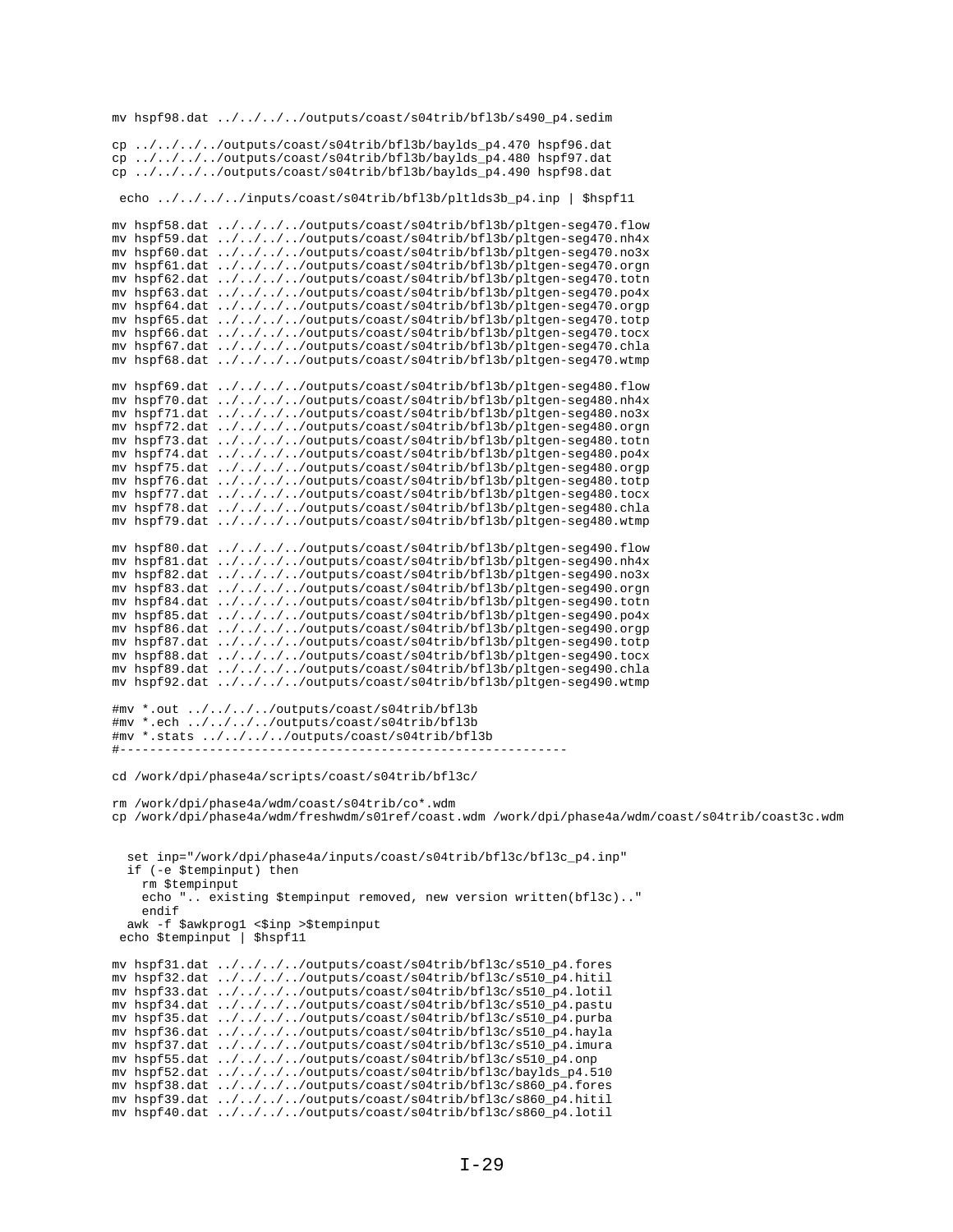mv hspf98.dat ../../../../outputs/coast/s04trib/bfl3b/s490\_p4.sedim cp ../../../../outputs/coast/s04trib/bfl3b/baylds\_p4.470 hspf96.dat cp ../../../../outputs/coast/s04trib/bfl3b/baylds\_p4.480 hspf97.dat cp ../../../../outputs/coast/s04trib/bfl3b/baylds\_p4.490 hspf98.dat echo ../../../../inputs/coast/s04trib/bfl3b/pltlds3b\_p4.inp | \$hspf11 mv hspf58.dat ../../../../outputs/coast/s04trib/bf13b/pltgen-seg470.flow mv hspf59.dat ../../../../outputs/coast/s04trib/bfl3b/pltgen-seg470.nh4x my hspf60.dat ../../../../outputs/coast/s04trib/bf13b/pltgen-seg470.no3x mv hspf61.dat ../../../../outputs/coast/s04trib/bfl3b/pltgen-seg470.orgn  $m$  hspf62.dat ../../../../outputs/coast/s04trib/bf13b/pltgen-seg470.toth<br>mv hspf63.dat ../../../../outputs/coast/s04trib/bf13b/pltgen-seg470.toth mv hspf64.dat ../../../../outputs/coast/s04trib/bfl3b/pltgen-seg470.orgp my hspf65.dat ../../../../outputs/coast/s04trib/bfl3b/pltgen-seq470.totp mv hspf66.dat ../../../../outputs/coast/s04trib/bfl3b/pltgen-seg470.tocx mv hspf67.dat ../../../../outputs/coast/s04trib/bfl3b/pltgen-seg470.chla mv hspf68.dat ../../../../outputs/coast/s04trib/bfl3b/pltgen-seg470.wtmp mv hspf69.dat ../../../../outputs/coast/s04trib/bfl3b/pltgen-seg480.flow mv hspf70.dat ../../../../outputs/coast/s04trib/bfl3b/pltgen-seg480.nh4x mv hspf71.dat ../../../../outputs/coast/s04trib/bf13b/pltgen-seq480.no3x mv hspf72.dat  $\ldots/\ldots/\ldots$ /outputs/coast/s04trib/bfl3b/pltgen-seg480.orgn mv hspf73.dat  $\ldots/\ldots/\ldots$ /outputs/coast/s04trib/bfl3b/pltgen-seg480.totn mv hspf74.dat ../../../../outputs/coast/s04trib/bfl3b/pltgen-seg480.po4x mv hspf75.dat ../../../../outputs/coast/s04trib/bfl3b/pltgen-seg480.orgp mv hspf76.dat ../../../../outputs/coast/s04trib/bfl3b/pltgen-seg480.totp mv hspf77.dat ../../../../outputs/coast/s04trib/bfl3b/pltgen-seg480.tocx mv hspf78.dat ../../../../outputs/coast/s04trib/bfl3b/pltgen-seg480.chla mv hspf79.dat ../../../../outputs/coast/s04trib/bfl3b/pltgen-seg480.wtmp mv hspf80.dat ../../../../outputs/coast/s04trib/bfl3b/pltgen-seg490.flow mv hspf81.dat ../../../../outputs/coast/s04trib/bf13b/pltgen-seg490.nh4x mv hspf82.dat ../../../../outputs/coast/s04trib/bf13b/pltgen-seg490.no3x mv hspf83.dat ../../../../outputs/coast/s04trib/bfl3b/pltgen-seg490.orgn mv hspf84.dat ../../../../outputs/coast/s04trib/bfl3b/pltgen-seq490.totn mv hspf85.dat ../../../../outputs/coast/s04trib/bfl3b/pltgen-seg490.po4x my hspf86.dat ../../../../outputs/coast/s04trib/bfl3b/pltgen-seq490.orgp mv hspf87.dat ../../../../outputs/coast/s04trib/bfl3b/pltgen-seg490.totp mv hspf88.dat ../../../../outputs/coast/s04trib/bfl3b/pltgen-seg490.tocx mv hspf89.dat ../../../../outputs/coast/s04trib/bfl3b/pltgen-seg490.chla my hspf92.dat ../../../../outputs/coast/s04trib/bf13b/pltgen-seq490.wtmp #mv \*.out ../../../../outputs/coast/s04trib/bfl3b #mv \*.ech ../../../../outputs/coast/s04trib/bfl3b #mv \*.stats ../../../../outputs/coast/s04trib/bfl3b cd /work/dpi/phase4a/scripts/coast/s04trib/bfl3c/ rm /work/dpi/phase4a/wdm/coast/s04trib/co\*.wdm cp /work/dpi/phase4a/wdm/freshwdm/s01ref/coast.wdm /work/dpi/phase4a/wdm/coast/s04trib/coast3c.wdm set inp="/work/dpi/phase4a/inputs/coast/s04trib/bfl3c/bfl3c\_p4.inp" if (-e \$tempinput) then rm \$tempinput echo ".. existing \$tempinput removed, new version written(bfl3c).." endif awk -f \$awkprog1 <\$inp >\$tempinput echo \$tempinput | \$hspf11 mv hspf31.dat ../../../../outputs/coast/s04trib/bfl3c/s510\_p4.fores mv hspf32.dat ../../../../outputs/coast/s04trib/bf13c/s510\_p4.hitil mv hspf33.dat ../../../../outputs/coast/s04trib/bfl3c/s510\_p4.lotil mv hspf34.dat ../../../../outputs/coast/s04trib/bfl3c/s510\_p4.pastu mv hspf35.dat ../../../../outputs/coast/s04trib/bf13c/s510\_p4.purba mv hspf36.dat ../../../../outputs/coast/s04trib/bfl3c/s510\_p4.hayla mv hspf37.dat ../../../../outputs/coast/s04trib/bfl3c/s510\_p4.imura mv hspf55.dat ../../../../outputs/coast/s04trib/bfl3c/s510\_p4.onp mv hspf52.dat ../../../../outputs/coast/s04trib/bfl3c/baylds\_p4.510 mv hspf38.dat ../../../../outputs/coast/s04trib/bfl3c/s860\_p4.fores mv hspf39.dat ../../../../outputs/coast/s04trib/bfl3c/s860\_p4.hitil mv hspf40.dat ../../../../outputs/coast/s04trib/bfl3c/s860\_p4.lotil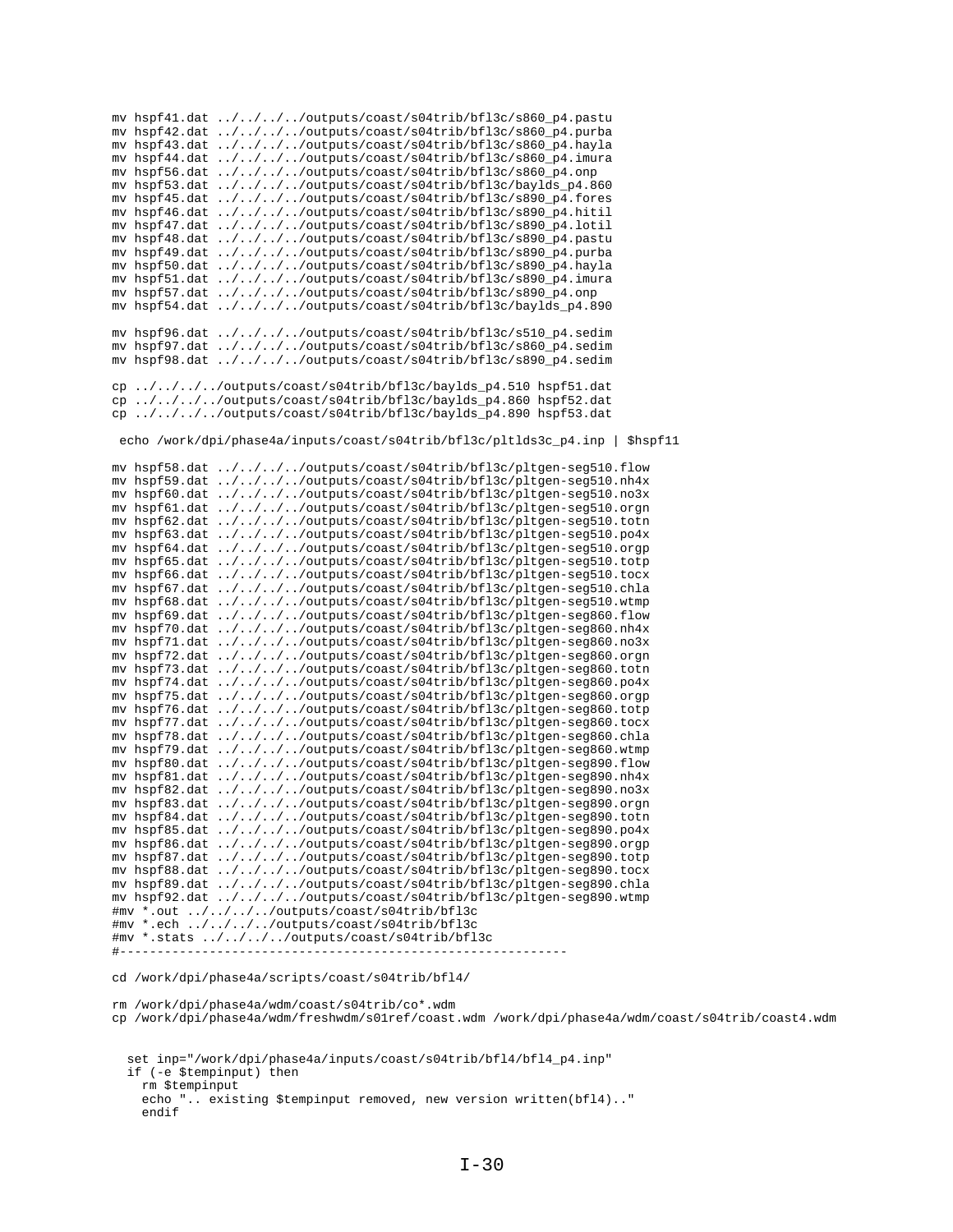|    |               | mv hspf41.dat ////outputs/coast/s04trib/bf13c/s860_p4.pastu                   |
|----|---------------|-------------------------------------------------------------------------------|
|    | mv hspf42.dat | $\ldots / \ldots / \ldots /$ outputs/coast/s04trib/bfl3c/s860_p4.purba        |
|    | mv hspf43.dat | $\ldots / \ldots / \ldots /$ outputs/coast/s04trib/bfl3c/s860_p4.hayla        |
|    | mv hspf44.dat | $\ldots / \ldots / \ldots /$ outputs/coast/s04trib/bfl3c/s860_p4.imura        |
|    | mv hspf56.dat | ////outputs/coast/s04trib/bfl3c/s860_p4.onp                                   |
|    | mv hspf53.dat | ////outputs/coast/s04trib/bfl3c/baylds_p4.860                                 |
|    | mv hspf45.dat | ////outputs/coast/s04trib/bfl3c/s890_p4.fores                                 |
|    | my hspf46.dat | $\ldots/\ldots/\ldots$ /outputs/coast/s04trib/bfl3c/s890_p4.hitil             |
|    | mv hspf47.dat | $\ldots/\ldots/\ldots$ /outputs/coast/s04trib/bfl3c/s890_p4.lotil             |
|    | mv hspf48.dat | $\ldots/\ldots/\ldots$ /outputs/coast/s04trib/bfl3c/s890_p4.pastu             |
|    | mv hspf49.dat | $\ldots/\ldots/\ldots$ /outputs/coast/s04trib/bfl3c/s890_p4.purba             |
|    | mv hspf50.dat | ////outputs/coast/s04trib/bfl3c/s890_p4.hayla                                 |
|    | mv hspf51.dat | ////outputs/coast/s04trib/bfl3c/s890_p4.imura                                 |
|    | mv hspf57.dat | ////outputs/coast/s04trib/bfl3c/s890_p4.onp                                   |
|    |               | mv hspf54.dat ////outputs/coast/s04trib/bfl3c/baylds_p4.890                   |
|    |               |                                                                               |
|    |               | mv hspf96.dat ////outputs/coast/s04trib/bfl3c/s510_p4.sedim                   |
|    |               | mv hspf97.dat ////outputs/coast/s04trib/bfl3c/s860_p4.sedim                   |
|    |               | mv hspf98.dat ////outputs/coast/s04trib/bfl3c/s890_p4.sedim                   |
|    |               |                                                                               |
| сp |               | $\ldots/\ldots/\ldots$ /outputs/coast/s04trib/bfl3c/baylds_p4.510 hspf51.dat  |
|    |               | cp ////outputs/coast/s04trib/bfl3c/baylds_p4.860 hspf52.dat                   |
|    |               | cp ////outputs/coast/s04trib/bfl3c/baylds_p4.890 hspf53.dat                   |
|    |               |                                                                               |
|    |               | echo /work/dpi/phase4a/inputs/coast/s04trib/bfl3c/pltlds3c_p4.inp<br>\$hspf11 |
|    |               |                                                                               |
|    |               | mv hspf58.dat ////outputs/coast/s04trib/bfl3c/pltgen-seg510.flow              |
|    |               | mv hspf59.dat ////outputs/coast/s04trib/bfl3c/pltgen-seg510.nh4x              |
|    |               | mv hspf60.dat ////outputs/coast/s04trib/bfl3c/pltgen-seg510.no3x              |
|    |               | mv hspf61.dat ////outputs/coast/s04trib/bf13c/pltgen-seg510.orgn              |
|    |               | mv hspf62.dat ////outputs/coast/s04trib/bfl3c/pltgen-seg510.totn              |
|    | my hspf63.dat | ////outputs/coast/s04trib/bfl3c/pltgen-seg510.po4x                            |
|    | my hspf64.dat | ////outputs/coast/s04trib/bfl3c/pltgen-seg510.orgp                            |
|    | mv hspf65.dat | $\ldots/\ldots/\ldots$ /outputs/coast/s04trib/bfl3c/pltgen-seg510.totp        |
|    | mv hspf66.dat | $\ldots/\ldots/\ldots$ /outputs/coast/s04trib/bfl3c/pltgen-seg510.tocx        |
|    | my hspf67.dat | ////outputs/coast/s04trib/bfl3c/pltgen-seg510.chla                            |
|    | mv hspf68.dat | ////outputs/coast/s04trib/bfl3c/pltgen-seg510.wtmp                            |
|    | my hspf69.dat | ////outputs/coast/s04trib/bfl3c/pltgen-seg860.flow                            |
|    | mv hspf70.dat | ////outputs/coast/s04trib/bfl3c/pltgen-seg860.nh4x                            |
|    | mv hspf71.dat | $\ldots/\ldots/\ldots$ /outputs/coast/s04trib/bfl3c/pltgen-seg860.no3x        |
|    | mv hspf72.dat | $\ldots / \ldots / \ldots /$ outputs/coast/s04trib/bfl3c/pltgen-seg860.orgn   |
|    | mv hspf73.dat | $\ldots/\ldots/\ldots$ /outputs/coast/s04trib/bfl3c/pltgen-seg860.totn        |
|    | mv hspf74.dat | $\ldots / \ldots / \ldots /$ outputs/coast/s04trib/bfl3c/pltgen-seg860.po4x   |
|    |               | ////outputs/coast/s04trib/bfl3c/pltgen-seg860.orgp                            |
|    | mv hspf75.dat |                                                                               |
|    | my hspf76.dat | $\ldots/\ldots/\ldots$ /outputs/coast/s04trib/bfl3c/pltgen-seg860.totp        |
|    | mv hspf77.dat | $\ldots/\ldots/\ldots$ /outputs/coast/s04trib/bfl3c/pltgen-seg860.tocx        |
|    | mv hspf78.dat | ////outputs/coast/s04trib/bfl3c/pltgen-seg860.chla                            |
|    | mv hspf79.dat | ////outputs/coast/s04trib/bfl3c/pltgen-seg860.wtmp                            |
|    | mv hspf80.dat | $\ldots / \ldots / \ldots /$ outputs/coast/s04trib/bfl3c/pltgen-seg890.flow   |
|    | mv hspf81.dat | ////outputs/coast/s04trib/bfl3c/pltgen-seg890.nh4x                            |
|    | mv hspf82.dat | $\ldots/\ldots/\ldots$ /outputs/coast/s04trib/bfl3c/pltgen-seg890.no3x        |
|    |               | mv hspf83.dat ////outputs/coast/s04trib/bfl3c/pltgen-seg890.orgn              |
|    |               | mv hspf84.dat ////outputs/coast/s04trib/bfl3c/pltgen-seg890.totn              |
|    |               | mv hspf85.dat ////outputs/coast/s04trib/bfl3c/pltgen-seq890.po4x              |
|    |               | mv hspf86.dat ////outputs/coast/s04trib/bfl3c/pltgen-seg890.orgp              |
|    |               | mv hspf87.dat ////outputs/coast/s04trib/bfl3c/pltgen-seg890.totp              |
|    |               | mv hspf88.dat ////outputs/coast/s04trib/bfl3c/pltgen-seg890.tocx              |
|    |               | mv hspf89.dat ////outputs/coast/s04trib/bfl3c/pltgen-seg890.chla              |
|    |               | mv hspf92.dat ////outputs/coast/s04trib/bfl3c/pltgen-seg890.wtmp              |
|    |               | #mv *.out ////outputs/coast/s04trib/bfl3c                                     |
|    |               | #mv *.ech ////outputs/coast/s04trib/bfl3c                                     |
|    |               | #mv *.stats ////outputs/coast/s04trib/bfl3c                                   |
|    |               |                                                                               |

cd /work/dpi/phase4a/scripts/coast/s04trib/bfl4/

rm /work/dpi/phase4a/wdm/coast/s04trib/co\*.wdm

cp /work/dpi/phase4a/wdm/freshwdm/s01ref/coast.wdm /work/dpi/phase4a/wdm/coast/s04trib/coast4.wdm

 set inp="/work/dpi/phase4a/inputs/coast/s04trib/bfl4/bfl4\_p4.inp" if (-e \$tempinput) then rm \$tempinput echo ".. existing \$tempinput removed, new version written(bfl4).." endif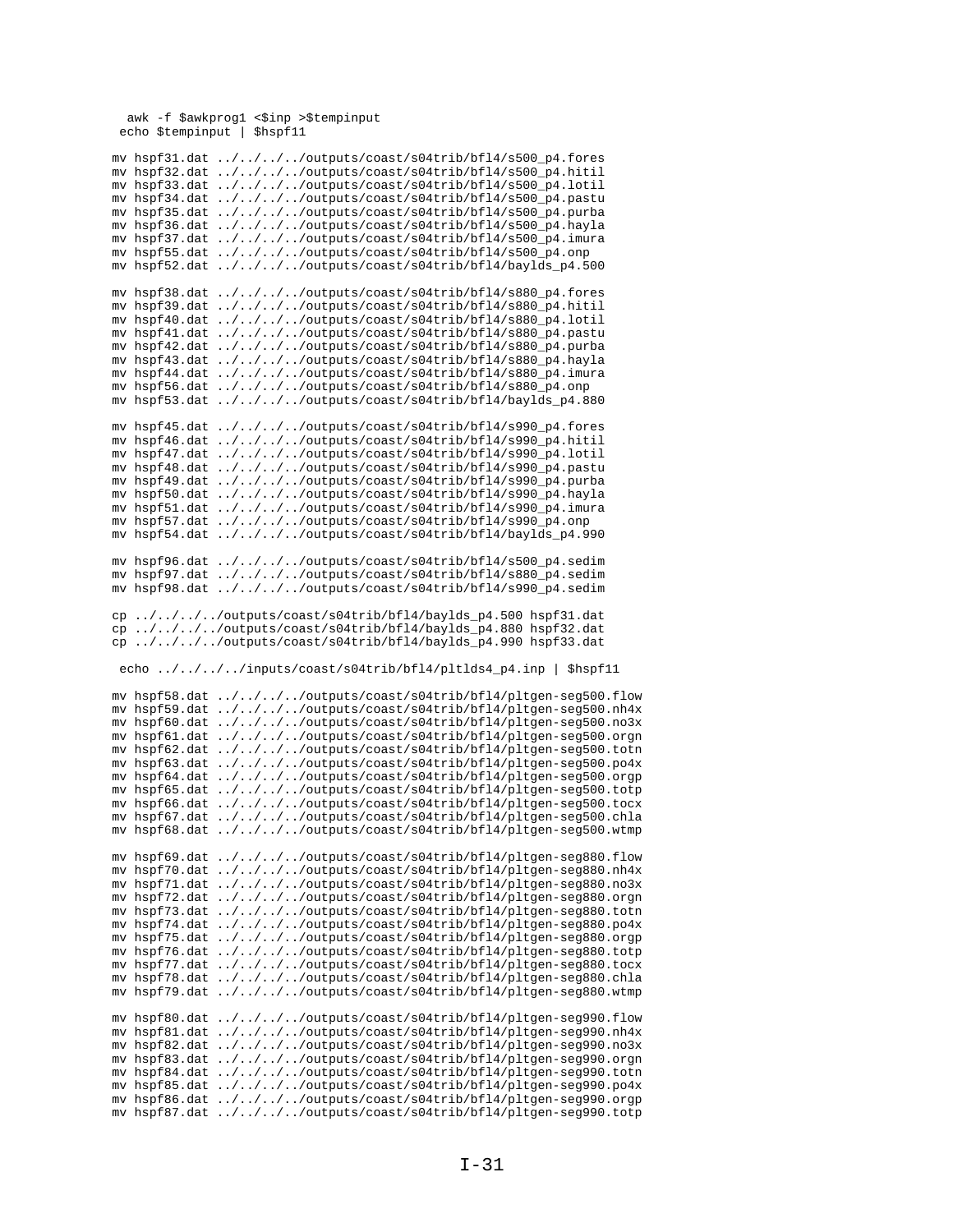awk -f \$awkprog1 <\$inp >\$tempinput echo \$tempinput | \$hspf11

| mv hspf31.dat                                              |  |  |  |                                                                |  |  | $\ldots/\ldots/\ldots$ /outputs/coast/s04trib/bf14/s500_p4.fores                                       |  |
|------------------------------------------------------------|--|--|--|----------------------------------------------------------------|--|--|--------------------------------------------------------------------------------------------------------|--|
|                                                            |  |  |  |                                                                |  |  |                                                                                                        |  |
| my hspf32.dat                                              |  |  |  |                                                                |  |  | $\ldots/\ldots/\ldots$ /outputs/coast/s04trib/bfl4/s500_p4.hitil                                       |  |
| mv hspf33.dat                                              |  |  |  |                                                                |  |  | ////outputs/coast/s04trib/bfl4/s500_p4.lotil                                                           |  |
| mv hspf34.dat                                              |  |  |  |                                                                |  |  | $\ldots/\ldots/\ldots$ /outputs/coast/s04trib/bfl4/s500_p4.pastu                                       |  |
| mv hspf35.dat                                              |  |  |  |                                                                |  |  | $\ldots/\ldots/\ldots$ /outputs/coast/s04trib/bfl4/s500_p4.purba                                       |  |
| my hspf36.dat                                              |  |  |  |                                                                |  |  | $\ldots/\ldots/\ldots$ /outputs/coast/s04trib/bfl4/s500_p4.hayla                                       |  |
| my hspf37.dat                                              |  |  |  |                                                                |  |  | ////outputs/coast/s04trib/bfl4/s500_p4.imura                                                           |  |
|                                                            |  |  |  |                                                                |  |  |                                                                                                        |  |
| mv hspf55.dat                                              |  |  |  | $\ldots/\ldots/\ldots$ /outputs/coast/s04trib/bf14/s500_p4.onp |  |  |                                                                                                        |  |
| mv hspf52.dat                                              |  |  |  |                                                                |  |  | $\ldots/\ldots/\ldots$ /outputs/coast/s04trib/bfl4/baylds_p4.500                                       |  |
|                                                            |  |  |  |                                                                |  |  |                                                                                                        |  |
| mv hspf38.dat                                              |  |  |  |                                                                |  |  | $\ldots/\ldots/\ldots$ /outputs/coast/s04trib/bfl4/s880_p4.fores                                       |  |
| mv hspf39.dat                                              |  |  |  |                                                                |  |  | $\ldots/\ldots/\ldots$ /outputs/coast/s04trib/bfl4/s880_p4.hitil                                       |  |
| my hspf40.dat                                              |  |  |  |                                                                |  |  | ////outputs/coast/s04trib/bf14/s880_p4.lotil                                                           |  |
| mv hspf41.dat                                              |  |  |  |                                                                |  |  | $\ldots/\ldots/\ldots$ /outputs/coast/s04trib/bfl4/s880_p4.pastu                                       |  |
|                                                            |  |  |  |                                                                |  |  |                                                                                                        |  |
| mv hspf42.dat                                              |  |  |  |                                                                |  |  | $\ldots/\ldots/\ldots$ /outputs/coast/s04trib/bfl4/s880_p4.purba                                       |  |
| my hspf43.dat                                              |  |  |  |                                                                |  |  | $\ldots/\ldots/\ldots$ /outputs/coast/s04trib/bfl4/s880_p4.hayla                                       |  |
| mv hspf44.dat                                              |  |  |  |                                                                |  |  | $\ldots / \ldots / \ldots /$ outputs/coast/s04trib/bfl4/s880_p4.imura                                  |  |
| mv hspf56.dat                                              |  |  |  | $\ldots/\ldots/\ldots$ /outputs/coast/s04trib/bfl4/s880_p4.onp |  |  |                                                                                                        |  |
| mv hspf53.dat                                              |  |  |  |                                                                |  |  | $\ldots/\ldots/\ldots$ /outputs/coast/s04trib/bfl4/baylds_p4.880                                       |  |
|                                                            |  |  |  |                                                                |  |  |                                                                                                        |  |
|                                                            |  |  |  |                                                                |  |  |                                                                                                        |  |
| mv hspf45.dat                                              |  |  |  |                                                                |  |  | $\ldots/\ldots/\ldots$ /outputs/coast/s04trib/bfl4/s990_p4.fores                                       |  |
| mv hspf46.dat                                              |  |  |  |                                                                |  |  | $\ldots / \ldots / \ldots /$ outputs/coast/s04trib/bf14/s990_p4.hitil                                  |  |
| my hspf47.dat                                              |  |  |  |                                                                |  |  | $\ldots/\ldots/\ldots$ /outputs/coast/s04trib/bfl4/s990_p4.lotil                                       |  |
| mv hspf48.dat                                              |  |  |  |                                                                |  |  | $\ldots/\ldots/\ldots$ /outputs/coast/s04trib/bfl4/s990_p4.pastu                                       |  |
| mv hspf49.dat                                              |  |  |  |                                                                |  |  | $\ldots/\ldots/\ldots$ /outputs/coast/s04trib/bfl4/s990_p4.purba                                       |  |
| mv hspf50.dat                                              |  |  |  |                                                                |  |  | $\ldots/\ldots/\ldots$ /outputs/coast/s04trib/bfl4/s990_p4.hayla                                       |  |
|                                                            |  |  |  |                                                                |  |  |                                                                                                        |  |
| mv hspf51.dat                                              |  |  |  |                                                                |  |  | $\ldots/\ldots/\ldots$ /outputs/coast/s04trib/bfl4/s990_p4.imura                                       |  |
| mv hspf57.dat                                              |  |  |  | $\ldots/\ldots/\ldots$ /outputs/coast/s04trib/bfl4/s990_p4.onp |  |  |                                                                                                        |  |
| my hspf54.dat                                              |  |  |  |                                                                |  |  | $\ldots/\ldots/\ldots$ /outputs/coast/s04trib/bfl4/baylds_p4.990                                       |  |
|                                                            |  |  |  |                                                                |  |  |                                                                                                        |  |
| my hspf96.dat                                              |  |  |  |                                                                |  |  | $\ldots/\ldots/\ldots$ /outputs/coast/s04trib/bf14/s500_p4.sedim                                       |  |
| mv hspf97.dat ////outputs/coast/s04trib/bf14/s880_p4.sedim |  |  |  |                                                                |  |  |                                                                                                        |  |
|                                                            |  |  |  |                                                                |  |  |                                                                                                        |  |
| mv hspf98.dat ////outputs/coast/s04trib/bf14/s990_p4.sedim |  |  |  |                                                                |  |  |                                                                                                        |  |
|                                                            |  |  |  |                                                                |  |  |                                                                                                        |  |
|                                                            |  |  |  |                                                                |  |  |                                                                                                        |  |
| cp ////outputs/coast/s04trib/bfl4/baylds_p4.500 hspf31.dat |  |  |  |                                                                |  |  |                                                                                                        |  |
|                                                            |  |  |  |                                                                |  |  |                                                                                                        |  |
| cp ////outputs/coast/s04trib/bfl4/baylds_p4.880 hspf32.dat |  |  |  |                                                                |  |  |                                                                                                        |  |
| cp ////outputs/coast/s04trib/bfl4/baylds_p4.990 hspf33.dat |  |  |  |                                                                |  |  |                                                                                                        |  |
|                                                            |  |  |  |                                                                |  |  |                                                                                                        |  |
| echo ////inputs/coast/s04trib/bfl4/pltlds4_p4.inp          |  |  |  |                                                                |  |  | \$hspf11                                                                                               |  |
|                                                            |  |  |  |                                                                |  |  |                                                                                                        |  |
| mv hspf58.dat                                              |  |  |  |                                                                |  |  | ////outputs/coast/s04trib/bfl4/pltgen-seg500.flow                                                      |  |
| mv hspf59.dat                                              |  |  |  |                                                                |  |  | ////outputs/coast/s04trib/bfl4/pltgen-seg500.nh4x                                                      |  |
| mv hspf60.dat                                              |  |  |  |                                                                |  |  | ////outputs/coast/s04trib/bfl4/pltgen-seg500.no3x                                                      |  |
|                                                            |  |  |  |                                                                |  |  |                                                                                                        |  |
| mv hspf61.dat                                              |  |  |  |                                                                |  |  | ////outputs/coast/s04trib/bfl4/pltgen-seg500.orgn                                                      |  |
| mv hspf62.dat                                              |  |  |  |                                                                |  |  | ////outputs/coast/s04trib/bfl4/pltgen-seg500.totn                                                      |  |
| mv hspf63.dat                                              |  |  |  |                                                                |  |  | ////outputs/coast/s04trib/bfl4/pltgen-seg500.po4x                                                      |  |
| mv hspf64.dat                                              |  |  |  |                                                                |  |  | ////outputs/coast/s04trib/bfl4/pltgen-seg500.orgp                                                      |  |
| my hspf65.dat                                              |  |  |  |                                                                |  |  | ////outputs/coast/s04trib/bfl4/pltgen-seg500.totp                                                      |  |
| mv hspf66.dat                                              |  |  |  |                                                                |  |  | ////outputs/coast/s04trib/bfl4/pltgen-seg500.tocx                                                      |  |
| mv hspf67.dat                                              |  |  |  |                                                                |  |  |                                                                                                        |  |
|                                                            |  |  |  |                                                                |  |  | ////outputs/coast/s04trib/bfl4/pltgen-seg500.chla                                                      |  |
| mv hspf68.dat                                              |  |  |  |                                                                |  |  | ////outputs/coast/s04trib/bfl4/pltgen-seg500.wtmp                                                      |  |
|                                                            |  |  |  |                                                                |  |  |                                                                                                        |  |
| mv hspf69.dat                                              |  |  |  |                                                                |  |  | ////outputs/coast/s04trib/bfl4/pltgen-seg880.flow                                                      |  |
| mv hspf70.dat                                              |  |  |  |                                                                |  |  | ////outputs/coast/s04trib/bf14/pltgen-seg880.nh4x                                                      |  |
| mv hspf71.dat                                              |  |  |  |                                                                |  |  | ////outputs/coast/s04trib/bfl4/pltgen-seg880.no3x                                                      |  |
| my hspf72.dat                                              |  |  |  |                                                                |  |  | ////outputs/coast/s04trib/bfl4/pltgen-seg880.orgn                                                      |  |
|                                                            |  |  |  |                                                                |  |  |                                                                                                        |  |
| mv hspf73.dat                                              |  |  |  |                                                                |  |  | ////outputs/coast/s04trib/bfl4/pltgen-seg880.totn                                                      |  |
| mv hspf74.dat                                              |  |  |  |                                                                |  |  | ////outputs/coast/s04trib/bfl4/pltgen-seg880.po4x                                                      |  |
| mv hspf75.dat                                              |  |  |  |                                                                |  |  | ////outputs/coast/s04trib/bfl4/pltgen-seg880.orgp                                                      |  |
| mv hspf76.dat                                              |  |  |  |                                                                |  |  | ////outputs/coast/s04trib/bfl4/pltgen-seg880.totp                                                      |  |
| mv hspf77.dat                                              |  |  |  |                                                                |  |  | ////outputs/coast/s04trib/bfl4/pltgen-seg880.tocx                                                      |  |
| mv hspf78.dat                                              |  |  |  |                                                                |  |  | ////outputs/coast/s04trib/bfl4/pltgen-seg880.chla                                                      |  |
|                                                            |  |  |  |                                                                |  |  |                                                                                                        |  |
| mv hspf79.dat                                              |  |  |  |                                                                |  |  | ////outputs/coast/s04trib/bfl4/pltgen-seg880.wtmp                                                      |  |
|                                                            |  |  |  |                                                                |  |  |                                                                                                        |  |
| mv hspf80.dat                                              |  |  |  |                                                                |  |  | ////outputs/coast/s04trib/bfl4/pltgen-seg990.flow                                                      |  |
| mv hspf81.dat                                              |  |  |  |                                                                |  |  | ////outputs/coast/s04trib/bfl4/pltgen-seg990.nh4x                                                      |  |
| mv hspf82.dat                                              |  |  |  |                                                                |  |  | ////outputs/coast/s04trib/bfl4/pltgen-seg990.no3x                                                      |  |
| mv hspf83.dat                                              |  |  |  |                                                                |  |  | ////outputs/coast/s04trib/bfl4/pltgen-seg990.orgn                                                      |  |
| mv hspf84.dat                                              |  |  |  |                                                                |  |  | ////outputs/coast/s04trib/bfl4/pltgen-seg990.totn                                                      |  |
|                                                            |  |  |  |                                                                |  |  |                                                                                                        |  |
| mv hspf85.dat                                              |  |  |  |                                                                |  |  | ////outputs/coast/s04trib/bfl4/pltgen-seg990.po4x                                                      |  |
| mv hspf86.dat<br>mv hspf87.dat                             |  |  |  |                                                                |  |  | ////outputs/coast/s04trib/bfl4/pltgen-seg990.orgp<br>////outputs/coast/s04trib/bfl4/pltgen-seg990.totp |  |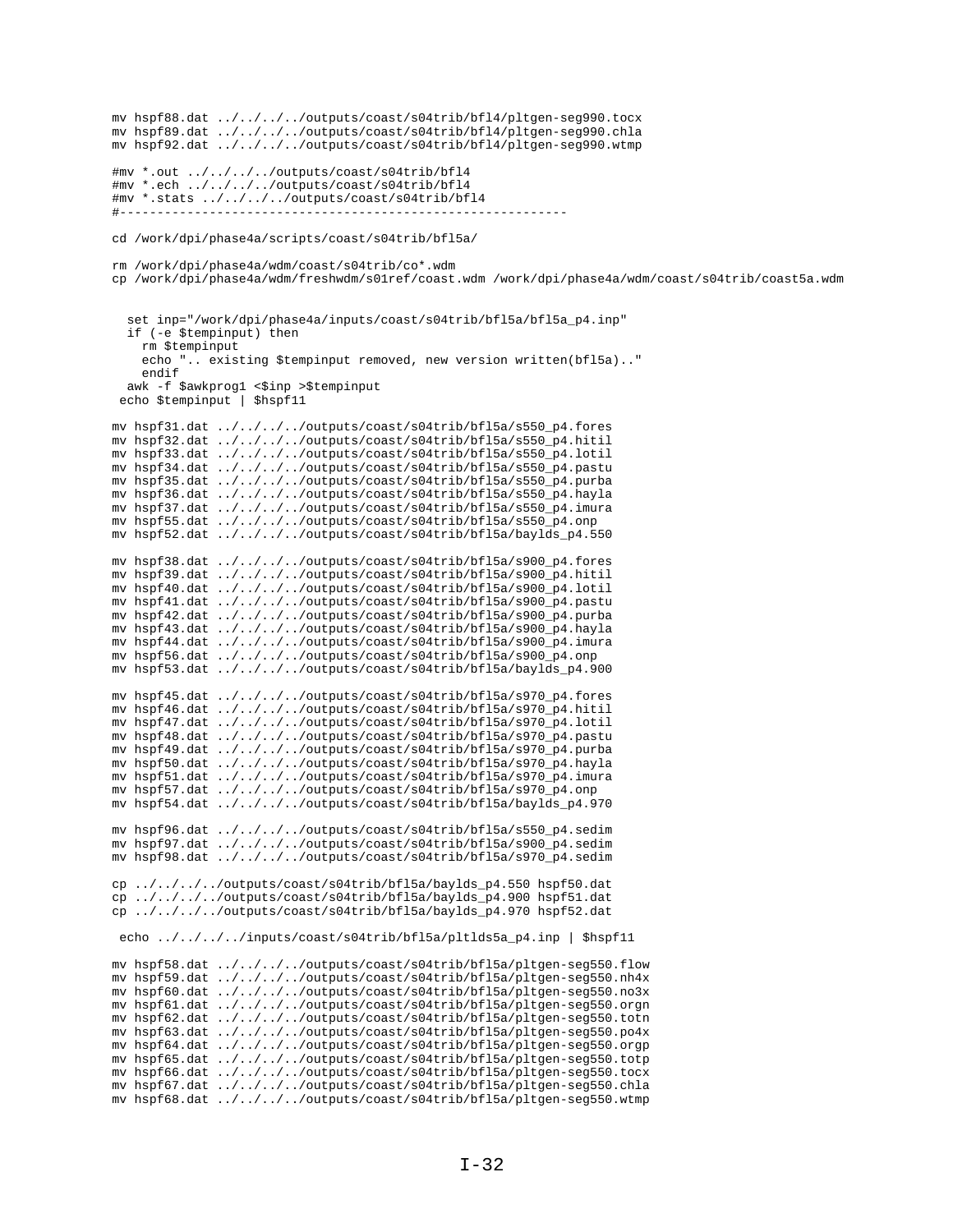mv hspf88.dat ../../../../outputs/coast/s04trib/bfl4/pltgen-seg990.tocx mv hspf89.dat ../../../../outputs/coast/s04trib/bfl4/pltgen-seg990.chla mv hspf92.dat ../../../../outputs/coast/s04trib/bfl4/pltgen-seg990.wtmp #mv \*.out ../../../../outputs/coast/s04trib/bfl4 #mv \*.ech ../../../../outputs/coast/s04trib/bfl4 #mv \*.stats ../../../../outputs/coast/s04trib/bfl4 #----------------------------------------------------------- cd /work/dpi/phase4a/scripts/coast/s04trib/bfl5a/ rm /work/dpi/phase4a/wdm/coast/s04trib/co\*.wdm cp /work/dpi/phase4a/wdm/freshwdm/s01ref/coast.wdm /work/dpi/phase4a/wdm/coast/s04trib/coast5a.wdm set inp="/work/dpi/phase4a/inputs/coast/s04trib/bfl5a/bfl5a\_p4.inp" if (-e \$tempinput) then rm \$tempinput echo ".. existing \$tempinput removed, new version written(bfl5a).." endif awk -f \$awkprog1 <\$inp >\$tempinput echo \$tempinput | \$hspf11 mv hspf31.dat ../../../../outputs/coast/s04trib/bfl5a/s550\_p4.fores mv hspf32.dat ../../../../outputs/coast/s04trib/bfl5a/s550\_p4.hitil mv hspf33.dat ../../../../outputs/coast/s04trib/bfl5a/s550\_p4.lotil mv hspf34.dat ../../../../outputs/coast/s04trib/bfl5a/s550\_p4.pastu mv hspf35.dat ../../../../outputs/coast/s04trib/bfl5a/s550\_p4.purba mv hspf36.dat ../../../../outputs/coast/s04trib/bfl5a/s550\_p4.hayla mv hspf37.dat ../../../../outputs/coast/s04trib/bfl5a/s550\_p4.imura mv hspf55.dat ../../../../outputs/coast/s04trib/bfl5a/s550\_p4.onp mv hspf52.dat ../../../../outputs/coast/s04trib/bfl5a/baylds\_p4.550 mv hspf38.dat ../../../../outputs/coast/s04trib/bfl5a/s900\_p4.fores mv hspf39.dat ../../../../outputs/coast/s04trib/bfl5a/s900\_p4.hitil mv hspf40.dat ../../../../outputs/coast/s04trib/bfl5a/s900\_p4.lotil mv hspf41.dat ../../../../outputs/coast/s04trib/bfl5a/s900\_p4.pastu mv hspf42.dat ../../../../outputs/coast/s04trib/bfl5a/s900\_p4.purba mv hspf43.dat ../../../../outputs/coast/s04trib/bfl5a/s900\_p4.hayla mv hspf44.dat ../../../../outputs/coast/s04trib/bfl5a/s900\_p4.imura mv hspf56.dat ../../../../outputs/coast/s04trib/bfl5a/s900\_p4.onp mv hspf53.dat ../../../../outputs/coast/s04trib/bfl5a/baylds\_p4.900 mv hspf45.dat ../../../../outputs/coast/s04trib/bfl5a/s970\_p4.fores mv hspf46.dat ../../../../outputs/coast/s04trib/bfl5a/s970\_p4.hitil mv hspf47.dat ../../../../outputs/coast/s04trib/bfl5a/s970\_p4.lotil mv hspf48.dat ../../../../outputs/coast/s04trib/bfl5a/s970\_p4.pastu mv hspf49.dat ../../../../outputs/coast/s04trib/bfl5a/s970\_p4.purba mv hspf50.dat ../../../../outputs/coast/s04trib/bfl5a/s970\_p4.hayla mv hspf51.dat ../../../../outputs/coast/s04trib/bfl5a/s970\_p4.imura mv hspf57.dat ../../../../outputs/coast/s04trib/bfl5a/s970\_p4.onp mv hspf54.dat ../../../../outputs/coast/s04trib/bfl5a/baylds\_p4.970 mv hspf96.dat ../../../../outputs/coast/s04trib/bfl5a/s550\_p4.sedim mv hspf97.dat ../../../../outputs/coast/s04trib/bfl5a/s900\_p4.sedim mv hspf98.dat ../../../../outputs/coast/s04trib/bfl5a/s970\_p4.sedim cp ../../../../outputs/coast/s04trib/bfl5a/baylds\_p4.550 hspf50.dat cp ../../../../outputs/coast/s04trib/bfl5a/baylds\_p4.900 hspf51.dat cp ../../../../outputs/coast/s04trib/bfl5a/baylds\_p4.970 hspf52.dat echo ../../../../inputs/coast/s04trib/bfl5a/pltlds5a\_p4.inp | \$hspf11 mv hspf58.dat ../../../../outputs/coast/s04trib/bfl5a/pltgen-seg550.flow mv hspf59.dat ../../../../outputs/coast/s04trib/bfl5a/pltgen-seg550.nh4x mv hspf60.dat ../../../../outputs/coast/s04trib/bfl5a/pltgen-seg550.no3x mv hspf61.dat ../../../../outputs/coast/s04trib/bfl5a/pltgen-seg550.orgn mv hspf62.dat ../../../../outputs/coast/s04trib/bfl5a/pltgen-seg550.totn mv hspf63.dat ../../../../outputs/coast/s04trib/bfl5a/pltgen-seg550.po4x mv hspf64.dat ../../../../outputs/coast/s04trib/bfl5a/pltgen-seg550.orgp mv hspf65.dat ../../../../outputs/coast/s04trib/bfl5a/pltgen-seg550.totp mv hspf66.dat ../../../../outputs/coast/s04trib/bfl5a/pltgen-seg550.tocx mv hspf67.dat ../../../../outputs/coast/s04trib/bfl5a/pltgen-seg550.chla mv hspf68.dat ../../../../outputs/coast/s04trib/bfl5a/pltgen-seg550.wtmp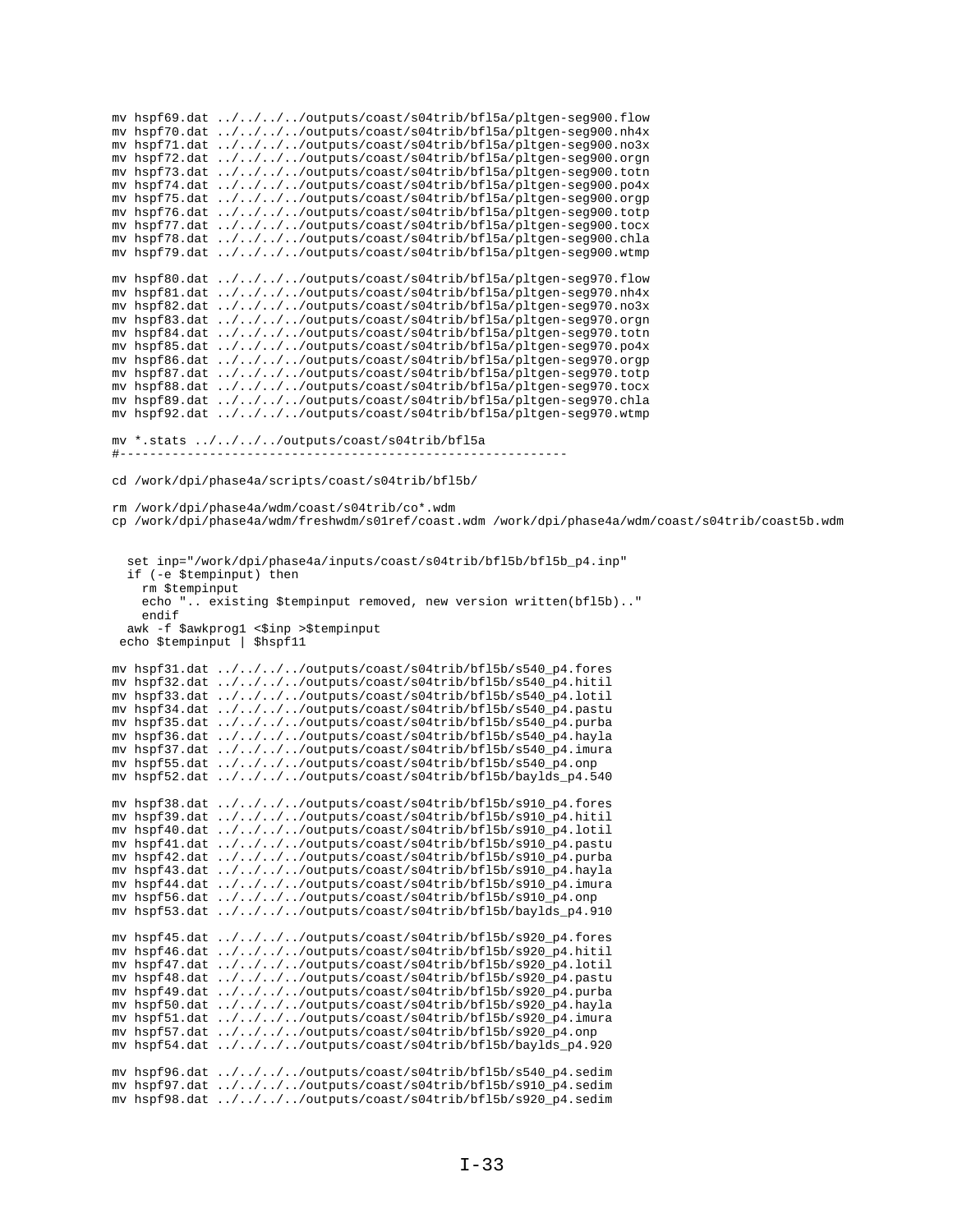mv hspf69.dat ../../../../outputs/coast/s04trib/bfl5a/pltgen-seg900.flow mv hspf70.dat ../../../../outputs/coast/s04trib/bfl5a/pltgen-seg900.nh4x mv hspf71.dat ../../../../outputs/coast/s04trib/bfl5a/pltgen-seg900.no3x mv hspf72.dat ../../../../outputs/coast/s04trib/bfl5a/pltgen-seg900.orgn mv hspf73.dat ../../../../outputs/coast/s04trib/bfl5a/pltgen-seg900.totn mv hspf74.dat ../../../../outputs/coast/s04trib/bfl5a/pltgen-seg900.po4x mv hspf75.dat ../../../../outputs/coast/s04trib/bfl5a/pltgen-seg900.orgp mv hspf76.dat ../../../../outputs/coast/s04trib/bfl5a/pltgen-seg900.totp mv hspf77.dat ../../../../outputs/coast/s04trib/bfl5a/pltgen-seg900.tocx mv hspf78.dat ../../../../outputs/coast/s04trib/bfl5a/pltgen-seg900.chla mv hspf79.dat ../../../../outputs/coast/s04trib/bfl5a/pltgen-seg900.wtmp mv hspf80.dat ../../../../outputs/coast/s04trib/bfl5a/pltgen-seg970.flow mv hspf81.dat ../../../../outputs/coast/s04trib/bfl5a/pltgen-seg970.nh4x mv hspf82.dat ../../../../outputs/coast/s04trib/bfl5a/pltgen-seg970.no3x mv hspf83.dat ../../../../outputs/coast/s04trib/bfl5a/pltgen-seg970.orgn mv hspf84.dat ../../../../outputs/coast/s04trib/bfl5a/pltgen-seg970.totn mv hspf85.dat ../../../../outputs/coast/s04trib/bfl5a/pltgen-seg970.po4x mv hspf86.dat ../../../../outputs/coast/s04trib/bfl5a/pltgen-seg970.orgp mv hspf87.dat ../../../../outputs/coast/s04trib/bfl5a/pltgen-seg970.totp mv hspf88.dat ../../../../outputs/coast/s04trib/bfl5a/pltgen-seg970.tocx mv hspf89.dat ../../../../outputs/coast/s04trib/bfl5a/pltgen-seg970.chla mv hspf92.dat ../../../../outputs/coast/s04trib/bfl5a/pltgen-seg970.wtmp mv \*.stats ../../../../outputs/coast/s04trib/bfl5a #----------------------------------------------------------- cd /work/dpi/phase4a/scripts/coast/s04trib/bfl5b/ rm /work/dpi/phase4a/wdm/coast/s04trib/co\*.wdm cp /work/dpi/phase4a/wdm/freshwdm/s01ref/coast.wdm /work/dpi/phase4a/wdm/coast/s04trib/coast5b.wdm set inp="/work/dpi/phase4a/inputs/coast/s04trib/bfl5b/bfl5b\_p4.inp" if (-e \$tempinput) then rm \$tempinput echo ".. existing \$tempinput removed, new version written(bfl5b).." endif awk -f \$awkprog1 <\$inp >\$tempinput echo \$tempinput | \$hspf11 mv hspf31.dat ../../../../outputs/coast/s04trib/bfl5b/s540\_p4.fores mv hspf32.dat ../../../../outputs/coast/s04trib/bfl5b/s540\_p4.hitil mv hspf33.dat ../../../../outputs/coast/s04trib/bfl5b/s540\_p4.lotil mv hspf34.dat ../../../../outputs/coast/s04trib/bfl5b/s540\_p4.pastu mv hspf35.dat ../../../../outputs/coast/s04trib/bfl5b/s540\_p4.purba mv hspf36.dat ../../../../outputs/coast/s04trib/bfl5b/s540\_p4.hayla mv hspf37.dat ../../../../outputs/coast/s04trib/bfl5b/s540\_p4.imura mv hspf55.dat ../../../../outputs/coast/s04trib/bfl5b/s540\_p4.onp mv hspf52.dat ../../../../outputs/coast/s04trib/bfl5b/baylds\_p4.540 mv hspf38.dat ../../../../outputs/coast/s04trib/bfl5b/s910\_p4.fores mv hspf39.dat ../../../../outputs/coast/s04trib/bfl5b/s910\_p4.hitil mv hspf40.dat ../../../../outputs/coast/s04trib/bfl5b/s910\_p4.lotil mv hspf41.dat ../../../../outputs/coast/s04trib/bfl5b/s910\_p4.pastu mv hspf42.dat ../../../../outputs/coast/s04trib/bfl5b/s910\_p4.purba mv hspf43.dat ../../../../outputs/coast/s04trib/bfl5b/s910\_p4.hayla mv hspf44.dat ../../../../outputs/coast/s04trib/bfl5b/s910\_p4.imura mv hspf56.dat ../../../../outputs/coast/s04trib/bfl5b/s910\_p4.onp mv hspf53.dat  $\ldots/\ldots/\ldots$ /outputs/coast/s04trib/bfl5b/baylds p4.910 mv hspf45.dat ../../../../outputs/coast/s04trib/bfl5b/s920\_p4.fores mv hspf46.dat ../../../../outputs/coast/s04trib/bfl5b/s920\_p4.hitil mv hspf47.dat ../../../../outputs/coast/s04trib/bfl5b/s920\_p4.lotil mv hspf48.dat ../../../../outputs/coast/s04trib/bfl5b/s920\_p4.pastu mv hspf49.dat ../../../../outputs/coast/s04trib/bfl5b/s920\_p4.purba mv hspf50.dat ../../../../outputs/coast/s04trib/bfl5b/s920\_p4.hayla mv hspf51.dat ../../../../outputs/coast/s04trib/bfl5b/s920\_p4.imura mv hspf57.dat ../../../../outputs/coast/s04trib/bfl5b/s920\_p4.onp mv hspf54.dat ../../../../outputs/coast/s04trib/bfl5b/baylds\_p4.920 mv hspf96.dat ../../../../outputs/coast/s04trib/bfl5b/s540\_p4.sedim mv hspf97.dat ../../../../outputs/coast/s04trib/bfl5b/s910\_p4.sedim mv hspf98.dat ../../../../outputs/coast/s04trib/bfl5b/s920\_p4.sedim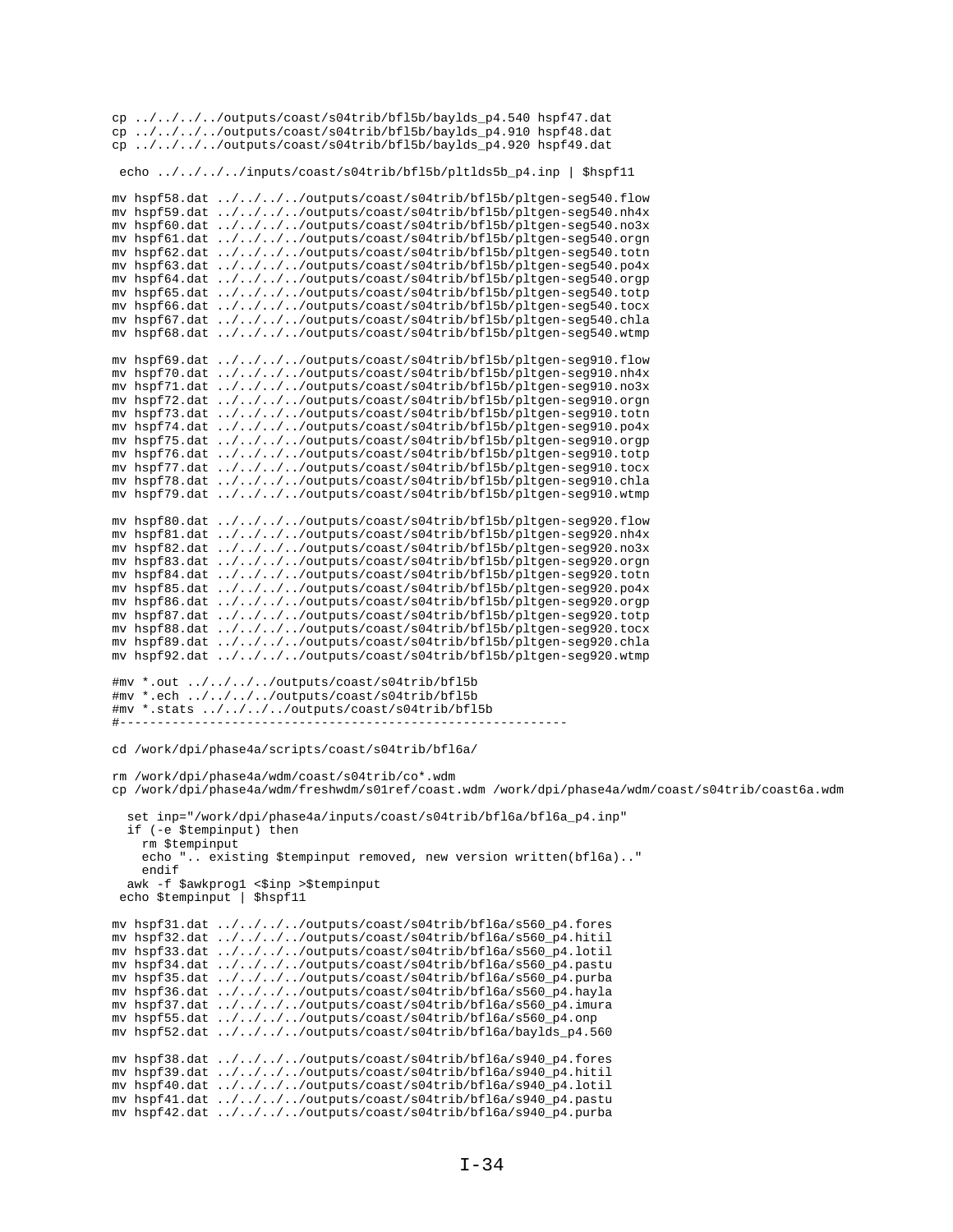cp ../../../../outputs/coast/s04trib/bfl5b/baylds\_p4.540 hspf47.dat cp.../.../.../outputs/coast/s04trib/bf15b/baylds\_p4.910 hspf48.dat cp ../../../../outputs/coast/s04trib/bfl5b/baylds\_p4.920 hspf49.dat echo ../../../../inputs/coast/s04trib/bf15b/pltlds5b\_p4.inp | \$hspf11 mv hspf58.dat ../../../../outputs/coast/s04trib/bfl5b/pltgen-seg540.flow mv hspf59.dat ../../../../outputs/coast/s04trib/bf15b/pltgen-seg540.nh4x mv hspf60.dat ../../../../outputs/coast/s04trib/bf15b/pltgen-seg540.no3x mv hspf61.dat ../../../../outputs/coast/s04trib/bf15b/pltgen-seg540.orgn mv hspf62.dat ../../../../outputs/coast/s04trib/bf15b/pltgen-seg540.totn mv hspf63.dat ../../../../outputs/coast/s04trib/bf15b/pltgen-seg540.po4x mv hspf64.dat ../../../../outputs/coast/s04trib/bf15b/pltgen-seg540.orgp<br>mv hspf65.dat ../../../../outputs/coast/s04trib/bf15b/pltgen-seg540.orgp mv hspf66.dat ../../../../outputs/coast/s04trib/bf15b/pltgen-seg540.tocx my hspf67.dat ../../../../outputs/coast/s04trib/bf15b/pltgen-seq540.chla mv hspf68.dat ../../../../outputs/coast/s04trib/bf15b/pltgen-seg540.wtmp mv hspf69.dat ../../../../outputs/coast/s04trib/bfl5b/pltgen-seg910.flow mv hspf70.dat ../../../../outputs/coast/s04trib/bf15b/pltgen-seg910.nh4x mv hspf71.dat ../../../../outputs/coast/s04trib/bf15b/pltgen-seg910.no3x mv hspf72.dat ../../../../outputs/coast/s04trib/bf15b/pltgen-seg910.orgn mv hspf73.dat ../../../../outputs/coast/s04trib/bfl5b/pltgen-seg910.totn mv hspf74.dat ../../../../outputs/coast/s04trib/bf15b/pltgen-seg910.po4x<br>mv hspf75.dat ../../../../outputs/coast/s04trib/bf15b/pltgen-seg910.orgp mv hspf76.dat ../../../../outputs/coast/s04trib/bf15b/pltgen-seg910.totp mv hspf77.dat ../../../../outputs/coast/s04trib/bf15b/pltgen-seg910.tocx mv hspf78.dat ../../../../outputs/coast/s04trib/bf15b/pltgen-seg910.chla mv hspf79.dat ../../../../outputs/coast/s04trib/bf15b/pltgen-seg910.wtmp mv hspf80.dat ../../../../outputs/coast/s04trib/bf15b/pltgen-seg920.flow mv hspf81.dat ../../../../outputs/coast/s04trib/bf15b/pltgen-seg920.nh4x<br>mv hspf82.dat ../../../../outputs/coast/s04trib/bf15b/pltgen-seg920.no3x mv hspf83.dat ../../../../outputs/coast/s04trib/bf15b/pltgen-seg920.orgn mv hspf84.dat ../../../../outputs/coast/s04trib/bf15b/pltgen-seg920.totn mv hspf85.dat ../../../../outputs/coast/s04trib/bf15b/pltgen-seg920.po4x mv hspf86.dat ../../../../outputs/coast/s04trib/bf15b/pltgen-seg920.orgp mv hspf87.dat ../../../../outputs/coast/s04trib/bf15b/pltgen-seg920.totp mv hspf88.dat ../../../../outputs/coast/s04trib/bf15b/pltgen-seg920.tocx mv hspf89.dat ../../../../outputs/coast/s04trib/bf15b/pltgen-seg920.chla mv hspf92.dat ../../../../outputs/coast/s04trib/bf15b/pltgen-seg920.wtmp #mv \*.out ../../../../outputs/coast/s04trib/bf15b #mv \*.ech ../../../../outputs/coast/s04trib/bf15b #mv \*.stats ../../../../outputs/coast/s04trib/bf15b cd /work/dpi/phase4a/scripts/coast/s04trib/bf16a/ rm /work/dpi/phase4a/wdm/coast/s04trib/co\*.wdm cp /work/dpi/phase4a/wdm/freshwdm/s0lref/coast.wdm /work/dpi/phase4a/wdm/coast/s04trib/coast6a.wdm set inp="/work/dpi/phase4a/inputs/coast/s04trib/bfl6a/bfl6a\_p4.inp" if (-e \$tempinput) then rm \$tempinput echo ".. existing \$tempinput removed, new version written(bfl6a).." endif awk -f \$awkprog1 <\$inp >\$tempinput echo \$tempinput | \$hspf11 mv hspf31.dat ../../../../outputs/coast/s04trib/bfl6a/s560\_p4.fores mv hspf32.dat ../../../../outputs/coast/s04trib/bf16a/s560\_p4.hitil mv hspf33.dat ../../../../outputs/coast/s04trib/bfl6a/s560\_p4.lotil mv hspf34.dat ../../../../outputs/coast/s04trib/bf16a/s560\_p4.pastu mv hspf35.dat ../../../../outputs/coast/s04trib/bf16a/s560\_p4.purba mv hspf36.dat ../../../../outputs/coast/s04trib/bf16a/s560\_p4.hayla mv hspf37.dat ../../../../outputs/coast/s04trib/bfl6a/s560\_p4.imura mv hspf55.dat ../../../../outputs/coast/s04trib/bf16a/s560\_p4.onp<br>mv hspf52.dat ../../../../outputs/coast/s04trib/bf16a/baylds\_p4.560 mv hspf38.dat ../../../../outputs/coast/s04trib/bf16a/s940\_p4.fores mv hspf39.dat ../../../../outputs/coast/s04trib/bf16a/s940\_p4.hitil mv hspf40.dat ../../../../outputs/coast/s04trib/bf16a/s940\_p4.lotil mv hspf41.dat ../../../../outputs/coast/s04trib/bf16a/s940\_p4.pastu mv hspf42.dat ../../../../outputs/coast/s04trib/bf16a/s940\_p4.purba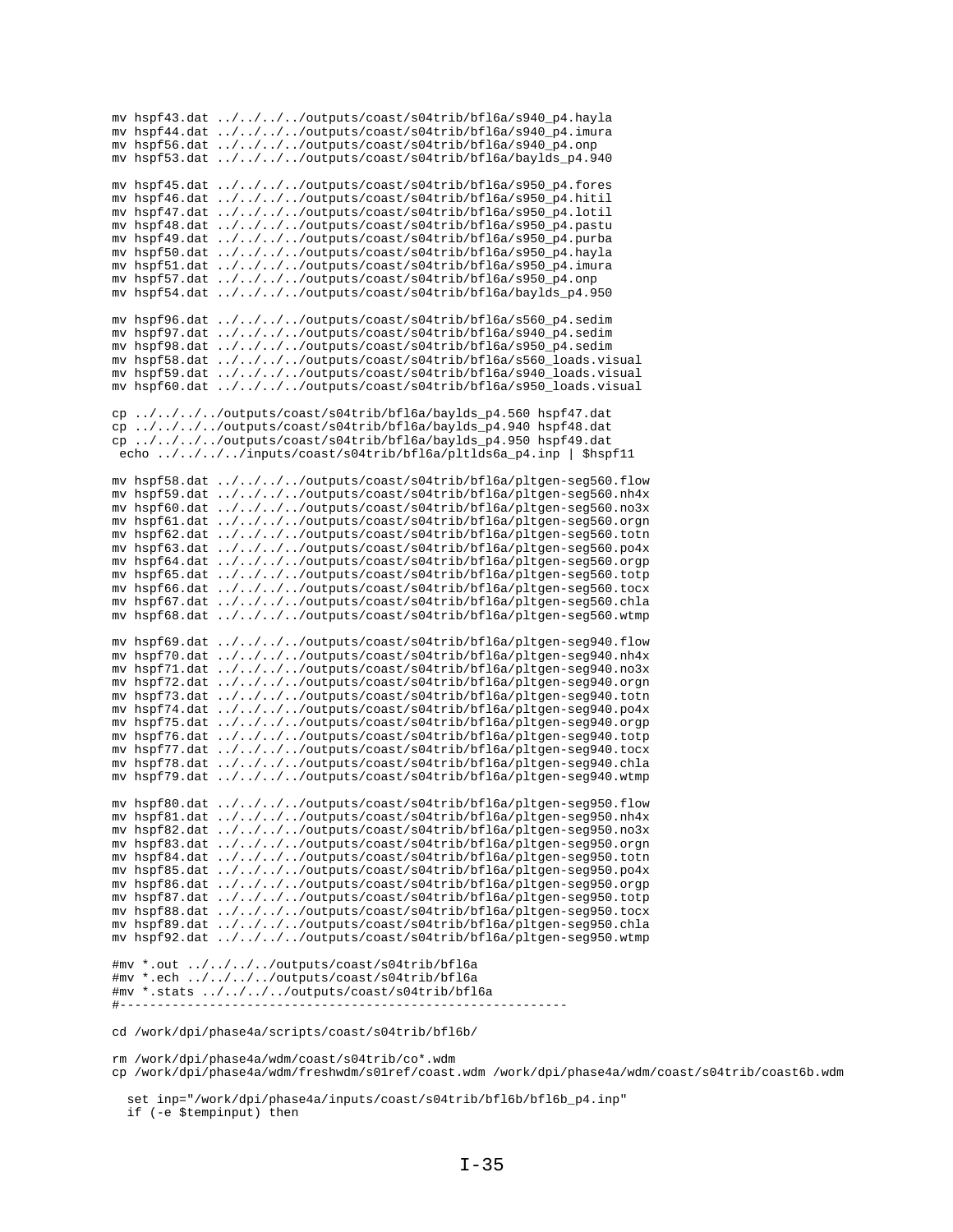|               | mv hspf43.dat ////outputs/coast/s04trib/bf16a/s940_p4.hayla            |
|---------------|------------------------------------------------------------------------|
|               | mv hspf44.dat ////outputs/coast/s04trib/bf16a/s940_p4.imura            |
|               | mv hspf56.dat ////outputs/coast/s04trib/bf16a/s940_p4.onp              |
| mv hspf53.dat | $\ldots/\ldots/\ldots$ /outputs/coast/s04trib/bfl6a/baylds_p4.940      |
|               |                                                                        |
| mv hspf45.dat | $\ldots/\ldots/\ldots$ /outputs/coast/s04trib/bfl6a/s950_p4.fores      |
| mv hspf46.dat | $\ldots/\ldots/\ldots$ /outputs/coast/s04trib/bf16a/s950_p4.hitil      |
| my hspf47.dat |                                                                        |
|               | ////outputs/coast/s04trib/bfl6a/s950_p4.lotil                          |
| my hspf48.dat | $\ldots/\ldots/\ldots$ /outputs/coast/s04trib/bfl6a/s950_p4.pastu      |
| mv hspf49.dat | $\ldots / \ldots / \ldots /$ outputs/coast/s04trib/bfl6a/s950_p4.purba |
| my hspf50.dat | $\ldots / \ldots / \ldots /$ outputs/coast/s04trib/bfl6a/s950_p4.hayla |
| mv hspf51.dat | $\ldots / \ldots / \ldots /$ outputs/coast/s04trib/bfl6a/s950_p4.imura |
| my hspf57.dat | ////outputs/coast/s04trib/bfl6a/s950_p4.onp                            |
| my hspf54.dat | ////outputs/coast/s04trib/bfl6a/baylds_p4.950                          |
|               |                                                                        |
| mv hspf96.dat | $\ldots/\ldots/\ldots$ /outputs/coast/s04trib/bfl6a/s560_p4.sedim      |
| my hspf97.dat | $\ldots/\ldots/\ldots$ /outputs/coast/s04trib/bfl6a/s940_p4.sedim      |
| mv hspf98.dat | $\ldots/\ldots/\ldots$ /outputs/coast/s04trib/bfl6a/s950_p4.sedim      |
| mv hspf58.dat | ////outputs/coast/s04trib/bfl6a/s560_loads.visual                      |
| mv hspf59.dat | ////outputs/coast/s04trib/bfl6a/s940_loads.visual                      |
|               |                                                                        |
| mv hspf60.dat | ////outputs/coast/s04trib/bfl6a/s950_loads.visual                      |
|               |                                                                        |
|               | cp ////outputs/coast/s04trib/bfl6a/baylds_p4.560 hspf47.dat            |
|               | cp ////outputs/coast/s04trib/bfl6a/baylds_p4.940 hspf48.dat            |
|               | cp ////outputs/coast/s04trib/bfl6a/baylds_p4.950 hspf49.dat            |
|               | echo ////inputs/coast/s04trib/bfl6a/pltlds6a_p4.inp   \$hspf11         |
|               |                                                                        |
| mv hspf58.dat | ////outputs/coast/s04trib/bfl6a/pltgen-seg560.flow                     |
| my hspf59.dat | ////outputs/coast/s04trib/bfl6a/pltgen-seg560.nh4x                     |
| mv hspf60.dat | ////outputs/coast/s04trib/bfl6a/pltgen-seg560.no3x                     |
|               | mv hspf61.dat ////outputs/coast/s04trib/bfl6a/pltgen-seg560.orgn       |
| mv hspf62.dat |                                                                        |
|               | ////outputs/coast/s04trib/bfl6a/pltgen-seg560.totn                     |
| mv hspf63.dat | ////outputs/coast/s04trib/bfl6a/pltgen-seg560.po4x                     |
| mv hspf64.dat | ////outputs/coast/s04trib/bfl6a/pltgen-seg560.orgp                     |
| mv hspf65.dat | ////outputs/coast/s04trib/bfl6a/pltgen-seg560.totp                     |
| mv hspf66.dat | ////outputs/coast/s04trib/bfl6a/pltgen-seg560.tocx                     |
| mv hspf67.dat | ////outputs/coast/s04trib/bfl6a/pltgen-seg560.chla                     |
| mv hspf68.dat | ////outputs/coast/s04trib/bfl6a/pltgen-seg560.wtmp                     |
|               |                                                                        |
| mv hspf69.dat | $\ldots/\ldots/\ldots$ /outputs/coast/s04trib/bfl6a/pltgen-seg940.flow |
| mv hspf70.dat | ////outputs/coast/s04trib/bfl6a/pltgen-seg940.nh4x                     |
| mv hspf71.dat | ////outputs/coast/s04trib/bfl6a/pltgen-seg940.no3x                     |
| mv hspf72.dat | ////outputs/coast/s04trib/bfl6a/pltgen-seg940.orgn                     |
| mv hspf73.dat | ////outputs/coast/s04trib/bfl6a/pltgen-seg940.totn                     |
|               |                                                                        |
| mv hspf74.dat | ////outputs/coast/s04trib/bfl6a/pltgen-seg940.po4x                     |
| my hspf75.dat | ////outputs/coast/s04trib/bfl6a/pltgen-seg940.orgp                     |
| mv hspf76.dat | ////outputs/coast/s04trib/bfl6a/pltgen-seg940.totp                     |
| mv hspf77.dat | ////outputs/coast/s04trib/bfl6a/pltgen-seg940.tocx                     |
| mv hspf78.dat | ////outputs/coast/s04trib/bfl6a/pltgen-seg940.chla                     |
| mv hspf79.dat | ////outputs/coast/s04trib/bfl6a/pltgen-seg940.wtmp                     |
|               |                                                                        |
|               | mv hspf80.dat ////outputs/coast/s04trib/bfl6a/pltgen-seg950.flow       |
|               | mv hspf81.dat ////outputs/coast/s04trib/bfl6a/pltgen-seg950.nh4x       |
|               | mv hspf82.dat ////outputs/coast/s04trib/bfl6a/pltgen-seg950.no3x       |
|               | mv hspf83.dat ////outputs/coast/s04trib/bfl6a/pltgen-seg950.orgn       |
|               | mv hspf84.dat ////outputs/coast/s04trib/bfl6a/pltgen-seq950.totn       |
|               |                                                                        |
|               | mv hspf85.dat ////outputs/coast/s04trib/bf16a/pltgen-seg950.po4x       |
|               | mv hspf86.dat ////outputs/coast/s04trib/bfl6a/pltgen-seg950.orgp       |
|               | mv hspf87.dat ////outputs/coast/s04trib/bf16a/pltgen-seg950.totp       |
|               | mv hspf88.dat ////outputs/coast/s04trib/bfl6a/pltgen-seq950.tocx       |
|               | mv hspf89.dat ////outputs/coast/s04trib/bf16a/pltgen-seg950.chla       |
|               | mv hspf92.dat ////outputs/coast/s04trib/bfl6a/pltgen-seg950.wtmp       |
|               |                                                                        |
|               | #mv *.out ////outputs/coast/s04trib/bfl6a                              |
|               | #mv *.ech ////outputs/coast/s04trib/bfl6a                              |
|               | #mv *.stats ////outputs/coast/s04trib/bfl6a                            |
|               |                                                                        |
|               |                                                                        |

cd /work/dpi/phase4a/scripts/coast/s04trib/bfl6b/

rm /work/dpi/phase4a/wdm/coast/s04trib/co\*.wdm

cp /work/dpi/phase4a/wdm/freshwdm/s01ref/coast.wdm /work/dpi/phase4a/wdm/coast/s04trib/coast6b.wdm

set inp="/work/dpi/phase4a/inputs/coast/s04trib/bfl6b/bfl6b\_p4.inp"

if (-e \$tempinput) then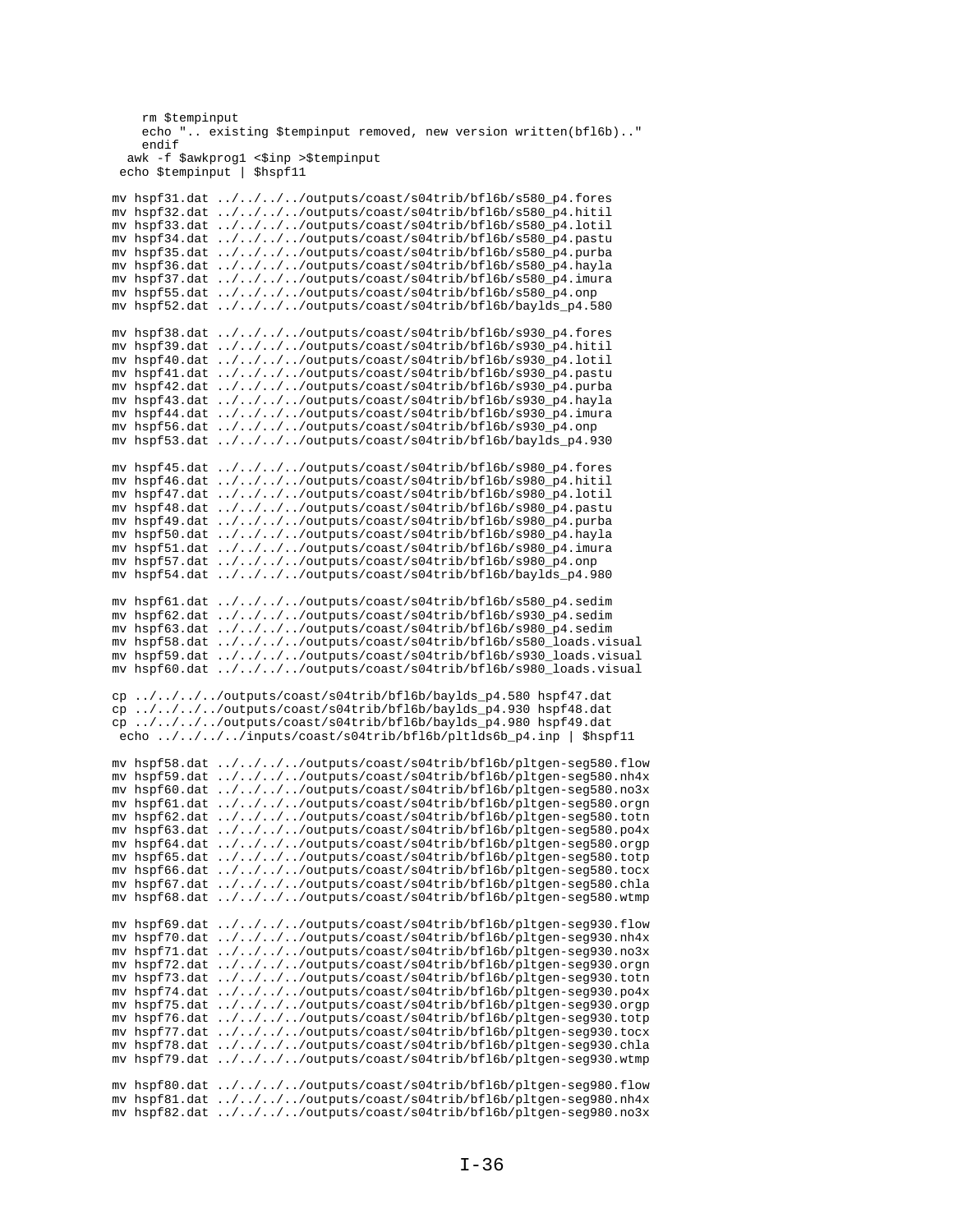```
rm $tempinput
    echo ".. existing $tempinput removed, new version written(bfl6b).."
    endif
  awk -f $awkprog1 <$inp >$tempinput
 echo $tempinput | $hspf11
mv hspf31.dat ../../../../outputs/coast/s04trib/bf16b/s580_p4.fores
mv hspf32.dat ../../../../outputs/coast/s04trib/bf16b/s580_p4.hitil
mv hspf33.dat ../../../../outputs/coast/s04trib/bf16b/s580_p4.lotil
mv hspf34.dat ../../../../outputs/coast/s04trib/bf16b/s580_p4.pastu
mv hspf35.dat ../../../../outputs/coast/s04trib/bf16b/s580_p4.purba
mv hspf36.dat ../../../../outputs/coast/s04trib/bf16b/s580_p4.hayla
mv hspf37.dat ../../../../outputs/coast/s04trib/bf16b/s580_p4.imura
mv hspf55.dat ../../../../outputs/coast/s04trib/bf16b/s580_p4.onp
mv hspf52.dat ../../../../outputs/coast/s04trib/bf16b/baylds_p4.580
mv hspf38.dat ../../../../outputs/coast/s04trib/bf16b/s930_p4.fores
mv hspf39.dat ../../../../outputs/coast/s04trib/bf16b/s930_p4.hitil
mv hspf40.dat ../../../../outputs/coast/s04trib/bf16b/s930_p4.lotil
mv hspf41.dat ../../../../outputs/coast/s04trib/bf16b/s930_p4.pastu
mv hspf42.dat ../../../../outputs/coast/s04trib/bf16b/s930_p4.purba
mv hspf43.dat ../../../../outputs/coast/s04trib/bf16b/s930_p4.hayla
mv hspf44.dat ../../../../outputs/coast/s04trib/bf16b/s930_p4.imura
mv hspf56.dat ../../../../outputs/coast/s04trib/bf16b/s930_p4.onp<br>mv hspf53.dat ../../../../outputs/coast/s04trib/bf16b/baylds_p4.930
mv hspf45.dat ../../../../outputs/coast/s04trib/bf16b/s980_p4.fores
mv hspf46.dat ../../../../outputs/coast/s04trib/bf16b/s980_p4.hitil
mv hspf47.dat ../../../../outputs/coast/s04trib/bf16b/s980_p4.lotil
mv hspf48.dat ../../../../outputs/coast/s04trib/bf16b/s980_p4.pastu
mv hspf49.dat ../../../../outputs/coast/s04trib/bf16b/s980_p4.purba
mv hspf50.dat ../../../../outputs/coast/s04trib/bf16b/s980_p4.hayla<br>mv hspf51.dat ../../../../outputs/coast/s04trib/bf16b/s980_p4.hayla
mv hspf57.dat ../../../../outputs/coast/s04trib/bf16b/s980_p4.onp
mv hspf54.dat ../../../../outputs/coast/s04trib/bf16b/baylds_p4.980
mv hspf61.dat ../../../../outputs/coast/s04trib/bf16b/s580_p4.sedim
mv hspf62.dat ../../../../outputs/coast/s04trib/bf16b/s930_p4.sedim
my hspf63.dat ../../../../outputs/coast/s04trib/bf16b/s980_p4.sedim
mv hspf58.dat ../../../../outputs/coast/s04trib/bf16b/s580_loads.visual
mv hspf59.dat ../../../../outputs/coast/s04trib/bf16b/s930_loads.visual
mv hspf60.dat ../../../../outputs/coast/s04trib/bf16b/s980_loads.visual
cp ../../../../outputs/coast/s04trib/bfl6b/baylds_p4.580 hspf47.dat
cp ../../../../outputs/coast/s04trib/bfl6b/baylds_p4.930 hspf48.dat
cp.../../../outputs/coast/s04trib/bf16b/baylds_p4.980 hspf49.dat
 echo ../../../../inputs/coast/s04trib/bfl6b/pltlds6b_p4.inp | $hspf11
mv hspf58.dat ../../../../outputs/coast/s04trib/bf16b/pltgen-seg580.flow
mv hspf59.dat ../../../../outputs/coast/s04trib/bf16b/pltgen-seg580.nh4x
mv hspf60.dat ../../../../outputs/coast/s04trib/bf16b/pltgen-seg580.no3x
mv hspf61.dat ../../../../outputs/coast/s04trib/bfl6b/pltgen-seg580.orgn
mv hspf62.dat ../../../../outputs/coast/s04trib/bfl6b/pltgen-seg580.totn
mv hspf63.dat ../../../../outputs/coast/s04trib/bf16b/pltgen-seg580.po4x
mv hspf64.dat ../../../../outputs/coast/s04trib/bf16b/pltgen-seg580.orgp
mv hspf65.dat ../../../../outputs/coast/s04trib/bf16b/pltgen-seg580.totp
mv hspf66.dat ../../../../outputs/coast/s04trib/bf16b/pltgen-seg580.tocx<br>mv hspf67.dat ../../../../outputs/coast/s04trib/bf16b/pltgen-seg580.chla
mv hspf68.dat ../../../../outputs/coast/s04trib/bf16b/pltgen-seg580.wtmp
mv hspf69.dat ../../../../outputs/coast/s04trib/bf16b/pltgen-seg930.flow
mv hspf70.dat ../../../../outputs/coast/s04trib/bf16b/pltgen-seq930.nh4x
mv hspf71.dat ../../../../outputs/coast/s04trib/bf16b/pltgen-seg930.no3x
mv hspf72.dat ../../../../outputs/coast/s04trib/bf16b/pltgen-seg930.orgn
mv hspf73.dat ../../../../outputs/coast/s04trib/bf16b/pltgen-seg930.totn
mv hspf74.dat ../../../../outputs/coast/s04trib/bf16b/pltgen-seg930.po4x
mv hspf75.dat ../../../../outputs/coast/s04trib/bf16b/pltgen-seg930.orgp
mv hspf76.dat ../../../../outputs/coast/s04trib/bf16b/pltgen-seg930.totp
mv hspf77.dat ../../../../outputs/coast/s04trib/bf16b/pltgen-seg930.tocx
mv hspf78.dat ../../../../outputs/coast/s04trib/bf16b/pltgen-seg930.chla
mv hspf79.dat ../../../../outputs/coast/s04trib/bf16b/pltgen-seg930.wtmp
mv hspf80.dat ../../../../outputs/coast/s04trib/bf16b/pltgen-seg980.flow
mv hspf81.dat ../../../../outputs/coast/s04trib/bf16b/pltgen-seg980.nh4x
mv hspf82.dat ../../../../outputs/coast/s04trib/bf16b/pltgen-seg980.no3x
```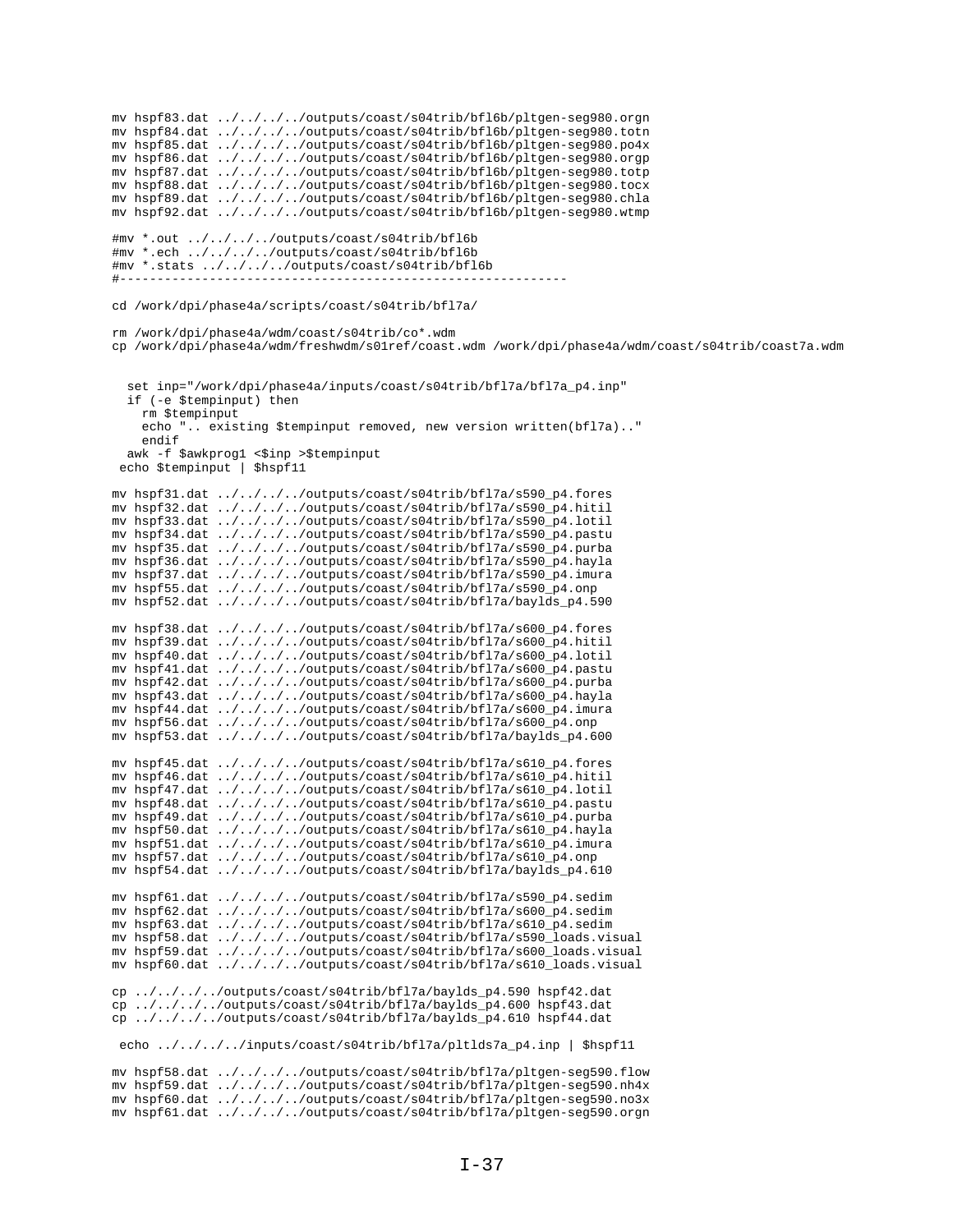mv hspf83.dat ../../../../outputs/coast/s04trib/bf16b/pltgen-seg980.orgn mv hspf84.dat ../../../../outputs/coast/s04trib/bf16b/pltgen-seg980.totn mv hspf85.dat ../../../../outputs/coast/s04trib/bf16b/pltgen-seg980.po4x mv hspf86.dat ../../../../outputs/coast/s04trib/bf16b/pltgen-seg980.orgp mv hspf87.dat ../../../../outputs/coast/s04trib/bf16b/pltgen-seg980.totp mv hspf88.dat ../../../../outputs/coast/s04trib/bfl6b/pltgen-seg980.tocx mv hspf89.dat ../../../../outputs/coast/s04trib/bf16b/pltgen-seg980.chla mv hspf92.dat ../../../../outputs/coast/s04trib/bf16b/pltgen-seg980.wtmp #mv \*.out ../../../../outputs/coast/s04trib/bf16b #mv \*.ech ../../../../outputs/coast/s04trib/bf16b #mv \*.stats ../../../../outputs/coast/s04trib/bf16b  $\#$  - - - - - - - cd /work/dpi/phase4a/scripts/coast/s04trib/bfl7a/ rm /work/dpi/phase4a/wdm/coast/s04trib/co\*.wdm cp /work/dpi/phase4a/wdm/freshwdm/s01ref/coast.wdm /work/dpi/phase4a/wdm/coast/s04trib/coast7a.wdm set inp="/work/dpi/phase4a/inputs/coast/s04trib/bfl7a/bfl7a\_p4.inp" if (-e \$tempinput) then rm \$tempinput echo ".. existing \$tempinput removed, new version written(bfl7a).." endif awk -f \$awkprog1 <\$inp >\$tempinput echo \$tempinput | \$hspf11 mv hspf31.dat ../../../../outputs/coast/s04trib/bfl7a/s590\_p4.fores mv hspf32.dat ../../../../outputs/coast/s04trib/bfl7a/s590\_p4.hitil mv hspf33.dat ../../../../outputs/coast/s04trib/bfl7a/s590\_p4.lotil mv hspf34.dat ../../../../outputs/coast/s04trib/bfl7a/s590\_p4.pastu mv hspf35.dat ../../../../outputs/coast/s04trib/bf17a/s590\_p4.purba mv hspf36.dat ../../../../outputs/coast/s04trib/bfl7a/s590\_p4.hayla mv hspf37.dat ../../../../outputs/coast/s04trib/bfl7a/s590\_p4.imura mv hspf55.dat ../../../../outputs/coast/s04trib/bfl7a/s590\_p4.onp mv hspf52.dat ../../../../outputs/coast/s04trib/bf17a/baylds\_p4.590 my hspf38.dat ../../../../outputs/coast/s04trib/bfl7a/s600 p4.fores mv hspf39.dat ../../../../outputs/coast/s04trib/bfl7a/s600\_p4.hitil mv hspf40.dat ../../../../outputs/coast/s04trib/bfl7a/s600\_p4.lotil mv hspf41.dat ../../../../outputs/coast/s04trib/bf17a/s600\_p4.pastu mv hspf42.dat ../../../../outputs/coast/s04trib/bf17a/s600\_p4.purba<br>mv hspf43.dat ../../../../outputs/coast/s04trib/bf17a/s600\_p4.hayla mv hspf44.dat ../../../../outputs/coast/s04trib/bfl7a/s600\_p4.imura mv hspf56.dat ../../../../outputs/coast/s04trib/bfl7a/s600 $p$ 4.onp<br>mv hspf53.dat ../../../../outputs/coast/s04trib/bfl7a/baylds\_p4.600 mv hspf45.dat ../../../../outputs/coast/s04trib/bf17a/s610\_p4.fores mv hspf46.dat ../../../../outputs/coast/s04trib/bf17a/s610\_p4.hitil mv hspf47.dat ../../../../outputs/coast/s04trib/bfl7a/s610\_p4.lotil mv hspf48.dat ../../../../outputs/coast/s04trib/bfl7a/s610\_p4.pastu mv hspf49.dat ../../../../outputs/coast/s04trib/bfl7a/s610\_p4.purba mv hspf50.dat ../../../../outputs/coast/s04trib/bf17a/s610\_p4.hayla mv hspf51.dat ../../../../outputs/coast/s04trib/bf17a/s610\_p4.imura mv hspf57.dat ../../../../outputs/coast/s04trib/bf17a/s610\_p4.onp mv hspf54.dat ../../../../outputs/coast/s04trib/bfl7a/baylds\_p4.610 mv hspf61.dat ../../../../outputs/coast/s04trib/bf17a/s590\_p4.sedim mv hspf62.dat ../../../../outputs/coast/s04trib/bfl7a/s600\_p4.sedim mv hspf63.dat ../../../../outputs/coast/s04trib/bfl7a/s610\_p4.sedim mv hspf58.dat ../../../../outputs/coast/s04trib/bf17a/s590\_loads.visual mv hspf59.dat ../../../../outputs/coast/s04trib/bfl7a/s600\_loads.visual mv hspf60.dat ../../../../outputs/coast/s04trib/bfl7a/s610\_loads.visual cp ../../../../outputs/coast/s04trib/bfl7a/baylds\_p4.590 hspf42.dat cp ../../../../outputs/coast/s04trib/bfl7a/baylds\_p4.600 hspf43.dat cp ../../../../outputs/coast/s04trib/bfl7a/baylds\_p4.610 hspf44.dat echo ../../../../inputs/coast/s04trib/bfl7a/pltlds7a\_p4.inp | \$hspf11 mv hspf58.dat ../../../../outputs/coast/s04trib/bfl7a/pltgen-seg590.flow mv hspf59.dat ../../../../outputs/coast/s04trib/bfl7a/pltgen-seg590.nh4x mv hspf60.dat ../../../../outputs/coast/s04trib/bf17a/pltgen-seg590.no3x

mv hspf61.dat ../../../../outputs/coast/s04trib/bf17a/pltgen-seg590.orgn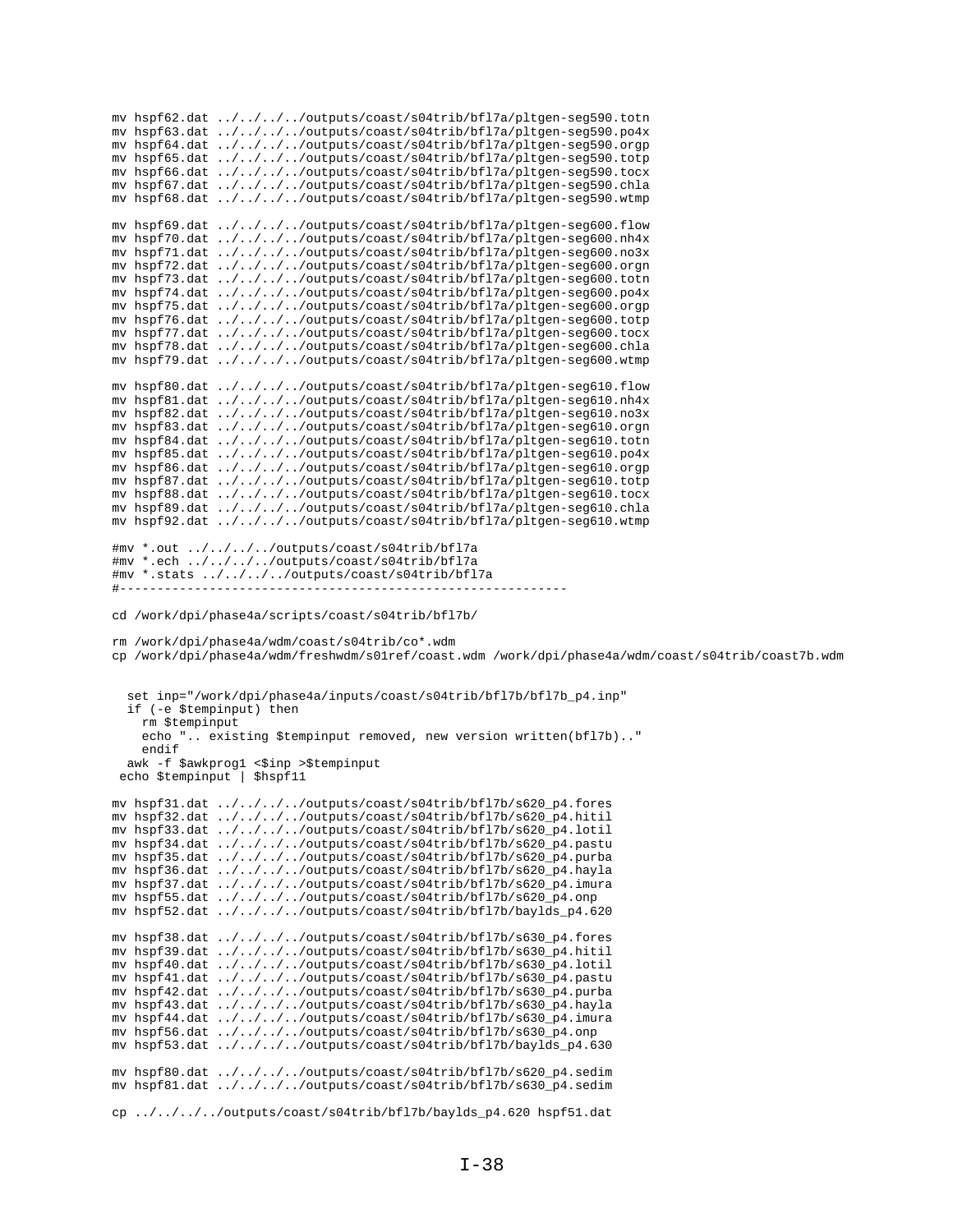mv hspf62.dat ../../../../outputs/coast/s04trib/bfl7a/pltgen-seg590.totn mv hspf63.dat ../../../../outputs/coast/s04trib/bfl7a/pltgen-seg590.po4x mv hspf64.dat ../../../../outputs/coast/s04trib/bfl7a/pltgen-seg590.orgp mv hspf65.dat ../../../../outputs/coast/s04trib/bfl7a/pltgen-seg590.totp mv hspf66.dat ../../../../outputs/coast/s04trib/bfl7a/pltgen-seg590.tocx mv hspf67.dat ../../../../outputs/coast/s04trib/bfl7a/pltgen-seg590.chla mv hspf68.dat ../../../../outputs/coast/s04trib/bfl7a/pltgen-seg590.wtmp mv hspf69.dat ../../../../outputs/coast/s04trib/bfl7a/pltgen-seg600.flow mv hspf70.dat ../../../../outputs/coast/s04trib/bfl7a/pltgen-seg600.nh4x mv hspf71.dat ../../../../outputs/coast/s04trib/bfl7a/pltgen-seg600.no3x mv hspf72.dat ../../../../outputs/coast/s04trib/bfl7a/pltgen-seg600.orgn mv hspf73.dat ../../../../outputs/coast/s04trib/bfl7a/pltgen-seg600.totn mv hspf74.dat ../../../../outputs/coast/s04trib/bfl7a/pltgen-seg600.po4x mv hspf75.dat ../../../../outputs/coast/s04trib/bfl7a/pltgen-seg600.orgp mv hspf76.dat ../../../../outputs/coast/s04trib/bfl7a/pltgen-seg600.totp mv hspf77.dat ../../../../outputs/coast/s04trib/bfl7a/pltgen-seg600.tocx mv hspf78.dat ../../../../outputs/coast/s04trib/bfl7a/pltgen-seg600.chla mv hspf79.dat ../../../../outputs/coast/s04trib/bfl7a/pltgen-seg600.wtmp mv hspf80.dat ../../../../outputs/coast/s04trib/bfl7a/pltgen-seg610.flow mv hspf81.dat ../../../../outputs/coast/s04trib/bfl7a/pltgen-seg610.nh4x mv hspf82.dat ../../../../outputs/coast/s04trib/bfl7a/pltgen-seg610.no3x mv hspf83.dat ../../../../outputs/coast/s04trib/bfl7a/pltgen-seg610.orgn mv hspf84.dat ../../../../outputs/coast/s04trib/bfl7a/pltgen-seg610.totn mv hspf85.dat ../../../../outputs/coast/s04trib/bfl7a/pltgen-seg610.po4x mv hspf86.dat ../../../../outputs/coast/s04trib/bfl7a/pltgen-seg610.orgp mv hspf87.dat ../../../../outputs/coast/s04trib/bfl7a/pltgen-seg610.totp mv hspf88.dat ../../../../outputs/coast/s04trib/bfl7a/pltgen-seg610.tocx mv hspf89.dat ../../../../outputs/coast/s04trib/bfl7a/pltgen-seg610.chla mv hspf92.dat ../../../../outputs/coast/s04trib/bfl7a/pltgen-seg610.wtmp #mv \*.out ../../../../outputs/coast/s04trib/bfl7a #mv \*.ech ../../../../outputs/coast/s04trib/bfl7a #mv \*.stats ../../../../outputs/coast/s04trib/bfl7a #----------------------------------------------------------- cd /work/dpi/phase4a/scripts/coast/s04trib/bfl7b/ rm /work/dpi/phase4a/wdm/coast/s04trib/co\*.wdm cp /work/dpi/phase4a/wdm/freshwdm/s01ref/coast.wdm /work/dpi/phase4a/wdm/coast/s04trib/coast7b.wdm set inp="/work/dpi/phase4a/inputs/coast/s04trib/bfl7b/bfl7b\_p4.inp" if (-e \$tempinput) then rm \$tempinput echo ".. existing \$tempinput removed, new version written(bfl7b).." endif awk -f \$awkprog1 <\$inp >\$tempinput echo \$tempinput | \$hspf11 mv hspf31.dat ../../../../outputs/coast/s04trib/bfl7b/s620\_p4.fores mv hspf32.dat ../../../../outputs/coast/s04trib/bfl7b/s620\_p4.hitil mv hspf33.dat ../../../../outputs/coast/s04trib/bfl7b/s620\_p4.lotil mv hspf34.dat ../../../../outputs/coast/s04trib/bfl7b/s620\_p4.pastu mv hspf35.dat ../../../../outputs/coast/s04trib/bfl7b/s620\_p4.purba mv hspf36.dat ../../../../outputs/coast/s04trib/bfl7b/s620\_p4.hayla mv hspf37.dat ../../../../outputs/coast/s04trib/bfl7b/s620\_p4.imura mv hspf55.dat ../../../../outputs/coast/s04trib/bfl7b/s620\_p4.onp mv hspf52.dat  $\ldots/\ldots/\ldots$ /outputs/coast/s04trib/bfl7b/baylds p4.620 mv hspf38.dat ../../../../outputs/coast/s04trib/bfl7b/s630\_p4.fores mv hspf39.dat ../../../../outputs/coast/s04trib/bfl7b/s630\_p4.hitil mv hspf40.dat ../../../../outputs/coast/s04trib/bfl7b/s630\_p4.lotil mv hspf41.dat ../../../../outputs/coast/s04trib/bfl7b/s630\_p4.pastu mv hspf42.dat ../../../../outputs/coast/s04trib/bfl7b/s630\_p4.purba mv hspf43.dat ../../../../outputs/coast/s04trib/bfl7b/s630\_p4.hayla mv hspf44.dat ../../../../outputs/coast/s04trib/bfl7b/s630\_p4.imura mv hspf56.dat ../../../../outputs/coast/s04trib/bfl7b/s630\_p4.onp mv hspf53.dat ../../../../outputs/coast/s04trib/bfl7b/baylds\_p4.630 mv hspf80.dat ../../../../outputs/coast/s04trib/bfl7b/s620\_p4.sedim mv hspf81.dat ../../../../outputs/coast/s04trib/bfl7b/s630\_p4.sedim

cp ../../../../outputs/coast/s04trib/bfl7b/baylds\_p4.620 hspf51.dat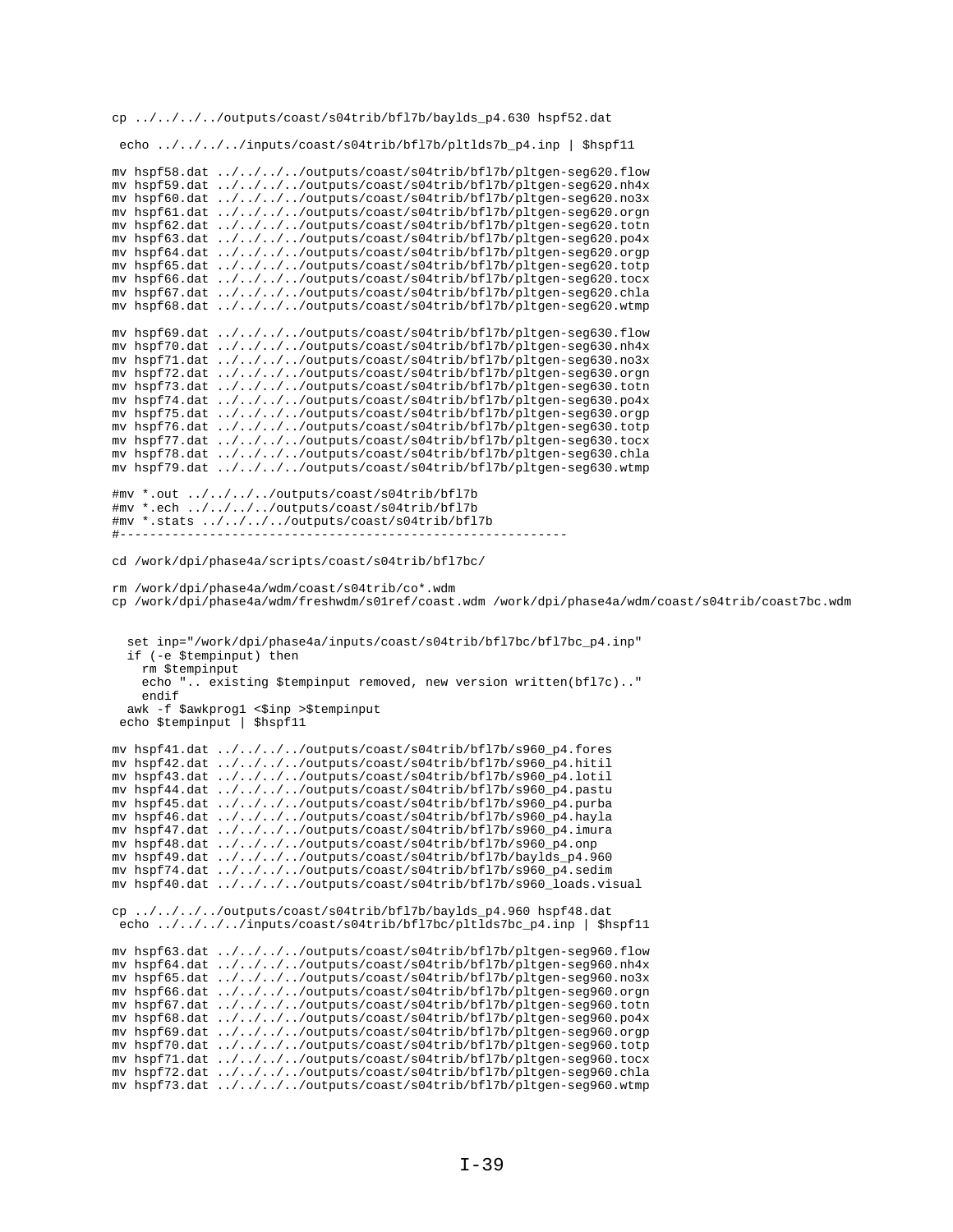cp ../../../../outputs/coast/s04trib/bfl7b/baylds\_p4.630 hspf52.dat

echo ../../../../inputs/coast/s04trib/bfl7b/pltlds7b\_p4.inp | \$hspf11

```
mv hspf58.dat ../../../../outputs/coast/s04trib/bf17b/pltgen-seg620.flow
mv hspf59.dat ../../../../outputs/coast/s04trib/bfl7b/pltgen-seg620.nh4x
mv hspf60.dat ../../../../outputs/coast/s04trib/bfl7b/pltgen-seg620.no3x
mv hspf61.dat ../../../../outputs/coast/s04trib/bfl7b/pltgen-seg620.orgn
mv hspf62.dat ../../../../outputs/coast/s04trib/bfl7b/pltgen-seg620.totn
mv hspf63.dat ../../../../outputs/coast/s04trib/bfl7b/pltgen-seg620.po4x
mv hspf64.dat ../../../../outputs/coast/s04trib/bfl7b/pltgen-seg620.orgp
mv hspf65.dat ../../../../outputs/coast/s04trib/bfl7b/pltgen-seg620.totp
mv hspf66.dat ../../../../outputs/coast/s04trib/bfl7b/pltgen-seg620.tocx
mv hspf67.dat ../../../../outputs/coast/s04trib/bf17b/pltgen-seg620.chla
mv hspf68.dat ../../../../outputs/coast/s04trib/bfl7b/pltgen-seg620.wtmp
mv hspf69.dat ../../../../outputs/coast/s04trib/bfl7b/pltgen-seg630.flow
mv hspf70.dat ../../../../outputs/coast/s04trib/bfl7b/pltgen-seg630.nh4x
mv hspf71.dat ../../../../outputs/coast/s04trib/bfl7b/pltgen-seg630.no3x
mv hspf72.dat ../../../../outputs/coast/s04trib/bfl7b/pltgen-seg630.orgn
mv hspf73.dat ../../../../outputs/coast/s04trib/bfl7b/pltgen-seg630.totn
mv hspf74.dat ../../../../outputs/coast/s04trib/bfl7b/pltgen-seg630.po4x
mv hspf75.dat ../../../../outputs/coast/s04trib/bfl7b/pltgen-seg630.orgp
\verb|mv hspf76.dat | ../../../outputs/coast/s04trib/bf17b/pltgen-seg630.totpmv hspf77.dat ../../../../outputs/coast/s04trib/bfl7b/pltgen-seg630.tocx
mv hspf78.dat ../../../../outputs/coast/s04trib/bfl7b/pltgen-seg630.chla
mv hspf79.dat ../../../../outputs/coast/s04trib/bfl7b/pltgen-seg630.wtmp
#mv *.out ../../../../outputs/coast/s04trib/bfl7b
#mv *.ech ../../../../outputs/coast/s04trib/bf17b
#mv *.stats ../../../../outputs/coast/s04trib/bfl7b
# - - - - - - - -
            cd /work/dpi/phase4a/scripts/coast/s04trib/bfl7bc/
rm /work/dpi/phase4a/wdm/coast/s04trib/co*.wdm
cp /work/dpi/phase4a/wdm/freshwdm/s01ref/coast.wdm /work/dpi/phase4a/wdm/coast/s04trib/coast7bc.wdm
  set inp="/work/dpi/phase4a/inputs/coast/s04trib/bfl7bc/bfl7bc_p4.inp"
  if (-e $tempinput) then
   rm $tempinput
    echo ". existing $tempinput removed, new version written(bfl7c).."
   endif
  awk -f $awkprog1 <$inp >$tempinput
echo $tempinput | $hspf11
mv hspf41.dat ../../../../outputs/coast/s04trib/bf17b/s960_p4.fores
mv hspf42.dat ../../../../outputs/coast/s04trib/bf17b/s960_p4.hitil
mv hspf43.dat ../../../../outputs/coast/s04trib/bf17b/s960_p4.lotil
mv hspf44.dat ../../../../outputs/coast/s04trib/bf17b/s960_p4.pastu
mv hspf45.dat ../../../../outputs/coast/s04trib/bfl7b/s960_p4.purba
mv hspf46.dat ../../../../outputs/coast/s04trib/bfl7b/s960_p4.hayla
mv hspf47.dat ../../../../outputs/coast/s04trib/bfl7b/s960_p4.imura
\verb|mv hspf48.dat | .. / .. / .. / .. / outputs / coast / s04trib/bf17b / s960_p4. on pmv hspf49.dat ../../../../outputs/coast/s04trib/bfl7b/baylds_p4.960
mv hspf74.dat ../../../../outputs/coast/s04trib/bfl7b/s960_p4.sedim<br>mv hspf40.dat ../../../../outputs/coast/s04trib/bfl7b/s960_loads.visual
cp../../../../outputs/coast/s04trib/bfl7b/baylds p4.960 hspf48.dat
echo ../../../../inputs/coast/s04trib/bfl7bc/pltlds7bc_p4.inp | $hspf11
mv hspf63.dat ../../../../outputs/coast/s04trib/bfl7b/pltgen-seg960.flow
mv hspf64.dat ../../../../outputs/coast/s04trib/bf17b/pltgen-seg960.nh4x
mv hspf65.dat ../../../../outputs/coast/s04trib/bfl7b/pltgen-seg960.no3x
mv hspf66.dat ../../../../outputs/coast/s04trib/bf17b/pltgen-seg960.orgn
mv hspf67.dat ../../../../outputs/coast/s04trib/bf17b/pltgen-seg960.totn
mv hspf68.dat ../../../../outputs/coast/s04trib/bf17b/pltgen-seg960.po4x
mv hspf69.dat ../../../../outputs/coast/s04trib/bfl7b/pltgen-seg960.orgp
mv hspf70.dat ../../../../outputs/coast/s04trib/bf17b/pltgen-seg960.totp
mv hspf71.dat ../../../../outputs/coast/s04trib/bf17b/pltgen-seg960.tocx
mv hspf72.dat ../../../../outputs/coast/s04trib/bfl7b/pltgen-seg960.chla
mv hspf73.dat ../../../../outputs/coast/s04trib/bfl7b/pltgen-seg960.wtmp
```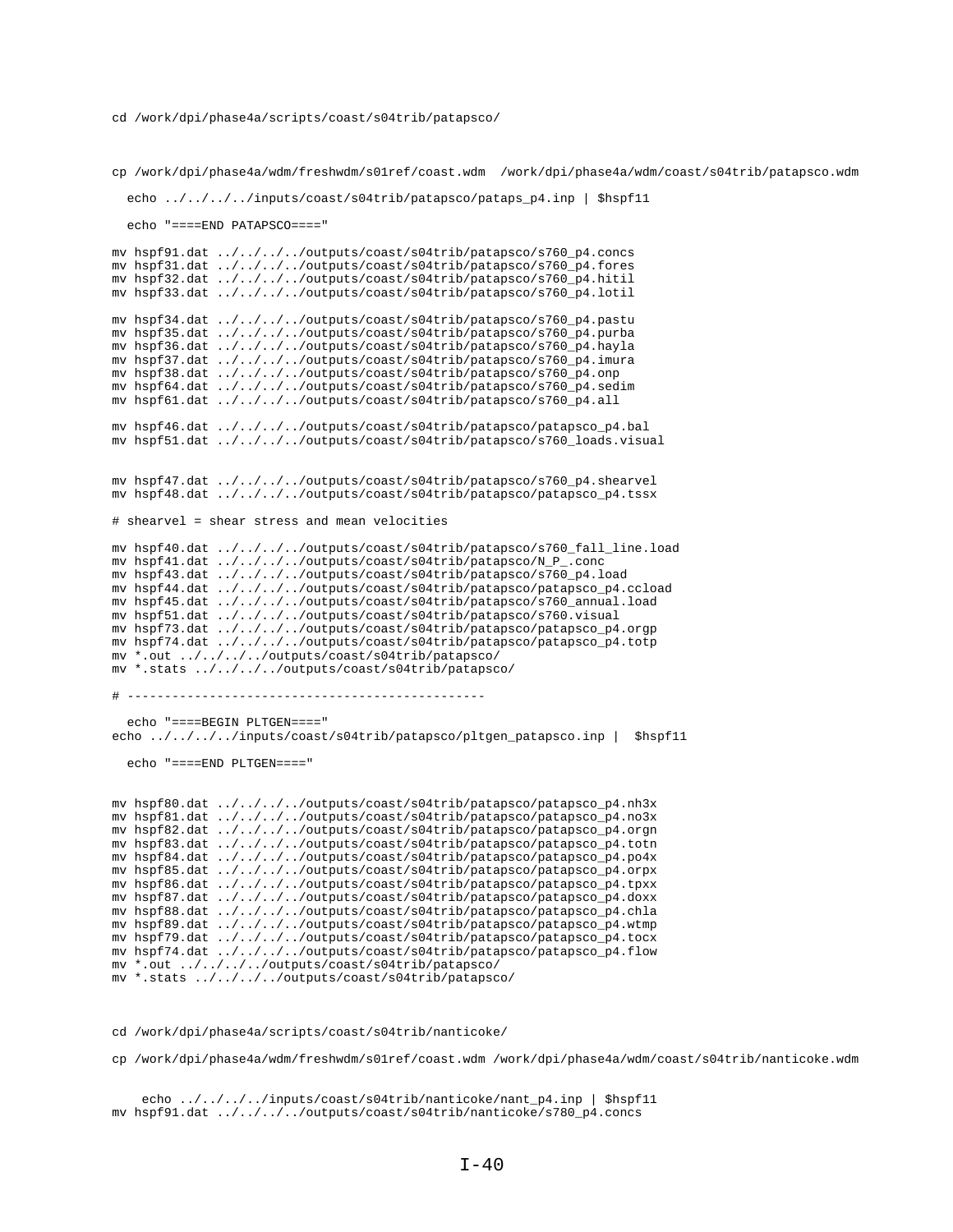cp /work/dpi/phase4a/wdm/freshwdm/s01ref/coast.wdm /work/dpi/phase4a/wdm/coast/s04trib/patapsco.wdm

```
 echo ../../../../inputs/coast/s04trib/patapsco/pataps_p4.inp | $hspf11
```
echo "====END PATAPSCO===="

mv hspf91.dat ../../../../outputs/coast/s04trib/patapsco/s760\_p4.concs mv hspf31.dat ../../../../outputs/coast/s04trib/patapsco/s760\_p4.fores mv hspf32.dat ../../../../outputs/coast/s04trib/patapsco/s760\_p4.hitil mv hspf33.dat ../../../../outputs/coast/s04trib/patapsco/s760\_p4.lotil mv hspf34.dat ../../../../outputs/coast/s04trib/patapsco/s760\_p4.pastu mv hspf35.dat ../../../../outputs/coast/s04trib/patapsco/s760\_p4.purba mv hspf36.dat ../../../../outputs/coast/s04trib/patapsco/s760\_p4.hayla mv hspf37.dat ../../../../outputs/coast/s04trib/patapsco/s760\_p4.imura mv hspf38.dat ../../../../outputs/coast/s04trib/patapsco/s760\_p4.onp mv hspf64.dat ../../../../outputs/coast/s04trib/patapsco/s760\_p4.sedim mv hspf61.dat ../../../../outputs/coast/s04trib/patapsco/s760\_p4.all mv hspf46.dat ../../../../outputs/coast/s04trib/patapsco/patapsco\_p4.bal mv hspf51.dat ../../../../outputs/coast/s04trib/patapsco/s760\_loads.visual mv hspf47.dat ../../../../outputs/coast/s04trib/patapsco/s760\_p4.shearvel mv hspf48.dat ../../../../outputs/coast/s04trib/patapsco/patapsco\_p4.tssx # shearvel = shear stress and mean velocities mv hspf40.dat ../../../../outputs/coast/s04trib/patapsco/s760\_fall\_line.load mv hspf41.dat ../../../../outputs/coast/s04trib/patapsco/N\_P\_.conc mv hspf43.dat ../../../../outputs/coast/s04trib/patapsco/s760\_p4.load mv hspf44.dat ../../../../outputs/coast/s04trib/patapsco/patapsco\_p4.ccload mv hspf45.dat ../../../../outputs/coast/s04trib/patapsco/s760\_annual.load mv hspf51.dat ../../../../outputs/coast/s04trib/patapsco/s760.visual mv hspf73.dat ../../../../outputs/coast/s04trib/patapsco/patapsco\_p4.orgp mv hspf74.dat ../../../../outputs/coast/s04trib/patapsco/patapsco\_p4.totp mv \*.out ../../../../outputs/coast/s04trib/patapsco/ mv \*.stats ../../../../outputs/coast/s04trib/patapsco/ # ----------------------------------------------- echo "====BEGIN PLTGEN====" echo ../../../../inputs/coast/s04trib/patapsco/pltgen\_patapsco.inp | \$hspf11 echo "====END PLTGEN====" mv hspf80.dat ../../../../outputs/coast/s04trib/patapsco/patapsco\_p4.nh3x mv hspf81.dat ../../../../outputs/coast/s04trib/patapsco/patapsco\_p4.no3x mv hspf82.dat ../../../../outputs/coast/s04trib/patapsco/patapsco\_p4.orgn mv hspf83.dat ../../../../outputs/coast/s04trib/patapsco/patapsco\_p4.totn mv hspf84.dat ../../../../outputs/coast/s04trib/patapsco/patapsco\_p4.po4x mv hspf85.dat ../../../../outputs/coast/s04trib/patapsco/patapsco\_p4.orpx mv hspf86.dat ../../../../outputs/coast/s04trib/patapsco/patapsco\_p4.tpxx mv hspf87.dat ../../../../outputs/coast/s04trib/patapsco/patapsco\_p4.doxx mv hspf88.dat ../../../../outputs/coast/s04trib/patapsco/patapsco\_p4.chla mv hspf89.dat ../../../../outputs/coast/s04trib/patapsco/patapsco\_p4.wtmp mv hspf79.dat ../../../../outputs/coast/s04trib/patapsco/patapsco\_p4.tocx mv hspf74.dat ../../../../outputs/coast/s04trib/patapsco/patapsco\_p4.flow mv \*.out ../../../../outputs/coast/s04trib/patapsco/

mv \*.stats ../../../../outputs/coast/s04trib/patapsco/

cd /work/dpi/phase4a/scripts/coast/s04trib/nanticoke/

cp /work/dpi/phase4a/wdm/freshwdm/s01ref/coast.wdm /work/dpi/phase4a/wdm/coast/s04trib/nanticoke.wdm

 echo ../../../../inputs/coast/s04trib/nanticoke/nant\_p4.inp | \$hspf11 mv hspf91.dat ../../../../outputs/coast/s04trib/nanticoke/s780\_p4.concs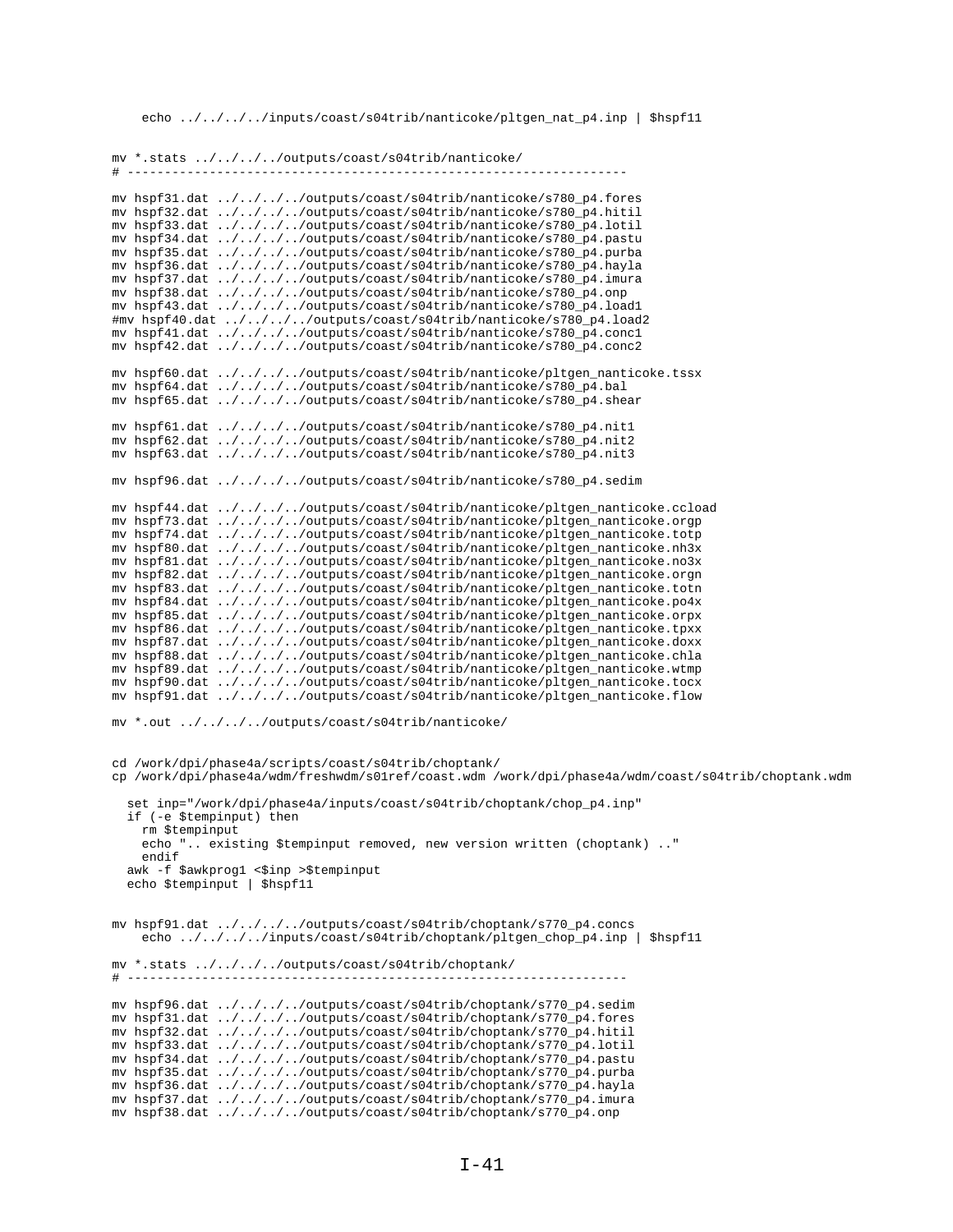echo ../../../../inputs/coast/s04trib/nanticoke/pltgen\_nat\_p4.inp | \$hspf11

mv \*.stats ../../../../outputs/coast/s04trib/nanticoke/  $#$  -----. \_ \_ \_ \_ \_ \_ \_ \_ \_ \_ \_ \_ \_ \_ mv hspf31.dat ../../../../outputs/coast/s04trib/nanticoke/s780\_p4.fores mv hspf32.dat ../../../../outputs/coast/s04trib/nanticoke/s780\_p4.hitil mv hspf33.dat ../../../../outputs/coast/s04trib/nanticoke/s780\_p4.lotil mv hspf34.dat ../../../../outputs/coast/s04trib/nanticoke/s780\_p4.pastu mv hspf35.dat ../../../../outputs/coast/s04trib/nanticoke/s780\_p4.purba mv hspf36.dat ../../../../outputs/coast/s04trib/nanticoke/s780\_p4.hayla mv hspf37.dat ../../../../outputs/coast/s04trib/nanticoke/s780\_p4.imura<br>mv hspf38.dat ../../../../outputs/coast/s04trib/nanticoke/s780\_p4.onp mv hspf43.dat ../../../../outputs/coast/s04trib/nanticoke/s780\_p4.load1 #mv hspf40.dat ../../../../outputs/coast/s04trib/nanticoke/s780\_p4.load2 mv hspf41.dat ../../../../outputs/coast/s04trib/nanticoke/s780\_p4.conc1 mv hspf42.dat ../../../../outputs/coast/s04trib/nanticoke/s780\_p4.conc2  $\verb|mv hspf60.dat | ../../../../outputs/coast/s04trib/nanticoke/pltgen\_nanticoke.tssx$ mv hspf64.dat ../../../../outputs/coast/s04trib/nanticoke/s780\_p4.bal mv hspf65.dat ../../../../outputs/coast/s04trib/nanticoke/s780\_p4.shear mv hspf61.dat ../../../../outputs/coast/s04trib/nanticoke/s780\_p4.nit1 mv hspf62.dat ../../../outputs/coast/s04trib/nanticoke/s780\_p4.nit2 mv hspf63.dat ../../../../outputs/coast/s04trib/nanticoke/s780\_p4.nit3 mv hspf96.dat ../../../../outputs/coast/s04trib/nanticoke/s780\_p4.sedim mv hspf44.dat ../../../../outputs/coast/s04trib/nanticoke/pltgen\_nanticoke.ccload mv hspf73.dat ../../../../outputs/coast/s04trib/nanticoke/pltgen\_nanticoke.orgp mv hspf74.dat ../../../../outputs/coast/s04trib/nanticoke/pltgen\_nanticoke.totp mv hspf80.dat ../../../../outputs/coast/s04trib/nanticoke/pltgen\_nanticoke.nh3x mv hspf81.dat ../../../../outputs/coast/s04trib/nanticoke/pltgen\_nanticoke.no3x mv hspf82.dat ../../../../outputs/coast/s04trib/nanticoke/pltgen\_nanticoke.orgn mv hspf83.dat ../../../../outputs/coast/s04trib/nanticoke/pltgen\_nanticoke.totn mv hspf84.dat ../../../../outputs/coast/s04trib/nanticoke/pltgen\_nanticoke.po4x mv hspf85.dat ../../../../outputs/coast/s04trib/nanticoke/pltgen\_nanticoke.orpx mv hspf86.dat ../../../../outputs/coast/s04trib/nanticoke/pltgen\_nanticoke.tpxx mv hspf87.dat ../../../../outputs/coast/s04trib/nanticoke/pltgen\_nanticoke.doxx mv hspf88.dat ../../../../outputs/coast/s04trib/nanticoke/pltgen\_nanticoke.chla mv hspf89.dat ../../../../outputs/coast/s04trib/nanticoke/pltgen\_nanticoke.wtmp mv hspf90.dat ../../../../outputs/coast/s04trib/nanticoke/pltgen\_nanticoke.tocx<br>mv hspf91.dat ../../../../outputs/coast/s04trib/nanticoke/pltgen\_nanticoke.flow mv \*.out ../../../../outputs/coast/s04trib/nanticoke/ cd /work/dpi/phase4a/scripts/coast/s04trib/choptank/ cp /work/dpi/phase4a/wdm/freshwdm/s01ref/coast.wdm /work/dpi/phase4a/wdm/coast/s04trib/choptank.wdm set inp="/work/dpi/phase4a/inputs/coast/s04trib/choptank/chop\_p4.inp" if (-e \$tempinput) then rm \$tempinput echo ".. existing \$tempinput removed, new version written (choptank) .." endif awk -f \$awkprog1 <\$inp >\$tempinput echo \$tempinput | \$hspf11 mv hspf91.dat ../../../../outputs/coast/s04trib/choptank/s770\_p4.concs echo ../../../inputs/coast/s04trib/choptank/pltgen\_chop\_p4.inp | \$hspf11 mv \*.stats ../../../../outputs/coast/s04trib/choptank/  $\#$  ----mv hspf96.dat ../../../../outputs/coast/s04trib/choptank/s770\_p4.sedim mv hspf31.dat ../../../../outputs/coast/s04trib/choptank/s770\_p4.fores mv hspf32.dat ../../../../outputs/coast/s04trib/choptank/s770\_p4.hitil mv hspf33.dat ../../../../outputs/coast/s04trib/choptank/s770\_p4.lotil mv hspf34.dat ../../../../outputs/coast/s04trib/choptank/s770\_p4.pastu mv hspf35.dat ../../../../outputs/coast/s04trib/choptank/s770\_p4.purba mv hspf36.dat ../../../../outputs/coast/s04trib/choptank/s770\_p4.hayla mv hspf37.dat ../../../../outputs/coast/s04trib/choptank/s770\_p4.imura mv hspf38.dat ../../../../outputs/coast/s04trib/choptank/s770\_p4.onp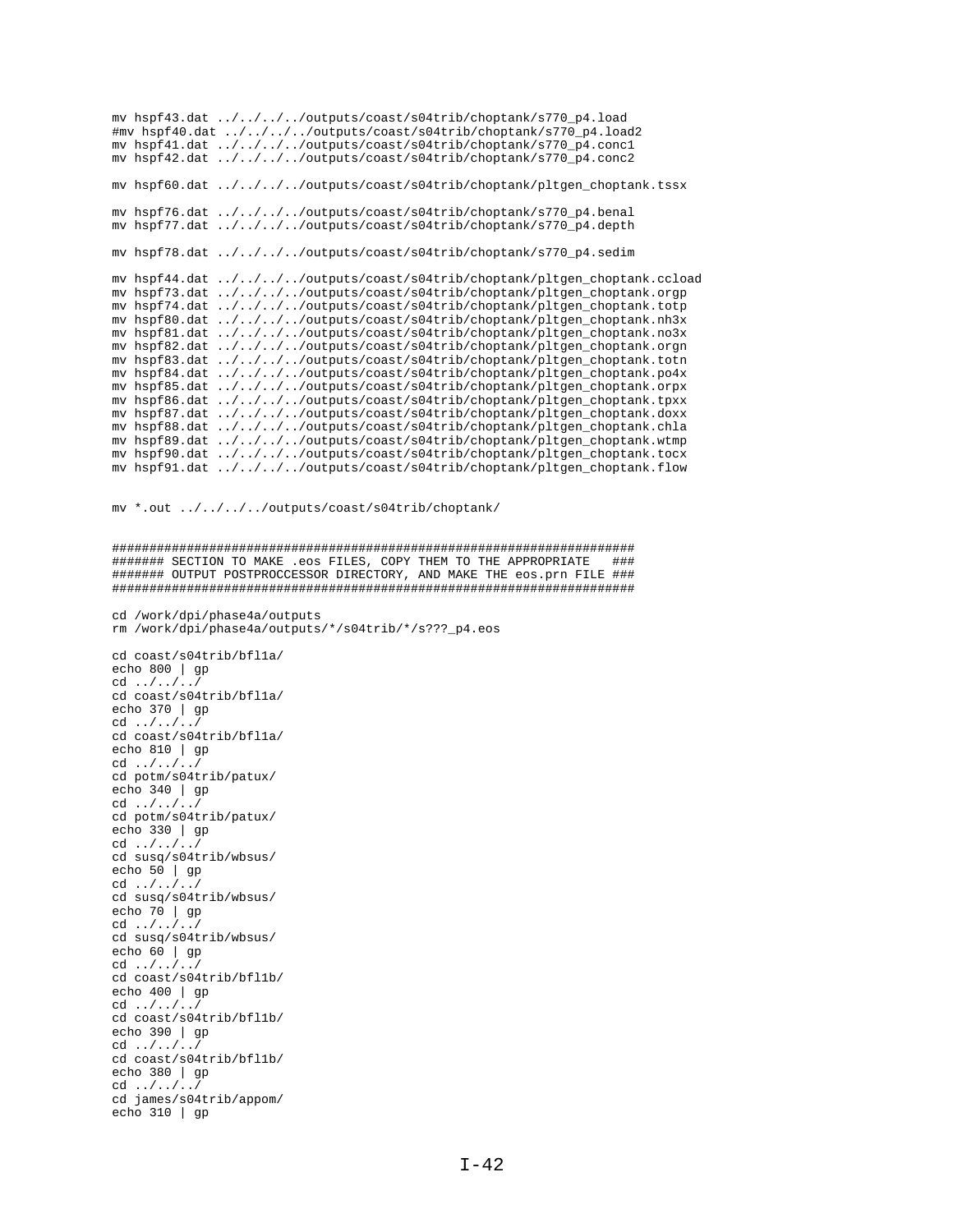mv hspf43.dat ../../../../outputs/coast/s04trib/choptank/s770\_p4.load #mv hspf40.dat ../../../../outputs/coast/s04trib/choptank/s770\_p4.load2 mv hspf41.dat ../../../../outputs/coast/s04trib/choptank/s770\_p4.conc1 mv hspf42.dat ../../../../outputs/coast/s04trib/choptank/s770\_p4.conc2 mv hspf60.dat ../../../../outputs/coast/s04trib/choptank/pltgen\_choptank.tssx mv hspf76.dat ../../../../outputs/coast/s04trib/choptank/s770\_p4.benal mv hspf77.dat ../../../../outputs/coast/s04trib/choptank/s770\_p4.depth mv hspf78.dat ../../../../outputs/coast/s04trib/choptank/s770\_p4.sedim mv hspf44.dat ../../../../outputs/coast/s04trib/choptank/pltgen\_choptank.ccload mv hspf73.dat ../../../../outputs/coast/s04trib/choptank/pltgen\_choptank.orgp mv hspf74.dat ../../../../outputs/coast/s04trib/choptank/pltgen\_choptank.totp mv hspf80.dat ../../../../outputs/coast/s04trib/choptank/pltgen\_choptank.nh3x mv hspf81.dat ../../../../outputs/coast/s04trib/choptank/pltgen\_choptank.no3x mv hspf82.dat ../../../../outputs/coast/s04trib/choptank/pltgen\_choptank.orgn mv hspf83.dat ../../../../outputs/coast/s04trib/choptank/pltgen\_choptank.totn mv hspf84.dat ../../../../outputs/coast/s04trib/choptank/pltgen\_choptank.po4x mv hspf85.dat ../../../../outputs/coast/s04trib/choptank/pltgen\_choptank.orpx mv hspf86.dat ../../../../outputs/coast/s04trib/choptank/pltgen\_choptank.tpxx mv hspf87.dat ../../../../outputs/coast/s04trib/choptank/pltgen\_choptank.doxx mv hspf88.dat ../../../../outputs/coast/s04trib/choptank/pltgen\_choptank.chla mv hspf89.dat ../../../../outputs/coast/s04trib/choptank/pltgen\_choptank.wtmp mv hspf90.dat ../../../../outputs/coast/s04trib/choptank/pltgen\_choptank.tocx mv hspf91.dat ../../../../outputs/coast/s04trib/choptank/pltgen\_choptank.flow

mv \*.out ../../../../outputs/coast/s04trib/choptank/

```
######################################################################
####### SECTION TO MAKE .eos FILES, COPY THEM TO THE APPROPRIATE ###
####### OUTPUT POSTPROCCESSOR DIRECTORY, AND MAKE THE eos.prn FILE ###
######################################################################
```

```
cd /work/dpi/phase4a/outputs
rm /work/dpi/phase4a/outputs/*/s04trib/*/s???_p4.eos
```
cd coast/s04trib/bfl1a/ echo 800 | gp  $cd \ldots / ... / ... /$ cd coast/s04trib/bfl1a/ echo 370 | gp cd ../../../ cd coast/s04trib/bfl1a/ echo 810 | gp cd ../../../ cd potm/s04trib/patux/ echo 340 | gp cd ../../../ cd potm/s04trib/patux/ echo 330 | gp cd ../../../ cd susq/s04trib/wbsus/ echo 50 | gp cd  $\ldots$ ,  $\ldots$ , cd susq/s04trib/wbsus/ echo 70 | gp cd ../../../ cd susq/s04trib/wbsus/ echo 60 | gp cd ../../../ cd coast/s04trib/bfl1b/ echo 400 | gp cd ../../../ cd coast/s04trib/bfl1b/ echo 390 | gp cd ../../../ cd coast/s04trib/bfl1b/ echo 380 | gp cd ../../../ cd james/s04trib/appom/ echo 310 | gp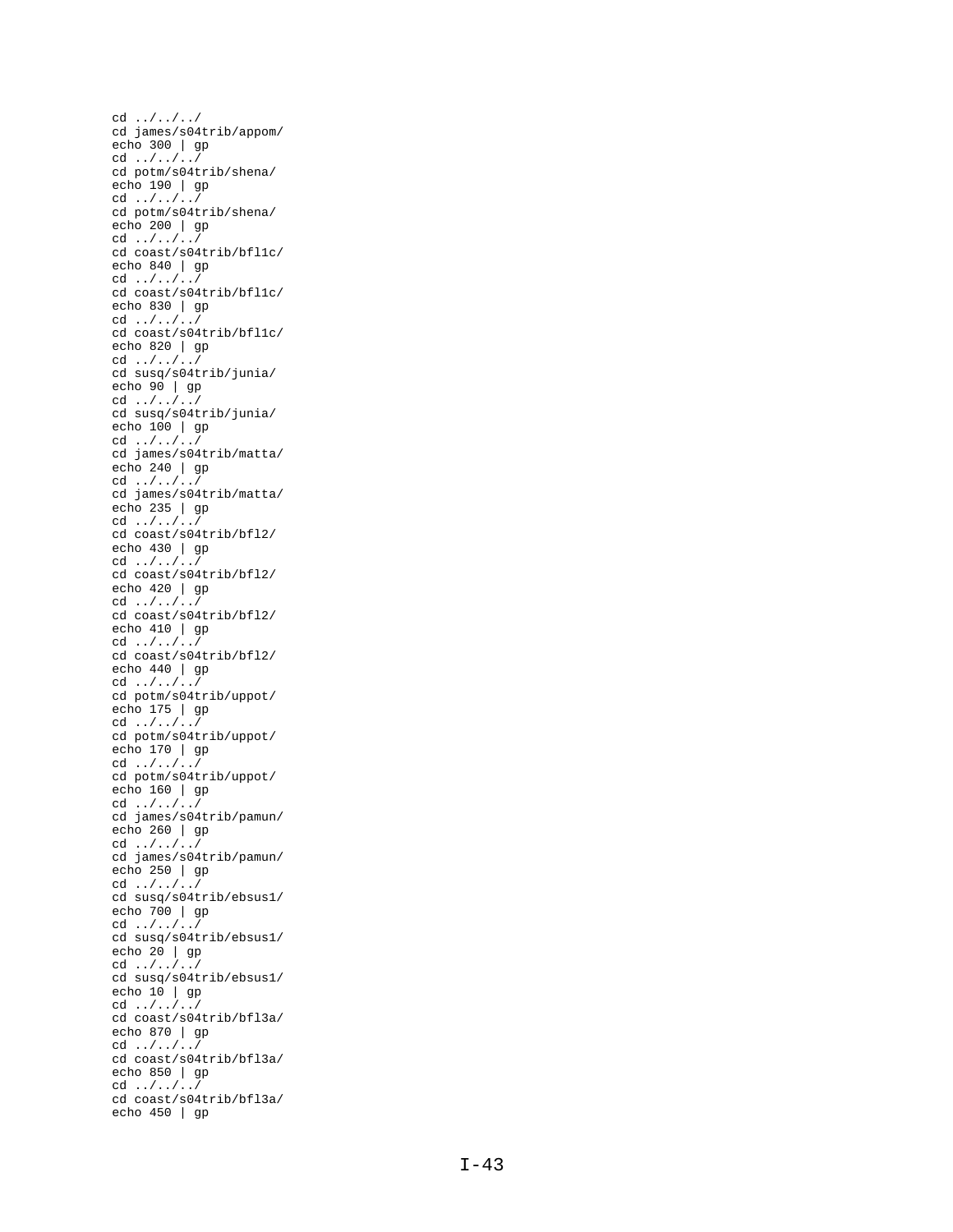cd ../../../ cd james/s04trib/appom/ echo 300 | gp cd ../../../ cd potm/s04trib/shena/ echo 190 | gp cd ../../../ cd potm/s04trib/shena/ echo 200 | gp cd ../../../ cd coast/s04trib/bfl1c/ echo 840 | gp cd ../../../ cd coast/s04trib/bfl1c/ echo 830 | gp cd ../../../ cd coast/s04trib/bfl1c/ echo 820 | gp cd ../../../ cd susq/s04trib/junia/ echo 90 | gp cd ../../../ cd susq/s04trib/junia/ echo 100 | gp cd ../../../ cd james/s04trib/matta/ echo 240 | gp cd ../../../ cd james/s04trib/matta/ echo 235 | gp cd ../../../ cd coast/s04trib/bfl2/ echo 430 | gp cd ../../../ cd coast/s04trib/bfl2/ echo 420 | gp cd ../../../ cd coast/s04trib/bfl2/ echo 410 | gp cd ../../../ cd coast/s04trib/bfl2/ echo 440 | gp cd ../../../ cd potm/s04trib/uppot/ echo 175 | gp cd ../../../ cd potm/s04trib/uppot/ echo 170 | gp cd ../../../ cd potm/s04trib/uppot/ echo 160 | gp cd ../../../ cd james/s04trib/pamun/ echo 260 | gp cd ../../../ cd james/s04trib/pamun/ echo 250 | gp cd ../../../ cd susq/s04trib/ebsus1/ echo 700 | gp cd ../../../ cd susq/s04trib/ebsus1/ echo 20 | gp cd ../../../ cd susq/s04trib/ebsus1/ echo  $10$  | gp cd ../../../ cd coast/s04trib/bfl3a/ echo 870 | gp cd ../../../ cd coast/s04trib/bfl3a/ echo 850 | gp cd ../../../ cd coast/s04trib/bfl3a/ echo 450 | gp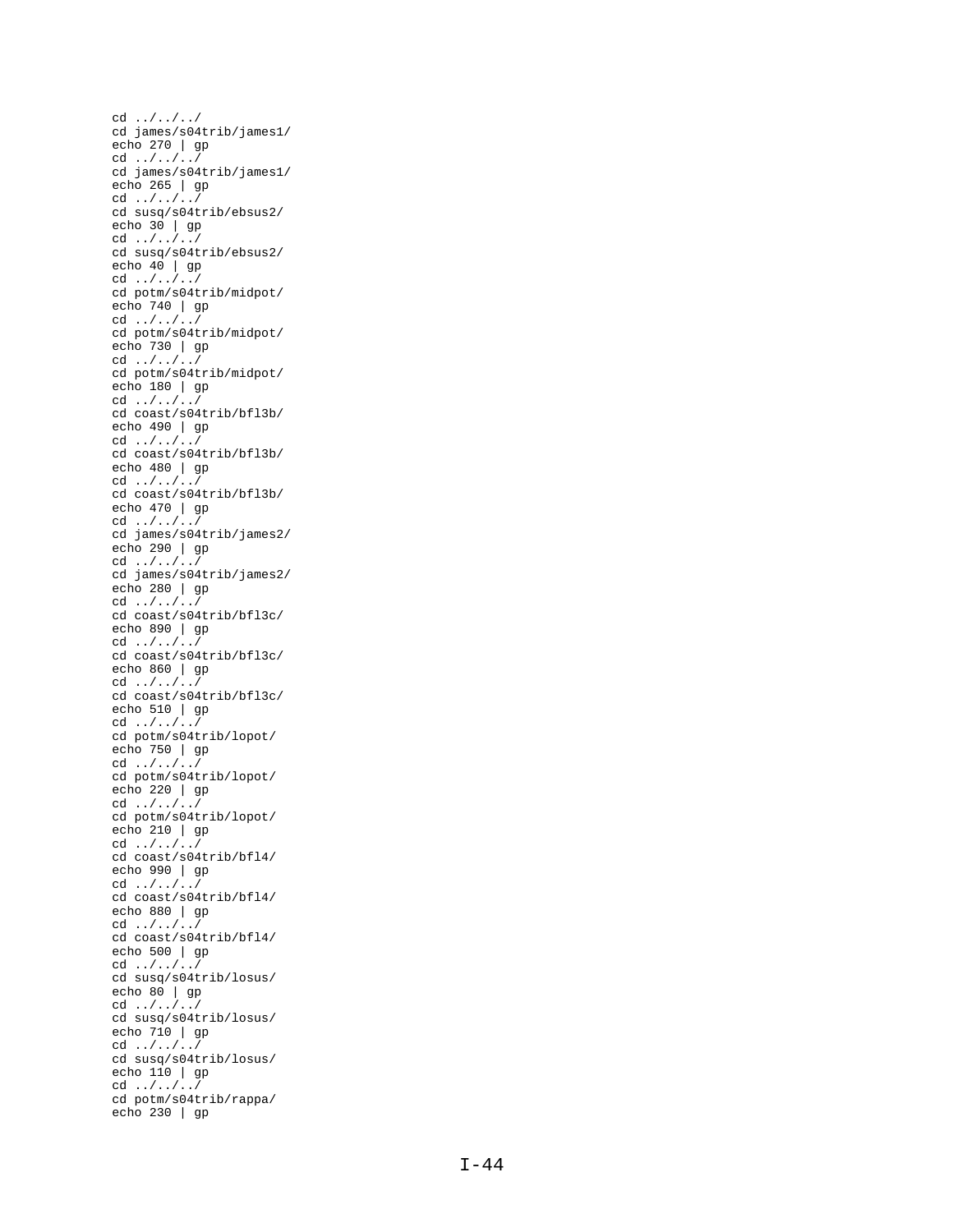cd ../../../ cd james/s04trib/james1/ echo 270 | gp cd ../../../ cd james/s04trib/james1/ echo 265 | gp cd ../../../ cd susq/s04trib/ebsus2/ echo 30 | gp cd ../../../ cd susq/s04trib/ebsus2/ echo 40 | gp cd ../../../ cd potm/s04trib/midpot/ echo 740 | gp cd ../../../ cd potm/s04trib/midpot/ echo 730 | gp cd ../../../ cd potm/s04trib/midpot/ echo 180 | gp cd ../../../ cd coast/s04trib/bfl3b/ echo 490 | gp cd ../../../ cd coast/s04trib/bfl3b/ echo 480 | gp cd ../../../ cd coast/s04trib/bfl3b/ echo 470 | gp cd ../../../ cd james/s04trib/james2/ echo 290 | gp cd ../../../ cd james/s04trib/james2/ echo 280 | gp cd ../../../ cd coast/s04trib/bfl3c/ echo 890 | gp cd ../../../ cd coast/s04trib/bfl3c/ echo 860 | gp cd ../../../ cd coast/s04trib/bfl3c/ echo 510 | gp cd ../../../ cd potm/s04trib/lopot/ echo 750 | gp cd ../../../ cd potm/s04trib/lopot/ echo 220 | gp cd ../../../ cd potm/s04trib/lopot/ echo 210 | gp cd ../../../ cd coast/s04trib/bfl4/ echo 990 | gp cd  $\dots/$ .../ cd coast/s04trib/bfl4/ echo 880 | gp cd ../../../ cd coast/s04trib/bfl4/ echo 500 | gp cd ../../../ cd susq/s04trib/losus/ echo 80 | gp cd ../../../ cd susq/s04trib/losus/ echo 710 | gp cd ../../../ cd susq/s04trib/losus/ echo 110 | gp cd ../../../ cd potm/s04trib/rappa/ echo 230 | gp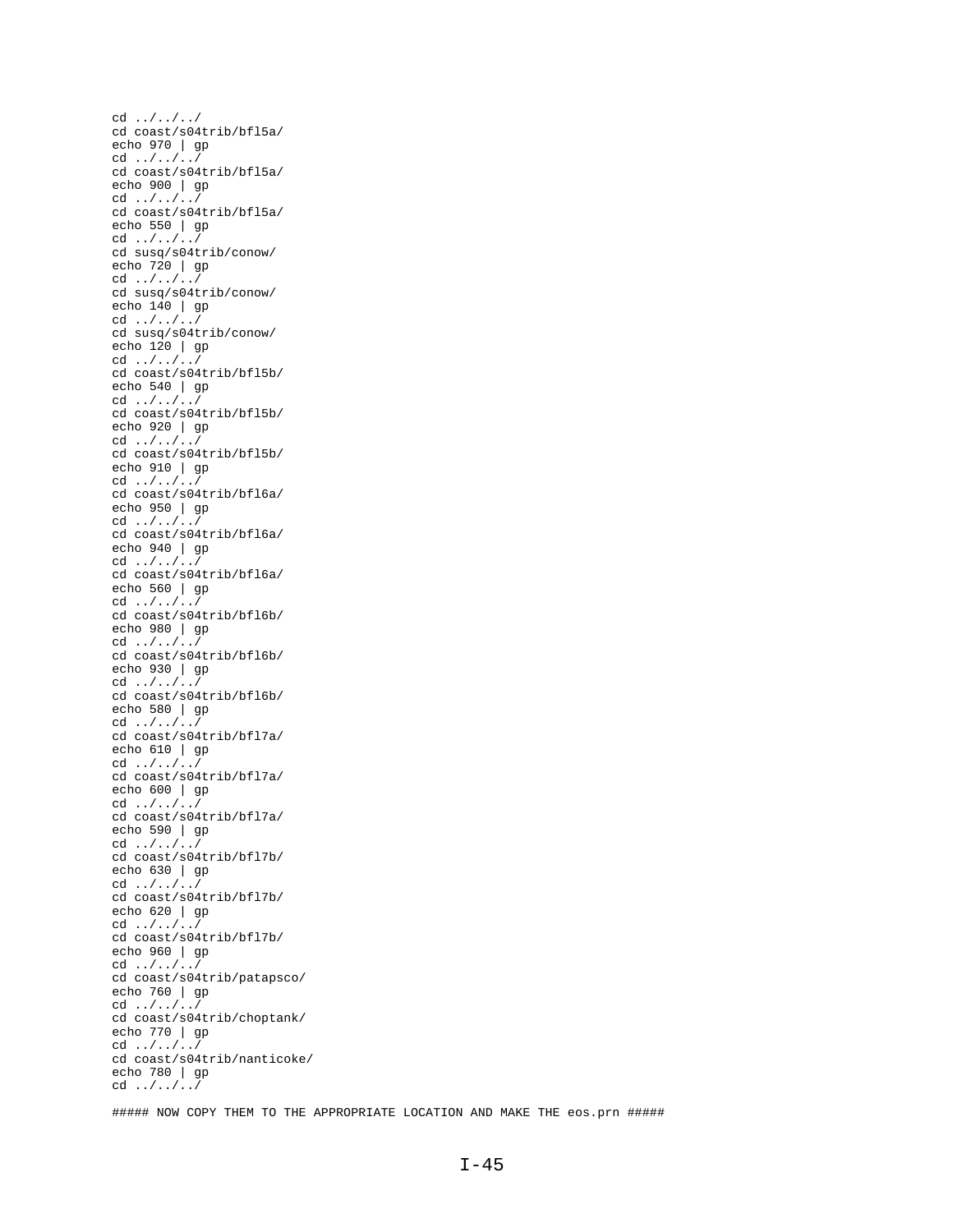cd ../../../ cd coast/s04trib/bfl5a/ echo 970 | gp cd ../../../ cd coast/s04trib/bfl5a/ echo 900 | gp cd ../../../ cd coast/s04trib/bfl5a/ echo 550 | gp cd ../../../ cd susq/s04trib/conow/ echo 720 | gp cd ../../../ cd susq/s04trib/conow/ echo 140 | gp cd ../../../ cd susq/s04trib/conow/ echo 120 | gp cd ../../../ cd coast/s04trib/bfl5b/ echo 540 | gp cd ../../../ cd coast/s04trib/bfl5b/ echo 920 | gp cd ../../../ cd coast/s04trib/bfl5b/ echo 910 | gp cd ../../../ cd coast/s04trib/bfl6a/ echo 950 | gp cd ../../../ cd coast/s04trib/bfl6a/ echo 940 | gp cd ../../../ cd coast/s04trib/bfl6a/ echo 560 | gp cd ../../../ cd coast/s04trib/bfl6b/ echo 980 | gp cd ../../../ cd coast/s04trib/bfl6b/ echo 930 | gp cd ../../../ cd coast/s04trib/bfl6b/ echo 580 | gp cd ../../../ cd coast/s04trib/bfl7a/ echo 610 | gp cd ../../../ cd coast/s04trib/bfl7a/ echo 600 | gp cd ../../../ cd coast/s04trib/bfl7a/ echo 590 | gp cd ../../../ cd coast/s04trib/bfl7b/ echo 630 | gp cd  $\dots/$ ...<sup>3</sup> cd coast/s04trib/bfl7b/ echo 620 | gp cd ../../../ cd coast/s04trib/bfl7b/ echo 960 | gp cd ../../../ cd coast/s04trib/patapsco/ echo 760 | gp cd ../../../ cd coast/s04trib/choptank/ echo 770 | gp cd ../../../ cd coast/s04trib/nanticoke/ echo 780 | gp cd ../../../

##### NOW COPY THEM TO THE APPROPRIATE LOCATION AND MAKE THE eos.prn #####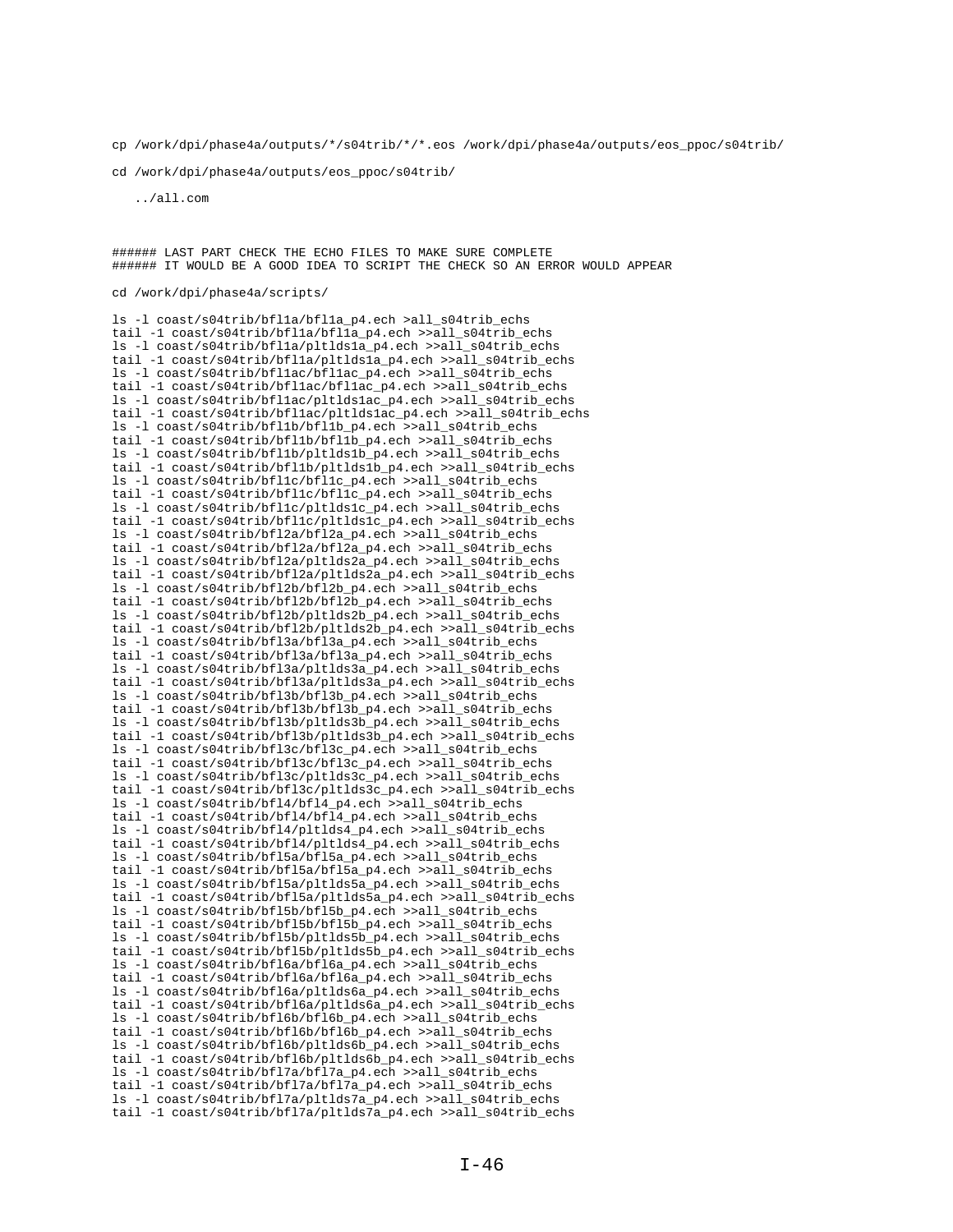cp /work/dpi/phase4a/outputs/\*/s04trib/\*/\*.eos /work/dpi/phase4a/outputs/eos\_ppoc/s04trib/

cd /work/dpi/phase4a/outputs/eos\_ppoc/s04trib/

../all.com

###### LAST PART CHECK THE ECHO FILES TO MAKE SURE COMPLETE ###### IT WOULD BE A GOOD IDEA TO SCRIPT THE CHECK SO AN ERROR WOULD APPEAR

cd /work/dpi/phase4a/scripts/

ls -l coast/s04trib/bfl1a/bfl1a\_p4.ech >all\_s04trib\_echs tail -1 coast/s04trib/bfl1a/bfl1a\_p4.ech >>all\_s04trib\_echs ls -l coast/s04trib/bfl1a/pltlds1a\_p4.ech >>all\_s04trib\_echs tail -1 coast/s04trib/bfl1a/pltlds1a\_p4.ech >>all\_s04trib\_echs ls -l coast/s04trib/bfl1ac/bfl1ac\_p4.ech >>all\_s04trib\_echs tail -1 coast/s04trib/bfl1ac/bfl1ac\_p4.ech >>all\_s04trib\_echs ls -l coast/s04trib/bfl1ac/pltlds1ac\_p4.ech >>all\_s04trib\_echs tail -1 coast/s04trib/bfl1ac/pltlds1ac\_p4.ech >>all\_s04trib\_echs ls -l coast/s04trib/bfl1b/bfl1b\_p4.ech >>all\_s04trib\_echs tail -1 coast/s04trib/bfl1b/bfl1b\_p4.ech >>all\_s04trib\_echs ls -l coast/s04trib/bfl1b/pltlds1b\_p4.ech >>all\_s04trib\_echs tail -1 coast/s04trib/bfl1b/pltlds1b\_p4.ech >>all\_s04trib\_echs ls -l coast/s04trib/bfl1c/bfl1c\_p4.ech >>all\_s04trib\_echs tail -1 coast/s04trib/bfl1c/bfl1c\_p4.ech >>all\_s04trib\_echs ls -l coast/s04trib/bfl1c/pltlds1c\_p4.ech >>all\_s04trib\_echs tail -1 coast/s04trib/bfl1c/pltlds1c\_p4.ech >>all\_s04trib\_echs ls -l coast/s04trib/bfl2a/bfl2a\_p4.ech >>all\_s04trib\_echs tail -1 coast/s04trib/bfl2a/bfl2a\_p4.ech >>all\_s04trib\_echs ls -l coast/s04trib/bfl2a/pltlds2a\_p4.ech >>all\_s04trib\_echs tail -1 coast/s04trib/bfl2a/pltlds2a\_p4.ech >>all\_s04trib\_echs ls -l coast/s04trib/bfl2b/bfl2b\_p4.ech >>all\_s04trib\_echs tail -1 coast/s04trib/bfl2b/bfl2b\_p4.ech >>all\_s04trib\_echs ls -l coast/s04trib/bfl2b/pltlds2b\_p4.ech >>all\_s04trib\_echs tail -1 coast/s04trib/bfl2b/pltlds2b p4.ech >>all s04trib echs ls -l coast/s04trib/bfl3a/bfl3a\_p4.ech >>all\_s04trib\_echs tail -1 coast/s04trib/bfl3a/bfl3a\_p4.ech >>all\_s04trib\_echs ls -l coast/s04trib/bfl3a/pltlds3a\_p4.ech >>all\_s04trib\_echs tail -1 coast/s04trib/bfl3a/pltlds3a p4.ech >>all s04trib echs ls -l coast/s04trib/bfl3b/bfl3b\_p4.ech >>all\_s04trib\_echs tail -1 coast/s04trib/bfl3b/bfl3b\_p4.ech >>all\_s04trib\_echs ls -l coast/s04trib/bfl3b/pltlds3b\_p4.ech >>all\_s04trib\_echs tail -1 coast/s04trib/bfl3b/pltlds3b\_p4.ech >>all\_s04trib\_echs ls -l coast/s04trib/bfl3c/bfl3c\_p4.ech >>all\_s04trib\_echs tail -1 coast/s04trib/bfl3c/bfl3c\_p4.ech >>all\_s04trib\_echs ls -l coast/s04trib/bfl3c/pltlds3c\_p4.ech >>all\_s04trib\_echs tail -1 coast/s04trib/bfl3c/pltlds3c\_p4.ech >>all\_s04trib\_echs ls -l coast/s04trib/bfl4/bfl4\_p4.ech >>all\_s04trib\_echs tail -1 coast/s04trib/bfl4/bfl4\_p4.ech >>all\_s04trib\_echs ls -l coast/s04trib/bfl4/pltlds4\_p4.ech >>all\_s04trib\_echs tail -1 coast/s04trib/bfl4/pltlds4\_p4.ech >>all\_s04trib\_echs ls -l coast/s04trib/bfl5a/bfl5a\_p4.ech >>all\_s04trib\_echs tail -1 coast/s04trib/bfl5a/bfl5a\_p4.ech >>all\_s04trib\_echs ls -l coast/s04trib/bfl5a/pltlds5a\_p4.ech >>all\_s04trib\_echs tail -1 coast/s04trib/bfl5a/pltlds5a\_p4.ech >>all\_s04trib\_echs ls -l coast/s04trib/bfl5b/bfl5b\_p4.ech >>all\_s04trib\_echs tail -1 coast/s04trib/bfl5b/bfl5b\_p4.ech >>all\_s04trib\_echs ls -l coast/s04trib/bfl5b/pltlds5b\_p4.ech >>all\_s04trib\_echs tail -1 coast/s04trib/bfl5b/pltlds5b\_p4.ech >>all\_s04trib\_echs ls -l coast/s04trib/bfl6a/bfl6a\_p4.ech >>all\_s04trib\_echs tail -1 coast/s04trib/bfl6a/bfl6a\_p4.ech >>all\_s04trib\_echs ls -l coast/s04trib/bfl6a/pltlds6a\_p4.ech >>all\_s04trib\_echs tail -1 coast/s04trib/bfl6a/pltlds6a\_p4.ech >>all\_s04trib\_echs ls -l coast/s04trib/bfl6b/bfl6b\_p4.ech >>all\_s04trib\_echs tail -1 coast/s04trib/bfl6b/bfl6b\_p4.ech >>all\_s04trib\_echs ls -l coast/s04trib/bfl6b/pltlds6b\_p4.ech >>all\_s04trib\_echs tail -1 coast/s04trib/bfl6b/pltlds6b\_p4.ech >>all\_s04trib\_echs ls -l coast/s04trib/bfl7a/bfl7a\_p4.ech >>all\_s04trib\_echs tail -1 coast/s04trib/bfl7a/bfl7a\_p4.ech >>all\_s04trib\_echs ls -l coast/s04trib/bfl7a/pltlds7a\_p4.ech >>all\_s04trib\_echs tail -1 coast/s04trib/bfl7a/pltlds7a\_p4.ech >>all\_s04trib\_echs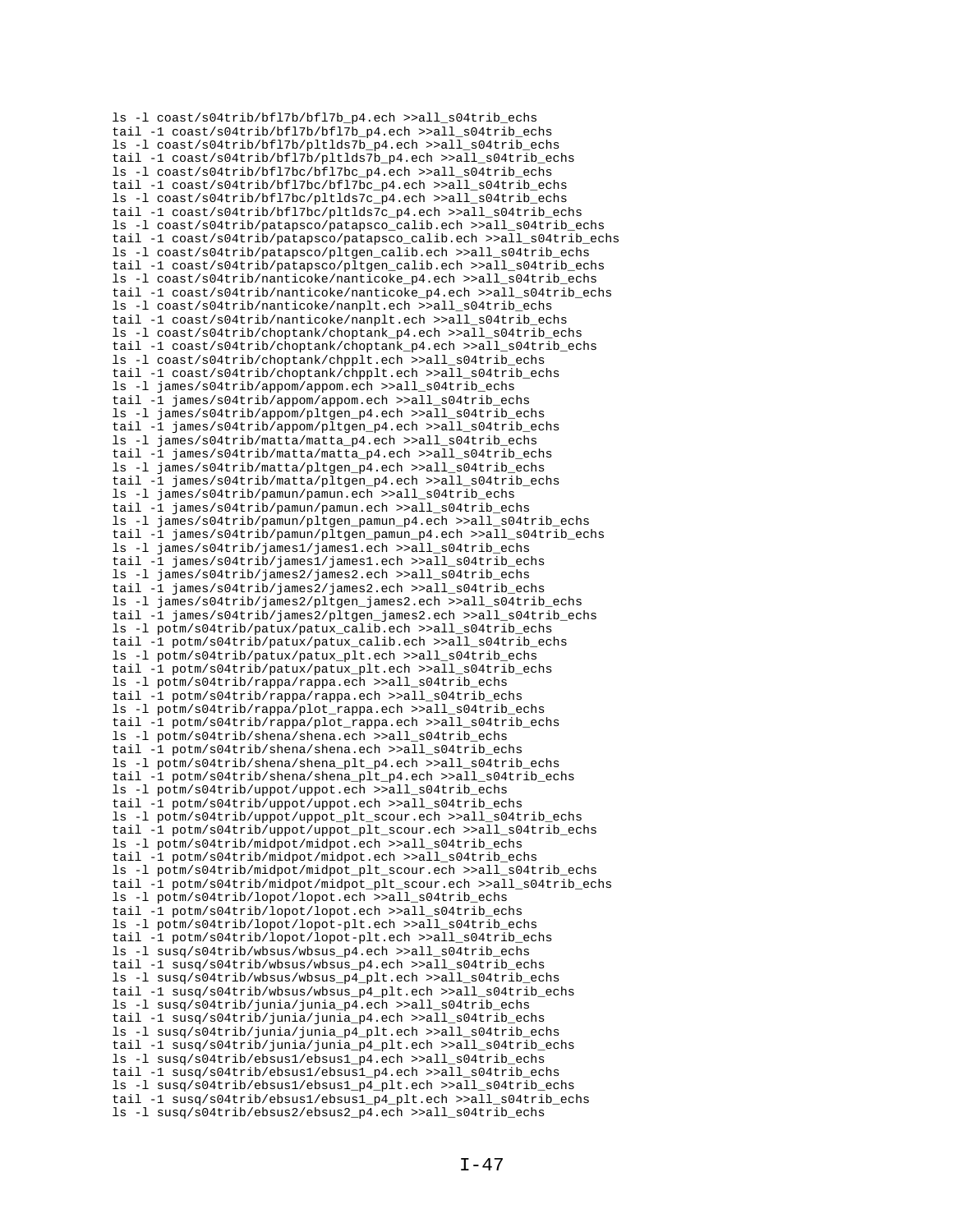ls -l coast/s04trib/bfl7b/bfl7b\_p4.ech >>all\_s04trib\_echs tail -1 coast/s04trib/bfl7b/bfl7b\_p4.ech >>all\_s04trib\_echs ls -l coast/s04trib/bfl7b/pltlds7b\_p4.ech >>all\_s04trib\_echs tail -1 coast/s04trib/bfl7b/pltlds7b\_p4.ech >>all\_s04trib\_echs ls -l coast/s04trib/bfl7bc/bfl7bc\_p4.ech >>all\_s04trib\_echs tail -1 coast/s04trib/bfl7bc/bfl7bc\_p4.ech >>all\_s04trib\_echs ls -l coast/s04trib/bfl7bc/pltlds7c\_p4.ech >>all\_s04trib\_echs tail -1 coast/s04trib/bfl7bc/pltlds7c\_p4.ech >>all\_s04trib\_echs ls -l coast/s04trib/patapsco/patapsco\_calib.ech >>all\_s04trib\_echs tail -1 coast/s04trib/patapsco/patapsco\_calib.ech >>all s04trib\_echs ls -l coast/s04trib/patapsco/pltgen\_calib.ech >>all\_s04trib\_echs tail -1 coast/s04trib/patapsco/pltgen\_calib.ech >>all\_s04trib\_echs ls -l coast/s04trib/nanticoke/nanticoke\_p4.ech >>all\_s04trib\_echs tail -1 coast/s04trib/nanticoke/nanticoke\_p4.ech >>all\_s04trib\_echs ls -l coast/s04trib/nanticoke/nanplt.ech >>all\_s04trib\_echs tail -1 coast/s04trib/nanticoke/nanplt.ech >>all s04trib echs ls -l coast/s04trib/choptank/choptank\_p4.ech >>all\_s04trib\_echs tail -1 coast/s04trib/choptank/choptank\_p4.ech >>all\_s04trib\_echs ls -l coast/s04trib/choptank/chpplt.ech >>all\_s04trib\_echs tail -1 coast/s04trib/choptank/chpplt.ech >>all\_s04trib\_echs ls -l james/s04trib/appom/appom.ech >>all\_s04trib\_echs tail -1 james/s04trib/appom/appom.ech >>all\_s04trib\_echs ls -l james/s04trib/appom/pltgen\_p4.ech >>all\_s04trib\_echs tail -1 james/s04trib/appom/pltgen\_p4.ech >>all\_s04trib\_echs ls -l james/s04trib/matta/matta\_p4.ech >>all\_s04trib\_echs tail -1 james/s04trib/matta/matta\_p4.ech >>all\_s04trib\_echs ls -l james/s04trib/matta/pltgen\_p4.ech >>all\_s04trib\_echs tail -1 james/s04trib/matta/pltgen\_p4.ech >>all\_s04trib\_echs ls -l james/s04trib/pamun/pamun.ech >>all\_s04trib\_echs tail -1 james/s04trib/pamun/pamun.ech >>all\_s04trib\_echs ls -l james/s04trib/pamun/pltgen\_pamun\_p4.ech >>all\_s04trib\_echs tail -1 james/s04trib/pamun/pltgen\_pamun\_p4.ech >>all\_s04trib\_echs ls -l james/s04trib/james1/james1.ech >>all\_s04trib\_echs tail -1 james/s04trib/james1/james1.ech >>all\_s04trib\_echs ls -l james/s04trib/james2/james2.ech >>all\_s04trib\_echs tail -1 james/s04trib/james2/james2.ech >>all\_s04trib\_echs ls -l james/s04trib/james2/pltgen\_james2.ech >>all\_s04trib\_echs tail -1 james/s04trib/james2/pltgen\_james2.ech >>all\_s04trib\_echs ls -l potm/s04trib/patux/patux\_calib.ech >>all\_s04trib\_echs tail -1 potm/s04trib/patux/patux\_calib.ech >>all\_s04trib\_echs ls -l potm/s04trib/patux/patux\_plt.ech >>all\_s04trib\_echs tail -1 potm/s04trib/patux/patux\_plt.ech >>all\_s04trib\_echs ls -l potm/s04trib/rappa/rappa.ech >>all\_s04trib\_echs tail -1 potm/s04trib/rappa/rappa.ech >>all\_s04trib\_echs ls -l potm/s04trib/rappa/plot\_rappa.ech >>all\_s04trib\_echs tail -1 potm/s04trib/rappa/plot\_rappa.ech >>all\_s04trib\_echs ls -l potm/s04trib/shena/shena.ech >>all\_s04trib\_echs tail -1 potm/s04trib/shena/shena.ech >>all\_s04trib\_echs ls -l potm/s04trib/shena/shena\_plt\_p4.ech >>all\_s04trib\_echs tail -1 potm/s04trib/shena/shena\_plt\_p4.ech >>all\_s04trib\_echs ls -l potm/s04trib/uppot/uppot.ech >>all\_s04trib\_echs tail -1 potm/s04trib/uppot/uppot.ech >>all\_s04trib\_echs ls -l potm/s04trib/uppot/uppot\_plt\_scour.ech >>all\_s04trib\_echs tail -1 potm/s04trib/uppot/uppot\_plt\_scour.ech >>all\_s04trib\_echs ls -l potm/s04trib/midpot/midpot.ech >>all\_s04trib\_echs tail -1 potm/s04trib/midpot/midpot.ech >>all\_s04trib\_echs ls -l potm/s04trib/midpot/midpot\_plt\_scour.ech >>all\_s04trib\_echs tail -1 potm/s04trib/midpot/midpot\_plt\_scour.ech >>all\_s04trib\_echs ls -l potm/s04trib/lopot/lopot.ech >>all\_s04trib\_echs tail -1 potm/s04trib/lopot/lopot.ech >>all s04trib echs ls -l potm/s04trib/lopot/lopot-plt.ech >>all\_s04trib\_echs tail -1 potm/s04trib/lopot/lopot-plt.ech >>all\_s04trib\_echs ls -l susq/s04trib/wbsus/wbsus\_p4.ech >>all\_s04trib\_echs tail -1 susq/s04trib/wbsus/wbsus\_p4.ech >>all\_s04trib\_echs ls -l susq/s04trib/wbsus/wbsus\_p4\_plt.ech >>all\_s04trib\_echs tail -1 susq/s04trib/wbsus/wbsus\_p4\_plt.ech >>all\_s04trib\_echs ls -l susq/s04trib/junia/junia\_p4.ech >>all\_s04trib\_echs tail -1 susq/s04trib/junia/junia\_p4.ech >>all\_s04trib\_echs ls -l susq/s04trib/junia/junia\_p4\_plt.ech >>all\_s04trib\_echs tail -1 susq/s04trib/junia/junia\_p4\_plt.ech >>all\_s04trib\_echs ls -l susq/s04trib/ebsus1/ebsus1\_p4.ech >>all\_s04trib\_echs tail -1 susq/s04trib/ebsus1/ebsus1\_p4.ech >>all\_s04trib\_echs ls -l susq/s04trib/ebsus1/ebsus1\_p4\_plt.ech >>all\_s04trib\_echs tail -1 susq/s04trib/ebsus1/ebsus1\_p4\_plt.ech >>all\_s04trib\_echs ls -l susq/s04trib/ebsus2/ebsus2\_p4.ech >>all\_s04trib\_echs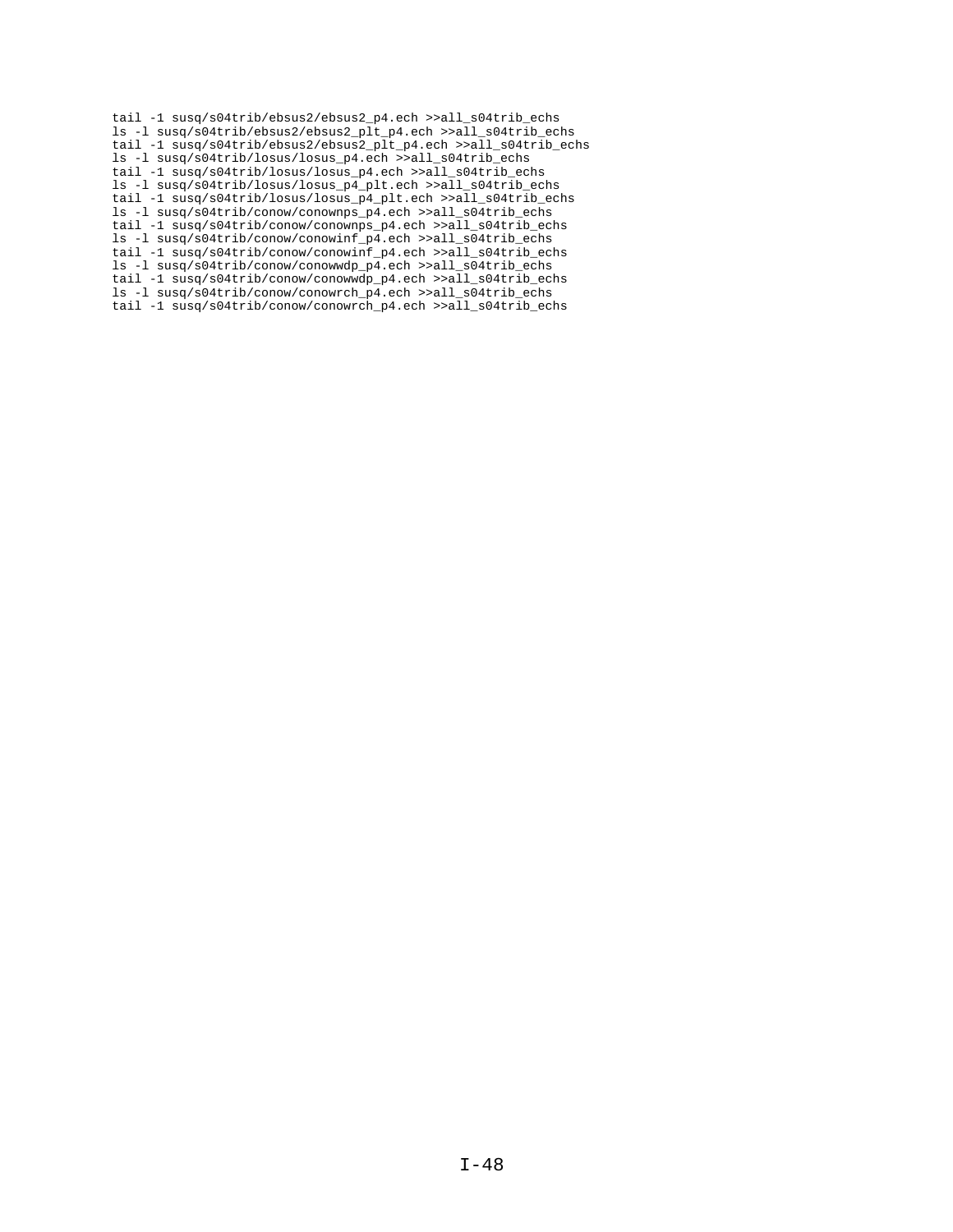```
tail -1 susq/s04trib/ebsus2/ebsus2_p4.ech >>all_s04trib_echs
ls -l susq/s04trib/ebsus2/ebsus2_plt_p4.ech >>all_s04trib_echs
tail -1 susq/s04trib/ebsus2/ebsus2_plt_p4.ech >>all_s04trib_echs
ls -l susq/s04trib/losus/losus_p4.ech >>all_s04trib_echs
tail -1 susq/s04trib/losus/losus_p4.ech >>all_s04trib_echs
ls -l susq/s04trib/losus/losus_p4_plt.ech >>all_s04trib_echs
tail -1 susq/s04trib/losus/losus_p4_plt.ech >>all_s04trib_echs
ls -l susq/s04trib/conow/conownps_p4.ech >>all_s04trib_echs
tail -1 susq/s04trib/conow/conownps_p4.ech >>all_s04trib_echs
ls -l susq/s04trib/conow/conowinf_p4.ech >>all_s04trib_echs
tail -1 susq/s04trib/conow/conowinf_p4.ech >>all_s04trib_echs
ls -l susq/s04trib/conow/conowwdp_p4.ech >>all_s04trib_echs
tail -1 susq/s04trib/conow/conowwdp_p4.ech >>all_s04trib_echs
ls -l susq/s04trib/conow/conowrch_p4.ech >>all_s04trib_echs
tail -1 susq/s04trib/conow/conowrch_p4.ech >>all_s04trib_echs
```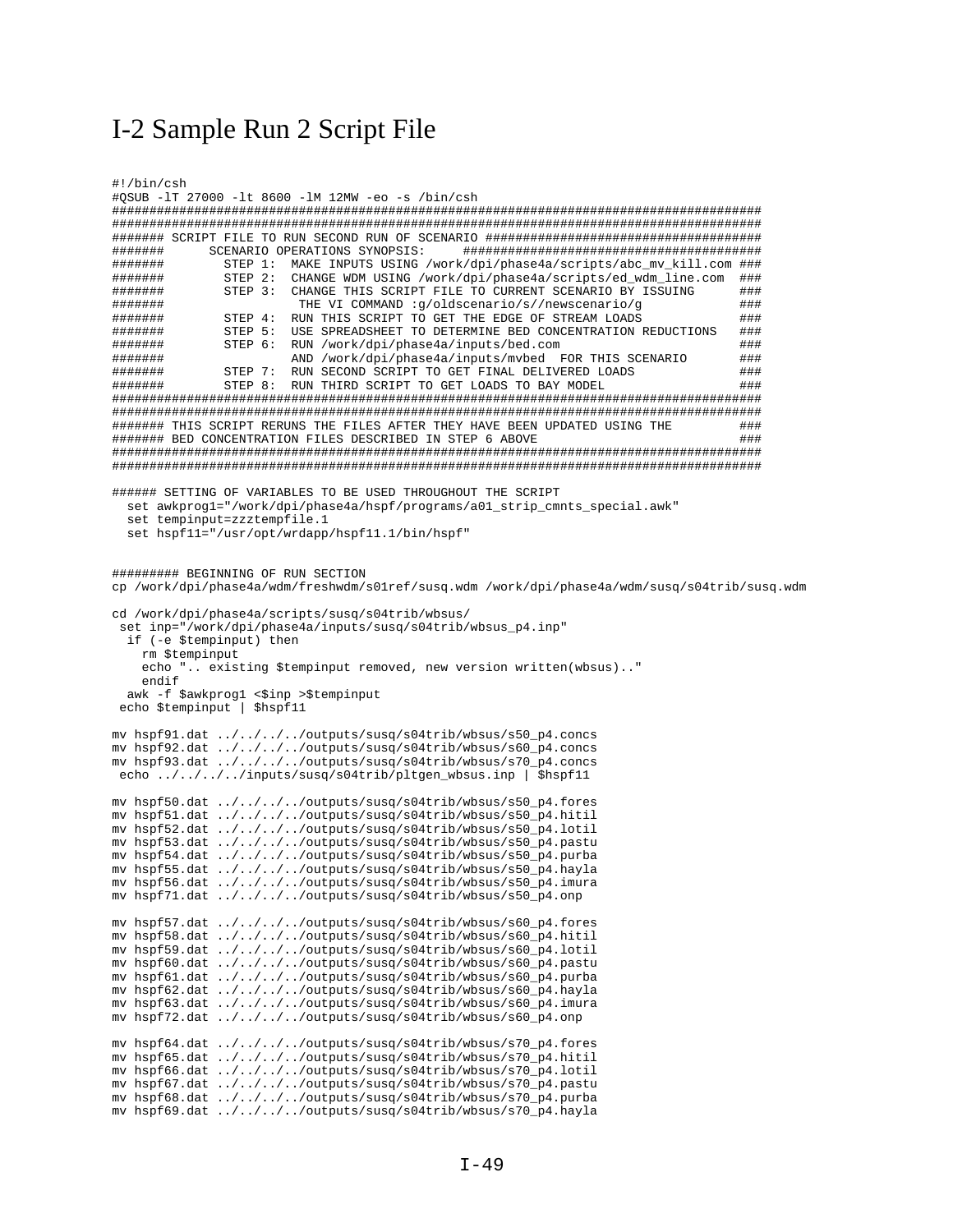## I-2 Sample Run 2 Script File

```
#!/bin/csh
#OSUB -1T 27000 -1t 8600 -1M 12MW -eo -s /bin/csh
#######
          SCENARIO OPERATIONS SYNOPSIS:
                                       STEP 1: MAKE INPUTS USING /work/dpi/phase4a/scripts/abc_mv_kill.com ###
#######
#######
            STEP 2: CHANGE WDM USING /work/dpi/phase4a/scripts/ed_wdm_line.com ###
#######
           STEP 3: CHANGE THIS SCRIPT FILE TO CURRENT SCENARIO BY ISSUING
                                                                        # #########
                     THE VI COMMAND : q/oldscenario/s//newscenario/q
                                                                        # ##STEP 4: RUN THIS SCRIPT TO GET THE EDGE OF STREAM LOADS
#######
                                                                        # #########
           STEP 5: USE SPREADSHEET TO DETERMINE BED CONCENTRATION REDUCTIONS
                                                                        ##########
            STEP 6:
                    RUN /work/dpi/phase4a/inputs/bed.com
                                                                        # #########
                    AND /work/dpi/phase4a/inputs/mvbed FOR THIS SCENARIO
                                                                        # ##STEP 7: RUN SECOND SCRIPT TO GET FINAL DELIVERED LOADS
#######
                                                                        # ##STEP 8: RUN THIRD SCRIPT TO GET LOADS TO BAY MODEL
#######
                                                                        # ######### THIS SCRIPT RERUNS THE FILES AFTER THEY HAVE BEEN UPDATED USING THE
                                                                        \pm \pm \pm####### BED CONCENTRATION FILES DESCRIBED IN STEP 6 ABOVE
                                                                        # ######## SETTING OF VARIABLES TO BE USED THROUGHOUT THE SCRIPT
 set awkprog1="/work/dpi/phase4a/hspf/programs/a01 strip cmnts special.awk"
 set tempinput=zzztempfile.1
 set hspf11="/usr/opt/wrdapp/hspf11.1/bin/hspf"
########## BEGINNING OF RUN SECTION
cp /work/dpi/phase4a/wdm/freshwdm/s01ref/susq.wdm /work/dpi/phase4a/wdm/susq/s04trib/susq.wdm
cd /work/dpi/phase4a/scripts/susq/s04trib/wbsus/
set inp="/work/dpi/phase4a/inputs/susq/s04trib/wbsus_p4.inp"
 if (-e $tempinput) then
   rm $tempinput
   echo ".. existing $tempinput removed, new version written(wbsus).."
   endif
 awk -f $awkprog1 <$inp >$tempinput
echo $tempinput | $hspf11
mv hspf91.dat ../../../../outputs/susq/s04trib/wbsus/s50_p4.concs
mv hspf92.dat ../../../../outputs/susq/s04trib/wbsus/s60_p4.concs
mv hspf93.dat ../../../../outputs/susq/s04trib/wbsus/s70_p4.concs
echo ../../../../inputs/susq/s04trib/pltgen_wbsus.inp | $hspf11
mv hspf50.dat \ldots/\ldots/\ldots/outputs/susq/s04trib/wbsus/s50_p4.fores
mv hspf51.dat ../../../../outputs/susq/s04trib/wbsus/s50_p4.hitil
mv hspf52.dat ../../../../outputs/susq/s04trib/wbsus/s50_p4.lotil
my hspf53.dat \ldots/\ldots/\ldots/outputs/susq/s04trib/wbsus/s50 p4.pastu
mv hspf54.dat ../../../../outputs/susq/s04trib/wbsus/s50_p4.purba
mv hspf55.dat ../../../../outputs/susq/s04trib/wbsus/s50_p4.hayla
mv hspf56.dat ../../../../outputs/susq/s04trib/wbsus/s50_p4.imura
mv hspf71.dat ../../../../outputs/susq/s04trib/wbsus/s50_p4.onp
mv hspf57.dat ../../../../outputs/susq/s04trib/wbsus/s60_p4.fores
mv hspf58.dat ../../../../outputs/susq/s04trib/wbsus/s60_p4.hitil
mv hspf59.dat ../../../../outputs/susq/s04trib/wbsus/s60_p4.lotil
mv hspf60.dat ../../../../outputs/susq/s04trib/wbsus/s60_p4.pastu
mv hspf61.dat ../../../../outputs/susq/s04trib/wbsus/s60_p4.purba
mv hspf62.dat ../../../../outputs/susq/s04trib/wbsus/s60_p4.hayla
mv hspf63.dat ../../../../outputs/susq/s04trib/wbsus/s60_p4.imura
mv hspf72.dat ../../../../outputs/susq/s04trib/wbsus/s60_p4.onp
mv hspf64.dat ../../../../outputs/susq/s04trib/wbsus/s70_p4.fores
mv hspf65.dat ../../../../outputs/susq/s04trib/wbsus/s70_p4.hitil
mv hspf66.dat ../../../../outputs/susq/s04trib/wbsus/s70_p4.lotil
mv hspf67.dat ../../../../outputs/susq/s04trib/wbsus/s70-p4.pastu mv hspf68.dat ../../../outputs/susq/s04trib/wbsus/s70-p4.purba
mv hspf69.dat ../../../../outputs/susq/s04trib/wbsus/s70_p4.hayla
```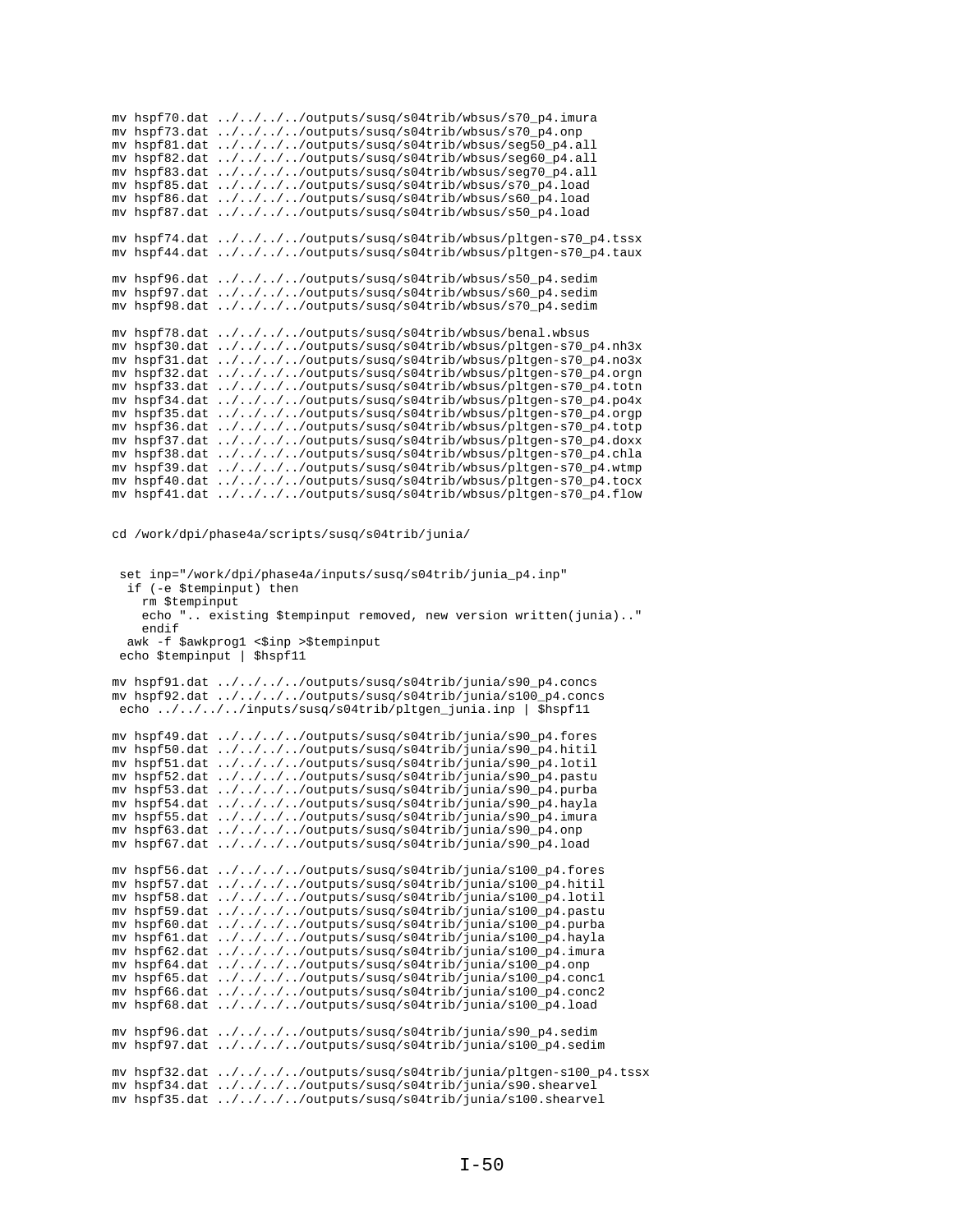| mv hspf70.dat | $\ldots/\ldots/\ldots$ /outputs/susq/s04trib/wbsus/s70_p4.imura                                                                                     |
|---------------|-----------------------------------------------------------------------------------------------------------------------------------------------------|
| mv hspf73.dat | $\ldots/\ldots/\ldots$ /outputs/susq/s04trib/wbsus/s70_p4.onp                                                                                       |
| mv hspf81.dat | $\ldots/\ldots/\ldots$ /outputs/susq/s04trib/wbsus/seg50_p4.all                                                                                     |
| mv hspf82.dat | $\ldots/\ldots/\ldots$ /outputs/susq/s04trib/wbsus/seg60_p4.all                                                                                     |
| mv hspf83.dat | $\ldots/\ldots/\ldots$ /outputs/susq/s04trib/wbsus/seg70_p4.all                                                                                     |
| mv hspf85.dat | $\ldots/\ldots/\ldots$ /outputs/susq/s04trib/wbsus/s70_p4.load                                                                                      |
| mv hspf86.dat | $\ldots/\ldots/\ldots$ /outputs/susq/s04trib/wbsus/s60_p4.load                                                                                      |
| mv hspf87.dat | $\ldots/\ldots/\ldots$ /outputs/susq/s04trib/wbsus/s50_p4.load                                                                                      |
|               |                                                                                                                                                     |
| my hspf74.dat | $\ldots/\ldots/\ldots$ /outputs/susq/s04trib/wbsus/pltgen-s70_p4.tssx                                                                               |
| mv hspf44.dat | ////outputs/susq/s04trib/wbsus/pltgen-s70_p4.taux                                                                                                   |
|               |                                                                                                                                                     |
| mv hspf96.dat | $\ldots/\ldots/\ldots$ /outputs/susq/s04trib/wbsus/s50_p4.sedim                                                                                     |
| mv hspf97.dat | $\ldots/\ldots/\ldots$ /outputs/susq/s04trib/wbsus/s60_p4.sedim                                                                                     |
| mv hspf98.dat | $\ldots/\ldots/\ldots$ /outputs/susq/s04trib/wbsus/s70_p4.sedim                                                                                     |
|               |                                                                                                                                                     |
|               |                                                                                                                                                     |
| mv hspf78.dat |                                                                                                                                                     |
| mv hspf30.dat | $\ldots/\ldots/\ldots$ /outputs/susq/s04trib/wbsus/benal.wbsus                                                                                      |
| mv hspf31.dat | $\ldots/\ldots/\ldots$ /outputs/susq/s04trib/wbsus/pltgen-s70_p4.nh3x<br>$\ldots / \ldots / \ldots /$ outputs/susq/s04trib/wbsus/pltgen-s70_p4.no3x |
| mv hspf32.dat | $\ldots/\ldots/\ldots$ /outputs/susq/s04trib/wbsus/pltgen-s70_p4.orgn                                                                               |
| mv hspf33.dat | ////outputs/susq/s04trib/wbsus/pltgen-s70_p4.totn                                                                                                   |
| mv hspf34.dat | ////outputs/susq/s04trib/wbsus/pltgen-s70_p4.po4x                                                                                                   |
| mv hspf35.dat | ////outputs/susq/s04trib/wbsus/pltgen-s70_p4.orgp                                                                                                   |
| mv hspf36.dat | ////outputs/susq/s04trib/wbsus/pltgen-s70_p4.totp                                                                                                   |
| mv hspf37.dat | ////outputs/susq/s04trib/wbsus/pltgen-s70_p4.doxx                                                                                                   |
| mv hspf38.dat | ////outputs/susq/s04trib/wbsus/pltgen-s70_p4.chla                                                                                                   |
| mv hspf39.dat | ////outputs/susq/s04trib/wbsus/pltgen-s70_p4.wtmp                                                                                                   |
| mv hspf40.dat | ////outputs/susq/s04trib/wbsus/pltgen-s70_p4.tocx                                                                                                   |

cd /work/dpi/phase4a/scripts/susq/s04trib/junia/

```
 set inp="/work/dpi/phase4a/inputs/susq/s04trib/junia_p4.inp"
  if (-e $tempinput) then
    rm $tempinput
     echo ".. existing $tempinput removed, new version written(junia).."
     endif
 awk -f $awkprog1 <$inp >$tempinput
 echo $tempinput | $hspf11
mv hspf91.dat ../../../../outputs/susq/s04trib/junia/s90_p4.concs
mv hspf92.dat ../../../../outputs/susq/s04trib/junia/s100_p4.concs
echo ../../../../inputs/susq/s04trib/pltgen_junia.inp | $hspf11
mv hspf49.dat ../../../../outputs/susq/s04trib/junia/s90_p4.fores
mv hspf50.dat ../../../../outputs/susq/s04trib/junia/s90_p4.hitil
mv hspf51.dat ../../../../outputs/susq/s04trib/junia/s90_p4.lotil
mv hspf52.dat ../../../../outputs/susq/s04trib/junia/s90_p4.pastu
mv hspf53.dat ../../../../outputs/susq/s04trib/junia/s90_p4.purba
mv hspf54.dat ../../../../outputs/susq/s04trib/junia/s90_p4.hayla
mv hspf55.dat ../../../../outputs/susq/s04trib/junia/s90_p4.imura
mv hspf63.dat ../../../../outputs/susq/s04trib/junia/s90_p4.onp
mv hspf67.dat ../../../../outputs/susq/s04trib/junia/s90_p4.load
mv hspf56.dat ../../../../outputs/susq/s04trib/junia/s100_p4.fores
mv hspf57.dat ../../../../outputs/susq/s04trib/junia/s100_p4.hitil
mv hspf58.dat ../../../../outputs/susq/s04trib/junia/s100_p4.lotil
mv hspf59.dat ../../../../outputs/susq/s04trib/junia/s100_p4.pastu
mv hspf60.dat ../../../../outputs/susq/s04trib/junia/s100_p4.purba
mv hspf61.dat ../../../../outputs/susq/s04trib/junia/s100_p4.hayla
mv hspf62.dat ../../../../outputs/susq/s04trib/junia/s100_p4.imura
mv hspf64.dat ../../../../outputs/susq/s04trib/junia/s100_p4.onp
mv hspf65.dat ../../../../outputs/susq/s04trib/junia/s100_p4.conc1
mv hspf66.dat ../../../../outputs/susq/s04trib/junia/s100_p4.conc2
mv hspf68.dat ../../../../outputs/susq/s04trib/junia/s100_p4.load
mv hspf96.dat ../../../../outputs/susq/s04trib/junia/s90_p4.sedim
mv hspf97.dat ../../../../outputs/susq/s04trib/junia/s100_p4.sedim
mv hspf32.dat ../../../../outputs/susq/s04trib/junia/pltgen-s100_p4.tssx
mv hspf34.dat ../../../../outputs/susq/s04trib/junia/s90.shearvel
mv hspf35.dat ../../../../outputs/susq/s04trib/junia/s100.shearvel
```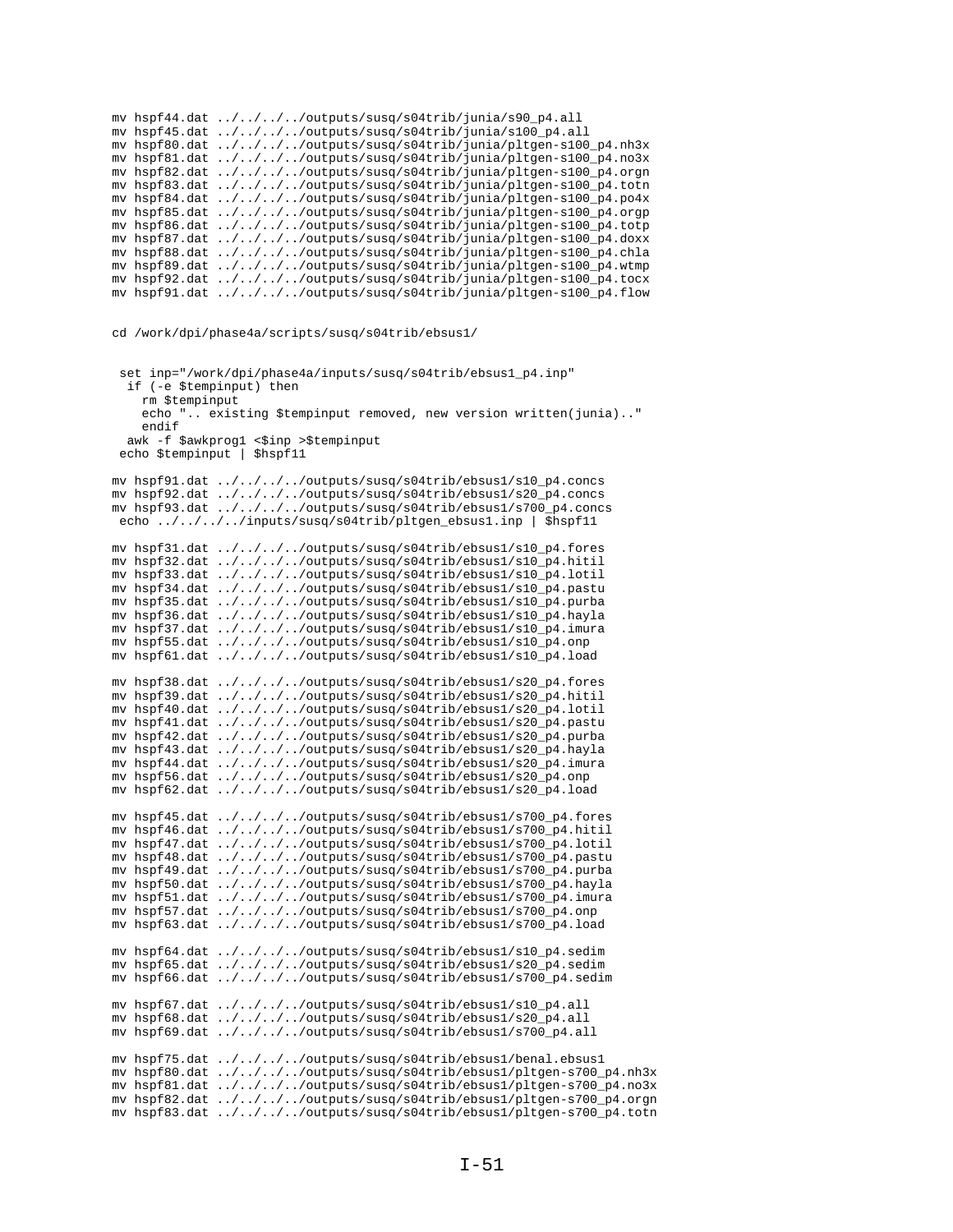```
mv hspf44.dat ../../../../outputs/susq/s04trib/junia/s90_p4.all
mv hspf45.dat ../../../../outputs/susq/s04trib/junia/s100_p4.all
mv hspf80.dat ../../../../outputs/susq/s04trib/junia/pltgen-s100_p4.nh3x
mv hspf81.dat ../../../../outputs/susq/s04trib/junia/pltgen-s100_p4.no3x
mv hspf82.dat ../../../../outputs/susq/s04trib/junia/pltgen-s100_p4.orgn
mv hspf83.dat ../../../../outputs/susq/s04trib/junia/pltgen-s100_p4.totn
mv hspf84.dat ../../../../outputs/susq/s04trib/junia/pltgen-s100_p4.po4x
mv hspf85.dat ../../../../outputs/susq/s04trib/junia/pltgen-s100_p4.orgp
mv hspf86.dat ../../../../outputs/susq/s04trib/junia/pltgen-s100_p4.totp
mv hspf87.dat ../../../../outputs/susq/s04trib/junia/pltgen-s100_p4.doxx
mv hspf88.dat ../../../../outputs/susq/s04trib/junia/pltgen-s100_p4.chla
mv hspf89.dat ../../../../outputs/susq/s04trib/junia/pltgen-s100_p4.wtmp
mv hspf92.dat ../../../../outputs/susq/s04trib/junia/pltgen-s100_p4.tocx
mv hspf91.dat ../../../../outputs/susq/s04trib/junia/pltgen-s100_p4.flow
```
cd /work/dpi/phase4a/scripts/susq/s04trib/ebsus1/

```
set inp="/work/dpi/phase4a/inputs/susq/s04trib/ebsus1_p4.inp"
   if (-e $tempinput) then
     rm $tempinput
     echo ".. existing $tempinput removed, new version written(junia).."
     endif
  awk -f $awkprog1 <$inp >$tempinput
 echo $tempinput | $hspf11
mv hspf91.dat ../../../../outputs/susq/s04trib/ebsus1/s10_p4.concs
mv hspf92.dat ../../../../outputs/susq/s04trib/ebsus1/s20_p4.concs
mv hspf93.dat ../../../../outputs/susq/s04trib/ebsus1/s700_p4.concs
echo ../../../../inputs/susq/s04trib/pltgen_ebsus1.inp | $hspf11
mv hspf31.dat ../../../../outputs/susq/s04trib/ebsus1/s10_p4.fores
mv hspf32.dat ../../../../outputs/susq/s04trib/ebsus1/s10_p4.hitil
mv hspf33.dat ../../../../outputs/susq/s04trib/ebsus1/s10_p4.lotil
mv hspf34.dat ../../../../outputs/susq/s04trib/ebsus1/s10_p4.pastu
mv hspf35.dat ../../../../outputs/susq/s04trib/ebsus1/s10_p4.purba
mv hspf36.dat ../../../../outputs/susq/s04trib/ebsus1/s10_p4.hayla
mv hspf37.dat ../../../../outputs/susq/s04trib/ebsus1/s10_p4.imura
mv hspf55.dat ../../../../outputs/susq/s04trib/ebsus1/s10_p4.onp
mv hspf61.dat ../../../../outputs/susq/s04trib/ebsus1/s10_p4.load
mv hspf38.dat ../../../../outputs/susq/s04trib/ebsus1/s20_p4.fores
mv hspf39.dat ../../../../outputs/susq/s04trib/ebsus1/s20_p4.hitil
mv hspf40.dat ../../../../outputs/susq/s04trib/ebsus1/s20_p4.lotil
mv hspf41.dat ../../../../outputs/susq/s04trib/ebsus1/s20_p4.pastu
mv hspf42.dat ../../../../outputs/susq/s04trib/ebsus1/s20_p4.purba
mv hspf43.dat ../../../../outputs/susq/s04trib/ebsus1/s20_p4.hayla
mv hspf44.dat ../../../../outputs/susq/s04trib/ebsus1/s20_p4.imura
mv hspf56.dat ../../../../outputs/susq/s04trib/ebsus1/s20_p4.onp
mv hspf62.dat ../../../../outputs/susq/s04trib/ebsus1/s20_p4.load
mv hspf45.dat ../../../../outputs/susq/s04trib/ebsus1/s700_p4.fores
mv hspf46.dat ../../../../outputs/susq/s04trib/ebsus1/s700_p4.hitil
mv hspf47.dat ../../../../outputs/susq/s04trib/ebsus1/s700_p4.lotil
mv hspf48.dat ../../../../outputs/susq/s04trib/ebsus1/s700_p4.pastu
mv hspf49.dat ../../../../outputs/susq/s04trib/ebsus1/s700_p4.purba
mv hspf50.dat ../../../../outputs/susq/s04trib/ebsus1/s700_p4.hayla
mv hspf51.dat ../../../../outputs/susq/s04trib/ebsus1/s700_p4.imura
mv hspf57.dat ../../../../outputs/susq/s04trib/ebsus1/s700_p4.onp
mv hspf63.dat ../../../../outputs/susq/s04trib/ebsus1/s700_p4.load
mv hspf64.dat ../../../../outputs/susq/s04trib/ebsus1/s10_p4.sedim
mv hspf65.dat ../../../../outputs/susq/s04trib/ebsus1/s20_p4.sedim
mv hspf66.dat ../../../../outputs/susq/s04trib/ebsus1/s700_p4.sedim
mv hspf67.dat ../../../../outputs/susq/s04trib/ebsus1/s10_p4.all
mv hspf68.dat ../../../../outputs/susq/s04trib/ebsus1/s20_p4.all
mv hspf69.dat ../../../../outputs/susq/s04trib/ebsus1/s700_p4.all
mv hspf75.dat ../../../../outputs/susq/s04trib/ebsus1/benal.ebsus1
mv hspf80.dat ../../../../outputs/susq/s04trib/ebsus1/pltgen-s700_p4.nh3x
mv hspf81.dat ../../../../outputs/susq/s04trib/ebsus1/pltgen-s700_p4.no3x
mv hspf82.dat ../../../../outputs/susq/s04trib/ebsus1/pltgen-s700_p4.orgn
mv hspf83.dat ../../../../outputs/susq/s04trib/ebsus1/pltgen-s700_p4.totn
```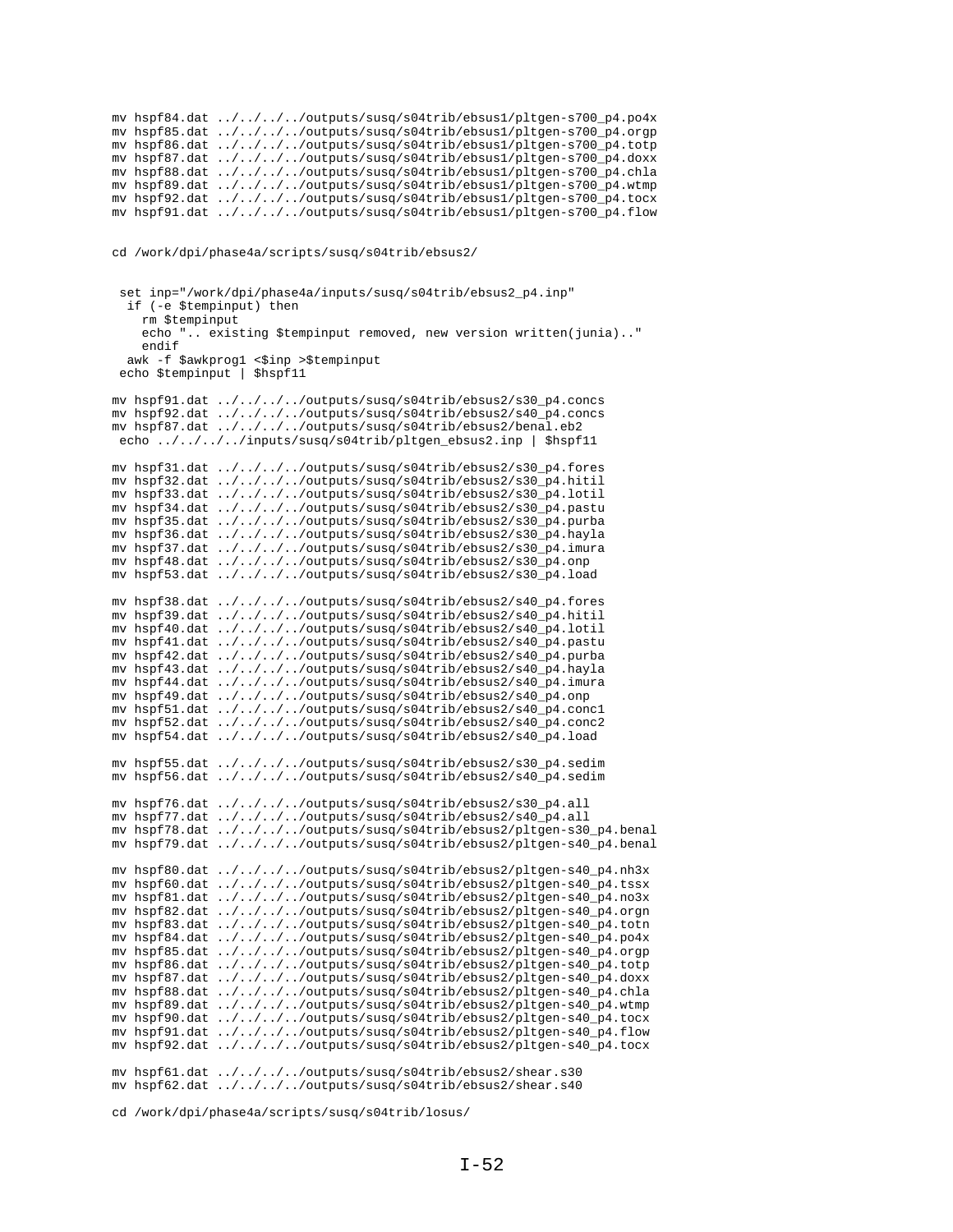|  | mv hspf84.dat ////outputs/susq/s04trib/ebsus1/pltgen-s700_p4.po4x |
|--|-------------------------------------------------------------------|
|  | my hspf85.dat ////outputs/susq/s04trib/ebsus1/pltqen-s700 p4.orgp |
|  | my hspf86.dat ////outputs/susq/s04trib/ebsus1/pltqen-s700 p4.totp |
|  | mv hspf87.dat ////outputs/susq/s04trib/ebsus1/pltgen-s700_p4.doxx |
|  | my hspf88.dat ////outputs/susq/s04trib/ebsus1/pltqen-s700 p4.chla |
|  | mv hspf89.dat ////outputs/susq/s04trib/ebsus1/pltgen-s700_p4.wtmp |
|  | my hspf92.dat ////outputs/susq/s04trib/ebsus1/pltqen-s700 p4.tocx |
|  | mv hspf91.dat ////outputs/susq/s04trib/ebsus1/pltgen-s700_p4.flow |

cd /work/dpi/phase4a/scripts/susq/s04trib/ebsus2/

```
set inp="/work/dpi/phase4a/inputs/susq/s04trib/ebsus2_p4.inp"
   if (-e $tempinput) then
     rm $tempinput
     echo ".. existing $tempinput removed, new version written(junia).."
     endif
  awk -f $awkprog1 <$inp >$tempinput
  echo $tempinput | $hspf11
mv hspf91.dat ../../../../outputs/susq/s04trib/ebsus2/s30_p4.concs
mv hspf92.dat ../../../../outputs/susq/s04trib/ebsus2/s40_p4.concs
mv hspf87.dat ../../../../outputs/susq/s04trib/ebsus2/benal.eb2
echo ../../../../inputs/susq/s04trib/pltgen_ebsus2.inp | $hspf11
mv hspf31.dat ../../../../outputs/susq/s04trib/ebsus2/s30_p4.fores
mv hspf32.dat ../../../../outputs/susq/s04trib/ebsus2/s30_p4.hitil
mv hspf33.dat ../../../../outputs/susq/s04trib/ebsus2/s30_p4.lotil
mv hspf34.dat ../../../../outputs/susq/s04trib/ebsus2/s30_p4.pastu
mv hspf35.dat ../../../../outputs/susq/s04trib/ebsus2/s30_p4.purba
mv hspf36.dat ../../../../outputs/susq/s04trib/ebsus2/s30_p4.hayla
mv hspf37.dat ../../../../outputs/susq/s04trib/ebsus2/s30_p4.imura
mv hspf48.dat ../../../../outputs/susq/s04trib/ebsus2/s30_p4.onp
mv hspf53.dat ../../../../outputs/susq/s04trib/ebsus2/s30_p4.load
mv hspf38.dat ../../../../outputs/susq/s04trib/ebsus2/s40_p4.fores
mv hspf39.dat ../../../../outputs/susq/s04trib/ebsus2/s40_p4.hitil
mv hspf40.dat \ldots/\ldots/\ldots/outputs/susq/s04trib/ebsus2/s40_p4.lotil
mv hspf41.dat ../../../../outputs/susq/s04trib/ebsus2/s40_p4.pastu
mv hspf42.dat ../../../../outputs/susq/s04trib/ebsus2/s40_p4.purba
mv hspf43.dat ../../../../outputs/susq/s04trib/ebsus2/s40_p4.hayla
mv hspf44.dat ../../../../outputs/susq/s04trib/ebsus2/s40_p4.imura
mv hspf49.dat ../../../../outputs/susq/s04trib/ebsus2/s40_p4.onp
mv hspf51.dat ../../../../outputs/susq/s04trib/ebsus2/s40_p4.conc1
mv hspf52.dat ../../../../outputs/susq/s04trib/ebsus2/s40_p4.conc2
mv hspf54.dat ../../../../outputs/susq/s04trib/ebsus2/s40_p4.load
mv hspf55.dat ../../../../outputs/susq/s04trib/ebsus2/s30_p4.sedim
mv hspf56.dat ../../../../outputs/susq/s04trib/ebsus2/s40_p4.sedim
mv hspf76.dat ../../../../outputs/susq/s04trib/ebsus2/s30_p4.all
mv hspf77.dat ../../../../outputs/susq/s04trib/ebsus2/s40_p4.all
mv hspf78.dat ../../../../outputs/susq/s04trib/ebsus2/pltgen-s30_p4.benal
mv hspf79.dat ../../../../outputs/susq/s04trib/ebsus2/pltgen-s40_p4.benal
mv hspf80.dat ../../../../outputs/susq/s04trib/ebsus2/pltgen-s40_p4.nh3x
mv hspf60.dat ../../../../outputs/susq/s04trib/ebsus2/pltgen-s40_p4.tssx
mv hspf81.dat ../../../../outputs/susq/s04trib/ebsus2/pltgen-s40_p4.no3x
mv hspf82.dat ../../../../outputs/susq/s04trib/ebsus2/pltgen-s40_p4.orgn
mv hspf83.dat ../../../../outputs/susq/s04trib/ebsus2/pltgen-s40_p4.totn
mv hspf84.dat ../../../../outputs/susq/s04trib/ebsus2/pltgen-s40_p4.po4x
mv hspf85.dat ../../../../outputs/susq/s04trib/ebsus2/pltgen-s40_p4.orgp
mv hspf86.dat ../../../../outputs/susq/s04trib/ebsus2/pltgen-s40_p4.totp
mv hspf87.dat ../../../../outputs/susq/s04trib/ebsus2/pltgen-s40_p4.doxx
mv hspf88.dat ../../../../outputs/susq/s04trib/ebsus2/pltgen-s40_p4.chla
mv hspf89.dat ../../../../outputs/susq/s04trib/ebsus2/pltgen-s40_p4.wtmp
mv hspf90.dat ../../../../outputs/susq/s04trib/ebsus2/pltgen-s40_p4.tocx
mv hspf91.dat ../../../../outputs/susq/s04trib/ebsus2/pltgen-s40_p4.flow
mv hspf92.dat ../../../../outputs/susq/s04trib/ebsus2/pltgen-s40_p4.tocx
mv hspf61.dat ../../../../outputs/susq/s04trib/ebsus2/shear.s30
mv hspf62.dat ../../../../outputs/susq/s04trib/ebsus2/shear.s40
```
cd /work/dpi/phase4a/scripts/susq/s04trib/losus/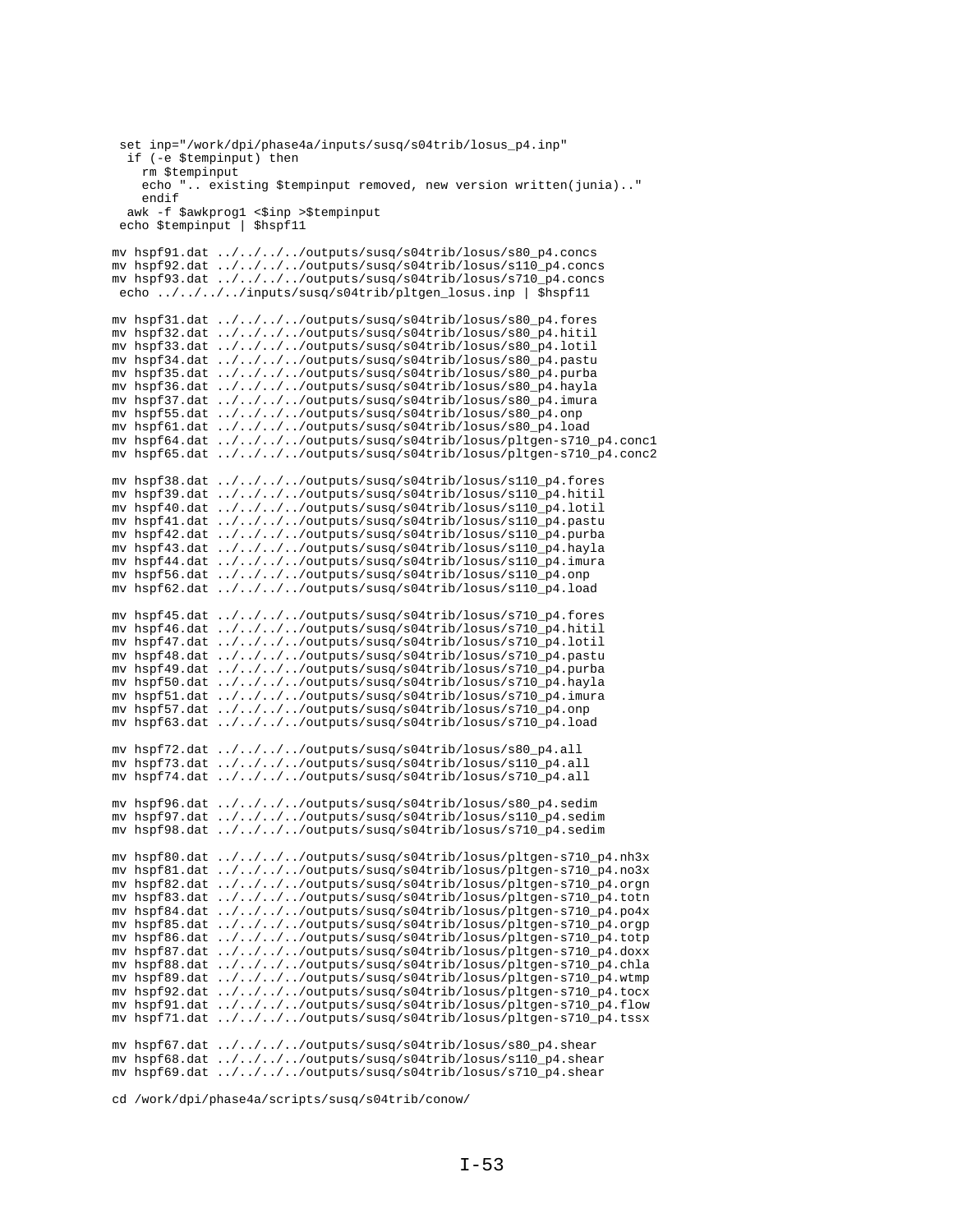```
set inp="/work/dpi/phase4a/inputs/susq/s04trib/losus_p4.inp"
  if (-e $tempinput) then
     rm $tempinput
    echo ".. existing $tempinput removed, new version written(junia).."
    endifawk -f $awkprog1 <$inp >$tempinput
 echo $tempinput | $hspf11
mv hspf91.dat ../../../../outputs/susq/s04trib/losus/s80_p4.concs
mv hspf92.dat ../../../../outputs/susq/s04trib/losus/s110_p4.concs
mv hspf93.dat ../.../.../.../outputs/susq/s04trib/losus/s710_p4.concs<br>echo ../../.../inputs/susq/s04trib/pltgen_losus.inp | $hspf11
my hspf31.dat ../../../../outputs/susq/s04trib/losus/s80 p4.fores
mv hspf32.dat ../../../../outputs/susq/s04trib/losus/s80_p4.hitil
mv hspf33.dat ../../../../outputs/susq/s04trib/losus/s80_p4.lotil
mv hspf34.dat ../../../../outputs/susq/s04trib/losus/s80_p4.pastu
mv hspf35.dat ../../../../outputs/susq/s04trib/losus/s80_p4.purba
mv hspf36.dat ../../../../outputs/susq/s04trib/losus/s80_p4.hayla
mv hspf37.dat ../../../../outputs/susq/s04trib/losus/s80_p4.imura
mv hspf55.dat ../../../../outputs/susq/s04trib/losus/s80_p4.onp
mv hspf61.dat ../../../../outputs/susq/s04trib/losus/s80_p4.load<br>mv hspf64.dat ../../../../outputs/susq/s04trib/losus/pltgen-s710_p4.concl
mv hspf65.dat ../../../../outputs/susq/s04trib/losus/pltgen-s710_p4.conc2
mv hspf38.dat \ldots/\ldots/\ldots/outputs/susq/s04trib/losus/s110_p4.fores
mv hspf39.dat ../../../../outputs/susq/s04trib/losus/s110_p4.hitil
mv hspf40.dat ../../../../outputs/susq/s04trib/losus/s110_p4.lotil
mv hspf41.dat ../../../../outputs/susq/s04trib/losus/s110_p4.pastu
\verb|mv hspf42.dat | .. / .. / .. / .. / outputs/susq/s04trib/lossus/s110_p4.purbamv hspf43.dat ../../../../outputs/susq/s04trib/losus/s110_p4.hayla
mv hspf44.dat ../../../../outputs/susq/s04trib/losus/s110_p4.imura
mv hspf56.dat ../../../../outputs/susq/s04trib/losus/s110_p4.onp
mv hspf62.dat ../../../../outputs/susq/s04trib/losus/s110_p4.load
mv hspf45.dat ../../../../outputs/susq/s04trib/losus/s710_p4.fores
my hspf46.dat \ldots/\ldots/\ldots/outputs/susq/s04trib/losus/s710 p4.hitil
mv hspf47.dat ../../../../outputs/susq/s04trib/losus/s710_p4.lotil
mv hspf48.dat ../../../../outputs/susq/s04trib/losus/s710_p4.pastu
mv hspf49.dat ../../../../outputs/susq/s04trib/losus/s710_p4.purba
mv hspf50.dat ../../../../outputs/susq/s04trib/losus/s710_p4.hayla<br>mv hspf51.dat ../../../../outputs/susq/s04trib/losus/s710_p4.hayla
mv hspf57.dat ../../../../outputs/susq/s04trib/losus/s710_p4.onp
mv hspf63.dat ../../../../outputs/susq/s04trib/losus/s710_p4.load
mv hspf72.dat ../../../../outputs/susq/s04trib/losus/s80_p4.all
mv hspf73.dat ../../../../outputs/susq/s04trib/losus/s110_p4.all mv hspf74.dat ../../../outputs/susq/s04trib/losus/s710_p4.all
mv hspf96.dat ../../../../outputs/susq/s04trib/losus/s80_p4.sedim
mv hspf97.dat ../../../../outputs/susq/s04trib/losus/s110_p4.sedim
mv hspf98.dat ../../../../outputs/susq/s04trib/losus/s710_p4.sedim
mv hspf80.dat ../../../../outputs/susq/s04trib/losus/pltgen-s710_p4.nh3x
mv hspf81.dat ../../../../outputs/susq/s04trib/losus/pltgen-s710_p4.no3x<br>mv hspf82.dat ../../../../outputs/susq/s04trib/losus/pltgen-s710_p4.orgn
mv hspf83.dat ../../../../outputs/susq/s04trib/losus/pltgen-s710_p4.totn
mv hspf84.dat ../../../../outputs/susq/s04trib/losus/pltgen-s710_p4.po4x
mv hspf85.dat ../../../../outputs/susq/s04trib/losus/pltgen-s710_p4.orgp
mv hspf86.dat ../../../../outputs/susq/s04trib/losus/pltgen-s710_p4.totp
mv hspf87.dat ../../../../outputs/susq/s04trib/losus/pltgen-s710_p4.doxx
mv hspf88.dat ../../../../outputs/susq/s04trib/losus/pltgen-s710_p4.chla
mv hspf89.dat ../../../../outputs/susq/s04trib/losus/pltgen-s710_p4.wtmp
mv hspf92.dat ../../../../outputs/susq/s04trib/losus/pltgen-s710_p4.tocx
mv hspf91.dat ../../../../outputs/susq/s04trib/losus/pltgen-s710_p4.flow
mv hspf71.dat ../../../../outputs/susq/s04trib/losus/pltgen-s710_p4.tssx
mv hspf67.dat ../../../../outputs/susq/s04trib/losus/s80_p4.shear
mv hspf68.dat ../../../../outputs/susq/s04trib/losus/s110_p4.shear<br>mv hspf69.dat ../../../../outputs/susq/s04trib/losus/s710_p4.shear
```
cd /work/dpi/phase4a/scripts/susq/s04trib/conow/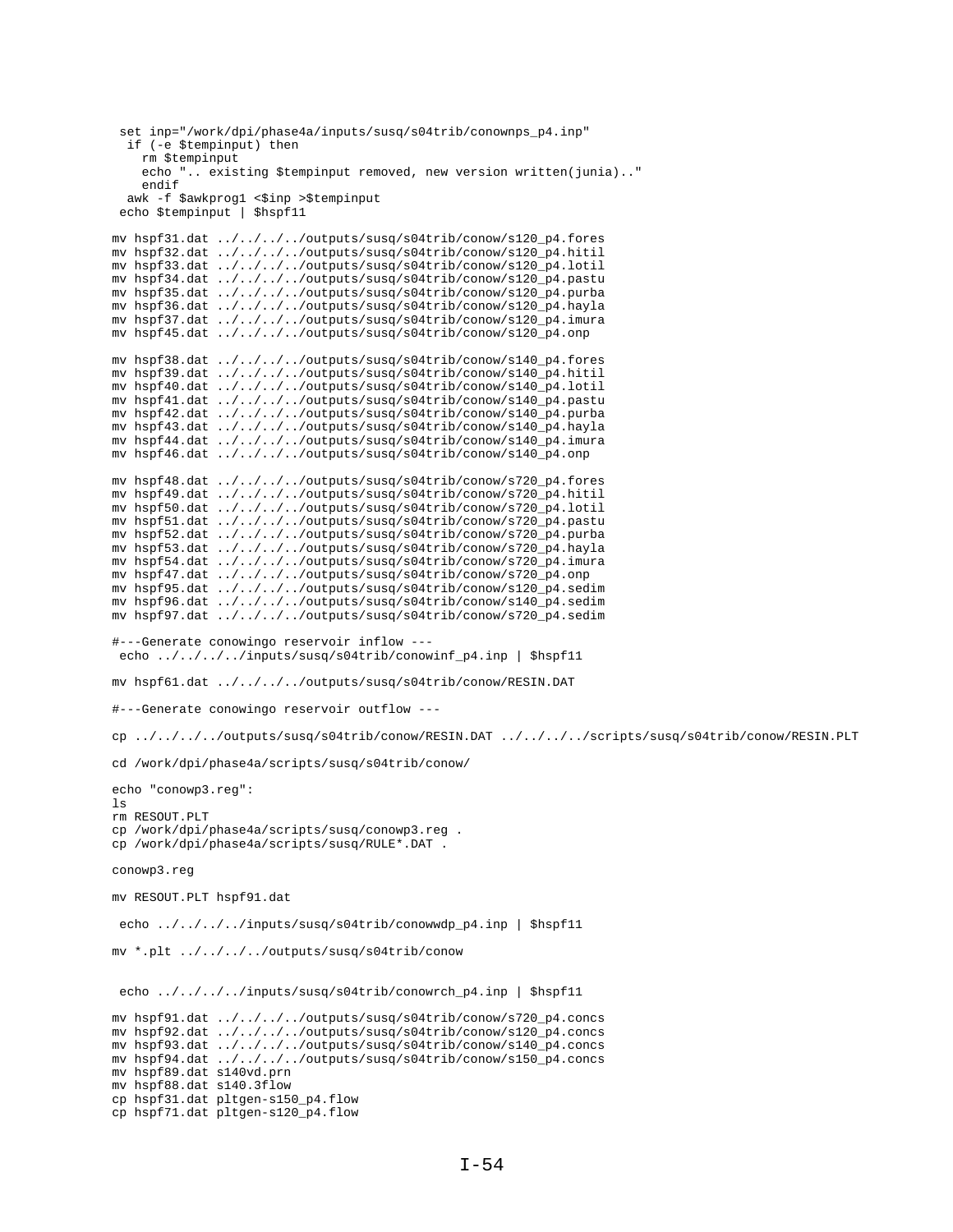```
set inp="/work/dpi/phase4a/inputs/susq/s04trib/conownps_p4.inp"
 if (-e $tempinput) then
    rm $tempinput
    echo ".. existing $tempinput removed, new version written(junia).."
    endif
awk -f $awkprog1 <$inp >$tempinput<br>echo $tempinput | $hspf11
mv hspf31.dat ../../../../outputs/susq/s04trib/conow/s120_p4.fores
mv hspf32.dat ../../../../outputs/susq/s04trib/conow/s120_p4.hitil
mv hspf33.dat ../../../../outputs/susq/s04trib/conow/s120_p4.lotil
mv hspf34.dat ../../../../outputs/susq/s04trib/conow/s120_p4.pastu<br>mv hspf35.dat ../../../../outputs/susq/s04trib/conow/s120_p4.purba
mv hspf36.dat ../../../../outputs/susq/s04trib/conow/s120_p4.hayla
my hspf37.dat ../../../../outputs/susq/s04trib/conow/s120 p4.imura
mv hspf45.dat ../../../../outputs/susq/s04trib/conow/s120_p4.onp
mv hspf38.dat ../../../../outputs/susq/s04trib/conow/s140_p4.fores
mv hspf39.dat ../../../../outputs/susq/s04trib/conow/s140_p4.hitil
mv hspf40.dat ../../../../outputs/susq/s04trib/conow/s140_p4.lotil
mv hspf41.dat ../../../../outputs/susq/s04trib/conow/s140_p4.pastu
mv hspf42.dat ../../../../outputs/susq/s04trib/conow/s140_p4.purba
mv hspf43.dat ../../../../outputs/susq/s04trib/conow/s140_p4.hayla<br>mv hspf44.dat ../../../../outputs/susq/s04trib/conow/s140_p4.imura
mv hspf46.dat ../../../../outputs/susq/s04trib/conow/s140_p4.onp
mv hspf48.dat ../../../../outputs/susq/s04trib/conow/s720_p4.fores
mv hspf49.dat ../../../../outputs/susq/s04trib/conow/s720_p4.hitil
mv hspf50.dat ../../../../outputs/susq/s04trib/conow/s720_p4.lotil
mv hspf51.dat ../../../../outputs/susq/s04trib/conow/s720_p4.pastu
mv hspf52.dat ../../../../outputs/susq/s04trib/conow/s720_p4.purba
mv hspf53.dat ../../../../outputs/susq/s04trib/conow/s720_p4.hayla
mv hspf54.dat ../../../../outputs/susq/s04trib/conow/s720_p4.imura
mv hspf47.dat ../../../../outputs/susq/s04trib/conow/s720_p4.onp
mv hspf95.dat ../../../../outputs/susq/s04trib/conow/s120_p4.sedim
mv hspf96.dat ../../../../outputs/susq/s04trib/conow/s140_p4.sedim
mv hspf97.dat ../../../../outputs/susq/s04trib/conow/s720_p4.sedim
#---Generate conowingo reservoir inflow ---
echo ../../../../inputs/susq/s04trib/conowinf_p4.inp | $hspf11
my hspf61.dat ../../../../outputs/susq/s04trib/conow/RESIN.DAT
#---Generate conowingo reservoir outflow ---
cp ../../../../outputs/susq/s04trib/conow/RESIN.DAT ../../../scripts/susq/s04trib/conow/RESIN.PLT
cd /work/dpi/phase4a/scripts/susq/s04trib/conow/
echo "conowp3.reg":
\logrm RESOUT.PLT
cp /work/dpi/phase4a/scripts/susq/conowp3.reg.
cp /work/dpi/phase4a/scripts/susq/RULE*.DAT .
conowp3.reg
mv RESOUT.PLT hspf91.dat
echo ../../../../inputs/susq/s04trib/conowwdp_p4.inp | $hspf11
mv *.plt ../../../../outputs/susq/s04trib/conow
echo ../../../../inputs/susq/s04trib/conowrch_p4.inp | $hspf11
mv hspf91.dat ../../../../outputs/susq/s04trib/conow/s720_p4.concs
mv hspf92.dat ../../../../outputs/susq/s04trib/conow/s120_p4.concs
mv hspf93.dat ../../../../outputs/susq/s04trib/conow/s140_p4.concs
mv hspf94.dat ../../../../outputs/susq/s04trib/conow/s150_p4.concs
my hspf89.dat s140vd.prn
mv hspf88.dat s140.3flow
cp hspf31.dat pltgen-s150_p4.flow
cp hspf71.dat pltgen-s120_p4.flow
```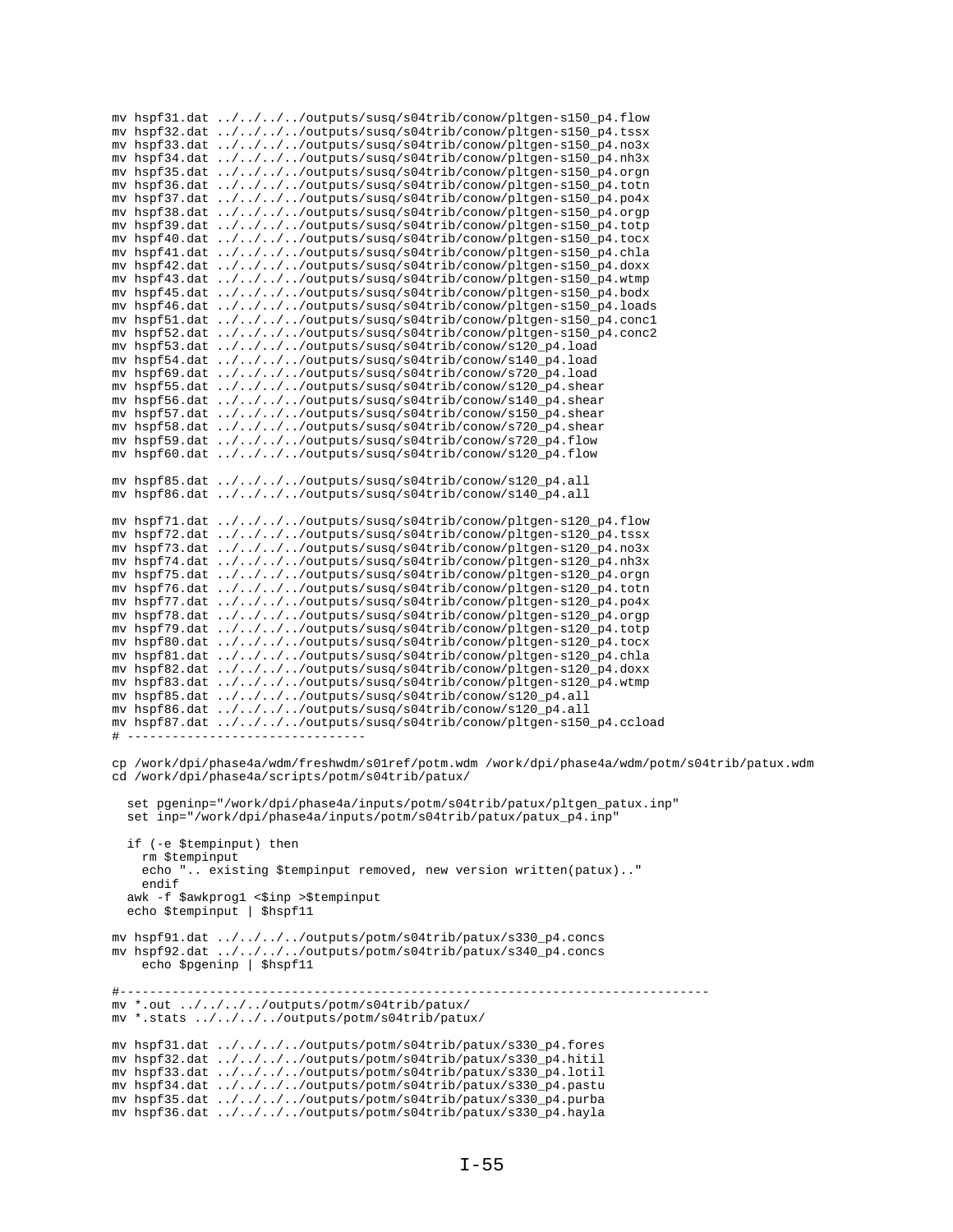mv hspf31.dat ../../../../outputs/susq/s04trib/conow/pltgen-s150\_p4.flow mv hspf32.dat ../../../../outputs/susq/s04trib/conow/pltgen-s150\_p4.tssx mv hspf33.dat ../../../../outputs/susq/s04trib/conow/pltgen-s150\_p4.no3x mv hspf34.dat ../../../../outputs/susq/s04trib/conow/pltgen-s150\_p4.nh3x mv hspf35.dat ../../../../outputs/susq/s04trib/conow/pltgen-s150\_p4.orgn mv hspf36.dat ../../../../outputs/susq/s04trib/conow/pltgen-s150\_p4.totn mv hspf37.dat ../../../../outputs/susq/s04trib/conow/pltgen-s150\_p4.po4x mv hspf38.dat ../../../../outputs/susq/s04trib/conow/pltgen-s150\_p4.orgp mv hspf39.dat ../../../../outputs/susq/s04trib/conow/pltgen-s150\_p4.totp mv hspf40.dat ../../../../outputs/susq/s04trib/conow/pltgen-s150\_p4.tocx mv hspf41.dat ../../../../outputs/susq/s04trib/conow/pltgen-s150\_p4.chla mv hspf42.dat ../../../../outputs/susq/s04trib/conow/pltgen-s150\_p4.doxx mv hspf43.dat ../../../../outputs/susq/s04trib/conow/pltgen-s150\_p4.wtmp<br>mv hspf45.dat ../../../../outputs/susq/s04trib/conow/pltgen-s150\_p4.bodx mv hspf46.dat ../../../../outputs/susq/s04trib/conow/pltgen-s150\_p4.loads my hspf51.dat ../../../../outputs/susq/s04trib/conow/pltgen-s150 p4.concl mv hspf52.dat ../../../../outputs/susq/s04trib/conow/pltgen-s150\_p4.conc2 mv hspf53.dat ../../../../outputs/susq/s04trib/conow/s120\_p4.load mv hspf54.dat ../../../../outputs/susq/s04trib/conow/s140\_p4.load mv hspf69.dat ../../../../outputs/susq/s04trib/conow/s720\_p4.load mv hspf55.dat ../../../../outputs/susq/s04trib/conow/s120\_p4.shear mv hspf56.dat ../../../../outputs/susq/s04trib/conow/s140\_p4.shear mv hspf57.dat ../../../../outputs/susq/s04trib/conow/s150\_p4.shear mv hspf58.dat ../../../../outputs/susq/s04trib/conow/s720\_p4.shear<br>mv hspf59.dat ../../../../outputs/susq/s04trib/conow/s720\_p4.flow mv hspf60.dat ../../../../outputs/susq/s04trib/conow/s120\_p4.flow mv hspf85.dat ../../../../outputs/susq/s04trib/conow/s120\_p4.all mv hspf86.dat ../../../../outputs/susq/s04trib/conow/s140\_p4.all mv hspf71.dat ../../../../outputs/susq/s04trib/conow/pltgen-s120\_p4.flow mv hspf72.dat ../../../../outputs/susq/s04trib/conow/pltgen-s120\_p4.tssx<br>mv hspf73.dat ../../../../outputs/susq/s04trib/conow/pltgen-s120\_p4.no3x mv hspf74.dat ../../../../outputs/susq/s04trib/conow/pltgen-s120\_p4.nh3x mv hspf75.dat ../../../../outputs/susq/s04trib/conow/pltgen-s120\_p4.orgn mv hspf76.dat ../../../../outputs/susq/s04trib/conow/pltgen-s120\_p4.totn mv hspf77.dat ../../../../outputs/susq/s04trib/conow/pltgen-s120\_p4.po4x mv hspf78.dat ../../../../outputs/susq/s04trib/conow/pltgen-s120\_p4.orgp my hspf79.dat  $\ldots/\ldots/\ldots$ /outputs/susq/s04trib/conow/pltgen-s120 p4.totp mv hspf80.dat ../../../../outputs/susq/s04trib/conow/pltgen-s120\_p4.tocx mv hspf81.dat ../../../../outputs/susq/s04trib/conow/pltgen-s120\_p4.chla mv hspf82.dat ../../../../outputs/susq/s04trib/conow/pltgen-s120\_p4.doxx mv hspf83.dat ../../../../outputs/susq/s04trib/conow/pltgen-s120\_p4.wtmp mv hspf85.dat ../../../../outputs/susq/s04trib/conow/s120\_p4.all mv hspf86.dat ../../../../outputs/susq/s04trib/conow/s120\_p4.all mv hspf87.dat ../../../../outputs/susq/s04trib/conow/pltgen-s150\_p4.ccload  $#$   $--$ cp /work/dpi/phase4a/wdm/freshwdm/s01ref/potm.wdm /work/dpi/phase4a/wdm/potm/s04trib/patux.wdm cd /work/dpi/phase4a/scripts/potm/s04trib/patux/ set pgeninp="/work/dpi/phase4a/inputs/potm/s04trib/patux/pltgen\_patux.inp" set inp="/work/dpi/phase4a/inputs/potm/s04trib/patux/patux\_p4.inp" if (-e \$tempinput) then rm \$tempinput echo ".. existing \$tempinput removed, new version written(patux).." endif awk -f \$awkprog1 <\$inp >\$tempinput echo \$tempinput | \$hspf11 mv hspf91.dat ../../../../outputs/potm/s04trib/patux/s330 p4.concs mv hspf92.dat ../../../../outputs/potm/s04trib/patux/s340\_p4.concs echo \$pgeninp | \$hspf11 \_\_\_\_\_\_\_\_\_\_\_\_\_\_\_\_\_\_\_\_\_\_\_\_\_\_\_\_\_\_\_\_\_\_ mv \*.out ../../../../outputs/potm/s04trib/patux/ mv \*.stats ../../../../outputs/potm/s04trib/patux/ mv hspf31.dat ../../../../outputs/potm/s04trib/patux/s330\_p4.fores mv hspf32.dat ../../../../outputs/potm/s04trib/patux/s330\_p4.hitil mv hspf33.dat ../../../../outputs/potm/s04trib/patux/s330\_p4.lotil mv hspf34.dat ../../../../outputs/potm/s04trib/patux/s330\_p4.pastu mv hspf35.dat ../../../../outputs/potm/s04trib/patux/s330\_p4.purba mv hspf36.dat ../../../../outputs/potm/s04trib/patux/s330\_p4.hayla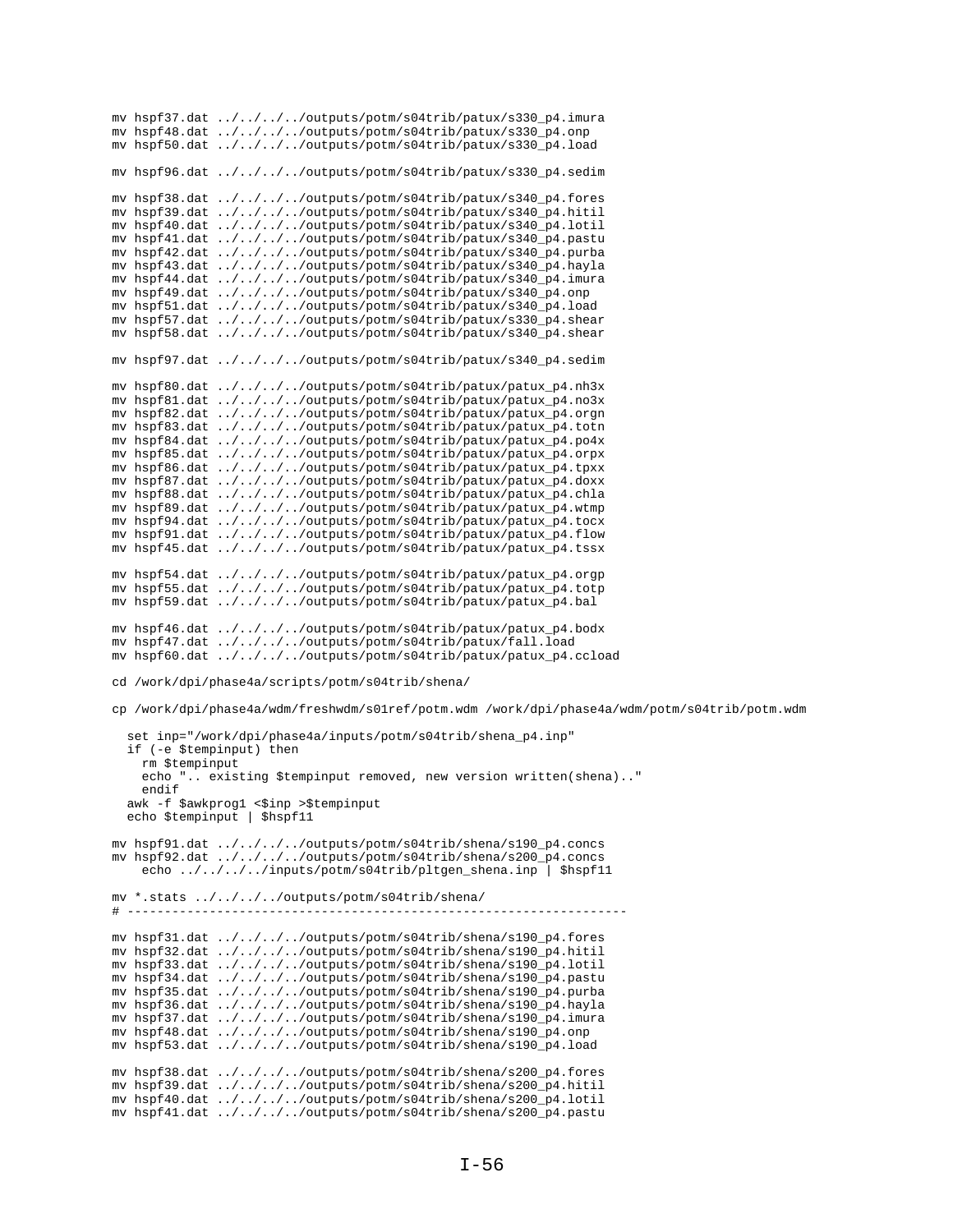mv hspf37.dat ../../../../outputs/potm/s04trib/patux/s330\_p4.imura mv hspf48.dat ../../../../outputs/potm/s04trib/patux/s330\_p4.onp mv hspf50.dat ../../../../outputs/potm/s04trib/patux/s330\_p4.load mv hspf96.dat ../../../../outputs/potm/s04trib/patux/s330\_p4.sedim mv hspf38.dat ../../../../outputs/potm/s04trib/patux/s340\_p4.fores mv hspf39.dat ../../../../outputs/potm/s04trib/patux/s340\_p4.hitil mv hspf40.dat ../../../../outputs/potm/s04trib/patux/s340\_p4.lotil mv hspf41.dat ../../../../outputs/potm/s04trib/patux/s340\_p4.pastu mv hspf42.dat ../../../../outputs/potm/s04trib/patux/s340\_p4.purba mv hspf43.dat ../../../../outputs/potm/s04trib/patux/s340\_p4.hayla mv hspf44.dat ../../../../outputs/potm/s04trib/patux/s340\_p4.imura mv hspf49.dat ../../../../outputs/potm/s04trib/patux/s340\_p4.onp mv hspf51.dat ../../../../outputs/potm/s04trib/patux/s340\_p4.load mv hspf57.dat  $. / . / . / . / . . /$ outputs/potm/s04trib/patux/s330 p4.shear mv hspf58.dat ../../../../outputs/potm/s04trib/patux/s340\_p4.shear mv hspf97.dat ../../../../outputs/potm/s04trib/patux/s340\_p4.sedim mv hspf80.dat ../../../../outputs/potm/s04trib/patux/patux\_p4.nh3x mv hspf81.dat ../../../../outputs/potm/s04trib/patux/patux\_p4.no3x mv hspf82.dat ../../../../outputs/potm/s04trib/patux/patux\_p4.orgn mv hspf83.dat ../../../../outputs/potm/s04trib/patux/patux\_p4.totn mv hspf84.dat ../../../../outputs/potm/s04trib/patux/patux\_p4.po4x mv hspf85.dat ../../../../outputs/potm/s04trib/patux/patux\_p4.orpx mv hspf86.dat ../../../../outputs/potm/s04trib/patux/patux\_p4.tpxx mv hspf87.dat ../../../../outputs/potm/s04trib/patux/patux\_p4.doxx mv hspf88.dat ../../../../outputs/potm/s04trib/patux/patux\_p4.chla mv hspf89.dat ../../../../outputs/potm/s04trib/patux/patux\_p4.wtmp mv hspf94.dat ../../../../outputs/potm/s04trib/patux/patux\_p4.tocx mv hspf91.dat ../../../../outputs/potm/s04trib/patux/patux\_p4.flow mv hspf45.dat ../../../../outputs/potm/s04trib/patux/patux\_p4.tssx mv hspf54.dat ../../../../outputs/potm/s04trib/patux/patux\_p4.orgp mv hspf55.dat ../../../../outputs/potm/s04trib/patux/patux\_p4.totp mv hspf59.dat ../../../../outputs/potm/s04trib/patux/patux\_p4.bal mv hspf46.dat  $. / . / . / . / . . /$ outputs/potm/s04trib/patux/patux p4.bodx mv hspf47.dat ../../../../outputs/potm/s04trib/patux/fall.load mv hspf60.dat ../../../../outputs/potm/s04trib/patux/patux\_p4.ccload cd /work/dpi/phase4a/scripts/potm/s04trib/shena/ cp /work/dpi/phase4a/wdm/freshwdm/s01ref/potm.wdm /work/dpi/phase4a/wdm/potm/s04trib/potm.wdm set inp="/work/dpi/phase4a/inputs/potm/s04trib/shena\_p4.inp" if (-e \$tempinput) then rm \$tempinput echo ".. existing \$tempinput removed, new version written(shena).." endif awk -f \$awkprog1 <\$inp >\$tempinput echo \$tempinput | \$hspf11 mv hspf91.dat ../../../../outputs/potm/s04trib/shena/s190\_p4.concs mv hspf92.dat ../../../../outputs/potm/s04trib/shena/s200\_p4.concs echo ../../../../inputs/potm/s04trib/pltgen\_shena.inp | \$hspf11 mv \*.stats ../../../../outputs/potm/s04trib/shena/ # ------------------------------------------------------------------ mv hspf31.dat ../../../../outputs/potm/s04trib/shena/s190\_p4.fores mv hspf32.dat ../../../../outputs/potm/s04trib/shena/s190\_p4.hitil mv hspf33.dat ../../../../outputs/potm/s04trib/shena/s190\_p4.lotil mv hspf34.dat ../../../../outputs/potm/s04trib/shena/s190\_p4.pastu mv hspf35.dat ../../../../outputs/potm/s04trib/shena/s190\_p4.purba mv hspf36.dat ../../../../outputs/potm/s04trib/shena/s190\_p4.hayla mv hspf37.dat ../../../../outputs/potm/s04trib/shena/s190\_p4.imura mv hspf48.dat ../../../../outputs/potm/s04trib/shena/s190\_p4.onp mv hspf53.dat ../../../../outputs/potm/s04trib/shena/s190\_p4.load mv hspf38.dat ../../../../outputs/potm/s04trib/shena/s200\_p4.fores mv hspf39.dat ../../../../outputs/potm/s04trib/shena/s200\_p4.hitil mv hspf40.dat ../../../../outputs/potm/s04trib/shena/s200\_p4.lotil mv hspf41.dat ../../../../outputs/potm/s04trib/shena/s200\_p4.pastu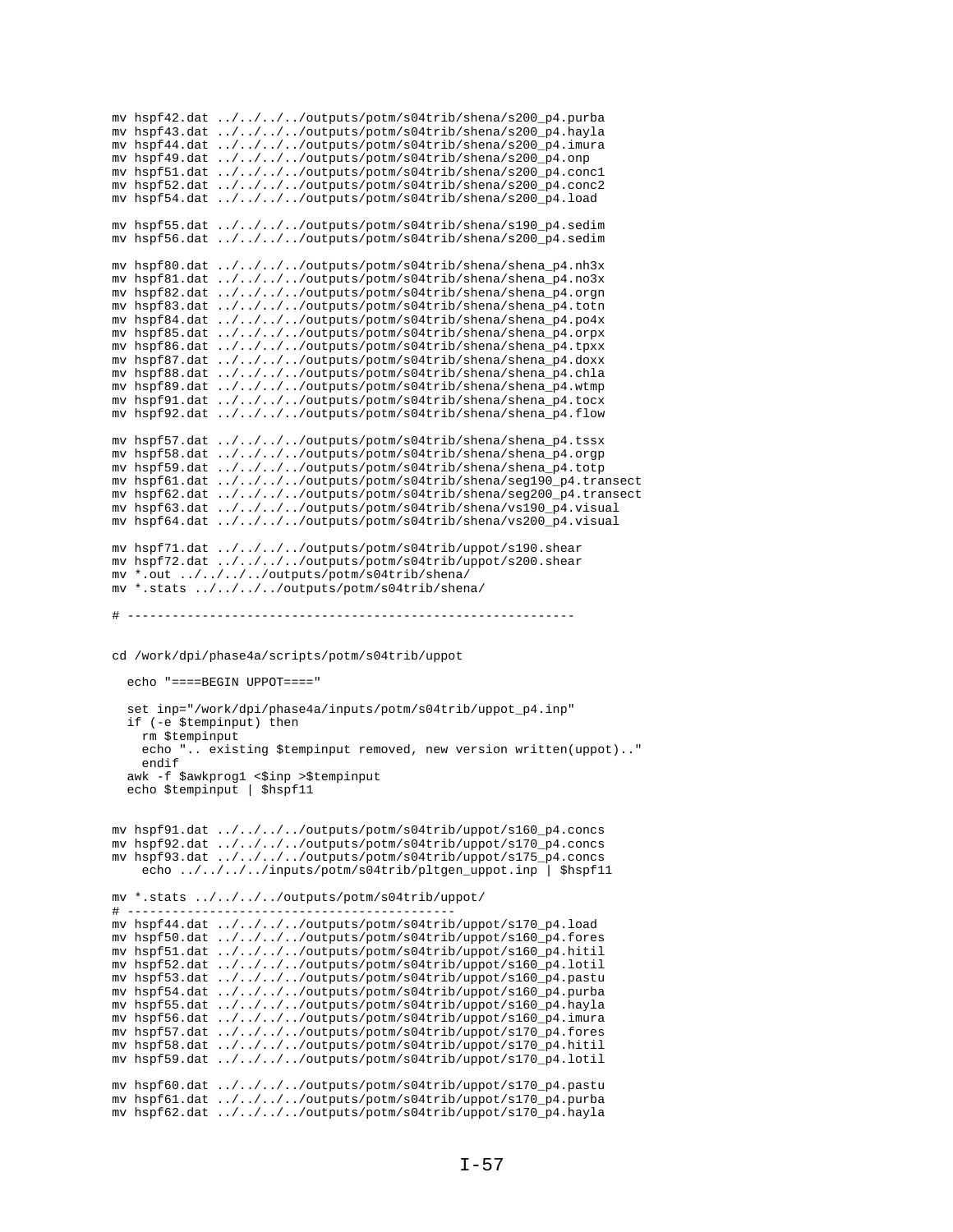```
mv hspf42.dat ../../../../outputs/potm/s04trib/shena/s200_p4.purba
mv hspf43.dat ../../../../outputs/potm/s04trib/shena/s200_p4.hayla
mv hspf44.dat ../../../../outputs/potm/s04trib/shena/s200_p4.imura
mv hspf49.dat ../../../../outputs/potm/s04trib/shena/s200_p4.onp
mv hspf51.dat ../../../../outputs/potm/s04trib/shena/s200_p4.conc1
mv hspf52.dat ../../../../outputs/potm/s04trib/shena/s200_p4.conc2
mv hspf54.dat ../../../../outputs/potm/s04trib/shena/s200_p4.load
mv hspf55.dat ../../../../outputs/potm/s04trib/shena/s190_p4.sedim
mv hspf56.dat \ldots/\ldots/\ldots/outputs/potm/s04trib/shena/s200_p4.sedim
mv hspf80.dat ../../../../outputs/potm/s04trib/shena/shena_p4.nh3x
mv hspf81.dat ../../../../outputs/potm/s04trib/shena/shena_p4.no3x
mv hspf82.dat ../../../../outputs/potm/s04trib/shena/shena_p4.orgn
mv hspf83.dat ../../../../outputs/potm/s04trib/shena/shena_p4.totn
mv hspf84.dat \ldots/\ldots/\ldots/outputs/potm/s04trib/shena/shena p4.po4x
mv hspf85.dat ../../../../outputs/potm/s04trib/shena/shena_p4.orpx
mv hspf86.dat ../../../../outputs/potm/s04trib/shena/shena_p4.tpxx
mv hspf87.dat ../../../../outputs/potm/s04trib/shena/shena_p4.doxx
mv hspf88.dat ../../../../outputs/potm/s04trib/shena/shena_p4.chla
mv hspf89.dat ../../../../outputs/potm/s04trib/shena/shena_p4.wtmp
mv hspf91.dat ../../../../outputs/potm/s04trib/shena/shena_p4.tocx
mv hspf92.dat ../../../../outputs/potm/s04trib/shena/shena_p4.flow
mv hspf57.dat ../../../../outputs/potm/s04trib/shena/shena_p4.tssx
mv hspf58.dat ../../../../outputs/potm/s04trib/shena/shena_p4.orgp
mv hspf59.dat ../../../../outputs/potm/s04trib/shena/shena_p4.totp
mv hspf61.dat ../../../../outputs/potm/s04trib/shena/seg190_p4.transect
mv hspf62.dat ../../../../outputs/potm/s04trib/shena/seg200_p4.transect
mv hspf63.dat ../../../../outputs/potm/s04trib/shena/vs190_p4.visual
mv hspf64.dat ../../../../outputs/potm/s04trib/shena/vs200_p4.visual
mv hspf71.dat ../../../../outputs/potm/s04trib/uppot/s190.shear
mv hspf72.dat ../../../../outputs/potm/s04trib/uppot/s200.shear
mv *.out ../../../../outputs/potm/s04trib/shena/
mv *.stats ../../../../outputs/potm/s04trib/shena/
# ------------------------------------------------------------
cd /work/dpi/phase4a/scripts/potm/s04trib/uppot
   echo "====BEGIN UPPOT===="
   set inp="/work/dpi/phase4a/inputs/potm/s04trib/uppot_p4.inp"
   if (-e $tempinput) then
    rm $tempinput
     echo ".. existing $tempinput removed, new version written(uppot).."
     endif
  awk -f $awkprog1 <$inp >$tempinput
   echo $tempinput | $hspf11
mv hspf91.dat ../../../../outputs/potm/s04trib/uppot/s160_p4.concs
mv hspf92.dat ../../../../outputs/potm/s04trib/uppot/s170_p4.concs
mv hspf93.dat ../../../../outputs/potm/s04trib/uppot/s175_p4.concs
    echo ../../../../inputs/potm/s04trib/pltgen_uppot.inp | $hspf11
mv *.stats ../../../../outputs/potm/s04trib/uppot/
# --------------------------------------------
mv hspf44.dat ../../../../outputs/potm/s04trib/uppot/s170_p4.load
mv hspf50.dat ../../../../outputs/potm/s04trib/uppot/s160_p4.fores
mv hspf51.dat ../../../../outputs/potm/s04trib/uppot/s160_p4.hitil
mv hspf52.dat ../../../../outputs/potm/s04trib/uppot/s160_p4.lotil
mv hspf53.dat ../../../../outputs/potm/s04trib/uppot/s160_p4.pastu
mv hspf54.dat ../../../../outputs/potm/s04trib/uppot/s160_p4.purba
mv hspf55.dat ../../../../outputs/potm/s04trib/uppot/s160_p4.hayla
mv hspf56.dat ../../../../outputs/potm/s04trib/uppot/s160_p4.imura
mv hspf57.dat ../../../../outputs/potm/s04trib/uppot/s170_p4.fores
mv hspf58.dat ../../../../outputs/potm/s04trib/uppot/s170_p4.hitil
mv hspf59.dat ../../../../outputs/potm/s04trib/uppot/s170_p4.lotil
mv hspf60.dat ../../../../outputs/potm/s04trib/uppot/s170_p4.pastu
mv hspf61.dat ../../../../outputs/potm/s04trib/uppot/s170_p4.purba
mv hspf62.dat ../../../../outputs/potm/s04trib/uppot/s170_p4.hayla
```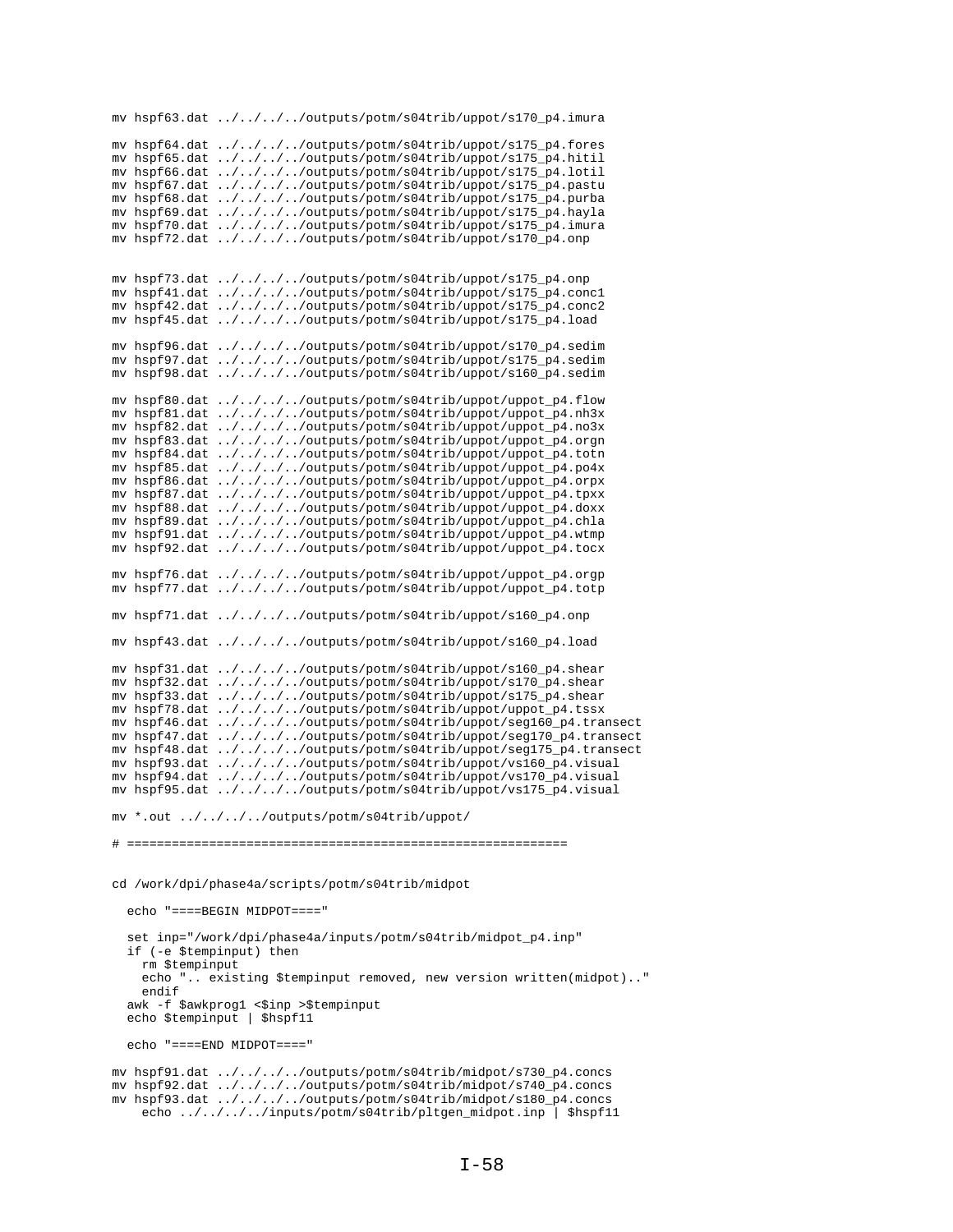```
mv hspf63.dat ../../../../outputs/potm/s04trib/uppot/s170_p4.imura
mv hspf64.dat ../../../../outputs/potm/s04trib/uppot/s175_p4.fores
mv hspf65.dat ../../../../outputs/potm/s04trib/uppot/s175_p4.hitil
mv hspf66.dat ../../../../outputs/potm/s04trib/uppot/s175_p4.lotil
mv hspf67.dat ../../../../outputs/potm/s04trib/uppot/s175_p4.pastu
mv hspf68.dat ../../../../outputs/potm/s04trib/uppot/s175_p4.purba
mv hspf69.dat ../../../../outputs/potm/s04trib/uppot/s175_p4.hayla
mv hspf70.dat ../../../../outputs/potm/s04trib/uppot/s175_p4.imura
mv hspf72.dat \ldots/\ldots/\ldots/outputs/potm/s04trib/uppot/s170_p4.onp
mv hspf73.dat ../../../../outputs/potm/s04trib/uppot/s175_p4.onp
mv hspf41.dat ../../../../outputs/potm/s04trib/uppot/s175_p4.conc1
mv hspf42.dat ../../../../outputs/potm/s04trib/uppot/s175_p4.conc2
mv hspf45.dat ../../../../outputs/potm/s04trib/uppot/s175_p4.load
mv hspf96.dat ../../../../outputs/potm/s04trib/uppot/s170_p4.sedim
mv hspf97.dat ../../../../outputs/potm/s04trib/uppot/s175_p4.sedim
mv hspf98.dat ../../../../outputs/potm/s04trib/uppot/s160_p4.sedim
mv hspf80.dat ../../../../outputs/potm/s04trib/uppot/uppot_p4.flow
mv hspf81.dat ../../../../outputs/potm/s04trib/uppot/uppot_p4.nh3x
mv hspf82.dat ../../../../outputs/potm/s04trib/uppot/uppot_p4.no3x
mv hspf83.dat ../../../../outputs/potm/s04trib/uppot/uppot_p4.orgn
mv hspf84.dat ../../../../outputs/potm/s04trib/uppot/uppot_p4.totn
mv hspf85.dat ../../../../outputs/potm/s04trib/uppot/uppot_p4.po4x
mv hspf86.dat ../../../../outputs/potm/s04trib/uppot/uppot_p4.orpx
mv hspf87.dat ../../../../outputs/potm/s04trib/uppot/uppot_p4.tpxx
mv hspf88.dat ../../../../outputs/potm/s04trib/uppot/uppot_p4.doxx
mv hspf89.dat ../../../../outputs/potm/s04trib/uppot/uppot_p4.chla
mv hspf91.dat ../../../../outputs/potm/s04trib/uppot/uppot_p4.wtmp
mv hspf92.dat ../../../../outputs/potm/s04trib/uppot/uppot_p4.tocx
mv hspf76.dat ../../../../outputs/potm/s04trib/uppot/uppot_p4.orgp
mv hspf77.dat ../../../../outputs/potm/s04trib/uppot/uppot_p4.totp
mv hspf71.dat ../../../../outputs/potm/s04trib/uppot/s160_p4.onp
mv hspf43.dat ../../../../outputs/potm/s04trib/uppot/s160_p4.load
mv hspf31.dat ../../../../outputs/potm/s04trib/uppot/s160_p4.shear
mv hspf32.dat ../../../../outputs/potm/s04trib/uppot/s170_p4.shear
mv hspf33.dat ../../../../outputs/potm/s04trib/uppot/s175_p4.shear
mv hspf78.dat ../../../../outputs/potm/s04trib/uppot/uppot_p4.tssx
mv hspf46.dat ../../../../outputs/potm/s04trib/uppot/seg160_p4.transect
mv hspf47.dat ../../../../outputs/potm/s04trib/uppot/seg170_p4.transect
mv hspf48.dat ../../../../outputs/potm/s04trib/uppot/seg175_p4.transect
mv hspf93.dat ../../../../outputs/potm/s04trib/uppot/vs160_p4.visual
mv hspf94.dat ../../../../outputs/potm/s04trib/uppot/vs170_p4.visual
mv hspf95.dat ../../../../outputs/potm/s04trib/uppot/vs175_p4.visual
mv *.out ../../../../outputs/potm/s04trib/uppot/
# ===========================================================
cd /work/dpi/phase4a/scripts/potm/s04trib/midpot
   echo "====BEGIN MIDPOT===="
  set inp="/work/dpi/phase4a/inputs/potm/s04trib/midpot_p4.inp"
   if (-e $tempinput) then
    rm $tempinput
     echo ".. existing $tempinput removed, new version written(midpot).."
    endif
  awk -f $awkprog1 <$inp >$tempinput
  echo $tempinput | $hspf11
   echo "====END MIDPOT===="
mv hspf91.dat ../../../../outputs/potm/s04trib/midpot/s730_p4.concs
mv hspf92.dat ../../../../outputs/potm/s04trib/midpot/s740_p4.concs
mv hspf93.dat ../../../../outputs/potm/s04trib/midpot/s180_p4.concs
    echo ../../../../inputs/potm/s04trib/pltgen_midpot.inp | $hspf11
```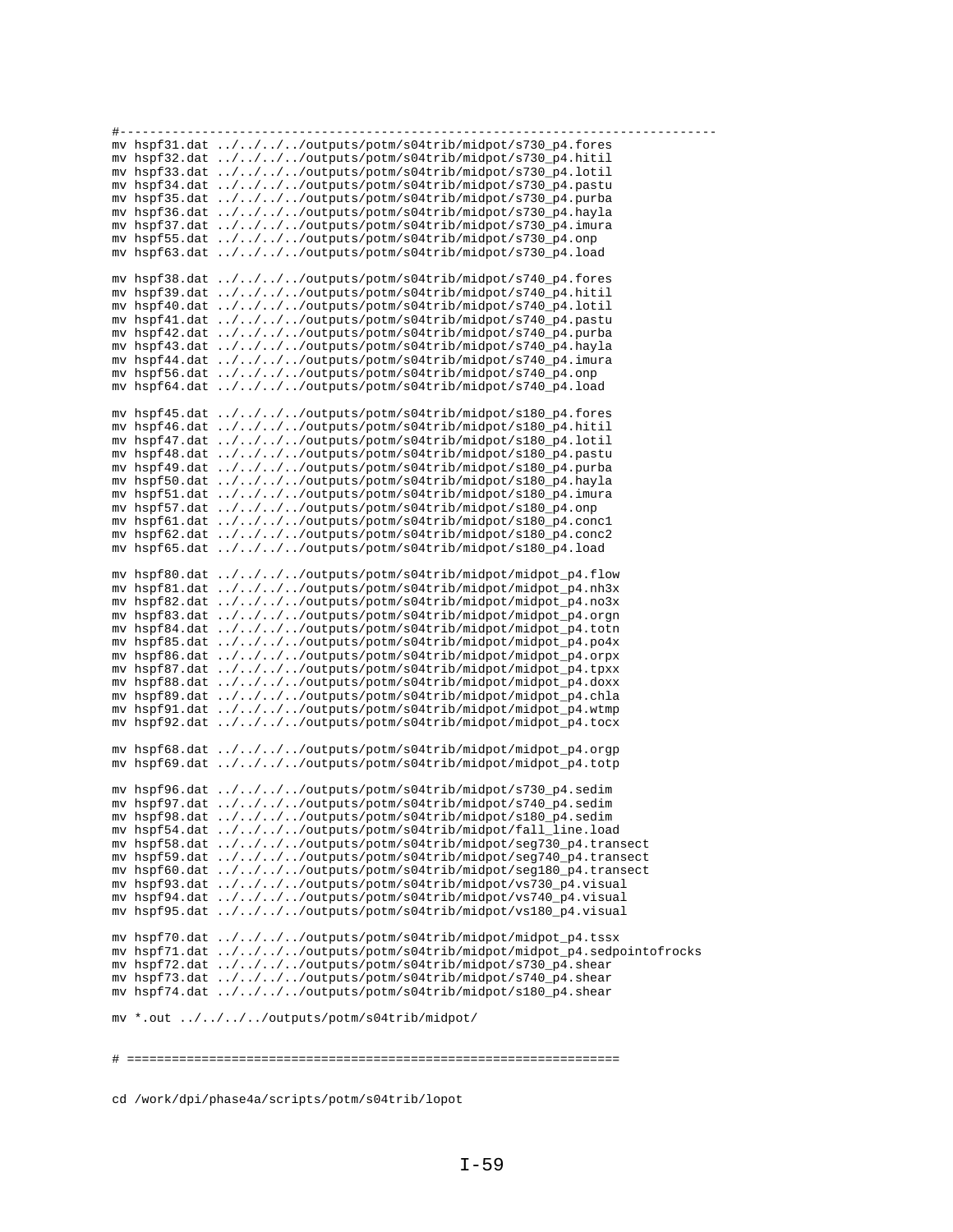| #------------------ |                                                                         |
|---------------------|-------------------------------------------------------------------------|
|                     | mv hspf31.dat ////outputs/potm/s04trib/midpot/s730_p4.fores             |
|                     | mv hspf32.dat ////outputs/potm/s04trib/midpot/s730_p4.hitil             |
|                     | mv hspf33.dat ////outputs/potm/s04trib/midpot/s730_p4.lotil             |
|                     | mv hspf34.dat ////outputs/potm/s04trib/midpot/s730_p4.pastu             |
|                     | mv hspf35.dat ////outputs/potm/s04trib/midpot/s730_p4.purba             |
|                     | mv hspf36.dat ////outputs/potm/s04trib/midpot/s730_p4.hayla             |
|                     | mv hspf37.dat ////outputs/potm/s04trib/midpot/s730_p4.imura             |
|                     | mv hspf55.dat ////outputs/potm/s04trib/midpot/s730_p4.onp               |
|                     | mv hspf63.dat ////outputs/potm/s04trib/midpot/s730_p4.load              |
|                     |                                                                         |
|                     | mv hspf38.dat ////outputs/potm/s04trib/midpot/s740_p4.fores             |
|                     | mv hspf39.dat ////outputs/potm/s04trib/midpot/s740_p4.hitil             |
|                     | mv hspf40.dat ////outputs/potm/s04trib/midpot/s740_p4.lotil             |
|                     | mv hspf41.dat ////outputs/potm/s04trib/midpot/s740_p4.pastu             |
|                     | mv hspf42.dat ////outputs/potm/s04trib/midpot/s740_p4.purba             |
|                     | mv hspf43.dat ////outputs/potm/s04trib/midpot/s740_p4.hayla             |
|                     | mv hspf44.dat ////outputs/potm/s04trib/midpot/s740_p4.imura             |
|                     | mv hspf56.dat ////outputs/potm/s04trib/midpot/s740_p4.onp               |
|                     | mv hspf64.dat ////outputs/potm/s04trib/midpot/s740_p4.load              |
|                     |                                                                         |
|                     | mv hspf45.dat ////outputs/potm/s04trib/midpot/s180_p4.fores             |
|                     | mv hspf46.dat ////outputs/potm/s04trib/midpot/s180_p4.hitil             |
|                     | mv hspf47.dat ////outputs/potm/s04trib/midpot/s180_p4.lotil             |
|                     | mv hspf48.dat ////outputs/potm/s04trib/midpot/s180_p4.pastu             |
|                     | mv hspf49.dat ////outputs/potm/s04trib/midpot/s180_p4.purba             |
|                     | mv hspf50.dat ////outputs/potm/s04trib/midpot/s180_p4.hayla             |
|                     | mv hspf51.dat ////outputs/potm/s04trib/midpot/s180_p4.imura             |
|                     | mv hspf57.dat ////outputs/potm/s04trib/midpot/s180_p4.onp               |
|                     | mv hspf61.dat ////outputs/potm/s04trib/midpot/s180_p4.concl             |
|                     | mv hspf62.dat ////outputs/potm/s04trib/midpot/s180_p4.conc2             |
|                     | mv hspf65.dat ////outputs/potm/s04trib/midpot/s180_p4.load              |
|                     |                                                                         |
|                     | mv hspf80.dat ////outputs/potm/s04trib/midpot/midpot_p4.flow            |
|                     | mv hspf81.dat ////outputs/potm/s04trib/midpot/midpot_p4.nh3x            |
|                     | mv hspf82.dat ////outputs/potm/s04trib/midpot/midpot_p4.no3x            |
|                     | mv hspf83.dat ////outputs/potm/s04trib/midpot/midpot_p4.orgn            |
|                     | mv hspf84.dat ////outputs/potm/s04trib/midpot/midpot_p4.totn            |
|                     | mv hspf85.dat ////outputs/potm/s04trib/midpot/midpot_p4.po4x            |
|                     | mv hspf86.dat ////outputs/potm/s04trib/midpot/midpot_p4.orpx            |
|                     | mv hspf87.dat ////outputs/potm/s04trib/midpot/midpot_p4.tpxx            |
|                     | mv hspf88.dat ////outputs/potm/s04trib/midpot/midpot_p4.doxx            |
|                     | mv hspf89.dat ////outputs/potm/s04trib/midpot/midpot_p4.chla            |
|                     | mv hspf91.dat ////outputs/potm/s04trib/midpot/midpot_p4.wtmp            |
|                     | mv hspf92.dat ////outputs/potm/s04trib/midpot/midpot_p4.tocx            |
|                     |                                                                         |
|                     | mv hspf68.dat ////outputs/potm/s04trib/midpot/midpot_p4.orgp            |
|                     | mv hspf69.dat ////outputs/potm/s04trib/midpot/midpot_p4.totp            |
|                     |                                                                         |
|                     | mv hspf96.dat ////outputs/potm/s04trib/midpot/s730_p4.sedim             |
|                     | mv hspf97.dat ////outputs/potm/s04trib/midpot/s740_p4.sedim             |
|                     | mv hspf98.dat ////outputs/potm/s04trib/midpot/s180_p4.sedim             |
|                     | mv hspf54.dat ////outputs/potm/s04trib/midpot/fall_line.load            |
|                     | mv hspf58.dat ////outputs/potm/s04trib/midpot/seg730_p4.transect        |
|                     | mv hspf59.dat ////outputs/potm/s04trib/midpot/seg740_p4.transect        |
|                     | mv hspf60.dat ////outputs/potm/s04trib/midpot/seg180_p4.transect        |
|                     | mv hspf93.dat ////outputs/potm/s04trib/midpot/vs730_p4.visual           |
|                     | mv hspf94.dat ////outputs/potm/s04trib/midpot/vs740_p4.visual           |
|                     | mv hspf95.dat ////outputs/potm/s04trib/midpot/vs180_p4.visual           |
|                     |                                                                         |
|                     | mv hspf70.dat ////outputs/potm/s04trib/midpot/midpot_p4.tssx            |
|                     | mv hspf71.dat ////outputs/potm/s04trib/midpot/midpot_p4.sedpointofrocks |
|                     | mv hspf72.dat ////outputs/potm/s04trib/midpot/s730_p4.shear             |
|                     | mv hspf73.dat ////outputs/potm/s04trib/midpot/s740_p4.shear             |
|                     | mv hspf74.dat ////outputs/potm/s04trib/midpot/s180_p4.shear             |
|                     | mv *.out ////outputs/potm/s04trib/midpot/                               |
|                     |                                                                         |
|                     |                                                                         |
|                     |                                                                         |

 $\begin{array}{c} \# \end{array} \begin{array}{c} \texttt{-----} \end{array} \end{array} \begin{array}{c} \texttt{-----} \end{array} \begin{array}{c} \texttt{-----} \end{array} \begin{array}{c} \texttt{-----} \end{array} \begin{array}{c} \texttt{-----} \end{array} \end{array} \begin{array}{c} \texttt{-----} \end{array} \begin{array}{c} \texttt{-----} \end{array} \begin{array}{c} \texttt{-----} \end{array} \begin{array}{c} \texttt{-----} \end{array} \end{array} \begin{array}{c} \texttt{-----} \end{array} \begin{array}{c} \texttt{$ 

cd /work/dpi/phase4a/scripts/potm/s04trib/lopot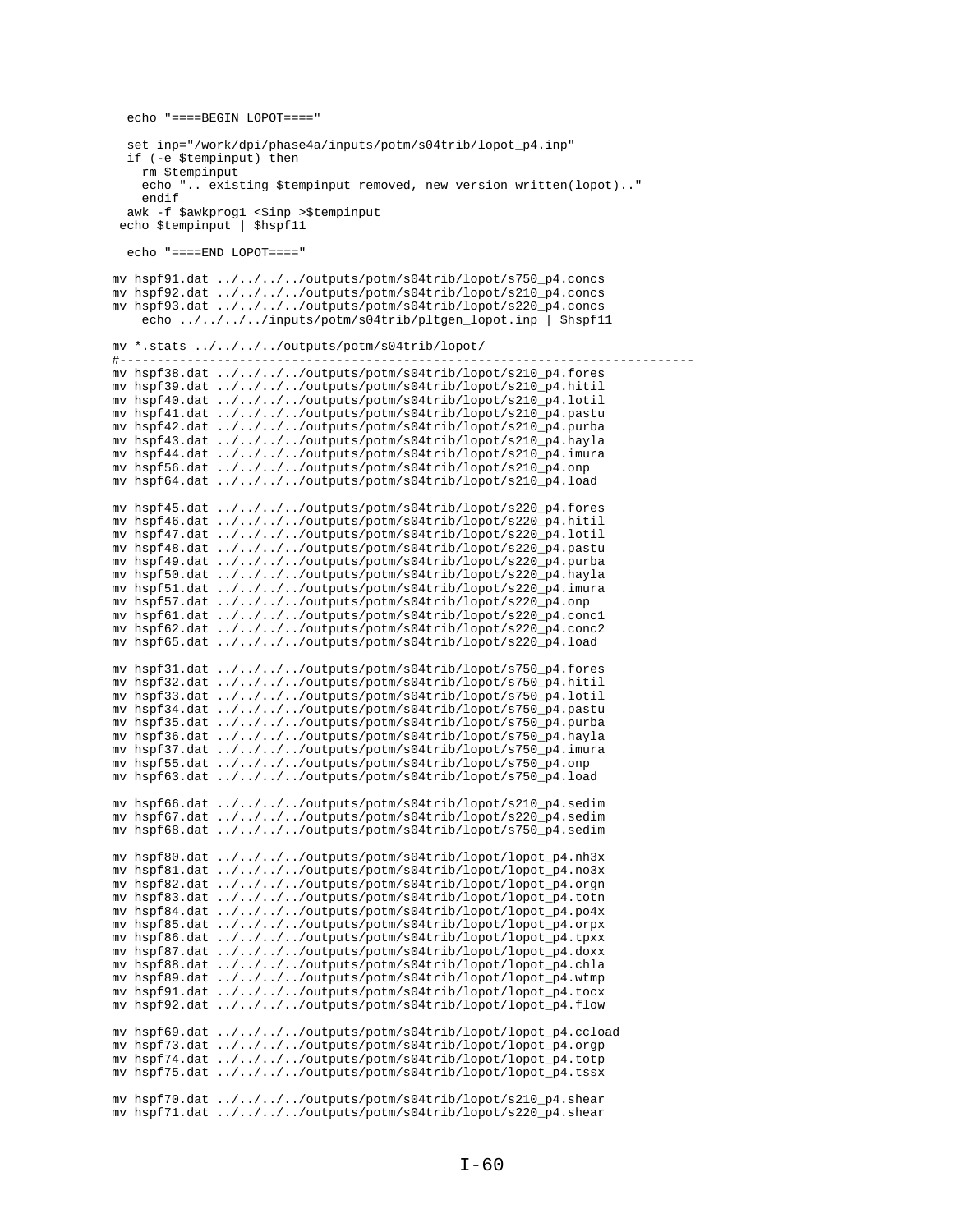```
echo "====BEGIN LOPOT===="
  set inp="/work/dpi/phase4a/inputs/potm/s04trib/lopot_p4.inp"
  if (-e $tempinput) then
    rm $tempinput
    echo ".. existing $tempinput removed, new version written(lopot).."
    endifawk -f $awkprog1 <$inp >$tempinput
 echo $tempinput | $hspf11
  echo "====END LOPOT===="
mv hspf91.dat ../../../../outputs/potm/s04trib/lopot/s750_p4.concs
mv hspf92.dat ../../../../outputs/potm/s04trib/lopot/s210_p4.concs
mv hspf93.dat ../../../../outputs/potm/s04trib/lopot/s220_p4.concs
    echo ../../../../inputs/potm/s04trib/pltgen lopot.inp | $hspf11
mv * .stats ./(./(./(.)toutputs/potm/s04trib/lopot/
# - -mv hspf38.dat ../../../../outputs/potm/s04trib/lopot/s210_p4.fores
mv hspf39.dat ../../../../outputs/potm/s04trib/lopot/s210_p4.hitil
mv hspf40.dat ../../../../outputs/potm/s04trib/lopot/s210_p4.lotil
mv hspf41.dat ../../../../outputs/potm/s04trib/lopot/s210_p4.pastu
mv hspf42.dat ../../../../outputs/potm/s04trib/lopot/s210_p4.purba<br>mv hspf43.dat ../../../../outputs/potm/s04trib/lopot/s210_p4.hayla
mv hspf44.dat ../../../../outputs/potm/s04trib/lopot/s210_p4.imura
mv hspf56.dat ../../../../outputs/potm/s04trib/lopot/s210_p4.onp
mv hspf64.dat ../../../../outputs/potm/s04trib/lopot/s210_p4.load
mv hspf45.dat ../../../../outputs/potm/s04trib/lopot/s220_p4.fores
mv hspf46.dat ../../../../outputs/potm/s04trib/lopot/s220_p4.hitil
mv hspf47.dat ../../../../outputs/potm/s04trib/lopot/s220_p4.lotil
mv hspf48.dat ../../../../outputs/potm/s04trib/lopot/s220_p4.pastu
mv hspf49.dat ../../../../outputs/potm/s04trib/lopot/s220_p4.purba
mv hspf50.dat ../../../../outputs/potm/s04trib/lopot/s220_p4.hayla
mv hspf51.dat ../../../../outputs/potm/s04trib/lopot/s220_p4.imura
mv hspf57.dat ../../../../outputs/potm/s04trib/lopot/s220_p4.onp
mv hspf61.dat ../../../../outputs/potm/s04trib/lopot/s220_p4.concl
my hspf62.dat \ldots/\ldots/\ldots/outputs/potm/s04trib/lopot/s220 p4.conc2
mv hspf65.dat ../../../../outputs/potm/s04trib/lopot/s220_p4.load
mv hspf31.dat ../../../../outputs/potm/s04trib/lopot/s750_p4.fores
mv hspf32.dat ../../../../outputs/potm/s04trib/lopot/s750_p4.hitil<br>mv hspf33.dat ../../../../outputs/potm/s04trib/lopot/s750_p4.lotil
mv hspf34.dat ../../../../outputs/potm/s04trib/lopot/s750_p4.pastu
mv hspf35.dat ../../../../outputs/potm/s04trib/lopot/s750_p4.purba
mv hspf36.dat ../../../../outputs/potm/s04trib/lopot/s750_p4.hayla
mv hspf37.dat ../../../../outputs/potm/s04trib/lopot/s750_p4.imura
mv hspf55.dat ../../../../outputs/potm/s04trib/lopot/s750_p4.onp
my hspf63.dat ../../../../outputs/potm/s04trib/lopot/s750_p4.load
mv hspf66.dat ../../../../outputs/potm/s04trib/lopot/s210_p4.sedim
mv hspf67.dat ../../../../outputs/potm/s04trib/lopot/s220_p4.sedim
mv hspf68.dat ../../../../outputs/potm/s04trib/lopot/s750_p4.sedim
mv hspf80.dat ../../../../outputs/potm/s04trib/lopot/lopot_p4.nh3x
mv hspf81.dat ../../../../outputs/potm/s04trib/lopot/lopot_p4.no3x<br>mv hspf82.dat ../../../../outputs/potm/s04trib/lopot/lopot_p4.no3x
mv hspf83.dat ../../../../outputs/potm/s04trib/lopot/lopot_p4.totn
mv hspf84.dat ../../../../outputs/potm/s04trib/lopot/lopot_p4.po4x
mv hspf85.dat ../../../../outputs/potm/s04trib/lopot/lopot_p4.orpx
mv hspf86.dat ../../../../outputs/potm/s04trib/lopot/lopot_p4.tpxx
mv hspf87.dat ../../../../outputs/potm/s04trib/lopot/lopot_p4.doxx
mv hspf88.dat ../../../../outputs/potm/s04trib/lopot/lopot_p4.chla
mv hspf89.dat ../../../../outputs/potm/s04trib/lopot/lopot_p4.wtmp
mv hspf91.dat ../../../../outputs/potm/s04trib/lopot/lopot_p4.tocx
mv hspf92.dat ../../../../outputs/potm/s04trib/lopot/lopot_p4.flow
mv hspf69.dat ../../../../outputs/potm/s04trib/lopot/lopot_p4.ccload
mv hspf73.dat ../../../../outputs/potm/s04trib/lopot/lopot_p4.orgp
mv hspf74.dat ../../../../outputs/potm/s04trib/lopot/lopot_p4.totp
mv hspf75.dat ../../../../outputs/potm/s04trib/lopot/lopot_p4.tssx
mv hspf70.dat ../../../../outputs/potm/s04trib/lopot/s210_p4.shear
mv hspf71.dat ../../../../outputs/potm/s04trib/lopot/s220_p4.shear
```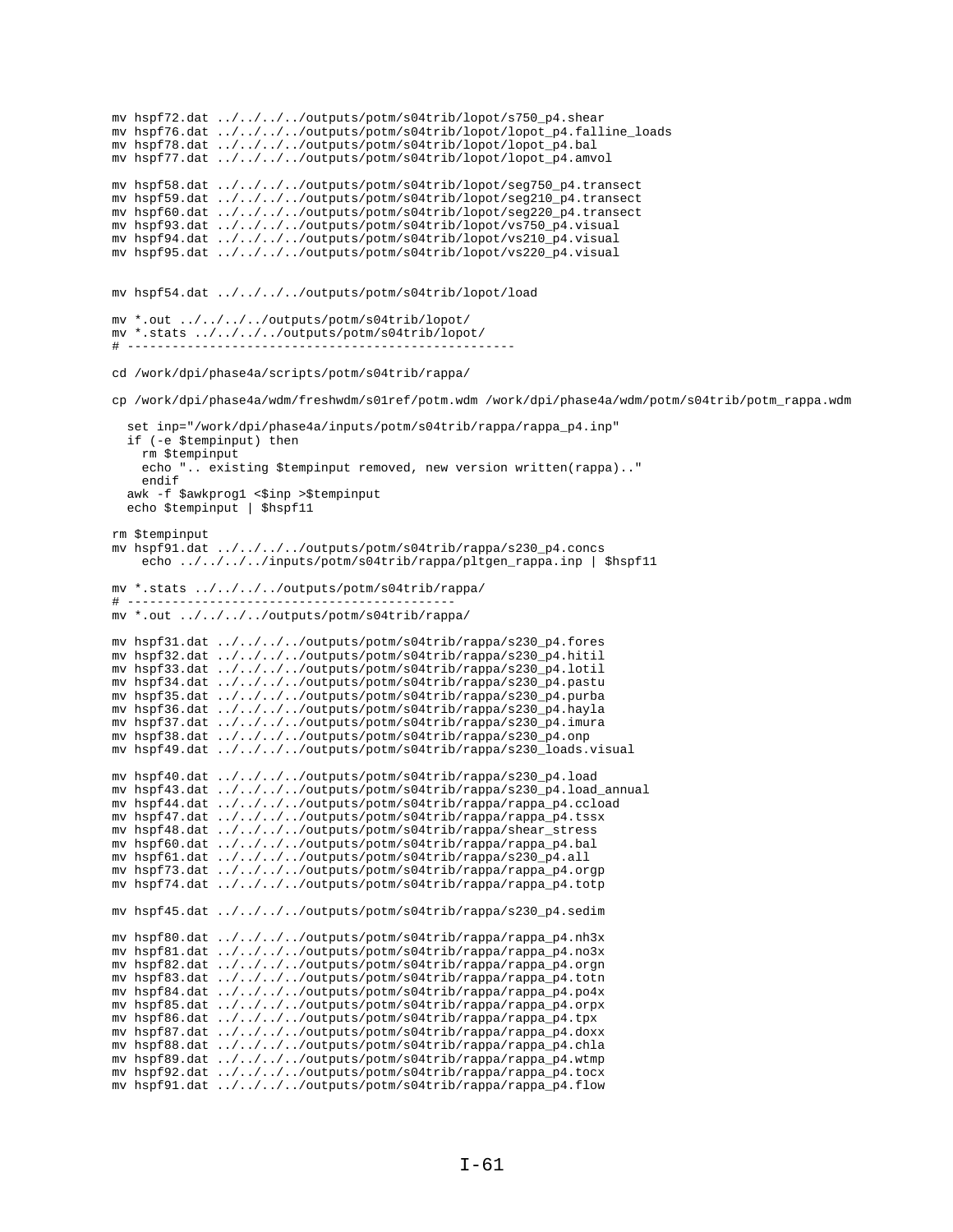```
mv hspf72.dat ../../../../outputs/potm/s04trib/lopot/s750_p4.shear
mv hspf76.dat ../../../../outputs/potm/s04trib/lopot/lopot_p4.falline_loads
mv hspf78.dat ../../../../outputs/potm/s04trib/lopot/lopot_p4.bal
mv hspf77.dat ../../../../outputs/potm/s04trib/lopot/lopot_p4.amvol
mv hspf58.dat ../../../../outputs/potm/s04trib/lopot/seg750_p4.transect
mv hspf59.dat ../../../../outputs/potm/s04trib/lopot/seg210_p4.transect
mv hspf60.dat ../../../../outputs/potm/s04trib/lopot/seg220_p4.transect
mv hspf93.dat ../../../../outputs/potm/s04trib/lopot/vs750_p4.visual
mv hspf94.dat ../../../../outputs/potm/s04trib/lopot/vs210_p4.visual
mv hspf95.dat ../../../../outputs/potm/s04trib/lopot/vs220_p4.visual
mv hspf54.dat ../../../../outputs/potm/s04trib/lopot/load
mv *.out ../../../../outputs/potm/s04trib/lopot/
mv *.stats ../../../../outputs/potm/s04trib/lopot/
# ----------------------------------------------------
cd /work/dpi/phase4a/scripts/potm/s04trib/rappa/
cp /work/dpi/phase4a/wdm/freshwdm/s01ref/potm.wdm /work/dpi/phase4a/wdm/potm/s04trib/potm_rappa.wdm
   set inp="/work/dpi/phase4a/inputs/potm/s04trib/rappa/rappa_p4.inp"
   if (-e $tempinput) then
    rm $tempinput
     echo ".. existing $tempinput removed, new version written(rappa).."
    endif
  awk -f $awkprog1 <$inp >$tempinput
   echo $tempinput | $hspf11
rm $tempinput
mv hspf91.dat ../../../../outputs/potm/s04trib/rappa/s230_p4.concs
     echo ../../../../inputs/potm/s04trib/rappa/pltgen_rappa.inp | $hspf11
mv *.stats ../../../../outputs/potm/s04trib/rappa/
\pm ------
mv *.out ../../../../outputs/potm/s04trib/rappa/
mv hspf31.dat ../../../../outputs/potm/s04trib/rappa/s230_p4.fores
mv hspf32.dat ../../../../outputs/potm/s04trib/rappa/s230_p4.hitil
mv hspf33.dat ../../../../outputs/potm/s04trib/rappa/s230_p4.lotil
mv hspf34.dat ../../../../outputs/potm/s04trib/rappa/s230_p4.pastu
mv hspf35.dat ../../../../outputs/potm/s04trib/rappa/s230_p4.purba
mv hspf36.dat ../../../../outputs/potm/s04trib/rappa/s230_p4.hayla
mv hspf37.dat ../../../../outputs/potm/s04trib/rappa/s230_p4.imura
mv hspf38.dat ../../../../outputs/potm/s04trib/rappa/s230_p4.onp
mv hspf49.dat ../../../../outputs/potm/s04trib/rappa/s230_loads.visual
mv hspf40.dat ../../../../outputs/potm/s04trib/rappa/s230_p4.load 
mv hspf43.dat ../../../../outputs/potm/s04trib/rappa/s230_p4.load_annual
mv hspf44.dat ../../../../outputs/potm/s04trib/rappa/rappa_p4.ccload
mv hspf47.dat ../../../../outputs/potm/s04trib/rappa/rappa_p4.tssx
mv hspf48.dat ../../../../outputs/potm/s04trib/rappa/shear_stress
mv hspf60.dat ../../../../outputs/potm/s04trib/rappa/rappa_p4.bal
mv hspf61.dat ../../../../outputs/potm/s04trib/rappa/s230_p4.all
mv hspf73.dat ../../../../outputs/potm/s04trib/rappa/rappa_p4.orgp
mv hspf74.dat ../../../../outputs/potm/s04trib/rappa/rappa_p4.totp
mv hspf45.dat ../../../../outputs/potm/s04trib/rappa/s230_p4.sedim
mv hspf80.dat \ldots/\ldots/\ldots/outputs/potm/s04trib/rappa/rappa_p4.nh3x
mv hspf81.dat ../../../../outputs/potm/s04trib/rappa/rappa_p4.no3x
mv hspf82.dat ../../../../outputs/potm/s04trib/rappa/rappa_p4.orgn
mv hspf83.dat ../../../../outputs/potm/s04trib/rappa/rappa_p4.totn
mv hspf84.dat ../../../../outputs/potm/s04trib/rappa/rappa_p4.po4x
mv hspf85.dat ../../../../outputs/potm/s04trib/rappa/rappa_p4.orpx
mv hspf86.dat ../../../../outputs/potm/s04trib/rappa/rappa_p4.tpx
mv hspf87.dat ../../../../outputs/potm/s04trib/rappa/rappa_p4.doxx
mv hspf88.dat ../../../../outputs/potm/s04trib/rappa/rappa_p4.chla
mv hspf89.dat ../../../../outputs/potm/s04trib/rappa/rappa_p4.wtmp
mv hspf92.dat ../../../../outputs/potm/s04trib/rappa/rappa_p4.tocx
mv hspf91.dat ../../../../outputs/potm/s04trib/rappa/rappa_p4.flow
```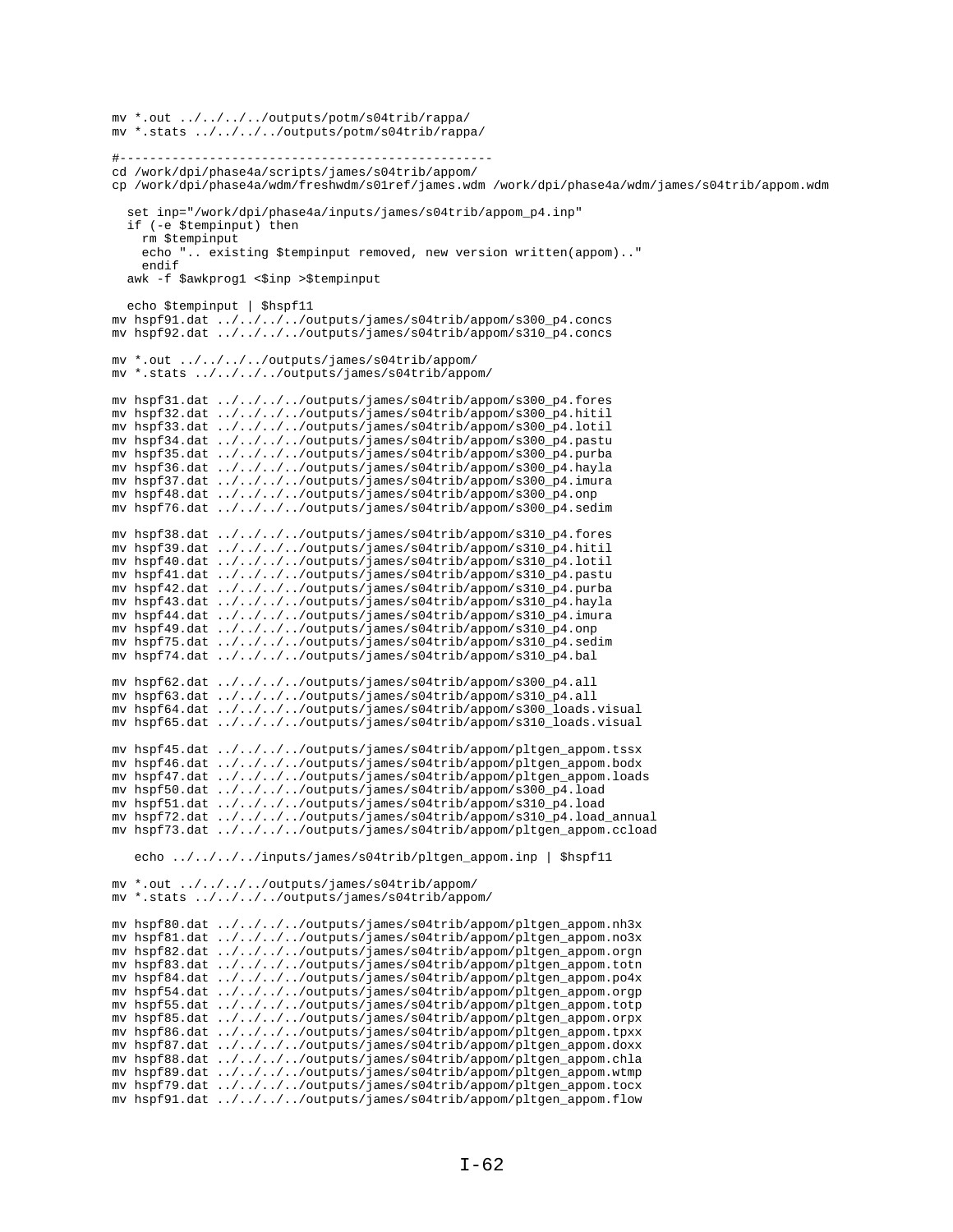```
mv *.out ../../../../outputs/potm/s04trib/rappa/
mv *.stats ../../../../outputs/potm/s04trib/rappa/
#--------------------------------------------------
cd /work/dpi/phase4a/scripts/james/s04trib/appom/
cp /work/dpi/phase4a/wdm/freshwdm/s01ref/james.wdm /work/dpi/phase4a/wdm/james/s04trib/appom.wdm
   set inp="/work/dpi/phase4a/inputs/james/s04trib/appom_p4.inp"
   if (-e $tempinput) then
     rm $tempinput
     echo ".. existing $tempinput removed, new version written(appom).."
     endif
  awk -f $awkprog1 <$inp >$tempinput
  echo $tempinput | $hspf11
mv hspf91.dat ../../../../outputs/james/s04trib/appom/s300_p4.concs
mv hspf92.dat ../../../../outputs/james/s04trib/appom/s310_p4.concs
mv *.out ../../../../outputs/james/s04trib/appom/
mv *.stats ../../../../outputs/james/s04trib/appom/
mv hspf31.dat ../../../../outputs/james/s04trib/appom/s300_p4.fores
mv hspf32.dat ../../../../outputs/james/s04trib/appom/s300_p4.hitil
mv hspf33.dat ../../../../outputs/james/s04trib/appom/s300_p4.lotil
mv hspf34.dat ../../../../outputs/james/s04trib/appom/s300_p4.pastu
mv hspf35.dat ../../../../outputs/james/s04trib/appom/s300_p4.purba
mv hspf36.dat ../../../../outputs/james/s04trib/appom/s300_p4.hayla
mv hspf37.dat ../../../../outputs/james/s04trib/appom/s300_p4.imura
mv hspf48.dat ../../../../outputs/james/s04trib/appom/s300_p4.onp
mv hspf76.dat ../../../../outputs/james/s04trib/appom/s300_p4.sedim
mv hspf38.dat ../../../../outputs/james/s04trib/appom/s310_p4.fores
mv hspf39.dat ../../../../outputs/james/s04trib/appom/s310_p4.hitil
mv hspf40.dat ../../../../outputs/james/s04trib/appom/s310_p4.lotil
mv hspf41.dat ../../../../outputs/james/s04trib/appom/s310_p4.pastu
mv hspf42.dat ../../../../outputs/james/s04trib/appom/s310_p4.purba
mv hspf43.dat ../../../../outputs/james/s04trib/appom/s310_p4.hayla
mv hspf44.dat ../../../../outputs/james/s04trib/appom/s310_p4.imura
mv hspf49.dat ../../../../outputs/james/s04trib/appom/s310_p4.onp
mv hspf75.dat ../../../../outputs/james/s04trib/appom/s310_p4.sedim
mv hspf74.dat ../../../../outputs/james/s04trib/appom/s310_p4.bal
mv hspf62.dat ../../../../outputs/james/s04trib/appom/s300_p4.all
mv hspf63.dat ../../../../outputs/james/s04trib/appom/s310_p4.all
mv hspf64.dat ../../../../outputs/james/s04trib/appom/s300_loads.visual
mv hspf65.dat ../../../../outputs/james/s04trib/appom/s310_loads.visual
mv hspf45.dat ../../../../outputs/james/s04trib/appom/pltgen_appom.tssx
mv hspf46.dat ../../../../outputs/james/s04trib/appom/pltgen_appom.bodx
mv hspf47.dat ../../../../outputs/james/s04trib/appom/pltgen_appom.loads
mv hspf50.dat ../../../../outputs/james/s04trib/appom/s300_p4.load
mv hspf51.dat ../../../../outputs/james/s04trib/appom/s310_p4.load
mv hspf72.dat ../../../../outputs/james/s04trib/appom/s310_p4.load_annual
mv hspf73.dat ../../../../outputs/james/s04trib/appom/pltgen_appom.ccload
    echo ../../../../inputs/james/s04trib/pltgen_appom.inp | $hspf11
mv *.out ../../../../outputs/james/s04trib/appom/
mv *.stats ../../../../outputs/james/s04trib/appom/
mv hspf80.dat ../../../../outputs/james/s04trib/appom/pltgen_appom.nh3x
mv hspf81.dat ../../../../outputs/james/s04trib/appom/pltgen_appom.no3x
mv hspf82.dat ../../../../outputs/james/s04trib/appom/pltgen_appom.orgn
mv hspf83.dat ../../../../outputs/james/s04trib/appom/pltgen_appom.totn
mv hspf84.dat ../../../../outputs/james/s04trib/appom/pltgen_appom.po4x
mv hspf54.dat ../../../../outputs/james/s04trib/appom/pltgen_appom.orgp
mv hspf55.dat ../../../../outputs/james/s04trib/appom/pltgen_appom.totp
mv hspf85.dat ../../../../outputs/james/s04trib/appom/pltgen_appom.orpx
mv hspf86.dat ../../../../outputs/james/s04trib/appom/pltgen_appom.tpxx
mv hspf87.dat ../../../../outputs/james/s04trib/appom/pltgen_appom.doxx
mv hspf88.dat ../../../../outputs/james/s04trib/appom/pltgen_appom.chla
mv hspf89.dat ../../../../outputs/james/s04trib/appom/pltgen_appom.wtmp
mv hspf79.dat ../../../../outputs/james/s04trib/appom/pltgen_appom.tocx
mv hspf91.dat ../../../../outputs/james/s04trib/appom/pltgen_appom.flow
```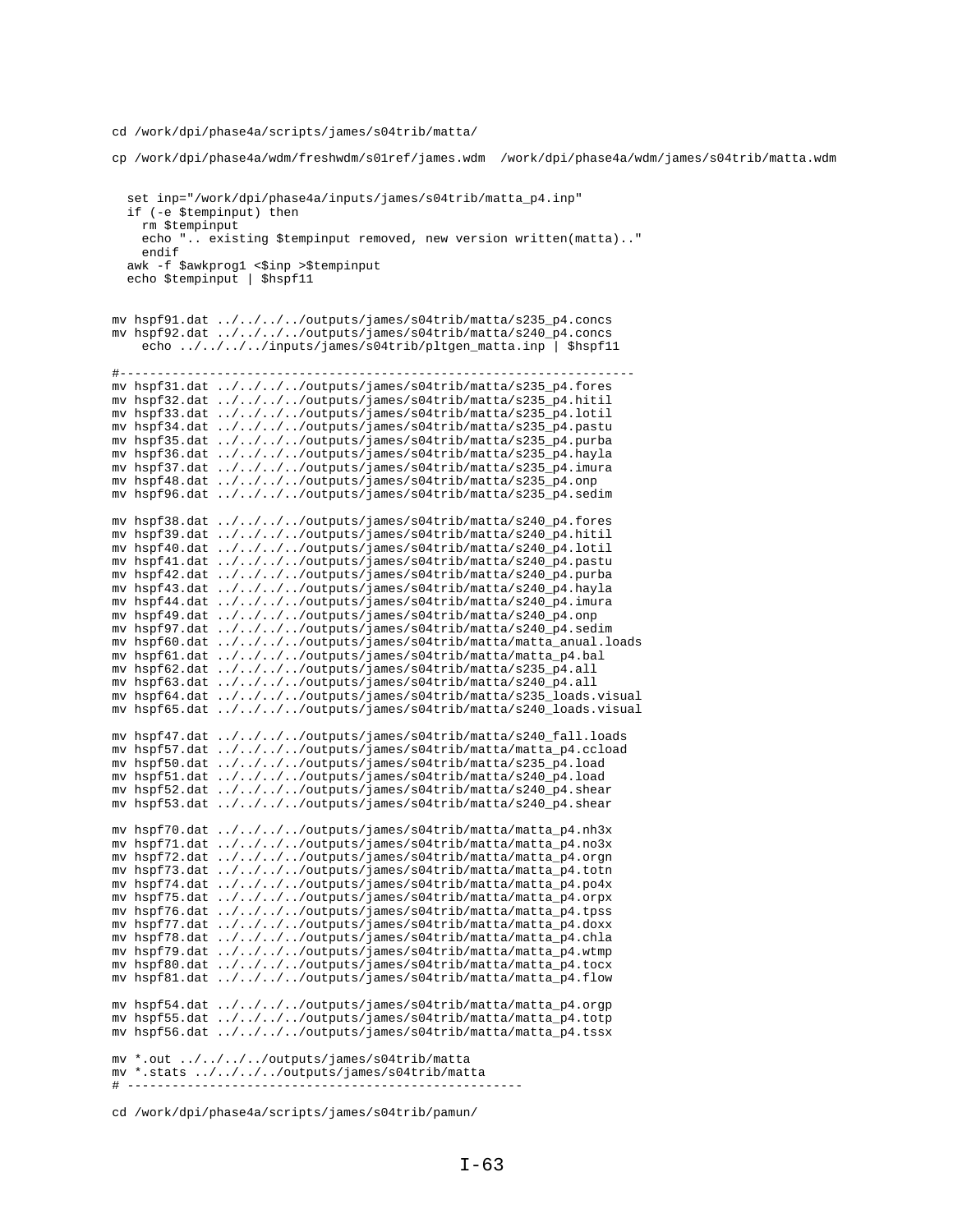cd /work/dpi/phase4a/scripts/james/s04trib/matta/

cp /work/dpi/phase4a/wdm/freshwdm/s01ref/james.wdm /work/dpi/phase4a/wdm/james/s04trib/matta.wdm set inp="/work/dpi/phase4a/inputs/james/s04trib/matta\_p4.inp" if (-e \$tempinput) then rm \$tempinput echo ".. existing \$tempinput removed, new version written(matta).." endif awk -f \$awkprog1 <\$inp >\$tempinput echo \$tempinput | \$hspf11 mv hspf91.dat ../../../../outputs/james/s04trib/matta/s235\_p4.concs mv hspf92.dat ../../../../outputs/james/s04trib/matta/s240\_p4.concs echo ../../../../inputs/james/s04trib/pltgen\_matta.inp | \$hspf11 #-------------------------------------------------------------------- mv hspf31.dat ../../../../outputs/james/s04trib/matta/s235\_p4.fores mv hspf32.dat ../../../../outputs/james/s04trib/matta/s235\_p4.hitil mv hspf33.dat ../../../../outputs/james/s04trib/matta/s235\_p4.lotil mv hspf34.dat ../../../../outputs/james/s04trib/matta/s235\_p4.pastu mv hspf35.dat ../../../../outputs/james/s04trib/matta/s235\_p4.purba mv hspf36.dat ../../../../outputs/james/s04trib/matta/s235\_p4.hayla mv hspf37.dat ../../../../outputs/james/s04trib/matta/s235\_p4.imura mv hspf48.dat ../../../../outputs/james/s04trib/matta/s235\_p4.onp mv hspf96.dat ../../../../outputs/james/s04trib/matta/s235\_p4.sedim mv hspf38.dat ../../../../outputs/james/s04trib/matta/s240\_p4.fores mv hspf39.dat ../../../../outputs/james/s04trib/matta/s240\_p4.hitil mv hspf40.dat ../../../../outputs/james/s04trib/matta/s240\_p4.lotil mv hspf41.dat ../../../../outputs/james/s04trib/matta/s240\_p4.pastu mv hspf42.dat ../../../../outputs/james/s04trib/matta/s240\_p4.purba mv hspf43.dat ../../../../outputs/james/s04trib/matta/s240\_p4.hayla mv hspf44.dat ../../../../outputs/james/s04trib/matta/s240\_p4.imura mv hspf49.dat ../../../../outputs/james/s04trib/matta/s240\_p4.onp mv hspf97.dat ../../../../outputs/james/s04trib/matta/s240\_p4.sedim mv hspf60.dat ../../../../outputs/james/s04trib/matta/matta\_anual.loads mv hspf61.dat ../../../../outputs/james/s04trib/matta/matta\_p4.bal mv hspf62.dat ../../../../outputs/james/s04trib/matta/s235\_p4.all mv hspf63.dat ../../../../outputs/james/s04trib/matta/s240\_p4.all mv hspf64.dat ../../../../outputs/james/s04trib/matta/s235\_loads.visual mv hspf65.dat ../../../../outputs/james/s04trib/matta/s240\_loads.visual mv hspf47.dat ../../../../outputs/james/s04trib/matta/s240\_fall.loads mv hspf57.dat ../../../../outputs/james/s04trib/matta/matta\_p4.ccload mv hspf50.dat ../../../../outputs/james/s04trib/matta/s235\_p4.load mv hspf51.dat ../../../../outputs/james/s04trib/matta/s240\_p4.load mv hspf52.dat ../../../../outputs/james/s04trib/matta/s240\_p4.shear mv hspf53.dat ../../../../outputs/james/s04trib/matta/s240\_p4.shear mv hspf70.dat ../../../../outputs/james/s04trib/matta/matta\_p4.nh3x mv hspf71.dat ../../../../outputs/james/s04trib/matta/matta\_p4.no3x mv hspf72.dat ../../../../outputs/james/s04trib/matta/matta\_p4.orgn mv hspf73.dat ../../../../outputs/james/s04trib/matta/matta\_p4.totn mv hspf74.dat ../../../../outputs/james/s04trib/matta/matta\_p4.po4x mv hspf75.dat ../../../../outputs/james/s04trib/matta/matta\_p4.orpx mv hspf76.dat ../../../../outputs/james/s04trib/matta/matta\_p4.tpss mv hspf77.dat ../../../../outputs/james/s04trib/matta/matta\_p4.doxx mv hspf78.dat ../../../../outputs/james/s04trib/matta/matta\_p4.chla mv hspf79.dat ../../../../outputs/james/s04trib/matta/matta\_p4.wtmp mv hspf80.dat ../../../../outputs/james/s04trib/matta/matta\_p4.tocx mv hspf81.dat ../../../../outputs/james/s04trib/matta/matta\_p4.flow mv hspf54.dat ../../../../outputs/james/s04trib/matta/matta\_p4.orgp mv hspf55.dat ../../../../outputs/james/s04trib/matta/matta\_p4.totp mv hspf56.dat ../../../../outputs/james/s04trib/matta/matta\_p4.tssx mv \*.out ../../../../outputs/james/s04trib/matta mv \*.stats ../../../../outputs/james/s04trib/matta # -----------------------------------------------------

cd /work/dpi/phase4a/scripts/james/s04trib/pamun/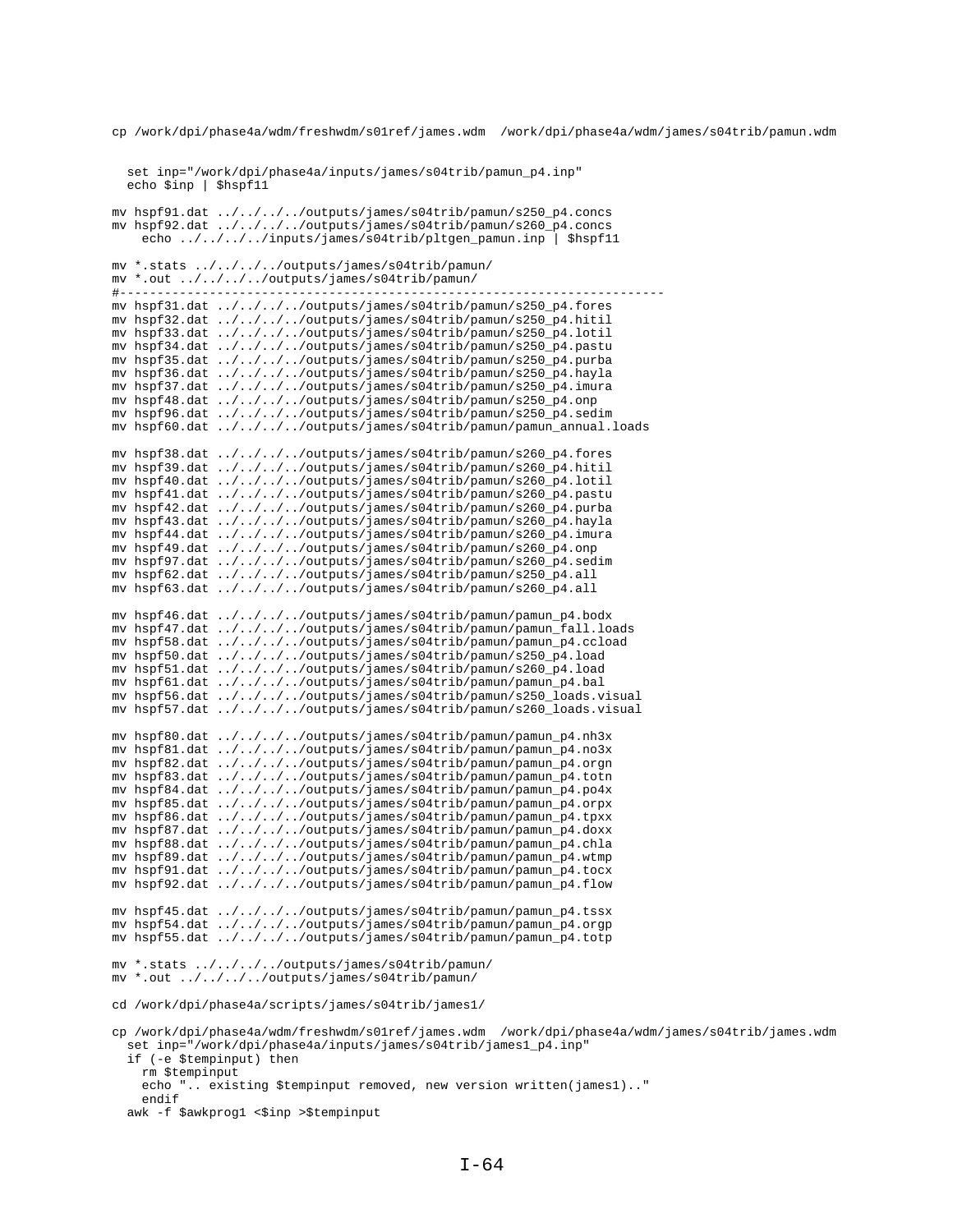cp /work/dpi/phase4a/wdm/freshwdm/s01ref/james.wdm /work/dpi/phase4a/wdm/james/s04trib/pamun.wdm

 set inp="/work/dpi/phase4a/inputs/james/s04trib/pamun\_p4.inp" echo \$inp | \$hspf11

mv hspf91.dat ../../../../outputs/james/s04trib/pamun/s250\_p4.concs mv hspf92.dat ../../../../outputs/james/s04trib/pamun/s260\_p4.concs echo ../../../../inputs/james/s04trib/pltgen\_pamun.inp | \$hspf11 mv \*.stats ../../../../outputs/james/s04trib/pamun/  $mv * . out : ./../../../outputs/james/s04trib/pamm/$ #------------------------------------------------------------------------ mv hspf31.dat ../../../../outputs/james/s04trib/pamun/s250\_p4.fores mv hspf32.dat  $\ldots/\ldots/\ldots$ /outputs/james/s04trib/pamun/s250 p4.hitil mv hspf33.dat ../../../../outputs/james/s04trib/pamun/s250\_p4.lotil mv hspf34.dat ../../../../outputs/james/s04trib/pamun/s250\_p4.pastu mv hspf35.dat ../../../../outputs/james/s04trib/pamun/s250\_p4.purba mv hspf36.dat ../../../../outputs/james/s04trib/pamun/s250\_p4.hayla mv hspf37.dat ../../../../outputs/james/s04trib/pamun/s250\_p4.imura mv hspf48.dat ../../../../outputs/james/s04trib/pamun/s250\_p4.onp mv hspf96.dat ../../../../outputs/james/s04trib/pamun/s250\_p4.sedim mv hspf60.dat ../../../../outputs/james/s04trib/pamun/pamun\_annual.loads mv hspf38.dat ../../../../outputs/james/s04trib/pamun/s260\_p4.fores mv hspf39.dat ../../../../outputs/james/s04trib/pamun/s260\_p4.hitil mv hspf40.dat ../../../../outputs/james/s04trib/pamun/s260\_p4.lotil mv hspf41.dat ../../../../outputs/james/s04trib/pamun/s260\_p4.pastu mv hspf42.dat ../../../../outputs/james/s04trib/pamun/s260\_p4.purba mv hspf43.dat ../../../../outputs/james/s04trib/pamun/s260\_p4.hayla mv hspf44.dat ../../../../outputs/james/s04trib/pamun/s260\_p4.imura mv hspf49.dat ../../../../outputs/james/s04trib/pamun/s260\_p4.onp mv hspf97.dat ../../../../outputs/james/s04trib/pamun/s260\_p4.sedim mv hspf62.dat ../../../../outputs/james/s04trib/pamun/s250\_p4.all mv hspf63.dat ../../../../outputs/james/s04trib/pamun/s260\_p4.all mv hspf46.dat ../../../../outputs/james/s04trib/pamun/pamun\_p4.bodx mv hspf47.dat ../../../../outputs/james/s04trib/pamun/pamun\_fall.loads mv hspf58.dat ../../../../outputs/james/s04trib/pamun/pamun\_p4.ccload mv hspf50.dat ../../../../outputs/james/s04trib/pamun/s250\_p4.load mv hspf51.dat ../../../../outputs/james/s04trib/pamun/s260\_p4.load mv hspf61.dat ../../../../outputs/james/s04trib/pamun/pamun\_p4.bal mv hspf56.dat ../../../../outputs/james/s04trib/pamun/s250\_loads.visual mv hspf57.dat ../../../../outputs/james/s04trib/pamun/s260\_loads.visual mv hspf80.dat ../../../../outputs/james/s04trib/pamun/pamun\_p4.nh3x mv hspf81.dat ../../../../outputs/james/s04trib/pamun/pamun\_p4.no3x mv hspf82.dat ../../../../outputs/james/s04trib/pamun/pamun\_p4.orgn mv hspf83.dat ../../../../outputs/james/s04trib/pamun/pamun\_p4.totn mv hspf84.dat ../../../../outputs/james/s04trib/pamun/pamun\_p4.po4x mv hspf85.dat ../../../../outputs/james/s04trib/pamun/pamun\_p4.orpx mv hspf86.dat ../../../../outputs/james/s04trib/pamun/pamun\_p4.tpxx mv hspf87.dat ../../../../outputs/james/s04trib/pamun/pamun\_p4.doxx mv hspf88.dat ../../../../outputs/james/s04trib/pamun/pamun\_p4.chla mv hspf89.dat ../../../../outputs/james/s04trib/pamun/pamun\_p4.wtmp mv hspf91.dat ../../../../outputs/james/s04trib/pamun/pamun\_p4.tocx mv hspf92.dat ../../../../outputs/james/s04trib/pamun/pamun\_p4.flow mv hspf45.dat ../../../../outputs/james/s04trib/pamun/pamun\_p4.tssx mv hspf54.dat ../../../../outputs/james/s04trib/pamun/pamun\_p4.orgp mv hspf55.dat ../../../../outputs/james/s04trib/pamun/pamun\_p4.totp mv \*.stats ../../../../outputs/james/s04trib/pamun/ mv \*.out ../../../../outputs/james/s04trib/pamun/ cd /work/dpi/phase4a/scripts/james/s04trib/james1/ cp /work/dpi/phase4a/wdm/freshwdm/s01ref/james.wdm /work/dpi/phase4a/wdm/james/s04trib/james.wdm set inp="/work/dpi/phase4a/inputs/james/s04trib/james1\_p4.inp" if (-e \$tempinput) then rm \$tempinput echo ".. existing \$tempinput removed, new version written(james1).." endif

awk -f \$awkprog1 <\$inp >\$tempinput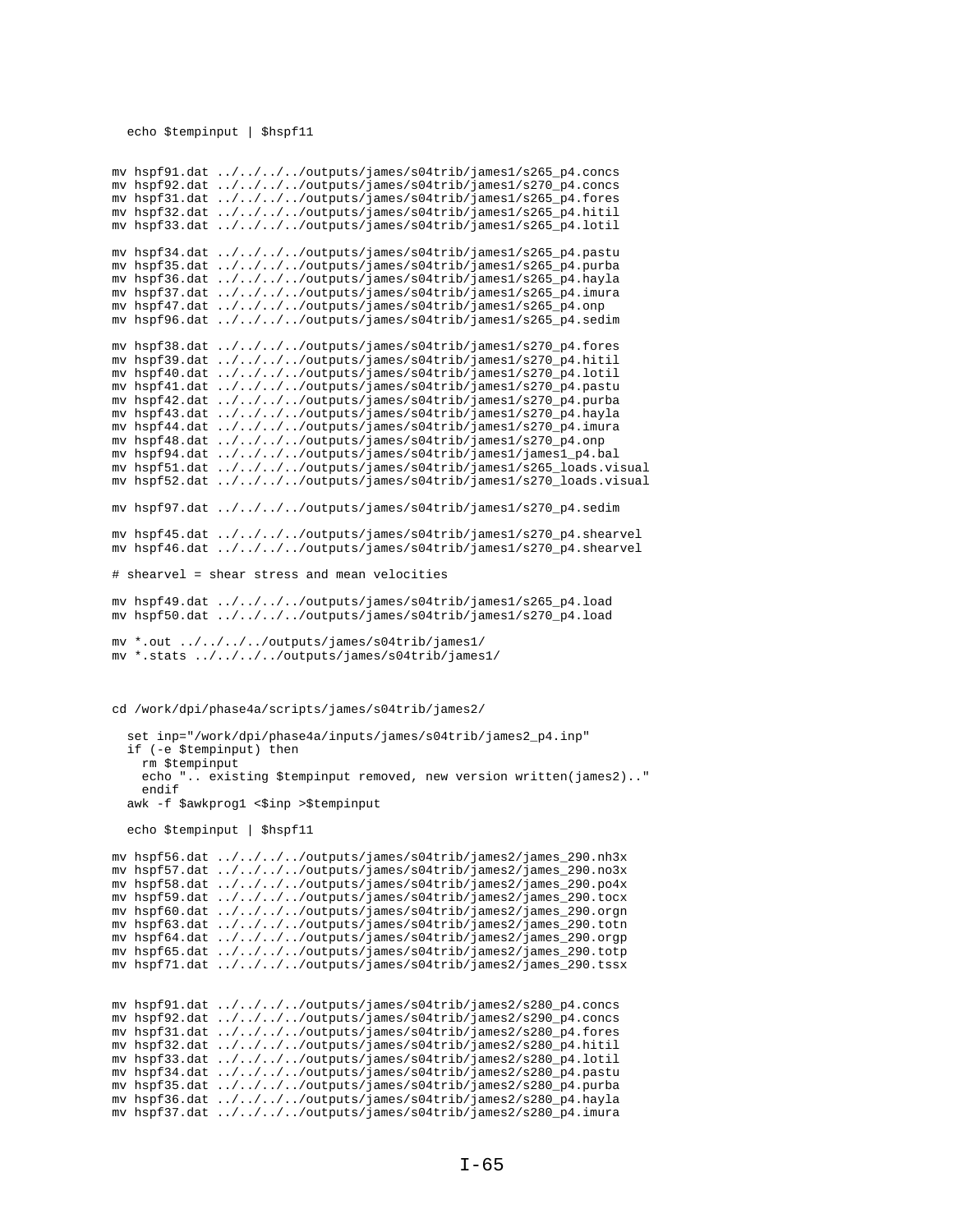## echo \$tempinput | \$hspf11

mv hspf91.dat ../../../../outputs/james/s04trib/james1/s265\_p4.concs mv hspf92.dat ../../../../outputs/james/s04trib/james1/s270\_p4.concs mv hspf31.dat ../../../../outputs/james/s04trib/james1/s265\_p4.fores mv hspf32.dat ../../../../outputs/james/s04trib/james1/s265\_p4.hitil mv hspf33.dat ../../../../outputs/james/s04trib/james1/s265\_p4.lotil mv hspf34.dat ../../../../outputs/james/s04trib/james1/s265\_p4.pastu mv hspf35.dat ../../../../outputs/james/s04trib/james1/s265\_p4.purba mv hspf36.dat ../../../../outputs/james/s04trib/james1/s265\_p4.hayla mv hspf37.dat ../../../../outputs/james/s04trib/james1/s265\_p4.imura mv hspf47.dat ../../../../outputs/james/s04trib/james1/s265\_p4.onp mv hspf96.dat  $\ldots/\ldots/\ldots$ /outputs/james/s04trib/james1/s265 p4.sedim mv hspf38.dat ../../../../outputs/james/s04trib/james1/s270\_p4.fores mv hspf39.dat ../../../../outputs/james/s04trib/james1/s270\_p4.hitil mv hspf40.dat ../../../../outputs/james/s04trib/james1/s270\_p4.lotil mv hspf41.dat ../../../../outputs/james/s04trib/james1/s270\_p4.pastu mv hspf42.dat ../../../../outputs/james/s04trib/james1/s270\_p4.purba mv hspf43.dat ../../../../outputs/james/s04trib/james1/s270\_p4.hayla mv hspf44.dat ../../../../outputs/james/s04trib/james1/s270\_p4.imura mv hspf48.dat ../../../../outputs/james/s04trib/james1/s270\_p4.onp mv hspf94.dat ../../../../outputs/james/s04trib/james1/james1\_p4.bal mv hspf51.dat ../../../../outputs/james/s04trib/james1/s265\_loads.visual mv hspf52.dat ../../../../outputs/james/s04trib/james1/s270\_loads.visual mv hspf97.dat ../../../../outputs/james/s04trib/james1/s270\_p4.sedim mv hspf45.dat ../../../../outputs/james/s04trib/james1/s270\_p4.shearvel mv hspf46.dat ../../../../outputs/james/s04trib/james1/s270\_p4.shearvel # shearvel = shear stress and mean velocities mv hspf49.dat ../../../../outputs/james/s04trib/james1/s265\_p4.load mv hspf50.dat ../../../../outputs/james/s04trib/james1/s270\_p4.load mv \*.out ../../../../outputs/james/s04trib/james1/ mv \*.stats ../../../../outputs/james/s04trib/james1/ cd /work/dpi/phase4a/scripts/james/s04trib/james2/ set inp="/work/dpi/phase4a/inputs/james/s04trib/james2\_p4.inp" if (-e \$tempinput) then rm \$tempinput echo ".. existing \$tempinput removed, new version written(james2).." endif awk -f \$awkprog1 <\$inp >\$tempinput echo \$tempinput | \$hspf11 mv hspf56.dat ../../../../outputs/james/s04trib/james2/james\_290.nh3x mv hspf57.dat ../../../../outputs/james/s04trib/james2/james\_290.no3x mv hspf58.dat ../../../../outputs/james/s04trib/james2/james\_290.po4x mv hspf59.dat ../../../../outputs/james/s04trib/james2/james\_290.tocx mv hspf60.dat ../../../../outputs/james/s04trib/james2/james\_290.orgn mv hspf63.dat ../../../../outputs/james/s04trib/james2/james\_290.totn mv hspf64.dat ../../../../outputs/james/s04trib/james2/james\_290.orgp mv hspf65.dat ../../../../outputs/james/s04trib/james2/james\_290.totp mv hspf71.dat ../../../../outputs/james/s04trib/james2/james\_290.tssx mv hspf91.dat ../../../../outputs/james/s04trib/james2/s280\_p4.concs mv hspf92.dat ../../../../outputs/james/s04trib/james2/s290\_p4.concs mv hspf31.dat ../../../../outputs/james/s04trib/james2/s280\_p4.fores mv hspf32.dat ../../../../outputs/james/s04trib/james2/s280\_p4.hitil mv hspf33.dat ../../../../outputs/james/s04trib/james2/s280\_p4.lotil mv hspf34.dat ../../../../outputs/james/s04trib/james2/s280\_p4.pastu mv hspf35.dat ../../../../outputs/james/s04trib/james2/s280\_p4.purba mv hspf36.dat ../../../../outputs/james/s04trib/james2/s280\_p4.hayla mv hspf37.dat ../../../../outputs/james/s04trib/james2/s280\_p4.imura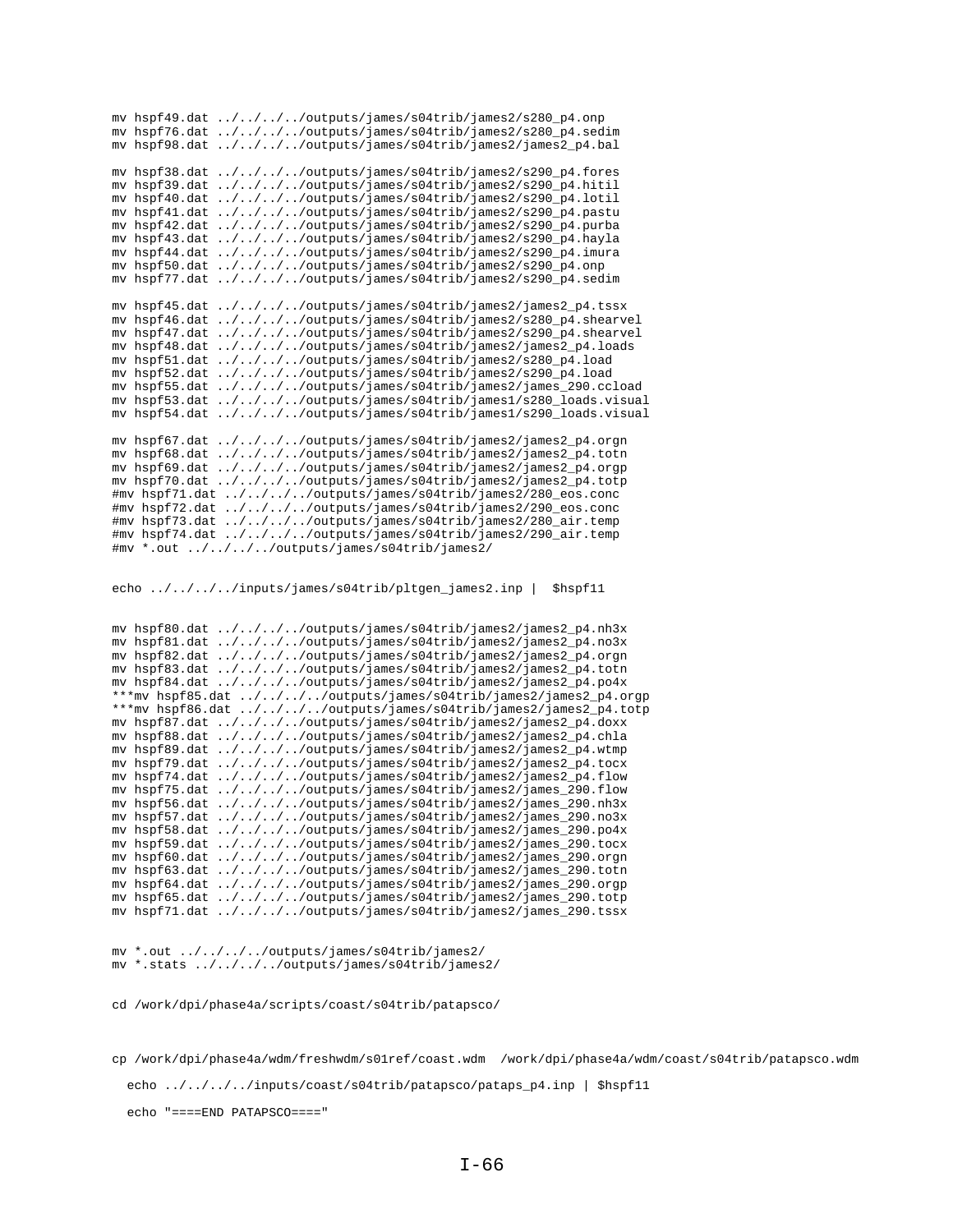|                | mv hspf49.dat ////outputs/james/s04trib/james2/s280_p4.onp              |
|----------------|-------------------------------------------------------------------------|
|                | mv hspf76.dat ////outputs/james/s04trib/james2/s280_p4.sedim            |
|                | mv hspf98.dat ////outputs/james/s04trib/james2/james2_p4.bal            |
|                |                                                                         |
| my hspf38.dat  | ////outputs/james/s04trib/james2/s290_p4.fores                          |
| mv hspf39.dat  | $\ldots / \ldots / \ldots /$ outputs/james/s04trib/james2/s290_p4.hitil |
| my hspf40.dat  | $\ldots/\ldots/\ldots$ /outputs/james/s04trib/james2/s290_p4.lotil      |
| my hspf41.dat  | ////outputs/james/s04trib/james2/s290_p4.pastu                          |
| mv hspf42.dat  | $\ldots/\ldots/\ldots$ /outputs/james/s04trib/james2/s290_p4.purba      |
| mv hspf43.dat  | $\ldots/\ldots/\ldots$ /outputs/james/s04trib/james2/s290_p4.hayla      |
| mv hspf44.dat  | ////outputs/james/s04trib/james2/s290_p4.imura                          |
| my hspf50.dat  | $\ldots/\ldots/\ldots$ /outputs/james/s04trib/james2/s290_p4.onp        |
| my hspf77.dat  | ////outputs/james/s04trib/james2/s290_p4.sedim                          |
|                |                                                                         |
| mv hspf45.dat  | ////outputs/james/s04trib/james2/james2_p4.tssx                         |
| mv hspf46.dat  | ////outputs/james/s04trib/james2/s280_p4.shearvel                       |
| mv hspf47.dat  | ////outputs/james/s04trib/james2/s290_p4.shearvel                       |
| my hspf48.dat  | ////outputs/james/s04trib/james2/james2_p4.loads                        |
| my hspf51.dat  | ////outputs/james/s04trib/james2/s280_p4.load                           |
| mv hspf52.dat  | ////outputs/james/s04trib/james2/s290_p4.load                           |
| mv hspf55.dat  | ////outputs/james/s04trib/james2/james_290.ccload                       |
| mv hspf53.dat  | ////outputs/james/s04trib/james1/s280_loads.visual                      |
| mv hspf54.dat  | $\ldots/\ldots/\ldots$ /outputs/james/s04trib/james1/s290_loads.visual  |
|                |                                                                         |
| my hspf67.dat  | $\ldots/\ldots/\ldots$ /outputs/james/s04trib/james2/james2_p4.orgn     |
| mv hspf68.dat  | ////outputs/james/s04trib/james2/james2_p4.totn                         |
| my hspf69.dat  | ////outputs/james/s04trib/james2/james2_p4.orgp                         |
| my hspf70.dat  | ////outputs/james/s04trib/james2/james2_p4.totp                         |
|                | #mv hspf71.dat ////outputs/james/s04trib/james2/280_eos.conc            |
| #mv hspf72.dat | $\ldots/\ldots/\ldots$ /outputs/james/s04trib/james2/290_eos.conc       |
|                | #mv hspf73.dat ////outputs/james/s04trib/james2/280_air.temp            |
|                | #mv hspf74.dat ////outputs/james/s04trib/james2/290_air.temp            |
|                | #mv *.out ////outputs/james/s04trib/james2/                             |

echo ../../../../inputs/james/s04trib/pltgen\_james2.inp | \$hspf11

mv hspf80.dat ../../../../outputs/james/s04trib/james2/james2\_p4.nh3x mv hspf81.dat ../../../../outputs/james/s04trib/james2/james2\_p4.no3x mv hspf82.dat ../../../../outputs/james/s04trib/james2/james2\_p4.orgn mv hspf83.dat ../../../../outputs/james/s04trib/james2/james2\_p4.totn mv hspf84.dat ../../../../outputs/james/s04trib/james2/james2\_p4.po4x \*\*\*mv hspf85.dat  $\ldots/\ldots/\ldots$ /outputs/james/s04trib/james2/james2\_p4.orgp \*\*\*mv hspf86.dat ../../../../outputs/james/s04trib/james2/james2\_p4.totp mv hspf87.dat ../../../../outputs/james/s04trib/james2/james2\_p4.doxx mv hspf88.dat ../../../../outputs/james/s04trib/james2/james2\_p4.chla mv hspf89.dat ../../../../outputs/james/s04trib/james2/james2\_p4.wtmp mv hspf79.dat ../../../../outputs/james/s04trib/james2/james2\_p4.tocx mv hspf74.dat ../../../../outputs/james/s04trib/james2/james2\_p4.flow mv hspf75.dat ../../../../outputs/james/s04trib/james2/james\_290.flow mv hspf56.dat ../../../../outputs/james/s04trib/james2/james\_290.nh3x mv hspf57.dat ../../../../outputs/james/s04trib/james2/james\_290.no3x mv hspf58.dat ../../../../outputs/james/s04trib/james2/james\_290.po4x mv hspf59.dat ../../../../outputs/james/s04trib/james2/james\_290.tocx mv hspf60.dat ../../../../outputs/james/s04trib/james2/james\_290.orgn mv hspf63.dat ../../../../outputs/james/s04trib/james2/james\_290.totn mv hspf64.dat ../../../../outputs/james/s04trib/james2/james\_290.orgp mv hspf65.dat ../../../../outputs/james/s04trib/james2/james\_290.totp mv hspf71.dat  $\ldots/\ldots/\ldots$ /outputs/james/s04trib/james2/james\_290.tssx

mv \*.out ../../../../outputs/james/s04trib/james2/ mv \*.stats ../../../../outputs/james/s04trib/james2/

cd /work/dpi/phase4a/scripts/coast/s04trib/patapsco/

cp /work/dpi/phase4a/wdm/freshwdm/s01ref/coast.wdm /work/dpi/phase4a/wdm/coast/s04trib/patapsco.wdm echo ../../../../inputs/coast/s04trib/patapsco/pataps\_p4.inp | \$hspf11

echo "====END PATAPSCO===="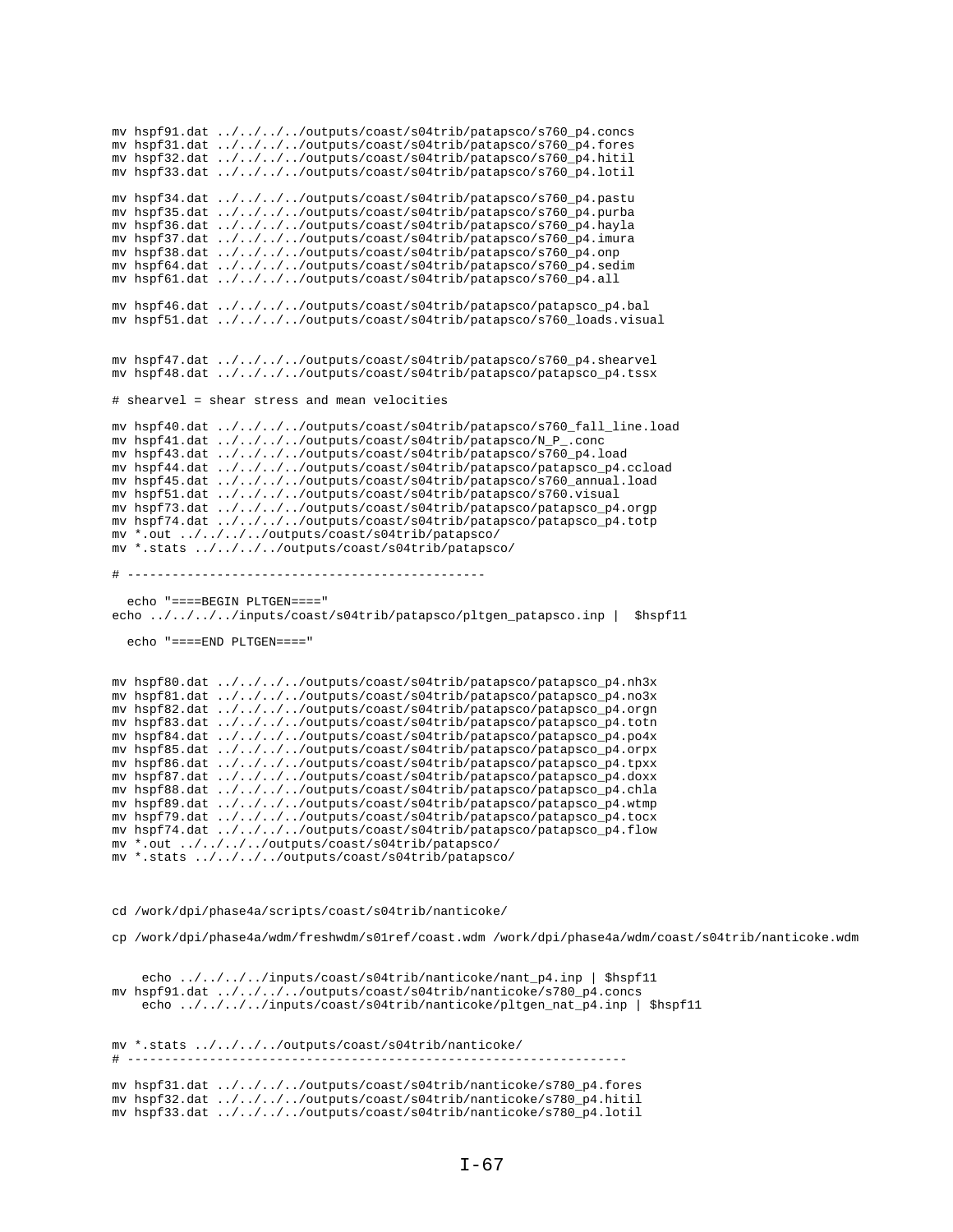```
mv hspf31.dat ../../../../outputs/coast/s04trib/patapsco/s760_p4.fores
mv hspf32.dat ../../../../outputs/coast/s04trib/patapsco/s760_p4.hitil
mv hspf33.dat ../../../../outputs/coast/s04trib/patapsco/s760_p4.lotil
mv hspf34.dat ../../../../outputs/coast/s04trib/patapsco/s760_p4.pastu
mv hspf35.dat ../../../../outputs/coast/s04trib/patapsco/s760_p4.purba
mv hspf36.dat ../../../../outputs/coast/s04trib/patapsco/s760_p4.hayla
mv hspf37.dat ../../../../outputs/coast/s04trib/patapsco/s760_p4.imura
mv hspf38.dat ../../../../outputs/coast/s04trib/patapsco/s760_p4.onp
mv hspf64.dat ../../../../outputs/coast/s04trib/patapsco/s760_p4.sedim
mv hspf61.dat ../../../../outputs/coast/s04trib/patapsco/s760_p4.all
mv hspf46.dat ../../../../outputs/coast/s04trib/patapsco/patapsco_p4.bal
mv hspf51.dat ../../../../outputs/coast/s04trib/patapsco/s760_loads.visual
mv hspf47.dat ../../../../outputs/coast/s04trib/patapsco/s760_p4.shearvel
mv hspf48.dat ../../../../outputs/coast/s04trib/patapsco/patapsco_p4.tssx
# shearvel = shear stress and mean velocities
mv hspf40.dat ../../../../outputs/coast/s04trib/patapsco/s760_fall_line.load mv hspf41.dat ../../../outputs/coast/s04trib/patapsco/N_P_.conc
mv hspf43.dat ../../../../outputs/coast/s04trib/patapsco/s760_p4.load
mv hspf44.dat ../../../../outputs/coast/s04trib/patapsco/patapsco_p4.ccload
mv hspf45.dat ../../../../outputs/coast/s04trib/patapsco/s760_annual.load
\verb|mv hspf51.dat | ../../../outputs/coast/s04trib/patapsco/s760.visual| \\mv hspf73.dat ../../../../outputs/coast/s04trib/patapsco/patapsco_p4.orgp
mv hspf74.dat ../../../../outputs/coast/s04trib/patapsco/patapsco_p4.totp
mv *.out ../../../../outputs/coast/s04trib/patapsco/
{\tt mv} *.stats ../../../../outputs/coast/s04trib/patapsco/
  echo "====BEGIN PLTGEN===="
echo ../../../inputs/coast/s04trib/patapsco/pltgen_patapsco.inp | $hspf11
  echo "====END PI.TGEN===="
mv hspf80.dat ../../../../outputs/coast/s04trib/patapsco/patapsco_p4.nh3x
mv hspf81.dat ../../../../outputs/coast/s04trib/patapsco/patapsco_p4.no3x
mv hspf82.dat ../../../../outputs/coast/s04trib/patapsco/patapsco_p4.orgn
mv hspf83.dat ../../../../outputs/coast/s04trib/patapsco/patapsco_p4.totn
\texttt{mv} \texttt{ hspf84.dat } \dots / \dots / \dots / \texttt{outputs/coast/s04trib/patapsco/patapsco_p4.po4x}mv hspf85.dat ../../../../outputs/coast/s04trib/patapsco/patapsco_p4.orpx
mv hspf86.dat ../../../../outputs/coast/s04trib/patapsco/patapsco_p4.tpxx
mv hspf87.dat ../../../../outputs/coast/s04trib/patapsco/patapsco_p4.doxx
mv hspf88.dat ../../../../outputs/coast/s04trib/patapsco/patapsco_p4.chla
mv hspf89.dat ../../../../outputs/coast/s04trib/patapsco/patapsco_p4.wtmp
mv hspf79.dat ../../../../outputs/coast/s04trib/patapsco/patapsco_p4.tocx
mv hspf74.dat ../../../../outputs/coast/s04trib/patapsco/patapsco_p4.flow
mv *.out ../../../../outputs/coast/s04trib/patapsco/
mv *.stats ../../../../outputs/coast/s04trib/patapsco/
cd /work/dpi/phase4a/scripts/coast/s04trib/nanticoke/
cp /work/dpi/phase4a/wdm/freshwdm/s0lref/coast.wdm /work/dpi/phase4a/wdm/coast/s04trib/nanticoke.wdm
    echo ../../../../inputs/coast/s04trib/nanticoke/nant_p4.inp | $hspf11
mv hspf91.dat ../../../../outputs/coast/s04trib/nanticoke/s780_p4.concs
    echo ../../../inputs/coast/s04trib/nanticoke/pltgen_nat_p4.inp | $hspf11
mv *.stats ../../../../outputs/coast/s04trib/nanticoke/
\# -----
                                                         ---------------
mv hspf31.dat ../../../../outputs/coast/s04trib/nanticoke/s780_p4.fores
mv hspf32.dat ../../../../outputs/coast/s04trib/nanticoke/s780_p4.hitil
mv hspf33.dat ../../../../outputs/coast/s04trib/nanticoke/s780_p4.lotil
```
mv hspf91.dat ../../../../outputs/coast/s04trib/patapsco/s760\_p4.concs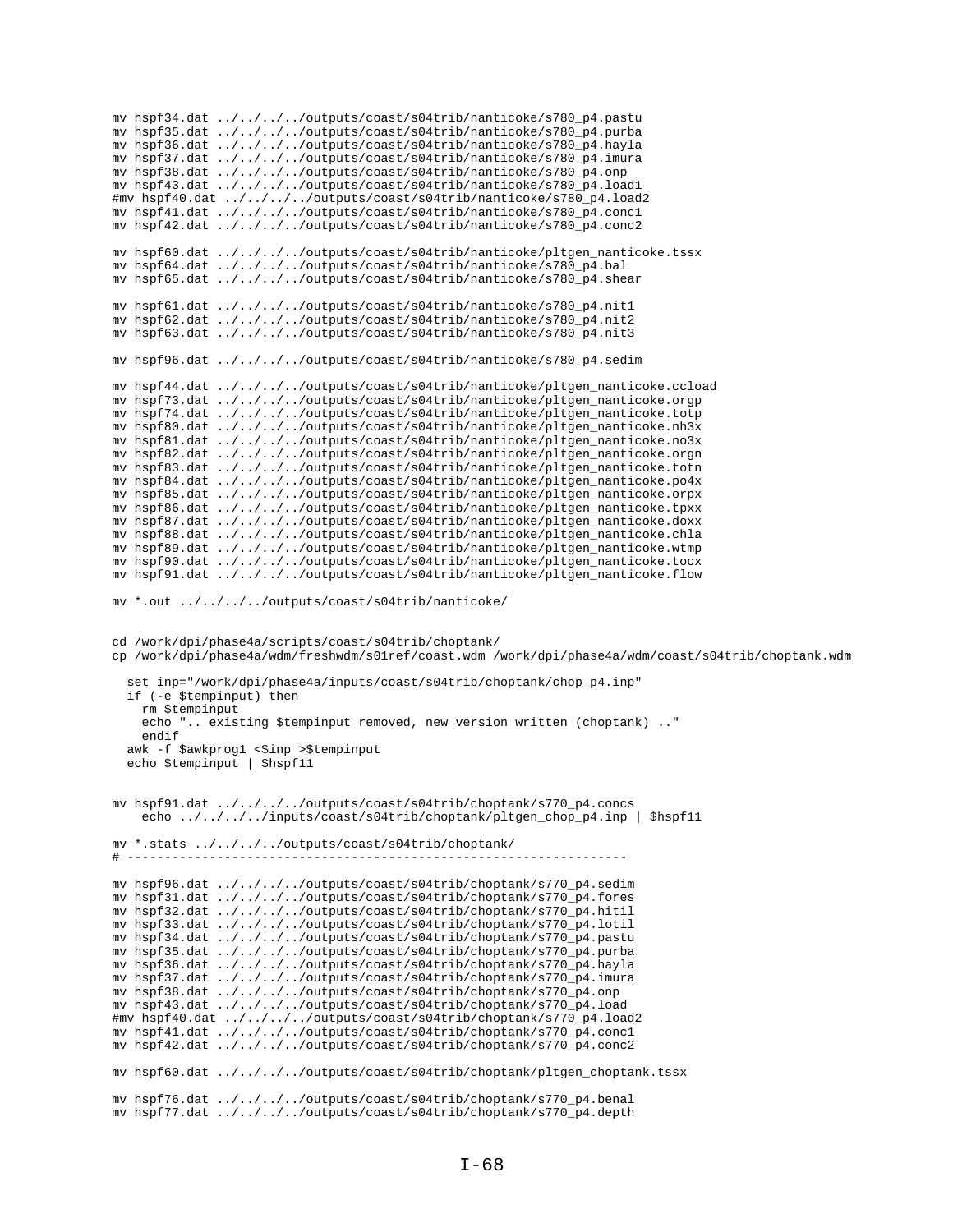mv hspf34.dat ../../../../outputs/coast/s04trib/nanticoke/s780\_p4.pastu mv hspf35.dat ../../../../outputs/coast/s04trib/nanticoke/s780\_p4.purba mv hspf36.dat ../../../../outputs/coast/s04trib/nanticoke/s780\_p4.hayla mv hspf37.dat ../../../../outputs/coast/s04trib/nanticoke/s780\_p4.imura mv hspf38.dat ../../../../outputs/coast/s04trib/nanticoke/s780\_p4.onp mv hspf43.dat ../../../../outputs/coast/s04trib/nanticoke/s780\_p4.load1 #mv hspf40.dat ../../../../outputs/coast/s04trib/nanticoke/s780\_p4.load2 mv hspf41.dat ../../../../outputs/coast/s04trib/nanticoke/s780\_p4.conc1 mv hspf42.dat ../../../../outputs/coast/s04trib/nanticoke/s780\_p4.conc2 mv hspf60.dat ../../../../outputs/coast/s04trib/nanticoke/pltgen\_nanticoke.tssx mv hspf64.dat ../../../../outputs/coast/s04trib/nanticoke/s780\_p4.bal mv hspf65.dat ../../../../outputs/coast/s04trib/nanticoke/s780\_p4.shear mv hspf61.dat ../../../../outputs/coast/s04trib/nanticoke/s780\_p4.nit1 mv hspf62.dat ../../../../outputs/coast/s04trib/nanticoke/s780\_p4.nit2 mv hspf63.dat  $\ldots/\ldots/\ldots$ /outputs/coast/s04trib/nanticoke/s780\_p4.nit3 mv hspf96.dat ../../../../outputs/coast/s04trib/nanticoke/s780\_p4.sedim mv hspf44.dat ../../../../outputs/coast/s04trib/nanticoke/pltgen\_nanticoke.ccload mv hspf73.dat ../../../../outputs/coast/s04trib/nanticoke/pltgen\_nanticoke.orgp mv hspf74.dat ../../../../outputs/coast/s04trib/nanticoke/pltgen\_nanticoke.totp mv hspf80.dat ../../../../outputs/coast/s04trib/nanticoke/pltgen\_nanticoke.nh3x mv hspf81.dat ../../../../outputs/coast/s04trib/nanticoke/pltgen\_nanticoke.no3x mv hspf82.dat ../../../../outputs/coast/s04trib/nanticoke/pltgen\_nanticoke.orgn mv hspf83.dat ../../../../outputs/coast/s04trib/nanticoke/pltgen\_nanticoke.totn mv hspf84.dat ../../../../outputs/coast/s04trib/nanticoke/pltgen\_nanticoke.po4x mv hspf85.dat ../../../../outputs/coast/s04trib/nanticoke/pltgen\_nanticoke.orpx mv hspf86.dat ../../../../outputs/coast/s04trib/nanticoke/pltgen\_nanticoke.tpxx mv hspf87.dat ../../../../outputs/coast/s04trib/nanticoke/pltgen\_nanticoke.doxx mv hspf88.dat ../../../../outputs/coast/s04trib/nanticoke/pltgen\_nanticoke.chla mv hspf89.dat ../../../../outputs/coast/s04trib/nanticoke/pltgen\_nanticoke.wtmp mv hspf90.dat ../../../../outputs/coast/s04trib/nanticoke/pltgen\_nanticoke.tocx mv hspf91.dat ../../../../outputs/coast/s04trib/nanticoke/pltgen\_nanticoke.flow mv \*.out ../../../../outputs/coast/s04trib/nanticoke/ cd /work/dpi/phase4a/scripts/coast/s04trib/choptank/ cp /work/dpi/phase4a/wdm/freshwdm/s01ref/coast.wdm /work/dpi/phase4a/wdm/coast/s04trib/choptank.wdm set inp="/work/dpi/phase4a/inputs/coast/s04trib/choptank/chop\_p4.inp" if (-e \$tempinput) then rm \$tempinput echo ".. existing \$tempinput removed, new version written (choptank) .." endif awk -f \$awkprog1 <\$inp >\$tempinput echo \$tempinput | \$hspf11 mv hspf91.dat ../../../../outputs/coast/s04trib/choptank/s770\_p4.concs echo ../../../../inputs/coast/s04trib/choptank/pltgen\_chop\_p4.inp | \$hspf11 mv \*.stats ../../../../outputs/coast/s04trib/choptank/ # ------------------------------------------------------------------ mv hspf96.dat ../../../../outputs/coast/s04trib/choptank/s770\_p4.sedim mv hspf31.dat ../../../../outputs/coast/s04trib/choptank/s770\_p4.fores mv hspf32.dat ../../../../outputs/coast/s04trib/choptank/s770\_p4.hitil mv hspf33.dat ../../../../outputs/coast/s04trib/choptank/s770\_p4.lotil mv hspf34.dat ../../../../outputs/coast/s04trib/choptank/s770\_p4.pastu mv hspf35.dat ../../../../outputs/coast/s04trib/choptank/s770\_p4.purba mv hspf36.dat ../../../../outputs/coast/s04trib/choptank/s770\_p4.hayla mv hspf37.dat ../../../../outputs/coast/s04trib/choptank/s770\_p4.imura mv hspf38.dat ../../../../outputs/coast/s04trib/choptank/s770\_p4.onp mv hspf43.dat ../../../../outputs/coast/s04trib/choptank/s770\_p4.load #mv hspf40.dat ../../../../outputs/coast/s04trib/choptank/s770\_p4.load2 mv hspf41.dat ../../../../outputs/coast/s04trib/choptank/s770\_p4.conc1 mv hspf42.dat ../../../../outputs/coast/s04trib/choptank/s770\_p4.conc2 mv hspf60.dat ../../../../outputs/coast/s04trib/choptank/pltgen\_choptank.tssx mv hspf76.dat ../../../../outputs/coast/s04trib/choptank/s770\_p4.benal mv hspf77.dat ../../../../outputs/coast/s04trib/choptank/s770\_p4.depth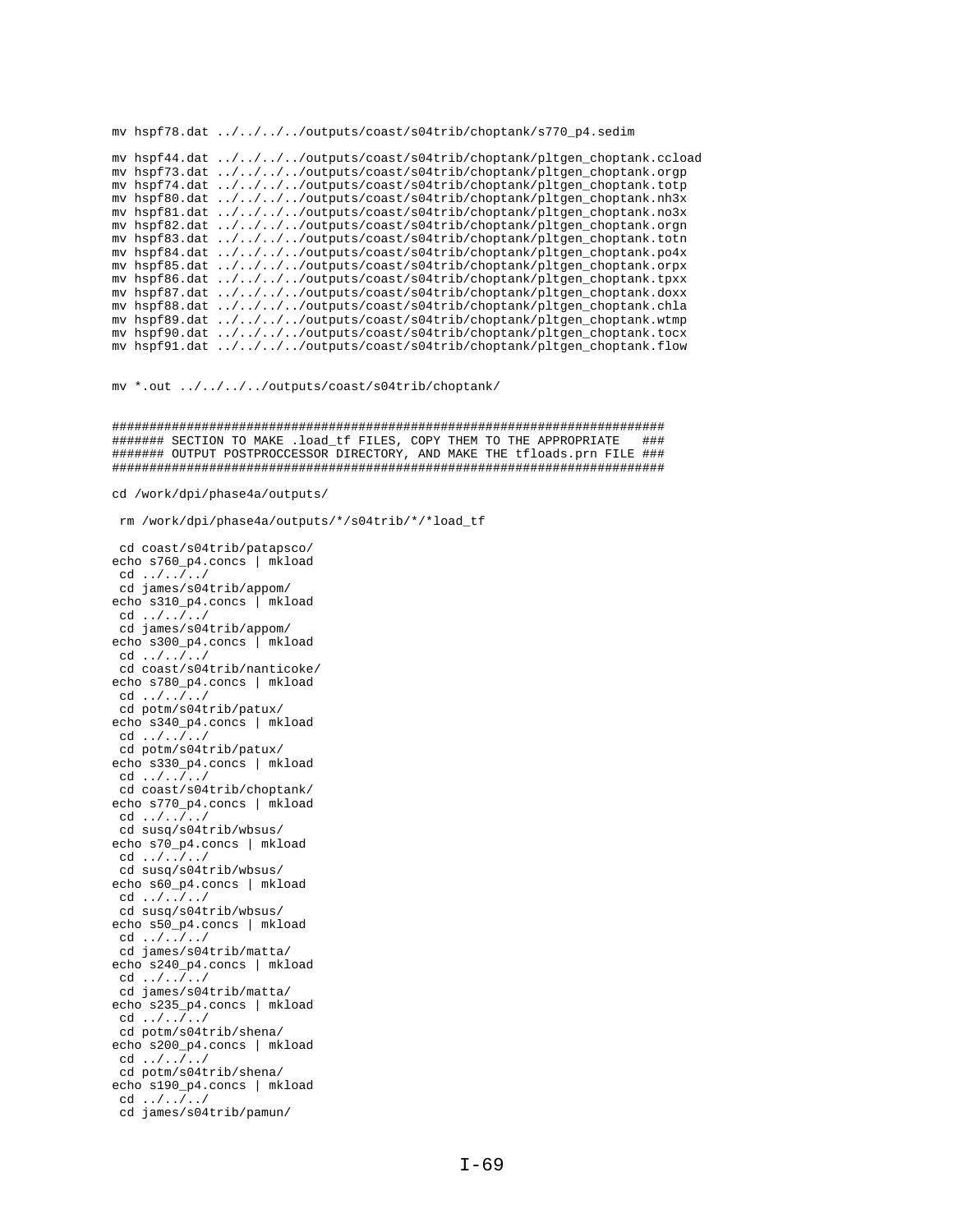mv hspf78.dat ../../../../outputs/coast/s04trib/choptank/s770\_p4.sedim mv hspf44.dat ../../../../outputs/coast/s04trib/choptank/pltgen\_choptank.ccload mv hspf73.dat ../../../../outputs/coast/s04trib/choptank/pltgen\_choptank.orgp mv hspf74.dat ../../../../outputs/coast/s04trib/choptank/pltgen\_choptank.totp mv hspf80.dat ../../../../outputs/coast/s04trib/choptank/pltgen\_choptank.nh3x mv hspf81.dat ../../../../outputs/coast/s04trib/choptank/pltgen\_choptank.no3x mv hspf82.dat ../../../../outputs/coast/s04trib/choptank/pltgen\_choptank.orgn mv hspf83.dat ../../../../outputs/coast/s04trib/choptank/pltgen\_choptank.totn mv hspf84.dat ../../../../outputs/coast/s04trib/choptank/pltgen\_choptank.po4x mv hspf85.dat ../../../../outputs/coast/s04trib/choptank/pltgen\_choptank.orpx mv hspf86.dat ../../../../outputs/coast/s04trib/choptank/pltgen\_choptank.tpxx mv hspf87.dat ../../../../outputs/coast/s04trib/choptank/pltgen\_choptank.doxx mv hspf88.dat ../../../../outputs/coast/s04trib/choptank/pltgen\_choptank.chla mv hspf89.dat ../../../../outputs/coast/s04trib/choptank/pltgen\_choptank.wtmp mv hspf90.dat ../../../../outputs/coast/s04trib/choptank/pltgen\_choptank.tocx mv hspf91.dat ../../../../outputs/coast/s04trib/choptank/pltgen\_choptank.flow

mv \*.out ../../../../outputs/coast/s04trib/choptank/

########################################################################## ####### SECTION TO MAKE .load\_tf FILES, COPY THEM TO THE APPROPRIATE ### ####### OUTPUT POSTPROCCESSOR DIRECTORY, AND MAKE THE tfloads.prn FILE ### ##########################################################################

cd /work/dpi/phase4a/outputs/

rm /work/dpi/phase4a/outputs/\*/s04trib/\*/\*load\_tf

cd coast/s04trib/patapsco/ echo s760\_p4.concs | mkload cd ../../../ cd james/s04trib/appom/ echo s310\_p4.concs | mkload cd ../../../ cd james/s04trib/appom/ echo s300\_p4.concs | mkload cd ../../../ cd coast/s04trib/nanticoke/ echo s780\_p4.concs | mkload cd ../../../ cd potm/s04trib/patux/ echo s340\_p4.concs | mkload cd ../../../ cd potm/s04trib/patux/ echo s330\_p4.concs | mkload cd ../../../ cd coast/s04trib/choptank/ echo s770\_p4.concs | mkload cd ../../../ cd susq/s04trib/wbsus/ echo s70\_p4.concs | mkload cd ../../../ cd susq/s04trib/wbsus/ echo s60\_p4.concs | mkload cd ../../../ cd susq/s04trib/wbsus/ echo s50\_p4.concs | mkload cd ../../../ cd james/s04trib/matta/ echo s240\_p4.concs | mkload  $cd \ldots / \ldots /$  cd james/s04trib/matta/ echo s235\_p4.concs | mkload cd ../../../ cd potm/s04trib/shena/ echo s200\_p4.concs | mkload cd ../../../ cd potm/s04trib/shena/ echo s190\_p4.concs | mkload cd ../../../ cd james/s04trib/pamun/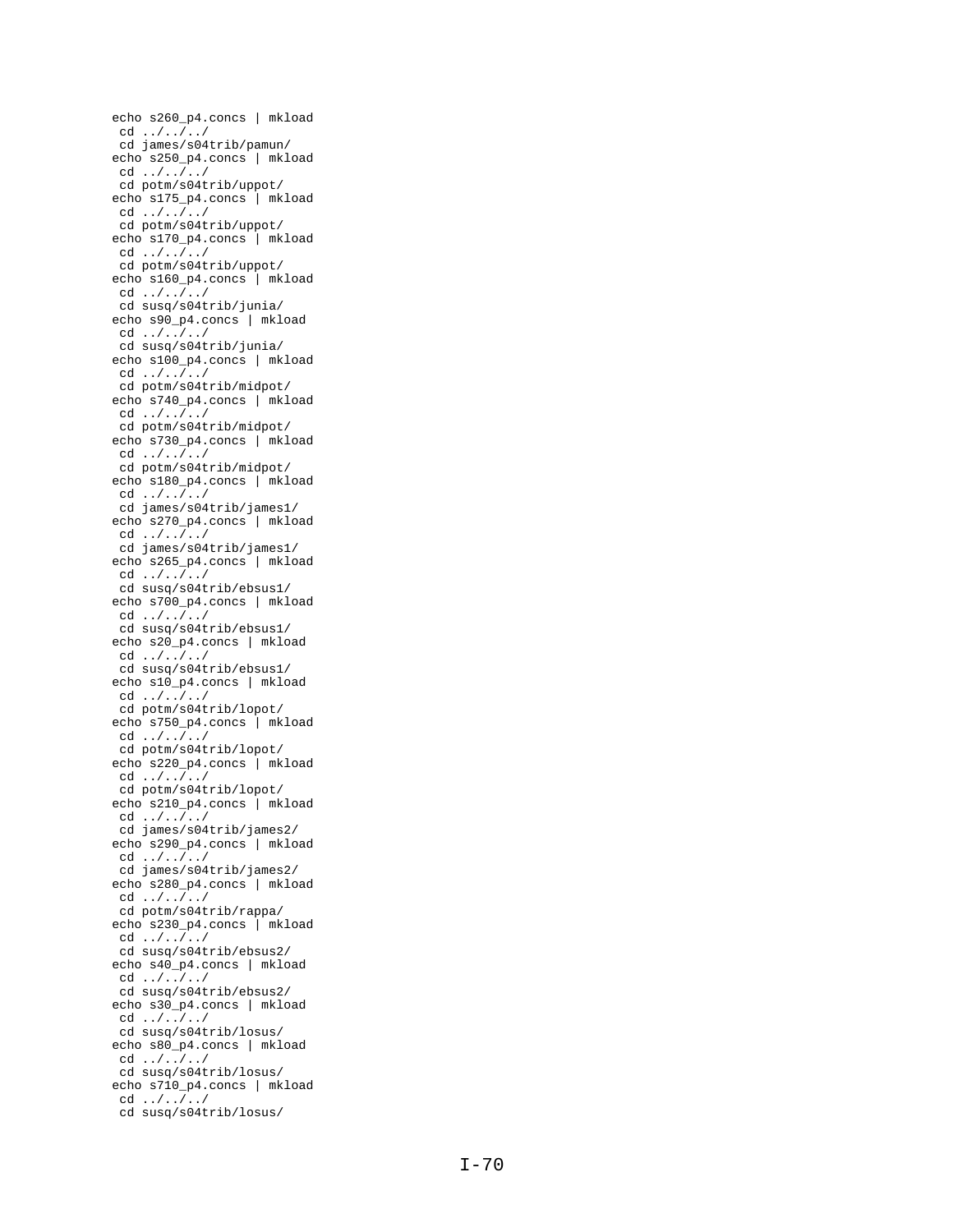echo s260\_p4.concs | mkload cd ../../../ cd james/s04trib/pamun/ echo s250\_p4.concs | mkload cd ../../../ cd potm/s04trib/uppot/ echo s175\_p4.concs | mkload cd ../../../ cd potm/s04trib/uppot/ echo s170\_p4.concs | mkload cd ../../../ cd potm/s04trib/uppot/ echo s160\_p4.concs | mkload cd ../../../ cd susq/s04trib/junia/ echo s90\_p4.concs | mkload cd ../../../ cd susq/s04trib/junia/ echo s100\_p4.concs | mkload cd ../../../ cd potm/s04trib/midpot/ echo s740\_p4.concs | mkload cd ../../../ cd potm/s04trib/midpot/ echo s730\_p4.concs | mkload cd ../../../ cd potm/s04trib/midpot/ echo s180\_p4.concs | mkload cd ../../../ cd james/s04trib/james1/ echo s270\_p4.concs | mkload cd ../../../ cd james/s04trib/james1/ echo s265\_p4.concs | mkload cd ../../../ cd susq/s04trib/ebsus1/ echo s700\_p4.concs | mkload cd ../../../ cd susq/s04trib/ebsus1/ echo s20\_p4.concs | mkload cd ../../../ cd susq/s04trib/ebsus1/ echo s10\_p4.concs | mkload cd ../../../ cd potm/s04trib/lopot/ echo s750\_p4.concs | mkload cd  $\ldots/ \ldots/ \ldots/$ cd potm/s04trib/lopot/ echo s220\_p4.concs | mkload cd ../../../ cd potm/s04trib/lopot/ echo s210\_p4.concs | mkload cd ../../../ cd james/s04trib/james2/ echo s290\_p4.concs | mkload cd ../../../ cd james/s04trib/james2/ echo s280\_p4.concs | mkload cd ../../../ cd potm/s04trib/rappa/ echo s230\_p4.concs | mkload cd ../../../ cd susq/s04trib/ebsus2/ echo s40\_p4.concs | mkload cd ../../../ cd susq/s04trib/ebsus2/ echo s30\_p4.concs | mkload cd ../../../ cd susq/s04trib/losus/ echo s80\_p4.concs | mkload cd ../../../ cd susq/s04trib/losus/ echo s710\_p4.concs | mkload cd ../../../ cd susq/s04trib/losus/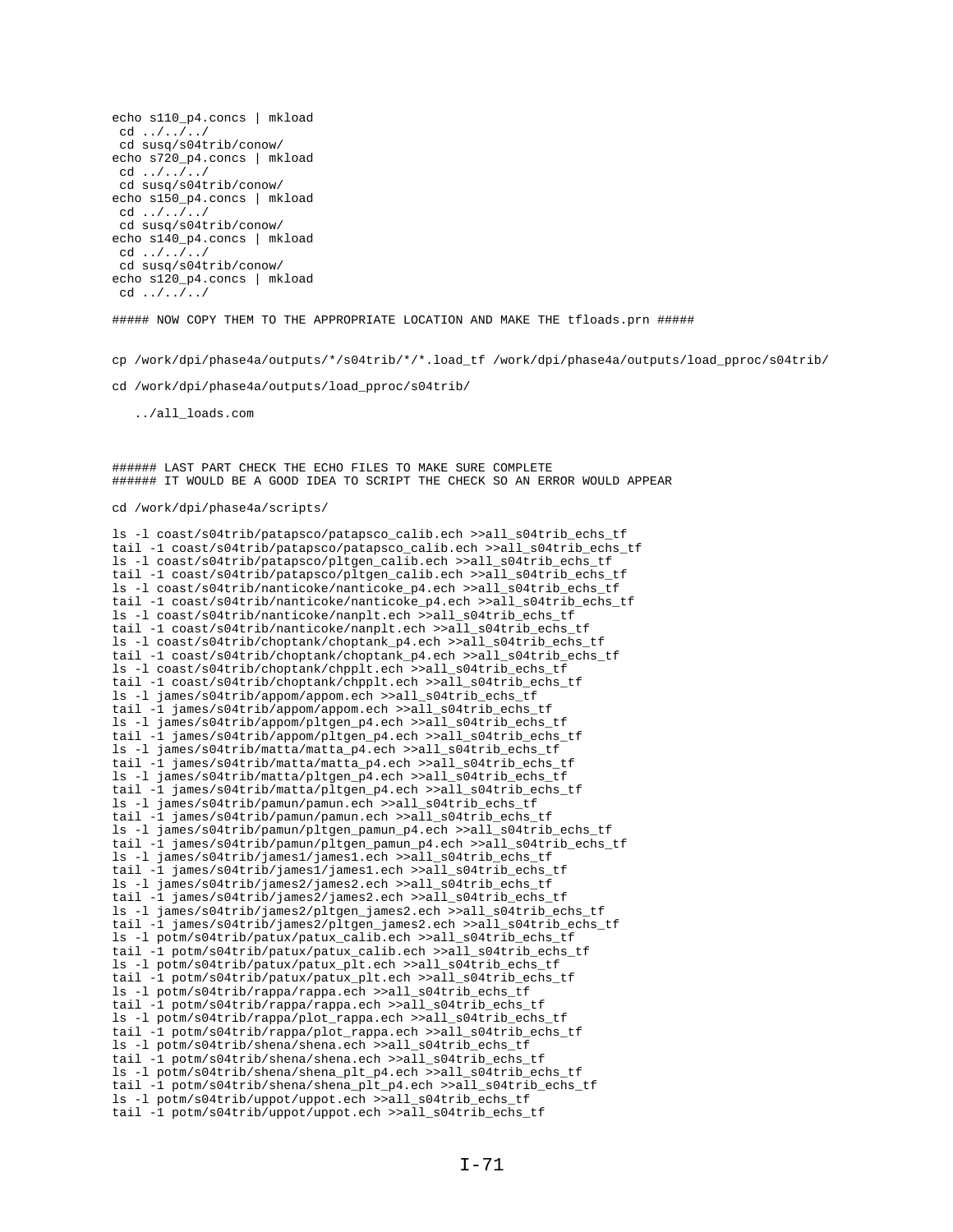```
echo s110_p4.concs | mkload
cd ../../../
cd susq/s04trib/conow/
echo s720_p4.concs | mkload
cd ../../../
cd susq/s04trib/conow/
echo s150_p4.concs | mkload
cd ../../../
cd susq/s04trib/conow/
echo s140_p4.concs | mkload
cd ../../../
cd susq/s04trib/conow/
echo s120_p4.concs | mkload
cd ../../../
```
##### NOW COPY THEM TO THE APPROPRIATE LOCATION AND MAKE THE tfloads.prn #####

cp /work/dpi/phase4a/outputs/\*/s04trib/\*/\*.load\_tf /work/dpi/phase4a/outputs/load\_pproc/s04trib/

cd /work/dpi/phase4a/outputs/load\_pproc/s04trib/

../all\_loads.com

###### LAST PART CHECK THE ECHO FILES TO MAKE SURE COMPLETE ###### IT WOULD BE A GOOD IDEA TO SCRIPT THE CHECK SO AN ERROR WOULD APPEAR

## cd /work/dpi/phase4a/scripts/

ls -l coast/s04trib/patapsco/patapsco\_calib.ech >>all\_s04trib\_echs\_tf tail -1 coast/s04trib/patapsco/patapsco\_calib.ech >>all\_s04trib\_echs\_tf ls -l coast/s04trib/patapsco/pltgen\_calib.ech >>all\_s04trib\_echs\_tf tail -1 coast/s04trib/patapsco/pltgen\_calib.ech >>all\_s04trib\_echs\_tf ls -l coast/s04trib/nanticoke/nanticoke\_p4.ech >>all\_s04trib\_echs\_tf tail -1 coast/s04trib/nanticoke/nanticoke\_p4.ech >>all\_s04trib\_echs\_tf ls -l coast/s04trib/nanticoke/nanplt.ech >>all\_s04trib\_echs\_tf tail -1 coast/s04trib/nanticoke/nanplt.ech >>all s04trib echs tf ls -l coast/s04trib/choptank/choptank\_p4.ech >>all\_s04trib\_echs\_tf tail -1 coast/s04trib/choptank/choptank\_p4.ech >>all\_s04trib\_echs\_tf ls -l coast/s04trib/choptank/chpplt.ech >>all\_s04trib\_echs\_tf tail -1 coast/s04trib/choptank/chpplt.ech >>all s04trib echs tf ls -l james/s04trib/appom/appom.ech >>all\_s04trib\_echs\_tf tail -1 james/s04trib/appom/appom.ech >>all\_s04trib\_echs\_tf ls -l james/s04trib/appom/pltgen\_p4.ech >>all\_s04trib\_echs\_tf tail -1 james/s04trib/appom/pltgen\_p4.ech >>all\_s04trib\_echs\_tf ls -l james/s04trib/matta/matta\_p4.ech >>all\_s04trib\_echs\_tf tail -1 james/s04trib/matta/matta\_p4.ech >>all\_s04trib\_echs\_tf ls -l james/s04trib/matta/pltgen\_p4.ech >>all\_s04trib\_echs\_tf tail -1 james/s04trib/matta/pltgen\_p4.ech >>all\_s04trib\_echs\_tf ls -l james/s04trib/pamun/pamun.ech >>all\_s04trib\_echs\_tf tail -1 james/s04trib/pamun/pamun.ech >>all\_s04trib\_echs\_tf ls -l james/s04trib/pamun/pltgen\_pamun\_p4.ech >>all\_s04trib\_echs\_tf tail -1 james/s04trib/pamun/pltgen\_pamun\_p4.ech >>all\_s04trib\_echs\_tf ls -l james/s04trib/james1/james1.ech >>all\_s04trib\_echs\_tf tail -1 james/s04trib/james1/james1.ech >>all\_s04trib\_echs\_tf ls -l james/s04trib/james2/james2.ech >>all\_s04trib\_echs\_tf tail -1 james/s04trib/james2/james2.ech >>all\_s04trib\_echs\_tf ls -l james/s04trib/james2/pltgen\_james2.ech >>all\_s04trib\_echs\_tf tail -1 james/s04trib/james2/pltgen\_james2.ech >>all\_s04trib\_echs\_tf ls -l potm/s04trib/patux/patux\_calib.ech >>all\_s04trib\_echs\_tf tail -1 potm/s04trib/patux/patux\_calib.ech >>all\_s04trib\_echs\_tf ls -l potm/s04trib/patux/patux\_plt.ech >>all\_s04trib\_echs\_tf tail -1 potm/s04trib/patux/patux\_plt.ech >>all\_s04trib\_echs\_tf ls -l potm/s04trib/rappa/rappa.ech >>all\_s04trib\_echs\_tf tail -1 potm/s04trib/rappa/rappa.ech >>all\_s04trib\_echs\_tf ls -l potm/s04trib/rappa/plot\_rappa.ech >>all\_s04trib\_echs\_tf tail -1 potm/s04trib/rappa/plot\_rappa.ech >>all\_s04trib\_echs\_tf ls -l potm/s04trib/shena/shena.ech >>all\_s04trib\_echs\_tf tail -1 potm/s04trib/shena/shena.ech >>all\_s04trib\_echs\_tf ls -l potm/s04trib/shena/shena\_plt\_p4.ech >>all\_s04trib\_echs\_tf tail -1 potm/s04trib/shena/shena\_plt\_p4.ech >>all\_s04trib\_echs\_tf ls -l potm/s04trib/uppot/uppot.ech >>all\_s04trib\_echs\_tf tail -1 potm/s04trib/uppot/uppot.ech >>all\_s04trib\_echs\_tf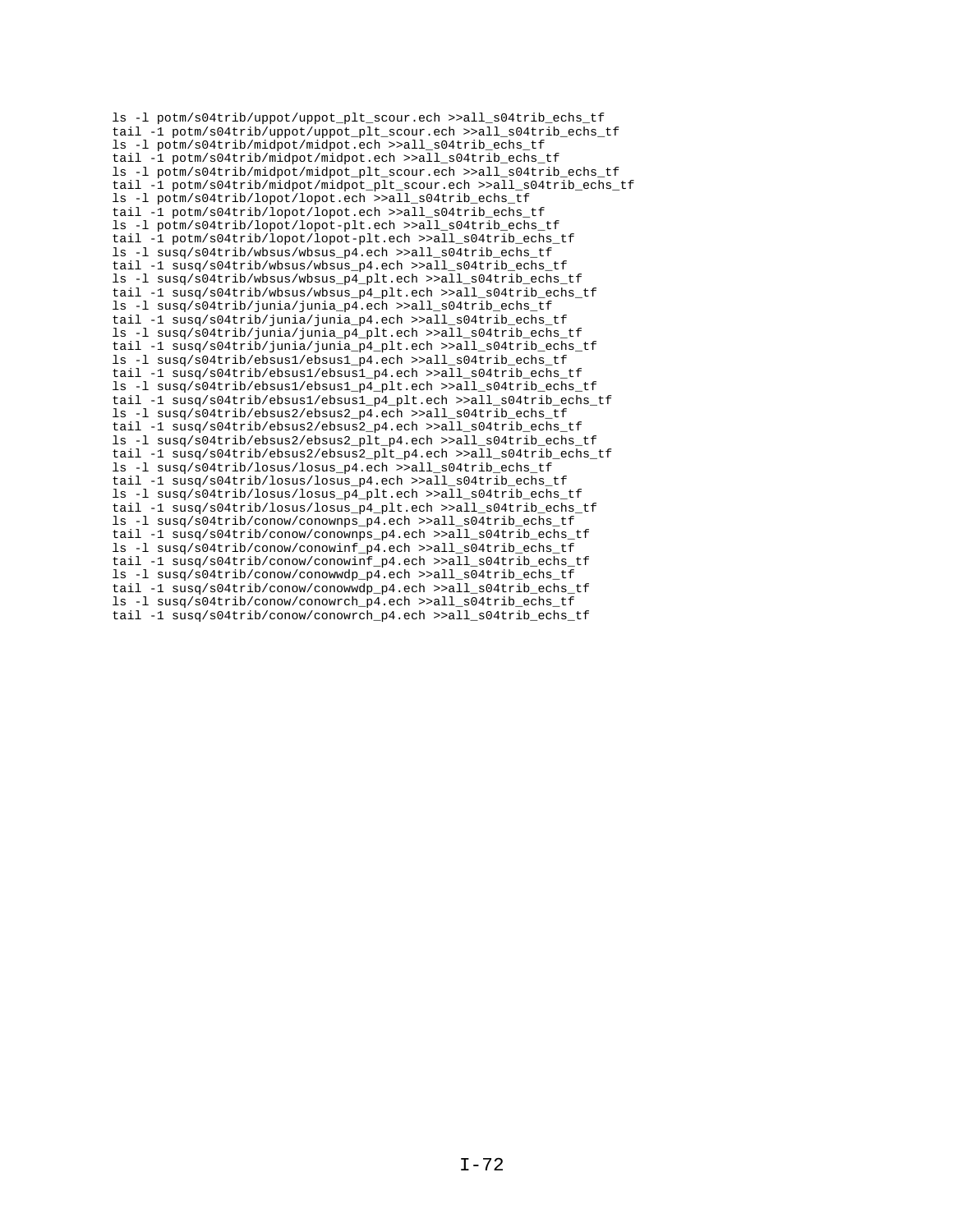ls -l potm/s04trib/uppot/uppot\_plt\_scour.ech >>all\_s04trib\_echs\_tf tail -1 potm/s04trib/uppot/uppot\_plt\_scour.ech >>all\_s04trib\_echs\_tf ls -l potm/s04trib/midpot/midpot.ech >>all\_s04trib\_echs\_tf tail -1 potm/s04trib/midpot/midpot.ech >>all\_s04trib\_echs\_tf ls -l potm/s04trib/midpot/midpot\_plt\_scour.ech >>all\_s04trib\_echs\_tf tail -1 potm/s04trib/midpot/midpot\_plt\_scour.ech >>all\_s04trib\_echs\_tf ls -l potm/s04trib/lopot/lopot.ech >>all\_s04trib\_echs\_tf tail -1 potm/s04trib/lopot/lopot.ech >>all\_s04trib\_echs\_tf ls -l potm/s04trib/lopot/lopot-plt.ech >>all\_s04trib\_echs\_tf tail -1 potm/s04trib/lopot/lopot-plt.ech >>all\_s04trib\_echs\_tf ls -l susq/s04trib/wbsus/wbsus\_p4.ech >>all\_s04trib\_echs\_tf tail -1 susq/s04trib/wbsus/wbsus\_p4.ech >>all\_s04trib\_echs\_tf ls -l susq/s04trib/wbsus/wbsus\_p4\_plt.ech >>all\_s04trib\_echs\_tf tail -1 susq/s04trib/wbsus/wbsus\_p4\_plt.ech >>all\_s04trib\_echs\_tf ls -l susq/s04trib/junia/junia\_p4.ech >>all\_s04trib\_echs\_tf tail -1 susq/s04trib/junia/junia\_p4.ech >>all\_s04trib\_echs\_tf ls -l susq/s04trib/junia/junia\_p4\_plt.ech >>all\_s04trib\_echs\_tf tail -1 susq/s04trib/junia/junia\_p4\_plt.ech >>all\_s04trib\_echs\_tf ls -l susq/s04trib/ebsus1/ebsus1\_p4.ech >>all\_s04trib\_echs\_tf tail -1 susq/s04trib/ebsus1/ebsus1\_p4.ech >>all\_s04trib\_echs\_tf ls -l susq/s04trib/ebsus1/ebsus1\_p4\_plt.ech >>all\_s04trib\_echs\_tf tail -1 susq/s04trib/ebsus1/ebsus1\_p4\_plt.ech >>all\_s04trib\_echs\_tf ls -l susq/s04trib/ebsus2/ebsus2\_p4.ech >>all\_s04trib\_echs\_tf tail -1 susq/s04trib/ebsus2/ebsus2\_p4.ech >>all\_s04trib\_echs\_tf ls -l susq/s04trib/ebsus2/ebsus2\_plt\_p4.ech >>all\_s04trib\_echs\_tf tail -1 susq/s04trib/ebsus2/ebsus2\_plt\_p4.ech >>all\_s04trib\_echs\_tf ls -l susq/s04trib/losus/losus\_p4.ech >>all\_s04trib\_echs\_tf tail -1 susq/s04trib/losus/losus\_p4.ech >>all\_s04trib\_echs\_tf ls -l susq/s04trib/losus/losus\_p4\_plt.ech >>all\_s04trib\_echs\_tf tail -1 susq/s04trib/losus/losus\_p4\_plt.ech >>all\_s04trib\_echs\_tf ls -l susq/s04trib/conow/conownps\_p4.ech >>all\_s04trib\_echs\_tf tail -1 susq/s04trib/conow/conownps\_p4.ech >>all\_s04trib\_echs\_tf ls -l susq/s04trib/conow/conowinf\_p4.ech >>all\_s04trib\_echs\_tf tail -1 susq/s04trib/conow/conowinf\_p4.ech >>all\_s04trib\_echs\_tf ls -l susq/s04trib/conow/conowwdp\_p4.ech >>all\_s04trib\_echs\_tf tail -1 susq/s04trib/conow/conowwdp\_p4.ech >>all\_s04trib\_echs\_tf ls -l susq/s04trib/conow/conowrch\_p4.ech >>all\_s04trib\_echs\_tf tail -1 susq/s04trib/conow/conowrch\_p4.ech >>all\_s04trib\_echs\_tf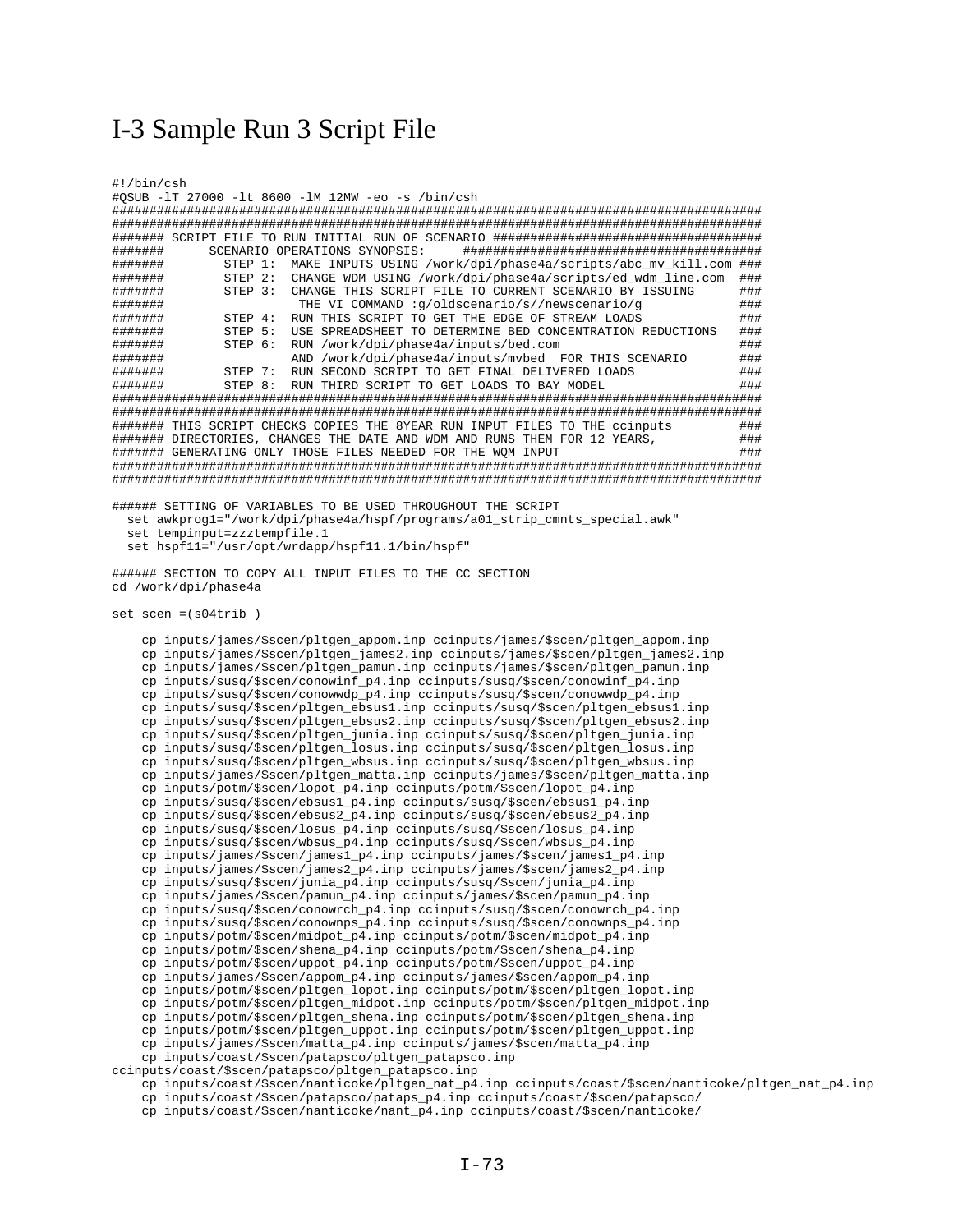## I-3 Sample Run 3 Script File

| #!/bin/csh                                                                                                                                                                       |  |
|----------------------------------------------------------------------------------------------------------------------------------------------------------------------------------|--|
| #QSUB -1T 27000 -1t 8600 -1M 12MW -eo -s /bin/csh                                                                                                                                |  |
|                                                                                                                                                                                  |  |
|                                                                                                                                                                                  |  |
|                                                                                                                                                                                  |  |
| SCENARIO OPERATIONS SYNOPSIS:<br>#######                                                                                                                                         |  |
| #######<br>MAKE INPUTS USING /work/dpi/phase4a/scripts/abc_mv_kill.com ###<br>STEP 1:<br>CHANGE WDM USING /work/dpi/phase4a/scripts/ed_wdm_line.com<br>#######<br>STEP 2:<br>### |  |
| STEP 3:<br>CHANGE THIS SCRIPT FILE TO CURRENT SCENARIO BY ISSUING<br>#######<br>###                                                                                              |  |
| THE VI COMMAND :g/oldscenario/s//newscenario/g<br>###<br>#######                                                                                                                 |  |
| RUN THIS SCRIPT TO GET THE EDGE OF STREAM LOADS<br>###<br>#######<br>STEP 4:                                                                                                     |  |
| USE SPREADSHEET TO DETERMINE BED CONCENTRATION REDUCTIONS<br>#######<br>STEP 5:<br>###                                                                                           |  |
| STEP 6:<br>RUN /work/dpi/phase4a/inputs/bed.com<br>###<br>#######                                                                                                                |  |
| AND /work/dpi/phase4a/inputs/mvbed FOR THIS SCENARIO<br>###<br>#######                                                                                                           |  |
| RUN SECOND SCRIPT TO GET FINAL DELIVERED LOADS<br>#######<br>STEP 7:<br>###                                                                                                      |  |
| RUN THIRD SCRIPT TO GET LOADS TO BAY MODEL<br>#######<br>STEP 8:<br>###                                                                                                          |  |
|                                                                                                                                                                                  |  |
| ######## THIS SCRIPT CHECKS COPIES THE 8YEAR RUN INPUT FILES TO THE ccinputs<br>###                                                                                              |  |
| ####### DIRECTORIES, CHANGES THE DATE AND WDM AND RUNS THEM FOR 12 YEARS,<br>###                                                                                                 |  |
| ####### GENERATING ONLY THOSE FILES NEEDED FOR THE WQM INPUT<br>###                                                                                                              |  |
|                                                                                                                                                                                  |  |
|                                                                                                                                                                                  |  |
|                                                                                                                                                                                  |  |
| ###### SETTING OF VARIABLES TO BE USED THROUGHOUT THE SCRIPT                                                                                                                     |  |
| set awkprogl="/work/dpi/phase4a/hspf/programs/a01_strip_cmnts_special.awk"                                                                                                       |  |
| set tempinput=zzztempfile.1<br>set hspf11="/usr/opt/wrdapp/hspf11.1/bin/hspf"                                                                                                    |  |
|                                                                                                                                                                                  |  |
| ###### SECTION TO COPY ALL INPUT FILES TO THE CC SECTION                                                                                                                         |  |
| cd /work/dpi/phase4a                                                                                                                                                             |  |
|                                                                                                                                                                                  |  |
| $set$ scen = $(s04trib)$                                                                                                                                                         |  |
|                                                                                                                                                                                  |  |
| cp inputs/james/\$scen/pltgen_appom.inp ccinputs/james/\$scen/pltgen_appom.inp                                                                                                   |  |
| cp inputs/james/\$scen/pltgen_james2.inp ccinputs/james/\$scen/pltgen_james2.inp                                                                                                 |  |
| cp inputs/james/\$scen/pltgen_pamun.inp ccinputs/james/\$scen/pltgen_pamun.inp<br>cp inputs/susq/\$scen/conowinf_p4.inp ccinputs/susq/\$scen/conowinf_p4.inp                     |  |
| cp inputs/susq/\$scen/conowwdp_p4.inp ccinputs/susq/\$scen/conowwdp_p4.inp                                                                                                       |  |
| cp inputs/susq/\$scen/pltgen_ebsus1.inp ccinputs/susq/\$scen/pltgen_ebsus1.inp                                                                                                   |  |
| cp inputs/susq/\$scen/pltgen_ebsus2.inp ccinputs/susq/\$scen/pltgen_ebsus2.inp                                                                                                   |  |
| cp inputs/susq/\$scen/pltgen_junia.inp ccinputs/susq/\$scen/pltgen_junia.inp                                                                                                     |  |
| cp inputs/susq/\$scen/pltgen_losus.inp ccinputs/susq/\$scen/pltgen_losus.inp                                                                                                     |  |
| cp inputs/susq/\$scen/pltgen_wbsus.inp ccinputs/susq/\$scen/pltgen_wbsus.inp                                                                                                     |  |
| cp inputs/james/\$scen/pltgen_matta.inp ccinputs/james/\$scen/pltgen_matta.inp                                                                                                   |  |
| cp inputs/potm/\$scen/lopot_p4.inp ccinputs/potm/\$scen/lopot_p4.inp                                                                                                             |  |
| cp inputs/susq/\$scen/ebsus1_p4.inp ccinputs/susq/\$scen/ebsus1_p4.inp<br>cp inputs/susq/\$scen/ebsus2_p4.inp ccinputs/susq/\$scen/ebsus2_p4.inp                                 |  |
| cp inputs/susq/\$scen/losus_p4.inp ccinputs/susq/\$scen/losus_p4.inp                                                                                                             |  |
| cp inputs/susq/\$scen/wbsus_p4.inp ccinputs/susq/\$scen/wbsus_p4.inp                                                                                                             |  |
| cp inputs/james/\$scen/james1_p4.inp ccinputs/james/\$scen/james1_p4.inp                                                                                                         |  |
| cp inputs/james/\$scen/james2_p4.inp ccinputs/james/\$scen/james2_p4.inp                                                                                                         |  |
| cp inputs/susq/\$scen/junia_p4.inp ccinputs/susq/\$scen/junia_p4.inp                                                                                                             |  |
| cp inputs/james/\$scen/pamun_p4.inp ccinputs/james/\$scen/pamun_p4.inp                                                                                                           |  |
| cp inputs/susq/\$scen/conowrch_p4.inp ccinputs/susq/\$scen/conowrch_p4.inp                                                                                                       |  |
| $cp$ inputs/susq/\$scen/conownps_p4.inp ccinputs/susq/\$scen/conownps_p4.inp                                                                                                     |  |
| cp inputs/potm/\$scen/midpot_p4.inp ccinputs/potm/\$scen/midpot_p4.inp<br>cp inputs/potm/\$scen/shena_p4.inp ccinputs/potm/\$scen/shena_p4.inp                                   |  |
| cp inputs/potm/\$scen/uppot_p4.inp ccinputs/potm/\$scen/uppot_p4.inp                                                                                                             |  |
| cp inputs/james/\$scen/appom_p4.inp ccinputs/james/\$scen/appom_p4.inp                                                                                                           |  |
| cp inputs/potm/\$scen/pltgen_lopot.inp ccinputs/potm/\$scen/pltgen_lopot.inp                                                                                                     |  |
| cp inputs/potm/\$scen/pltgen_midpot.inp ccinputs/potm/\$scen/pltgen_midpot.inp                                                                                                   |  |
| cp inputs/potm/\$scen/pltgen_shena.inp ccinputs/potm/\$scen/pltgen_shena.inp                                                                                                     |  |
| cp inputs/potm/\$scen/pltgen_uppot.inp ccinputs/potm/\$scen/pltgen_uppot.inp                                                                                                     |  |
| cp inputs/james/\$scen/matta_p4.inp ccinputs/james/\$scen/matta_p4.inp                                                                                                           |  |
| cp inputs/coast/\$scen/patapsco/pltgen_patapsco.inp                                                                                                                              |  |
| ccinputs/coast/\$scen/patapsco/pltgen_patapsco.inp                                                                                                                               |  |
| cp inputs/coast/\$scen/nanticoke/pltgen_nat_p4.inp ccinputs/coast/\$scen/nanticoke/pltgen_nat_p4.inp                                                                             |  |
| cp inputs/coast/\$scen/patapsco/pataps_p4.inp ccinputs/coast/\$scen/patapsco/                                                                                                    |  |

cp inputs/coast/\$scen/nanticoke/nant\_p4.inp ccinputs/coast/\$scen/nanticoke/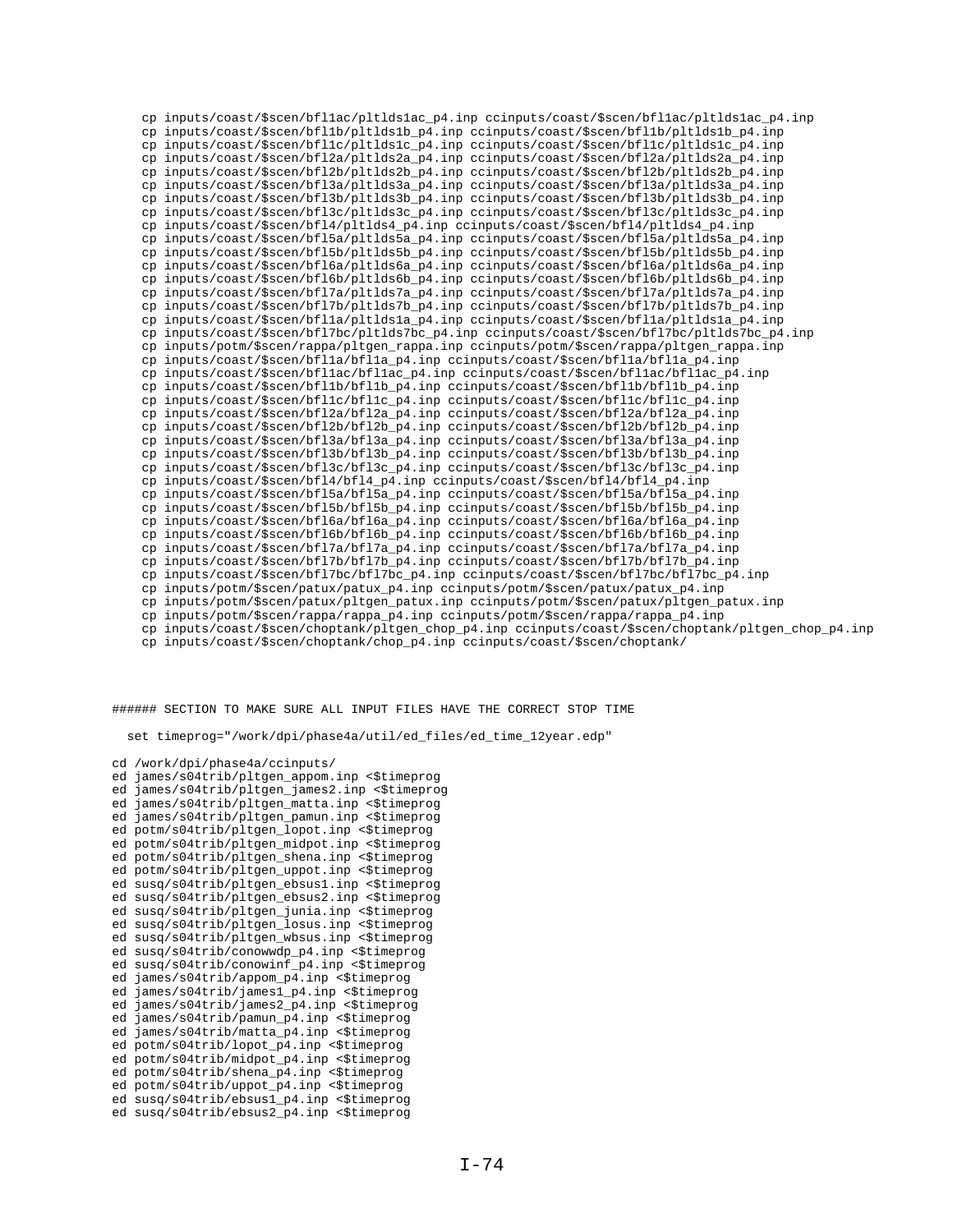cp inputs/coast/\$scen/bfl1ac/pltlds1ac\_p4.inp ccinputs/coast/\$scen/bfl1ac/pltlds1ac\_p4.inp cp inputs/coast/\$scen/bfl1b/pltlds1b\_p4.inp ccinputs/coast/\$scen/bfl1b/pltlds1b\_p4.inp cp inputs/coast/\$scen/bfl1c/pltlds1c\_p4.inp ccinputs/coast/\$scen/bfl1c/pltlds1c\_p4.inp cp inputs/coast/\$scen/bfl2a/pltlds2a\_p4.inp ccinputs/coast/\$scen/bfl2a/pltlds2a\_p4.inp cp inputs/coast/\$scen/bfl2b/pltlds2b\_p4.inp ccinputs/coast/\$scen/bfl2b/pltlds2b\_p4.inp cp inputs/coast/\$scen/bfl3a/pltlds3a\_p4.inp ccinputs/coast/\$scen/bfl3a/pltlds3a\_p4.inp cp inputs/coast/\$scen/bfl3b/pltlds3b\_p4.inp ccinputs/coast/\$scen/bfl3b/pltlds3b\_p4.inp cp inputs/coast/\$scen/bfl3c/pltlds3c\_p4.inp ccinputs/coast/\$scen/bfl3c/pltlds3c\_p4.inp cp inputs/coast/\$scen/bfl4/pltlds4\_p4.inp ccinputs/coast/\$scen/bfl4/pltlds4\_p4.inp cp inputs/coast/\$scen/bfl5a/pltlds5a\_p4.inp ccinputs/coast/\$scen/bfl5a/pltlds5a\_p4.inp cp inputs/coast/\$scen/bfl5b/pltlds5b\_p4.inp ccinputs/coast/\$scen/bfl5b/pltlds5b\_p4.inp cp inputs/coast/\$scen/bfl6a/pltlds6a\_p4.inp ccinputs/coast/\$scen/bfl6a/pltlds6a\_p4.inp cp inputs/coast/\$scen/bfl6b/pltlds6b\_p4.inp ccinputs/coast/\$scen/bfl6b/pltlds6b\_p4.inp cp inputs/coast/\$scen/bfl7a/pltlds7a\_p4.inp ccinputs/coast/\$scen/bfl7a/pltlds7a\_p4.inp cp inputs/coast/\$scen/bfl7b/pltlds7b\_p4.inp ccinputs/coast/\$scen/bfl7b/pltlds7b\_p4.inp cp inputs/coast/\$scen/bfl1a/pltlds1a\_p4.inp ccinputs/coast/\$scen/bfl1a/pltlds1a\_p4.inp cp inputs/coast/\$scen/bfl7bc/pltlds7bc\_p4.inp ccinputs/coast/\$scen/bfl7bc/pltlds7bc\_p4.inp cp inputs/potm/\$scen/rappa/pltgen\_rappa.inp ccinputs/potm/\$scen/rappa/pltgen\_rappa.inp cp inputs/coast/\$scen/bfl1a/bfl1a\_p4.inp ccinputs/coast/\$scen/bfl1a/bfl1a\_p4.inp cp inputs/coast/\$scen/bfl1ac/bfl1ac\_p4.inp ccinputs/coast/\$scen/bfl1ac/bfl1ac\_p4.inp cp inputs/coast/\$scen/bfl1b/bfl1b\_p4.inp ccinputs/coast/\$scen/bfl1b/bfl1b\_p4.inp cp inputs/coast/\$scen/bfl1c/bfl1c\_p4.inp ccinputs/coast/\$scen/bfl1c/bfl1c\_p4.inp cp inputs/coast/\$scen/bfl2a/bfl2a\_p4.inp ccinputs/coast/\$scen/bfl2a/bfl2a\_p4.inp cp inputs/coast/\$scen/bfl2b/bfl2b\_p4.inp ccinputs/coast/\$scen/bfl2b/bfl2b\_p4.inp cp inputs/coast/\$scen/bfl3a/bfl3a\_p4.inp ccinputs/coast/\$scen/bfl3a/bfl3a\_p4.inp cp inputs/coast/\$scen/bfl3b/bfl3b\_p4.inp ccinputs/coast/\$scen/bfl3b/bfl3b\_p4.inp cp inputs/coast/\$scen/bfl3c/bfl3c\_p4.inp ccinputs/coast/\$scen/bfl3c/bfl3c\_p4.inp cp inputs/coast/\$scen/bfl4/bfl4\_p4.inp ccinputs/coast/\$scen/bfl4/bfl4\_p4.inp cp inputs/coast/\$scen/bfl5a/bfl5a\_p4.inp ccinputs/coast/\$scen/bfl5a/bfl5a\_p4.inp cp inputs/coast/\$scen/bfl5b/bfl5b\_p4.inp ccinputs/coast/\$scen/bfl5b/bfl5b\_p4.inp cp inputs/coast/\$scen/bfl6a/bfl6a\_p4.inp ccinputs/coast/\$scen/bfl6a/bfl6a\_p4.inp cp inputs/coast/\$scen/bfl6b/bfl6b\_p4.inp ccinputs/coast/\$scen/bfl6b/bfl6b\_p4.inp cp inputs/coast/\$scen/bfl7a/bfl7a\_p4.inp ccinputs/coast/\$scen/bfl7a/bfl7a\_p4.inp cp inputs/coast/\$scen/bfl7b/bfl7b\_p4.inp ccinputs/coast/\$scen/bfl7b/bfl7b\_p4.inp cp inputs/coast/\$scen/bfl7bc/bfl7bc\_p4.inp ccinputs/coast/\$scen/bfl7bc/bfl7bc\_p4.inp cp inputs/potm/\$scen/patux/patux\_p4.inp ccinputs/potm/\$scen/patux/patux\_p4.inp cp inputs/potm/\$scen/patux/pltgen\_patux.inp ccinputs/potm/\$scen/patux/pltgen\_patux.inp cp inputs/potm/\$scen/rappa/rappa\_p4.inp ccinputs/potm/\$scen/rappa/rappa\_p4.inp cp inputs/coast/\$scen/choptank/pltgen\_chop\_p4.inp ccinputs/coast/\$scen/choptank/pltgen\_chop\_p4.inp

cp inputs/coast/\$scen/choptank/chop\_p4.inp ccinputs/coast/\$scen/choptank/

###### SECTION TO MAKE SURE ALL INPUT FILES HAVE THE CORRECT STOP TIME

set timeprog="/work/dpi/phase4a/util/ed\_files/ed\_time\_12year.edp"

cd /work/dpi/phase4a/ccinputs/

```
ed james/s04trib/pltgen_appom.inp <$timeprog
ed james/s04trib/pltgen_james2.inp <$timeprog
ed james/s04trib/pltgen_matta.inp <$timeprog
ed james/s04trib/pltgen_pamun.inp <$timeprog
ed potm/s04trib/pltgen_lopot.inp <$timeprog
ed potm/s04trib/pltgen_midpot.inp <$timeprog
ed potm/s04trib/pltgen_shena.inp <$timeprog
ed potm/s04trib/pltgen_uppot.inp <$timeprog
ed susq/s04trib/pltgen_ebsus1.inp <$timeprog
ed susq/s04trib/pltgen_ebsus2.inp <$timeprog
ed susq/s04trib/pltgen_junia.inp <$timeprog
ed susq/s04trib/pltgen_losus.inp <$timeprog
ed susq/s04trib/pltgen_wbsus.inp <$timeprog
ed susq/s04trib/conowwdp_p4.inp <$timeprog
ed susq/s04trib/conowinf_p4.inp <$timeprog
ed james/s04trib/appom_p4.inp <$timeprog
ed james/s04trib/james1_p4.inp <$timeprog
ed james/s04trib/james2_p4.inp <$timeprog
ed james/s04trib/pamun_p4.inp <$timeprog
ed james/s04trib/matta_p4.inp <$timeprog
ed potm/s04trib/lopot_p4.inp <$timeprog
ed potm/s04trib/midpot_p4.inp <$timeprog
ed potm/s04trib/shena_p4.inp <$timeprog
ed potm/s04trib/uppot_p4.inp <$timeprog
ed susq/s04trib/ebsus1_p4.inp <$timeprog
ed susq/s04trib/ebsus2_p4.inp <$timeprog
```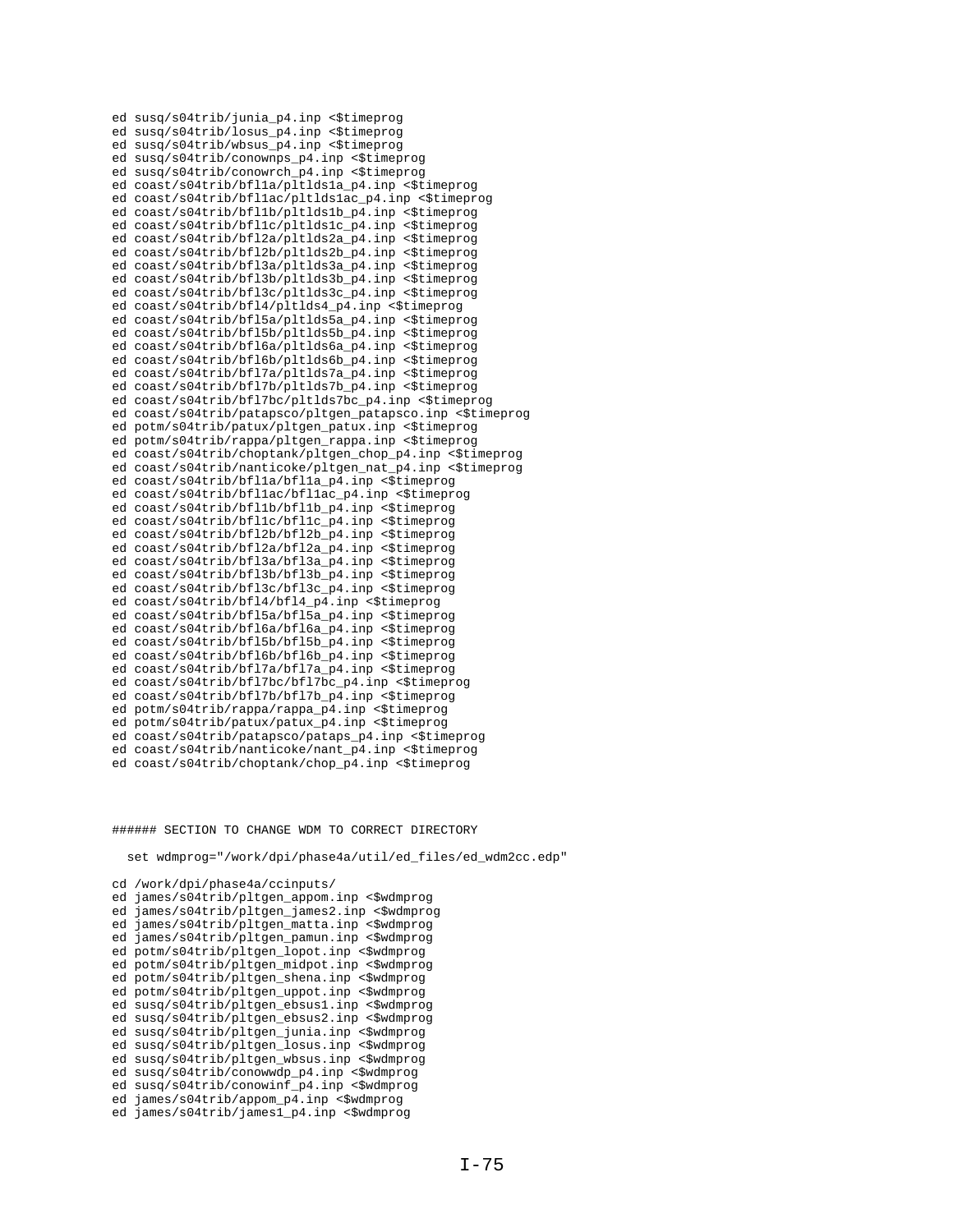ed susq/s04trib/junia\_p4.inp <\$timeprog ed susq/s04trib/losus\_p4.inp <\$timeprog ed susq/s04trib/wbsus\_p4.inp <\$timeprog ed susq/s04trib/conownps\_p4.inp <\$timeprog ed susq/s04trib/conowrch\_p4.inp <\$timeprog ed coast/s04trib/bfl1a/pltlds1a\_p4.inp <\$timeprog ed coast/s04trib/bfl1ac/pltlds1ac\_p4.inp <\$timeprog ed coast/s04trib/bfl1b/pltlds1b\_p4.inp <\$timeprog ed coast/s04trib/bfl1c/pltlds1c\_p4.inp <\$timeprog ed coast/s04trib/bfl2a/pltlds2a\_p4.inp <\$timeprog ed coast/s04trib/bfl2b/pltlds2b\_p4.inp <\$timeprog ed coast/s04trib/bfl3a/pltlds3a\_p4.inp <\$timeprog ed coast/s04trib/bfl3b/pltlds3b\_p4.inp <\$timeprog ed coast/s04trib/bfl3c/pltlds3c\_p4.inp <\$timeprog ed coast/s04trib/bfl4/pltlds4\_p4.inp <\$timeprog ed coast/s04trib/bfl5a/pltlds5a\_p4.inp <\$timeprog ed coast/s04trib/bfl5b/pltlds5b\_p4.inp <\$timeprog ed coast/s04trib/bfl6a/pltlds6a\_p4.inp <\$timeprog ed coast/s04trib/bfl6b/pltlds6b\_p4.inp <\$timeprog ed coast/s04trib/bfl7a/pltlds7a\_p4.inp <\$timeprog ed coast/s04trib/bfl7b/pltlds7b\_p4.inp <\$timeprog ed coast/s04trib/bfl7bc/pltlds7bc\_p4.inp <\$timeprog ed coast/s04trib/patapsco/pltgen\_patapsco.inp <\$timeprog ed potm/s04trib/patux/pltgen\_patux.inp <\$timeprog ed potm/s04trib/rappa/pltgen\_rappa.inp <\$timeprog ed coast/s04trib/choptank/pltgen\_chop\_p4.inp <\$timeprog ed coast/s04trib/nanticoke/pltgen\_nat\_p4.inp <\$timeprog ed coast/s04trib/bfl1a/bfl1a\_p4.inp <\$timeprog ed coast/s04trib/bfl1ac/bfl1ac\_p4.inp <\$timeprog ed coast/s04trib/bfl1b/bfl1b\_p4.inp <\$timeprog ed coast/s04trib/bfl1c/bfl1c\_p4.inp <\$timeprog ed coast/s04trib/bfl2b/bfl2b\_p4.inp <\$timeprog ed coast/s04trib/bfl2a/bfl2a\_p4.inp <\$timeprog ed coast/s04trib/bfl3a/bfl3a\_p4.inp <\$timeprog ed coast/s04trib/bfl3b/bfl3b\_p4.inp <\$timeprog ed coast/s04trib/bfl3c/bfl3c\_p4.inp <\$timeprog ed coast/s04trib/bfl4/bfl4\_p4.inp <\$timeprog ed coast/s04trib/bfl5a/bfl5a\_p4.inp <\$timeprog ed coast/s04trib/bfl6a/bfl6a\_p4.inp <\$timeprog ed coast/s04trib/bfl5b/bfl5b\_p4.inp <\$timeprog ed coast/s04trib/bfl6b/bfl6b\_p4.inp <\$timeprog ed coast/s04trib/bfl7a/bfl7a\_p4.inp <\$timeprog ed coast/s04trib/bfl7bc/bfl7bc p4.inp <\$timeprog ed coast/s04trib/bfl7b/bfl7b\_p4.inp <\$timeprog ed potm/s04trib/rappa/rappa\_p4.inp <\$timeprog ed potm/s04trib/patux/patux\_p4.inp <\$timeprog ed coast/s04trib/patapsco/pataps\_p4.inp <\$timeprog ed coast/s04trib/nanticoke/nant\_p4.inp <\$timeprog ed coast/s04trib/choptank/chop\_p4.inp <\$timeprog

###### SECTION TO CHANGE WDM TO CORRECT DIRECTORY

set wdmprog="/work/dpi/phase4a/util/ed\_files/ed\_wdm2cc.edp"

cd /work/dpi/phase4a/ccinputs/ ed james/s04trib/pltgen\_appom.inp <\$wdmprog ed james/s04trib/pltgen\_james2.inp <\$wdmprog ed james/s04trib/pltgen\_matta.inp <\$wdmprog ed james/s04trib/pltgen\_pamun.inp <\$wdmprog ed potm/s04trib/pltgen\_lopot.inp <\$wdmprog ed potm/s04trib/pltgen\_midpot.inp <\$wdmprog ed potm/s04trib/pltgen\_shena.inp <\$wdmprog ed potm/s04trib/pltgen\_uppot.inp <\$wdmprog ed susq/s04trib/pltgen\_ebsus1.inp <\$wdmprog ed susq/s04trib/pltgen\_ebsus2.inp <\$wdmprog ed susq/s04trib/pltgen\_junia.inp <\$wdmprog ed susq/s04trib/pltgen\_losus.inp <\$wdmprog ed susq/s04trib/pltgen\_wbsus.inp <\$wdmprog ed susq/s04trib/conowwdp\_p4.inp <\$wdmprog ed susq/s04trib/conowinf\_p4.inp <\$wdmprog ed james/s04trib/appom\_p4.inp <\$wdmprog ed james/s04trib/james1\_p4.inp <\$wdmprog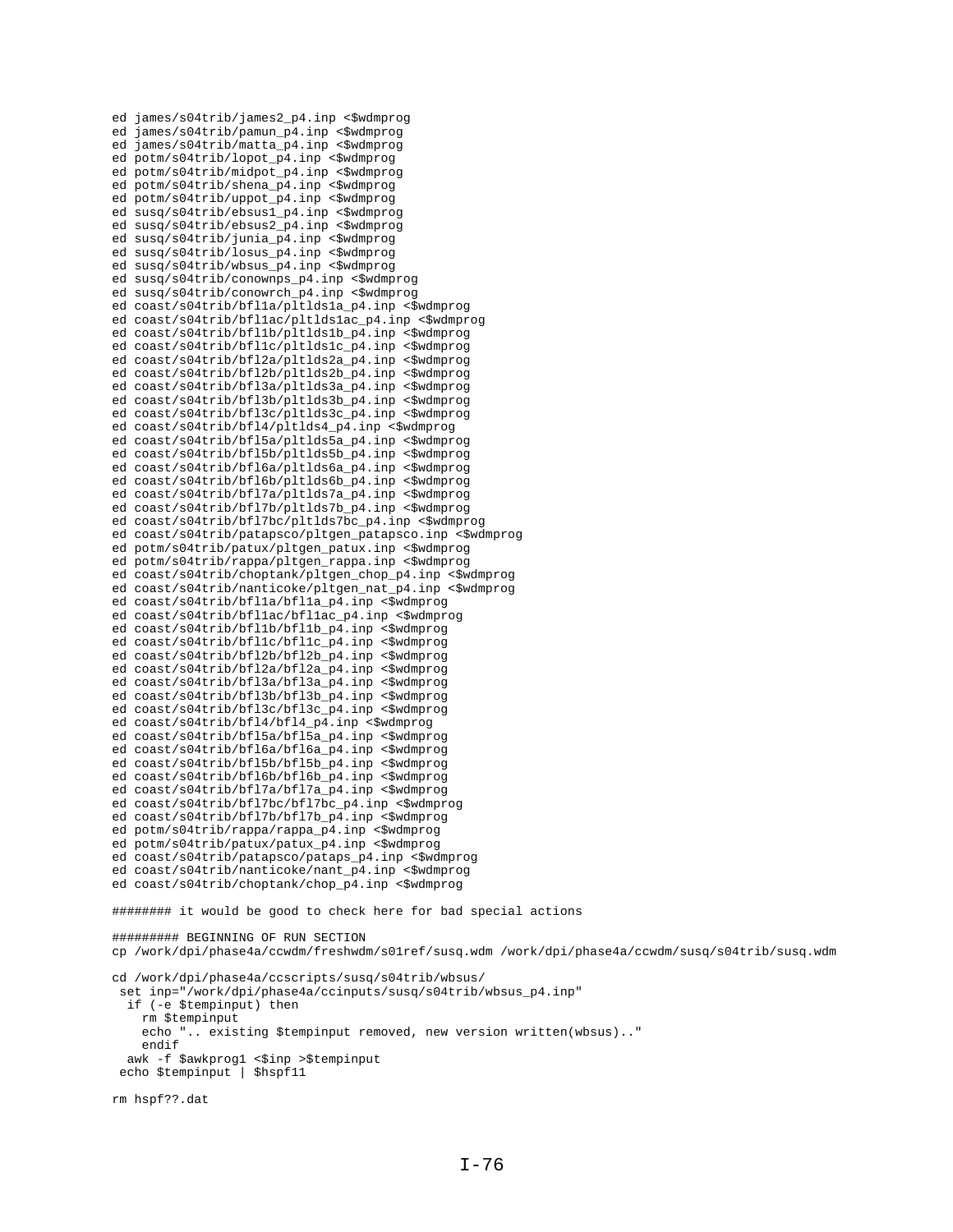```
ed james/s04trib/james2_p4.inp <$wdmprog
ed james/s04trib/pamun_p4.inp <$wdmprog
ed james/s04trib/matta_p4.inp <$wdmprog
ed potm/s04trib/lopot_p4.inp <$wdmprog
ed potm/s04trib/midpot_p4.inp <$wdmprog
ed potm/s04trib/shena_p4.inp <$wdmprog
ed potm/s04trib/uppot_p4.inp <$wdmprog
ed susq/s04trib/ebsus1_p4.inp <$wdmprog
ed susq/s04trib/ebsus2_p4.inp <$wdmprog
ed susq/s04trib/junia p4.inp <$wdmprog
ed susq/s04trib/losus_p4.inp <$wdmprog
ed susq/s04trib/wbsus_p4.inp <$wdmprog
ed susq/s04trib/conownps_p4.inp <$wdmprog
ed susq/s04trib/conowrch_p4.inp <$wdmprog
ed coast/s04trib/bfl1a/pltlds1a_p4.inp <$wdmprog
ed coast/s04trib/bfllac/pltldslac p4.inp <$wdmprog
ed coast/s04trib/bfl1b/pltlds1b_p4.inp <$wdmprog
ed coast/s04trib/bfl1c/pltlds1c p4.inp <$wdmprog
ed coast/s04trib/bfl2a/pltlds2a_p4.inp <$wdmprog
ed coast/s04trib/bfl2b/pltlds2b_p4.inp <$wdmprog
ed coast/s04trib/bfl3a/pltlds3a_p4.inp <$wdmprog
ed coast/s04trib/bfl3b/pltlds3b_p4.inp <$wdmprog
ed coast/s04trib/bfl3c/pltlds3c_p4.inp <$wdmprog
ed coast/s04trib/bfl4/pltlds4_p4.inp <$wdmprog
ed coast/s04trib/bfl5a/pltlds5a_p4.inp <$wdmprog
ed coast/s04trib/bfl5b/pltlds5b_p4.inp <$wdmprog
ed coast/s04trib/bfl6a/pltlds6a_p4.inp <$wdmprog
ed coast/s04trib/bfl6b/pltlds6b_p4.inp <$wdmprog
ed coast/s04trib/bfl7a/pltlds7a_p4.inp <$wdmprog
ed coast/s04trib/bfl7b/pltlds7b_p4.inp <$wdmprog
ed coast/s04trib/bfl7bc/pltlds7bc_p4.inp <$wdmprog
ed coast/s04trib/patapsco/pltgen_patapsco.inp <$wdmprog
ed potm/s04trib/patux/pltgen_patux.inp <$wdmprog
ed potm/s04trib/rappa/pltgen_rappa.inp <$wdmprog
ed coast/s04trib/choptank/pltgen_chop_p4.inp <$wdmprog
ed coast/s04trib/nanticoke/pltgen_nat_p4.inp <$wdmprog
ed coast/s04trib/bfl1a/bfl1a_p4.inp <$wdmprog
ed coast/s04trib/bfl1ac/bfl1ac_p4.inp <$wdmprog
ed coast/s04trib/bfl1b/bfl1b p4.inp <$wdmprog
ed coast/s04trib/bfl1c/bfl1c_p4.inp <$wdmprog
ed coast/s04trib/bfl2b/bfl2b_p4.inp <$wdmprog
ed coast/s04trib/bfl2a/bfl2a_p4.inp <$wdmprog
ed coast/s04trib/bfl3a/bfl3a_p4.inp <$wdmprog
ed coast/s04trib/bfl3b/bfl3b_p4.inp <$wdmprog
ed coast/s04trib/bfl3c/bfl3c_p4.inp <$wdmprog
ed coast/s04trib/bfl4/bfl4_p4.inp <$wdmprog
ed coast/s04trib/bfl5a/bfl5a_p4.inp <$wdmprog
ed coast/s04trib/bfl6a/bfl6a_p4.inp <$wdmprog
ed coast/s04trib/bfl5b/bfl5b_p4.inp <$wdmprog
ed coast/s04trib/bfl6b/bfl6b_p4.inp <$wdmprog
ed coast/s04trib/bfl7a/bfl7a_p4.inp <$wdmprog
ed coast/s04trib/bfl7bc/bfl7bc_p4.inp <$wdmprog
ed coast/s04trib/bfl7b/bfl7b_p4.inp <$wdmprog
ed potm/s04trib/rappa/rappa_p4.inp <$wdmprog
ed potm/s04trib/patux/patux_p4.inp <$wdmprog
ed coast/s04trib/patapsco/pataps_p4.inp <$wdmprog
ed coast/s04trib/nanticoke/nant_p4.inp <$wdmprog
ed coast/s04trib/choptank/chop_p4.inp <$wdmprog
######## it would be good to check here for bad special actions
######### BEGINNING OF RUN SECTION
cp /work/dpi/phase4a/ccwdm/freshwdm/s01ref/susq.wdm /work/dpi/phase4a/ccwdm/susq/s04trib/susq.wdm
cd /work/dpi/phase4a/ccscripts/susq/s04trib/wbsus/
 set inp="/work/dpi/phase4a/ccinputs/susq/s04trib/wbsus_p4.inp"
  if (-e $tempinput) then
    rm $tempinput
     echo ".. existing $tempinput removed, new version written(wbsus).."
     endif
  awk -f $awkprog1 <$inp >$tempinput
 echo $tempinput | $hspf11
rm hspf??.dat
```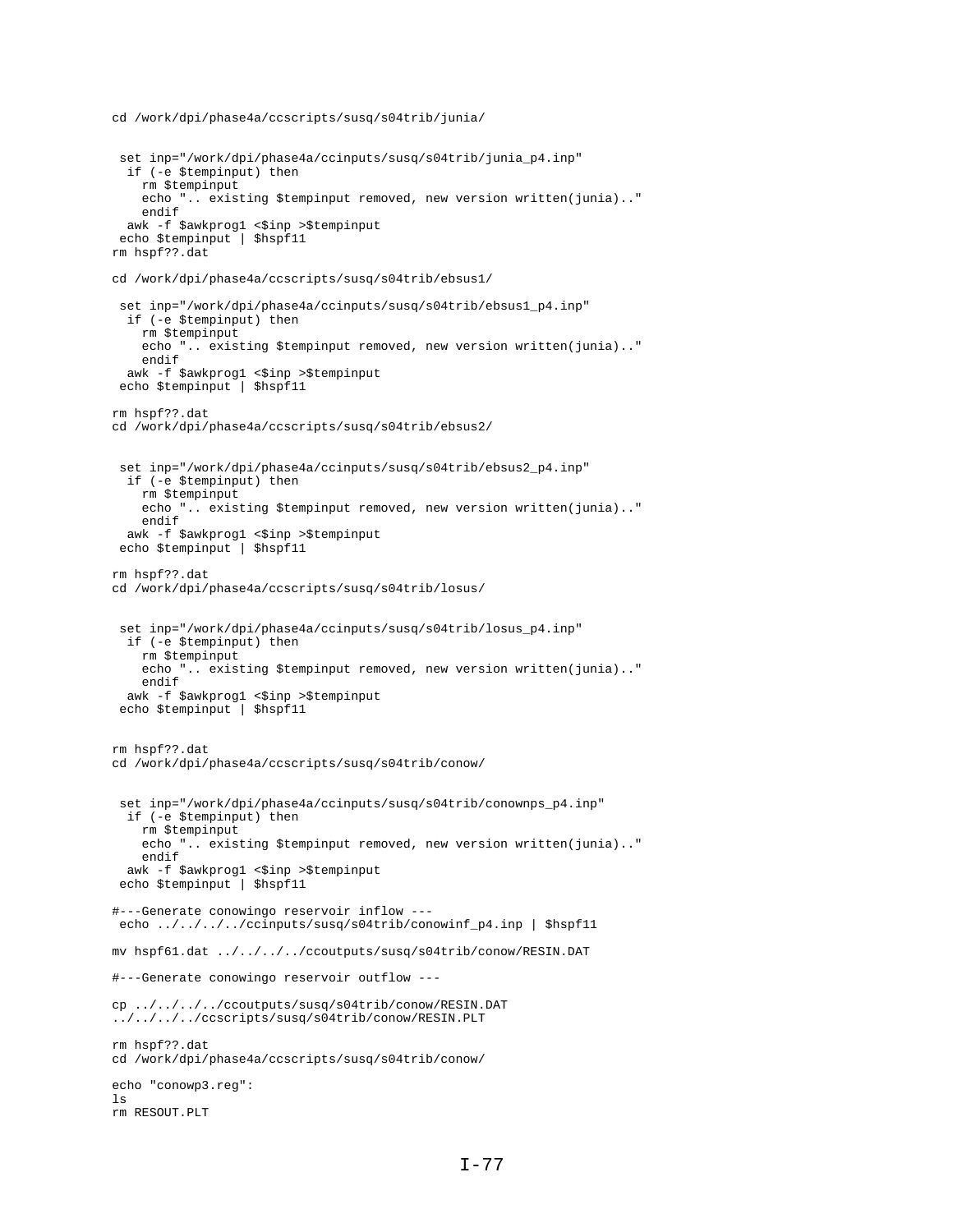```
cd /work/dpi/phase4a/ccscripts/susq/s04trib/junia/
```

```
 set inp="/work/dpi/phase4a/ccinputs/susq/s04trib/junia_p4.inp"
  if (-e $tempinput) then
    rm $tempinput
     echo ".. existing $tempinput removed, new version written(junia).."
    endif
 awk -f $awkprog1 <$inp >$tempinput
 echo $tempinput | $hspf11
rm hspf??.dat
cd /work/dpi/phase4a/ccscripts/susq/s04trib/ebsus1/
 set inp="/work/dpi/phase4a/ccinputs/susq/s04trib/ebsus1_p4.inp"
  if (-e $tempinput) then
    rm $tempinput
     echo ".. existing $tempinput removed, new version written(junia).."
     endif
 awk -f $awkprog1 <$inp >$tempinput
 echo $tempinput | $hspf11
rm hspf??.dat
cd /work/dpi/phase4a/ccscripts/susq/s04trib/ebsus2/
 set inp="/work/dpi/phase4a/ccinputs/susq/s04trib/ebsus2_p4.inp"
  if (-e $tempinput) then
     rm $tempinput
     echo ".. existing $tempinput removed, new version written(junia).."
    endif
awk -f $awkprog1 <$inp >$tempinput
 echo $tempinput | $hspf11
rm hspf??.dat
cd /work/dpi/phase4a/ccscripts/susq/s04trib/losus/
 set inp="/work/dpi/phase4a/ccinputs/susq/s04trib/losus_p4.inp"
  if (-e $tempinput) then
    rm $tempinput
     echo ".. existing $tempinput removed, new version written(junia).."
     endif
 awk -f $awkprog1 <$inp >$tempinput
 echo $tempinput | $hspf11
rm hspf??.dat
cd /work/dpi/phase4a/ccscripts/susq/s04trib/conow/
 set inp="/work/dpi/phase4a/ccinputs/susq/s04trib/conownps_p4.inp"
  if (-e $tempinput) then
    rm $tempinput
     echo ".. existing $tempinput removed, new version written(junia).."
     endif
awk -f $awkprog1 <$inp >$tempinput
 echo $tempinput | $hspf11
#---Generate conowingo reservoir inflow ---
echo ../../../../ccinputs/susq/s04trib/conowinf_p4.inp | $hspf11
mv hspf61.dat ../../../../ccoutputs/susq/s04trib/conow/RESIN.DAT
#---Generate conowingo reservoir outflow ---
cp ../../../../ccoutputs/susq/s04trib/conow/RESIN.DAT
../../../../ccscripts/susq/s04trib/conow/RESIN.PLT
rm hspf??.dat
cd /work/dpi/phase4a/ccscripts/susq/s04trib/conow/
echo "conowp3.reg":
ls
rm RESOUT.PLT
```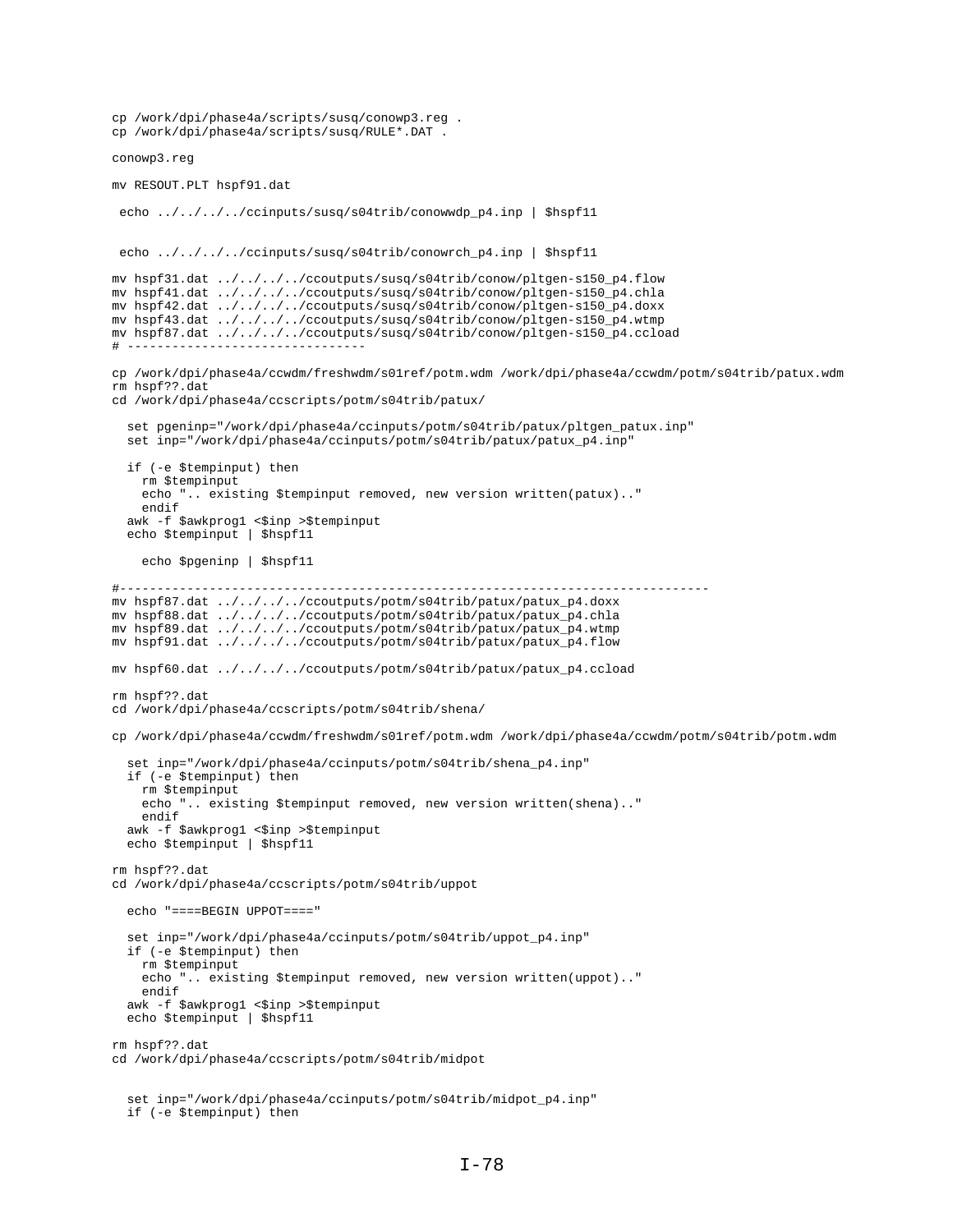```
cp /work/dpi/phase4a/scripts/susq/conowp3.reg .
cp /work/dpi/phase4a/scripts/susq/RULE*.DAT .
conowp3.reg
mv RESOUT.PLT hspf91.dat
  echo ../../../../ccinputs/susq/s04trib/conowwdp_p4.inp | $hspf11
 echo ../../../../ccinputs/susq/s04trib/conowrch_p4.inp | $hspf11
mv hspf31.dat ../../../../ccoutputs/susq/s04trib/conow/pltgen-s150_p4.flow
mv hspf41.dat ../../../../ccoutputs/susq/s04trib/conow/pltgen-s150_p4.chla
mv hspf42.dat ../../../../ccoutputs/susq/s04trib/conow/pltgen-s150_p4.doxx
mv hspf43.dat ../../../../ccoutputs/susq/s04trib/conow/pltgen-s150_p4.wtmp
mv hspf87.dat ../../../../ccoutputs/susq/s04trib/conow/pltgen-s150_p4.ccload
# --------------------------------
cp /work/dpi/phase4a/ccwdm/freshwdm/s01ref/potm.wdm /work/dpi/phase4a/ccwdm/potm/s04trib/patux.wdm
rm hspf??.dat
cd /work/dpi/phase4a/ccscripts/potm/s04trib/patux/
   set pgeninp="/work/dpi/phase4a/ccinputs/potm/s04trib/patux/pltgen_patux.inp"
   set inp="/work/dpi/phase4a/ccinputs/potm/s04trib/patux/patux_p4.inp"
   if (-e $tempinput) then
     rm $tempinput
     echo ".. existing $tempinput removed, new version written(patux).."
     endif
  awk -f $awkprog1 <$inp >$tempinput
   echo $tempinput | $hspf11
     echo $pgeninp | $hspf11
#-------------------------------------------------------------------------------
mv hspf87.dat ../../../../ccoutputs/potm/s04trib/patux/patux_p4.doxx
mv hspf88.dat ../../../../ccoutputs/potm/s04trib/patux/patux_p4.chla
mv hspf89.dat \ldots/\ldots/\ldots/ccoutputs/potm/s04trib/patux/patux_p4.wtmp
mv hspf91.dat ../../../../ccoutputs/potm/s04trib/patux/patux_p4.flow
mv hspf60.dat ../../../../ccoutputs/potm/s04trib/patux/patux_p4.ccload
rm hspf??.dat
cd /work/dpi/phase4a/ccscripts/potm/s04trib/shena/
cp /work/dpi/phase4a/ccwdm/freshwdm/s01ref/potm.wdm /work/dpi/phase4a/ccwdm/potm/s04trib/potm.wdm
   set inp="/work/dpi/phase4a/ccinputs/potm/s04trib/shena_p4.inp"
   if (-e $tempinput) then
     rm $tempinput
     echo ".. existing $tempinput removed, new version written(shena).."
     endif
  awk -f $awkprog1 <$inp >$tempinput
   echo $tempinput | $hspf11
rm hspf??.dat
cd /work/dpi/phase4a/ccscripts/potm/s04trib/uppot
   echo "====BEGIN UPPOT===="
   set inp="/work/dpi/phase4a/ccinputs/potm/s04trib/uppot_p4.inp"
   if (-e $tempinput) then
    rm $tempinput
     echo ".. existing $tempinput removed, new version written(uppot).."
     endif
  awk -f $awkprog1 <$inp >$tempinput
  echo $tempinput | $hspf11
rm hspf??.dat
cd /work/dpi/phase4a/ccscripts/potm/s04trib/midpot
   set inp="/work/dpi/phase4a/ccinputs/potm/s04trib/midpot_p4.inp"
```

```
 if (-e $tempinput) then
```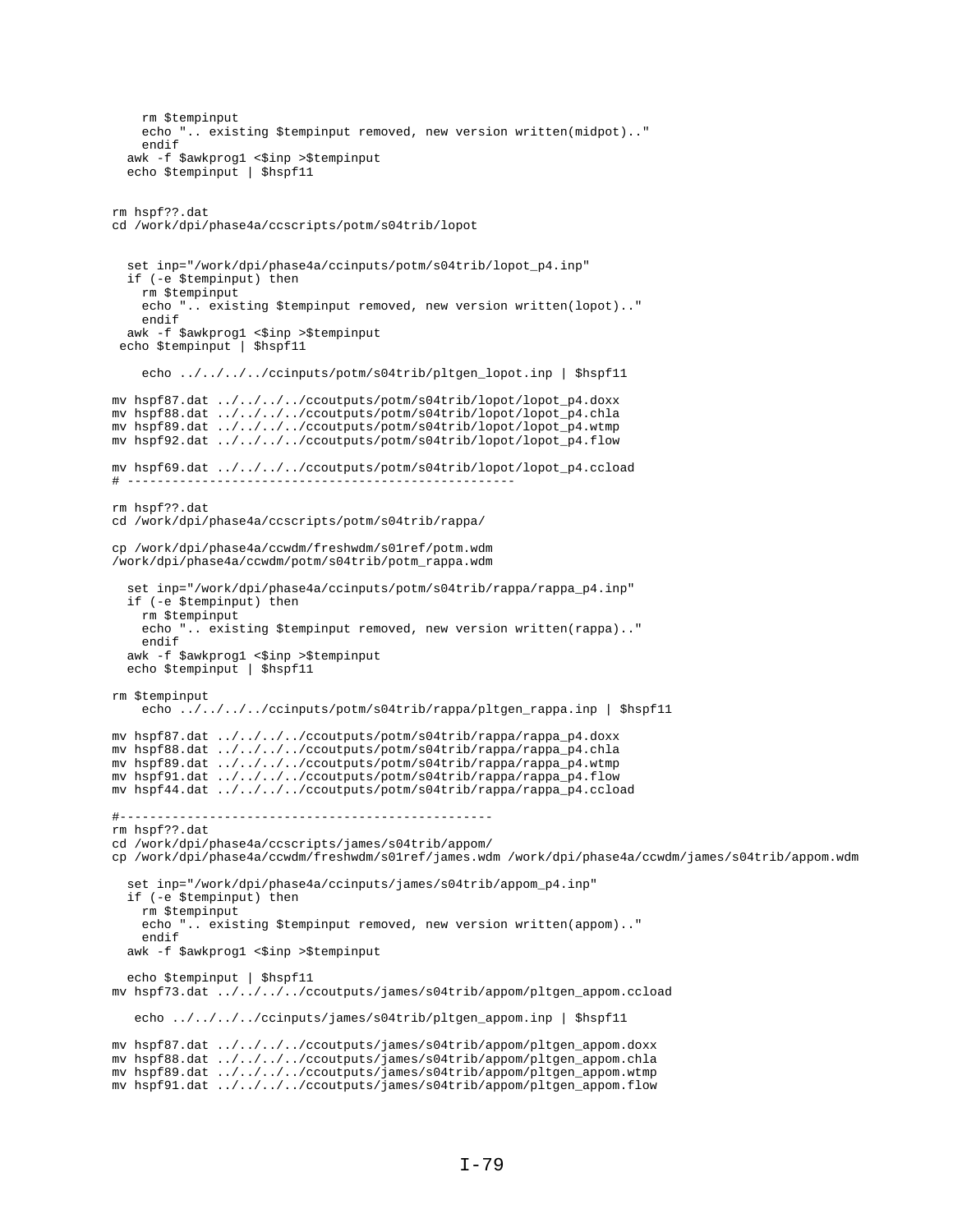```
 rm $tempinput
     echo ".. existing $tempinput removed, new version written(midpot).."
     endif
  awk -f $awkprog1 <$inp >$tempinput
   echo $tempinput | $hspf11
rm hspf??.dat
cd /work/dpi/phase4a/ccscripts/potm/s04trib/lopot
   set inp="/work/dpi/phase4a/ccinputs/potm/s04trib/lopot_p4.inp"
   if (-e $tempinput) then
     rm $tempinput
     echo ".. existing $tempinput removed, new version written(lopot).."
     endif
  awk -f $awkprog1 <$inp >$tempinput
 echo $tempinput | $hspf11
     echo ../../../../ccinputs/potm/s04trib/pltgen_lopot.inp | $hspf11
mv hspf87.dat ../../../../ccoutputs/potm/s04trib/lopot/lopot_p4.doxx
mv hspf88.dat ../../../../ccoutputs/potm/s04trib/lopot/lopot_p4.chla
mv hspf89.dat ../../../../ccoutputs/potm/s04trib/lopot/lopot_p4.wtmp
mv hspf92.dat ../../../../ccoutputs/potm/s04trib/lopot/lopot_p4.flow
mv hspf69.dat ../../../../ccoutputs/potm/s04trib/lopot/lopot_p4.ccload
# ----------------------------------------------------
rm hspf??.dat
cd /work/dpi/phase4a/ccscripts/potm/s04trib/rappa/
cp /work/dpi/phase4a/ccwdm/freshwdm/s01ref/potm.wdm
/work/dpi/phase4a/ccwdm/potm/s04trib/potm_rappa.wdm
   set inp="/work/dpi/phase4a/ccinputs/potm/s04trib/rappa/rappa_p4.inp"
   if (-e $tempinput) then
     rm $tempinput
     echo ".. existing $tempinput removed, new version written(rappa).."
     endif
  awk -f $awkprog1 <$inp >$tempinput
   echo $tempinput | $hspf11
rm $tempinput
     echo ../../../../ccinputs/potm/s04trib/rappa/pltgen_rappa.inp | $hspf11
mv hspf87.dat ../../../../ccoutputs/potm/s04trib/rappa/rappa_p4.doxx
mv hspf88.dat ../../../../ccoutputs/potm/s04trib/rappa/rappa_p4.chla
mv hspf89.dat ../../../../ccoutputs/potm/s04trib/rappa/rappa_p4.wtmp
mv hspf91.dat ../../../../ccoutputs/potm/s04trib/rappa/rappa_p4.flow
mv hspf44.dat ../../../../ccoutputs/potm/s04trib/rappa/rappa_p4.ccload
#--------------------------------------------------
rm hspf??.dat
cd /work/dpi/phase4a/ccscripts/james/s04trib/appom/
cp /work/dpi/phase4a/ccwdm/freshwdm/s01ref/james.wdm /work/dpi/phase4a/ccwdm/james/s04trib/appom.wdm
   set inp="/work/dpi/phase4a/ccinputs/james/s04trib/appom_p4.inp"
   if (-e $tempinput) then
     rm $tempinput
     echo ".. existing $tempinput removed, new version written(appom).."
     endif
  awk -f $awkprog1 <$inp >$tempinput
   echo $tempinput | $hspf11
mv hspf73.dat ../../../../ccoutputs/james/s04trib/appom/pltgen_appom.ccload
   echo ../../../../ccinputs/james/s04trib/pltgen_appom.inp | $hspf11
mv hspf87.dat ../../../../ccoutputs/james/s04trib/appom/pltgen_appom.doxx
mv hspf88.dat ../../../../ccoutputs/james/s04trib/appom/pltgen_appom.chla
mv hspf89.dat ../../../../ccoutputs/james/s04trib/appom/pltgen_appom.wtmp
mv hspf91.dat ../../../../ccoutputs/james/s04trib/appom/pltgen_appom.flow
```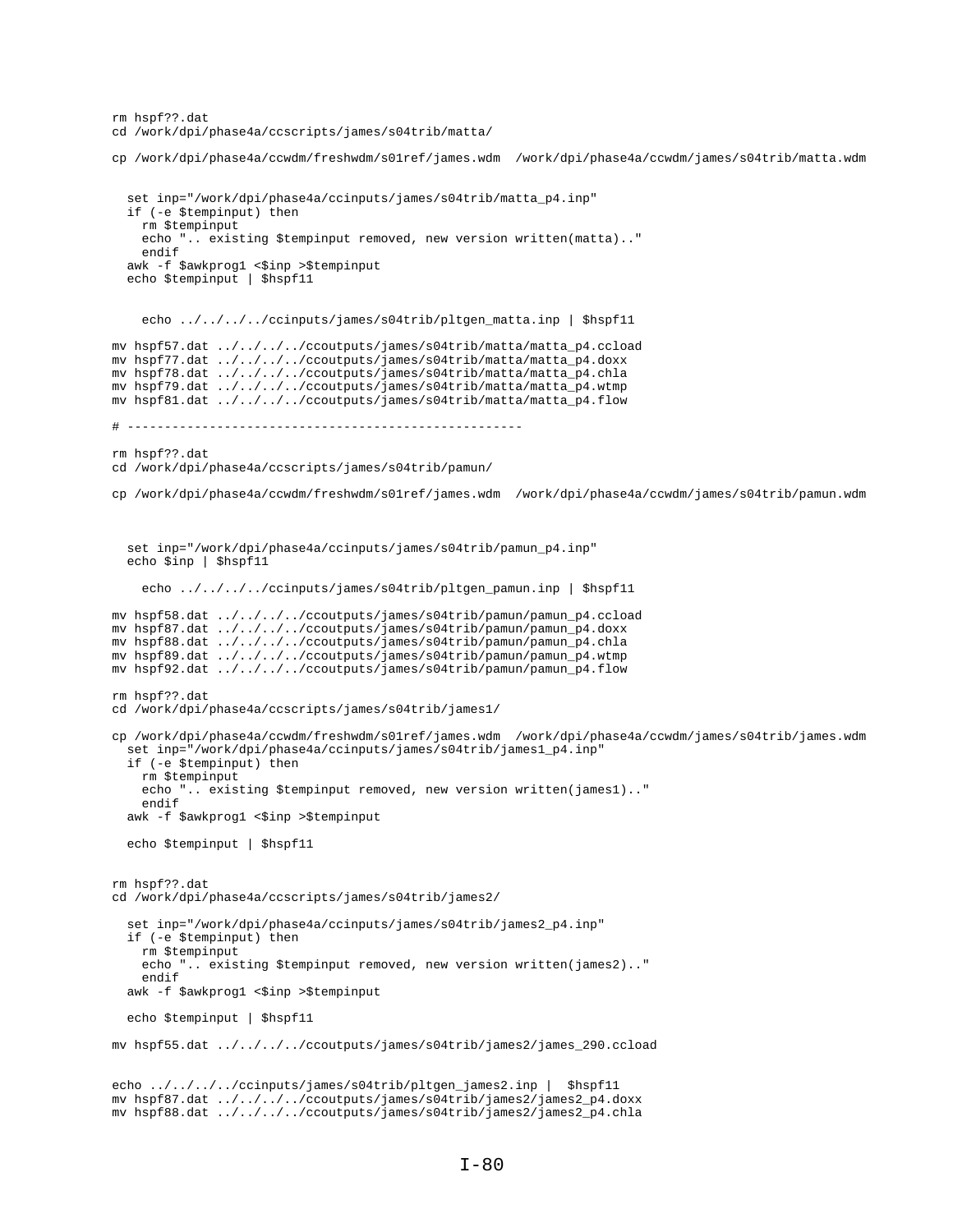```
rm hspf??.dat
cd /work/dpi/phase4a/ccscripts/james/s04trib/matta/
cp /work/dpi/phase4a/ccwdm/freshwdm/s01ref/james.wdm /work/dpi/phase4a/ccwdm/james/s04trib/matta.wdm
   set inp="/work/dpi/phase4a/ccinputs/james/s04trib/matta_p4.inp"
   if (-e $tempinput) then
    rm $tempinput
     echo ".. existing $tempinput removed, new version written(matta).."
    endif
  awk -f $awkprog1 <$inp >$tempinput
   echo $tempinput | $hspf11
    echo ../../../../ccinputs/james/s04trib/pltgen matta.inp | $hspf11
mv hspf57.dat ../../../../ccoutputs/james/s04trib/matta/matta_p4.ccload
mv hspf77.dat ../../../../ccoutputs/james/s04trib/matta/matta_p4.doxx
mv hspf78.dat ../../../../ccoutputs/james/s04trib/matta/matta_p4.chla
mv hspf79.dat ../../../../ccoutputs/james/s04trib/matta/matta_p4.wtmp
mv hspf81.dat ../../../../ccoutputs/james/s04trib/matta/matta_p4.flow
# -----------------------------------------------------
rm hspf??.dat
cd /work/dpi/phase4a/ccscripts/james/s04trib/pamun/ 
cp /work/dpi/phase4a/ccwdm/freshwdm/s01ref/james.wdm /work/dpi/phase4a/ccwdm/james/s04trib/pamun.wdm
   set inp="/work/dpi/phase4a/ccinputs/james/s04trib/pamun_p4.inp"
   echo $inp | $hspf11
    echo ../../../../ccinputs/james/s04trib/pltgen_pamun.inp | $hspf11
mv hspf58.dat ../../../../ccoutputs/james/s04trib/pamun/pamun_p4.ccload
mv hspf87.dat ../../../../ccoutputs/james/s04trib/pamun/pamun_p4.doxx
mv hspf88.dat ../../../../ccoutputs/james/s04trib/pamun/pamun_p4.chla
mv hspf89.dat ../../../../ccoutputs/james/s04trib/pamun/pamun_p4.wtmp
mv hspf92.dat ../../../../ccoutputs/james/s04trib/pamun/pamun_p4.flow
rm hspf??.dat
cd /work/dpi/phase4a/ccscripts/james/s04trib/james1/
cp /work/dpi/phase4a/ccwdm/freshwdm/s01ref/james.wdm /work/dpi/phase4a/ccwdm/james/s04trib/james.wdm
   set inp="/work/dpi/phase4a/ccinputs/james/s04trib/james1_p4.inp"
   if (-e $tempinput) then
     rm $tempinput
     echo ".. existing $tempinput removed, new version written(james1).."
     endif
  awk -f $awkprog1 <$inp >$tempinput
   echo $tempinput | $hspf11
rm hspf??.dat
cd /work/dpi/phase4a/ccscripts/james/s04trib/james2/
   set inp="/work/dpi/phase4a/ccinputs/james/s04trib/james2_p4.inp"
   if (-e $tempinput) then
     rm $tempinput
     echo ".. existing $tempinput removed, new version written(james2).."
     endif
  awk -f $awkprog1 <$inp >$tempinput
   echo $tempinput | $hspf11
mv hspf55.dat ../../../../ccoutputs/james/s04trib/james2/james_290.ccload
echo ../../../../ccinputs/james/s04trib/pltgen_james2.inp | $hspf11
mv hspf87.dat ../../../../ccoutputs/james/s04trib/james2/james2_p4.doxx
mv hspf88.dat ../../../../ccoutputs/james/s04trib/james2/james2_p4.chla
```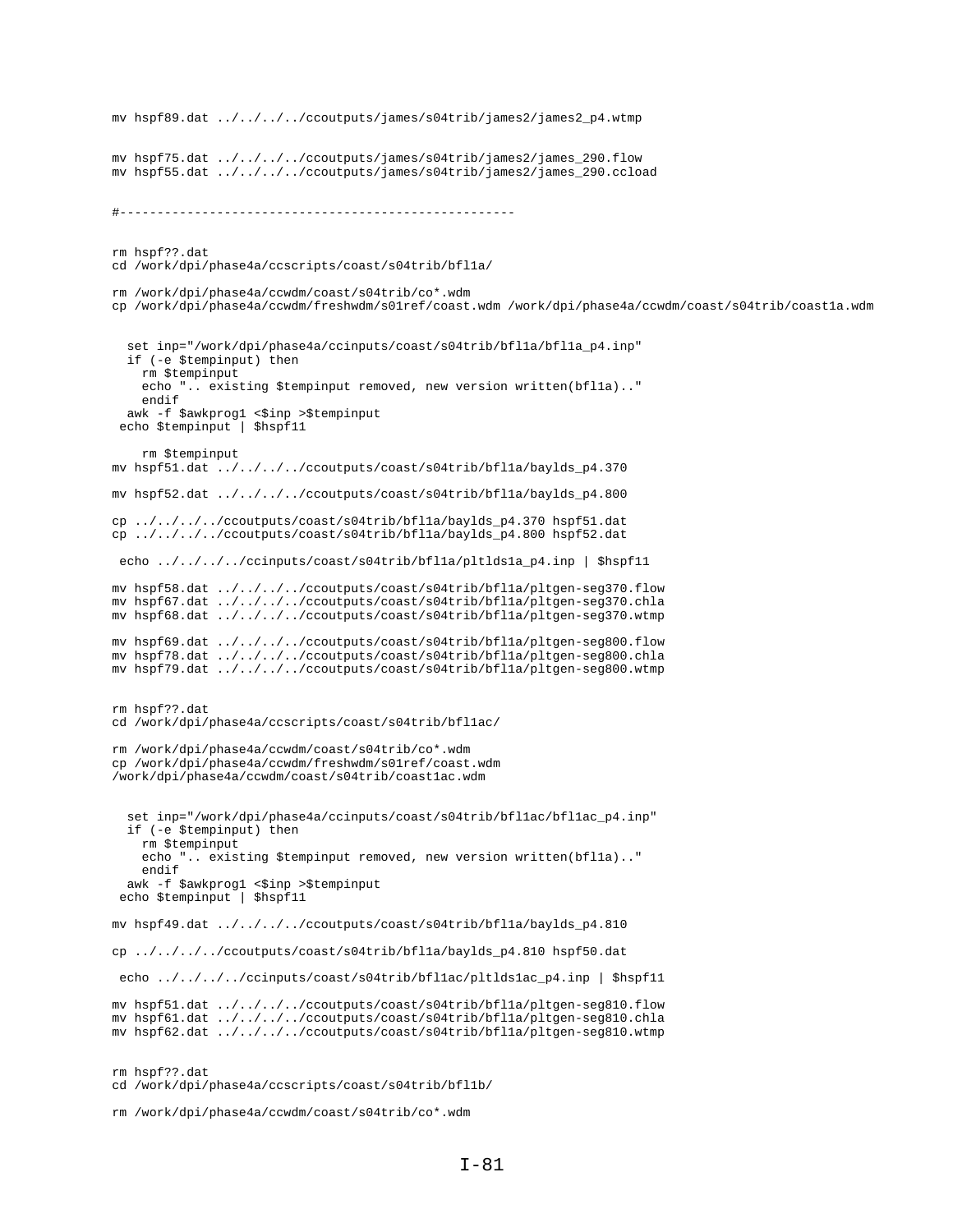```
mv hspf89.dat ../../../../ccoutputs/james/s04trib/james2/james2_p4.wtmp
mv hspf75.dat \ldots/\ldots/\ldots/ccoutputs/james/s04trib/james2/james_290.flow
mv hspf55.dat ../../../../ccoutputs/james/s04trib/james2/james_290.ccload
#-----------------------------------------------------
rm hspf??.dat
cd /work/dpi/phase4a/ccscripts/coast/s04trib/bfl1a/
rm /work/dpi/phase4a/ccwdm/coast/s04trib/co*.wdm
cp /work/dpi/phase4a/ccwdm/freshwdm/s01ref/coast.wdm /work/dpi/phase4a/ccwdm/coast/s04trib/coast1a.wdm
  set inp="/work/dpi/phase4a/ccinputs/coast/s04trib/bflla/bflla_p4.inp"
   if (-e $tempinput) then
    rm $tempinput
   echo ".. existing $tempinput removed, new version written(bflla).."
    endif
 awk -f $awkprog1 <$inp >$tempinput
 echo $tempinput | $hspf11
    rm $tempinput
mv hspf51.dat ../../../../ccoutputs/coast/s04trib/bfl1a/baylds_p4.370
mv hspf52.dat ../../../../ccoutputs/coast/s04trib/bfl1a/baylds_p4.800
cp ../../../../ccoutputs/coast/s04trib/bfl1a/baylds_p4.370 hspf51.dat
cp ../../../../ccoutputs/coast/s04trib/bfl1a/baylds_p4.800 hspf52.dat
 echo ../../../../ccinputs/coast/s04trib/bfl1a/pltlds1a_p4.inp | $hspf11
mv hspf58.dat ../../../../ccoutputs/coast/s04trib/bfl1a/pltgen-seg370.flow
mv hspf67.dat ../../../../ccoutputs/coast/s04trib/bfl1a/pltgen-seg370.chla
mv hspf68.dat ../../../../ccoutputs/coast/s04trib/bfl1a/pltgen-seg370.wtmp
mv hspf69.dat ../../../../ccoutputs/coast/s04trib/bfl1a/pltgen-seg800.flow
mv hspf78.dat ../../../../ccoutputs/coast/s04trib/bfl1a/pltgen-seg800.chla
mv hspf79.dat ../../../../ccoutputs/coast/s04trib/bfl1a/pltgen-seg800.wtmp
rm hspf??.dat
cd /work/dpi/phase4a/ccscripts/coast/s04trib/bfl1ac/
rm /work/dpi/phase4a/ccwdm/coast/s04trib/co*.wdm
cp /work/dpi/phase4a/ccwdm/freshwdm/s01ref/coast.wdm
/work/dpi/phase4a/ccwdm/coast/s04trib/coast1ac.wdm
   set inp="/work/dpi/phase4a/ccinputs/coast/s04trib/bfl1ac/bfl1ac_p4.inp"
   if (-e $tempinput) then
    rm $tempinput
    echo ".. existing $tempinput removed, new version written(bfl1a).."
    endif
 awk -f $awkprog1 <$inp >$tempinput
 echo $tempinput | $hspf11
mv hspf49.dat ../../../../ccoutputs/coast/s04trib/bfl1a/baylds_p4.810
cp ../../../../ccoutputs/coast/s04trib/bfl1a/baylds_p4.810 hspf50.dat
 echo ../../../../ccinputs/coast/s04trib/bfl1ac/pltlds1ac_p4.inp | $hspf11
mv hspf51.dat ../../../../ccoutputs/coast/s04trib/bfl1a/pltgen-seg810.flow
mv hspf61.dat ../../../../ccoutputs/coast/s04trib/bfl1a/pltgen-seg810.chla
mv hspf62.dat ../../../../ccoutputs/coast/s04trib/bfl1a/pltgen-seg810.wtmp
rm hspf??.dat
cd /work/dpi/phase4a/ccscripts/coast/s04trib/bfl1b/
```

```
rm /work/dpi/phase4a/ccwdm/coast/s04trib/co*.wdm
```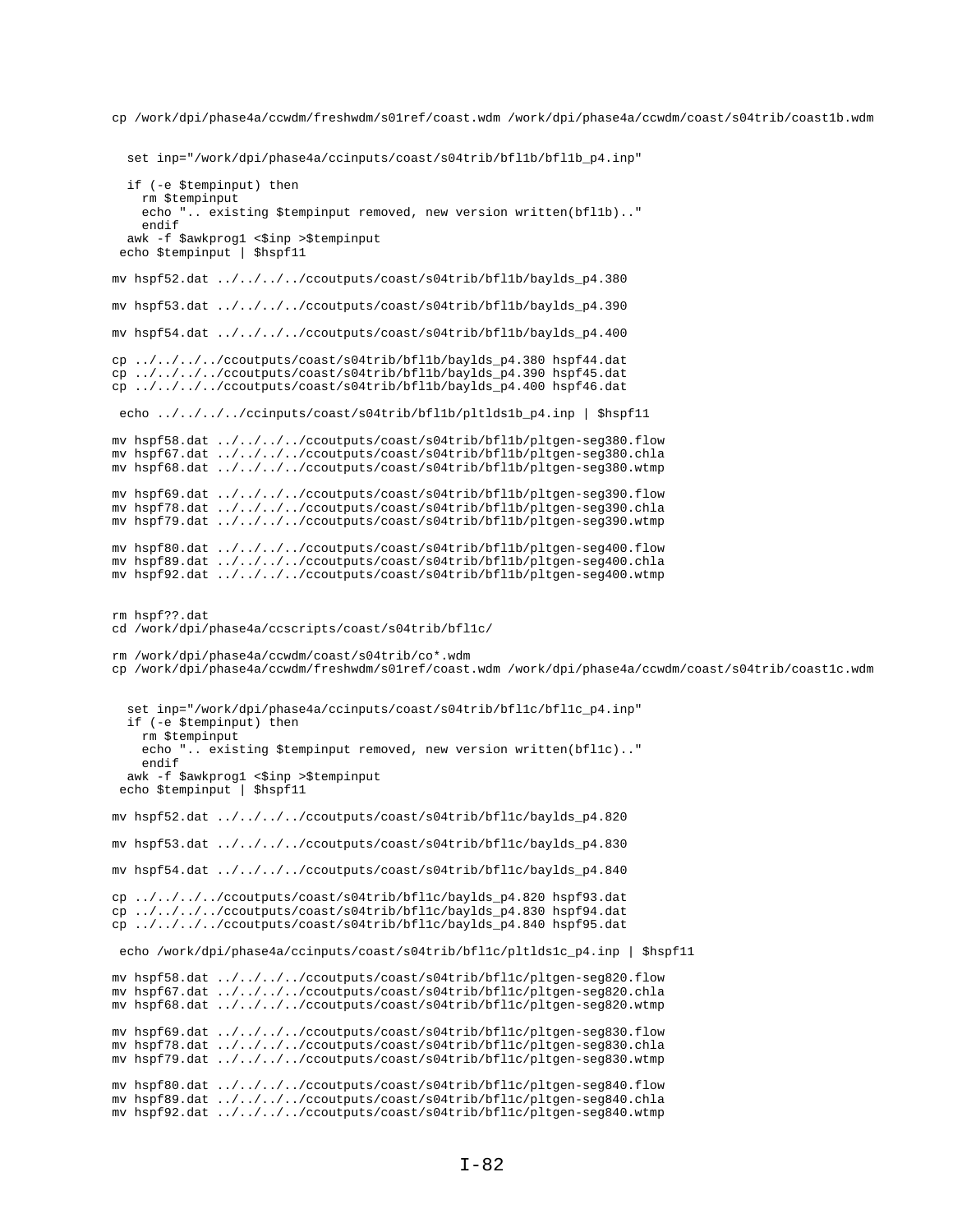cp /work/dpi/phase4a/ccwdm/freshwdm/s01ref/coast.wdm /work/dpi/phase4a/ccwdm/coast/s04trib/coast1b.wdm

set inp="/work/dpi/phase4a/ccinputs/coast/s04trib/bfl1b/bfl1b\_p4.inp"

```
 if (-e $tempinput) then
     rm $tempinput
     echo ".. existing $tempinput removed, new version written(bfl1b).."
     endif
  awk -f $awkprog1 <$inp >$tempinput
  echo $tempinput | $hspf11
mv hspf52.dat ../../../../ccoutputs/coast/s04trib/bfl1b/baylds_p4.380
mv hspf53.dat ../../../../ccoutputs/coast/s04trib/bfl1b/baylds_p4.390
mv hspf54.dat ../../../../ccoutputs/coast/s04trib/bfl1b/baylds_p4.400
cp ../../../../ccoutputs/coast/s04trib/bfl1b/baylds_p4.380 hspf44.dat
cp ../../../../ccoutputs/coast/s04trib/bfl1b/baylds_p4.390 hspf45.dat
cp ../../../../ccoutputs/coast/s04trib/bfl1b/baylds_p4.400 hspf46.dat
  echo ../../../../ccinputs/coast/s04trib/bfl1b/pltlds1b_p4.inp | $hspf11
mv hspf58.dat ../../../../ccoutputs/coast/s04trib/bfl1b/pltgen-seg380.flow
mv hspf67.dat ../../../../ccoutputs/coast/s04trib/bfl1b/pltgen-seg380.chla
mv hspf68.dat ../../../../ccoutputs/coast/s04trib/bfl1b/pltgen-seg380.wtmp
mv hspf69.dat ../../../../ccoutputs/coast/s04trib/bfl1b/pltgen-seg390.flow
mv hspf78.dat ../../../../ccoutputs/coast/s04trib/bfl1b/pltgen-seg390.chla
mv hspf79.dat ../../../../ccoutputs/coast/s04trib/bfl1b/pltgen-seg390.wtmp
mv hspf80.dat ../../../../ccoutputs/coast/s04trib/bfl1b/pltgen-seg400.flow
mv hspf89.dat ../../../../ccoutputs/coast/s04trib/bfl1b/pltgen-seg400.chla
mv hspf92.dat ../../../../ccoutputs/coast/s04trib/bfl1b/pltgen-seg400.wtmp
rm hspf??.dat
cd /work/dpi/phase4a/ccscripts/coast/s04trib/bfl1c/
rm /work/dpi/phase4a/ccwdm/coast/s04trib/co*.wdm
cp /work/dpi/phase4a/ccwdm/freshwdm/s01ref/coast.wdm /work/dpi/phase4a/ccwdm/coast/s04trib/coast1c.wdm
   set inp="/work/dpi/phase4a/ccinputs/coast/s04trib/bfl1c/bfl1c_p4.inp"
   if (-e $tempinput) then
    rm $tempinput
     echo ".. existing $tempinput removed, new version written(bfl1c).."
     endif
  awk -f $awkprog1 <$inp >$tempinput
 echo $tempinput | $hspf11
mv hspf52.dat ../../../../ccoutputs/coast/s04trib/bfl1c/baylds_p4.820
mv hspf53.dat ../../../../ccoutputs/coast/s04trib/bfl1c/baylds_p4.830
mv hspf54.dat ../../../../ccoutputs/coast/s04trib/bfl1c/baylds_p4.840
cp ../../../../ccoutputs/coast/s04trib/bfl1c/baylds_p4.820 hspf93.dat
cp ../../../../ccoutputs/coast/s04trib/bfl1c/baylds_p4.830 hspf94.dat
cp ../../../../ccoutputs/coast/s04trib/bfl1c/baylds_p4.840 hspf95.dat
 echo /work/dpi/phase4a/ccinputs/coast/s04trib/bfl1c/pltlds1c_p4.inp | $hspf11
mv hspf58.dat ../../../../ccoutputs/coast/s04trib/bfl1c/pltgen-seg820.flow
mv hspf67.dat ../../../../ccoutputs/coast/s04trib/bfl1c/pltgen-seg820.chla
mv hspf68.dat ../../../../ccoutputs/coast/s04trib/bfl1c/pltgen-seg820.wtmp
mv hspf69.dat ../../../../ccoutputs/coast/s04trib/bfl1c/pltgen-seg830.flow
mv hspf78.dat ../../../../ccoutputs/coast/s04trib/bfl1c/pltgen-seg830.chla
mv hspf79.dat ../../../../ccoutputs/coast/s04trib/bfl1c/pltgen-seg830.wtmp
mv hspf80.dat ../../../../ccoutputs/coast/s04trib/bfl1c/pltgen-seg840.flow
mv hspf89.dat ../../../../ccoutputs/coast/s04trib/bfl1c/pltgen-seg840.chla
mv hspf92.dat ../../../../ccoutputs/coast/s04trib/bfl1c/pltgen-seg840.wtmp
```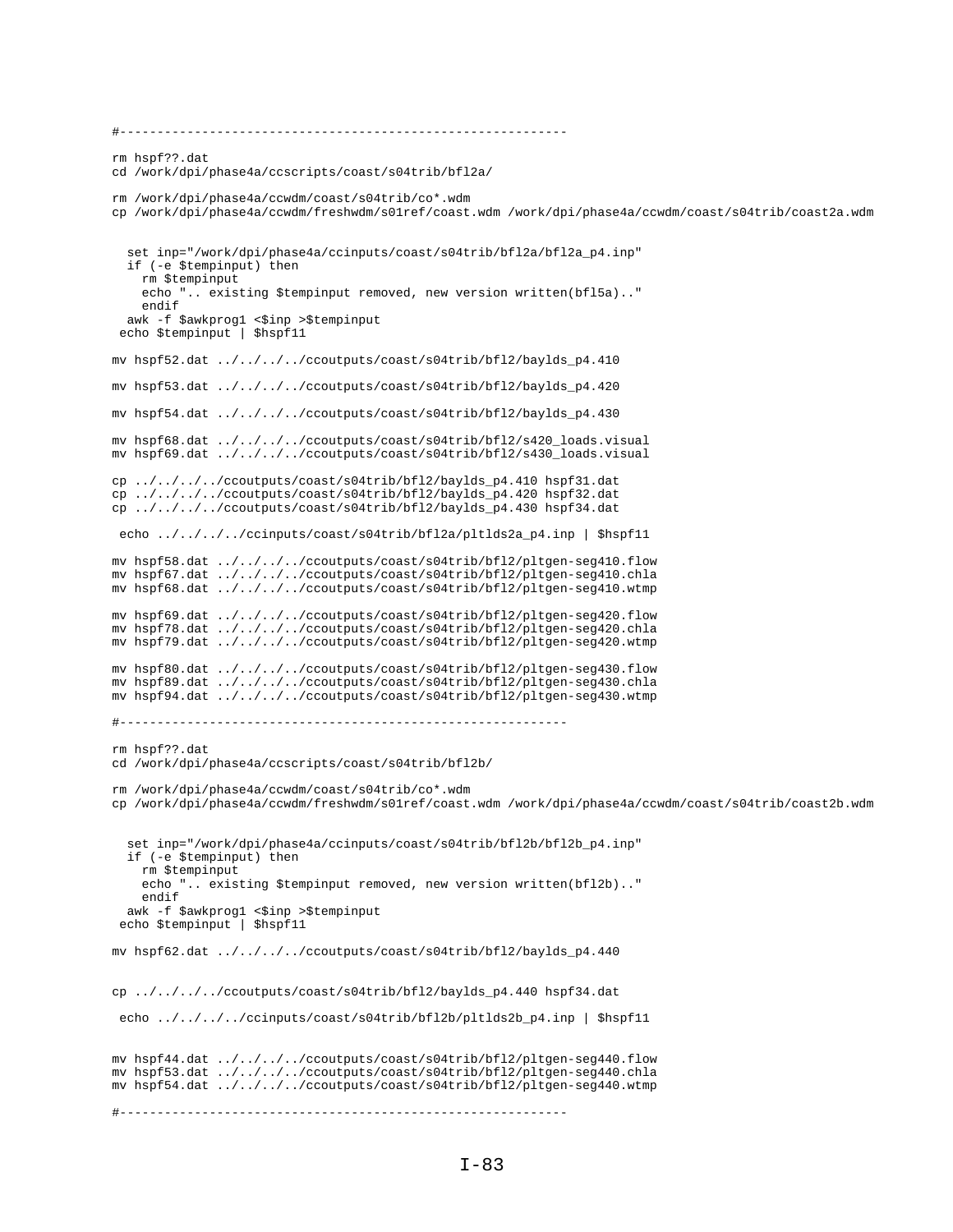```
#------------------------------------------------------------
rm hspf??.dat
cd /work/dpi/phase4a/ccscripts/coast/s04trib/bfl2a/
rm /work/dpi/phase4a/ccwdm/coast/s04trib/co*.wdm
cp /work/dpi/phase4a/ccwdm/freshwdm/s01ref/coast.wdm /work/dpi/phase4a/ccwdm/coast/s04trib/coast2a.wdm
   set inp="/work/dpi/phase4a/ccinputs/coast/s04trib/bfl2a/bfl2a_p4.inp"
   if (-e $tempinput) then
    rm $tempinput
    echo ".. existing $tempinput removed, new version written(bfl5a).."
     endif
  awk -f $awkprog1 <$inp >$tempinput
 echo $tempinput | $hspf11
mv hspf52.dat ../../../../ccoutputs/coast/s04trib/bfl2/baylds_p4.410
mv hspf53.dat ../../../../ccoutputs/coast/s04trib/bfl2/baylds_p4.420
mv hspf54.dat ../../../../ccoutputs/coast/s04trib/bfl2/baylds_p4.430
mv hspf68.dat ../../../../ccoutputs/coast/s04trib/bfl2/s420_loads.visual
mv hspf69.dat ../../../../ccoutputs/coast/s04trib/bfl2/s430_loads.visual
cp ../../../../ccoutputs/coast/s04trib/bfl2/baylds_p4.410 hspf31.dat
cp ../../../../ccoutputs/coast/s04trib/bfl2/baylds_p4.420 hspf32.dat
cp ../../../../ccoutputs/coast/s04trib/bfl2/baylds_p4.430 hspf34.dat 
 echo ../../../../ccinputs/coast/s04trib/bfl2a/pltlds2a_p4.inp | $hspf11
mv hspf58.dat ../../../../ccoutputs/coast/s04trib/bfl2/pltgen-seg410.flow
mv hspf67.dat ../../../../ccoutputs/coast/s04trib/bfl2/pltgen-seg410.chla
mv hspf68.dat ../../../../ccoutputs/coast/s04trib/bfl2/pltgen-seg410.wtmp
mv hspf69.dat ../../../../ccoutputs/coast/s04trib/bfl2/pltgen-seg420.flow
mv hspf78.dat ../../../../ccoutputs/coast/s04trib/bfl2/pltgen-seg420.chla
mv hspf79.dat ../../../../ccoutputs/coast/s04trib/bfl2/pltgen-seg420.wtmp
mv hspf80.dat ../../../../ccoutputs/coast/s04trib/bfl2/pltgen-seg430.flow
mv hspf89.dat ../../../../ccoutputs/coast/s04trib/bfl2/pltgen-seg430.chla
mv hspf94.dat ../../../../ccoutputs/coast/s04trib/bfl2/pltgen-seg430.wtmp
#------------------------------------------------------------
rm hspf??.dat
cd /work/dpi/phase4a/ccscripts/coast/s04trib/bfl2b/
rm /work/dpi/phase4a/ccwdm/coast/s04trib/co*.wdm
cp /work/dpi/phase4a/ccwdm/freshwdm/s01ref/coast.wdm /work/dpi/phase4a/ccwdm/coast/s04trib/coast2b.wdm
   set inp="/work/dpi/phase4a/ccinputs/coast/s04trib/bfl2b/bfl2b_p4.inp"
   if (-e $tempinput) then
    rm $tempinput
    echo ".. existing $tempinput removed, new version written(bfl2b).."
     endif
  awk -f $awkprog1 <$inp >$tempinput
 echo $tempinput | $hspf11
mv hspf62.dat ../../../../ccoutputs/coast/s04trib/bfl2/baylds_p4.440
cp ../../../../ccoutputs/coast/s04trib/bfl2/baylds_p4.440 hspf34.dat
 echo ../../../../ccinputs/coast/s04trib/bfl2b/pltlds2b_p4.inp | $hspf11 
mv hspf44.dat ../../../../ccoutputs/coast/s04trib/bfl2/pltgen-seg440.flow
mv hspf53.dat ../../../../ccoutputs/coast/s04trib/bfl2/pltgen-seg440.chla
mv hspf54.dat ../../../../ccoutputs/coast/s04trib/bfl2/pltgen-seg440.wtmp
#------------------------------------------------------------
```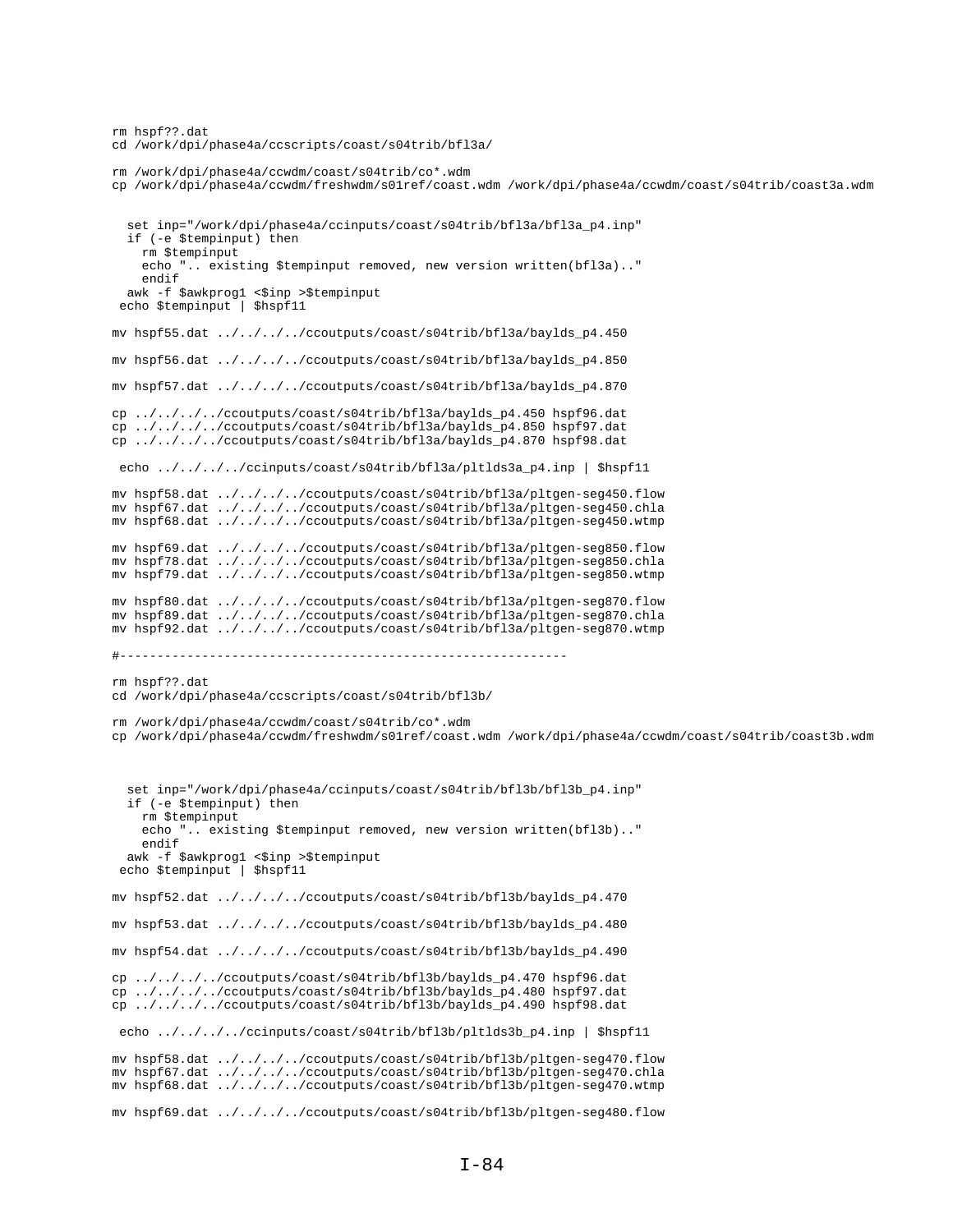```
rm hspf??.dat
cd /work/dpi/phase4a/ccscripts/coast/s04trib/bfl3a/
rm /work/dpi/phase4a/ccwdm/coast/s04trib/co*.wdm
cp /work/dpi/phase4a/ccwdm/freshwdm/s01ref/coast.wdm /work/dpi/phase4a/ccwdm/coast/s04trib/coast3a.wdm
   set inp="/work/dpi/phase4a/ccinputs/coast/s04trib/bfl3a/bfl3a_p4.inp"
   if (-e $tempinput) then
    rm $tempinput
     echo ".. existing $tempinput removed, new version written(bfl3a).."
     endif
  awk -f $awkprog1 <$inp >$tempinput
 echo $tempinput | $hspf11
mv hspf55.dat ../../../../ccoutputs/coast/s04trib/bfl3a/baylds_p4.450
mv hspf56.dat ../../../../ccoutputs/coast/s04trib/bfl3a/baylds_p4.850
mv hspf57.dat ../../../../ccoutputs/coast/s04trib/bfl3a/baylds_p4.870
cp ../../../../ccoutputs/coast/s04trib/bfl3a/baylds_p4.450 hspf96.dat
cp ../../../../ccoutputs/coast/s04trib/bfl3a/baylds_p4.850 hspf97.dat
cp ../../../../ccoutputs/coast/s04trib/bfl3a/baylds_p4.870 hspf98.dat
 echo ../../../../ccinputs/coast/s04trib/bfl3a/pltlds3a_p4.inp | $hspf11 
mv hspf58.dat ../../../../ccoutputs/coast/s04trib/bfl3a/pltgen-seg450.flow
mv hspf67.dat ../../../../ccoutputs/coast/s04trib/bfl3a/pltgen-seg450.chla
mv hspf68.dat ../../../../ccoutputs/coast/s04trib/bfl3a/pltgen-seg450.wtmp
mv hspf69.dat ../../../../ccoutputs/coast/s04trib/bfl3a/pltgen-seg850.flow
mv hspf78.dat ../../../../ccoutputs/coast/s04trib/bfl3a/pltgen-seg850.chla
mv hspf79.dat ../../../../ccoutputs/coast/s04trib/bfl3a/pltgen-seg850.wtmp
mv hspf80.dat ../../../../ccoutputs/coast/s04trib/bfl3a/pltgen-seg870.flow
mv hspf89.dat ../../../../ccoutputs/coast/s04trib/bfl3a/pltgen-seg870.chla
mv hspf92.dat ../../../../ccoutputs/coast/s04trib/bfl3a/pltgen-seg870.wtmp
#------------------------------------------------------------
rm hspf??.dat
cd /work/dpi/phase4a/ccscripts/coast/s04trib/bfl3b/
rm /work/dpi/phase4a/ccwdm/coast/s04trib/co*.wdm
cp /work/dpi/phase4a/ccwdm/freshwdm/s01ref/coast.wdm /work/dpi/phase4a/ccwdm/coast/s04trib/coast3b.wdm
   set inp="/work/dpi/phase4a/ccinputs/coast/s04trib/bfl3b/bfl3b_p4.inp"
   if (-e $tempinput) then
    rm $tempinput
     echo ".. existing $tempinput removed, new version written(bfl3b).."
    endif
  awk -f $awkprog1 <$inp >$tempinput
  echo $tempinput | $hspf11
mv hspf52.dat ../../../../ccoutputs/coast/s04trib/bfl3b/baylds_p4.470
mv hspf53.dat ../../../../ccoutputs/coast/s04trib/bfl3b/baylds_p4.480
mv hspf54.dat ../../../../ccoutputs/coast/s04trib/bfl3b/baylds_p4.490
cp ../../../../ccoutputs/coast/s04trib/bfl3b/baylds_p4.470 hspf96.dat
cp ../../../../ccoutputs/coast/s04trib/bfl3b/baylds_p4.480 hspf97.dat
cp ../../../../ccoutputs/coast/s04trib/bfl3b/baylds_p4.490 hspf98.dat
 echo ../../../../ccinputs/coast/s04trib/bfl3b/pltlds3b_p4.inp | $hspf11
mv hspf58.dat ../../../../ccoutputs/coast/s04trib/bfl3b/pltgen-seg470.flow
mv hspf67.dat ../../../../ccoutputs/coast/s04trib/bfl3b/pltgen-seg470.chla
mv hspf68.dat ../../../../ccoutputs/coast/s04trib/bfl3b/pltgen-seg470.wtmp
mv hspf69.dat ../../../../ccoutputs/coast/s04trib/bfl3b/pltgen-seg480.flow
```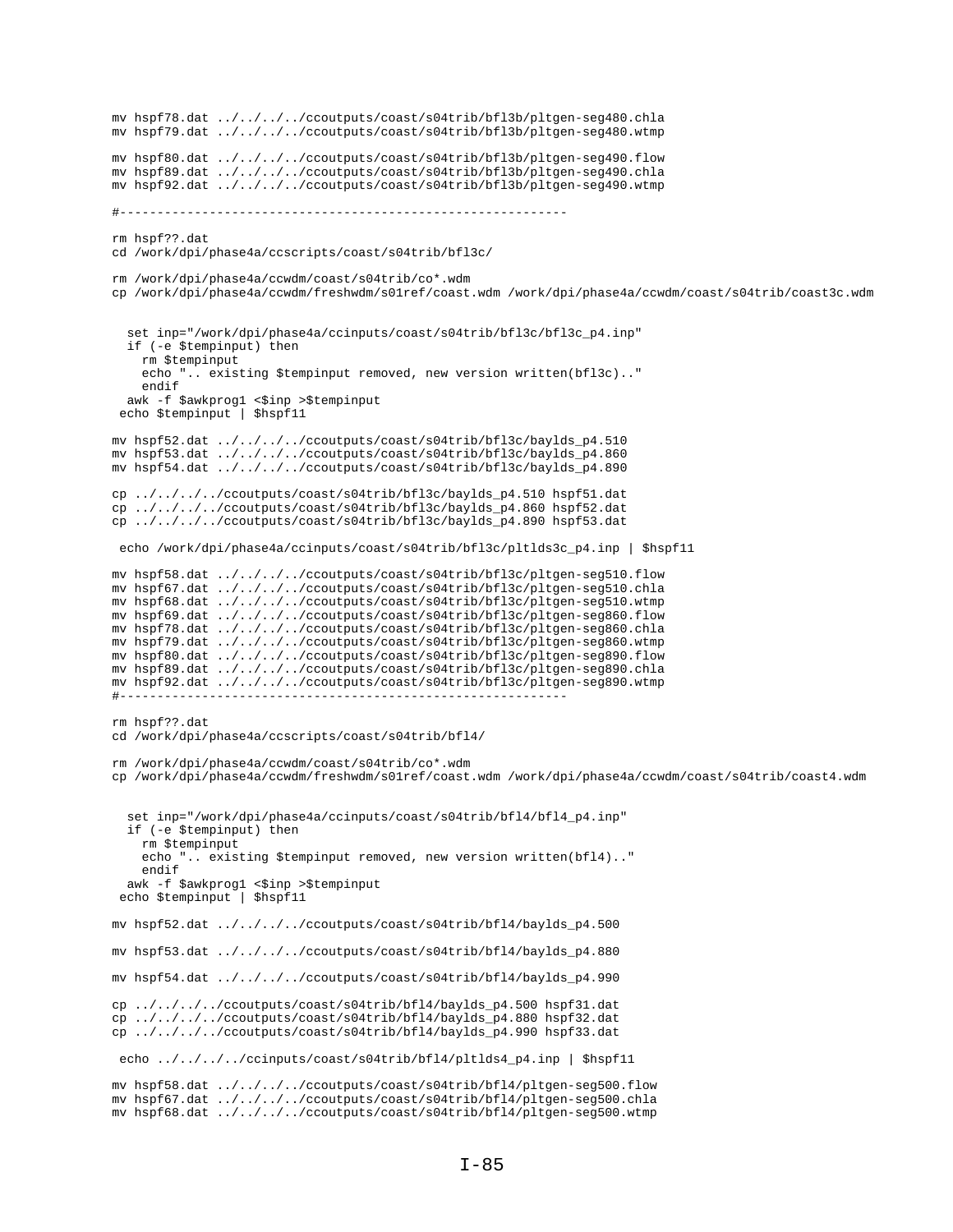```
mv hspf78.dat ../../../../ccoutputs/coast/s04trib/bfl3b/pltgen-seg480.chla
mv hspf79.dat ../../../../ccoutputs/coast/s04trib/bfl3b/pltgen-seg480.wtmp
mv hspf80.dat ../../../../ccoutputs/coast/s04trib/bfl3b/pltgen-seg490.flow
mv hspf89.dat ../../../../ccoutputs/coast/s04trib/bfl3b/pltgen-seg490.chla
mv hspf92.dat ../../../../ccoutputs/coast/s04trib/bfl3b/pltgen-seg490.wtmp
#------------------------------------------------------------
rm hspf??.dat
cd /work/dpi/phase4a/ccscripts/coast/s04trib/bfl3c/
rm /work/dpi/phase4a/ccwdm/coast/s04trib/co*.wdm
cp /work/dpi/phase4a/ccwdm/freshwdm/s01ref/coast.wdm /work/dpi/phase4a/ccwdm/coast/s04trib/coast3c.wdm
   set inp="/work/dpi/phase4a/ccinputs/coast/s04trib/bfl3c/bfl3c_p4.inp"
   if (-e $tempinput) then
     rm $tempinput
     echo ".. existing $tempinput removed, new version written(bfl3c).."
     endif
  awk -f $awkprog1 <$inp >$tempinput
  echo $tempinput | $hspf11
mv hspf52.dat ../../../../ccoutputs/coast/s04trib/bfl3c/baylds_p4.510
mv hspf53.dat ../../../../ccoutputs/coast/s04trib/bfl3c/baylds_p4.860
mv hspf54.dat ../../../../ccoutputs/coast/s04trib/bfl3c/baylds_p4.890
cp ../../../../ccoutputs/coast/s04trib/bfl3c/baylds_p4.510 hspf51.dat
cp ../../../../ccoutputs/coast/s04trib/bfl3c/baylds_p4.860 hspf52.dat
cp ../../../../ccoutputs/coast/s04trib/bfl3c/baylds_p4.890 hspf53.dat
 echo /work/dpi/phase4a/ccinputs/coast/s04trib/bfl3c/pltlds3c_p4.inp | $hspf11
mv hspf58.dat ../../../../ccoutputs/coast/s04trib/bfl3c/pltgen-seg510.flow
mv hspf67.dat ../../../../ccoutputs/coast/s04trib/bfl3c/pltgen-seg510.chla
mv hspf68.dat ../../../../ccoutputs/coast/s04trib/bfl3c/pltgen-seg510.wtmp
mv hspf69.dat ../../../../ccoutputs/coast/s04trib/bfl3c/pltgen-seg860.flow
mv hspf78.dat ../../../../ccoutputs/coast/s04trib/bfl3c/pltgen-seg860.chla
mv hspf79.dat ../../../../ccoutputs/coast/s04trib/bfl3c/pltgen-seg860.wtmp
mv hspf80.dat ../../../../ccoutputs/coast/s04trib/bfl3c/pltgen-seg890.flow
mv hspf89.dat ../../../../ccoutputs/coast/s04trib/bfl3c/pltgen-seg890.chla
mv hspf92.dat ../../../../ccoutputs/coast/s04trib/bfl3c/pltgen-seg890.wtmp
#------------------------------------------------------------
rm hspf??.dat
cd /work/dpi/phase4a/ccscripts/coast/s04trib/bfl4/
rm /work/dpi/phase4a/ccwdm/coast/s04trib/co*.wdm
cp /work/dpi/phase4a/ccwdm/freshwdm/s01ref/coast.wdm /work/dpi/phase4a/ccwdm/coast/s04trib/coast4.wdm
   set inp="/work/dpi/phase4a/ccinputs/coast/s04trib/bfl4/bfl4_p4.inp"
   if (-e $tempinput) then
    rm $tempinput
     echo ".. existing $tempinput removed, new version written(bfl4).."
     endif
  awk -f $awkprog1 <$inp >$tempinput
  echo $tempinput | $hspf11
mv hspf52.dat ../../../../ccoutputs/coast/s04trib/bfl4/baylds_p4.500
mv hspf53.dat ../../../../ccoutputs/coast/s04trib/bfl4/baylds_p4.880
mv hspf54.dat ../../../../ccoutputs/coast/s04trib/bfl4/baylds_p4.990
cp ../../../../ccoutputs/coast/s04trib/bfl4/baylds_p4.500 hspf31.dat
cp ../../../../ccoutputs/coast/s04trib/bfl4/baylds_p4.880 hspf32.dat
cp ../../../../ccoutputs/coast/s04trib/bfl4/baylds_p4.990 hspf33.dat
 echo ../../../../ccinputs/coast/s04trib/bfl4/pltlds4_p4.inp | $hspf11
mv hspf58.dat ../../../../ccoutputs/coast/s04trib/bfl4/pltgen-seg500.flow
mv hspf67.dat ../../../../ccoutputs/coast/s04trib/bfl4/pltgen-seg500.chla
mv hspf68.dat ../../../../ccoutputs/coast/s04trib/bfl4/pltgen-seg500.wtmp
```

```
I-85
```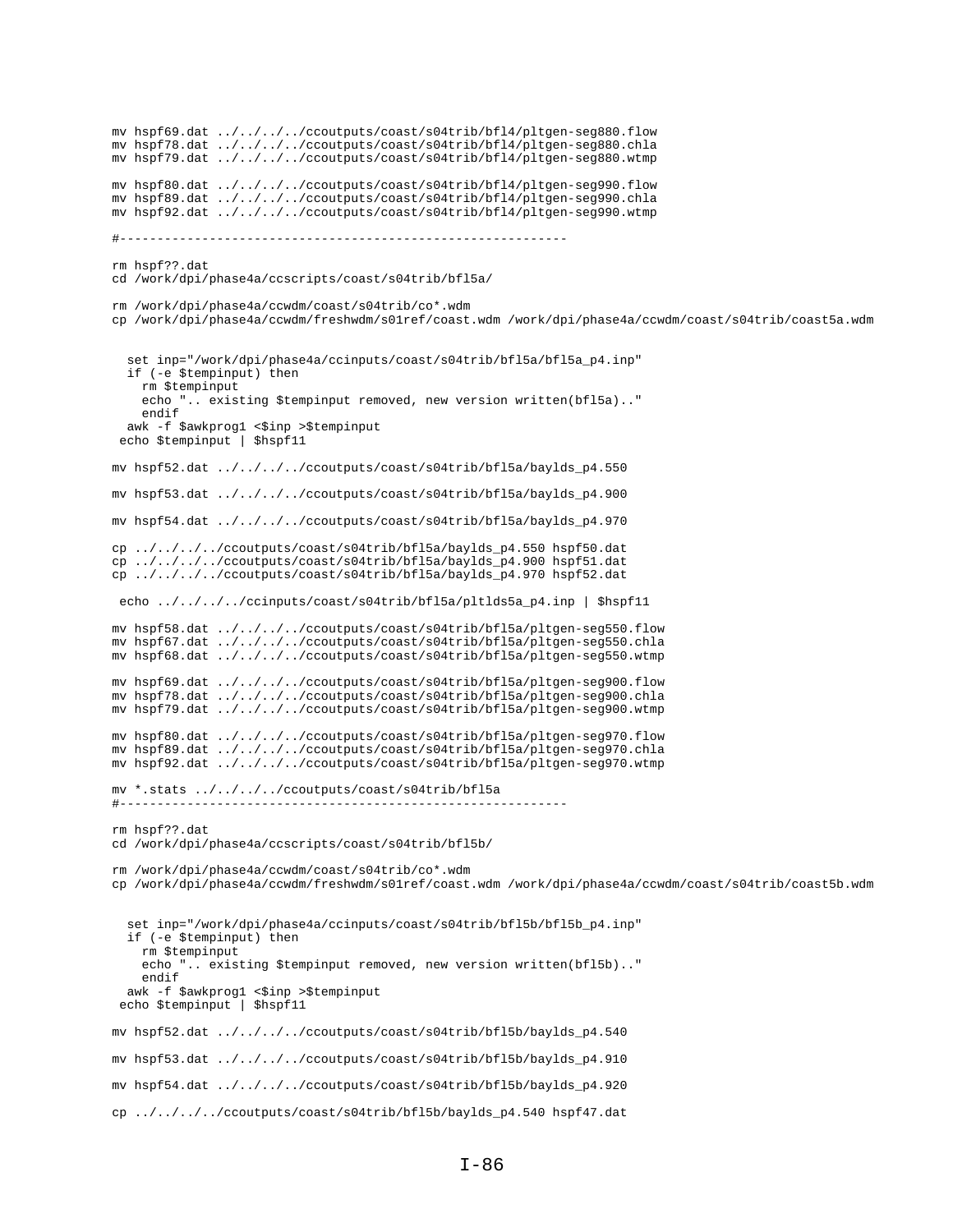mv hspf69.dat ../../../../ccoutputs/coast/s04trib/bfl4/pltgen-seg880.flow mv hspf78.dat ../../../../ccoutputs/coast/s04trib/bfl4/pltgen-seg880.chla mv hspf79.dat ../../../../ccoutputs/coast/s04trib/bfl4/pltgen-seg880.wtmp mv hspf80.dat ../../../../ccoutputs/coast/s04trib/bfl4/pltgen-seg990.flow mv hspf89.dat ../../../../ccoutputs/coast/s04trib/bfl4/pltgen-seg990.chla mv hspf92.dat ../../../../ccoutputs/coast/s04trib/bfl4/pltgen-seg990.wtmp #----------------------------------------------------------- rm hspf??.dat cd /work/dpi/phase4a/ccscripts/coast/s04trib/bfl5a/ rm /work/dpi/phase4a/ccwdm/coast/s04trib/co\*.wdm cp /work/dpi/phase4a/ccwdm/freshwdm/s01ref/coast.wdm /work/dpi/phase4a/ccwdm/coast/s04trib/coast5a.wdm set inp="/work/dpi/phase4a/ccinputs/coast/s04trib/bfl5a/bfl5a\_p4.inp" if (-e \$tempinput) then rm \$tempinput echo ".. existing \$tempinput removed, new version written(bfl5a).." endif awk -f \$awkprog1 <\$inp >\$tempinput echo \$tempinput | \$hspf11 mv hspf52.dat ../../../../ccoutputs/coast/s04trib/bfl5a/baylds\_p4.550 mv hspf53.dat ../../../../ccoutputs/coast/s04trib/bfl5a/baylds\_p4.900 mv hspf54.dat ../../../../ccoutputs/coast/s04trib/bfl5a/baylds\_p4.970 cp ../../../../ccoutputs/coast/s04trib/bfl5a/baylds\_p4.550 hspf50.dat cp ../../../../ccoutputs/coast/s04trib/bfl5a/baylds\_p4.900 hspf51.dat cp ../../../../ccoutputs/coast/s04trib/bfl5a/baylds\_p4.970 hspf52.dat echo ../../../../ccinputs/coast/s04trib/bfl5a/pltlds5a\_p4.inp | \$hspf11 mv hspf58.dat ../../../../ccoutputs/coast/s04trib/bfl5a/pltgen-seg550.flow mv hspf67.dat ../../../../ccoutputs/coast/s04trib/bfl5a/pltgen-seg550.chla mv hspf68.dat ../../../../ccoutputs/coast/s04trib/bfl5a/pltgen-seg550.wtmp mv hspf69.dat ../../../../ccoutputs/coast/s04trib/bfl5a/pltgen-seg900.flow mv hspf78.dat ../../../../ccoutputs/coast/s04trib/bfl5a/pltgen-seg900.chla mv hspf79.dat ../../../../ccoutputs/coast/s04trib/bfl5a/pltgen-seg900.wtmp mv hspf80.dat ../../../../ccoutputs/coast/s04trib/bfl5a/pltgen-seg970.flow mv hspf89.dat ../../../../ccoutputs/coast/s04trib/bfl5a/pltgen-seg970.chla mv hspf92.dat ../../../../ccoutputs/coast/s04trib/bfl5a/pltgen-seg970.wtmp mv \*.stats ../../../../ccoutputs/coast/s04trib/bfl5a #----------------------------------------------------------- rm hspf??.dat cd /work/dpi/phase4a/ccscripts/coast/s04trib/bfl5b/ rm /work/dpi/phase4a/ccwdm/coast/s04trib/co\*.wdm cp /work/dpi/phase4a/ccwdm/freshwdm/s01ref/coast.wdm /work/dpi/phase4a/ccwdm/coast/s04trib/coast5b.wdm set inp="/work/dpi/phase4a/ccinputs/coast/s04trib/bfl5b/bfl5b\_p4.inp" if (-e \$tempinput) then rm \$tempinput echo ".. existing \$tempinput removed, new version written(bfl5b).." endif awk -f \$awkprog1 <\$inp >\$tempinput echo \$tempinput | \$hspf11 mv hspf52.dat ../../../../ccoutputs/coast/s04trib/bfl5b/baylds\_p4.540 mv hspf53.dat ../../../../ccoutputs/coast/s04trib/bfl5b/baylds\_p4.910 mv hspf54.dat ../../../../ccoutputs/coast/s04trib/bfl5b/baylds\_p4.920 cp ../../../../ccoutputs/coast/s04trib/bfl5b/baylds\_p4.540 hspf47.dat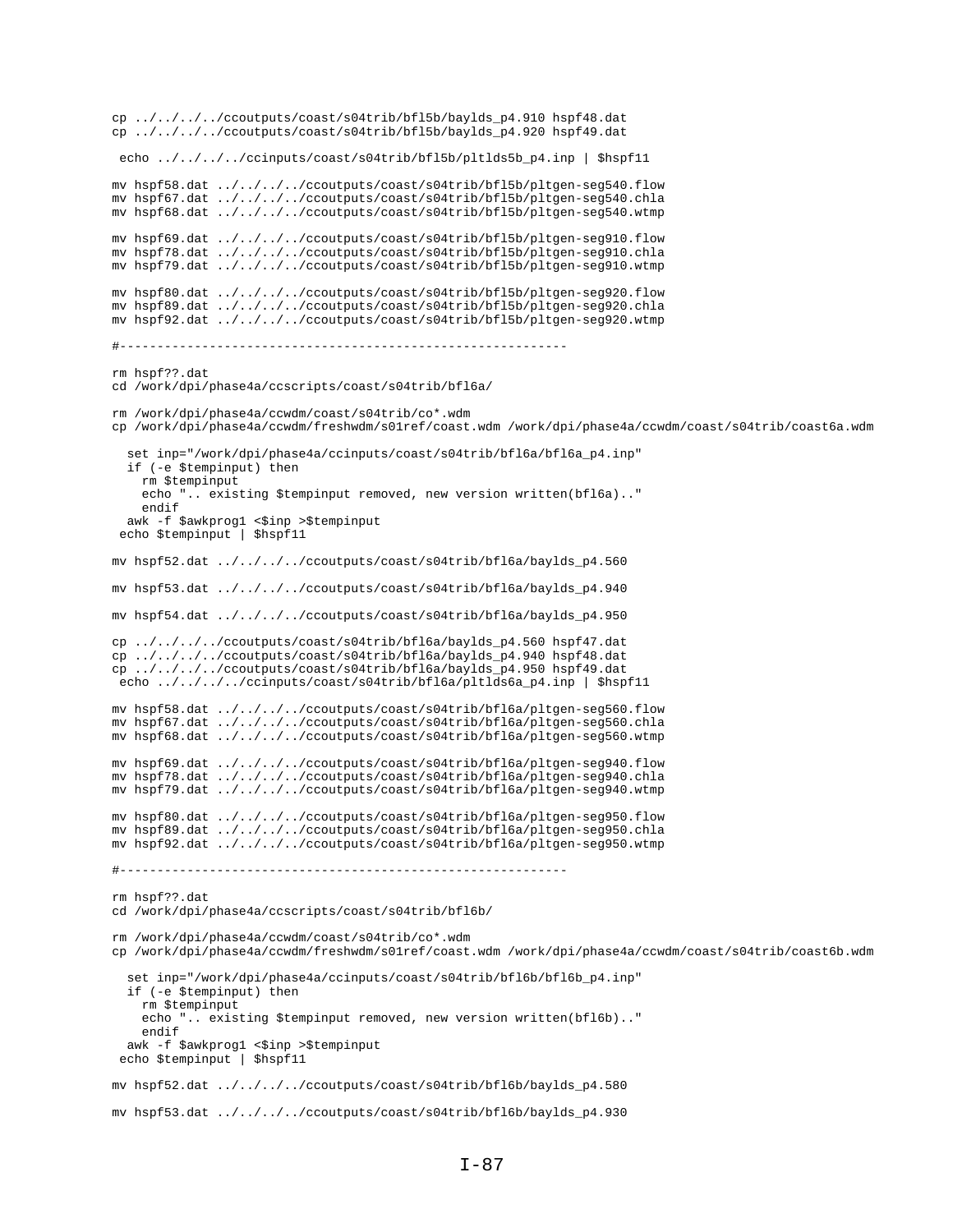```
cp ../../../../ccoutputs/coast/s04trib/bfl5b/baylds_p4.910 hspf48.dat
cp ../../../../ccoutputs/coast/s04trib/bfl5b/baylds_p4.920 hspf49.dat
 echo ../../../../ccinputs/coast/s04trib/bfl5b/pltlds5b_p4.inp | $hspf11
mv hspf58.dat ../../../../ccoutputs/coast/s04trib/bfl5b/pltgen-seg540.flow
mv hspf67.dat ../../../../ccoutputs/coast/s04trib/bfl5b/pltgen-seg540.chla
mv hspf68.dat ../../../../ccoutputs/coast/s04trib/bfl5b/pltgen-seg540.wtmp
mv hspf69.dat ../../../../ccoutputs/coast/s04trib/bfl5b/pltgen-seg910.flow
mv hspf78.dat ../../../../ccoutputs/coast/s04trib/bfl5b/pltgen-seg910.chla
mv hspf79.dat ../../../../ccoutputs/coast/s04trib/bfl5b/pltgen-seg910.wtmp
mv hspf80.dat ../../../../ccoutputs/coast/s04trib/bfl5b/pltgen-seg920.flow
mv hspf89.dat ../../../../ccoutputs/coast/s04trib/bfl5b/pltgen-seg920.chla
mv hspf92.dat ../../../../ccoutputs/coast/s04trib/bfl5b/pltgen-seg920.wtmp
#------------------------------------------------------------
rm hspf??.dat
cd /work/dpi/phase4a/ccscripts/coast/s04trib/bfl6a/
rm /work/dpi/phase4a/ccwdm/coast/s04trib/co*.wdm
cp /work/dpi/phase4a/ccwdm/freshwdm/s01ref/coast.wdm /work/dpi/phase4a/ccwdm/coast/s04trib/coast6a.wdm
   set inp="/work/dpi/phase4a/ccinputs/coast/s04trib/bfl6a/bfl6a_p4.inp"
   if (-e $tempinput) then
     rm $tempinput
     echo ".. existing $tempinput removed, new version written(bfl6a).."
     endif
  awk -f $awkprog1 <$inp >$tempinput
  echo $tempinput | $hspf11
mv hspf52.dat ../../../../ccoutputs/coast/s04trib/bfl6a/baylds_p4.560
mv hspf53.dat ../../../../ccoutputs/coast/s04trib/bfl6a/baylds_p4.940
mv hspf54.dat ../../../../ccoutputs/coast/s04trib/bfl6a/baylds_p4.950
cp ../../../../ccoutputs/coast/s04trib/bfl6a/baylds_p4.560 hspf47.dat
cp ../../../../ccoutputs/coast/s04trib/bfl6a/baylds_p4.940 hspf48.dat
cp ../../../../ccoutputs/coast/s04trib/bfl6a/baylds_p4.950 hspf49.dat
echo \ldots/\ldots/\ldots/ccinputs/coast/s04trib/bfl6a/pltlds6a_p4.inp | $hspf11
mv hspf58.dat ../../../../ccoutputs/coast/s04trib/bfl6a/pltgen-seg560.flow
mv hspf67.dat ../../../../ccoutputs/coast/s04trib/bfl6a/pltgen-seg560.chla
mv hspf68.dat ../../../../ccoutputs/coast/s04trib/bfl6a/pltgen-seg560.wtmp
mv hspf69.dat ../../../../ccoutputs/coast/s04trib/bfl6a/pltgen-seg940.flow
mv hspf78.dat ../../../../ccoutputs/coast/s04trib/bfl6a/pltgen-seg940.chla
mv hspf79.dat ../../../../ccoutputs/coast/s04trib/bfl6a/pltgen-seg940.wtmp
mv hspf80.dat ../../../../ccoutputs/coast/s04trib/bfl6a/pltgen-seg950.flow
mv hspf89.dat ../../../../ccoutputs/coast/s04trib/bfl6a/pltgen-seg950.chla
mv hspf92.dat ../../../../ccoutputs/coast/s04trib/bfl6a/pltgen-seg950.wtmp
#------------------------------------------------------------
rm hspf??.dat
cd /work/dpi/phase4a/ccscripts/coast/s04trib/bfl6b/
rm /work/dpi/phase4a/ccwdm/coast/s04trib/co*.wdm
cp /work/dpi/phase4a/ccwdm/freshwdm/s01ref/coast.wdm /work/dpi/phase4a/ccwdm/coast/s04trib/coast6b.wdm
   set inp="/work/dpi/phase4a/ccinputs/coast/s04trib/bfl6b/bfl6b_p4.inp"
   if (-e $tempinput) then
     rm $tempinput
     echo ".. existing $tempinput removed, new version written(bfl6b).."
     endif
   awk -f $awkprog1 <$inp >$tempinput
  echo $tempinput | $hspf11
mv hspf52.dat ../../../../ccoutputs/coast/s04trib/bfl6b/baylds_p4.580
mv hspf53.dat ../../../../ccoutputs/coast/s04trib/bfl6b/baylds_p4.930
```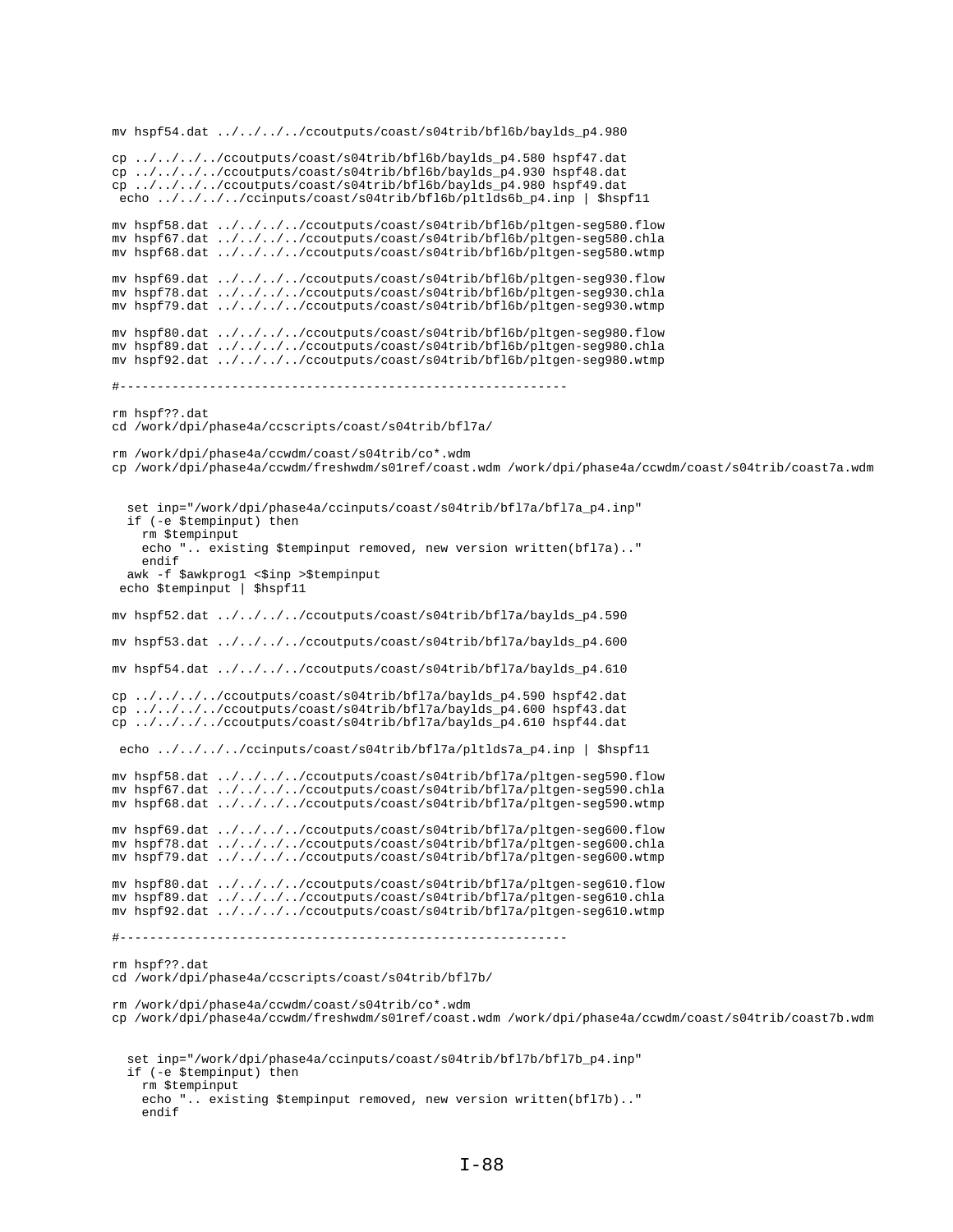```
mv hspf54.dat ../../../../ccoutputs/coast/s04trib/bfl6b/baylds_p4.980
cp ../../../../ccoutputs/coast/s04trib/bfl6b/baylds_p4.580 hspf47.dat
cp ../../../../ccoutputs/coast/s04trib/bfl6b/baylds_p4.930 hspf48.dat
cp ../../../../ccoutputs/coast/s04trib/bfl6b/baylds_p4.980 hspf49.dat
 echo ../../../../ccinputs/coast/s04trib/bfl6b/pltlds6b_p4.inp | $hspf11
mv hspf58.dat ../../../../ccoutputs/coast/s04trib/bfl6b/pltgen-seg580.flow
mv hspf67.dat ../../../../ccoutputs/coast/s04trib/bfl6b/pltgen-seg580.chla
mv hspf68.dat ../../../../ccoutputs/coast/s04trib/bfl6b/pltgen-seg580.wtmp
mv hspf69.dat ../../../../ccoutputs/coast/s04trib/bfl6b/pltgen-seg930.flow
mv hspf78.dat ../../../../ccoutputs/coast/s04trib/bfl6b/pltgen-seg930.chla
mv hspf79.dat ../../../../ccoutputs/coast/s04trib/bfl6b/pltgen-seg930.wtmp
mv hspf80.dat ../../../../ccoutputs/coast/s04trib/bfl6b/pltgen-seg980.flow
mv hspf89.dat ../../../../ccoutputs/coast/s04trib/bfl6b/pltgen-seg980.chla
mv hspf92.dat ../../../../ccoutputs/coast/s04trib/bfl6b/pltgen-seg980.wtmp
#------------------------------------------------------------
rm hspf??.dat
cd /work/dpi/phase4a/ccscripts/coast/s04trib/bfl7a/
rm /work/dpi/phase4a/ccwdm/coast/s04trib/co*.wdm
cp /work/dpi/phase4a/ccwdm/freshwdm/s01ref/coast.wdm /work/dpi/phase4a/ccwdm/coast/s04trib/coast7a.wdm
   set inp="/work/dpi/phase4a/ccinputs/coast/s04trib/bfl7a/bfl7a_p4.inp"
   if (-e $tempinput) then
    rm $tempinput
    echo ".. existing $tempinput removed, new version written(bfl7a).."
     endif
  awk -f $awkprog1 <$inp >$tempinput
 echo $tempinput | $hspf11
mv hspf52.dat ../../../../ccoutputs/coast/s04trib/bfl7a/baylds_p4.590
mv hspf53.dat ../../../../ccoutputs/coast/s04trib/bfl7a/baylds_p4.600
mv hspf54.dat ../../../../ccoutputs/coast/s04trib/bfl7a/baylds_p4.610
cp ../../../../ccoutputs/coast/s04trib/bfl7a/baylds_p4.590 hspf42.dat
cp ../../../../ccoutputs/coast/s04trib/bfl7a/baylds_p4.600 hspf43.dat
cp ../../../../ccoutputs/coast/s04trib/bfl7a/baylds_p4.610 hspf44.dat
 echo ../../../../ccinputs/coast/s04trib/bfl7a/pltlds7a_p4.inp | $hspf11
mv hspf58.dat ../../../../ccoutputs/coast/s04trib/bfl7a/pltgen-seg590.flow
mv hspf67.dat ../../../../ccoutputs/coast/s04trib/bfl7a/pltgen-seg590.chla
mv hspf68.dat ../../../../ccoutputs/coast/s04trib/bfl7a/pltgen-seg590.wtmp
mv hspf69.dat ../../../../ccoutputs/coast/s04trib/bfl7a/pltgen-seg600.flow
mv hspf78.dat ../../../../ccoutputs/coast/s04trib/bfl7a/pltgen-seg600.chla
mv hspf79.dat ../../../../ccoutputs/coast/s04trib/bfl7a/pltgen-seg600.wtmp
mv hspf80.dat ../../../../ccoutputs/coast/s04trib/bfl7a/pltgen-seg610.flow
mv hspf89.dat ../../../../ccoutputs/coast/s04trib/bfl7a/pltgen-seg610.chla
mv hspf92.dat ../../../../ccoutputs/coast/s04trib/bfl7a/pltgen-seg610.wtmp
#------------------------------------------------------------
rm hspf??.dat
cd /work/dpi/phase4a/ccscripts/coast/s04trib/bfl7b/
rm /work/dpi/phase4a/ccwdm/coast/s04trib/co*.wdm
cp /work/dpi/phase4a/ccwdm/freshwdm/s01ref/coast.wdm /work/dpi/phase4a/ccwdm/coast/s04trib/coast7b.wdm
   set inp="/work/dpi/phase4a/ccinputs/coast/s04trib/bfl7b/bfl7b_p4.inp"
   if (-e $tempinput) then
     rm $tempinput
     echo ".. existing $tempinput removed, new version written(bfl7b).."
     endif
```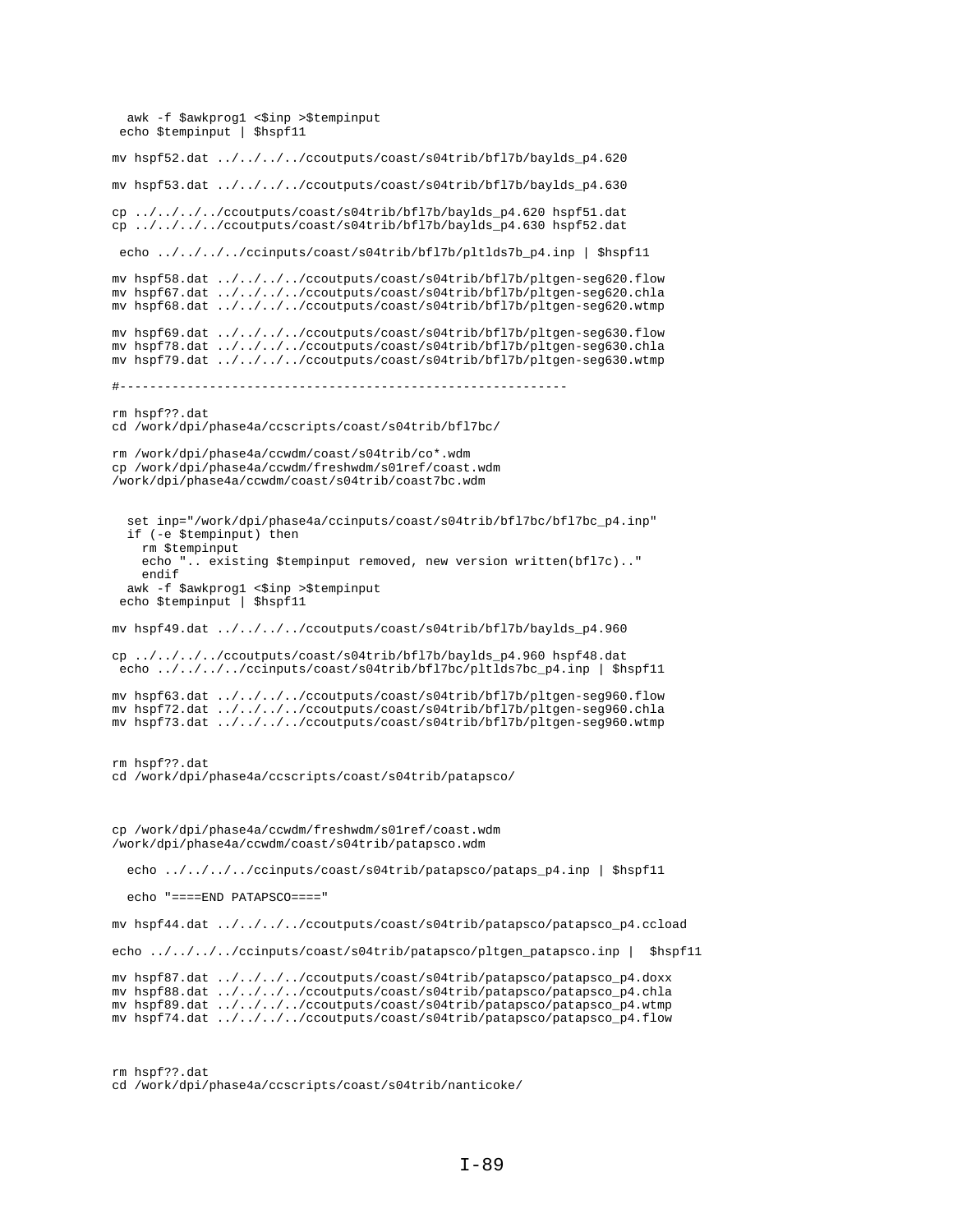```
awk -f $awkprog1 <$inp >$tempinput
  echo $tempinput | $hspf11
mv hspf52.dat ../../../../ccoutputs/coast/s04trib/bfl7b/baylds_p4.620
mv hspf53.dat ../../../../ccoutputs/coast/s04trib/bfl7b/baylds_p4.630
cp ../../../../ccoutputs/coast/s04trib/bfl7b/baylds_p4.620 hspf51.dat
cp ../../../../ccoutputs/coast/s04trib/bfl7b/baylds_p4.630 hspf52.dat
 echo ../../../../ccinputs/coast/s04trib/bfl7b/pltlds7b_p4.inp | $hspf11
mv hspf58.dat ../../../../ccoutputs/coast/s04trib/bfl7b/pltgen-seg620.flow
mv hspf67.dat ../../../../ccoutputs/coast/s04trib/bfl7b/pltgen-seg620.chla
mv hspf68.dat ../../../../ccoutputs/coast/s04trib/bfl7b/pltgen-seg620.wtmp
mv hspf69.dat ../../../../ccoutputs/coast/s04trib/bfl7b/pltgen-seg630.flow
mv hspf78.dat ../../../../ccoutputs/coast/s04trib/bfl7b/pltgen-seg630.chla
mv hspf79.dat ../../../../ccoutputs/coast/s04trib/bfl7b/pltgen-seg630.wtmp
#------------------------------------------------------------
rm hspf??.dat
cd /work/dpi/phase4a/ccscripts/coast/s04trib/bfl7bc/
rm /work/dpi/phase4a/ccwdm/coast/s04trib/co*.wdm
cp /work/dpi/phase4a/ccwdm/freshwdm/s01ref/coast.wdm
/work/dpi/phase4a/ccwdm/coast/s04trib/coast7bc.wdm
   set inp="/work/dpi/phase4a/ccinputs/coast/s04trib/bfl7bc/bfl7bc_p4.inp"
   if (-e $tempinput) then
    rm $tempinput
     echo ".. existing $tempinput removed, new version written(bfl7c).."
     endif
  awk -f $awkprog1 <$inp >$tempinput
  echo $tempinput | $hspf11
mv hspf49.dat ../../../../ccoutputs/coast/s04trib/bfl7b/baylds_p4.960
cp ../../../../ccoutputs/coast/s04trib/bfl7b/baylds_p4.960 hspf48.dat
 echo ../../../../ccinputs/coast/s04trib/bfl7bc/pltlds7bc_p4.inp | $hspf11
mv hspf63.dat ../../../../ccoutputs/coast/s04trib/bfl7b/pltgen-seg960.flow
mv hspf72.dat ../../../../ccoutputs/coast/s04trib/bfl7b/pltgen-seg960.chla
mv hspf73.dat ../../../../ccoutputs/coast/s04trib/bfl7b/pltgen-seg960.wtmp
rm hspf??.dat
cd /work/dpi/phase4a/ccscripts/coast/s04trib/patapsco/
cp /work/dpi/phase4a/ccwdm/freshwdm/s01ref/coast.wdm 
/work/dpi/phase4a/ccwdm/coast/s04trib/patapsco.wdm
   echo ../../../../ccinputs/coast/s04trib/patapsco/pataps_p4.inp | $hspf11
   echo "====END PATAPSCO===="
mv hspf44.dat ../../../../ccoutputs/coast/s04trib/patapsco/patapsco_p4.ccload
echo ../../../../ccinputs/coast/s04trib/patapsco/pltgen_patapsco.inp | $hspf11
mv hspf87.dat ../../../../ccoutputs/coast/s04trib/patapsco/patapsco_p4.doxx
mv hspf88.dat ../../../../ccoutputs/coast/s04trib/patapsco/patapsco_p4.chla
mv hspf89.dat ../../../../ccoutputs/coast/s04trib/patapsco/patapsco_p4.wtmp
mv hspf74.dat ../../../../ccoutputs/coast/s04trib/patapsco/patapsco_p4.flow
```

```
rm hspf??.dat
cd /work/dpi/phase4a/ccscripts/coast/s04trib/nanticoke/
```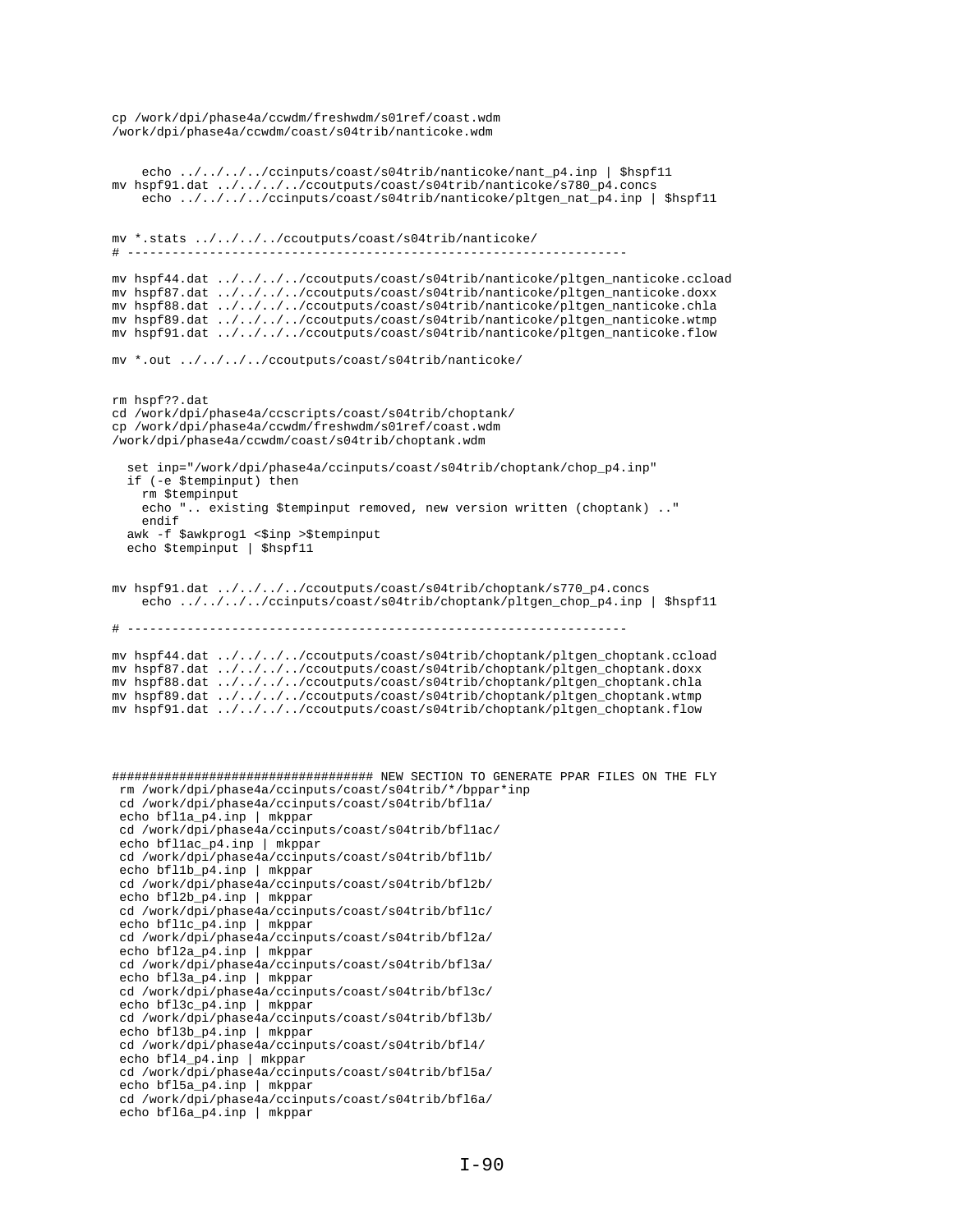```
/work/dpi/phase4a/ccwdm/coast/s04trib/nanticoke.wdm
    echo ../../../../ccinputs/coast/s04trib/nanticoke/nant_p4.inp | $hspf11
mv hspf91.dat ../../../../ccoutputs/coast/s04trib/nanticoke/s780_p4.concs
     echo ../../../../ccinputs/coast/s04trib/nanticoke/pltgen_nat_p4.inp | $hspf11
mv *.stats ../../../../ccoutputs/coast/s04trib/nanticoke/
# -------------------------------------------------------------------
mv hspf44.dat ../../../../ccoutputs/coast/s04trib/nanticoke/pltgen_nanticoke.ccload
mv hspf87.dat ../../../../ccoutputs/coast/s04trib/nanticoke/pltgen_nanticoke.doxx
mv hspf88.dat ../../../../ccoutputs/coast/s04trib/nanticoke/pltgen_nanticoke.chla
mv hspf89.dat ../../../../ccoutputs/coast/s04trib/nanticoke/pltgen_nanticoke.wtmp
mv hspf91.dat ../../../../ccoutputs/coast/s04trib/nanticoke/pltgen_nanticoke.flow
mv *.out ../../../../ccoutputs/coast/s04trib/nanticoke/
rm hspf??.dat
cd /work/dpi/phase4a/ccscripts/coast/s04trib/choptank/
cp /work/dpi/phase4a/ccwdm/freshwdm/s01ref/coast.wdm
/work/dpi/phase4a/ccwdm/coast/s04trib/choptank.wdm
   set inp="/work/dpi/phase4a/ccinputs/coast/s04trib/choptank/chop_p4.inp"
   if (-e $tempinput) then
     rm $tempinput
     echo ".. existing $tempinput removed, new version written (choptank) .."
     endif
 awk -f $awkprog1 <$inp >$tempinput
 echo $tempinput | $hspf11
mv hspf91.dat ../../../../ccoutputs/coast/s04trib/choptank/s770_p4.concs
     echo ../../../../ccinputs/coast/s04trib/choptank/pltgen_chop_p4.inp | $hspf11
# -------------------------------------------------------------------
mv hspf44.dat ../../../../ccoutputs/coast/s04trib/choptank/pltgen_choptank.ccload
mv hspf87.dat ../../../../ccoutputs/coast/s04trib/choptank/pltgen_choptank.doxx
mv hspf88.dat ../../../../ccoutputs/coast/s04trib/choptank/pltgen_choptank.chla
mv hspf89.dat ../../../../ccoutputs/coast/s04trib/choptank/pltgen_choptank.wtmp
mv hspf91.dat ../../../../ccoutputs/coast/s04trib/choptank/pltgen_choptank.flow
################################### NEW SECTION TO GENERATE PPAR FILES ON THE FLY
 rm /work/dpi/phase4a/ccinputs/coast/s04trib/*/bppar*inp
  cd /work/dpi/phase4a/ccinputs/coast/s04trib/bfl1a/
  echo bfl1a_p4.inp | mkppar
  cd /work/dpi/phase4a/ccinputs/coast/s04trib/bfl1ac/
  echo bfl1ac_p4.inp | mkppar
  cd /work/dpi/phase4a/ccinputs/coast/s04trib/bfl1b/
  echo bfl1b_p4.inp | mkppar
  cd /work/dpi/phase4a/ccinputs/coast/s04trib/bfl2b/
  echo bfl2b_p4.inp | mkppar
  cd /work/dpi/phase4a/ccinputs/coast/s04trib/bfl1c/
  echo bfl1c_p4.inp | mkppar
  cd /work/dpi/phase4a/ccinputs/coast/s04trib/bfl2a/
  echo bfl2a_p4.inp | mkppar
  cd /work/dpi/phase4a/ccinputs/coast/s04trib/bfl3a/
  echo bfl3a_p4.inp | mkppar
  cd /work/dpi/phase4a/ccinputs/coast/s04trib/bfl3c/
  echo bfl3c_p4.inp | mkppar
  cd /work/dpi/phase4a/ccinputs/coast/s04trib/bfl3b/
 echo bfl3b_p4.inp | mkppar
  cd /work/dpi/phase4a/ccinputs/coast/s04trib/bfl4/
  echo bfl4_p4.inp | mkppar
  cd /work/dpi/phase4a/ccinputs/coast/s04trib/bfl5a/
  echo bfl5a_p4.inp | mkppar
  cd /work/dpi/phase4a/ccinputs/coast/s04trib/bfl6a/
  echo bfl6a_p4.inp | mkppar
```
cp /work/dpi/phase4a/ccwdm/freshwdm/s01ref/coast.wdm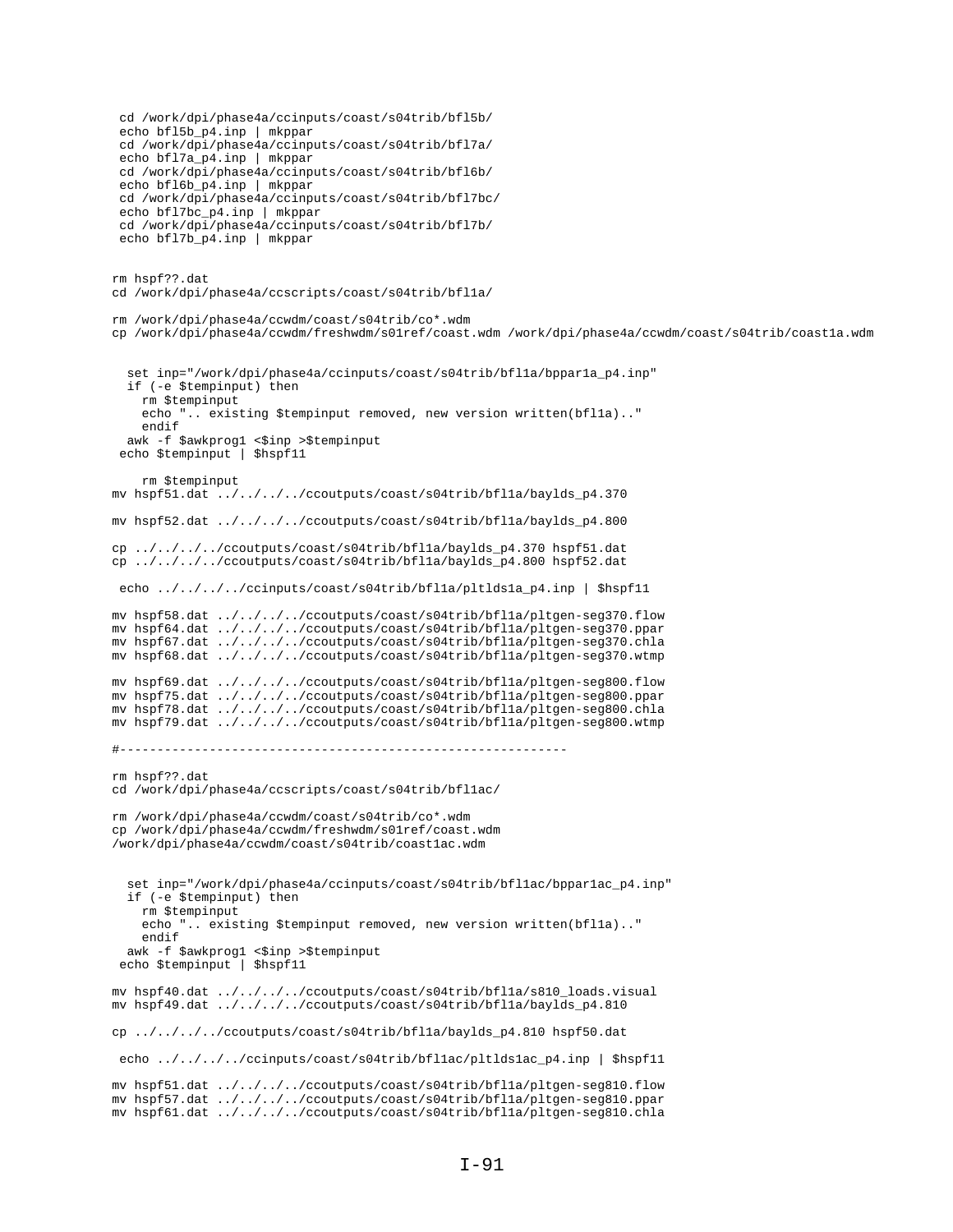cd /work/dpi/phase4a/ccinputs/coast/s04trib/bfl5b/ echo bfl5b\_p4.inp | mkppar cd /work/dpi/phase4a/ccinputs/coast/s04trib/bfl7a/ echo bfl7a\_p4.inp | mkppar cd /work/dpi/phase4a/ccinputs/coast/s04trib/bfl6b/ echo bfl6b\_p4.inp | mkppar cd /work/dpi/phase4a/ccinputs/coast/s04trib/bfl7bc/ echo bfl7bc\_p4.inp | mkppar cd /work/dpi/phase4a/ccinputs/coast/s04trib/bfl7b/ echo bfl7b\_p4.inp | mkppar rm hspf??.dat cd /work/dpi/phase4a/ccscripts/coast/s04trib/bfl1a/ rm /work/dpi/phase4a/ccwdm/coast/s04trib/co\*.wdm cp /work/dpi/phase4a/ccwdm/freshwdm/s01ref/coast.wdm /work/dpi/phase4a/ccwdm/coast/s04trib/coast1a.wdm set inp="/work/dpi/phase4a/ccinputs/coast/s04trib/bfl1a/bppar1a\_p4.inp" if (-e \$tempinput) then rm \$tempinput echo ".. existing \$tempinput removed, new version written(bfl1a).." endif awk -f \$awkprog1 <\$inp >\$tempinput echo \$tempinput | \$hspf11 rm \$tempinput mv hspf51.dat ../../../../ccoutputs/coast/s04trib/bfl1a/baylds\_p4.370 mv hspf52.dat ../../../../ccoutputs/coast/s04trib/bfl1a/baylds\_p4.800 cp ../../../../ccoutputs/coast/s04trib/bfl1a/baylds\_p4.370 hspf51.dat cp ../../../../ccoutputs/coast/s04trib/bfl1a/baylds\_p4.800 hspf52.dat echo ../../../../ccinputs/coast/s04trib/bfl1a/pltlds1a\_p4.inp | \$hspf11 mv hspf58.dat ../../../../ccoutputs/coast/s04trib/bfl1a/pltgen-seg370.flow mv hspf64.dat ../../../../ccoutputs/coast/s04trib/bfl1a/pltgen-seg370.ppar mv hspf67.dat ../../../../ccoutputs/coast/s04trib/bfl1a/pltgen-seg370.chla mv hspf68.dat ../../../../ccoutputs/coast/s04trib/bfl1a/pltgen-seg370.wtmp mv hspf69.dat ../../../../ccoutputs/coast/s04trib/bfl1a/pltgen-seg800.flow mv hspf75.dat ../../../../ccoutputs/coast/s04trib/bfl1a/pltgen-seg800.ppar mv hspf78.dat ../../../../ccoutputs/coast/s04trib/bfl1a/pltgen-seg800.chla mv hspf79.dat ../../../../ccoutputs/coast/s04trib/bfl1a/pltgen-seg800.wtmp #----------------------------------------------------------- rm hspf??.dat cd /work/dpi/phase4a/ccscripts/coast/s04trib/bfl1ac/ rm /work/dpi/phase4a/ccwdm/coast/s04trib/co\*.wdm cp /work/dpi/phase4a/ccwdm/freshwdm/s01ref/coast.wdm /work/dpi/phase4a/ccwdm/coast/s04trib/coast1ac.wdm set inp="/work/dpi/phase4a/ccinputs/coast/s04trib/bfllac/bpparlac\_p4.inp" if (-e \$tempinput) then rm \$tempinput echo ".. existing \$tempinput removed, new version written(bfl1a).." endif awk -f \$awkprog1 <\$inp >\$tempinput echo \$tempinput | \$hspf11 mv hspf40.dat ../../../../ccoutputs/coast/s04trib/bfl1a/s810\_loads.visual mv hspf49.dat ../../../../ccoutputs/coast/s04trib/bfl1a/baylds\_p4.810 cp ../../../../ccoutputs/coast/s04trib/bfl1a/baylds\_p4.810 hspf50.dat echo ../../../../ccinputs/coast/s04trib/bfl1ac/pltlds1ac\_p4.inp | \$hspf11 mv hspf51.dat ../../../../ccoutputs/coast/s04trib/bfl1a/pltgen-seg810.flow mv hspf57.dat ../../../../ccoutputs/coast/s04trib/bfl1a/pltgen-seg810.ppar mv hspf61.dat ../../../../ccoutputs/coast/s04trib/bfl1a/pltgen-seg810.chla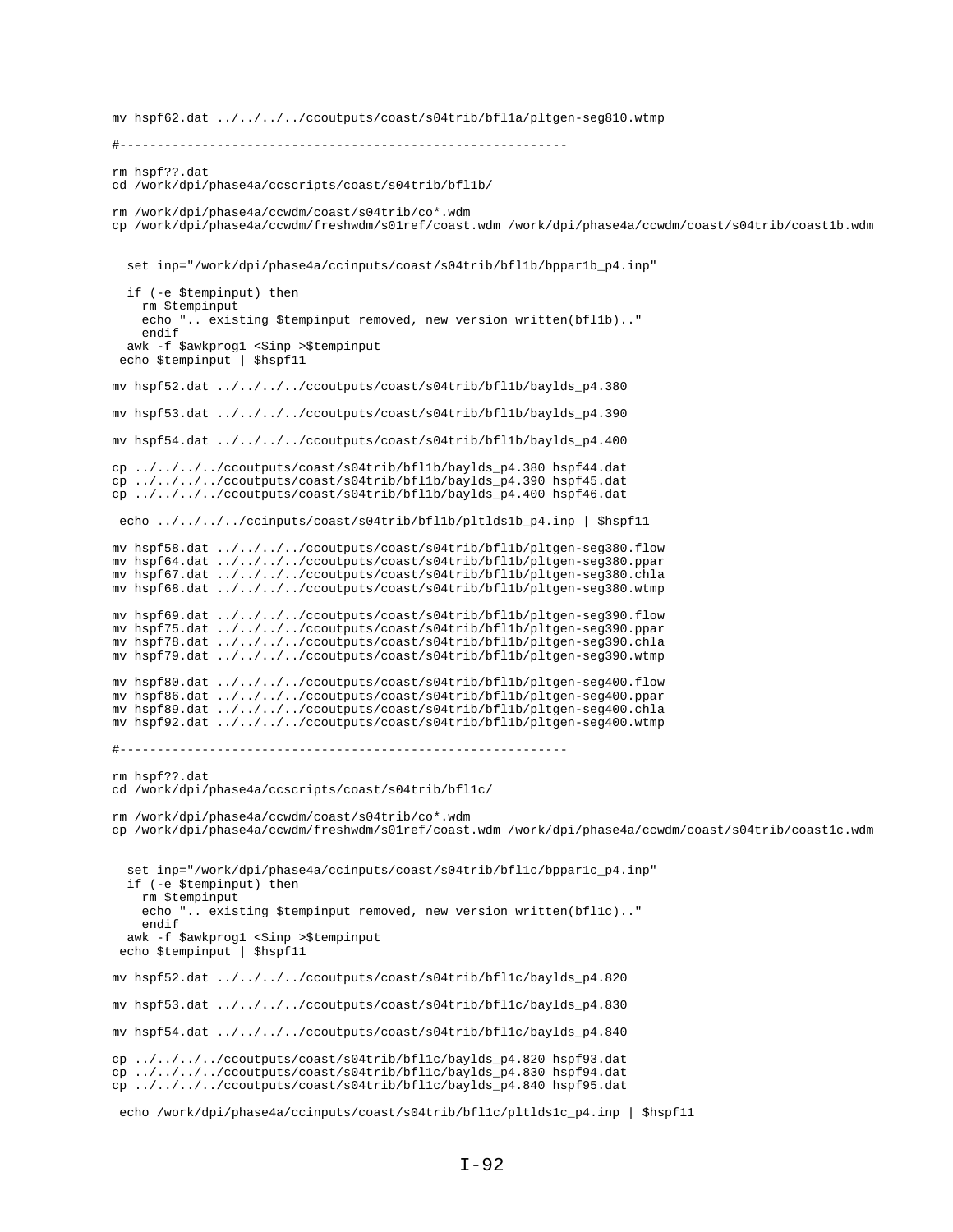#----------------------------------------------------------- rm hspf??.dat cd /work/dpi/phase4a/ccscripts/coast/s04trib/bfl1b/ rm /work/dpi/phase4a/ccwdm/coast/s04trib/co\*.wdm cp /work/dpi/phase4a/ccwdm/freshwdm/s01ref/coast.wdm /work/dpi/phase4a/ccwdm/coast/s04trib/coast1b.wdm set inp="/work/dpi/phase4a/ccinputs/coast/s04trib/bfl1b/bppar1b\_p4.inp" if (-e \$tempinput) then rm \$tempinput echo ".. existing \$tempinput removed, new version written(bfl1b).." endif awk -f \$awkprog1 <\$inp >\$tempinput echo \$tempinput | \$hspf11 mv hspf52.dat ../../../../ccoutputs/coast/s04trib/bfl1b/baylds\_p4.380 mv hspf53.dat ../../../../ccoutputs/coast/s04trib/bfl1b/baylds\_p4.390 mv hspf54.dat ../../../../ccoutputs/coast/s04trib/bfl1b/baylds\_p4.400 cp ../../../../ccoutputs/coast/s04trib/bfl1b/baylds\_p4.380 hspf44.dat cp ../../../../ccoutputs/coast/s04trib/bfl1b/baylds\_p4.390 hspf45.dat cp ../../../../ccoutputs/coast/s04trib/bfl1b/baylds\_p4.400 hspf46.dat echo ../../../../ccinputs/coast/s04trib/bfl1b/pltlds1b\_p4.inp | \$hspf11 mv hspf58.dat ../../../../ccoutputs/coast/s04trib/bfl1b/pltgen-seg380.flow mv hspf64.dat ../../../../ccoutputs/coast/s04trib/bfl1b/pltgen-seg380.ppar mv hspf67.dat ../../../../ccoutputs/coast/s04trib/bfl1b/pltgen-seg380.chla mv hspf68.dat ../../../../ccoutputs/coast/s04trib/bfl1b/pltgen-seg380.wtmp mv hspf69.dat ../../../../ccoutputs/coast/s04trib/bfl1b/pltgen-seg390.flow mv hspf75.dat ../../../../ccoutputs/coast/s04trib/bfl1b/pltgen-seg390.ppar mv hspf78.dat ../../../../ccoutputs/coast/s04trib/bfl1b/pltgen-seg390.chla mv hspf79.dat ../../../../ccoutputs/coast/s04trib/bfl1b/pltgen-seg390.wtmp mv hspf80.dat ../../../../ccoutputs/coast/s04trib/bfl1b/pltgen-seg400.flow mv hspf86.dat ../../../../ccoutputs/coast/s04trib/bfl1b/pltgen-seg400.ppar mv hspf89.dat ../../../../ccoutputs/coast/s04trib/bfl1b/pltgen-seg400.chla mv hspf92.dat ../../../../ccoutputs/coast/s04trib/bfl1b/pltgen-seg400.wtmp #----------------------------------------------------------- rm hspf??.dat cd /work/dpi/phase4a/ccscripts/coast/s04trib/bfl1c/ rm /work/dpi/phase4a/ccwdm/coast/s04trib/co\*.wdm cp /work/dpi/phase4a/ccwdm/freshwdm/s01ref/coast.wdm /work/dpi/phase4a/ccwdm/coast/s04trib/coast1c.wdm set inp="/work/dpi/phase4a/ccinputs/coast/s04trib/bfl1c/bppar1c\_p4.inp" if (-e \$tempinput) then rm \$tempinput echo ".. existing \$tempinput removed, new version written(bfl1c).." endif awk -f \$awkprog1 <\$inp >\$tempinput echo \$tempinput | \$hspf11 mv hspf52.dat ../../../../ccoutputs/coast/s04trib/bfl1c/baylds\_p4.820 mv hspf53.dat ../../../../ccoutputs/coast/s04trib/bfl1c/baylds\_p4.830 mv hspf54.dat ../../../../ccoutputs/coast/s04trib/bfl1c/baylds\_p4.840 cp ../../../../ccoutputs/coast/s04trib/bfl1c/baylds\_p4.820 hspf93.dat cp ../../../../ccoutputs/coast/s04trib/bfl1c/baylds\_p4.830 hspf94.dat cp ../../../../ccoutputs/coast/s04trib/bfl1c/baylds\_p4.840 hspf95.dat

mv hspf62.dat ../../../../ccoutputs/coast/s04trib/bfl1a/pltgen-seg810.wtmp

echo /work/dpi/phase4a/ccinputs/coast/s04trib/bfl1c/pltlds1c\_p4.inp | \$hspf11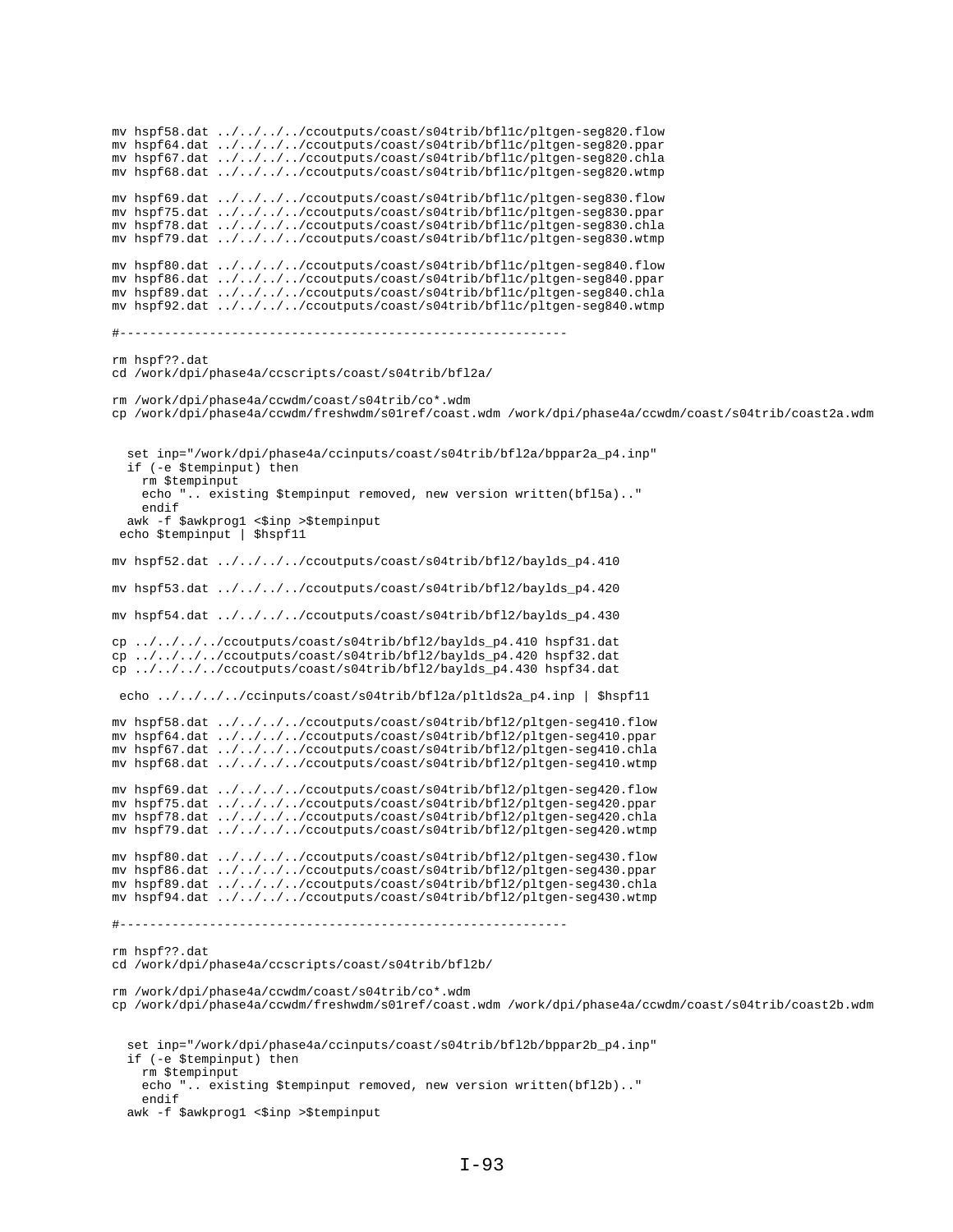mv hspf58.dat ../../../../ccoutputs/coast/s04trib/bfl1c/pltgen-seg820.flow mv hspf64.dat ../../../../ccoutputs/coast/s04trib/bfl1c/pltgen-seg820.ppar mv hspf67.dat ../../../../ccoutputs/coast/s04trib/bfl1c/pltgen-seg820.chla mv hspf68.dat ../../../../ccoutputs/coast/s04trib/bfl1c/pltgen-seg820.wtmp mv hspf69.dat ../../../../ccoutputs/coast/s04trib/bfl1c/pltgen-seg830.flow mv hspf75.dat ../../../../ccoutputs/coast/s04trib/bfl1c/pltgen-seg830.ppar mv hspf78.dat ../../../../ccoutputs/coast/s04trib/bfl1c/pltgen-seg830.chla mv hspf79.dat ../../../../ccoutputs/coast/s04trib/bfl1c/pltgen-seg830.wtmp mv hspf80.dat ../../../../ccoutputs/coast/s04trib/bfl1c/pltgen-seg840.flow mv hspf86.dat ../../../../ccoutputs/coast/s04trib/bfl1c/pltgen-seg840.ppar mv hspf89.dat ../../../../ccoutputs/coast/s04trib/bfl1c/pltgen-seg840.chla mv hspf92.dat ../../../../ccoutputs/coast/s04trib/bfl1c/pltgen-seg840.wtmp #----------------------------------------------------------- rm hspf??.dat cd /work/dpi/phase4a/ccscripts/coast/s04trib/bfl2a/ rm /work/dpi/phase4a/ccwdm/coast/s04trib/co\*.wdm cp /work/dpi/phase4a/ccwdm/freshwdm/s01ref/coast.wdm /work/dpi/phase4a/ccwdm/coast/s04trib/coast2a.wdm set inp="/work/dpi/phase4a/ccinputs/coast/s04trib/bfl2a/bppar2a\_p4.inp" if (-e \$tempinput) then rm \$tempinput echo ".. existing \$tempinput removed, new version written(bfl5a).." endif awk -f \$awkprog1 <\$inp >\$tempinput echo \$tempinput | \$hspf11 mv hspf52.dat ../../../../ccoutputs/coast/s04trib/bfl2/baylds\_p4.410 mv hspf53.dat ../../../../ccoutputs/coast/s04trib/bfl2/baylds\_p4.420 mv hspf54.dat ../../../../ccoutputs/coast/s04trib/bfl2/baylds\_p4.430 cp ../../../../ccoutputs/coast/s04trib/bfl2/baylds\_p4.410 hspf31.dat cp ../../../../ccoutputs/coast/s04trib/bfl2/baylds\_p4.420 hspf32.dat cp ../../../../ccoutputs/coast/s04trib/bfl2/baylds\_p4.430 hspf34.dat echo ../../../../ccinputs/coast/s04trib/bfl2a/pltlds2a\_p4.inp | \$hspf11 mv hspf58.dat ../../../../ccoutputs/coast/s04trib/bfl2/pltgen-seg410.flow mv hspf64.dat ../../../../ccoutputs/coast/s04trib/bfl2/pltgen-seg410.ppar mv hspf67.dat ../../../../ccoutputs/coast/s04trib/bfl2/pltgen-seg410.chla mv hspf68.dat ../../../../ccoutputs/coast/s04trib/bfl2/pltgen-seg410.wtmp mv hspf69.dat ../../../../ccoutputs/coast/s04trib/bfl2/pltgen-seg420.flow mv hspf75.dat ../../../../ccoutputs/coast/s04trib/bfl2/pltgen-seg420.ppar mv hspf78.dat ../../../../ccoutputs/coast/s04trib/bfl2/pltgen-seg420.chla mv hspf79.dat ../../../../ccoutputs/coast/s04trib/bfl2/pltgen-seg420.wtmp mv hspf80.dat ../../../../ccoutputs/coast/s04trib/bfl2/pltgen-seg430.flow mv hspf86.dat ../../../../ccoutputs/coast/s04trib/bfl2/pltgen-seg430.ppar mv hspf89.dat ../../../../ccoutputs/coast/s04trib/bfl2/pltgen-seg430.chla mv hspf94.dat ../../../../ccoutputs/coast/s04trib/bfl2/pltgen-seg430.wtmp #----------------------------------------------------------- rm hspf??.dat cd /work/dpi/phase4a/ccscripts/coast/s04trib/bfl2b/ rm /work/dpi/phase4a/ccwdm/coast/s04trib/co\*.wdm cp /work/dpi/phase4a/ccwdm/freshwdm/s01ref/coast.wdm /work/dpi/phase4a/ccwdm/coast/s04trib/coast2b.wdm set inp="/work/dpi/phase4a/ccinputs/coast/s04trib/bfl2b/bppar2b\_p4.inp" if (-e \$tempinput) then rm \$tempinput echo ".. existing \$tempinput removed, new version written(bfl2b).." endif awk -f \$awkprog1 <\$inp >\$tempinput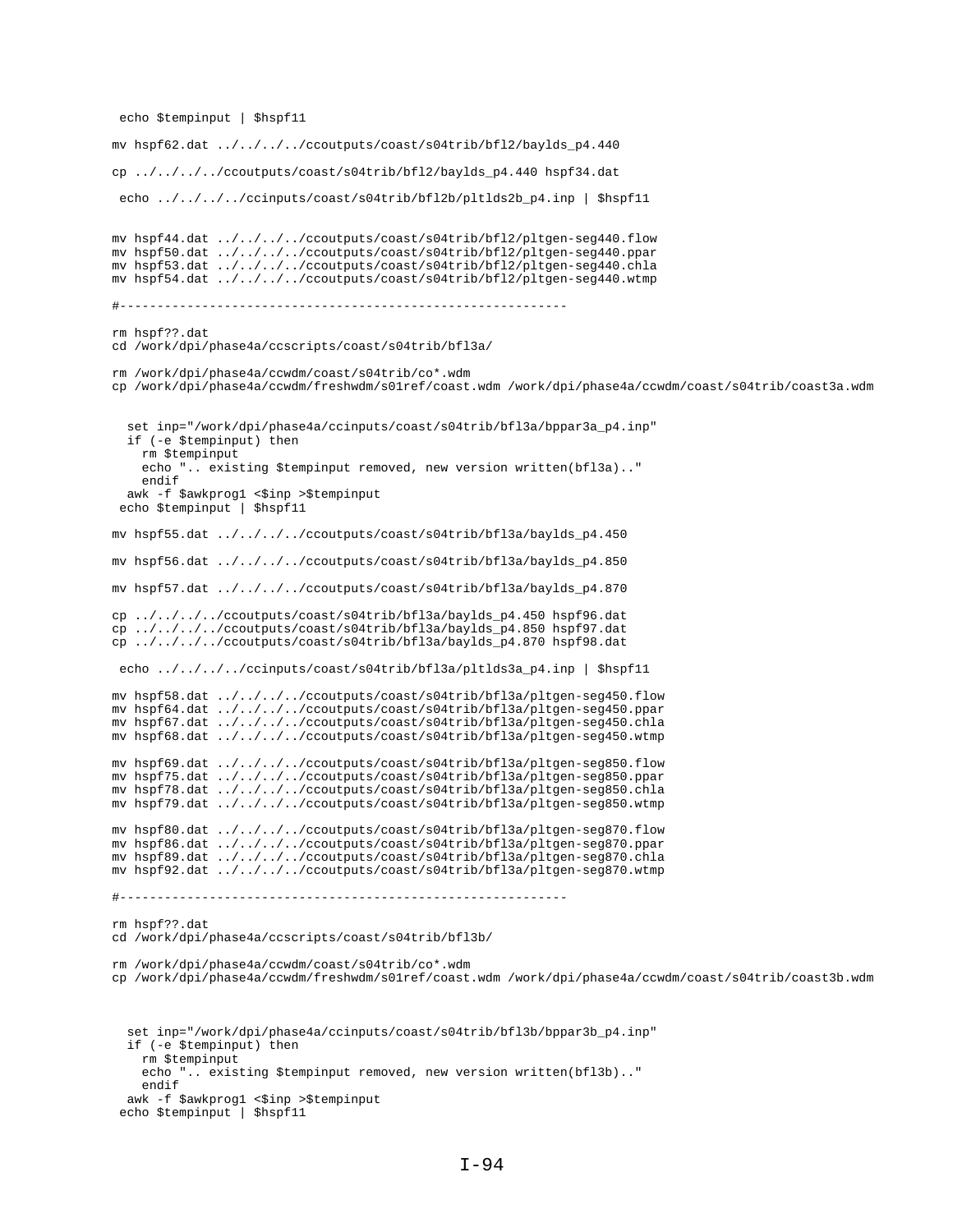echo \$tempinput | \$hspf11

```
mv hspf62.dat ../../../../ccoutputs/coast/s04trib/bfl2/baylds_p4.440
cp ../../../../ccoutputs/coast/s04trib/bfl2/baylds_p4.440 hspf34.dat
 echo ../../../../ccinputs/coast/s04trib/bfl2b/pltlds2b_p4.inp | $hspf11 
mv hspf44.dat ../../../../ccoutputs/coast/s04trib/bfl2/pltgen-seg440.flow
mv hspf50.dat ../../../../ccoutputs/coast/s04trib/bfl2/pltgen-seg440.ppar
mv hspf53.dat ../../../../ccoutputs/coast/s04trib/bfl2/pltgen-seg440.chla
mv hspf54.dat ../../../../ccoutputs/coast/s04trib/bfl2/pltgen-seg440.wtmp
#------------------------------------------------------------
rm hspf??.dat
cd /work/dpi/phase4a/ccscripts/coast/s04trib/bfl3a/
rm /work/dpi/phase4a/ccwdm/coast/s04trib/co*.wdm
cp /work/dpi/phase4a/ccwdm/freshwdm/s01ref/coast.wdm /work/dpi/phase4a/ccwdm/coast/s04trib/coast3a.wdm
   set inp="/work/dpi/phase4a/ccinputs/coast/s04trib/bfl3a/bppar3a_p4.inp"
   if (-e $tempinput) then
     rm $tempinput
     echo ".. existing $tempinput removed, new version written(bfl3a).."
     endif
 awk -f $awkprog1 <$inp >$tempinput
 echo $tempinput | $hspf11
mv hspf55.dat ../../../../ccoutputs/coast/s04trib/bfl3a/baylds_p4.450
mv hspf56.dat ../../../../ccoutputs/coast/s04trib/bfl3a/baylds_p4.850
mv hspf57.dat ../../../../ccoutputs/coast/s04trib/bfl3a/baylds_p4.870
cp ../../../../ccoutputs/coast/s04trib/bfl3a/baylds_p4.450 hspf96.dat
cp \ldots / \ldots / \ldots /ccoutputs/coast/s04trib/bfl3a/baylds_p4.850 hspf97.dat
cp ../../../../ccoutputs/coast/s04trib/bfl3a/baylds_p4.870 hspf98.dat
 echo ../../../../ccinputs/coast/s04trib/bfl3a/pltlds3a_p4.inp | $hspf11 
mv hspf58.dat ../../../../ccoutputs/coast/s04trib/bfl3a/pltgen-seg450.flow
mv hspf64.dat ../../../../ccoutputs/coast/s04trib/bfl3a/pltgen-seg450.ppar
mv hspf67.dat ../../../../ccoutputs/coast/s04trib/bfl3a/pltgen-seg450.chla
mv hspf68.dat ../../../../ccoutputs/coast/s04trib/bfl3a/pltgen-seg450.wtmp
mv hspf69.dat ../../../../ccoutputs/coast/s04trib/bfl3a/pltgen-seg850.flow
mv hspf75.dat ../../../../ccoutputs/coast/s04trib/bfl3a/pltgen-seg850.ppar
mv hspf78.dat ../../../../ccoutputs/coast/s04trib/bfl3a/pltgen-seg850.chla
mv hspf79.dat ../../../../ccoutputs/coast/s04trib/bfl3a/pltgen-seg850.wtmp
mv hspf80.dat ../../../../ccoutputs/coast/s04trib/bfl3a/pltgen-seg870.flow
mv hspf86.dat ../../../../ccoutputs/coast/s04trib/bfl3a/pltgen-seg870.ppar
mv hspf89.dat ../../../../ccoutputs/coast/s04trib/bfl3a/pltgen-seg870.chla
mv hspf92.dat ../../../../ccoutputs/coast/s04trib/bfl3a/pltgen-seg870.wtmp
#------------------------------------------------------------
rm hspf??.dat
cd /work/dpi/phase4a/ccscripts/coast/s04trib/bfl3b/
rm /work/dpi/phase4a/ccwdm/coast/s04trib/co*.wdm
cp /work/dpi/phase4a/ccwdm/freshwdm/s01ref/coast.wdm /work/dpi/phase4a/ccwdm/coast/s04trib/coast3b.wdm
   set inp="/work/dpi/phase4a/ccinputs/coast/s04trib/bfl3b/bppar3b_p4.inp"
   if (-e $tempinput) then
    rm $tempinput
     echo ".. existing $tempinput removed, new version written(bfl3b).."
     endif
   awk -f $awkprog1 <$inp >$tempinput
  echo $tempinput | $hspf11
```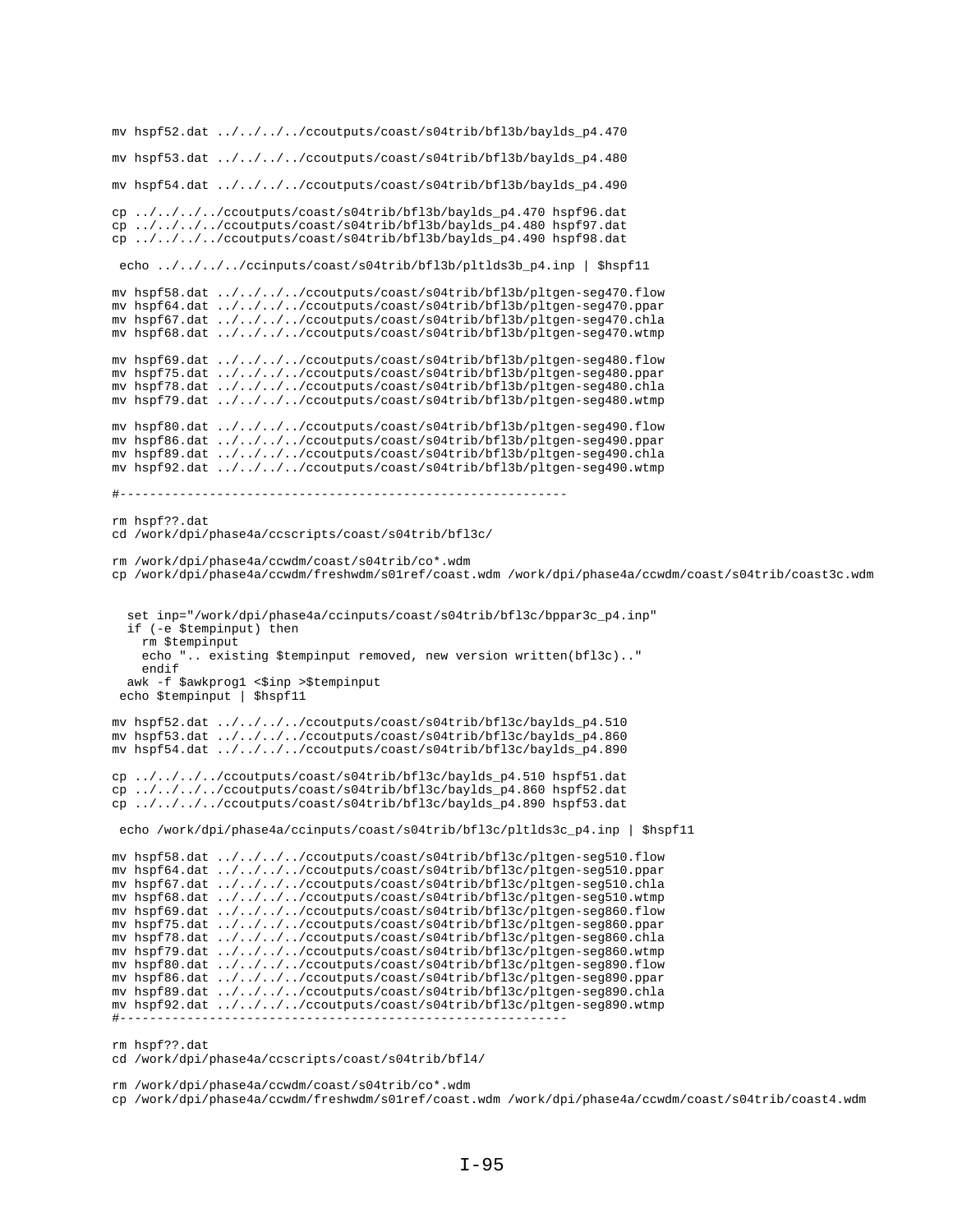```
mv hspf52.dat ../../../../ccoutputs/coast/s04trib/bfl3b/baylds_p4.470
mv hspf53.dat ../../../../ccoutputs/coast/s04trib/bfl3b/baylds_p4.480
mv hspf54.dat ../../../../ccoutputs/coast/s04trib/bfl3b/baylds_p4.490
cp ../../../../ccoutputs/coast/s04trib/bfl3b/baylds_p4.470 hspf96.dat
cp ../../../../ccoutputs/coast/s04trib/bfl3b/baylds_p4.480 hspf97.dat
cp ../../../../ccoutputs/coast/s04trib/bfl3b/baylds_p4.490 hspf98.dat
 echo ../../../../ccinputs/coast/s04trib/bfl3b/pltlds3b_p4.inp | $hspf11
mv hspf58.dat ../../../../ccoutputs/coast/s04trib/bfl3b/pltgen-seg470.flow
mv hspf64.dat ../../../../ccoutputs/coast/s04trib/bfl3b/pltgen-seg470.ppar
mv hspf67.dat ../../../../ccoutputs/coast/s04trib/bfl3b/pltgen-seg470.chla
mv hspf68.dat ../../../../ccoutputs/coast/s04trib/bfl3b/pltgen-seg470.wtmp
mv hspf69.dat ../../../../ccoutputs/coast/s04trib/bfl3b/pltgen-seg480.flow
mv hspf75.dat ../../../../ccoutputs/coast/s04trib/bfl3b/pltgen-seg480.ppar
mv hspf78.dat ../../../../ccoutputs/coast/s04trib/bfl3b/pltgen-seg480.chla
mv hspf79.dat ../../../../ccoutputs/coast/s04trib/bfl3b/pltgen-seg480.wtmp
mv hspf80.dat ../../../../ccoutputs/coast/s04trib/bfl3b/pltgen-seg490.flow
mv hspf86.dat ../../../../ccoutputs/coast/s04trib/bfl3b/pltgen-seg490.ppar
mv hspf89.dat ../../../../ccoutputs/coast/s04trib/bfl3b/pltgen-seg490.chla
mv hspf92.dat ../../../../ccoutputs/coast/s04trib/bfl3b/pltgen-seg490.wtmp
#------------------------------------------------------------
rm hspf??.dat
cd /work/dpi/phase4a/ccscripts/coast/s04trib/bfl3c/
rm /work/dpi/phase4a/ccwdm/coast/s04trib/co*.wdm
cp /work/dpi/phase4a/ccwdm/freshwdm/s01ref/coast.wdm /work/dpi/phase4a/ccwdm/coast/s04trib/coast3c.wdm
   set inp="/work/dpi/phase4a/ccinputs/coast/s04trib/bfl3c/bppar3c_p4.inp"
   if (-e $tempinput) then
    rm $tempinput
     echo ".. existing $tempinput removed, new version written(bfl3c).."
    endif
  awk -f $awkprog1 <$inp >$tempinput
  echo $tempinput | $hspf11
mv hspf52.dat ../../../../ccoutputs/coast/s04trib/bfl3c/baylds_p4.510
mv hspf53.dat ../../../../ccoutputs/coast/s04trib/bfl3c/baylds_p4.860
mv hspf54.dat ../../../../ccoutputs/coast/s04trib/bfl3c/baylds_p4.890
cp ../../../../ccoutputs/coast/s04trib/bfl3c/baylds_p4.510 hspf51.dat
cp ../../../../ccoutputs/coast/s04trib/bfl3c/baylds_p4.860 hspf52.dat
cp ../../../../ccoutputs/coast/s04trib/bfl3c/baylds_p4.890 hspf53.dat
 echo /work/dpi/phase4a/ccinputs/coast/s04trib/bfl3c/pltlds3c_p4.inp | $hspf11
mv hspf58.dat ../../../../ccoutputs/coast/s04trib/bfl3c/pltgen-seg510.flow
mv hspf64.dat ../../../../ccoutputs/coast/s04trib/bfl3c/pltgen-seg510.ppar
mv hspf67.dat ../../../../ccoutputs/coast/s04trib/bfl3c/pltgen-seg510.chla
mv hspf68.dat ../../../../ccoutputs/coast/s04trib/bfl3c/pltgen-seg510.wtmp
mv hspf69.dat ../../../../ccoutputs/coast/s04trib/bfl3c/pltgen-seg860.flow
mv hspf75.dat ../../../../ccoutputs/coast/s04trib/bfl3c/pltgen-seg860.ppar
mv hspf78.dat ../../../../ccoutputs/coast/s04trib/bfl3c/pltgen-seg860.chla
mv hspf79.dat ../../../../ccoutputs/coast/s04trib/bfl3c/pltgen-seg860.wtmp
mv hspf80.dat ../../../../ccoutputs/coast/s04trib/bfl3c/pltgen-seg890.flow
mv hspf86.dat ../../../../ccoutputs/coast/s04trib/bfl3c/pltgen-seg890.ppar
mv hspf89.dat ../../../../ccoutputs/coast/s04trib/bfl3c/pltgen-seg890.chla
mv hspf92.dat ../../../../ccoutputs/coast/s04trib/bfl3c/pltgen-seg890.wtmp
#------------------------------------------------------------
```
rm hspf??.dat

cd /work/dpi/phase4a/ccscripts/coast/s04trib/bfl4/

rm /work/dpi/phase4a/ccwdm/coast/s04trib/co\*.wdm

cp /work/dpi/phase4a/ccwdm/freshwdm/s01ref/coast.wdm /work/dpi/phase4a/ccwdm/coast/s04trib/coast4.wdm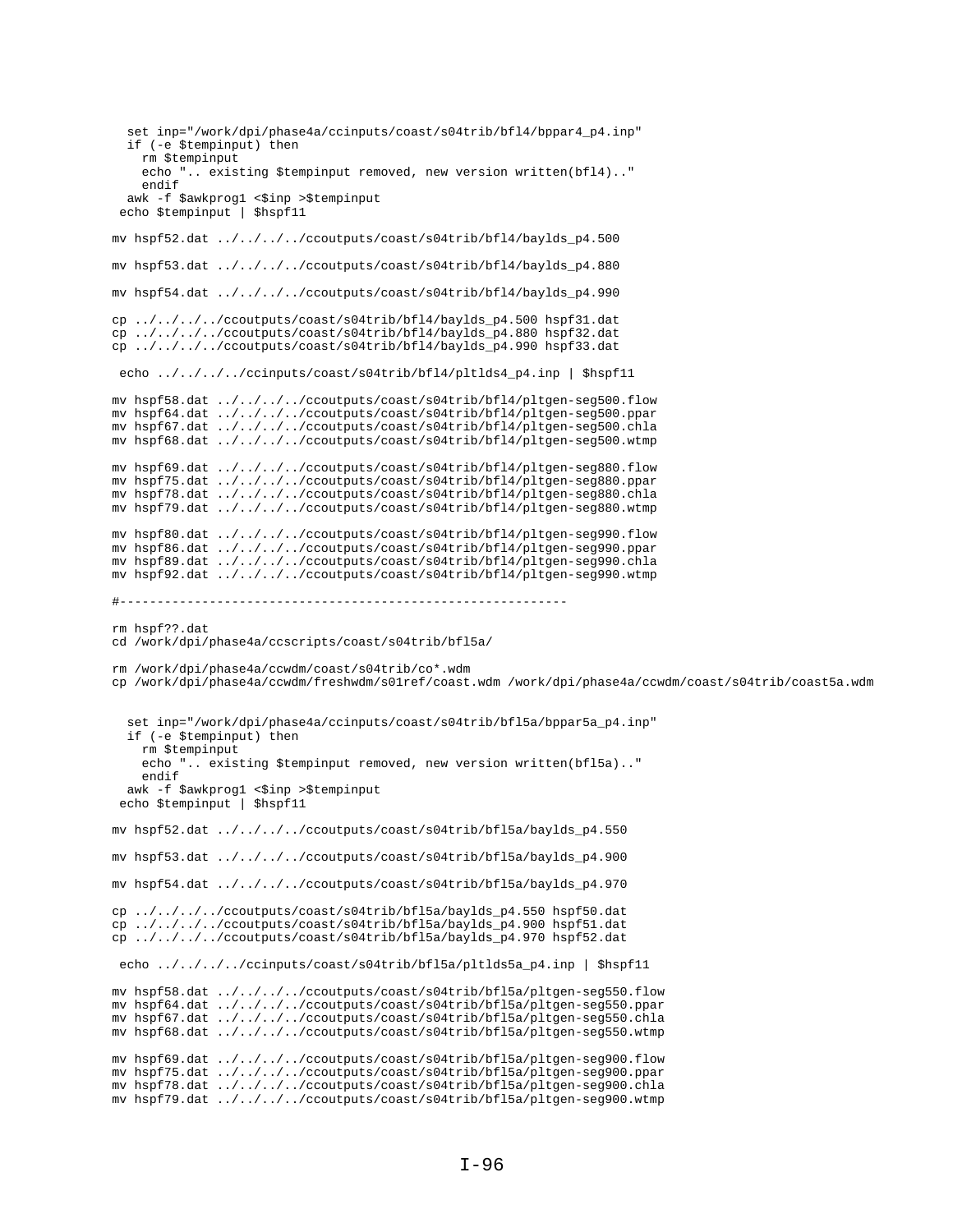```
set inp="/work/dpi/phase4a/ccinputs/coast/s04trib/bf14/bppar4_p4.inp"
  if (-e $tempinput) then
    rm Stempinput
    echo ".. existing $tempinput removed, new version written(bfl4).."
    endif
 \begin{minipage}{.4\linewidth} \textbf{awk} - \textbf{f} \textbf{ } \texttt{\$awkprog1} \textbf{ } \texttt{<}\texttt{\$imp} \textbf{ } \texttt{~\$tempinput} \\ \textbf{echo} \textbf{ } \texttt{\$tempinput} \textbf{ } | \textbf{ } \texttt{\$hspf11} \textbf{ } \texttt{\$} \end{minipage}mv hspf52.dat ../../../../ccoutputs/coast/s04trib/bf14/baylds_p4.500
mv hspf53.dat ../../../../ccoutputs/coast/s04trib/bf14/baylds_p4.880
my hspf54.dat ../../../../ccoutputs/coast/s04trib/bf14/baylds p4.990
cp ../../../../ccoutputs/coast/s04trib/bf14/baylds p4.500 hspf31.dat
cp ../../../../ccoutputs/coast/s04trib/bfl4/baylds_p4.880 hspf32.dat
\overline{cp} ../../../../ccoutputs/coast/s04trib/bf14/baylds p4.990 hspf33.dat
 echo ../../../../ccinputs/coast/s04trib/bfl4/pltlds4_p4.inp | $hspfl1
mv hspf58.dat ../../../../ccoutputs/coast/s04trib/bf14/pltgen-seg500.flow
mv hspf64.dat ../../../../ccoutputs/coast/s04trib/bf14/pltgen-seg500.ppar
mv hspf67.dat ../../../../cooutputs/coast/s04trib/bf14/pltgen-seg500.chla<br>mv hspf68.dat ../../../../cooutputs/coast/s04trib/bf14/pltgen-seg500.wtmp
mv hspf69.dat ../../../../ccoutputs/coast/s04trib/bf14/pltgen-seg880.flow
mv hspf75.dat ../../../../ccoutputs/coast/s04trib/bf14/pltgen-seg880.ppar
mv hspf78.dat ../../../../ccoutputs/coast/s04trib/bf14/pltgen-seg880.chla
mv hspf79.dat ../../../../ccoutputs/coast/s04trib/bfl4/pltgen-seg880.wtmp
mv hspf80.dat ../../../../ccoutputs/coast/s04trib/bf14/pltgen-seg990.flow<br>mv hspf86.dat ../../../../ccoutputs/coast/s04trib/bf14/pltgen-seg990.ppar
mv hspf89.dat ../../../../ccoutputs/coast/s04trib/bf14/pltgen-seg990.chla
mv hspf92.dat ../../../../ccoutputs/coast/s04trib/bf14/pltgen-seg990.wtmp
rm hspf??.dat
cd /work/dpi/phase4a/ccscripts/coast/s04trib/bfl5a/
rm /work/dpi/phase4a/ccwdm/coast/s04trib/co*.wdm
cp /work/dpi/phase4a/ccwdm/freshwdm/s01ref/coast.wdm /work/dpi/phase4a/ccwdm/coast/s04trib/coast5a.wdm
  set inp="/work/dpi/phase4a/ccinputs/coast/s04trib/bfl5a/bppar5a_p4.inp"
  if (-e $tempinput) then
    rm $tempinput
    echo ".. existing $tempinput removed, new version written(bfl5a).."
    endif
 awk -f $awkprog1 <$inp >$tempinput<br>echo $tempinput | $hspf11
mv hspf52.dat ../../../../ccoutputs/coast/s04trib/bf15a/baylds_p4.550
mv hspf53.dat ../../../../ccoutputs/coast/s04trib/bf15a/baylds_p4.900
my hspf54.dat ../../../../ccoutputs/coast/s04trib/bf15a/baylds p4.970
cp ../../../../ccoutputs/coast/s04trib/bfl5a/baylds_p4.550 hspf50.dat
cp ../../../../ccoutputs/coast/s04trib/bfl5a/baylds_p4.900 hspf51.dat
cp ../../../ccoutputs/coast/s04trib/bfl5a/baylds_p4.970 hspf52.dat
 echo ../../../../ccinputs/coast/s04trib/bfl5a/pltlds5a p4.inp | $hspf11
mv hspf58.dat ../../../../ccoutputs/coast/s04trib/bf15a/pltgen-seg550.flow
mv hspf64.dat ../../../../ccoutputs/coast/s04trib/bfl5a/pltgen-seg550.ppar
mv hspf67.dat ../../../../ccoutputs/coast/s04trib/bf15a/pltgen-seg550.chla
mv hspf68.dat ../../../../ccoutputs/coast/s04trib/bf15a/pltgen-seg550.wtmp
mv hspf69.dat ../../../../ccoutputs/coast/s04trib/bf15a/pltgen-seg900.flow
mv hspf75.dat ../../../../ccoutputs/coast/s04trib/bf15a/pltgen-seg900.ppar
mv hspf78.dat ../../../../ccoutputs/coast/s04trib/bf15a/pltgen-seg900.chla
mv hspf79.dat ../../../../ccoutputs/coast/s04trib/bfl5a/pltgen-seg900.wtmp
```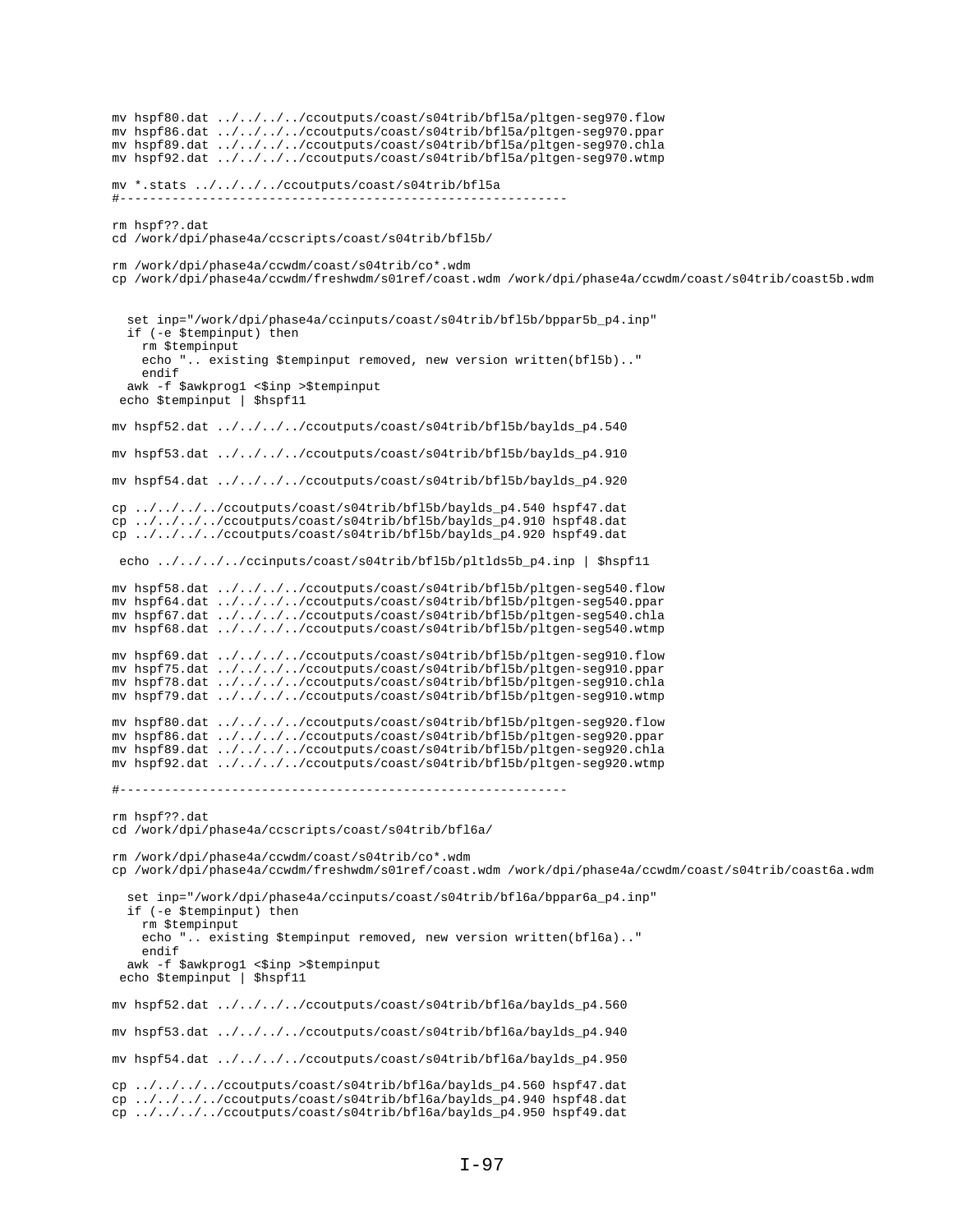```
mv hspf80.dat ../../../../ccoutputs/coast/s04trib/bfl5a/pltgen-seg970.flow
mv hspf86.dat ../../../../ccoutputs/coast/s04trib/bfl5a/pltgen-seg970.ppar
mv hspf89.dat ../../../../ccoutputs/coast/s04trib/bfl5a/pltgen-seg970.chla
mv hspf92.dat ../../../../ccoutputs/coast/s04trib/bfl5a/pltgen-seg970.wtmp
mv *.stats ../../../../ccoutputs/coast/s04trib/bfl5a
#------------------------------------------------------------
rm hspf??.dat
cd /work/dpi/phase4a/ccscripts/coast/s04trib/bfl5b/
rm /work/dpi/phase4a/ccwdm/coast/s04trib/co*.wdm
cp /work/dpi/phase4a/ccwdm/freshwdm/s01ref/coast.wdm /work/dpi/phase4a/ccwdm/coast/s04trib/coast5b.wdm
  set inp="/work/dpi/phase4a/ccinputs/coast/s04trib/bfl5b/bppar5b_p4.inp"
   if (-e $tempinput) then
     rm $tempinput
     echo ".. existing $tempinput removed, new version written(bfl5b).."
    endif
  awk -f $awkprog1 <$inp >$tempinput
  echo $tempinput | $hspf11
mv hspf52.dat ../../../../ccoutputs/coast/s04trib/bfl5b/baylds_p4.540
mv hspf53.dat ../../../../ccoutputs/coast/s04trib/bfl5b/baylds_p4.910
mv hspf54.dat ../../../../ccoutputs/coast/s04trib/bfl5b/baylds_p4.920
cp ../../../../ccoutputs/coast/s04trib/bfl5b/baylds_p4.540 hspf47.dat
cp ../../../../ccoutputs/coast/s04trib/bfl5b/baylds_p4.910 hspf48.dat
cp ../../../../ccoutputs/coast/s04trib/bfl5b/baylds_p4.920 hspf49.dat
 echo ../../../../ccinputs/coast/s04trib/bfl5b/pltlds5b_p4.inp | $hspf11
mv hspf58.dat ../../../../ccoutputs/coast/s04trib/bfl5b/pltgen-seg540.flow
mv hspf64.dat ../../../../ccoutputs/coast/s04trib/bfl5b/pltgen-seg540.ppar
mv hspf67.dat ../../../../ccoutputs/coast/s04trib/bfl5b/pltgen-seg540.chla
mv hspf68.dat ../../../../ccoutputs/coast/s04trib/bfl5b/pltgen-seg540.wtmp
mv hspf69.dat ../../../../ccoutputs/coast/s04trib/bfl5b/pltgen-seg910.flow
mv hspf75.dat ../../../../ccoutputs/coast/s04trib/bfl5b/pltgen-seg910.ppar
mv hspf78.dat ../../../../ccoutputs/coast/s04trib/bfl5b/pltgen-seg910.chla
mv hspf79.dat ../../../../ccoutputs/coast/s04trib/bfl5b/pltgen-seg910.wtmp
mv hspf80.dat ../../../../ccoutputs/coast/s04trib/bfl5b/pltgen-seg920.flow
mv hspf86.dat ../../../../ccoutputs/coast/s04trib/bfl5b/pltgen-seg920.ppar
mv hspf89.dat ../../../../ccoutputs/coast/s04trib/bfl5b/pltgen-seg920.chla
mv hspf92.dat ../../../../ccoutputs/coast/s04trib/bfl5b/pltgen-seg920.wtmp
#------------------------------------------------------------
rm hspf??.dat
cd /work/dpi/phase4a/ccscripts/coast/s04trib/bfl6a/
rm /work/dpi/phase4a/ccwdm/coast/s04trib/co*.wdm
cp /work/dpi/phase4a/ccwdm/freshwdm/s01ref/coast.wdm /work/dpi/phase4a/ccwdm/coast/s04trib/coast6a.wdm
   set inp="/work/dpi/phase4a/ccinputs/coast/s04trib/bfl6a/bppar6a_p4.inp"
   if (-e $tempinput) then
     rm $tempinput
    echo ".. existing $tempinput removed, new version written(bfl6a).."
     endif
  awk -f $awkprog1 <$inp >$tempinput
  echo $tempinput | $hspf11
mv hspf52.dat ../../../../ccoutputs/coast/s04trib/bfl6a/baylds_p4.560
mv hspf53.dat ../../../../ccoutputs/coast/s04trib/bfl6a/baylds_p4.940
mv hspf54.dat ../../../../ccoutputs/coast/s04trib/bfl6a/baylds_p4.950
cp ../../../../ccoutputs/coast/s04trib/bfl6a/baylds_p4.560 hspf47.dat
cp ../../../../ccoutputs/coast/s04trib/bfl6a/baylds_p4.940 hspf48.dat
cp ../../../../ccoutputs/coast/s04trib/bfl6a/baylds_p4.950 hspf49.dat
```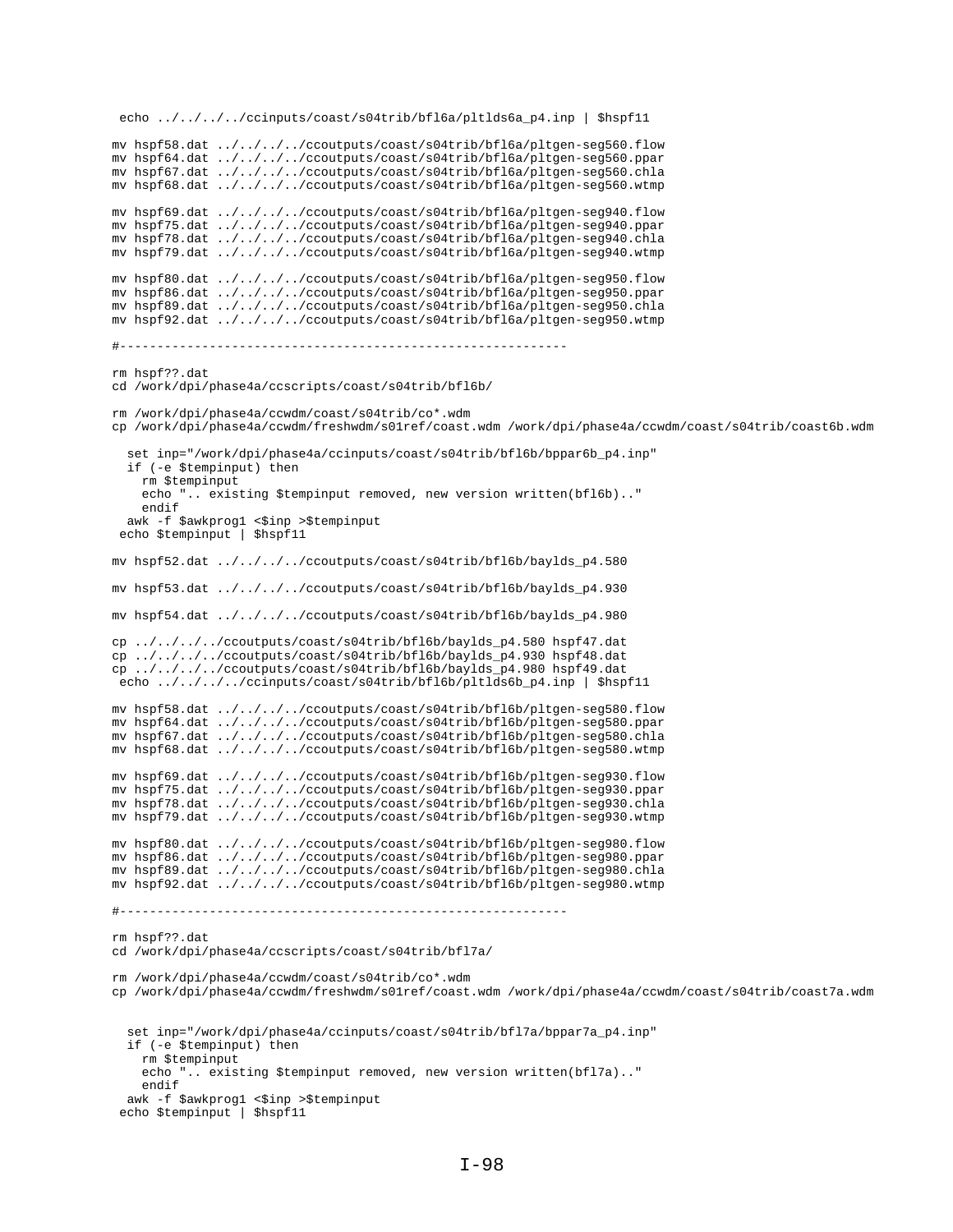```
echo ../../../../ccinputs/coast/s04trib/bfl6a/pltlds6a_p4.inp | $hspf11
mv hspf58.dat ../../../../ccoutputs/coast/s04trib/bfl6a/pltgen-seg560.flow
mv hspf64.dat ../../../../ccoutputs/coast/s04trib/bfl6a/pltgen-seg560.ppar
mv hspf67.dat ../../../../ccoutputs/coast/s04trib/bfl6a/pltgen-seg560.chla
mv hspf68.dat ../../../../ccoutputs/coast/s04trib/bfl6a/pltgen-seg560.wtmp
mv hspf69.dat ../../../../ccoutputs/coast/s04trib/bfl6a/pltgen-seg940.flow
mv hspf75.dat ../../../../ccoutputs/coast/s04trib/bfl6a/pltgen-seg940.ppar
mv hspf78.dat ../../../../ccoutputs/coast/s04trib/bfl6a/pltgen-seg940.chla
mv hspf79.dat ../../../../ccoutputs/coast/s04trib/bfl6a/pltgen-seg940.wtmp
mv hspf80.dat ../../../../ccoutputs/coast/s04trib/bfl6a/pltgen-seg950.flow
mv hspf86.dat ../../../../ccoutputs/coast/s04trib/bfl6a/pltgen-seg950.ppar
mv hspf89.dat ../../../../ccoutputs/coast/s04trib/bfl6a/pltgen-seg950.chla
mv hspf92.dat ../../../../ccoutputs/coast/s04trib/bfl6a/pltgen-seg950.wtmp
#------------------------------------------------------------
rm hspf??.dat
cd /work/dpi/phase4a/ccscripts/coast/s04trib/bfl6b/
rm /work/dpi/phase4a/ccwdm/coast/s04trib/co*.wdm
cp /work/dpi/phase4a/ccwdm/freshwdm/s01ref/coast.wdm /work/dpi/phase4a/ccwdm/coast/s04trib/coast6b.wdm
   set inp="/work/dpi/phase4a/ccinputs/coast/s04trib/bfl6b/bppar6b_p4.inp"
   if (-e $tempinput) then
    rm $tempinput
     echo ".. existing $tempinput removed, new version written(bfl6b).."
     endif
  awk -f $awkprog1 <$inp >$tempinput
  echo $tempinput | $hspf11
mv hspf52.dat ../../../../ccoutputs/coast/s04trib/bfl6b/baylds_p4.580
mv hspf53.dat ../../../../ccoutputs/coast/s04trib/bfl6b/baylds_p4.930
mv hspf54.dat ../../../../ccoutputs/coast/s04trib/bfl6b/baylds_p4.980
cp ../../../../ccoutputs/coast/s04trib/bfl6b/baylds_p4.580 hspf47.dat
cp ../../../../ccoutputs/coast/s04trib/bfl6b/baylds_p4.930 hspf48.dat
cp ../../../../ccoutputs/coast/s04trib/bfl6b/baylds_p4.980 hspf49.dat
echo \ldots/\ldots/\ldots/ccinputs/coast/s04trib/bfl6b/pltlds6b p4.inp | $hspf11
mv hspf58.dat ../../../../ccoutputs/coast/s04trib/bfl6b/pltgen-seg580.flow
mv hspf64.dat ../../../../ccoutputs/coast/s04trib/bfl6b/pltgen-seg580.ppar
mv hspf67.dat ../../../../ccoutputs/coast/s04trib/bfl6b/pltgen-seg580.chla
mv hspf68.dat ../../../../ccoutputs/coast/s04trib/bfl6b/pltgen-seg580.wtmp
mv hspf69.dat ../../../../ccoutputs/coast/s04trib/bfl6b/pltgen-seg930.flow
mv hspf75.dat ../../../../ccoutputs/coast/s04trib/bfl6b/pltgen-seg930.ppar
mv hspf78.dat ../../../../ccoutputs/coast/s04trib/bfl6b/pltgen-seg930.chla
mv hspf79.dat ../../../../ccoutputs/coast/s04trib/bfl6b/pltgen-seg930.wtmp
mv hspf80.dat ../../../../ccoutputs/coast/s04trib/bfl6b/pltgen-seg980.flow
mv hspf86.dat ../../../../ccoutputs/coast/s04trib/bfl6b/pltgen-seg980.ppar
mv hspf89.dat ../../../../ccoutputs/coast/s04trib/bfl6b/pltgen-seg980.chla
mv hspf92.dat ../../../../ccoutputs/coast/s04trib/bfl6b/pltgen-seg980.wtmp
#------------------------------------------------------------
rm hspf??.dat
cd /work/dpi/phase4a/ccscripts/coast/s04trib/bfl7a/
rm /work/dpi/phase4a/ccwdm/coast/s04trib/co*.wdm
cp /work/dpi/phase4a/ccwdm/freshwdm/s01ref/coast.wdm /work/dpi/phase4a/ccwdm/coast/s04trib/coast7a.wdm
   set inp="/work/dpi/phase4a/ccinputs/coast/s04trib/bfl7a/bppar7a_p4.inp"
   if (-e $tempinput) then
    rm $tempinput
     echo ".. existing $tempinput removed, new version written(bfl7a).."
     endif
   awk -f $awkprog1 <$inp >$tempinput
  echo $tempinput | $hspf11
```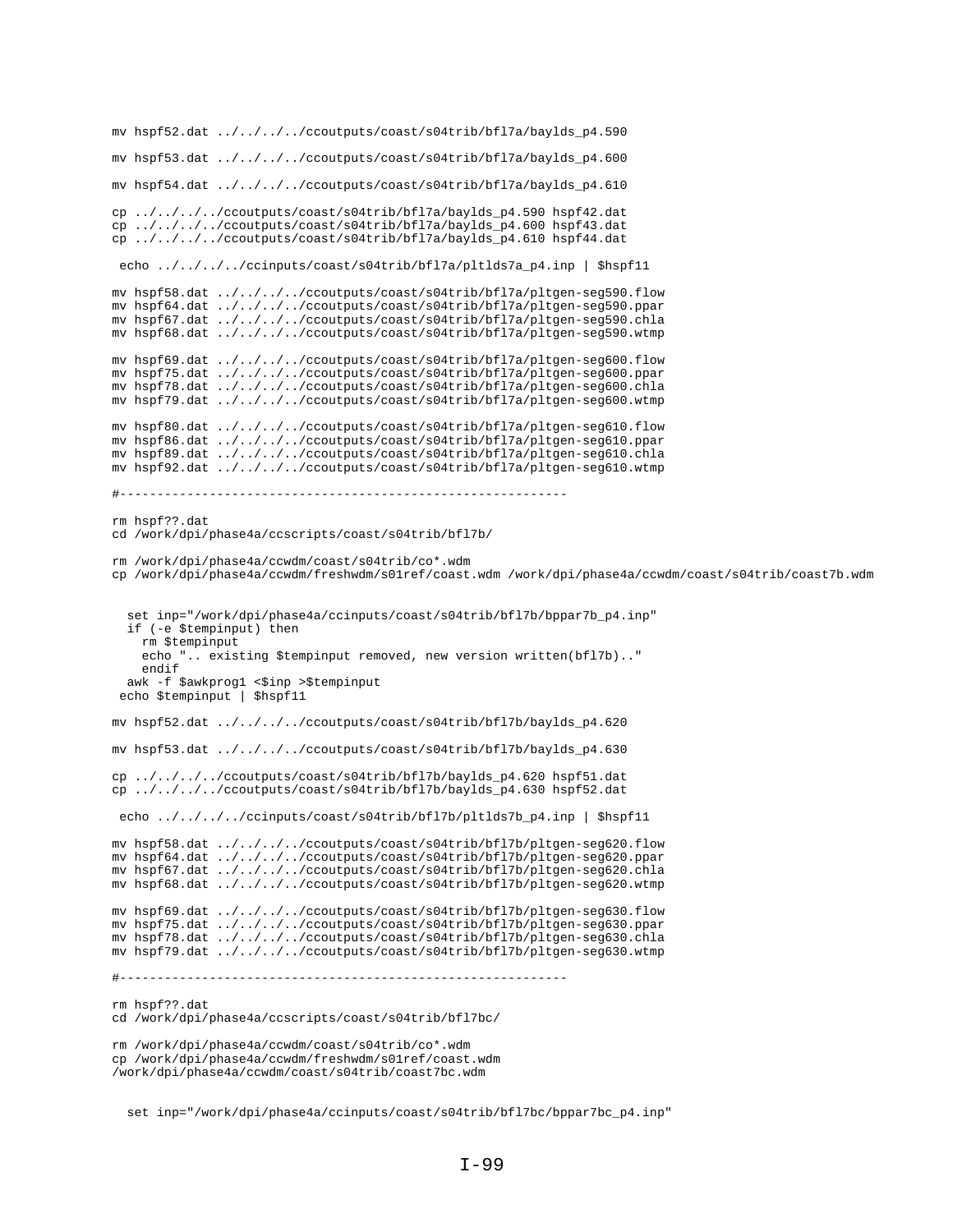```
mv hspf52.dat ../../../../ccoutputs/coast/s04trib/bfl7a/baylds_p4.590
mv hspf53.dat ../../../../ccoutputs/coast/s04trib/bfl7a/baylds_p4.600
mv hspf54.dat ../../../../ccoutputs/coast/s04trib/bfl7a/baylds_p4.610
cp ../../../../ccoutputs/coast/s04trib/bfl7a/baylds_p4.590 hspf42.dat
cp ../../../../ccoutputs/coast/s04trib/bfl7a/baylds_p4.600 hspf43.dat
cp ../../../../ccoutputs/coast/s04trib/bfl7a/baylds_p4.610 hspf44.dat
 echo ../../../../ccinputs/coast/s04trib/bfl7a/pltlds7a_p4.inp | $hspf11
mv hspf58.dat ../../../../ccoutputs/coast/s04trib/bfl7a/pltgen-seg590.flow
mv hspf64.dat ../../../../ccoutputs/coast/s04trib/bfl7a/pltgen-seg590.ppar
mv hspf67.dat ../../../../ccoutputs/coast/s04trib/bfl7a/pltgen-seg590.chla
mv hspf68.dat ../../../../ccoutputs/coast/s04trib/bfl7a/pltgen-seg590.wtmp
mv hspf69.dat ../../../../ccoutputs/coast/s04trib/bfl7a/pltgen-seg600.flow
mv hspf75.dat ../../../../ccoutputs/coast/s04trib/bfl7a/pltgen-seg600.ppar
mv hspf78.dat ../../../../ccoutputs/coast/s04trib/bfl7a/pltgen-seg600.chla
mv hspf79.dat ../../../../ccoutputs/coast/s04trib/bfl7a/pltgen-seg600.wtmp
mv hspf80.dat ../../../../ccoutputs/coast/s04trib/bfl7a/pltgen-seg610.flow
mv hspf86.dat ../../../../ccoutputs/coast/s04trib/bfl7a/pltgen-seg610.ppar
mv hspf89.dat ../../../../ccoutputs/coast/s04trib/bfl7a/pltgen-seg610.chla
mv hspf92.dat ../../../../ccoutputs/coast/s04trib/bfl7a/pltgen-seg610.wtmp
#------------------------------------------------------------
rm hspf??.dat
cd /work/dpi/phase4a/ccscripts/coast/s04trib/bfl7b/
rm /work/dpi/phase4a/ccwdm/coast/s04trib/co*.wdm
cp /work/dpi/phase4a/ccwdm/freshwdm/s01ref/coast.wdm /work/dpi/phase4a/ccwdm/coast/s04trib/coast7b.wdm
   set inp="/work/dpi/phase4a/ccinputs/coast/s04trib/bfl7b/bppar7b_p4.inp"
   if (-e $tempinput) then
    rm $tempinput
     echo ".. existing $tempinput removed, new version written(bfl7b).."
    endif
  awk -f $awkprog1 <$inp >$tempinput
 echo $tempinput | $hspf11
mv hspf52.dat ../../../../ccoutputs/coast/s04trib/bfl7b/baylds_p4.620
mv hspf53.dat ../../../../ccoutputs/coast/s04trib/bfl7b/baylds_p4.630
cp ../../../../ccoutputs/coast/s04trib/bfl7b/baylds_p4.620 hspf51.dat
cp ../../../../ccoutputs/coast/s04trib/bfl7b/baylds_p4.630 hspf52.dat
 echo ../../../../ccinputs/coast/s04trib/bfl7b/pltlds7b_p4.inp | $hspf11
mv hspf58.dat ../../../../ccoutputs/coast/s04trib/bfl7b/pltgen-seg620.flow
mv hspf64.dat ../../../../ccoutputs/coast/s04trib/bfl7b/pltgen-seg620.ppar
mv hspf67.dat ../../../../ccoutputs/coast/s04trib/bfl7b/pltgen-seg620.chla
mv hspf68.dat ../../../../ccoutputs/coast/s04trib/bfl7b/pltgen-seg620.wtmp
mv hspf69.dat ../../../../ccoutputs/coast/s04trib/bfl7b/pltgen-seg630.flow
mv hspf75.dat ../../../../ccoutputs/coast/s04trib/bfl7b/pltgen-seg630.ppar
mv hspf78.dat ../../../../ccoutputs/coast/s04trib/bfl7b/pltgen-seg630.chla
mv hspf79.dat ../../../../ccoutputs/coast/s04trib/bfl7b/pltgen-seg630.wtmp
#------------------------------------------------------------
rm hspf??.dat
cd /work/dpi/phase4a/ccscripts/coast/s04trib/bfl7bc/
rm /work/dpi/phase4a/ccwdm/coast/s04trib/co*.wdm
cp /work/dpi/phase4a/ccwdm/freshwdm/s01ref/coast.wdm
```
/work/dpi/phase4a/ccwdm/coast/s04trib/coast7bc.wdm

set inp="/work/dpi/phase4a/ccinputs/coast/s04trib/bfl7bc/bppar7bc\_p4.inp"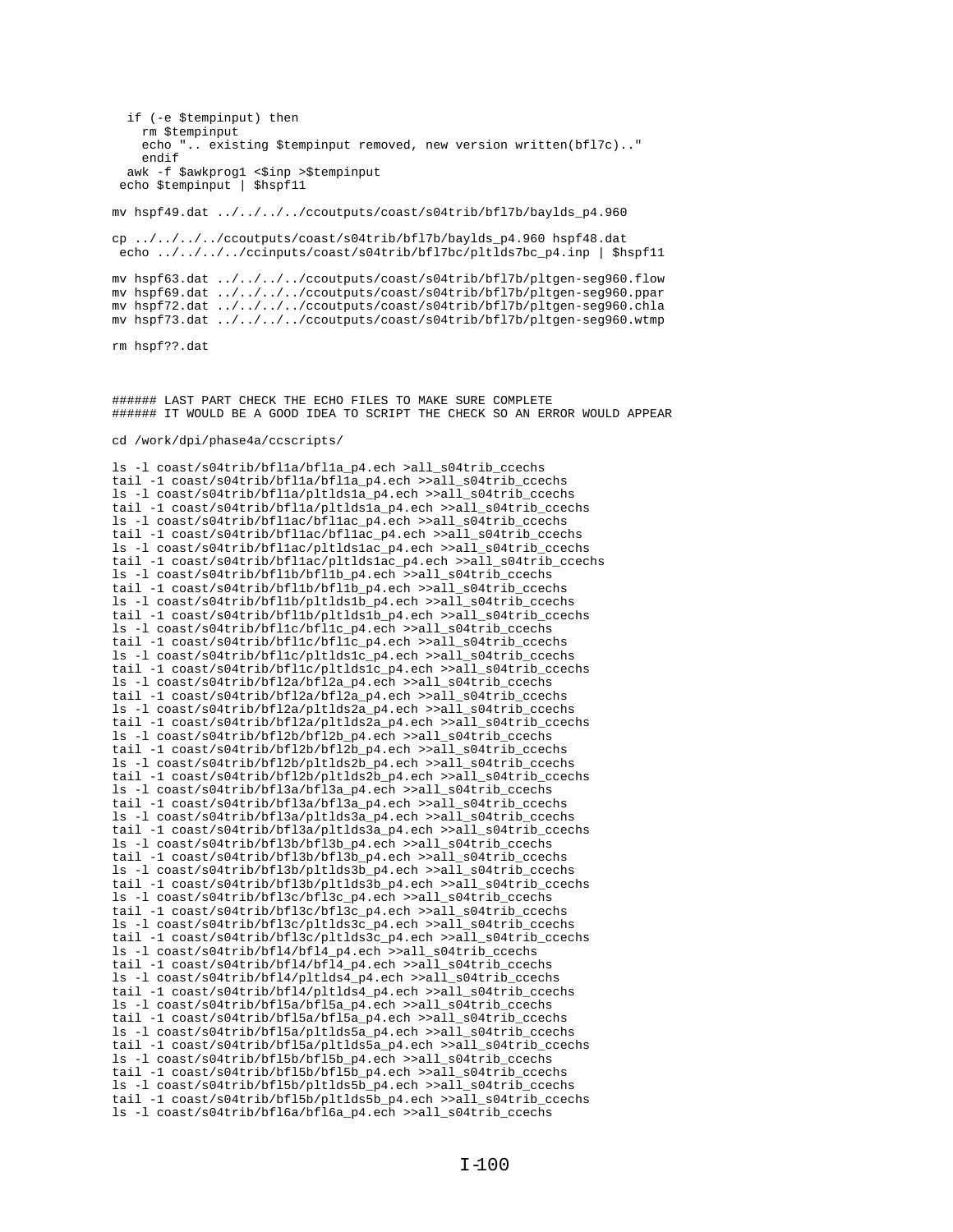```
rm $tempinput
    echo ".. existing $tempinput removed, new version written(bfl7c).."
    endif
  awk -f $awkprog1 <$inp >$tempinput
 echo $tempinput | $hspf11
mv hspf49.dat ../../../../ccoutputs/coast/s04trib/bfl7b/baylds_p4.960
cp ../../../../ccoutputs/coast/s04trib/bfl7b/baylds_p4.960 hspf48.dat
echo ../../../../ccinputs/coast/s04trib/bfl7bc/pltlds7bc_p4.inp | $hspf11
mv hspf63.dat ../../../../ccoutputs/coast/s04trib/bfl7b/pltgen-seg960.flow<br>mv hspf69.dat ../../../../ccoutputs/coast/s04trib/bfl7b/pltgen-seg960.ppar
mv hspf72.dat ../../../../ccoutputs/coast/s04trib/bf17b/pltgen-seg960.chla
my hspf73.dat ../../../../ccoutputs/coast/s04trib/bfl7b/pltqen-seq960.wtmp
rm hspf??.dat
###### LAST PART CHECK THE ECHO FILES TO MAKE SURE COMPLETE
###### IT WOULD BE A GOOD IDEA TO SCRIPT THE CHECK SO AN ERROR WOULD APPEAR
cd /work/dpi/phase4a/ccscripts/
ls -1 coast/s04trib/bfl1a/bfl1a_p4.ech >all_s04trib_ccechs
tail -1 coast/s04trib/bfl1a/bfl1a_p4.ech >>all_s04trib_ccechs
ls -1 coast/s04trib/bfl1a/plt1ds1a_p4.ech >>all_s04trib_ccechs
tail -1 coast/s04trib/bfl1a/pltlds1a_p4.ech >>all_s04trib_ccechs
ls -1 coast/s04trib/bfl1ac/bfl1ac_p4.ech >>all_s04trib_ccechs
tail -1 coast/s04trib/bfl1ac/bfl1ac_p4.ech >>all_s04trib_ccechs
ls -1 coast/s04trib/bfl1ac/pltlds1ac_p4.ech >>all_s04trib_ccechs
tail -1 coast/s04trib/bfllac/pltldslac_p4.ech >>all_s04trib_ccechs
ls -1 coast/s04trib/bfl1b/bfl1b_p4.ech >>all_s04trib_ccechs
tail -1 coast/s04trib/bfl1b/bfl1b_p4.ech >>all_s04trib_ccechs
ls -1 coast/s04trib/bfl1b/pltlds1b_p4.ech >>all_s04trib_ccechs
tail -1 coast/s04trib/bfl1b/pltlds1b_p4.ech >>all_s04trib_ccechs
ls -1 coast/s04trib/bfl1c/bfl1c p4.ech >>all s04trib coechs
tail -1 coast/s04trib/bfllc/bfllc_p4.ech >>all_s04trib_ccechs
```
if (-e \$tempinput) then

ls -1 coast/s04trib/bfl1c/pltlds1c\_p4.ech >>all\_s04trib\_ccechs tail -1 coast/s04trib/bfllc/pltldslc\_p4.ech >>all\_s04trib\_ccechs 1s -1  $\cos t / s04 \text{trib/bf12a/bf12a p4.ech}$  >>all  $s04 \text{trib ccech}$ tail -1 coast/s04trib/bfl2a/bfl2a\_p4.ech >>all\_s04trib\_ccechs ls -1 coast/s04trib/bfl2a/pltlds2a\_p4.ech >>all\_s04trib\_ccechs tail -1 coast/s04trib/bfl2a/pltlds2a\_p4.ech >>all\_s04trib\_ccechs ls -1 coast/s04trib/bfl2b/pltlds2b\_p4.ech >>all\_s04trib\_ccechs tail -1 coast/s04trib/bfl2b/pltlds2b\_p4.ech >>all\_s04trib\_ccechs ls -1 coast/s04trib/bfl3a/bfl3a\_p4.ech >>all\_s04trib\_ccechs tail -1 coast/s04trib/bfl3a/bfl3a\_p4.ech >>all\_s04trib\_ccechs ls -1 coast/s04trib/bfl3a/pltlds3a\_p4.ech >>all\_s04trib\_ccechs tail -1 coast/s04trib/bfl3a/pltlds3a\_p4.ech >>all\_s04trib\_ccechs ls -1 coast/s04trib/bf13b/bf13b\_p4.ech >>all\_s04trib\_ccechs tail -1 coast/s04trib/bf13b/bf13b\_p4.ech >>all\_s04trib\_ccechs ls -1 coast/s04trib/bfl3b/pltlds3b\_p4.ech >>all\_s04trib\_ccechs tail -1 coast/s04trib/bfl3b/pltlds3b p4.ech >>all s04trib ccechs ls -1 coast/s04trib/bfl3c/bfl3c\_p4.ech >>all\_s04trib\_ccechs tail -1 coast/s04trib/bf13c/bf13c\_p4.ech >>all\_s04trib\_ccechs ls -1 coast/s04trib/bfl3c/pltlds3c\_p4.ech >>all\_s04trib\_ccechs tail -1 coast/s04trib/bfl3c/pltlds3c\_p4.ech >>all\_s04trib\_ccechs ls -1 coast/s04trib/bf14/bf14\_p4.ech >>all\_s04trib\_ccechs tail -1 coast/s04trib/bfl4/bfl4\_p4.ech >>all\_s04trib\_ccechs ls -1 coast/s04trib/bf14/pltlds4\_p4.ech >>all\_s04trib\_ccechs tail -1 coast/s04trib/bfl4/pltlds4\_p4.ech >>all\_s04trib\_ccechs ls -1 coast/s04trib/bfl5a/bfl5a\_p4.ech >>all\_s04trib\_ccechs tail -1 coast/s04trib/bf15a/bf15a\_p4.ech >>all\_s04trib\_ccechs ls -1 coast/s04trib/bfl5a/pltlds5a\_p4.ech >>all\_s04trib\_ccechs tail -1 coast/s04trib/bfl5a/pltlds5a\_p4.ech >>all\_s04trib\_ccechs

ls -1 coast/s04trib/bf12b/bf12b\_p4.ech >>all\_s04trib\_ccechs tail -1 coast/s04trib/bf12b/bf12b\_p4.ech >>all\_s04trib\_ccechs

ls -1 coast/s04trib/bf15b/bf15b\_p4.ech >>all\_s04trib\_ccechs tail -1 coast/s04trib/bf15b/bf15b\_p4.ech >>all\_s04trib\_ccechs ls -1 coast/s04trib/bf15b/pltlds5b\_p4.ech >>all\_s04trib\_ccechs tail -1 coast/s04trib/bf15b/pltlds5b\_p4.ech >>all\_s04trib\_ccechs ls -1 coast/s04trib/bf16a/bf16a\_p4.ech >>all\_s04trib\_ccechs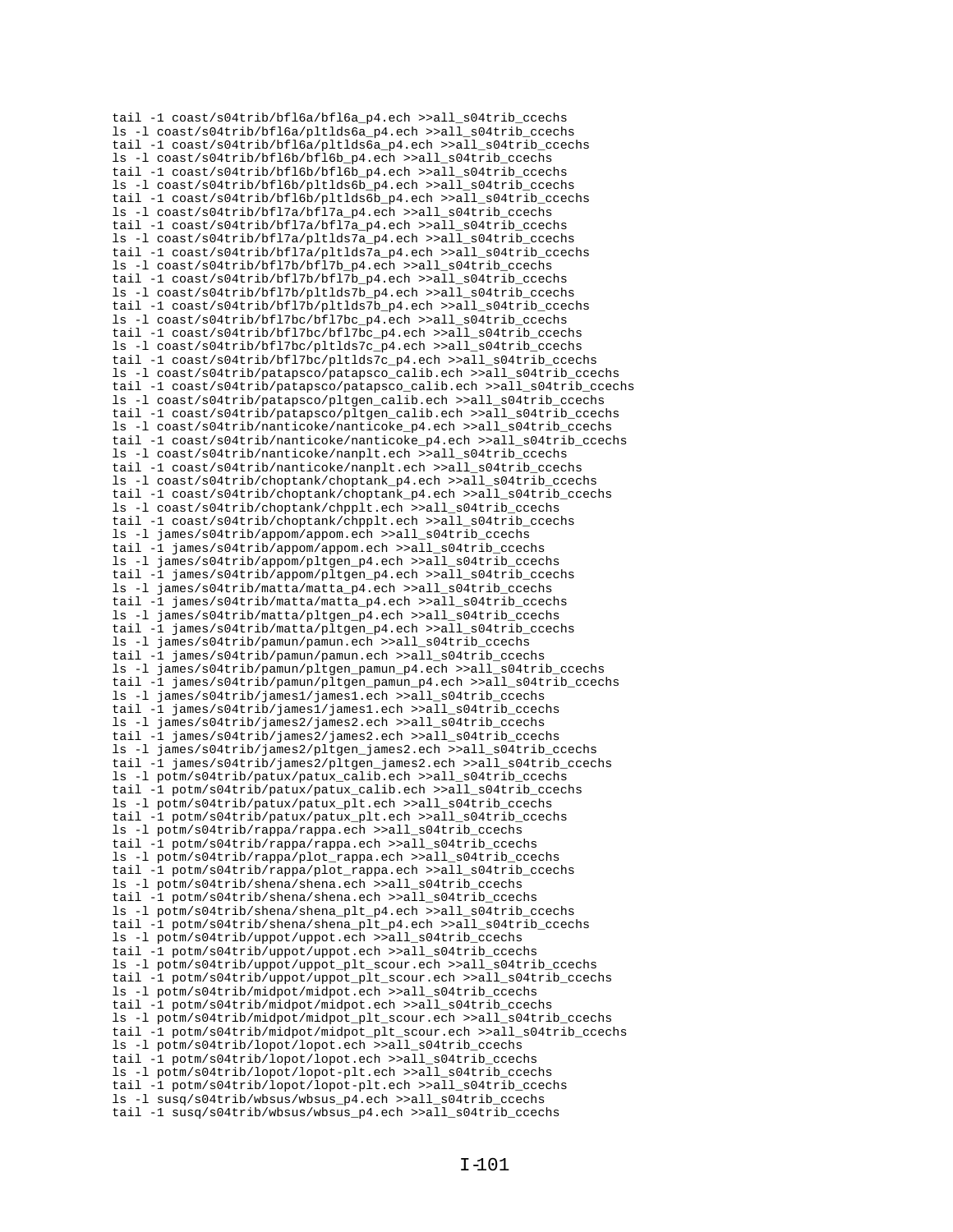tail -1 coast/s04trib/bfl6a/bfl6a\_p4.ech >>all\_s04trib\_ccechs ls -l coast/s04trib/bfl6a/pltlds6a\_p4.ech >>all\_s04trib\_ccechs tail -1 coast/s04trib/bfl6a/pltlds6a\_p4.ech >>all\_s04trib\_ccechs ls -l coast/s04trib/bfl6b/bfl6b\_p4.ech >>all\_s04trib\_ccechs tail -1 coast/s04trib/bfl6b/bfl6b\_p4.ech >>all\_s04trib\_ccechs ls -l coast/s04trib/bfl6b/pltlds6b\_p4.ech >>all\_s04trib\_ccechs tail -1 coast/s04trib/bfl6b/pltlds6b\_p4.ech >>all\_s04trib\_ccechs ls -l coast/s04trib/bfl7a/bfl7a\_p4.ech >>all\_s04trib\_ccechs tail -1 coast/s04trib/bfl7a/bfl7a\_p4.ech >>all\_s04trib\_ccechs ls -1 coast/s04trib/bfl7a/pltlds7a\_p4.ech >>all\_s04trib\_ccechs tail -1 coast/s04trib/bfl7a/pltlds7a\_p4.ech >>all\_s04trib\_ccechs ls -l coast/s04trib/bfl7b/bfl7b\_p4.ech >>all\_s04trib\_ccechs tail -1 coast/s04trib/bfl7b/bfl7b\_p4.ech >>all\_s04trib\_ccechs ls -l coast/s04trib/bfl7b/pltlds7b\_p4.ech >>all\_s04trib\_ccechs tail -1 coast/s04trib/bfl7b/pltlds7b\_p4.ech >>all\_s04trib\_ccechs ls -l coast/s04trib/bfl7bc/bfl7bc\_p4.ech >>all\_s04trib\_ccechs tail -1 coast/s04trib/bfl7bc/bfl7bc\_p4.ech >>all\_s04trib\_ccechs ls -l coast/s04trib/bfl7bc/pltlds7c\_p4.ech >>all\_s04trib\_ccechs tail -1 coast/s04trib/bfl7bc/pltlds7c\_p4.ech >>all\_s04trib\_ccechs ls -l coast/s04trib/patapsco/patapsco\_calib.ech >>all\_s04trib\_ccechs tail -1 coast/s04trib/patapsco/patapsco\_calib.ech >>all\_s04trib\_ccechs ls -l coast/s04trib/patapsco/pltgen\_calib.ech >>all\_s04trib\_ccechs tail -1 coast/s04trib/patapsco/pltgen\_calib.ech >>all\_s04trib\_ccechs ls -l coast/s04trib/nanticoke/nanticoke\_p4.ech >>all\_s04trib\_ccechs tail -1 coast/s04trib/nanticoke/nanticoke\_p4.ech >>all\_s04trib\_ccechs ls -l coast/s04trib/nanticoke/nanplt.ech >>all\_s04trib\_ccechs tail -1 coast/s04trib/nanticoke/nanplt.ech >>all\_s04trib\_ccechs ls -l coast/s04trib/choptank/choptank\_p4.ech >>all\_s04trib\_ccechs tail -1 coast/s04trib/choptank/choptank\_p4.ech >>all\_s04trib\_ccechs ls -l coast/s04trib/choptank/chpplt.ech >>all\_s04trib\_ccechs tail -1 coast/s04trib/choptank/chpplt.ech >>all\_s04trib\_ccechs ls -l james/s04trib/appom/appom.ech >>all\_s04trib\_ccechs tail -1 james/s04trib/appom/appom.ech >>all\_s04trib\_ccechs ls -l james/s04trib/appom/pltgen\_p4.ech >>all\_s04trib\_ccechs tail -1 james/s04trib/appom/pltgen\_p4.ech >>all\_s04trib\_ccechs ls -l james/s04trib/matta/matta\_p4.ech >>all\_s04trib\_ccechs tail -1 james/s04trib/matta/matta\_p4.ech >>all\_s04trib\_ccechs ls -l james/s04trib/matta/pltgen\_p4.ech >>all\_s04trib\_ccechs tail -1 james/s04trib/matta/pltgen p4.ech >>all s04trib ccechs ls -l james/s04trib/pamun/pamun.ech >>all\_s04trib\_ccechs tail -1 james/s04trib/pamun/pamun.ech >>all\_s04trib\_ccechs ls -l james/s04trib/pamun/pltgen\_pamun\_p4.ech >>all\_s04trib\_ccechs tail -1 james/s04trib/pamun/pltgen\_pamun\_p4.ech >>all\_s04trib\_ccechs ls -l james/s04trib/james1/james1.ech >>all\_s04trib\_ccechs tail -1 james/s04trib/james1/james1.ech >>all\_s04trib\_ccechs ls -l james/s04trib/james2/james2.ech >>all\_s04trib\_ccechs tail -1 james/s04trib/james2/james2.ech >>all\_s04trib\_ccechs ls -l james/s04trib/james2/pltgen\_james2.ech >>all\_s04trib\_ccechs tail -1 james/s04trib/james2/pltgen\_james2.ech >>all\_s04trib\_ccechs ls -l potm/s04trib/patux/patux\_calib.ech >>all\_s04trib\_ccechs tail -1 potm/s04trib/patux/patux\_calib.ech >>all\_s04trib\_ccechs ls -l potm/s04trib/patux/patux\_plt.ech >>all\_s04trib\_ccechs tail -1 potm/s04trib/patux/patux\_plt.ech >>all\_s04trib\_ccechs ls -l potm/s04trib/rappa/rappa.ech >>all\_s04trib\_ccechs tail -1 potm/s04trib/rappa/rappa.ech >>all\_s04trib\_ccechs ls -l potm/s04trib/rappa/plot\_rappa.ech >>all\_s04trib\_ccechs tail -1 potm/s04trib/rappa/plot\_rappa.ech >>all\_s04trib\_ccechs ls -l potm/s04trib/shena/shena.ech >>all\_s04trib\_ccechs tail -1 potm/s04trib/shena/shena.ech >>all\_s04trib\_ccechs ls -l potm/s04trib/shena/shena\_plt\_p4.ech >>all\_s04trib\_ccechs tail -1 potm/s04trib/shena/shena\_plt\_p4.ech >>all\_s04trib\_ccechs ls -l potm/s04trib/uppot/uppot.ech >>all\_s04trib\_ccechs tail -1 potm/s04trib/uppot/uppot.ech >>all\_s04trib\_ccechs ls -l potm/s04trib/uppot/uppot\_plt\_scour.ech >>all\_s04trib\_ccechs tail -1 potm/s04trib/uppot/uppot\_plt\_scour.ech >>all\_s04trib\_ccechs ls -l potm/s04trib/midpot/midpot.ech >>all\_s04trib\_ccechs tail -1 potm/s04trib/midpot/midpot.ech >>all\_s04trib\_ccechs ls -l potm/s04trib/midpot/midpot\_plt\_scour.ech >>all\_s04trib\_ccechs tail -1 potm/s04trib/midpot/midpot\_plt\_scour.ech >>all\_s04trib\_ccechs ls -l potm/s04trib/lopot/lopot.ech >>all\_s04trib\_ccechs tail -1 potm/s04trib/lopot/lopot.ech >>all\_s04trib\_ccechs ls -l potm/s04trib/lopot/lopot-plt.ech >>all\_s04trib\_ccechs tail -1 potm/s04trib/lopot/lopot-plt.ech >>all\_s04trib\_ccechs ls -l susq/s04trib/wbsus/wbsus\_p4.ech >>all\_s04trib\_ccechs tail -1 susq/s04trib/wbsus/wbsus\_p4.ech >>all\_s04trib\_ccechs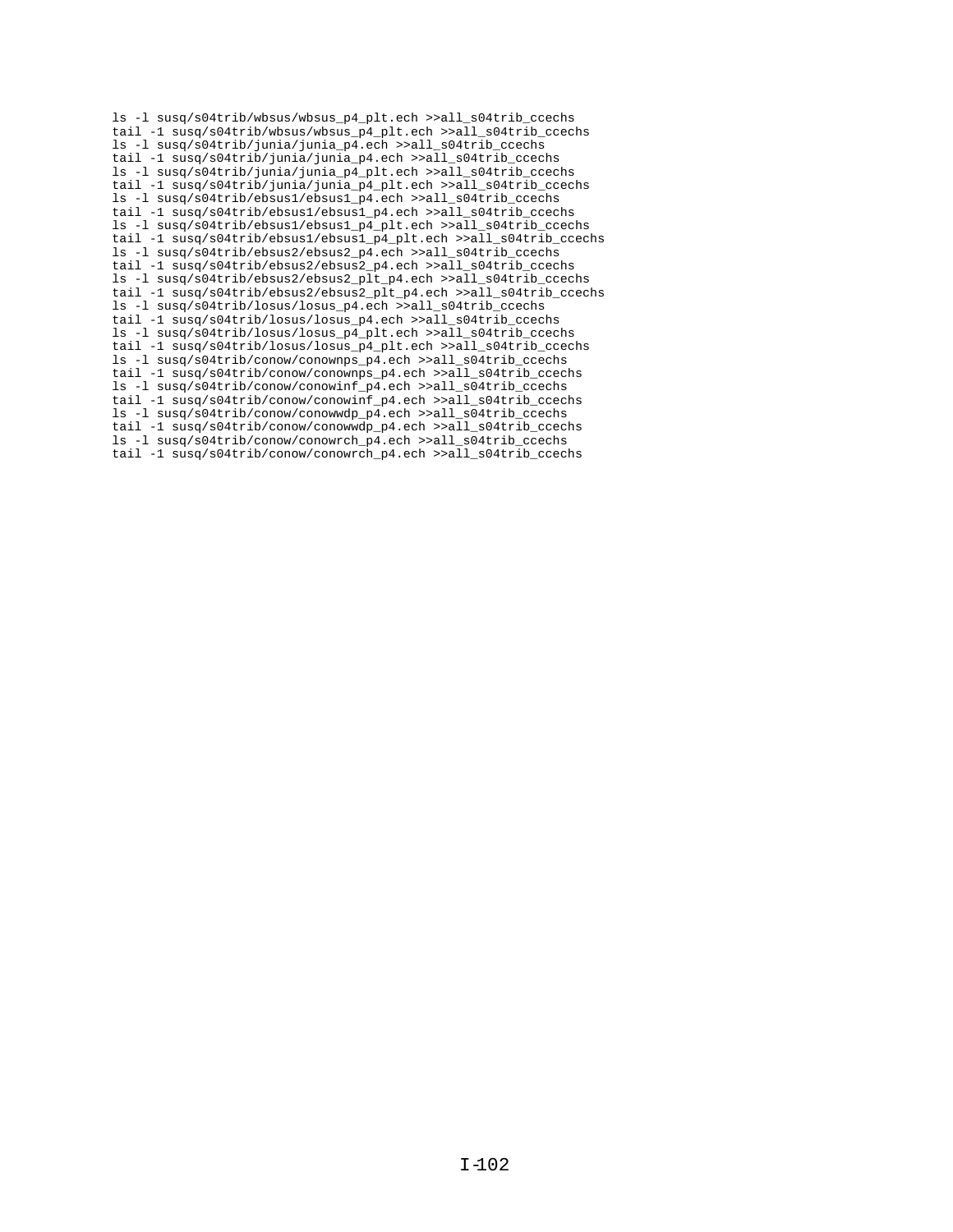ls -l susq/s04trib/wbsus/wbsus\_p4\_plt.ech >>all\_s04trib\_ccechs tail -1 susq/s04trib/wbsus/wbsus\_p4\_plt.ech >>all\_s04trib\_ccechs ls -l susq/s04trib/junia/junia\_p4.ech >>all\_s04trib\_ccechs tail -1 susq/s04trib/junia/junia\_p4.ech >>all\_s04trib\_ccechs ls -l susq/s04trib/junia/junia\_p4\_plt.ech >>all\_s04trib\_ccechs tail -1 susq/s04trib/junia/junia\_p4\_plt.ech >>all\_s04trib\_ccechs ls -l susq/s04trib/ebsus1/ebsus1\_p4.ech >>all\_s04trib\_ccechs tail -1 susq/s04trib/ebsus1/ebsus1\_p4.ech >>all\_s04trib\_ccechs ls -l susq/s04trib/ebsus1/ebsus1\_p4\_plt.ech >>all\_s04trib\_ccechs tail -1 susq/s04trib/ebsus1/ebsus1\_p4\_plt.ech >>all\_s04trib\_ccechs ls -l susq/s04trib/ebsus2/ebsus2\_p4.ech >>all\_s04trib\_ccechs tail -1 susq/s04trib/ebsus2/ebsus2\_p4.ech >>all\_s04trib\_ccechs ls -l susq/s04trib/ebsus2/ebsus2\_plt\_p4.ech >>all\_s04trib\_ccechs tail -1 susq/s04trib/ebsus2/ebsus2\_plt\_p4.ech >>all\_s04trib\_ccechs ls -l susq/s04trib/losus/losus\_p4.ech >>all\_s04trib\_ccechs tail -1 susq/s04trib/losus/losus\_p4.ech >>all\_s04trib\_ccechs ls -l susq/s04trib/losus/losus\_p4\_plt.ech >>all\_s04trib\_ccechs tail -1 susq/s04trib/losus/losus\_p4\_plt.ech >>all\_s04trib\_ccechs ls -l susq/s04trib/conow/conownps\_p4.ech >>all\_s04trib\_ccechs tail -1 susq/s04trib/conow/conownps\_p4.ech >>all\_s04trib\_ccechs ls -l susq/s04trib/conow/conowinf\_p4.ech >>all\_s04trib\_ccechs tail -1 susq/s04trib/conow/conowinf\_p4.ech >>all\_s04trib\_ccechs ls -l susq/s04trib/conow/conowwdp\_p4.ech >>all\_s04trib\_ccechs tail -1 susq/s04trib/conow/conowwdp\_p4.ech >>all\_s04trib\_ccechs ls -l susq/s04trib/conow/conowrch\_p4.ech >>all\_s04trib\_ccechs tail -1 susq/s04trib/conow/conowrch\_p4.ech >>all\_s04trib\_ccechs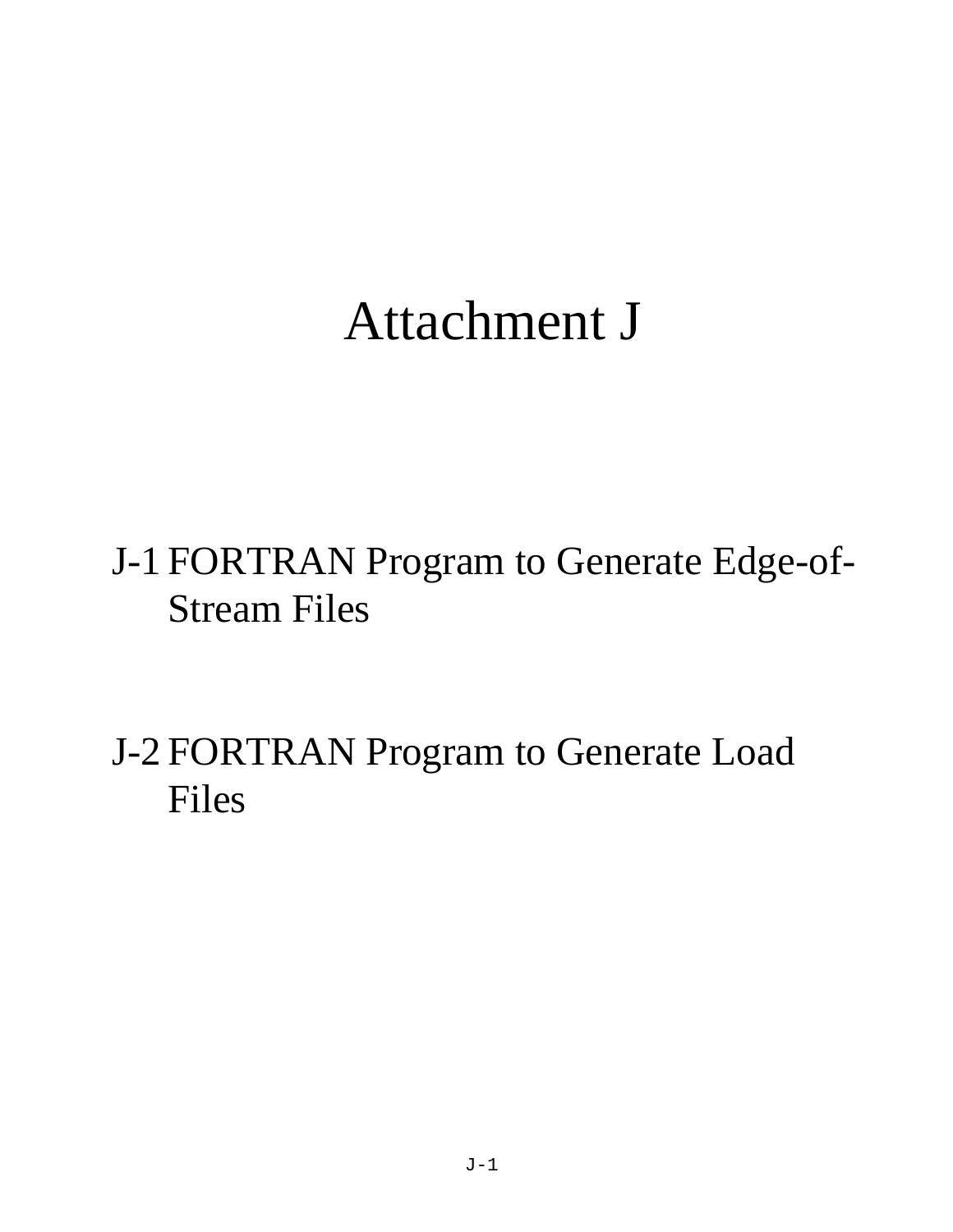# Attachment J

J-1 FORTRAN Program to Generate Edge-of- Stream Files

J-2 FORTRAN Program to Generate Load Files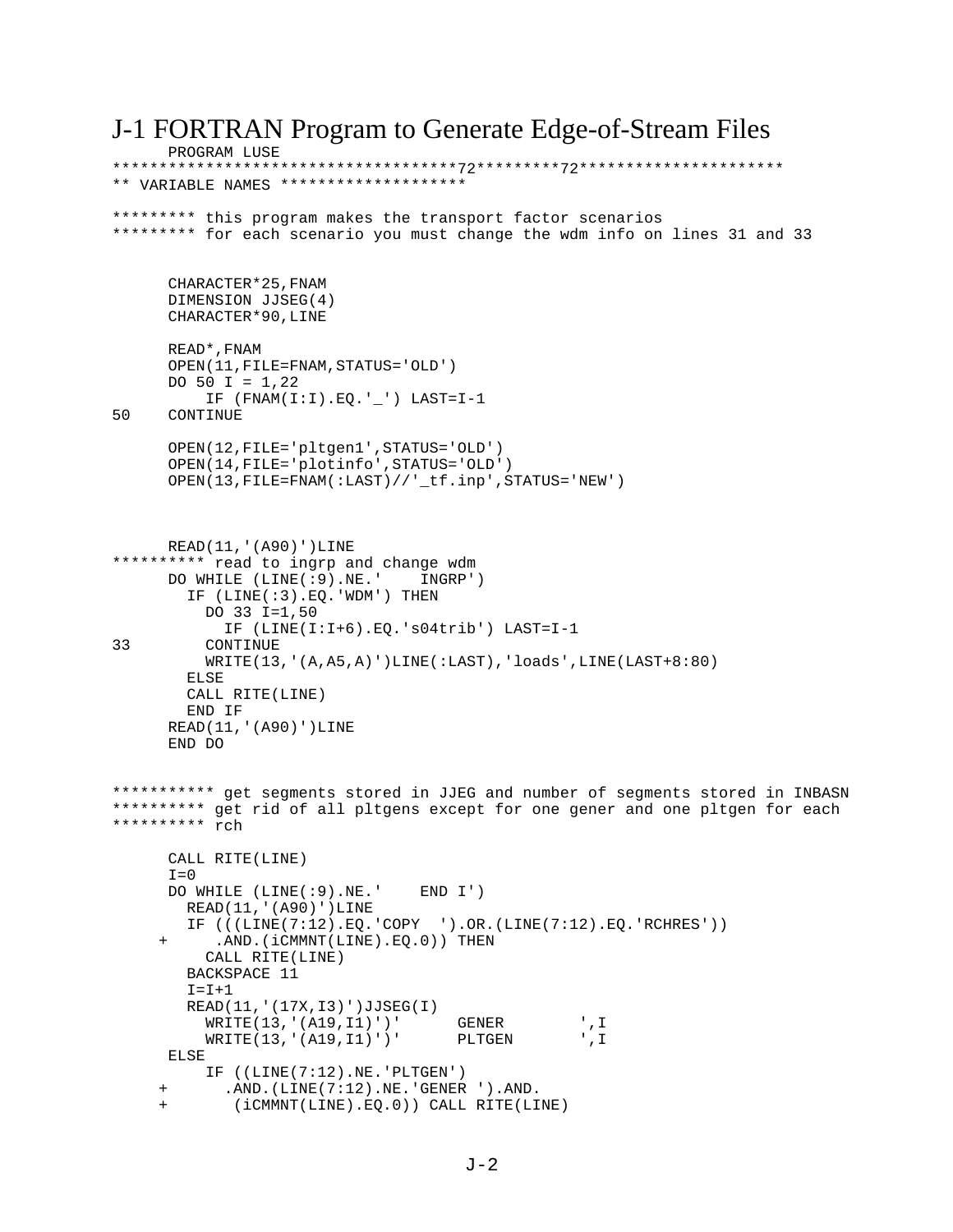J-1 FORTRAN Program to Generate Edge-of-Stream Files PROGRAM LUSE \*\*\*\*\*\*\*\*\*\*\*\*\*\*\*\*\*\*\*\*\*\*\*\*\*\*\*\*\*\*\*\*\*\*\*\*\*72\*\*\*\*\*\*\*\*\*72\*\*\*\*\*\*\*\*\*\*\*\*\*\*\*\*\*\*\*\*\*\* \*\* VARIABLE NAMES \*\*\*\*\*\*\*\*\*\*\*\*\*\*\*\*\*\*\*\* \*\*\*\*\*\*\*\*\* this program makes the transport factor scenarios \*\*\*\*\*\*\*\*\* for each scenario you must change the wdm info on lines 31 and 33 CHARACTER\*25,FNAM DIMENSION JJSEG(4) CHARACTER\*90,LINE READ\*,FNAM OPEN(11,FILE=FNAM,STATUS='OLD') DO 50 I =  $1,22$  $IF$  (FNAM(I:I).EQ.'\_') LAST=I-1<br>50 CONTINUE **CONTINUE**  OPEN(12,FILE='pltgen1',STATUS='OLD') OPEN(14,FILE='plotinfo',STATUS='OLD') OPEN(13,FILE=FNAM(:LAST)//'\_tf.inp',STATUS='NEW') READ(11,'(A90)')LINE \*\*\*\*\*\*\*\*\*\* read to ingrp and change wdm DO WHILE (LINE(:9).NE.' INGRP') IF (LINE(:3).EQ.'WDM') THEN DO 33 I=1,50 IF (LINE(I:I+6).EQ.'s04trib') LAST=I-1 33 CONTINUE WRITE(13,'(A,A5,A)')LINE(:LAST),'loads',LINE(LAST+8:80) ELSE CALL RITE(LINE) END IF READ(11,'(A90)')LINE END DO \*\*\*\*\*\*\*\*\*\*\* get segments stored in JJEG and number of segments stored in INBASN \*\*\*\*\*\*\*\*\*\* get rid of all pltgens except for one gener and one pltgen for each \*\*\*\*\*\*\*\*\*\* rch CALL RITE(LINE)  $T=0$  DO WHILE (LINE(:9).NE.' END I') READ(11,'(A90)')LINE IF  $(((LINE(7:12).EQ.^\circCOPY \t).OR.(LINE(7:12).EQ.^\circCCHRES'))$ .AND.(iCMMNT(LINE).EQ.0)) THEN CALL RITE(LINE) BACKSPACE 11  $I = I + 1$  READ(11,'(17X,I3)')JJSEG(I) WRITE(13,'(A19,I1)')' GENER ',I WRITE(13,'(A19,I1)')' PLTGEN ',I ELSE IF ((LINE(7:12).NE.'PLTGEN') .AND. (LINE(7:12).NE. 'GENER ').AND. (iCMMNT(LINE).EQ.0)) CALL RITE(LINE)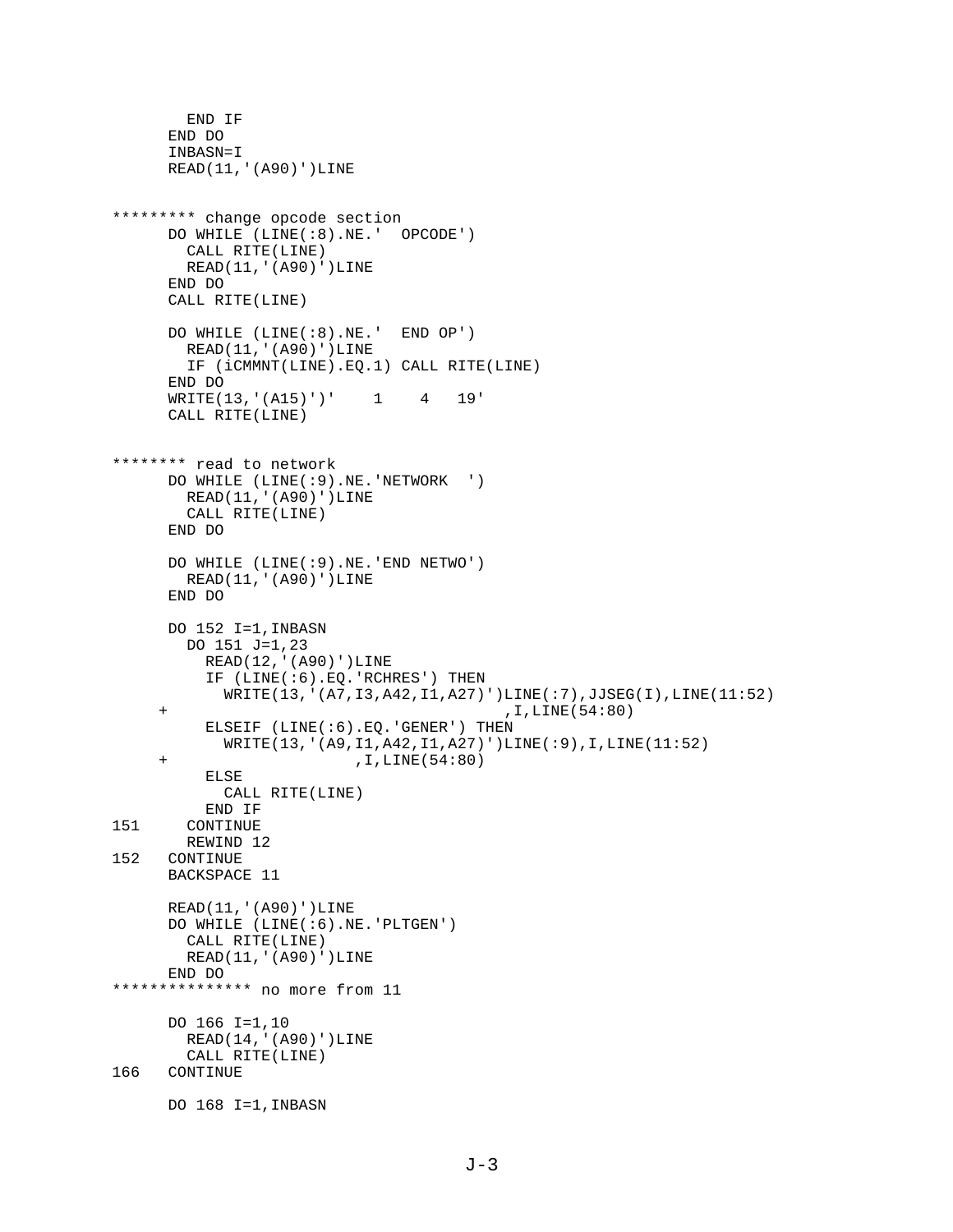```
 END IF
       END DO
       INBASN=I
      READ(11,'(A90)')LINE
********* change opcode section
      DO WHILE (LINE(:8).NE.' OPCODE')
        CALL RITE(LINE)
        READ(11,'(A90)')LINE
       END DO
      CALL RITE(LINE)
      DO WHILE (LINE(:8).NE.' END OP')
        READ(11,'(A90)')LINE
        IF (iCMMNT(LINE).EQ.1) CALL RITE(LINE)
       END DO
      WRITE(13,'(A15)')' 1 4 19'
      CALL RITE(LINE)
******** read to network 
      DO WHILE (LINE(:9).NE.'NETWORK ')
        READ(11,'(A90)')LINE
         CALL RITE(LINE)
      END DO
       DO WHILE (LINE(:9).NE.'END NETWO')
        READ(11,'(A90)')LINE
      END DO
      DO 152 I=1,INBASN
         DO 151 J=1,23
          READ(12,'(A90)')LINE
           IF (LINE(:6).EQ.'RCHRES') THEN
             WRITE(13,'(A7,I3,A42,I1,A27)')LINE(:7),JJSEG(I),LINE(11:52)
      + ,I,LINE(54:80)
          ELSEIF (LINE(:6).EQ.'GENER') THEN
             WRITE(13,'(A9,I1,A42,I1,A27)')LINE(:9),I,LINE(11:52)
      + ,I,LINE(54:80)
           ELSE
             CALL RITE(LINE)
 END IF
       CONTINUE
REWIND 12<br>152 CONTINUE
     CONTINUE
      BACKSPACE 11
      READ(11,'(A90)')LINE
      DO WHILE (LINE(:6).NE.'PLTGEN')
        CALL RITE(LINE)
        READ(11,'(A90)')LINE
      END DO
*************** no more from 11
       DO 166 I=1,10
        READ(14,'(A90)')LINE
CALL RITE(LINE)<br>166 CONTINUE
     CONTINUE
      DO 168 I=1,INBASN
```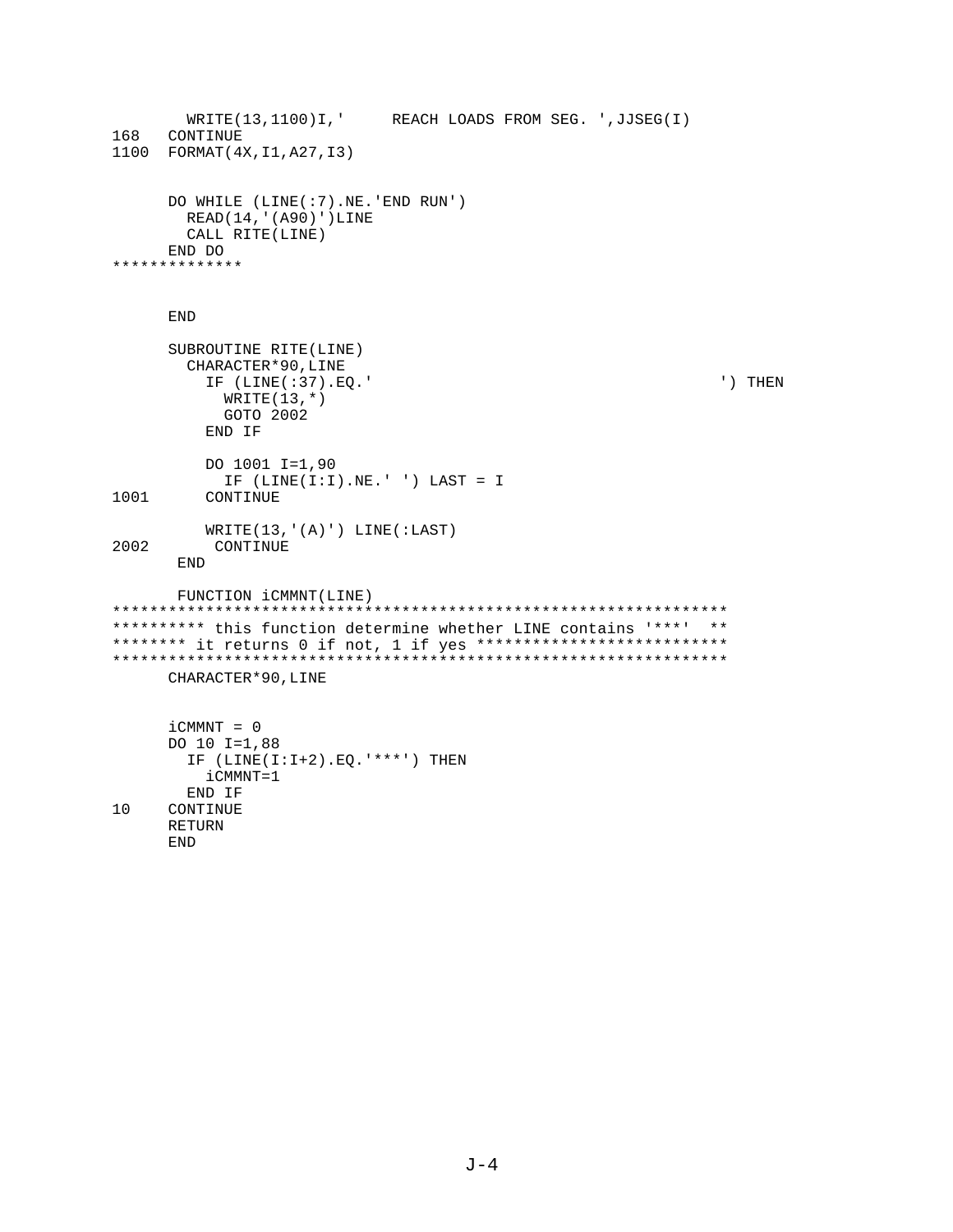```
WRITE(13,1100)I,' REACH LOADS FROM SEG. ', JJSEG(I)
168 CONTINUE
1100 FORMAT (4X, I1, A27, I3)
     DO WHILE (LINE(:7).NE.'END RUN')
      READ(14, '(A90)')LINE
      CALL RITE(LINE)
    END DO
**************
    END
     SUBROUTINE RITE(LINE)
      CHARACTER*90, LINE
        IF (LINE(:37).EQ.'
                                                      ') THEN
         WRTTE(13,*)GOTO 2002
        END IF
        DO 1001 I=1,90
         IF (LINE(I:I).NE.'') LAST = I1001
        CONTINUE
        WRITE(13,' (A)') LINE(iLAST)2002
        CONTINUE
     END
     FUNCTION iCMMNT(LINE)
********** this function determine whether LINE contains '***' **
******** it returns 0 if not, 1 if yes ***************************
CHARACTER*90, LINE
    iCMMNT = 0DO 10 I=1,88
      IF (LINE(I:I+2).EQ. '***') THEN
        iCMMNT=1
      END IF
10
    CONTINUE
    RETURN
    END
```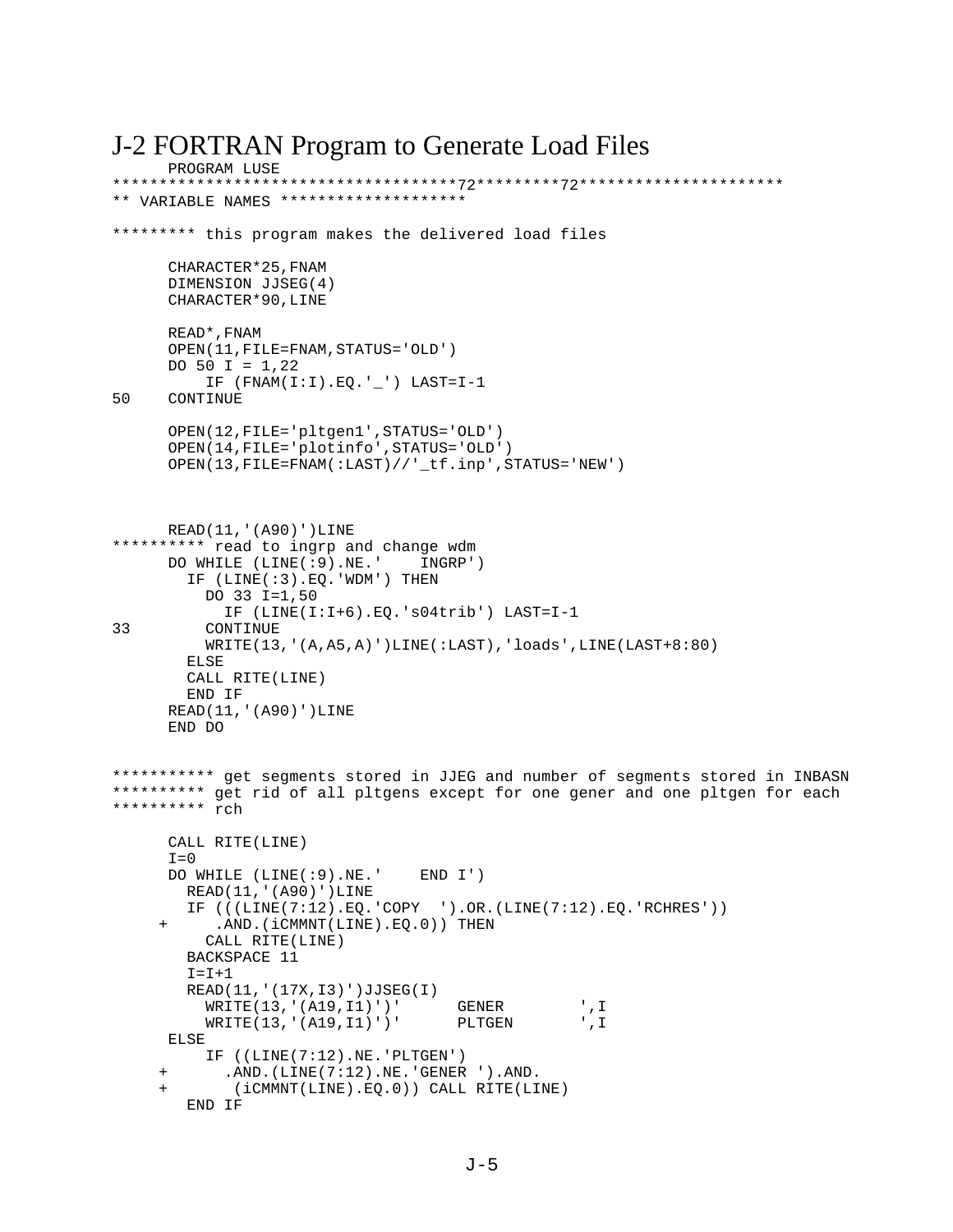```
J-2 FORTRAN Program to Generate Load Files
      PROGRAM LUSE
         *************************************72*********72**********************
** VARIABLE NAMES ********************
********* this program makes the delivered load files
       CHARACTER*25,FNAM 
       DIMENSION JJSEG(4)
       CHARACTER*90,LINE
       READ*,FNAM
       OPEN(11,FILE=FNAM,STATUS='OLD')
      DO 50 I = 1,22 IF (FNAM(I:I).EQ.'_') LAST=I-1
50 CONTINUE
       OPEN(12,FILE='pltgen1',STATUS='OLD')
       OPEN(14,FILE='plotinfo',STATUS='OLD')
       OPEN(13,FILE=FNAM(:LAST)//'_tf.inp',STATUS='NEW')
     READ(11,'(A90)')LINE
********** read to ingrp and change wdm
       DO WHILE (LINE(:9).NE.' INGRP')
         IF (LINE(:3).EQ.'WDM') THEN
           DO 33 I=1,50
             IF (LINE(I:I+6).EQ.'s04trib') LAST=I-1
33 CONTINUE
           WRITE(13,'(A,A5,A)')LINE(:LAST),'loads',LINE(LAST+8:80)
         ELSE
         CALL RITE(LINE)
         END IF
      READ(11,'(A90)')LINE
       END DO
*********** get segments stored in JJEG and number of segments stored in INBASN
********** get rid of all pltgens except for one gener and one pltgen for each
********** rch
       CALL RITE(LINE)
      T=0 DO WHILE (LINE(:9).NE.' END I')
         READ(11,'(A90)')LINE
        IF (((LINE(7:12),EO, ^COPY, ^{\prime\prime})).OR.(LINE(7:12), EO, 'RCHRES')).AND.(iCMMNT(LINE).EQ.0)) THEN
           CALL RITE(LINE)
         BACKSPACE 11
        I = I + 1 READ(11,'(17X,I3)')JJSEG(I)
           WRITE(13,'(A19,I1)')' GENER ',I
          WRITE(13,'(A19,I1)')' PLTGEN
      ELSE
           IF ((LINE(7:12).NE.'PLTGEN')
            .AND. (LINE(7:12).NE. 'GENER ').AND.
             + (iCMMNT(LINE).EQ.0)) CALL RITE(LINE)
         END IF
```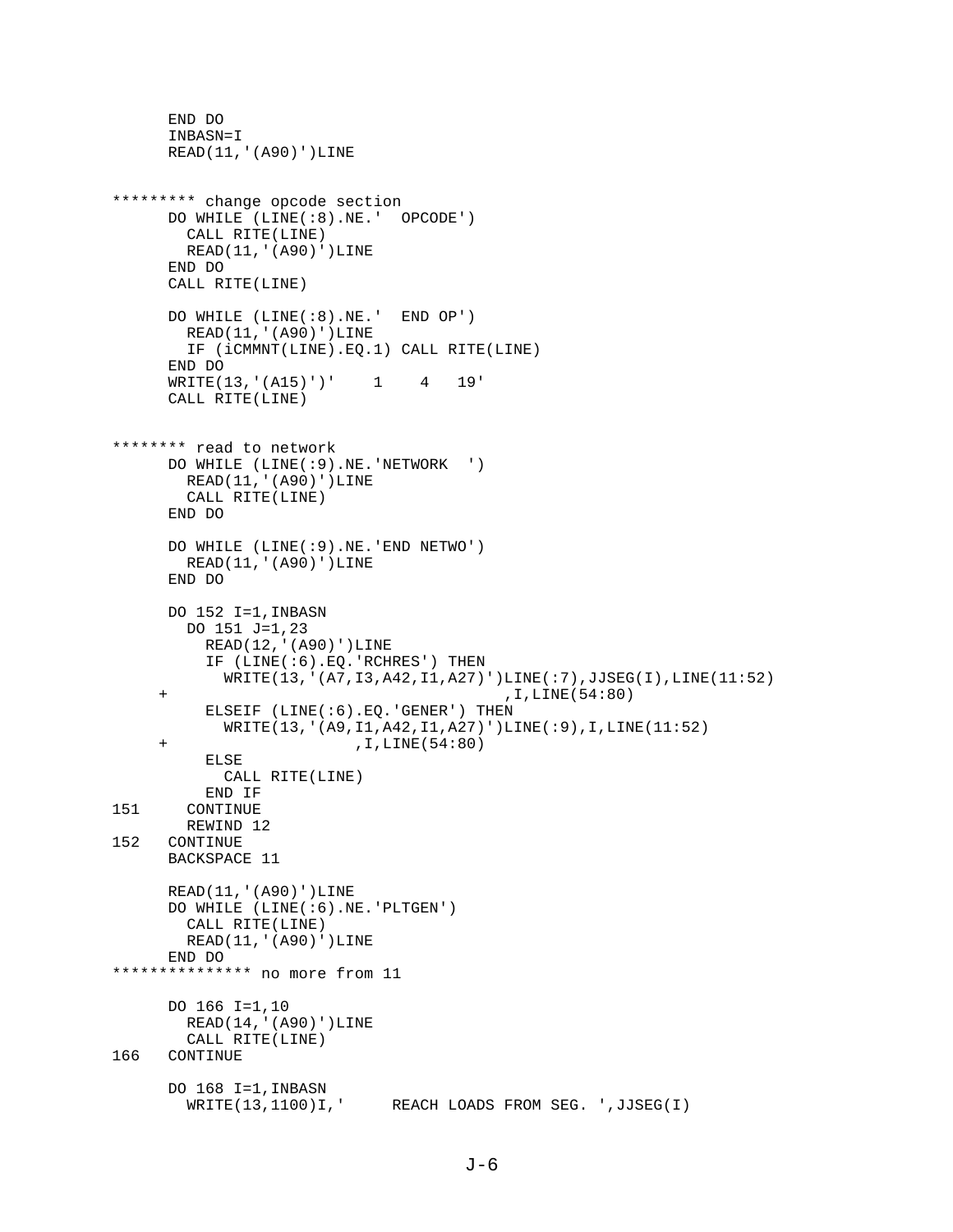```
 END DO
       INBASN=I
       READ(11,'(A90)')LINE
********* change opcode section
       DO WHILE (LINE(:8).NE.' OPCODE')
         CALL RITE(LINE)
         READ(11,'(A90)')LINE
       END DO
       CALL RITE(LINE)
       DO WHILE (LINE(:8).NE.' END OP')
         READ(11,'(A90)')LINE
         IF (iCMMNT(LINE).EQ.1) CALL RITE(LINE)
       END DO
      WRITE(13, '(A15)')' 1 4 19'
       CALL RITE(LINE)
******** read to network 
       DO WHILE (LINE(:9).NE.'NETWORK ')
         READ(11,'(A90)')LINE
         CALL RITE(LINE)
       END DO
       DO WHILE (LINE(:9).NE.'END NETWO')
        READ(11,'(A90)')LINE
       END DO
       DO 152 I=1,INBASN
         DO 151 J=1,23
           READ(12,'(A90)')LINE
           IF (LINE(:6).EQ.'RCHRES') THEN
             WRITE(13,'(A7,I3,A42,I1,A27)')LINE(:7),JJSEG(I),LINE(11:52)
      + ,I,LINE(54:80)
           ELSEIF (LINE(:6).EQ.'GENER') THEN
             WRITE(13,'(A9,I1,A42,I1,A27)')LINE(:9),I,LINE(11:52)
      + ,I,LINE(54:80)
           ELSE
             CALL RITE(LINE)
           END IF
151 CONTINUE
REWIND 12<br>152 CONTINUE
     CONTINUE
      BACKSPACE 11
       READ(11,'(A90)')LINE
       DO WHILE (LINE(:6).NE.'PLTGEN')
         CALL RITE(LINE)
        READ(11,'(A90)')LINE
      END DO
*************** no more from 11
       DO 166 I=1,10
         READ(14,'(A90)')LINE
CALL RITE(LINE)<br>166 CONTINUE
     CONTINUE
      DO 168 I=1, INBASN<br>WRITE(13,1100)I,'
                          REACH LOADS FROM SEG. ',JJSEG(I)
```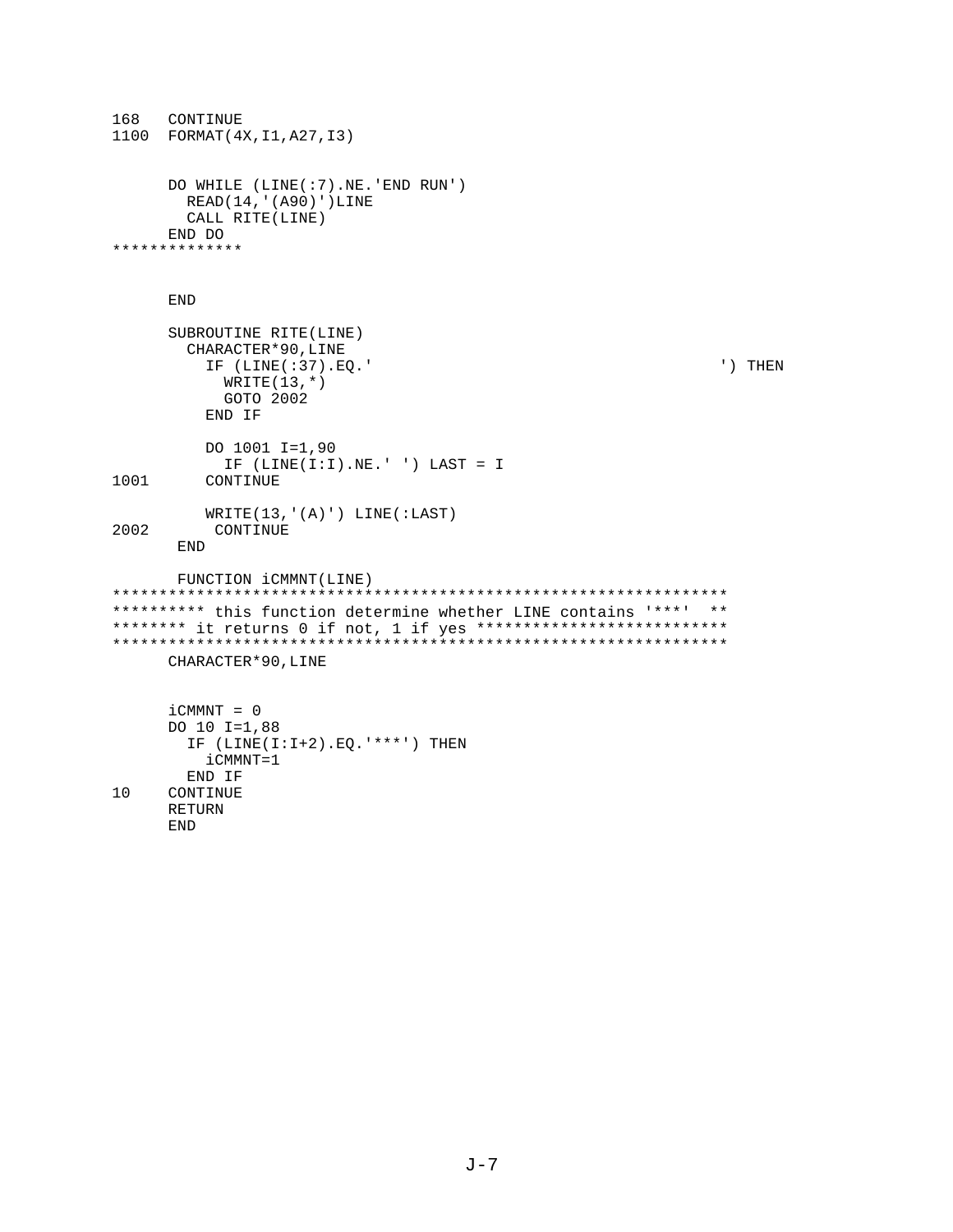```
168
   CONTINUE
1100 FORMAT (4X, I1, A27, I3)
     DO WHILE (LINE(:7).NE.'END RUN')
      READ(14, '(A90)')LINE
      CALL RITE(LINE)
    END DO
**************
     \ensuremath{\mathrm{END}}SUBROUTINE RITE(LINE)
      CHARACTER*90, LINE
        IF (LINE(:37).EQ.'
                                                        ') THEN
          WRITE(13,*)GOTO 2002
        END IF
        DO 1001 I=1,90
          IF (LINE(I:I).NE.'') LAST = I1001
        CONTINUE
        WRITE(13,' (A)') LINE(:LAST)2002
        CONTINUE
     END
     FUNCTION iCMMNT(LINE)
********** this function determine whether LINE contains '***' **
******** it returns 0 if not, 1 if yes ***************************
CHARACTER*90, LINE
     iCMMNT = 0DO 10 I=1,88
      IF (LINE(I:I+2).EQ. '***') THEN
        iCMMNT=1
      END IF
10
     CONTINUE
     RETURN
```
**END**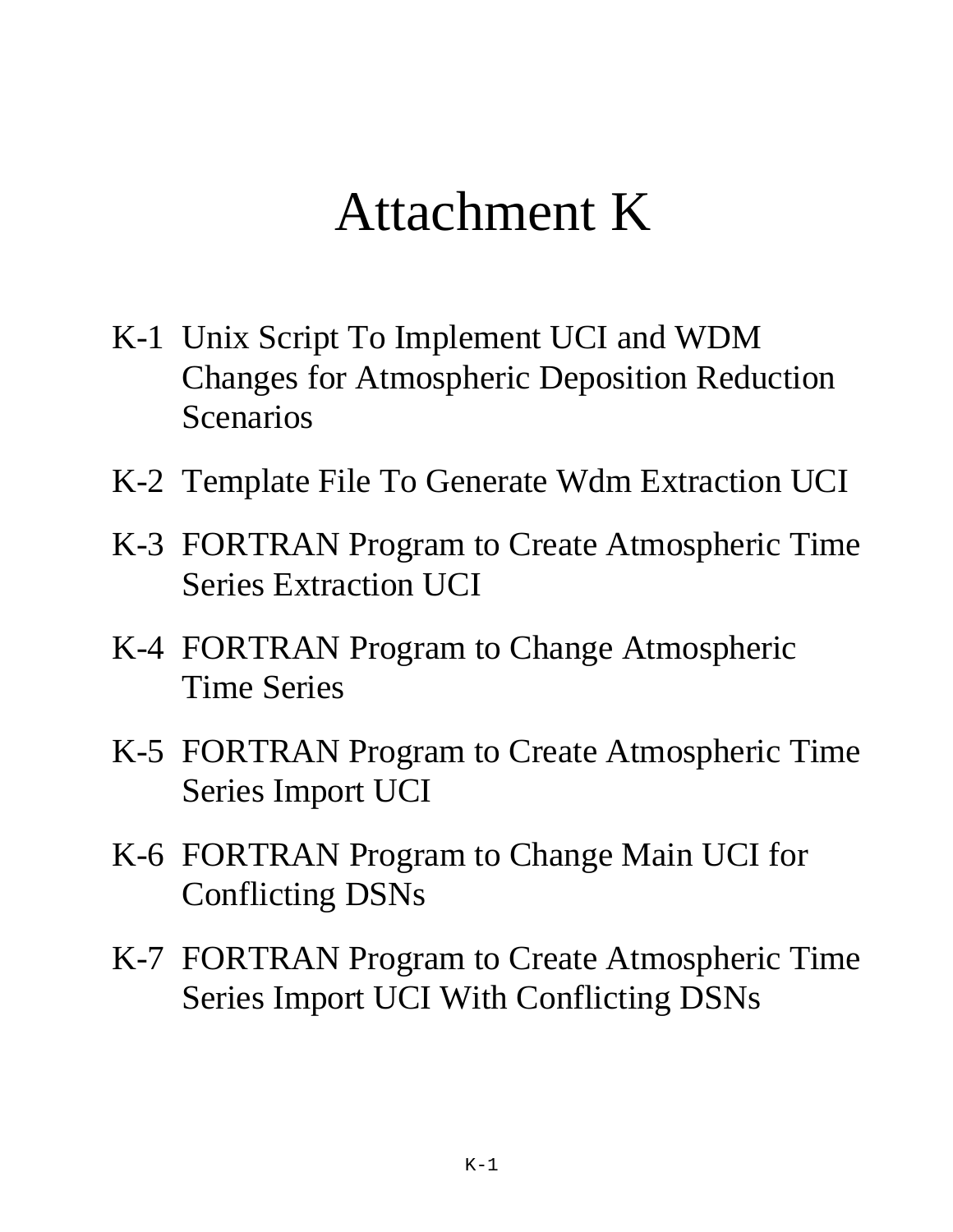# Attachment K

- K-1 Unix Script To Implement UCI and WDM Changes for Atmospheric Deposition Reduction Scenarios
- K-2 Template File To Generate Wdm Extraction UCI
- K-3 FORTRAN Program to Create Atmospheric Time Series Extraction UCI
- K-4 FORTRAN Program to Change Atmospheric Time Series
- K-5 FORTRAN Program to Create Atmospheric Time Series Import UCI
- K-6 FORTRAN Program to Change Main UCI for Conflicting DSNs
- K-7 FORTRAN Program to Create Atmospheric Time Series Import UCI With Conflicting DSNs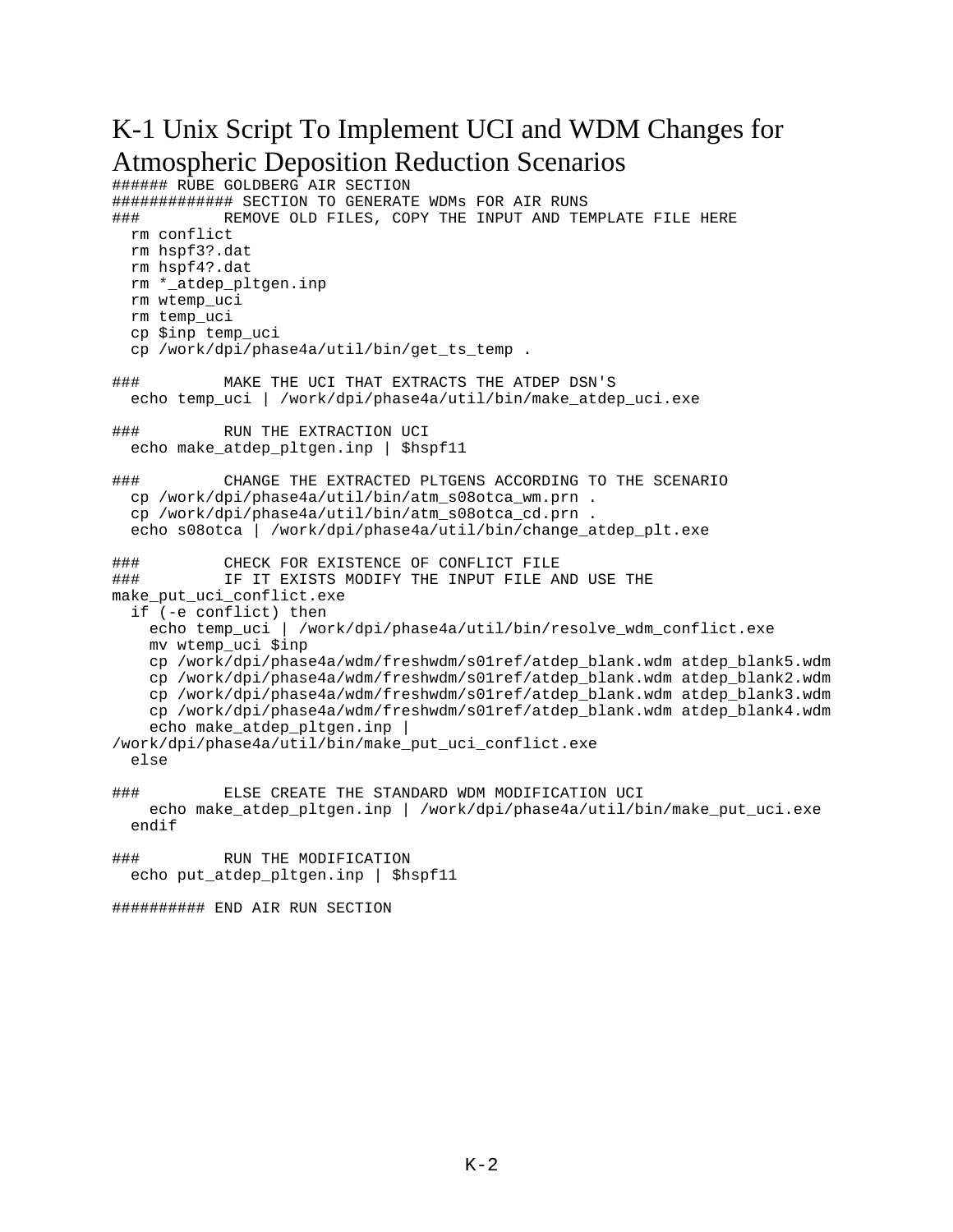## K-1 Unix Script To Implement UCI and WDM Changes for Atmospheric Deposition Reduction Scenarios

```
###### RUBE GOLDBERG AIR SECTION
############# SECTION TO GENERATE WDMs FOR AIR RUNS
### REMOVE OLD FILES, COPY THE INPUT AND TEMPLATE FILE HERE
  rm conflict
  rm hspf3?.dat
  rm hspf4?.dat
  rm *_atdep_pltgen.inp
  rm wtemp_uci
  rm temp_uci
  cp $inp temp_uci
  cp /work/dpi/phase4a/util/bin/get_ts_temp .
### MAKE THE UCI THAT EXTRACTS THE ATDEP DSN'S
  echo temp_uci | /work/dpi/phase4a/util/bin/make_atdep_uci.exe
### RUN THE EXTRACTION UCI
 echo make atdep pltgen.inp | $hspf11
### CHANGE THE EXTRACTED PLTGENS ACCORDING TO THE SCENARIO
  cp /work/dpi/phase4a/util/bin/atm_s08otca_wm.prn .
  cp /work/dpi/phase4a/util/bin/atm_s08otca_cd.prn .
  echo s08otca | /work/dpi/phase4a/util/bin/change_atdep_plt.exe
### CHECK FOR EXISTENCE OF CONFLICT FILE
### IF IT EXISTS MODIFY THE INPUT FILE AND USE THE
make_put_uci_conflict.exe
  if (-e conflict) then
   echo temp_uci | /work/dpi/phase4a/util/bin/resolve_wdm_conflict.exe
    mv wtemp_uci $inp
    cp /work/dpi/phase4a/wdm/freshwdm/s01ref/atdep_blank.wdm atdep_blank5.wdm
    cp /work/dpi/phase4a/wdm/freshwdm/s01ref/atdep_blank.wdm atdep_blank2.wdm
    cp /work/dpi/phase4a/wdm/freshwdm/s01ref/atdep_blank.wdm atdep_blank3.wdm
    cp /work/dpi/phase4a/wdm/freshwdm/s01ref/atdep_blank.wdm atdep_blank4.wdm
    echo make_atdep_pltgen.inp |
/work/dpi/phase4a/util/bin/make_put_uci_conflict.exe
  else
### ELSE CREATE THE STANDARD WDM MODIFICATION UCI
   echo make atdep pltgen.inp | /work/dpi/phase4a/util/bin/make put uci.exe
  endif
### RUN THE MODIFICATION
 echo put atdep pltgen.inp | $hspf11
########## END AIR RUN SECTION
```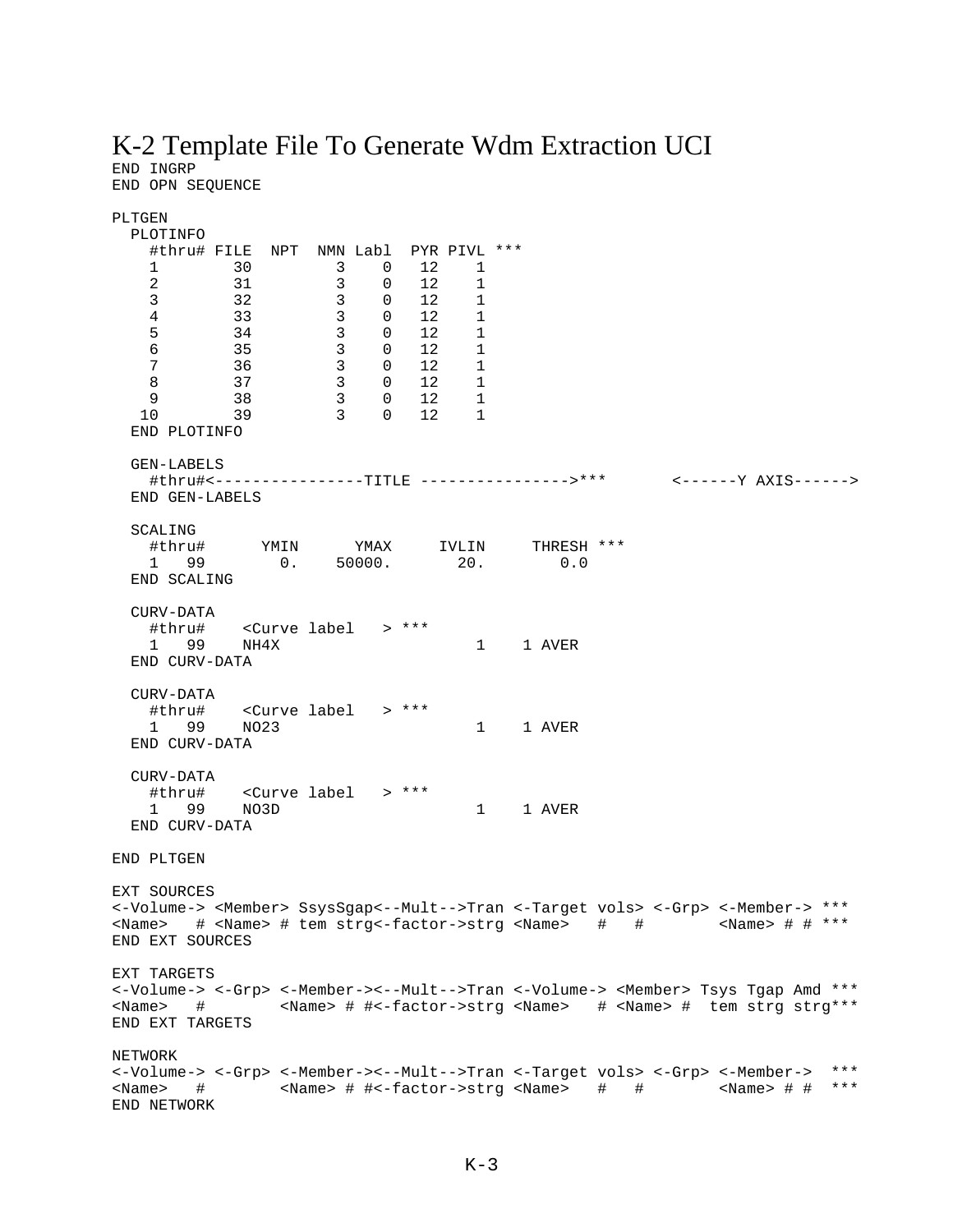# K-2 Template File To Generate Wdm Extraction UCI

END INGRP<br>END OPN SEQUENCE

| PLTGEN                                                                                                           |                                                                  |                                                                                      |                                                     |                                                  |                                       |        |   |                                                                                        |       |
|------------------------------------------------------------------------------------------------------------------|------------------------------------------------------------------|--------------------------------------------------------------------------------------|-----------------------------------------------------|--------------------------------------------------|---------------------------------------|--------|---|----------------------------------------------------------------------------------------|-------|
| PLOTINFO                                                                                                         | #thru# FILE NPT NMN Labl PYR PIVL ***                            |                                                                                      |                                                     |                                                  |                                       |        |   |                                                                                        |       |
| 1                                                                                                                | 30                                                               | $\overline{\phantom{a}}$                                                             | $\overline{0}$                                      | 12                                               | $\overline{\phantom{1}}$              |        |   |                                                                                        |       |
| $\overline{a}$                                                                                                   | 31                                                               | $\overline{\mathbf{3}}$                                                              | 0                                                   | 12                                               | 1                                     |        |   |                                                                                        |       |
| $\mathbf{3}$                                                                                                     | 32                                                               |                                                                                      | $\begin{array}{ccc} 3 & & 0 \\ 3 & & 0 \end{array}$ | $\begin{matrix} 0 && 12 \\ 0 && 12 \end{matrix}$ | $\begin{array}{c} 1 \\ 1 \end{array}$ |        |   |                                                                                        |       |
| $\overline{4}$                                                                                                   | 33                                                               |                                                                                      |                                                     |                                                  |                                       |        |   |                                                                                        |       |
| 5                                                                                                                | 34                                                               |                                                                                      | $3 \qquad 0$                                        | 12                                               | $\overline{1}$                        |        |   |                                                                                        |       |
| 6                                                                                                                | 35                                                               |                                                                                      | $\begin{matrix} 3 & 0 \end{matrix}$                 | 12                                               | $\overline{\phantom{0}}$ 1            |        |   |                                                                                        |       |
| $\sqrt{7}$                                                                                                       | 36                                                               | $\begin{array}{cccc} 3 & 0 & 12 & 1 \\ 3 & 0 & 12 & 1 \\ 3 & 0 & 12 & 1 \end{array}$ |                                                     |                                                  |                                       |        |   |                                                                                        |       |
| 8                                                                                                                | 37                                                               |                                                                                      |                                                     |                                                  |                                       |        |   |                                                                                        |       |
| 9                                                                                                                | 38                                                               | $3 \t 0 \t 12$                                                                       |                                                     |                                                  |                                       |        |   |                                                                                        |       |
| 10                                                                                                               | 39                                                               |                                                                                      |                                                     |                                                  | $\overline{\phantom{0}}$ 1            |        |   |                                                                                        |       |
| END PLOTINFO                                                                                                     |                                                                  |                                                                                      |                                                     |                                                  |                                       |        |   |                                                                                        |       |
| GEN-LABELS                                                                                                       |                                                                  |                                                                                      |                                                     |                                                  |                                       |        |   |                                                                                        |       |
|                                                                                                                  |                                                                  |                                                                                      |                                                     |                                                  |                                       |        |   |                                                                                        |       |
| END GEN-LABELS                                                                                                   |                                                                  |                                                                                      |                                                     |                                                  |                                       |        |   |                                                                                        |       |
|                                                                                                                  |                                                                  |                                                                                      |                                                     |                                                  |                                       |        |   |                                                                                        |       |
| SCALING                                                                                                          |                                                                  |                                                                                      |                                                     |                                                  |                                       |        |   |                                                                                        |       |
|                                                                                                                  | #thru# YMIN YMAX IVLIN THRESH ***                                |                                                                                      |                                                     |                                                  |                                       |        |   |                                                                                        |       |
|                                                                                                                  | $1 \t 99 \t 0. \t 50000. \t 20. \t 0.0$                          |                                                                                      |                                                     |                                                  |                                       |        |   |                                                                                        |       |
| END SCALING                                                                                                      |                                                                  |                                                                                      |                                                     |                                                  |                                       |        |   |                                                                                        |       |
|                                                                                                                  |                                                                  |                                                                                      |                                                     |                                                  |                                       |        |   |                                                                                        |       |
| CURV-DATA                                                                                                        |                                                                  |                                                                                      |                                                     |                                                  |                                       |        |   |                                                                                        |       |
|                                                                                                                  | #thru# <curve label=""> ***<br/>1 99 NH4X</curve>                |                                                                                      |                                                     |                                                  | $\mathbf{1}$                          | 1 AVER |   |                                                                                        |       |
| END CURV-DATA                                                                                                    |                                                                  |                                                                                      |                                                     |                                                  |                                       |        |   |                                                                                        |       |
|                                                                                                                  |                                                                  |                                                                                      |                                                     |                                                  |                                       |        |   |                                                                                        |       |
| CURV-DATA                                                                                                        |                                                                  |                                                                                      |                                                     |                                                  |                                       |        |   |                                                                                        |       |
|                                                                                                                  |                                                                  |                                                                                      |                                                     |                                                  |                                       |        |   |                                                                                        |       |
|                                                                                                                  |                                                                  |                                                                                      |                                                     |                                                  | $\mathbf{1}$                          | 1 AVER |   |                                                                                        |       |
| END CURV-DATA                                                                                                    |                                                                  |                                                                                      |                                                     |                                                  |                                       |        |   |                                                                                        |       |
|                                                                                                                  |                                                                  |                                                                                      |                                                     |                                                  |                                       |        |   |                                                                                        |       |
| CURV-DATA                                                                                                        |                                                                  |                                                                                      |                                                     |                                                  |                                       |        |   |                                                                                        |       |
|                                                                                                                  | #thru# <curve label=""> ***</curve>                              |                                                                                      |                                                     |                                                  |                                       |        |   |                                                                                        |       |
| $1 \quad$                                                                                                        | 99 NO3D                                                          |                                                                                      |                                                     |                                                  | $\mathbf{1}$                          | 1 AVER |   |                                                                                        |       |
| END CURV-DATA                                                                                                    |                                                                  |                                                                                      |                                                     |                                                  |                                       |        |   |                                                                                        |       |
|                                                                                                                  |                                                                  |                                                                                      |                                                     |                                                  |                                       |        |   |                                                                                        |       |
| END PLTGEN                                                                                                       |                                                                  |                                                                                      |                                                     |                                                  |                                       |        |   |                                                                                        |       |
| EXT SOURCES                                                                                                      |                                                                  |                                                                                      |                                                     |                                                  |                                       |        |   |                                                                                        |       |
| <-Volume-> <member> SsysSgap&lt;--Mult--&gt;Tran &lt;-Target vols&gt; &lt;-Grp&gt; &lt;-Member-&gt; ***</member> |                                                                  |                                                                                      |                                                     |                                                  |                                       |        |   |                                                                                        |       |
| <name></name>                                                                                                    | # <name> # tem strg&lt;-factor-&gt;strg <name> # #</name></name> |                                                                                      |                                                     |                                                  |                                       |        |   | $\langle$ Name> # # ***                                                                |       |
| END EXT SOURCES                                                                                                  |                                                                  |                                                                                      |                                                     |                                                  |                                       |        |   |                                                                                        |       |
|                                                                                                                  |                                                                  |                                                                                      |                                                     |                                                  |                                       |        |   |                                                                                        |       |
| EXT TARGETS                                                                                                      |                                                                  |                                                                                      |                                                     |                                                  |                                       |        |   |                                                                                        |       |
| <-Volume-> <-Grp> <-Member-><--Mult-->Tran <-Volume-> <member> Tsys Tgap Amd ***</member>                        |                                                                  |                                                                                      |                                                     |                                                  |                                       |        |   |                                                                                        |       |
| $<$ Name $>$<br>#                                                                                                |                                                                  |                                                                                      |                                                     |                                                  |                                       |        |   | <name> # #&lt;-factor-&gt;strg <name> # <name> # tem strg strg***</name></name></name> |       |
| END EXT TARGETS                                                                                                  |                                                                  |                                                                                      |                                                     |                                                  |                                       |        |   |                                                                                        |       |
|                                                                                                                  |                                                                  |                                                                                      |                                                     |                                                  |                                       |        |   |                                                                                        |       |
| NETWORK<br><-Volume-> <-Grp> <-Member-><--Mult-->Tran <-Target vols> <-Grp> <-Member->                           |                                                                  |                                                                                      |                                                     |                                                  |                                       |        |   |                                                                                        | $***$ |
| <name><br/>#</name>                                                                                              |                                                                  | <name> # #&lt;-factor-&gt;strg <name> #</name></name>                                |                                                     |                                                  |                                       |        | # | $<$ Name> # #                                                                          | $***$ |
| END NETWORK                                                                                                      |                                                                  |                                                                                      |                                                     |                                                  |                                       |        |   |                                                                                        |       |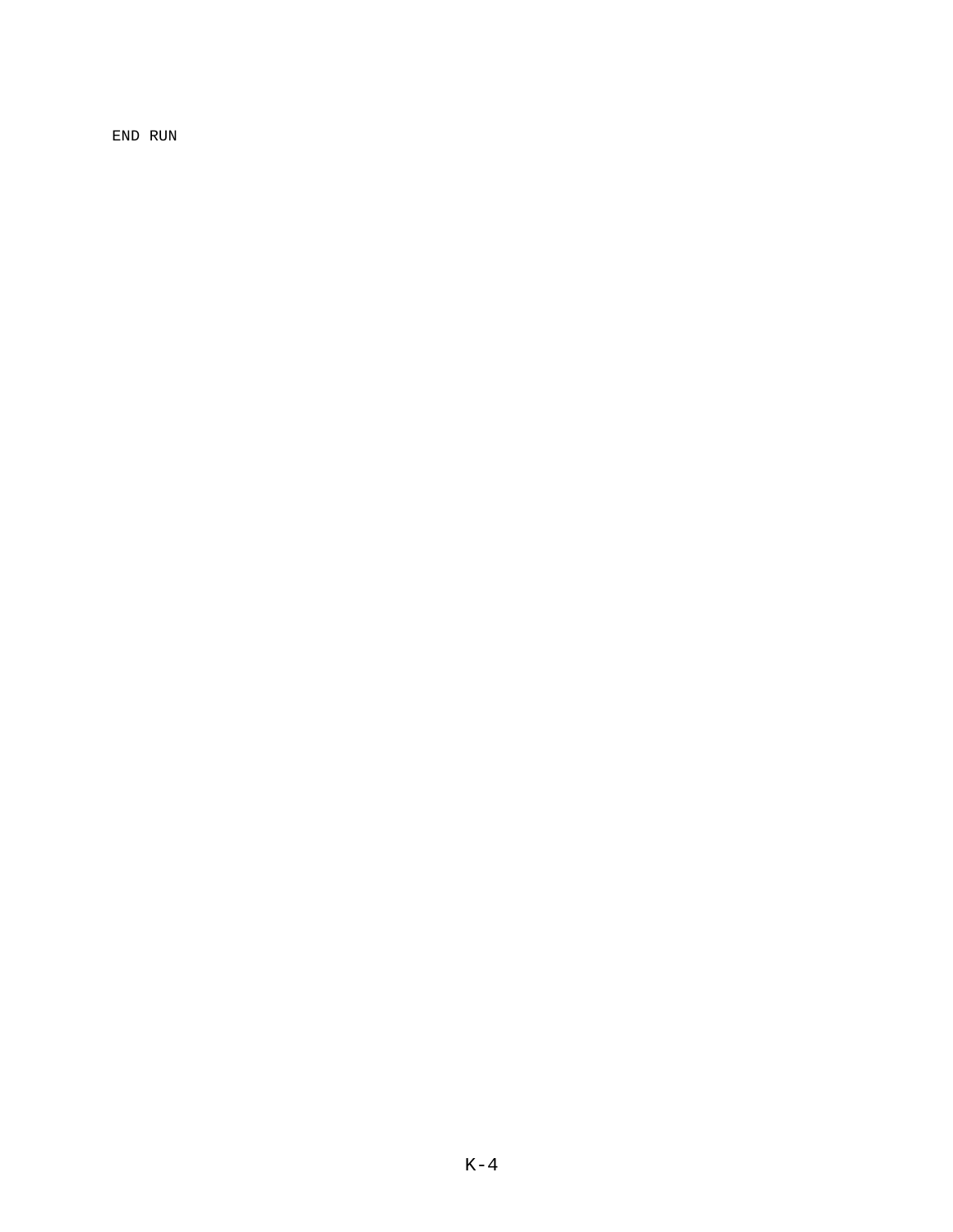END RUN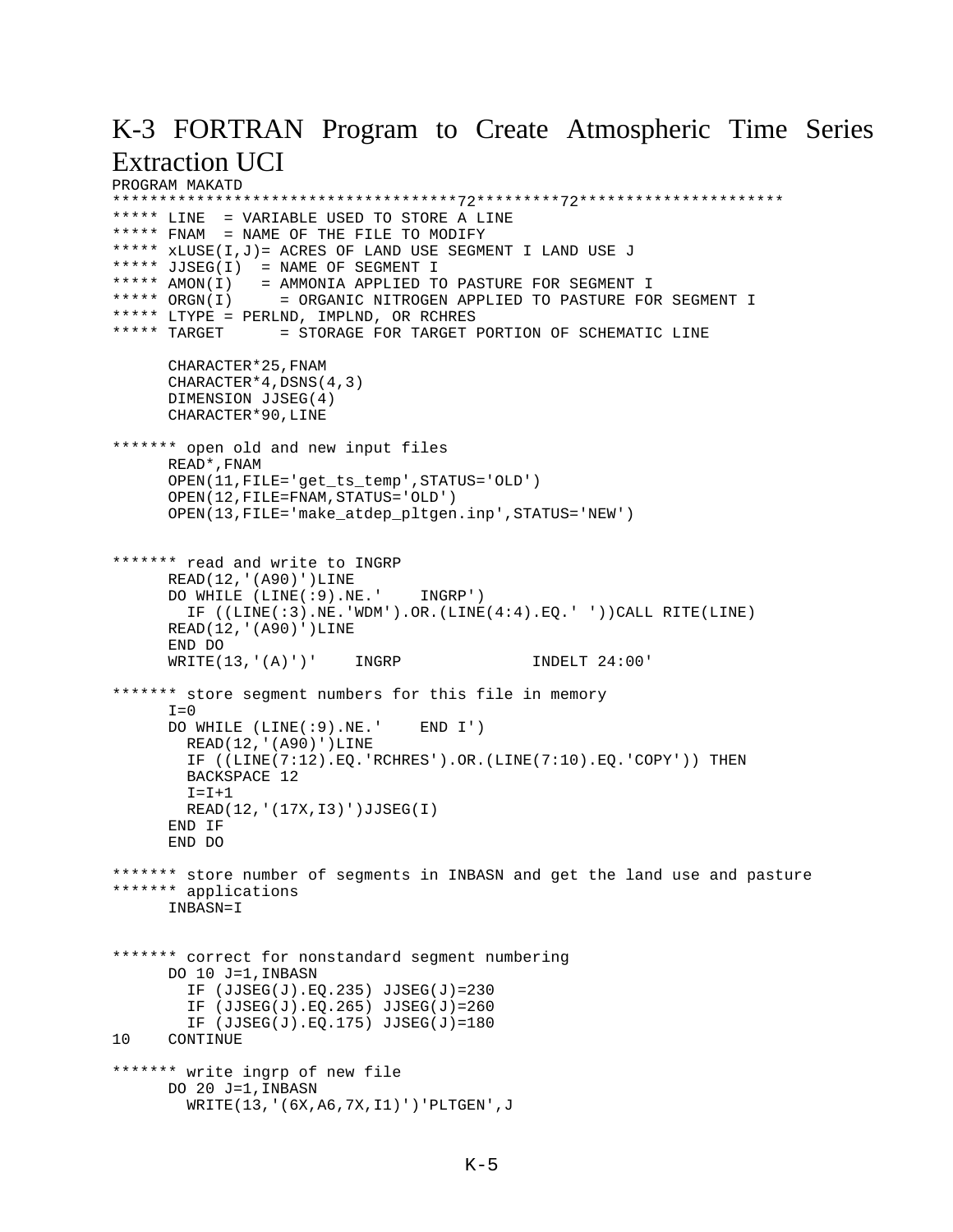### K-3 FORTRAN Program to Create Atmospheric Time Series Extraction UCI

```
PROGRAM MAKATD
*************************************72*********72**********************
***** LINE = VARIABLE USED TO STORE A LINE
***** FNAM = NAME OF THE FILE TO MODIFY
***** xLUSE(I,J)= ACRES OF LAND USE SEGMENT I LAND USE J
***** JJSEG(I) = NAME OF SEGMENT I
***** AMON(I) = AMMONIA APPLIED TO PASTURE FOR SEGMENT I
***** ORGN(I) = ORGANIC NITROGEN APPLIED TO PASTURE FOR SEGMENT I
***** LTYPE = PERLND, IMPLND, OR RCHRES
***** TARGET = STORAGE FOR TARGET PORTION OF SCHEMATIC LINE
      CHARACTER*25,FNAM 
      CHARACTER*4,DSNS(4,3)
      DIMENSION JJSEG(4)
      CHARACTER*90,LINE
******* open old and new input files
      READ*,FNAM
      OPEN(11,FILE='get_ts_temp',STATUS='OLD')
      OPEN(12,FILE=FNAM,STATUS='OLD')
      OPEN(13,FILE='make_atdep_pltgen.inp',STATUS='NEW')
******* read and write to INGRP
      READ(12,'(A90)')LINE
      DO WHILE (LINE(:9).NE.' INGRP')
       IF ((LINE(:3)).NE.'WDM').OR.(LINE(4:4).EO.' '))CAIL RITE(LINE)READ(12,'(A90)')LINE
      END DO
     WRITE(13,'(A)')' INGRP INDELT 24:00'
******* store segment numbers for this file in memory
     T=0 DO WHILE (LINE(:9).NE.' END I')
        READ(12,'(A90)')LINE
        IF ((LINE(7:12).EQ.'RCHRES').OR.(LINE(7:10).EQ.'COPY')) THEN
        BACKSPACE 12
       I = I + 1 READ(12,'(17X,I3)')JJSEG(I)
      END IF
      END DO
******* store number of segments in INBASN and get the land use and pasture
******* applications
       INBASN=I
******* correct for nonstandard segment numbering
      DO 10 J=1,INBASN
        IF (JJSEG(J).EQ.235) JJSEG(J)=230
        IF (JJSEG(J).EQ.265) JJSEG(J)=260
        IF (JJSEG(J).EQ.175) JJSEG(J)=180
10 CONTINUE
******* write ingrp of new file
      DO 20 J=1,INBASN
        WRITE(13,'(6X,A6,7X,I1)')'PLTGEN',J
```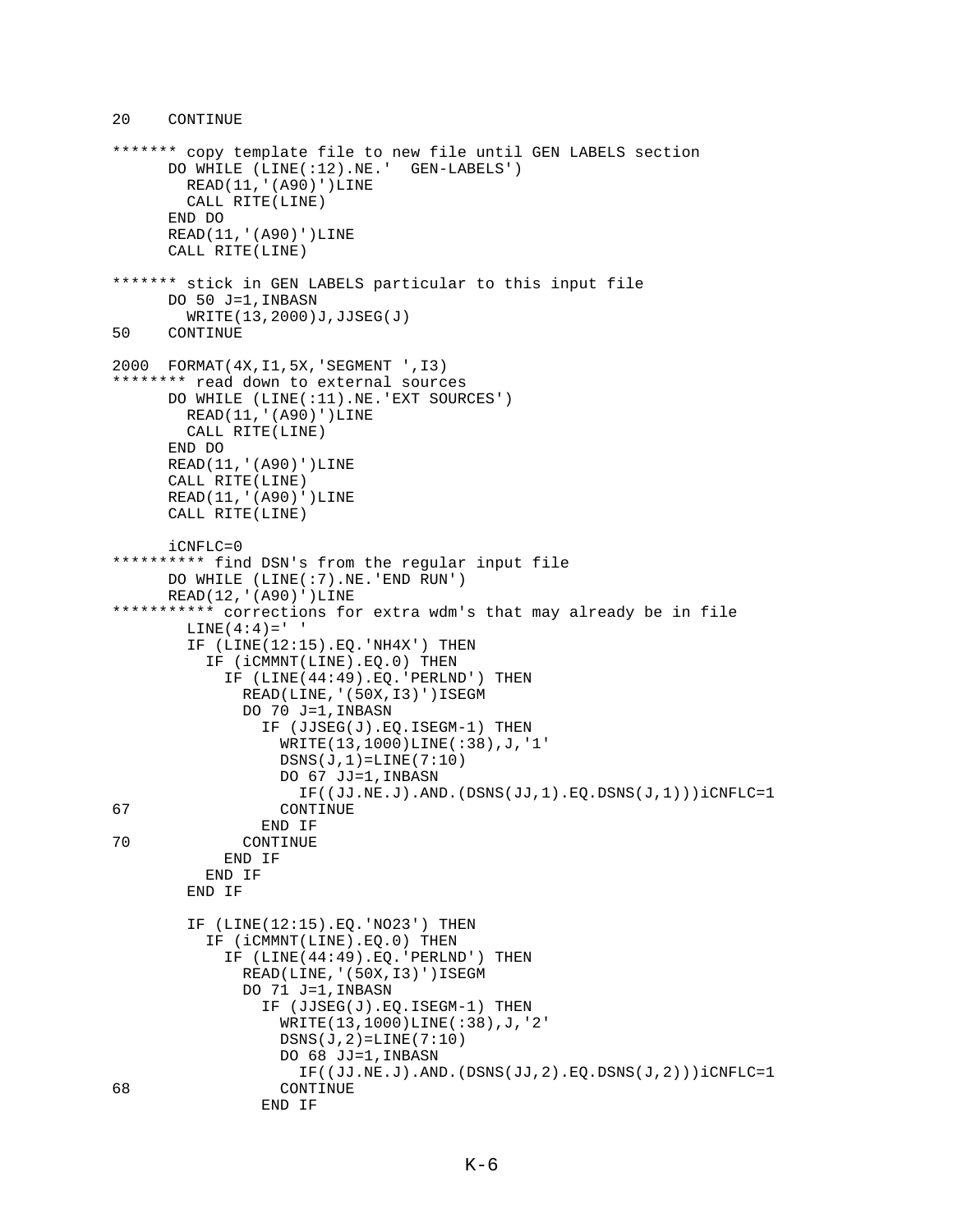```
******* copy template file to new file until GEN LABELS section
      DO WHILE (LINE(:12).NE.' GEN-LABELS')
        READ(11,'(A90)')LINE
         CALL RITE(LINE)
       END DO
       READ(11,'(A90)')LINE
       CALL RITE(LINE)
******* stick in GEN LABELS particular to this input file
       DO 50 J=1,INBASN
         WRITE(13,2000)J,JJSEG(J)
50 CONTINUE
2000 FORMAT(4X,I1,5X,'SEGMENT ',I3)
******** read down to external sources
      DO WHILE (LINE(:11).NE.'EXT SOURCES')
        READ(11,'(A90)')LINE
        CALL RITE(LINE)
       END DO
      READ(11,'(A90)')LINE
       CALL RITE(LINE)
      READ(11,'(A90)')LINE
      CALL RITE(LINE)
      iCNFLC=0
********** find DSN's from the regular input file
      DO WHILE (LINE(:7).NE.'END RUN')
     READ(12,'(A90)')LINE
*********** corrections for extra wdm's that may already be in file
        LINE(4:4) = ' IF (LINE(12:15).EQ.'NH4X') THEN
           IF (iCMMNT(LINE).EQ.0) THEN
             IF (LINE(44:49).EQ.'PERLND') THEN
               READ(LINE,'(50X,I3)')ISEGM
               DO 70 J=1,INBASN
                 IF (JJSEG(J).EQ.ISEGM-1) THEN
                   WRITE(13,1000)LINE(:38),J,'1'
                  DSNS(J,1)=LINE(7:10)
                   DO 67 JJ=1,INBASN
                     IF((JJ.NE.J).AND.(DSNS(JJ,1).EQ.DSNS(J,1)))iCNFLC=1
67 CONTINUE
END IF<br>TO CONTINUE
              CONTINUE
             END IF
           END IF
         END IF
         IF (LINE(12:15).EQ.'NO23') THEN
           IF (iCMMNT(LINE).EQ.0) THEN
             IF (LINE(44:49).EQ.'PERLND') THEN
               READ(LINE,'(50X,I3)')ISEGM
               DO 71 J=1,INBASN
                 IF (JJSEG(J).EQ.ISEGM-1) THEN
                   WRITE(13,1000)LINE(:38),J,'2'
                  DSNS(J, 2) = LINE(7:10) DO 68 JJ=1,INBASN
IF((JJ.NE.J).AND.(DSNS(JJ,2).EQ.DSNS(J,2)))iCNFLC=1<br>CONTINUE
                  CONTINUE
                 END IF
```
20 CONTINUE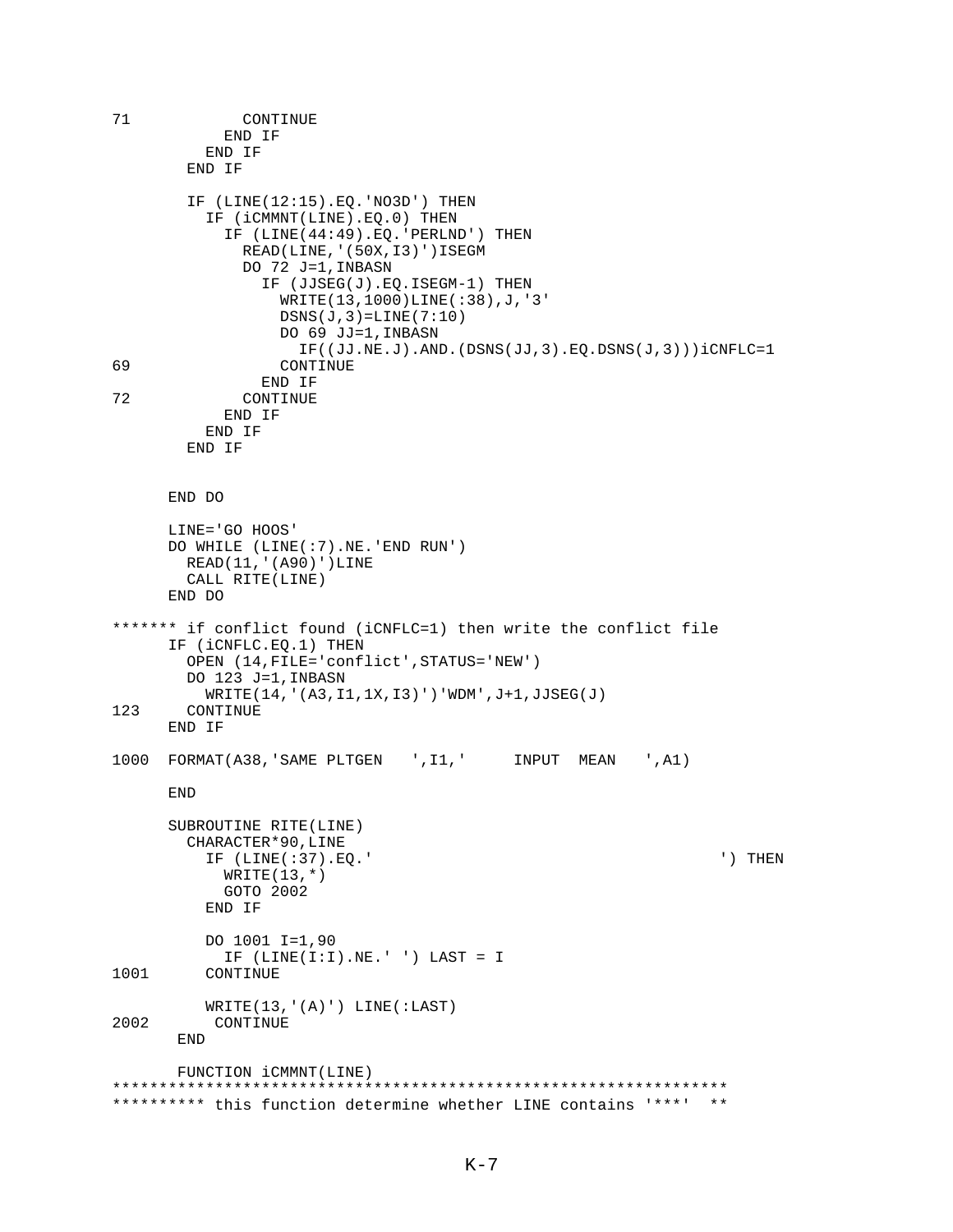```
71 CONTINUE
            END IF
          END IF
        END IF
        IF (LINE(12:15).EQ.'NO3D') THEN
          IF (iCMMNT(LINE).EQ.0) THEN
            IF (LINE(44:49).EQ.'PERLND') THEN
              READ(LINE,'(50X,I3)')ISEGM
              DO 72 J=1,INBASN
                IF (JJSEG(J).EQ.ISEGM-1) THEN
                  WRITE(13,1000)LINE(:38),J,'3'
                 DSNS(J,3)=LINE(7:10)
                  DO 69 JJ=1,INBASN
                    IF((JJ.NE.J).AND.(DSNS(JJ,3).EQ.DSNS(J,3)))iCNFLC=1
69 CONTINUE
                END IF
72 CONTINUE
            END IF
          END IF
        END IF
      END DO
      LINE='GO HOOS'
      DO WHILE (LINE(:7).NE.'END RUN')
        READ(11,'(A90)')LINE
        CALL RITE(LINE)
      END DO
******* if conflict found (iCNFLC=1) then write the conflict file
      IF (iCNFLC.EQ.1) THEN
        OPEN (14,FILE='conflict',STATUS='NEW')
        DO 123 J=1,INBASN
WRITE(14, '(A3, I1, 1X, I3)')'WDM', J+1, JJSEG(J)<br>123 CONTINUE
       CONTINUE
      END IF
1000 FORMAT(A38,'SAME PLTGEN ',I1,' INPUT MEAN ',A1)
      END
      SUBROUTINE RITE(LINE)
        CHARACTER*90,LINE
          IF (LINE(:37).EQ.' ') THEN
           WRITE(13, * ) GOTO 2002
          END IF
          DO 1001 I=1,90
           IF (LINE(I:I).NE.' ' ) LAST = I1001 CONTINUE
          WRITE(13,'(A)') LINE(:LAST)
2002 CONTINUE
       END
       FUNCTION iCMMNT(LINE)
******************************************************************
********** this function determine whether LINE contains '***' **
```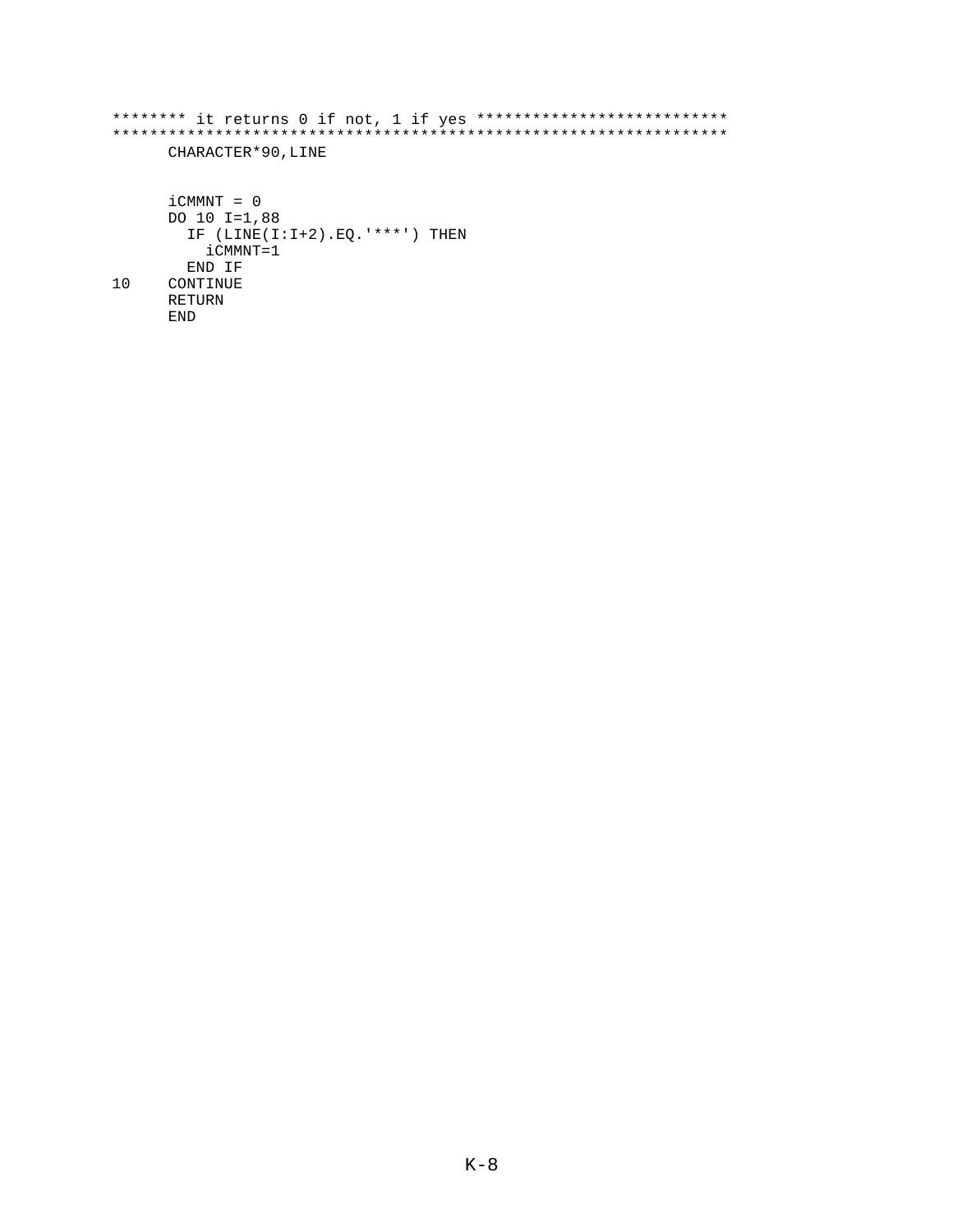```
******** it returns 0 if not, 1 if yes ***************************
CHARACTER*90, LINE
    iCMMNT = 0DO 10 I=1,88
     IF (LINE(I:I+2).EQ.****') THEN
       iCMMNT=1
     END IF
10CONTINUE
    RETURN
    END
```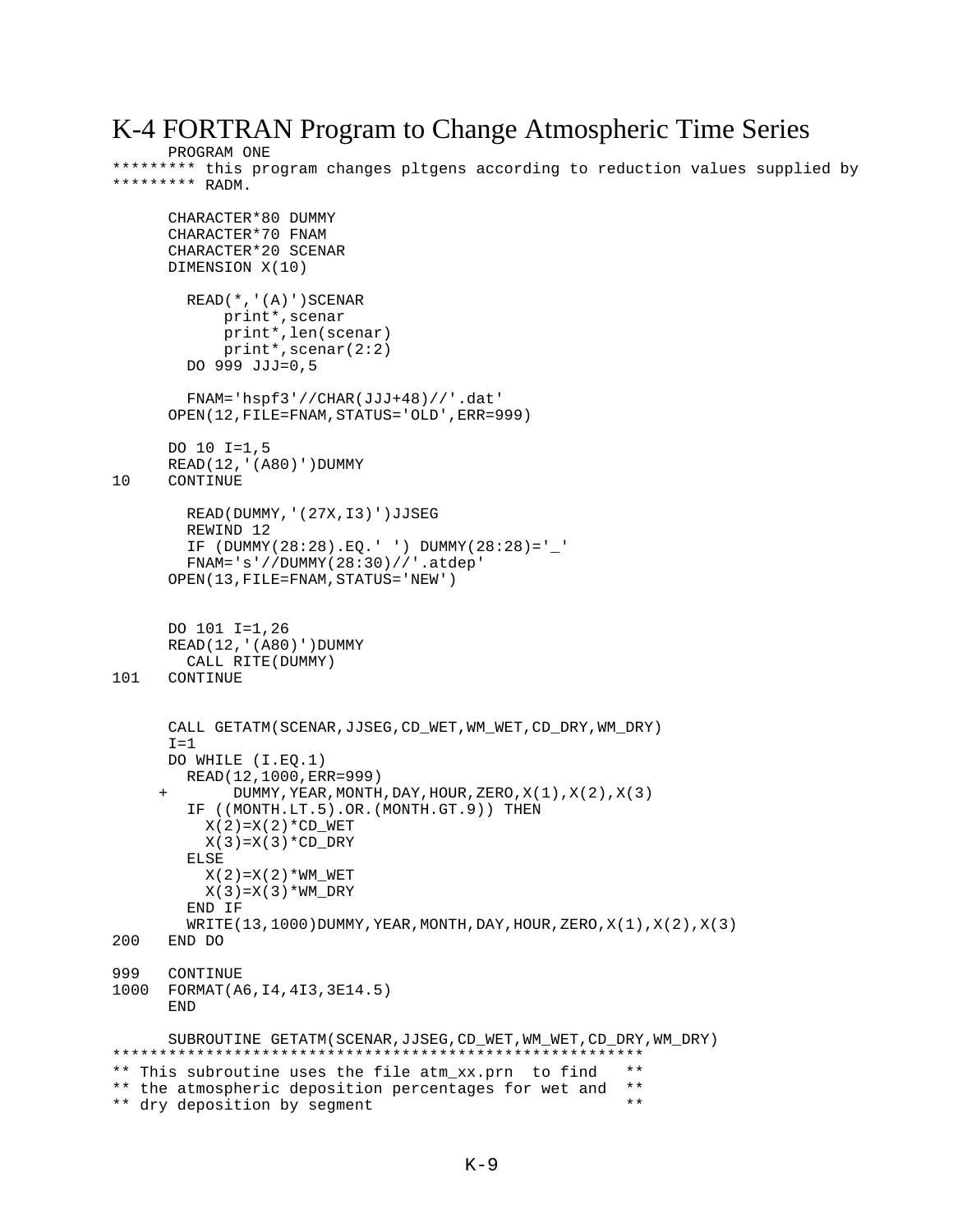#### K-4 FORTRAN Program to Change Atmospheric Time Series

```
PROGRAM ONE
```
\*\*\*\*\*\*\*\*\* this program changes pltgens according to reduction values supplied by \*\*\*\*\*\*\*\*\* RADM.

```
CHARACTER*80 DUMMY
      CHARACTER*70 FNAM
      CHARACTER*20 SCENAR
      DIMENSION X(10)
         READ(*,'(A)')SCENAR
            print*,scenar
            print*,len(scenar)
            print*,scenar(2:2)
         DO 999 JJJ=0,5
         FNAM='hspf3'//CHAR(JJJ+48)//'.dat'
      OPEN(12,FILE=FNAM,STATUS='OLD',ERR=999)
      DO 10 I=1,5
      READ(12,'(A80)')DUMMY
10 CONTINUE
         READ(DUMMY,'(27X,I3)')JJSEG
         REWIND 12
         IF (DUMMY(28:28).EQ.' ') DUMMY(28:28)='_' 
         FNAM='s'//DUMMY(28:30)//'.atdep'
      OPEN(13,FILE=FNAM,STATUS='NEW')
      DO 101 I=1,26
      READ(12,'(A80)')DUMMY
CALL RITE(DUMMY)<br>101 CONTINUE
      CONTINUE
       CALL GETATM(SCENAR,JJSEG,CD_WET,WM_WET,CD_DRY,WM_DRY)
      I=1 DO WHILE (I.EQ.1)
         READ(12,1000,ERR=999)
             DUMMY, YEAR, MONTH, DAY, HOUR, ZERO, X(1), X(2), X(3)
         IF ((MONTH.LT.5).OR.(MONTH.GT.9)) THEN
          X(2) = X(2) * CD WET
          X(3) = X(3) * CD DRY
         ELSE
          X(2) = X(2) * WM WET
          X(3)=X(3)*WW DRY
         END IF
        WRITE(13,1000)DUMMY, YEAR, MONTH, DAY, HOUR, ZERO, X(1), X(2), X(3)200 END DO 
999 CONTINUE
1000 FORMAT(A6,I4,4I3,3E14.5)
      END
       SUBROUTINE GETATM(SCENAR,JJSEG,CD_WET,WM_WET,CD_DRY,WM_DRY)
*********************************************************
** This subroutine uses the file atm_xx.prn to find **
** the atmospheric deposition percentages for wet and **<br>** dry deposition by segment
** dry deposition by segment
```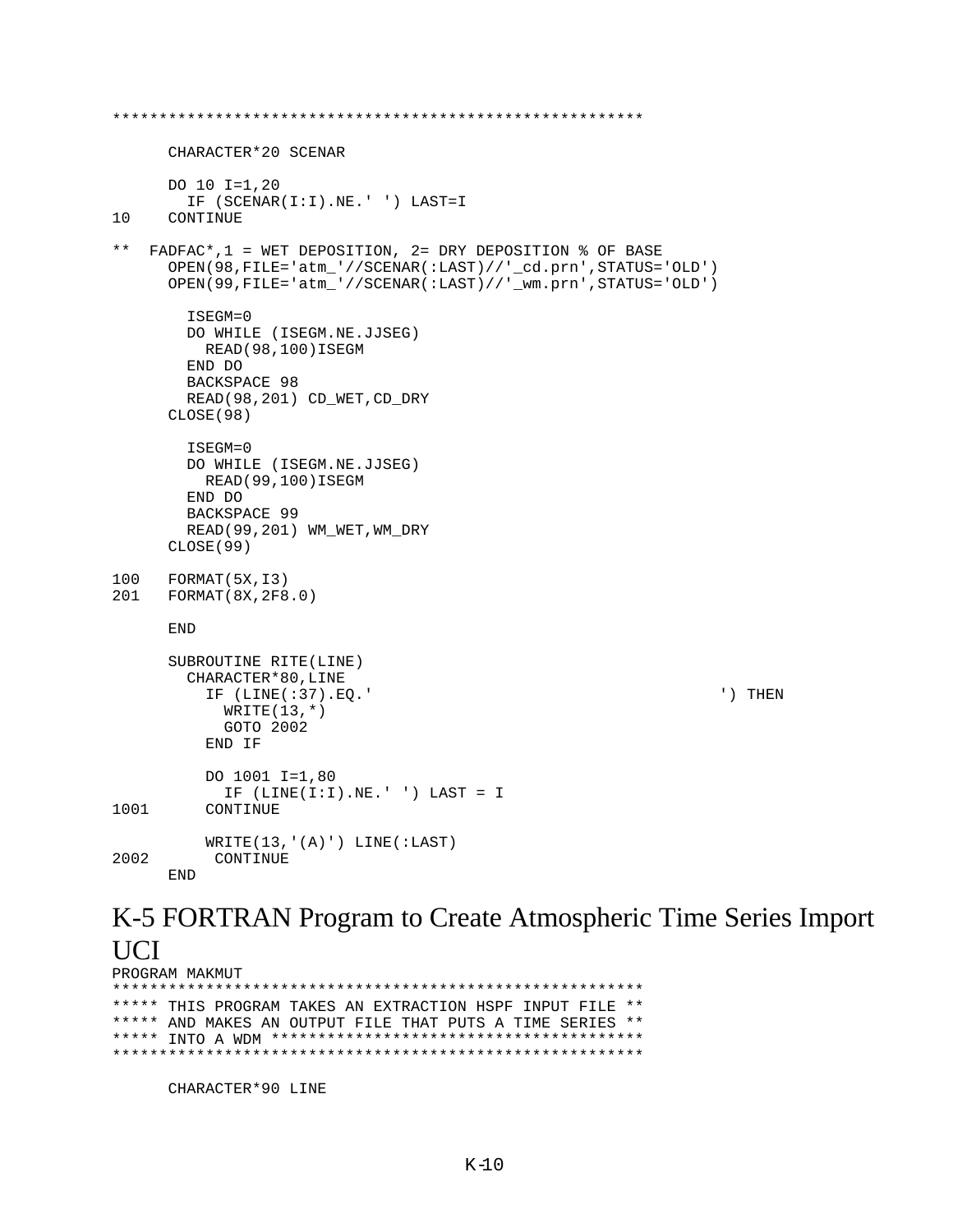```
*********************************************************
       CHARACTER*20 SCENAR
       DO 10 I=1,20
IF (SCENAR(I:I).NE.' ') LAST=I<br>10 CONTINUE
      CONTINUE
** FADFAC*,1 = WET DEPOSITION, 2= DRY DEPOSITION % OF BASE
       OPEN(98,FILE='atm_'//SCENAR(:LAST)//'_cd.prn',STATUS='OLD')
       OPEN(99,FILE='atm_'//SCENAR(:LAST)//'_wm.prn',STATUS='OLD')
         ISEGM=0
         DO WHILE (ISEGM.NE.JJSEG)
          READ(98,100)ISEGM
         END DO
         BACKSPACE 98
        READ(98,201) CD_WET,CD_DRY
       CLOSE(98)
         ISEGM=0
         DO WHILE (ISEGM.NE.JJSEG)
          READ(99,100)ISEGM
         END DO
         BACKSPACE 99
        READ(99,201) WM_WET,WM_DRY
      CLOSE(99)
100 FORMAT(5X,I3)
201 FORMAT(8X,2F8.0)
      END
       SUBROUTINE RITE(LINE)
         CHARACTER*80,LINE
           IF (LINE(:37).EQ.' ') THEN
            WRITE(13, * ) GOTO 2002
           END IF
           DO 1001 I=1,80
             IF (LINE(I:I).NE.' ') LAST = I
1001 CONTINUE
WRITE(13,'(A)') LINE(:LAST)<br>2002 CONTINUE
          CONTINUE
       END
```
### K-5 FORTRAN Program to Create Atmospheric Time Series Import UCI

PROGRAM MAKMUT \*\*\*\*\*\*\*\*\*\*\*\*\*\*\*\*\*\*\*\*\*\*\*\*\*\*\*\*\*\*\*\*\*\*\*\*\*\*\*\*\*\*\*\*\*\*\*\*\*\*\*\*\*\*\*\*\* \*\*\*\*\* THIS PROGRAM TAKES AN EXTRACTION HSPF INPUT FILE \*\* \*\*\*\*\* AND MAKES AN OUTPUT FILE THAT PUTS A TIME SERIES \*\* \*\*\*\*\* INTO A WDM \*\*\*\*\*\*\*\*\*\*\*\*\*\*\*\*\*\*\*\*\*\*\*\*\*\*\*\*\*\*\*\*\*\*\*\*\*\*\*\* \*\*\*\*\*\*\*\*\*\*\*\*\*\*\*\*\*\*\*\*\*\*\*\*\*\*\*\*\*\*\*\*\*\*\*\*\*\*\*\*\*\*\*\*\*\*\*\*\*\*\*\*\*\*\*\*\*

CHARACTER\*90 LINE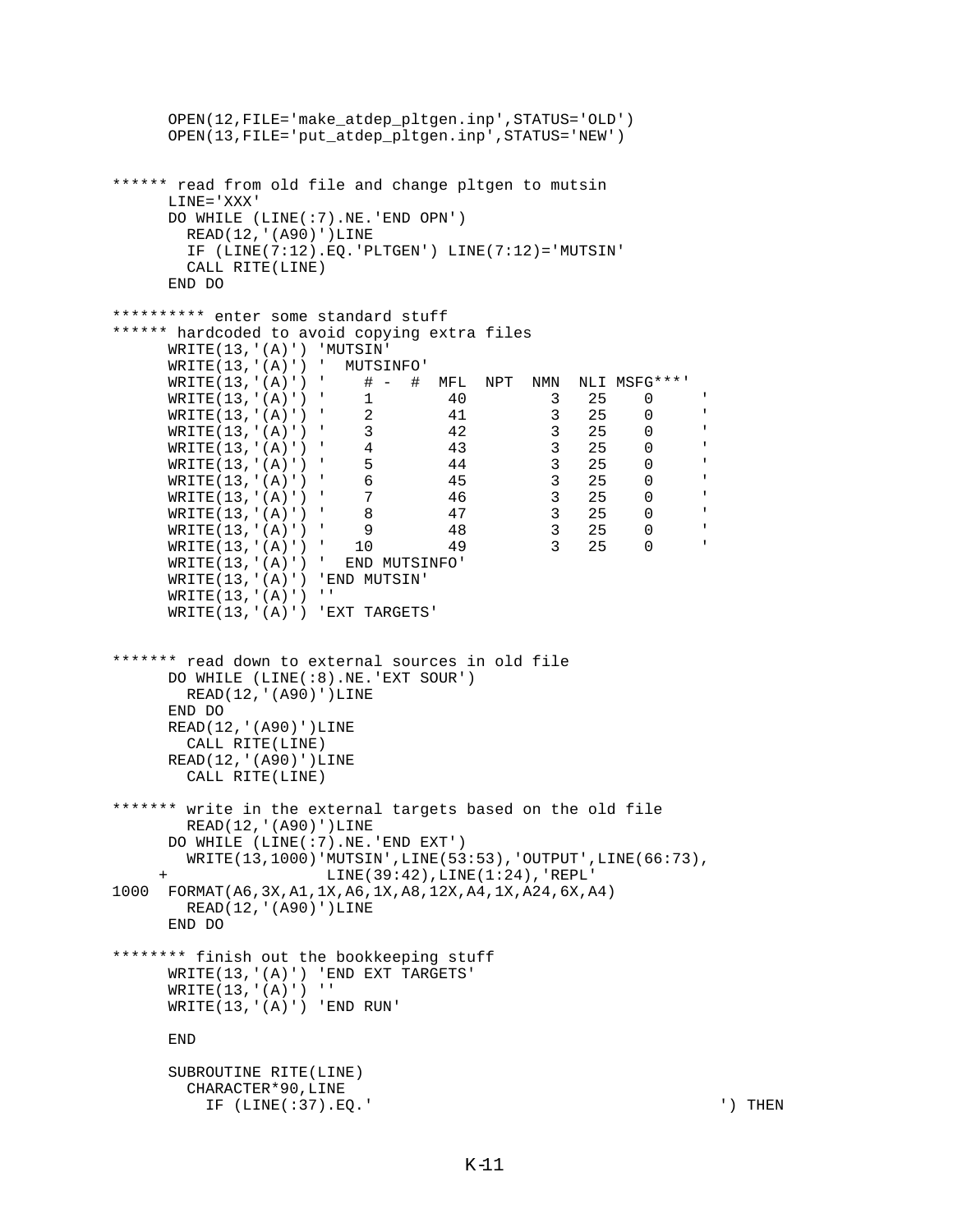```
 OPEN(12,FILE='make_atdep_pltgen.inp',STATUS='OLD')
      OPEN(13,FILE='put_atdep_pltgen.inp',STATUS='NEW')
****** read from old file and change pltgen to mutsin
      LINE='XXX'
      DO WHILE (LINE(:7).NE.'END OPN')
        READ(12,'(A90)')LINE
        IF (LINE(7:12).EQ.'PLTGEN') LINE(7:12)='MUTSIN'
        CALL RITE(LINE)
      END DO
********** enter some standard stuff
****** hardcoded to avoid copying extra files
      WRITE(13,'(A)') 'MUTSIN'
     WRITE(13,'(A)')' MUTSINFO'<br>WRITE(13,'(A)')' # - #
                       # - # MFL NPT NMN NLI MSFG***'
 WRITE(13,'(A)') ' 1 40 3 25 0 '
 WRITE(13,'(A)') ' 2 41 3 25 0 '
 WRITE(13,'(A)') ' 3 42 3 25 0 '
 WRITE(13,'(A)') ' 4 43 3 25 0 '
     WRITE(13,'(A)') ' 5 44 3 25 0<br>WRITE(13,'(A)') ' 6 45 3 25 0
     WRITE(13,'(A)') ' 6 --<br>WRITE(13,'(A)') ' 6 -45 3 25 0<br>WRITE(13,'(A)') ' 7 -46 3 25 0
     WRITE(13,'(A)') ' 7 46 3 25 0<br>WRITE(13,'(A)') ' 8 47 3 25 0
     WRITE(13,'(A)') ' 8 47 3 25 0 '<br>WRITE(13,'(A)') ' 9 48 3 25 0 '
     WRITE(13,'(A)') ' 9 48 3 25 0<br>WRITE(13,'(A)') ' 10 49 3 25 0
     WRITE(13,'(A)') ' 10 49 3 25 0
      WRITE(13,'(A)') ' END MUTSINFO'
      WRITE(13,'(A)') 'END MUTSIN'
     WRITE(13,'(A)')' WRITE(13,'(A)') 'EXT TARGETS'
******* read down to external sources in old file
      DO WHILE (LINE(:8).NE.'EXT SOUR')
        READ(12,'(A90)')LINE
      END DO
      READ(12,'(A90)')LINE
        CALL RITE(LINE)
      READ(12,'(A90)')LINE
        CALL RITE(LINE)
******* write in the external targets based on the old file
        READ(12,'(A90)')LINE
      DO WHILE (LINE(:7).NE.'END EXT')
        WRITE(13,1000)'MUTSIN',LINE(53:53),'OUTPUT',LINE(66:73),
                      LINE(39:42), LINE(1:24), 'REPL'
1000 FORMAT(A6,3X,A1,1X,A6,1X,A8,12X,A4,1X,A24,6X,A4)
        READ(12,'(A90)')LINE
      END DO
******** finish out the bookkeeping stuff
      WRITE(13,'(A)') 'END EXT TARGETS'
     WRITE(13,'(A)')' WRITE(13,'(A)') 'END RUN'
      END
      SUBROUTINE RITE(LINE)
        CHARACTER*90,LINE
          IF (LINE(:37).EQ.' ') THEN
```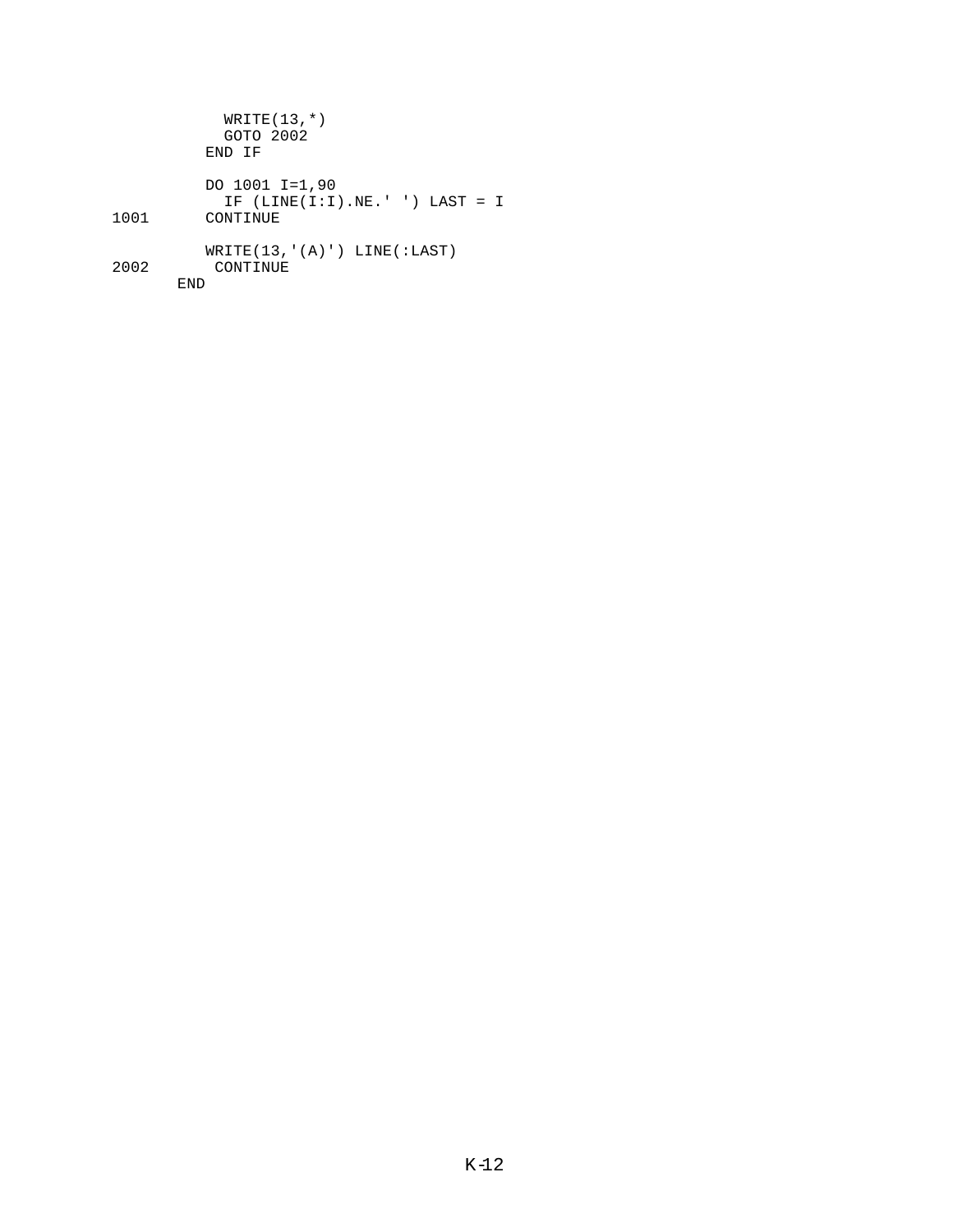|      | $WRITE(13,*)$<br>GOTO 2002<br>END TF                          |
|------|---------------------------------------------------------------|
| 1001 | DO 1001 I=1,90<br>IF $(LINE(I:I),NE.'') LAST = I$<br>CONTINUE |
| 2002 | WRITE(13, '(A)') LINE(:LAST)<br>CONTINUE                      |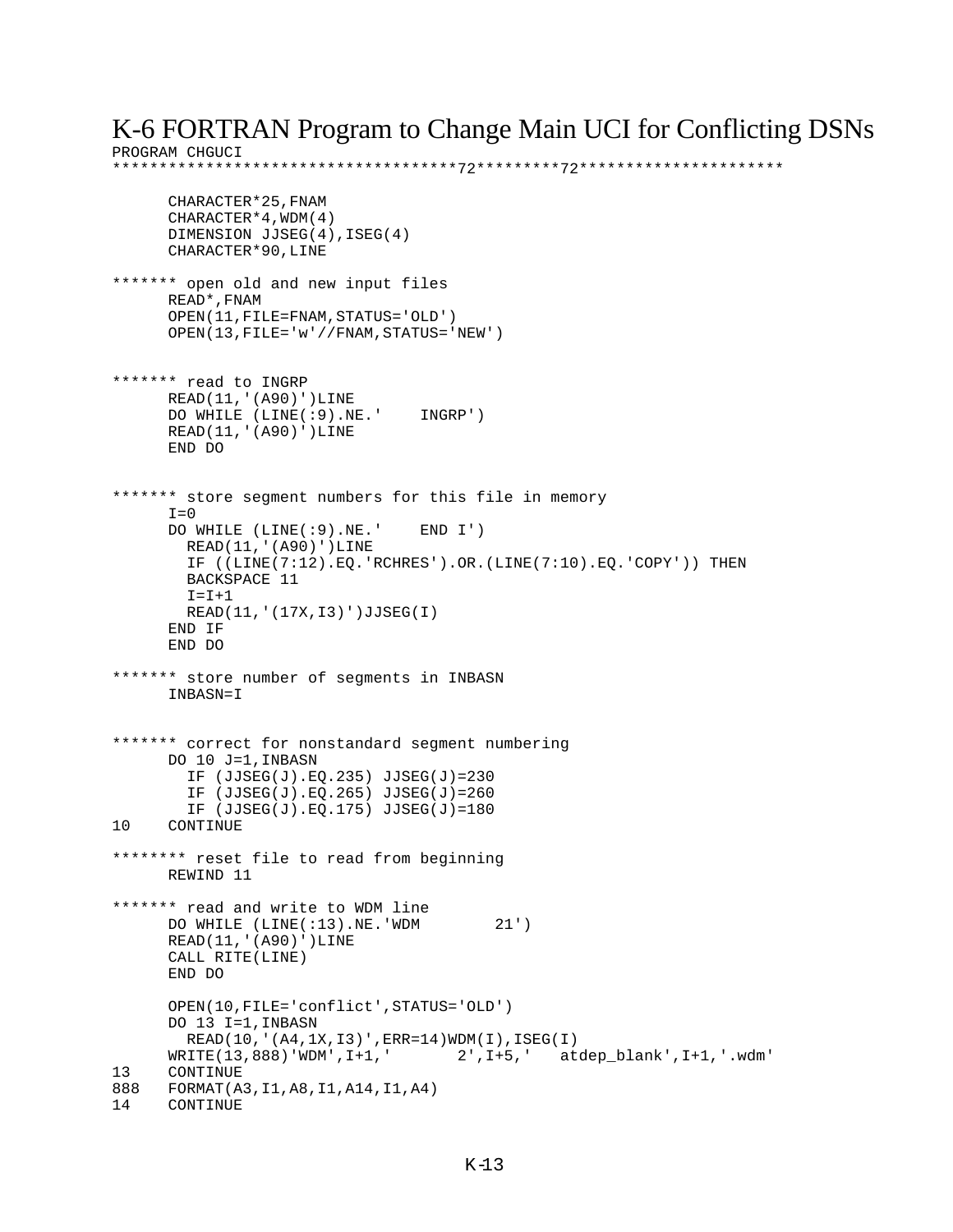## K-6 FORTRAN Program to Change Main UCI for Conflicting DSNs

PROGRAM CHGUCI \*\*\*\*\*\*\*\*\*\*\*\*\*\*\*\*\*\*\*\*\*\*\*\*\*\*\*\*\*\*\*\*\*\*\*\*\*72\*\*\*\*\*\*\*\*\*72\*\*\*\*\*\*\*\*\*\*\*\*\*\*\*\*\*\*\*\*\*\* CHARACTER\*25,FNAM CHARACTER\*4,WDM(4) DIMENSION JJSEG(4),ISEG(4) CHARACTER\*90,LINE \*\*\*\*\*\*\* open old and new input files READ\*,FNAM OPEN(11,FILE=FNAM,STATUS='OLD') OPEN(13,FILE='w'//FNAM,STATUS='NEW') \*\*\*\*\*\*\* read to INGRP READ(11,'(A90)')LINE DO WHILE (LINE(:9).NE.' INGRP') READ(11,'(A90)')LINE END DO \*\*\*\*\*\*\* store segment numbers for this file in memory  $T=0$  DO WHILE (LINE(:9).NE.' END I') READ(11,'(A90)')LINE IF ((LINE(7:12).EQ.'RCHRES').OR.(LINE(7:10).EQ.'COPY')) THEN BACKSPACE 11  $I = I + 1$  READ(11,'(17X,I3)')JJSEG(I) END IF END DO \*\*\*\*\*\*\* store number of segments in INBASN INBASN=I \*\*\*\*\*\*\* correct for nonstandard segment numbering DO 10 J=1,INBASN IF (JJSEG(J).EQ.235) JJSEG(J)=230 IF (JJSEG(J).EQ.265) JJSEG(J)=260 IF (JJSEG(J).EQ.175) JJSEG(J)=180 10 CONTINUE \*\*\*\*\*\*\*\* reset file to read from beginning REWIND 11 \*\*\*\*\*\*\* read and write to WDM line DO WHILE (LINE(:13).NE.'WDM 21') READ(11,'(A90)')LINE CALL RITE(LINE) END DO OPEN(10,FILE='conflict',STATUS='OLD') DO 13 I=1,INBASN READ(10, '(A4, 1X, 13)', ERR=14)WDM(I), ISEG(I)<br>WRITE(13,888)'WDM', I+1, '2', I+5, 'at  $2', I+5,'$  atdep blank', $I+1,''.wdm'$ 13 CONTINUE 888 FORMAT(A3, I1, A8, I1, A14, I1, A4)<br>14 CONTINUE **CONTINUE**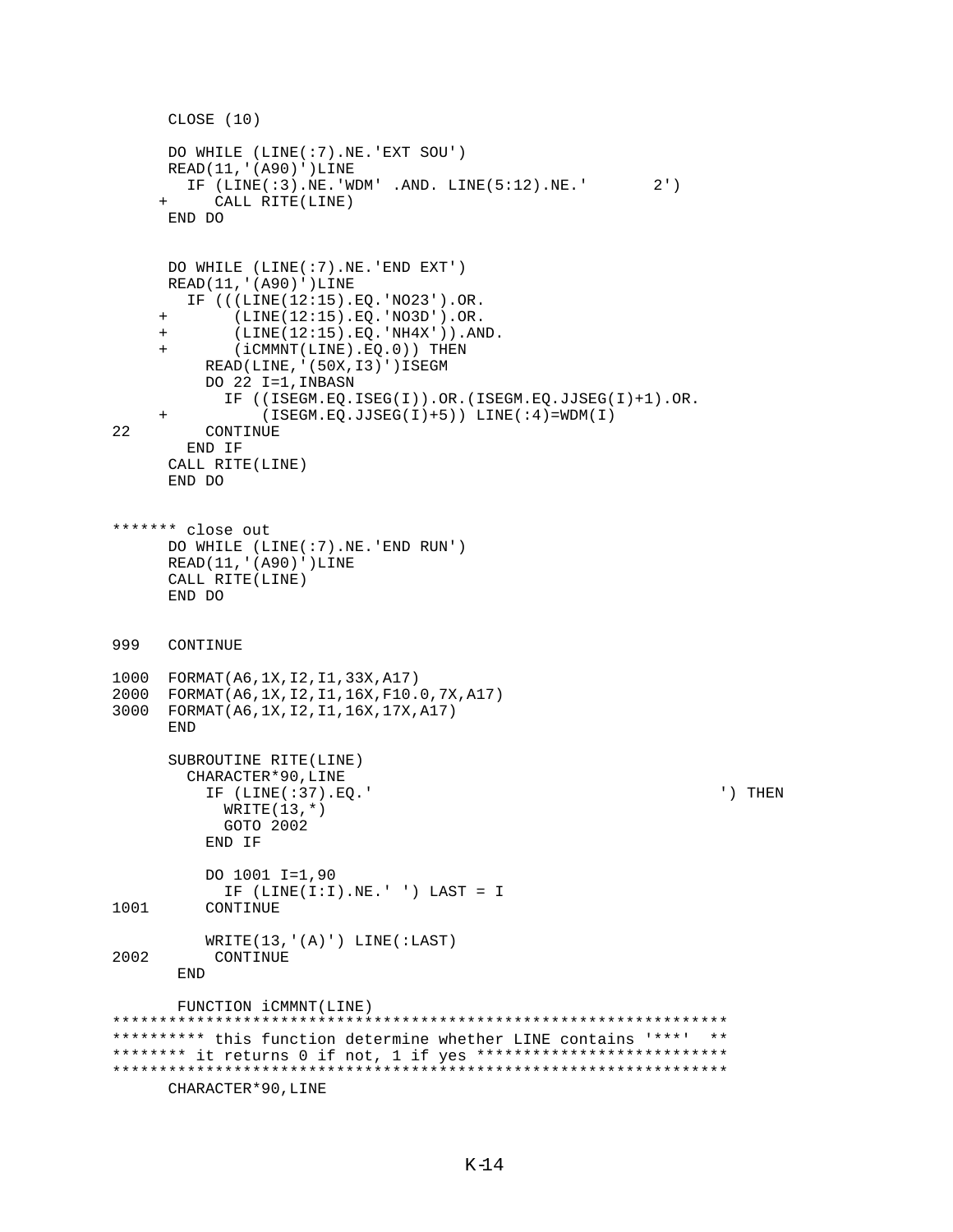```
 CLOSE (10)
      DO WHILE (LINE(:7).NE.'EXT SOU')
     READ(11,'(A90)')LINE
        IF (LINE(:3).NE.'WDM' .AND. LINE(5:12).NE.' 2')
          CALL RITE(LINE)
      END DO
      DO WHILE (LINE(:7).NE.'END EXT')
     READ(11,'(A90)')LINE
        IF (((LINE(12:15).EQ.'NO23').OR.
      + (LINE(12:15).EQ.'NO3D').OR.
     + (LINE(12:15).EQ.'NH4X')).AND.
     + (iCMMNT(LINE).EQ.0)) THEN
          READ(LINE,'(50X,I3)')ISEGM
          DO 22 I=1,INBASN
            IF ((ISEGM.EQ.ISEG(I)).OR.(ISEGM.EQ.JJSEG(I)+1).OR.
+ (ISEGM.EQ.JJSEG(I)+5)) LINE(:4)=WDM(I)<br>22 CONTINUE
         CONTINUE
        END IF
     CALL RITE(LINE)
      END DO
******* close out
      DO WHILE (LINE(:7).NE.'END RUN')
     READ(11,'(A90)')LINE
     CALL RITE(LINE)
      END DO
999 CONTINUE 
1000 FORMAT(A6,1X,I2,I1,33X,A17)
2000 FORMAT(A6,1X,I2,I1,16X,F10.0,7X,A17)
3000 FORMAT(A6,1X,I2,I1,16X,17X,A17)
      END
      SUBROUTINE RITE(LINE)
        CHARACTER*90,LINE
          IF (LINE(:37).EQ.' ') THEN
           WRITE(13,*) GOTO 2002
          END IF
          DO 1001 I=1,90
 IF (LINE(I:I).NE.' ') LAST = I
         CONTINUE
WRITE(13, '(A)') LINE(:LAST)<br>2002 CONTINUE
          CONTINUE
       END
       FUNCTION iCMMNT(LINE)
******************************************************************
********** this function determine whether LINE contains '***' **
******** it returns 0 if not, 1 if yes ***************************
******************************************************************
```

```
 CHARACTER*90,LINE
```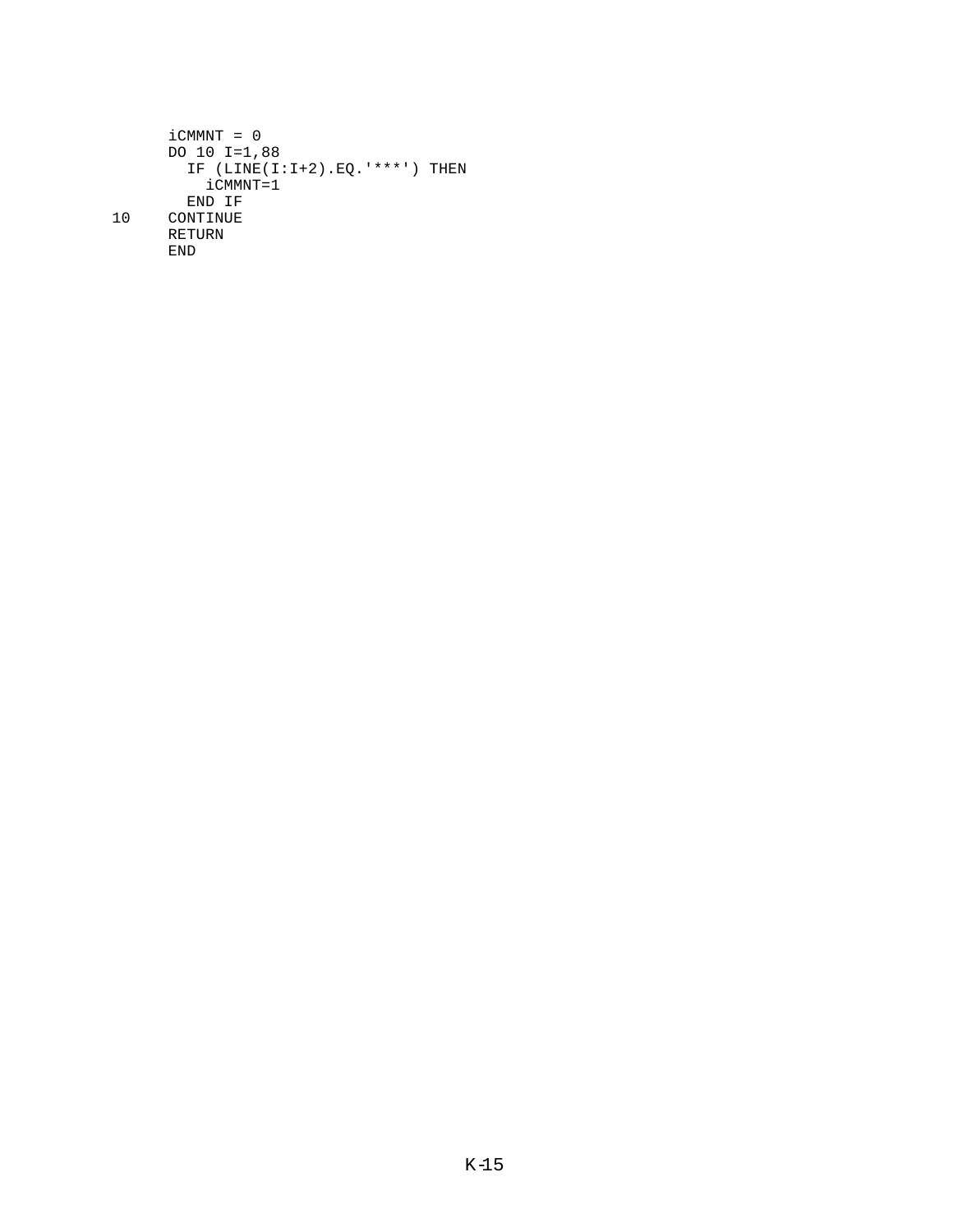```
iCMMNT = 0DO 10 I=1,88IF (LINE(I:I+2).EQ.****') THEN
         iCMMNT=1
       END IF
10CONTINUE
     RETURN
     {\tt END}
```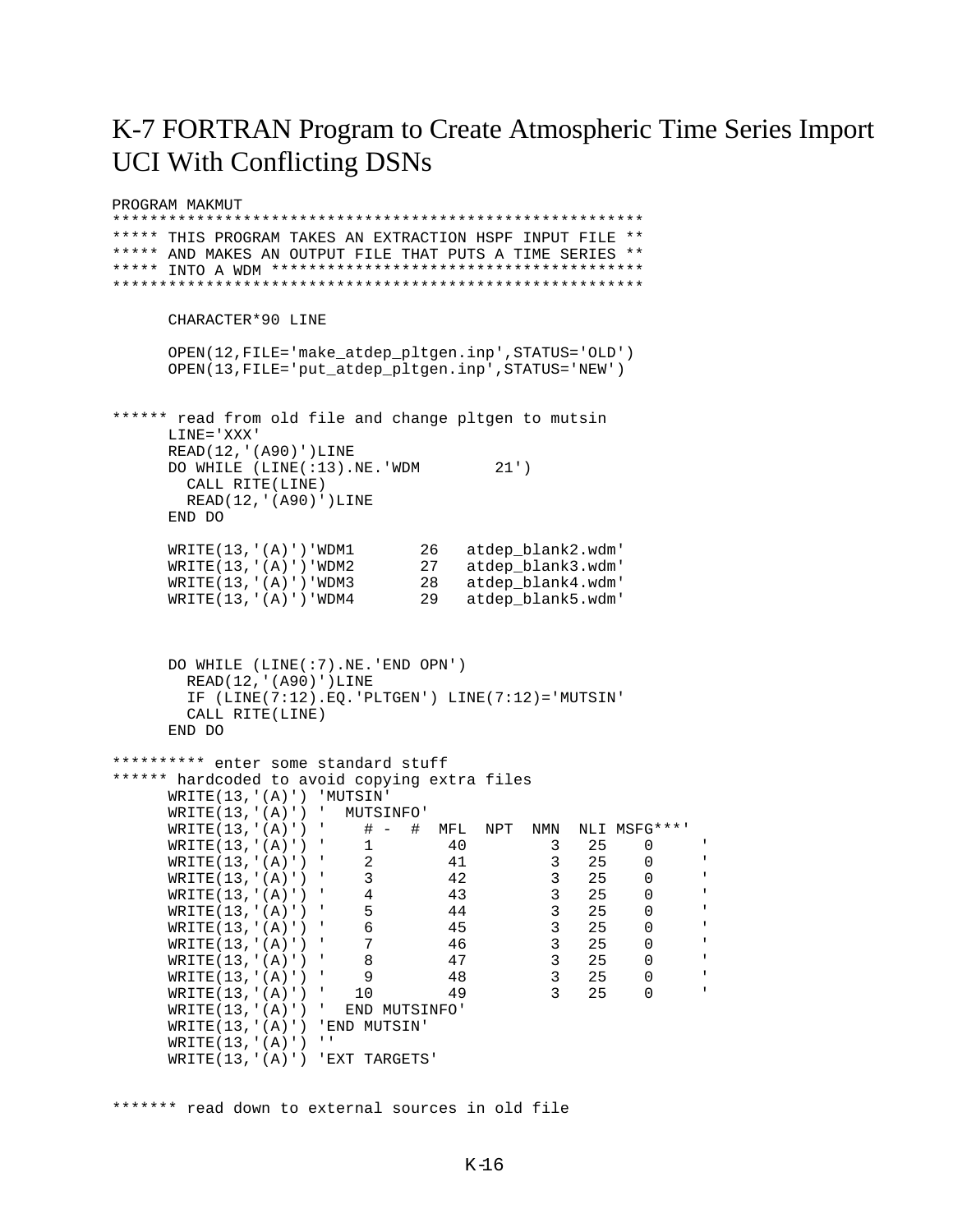## K-7 FORTRAN Program to Create Atmospheric Time Series Import **UCI With Conflicting DSNs**

PROGRAM MAKMUT \*\*\*\*\* THIS PROGRAM TAKES AN EXTRACTION HSPF INPUT FILE \*\* \*\*\*\*\* AND MAKES AN OUTPUT FILE THAT PUTS A TIME SERIES \*\* CHARACTER\*90 LINE OPEN(12, FILE='make\_atdep\_pltgen.inp', STATUS='OLD') OPEN(13, FILE='put\_atdep\_pltgen.inp', STATUS='NEW') \*\*\*\*\*\* read from old file and change pltgen to mutsin LINE='XXX' READ(12, '(A90)') LINE DO WHILE (LINE(:13).NE.'WDM 21') CALL RITE(LINE) READ(12, '(A90)') LINE END DO  $\texttt{WRTTE(13,' (A)')}$ 'WDM1 26 atdep\_blank2.wdm' WRITE(13, '(A)')'WDM2<br>
WRITE(13, '(A)')'WDM2<br>
27 atdep\_blank3.wdm<br>
28 atdep\_blank4.wdm<br>
WRITE(13, '(A)')'WDM4<br>
29 atdep\_blank5.wdm DO WHILE (LINE(:7).NE.'END OPN') READ(12, '(A90)') LINE IF  $(LINE(7:12), EO. 'PLTGEN') LINE(7:12) = 'MUTSIN'$ CALL RITE(LINE) END DO \*\*\*\*\*\*\*\*\*\* enter some standard stuff \*\*\*\*\*\* hardcoded to avoid copying extra files WRITE(13, '(A)') 'MUTSIN'  $WRITE(13,' (A)')'$  MUTSINFO'  $# - # \quad \text{MFL} \quad \text{NPT} \quad \text{NMN} \quad \text{NLI} \quad \text{MSFG***}$  $WRITE(13,' (A)')'$ WRITE(13,'(A)')' 1<br>WRITE(13,'(A)')' 2<br>WRITE(13,'(A)')' 3<br>WRITE(13,'(A)')' 4<br>WRITE(13,'(A)')' 5<br>WRITE(13,'(A)')' 6<br>WRITE(13,'(A)')' 7 40  $25$  0  $\overline{\mathcal{E}}$ 41  $\mathcal{E}$ 25  $\overline{0}$  $\begin{matrix} 0 \\ 0 \\ 0 \end{matrix}$  $42$ <br> $43$ <br> $44$ <br> $45$  $\overline{3}$ 25  $\overline{3}$ 25  $\overline{0}$  $\overline{\mathbf{3}}$ 25  $\begin{array}{c} 3 \\ 3 \\ 3 \end{array}$  $\overline{0}$ 25  $\frac{1}{46}$  $WRTTE(13,' (A)')'$  $\overline{0}$  $25$  $\begin{array}{ccc} 3 & 25 \\ 3 & 25 \\ 3 & 25 \end{array}$  $WRTTE(13,' (A)')'$  $8<sup>8</sup>$ 47  $\overline{0}$  $\frac{48}{49}$  $WRITE(13,' (A)')'$  $9$  $\overline{0}$  $\texttt{WRTTE}(13,' (A)')$  $\overline{0}$  $10$  $WRITE(13,' (A)')'$  END MUTSINFO' WRITE(13, '(A)') 'END MUTSIN'  $WRITE(13,' (A)')'$ WRITE(13, '(A)') 'EXT TARGETS'

\*\*\*\*\*\*\* read down to external sources in old file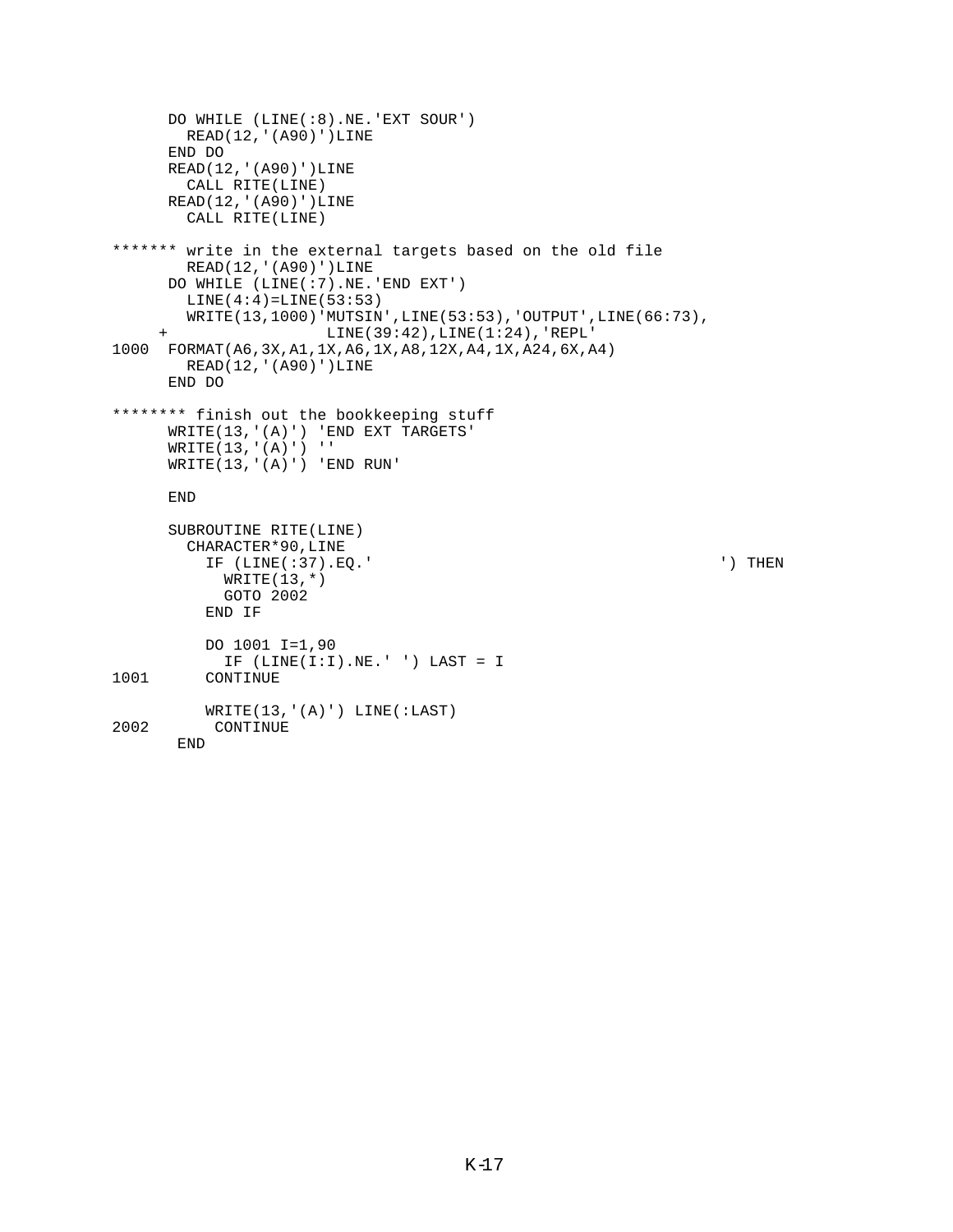```
 DO WHILE (LINE(:8).NE.'EXT SOUR')
        READ(12,'(A90)')LINE
      END DO
      READ(12,'(A90)')LINE
        CALL RITE(LINE)
      READ(12,'(A90)')LINE
        CALL RITE(LINE)
******* write in the external targets based on the old file
        READ(12,'(A90)')LINE
      DO WHILE (LINE(:7).NE.'END EXT')
       LINE(4:4) = LINE(53:53) WRITE(13,1000)'MUTSIN',LINE(53:53),'OUTPUT',LINE(66:73),
                      LINE(39:42), LINE(1:24), 'REPL'
1000 FORMAT(A6,3X,A1,1X,A6,1X,A8,12X,A4,1X,A24,6X,A4)
        READ(12,'(A90)')LINE
       END DO
******** finish out the bookkeeping stuff
      WRITE(13,'(A)') 'END EXT TARGETS'
     WRITE(13,'(A)')' WRITE(13,'(A)') 'END RUN'
      END
      SUBROUTINE RITE(LINE)
        CHARACTER*90,LINE
          IF (LINE(:37).EQ.' ') THEN
           WRITE(13,*) GOTO 2002
          END IF
          DO 1001 I=1,90
 IF (LINE(I:I).NE.' ') LAST = I
         CONTINUE
WRITE(13,'(A)') LINE(:LAST)<br>2002 CONTINUE
          CONTINUE
       END
```